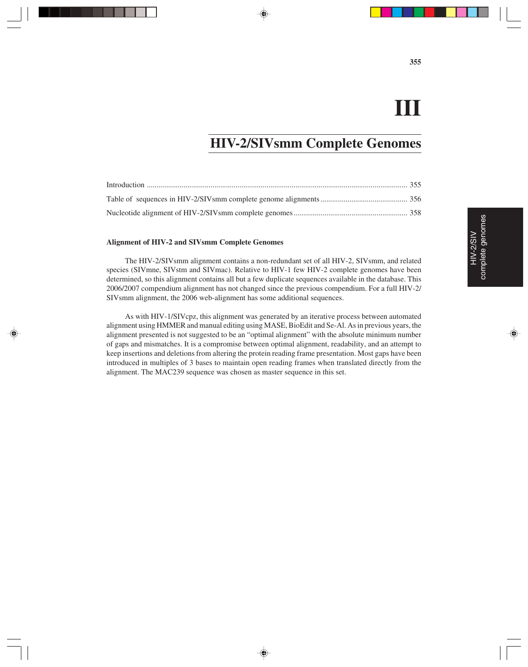## **HIV-2/SIVsmm Complete Genomes**

## **Alignment of HIV-2 and SIVsmm Complete Genomes**

The HIV-2/SIVsmm alignment contains a non-redundant set of all HIV-2, SIVsmm, and related species (SIVmne, SIVstm and SIVmac). Relative to HIV-1 few HIV-2 complete genomes have been determined, so this alignment contains all but a few duplicate sequences available in the database. This 2006/2007 compendium alignment has not changed since the previous compendium. For a full HIV-2/ SIVsmm alignment, the 2006 web-alignment has some additional sequences.

As with HIV-1/SIVcpz, this alignment was generated by an iterative process between automated alignment using HMMER and manual editing using MASE, BioEdit and Se-Al. As in previous years, the alignment presented is not suggested to be an "optimal alignment" with the absolute minimum number of gaps and mismatches. It is a compromise between optimal alignment, readability, and an attempt to keep insertions and deletions from altering the protein reading frame presentation. Most gaps have been introduced in multiples of 3 bases to maintain open reading frames when translated directly from the alignment. The MAC239 sequence was chosen as master sequence in this set.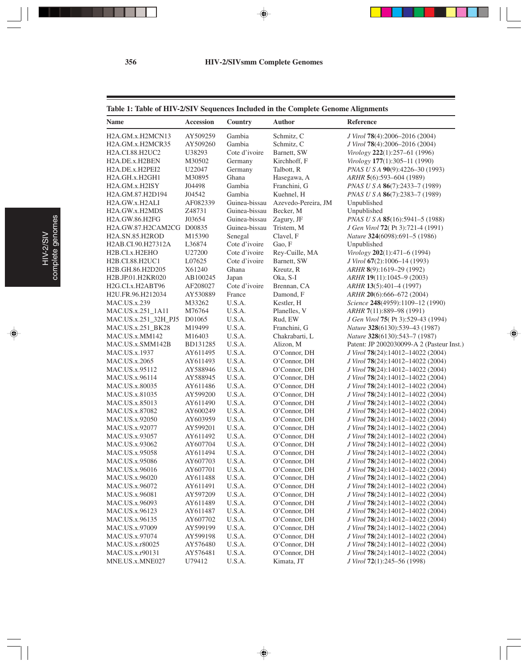| <b>Name</b>                                           | <b>Accession</b> | Country       | <b>Author</b>       | Reference                                 |
|-------------------------------------------------------|------------------|---------------|---------------------|-------------------------------------------|
| H2A.GM.x.H2MCN13                                      | AY509259         | Gambia        | Schmitz, C          | J Virol 78(4):2006-2016 (2004)            |
| H2A.GM.x.H2MCR35                                      | AY509260         | Gambia        | Schmitz, C          | J Virol 78(4):2006-2016 (2004)            |
| H2A.CI.88.H2UC2                                       | U38293           | Cote d'ivoire | Barnett, SW         | Virology 222(1):257–61 (1996)             |
| H2A.DE.x.H2BEN                                        | M30502           | Germany       | Kirchhoff, F        | Virology 177(1):305-11 (1990)             |
| H <sub>2</sub> A.DE.x.H <sub>2</sub> PEI <sub>2</sub> | U22047           | Germany       | Talbott, R          | PNAS U S A 90(9):4226-30 (1993)           |
| H <sub>2</sub> A.GH.x.H <sub>2</sub> GH <sub>1</sub>  | M30895           | Ghana         | Hasegawa, A         | ARHR 5(6):593-604 (1989)                  |
| H <sub>2</sub> A.GM.x.H <sub>2</sub> ISY              | J04498           | Gambia        | Franchini, G        | PNAS U S A 86(7):2433-7 (1989)            |
| H2A.GM.87.H2D194                                      | J04542           | Gambia        | Kuehnel, H          | PNAS U S A 86(7):2383-7 (1989)            |
| H2A.GW.x.H2ALI                                        | AF082339         | Guinea-bissau | Azevedo-Pereira, JM | Unpublished                               |
| H2A.GW.x.H2MDS                                        | Z48731           | Guinea-bissau | Becker, M           | Unpublished                               |
| H2A.GW.86.H2FG                                        | J03654           | Guinea-bissau | Zagury, JF          | PNAS U S A 85(16):5941-5 (1988)           |
| H2A.GW.87.H2CAM2CG                                    | D00835           | Guinea-bissau | Tristem, M          | J Gen Virol 72(Pt 3):721-4 (1991)         |
| H <sub>2</sub> A.SN.85.H <sub>2</sub> ROD             | M15390           | Senegal       | Clavel, F           | Nature 324(6098):691-5 (1986)             |
| H2AB.CI.90.H27312A                                    | L36874           | Cote d'ivoire | Gao, F              | Unpublished                               |
| H <sub>2</sub> B.CI.x.H <sub>2</sub> EHO              | U27200           | Cote d'ivoire | Rey-Cuille, MA      | Virology 202(1):471-6 (1994)              |
| H <sub>2</sub> B.CI.88.H <sub>2</sub> UC1             | L07625           | Cote d'ivoire | Barnett, SW         | J Virol 67(2):1006-14 (1993)              |
| H2B.GH.86.H2D205                                      | X61240           | Ghana         | Kreutz, R           | ARHR 8(9):1619-29 (1992)                  |
| H2B.JP.01.H2KR020                                     | AB100245         | Japan         | Oka, S-I            | ARHR 19(11):1045-9 (2003)                 |
| H2G.CI.x.H2ABT96                                      | AF208027         | Cote d'ivoire | Brennan, CA         | ARHR 13(5):401-4 (1997)                   |
| H2U.FR.96.H212034                                     | AY530889         | France        | Damond, F           | ARHR 20(6):666-672 (2004)                 |
| MAC.US.x.239                                          | M33262           | U.S.A.        | Kestler, H          | Science 248(4959):1109-12 (1990)          |
| MAC.US.x.251_1A11                                     | M76764           | U.S.A.        | Planelles, V        | ARHR 7(11):889-98 (1991)                  |
| MAC.US.x.251_32H_PJ5                                  | D01065           | U.S.A.        | Rud, EW             | J Gen Virol 75(Pt 3):529-43 (1994)        |
|                                                       |                  | U.S.A.        | Franchini, G        |                                           |
| MAC.US.x.251_BK28                                     | M19499           |               |                     | Nature 328(6130):539-43 (1987)            |
| MAC.US.x.MM142                                        | M16403           | U.S.A.        | Chakrabarti, L      | Nature 328(6130):543-7 (1987)             |
| MAC.US.x.SMM142B                                      | BD131285         | U.S.A.        | Alizon, M           | Patent: JP 2002030099-A 2 (Pasteur Inst.) |
| MAC.US.x.1937                                         | AY611495         | U.S.A.        | O'Connor, DH        | J Virol 78(24):14012-14022 (2004)         |
| MAC.US.x.2065                                         | AY611493         | U.S.A.        | O'Connor, DH        | J Virol 78(24):14012-14022 (2004)         |
| MAC.US.x.95112                                        | AY588946         | U.S.A.        | O'Connor, DH        | J Virol 78(24):14012-14022 (2004)         |
| MAC.US.x.96114                                        | AY588945         | U.S.A.        | O'Connor, DH        | J Virol 78(24):14012-14022 (2004)         |
| MAC.US.x.80035                                        | AY611486         | U.S.A.        | O'Connor, DH        | J Virol 78(24):14012-14022 (2004)         |
| MAC.US.x.81035                                        | AY599200         | U.S.A.        | O'Connor, DH        | J Virol 78(24):14012-14022 (2004)         |
| MAC.US.x.85013                                        | AY611490         | U.S.A.        | O'Connor, DH        | J Virol 78(24):14012-14022 (2004)         |
| MAC.US.x.87082                                        | AY600249         | U.S.A.        | O'Connor, DH        | J Virol 78(24):14012-14022 (2004)         |
| MAC.US.x.92050                                        | AY603959         | U.S.A.        | O'Connor, DH        | J Virol 78(24):14012-14022 (2004)         |
| MAC.US.x.92077                                        | AY599201         | U.S.A.        | O'Connor, DH        | J Virol 78(24):14012-14022 (2004)         |
| MAC.US.x.93057                                        | AY611492         | U.S.A.        | O'Connor, DH        | J Virol 78(24):14012-14022 (2004)         |
| MAC.US.x.93062                                        | AY607704         | U.S.A.        | O'Connor, DH        | J Virol 78(24):14012-14022 (2004)         |
| MAC.US.x.95058                                        | AY611494         | U.S.A.        | O'Connor, DH        | J Virol 78(24):14012-14022 (2004)         |
| MAC.US.x.95086                                        | AY607703         | U.S.A.        | O'Connor, DH        | J Virol 78(24):14012-14022 (2004)         |
| MAC.US.x.96016                                        | AY607701         | U.S.A.        | O'Connor, DH        | J Virol 78(24):14012-14022 (2004)         |
| MAC.US.x.96020                                        | AY611488         | U.S.A.        | O'Connor, DH        | J Virol 78(24):14012-14022 (2004)         |
| MAC.US.x.96072                                        | AY611491         | U.S.A.        | O'Connor, DH        | J Virol 78(24):14012-14022 (2004)         |
| MAC.US.x.96081                                        | AY597209         | U.S.A.        | O'Connor, DH        | J Virol 78(24):14012-14022 (2004)         |
| MAC.US.x.96093                                        | AY611489         | U.S.A.        | O'Connor, DH        | J Virol 78(24):14012-14022 (2004)         |
| MAC.US.x.96123                                        | AY611487         | U.S.A.        | O'Connor, DH        | J Virol 78(24):14012-14022 (2004)         |
| MAC.US.x.96135                                        | AY607702         | U.S.A.        | O'Connor, DH        | J Virol 78(24):14012-14022 (2004)         |
| MAC.US.x.97009                                        | AY599199         | U.S.A.        | O'Connor, DH        | J Virol 78(24):14012-14022 (2004)         |
| MAC.US.x.97074                                        | AY599198         | U.S.A.        | O'Connor, DH        | J Virol 78(24):14012-14022 (2004)         |
| MAC.US.x.r80025                                       | AY576480         | U.S.A.        | O'Connor, DH        | J Virol 78(24):14012-14022 (2004)         |
| MAC.US.x.r90131                                       | AY576481         | U.S.A.        | O'Connor, DH        | J Virol 78(24):14012-14022 (2004)         |
|                                                       | U79412           | U.S.A.        | Kimata, JT          | J Virol 72(1):245-56 (1998)               |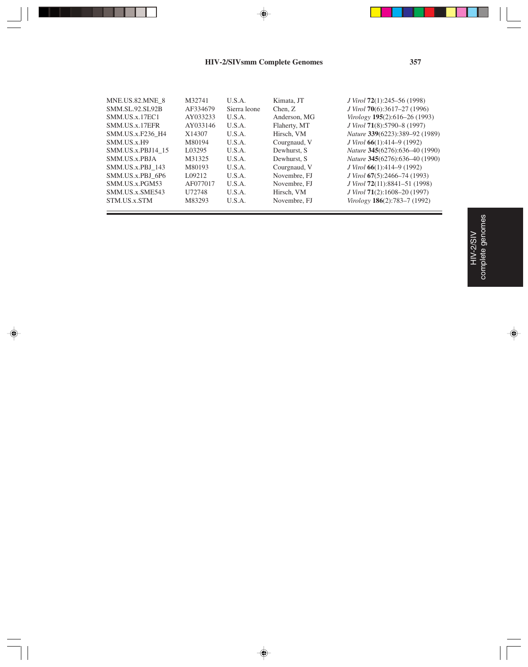| M32741   | U.S.A.       | Kimata, JT   | J Virol 72(1):245–56 (1998)           |
|----------|--------------|--------------|---------------------------------------|
| AF334679 | Sierra leone | Chen. Z      | J Virol 70(6):3617-27 (1996)          |
| AY033233 | U.S.A.       | Anderson, MG | Virology $195(2):616-26(1993)$        |
| AY033146 | U.S.A.       | Flaherty, MT | J Virol 71(8):5790-8 (1997)           |
| X14307   | U.S.A.       | Hirsch, VM   | Nature 339(6223):389-92 (1989)        |
| M80194   | U.S.A.       | Courgnaud, V | J Virol 66(1):414–9 (1992)            |
| L03295   | U.S.A.       | Dewhurst, S  | <i>Nature</i> 345(6276):636–40 (1990) |
| M31325   | U.S.A.       | Dewhurst, S. | <i>Nature</i> 345(6276):636–40 (1990) |
| M80193   | U.S.A.       | Courgnaud, V | J Virol 66(1):414–9 (1992)            |
| L09212   | U.S.A.       | Novembre, FJ | J Virol 67(5):2466–74 (1993)          |
| AF077017 | U.S.A.       | Novembre, FJ | J Virol 72(11):8841–51 (1998)         |
| U72748   | U.S.A.       | Hirsch, VM   | J Virol 71(2):1608-20 (1997)          |
| M83293   | U.S.A.       | Novembre, FJ | Virology $186(2)$ :783-7 (1992)       |
|          |              |              |                                       |

Ξ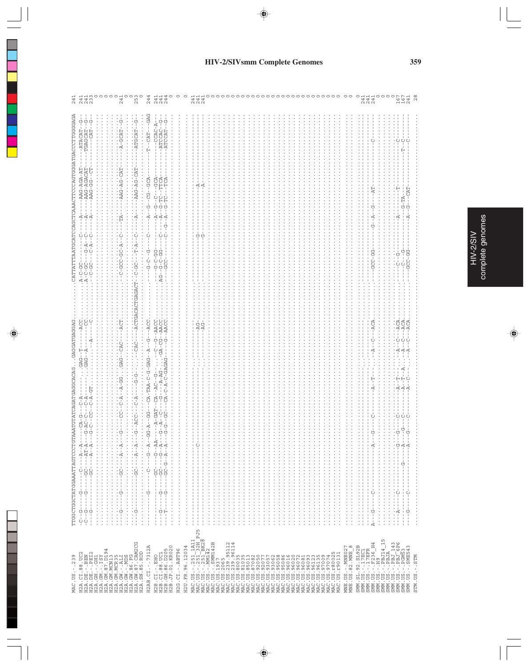| ř<br>≒<br>Ŕ<br>ţ<br>ţ<br>j<br>⋍<br>э |
|--------------------------------------|
|--------------------------------------|

္တ

| 241<br>233<br>241<br>241                                                                                                                                                                                                                                                                                                                                                         | O<br>241         | 253                                                                                        | 244<br>241<br>244<br>241                                                                                                         | 2<br>444<br>222<br>$\frac{1}{241}$<br>241                                                                                                                                                                                                                                                                                                                                                                                                                                                                                                                                                                                                                                                                                                                                                                                                                                  | 167<br>167<br>181<br>$\sim$                                                                                                                                            |
|----------------------------------------------------------------------------------------------------------------------------------------------------------------------------------------------------------------------------------------------------------------------------------------------------------------------------------------------------------------------------------|------------------|--------------------------------------------------------------------------------------------|----------------------------------------------------------------------------------------------------------------------------------|----------------------------------------------------------------------------------------------------------------------------------------------------------------------------------------------------------------------------------------------------------------------------------------------------------------------------------------------------------------------------------------------------------------------------------------------------------------------------------------------------------------------------------------------------------------------------------------------------------------------------------------------------------------------------------------------------------------------------------------------------------------------------------------------------------------------------------------------------------------------------|------------------------------------------------------------------------------------------------------------------------------------------------------------------------|
| $-ATACATT - G-$<br>Ġ<br>ひ<br>-TGAGCAT<br>$-CAT$                                                                                                                                                                                                                                                                                                                                  | ひ<br>$A-GCAT -$  | ひ<br>-ATGCAT-<br>$\frac{1}{2}$                                                             | $- - GAG$<br>ပ် ပ<br>$-CCAC - A$<br>ATCCAT<br>$-$ CAT $-$<br>-ATCCAC                                                             |                                                                                                                                                                                                                                                                                                                                                                                                                                                                                                                                                                                                                                                                                                                                                                                                                                                                            | C<br>Н                                                                                                                                                                 |
| ddddduhhooddddddhaddobhhodddhooddddddhaouhadhhahhhao<br>-AAG-AGA-AT<br>-AAG-AGACAT<br>$-AG-GG--CT$                                                                                                                                                                                                                                                                               | -AAG-AG-CAT      | -AAG-AG-CAT<br>$\vdots$                                                                    | $-GCA$<br>$rac{1}{C}$<br>ά                                                                                                       | К<br>⋖<br>AT.<br>Ο                                                                                                                                                                                                                                                                                                                                                                                                                                                                                                                                                                                                                                                                                                                                                                                                                                                         | CAT.<br>$G-TA$<br>Ú                                                                                                                                                    |
| $- A -$<br>К<br>К                                                                                                                                                                                                                                                                                                                                                                | $T_A$            | К                                                                                          | K,<br>ΑA<br>也                                                                                                                    |                                                                                                                                                                                                                                                                                                                                                                                                                                                                                                                                                                                                                                                                                                                                                                                                                                                                            |                                                                                                                                                                        |
| Ÿ<br>U<br>Y<br>$\ddot{G}$ – $\ddot{A}$<br>$-4$<br>U<br>$A - C - GC$<br>ひしし<br>じゅっし<br>$\overline{A}$                                                                                                                                                                                                                                                                             | $-6C$<br>$-95$   | ٠C<br>$\overline{A}$<br>부<br>$\frac{1}{2}$                                                 | U<br>C<br><u>ქ</u><br>$\frac{1}{2}$<br>どりー<br>ာင်<br>၁၁<br>しょう<br>C<br>C<br>C<br>٠<br>$\ddot{A}$                                 | ひ<br>50-<br>U<br>UU                                                                                                                                                                                                                                                                                                                                                                                                                                                                                                                                                                                                                                                                                                                                                                                                                                                        | υ<br><b>99-205</b><br>ပု<br>U                                                                                                                                          |
| -ACC<br>g                                                                                                                                                                                                                                                                                                                                                                        | ACT              | GAGAC<br>-ACTGACACT<br>$\begin{array}{c} \vdots \\ \vdots \\ \vdots \\ \vdots \end{array}$ | -AACC.<br><b>AACC</b><br>$-ACC$<br>$-AACC$                                                                                       | $-ACA$<br>Ŕ<br>ÄĠ                                                                                                                                                                                                                                                                                                                                                                                                                                                                                                                                                                                                                                                                                                                                                                                                                                                          | $-ACA$<br><b>ACA</b><br>ACA                                                                                                                                            |
| $GAG - T - T -$                                                                                                                                                                                                                                                                                                                                                                  | $-CAC$           | CAC                                                                                        | $\overset{-}{\circlearrowright}$<br>$-5 - 4 - 6 -$<br>Ü<br>$-GA-CG$<br>↻                                                         | $\frac{1}{\sqrt{2}}$                                                                                                                                                                                                                                                                                                                                                                                                                                                                                                                                                                                                                                                                                                                                                                                                                                                       | $\mathbf{I}$<br>ΰŮ<br>U<br>$\overline{\phantom{a}}$<br>К<br>$\mathbb{A}$                                                                                               |
| AAATGTATCAGATGAGCACACGAGGATGAGGAG<br>GAG.<br>$C - A - GT$<br>$C - A -$<br>К<br>ΰ                                                                                                                                                                                                                                                                                                 | .GAG<br><b>ყ</b> | 먹<br>$\dot{c}$<br>$-4$                                                                     | CA-TAA-C-ATH<br>CA-C-A-C-GAGA<br>$-A-AG$<br>$-CA - C - C -$<br>ひ                                                                 | F                                                                                                                                                                                                                                                                                                                                                                                                                                                                                                                                                                                                                                                                                                                                                                                                                                                                          | $-4$<br>C<br>н<br>$\mathbb{A} \triangleleft$<br>К                                                                                                                      |
| $CA-G$<br>ុ<br>$\frac{1}{1}$<br>$G - AC$<br>ΥJ<br>ひ                                                                                                                                                                                                                                                                                                                              |                  | $-ACC$                                                                                     | $-14-34T-7$<br>-55-4-55<br>$-C$<br>؋<br>$\mathbf{I}$<br>ひ<br>U                                                                   |                                                                                                                                                                                                                                                                                                                                                                                                                                                                                                                                                                                                                                                                                                                                                                                                                                                                            | U<br>C<br>υ                                                                                                                                                            |
| FUCULOGRAM TRANSPORTOUR                                                                                                                                                                                                                                                                                                                                                          |                  |                                                                                            |                                                                                                                                  |                                                                                                                                                                                                                                                                                                                                                                                                                                                                                                                                                                                                                                                                                                                                                                                                                                                                            | $\vdots$<br>٠<br>.<br>$\frac{1}{\sqrt{2}}$<br>Ч,<br>Ą<br>Í<br>$\mathbf{I}$<br>ပှံ                                                                                      |
| $\,$ I<br>$\frac{1}{4}$<br>$\,$ I<br>$\mathbf{I}$                                                                                                                                                                                                                                                                                                                                |                  |                                                                                            | ţ<br>$\mathbb{I}$<br>$\mathbf{I}$<br>$-1$<br>ロー                                                                                  |                                                                                                                                                                                                                                                                                                                                                                                                                                                                                                                                                                                                                                                                                                                                                                                                                                                                            | $-1$                                                                                                                                                                   |
| $\mathbf{I}$<br>$\,$ $\,$<br>$-1$<br>$\cdot$<br>$\mathbf{I}$                                                                                                                                                                                                                                                                                                                     | $\cdot$          |                                                                                            | Ŷ.<br>$\mathbf{I}$<br>İ<br>$\begin{array}{c} 1 \\ 0 \\ 1 \\ 1 \end{array}$<br>t<br>$\mathbf{I}$                                  | $\frac{1}{2}$<br>$\frac{1}{1}$<br>$\frac{1}{1}$<br>$\cdot$<br>K.                                                                                                                                                                                                                                                                                                                                                                                                                                                                                                                                                                                                                                                                                                                                                                                                           | - - - - - - - - C<br>$\vdots$<br>$\begin{array}{c} \cdot \\ \cdot \\ \cdot \\ \cdot \\ \cdot \end{array}$<br>$\frac{1}{2}$<br>$\frac{1}{\mathcal{G}}$<br>$\frac{1}{2}$ |
| $\begin{array}{l} \rm H2A,\,CL, 88,\,UC2\\ \rm H2A,\,DE.-BEN\\ \rm H2A,\,GH.-GBI.-GBI\\ \rm H2A,\,GH.-LSS\\ \rm H2A,\,CH.-LSS\\ \rm H2A,\,CH.-LSS\\ \rm H2A,\,CH, 15Y\\ \rm H2A,\,CH, 15Y\\ \rm H2A,\,CH, 15Y\\ \rm H2A,\,CH, 15Y\\ \rm H2A,\,CH, 15Y\\ \rm H2A,\,CH, 15Y\\ \rm H2A,\,CH, 15Y\\ \rm H2A,\,CH, 16Y\\ \rm H2A,\,CH, 16Y\\ \rm H2A,\,$<br>.239<br>$\cdot$<br>MAC.US |                  |                                                                                            | H2AB. CI. - . 7312A<br>H2B.CI.-.HHO<br>H2B.CI.88.UC1<br>H2B.CH.86.D205<br>H2B.JP.01.KR020<br>H2U. FR. 96.12034<br>H2G.CI.-.ABT96 | $\begin{smallmatrix} \tt{M2.C.J31\_1211} \\ \tt{M3.C.J31\_2211} \\ \tt{M4.C.J31\_2211} \\ \tt{M4.C.J31\_2211} \\ \tt{M4.C.J31\_2211} \\ \tt{M4.C.J32} \\ \tt{M4.C.J32} \\ \tt{M4.C.J33} \\ \tt{M4.C.J33} \\ \tt{M4.C.J33} \\ \tt{M4.C.J33} \\ \tt{M4.C.J33} \\ \tt{M4.C.J33} \\ \tt{M4.C.J33} \\ \tt{M4.C.J33} \\ \tt{M4.C.J33} \\ \tt{M4.C.J33} \\ \tt$<br>$\begin{array}{l} \mathbf{SMM}, \; \mathbf{SL}, \; 22, \; 31.92 \mathbf{B} \\ \mathbf{SMM}, \; \mathbf{US} \; . \; . \; . \; 17 \, \mathbf{B}\mathbf{E} \\ \mathbf{SMM}, \; \mathbf{US} \; . \; . \; . \; \mathbf{F23.6} \; \; \mathbf{H4} \\ \mathbf{SMM}, \; \mathbf{US} \; . \; . \; \mathbf{E23.6} \; \; \mathbf{H4} \\ \mathbf{SMM}, \; \mathbf{US} \; . \; . \; \mathbf{BBJ4} \; \; . \; \mathbf$<br>$\frac{\texttt{MNE}}{\texttt{MNE}}\cdot\texttt{US}\cdot\texttt{82}\cdot\texttt{MNE}\cdot\texttt{8}$ | L<br>$-$ . PGM53<br>-. SME543<br><b>NLS</b><br>$\cdot$<br>SMM.US<br>SMM.US<br>STM.US                                                                                   |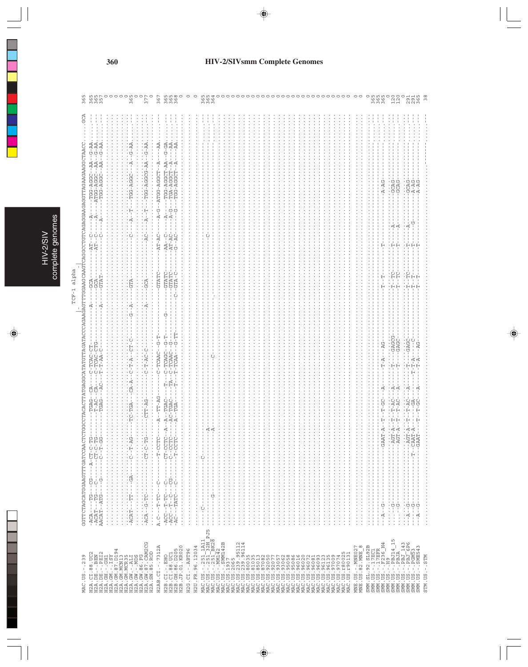|           | 365<br>$\circ$<br>365<br>o<br>377<br>ECA<br>CO                                                                                                                                                                                                                                                                                                                                                                                                                                                                                                              | 5<br>6<br>6<br>6<br>6<br>6<br>6<br>6<br>5<br>367                                | 38<br>$120$<br>$120$<br>5<br>6<br>6<br>6 6 6<br>6 7                                                                                                                                                                                                                                                                                                                                                                                                                                                                                                                                                                           |
|-----------|-------------------------------------------------------------------------------------------------------------------------------------------------------------------------------------------------------------------------------------------------------------------------------------------------------------------------------------------------------------------------------------------------------------------------------------------------------------------------------------------------------------------------------------------------------------|---------------------------------------------------------------------------------|-------------------------------------------------------------------------------------------------------------------------------------------------------------------------------------------------------------------------------------------------------------------------------------------------------------------------------------------------------------------------------------------------------------------------------------------------------------------------------------------------------------------------------------------------------------------------------------------------------------------------------|
|           | $-6-RA$<br>$G - A$<br>$G - A$<br>$G - PAA$<br>$G - A$                                                                                                                                                                                                                                                                                                                                                                                                                                                                                                       | $-AA$<br>$G-GA$<br>AA                                                           |                                                                                                                                                                                                                                                                                                                                                                                                                                                                                                                                                                                                                               |
|           | $-AA$<br>AA.<br>$-AA$<br>-TGG-AGGCG-AA<br>$-4$<br>-TGG-AGGC<br>-AGGC<br>TGG-AGGC<br>UUU4-UU1-                                                                                                                                                                                                                                                                                                                                                                                                                                                               | -ATGG-AGGCT--A<br>TGG-AGGCT-AA<br>K,<br>$\overline{A}$                          | GCAG-<br>$A - AG$<br>GCAG<br>GCAG<br>$A - AG$                                                                                                                                                                                                                                                                                                                                                                                                                                                                                                                                                                                 |
|           | ATGG<br>텃<br>$\ddot{\cdot}$<br>$-4$<br>К<br>К                                                                                                                                                                                                                                                                                                                                                                                                                                                                                                               | TGA<br>- A - G<br>$\frac{1}{\sqrt{2}}$<br>U<br>К<br>К                           | ひ                                                                                                                                                                                                                                                                                                                                                                                                                                                                                                                                                                                                                             |
|           | Ÿ<br>C<br>$-AC$<br>◡<br>$-AT -$<br>$-AT$                                                                                                                                                                                                                                                                                                                                                                                                                                                                                                                    | $-AT-AC$<br>i<br>$AT-AC$<br>AA-                                                 | Ŗ<br>⊢                                                                                                                                                                                                                                                                                                                                                                                                                                                                                                                                                                                                                        |
| alpha     | GTAT<br>$\vdots$<br>dCA-<br>CCA<br>GCA                                                                                                                                                                                                                                                                                                                                                                                                                                                                                                                      | GTATC<br>GTATC<br>GTATC<br>GTA                                                  | $-10$<br>U<br>F<br>Н<br>е<br>е<br>Е<br>Ħ                                                                                                                                                                                                                                                                                                                                                                                                                                                                                                                                                                                      |
| $TCF - 1$ | $-A$ -                                                                                                                                                                                                                                                                                                                                                                                                                                                                                                                                                      | ぴ                                                                               |                                                                                                                                                                                                                                                                                                                                                                                                                                                                                                                                                                                                                               |
|           | TCAC-CTG<br>57<br>C-TCAC-CT<br>$\cdots$ $\cdots$ $\cdots$<br>$-TA - TA -$                                                                                                                                                                                                                                                                                                                                                                                                                                                                                   | E<br>けっけ<br>日っ<br>C<br>-TCAAC-<br>-TCAGC<br>TCAAC<br>TCAA                       | GAGCG<br>GAGC<br>: CAGC<br>U<br>$-AC$<br>$-AG$<br>$T - A$<br>F<br>1<br>$\vdots$                                                                                                                                                                                                                                                                                                                                                                                                                                                                                                                                               |
|           | Ę<br>C<br>Ŗ<br>$-AC$<br>$-C$<br>I                                                                                                                                                                                                                                                                                                                                                                                                                                                                                                                           | U<br>FA                                                                         | Н                                                                                                                                                                                                                                                                                                                                                                                                                                                                                                                                                                                                                             |
|           | TGAG--CA<br>TGAG<br>$T - AC$<br>-CTT-AG<br>$-TCGA$                                                                                                                                                                                                                                                                                                                                                                                                                                                                                                          | $- A - T T - AG$<br>$-2A - TGAC$<br>TGAC<br>$AC -$<br>$-4$                      | $T - AC -$<br>$-26 -$<br>ひりー<br>$-AC$<br>こじ<br>К                                                                                                                                                                                                                                                                                                                                                                                                                                                                                                                                                                              |
|           | ġ<br>Ġ<br>펀<br>$- -A - CT - C - T$                                                                                                                                                                                                                                                                                                                                                                                                                                                                                                                          | ↻<br>↻<br>$\ddot{\phantom{0}}$                                                  | $-TT-AB$<br>$G-T-A$<br>A-TĐ<br>$- - - -$<br>$-4$<br>$-1 - 1 - 1 - 1$<br>$-6A$<br>ĩ<br>$\frac{1}{2}$ , $\frac{1}{2}$ , $\frac{1}{2}$ , $\frac{1}{2}$ , $\frac{1}{2}$ , $\frac{1}{2}$ , $\frac{1}{2}$ , $\frac{1}{2}$ , $\frac{1}{2}$ , $\frac{1}{2}$ , $\frac{1}{2}$ , $\frac{1}{2}$ , $\frac{1}{2}$ , $\frac{1}{2}$ , $\frac{1}{2}$ , $\frac{1}{2}$ , $\frac{1}{2}$ , $\frac{1}{2}$ , $\frac{1$<br>t                                                                                                                                                                                                                          |
|           | $\begin{minipage}{0.9\textwidth} \begin{tabular}{@{}c@{}} \hline \multicolumn{2}{c}{\textbf{0.9\textwidth} \begin{tabular}{@{}c@{}} \hline \multicolumn{2}{c}{\textbf{0.9\textwidth} \begin{tabular}{@{}c@{}} \hline \multicolumn{2}{c}{\textbf{0.9\textwidth} \begin{tabular}{@{}c@{}} \hline \multicolumn{2}{c}{\textbf{0.9\textwidth} \begin{tabular}{@{}c@{}} \hline \multicolumn{2}{c}{\textbf{0.9\textwidth} \begin{tabular}{@{}c@{}} \hline \multicolumn{2}{c}{\textbf{0.9$<br>J.<br>$\blacksquare$<br>$-1 - 20 - 1 - 24 - 1 - 1$<br>$- - - - - - -$ |                                                                                 |                                                                                                                                                                                                                                                                                                                                                                                                                                                                                                                                                                                                                               |
|           | $-ACAT--TG-AACAT--ATG-$<br>$\,$<br>$-ACA-$                                                                                                                                                                                                                                                                                                                                                                                                                                                                                                                  |                                                                                 | A.<br>$-5-$<br>é<br>$- -A - C$<br>$\ddot{0}$ $\ddot{0}$ $\ddot{0}$ $\ddot{0}$ $\ddot{0}$ $\ddot{0}$ $\ddot{0}$ $\ddot{0}$ $\ddot{0}$ $\ddot{0}$ $\ddot{0}$ $\ddot{0}$ $\ddot{0}$ $\ddot{0}$ $\ddot{0}$ $\ddot{0}$ $\ddot{0}$ $\ddot{0}$ $\ddot{0}$ $\ddot{0}$ $\ddot{0}$ $\ddot{0}$ $\ddot{0}$ $\ddot{0}$ $\ddot{$<br>$\frac{1}{2}$<br>ロー<br>$\frac{1}{2}$<br>$- - A - -$<br>$- - A -$<br>$\frac{1}{2}$<br>$\vdots$<br>$\,$ $\,$<br>٠                                                                                                                                                                                         |
|           | $\begin{array}{ll} \text{H2A.}\ \text{CL} & \text{88.}\ \text{UC2}\\ \text{H2A.}\ \text{DBi}\cdot\text{-}\text{BBI}\\ \text{H2A.}\ \text{dBi}\cdot\text{-}\text{H2I}\\ \text{H2A.}\ \text{GH}\cdot\text{-}\text{-}\text{LST}\\ \text{H2A.}\ \text{GH}\cdot\text{-}\text{-}\text{LST}\\ \text{H2A.}\ \text{GH}\cdot\text{-}\text{-}\text{LST}\\ \text{H2A.}\ \text{GH}\cdot\text{MOM13}\\ \text{H2A.}\ \text{GH}\cdot\text{-}\text{CH35}\\ \text{H2A.}\ \text{GH}\$<br>.239                                                                                  | H2B.CI.-.BHO<br>H2B.CI.88.UC1<br>H2B.GH.86.D205<br>H2B.JP.01.KR020<br>$-.ABT96$ | PJ5<br>MAC.US.-.251 1A11<br>MAC.US.-.251 32H P<br>MAC.US.-.251 BX28<br>MAC.US.-.MM142<br>S<br>${\bf \begin{smallmatrix} 125 & 0.00000 & 0.00000 & 0.00000 & 0.00000 & 0.00000 & 0.00000 & 0.00000 & 0.00000 & 0.00000 & 0.00000 & 0.00000 & 0.00000 & 0.00000 & 0.00000 & 0.00000 & 0.00000 & 0.00000 & 0.00000 & 0.00000 & 0.00000 & 0.00000 & 0.00000 & 0.00000 &$<br>$\overline{\phantom{0}}$<br>SMM.US.-.PBJ_143<br>SMM.US.-.PBJ_6P6<br>SMM. SL. 92. SL92B<br>SMM. US. - .17BC1<br>SMM. US. - .17BCR<br>SMM. US. - .F236 _H4<br>SMM. US. - .H9<br>$\infty$<br>96.12034<br>SME543<br>PGM53<br>$2.$ MNE<br><b>NLSS</b><br>7 |
|           | MAC.US.                                                                                                                                                                                                                                                                                                                                                                                                                                                                                                                                                     | H2AB.CI.-.7312A<br>H2G.CI.                                                      | MNE. US. - . MNE027<br>SMM.US.-.PBJ14_<br>SMM.US.-.PBJA<br>MNE.US.8<br>H2U.FR.<br>SMM.US.<br>SMM.US<br>STM. US                                                                                                                                                                                                                                                                                                                                                                                                                                                                                                                |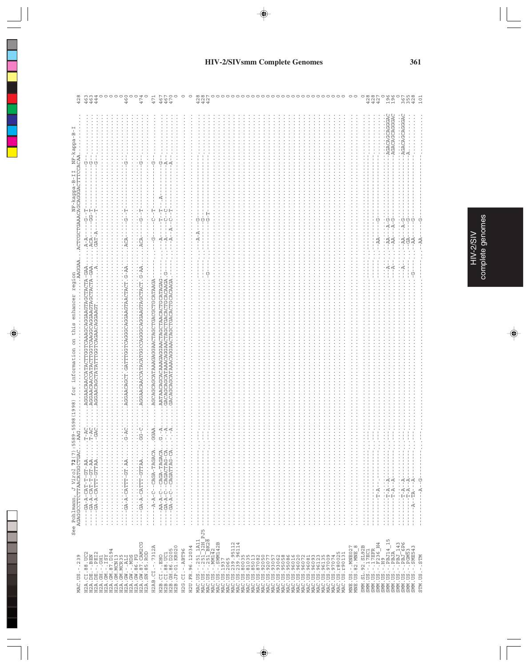| í<br>ì<br>č<br>ì |
|------------------|
|------------------|

စ္တ

| 428                                                                                   | 4 4 4<br>6 6 4<br>4 4 4                                                                                                                                                                                                                 |                                                                                                                                                                                                                                                                                                                                                                                                                                        | 460                                                                                                                                                                                                                                                                                                                                          |                                                                                                                 | 474                             | 471                                                 | 467<br>470<br>467                                                                                                                |                                      | 44444                                                                                         |                        |  |  |  |  |  |  |                                                                                                                                                                                                                                                                                                                                                                                                                                                                                                                                                                       |                                                          | 44444                                               |                                              | O             | 1966                                           |                                                            | 5558<br>5558<br>555                                                              | $\frac{1}{101}$      |
|---------------------------------------------------------------------------------------|-----------------------------------------------------------------------------------------------------------------------------------------------------------------------------------------------------------------------------------------|----------------------------------------------------------------------------------------------------------------------------------------------------------------------------------------------------------------------------------------------------------------------------------------------------------------------------------------------------------------------------------------------------------------------------------------|----------------------------------------------------------------------------------------------------------------------------------------------------------------------------------------------------------------------------------------------------------------------------------------------------------------------------------------------|-----------------------------------------------------------------------------------------------------------------|---------------------------------|-----------------------------------------------------|----------------------------------------------------------------------------------------------------------------------------------|--------------------------------------|-----------------------------------------------------------------------------------------------|------------------------|--|--|--|--|--|--|-----------------------------------------------------------------------------------------------------------------------------------------------------------------------------------------------------------------------------------------------------------------------------------------------------------------------------------------------------------------------------------------------------------------------------------------------------------------------------------------------------------------------------------------------------------------------|----------------------------------------------------------|-----------------------------------------------------|----------------------------------------------|---------------|------------------------------------------------|------------------------------------------------------------|----------------------------------------------------------------------------------|----------------------|
| NF-kappa-B-<br>. AKOKOOLLILOKOOPOKOPOKOKREOLOZY.<br>- YEZOOLLILOKOOPOKOPOKOKOLOOLOZY. | Ü<br>ب<br>ひ                                                                                                                                                                                                                             |                                                                                                                                                                                                                                                                                                                                                                                                                                        |                                                                                                                                                                                                                                                                                                                                              |                                                                                                                 |                                 |                                                     | ひ<br>К<br>-A                                                                                                                     |                                      |                                                                                               |                        |  |  |  |  |  |  |                                                                                                                                                                                                                                                                                                                                                                                                                                                                                                                                                                       |                                                          |                                                     |                                              | AGACAGCAGGGAC | -AGACAGCAGGA                                   | -AGACAGCAGGGA<br>$\vdots$                                  | К                                                                                |                      |
|                                                                                       | $-1$<br>$T - 55 -$<br>F                                                                                                                                                                                                                 |                                                                                                                                                                                                                                                                                                                                                                                                                                        | 턱<br>U                                                                                                                                                                                                                                                                                                                                       | :号                                                                                                              | ひ                               | н<br>↻                                              | بم.<br>.<br>н<br>U<br>텃<br>Н<br>U<br>U                                                                                           |                                      | Ο<br>ひ                                                                                        |                        |  |  |  |  |  |  |                                                                                                                                                                                                                                                                                                                                                                                                                                                                                                                                                                       |                                                          |                                                     | Ο                                            | : ෆ           | $-4$                                           | $-A-G$<br>$\vdots$                                         | Ġ<br>ひ                                                                           | U                    |
|                                                                                       | $A - A - -$<br>$ACA--$<br>GAT-A                                                                                                                                                                                                         |                                                                                                                                                                                                                                                                                                                                                                                                                                        | ACA                                                                                                                                                                                                                                                                                                                                          | $\ddot{\phantom{0}}$<br>: ACA                                                                                   |                                 | ひ                                                   | $-A - A$<br>$-4-$<br>$-\overline{A}$                                                                                             |                                      | $-A-A$                                                                                        |                        |  |  |  |  |  |  |                                                                                                                                                                                                                                                                                                                                                                                                                                                                                                                                                                       |                                                          |                                                     | ĀĀ.                                          | $\ddot{A}$ -  | $-AA-$                                         | $\vdots$<br>$AA-$                                          | $G-A-$<br>$AA-$                                                                  | $-AA$                |
| enhancer region                                                                       |                                                                                                                                                                                                                                         |                                                                                                                                                                                                                                                                                                                                                                                                                                        |                                                                                                                                                                                                                                                                                                                                              |                                                                                                                 |                                 |                                                     |                                                                                                                                  |                                      | 먹                                                                                             |                        |  |  |  |  |  |  |                                                                                                                                                                                                                                                                                                                                                                                                                                                                                                                                                                       |                                                          |                                                     |                                              | К             | $-A -$                                         | $\bullet$<br>$- A -$<br>$\vdots$                           | U                                                                                |                      |
| on this<br>$\frac{1}{2}$                                                              | AGGAACCAACCAGGGAACCETCAACLEOULLOURENCAACCAACCAAC<br>AGGAACAACCATACTTGGTCAAGGAAGGAAGTAGCTACTA-GAA<br>. AGGAACAAGATATATATATAGAACAGAAGAA                                                                                                   |                                                                                                                                                                                                                                                                                                                                                                                                                                        | ACAACUAACUTTGGTCAGGGAAGGAAGTAACTAA                                                                                                                                                                                                                                                                                                           |                                                                                                                 |                                 | AGCAGCAGCATAAAGAGCAACTAGCTGACGCTGCATAAGA            | RATARCACACAAAGAGGAACTAACACTGCATAGAG<br>AGAACACDEOACACHOUGHOAAGOACOAGHAAHAOGAOGHOAG                                               |                                      |                                                                                               |                        |  |  |  |  |  |  |                                                                                                                                                                                                                                                                                                                                                                                                                                                                                                                                                                       |                                                          |                                                     |                                              |               |                                                |                                                            |                                                                                  |                      |
| for information<br>.<br>$\vdots$<br>9-5598 (1998)                                     |                                                                                                                                                                                                                                         |                                                                                                                                                                                                                                                                                                                                                                                                                                        |                                                                                                                                                                                                                                                                                                                                              |                                                                                                                 |                                 |                                                     |                                                                                                                                  |                                      |                                                                                               |                        |  |  |  |  |  |  |                                                                                                                                                                                                                                                                                                                                                                                                                                                                                                                                                                       |                                                          |                                                     |                                              |               |                                                |                                                            |                                                                                  |                      |
| AG                                                                                    | þ                                                                                                                                                                                                                                       |                                                                                                                                                                                                                                                                                                                                                                                                                                        | $-AC$                                                                                                                                                                                                                                                                                                                                        | .<br>: ს                                                                                                        |                                 | <b>SAAA</b>                                         | $-4$<br>$-4$<br>$-4$                                                                                                             |                                      |                                                                                               |                        |  |  |  |  |  |  |                                                                                                                                                                                                                                                                                                                                                                                                                                                                                                                                                                       |                                                          |                                                     |                                              |               |                                                |                                                            |                                                                                  |                      |
| See Pohlmann, J Virol 72(7):558<br>AGAGGCCTTCTTAACATGGCTGACA                          | $\begin{array}{l} --G A - A - C A T - T - G T - A A \\ --G A - A - C A T - T - G T - A A \\ --G A - A - C A T - T - G T - A A \end{array}.$<br>$- - G A - A - C A T T T - G T T A A.$<br>$\mathbf{I}$<br>f,<br>f,<br>$\sf I$<br>J<br>J. | .                                                                                                                                                                                                                                                                                                                                                                                                                                      | $\vdots$ $\vdots$ $\vdots$ $\vdots$ $\vdots$ $\vdots$ $\vdots$ $\vdots$ $\vdots$ $\vdots$ $\vdots$ $\vdots$ $\vdots$ $\vdots$ $\vdots$ $\vdots$ $\vdots$ $\vdots$ $\vdots$ $\vdots$ $\vdots$ $\vdots$ $\vdots$ $\vdots$ $\vdots$ $\vdots$ $\vdots$ $\vdots$ $\vdots$ $\vdots$ $\vdots$ $\vdots$ $\vdots$ $\vdots$ $\vdots$ $\vdots$ $\vdots$ | $\cdots \cdots \cdots \cdots \cdots \cdots \cdots \cdots \cdots$<br>$\cdot$<br>$\vdots$<br>$\vdots$<br>$\vdots$ | .<br>$\vdots$<br>$\ddot{\cdot}$ | $-1 - A - A - C - CAGA - TAGACACA$ .<br>$\mathbf I$ | $\begin{array}{l} --2A-A-C-CACA-TACACA \ . \\ --GA-A-C-CACACCTAC-CA \ . \\ --GA-A-C-CACACTTAC-CA \ . \end{array}$<br>.<br>$\,$ I |                                      |                                                                                               |                        |  |  |  |  |  |  |                                                                                                                                                                                                                                                                                                                                                                                                                                                                                                                                                                       |                                                          | $\frac{1}{1}$<br>$\frac{1}{1}$                      | $- - - - - - - - - - - - -$<br>$\frac{1}{1}$ |               |                                                |                                                            | $- - -T - A - -A - -$<br>$- A - T A - - A - -$<br>J.<br>I,<br>٠<br>$\mathfrak l$ | $-4 - -1 - 6$        |
| $-0.239$<br>$\cdot$<br>MAC.US                                                         | .88.UC2<br>H <sub>2</sub> A.CI                                                                                                                                                                                                          | $\begin{tabular}{l c c c c} \hline \multicolumn{4}{l}{\textbf{123.}}\hline \multicolumn{4}{l}{\textbf{124.}}\hline \multicolumn{4}{l}{\textbf{125.}}\hline \multicolumn{4}{l}{\textbf{125.}}\hline \multicolumn{4}{l}{\textbf{126.}}\hline \multicolumn{4}{l}{\textbf{127.}}\hline \multicolumn{4}{l}{\textbf{127.}}\hline \multicolumn{4}{l}{\textbf{128.}}\hline \multicolumn{4}{l}{\textbf{129.}}\hline \multicolumn{4}{l}{\textbf$ |                                                                                                                                                                                                                                                                                                                                              |                                                                                                                 |                                 | H2AB.CI.-.7312A                                     | $\circ$<br>H2B.CI.-.EHO<br>H2B.CI.88.UC1<br>H2B.CH.86.D205<br>H2B.JP.01.KR020                                                    | H2U.FR.96.12034<br>H2G.CI. - . ABT96 | PJ5<br>MAC.US. - .251_1A11<br>MAC.US. - .251_32H<br>MAC.US. - .251_BK28<br>MAC.US.<br>MAC.US. | $-$ . MM142<br>$\cdot$ |  |  |  |  |  |  | ${\bf M} \times {\bf C} \times {\bf C} \times {\bf C} \times {\bf C} \times {\bf C} \times {\bf C} \times {\bf C} \times {\bf C} \times {\bf C} \times {\bf C} \times {\bf C} \times {\bf C} \times {\bf C} \times {\bf C} \times {\bf C} \times {\bf C} \times {\bf C} \times {\bf C} \times {\bf C} \times {\bf C} \times {\bf C} \times {\bf C} \times {\bf C} \times {\bf C} \times {\bf C} \times {\bf C} \times {\bf C} \times {\bf C} \times {\bf C} \times {\bf C} \times {\bf C} \times {\bf C} \times {\bf C} \times {\bf C} \times {\bf C} \times {\bf C}$ | .-. MNE027<br>${}^{\circ}$<br>MNE. US. 82. MNE<br>MNE.US | SMM.SL.92.SL92B<br>SMM.US.-.17EC1<br>SMM.US.-.17EFR | $3. - F236H4$<br>$3. - H9$<br>SMM.US         | LO<br>SMM.US  | 3.-.PBJ14_15<br>3.-.PBJA<br>SMM.US.<br>SMM.US. | $-143$<br>$-143$<br>6P6<br>LBE.-<br>٠,<br>SMM.US<br>SMM.US | .SME543<br>.PGM53<br>$\cdot$<br>SMM.US.<br>SMM.US.                               | <b>NLS</b><br>STM.US |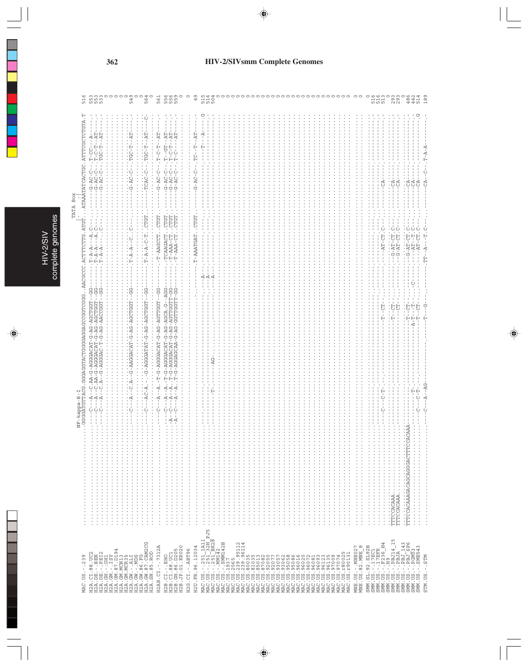| .239<br>MAC.US                                                                                                                                                                                                                                                                 | . . ATAAATATCACTGC . ATTTCGCTCTGTA . T<br>Box<br>TATA                                                                                                                                                                                                                                                                                                                                                                                                                                                                                                                                                                                                              | O<br>51                            |
|--------------------------------------------------------------------------------------------------------------------------------------------------------------------------------------------------------------------------------------------------------------------------------|--------------------------------------------------------------------------------------------------------------------------------------------------------------------------------------------------------------------------------------------------------------------------------------------------------------------------------------------------------------------------------------------------------------------------------------------------------------------------------------------------------------------------------------------------------------------------------------------------------------------------------------------------------------------|------------------------------------|
| .88.02<br>H <sub>2</sub> A.CI                                                                                                                                                                                                                                                  | $-AT$<br>К<br>К<br>-<br>÷<br>틒<br>텃<br>$T-CC$<br><b>TGC</b><br>ں<br>!<br>ī<br>٠<br>$\circ$<br>U<br>Ŗ<br>-A<br>$\begin{array}{l} \mathbf{T}-\mathbf{A}-\mathbf{A}\\ \mathbf{T}-\mathbf{A}-\mathbf{A}\\ \mathbf{T}-\mathbf{A}-\mathbf{A} \end{array} .$<br>ن<br>- - - -<br>ひ<br>ŏ<br>ပု<br>$-4 - 4 - (-1)$<br>$-4$<br>U<br>U                                                                                                                                                                                                                                                                                                                                         | ក្នុង<br>ត្រូង ក្នុង<br>ត្រូត ត្រូ |
|                                                                                                                                                                                                                                                                                |                                                                                                                                                                                                                                                                                                                                                                                                                                                                                                                                                                                                                                                                    | $\circ$<br>$\circ$                 |
|                                                                                                                                                                                                                                                                                |                                                                                                                                                                                                                                                                                                                                                                                                                                                                                                                                                                                                                                                                    |                                    |
|                                                                                                                                                                                                                                                                                | H<br>A<br>투<br>.<br>EC<br>U<br>ं टे<br>$-4$<br>Ů<br>U<br>U<br>$-4$<br>$\cdot \overset{\sim}{\mathcal{A}}$<br>Ė<br>CC<br>CC<br>-AG-AGCTGGT<br>-G-AAGGACAT-C-<br>$\bullet$<br>Ā.<br>$\cup$<br>$-4$                                                                                                                                                                                                                                                                                                                                                                                                                                                                   | ጣ<br>54                            |
|                                                                                                                                                                                                                                                                                | ٠Η<br>$\cdot$<br>ا∢∙<br>J.<br>٠Ε<br>- 1<br>$\frac{1}{2}$<br>$\cdot$ O<br>$\overline{\phantom{a}}$<br>ن .<br>:Š<br>٠Ε<br><b>TOTO.</b><br>$\vdots$<br>$\bullet$<br>: 두<br>$\Gamma$<br>$\tilde{A}$<br>$: \tilde{A}$<br>$\cdot \vdash$<br>ㆍ ひ<br>-AG-AGCTGGT<br>: Ÿ<br>C-AGGGATAT<br>$\bullet$<br>٠<br>$\bullet$<br>∙ ≮¦<br>$\bullet$<br>AC                                                                                                                                                                                                                                                                                                                            | 564                                |
| $-17312A$<br>H2AB.CI.                                                                                                                                                                                                                                                          | $-AT$<br>$T - C - T$<br>U<br>$G - AC -$<br>CTGT<br>T-AAGCCT<br>ĠĠ.<br>FUULLUA-UA-U-LAUAUUUUA-U-<br>Н<br>Ą<br>Ā,<br>U                                                                                                                                                                                                                                                                                                                                                                                                                                                                                                                                               | 561                                |
| H2B.CI.-.BHO<br>H2B.CI.88.UC1<br>H2B.CH.86.D205<br>H2B.JP.01.KR020                                                                                                                                                                                                             | ĘR<br>$-AT$<br>ь<br>К<br>$\blacksquare$<br>÷<br><b>L-1-1</b><br>텃<br>Ó<br>ု<br>U<br>U<br>U<br>CTGT<br>CTGT.<br>CTGT<br>$\begin{array}{ll} 1-{\bf A}{\bf A}{\bf A}-{\bf C}{\bf T}\\ 1-{\bf A}{\bf A}{\bf A}-{\bf C}{\bf T} \end{array}$<br>TCAAGACT<br>Н<br>$\mathsf{H}$<br>-<br>٠<br>AGG-<br>ひ<br>ひ<br>- 0+ AGGGACAT- 0- AG-AGTTGGTI-0-<br>- 0+ AGGAGCAA- 0- AG- 0GTTGGTT- 0-<br>$-AG-AGC A. G--$<br>$-AG-AGTTGGTT$<br>U-HAURDUCK-U-<br>Н<br>Н<br>⊢<br>$- A - A$<br>$- A - A$<br>$- A - A$<br>U<br>U<br>U<br>$\ddot{A}$ .<br>$\frac{1}{2}$<br>.<br>$\vdots$                                                                                                        | 556<br>555<br>555                  |
| H2U.FR.96.12034<br>$-.ABT96$<br>H2G.CI.                                                                                                                                                                                                                                        | $-AT$<br>턱<br>л<br>.<br>F<br>ပု<br>$G - AC$<br><b>UDDD</b> .<br>$\ddot{\phantom{0}}$<br><b>TADTAAL-</b><br>Ĥ                                                                                                                                                                                                                                                                                                                                                                                                                                                                                                                                                       | O<br>ጣ<br>4                        |
| MAC.US.                                                                                                                                                                                                                                                                        | $-4$<br>⊢<br>К                                                                                                                                                                                                                                                                                                                                                                                                                                                                                                                                                                                                                                                     |                                    |
| $-251$ 1A11<br>$-251$ 32H PJ5<br>$-251$ BK28<br>$-251$ BK28<br>VAC.US.<br>MAC.US.                                                                                                                                                                                              | К<br>Ą<br>$-AG$                                                                                                                                                                                                                                                                                                                                                                                                                                                                                                                                                                                                                                                    | 516<br>516<br>504                  |
| AAC.US.                                                                                                                                                                                                                                                                        |                                                                                                                                                                                                                                                                                                                                                                                                                                                                                                                                                                                                                                                                    |                                    |
|                                                                                                                                                                                                                                                                                |                                                                                                                                                                                                                                                                                                                                                                                                                                                                                                                                                                                                                                                                    |                                    |
|                                                                                                                                                                                                                                                                                |                                                                                                                                                                                                                                                                                                                                                                                                                                                                                                                                                                                                                                                                    |                                    |
|                                                                                                                                                                                                                                                                                |                                                                                                                                                                                                                                                                                                                                                                                                                                                                                                                                                                                                                                                                    |                                    |
|                                                                                                                                                                                                                                                                                |                                                                                                                                                                                                                                                                                                                                                                                                                                                                                                                                                                                                                                                                    |                                    |
|                                                                                                                                                                                                                                                                                |                                                                                                                                                                                                                                                                                                                                                                                                                                                                                                                                                                                                                                                                    |                                    |
| $\begin{smallmatrix} 12.1 & 12.1 & 13.1 & 14.1 & 14.1 & 14.1 & 14.1 & 14.1 & 14.1 & 14.1 & 14.1 & 14.1 & 14.1 & 14.1 & 14.1 & 14.1 & 14.1 & 14.1 & 14.1 & 14.1 & 14.1 & 14.1 & 14.1 & 14.1 & 14.1 & 14.1 & 14.1 & 14.1 & 14.1 & 14.1 & 14.1 & 14.1 & 14.1 & 14.1 & 14.1 & 14.$ |                                                                                                                                                                                                                                                                                                                                                                                                                                                                                                                                                                                                                                                                    |                                    |
|                                                                                                                                                                                                                                                                                |                                                                                                                                                                                                                                                                                                                                                                                                                                                                                                                                                                                                                                                                    |                                    |
|                                                                                                                                                                                                                                                                                |                                                                                                                                                                                                                                                                                                                                                                                                                                                                                                                                                                                                                                                                    |                                    |
|                                                                                                                                                                                                                                                                                |                                                                                                                                                                                                                                                                                                                                                                                                                                                                                                                                                                                                                                                                    |                                    |
|                                                                                                                                                                                                                                                                                |                                                                                                                                                                                                                                                                                                                                                                                                                                                                                                                                                                                                                                                                    |                                    |
|                                                                                                                                                                                                                                                                                |                                                                                                                                                                                                                                                                                                                                                                                                                                                                                                                                                                                                                                                                    |                                    |
|                                                                                                                                                                                                                                                                                |                                                                                                                                                                                                                                                                                                                                                                                                                                                                                                                                                                                                                                                                    |                                    |
|                                                                                                                                                                                                                                                                                |                                                                                                                                                                                                                                                                                                                                                                                                                                                                                                                                                                                                                                                                    |                                    |
|                                                                                                                                                                                                                                                                                | .                                                                                                                                                                                                                                                                                                                                                                                                                                                                                                                                                                                                                                                                  |                                    |
| $-$ . MNE027<br>$\infty$<br>MNE.US.82.MNE<br>MNE.US.                                                                                                                                                                                                                           |                                                                                                                                                                                                                                                                                                                                                                                                                                                                                                                                                                                                                                                                    |                                    |
| SMM.SL.92.SL92B<br>SMM.US.-.17EC1<br>SMM.US.-.17EC1<br>SMM.US.-.F236_H4                                                                                                                                                                                                        |                                                                                                                                                                                                                                                                                                                                                                                                                                                                                                                                                                                                                                                                    |                                    |
| $\ddot{H}$<br>SMM.US.                                                                                                                                                                                                                                                          | F<br>U<br>5<br>$-AT-$<br>5<br>텃<br>Ú<br>O                                                                                                                                                                                                                                                                                                                                                                                                                                                                                                                                                                                                                          | 514<br>514<br>515<br>c             |
| $-.PBJ14 15$<br>SMM.US. - . PBJA<br>SMM.US.                                                                                                                                                                                                                                    | G<br>F<br>U<br>U<br>$G - AT - CT$ .<br>5<br>$G - A T - C$<br>5<br>$\ddot{\sigma}$<br>$\begin{minipage}{0.9\textwidth} \begin{minipage}{0.9\textwidth} \begin{itemize} \color{blue}{\textwidth} \begin{itemize} \color{blue}{\textwidth} \begin{itemize} \color{blue}{\textwidth} \begin{itemize} \color{blue}{\textwidth} \end{itemize} \end{itemize} \end{minipage} \begin{minipage}{0.9\textwidth} \begin{itemize} \color{blue}{\textwidth} \begin{itemize} \color{blue}{\textwidth} \begin{itemize} \color{blue}{\textwidth} \begin{itemize} \color{blue}{\textwidth} \end{itemize} \end{itemize} \end{itemize} \end{minipage} \begin{minipage}{0.9\textwidth}$ | 293<br>293                         |
| SMM.US.-.PBJ_143<br>SMM.US.-.PBJ_6P6<br>SMM.US.-.PGM53                                                                                                                                                                                                                         | : 5<br>$\cdot$ O<br>$G - AT - CT$ .<br>$:\!5$<br>CAAA<br>TTTCCACAAAGCAGGAGGACTTCCC                                                                                                                                                                                                                                                                                                                                                                                                                                                                                                                                                                                 |                                    |
| - PGM53<br>- SME543<br>- SME543<br>SMM.US.                                                                                                                                                                                                                                     | E<br>E<br>Ć<br>$-AT - CT$<br>턱<br>$-AT -$<br>н<br>5<br>Н<br>ь<br>$\mathbb{A}^-$<br>Н<br>ь<br>Ü<br>U<br>.                                                                                                                                                                                                                                                                                                                                                                                                                                                                                                                                                           | 441                                |
| <b>NLES</b><br>STM.US                                                                                                                                                                                                                                                          | $T - A - A$<br>C<br>E<br>Ę<br>$TT - -A -$<br>U<br>$-A$ $  R$ $G$                                                                                                                                                                                                                                                                                                                                                                                                                                                                                                                                                                                                   | $\frac{\alpha}{\pi}$               |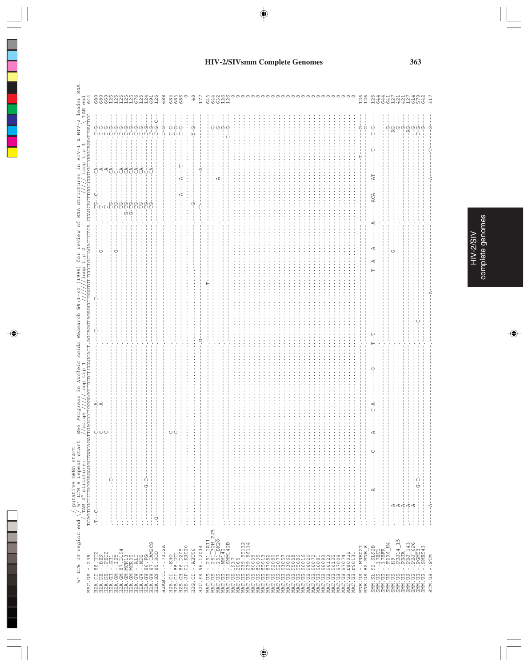| è<br>È<br>ģ |
|-------------|
|-------------|

| 5' LTR U3<br>ጣ<br>$\infty$<br>MAC. US. - . 2                                                                                                                                                                                                                                                                                                                                                                                                                              | leader<br>TAR end<br>e /////loop tip 1<br>crososassrrcrochscacr, ascassrasasccrossrrcroccrochaacrocrochscaccacrocoscosrochsasasacroccc<br>$HIV-2$<br>S<br>$\mathfrak{g}$<br>$HIV-1$<br>loop<br>$\tilde{\mathbb{H}}$<br>structures<br><b>RNA</b><br>$\overline{a}$<br>$2x$ eview<br>for<br>(1996)<br>$-34$<br>54:1<br>Research<br>Nucleic Acids<br>loop<br>цŗ<br>C)<br>Progres<br>region and \/ putative mRNA start<br>region and \/ In In R repeat start See Pro.<br>That repeat start See Pro.<br>TCAGTCGCTCTGGGAAGGCTGGCAATTGAGCCC. | <b>RNA</b><br>4<br>64                                                  |
|---------------------------------------------------------------------------------------------------------------------------------------------------------------------------------------------------------------------------------------------------------------------------------------------------------------------------------------------------------------------------------------------------------------------------------------------------------------------------|---------------------------------------------------------------------------------------------------------------------------------------------------------------------------------------------------------------------------------------------------------------------------------------------------------------------------------------------------------------------------------------------------------------------------------------------------------------------------------------------------------------------------------------|------------------------------------------------------------------------|
| $\begin{array}{ll} \text{H2A}, \ \text{CL} & \text{18}, \ \text{UC2}\\ \text{H2A}, \ \text{DB}, \text{--} & \text{BBI}\\ \text{H2A}, \ \text{DB}, \text{--} & \text{H2I}\\ \text{H2A}, \ \text{GH}, \text{--} & \text{GH1}\\ \text{H2A}, \ \text{GH}, \text{--} & \text{CH1}\\ \text{H2A}, \ \text{GH}, \text{--} & \text{H2S}\\ \text{H2A}, \ \text{GH}, \text{MCM113}\\ \text{H2A}, \ \text{GH}, \text{--} & \text{H2A}\\ \text{H2A}, \ \text{$                         | ΰ<br>GA<br>U<br>$\blacksquare$<br>to-<br>$\cup$<br>U<br>К                                                                                                                                                                                                                                                                                                                                                                                                                                                                             |                                                                        |
|                                                                                                                                                                                                                                                                                                                                                                                                                                                                           | 99999999<br>$\overline{\phantom{a}}$<br>- 11<br>Ο<br>U<br>$\overline{A}$ $\overline{A}$<br>$\overline{\phantom{a}}$<br>$\overline{\phantom{a}}$<br>$\mathbb H$<br>Ο<br>К                                                                                                                                                                                                                                                                                                                                                              |                                                                        |
|                                                                                                                                                                                                                                                                                                                                                                                                                                                                           | -11<br>U<br>Ė                                                                                                                                                                                                                                                                                                                                                                                                                                                                                                                         |                                                                        |
|                                                                                                                                                                                                                                                                                                                                                                                                                                                                           | C<br>$\cup$<br>ρ.<br>ひ                                                                                                                                                                                                                                                                                                                                                                                                                                                                                                                |                                                                        |
|                                                                                                                                                                                                                                                                                                                                                                                                                                                                           | $\blacksquare$<br>Ċ<br>C<br>입                                                                                                                                                                                                                                                                                                                                                                                                                                                                                                         |                                                                        |
|                                                                                                                                                                                                                                                                                                                                                                                                                                                                           | $\blacksquare$<br>٠                                                                                                                                                                                                                                                                                                                                                                                                                                                                                                                   |                                                                        |
|                                                                                                                                                                                                                                                                                                                                                                                                                                                                           | ۱.<br>- 1<br>◡<br>SSSS<br>É                                                                                                                                                                                                                                                                                                                                                                                                                                                                                                           |                                                                        |
|                                                                                                                                                                                                                                                                                                                                                                                                                                                                           | ł<br>ひ<br>п<br>C<br>S<br>EG<br>J.                                                                                                                                                                                                                                                                                                                                                                                                                                                                                                     |                                                                        |
|                                                                                                                                                                                                                                                                                                                                                                                                                                                                           | -1<br>$\mathbf{I}$<br>ひ<br>ひ<br>$\blacksquare$<br>F<br>ΰ<br>FG<br>r<br>C                                                                                                                                                                                                                                                                                                                                                                                                                                                              | 000 000 0000000000                                                     |
|                                                                                                                                                                                                                                                                                                                                                                                                                                                                           | Ů<br>ひ<br>U                                                                                                                                                                                                                                                                                                                                                                                                                                                                                                                           |                                                                        |
| .7312A<br>J<br>H2AB.                                                                                                                                                                                                                                                                                                                                                                                                                                                      | ひ                                                                                                                                                                                                                                                                                                                                                                                                                                                                                                                                     | $\infty$<br>$\overline{68}$                                            |
|                                                                                                                                                                                                                                                                                                                                                                                                                                                                           | -<br><b>ひ ひ</b><br>U                                                                                                                                                                                                                                                                                                                                                                                                                                                                                                                  |                                                                        |
|                                                                                                                                                                                                                                                                                                                                                                                                                                                                           | $\blacksquare$<br>- 1<br>↻                                                                                                                                                                                                                                                                                                                                                                                                                                                                                                            | $m \, m \, \omega$<br>0000                                             |
| H2B.CI.-.EHO<br>H2B.CI.88.UC1<br>H2B.GH.86.D205<br>H2B.JP.01.KR020                                                                                                                                                                                                                                                                                                                                                                                                        | J.<br>$\vdots$<br>ひ<br>1<br>◡<br>ь<br>-A<br>К                                                                                                                                                                                                                                                                                                                                                                                                                                                                                         | $\circ$                                                                |
| H2G.CI. - .ABT96                                                                                                                                                                                                                                                                                                                                                                                                                                                          | ひ<br>л<br>ひ                                                                                                                                                                                                                                                                                                                                                                                                                                                                                                                           | ${}^{\circ}$<br>4                                                      |
| H2U. FR. 96.12034                                                                                                                                                                                                                                                                                                                                                                                                                                                         | К<br>⊢<br>υ                                                                                                                                                                                                                                                                                                                                                                                                                                                                                                                           | $\overline{ }$<br>17                                                   |
|                                                                                                                                                                                                                                                                                                                                                                                                                                                                           |                                                                                                                                                                                                                                                                                                                                                                                                                                                                                                                                       | $\infty$<br>64                                                         |
| PJ5<br>${\small \begin{tabular}{l} \texttt{MBC} \\ \texttt{MBC} \\ \texttt{MBC} \\ \texttt{MBC} \\ \texttt{MBC} \\ \texttt{MBC} \\ \texttt{MBC} \\ \texttt{MBC} \\ \texttt{MBC} \\ \texttt{MBC} \\ \texttt{MBC} \\ \texttt{MBC} \\ \texttt{MBC} \\ \texttt{MBC} \\ \texttt{MBC} \\ \texttt{MBC} \\ \texttt{MBC} \\ \texttt{MBC} \\ \texttt{MBC} \\ \texttt{MBC} \\ \texttt{MBC} \\ \texttt{MBC} \\ \texttt{MBC} \\ \texttt{MBC} \\ \texttt{MBC} \\ \texttt{MBC} \\ \text$ | ああああ                                                                                                                                                                                                                                                                                                                                                                                                                                                                                                                                  | 0.0000                                                                 |
|                                                                                                                                                                                                                                                                                                                                                                                                                                                                           | К                                                                                                                                                                                                                                                                                                                                                                                                                                                                                                                                     |                                                                        |
|                                                                                                                                                                                                                                                                                                                                                                                                                                                                           | U                                                                                                                                                                                                                                                                                                                                                                                                                                                                                                                                     |                                                                        |
|                                                                                                                                                                                                                                                                                                                                                                                                                                                                           |                                                                                                                                                                                                                                                                                                                                                                                                                                                                                                                                       |                                                                        |
|                                                                                                                                                                                                                                                                                                                                                                                                                                                                           |                                                                                                                                                                                                                                                                                                                                                                                                                                                                                                                                       |                                                                        |
|                                                                                                                                                                                                                                                                                                                                                                                                                                                                           |                                                                                                                                                                                                                                                                                                                                                                                                                                                                                                                                       |                                                                        |
|                                                                                                                                                                                                                                                                                                                                                                                                                                                                           |                                                                                                                                                                                                                                                                                                                                                                                                                                                                                                                                       |                                                                        |
|                                                                                                                                                                                                                                                                                                                                                                                                                                                                           |                                                                                                                                                                                                                                                                                                                                                                                                                                                                                                                                       |                                                                        |
|                                                                                                                                                                                                                                                                                                                                                                                                                                                                           |                                                                                                                                                                                                                                                                                                                                                                                                                                                                                                                                       |                                                                        |
|                                                                                                                                                                                                                                                                                                                                                                                                                                                                           |                                                                                                                                                                                                                                                                                                                                                                                                                                                                                                                                       |                                                                        |
|                                                                                                                                                                                                                                                                                                                                                                                                                                                                           |                                                                                                                                                                                                                                                                                                                                                                                                                                                                                                                                       |                                                                        |
|                                                                                                                                                                                                                                                                                                                                                                                                                                                                           |                                                                                                                                                                                                                                                                                                                                                                                                                                                                                                                                       |                                                                        |
|                                                                                                                                                                                                                                                                                                                                                                                                                                                                           |                                                                                                                                                                                                                                                                                                                                                                                                                                                                                                                                       |                                                                        |
|                                                                                                                                                                                                                                                                                                                                                                                                                                                                           |                                                                                                                                                                                                                                                                                                                                                                                                                                                                                                                                       |                                                                        |
|                                                                                                                                                                                                                                                                                                                                                                                                                                                                           |                                                                                                                                                                                                                                                                                                                                                                                                                                                                                                                                       |                                                                        |
|                                                                                                                                                                                                                                                                                                                                                                                                                                                                           |                                                                                                                                                                                                                                                                                                                                                                                                                                                                                                                                       |                                                                        |
|                                                                                                                                                                                                                                                                                                                                                                                                                                                                           |                                                                                                                                                                                                                                                                                                                                                                                                                                                                                                                                       |                                                                        |
|                                                                                                                                                                                                                                                                                                                                                                                                                                                                           |                                                                                                                                                                                                                                                                                                                                                                                                                                                                                                                                       |                                                                        |
|                                                                                                                                                                                                                                                                                                                                                                                                                                                                           |                                                                                                                                                                                                                                                                                                                                                                                                                                                                                                                                       |                                                                        |
|                                                                                                                                                                                                                                                                                                                                                                                                                                                                           |                                                                                                                                                                                                                                                                                                                                                                                                                                                                                                                                       |                                                                        |
|                                                                                                                                                                                                                                                                                                                                                                                                                                                                           |                                                                                                                                                                                                                                                                                                                                                                                                                                                                                                                                       |                                                                        |
|                                                                                                                                                                                                                                                                                                                                                                                                                                                                           |                                                                                                                                                                                                                                                                                                                                                                                                                                                                                                                                       |                                                                        |
|                                                                                                                                                                                                                                                                                                                                                                                                                                                                           |                                                                                                                                                                                                                                                                                                                                                                                                                                                                                                                                       |                                                                        |
|                                                                                                                                                                                                                                                                                                                                                                                                                                                                           |                                                                                                                                                                                                                                                                                                                                                                                                                                                                                                                                       |                                                                        |
| $\sim \infty$<br>MNE.US. - .MNE02<br>MNE.US. 82.MNE                                                                                                                                                                                                                                                                                                                                                                                                                       | ひ                                                                                                                                                                                                                                                                                                                                                                                                                                                                                                                                     | $\circ$<br>$\sim$ $\sim$<br>$\overline{\phantom{0}}$<br>$\overline{ }$ |
|                                                                                                                                                                                                                                                                                                                                                                                                                                                                           | ひ                                                                                                                                                                                                                                                                                                                                                                                                                                                                                                                                     |                                                                        |
|                                                                                                                                                                                                                                                                                                                                                                                                                                                                           | $\dot{c}$<br>U<br>J.<br>٠<br>Н<br>$\mathbf{I}$<br>$-AT -$<br>J.<br>$\mathbf{I}$<br>ACA.<br>п<br>1<br>$\overline{A}$<br>$\vec{A}$<br>К<br>п<br>Н<br>Н<br>п<br>Н<br>$\mathbf{I}$<br>ひ<br>К<br>$\mathbf{I}$<br>Ú                                                                                                                                                                                                                                                                                                                         |                                                                        |
| SMM. 5L. 92. 5L92B<br>SMM. US. - . 17EC1<br>SMM. US. - . 17EC1<br>SMM. US. - . F236_H4                                                                                                                                                                                                                                                                                                                                                                                    |                                                                                                                                                                                                                                                                                                                                                                                                                                                                                                                                       |                                                                        |
|                                                                                                                                                                                                                                                                                                                                                                                                                                                                           | ひ<br>$\frac{1}{1}$<br>$\frac{1}{1}$<br>$\mathbf{I}$<br>$\blacksquare$<br>$\frac{1}{4}$                                                                                                                                                                                                                                                                                                                                                                                                                                                |                                                                        |
|                                                                                                                                                                                                                                                                                                                                                                                                                                                                           | I<br>也<br>$\frac{1}{1}$<br>ţ<br>$- - A$<br>Ħ                                                                                                                                                                                                                                                                                                                                                                                                                                                                                          |                                                                        |
| LN,                                                                                                                                                                                                                                                                                                                                                                                                                                                                       | ÷                                                                                                                                                                                                                                                                                                                                                                                                                                                                                                                                     |                                                                        |
|                                                                                                                                                                                                                                                                                                                                                                                                                                                                           | T<br>$- - A$                                                                                                                                                                                                                                                                                                                                                                                                                                                                                                                          |                                                                        |
| SIMM. US. - . H9<br>SIMM. US. - . PBJ14_15<br>SIMM. US. - . PBJ14_15<br>SIMM. US. - . PBJ<br>SIMM. US. - . PCM53<br>SIMM. US. - . PCM53                                                                                                                                                                                                                                                                                                                                   | $\overset{0}{\alpha}$ $\overset{0}{\gamma}$ $\overset{0}{\gamma}$ $\overset{0}{\alpha}$ $\overset{0}{\gamma}$<br>$-1$<br>羽                                                                                                                                                                                                                                                                                                                                                                                                            | エラクラエムムエフタ<br>ひちょうところとエレ<br>これようことさいよう                                 |
| $\infty$<br>$-$ . SME54<br>SMM.US.                                                                                                                                                                                                                                                                                                                                                                                                                                        | ひ<br>U<br><b>ひーウーーーーー</b><br>$\mathbf{I}$<br>J.<br>$\mathbf{I}$<br>J,                                                                                                                                                                                                                                                                                                                                                                                                                                                                 | $\circ$ $\circ$<br>64                                                  |
|                                                                                                                                                                                                                                                                                                                                                                                                                                                                           | $\mathbf{I}$<br>1<br>J.                                                                                                                                                                                                                                                                                                                                                                                                                                                                                                               |                                                                        |
| - .STM<br>STM.US.                                                                                                                                                                                                                                                                                                                                                                                                                                                         | ひ<br>⊢<br>Ŕ<br>ţ<br>$-4-$<br>J.<br>J.                                                                                                                                                                                                                                                                                                                                                                                                                                                                                                 | $\overline{31}$                                                        |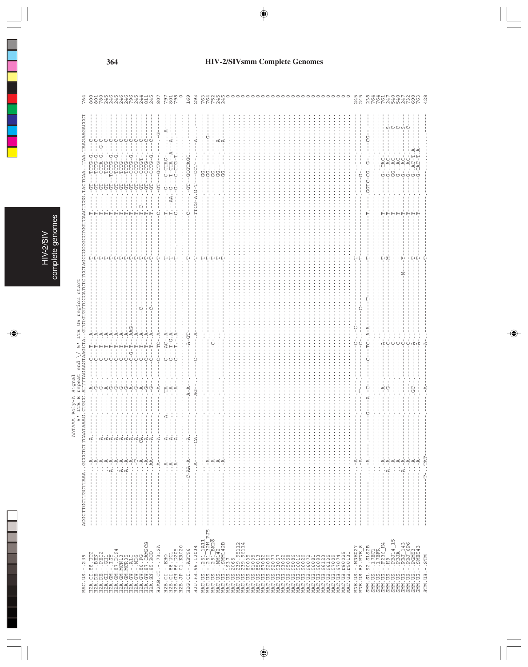| a<br>O |
|--------|
|        |
|        |
|        |
| ete    |
|        |
|        |
|        |
|        |
| ຊ      |
|        |
|        |

nes

AATAAA Poly-A Signal<br>5' Lup R repeat end \/ 5' LTR

| .239<br>MAC.US                                                                                            | ACCTTGCTTGCTTAA1.                                                                                                                                                                                                                                                                                                                                                                                         | AATAAAG.CTGCC.<br>Ē                                                                                                                                                                                                                                                                                                                                                                                                                                                                                                                           | TTAGAAGTAAG<br>end<br>repeat<br>ATTTTTAO<br>α | star<br>egi<br>GLGLGL<br>IJ5<br><b>LTR</b><br>CTA.<br>LŊ | CORTCHOURGOCOODOUDUNEDUNENE |                            | .TAA.<br>TACTCAA          | TAAGAAGACCCT | 764                                       |
|-----------------------------------------------------------------------------------------------------------|-----------------------------------------------------------------------------------------------------------------------------------------------------------------------------------------------------------------------------------------------------------------------------------------------------------------------------------------------------------------------------------------------------------|-----------------------------------------------------------------------------------------------------------------------------------------------------------------------------------------------------------------------------------------------------------------------------------------------------------------------------------------------------------------------------------------------------------------------------------------------------------------------------------------------------------------------------------------------|-----------------------------------------------|----------------------------------------------------------|-----------------------------|----------------------------|---------------------------|--------------|-------------------------------------------|
|                                                                                                           | $\frac{1}{1}$<br>f,<br>J.                                                                                                                                                                                                                                                                                                                                                                                 | $-4$                                                                                                                                                                                                                                                                                                                                                                                                                                                                                                                                          |                                               | K,<br>$\mathbb{H}$                                       |                             |                            | TCTG-G<br>Ė               |              |                                           |
|                                                                                                           | J.<br>t                                                                                                                                                                                                                                                                                                                                                                                                   |                                                                                                                                                                                                                                                                                                                                                                                                                                                                                                                                               | えひひえひひひひえひ                                    | Æ<br>н                                                   |                             | 5                          | 먹<br>TCTG-                |              | 880 アスススススアスス8 スタラフススススクス 880 アススススファススタン |
|                                                                                                           | $\frac{1}{1}$                                                                                                                                                                                                                                                                                                                                                                                             | $-4$                                                                                                                                                                                                                                                                                                                                                                                                                                                                                                                                          |                                               | AAAA<br>Н<br>U                                           |                             | 5<br>$\vdash$              | ひ<br>CCTA-G               | U            |                                           |
|                                                                                                           |                                                                                                                                                                                                                                                                                                                                                                                                           | $-1$                                                                                                                                                                                                                                                                                                                                                                                                                                                                                                                                          |                                               | н<br>U                                                   | ⊢                           |                            | TCTG-                     | U            |                                           |
|                                                                                                           | I,<br>$\frac{1}{1}$<br>$\mathbf{I}$                                                                                                                                                                                                                                                                                                                                                                       | $-4$<br>$- - \Delta$<br>$\frac{1}{1}$                                                                                                                                                                                                                                                                                                                                                                                                                                                                                                         |                                               | H H<br>U<br>U                                            | ⊢<br>ь                      | Н<br>н                     | 5555555                   | U            |                                           |
|                                                                                                           | ÷                                                                                                                                                                                                                                                                                                                                                                                                         | $- - A$                                                                                                                                                                                                                                                                                                                                                                                                                                                                                                                                       |                                               | К<br>н<br>↻                                              | е                           |                            | ·TCTG                     | UUU          |                                           |
|                                                                                                           | $\frac{1}{1}$<br>J.                                                                                                                                                                                                                                                                                                                                                                                       | $- - A$<br>ł<br>İ                                                                                                                                                                                                                                                                                                                                                                                                                                                                                                                             |                                               | $\mathbf{I}$<br>е<br>U                                   | е                           | FЕ                         |                           |              |                                           |
|                                                                                                           |                                                                                                                                                                                                                                                                                                                                                                                                           | $\overline{A}$<br>$\blacksquare$<br>$\mathbf{I}$                                                                                                                                                                                                                                                                                                                                                                                                                                                                                              |                                               | $A - -$<br>AAG<br>۳<br>ひ<br>↻                            | ۳                           | е                          | ပု<br>FCTC-               | U            |                                           |
|                                                                                                           | $\begin{array}{c} \hline \end{array}$<br>1<br>J.                                                                                                                                                                                                                                                                                                                                                          | ∩<br>⊺<br>$\overline{1}$<br>ł                                                                                                                                                                                                                                                                                                                                                                                                                                                                                                                 |                                               | К<br>н<br>U                                              | н                           | Н                          | CCTG-                     | U            |                                           |
|                                                                                                           | t<br>f,                                                                                                                                                                                                                                                                                                                                                                                                   |                                                                                                                                                                                                                                                                                                                                                                                                                                                                                                                                               | К                                             | U<br>К<br>н<br>U                                         | ⊢                           | 5<br>U<br>$\vdash$         | CCLCL                     | U            |                                           |
|                                                                                                           | $\frac{1}{1}$<br>1<br>$\overline{\phantom{a}}$                                                                                                                                                                                                                                                                                                                                                            | $\cdots$ - A - - - - - - CA .<br>- - - - A - - - - - - - A .<br>- - - - AA - - - - - - - A .                                                                                                                                                                                                                                                                                                                                                                                                                                                  | ひ                                             | 4<br>Н<br>U                                              | Н                           | 5<br>۴                     | CCTG.                     | U            |                                           |
|                                                                                                           | $\begin{array}{c} \rule{0.2cm}{0.15mm} \rule{0.2cm}{0.15mm} \rule{0.2cm}{0.15mm} \rule{0.2cm}{0.15mm} \rule{0.2cm}{0.15mm} \rule{0.2cm}{0.15mm} \rule{0.2cm}{0.15mm} \rule{0.2cm}{0.15mm} \rule{0.2cm}{0.15mm} \rule{0.2cm}{0.15mm} \rule{0.2cm}{0.15mm} \rule{0.2cm}{0.15mm} \rule{0.2cm}{0.15mm} \rule{0.2cm}{0.15mm} \rule{0.2cm}{0.15mm} \rule{$<br>ţ<br>$\frac{1}{1}$<br>$\mathbf{I}$<br>$\mathbf I$ |                                                                                                                                                                                                                                                                                                                                                                                                                                                                                                                                               | ひ                                             | C<br>Ą<br>$\vdash$<br>U                                  | ь                           | 5                          | CCTG                      | Ċ.           |                                           |
| H2AB.CI.-.7312A                                                                                           | $-4.7A-$<br>$\,$<br>ì.<br>İ<br>I,                                                                                                                                                                                                                                                                                                                                                                         | $-1$<br>L.<br>$\mathbf{I}$                                                                                                                                                                                                                                                                                                                                                                                                                                                                                                                    | К                                             | К<br>P<br>U                                              | н                           |                            | <b>CHO-</b><br>튱          | ひ            | $-0.8$                                    |
|                                                                                                           |                                                                                                                                                                                                                                                                                                                                                                                                           |                                                                                                                                                                                                                                                                                                                                                                                                                                                                                                                                               |                                               | U                                                        | е                           | ь                          |                           |              |                                           |
|                                                                                                           | $\mathsf I$<br>$\frac{1}{2}$<br>$\frac{1}{1}$<br>$\frac{1}{1}$<br>$\mathbf{I}$<br>1<br>$\mathbf I$                                                                                                                                                                                                                                                                                                        | - - A<br>$-1$<br>÷<br>$\mathbf{I}$<br>$\mathbf{I}$<br>$\begin{array}{cccccccc}\n- & & A & - & - \\ - & & A & - & - \\ - & & A & - & - \\ - & & A & - & - \\ - & & A & - & - \\ - & & A & - & - \\ - & & A & - & - \\ - & & A & - & - \\ - & & A & - & - \\ - & & A & - & - \\ - & & A & - & - \\ - & & A & - & - \\ - & & A & - & - \\ - & & A & - & - \\ - & & A & - & - \\ - & & A & - & - \\ - & & A & - & - \\ - & & A & - & - \\ - & & A & - & - \\ - & & A & - & - \\ - & & A & - & - \\ - & & A & - & - \\ - & & A & - & - \\ - & & A$ | FA<br>$-4$                                    | ΑA<br>AC-<br>U                                           | ь                           | ひ<br>ひ<br>$-AA$<br>J.<br>Н | C-CTAG<br>$T-CTA$         | Ą.           | 7007<br>7007                              |
|                                                                                                           | $\frac{1}{1}$<br>$\frac{1}{1}$<br>$\frac{1}{1}$<br>J.                                                                                                                                                                                                                                                                                                                                                     | $- - \lambda$<br>÷                                                                                                                                                                                                                                                                                                                                                                                                                                                                                                                            | Ą                                             | К<br>$\frac{1}{2}$                                       | E                           | ひ                          | $-CTG$<br>Ü               |              |                                           |
| $\circ$<br>H2B.CI.-.EHO<br>H2B.CI.88.UC1<br>H2B.GH.86.D205<br>H2B.JP.01.KR020                             | .<br>$\cdot$                                                                                                                                                                                                                                                                                                                                                                                              | $\vdots$<br>$\cdot$<br>$\frac{1}{2}$ $\frac{1}{2}$ $\frac{1}{2}$ $\frac{1}{2}$ $\frac{1}{2}$ $\frac{1}{2}$ $\frac{1}{2}$ $\frac{1}{2}$ $\frac{1}{2}$ $\frac{1}{2}$ $\frac{1}{2}$ $\frac{1}{2}$ $\frac{1}{2}$ $\frac{1}{2}$ $\frac{1}{2}$ $\frac{1}{2}$ $\frac{1}{2}$ $\frac{1}{2}$ $\frac{1}{2}$ $\frac{1}{2}$ $\frac{1}{2}$ $\frac{1}{2}$                                                                                                                                                                                                    |                                               |                                                          |                             |                            |                           |              |                                           |
|                                                                                                           | $\ddot{\cdot}$                                                                                                                                                                                                                                                                                                                                                                                            |                                                                                                                                                                                                                                                                                                                                                                                                                                                                                                                                               |                                               |                                                          |                             |                            |                           |              |                                           |
| H2G.CI. - . ABT96                                                                                         | $-6 - 24 - 5 - 1$<br>$\frac{1}{1}$<br>$\frac{1}{1}$<br>$\frac{1}{1}$<br>f,                                                                                                                                                                                                                                                                                                                                | $-4$<br>$\,$<br>$\frac{1}{4}$                                                                                                                                                                                                                                                                                                                                                                                                                                                                                                                 | Ą-                                            | 5<br>K.                                                  |                             | 5                          | GCGTAG                    |              | $rac{6}{1}$                               |
| H2U. FR. 96.12034                                                                                         | Ì<br>$\begin{bmatrix} 1 & 0 & 0 \\ 0 & 1 & 0 \\ 0 & 0 & 0 \\ 0 & 0 & 0 \\ 0 & 0 & 0 \\ 0 & 0 & 0 \\ 0 & 0 & 0 & 0 \\ 0 & 0 & 0 & 0 \\ 0 & 0 & 0 & 0 \\ 0 & 0 & 0 & 0 & 0 \\ 0 & 0 & 0 & 0 & 0 \\ 0 & 0 & 0 & 0 & 0 \\ 0 & 0 & 0 & 0 & 0 & 0 \\ 0 & 0 & 0 & 0 & 0 & 0 \\ 0 & 0 & 0 & 0 & 0 & 0 & 0 \\ 0 & 0 & 0 & 0 & 0 & 0 & 0 \\ $<br>I<br>J,<br>f,                                                      | $-1$<br>$--- -1. A--- -1$                                                                                                                                                                                                                                                                                                                                                                                                                                                                                                                     | $-56-$                                        | К                                                        | н                           | ά<br>TTCG-A                | $-CCT$<br>Н               | d            | $\frac{9}{2}$                             |
|                                                                                                           |                                                                                                                                                                                                                                                                                                                                                                                                           |                                                                                                                                                                                                                                                                                                                                                                                                                                                                                                                                               |                                               |                                                          | ⊢                           |                            | 9                         |              | 76.                                       |
| MAC.US.-.251 1A11<br>MAC.US.-.251 32H PJ5<br>MAC.US.-.251 BK28<br>MAC.US.-.MM142                          | ţ<br>$\frac{1}{1}$<br>$\overline{\phantom{a}}$                                                                                                                                                                                                                                                                                                                                                            |                                                                                                                                                                                                                                                                                                                                                                                                                                                                                                                                               |                                               |                                                          | н                           |                            |                           | 먹            |                                           |
|                                                                                                           |                                                                                                                                                                                                                                                                                                                                                                                                           | $-1. -A - -$                                                                                                                                                                                                                                                                                                                                                                                                                                                                                                                                  |                                               | U                                                        | н                           |                            | 3333                      |              | <b>22344</b><br>22444                     |
|                                                                                                           | $\sf I$<br>٠<br>$\mathbf{I}$<br>ı                                                                                                                                                                                                                                                                                                                                                                         | $- - - - - - - - - -$                                                                                                                                                                                                                                                                                                                                                                                                                                                                                                                         |                                               |                                                          | ⊢                           |                            |                           | $-4$         |                                           |
|                                                                                                           | f,                                                                                                                                                                                                                                                                                                                                                                                                        | $\cdots -A--$                                                                                                                                                                                                                                                                                                                                                                                                                                                                                                                                 |                                               |                                                          | Е                           |                            |                           | К            |                                           |
|                                                                                                           |                                                                                                                                                                                                                                                                                                                                                                                                           |                                                                                                                                                                                                                                                                                                                                                                                                                                                                                                                                               |                                               |                                                          |                             |                            |                           |              |                                           |
|                                                                                                           |                                                                                                                                                                                                                                                                                                                                                                                                           |                                                                                                                                                                                                                                                                                                                                                                                                                                                                                                                                               |                                               |                                                          |                             |                            |                           |              |                                           |
|                                                                                                           |                                                                                                                                                                                                                                                                                                                                                                                                           |                                                                                                                                                                                                                                                                                                                                                                                                                                                                                                                                               |                                               |                                                          |                             |                            |                           |              |                                           |
|                                                                                                           |                                                                                                                                                                                                                                                                                                                                                                                                           |                                                                                                                                                                                                                                                                                                                                                                                                                                                                                                                                               |                                               |                                                          |                             |                            |                           |              |                                           |
|                                                                                                           |                                                                                                                                                                                                                                                                                                                                                                                                           |                                                                                                                                                                                                                                                                                                                                                                                                                                                                                                                                               |                                               |                                                          |                             |                            |                           |              |                                           |
|                                                                                                           |                                                                                                                                                                                                                                                                                                                                                                                                           |                                                                                                                                                                                                                                                                                                                                                                                                                                                                                                                                               |                                               |                                                          |                             |                            |                           |              |                                           |
|                                                                                                           | .                                                                                                                                                                                                                                                                                                                                                                                                         |                                                                                                                                                                                                                                                                                                                                                                                                                                                                                                                                               |                                               |                                                          |                             |                            |                           |              |                                           |
|                                                                                                           |                                                                                                                                                                                                                                                                                                                                                                                                           |                                                                                                                                                                                                                                                                                                                                                                                                                                                                                                                                               |                                               |                                                          |                             |                            |                           |              |                                           |
|                                                                                                           |                                                                                                                                                                                                                                                                                                                                                                                                           |                                                                                                                                                                                                                                                                                                                                                                                                                                                                                                                                               |                                               |                                                          |                             |                            |                           |              |                                           |
|                                                                                                           |                                                                                                                                                                                                                                                                                                                                                                                                           |                                                                                                                                                                                                                                                                                                                                                                                                                                                                                                                                               |                                               |                                                          |                             |                            |                           |              |                                           |
|                                                                                                           |                                                                                                                                                                                                                                                                                                                                                                                                           |                                                                                                                                                                                                                                                                                                                                                                                                                                                                                                                                               |                                               |                                                          |                             |                            |                           |              |                                           |
|                                                                                                           |                                                                                                                                                                                                                                                                                                                                                                                                           |                                                                                                                                                                                                                                                                                                                                                                                                                                                                                                                                               |                                               |                                                          |                             |                            |                           |              |                                           |
|                                                                                                           |                                                                                                                                                                                                                                                                                                                                                                                                           |                                                                                                                                                                                                                                                                                                                                                                                                                                                                                                                                               |                                               |                                                          |                             |                            |                           |              |                                           |
|                                                                                                           |                                                                                                                                                                                                                                                                                                                                                                                                           |                                                                                                                                                                                                                                                                                                                                                                                                                                                                                                                                               |                                               |                                                          |                             |                            |                           |              |                                           |
|                                                                                                           |                                                                                                                                                                                                                                                                                                                                                                                                           |                                                                                                                                                                                                                                                                                                                                                                                                                                                                                                                                               |                                               |                                                          |                             |                            |                           |              |                                           |
|                                                                                                           |                                                                                                                                                                                                                                                                                                                                                                                                           |                                                                                                                                                                                                                                                                                                                                                                                                                                                                                                                                               |                                               |                                                          |                             |                            |                           |              |                                           |
|                                                                                                           |                                                                                                                                                                                                                                                                                                                                                                                                           |                                                                                                                                                                                                                                                                                                                                                                                                                                                                                                                                               |                                               |                                                          |                             |                            |                           |              |                                           |
|                                                                                                           |                                                                                                                                                                                                                                                                                                                                                                                                           |                                                                                                                                                                                                                                                                                                                                                                                                                                                                                                                                               |                                               |                                                          |                             |                            |                           |              |                                           |
|                                                                                                           |                                                                                                                                                                                                                                                                                                                                                                                                           |                                                                                                                                                                                                                                                                                                                                                                                                                                                                                                                                               |                                               |                                                          |                             |                            |                           |              |                                           |
|                                                                                                           |                                                                                                                                                                                                                                                                                                                                                                                                           |                                                                                                                                                                                                                                                                                                                                                                                                                                                                                                                                               |                                               |                                                          |                             |                            |                           |              |                                           |
|                                                                                                           |                                                                                                                                                                                                                                                                                                                                                                                                           |                                                                                                                                                                                                                                                                                                                                                                                                                                                                                                                                               |                                               |                                                          |                             |                            |                           |              |                                           |
|                                                                                                           |                                                                                                                                                                                                                                                                                                                                                                                                           |                                                                                                                                                                                                                                                                                                                                                                                                                                                                                                                                               |                                               |                                                          |                             |                            |                           |              |                                           |
|                                                                                                           |                                                                                                                                                                                                                                                                                                                                                                                                           |                                                                                                                                                                                                                                                                                                                                                                                                                                                                                                                                               |                                               |                                                          |                             |                            |                           |              |                                           |
|                                                                                                           |                                                                                                                                                                                                                                                                                                                                                                                                           |                                                                                                                                                                                                                                                                                                                                                                                                                                                                                                                                               |                                               |                                                          |                             |                            |                           |              |                                           |
|                                                                                                           | ł<br>.                                                                                                                                                                                                                                                                                                                                                                                                    | $\frac{1}{2}$                                                                                                                                                                                                                                                                                                                                                                                                                                                                                                                                 |                                               |                                                          |                             |                            |                           |              |                                           |
|                                                                                                           |                                                                                                                                                                                                                                                                                                                                                                                                           |                                                                                                                                                                                                                                                                                                                                                                                                                                                                                                                                               |                                               | ↻                                                        | ь                           |                            |                           |              |                                           |
| MNE.US. - .MNE027<br>MNE.US. 82.MNE_8                                                                     | $\frac{1}{1}$<br>$\frac{1}{1}$<br>$\sf I$<br>Ť                                                                                                                                                                                                                                                                                                                                                            | $\mathbf{I}$<br>$-1. -A--$                                                                                                                                                                                                                                                                                                                                                                                                                                                                                                                    |                                               | ひひ                                                       | н                           |                            |                           |              | 245<br>245                                |
|                                                                                                           | $\ddot{\phantom{0}}$<br>1                                                                                                                                                                                                                                                                                                                                                                                 | $-4 -$                                                                                                                                                                                                                                                                                                                                                                                                                                                                                                                                        |                                               |                                                          |                             |                            | τŋ                        |              |                                           |
|                                                                                                           | $\cdots$ $\cdots$ $\cdots$<br>$\frac{1}{1}$<br>t<br>J.<br>f,                                                                                                                                                                                                                                                                                                                                              | ٠                                                                                                                                                                                                                                                                                                                                                                                                                                                                                                                                             | U                                             | ⊢<br>-A<br>К<br>FC<br>C                                  | н                           | ۴                          | J.<br>ひ<br><b>COLOTED</b> | 59           |                                           |
|                                                                                                           | t                                                                                                                                                                                                                                                                                                                                                                                                         |                                                                                                                                                                                                                                                                                                                                                                                                                                                                                                                                               |                                               |                                                          |                             |                            |                           |              |                                           |
|                                                                                                           | t                                                                                                                                                                                                                                                                                                                                                                                                         | $\mathbf{I}$<br>٠                                                                                                                                                                                                                                                                                                                                                                                                                                                                                                                             |                                               |                                                          |                             |                            |                           |              |                                           |
|                                                                                                           | ٠<br>Í<br>$\frac{1}{1}$<br>J,                                                                                                                                                                                                                                                                                                                                                                             | $\frac{1}{4}$<br>$-$ A $-$                                                                                                                                                                                                                                                                                                                                                                                                                                                                                                                    | К                                             |                                                          | ь                           | ь                          |                           |              |                                           |
| SMM. 5L. 92. SL92B<br>SMM. US. - . 17BC1<br>SMM. US. - . 17BC1<br>SMM. US. - . F236_H4<br>SMM. US. - . H9 | ---------A.-A<br>$\,$ I                                                                                                                                                                                                                                                                                                                                                                                   | $\mathbf{I}$<br>$\mathbf{I}$                                                                                                                                                                                                                                                                                                                                                                                                                                                                                                                  | ひ                                             | むひひひひひ                                                   | ⋝                           | ⊢                          | 99899999                  | CΩ           | 277725527878084417007296 年 4 4 4 5        |
|                                                                                                           | $- - - -$<br>$\mathsf I$                                                                                                                                                                                                                                                                                                                                                                                  | $\frac{1}{1}$                                                                                                                                                                                                                                                                                                                                                                                                                                                                                                                                 |                                               |                                                          |                             | н                          |                           | U            |                                           |
| SMM.US.-.PBJ14_15<br>SMM.US.-.PBJA                                                                        |                                                                                                                                                                                                                                                                                                                                                                                                           | ŧ,<br>$\cdot \cdot \overline{A}$                                                                                                                                                                                                                                                                                                                                                                                                                                                                                                              |                                               |                                                          |                             | н                          |                           | U            |                                           |
| 3.-.PBJ 143<br>3.-.PBJ 6P6<br>SMM.US                                                                      | I<br>$\frac{1}{1}$                                                                                                                                                                                                                                                                                                                                                                                        |                                                                                                                                                                                                                                                                                                                                                                                                                                                                                                                                               |                                               |                                                          | ≻<br>Σ                      |                            |                           | ω            |                                           |
| SMM.US                                                                                                    | Ţ<br>l,                                                                                                                                                                                                                                                                                                                                                                                                   | $\frac{1}{1}$<br>$\cdots$ <sup><math>A</math></sup>                                                                                                                                                                                                                                                                                                                                                                                                                                                                                           |                                               |                                                          |                             | HHHH                       |                           | U            |                                           |
| $-$ . PGM53<br>$\cdot$<br>SMM.US                                                                          | ţ<br>I<br>J.<br>I<br>$\frac{1}{1}$                                                                                                                                                                                                                                                                                                                                                                        | t<br>J,<br>f,                                                                                                                                                                                                                                                                                                                                                                                                                                                                                                                                 | ς                                             |                                                          | е                           |                            | Æ                         |              |                                           |
| . SME543<br>SMM.US.                                                                                       |                                                                                                                                                                                                                                                                                                                                                                                                           | $\cdots$ - $A$ -                                                                                                                                                                                                                                                                                                                                                                                                                                                                                                                              |                                               |                                                          | H                           |                            | 투                         |              |                                           |
| MLS.<br>STM.US                                                                                            | $-T-T$ . $TAT$                                                                                                                                                                                                                                                                                                                                                                                            |                                                                                                                                                                                                                                                                                                                                                                                                                                                                                                                                               |                                               |                                                          |                             |                            |                           |              |                                           |
|                                                                                                           |                                                                                                                                                                                                                                                                                                                                                                                                           |                                                                                                                                                                                                                                                                                                                                                                                                                                                                                                                                               |                                               |                                                          |                             |                            |                           |              |                                           |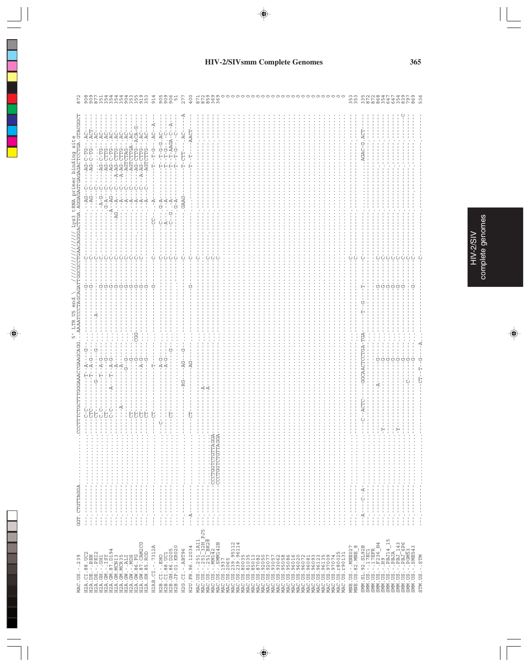| ř | aenomes<br>$\frac{D}{D}$<br>۱<br>ξ |
|---|------------------------------------|
|---|------------------------------------|

| 87                                    |                                                     |                                        |                      |                               |         |                                                                                                                 |           |          |                                                                       | 914                                        |                                        |                                                                                             | 5<br>000 5<br>5<br>5<br>5                                                                     | 27            | 400                                                                                                                                                                                                                                                                                                                                                                                                                                                                             | 100000<br>110000<br>11000 | o, |   | თ თ |  |  |  |  |  |  |  |  |  | 00000000000 |  | w w<br>555                                                                                                                                                                                                                                                                                                                                                                                                                                                                                                   |                           |                           | 20000000000 80000000 00000 0000 000 0 800 800 800 800 |               |         |   |                |         |    |
|---------------------------------------|-----------------------------------------------------|----------------------------------------|----------------------|-------------------------------|---------|-----------------------------------------------------------------------------------------------------------------|-----------|----------|-----------------------------------------------------------------------|--------------------------------------------|----------------------------------------|---------------------------------------------------------------------------------------------|-----------------------------------------------------------------------------------------------|---------------|---------------------------------------------------------------------------------------------------------------------------------------------------------------------------------------------------------------------------------------------------------------------------------------------------------------------------------------------------------------------------------------------------------------------------------------------------------------------------------|---------------------------|----|---|-----|--|--|--|--|--|--|--|--|--|-------------|--|--------------------------------------------------------------------------------------------------------------------------------------------------------------------------------------------------------------------------------------------------------------------------------------------------------------------------------------------------------------------------------------------------------------------------------------------------------------------------------------------------------------|---------------------------|---------------------------|-------------------------------------------------------|---------------|---------|---|----------------|---------|----|
|                                       | $ACT - CT - CT - C$<br>もも<br>ししし<br>g<br>Ag         | $-24G - C$<br>$-24G - C$<br>$-24G - C$ |                      |                               |         | - A - AG - CTTG - - . A<br>- A - AG - CTTG - - . A<br>- - - AGTCTAG - - . AGTCTAG - - . AGTCTAG - - . AGTC<br>- |           | $-ACA-C$ | O<br>.AC<br>$\ddot{A}$<br>----AG-CTTG-<br>--A-AG-CTTG-<br>---AGTCTTG- | Ŗ<br>.AC<br>$\frac{c}{1}$<br>Н<br>$\vdash$ | $-G-G$ . AC<br>$\vdash$<br>$\mathbb H$ | 부<br>$\mathsf{H}$                                                                           | $- - \overline{A} -$<br>$-9 - - - - -$<br>$-2255A - C$<br>$\mathbb H$<br>탁<br>-1<br><b>FF</b> | AC<br>Ë<br>F- | <b>AACT</b><br>턱                                                                                                                                                                                                                                                                                                                                                                                                                                                                |                           |    |   |     |  |  |  |  |  |  |  |  |  |             |  |                                                                                                                                                                                                                                                                                                                                                                                                                                                                                                              | $-G.ACT$<br>AGAC-         |                           |                                                       |               |         |   |                |         |    |
|                                       | ひひひ<br>$-79$                                        | ↻                                      |                      | К<br>$\overline{\phantom{a}}$ | AG.     |                                                                                                                 |           |          | <b>UUUUUUUUU</b>                                                      | Ą<br>5C                                    |                                        | $\overset{-}{\circlearrowright}\overset{-}{\circlearrowleft}\overset{-}{\circlearrowright}$ | $0 - 444$<br>$\mathop{\cup}\limits_{\mathop{\longleftarrow}}$                                 | GAAG          |                                                                                                                                                                                                                                                                                                                                                                                                                                                                                 |                           |    |   |     |  |  |  |  |  |  |  |  |  |             |  |                                                                                                                                                                                                                                                                                                                                                                                                                                                                                                              |                           |                           |                                                       |               |         |   |                |         |    |
|                                       | υU                                                  | U)                                     | O                    | U                             |         |                                                                                                                 |           | τı       |                                                                       | O                                          | U                                      | ↻                                                                                           | ↻<br>U                                                                                        | U             | ↻                                                                                                                                                                                                                                                                                                                                                                                                                                                                               | ↻                         | ↻  | ↻ | τ.  |  |  |  |  |  |  |  |  |  |             |  | ◡<br>U)                                                                                                                                                                                                                                                                                                                                                                                                                                                                                                      | Ο                         |                           | O                                                     |               | ひひ      | ↻ | ひひひ            |         | τ) |
|                                       | ひひ‐<br>$\tilde{\mathcal{A}}$                        |                                        |                      |                               |         |                                                                                                                 |           |          | <b>ひひひひひひひひひひ</b>                                                     | פיז                                        |                                        |                                                                                             |                                                                                               |               |                                                                                                                                                                                                                                                                                                                                                                                                                                                                                 |                           |    |   |     |  |  |  |  |  |  |  |  |  |             |  |                                                                                                                                                                                                                                                                                                                                                                                                                                                                                                              | 也                         |                           |                                                       |               |         |   | ひひひひひひ         |         | c٦ |
| 5                                     | ひ<br>ひ<br>ひ<br>$\triangleleft$ $\triangleleft$<br>Ť | ひ<br>п.<br>A                           | てり                   | ひ<br>$-4-$                    | К       | J.<br>К<br>ά                                                                                                    | <b>いじ</b> | Ū        | <b>ひひひ</b><br>Ą                                                       | ⊢                                          | ひ<br>К                                 | ひ<br>$\overline{A}$                                                                         | U                                                                                             | ひ<br>AG       | AG                                                                                                                                                                                                                                                                                                                                                                                                                                                                              |                           |    |   |     |  |  |  |  |  |  |  |  |  |             |  |                                                                                                                                                                                                                                                                                                                                                                                                                                                                                                              | $-TCGA$<br>GGCAACTCCTGA   |                           |                                                       |               |         |   | <b>ひひひひひひひ</b> |         | てり |
| <b>CORPORACODARACOOPHEDOFOFFFFOOD</b> | <b>FF</b><br>U<br>י_ט ט<br><u>VERNEY</u>            | н<br>U                                 |                      | 턱<br>К<br>U                   |         | Ą                                                                                                               |           |          | 5555                                                                  | 5                                          |                                        |                                                                                             | 5                                                                                             | RG            |                                                                                                                                                                                                                                                                                                                                                                                                                                                                                 | К                         | K, |   |     |  |  |  |  |  |  |  |  |  |             |  |                                                                                                                                                                                                                                                                                                                                                                                                                                                                                                              | ACTC.                     |                           |                                                       |               |         |   |                |         |    |
|                                       |                                                     |                                        |                      |                               |         |                                                                                                                 |           |          |                                                                       |                                            |                                        |                                                                                             |                                                                                               |               |                                                                                                                                                                                                                                                                                                                                                                                                                                                                                 |                           |    |   |     |  |  |  |  |  |  |  |  |  |             |  |                                                                                                                                                                                                                                                                                                                                                                                                                                                                                                              |                           |                           |                                                       |               |         |   |                |         |    |
| GGT.CTPAGGA.                          | J.<br>$\mathbf I$<br>$\cdot$<br>$\cdot$<br>٠<br>٠   | $\cdot$<br>$\cdot$<br>٠                | $\ddot{\phantom{0}}$ | $\cdot$<br>t                  | $\cdot$ |                                                                                                                 |           | $\cdot$  | ۱.<br>$\cdot$                                                         |                                            |                                        |                                                                                             |                                                                                               |               | $\begin{minipage}{0.99\textwidth} \begin{tabular}{@{}l@{}} \multicolumn{2}{c}{\textbf{0.99\textwidth} \begin{tabular}{@{}l@{}} {\textbf{0.99\textwidth} \begin{tabular}{@{}l@{}} {\textbf{0.99\textwidth} \begin{tabular}{@{}l@{}} {\textbf{0.99\textwidth} \begin{tabular}{@{}l@{}} {\textbf{0.99\textwidth} \begin{tabular}{@{}l@{}} {\textbf{0.99\textwidth} \begin{tabular}{@{}l@{}} {\textbf{0.99\textwidth} \begin{tabular}{@{}l@{}} {\textbf{0.99\textwidth} \begin{tab$ |                           |    |   |     |  |  |  |  |  |  |  |  |  |             |  | $\begin{aligned} \frac{1}{2} \left( \frac{1}{2} \left( \frac{1}{2} \right) + \frac{1}{2} \left( \frac{1}{2} \right) + \frac{1}{2} \left( \frac{1}{2} \right) + \frac{1}{2} \left( \frac{1}{2} \right) + \frac{1}{2} \left( \frac{1}{2} \right) + \frac{1}{2} \left( \frac{1}{2} \right) + \frac{1}{2} \left( \frac{1}{2} \right) + \frac{1}{2} \left( \frac{1}{2} \right) + \frac{1}{2} \left( \frac{1}{2} \right) + \frac{1}{2} \left( \frac{1}{2$<br>$\frac{1}{4}$<br>$\frac{1}{1}$<br>ţ.<br>$\frac{1}{1}$ | $\frac{1}{1}$<br>$-4 - 2$ | $\frac{1}{1}$<br>I,<br>ţ. | $\frac{1}{4}$<br>$\frac{1}{2}$<br>$\mathbf{1}$        | f,<br>ţ<br>ļ. | $\cdot$ | ٠ | $\cdot$        | $\cdot$ |    |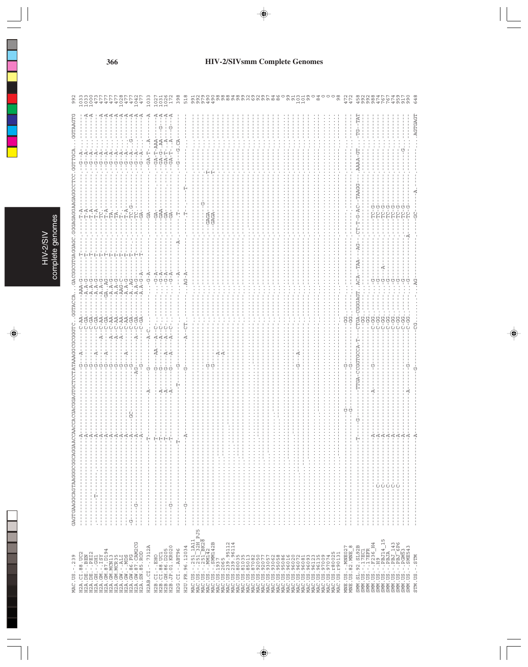| 1033<br>1033<br>1000<br>7<br>404404<br>404404<br>704414<br>ä<br>44444                                                                                                                                                                                                                                                                                       | 398<br>1033<br>20027                                                                                                                                                                                                                                                                                                                                                                                                                                                                                                                                | $\begin{array}{c}\n0 \\ 0 \\ 0 \\ 0 \\ 0 \\ 0 \\ 0 \\ 0 \\ 0 \\ 0 \\ 0 \\ 0\n\end{array}$<br>988<br>98<br>$\frac{8}{4}$<br>472<br>472<br>40004774<br>500007667<br>80004774<br>518<br>0000<br>$\frac{5}{4}$ $\frac{5}{4}$<br>95<br>თ<br>თ<br>C<br>$\infty$ on on<br>O                                                                                                                                                                                                                                                                                                                                                                                                                                                                                                                                                                    |
|-------------------------------------------------------------------------------------------------------------------------------------------------------------------------------------------------------------------------------------------------------------------------------------------------------------------------------------------------------------|-----------------------------------------------------------------------------------------------------------------------------------------------------------------------------------------------------------------------------------------------------------------------------------------------------------------------------------------------------------------------------------------------------------------------------------------------------------------------------------------------------------------------------------------------------|-----------------------------------------------------------------------------------------------------------------------------------------------------------------------------------------------------------------------------------------------------------------------------------------------------------------------------------------------------------------------------------------------------------------------------------------------------------------------------------------------------------------------------------------------------------------------------------------------------------------------------------------------------------------------------------------------------------------------------------------------------------------------------------------------------------------------------------------|
| RARRA<br>GGTAAGTG                                                                                                                                                                                                                                                                                                                                           | $\frac{1}{\sqrt{2}}$<br>ひ                                                                                                                                                                                                                                                                                                                                                                                                                                                                                                                           | $-TAT$ .<br>AGTGAGT<br>ن<br>F                                                                                                                                                                                                                                                                                                                                                                                                                                                                                                                                                                                                                                                                                                                                                                                                           |
| UULLUU<br><b>A A A A A A A A A A A A</b><br>ひひひひひひひひひひひ                                                                                                                                                                                                                                                                                                     | Ü<br>ひ 日<br>$\vec{AB}$<br>ś                                                                                                                                                                                                                                                                                                                                                                                                                                                                                                                         | AAAA-GT                                                                                                                                                                                                                                                                                                                                                                                                                                                                                                                                                                                                                                                                                                                                                                                                                                 |
| UULUUUUAUAAUUAUAUUU<br>$\begin{array}{c}\n\mathbf{L} & \mathbf{A} \\ \mathbf{L} & \mathbf{A} \\ \mathbf{L} & \mathbf{A}\n\end{array}$                                                                                                                                                                                                                       | GA-<br>GAA<br>$\mathfrak{F}$<br>සි                                                                                                                                                                                                                                                                                                                                                                                                                                                                                                                  | TAAGG<br>$G - AC$<br><b>ひひひ</b><br>ひ<br>℧<br>UΟ<br>GAGA<br>GAGA                                                                                                                                                                                                                                                                                                                                                                                                                                                                                                                                                                                                                                                                                                                                                                         |
| UURUURUHUUUUURU<br>$\begin{array}{r} -1.4.4 \\ -1.4.4 \\ -1.4.4 \\ -2.4.4 \\ -3.4.4 \\ -4.4.4 \\ -1.4.4 \\ -1.4.4 \\ -2.4.4 \\ -1.4.4 \\ -2.4.4 \\ -3.4.4 \\ -4.4.4 \\ -4.4.4 \\ -1.4.4 \\ -2.4.4 \\ -2.4.4 \\ -2.4.4 \\ -2.4.4 \\ -2.4.4 \\ -2.4.4 \\ -2.4.4 \\ -2.4.4 \\ -2.4.4 \\ -2.4.4 \\ -2.4.4 \\ -2.4.4 \\ -2.4.4 \\ -2.4.4 \\ -2.4.4 \\ -2.$       | 风风<br>$\begin{smallmatrix} 1\ -1\ 1\end{smallmatrix}$<br>$-100$<br>$\frac{1}{2}$                                                                                                                                                                                                                                                                                                                                                                                                                                                                    | AG.<br>TAA<br>AG-A<br>ACA<br>ひひひひ<br>ひ<br>CGGGAGT                                                                                                                                                                                                                                                                                                                                                                                                                                                                                                                                                                                                                                                                                                                                                                                       |
| .GGTACCA.<br>להפליליההההקיפוס<br>משפט לאלאלאלי<br>לאלאלאלאלאלאלא<br>CHOUCOURARHEL<br>$R \nightharpoonup R$<br>Ŗ                                                                                                                                                                                                                                             | ひひひひ<br>ĀĀ<br>$A -$                                                                                                                                                                                                                                                                                                                                                                                                                                                                                                                                 | 믱<br>9<br>5<br>OOO<br>UUUU<br>К<br>К                                                                                                                                                                                                                                                                                                                                                                                                                                                                                                                                                                                                                                                                                                                                                                                                    |
| ひ<br><b>ひ ひ ひ</b><br>ひ<br><b>ひ ウ</b><br>ひ<br>Q<br><b>CAACCACCACUADURAD</b><br>უ<br>ს                                                                                                                                                                                                                                                                        | <b>ひひひひ</b><br>К                                                                                                                                                                                                                                                                                                                                                                                                                                                                                                                                    | TTGA-CCGTGCCCA<br>也                                                                                                                                                                                                                                                                                                                                                                                                                                                                                                                                                                                                                                                                                                                                                                                                                     |
| AAAAAAAAAAA<br><b>URROCACCOCCOCARDENTERS</b><br>$\mathbf{I}$<br>$\frac{1}{1}$<br>$\frac{1}{4}$<br>J.<br>$\frac{1}{4}$<br>Ť<br>$\frac{1}{1}$<br>$\begin{array}{c} \begin{array}{c} \text{1} \\ \text{2} \\ \text{3} \\ \text{4} \end{array} \end{array}$<br>J.<br>J.<br>f,                                                                                   | ۲<br>ا<br>۲<br>ا<br>$\frac{1}{2}$<br>$\frac{1}{2}$<br>Ţ<br>٦ſ,<br>$\frac{1}{1}$<br>$\mathbf{I}$<br>$\frac{1}{1}$<br>$\frac{1}{4}$<br>Í<br>$\begin{array}{c} \begin{array}{c} \text{1} \\ \text{2} \\ \text{3} \\ \text{4} \end{array} \end{array}$<br>$\frac{1}{1}$                                                                                                                                                                                                                                                                                 | AAAAAA<br>턱<br>$\frac{1}{1}$<br>$\frac{1}{4}$<br>$\frac{1}{1}$<br>$\frac{1}{1}$<br>J.<br>$\mathbf{I}$<br>J.<br>J.<br>$\begin{array}{c} \begin{array}{c} \bullet \\ \bullet \\ \bullet \\ \bullet \end{array} \end{array}$<br>f,<br>f,<br>$\,$ I<br>1<br>$\frac{1}{2}$<br>$-1$<br>ပု<br>ΥJ<br>U<br>J.                                                                                                                                                                                                                                                                                                                                                                                                                                                                                                                                    |
| $\begin{array}{c} 1 \\ 1 \\ 1 \\ 1 \end{array}$<br>$\sf I$<br>$\frac{1}{1}$<br>$\frac{1}{1}$<br>$\frac{1}{1}$<br>1<br>٠<br>$\mathbf{I}$<br>$\frac{1}{1}$<br>$\frac{1}{1}$<br>$\frac{1}{1}$<br>ţ<br>$\,$ I<br>$\,$ I<br>$\,$<br>$\,$ I<br>$\mathbf{I}$<br>$\frac{1}{1}$<br>٠<br>٠<br>$\,$<br>J.<br>$\mathsf I$<br>$\mathbf I$<br>$\mathbf I$<br>J.<br>1<br>ひ | $\frac{1}{1}$<br>$\frac{1}{1}$<br>$\frac{1}{2}$<br>f,<br>$\begin{array}{c} \rule{0.2cm}{0.15mm} \rule{0.2cm}{0.15mm} \rule{0.2cm}{0.15mm} \rule{0.2cm}{0.15mm} \rule{0.2cm}{0.15mm} \rule{0.2cm}{0.15mm} \rule{0.2cm}{0.15mm} \rule{0.2cm}{0.15mm} \rule{0.2cm}{0.15mm} \rule{0.2cm}{0.15mm} \rule{0.2cm}{0.15mm} \rule{0.2cm}{0.15mm} \rule{0.2cm}{0.15mm} \rule{0.2cm}{0.15mm} \rule{0.2cm}{0.15mm} \rule{$<br>J<br>$\frac{1}{1}$<br>I.<br>ţ.<br>$\mathbf{I}$<br>$\mathbf{I}$<br>٠<br>$\mathbf{I}$<br>J.<br>$\mathbf I$<br>ı<br>-1<br>$\mathbf I$ | $\,$ $\,$<br>$\frac{1}{4}$<br>Í<br>t<br>t<br>$\frac{1}{2}$<br>$\frac{1}{1}$<br>J<br>I<br>ı<br>$\mathbf{I}$<br>$\,$ I<br>J,<br>$\,$ I<br>J.<br>$\frac{1}{1}$<br>1<br>J.<br>$\,$ I<br>J,<br>J.<br>1<br>1<br>п<br>٠<br>$\overline{\phantom{a}}$<br>1<br>$\mathbf{I}$<br>$\mathbf{I}$<br>$\bar{1}$<br>$\mathsf I$<br>f,<br>$\mathbf{I}$<br>$\overline{1}$<br>$\mathbf I$<br>$\mathsf I$<br>$\,$ I<br>$\overline{\phantom{a}}$<br>$\,$ I<br>J.<br>$\mathbf{I}$<br>I,                                                                                                                                                                                                                                                                                                                                                                         |
| $\begin{array}{l} \rm H2A,\,C1.\,68.\,UC2\\ \rm H2A,\,DE\,--\,EBIN\\ \rm H2A,\,GL\,--\,GL\,--\,GL\,--\,GL\,--\,GL\,--\,GL\,--\,GL\,--\,GL\,--\,GL\,--\,GL\,--\,GL\,--\,GL\,--\,GL\,--\,GL\,--\,GL\,--\,GL\,--\,GL\,--\,GL\,--\,GL\,--\,GL\,--\,GL\,--\,GL\,--\,GL\,--\,GL\,--\,GL\,--\,GL\,--\,GL\,--\,GL\,--\,GL\,--$<br>$-239$<br>MAC.US                  | H2AB. CI. - . 7312A<br>H2B.CI.-.BHO<br>H2B.CI.88.UC1<br>H2B.GH.86.D205<br>H2B.JP.01.KR020<br>$-.ABT96$<br>H2G.CI.                                                                                                                                                                                                                                                                                                                                                                                                                                   | MAC.US.-.251_1A11<br>MAC.US.-.251_32H_PJ5<br>MAC.US.-.251_BK28<br>LN,<br>$\begin{smallmatrix} \texttt{195} & \texttt{196} & \texttt{196} & \texttt{196} & \texttt{196} & \texttt{196} & \texttt{196} & \texttt{196} & \texttt{196} & \texttt{196} & \texttt{196} & \texttt{196} & \texttt{196} & \texttt{196} & \texttt{196} & \texttt{196} & \texttt{196} & \texttt{196} & \texttt{196} & \texttt{196} & \texttt{196} & \texttt{196} & \texttt{196} & \texttt{196$<br>3 - 17236 H4<br>3 - 189 6 H4<br>3 - 1PBJ14 15<br>3 - PBJA<br>SMM.US.-.PBJ_143<br>SMM.US.-.PBJ_6P6<br>SMM.US.-.PGM53<br>SMM.SL.92.SL92B<br>SMM.US.-.17EC1<br>SMM.US.-.17EFR<br>H2U. FR. 96.12034<br>$_{\infty}$<br>$-1$ MNE027<br>$-$ . SME543<br>- .STM<br>SMM. US.<br>$\cdot$<br>MNE.US<br>SMM.US<br>SMM . US .<br>SMM . US .<br>SMM . US .<br>SMM.US<br>STM.US |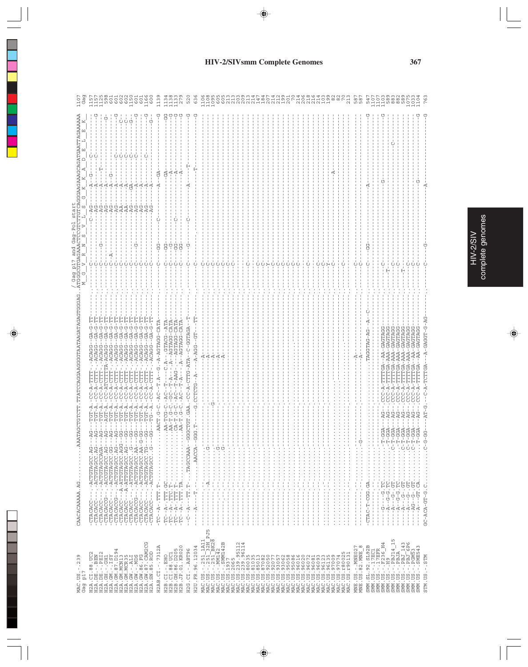ვ<br>ი

| $\sigma$<br>.23<br>$\mathsf I$<br>Gag pi7<br>MAC.US                                                                                    | CAACACAAAAA.AG.                                                                                                                                                                                                                                                                                                                                                                                                                                                               | AAA'                                                                                    | AUCOURCALACATAALARECOURCOURCOUREN | ΩŪ<br>ひ ひ | GAAAGCAGATGAATTAGAAAAAA<br>囯<br>D. |                    |
|----------------------------------------------------------------------------------------------------------------------------------------|-------------------------------------------------------------------------------------------------------------------------------------------------------------------------------------------------------------------------------------------------------------------------------------------------------------------------------------------------------------------------------------------------------------------------------------------------------------------------------|-----------------------------------------------------------------------------------------|-----------------------------------|-----------|------------------------------------|--------------------|
|                                                                                                                                        | $\mathbb{L}$                                                                                                                                                                                                                                                                                                                                                                                                                                                                  |                                                                                         |                                   |           |                                    |                    |
|                                                                                                                                        | -CTACACC--<br>-CTACACC--                                                                                                                                                                                                                                                                                                                                                                                                                                                      | ひ<br>л.                                                                                 |                                   |           |                                    |                    |
| H2A.CI.88.UC2<br>H2A.DE.-.BEN<br>H2A.DE.-.PEI2<br>$-$ . $PET2$                                                                         | -- . - ACTGTAGCC . AG-<br>-- . - ACTGTAGCC . AG-<br>-- . - ACTGTAGCCAGA -                                                                                                                                                                                                                                                                                                                                                                                                     | 5<br>ひ<br>÷,                                                                            | ひ<br>$\vec{AB}$                   |           |                                    | 115<br>112         |
|                                                                                                                                        |                                                                                                                                                                                                                                                                                                                                                                                                                                                                               | 5<br>ひ                                                                                  | ひ<br>$\overline{G}A$              |           |                                    |                    |
|                                                                                                                                        |                                                                                                                                                                                                                                                                                                                                                                                                                                                                               | CC-A-CTTT<br>- TG'<br>ひ                                                                 | $G-TT$<br>$-4$                    |           |                                    |                    |
|                                                                                                                                        |                                                                                                                                                                                                                                                                                                                                                                                                                                                                               | <b>CTTT</b><br>$CC - A$<br>Ė,<br>ひ                                                      | ひ<br>$\overline{d}$<br>ACAG       |           |                                    |                    |
|                                                                                                                                        |                                                                                                                                                                                                                                                                                                                                                                                                                                                                               | CTTT<br>-T5<br>뮹                                                                        | $\vec{AB}$                        |           |                                    |                    |
|                                                                                                                                        |                                                                                                                                                                                                                                                                                                                                                                                                                                                                               | 5                                                                                       |                                   |           |                                    |                    |
|                                                                                                                                        |                                                                                                                                                                                                                                                                                                                                                                                                                                                                               | 5                                                                                       |                                   |           |                                    | $^{\circ}_{\circ}$ |
|                                                                                                                                        |                                                                                                                                                                                                                                                                                                                                                                                                                                                                               | 5                                                                                       |                                   |           |                                    | $\frac{0}{6}$      |
|                                                                                                                                        |                                                                                                                                                                                                                                                                                                                                                                                                                                                                               |                                                                                         |                                   |           |                                    | $116$              |
| 120, 031 .<br>120, 031 .<br>120, 031 .<br>120, 031 .<br>120, 031 .NCR35<br>120, 031  032<br>120, 031  032<br>120, 031  031<br>120, 031 | $\begin{tabular}{c} {\bf CFTACACCG--1} \cr \noalign{\vskip 0.5cm} {\bf CFTACACCG--1} \cr \noalign{\vskip 0.5cm} {\bf CFTACCG--1} \cr \noalign{\vskip 0.5cm} {\bf CFTACCG--1} \cr \noalign{\vskip 0.5cm} {\bf CFTACCG--1} \cr \noalign{\vskip 0.5cm} {\bf CFTACCG--1} \cr \noalign{\vskip 0.5cm} {\bf CFTACCG--1} \cr \noalign{\vskip 0.5cm} {\bf CFTACCG--1} \cr \noalign{\vskip 0.5cm} {\bf CFTACCG--1} \cr \noalign{\vskip 0.5cm} {\bf C$                                   |                                                                                         |                                   |           | υ                                  | $\rm ^{\circ}$     |
| $-17312A$<br>H2AB.CI                                                                                                                   | $-{\mathbf T}{\mathbf C} - {\mathbf A}$ - ${\mathbf T}{\mathbf T} {\mathbf T}$ , ${\mathbf T}$ - .                                                                                                                                                                                                                                                                                                                                                                            | ပ်<br><b>AACT</b>                                                                       | A-AGTAGG-CATA                     |           | 3                                  | 113                |
|                                                                                                                                        | $\begin{array}{c} \mathbf{1} & \mathbf{1} \\ \mathbf{1} & \mathbf{1} \\ \mathbf{1} & \mathbf{1} \\ \mathbf{1} & \mathbf{1} \end{array}$                                                                                                                                                                                                                                                                                                                                       |                                                                                         |                                   |           |                                    |                    |
|                                                                                                                                        |                                                                                                                                                                                                                                                                                                                                                                                                                                                                               | $\mathbb H$                                                                             | -ATA<br>$-{\rm CATA}$<br>GTACG    |           |                                    |                    |
|                                                                                                                                        |                                                                                                                                                                                                                                                                                                                                                                                                                                                                               |                                                                                         | $-CATZ$                           | g<br>U    | К                                  | $\overline{a}$     |
| $\circ$<br>H2B.CI.-.EHO<br>H2B.CI.88.UC1<br>H2B.CH.86.D205<br>H2B.JP.01.KR020                                                          |                                                                                                                                                                                                                                                                                                                                                                                                                                                                               |                                                                                         |                                   | 8         |                                    | $\sim$             |
| H2G.CI. - .ABT96                                                                                                                       | - - A - - - TT. T - TAGCCAAA - -<br>Ÿ                                                                                                                                                                                                                                                                                                                                                                                                                                         | -- A-C-A-CTAA-AHA-DHLU-A-UU                                                             |                                   |           |                                    | 52                 |
| H2U. FR. 96.12034                                                                                                                      | <b>0-400AA</b><br>J.<br>f,                                                                                                                                                                                                                                                                                                                                                                                                                                                    | じこここ<br>ひ<br>9<br>U                                                                     | 50-                               |           |                                    |                    |
|                                                                                                                                        | $- -A - -$                                                                                                                                                                                                                                                                                                                                                                                                                                                                    |                                                                                         | $A - AGG$                         |           |                                    |                    |
|                                                                                                                                        | $\mathsf I$<br>$\mathbf{I}$                                                                                                                                                                                                                                                                                                                                                                                                                                                   |                                                                                         |                                   |           |                                    |                    |
|                                                                                                                                        | $\mathsf I$<br>1                                                                                                                                                                                                                                                                                                                                                                                                                                                              |                                                                                         | К                                 |           |                                    | 110                |
|                                                                                                                                        |                                                                                                                                                                                                                                                                                                                                                                                                                                                                               |                                                                                         | Æ                                 |           |                                    | 109                |
|                                                                                                                                        | l,<br>$\begin{array}{c} \rule{0.2cm}{0.15mm} \rule{0.2cm}{0.15mm} \rule{0.2cm}{0.15mm} \rule{0.2cm}{0.15mm} \rule{0.2cm}{0.15mm} \rule{0.2cm}{0.15mm} \rule{0.2cm}{0.15mm} \rule{0.2cm}{0.15mm} \rule{0.2cm}{0.15mm} \rule{0.2cm}{0.15mm} \rule{0.2cm}{0.15mm} \rule{0.2cm}{0.15mm} \rule{0.2cm}{0.15mm} \rule{0.2cm}{0.15mm} \rule{0.2cm}{0.15mm} \rule{$<br>$\frac{1}{1}$                                                                                                   |                                                                                         |                                   |           |                                    | $^{\circ}_{\circ}$ |
|                                                                                                                                        |                                                                                                                                                                                                                                                                                                                                                                                                                                                                               |                                                                                         |                                   |           |                                    | 601                |
|                                                                                                                                        | $\overline{\phantom{a}}$                                                                                                                                                                                                                                                                                                                                                                                                                                                      | $\frac{1}{2}$                                                                           |                                   |           |                                    |                    |
|                                                                                                                                        | $\mathbf{I}$                                                                                                                                                                                                                                                                                                                                                                                                                                                                  |                                                                                         |                                   |           |                                    |                    |
|                                                                                                                                        | J.                                                                                                                                                                                                                                                                                                                                                                                                                                                                            |                                                                                         |                                   |           |                                    |                    |
|                                                                                                                                        | $\frac{1}{1}$                                                                                                                                                                                                                                                                                                                                                                                                                                                                 |                                                                                         |                                   |           |                                    |                    |
|                                                                                                                                        |                                                                                                                                                                                                                                                                                                                                                                                                                                                                               |                                                                                         |                                   |           |                                    |                    |
|                                                                                                                                        | ÷.<br>ţ<br>f,                                                                                                                                                                                                                                                                                                                                                                                                                                                                 |                                                                                         |                                   |           |                                    |                    |
|                                                                                                                                        | ŀ<br>$\begin{array}{c} \begin{array}{c} \text{1} \\ \text{2} \\ \text{3} \\ \text{4} \end{array} \end{array}$<br>$\mathbf{I}$                                                                                                                                                                                                                                                                                                                                                 |                                                                                         |                                   |           |                                    |                    |
|                                                                                                                                        | ٠                                                                                                                                                                                                                                                                                                                                                                                                                                                                             |                                                                                         |                                   |           |                                    |                    |
|                                                                                                                                        | $\begin{aligned} \frac{1}{2} \left( \frac{1}{2} \right) \left( \frac{1}{2} \right) \left( \frac{1}{2} \right) \left( \frac{1}{2} \right) \left( \frac{1}{2} \right) \left( \frac{1}{2} \right) \left( \frac{1}{2} \right) \left( \frac{1}{2} \right) \left( \frac{1}{2} \right) \left( \frac{1}{2} \right) \left( \frac{1}{2} \right) \left( \frac{1}{2} \right) \left( \frac{1}{2} \right) \left( \frac{1}{2} \right) \left( \frac{1}{2} \right) \left( \frac{1}{2} \right)$ | $\frac{1}{2}$                                                                           |                                   |           |                                    |                    |
|                                                                                                                                        | $\overline{\phantom{a}}$                                                                                                                                                                                                                                                                                                                                                                                                                                                      |                                                                                         |                                   |           |                                    |                    |
|                                                                                                                                        | ł<br>$\mathbf{I}$                                                                                                                                                                                                                                                                                                                                                                                                                                                             |                                                                                         |                                   |           |                                    |                    |
|                                                                                                                                        | ٠                                                                                                                                                                                                                                                                                                                                                                                                                                                                             |                                                                                         |                                   |           |                                    |                    |
|                                                                                                                                        | <b>+++++++++++++++</b>                                                                                                                                                                                                                                                                                                                                                                                                                                                        |                                                                                         |                                   |           |                                    |                    |
|                                                                                                                                        | $\begin{bmatrix} 1 & 1 & 1 \\ 1 & 1 & 1 \\ 1 & 1 & 1 \\ 1 & 1 & 1 \\ 1 & 1 & 1 \\ 1 & 1 & 1 \\ 1 & 1 & 1 \\ 1 & 1 & 1 \\ 1 & 1 & 1 \\ 1 & 1 & 1 \\ 1 & 1 & 1 \\ 1 & 1 & 1 \\ 1 & 1 & 1 \\ 1 & 1 & 1 \\ 1 & 1 & 1 & 1 \\ 1 & 1 & 1 & 1 \\ 1 & 1 & 1 & 1 \\ 1 & 1 & 1 & 1 \\ 1 & 1 & 1 & 1 \\ 1 & 1 & 1 & 1 \\ 1 & 1 & 1 & 1 \\ 1 & $                                                                                                                                           |                                                                                         |                                   |           |                                    |                    |
|                                                                                                                                        |                                                                                                                                                                                                                                                                                                                                                                                                                                                                               |                                                                                         |                                   |           |                                    |                    |
|                                                                                                                                        | $\begin{aligned} \frac{1}{2} \left( \frac{1}{2} \left( \frac{1}{2} \left( \frac{1}{2} \right) + \frac{1}{2} \left( \frac{1}{2} \right) + \frac{1}{2} \left( \frac{1}{2} \right) + \frac{1}{2} \left( \frac{1}{2} \right) + \frac{1}{2} \left( \frac{1}{2} \right) \right) \right) \\ \frac{1}{2} \left( \frac{1}{2} \left( \frac{1}{2} \left( \frac{1}{2} \right) + \frac{1}{2} \left( \frac{1}{2} \right) + \frac{1}{2} \left( \frac{1}{2} \right) + \$<br>I<br>$\mathbf{I}$ |                                                                                         |                                   |           |                                    |                    |
|                                                                                                                                        |                                                                                                                                                                                                                                                                                                                                                                                                                                                                               |                                                                                         |                                   |           |                                    |                    |
|                                                                                                                                        |                                                                                                                                                                                                                                                                                                                                                                                                                                                                               |                                                                                         |                                   |           |                                    |                    |
|                                                                                                                                        |                                                                                                                                                                                                                                                                                                                                                                                                                                                                               |                                                                                         |                                   |           |                                    |                    |
|                                                                                                                                        |                                                                                                                                                                                                                                                                                                                                                                                                                                                                               |                                                                                         |                                   |           |                                    |                    |
|                                                                                                                                        |                                                                                                                                                                                                                                                                                                                                                                                                                                                                               |                                                                                         |                                   |           |                                    |                    |
|                                                                                                                                        |                                                                                                                                                                                                                                                                                                                                                                                                                                                                               |                                                                                         |                                   |           |                                    |                    |
|                                                                                                                                        |                                                                                                                                                                                                                                                                                                                                                                                                                                                                               |                                                                                         |                                   |           |                                    |                    |
|                                                                                                                                        |                                                                                                                                                                                                                                                                                                                                                                                                                                                                               |                                                                                         |                                   |           |                                    |                    |
| Γ                                                                                                                                      | ļ.                                                                                                                                                                                                                                                                                                                                                                                                                                                                            | $\frac{1}{2}$                                                                           |                                   |           |                                    | $\frac{8}{58}$     |
| $_{\infty}$<br>MNE.US.-.MNE02<br>MNE.US.82.MNE                                                                                         | ţ.<br>$\mathbf{I}$<br>п                                                                                                                                                                                                                                                                                                                                                                                                                                                       | $\vdots$                                                                                |                                   |           |                                    |                    |
|                                                                                                                                        | $-CTAC-T-CGG \cdot GA$                                                                                                                                                                                                                                                                                                                                                                                                                                                        |                                                                                         | TAGGTAG-AG                        | ပ္ပ       |                                    |                    |
| SMM. SL. 92. SL92B<br>SMM. US. - 17BC1<br>SMM. US. - 17BER<br>SMM. US. - 17236_H4<br>SMM. US. - 1PBJ14_15<br>SMM. US. - 1PBJ14_15      | ÷<br>$\mathsf I$<br>ł.                                                                                                                                                                                                                                                                                                                                                                                                                                                        | $\frac{1}{2}$                                                                           |                                   |           |                                    |                    |
|                                                                                                                                        |                                                                                                                                                                                                                                                                                                                                                                                                                                                                               | Ì                                                                                       |                                   |           |                                    |                    |
|                                                                                                                                        |                                                                                                                                                                                                                                                                                                                                                                                                                                                                               | $\begin{array}{cccc}\n 1 & 1 & 1 & 1 \\  1 & 1 & 1 & 1 \\  1 & 1 & 1 & 1\n \end{array}$ | -GAGTAG                           |           |                                    |                    |
| LO                                                                                                                                     | $\frac{1}{1}$<br>$\mathbf{I}$                                                                                                                                                                                                                                                                                                                                                                                                                                                 | TTTTGA-AAA-GAGTAG<br>TTTTGA-AAA-GAGTA<br>$CC - A -$<br>ひ<br>$\overline{\phantom{a}}$    |                                   |           |                                    |                    |
|                                                                                                                                        | $\mathbf{I}$                                                                                                                                                                                                                                                                                                                                                                                                                                                                  | $C - A$<br>ひ<br>٠<br>$\begin{array}{c}\n\vdots \\ \vdots \\ \vdots\n\end{array}$        | TGA-AAA-GAGTA                     |           |                                    |                    |
|                                                                                                                                        |                                                                                                                                                                                                                                                                                                                                                                                                                                                                               | $C - D$                                                                                 | TGA-AAA-GAGTA                     |           |                                    |                    |
| SMM.US.-.PBJ_143<br>SMM.US.-.PBJ_6P6<br>SMM.US.-.PGM53                                                                                 | I,                                                                                                                                                                                                                                                                                                                                                                                                                                                                            |                                                                                         | - AAA-GAGTA                       |           |                                    |                    |
| PGM53<br>SME543<br>SMM.US                                                                                                              | $\begin{split} \mathcal{L}^{(1)}_{\mathcal{A}} & \mathcal{L}^{(2)}_{\mathcal{A}} \mathcal{L}^{(3)}_{\mathcal{A}} \\ & \mathcal{L}^{(3)}_{\mathcal{A}} \mathcal{L}^{(3)}_{\mathcal{A}} \mathcal{L}^{(3)}_{\mathcal{A}} \\ & \mathcal{L}^{(4)}_{\mathcal{A}} \mathcal{L}^{(5)}_{\mathcal{A}} \mathcal{L}^{(6)}_{\mathcal{A}} \mathcal{L}^{(7)}_{\mathcal{A}} \\ & \mathcal{L}^{(5)}_{\mathcal{A}} \mathcal{L}^{(6)}_{\mathcal{A}} \mathcal{$<br>$\,$<br>٠                       |                                                                                         |                                   |           |                                    |                    |
|                                                                                                                                        |                                                                                                                                                                                                                                                                                                                                                                                                                                                                               |                                                                                         |                                   |           |                                    |                    |
| <b>NLS</b><br>STM.US                                                                                                                   | U.G-ACA-CO-CO                                                                                                                                                                                                                                                                                                                                                                                                                                                                 | $\begin{bmatrix} 1 \\ -1 \\ 0 \end{bmatrix}$                                            |                                   |           |                                    |                    |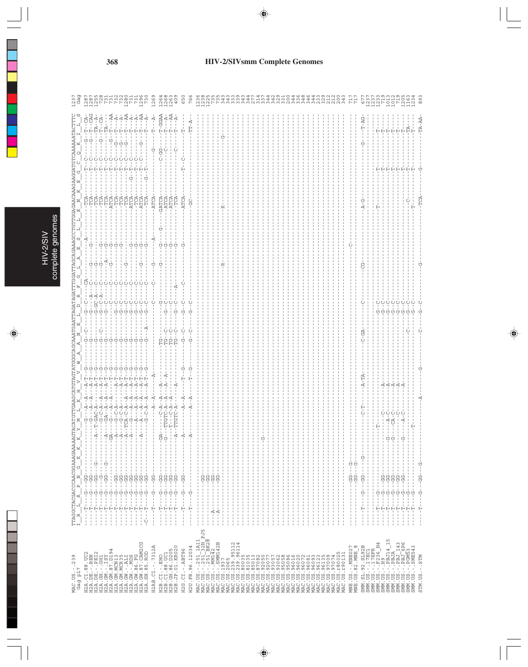|                                                           | Ğ |                                                                                |                                                                                                                                                                                                                                                                                                                                                                                                          |                               |                                                              |                            |                                                                        |                                   |                                                                      |                                            |                                   |                      |                                                              |                    | 26                  | O                                                                               | O<br>$N$ $N$ $N$                                                                                                                                                                                       | O                                             |                                                 |                     | LN<br>O                                      |                                         | $QQQQ$ |  |              |            |                    |                                                                |              |                                     |                                                                                                                                                                                                                                                                                                                                                                                        |                   |                             |  |  |         |  | $m \circ$              |         |                                                                |                                       |  |             |    | MMMNMNN                       |              |                    |    | $\circ$                                                                                                                                                                                                                                                                             |                                                                                                                                                       |                                                                                      |                                                                              |   |                                                                                   |                         |               |              |                                          |                                                                                       |                                                                       |                                 |                                                                                                        |                                                                 |                             |                                                                                                                                                                                                                                                                                                                                                                                                                                   |                |                                                    |
|-----------------------------------------------------------|---|--------------------------------------------------------------------------------|----------------------------------------------------------------------------------------------------------------------------------------------------------------------------------------------------------------------------------------------------------------------------------------------------------------------------------------------------------------------------------------------------------|-------------------------------|--------------------------------------------------------------|----------------------------|------------------------------------------------------------------------|-----------------------------------|----------------------------------------------------------------------|--------------------------------------------|-----------------------------------|----------------------|--------------------------------------------------------------|--------------------|---------------------|---------------------------------------------------------------------------------|--------------------------------------------------------------------------------------------------------------------------------------------------------------------------------------------------------|-----------------------------------------------|-------------------------------------------------|---------------------|----------------------------------------------|-----------------------------------------|--------|--|--------------|------------|--------------------|----------------------------------------------------------------|--------------|-------------------------------------|----------------------------------------------------------------------------------------------------------------------------------------------------------------------------------------------------------------------------------------------------------------------------------------------------------------------------------------------------------------------------------------|-------------------|-----------------------------|--|--|---------|--|------------------------|---------|----------------------------------------------------------------|---------------------------------------|--|-------------|----|-------------------------------|--------------|--------------------|----|-------------------------------------------------------------------------------------------------------------------------------------------------------------------------------------------------------------------------------------------------------------------------------------|-------------------------------------------------------------------------------------------------------------------------------------------------------|--------------------------------------------------------------------------------------|------------------------------------------------------------------------------|---|-----------------------------------------------------------------------------------|-------------------------|---------------|--------------|------------------------------------------|---------------------------------------------------------------------------------------|-----------------------------------------------------------------------|---------------------------------|--------------------------------------------------------------------------------------------------------|-----------------------------------------------------------------|-----------------------------|-----------------------------------------------------------------------------------------------------------------------------------------------------------------------------------------------------------------------------------------------------------------------------------------------------------------------------------------------------------------------------------------------------------------------------------|----------------|----------------------------------------------------|
|                                                           |   | ひ                                                                              | GAG<br>$\begin{array}{c} \begin{array}{c} \begin{array}{c} \begin{array}{c} \end{array} \\ \begin{array}{c} \end{array} \\ \begin{array}{c} \end{array} \\ \begin{array}{c} \end{array} \\ \begin{array}{c} \end{array} \end{array} \end{array} \end{array} \end{array} \begin{array}{c} \begin{array}{c} \begin{array}{c} \end{array} \\ \begin{array}{c} \end{array} \end{array}$<br>ひ<br>$\mathbf{I}$ | ပု                            |                                                              | $-AA$<br>먹                 | ်ငှ                                                                    |                                   | じ じ                                                                  |                                            |                                   | $A + A + A$<br>88888 | $\frac{1}{\sqrt{2}}$                                         | Ŕ,                 | Ą                   | GGAZ                                                                            | 6 6 6                                                                                                                                                                                                  |                                               | Ą<br>Н                                          |                     |                                              |                                         |        |  |              |            |                    |                                                                |              |                                     |                                                                                                                                                                                                                                                                                                                                                                                        |                   |                             |  |  |         |  |                        |         |                                                                |                                       |  |             |    |                               |              |                    |    |                                                                                                                                                                                                                                                                                     |                                                                                                                                                       |                                                                                      |                                                                              |   |                                                                                   |                         |               |              |                                          |                                                                                       |                                                                       |                                 |                                                                                                        | <b>LLLLLLE</b>                                                  |                             |                                                                                                                                                                                                                                                                                                                                                                                                                                   |                | $TA - \lambda P$                                   |
| $\circ$                                                   |   |                                                                                |                                                                                                                                                                                                                                                                                                                                                                                                          |                               |                                                              |                            |                                                                        |                                   |                                                                      |                                            |                                   | HHH                  |                                                              | ひ                  | ひ                   | ( )                                                                             | ë∪<br>B                                                                                                                                                                                                |                                               | U                                               |                     |                                              |                                         |        |  |              |            |                    |                                                                |              |                                     |                                                                                                                                                                                                                                                                                                                                                                                        |                   |                             |  |  |         |  |                        |         |                                                                |                                       |  |             |    |                               |              |                    |    |                                                                                                                                                                                                                                                                                     |                                                                                                                                                       |                                                                                      |                                                                              |   |                                                                                   |                         |               |              |                                          |                                                                                       |                                                                       |                                 |                                                                                                        | HHHHH                                                           |                             |                                                                                                                                                                                                                                                                                                                                                                                                                                   |                |                                                    |
| CTGTTGGAGAACAAAGGATGTCAAAAAATACT                          |   |                                                                                |                                                                                                                                                                                                                                                                                                                                                                                                          |                               |                                                              |                            |                                                                        |                                   |                                                                      |                                            |                                   |                      |                                                              |                    | ATCA                |                                                                                 | <b>ATCA</b>                                                                                                                                                                                            | ATCA                                          | TCA                                             |                     | ATCA                                         |                                         |        |  |              |            |                    |                                                                |              |                                     |                                                                                                                                                                                                                                                                                                                                                                                        |                   |                             |  |  |         |  |                        |         |                                                                |                                       |  |             |    |                               |              |                    |    |                                                                                                                                                                                                                                                                                     |                                                                                                                                                       |                                                                                      |                                                                              |   |                                                                                   |                         |               |              |                                          |                                                                                       |                                                                       |                                 |                                                                                                        |                                                                 |                             |                                                                                                                                                                                                                                                                                                                                                                                                                                   |                |                                                    |
| AGCAGAAAGC                                                |   |                                                                                | ひ                                                                                                                                                                                                                                                                                                                                                                                                        |                               | <b>ひひひひひ</b>                                                 |                            |                                                                        |                                   |                                                                      |                                            |                                   | <b>ひひひひ</b>          |                                                              |                    |                     |                                                                                 | ひひひひ                                                                                                                                                                                                   |                                               |                                                 |                     |                                              |                                         |        |  |              |            |                    |                                                                |              |                                     |                                                                                                                                                                                                                                                                                                                                                                                        |                   |                             |  |  |         |  |                        |         |                                                                |                                       |  |             |    |                               |              |                    |    |                                                                                                                                                                                                                                                                                     |                                                                                                                                                       |                                                                                      |                                                                              |   |                                                                                   |                         |               |              |                                          |                                                                                       |                                                                       |                                 |                                                                                                        |                                                                 |                             |                                                                                                                                                                                                                                                                                                                                                                                                                                   |                |                                                    |
|                                                           |   |                                                                                | <b>ひひひ</b>                                                                                                                                                                                                                                                                                                                                                                                               |                               | ட் ம                                                         |                            |                                                                        |                                   | 也                                                                    |                                            |                                   |                      | ℧                                                            |                    | てり                  | C٦                                                                              |                                                                                                                                                                                                        |                                               |                                                 |                     |                                              |                                         |        |  |              |            |                    |                                                                |              |                                     |                                                                                                                                                                                                                                                                                                                                                                                        |                   |                             |  |  |         |  |                        |         |                                                                |                                       |  |             |    |                               |              |                    |    |                                                                                                                                                                                                                                                                                     |                                                                                                                                                       |                                                                                      |                                                                              |   |                                                                                   |                         |               |              |                                          |                                                                                       |                                                                       |                                 |                                                                                                        |                                                                 |                             |                                                                                                                                                                                                                                                                                                                                                                                                                                   |                |                                                    |
| AGTATGGGCAAATGAATTAGATAGATTGAT<br>' V W A A N E L D R F G |   | ひ<br>υ υ                                                                       | $A \land A$<br>ġ<br>ひひひひ – ひひひひひひ                                                                                                                                                                                                                                                                                                                                                                        | U<br>υυ                       | <u>UUUUUUUUU</u><br><b>ひ ひ</b>                               |                            | てり                                                                     |                                   | てり                                                                   | てり                                         |                                   |                      | ひ                                                            | U<br>ひ             |                     |                                                                                 | ひひ<br>じ じ                                                                                                                                                                                              | ひ                                             | U<br>也                                          |                     | てり<br>ひ                                      | τ.                                      |        |  |              |            |                    |                                                                |              |                                     |                                                                                                                                                                                                                                                                                                                                                                                        |                   |                             |  |  |         |  |                        |         |                                                                |                                       |  |             |    |                               |              |                    |    |                                                                                                                                                                                                                                                                                     |                                                                                                                                                       |                                                                                      |                                                                              |   |                                                                                   |                         |               |              |                                          |                                                                                       |                                                                       |                                 |                                                                                                        | 0 0 0 0 0 0 0<br>ひ ひ ひ ひ ひ ひ ひ ひ                                |                             |                                                                                                                                                                                                                                                                                                                                                                                                                                   |                |                                                    |
| GAAGCATGT<br>TTAGGCTACGACCCAACGGAAAGAAAA<br>IRLARIRPMG    |   | 1                                                                              | K.<br>f,<br>$\,$<br>ł<br>J.<br>$\mathbf{I}$                                                                                                                                                                                                                                                                                                                                                              | ΚK                            | <b>ひ ひ</b><br>FЕ<br>K,<br>$\mathcal{A} \mathcal{A}$<br>みみみみみ |                            | ひ<br>⊢<br>K,<br>К<br>$\cup$<br>$\frac{1}{1}$<br>$-55 -$<br><b>ANTI</b> | ひ<br>٣<br>К<br>К<br>f,<br>$-99$ . | ひ<br>۳<br>$\mathbb{R} \times$<br>$A \land A$<br><b>UU</b><br>$-55 -$ | $\mathbf{I}$<br>ł                          | 북북<br>$\frac{1}{4}$<br>$-35 - 55$ | K.<br>$\mathbf{I}$   | ᄇ<br>Æ<br>Æ<br>$\frac{1}{1}$<br>İ<br>$-99 -$<br>٠<br>$\pm$ 1 | R<br>$-5$          | த்<br>f,            | Ī<br>٠                                                                          | К<br>К<br>$\triangle$ $\triangle$<br>5<br>$\overline{\phantom{a}}$<br>$\overline{\phantom{a}}$<br>$\,$ l<br>$\overline{\phantom{a}}$<br>$-55 -$<br>$\overline{\phantom{a}}$<br>$\mathbb{I}=\mathbb{I}$ | К<br>$\frac{1}{1}$<br>$-99 -$<br>$\mathbf{I}$ | TUCT<br>Ą<br>$-99 -$<br>$\mathbf{1}=\mathbf{1}$ | $\frac{1}{1}$<br>J. | K,<br>K.<br>ප්<br>Ť                          | K.<br>$\frac{1}{1}$<br>-<br>$\,$ I      |        |  |              |            | İ<br>J.            | $\frac{1}{1}$<br>$\frac{1}{1}$<br>$\mathbf{I}$<br>$\,$<br>$\,$ |              |                                     |                                                                                                                                                                                                                                                                                                                                                                                        |                   |                             |  |  |         |  |                        | Í       |                                                                |                                       |  |             |    |                               |              | $\mathbf{I}$       | J. | $\frac{1}{1}$<br>$\mathbf{I}$                                                                                                                                                                                                                                                       | $\,$ $\,$<br>$\frac{1}{1}$<br>$\overline{\phantom{a}}$                                                                                                | $\frac{1}{4}$<br>U---UU--<br>$\mathsf I$                                             | $\overline{\phantom{a}}$<br>$\frac{1}{\sqrt{2}}$<br>$\overline{\phantom{a}}$ | Ġ | $\frac{1}{1}$<br>$\mathbf{I}$<br>$\vec{c}$<br>$\frac{1}{2}$<br>$-55 -$            | ţ<br>$\mathbf{I}$<br>J. | $\frac{1}{1}$ | $\mathbf{I}$ | $\frac{1}{1}$<br>$-99 -$<br>$\mathbb{F}$ | ΑA<br>Ĵ<br>$\frac{1}{1}$<br>$\frac{1}{1}$<br>$\,$ I<br>ප්<br>$\overline{\phantom{a}}$ | Ô<br>J.<br>$\mathbf{I}$<br>$\frac{1}{1}$<br>$-99$<br>٠<br>$\mathsf I$ | $\triangleleft$ $\triangleleft$ | $\blacksquare$<br>$\mathbf{I}$<br>J.<br>ł<br>$-95$<br>٠<br>$\mathsf I$                                 | $\blacksquare$<br>$\blacksquare$<br>$\,$ l<br>9<br>$\mathbf{I}$ |                             |                                                                                                                                                                                                                                                                                                                                                                                                                                   |                |                                                    |
|                                                           |   | $\frac{1}{4}$<br>$\overline{a}$<br>$\begin{array}{c} \hline \end{array}$<br>I. | "פָּטְ פָּטָ פָׁטָ פָּטָ פָּטָ פָּטָ פָּטָ<br>"וויוויוויוויוויוויוויוו<br>$\,$ I<br>$\frac{1}{4}$<br>$\mathbf{I}$<br>부부<br>t<br>ł                                                                                                                                                                                                                                                                        | $\frac{1}{1}$<br>۳<br>-<br>f, | $\frac{1}{4}$<br>부<br>$\frac{1}{1}$                          | $\frac{1}{4}$<br>$-1$<br>÷ | $\frac{1}{4}$<br>н<br>Ţ<br>Ť                                           | ÷<br>$-1$<br>Ť                    | $\mathbf{I}$<br>부<br>Ť                                               | $\,$<br>$\mathbf{I}$<br>Ť<br>$\frac{1}{1}$ | $\blacksquare$<br>보보<br>f,        | $\frac{1}{1}$        | $\mathsf I$<br>$\mathbf{I}$<br>Н<br>f,<br>t                  | Ĥ<br>$\frac{1}{C}$ | ひ<br>н              | ٠<br>$\mathbf I$<br>$\mathbf{I}$<br>$\mathsf I$<br>$\mathbf{I}$<br>$\mathbf{I}$ | <b>ひひひ</b><br>-1<br>$\mathbb{I}=\mathbb{I}$<br>$\blacksquare$<br>HHH<br>$\overline{\phantom{a}}$<br>$\blacksquare$<br>$\overline{\phantom{a}}$                                                         | -<br>$\mathsf I$<br>$\mathbf{I}$<br>Ĩ.<br>ŧ   | ひ<br>$\mathbf{I}$<br>۳<br>۱                     | $\mathbf{I}$<br>f,  | ひ<br>Ť<br>$\mathbf{I}$<br>부<br>$\frac{1}{4}$ | $-5 - - - - - -$<br>÷.<br>$\frac{1}{4}$ |        |  | $\mathbf{I}$ | $- -A - -$ | İ<br>$\frac{1}{4}$ | $\frac{1}{1}$<br>$\frac{1}{1}$<br>$\,$<br>t                    | $\mathbf{I}$ | $\frac{1}{1}$<br>1<br>$\sf I$<br>J. | $\frac{1}{2}$<br>f,<br>$\begin{array}{c} \rule{0.2cm}{0.15mm} \rule{0.2cm}{0.15mm} \rule{0.2cm}{0.15mm} \rule{0.2cm}{0.15mm} \rule{0.2cm}{0.15mm} \rule{0.2cm}{0.15mm} \rule{0.2cm}{0.15mm} \rule{0.2cm}{0.15mm} \rule{0.2cm}{0.15mm} \rule{0.2cm}{0.15mm} \rule{0.2cm}{0.15mm} \rule{0.2cm}{0.15mm} \rule{0.2cm}{0.15mm} \rule{0.2cm}{0.15mm} \rule{0.2cm}{0.15mm} \rule{$<br>J<br>J. | Ţ<br>I<br>I<br>J. | $\,$<br>J<br>$\blacksquare$ |  |  | I,<br>ı |  | ٠<br>$\mathbf{I}$<br>ı | l,<br>J | $\sf I$<br>$\begin{array}{c} \rule{0.2cm}{0.15mm} \end{array}$ | $\begin{array}{c} \hline \end{array}$ |  | 1<br>Ţ<br>ı | f, | ł<br>$\frac{1}{1}$<br>J<br>I, | $\mathbf{I}$ | Î<br>J,<br>f,<br>J |    | ł<br>$\mathbf{I}$<br>$\frac{1}{1}$<br>I<br>I<br>J.                                                                                                                                                                                                                                  | $\begin{array}{c} \begin{array}{c} \text{1} \\ \text{2} \\ \text{3} \\ \text{4} \end{array} \end{array}$<br>$\frac{1}{1}$<br>$\overline{\phantom{a}}$ | $\mathbf{I}$<br>Ť.<br>$\mathsf I$<br>$\mathbf{I}$<br>$\mathbf I$<br>$\,$<br>J.<br>L. |                                                                              |   | $\frac{1}{\sqrt{2}}$<br>$\frac{1}{4}$<br>Ĥ<br>$\,$ $\,$<br>$\,$ I<br>$\mathbf{I}$ |                         |               | 턱            | $\mathbf{I}$<br>1<br>1<br>$\mathbf{I}$   | ひひひひひ<br>66 6<br>$\overline{\phantom{a}}$<br>$\mathbf{I}$                             | $\mathbf{I}$<br>$\mathbf{I}$<br>٠<br>Í                                |                                 | $\overline{\phantom{a}}$<br>$\mathbf{I}$<br>$\,$<br>- 11<br>н<br>٠<br>$\mathbf I$<br>$\mathbf{I}$<br>ï | <b>ひ ひ ひ</b><br>$\overline{\phantom{a}}$<br>FЕ<br>$\mathbf{I}$  | ٠<br>×<br>1<br>t<br>J,<br>٠ | J.<br>н<br>1<br>t<br>J.                                                                                                                                                                                                                                                                                                                                                                                                           | Ġ<br>н<br>Ĥ,   | $\mathbf{I}$<br>$\,$ I<br>$\overline{\phantom{a}}$ |
| G<br>.23<br>MAC.US.-.<br>Gag p17                          |   |                                                                                | $\begin{array}{l} \rm{H2A}, \rm{CL}, \rm{88}, \rm{UC2}\\ \rm{H2A}, \rm{DB}, \cdots \rm{B} \\ \rm{H2A}, \rm{CH}, \cdots \rm{H21}\\ \rm{H2A}, \rm{GH}, \cdots \rm{H21}\\ \rm{H2A}, \rm{GH}, \cdots \rm{H21}\\ \rm{H2A}, \rm{GH}, \cdots \rm{H23}\\ \rm{H2A}, \rm{GH}, \rm{MMM13}\\ \rm{H2A}, \rm{GH}, \rm{H23}\\ \rm{H2A}, \rm{GH}, \cdots \rm{H25}\\ \rm{H2A}, \rm{GH}, \cdots \rm{H$                     |                               |                                                              |                            |                                                                        |                                   |                                                                      |                                            |                                   |                      |                                                              |                    | H2AB. CI. - . 7312A |                                                                                 | H2B.CI.-.BHO<br>H2B.CI.88.UC1<br>H2B.GH.86.D205<br>H2B.JP.01.KR020                                                                                                                                     |                                               |                                                 |                     | H2G.CI. - . ABT96                            | H2U.FR.96.12034                         |        |  |              |            |                    |                                                                |              |                                     |                                                                                                                                                                                                                                                                                                                                                                                        |                   |                             |  |  |         |  |                        |         |                                                                |                                       |  |             |    |                               |              |                    |    | $\begin{smallmatrix} \tt{M} & C. & 195 & -1251 & 1241 & 1251 & 1251 & 1251 & 1251 & 1251 & 1251 & 1251 & 1251 & 1251 & 1251 & 1251 & 1251 & 1251 & 1251 & 1251 & 1251 & 1251 & 1251 & 1251 & 1251 & 1251 & 1251 & 1251 & 1251 & 1251 & 1251 & 1251 & 1251 & 1251 & 1251 & 1251 & 1$ |                                                                                                                                                       |                                                                                      | MNE.US. - .MNE027<br>MNE.US. 82.MNE_8                                        |   |                                                                                   |                         |               |              |                                          | LN                                                                                    |                                                                       |                                 |                                                                                                        |                                                                 |                             | $\begin{array}{l} \texttt{SMM}, \texttt{SL}, 92, \texttt{SLO2B} \\ \texttt{SMM}, \texttt{US}. - 17 \texttt{BCl} \\ \texttt{SMM}, \texttt{US}. - 17 \texttt{BCl} \\ \texttt{SMM}, \texttt{US}. - 18 \texttt{3} \texttt{6} \texttt{144} \\ \texttt{SMM}, \texttt{US}. - 19 \texttt{5} \texttt{7} \texttt{8} \texttt{8} \texttt{144} \\ \texttt{SMM}, \texttt{US}. - 19 \texttt{B} \texttt{14} \texttt{15} \\ \texttt{SMM}, \texttt$ | MIS.<br>STM.US |                                                    |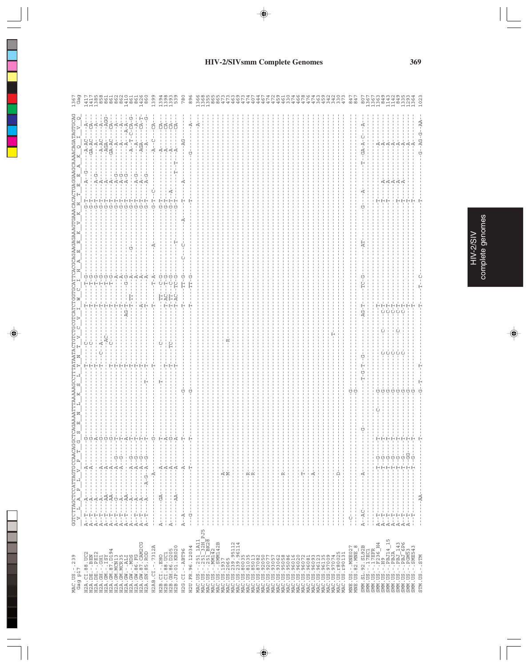|  | ž<br>è<br>$\frac{\omega}{\omega}$<br>١ |
|--|----------------------------------------|
|--|----------------------------------------|

്ക്

| G<br>.23<br>$\overline{2}$<br>Gag p1<br>MAC.US.                                                                                                                                                                                                                                                                                                                                                                                                                                                                                                                    |                                                                                                                                                                                                                                         |                                                                                                                                                      |              |                |                        |                                     |                                                               |                                                                               | 1367<br>Gag                                                    |
|--------------------------------------------------------------------------------------------------------------------------------------------------------------------------------------------------------------------------------------------------------------------------------------------------------------------------------------------------------------------------------------------------------------------------------------------------------------------------------------------------------------------------------------------------------------------|-----------------------------------------------------------------------------------------------------------------------------------------------------------------------------------------------------------------------------------------|------------------------------------------------------------------------------------------------------------------------------------------------------|--------------|----------------|------------------------|-------------------------------------|---------------------------------------------------------------|-------------------------------------------------------------------------------|----------------------------------------------------------------|
|                                                                                                                                                                                                                                                                                                                                                                                                                                                                                                                                                                    | $\mathsf I$                                                                                                                                                                                                                             |                                                                                                                                                      |              |                |                        |                                     | τη                                                            |                                                                               |                                                                |
|                                                                                                                                                                                                                                                                                                                                                                                                                                                                                                                                                                    | $\mathbf{I}=\mathbf{I}$                                                                                                                                                                                                                 | 004<br>$\overline{\phantom{a}}$<br>- 1<br>$\mathcal{A}$                                                                                              |              |                |                        |                                     | てりてり                                                          | F<br>$-2A-AC$                                                                 |                                                                |
| $\begin{array}{l} \rm I2A,\,CL,\,88,\,UC2\\ \rm I2A,\,DB.-IBEN\\ \rm I2A,\,BB,--GBI\\ \rm I2A,\,CH.-.15Y\\ \rm I2A,\,CH.-.15Y\\ \rm I2A,\,CH.-.15Y\\ \rm I2A,\,CH., 15Y\\ \rm I2A,\,CH, 15Y\\ \rm I2A,\,CH, 15Y\\ \rm I2A,\,CH, 15Y\\ \rm I2A,\,CH, 15Y\\ \rm I2A,\,CH, 15Y\\ \rm I2A,\,CH, 15Y\\ \rm I2A,\,CH, 16Y\\ \rm I2A,\,CH, 16Y\\ \rm I$                                                                                                                                                                                                                   | $\mathbf I$<br>$\mathcal{A}$<br>ÉPPE<br>Jili<br>AAAAAAAAAAA                                                                                                                                                                             | ÷,<br>$\,$ I<br>$\blacksquare$                                                                                                                       |              |                |                        |                                     | К                                                             | Æ<br>ひ                                                                        |                                                                |
|                                                                                                                                                                                                                                                                                                                                                                                                                                                                                                                                                                    | $\mathbf I$<br>부                                                                                                                                                                                                                        | ひ<br>ひ<br>÷<br>÷<br>$\mathbf{I}$<br>$\mathbf{I}$                                                                                                     |              | AC.<br>Ŕ,<br>O |                        | ひ                                   | К<br>R<br>てり                                                  | AGG<br>К<br>$-A-AC$                                                           |                                                                |
|                                                                                                                                                                                                                                                                                                                                                                                                                                                                                                                                                                    | $\mathbf{I}$                                                                                                                                                                                                                            | ÷                                                                                                                                                    |              | U              |                        | ひ                                   |                                                               | g<br>$-AGA - -$<br>$- + - + -$<br>$- + - - -$<br>$- - - - -$<br>$- - - - - -$ |                                                                |
|                                                                                                                                                                                                                                                                                                                                                                                                                                                                                                                                                                    | $\mathsf I$<br>$\,$ $\,$<br>eééé<br>Tit                                                                                                                                                                                                 | ひ 戸<br>÷<br>$\frac{1}{4}$                                                                                                                            |              |                |                        |                                     | $\begin{array}{c}\nA - 1 \\ A - 1 \\ A + 1\n\end{array}$<br>۳ | К<br>ひ                                                                        |                                                                |
|                                                                                                                                                                                                                                                                                                                                                                                                                                                                                                                                                                    | $\mathbf I$<br>$\,$ I                                                                                                                                                                                                                   | ÷,<br>÷,                                                                                                                                             |              |                |                        |                                     | ⊢                                                             | Ą<br><b>ひ ひ</b>                                                               |                                                                |
|                                                                                                                                                                                                                                                                                                                                                                                                                                                                                                                                                                    | $\mathbf I$<br>$\Gamma$<br>후토                                                                                                                                                                                                           | К<br>TT.<br>$\mathbb{I}=\mathbb{I}$<br>$1 - 1$<br>$\mathbf{L}$                                                                                       |              |                | н<br>AG.               | ひ<br>Ġ                              | ⊢                                                             | -A                                                                            |                                                                |
|                                                                                                                                                                                                                                                                                                                                                                                                                                                                                                                                                                    | $\mathbf{I}$<br>$\mathbf{I}$                                                                                                                                                                                                            | $\blacksquare$<br>$\blacksquare$                                                                                                                     |              |                | ГT-<br>E               |                                     | е<br><b>ひひひひひひひひ</b>                                          | ි<br>U                                                                        |                                                                |
|                                                                                                                                                                                                                                                                                                                                                                                                                                                                                                                                                                    | $\,$ $\,$<br>$\mathbf{I}$                                                                                                                                                                                                               | 44<br>$\mathcal{A}$<br>÷                                                                                                                             |              |                | Æ                      |                                     | $\triangleleft$ $\triangleleft$<br>е                          | CA-T<br>$- - A$                                                               |                                                                |
|                                                                                                                                                                                                                                                                                                                                                                                                                                                                                                                                                                    | $A - G$<br>۲tt<br>المال                                                                                                                                                                                                                 | 666<br>$\mathbf{I}$<br>$\mathbf{I}$<br>$\blacksquare$<br>K.<br>-f                                                                                    |              |                |                        |                                     | K,<br>н<br>ひ                                                  | $- - A$<br>↻                                                                  |                                                                |
| $-.7312A$<br>H2AB.CI.                                                                                                                                                                                                                                                                                                                                                                                                                                                                                                                                              | $-4 - 2$<br>$\,$<br>f,<br>$\mathsf I$<br>$\mathsf I$<br>$\mathbf{I}$<br>$\mathbf{I}$                                                                                                                                                    | ひ<br>÷<br>$\mathbf{I}$                                                                                                                               |              |                |                        | К<br>Ĥ                              | ь<br>Ġ                                                        | S<br>Ą                                                                        | 1399                                                           |
|                                                                                                                                                                                                                                                                                                                                                                                                                                                                                                                                                                    |                                                                                                                                                                                                                                         |                                                                                                                                                      |              |                |                        |                                     |                                                               |                                                                               |                                                                |
|                                                                                                                                                                                                                                                                                                                                                                                                                                                                                                                                                                    | $\mathsf I$<br>$\mathsf I$<br>$\frac{1}{4}$<br>$\overline{\phantom{a}}$<br>$-45 -$<br>$\mathsf I$<br>Ť<br>$\overline{\phantom{a}}$<br>$\mathsf I$<br>$\mathbf{A}^-$<br>$\overline{\phantom{a}}$                                         | Æ<br>÷<br>$\mathbf{I}$<br>$\mathbf{I}$<br>$\overline{\phantom{0}}$<br>$\mathsf I$                                                                    |              |                | - TAC<br>- AC<br>- - - | ひ<br>U                              | е<br>۳<br>(5)                                                 |                                                                               |                                                                |
|                                                                                                                                                                                                                                                                                                                                                                                                                                                                                                                                                                    | $\mathsf I$<br>$\,$ I<br>$\blacksquare$<br>$\mathsf I$<br>$\blacksquare$<br>J.<br>$\mathbf I$<br>Ħ<br>$\mathsf I$<br>$\sf I$<br>I.<br>٠<br>$A - -$<br>$\,$ I                                                                            | ひ<br>÷<br>Ĵ,<br>$\mathbf{I}$<br>$\mathbf{I}$<br>j.<br>$\mathsf I$                                                                                    |              | U<br>E<br>H    | j.                     |                                     | υυ                                                            | F<br>F                                                                        |                                                                |
| H2B.CI.-.HHO<br>H2B.CI.88.UC1<br>H2B.CH.86.D205<br>H2B.JP.01.KR020                                                                                                                                                                                                                                                                                                                                                                                                                                                                                                 | $\,$ $\,$<br>$\mathcal{A}$<br>$\overline{\phantom{a}}$<br>-i<br>$----P-1$<br>$\mathbf{1}$<br>$\,$<br>$\mathbf{I}$                                                                                                                       | К<br>Ť<br>$\,$<br>$\frac{1}{4}$<br>$\,$ $\,$                                                                                                         |              | F              | $-AC$<br>E             | ּפִי פִי פִי<br>הַלְּיָם<br>הַיִּהַ | НF<br>τŋ                                                      | $-444$<br>Е                                                                   | 111<br>00000<br>10000                                          |
| $-.ABT96$<br>H2G.CI.                                                                                                                                                                                                                                                                                                                                                                                                                                                                                                                                               | $\mathbf{I}$<br>$\mathsf I$<br>$\mathbf{I}$<br>$\mathbb{I}$<br>ł<br>$\mathsf I$<br>$- - A - -$<br>К                                                                                                                                     | ÷<br>$\mathbb{I}$<br>j.<br>$\mathsf I$<br>$\frac{1}{4}$<br>Ŕ.<br>Ţ                                                                                   | U            |                |                        | <b>D-TT</b>                         |                                                               | <b>CA</b>                                                                     | $\frac{8}{3}$                                                  |
| 96.12034<br>H2U.FR.                                                                                                                                                                                                                                                                                                                                                                                                                                                                                                                                                | $\mathbb{I}$<br>Ť<br>$\frac{1}{4}$<br>$-5 -$                                                                                                                                                                                            | $\frac{1}{4}$<br>$\mathbb{H}$<br>т.                                                                                                                  |              |                |                        |                                     |                                                               |                                                                               | $\frac{9}{8}$                                                  |
|                                                                                                                                                                                                                                                                                                                                                                                                                                                                                                                                                                    |                                                                                                                                                                                                                                         |                                                                                                                                                      |              |                |                        |                                     |                                                               |                                                                               |                                                                |
| PJ5<br>MAC.US. - .251 1A11<br>MAC.US. - .251 32H P.<br>MAC.US. - .251 B.252 P.<br>MAC.US. - .MM142                                                                                                                                                                                                                                                                                                                                                                                                                                                                 | $\mathbb{I}$<br>$\mathcal{A}$<br>$\frac{1}{4}$<br>$\frac{1}{4}$<br>ł<br>$\mathbf{I}$<br>$\,$ I<br>$\frac{1}{4}$<br>$\mathbf I$<br>$\mathsf I$<br>$\blacksquare$<br>$\mathbf{I}$<br>$\mathbf{I}$<br>-1<br>$\mathbb{I}$<br>$\blacksquare$ | $\mathbf{I}$<br>$\mathbf{I}$<br>$\overline{\phantom{a}}$<br>$\mathsf I$<br>$\mathbf{I}$<br>$\overline{\phantom{a}}$<br>$\mathbf{I}$<br>$\frac{1}{2}$ |              |                |                        |                                     |                                                               |                                                                               | O O IO O O I I I O O I I I<br>MMM O O O O O O O I O O I<br>HHH |
|                                                                                                                                                                                                                                                                                                                                                                                                                                                                                                                                                                    | Ĵ<br>$\frac{1}{1}$<br>$\frac{1}{1}$<br>1<br>J.                                                                                                                                                                                          | $\frac{1}{1}$                                                                                                                                        |              |                |                        |                                     |                                                               |                                                                               |                                                                |
|                                                                                                                                                                                                                                                                                                                                                                                                                                                                                                                                                                    |                                                                                                                                                                                                                                         | $\frac{1}{4}$                                                                                                                                        |              |                |                        |                                     |                                                               |                                                                               |                                                                |
|                                                                                                                                                                                                                                                                                                                                                                                                                                                                                                                                                                    |                                                                                                                                                                                                                                         |                                                                                                                                                      |              |                |                        |                                     |                                                               |                                                                               |                                                                |
|                                                                                                                                                                                                                                                                                                                                                                                                                                                                                                                                                                    | $- -A - -$<br>t                                                                                                                                                                                                                         |                                                                                                                                                      |              |                |                        |                                     |                                                               |                                                                               |                                                                |
|                                                                                                                                                                                                                                                                                                                                                                                                                                                                                                                                                                    | $-1 - N -$<br>$\,$ I<br>ţ<br>$\frac{1}{1}$<br>I<br>J.                                                                                                                                                                                   | $\mathbf{I}$                                                                                                                                         |              |                |                        |                                     |                                                               |                                                                               |                                                                |
|                                                                                                                                                                                                                                                                                                                                                                                                                                                                                                                                                                    | $\,$ I<br>$\overline{1}$<br>$\begin{array}{c} \hline \end{array}$<br>$\overline{\phantom{a}}$                                                                                                                                           | $\mathbf{I}$<br>$\overline{\phantom{a}}$<br>$\mathbf{I}$                                                                                             |              |                |                        |                                     |                                                               |                                                                               |                                                                |
|                                                                                                                                                                                                                                                                                                                                                                                                                                                                                                                                                                    | $\frac{1}{4}$<br>$\frac{1}{1}$<br>$\frac{1}{1}$                                                                                                                                                                                         | $\frac{1}{1}$                                                                                                                                        |              |                |                        |                                     |                                                               |                                                                               | ന                                                              |
|                                                                                                                                                                                                                                                                                                                                                                                                                                                                                                                                                                    | ٠                                                                                                                                                                                                                                       |                                                                                                                                                      |              |                |                        |                                     |                                                               |                                                                               |                                                                |
|                                                                                                                                                                                                                                                                                                                                                                                                                                                                                                                                                                    | α<br>÷<br>1                                                                                                                                                                                                                             | $\overline{\phantom{a}}$                                                                                                                             |              |                |                        |                                     |                                                               |                                                                               | 4                                                              |
| ${\bf H} \times {\bf C} = {\bf C} \times {\bf C} \times {\bf C} \times {\bf C} \times {\bf C} \times {\bf C} \times {\bf C} \times {\bf C} \times {\bf C} \times {\bf C} \times {\bf C} \times {\bf C} \times {\bf C} \times {\bf C} \times {\bf C} \times {\bf C} \times {\bf C} \times {\bf C} \times {\bf C} \times {\bf C} \times {\bf C} \times {\bf C} \times {\bf C} \times {\bf C} \times {\bf C} \times {\bf C} \times {\bf C} \times {\bf C} \times {\bf C} \times {\bf C} \times {\bf C} \times {\bf C} \times {\bf C} \times {\bf C} \times {\bf C} \$ | R<br>$\frac{1}{1}$<br>$\mathbf{I}$<br>J.<br>٠                                                                                                                                                                                           | J.<br>$\mathbf{I}$                                                                                                                                   |              |                |                        |                                     |                                                               |                                                                               |                                                                |
|                                                                                                                                                                                                                                                                                                                                                                                                                                                                                                                                                                    |                                                                                                                                                                                                                                         |                                                                                                                                                      |              |                |                        |                                     |                                                               |                                                                               |                                                                |
|                                                                                                                                                                                                                                                                                                                                                                                                                                                                                                                                                                    |                                                                                                                                                                                                                                         | $\mathbf{I}$                                                                                                                                         |              |                |                        |                                     |                                                               |                                                                               |                                                                |
|                                                                                                                                                                                                                                                                                                                                                                                                                                                                                                                                                                    | J.<br>I<br>J.                                                                                                                                                                                                                           | J.<br>٠                                                                                                                                              |              |                |                        |                                     |                                                               |                                                                               |                                                                |
|                                                                                                                                                                                                                                                                                                                                                                                                                                                                                                                                                                    | I<br>$\mathbf{I}$                                                                                                                                                                                                                       |                                                                                                                                                      |              |                |                        |                                     |                                                               |                                                                               |                                                                |
|                                                                                                                                                                                                                                                                                                                                                                                                                                                                                                                                                                    | $-R$<br>$\frac{1}{1}$<br>$\frac{1}{1}$<br>t                                                                                                                                                                                             | $\mathbf I$<br>ŧ                                                                                                                                     |              |                |                        |                                     |                                                               |                                                                               |                                                                |
|                                                                                                                                                                                                                                                                                                                                                                                                                                                                                                                                                                    | $\blacksquare$                                                                                                                                                                                                                          |                                                                                                                                                      |              |                |                        |                                     |                                                               |                                                                               |                                                                |
|                                                                                                                                                                                                                                                                                                                                                                                                                                                                                                                                                                    | $\overline{\phantom{a}}$                                                                                                                                                                                                                | $\,$ I                                                                                                                                               |              |                |                        |                                     |                                                               |                                                                               |                                                                |
|                                                                                                                                                                                                                                                                                                                                                                                                                                                                                                                                                                    | 1                                                                                                                                                                                                                                       |                                                                                                                                                      |              |                |                        |                                     |                                                               |                                                                               |                                                                |
|                                                                                                                                                                                                                                                                                                                                                                                                                                                                                                                                                                    | $-1$ - $-1$<br>ţ                                                                                                                                                                                                                        | $\mathbf{I}$                                                                                                                                         |              |                |                        |                                     |                                                               |                                                                               |                                                                |
|                                                                                                                                                                                                                                                                                                                                                                                                                                                                                                                                                                    |                                                                                                                                                                                                                                         |                                                                                                                                                      |              |                |                        |                                     |                                                               |                                                                               |                                                                |
|                                                                                                                                                                                                                                                                                                                                                                                                                                                                                                                                                                    | $- -A - -$<br>I.<br>$\frac{1}{1}$<br>I.<br>I<br>$\mathbf{I}$                                                                                                                                                                            | $\mathbf{I}$<br>$\,$ 1                                                                                                                               |              |                |                        |                                     |                                                               |                                                                               |                                                                |
|                                                                                                                                                                                                                                                                                                                                                                                                                                                                                                                                                                    | $\,$<br>t<br>$\mathbf{I}$<br>J.<br>$\mathfrak l$<br>$\,$ I<br>$\frac{1}{1}$<br>$\frac{1}{1}$<br>J.<br>I.<br>$\bar{1}$<br>I<br>$\frac{1}{1}$<br>J.                                                                                       | ţ<br>$\frac{1}{1}$<br>J<br>Ì<br>$\,$ I<br>f,<br>$\mathbf{I}$                                                                                         |              |                |                        |                                     |                                                               |                                                                               |                                                                |
|                                                                                                                                                                                                                                                                                                                                                                                                                                                                                                                                                                    | $\mathbf I$<br>$\mathbf I$<br>$\frac{1}{1}$<br>$\frac{1}{1}$                                                                                                                                                                            | $\frac{1}{1}$                                                                                                                                        |              |                |                        |                                     |                                                               |                                                                               |                                                                |
|                                                                                                                                                                                                                                                                                                                                                                                                                                                                                                                                                                    | $\mathbf{I}$                                                                                                                                                                                                                            |                                                                                                                                                      |              |                |                        |                                     |                                                               |                                                                               |                                                                |
|                                                                                                                                                                                                                                                                                                                                                                                                                                                                                                                                                                    | $\frac{1}{1}$<br>$\,$ $\,$<br>$\mathbf{I}$<br>-<br>J.                                                                                                                                                                                   |                                                                                                                                                      |              |                |                        |                                     |                                                               |                                                                               |                                                                |
|                                                                                                                                                                                                                                                                                                                                                                                                                                                                                                                                                                    | J<br>$\overline{\phantom{a}}$<br>J,                                                                                                                                                                                                     | f,                                                                                                                                                   |              |                |                        |                                     |                                                               |                                                                               |                                                                |
| Γ<br>.MNE02<br>MNE.US                                                                                                                                                                                                                                                                                                                                                                                                                                                                                                                                              | t<br>$\frac{1}{\sqrt{2}}$                                                                                                                                                                                                               | ţ                                                                                                                                                    | ひ            |                |                        |                                     |                                                               |                                                                               |                                                                |
| ${}^{\circ}$<br>$2.$ MNE<br>MNE.US.8<br>$\overline{\phantom{a}}$                                                                                                                                                                                                                                                                                                                                                                                                                                                                                                   | $\overline{\phantom{a}}$                                                                                                                                                                                                                |                                                                                                                                                      | פיז          |                |                        |                                     |                                                               |                                                                               | 847<br>847                                                     |
|                                                                                                                                                                                                                                                                                                                                                                                                                                                                                                                                                                    |                                                                                                                                                                                                                                         |                                                                                                                                                      |              |                |                        |                                     |                                                               |                                                                               |                                                                |
|                                                                                                                                                                                                                                                                                                                                                                                                                                                                                                                                                                    | $A - -AC -$                                                                                                                                                                                                                             | $\mathbb{I}$                                                                                                                                         |              | τŋ<br>؋        | <b>C</b>               | 틚                                   | C٦                                                            | $GA - A - C$                                                                  |                                                                |
|                                                                                                                                                                                                                                                                                                                                                                                                                                                                                                                                                                    | J.<br>٠<br>$\mathbf{I}$<br>J.<br>J.<br>$\mathbf{I}$<br>$\overline{\phantom{a}}$<br>$\mathbf I$<br>$\,$ I<br>$\mathfrak l$                                                                                                               |                                                                                                                                                      |              |                |                        |                                     |                                                               |                                                                               |                                                                |
|                                                                                                                                                                                                                                                                                                                                                                                                                                                                                                                                                                    | ţ<br>$\frac{1}{4}$<br>$\mathbf{I}$<br>$\frac{1}{4}$<br>÷,                                                                                                                                                                               | ÷,<br>ო<br> <br> <br>$-1$                                                                                                                            |              |                |                        |                                     |                                                               | К                                                                             |                                                                |
|                                                                                                                                                                                                                                                                                                                                                                                                                                                                                                                                                                    | $\frac{1}{1}$<br>f,<br>$\mathbf{I}$<br>$\frac{1}{4}$                                                                                                                                                                                    | ÷<br>$\mathbf I$<br>$\mathbf{I}$                                                                                                                     |              | ↻              |                        |                                     | Н                                                             |                                                                               |                                                                |
| LO                                                                                                                                                                                                                                                                                                                                                                                                                                                                                                                                                                 |                                                                                                                                                                                                                                         | $\overline{\phantom{0}}$                                                                                                                             |              |                |                        |                                     |                                                               |                                                                               |                                                                |
|                                                                                                                                                                                                                                                                                                                                                                                                                                                                                                                                                                    | J.                                                                                                                                                                                                                                      | $\mathbf{I}$<br>$\frac{1}{1}$<br>לַטְלִיטְ<br>יוויוו<br>eeee<br>Titli                                                                                |              | ひひひ            | $\vdash$<br>υ          |                                     | RARA                                                          |                                                                               |                                                                |
|                                                                                                                                                                                                                                                                                                                                                                                                                                                                                                                                                                    | J.                                                                                                                                                                                                                                      | ÷<br>t                                                                                                                                               |              |                | н<br>↻                 |                                     | Н                                                             |                                                                               |                                                                |
|                                                                                                                                                                                                                                                                                                                                                                                                                                                                                                                                                                    |                                                                                                                                                                                                                                         | ÷<br>$\mathbf{I}$<br>н<br>ī,                                                                                                                         |              | U              | E                      |                                     | A                                                             | AAAAA                                                                         |                                                                |
| $\begin{array}{l} \mathbf{SIM1}, \mathbf{S1}, \mathbf{92}, \mathbf{S1292B} \\ \mathbf{SIM1}, \mathbf{US}, \cdots, \mathbf{177BCl} \\ \mathbf{SIM1}, \mathbf{US}, \cdots, \mathbf{177B} \\ \mathbf{SIM1}, \mathbf{US}, \cdots, \mathbf{187} \\ \mathbf{SIM1}, \mathbf{US}, \cdots, \mathbf{187} \\ \mathbf{SIM1}, \mathbf{US}, \cdots, \mathbf{187} \\ \mathbf{SIM1}, \mathbf{US}, \cdots, \mathbf{187} \\ \mathbf{SIM1}, \mathbf{US},$                                                                                                                             | $\mathsf I$<br>-<br>$\mathsf I$<br>$\mathbf I$<br>$\mathbf I$<br>$\mathbf{I}$<br>$\blacksquare$<br>٠<br>$\blacksquare$<br>$\,$ I<br>$\blacksquare$<br>е<br>$\blacksquare$                                                               | $\mathbf{I}$<br>$\mathbf{I}$<br>t<br>φ<br>$\blacksquare$<br>ひひ<br>$\mathbf{I}$<br>$\,$ $\,$<br>- 11<br>- 11<br>FЕ<br>J.<br>$\mathbf{I}$              | てりてりてりてりてりてり |                |                        |                                     |                                                               |                                                                               | לאה את האירות<br>מממשמעת הממשמטים<br>הראשימטים<br>הראשימטים    |
| STM<br>STM.US                                                                                                                                                                                                                                                                                                                                                                                                                                                                                                                                                      |                                                                                                                                                                                                                                         |                                                                                                                                                      |              |                |                        |                                     |                                                               |                                                                               | 102                                                            |
|                                                                                                                                                                                                                                                                                                                                                                                                                                                                                                                                                                    | $-AA$                                                                                                                                                                                                                                   |                                                                                                                                                      |              |                |                        |                                     |                                                               | AG                                                                            |                                                                |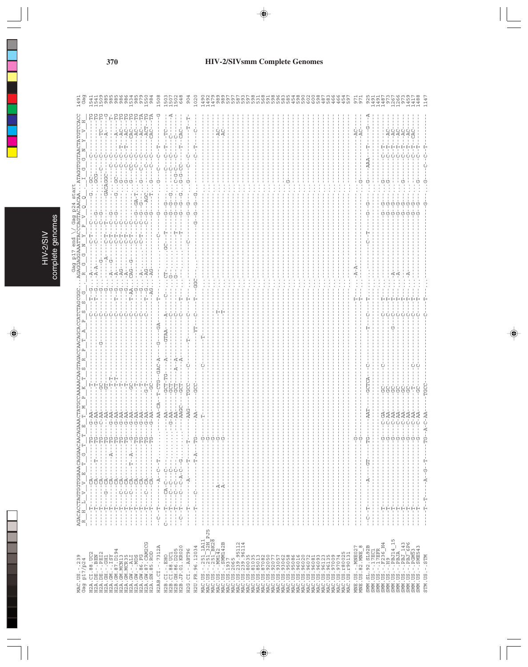| Gag<br>1491                                                                                                                                      |                                                                                                                                                                                                                                                                                                                                                                                 |                                                                                                                       |                                                                 |                                       |                                                                                                          |                                                                                                         |                                                                   |                                                     |                                                                            |                                                                                                                                    |                                                                                                                              |                                                                                                                                                          | 1508                                                         |               | 1503<br>1507<br>1502                                                                          |                                                                                                                  |                                                                                        | 648                                                                    | Ğ,                                                                                           | 102                                                                                                              |                                                                                                                                                                          | 149<br>1447<br>147                                                                                                                                                                                                                                     |                                                                                                                                                              |                   | $\infty$                                                                                           | $\infty$<br>o o u u u u u u u u u                                                       | ጣ                                  | ወነ                                                        | $\infty$       |                                                                                                                                                                                                                                                                                                                                                                                                  | の | ጣ | w |  | ጣ | ጣ<br><u><b>เภ เภ เภ เภ</b></u> | $\infty$ | $\infty$ |                     | ന<br>4556 | ጣ | $\circ$ | š            | ጣ<br>G IN | $\infty$<br>₩ | $\infty$<br>m | 46      | ৩                                      |                                                                      | மை                      | 97                                                                                                         | $\sim$                                                                                                                                                                                                                                                                                                                                                                                                                                                                                                                              |              |                                          |                                                                                               |                                                                 |                                                                                                     |                                                          |                                                                               |                                                            | 148                                                                      |                         |
|--------------------------------------------------------------------------------------------------------------------------------------------------|---------------------------------------------------------------------------------------------------------------------------------------------------------------------------------------------------------------------------------------------------------------------------------------------------------------------------------------------------------------------------------|-----------------------------------------------------------------------------------------------------------------------|-----------------------------------------------------------------|---------------------------------------|----------------------------------------------------------------------------------------------------------|---------------------------------------------------------------------------------------------------------|-------------------------------------------------------------------|-----------------------------------------------------|----------------------------------------------------------------------------|------------------------------------------------------------------------------------------------------------------------------------|------------------------------------------------------------------------------------------------------------------------------|----------------------------------------------------------------------------------------------------------------------------------------------------------|--------------------------------------------------------------|---------------|-----------------------------------------------------------------------------------------------|------------------------------------------------------------------------------------------------------------------|----------------------------------------------------------------------------------------|------------------------------------------------------------------------|----------------------------------------------------------------------------------------------|------------------------------------------------------------------------------------------------------------------|--------------------------------------------------------------------------------------------------------------------------------------------------------------------------|--------------------------------------------------------------------------------------------------------------------------------------------------------------------------------------------------------------------------------------------------------|--------------------------------------------------------------------------------------------------------------------------------------------------------------|-------------------|----------------------------------------------------------------------------------------------------|-----------------------------------------------------------------------------------------|------------------------------------|-----------------------------------------------------------|----------------|--------------------------------------------------------------------------------------------------------------------------------------------------------------------------------------------------------------------------------------------------------------------------------------------------------------------------------------------------------------------------------------------------|---|---|---|--|---|--------------------------------|----------|----------|---------------------|-----------|---|---------|--------------|-----------|---------------|---------------|---------|----------------------------------------|----------------------------------------------------------------------|-------------------------|------------------------------------------------------------------------------------------------------------|-------------------------------------------------------------------------------------------------------------------------------------------------------------------------------------------------------------------------------------------------------------------------------------------------------------------------------------------------------------------------------------------------------------------------------------------------------------------------------------------------------------------------------------|--------------|------------------------------------------|-----------------------------------------------------------------------------------------------|-----------------------------------------------------------------|-----------------------------------------------------------------------------------------------------|----------------------------------------------------------|-------------------------------------------------------------------------------|------------------------------------------------------------|--------------------------------------------------------------------------|-------------------------|
| ATAGGTGGTAACTATCCACC<br>₿<br>z<br>τ٣                                                                                                             |                                                                                                                                                                                                                                                                                                                                                                                 | U                                                                                                                     | ℭ                                                               |                                       | $\stackrel{\scriptscriptstyle\mathsf{L}}{\mathsf{C}}$                                                    | $-AC-$                                                                                                  | $-5C$                                                             | $CAC -$                                             | AC.                                                                        | -AC-<br>U                                                                                                                          | ACT.                                                                                                                         | CAC<br>U                                                                                                                                                 | ↻                                                            |               | $-TC$<br>U                                                                                    | U<br>↻                                                                                                           | $\cup$<br>ь<br>C<br>$\circlearrowright$<br>$\begin{bmatrix} 1 \\ 0 \\ 1 \end{bmatrix}$ | CAC<br>л<br>9<br>먹                                                     |                                                                                              | U                                                                                                                |                                                                                                                                                                          |                                                                                                                                                                                                                                                        |                                                                                                                                                              |                   | AC.                                                                                                | AC                                                                                      |                                    |                                                           |                |                                                                                                                                                                                                                                                                                                                                                                                                  |   |   |   |  |   |                                |          |          |                     |           |   |         |              |           |               |               |         |                                        |                                                                      |                         | AC<br>AC                                                                                                   | ひ<br>п<br>AAA-                                                                                                                                                                                                                                                                                                                                                                                                                                                                                                                      |              |                                          | AC                                                                                            | AC                                                              | AC                                                                                                  | AC                                                       |                                                                               |                                                            |                                                                          |                         |
| ⋗<br>ρ                                                                                                                                           | ں<br>ت<br>Ū<br>U<br>ひ<br>C<br>٢<br>U                                                                                                                                                                                                                                                                                                                                            | Ο                                                                                                                     | GACAGGC<br>Ļ<br>U                                               | ひ<br>Н<br>τı                          | ひ<br>C<br>C<br>ų<br>τ:                                                                                   | <b>ひ ひ</b><br>O<br>e<br>T)                                                                              | O<br>$\overline{\phantom{a}}$<br>U                                | ひ<br>O<br>부<br>U                                    | $T - T$<br>ひ<br>U<br>C                                                     | υ<br>ひ<br>U<br>부<br>U                                                                                                              | $-AGC$<br>U                                                                                                                  | ひ<br>ひ                                                                                                                                                   | てり<br>ひ                                                      |               | ひ<br>てり<br>U<br>Ū                                                                             | ひ<br>ひ<br>ひ                                                                                                      | $\mathbf{I}$<br>ひ<br>℧<br>Н<br>Е                                                       | ひ<br>ひ<br>1<br>ひ<br>U                                                  | ひ                                                                                            | ひ<br>ひ<br>C<br>τŋ                                                                                                |                                                                                                                                                                          |                                                                                                                                                                                                                                                        |                                                                                                                                                              |                   |                                                                                                    |                                                                                         |                                    |                                                           |                |                                                                                                                                                                                                                                                                                                                                                                                                  |   |   |   |  |   |                                |          |          |                     |           |   |         |              |           |               |               |         |                                        |                                                                      |                         |                                                                                                            | てり<br>ひ<br>c٦                                                                                                                                                                                                                                                                                                                                                                                                                                                                                                                       |              | ٢Π<br>C٦                                 | ↻                                                                                             | ひ<br>ひ                                                          | ひ                                                                                                   | ᄞ                                                        | ひひひ                                                                           |                                                            |                                                                          |                         |
| ひ<br>U<br>AGAG<br>$\alpha$<br>C)<br>$\mathbf{\Omega}$<br>K.                                                                                      | К<br>ひ                                                                                                                                                                                                                                                                                                                                                                          | ひ                                                                                                                     | К                                                               | $\frac{1}{\sqrt{2}}$                  | $\triangle$ $\triangle$                                                                                  | ġ                                                                                                       |                                                                   | $\frac{1}{\sqrt{2}}$<br>CAG-<br>ς<br>$\overline{A}$ |                                                                            |                                                                                                                                    | ᄞ<br>ひ<br>- 1<br>E                                                                                                           | 也<br>$\bar{A}$                                                                                                                                           | ⊢<br>S                                                       |               | 5<br>∪<br>GTAA                                                                                | ひ                                                                                                                | C                                                                                      | н                                                                      | н                                                                                            | <b>200-</b><br>٠<br>$\vdash$                                                                                     |                                                                                                                                                                          |                                                                                                                                                                                                                                                        |                                                                                                                                                              |                   |                                                                                                    |                                                                                         |                                    |                                                           |                |                                                                                                                                                                                                                                                                                                                                                                                                  |   |   |   |  |   |                                |          |          |                     |           |   |         |              |           |               |               |         |                                        |                                                                      |                         |                                                                                                            | F                                                                                                                                                                                                                                                                                                                                                                                                                                                                                                                                   |              |                                          |                                                                                               | C                                                               |                                                                                                     |                                                          |                                                                               |                                                            |                                                                          |                         |
| CAGAAACTATGCCAAAAACAAGTAGACCAACCACCATCTAGCGC<br>$\Omega$<br>$\alpha$<br>C<br>$\Omega$<br>Σ<br>[1]                                                | ひ<br>C                                                                                                                                                                                                                                                                                                                                                                          | C<br>Ο                                                                                                                | Ą                                                               |                                       |                                                                                                          |                                                                                                         |                                                                   |                                                     |                                                                            |                                                                                                                                    | 44 44<br>아이<br>아이                                                                                                            | y<br>ά                                                                                                                                                   | ר ז<br>$-0A$ <sub>-</sub> $A$<br>-CTG<br>$AA-CA$             |               | $-4$<br>GCT-TG<br>AA                                                                          | 555<br>655<br>AA.<br>ά                                                                                           | $-4$<br>-A<br>AA                                                                       | <b>U20</b><br>ĂĄ                                                       | TGCC<br><b>AAG</b>                                                                           | U<br>U<br>U<br>AA                                                                                                |                                                                                                                                                                          |                                                                                                                                                                                                                                                        |                                                                                                                                                              |                   |                                                                                                    |                                                                                         |                                    |                                                           |                |                                                                                                                                                                                                                                                                                                                                                                                                  |   |   |   |  |   |                                |          |          |                     |           |   |         |              |           |               |               |         |                                        |                                                                      |                         |                                                                                                            | GCTCA<br>AAT                                                                                                                                                                                                                                                                                                                                                                                                                                                                                                                        |              | 9<br>G<br>$\mathbb{C}$                   | g<br>$C - PAA$                                                                                | $C-PA$                                                          | Ù<br>U<br>ς,<br>AA.<br>έ                                                                            | ς.<br>Ą                                                  | てり                                                                            | UF                                                         |                                                                          |                         |
| AGACACCTAGTGGTGGAAACAGGAACAA<br>$\mathbb{H}$<br>ひ<br>$\mathbb H$<br>凹<br>$\triangleright$<br>$\triangleright$<br>$\Box$<br>$\Xi$<br>$\mathbf{p}$ | $-176$<br>r.<br>$\overline{\phantom{a}}$<br>٠<br>J.<br>$\mathbf{I}$<br>$\mathbf I$<br>$-1$<br>J.<br>$\mathbf{I}$<br>$\,$<br>$- -CA - -$<br>$\mathbf I$<br>$\mathbf{I}$<br>$\mathsf I$<br>$\,$ l<br>L.<br>$\blacksquare$<br>$\blacksquare$<br>Ĵ<br>÷.<br>f,<br>$\mathfrak l$<br>٠<br>$\mathsf I$<br>$\,$                                                                         | $-1$ - TG<br>$\mathbf{I}$<br>$\mathsf I$<br>$\mathbf{I}$<br>$\frac{1}{1}$<br>$- - C A$<br>J.<br>⊢<br>Ţ<br>$\mathsf I$ | $-1$<br>$\mathbf{I}$<br>$\mathbf{I}$<br>Ť<br>Н<br>$\frac{1}{1}$ | -----------<br>$---CA---$<br>ŧ,<br>Ĩ, | <b>DG</b><br>-----------<br>$- -C_{1}A - - -$<br>Ţ<br>$\frac{1}{2}$<br>F<br>$\frac{1}{4}$<br>$\mathsf I$ | <b>DG---------</b><br>J.<br>$\frac{1}{4}$<br>$L = -1 - C - C + C$<br>Н<br>$\frac{1}{1}$<br>$\mathbf{I}$ | -------<br>Ì<br>Í<br>t<br>$\frac{1}{4}$<br>ь<br>t<br>$\mathbf{I}$ | ÷<br>$\bar{1}$                                      | $-10$<br>$\mathbf{I}$<br>٠<br>$\frac{1}{4}$<br>$--CA$<br>$\mathbf{I}$<br>Ť | $-1$ - TG<br>J,<br>$\mathbf{I}$<br>$\,$ I<br>1<br>٠<br>$\mathbf I$<br>t,<br>$  CA$ .<br>$\mathbf{I}$<br>Ť<br>Ť<br>1<br>$\mathsf I$ | $-10$<br>$\frac{1}{4}$<br>Ţ<br>$\frac{1}{1}$<br>$\frac{1}{1}$<br>$  C$ $  C$ $A$<br>$\frac{1}{1}$<br>ь<br>f,<br>$\mathbf{I}$ | $-1$ TG<br>$\mathbf{I}$<br>$\mathbf{I}$<br>$\mathfrak l$<br>t<br>ł<br>$- - C$ A<br>$\mathbf{I}$<br>$\mathbf{I}$<br>⊢<br>ł.<br>$\mathbf I$<br>$\mathbf I$ | $-1$<br>$- -A - C$<br>$\,$ I<br>-<br>н<br>Ť<br>$\frac{1}{2}$ | $\frac{1}{2}$ | $- - - - - - - - - -$<br>$C-A-C$<br>$\mathbf{I}$<br>$\overline{1}$<br>ь<br>$\frac{1}{1}$<br>ΰ | $\frac{0}{1}$<br>-<br>U<br>Ť<br>υU<br>$\mathbf{I}$<br>$\mathbf{I}$<br>╘<br>$\mathsf I$<br>J.<br>1<br>$\mathsf I$ | $-1$<br>U<br>Ť<br>Ť<br>$\,$<br>Н<br>t<br>$\mathbf I$<br>$\,$ I                         | $C - A - C$<br>Ť<br>U<br>÷<br>$\mathbf{I}$<br>Н<br>Ĩ.<br>$\frac{1}{2}$ | ÷.<br>$\blacksquare$<br>J.<br>Ť<br>$A -$<br>Ť<br>$\mathbb{I}$<br>$\mathbf{L}$<br>٠<br>н<br>Ť | $-17G$<br>$---T - A$<br>ł<br>$-1$ - $-1$<br>$\mathbf{I}$<br>J<br>$\mathbb H$<br>Ť<br>$\mathbf{I}$<br>$\mathbf I$ | ウーー<br>$\mathbf{I}$<br>$\mathsf{I}$<br>ł<br>$\mathsf I$<br>$\mathsf I$<br>ł<br>$\mathsf I$<br>$\mathbf{I}$<br>$\mathbf{I}$<br>$\mathsf I$<br>$\mathbf{I}$<br>$\mathsf I$ | $\mathbf{I}$<br>$\mathbf{I}$<br>$\blacksquare$<br>$\blacksquare$<br>$\mathbf{I}$<br>$\blacksquare$<br>$\blacksquare$<br>$\mathbf{I}$<br>$\mathbf{I}$<br>$\blacksquare$<br>$\overline{\phantom{a}}$<br>$\blacksquare$<br>$\mathbf{I}$<br>$\blacksquare$ | $\blacksquare$<br>f,<br>Ť.<br>J.<br>Î<br>J.<br>$\,$<br>$\mathfrak l$<br>$\blacksquare$<br>J.<br>$\mathfrak l$<br>$\,$<br>$\frac{1}{1}$<br>I<br>$\frac{1}{1}$ |                   | ٠<br>$\mathbf{I}$<br>$\mathbf I$<br>$- - P -$<br>$\mathsf{I}$<br>$\frac{1}{1}$<br>$\,$ I<br>1<br>1 | ပု<br>$\frac{1}{1}$<br>$- - A - -$<br>$\frac{1}{1}$<br>$\mathsf I$<br>J.<br>$\mathbf I$ | $\mathbf{I}$<br>$\mathbf{I}$<br>J. | $\sf I$<br>$\frac{1}{1}$<br>$\mathbf{I}$<br>$\frac{1}{4}$ | ٠              | t<br>$\begin{array}{c} \rule{0.2cm}{0.15mm} \rule{0.2cm}{0.15mm} \rule{0.2cm}{0.15mm} \rule{0.2cm}{0.15mm} \rule{0.2cm}{0.15mm} \rule{0.2cm}{0.15mm} \rule{0.2cm}{0.15mm} \rule{0.2cm}{0.15mm} \rule{0.2cm}{0.15mm} \rule{0.2cm}{0.15mm} \rule{0.2cm}{0.15mm} \rule{0.2cm}{0.15mm} \rule{0.2cm}{0.15mm} \rule{0.2cm}{0.15mm} \rule{0.2cm}{0.15mm} \rule{$<br>$\frac{1}{1}$<br>I<br>$\frac{1}{1}$ |   |   |   |  |   |                                | t<br>ı   | J,       | $\,$<br>$\mathsf I$ |           |   |         | J<br>٠<br>J, |           |               | ٠             | ı<br>l, | J.<br>t<br>$\,$ $\,$<br>t<br>$\,$<br>Ť | $\mathbf{I}$<br>$\frac{1}{2}$<br>$\frac{1}{1}$<br>$\frac{1}{1}$<br>t | $\frac{1}{4}$<br>$\,$ I | $\mathbf{I}$<br>$\mathbf{I}$<br>п<br>$\overline{\phantom{a}}$<br>п<br>J.<br>п                              | $-1$ TG<br>$\mathsf I$<br>$\overline{\phantom{a}}$<br>$\mathbf{I}$<br>$-1 - 5 - 1 - 1 - 1$<br>$\frac{1}{1}$<br>Ť<br>$\begin{array}{c} \rule{0.2cm}{0.15mm} \rule{0.2cm}{0.15mm} \rule{0.2cm}{0.15mm} \rule{0.2cm}{0.15mm} \rule{0.2cm}{0.15mm} \rule{0.2cm}{0.15mm} \rule{0.2cm}{0.15mm} \rule{0.2cm}{0.15mm} \rule{0.2cm}{0.15mm} \rule{0.2cm}{0.15mm} \rule{0.2cm}{0.15mm} \rule{0.2cm}{0.15mm} \rule{0.2cm}{0.15mm} \rule{0.2cm}{0.15mm} \rule{0.2cm}{0.15mm} \rule{$<br>$\frac{1}{1}$<br>J.<br>$\mathbf I$<br>⊢<br>Ĩ,<br>Ť<br>U | $\mathbf{I}$ | ပု<br>L.<br>$\mathbf{I}$<br>J.<br>⊢<br>Ť | $\mathbf{I}$<br>$\mathbf{I}$<br>$\mathbf{I}$<br>$\overline{\phantom{a}}$<br>F<br>$\mathbf{I}$ | ウーー<br>$\frac{1}{1}$<br>ł<br>ь<br>$\frac{1}{1}$<br>$\mathbf{I}$ | ウーー<br>$\mathbf{I}$<br>÷<br>н<br>$\,$<br>J.                                                         | $\mathbf{I}$<br>$\mathbf{I}$<br>$\overline{\phantom{a}}$ | $\blacksquare$<br>$\mathbf{I}$<br>$\mathbf{I}$<br>٠<br>٠<br>٠<br>÷<br>÷<br>r. | $\overline{\phantom{a}}$<br>J.<br>٠<br>٠<br>╘<br>$\,$<br>t | ⊢<br>$\begin{array}{c} \hline \end{array}$                               | ⊢<br>Ċ<br>Ŕ<br>÷        |
| MAC.US.-.239<br>Gag p17/p24                                                                                                                      | $\begin{array}{l} \rm{H2A}, \rm{CL}, \rm{88}, \rm{UC2}\\ \rm{H2A}, \rm{DB}, \cdots, \rm{BBM}\\ \rm{H2A}, \rm{GH}, \cdots, \rm{GH}, \rm{H2M}\\ \rm{H2A}, \rm{GH}, \cdots, \rm{LST}\\ \rm{H2A}, \rm{OH}, \cdots, \rm{LST}\\ \rm{H2A}, \rm{OH}, \rm{MOM13}\\ \rm{H2A}, \rm{CH}, \rm{H2M13}\\ \rm{H2A}, \rm{CH}, \rm{H2M13}\\ \rm{H2A}, \rm{CH}, \cdots, \rm{H2M}\\ \rm{H2A}, \rm{$ |                                                                                                                       |                                                                 |                                       |                                                                                                          |                                                                                                         |                                                                   |                                                     |                                                                            |                                                                                                                                    |                                                                                                                              |                                                                                                                                                          | H2AB.CI.-.7312A                                              |               |                                                                                               |                                                                                                                  | H2B.CI.-.BHO<br>H2B.CI.88.UC1<br>H2B.CH.86.D205<br>H2B.JP.01.KR020                     | $\circ$                                                                | H2G.CI. - ABT96                                                                              | H2U. FR. 96.12034                                                                                                | MAC.US                                                                                                                                                                   | PJ5<br>251_1A11<br>251_32H_P<br>251_BK28<br>MM142<br>$\cdot$                                                                                                                                                                                           | $\cdot$<br>MAC.US.<br>MAC.US.                                                                                                                                | $\cdot$<br>MAC.US | $\bullet$                                                                                          | $\mathbf{\underline{m}}$                                                                |                                    |                                                           | 95112<br>96114 |                                                                                                                                                                                                                                                                                                                                                                                                  |   |   |   |  |   |                                |          |          |                     |           |   |         |              |           |               |               |         |                                        |                                                                      |                         | $\frac{\texttt{MNE}}{\texttt{MNE}}\cdot\texttt{US}\cdot\texttt{82}\cdot\texttt{MNE}\underline{\texttt{S}}$ | SMM. 5L. 92. 5L.92B<br>SMM. US. - . 17EC1<br>SMM. US. - . 17EPR<br>SMM. US. - . F236_H4<br>SMM. US. - . H9                                                                                                                                                                                                                                                                                                                                                                                                                          |              | H4                                       |                                                                                               | LO                                                              | 3. - .PBJ14_15<br>3. - .PBJA<br>3. - .PBJ_143<br>3. - .PBJ_6P6<br>3. - .PGM53<br>SMM.US.<br>SMM.US. |                                                          |                                                                               |                                                            | $\sim$<br>.SME54<br>SMM . US .<br>SMM . US .<br>SMM . US .<br>SMM . US . | <b>STM</b><br>U.<br>STM |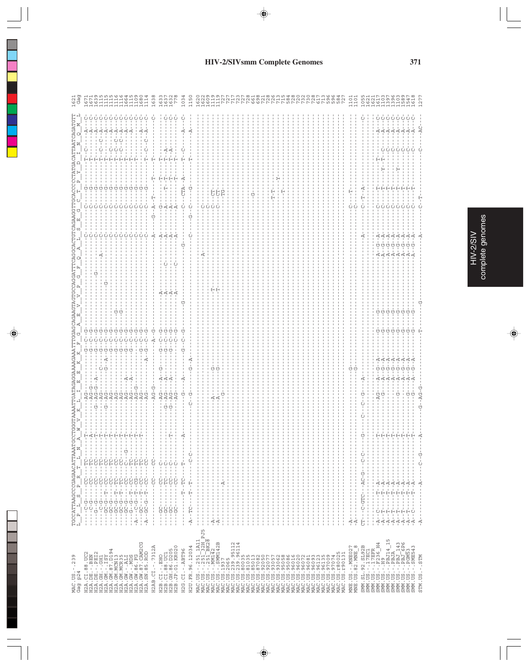| Ļ<br>ກ<br>j<br>Ŕ<br>i |
|-----------------------|
|                       |

ő,

| $\sigma$<br>$\sim$<br>$\ddot{\phantom{0}}$<br>$\mathbb{L}$<br>$\cdot$ 4<br>MAC.US.<br>Gag p24                                                                                                                                                                                                                                                                                                                                                            | TGCCATTAAGCCCGAGAACATTAAATGC<br>L_P_L_S_PR_T_L_L_MA                                                                                         |                                                            | $\begin{array}{c} \mathcal{A}^{CAT} \\ \mathcal{B}^{R-L} \\ \mathcal{C}^{R-L-1} \\ \mathcal{C}^{R-L-1} \\ \mathcal{C}^{R-L-1} \\ \mathcal{C}^{R-L-1} \\ \mathcal{C}^{R-L-1} \\ \mathcal{C}^{R-L-1} \\ \mathcal{C}^{R-L-1} \\ \mathcal{C}^{R-L-1} \\ \mathcal{C}^{R-L-1} \\ \mathcal{C}^{R-L-1} \\ \mathcal{C}^{R-L-1} \\ \mathcal{C}^{R-L-1} \\ \mathcal{C}^{R-L-1} \\ \mathcal{C}^{R-L-1} \\ \mathcal{C}^{R-L$ |                                            |                                     |                                 |               | TAATCAGATGT                    | $\frac{2}{6}$                                                                                                                                                                                                                       |
|----------------------------------------------------------------------------------------------------------------------------------------------------------------------------------------------------------------------------------------------------------------------------------------------------------------------------------------------------------------------------------------------------------------------------------------------------------|---------------------------------------------------------------------------------------------------------------------------------------------|------------------------------------------------------------|-----------------------------------------------------------------------------------------------------------------------------------------------------------------------------------------------------------------------------------------------------------------------------------------------------------------------------------------------------------------------------------------------------------------|--------------------------------------------|-------------------------------------|---------------------------------|---------------|--------------------------------|-------------------------------------------------------------------------------------------------------------------------------------------------------------------------------------------------------------------------------------|
| $\begin{array}{l} \rm{H2A}, \rm{CL}, \rm{88}, \rm{UC2}\\ \rm{H2A}, \rm{DB}, \cdots, \rm{BBN}\\ \rm{H2A}, \rm{GB}, \cdots, \rm{BB1}\\ \rm{H2A}, \rm{GH}, \cdots, \rm{GH}, \rm{H21}\\ \rm{H2A}, \rm{GW}, \cdots, \rm{HS}, \rm{H22}\\ \rm{H2A}, \rm{GH}, \rm{H213} \\ \rm{H2A}, \rm{GH}, \rm{H213} \\ \rm{H2A}, \rm{GH}, \rm{H223} \\ \rm{H2A}, \rm{GH}, \cdots, \rm{H25} \\ \rm$                                                                           | $\,$ I                                                                                                                                      |                                                            |                                                                                                                                                                                                                                                                                                                                                                                                                 |                                            | ひ ひ ひ ひ ひ ひ ひ ひ ひ ひ ひ ひ<br>τŋ<br>てり |                                 | ひひひひひひひひひひひひひ | K,<br>U                        | HHHHHHHHHHHHH<br>COOLHHHHQHHQQ<br>COOLHHHHQHHQQ                                                                                                                                                                                     |
|                                                                                                                                                                                                                                                                                                                                                                                                                                                          |                                                                                                                                             |                                                            |                                                                                                                                                                                                                                                                                                                                                                                                                 | AG-0<br>AG-0<br>てり                         | てり                                  |                                 |               | <b>AAAAAAAA</b>                | 4 9 10 10 10 10 10 11 11                                                                                                                                                                                                            |
|                                                                                                                                                                                                                                                                                                                                                                                                                                                          |                                                                                                                                             |                                                            |                                                                                                                                                                                                                                                                                                                                                                                                                 | てり                                         | てり                                  |                                 |               | ↻<br>もiooo                     |                                                                                                                                                                                                                                     |
|                                                                                                                                                                                                                                                                                                                                                                                                                                                          |                                                                                                                                             |                                                            |                                                                                                                                                                                                                                                                                                                                                                                                                 |                                            | てりてり                                |                                 |               | ÜÜ                             |                                                                                                                                                                                                                                     |
|                                                                                                                                                                                                                                                                                                                                                                                                                                                          |                                                                                                                                             |                                                            |                                                                                                                                                                                                                                                                                                                                                                                                                 |                                            | ひ                                   |                                 |               | υU                             |                                                                                                                                                                                                                                     |
|                                                                                                                                                                                                                                                                                                                                                                                                                                                          |                                                                                                                                             |                                                            |                                                                                                                                                                                                                                                                                                                                                                                                                 |                                            | ひ<br>てり                             |                                 |               |                                |                                                                                                                                                                                                                                     |
|                                                                                                                                                                                                                                                                                                                                                                                                                                                          |                                                                                                                                             |                                                            |                                                                                                                                                                                                                                                                                                                                                                                                                 | $-26 -$                                    | てりてり                                |                                 |               |                                |                                                                                                                                                                                                                                     |
|                                                                                                                                                                                                                                                                                                                                                                                                                                                          | $-C-C$<br>$-A$ - -                                                                                                                          |                                                            |                                                                                                                                                                                                                                                                                                                                                                                                                 | $AG-G$                                     |                                     |                                 |               |                                |                                                                                                                                                                                                                                     |
|                                                                                                                                                                                                                                                                                                                                                                                                                                                          | $\mathbf{I}$<br>$-90 -$<br>$\mathbf{u}$                                                                                                     |                                                            |                                                                                                                                                                                                                                                                                                                                                                                                                 |                                            |                                     |                                 |               | ΚK                             |                                                                                                                                                                                                                                     |
|                                                                                                                                                                                                                                                                                                                                                                                                                                                          | $A - G - G$                                                                                                                                 |                                                            |                                                                                                                                                                                                                                                                                                                                                                                                                 |                                            |                                     |                                 |               | U<br>U                         |                                                                                                                                                                                                                                     |
| К<br>$.CI. - .7312$<br>H2AB.                                                                                                                                                                                                                                                                                                                                                                                                                             | $\mathbf{I}$<br>$\blacksquare$                                                                                                              |                                                            |                                                                                                                                                                                                                                                                                                                                                                                                                 |                                            | ひ                                   |                                 |               |                                | 163                                                                                                                                                                                                                                 |
| H2B.CI.-. EHO<br>H2B.CI.88.UC1<br>H2B.GH.86.D205<br>H2B.JP.01.KR020                                                                                                                                                                                                                                                                                                                                                                                      | $\frac{1}{2}$<br>$\mathbf{I}$<br>$1 - 1$<br>$\mathbb{L}$<br>$\,$ I<br>$\mathbf{I}$<br>ပ္ပ်ပ္ပ်ပ္ပ်<br>- - - - - -<br>- - - - - -            | U<br>$\mathbf{I}$<br>$\blacksquare$<br>$\frac{1}{4}$       | ii<br>Il                                                                                                                                                                                                                                                                                                                                                                                                        | ККК<br>ង្គូដុំ<br>ដូង                      | ひひひひ<br>UUU<br>でりてり                 | $A \land A$                     | 555<br>ひくくく   |                                | 00007                                                                                                                                                                                                                               |
|                                                                                                                                                                                                                                                                                                                                                                                                                                                          | $\mathbf{I}$<br>$\mathbf{I}$<br>$\mathsf{I}$<br>$\mathsf{I}$<br>$\mathsf I$<br>$\,$<br>$\frac{1}{4}$<br>$\blacksquare$<br>$\mathbf{I}$      | ↻<br>U<br>$\frac{1}{1}$<br>$\mathsf I$<br>$\frac{1}{4}$    | $\begin{bmatrix} 1 & 0 & 0 \\ 0 & 1 & 0 \\ 0 & 0 & 0 \\ 0 & 0 & 0 \\ 0 & 0 & 0 \\ 0 & 0 & 0 \\ 0 & 0 & 0 \\ 0 & 0 & 0 \\ 0 & 0 & 0 & 0 \\ 0 & 0 & 0 & 0 \\ 0 & 0 & 0 & 0 \\ 0 & 0 & 0 & 0 & 0 \\ 0 & 0 & 0 & 0 & 0 \\ 0 & 0 & 0 & 0 & 0 \\ 0 & 0 & 0 & 0 & 0 & 0 \\ 0 & 0 & 0 & 0 & 0 & 0 \\ 0 & 0 & 0 & 0 & 0 & 0 \\ 0 & 0 & $                                                                                 | <b>いい</b>                                  | みみみみ<br>てり                          |                                 | н             | К<br>К<br>Н                    |                                                                                                                                                                                                                                     |
| $\circ$                                                                                                                                                                                                                                                                                                                                                                                                                                                  | $\blacksquare$<br>$\mathbf{I}$<br>$\mathbf I$<br>$\blacksquare$                                                                             | U<br>$\mathbf{I}$<br>$\blacksquare$<br>$-CC -$             | $\frac{1}{1}$<br>$\,$ I<br>$\frac{1}{4}$                                                                                                                                                                                                                                                                                                                                                                        |                                            | U                                   |                                 | е             | Ů                              |                                                                                                                                                                                                                                     |
| $-0.7BTT96$<br>$H2G$ . CI                                                                                                                                                                                                                                                                                                                                                                                                                                | $-$ – $-\mathbb{T}$ – $-\mathbb{T}$ – $-$<br>$\mathsf I$<br>÷,<br>$\mathsf{I}$<br>$\mathbb{L}$<br>$\,$ $\,$<br>$\mathbf{I}$<br>$\mathbf{I}$ | ÷<br>F<br>1                                                | $\frac{1}{2}$                                                                                                                                                                                                                                                                                                                                                                                                   |                                            | U                                   |                                 | K.<br>CTA     |                                | 103                                                                                                                                                                                                                                 |
| H2U. FR. 96.12034                                                                                                                                                                                                                                                                                                                                                                                                                                        | $\cdots = \mathbf{T} = \mathbf{T} + \mathbf{T} = \cdots$<br>$-{\bf A}$ – $-{\bf T} {\bf C}$ – $-$                                           |                                                            | $-1$ - $-1$ - $-1$                                                                                                                                                                                                                                                                                                                                                                                              |                                            |                                     |                                 |               |                                | 115                                                                                                                                                                                                                                 |
| $\,$ .<br>MAC.US                                                                                                                                                                                                                                                                                                                                                                                                                                         | т.                                                                                                                                          |                                                            | $\mathfrak l$                                                                                                                                                                                                                                                                                                                                                                                                   |                                            |                                     |                                 |               |                                |                                                                                                                                                                                                                                     |
| $1 - .251$ 1A11<br>$- .251$ 32H PJ5<br>$- .251$ BK28<br>$- .100142$<br>MAC.US.<br>MAC.US.<br>MAC.US.                                                                                                                                                                                                                                                                                                                                                     | $\overline{\phantom{a}}$                                                                                                                    |                                                            | Ħ                                                                                                                                                                                                                                                                                                                                                                                                               |                                            |                                     |                                 |               |                                | ARDHITHL<br>ARDHITHLAND ARD ANN AN AIR AN AN AIR AN AN AIR AN AIR AN AIR AN AIR AN AIR AN AIR AN AIR AN AIR AIR AN AIR AIR<br>AIR AIR AIR AN AIR AN AIR AN AIR AN AIR AN AIR AN AIR AN AIR AN AIR AIR AIR AIR AIR AIR AIR AIR AIR A |
|                                                                                                                                                                                                                                                                                                                                                                                                                                                          | $\frac{1}{4}$<br>$\mathbf{I}$<br>$\frac{1}{4}$<br>-<br>$\blacksquare$<br>$\blacksquare$<br>$\blacksquare$<br>$\overline{\phantom{a}}$       | Ť<br>$\frac{1}{2}$                                         | $\frac{1}{1}$                                                                                                                                                                                                                                                                                                                                                                                                   |                                            |                                     |                                 | U U           |                                |                                                                                                                                                                                                                                     |
|                                                                                                                                                                                                                                                                                                                                                                                                                                                          | $\blacksquare$<br>$- A - - -$                                                                                                               | $\frac{1}{2}$                                              | $\frac{1}{1}$                                                                                                                                                                                                                                                                                                                                                                                                   | ひ<br>$\overline{A}$                        |                                     |                                 | 방법법           |                                |                                                                                                                                                                                                                                     |
|                                                                                                                                                                                                                                                                                                                                                                                                                                                          | ł<br>$\frac{1}{1}$<br>$\mathsf I$                                                                                                           | ŧ                                                          |                                                                                                                                                                                                                                                                                                                                                                                                                 | てり<br>Ŕ.                                   |                                     |                                 |               |                                |                                                                                                                                                                                                                                     |
|                                                                                                                                                                                                                                                                                                                                                                                                                                                          | $\mathsf I$<br>$\mathsf I$<br>$\mathbf{I}$<br>$\mathbf{I}$                                                                                  |                                                            |                                                                                                                                                                                                                                                                                                                                                                                                                 | 먼                                          |                                     |                                 |               |                                |                                                                                                                                                                                                                                     |
|                                                                                                                                                                                                                                                                                                                                                                                                                                                          | $\frac{1}{4}$                                                                                                                               | ţ                                                          |                                                                                                                                                                                                                                                                                                                                                                                                                 |                                            |                                     |                                 |               |                                |                                                                                                                                                                                                                                     |
|                                                                                                                                                                                                                                                                                                                                                                                                                                                          |                                                                                                                                             |                                                            |                                                                                                                                                                                                                                                                                                                                                                                                                 |                                            |                                     |                                 |               |                                |                                                                                                                                                                                                                                     |
|                                                                                                                                                                                                                                                                                                                                                                                                                                                          |                                                                                                                                             |                                                            |                                                                                                                                                                                                                                                                                                                                                                                                                 |                                            |                                     |                                 |               |                                |                                                                                                                                                                                                                                     |
|                                                                                                                                                                                                                                                                                                                                                                                                                                                          |                                                                                                                                             |                                                            |                                                                                                                                                                                                                                                                                                                                                                                                                 |                                            |                                     |                                 |               |                                |                                                                                                                                                                                                                                     |
|                                                                                                                                                                                                                                                                                                                                                                                                                                                          | ÷                                                                                                                                           |                                                            |                                                                                                                                                                                                                                                                                                                                                                                                                 |                                            |                                     |                                 |               |                                |                                                                                                                                                                                                                                     |
|                                                                                                                                                                                                                                                                                                                                                                                                                                                          | I<br>$\blacksquare$                                                                                                                         |                                                            |                                                                                                                                                                                                                                                                                                                                                                                                                 |                                            |                                     |                                 |               |                                |                                                                                                                                                                                                                                     |
|                                                                                                                                                                                                                                                                                                                                                                                                                                                          |                                                                                                                                             |                                                            |                                                                                                                                                                                                                                                                                                                                                                                                                 |                                            |                                     |                                 |               |                                |                                                                                                                                                                                                                                     |
|                                                                                                                                                                                                                                                                                                                                                                                                                                                          |                                                                                                                                             |                                                            |                                                                                                                                                                                                                                                                                                                                                                                                                 |                                            |                                     |                                 |               |                                |                                                                                                                                                                                                                                     |
|                                                                                                                                                                                                                                                                                                                                                                                                                                                          |                                                                                                                                             |                                                            |                                                                                                                                                                                                                                                                                                                                                                                                                 |                                            |                                     |                                 |               |                                |                                                                                                                                                                                                                                     |
|                                                                                                                                                                                                                                                                                                                                                                                                                                                          | t                                                                                                                                           |                                                            |                                                                                                                                                                                                                                                                                                                                                                                                                 |                                            |                                     |                                 | 보             |                                |                                                                                                                                                                                                                                     |
|                                                                                                                                                                                                                                                                                                                                                                                                                                                          | j<br>$\,$ I<br>$\mathbf{L}$                                                                                                                 |                                                            |                                                                                                                                                                                                                                                                                                                                                                                                                 |                                            |                                     |                                 |               |                                |                                                                                                                                                                                                                                     |
|                                                                                                                                                                                                                                                                                                                                                                                                                                                          | Ì<br>$\mathbf{I}$                                                                                                                           |                                                            |                                                                                                                                                                                                                                                                                                                                                                                                                 |                                            |                                     |                                 |               |                                |                                                                                                                                                                                                                                     |
|                                                                                                                                                                                                                                                                                                                                                                                                                                                          | j<br>$\mathbf{I}$                                                                                                                           |                                                            |                                                                                                                                                                                                                                                                                                                                                                                                                 |                                            |                                     |                                 |               |                                |                                                                                                                                                                                                                                     |
|                                                                                                                                                                                                                                                                                                                                                                                                                                                          | $\frac{1}{1}$<br>t<br>J.                                                                                                                    |                                                            |                                                                                                                                                                                                                                                                                                                                                                                                                 |                                            |                                     |                                 |               |                                |                                                                                                                                                                                                                                     |
|                                                                                                                                                                                                                                                                                                                                                                                                                                                          |                                                                                                                                             |                                                            |                                                                                                                                                                                                                                                                                                                                                                                                                 |                                            |                                     |                                 |               |                                |                                                                                                                                                                                                                                     |
|                                                                                                                                                                                                                                                                                                                                                                                                                                                          |                                                                                                                                             |                                                            |                                                                                                                                                                                                                                                                                                                                                                                                                 |                                            |                                     |                                 |               |                                | <b>GOONO</b> COLOR                                                                                                                                                                                                                  |
|                                                                                                                                                                                                                                                                                                                                                                                                                                                          | ł<br>$\mathsf{I}$<br>$\mathbf{I}$                                                                                                           |                                                            |                                                                                                                                                                                                                                                                                                                                                                                                                 |                                            |                                     |                                 |               |                                |                                                                                                                                                                                                                                     |
|                                                                                                                                                                                                                                                                                                                                                                                                                                                          | $\frac{1}{1}$                                                                                                                               |                                                            |                                                                                                                                                                                                                                                                                                                                                                                                                 |                                            |                                     |                                 |               |                                |                                                                                                                                                                                                                                     |
|                                                                                                                                                                                                                                                                                                                                                                                                                                                          |                                                                                                                                             |                                                            |                                                                                                                                                                                                                                                                                                                                                                                                                 |                                            |                                     |                                 |               |                                |                                                                                                                                                                                                                                     |
|                                                                                                                                                                                                                                                                                                                                                                                                                                                          |                                                                                                                                             |                                                            |                                                                                                                                                                                                                                                                                                                                                                                                                 |                                            |                                     |                                 |               |                                |                                                                                                                                                                                                                                     |
|                                                                                                                                                                                                                                                                                                                                                                                                                                                          | $\frac{1}{1}$<br>$\frac{1}{1}$<br>$\mathbf{I}$<br>J.<br>$\overline{\phantom{a}}$<br>$\overline{\phantom{a}}$                                | Î<br>$\frac{1}{4}$                                         |                                                                                                                                                                                                                                                                                                                                                                                                                 |                                            |                                     |                                 |               |                                |                                                                                                                                                                                                                                     |
|                                                                                                                                                                                                                                                                                                                                                                                                                                                          |                                                                                                                                             |                                                            |                                                                                                                                                                                                                                                                                                                                                                                                                 |                                            |                                     |                                 |               |                                |                                                                                                                                                                                                                                     |
| $\sim \infty$<br>.MNE02<br>$\mathbf{I}$<br>$\cdot$<br>MNE.US                                                                                                                                                                                                                                                                                                                                                                                             | J.<br>$-A$ -                                                                                                                                |                                                            |                                                                                                                                                                                                                                                                                                                                                                                                                 |                                            |                                     |                                 |               |                                | 110:<br>110:                                                                                                                                                                                                                        |
| $.82.$ MNE<br>MNE.US.                                                                                                                                                                                                                                                                                                                                                                                                                                    | $\mathbf{I}$<br>К                                                                                                                           |                                                            | $\frac{1}{1}$                                                                                                                                                                                                                                                                                                                                                                                                   |                                            |                                     |                                 |               |                                |                                                                                                                                                                                                                                     |
|                                                                                                                                                                                                                                                                                                                                                                                                                                                          | $-1$<br>Ė                                                                                                                                   | $-1 - 2 - 1 - 1 - 1 - 1$                                   | $\mathbf{I}$                                                                                                                                                                                                                                                                                                                                                                                                    |                                            |                                     |                                 |               |                                |                                                                                                                                                                                                                                     |
| $\begin{array}{l} \texttt{SMM}, \texttt{SD}, 22, \texttt{SLO2B} \\ \texttt{SMM}, \texttt{US} \cdot .17 \texttt{BCI} \\ \texttt{SMM}, \texttt{US} \cdot .17 \texttt{BCI} \\ \texttt{SMM}, \texttt{US} \cdot .19 \texttt{S} \cdot .19 \\ \texttt{SMM}, \texttt{US} \cdot .19 \texttt{BUI} \cdot .19 \\ \texttt{SMM}, \texttt{US} \cdot .19 \texttt{BUI} \cdot .14 \\ \texttt{SMM}, \texttt{US} \cdot .19 \texttt{BUI} \cdot .143 \\ \texttt{SMM}, \texttt$ | -                                                                                                                                           |                                                            | J.<br>I.<br>ţ                                                                                                                                                                                                                                                                                                                                                                                                   |                                            |                                     |                                 |               |                                | ち1173763                                                                                                                                                                                                                            |
|                                                                                                                                                                                                                                                                                                                                                                                                                                                          |                                                                                                                                             |                                                            |                                                                                                                                                                                                                                                                                                                                                                                                                 |                                            |                                     |                                 |               |                                |                                                                                                                                                                                                                                     |
|                                                                                                                                                                                                                                                                                                                                                                                                                                                          | $\begin{array}{c} \mathbb{H} \\ \mathbb{H} \\ \mathbb{H} \end{array}$<br>Ħ                                                                  | $\mathbf{I}$<br>$\,$<br>$\mathbb{I}$<br>î.<br>$\mathbf{L}$ | $\frac{1}{1}$<br>f,<br>$\frac{1}{1}$                                                                                                                                                                                                                                                                                                                                                                            | ģ                                          |                                     |                                 |               |                                |                                                                                                                                                                                                                                     |
|                                                                                                                                                                                                                                                                                                                                                                                                                                                          | $\,$                                                                                                                                        | ï<br>ł                                                     | $\frac{1}{2}$<br>$\overline{\phantom{a}}$                                                                                                                                                                                                                                                                                                                                                                       |                                            |                                     |                                 |               | Н                              |                                                                                                                                                                                                                                     |
| S                                                                                                                                                                                                                                                                                                                                                                                                                                                        | 부<br>÷                                                                                                                                      |                                                            |                                                                                                                                                                                                                                                                                                                                                                                                                 |                                            |                                     |                                 |               |                                |                                                                                                                                                                                                                                     |
|                                                                                                                                                                                                                                                                                                                                                                                                                                                          | $\frac{1}{2}$<br>÷                                                                                                                          | $\blacksquare$                                             | $\frac{1}{1}$                                                                                                                                                                                                                                                                                                                                                                                                   |                                            |                                     |                                 | 88888         |                                |                                                                                                                                                                                                                                     |
|                                                                                                                                                                                                                                                                                                                                                                                                                                                          | $\begin{array}{ccccccccc}\nA & A & A & A & A & A \\ 1 & 1 & 1 & 1 & 1 & 1\n\end{array}$<br>부부<br>부부<br>Í<br>$\mathbf{I}$                    | $\mathbf{I}$                                               | J                                                                                                                                                                                                                                                                                                                                                                                                               | みみみみみみみ<br>ひ ひ ひ ひ ひ ひ ひ ひ<br>みみみみみみみ<br>ひ | **********<br>めめめめめめめめ              | みみみみみみみ<br>もももももももも<br>11111111 |               | የየየየየየየየ<br>AAAAAAA<br>ももももももも |                                                                                                                                                                                                                                     |
|                                                                                                                                                                                                                                                                                                                                                                                                                                                          | Н<br>$\mathbf{I}$<br>J.                                                                                                                     | $\mathbf{I}$                                               | J.                                                                                                                                                                                                                                                                                                                                                                                                              |                                            |                                     |                                 |               |                                |                                                                                                                                                                                                                                     |
|                                                                                                                                                                                                                                                                                                                                                                                                                                                          | $-4$<br>Н<br>٠                                                                                                                              |                                                            | J.<br>٠<br>$\,$<br>Ť                                                                                                                                                                                                                                                                                                                                                                                            |                                            |                                     |                                 |               |                                |                                                                                                                                                                                                                                     |
| <b>STM</b><br>STM.US                                                                                                                                                                                                                                                                                                                                                                                                                                     | $\mathbf{A}$                                                                                                                                | К                                                          | $\overline{\phantom{a}}$<br>$-5 - -1 -$                                                                                                                                                                                                                                                                                                                                                                         |                                            |                                     |                                 |               |                                | 27                                                                                                                                                                                                                                  |
|                                                                                                                                                                                                                                                                                                                                                                                                                                                          |                                                                                                                                             |                                                            |                                                                                                                                                                                                                                                                                                                                                                                                                 |                                            |                                     |                                 |               |                                |                                                                                                                                                                                                                                     |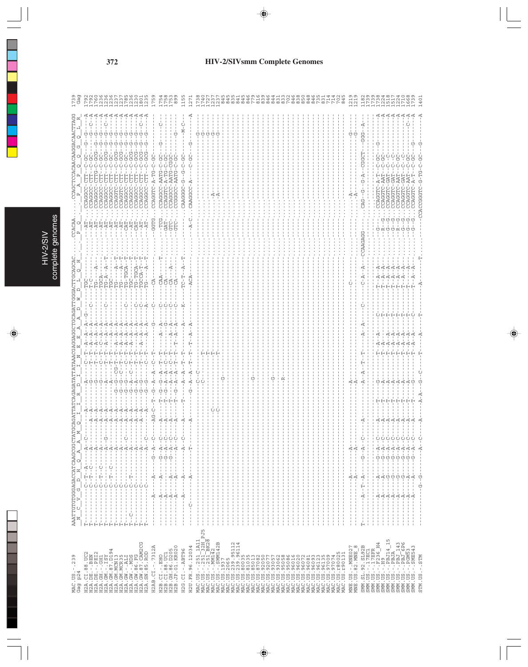|                                                                                      |                                                                                                                                                                                                                                                                                                                                              |                                                                                                                                                                                                                                                                                                                                                                                                                                                                                                                                                                                                                                                                 |                                                                                                                                                                                         |                                                                                                                                                                                                                                                                                                                                                                                                                                                                                              |                                                                                                                                                                                                       |                                                                                                                                                                    |                                                                  |                                                                                                                                                                                         |                                                                                                                                                                                                      |                                                        |                                                                           |                                                                                                                                                                  |                          |                                                  |             |                                    |                          | 88888 |  |                            | 88888                                                |  |  |    |                                             |                                    |                                                                                                                                              |                                                                                                                                               |                                                                                                                          |                                                                                                                                                                                   |                                                                                                                                 |                                                                                                                                                                                                      |                                                                                                                       |                                                                                                                                                                                                                        |                                  |
|--------------------------------------------------------------------------------------|----------------------------------------------------------------------------------------------------------------------------------------------------------------------------------------------------------------------------------------------------------------------------------------------------------------------------------------------|-----------------------------------------------------------------------------------------------------------------------------------------------------------------------------------------------------------------------------------------------------------------------------------------------------------------------------------------------------------------------------------------------------------------------------------------------------------------------------------------------------------------------------------------------------------------------------------------------------------------------------------------------------------------|-----------------------------------------------------------------------------------------------------------------------------------------------------------------------------------------|----------------------------------------------------------------------------------------------------------------------------------------------------------------------------------------------------------------------------------------------------------------------------------------------------------------------------------------------------------------------------------------------------------------------------------------------------------------------------------------------|-------------------------------------------------------------------------------------------------------------------------------------------------------------------------------------------------------|--------------------------------------------------------------------------------------------------------------------------------------------------------------------|------------------------------------------------------------------|-----------------------------------------------------------------------------------------------------------------------------------------------------------------------------------------|------------------------------------------------------------------------------------------------------------------------------------------------------------------------------------------------------|--------------------------------------------------------|---------------------------------------------------------------------------|------------------------------------------------------------------------------------------------------------------------------------------------------------------|--------------------------|--------------------------------------------------|-------------|------------------------------------|--------------------------|-------|--|----------------------------|------------------------------------------------------|--|--|----|---------------------------------------------|------------------------------------|----------------------------------------------------------------------------------------------------------------------------------------------|-----------------------------------------------------------------------------------------------------------------------------------------------|--------------------------------------------------------------------------------------------------------------------------|-----------------------------------------------------------------------------------------------------------------------------------------------------------------------------------|---------------------------------------------------------------------------------------------------------------------------------|------------------------------------------------------------------------------------------------------------------------------------------------------------------------------------------------------|-----------------------------------------------------------------------------------------------------------------------|------------------------------------------------------------------------------------------------------------------------------------------------------------------------------------------------------------------------|----------------------------------|
| CACCOCACAACAACAACAACHTAG                                                             | U<br>פ<br>ひひ                                                                                                                                                                                                                                                                                                                                 | $\frac{1}{2}$<br>↻                                                                                                                                                                                                                                                                                                                                                                                                                                                                                                                                                                                                                                              | <b>ひひひ</b><br>ひひひひ<br>111111                                                                                                                                                            | <b>─────</b><br>9 - 9 - 99 - 99<br>999999999<br>÷<br>$[{\rm CFGS}(\mathbf{G}) - {\rm CFGS}(\mathbf{G}) - {\rm CFGS}(\mathbf{G}) - {\rm CFGS}(\mathbf{G}) - {\rm CFGS}(\mathbf{G}) - {\rm CFGS}(\mathbf{G}) - {\rm CFGS}(\mathbf{G}) - {\rm CFGS}(\mathbf{G}) - {\rm CFGS}(\mathbf{G}) - {\rm CFGS}(\mathbf{G}) - {\rm CFGS}(\mathbf{G}) - {\rm CFGS}(\mathbf{G}) - {\rm CFGS}(\mathbf{G}) - {\rm CFGS}(\mathbf{G}) - {\rm CFGS}(\mathbf{G}) - {\rm CFGS}(\mathbf{G}) - {\rm CFGS}(\mathbf{G$ | CCAGGC                                                                                                                                                                                                | $\frac{1}{2}$<br>CCAGGC<br>CCAGGC                                                                                                                                  | CCAGGTC-                                                         |                                                                                                                                                                                         |                                                                                                                                                                                                      | CAAGGGC                                                |                                                                           | ひひひひひ                                                                                                                                                            |                          |                                                  |             |                                    |                          |       |  |                            |                                                      |  |  |    |                                             |                                    |                                                                                                                                              |                                                                                                                                               | ひ                                                                                                                        | 99<br>99<br>ひひ                                                                                                                                                                    | U                                                                                                                               | りりじ<br>GA                                                                                                                                                                                            |                                                                                                                       |                                                                                                                                                                                                                        |                                  |
|                                                                                      |                                                                                                                                                                                                                                                                                                                                              |                                                                                                                                                                                                                                                                                                                                                                                                                                                                                                                                                                                                                                                                 |                                                                                                                                                                                         |                                                                                                                                                                                                                                                                                                                                                                                                                                                                                              |                                                                                                                                                                                                       |                                                                                                                                                                    | <b>COLO</b>                                                      |                                                                                                                                                                                         |                                                                                                                                                                                                      |                                                        |                                                                           |                                                                                                                                                                  |                          |                                                  |             |                                    |                          |       |  |                            |                                                      |  |  |    |                                             |                                    |                                                                                                                                              |                                                                                                                                               |                                                                                                                          |                                                                                                                                                                                   |                                                                                                                                 | <b>0000000</b><br>ひ〆ひひ〆ひひひ                                                                                                                                                                           |                                                                                                                       |                                                                                                                                                                                                                        |                                  |
|                                                                                      |                                                                                                                                                                                                                                                                                                                                              |                                                                                                                                                                                                                                                                                                                                                                                                                                                                                                                                                                                                                                                                 |                                                                                                                                                                                         | $16 - - -2$<br>$16 - - - -2$<br>$16 - 16$<br>$16 - 16$<br>$16$                                                                                                                                                                                                                                                                                                                                                                                                                               | TG-TGCA<br>CCCA-T<br>ಕ್ರ                                                                                                                                                                              |                                                                                                                                                                    | F                                                                | CAA                                                                                                                                                                                     | I                                                                                                                                                                                                    |                                                        |                                                                           |                                                                                                                                                                  |                          |                                                  |             |                                    |                          |       |  |                            |                                                      |  |  |    |                                             |                                    |                                                                                                                                              |                                                                                                                                               |                                                                                                                          |                                                                                                                                                                                   | 66 6                                                                                                                            | みみみみみ<br>みみみみみ                                                                                                                                                                                       |                                                                                                                       |                                                                                                                                                                                                                        |                                  |
| CAGAGAGAGARKARENTALANGCA                                                             | RRRRRRRRRRRR                                                                                                                                                                                                                                                                                                                                 | ◡                                                                                                                                                                                                                                                                                                                                                                                                                                                                                                                                                                                                                                                               |                                                                                                                                                                                         | <b>A A A A A A A A A A A</b><br><b>PPPPPPPP</b>                                                                                                                                                                                                                                                                                                                                                                                                                                              | ∣ ∪ ∪ ≮                                                                                                                                                                                               | $-4$                                                                                                                                                               | ○                                                                | て)て)て)て)<br>べひべん                                                                                                                                                                        | E                                                                                                                                                                                                    |                                                        |                                                                           |                                                                                                                                                                  |                          |                                                  |             |                                    |                          |       |  |                            |                                                      |  |  |    |                                             |                                    |                                                                                                                                              |                                                                                                                                               |                                                                                                                          | ひトトトトトトい<br><b>AAAAAAA</b>                                                                                                                                                        |                                                                                                                                 | みみみみみみ<br>66666666                                                                                                                                                                                   |                                                                                                                       |                                                                                                                                                                                                                        |                                  |
|                                                                                      | むひひひはむひひ                                                                                                                                                                                                                                                                                                                                     |                                                                                                                                                                                                                                                                                                                                                                                                                                                                                                                                                                                                                                                                 |                                                                                                                                                                                         | ひトトトトロトトト<br>$\begin{array}{c}\n0 \\ 0 \\ 1\n\end{array}$<br>ひ ひ ひ ひ ひ ひ ひ                                                                                                                                                                                                                                                                                                                                                                                                                   | U                                                                                                                                                                                                     | ↻                                                                                                                                                                  | ↻<br>ひ                                                           | ↻<br>てり<br>88888                                                                                                                                                                        |                                                                                                                                                                                                      |                                                        |                                                                           |                                                                                                                                                                  |                          |                                                  |             |                                    |                          |       |  |                            |                                                      |  |  |    |                                             |                                    |                                                                                                                                              |                                                                                                                                               | K.                                                                                                                       | じみみみみみみ<br>5555                                                                                                                                                                   |                                                                                                                                 |                                                                                                                                                                                                      | нн                                                                                                                    | н<br>Е                                                                                                                                                                                                                 |                                  |
|                                                                                      | л.<br>$\mathbf I$                                                                                                                                                                                                                                                                                                                            | ひ<br>J.<br>л,<br>$\,$ $\,$                                                                                                                                                                                                                                                                                                                                                                                                                                                                                                                                                                                                                                      | л.<br>л.<br>$\mathbb{I}_1$<br>$\,$ $\,$                                                                                                                                                 | <b>A A A A A A A A A A A</b><br><b>A A A A A A A A A A</b><br>л.<br>- 11                                                                                                                                                                                                                                                                                                                                                                                                                     | iù i i i û û ûûûû û<br>л.                                                                                                                                                                             |                                                                                                                                                                    | U                                                                | RARA                                                                                                                                                                                    |                                                                                                                                                                                                      |                                                        |                                                                           |                                                                                                                                                                  |                          |                                                  |             |                                    |                          |       |  |                            |                                                      |  |  |    |                                             |                                    |                                                                                                                                              |                                                                                                                                               |                                                                                                                          |                                                                                                                                                                                   |                                                                                                                                 | みみみみみみ                                                                                                                                                                                               |                                                                                                                       |                                                                                                                                                                                                                        |                                  |
| AAATTGTGGGAGAGACCATCAAGCG<br>$\mathbb{A}$<br>$\circ$<br>Ξ<br>$\square$<br>ひ<br>$\,>$ | $\mathbf{I}$<br>$\overline{\phantom{a}}$<br>$\mathbf{I}$<br>$\blacksquare$<br>$\overline{1}$<br>п.<br>$-1 - T - -R$<br>C<br>Ť<br>$\frac{1}{2}$ $\frac{1}{2}$ $\frac{1}{2}$ $\frac{1}{2}$ $\frac{1}{2}$<br>$\mathbf{I}$<br>$\mathbf{I}$<br>$\overline{1}$                                                                                     | $\blacksquare$<br>$\overline{\phantom{a}}$<br>$\mathbf{I}$<br>J.<br>л<br>$\blacksquare$<br>$\frac{1}{2}$<br>$\begin{array}{c} \rule{0.2cm}{0.15mm} \rule{0.2cm}{0.15mm} \rule{0.2cm}{0.15mm} \rule{0.2cm}{0.15mm} \rule{0.2cm}{0.15mm} \rule{0.2cm}{0.15mm} \rule{0.2cm}{0.15mm} \rule{0.2cm}{0.15mm} \rule{0.2cm}{0.15mm} \rule{0.2cm}{0.15mm} \rule{0.2cm}{0.15mm} \rule{0.2cm}{0.15mm} \rule{0.2cm}{0.15mm} \rule{0.2cm}{0.15mm} \rule{0.2cm}{0.15mm} \rule{$<br>J.<br>$\frac{1}{2}$<br>$\frac{1}{4}$<br>$\frac{1}{1}$<br>$\frac{1}{\sqrt{2}}$<br>$\frac{1}{\sqrt{2}}$<br>J.<br>$\mathbf{I}$<br>$\mathbf{I}$<br>$\mathsf{I}$<br>$\mathbf{I}$<br>$\mathbf{I}$ | -<br>$\overline{\phantom{0}}$<br>$\mathsf I$<br>$\mathbf{I}$<br>٠<br>$\mathbf{I}$<br>٠<br>$-1 - T - C$<br>$\frac{1}{4}$<br>$\mathbf{I}$<br>$\mathbf{I}$<br>$\mathbf{I}$<br>$\mathbf{I}$ | <b>A A A A A A A A A A A</b><br>Ť<br>÷<br>$\mathfrak l$<br>$\mathsf I$<br>$\mathbf{I}$<br>$\mathbf{I}$<br>$\mathbf{I}$<br>-<br>J.<br>$\,$<br>J.<br>甘草<br>0000000<br>         <br>$\frac{1}{4}$<br>$\mathbf{I}$<br>$\mathbb{I}$                                                                                                                                                                                                                                                               | ÷<br>÷<br>$\,$ $\,$<br>$\overline{\phantom{a}}$<br>$\blacksquare$<br>J.<br>$\overline{\phantom{a}}$<br>$\mathbf{I}$<br>$\overline{\phantom{a}}$<br>$\frac{1}{1}$<br>$\mathbf{I}$<br>$\mathbf{I}$<br>- | К<br>К<br>f,<br>÷<br>J.<br>$\mathbf{I}$<br>٠<br>$\mathbf{I}$<br>÷<br>$\frac{1}{4}$<br>$\frac{1}{\sqrt{2}}$<br>$\overline{\phantom{a}}$<br>J.<br>J.<br>$\mathbf{I}$ | К<br>ŧ<br>$\ddot{\circ}$<br>$\mathbf{I}$<br>$-4$<br>-<br>$- - A$ | К<br>$-4$<br>ŧ<br>ပုံ ပုံ<br>$\mathbf I$<br>л.<br>$\mathbf{I}$<br>К<br>$\mathbf{I}$<br>$\mathbf{I}$<br>$\mathbf{I}$<br>$\overline{\phantom{a}}$<br>$\mathsf I$<br>$\,$ $\,$<br>$-1 - A$ | K,<br>К<br>$\frac{1}{1}$<br>÷<br>ひ<br>$\,$ l<br>л<br>$\overline{\phantom{a}}$<br>٠<br>$\Delta$ $\Delta$<br>Ŧ<br>Ŧ<br>$\mathbf{I}$<br>$\mathbf{I}$<br>$\mathsf I$<br>$\mathbf I$<br>$- - A -$<br>$-1$ | K,<br>÷<br>$\mathbf{I}$<br>$\mathbf{r}$<br>Ť<br>-<br>К | ÷<br>J.<br>-<br>$-\mathbb{A}^-$<br>$\mathbf{I}$<br>-<br>$\mathbf{I}$<br>٠ | J.<br>$\mathbf{I}$<br>$\mathbf{I}$<br>×.<br>$\mathbf{I}$<br>٠<br>$\mathbf{I}$<br>$\,$ I<br>$\,$<br>1<br>$\mathbf{I}$<br>$\frac{1}{1}$<br>$\mathbf{I}$            | J.<br>J.<br>$\mathbb{L}$ | t<br>$\mathbf{I}$                                | ٠           | f,<br>J.<br>t<br>ţ                 | $\overline{\phantom{a}}$ |       |  | $\bar{1}$<br>$\frac{1}{1}$ | $\frac{1}{1}$<br>J<br>$\frac{1}{1}$<br>f,<br>I,<br>ţ |  |  | J. | f,<br>ţ<br>$\frac{1}{1}$<br>t<br>Í          | $\mathbf{I}$<br>٠<br>$\mathfrak l$ | К<br>$\blacksquare$<br>$- A -$<br>$\blacksquare$                                                                                             | К<br>$\overline{\phantom{a}}$<br>$\blacksquare$<br>$\overline{\phantom{a}}$<br>$\mathbf{I}$<br>$\mathbf{I}$<br>$\mathbf{I}$<br>$\blacksquare$ | К<br>$\mathbf{I}$<br>٠<br>ひ<br>$\mathbf{I}$<br>л<br>٠<br>л<br>К<br>f,<br>×.<br>Ĥ<br>٠<br>J.<br>$-4$<br>٠                 | K,<br>К<br>٠<br>$\blacksquare$<br>ひ<br>ひ<br>$\mathbf{I}$<br>ΚK<br>$\,$ I<br>$\mathbf{I}$<br>$\mathbf{I}$<br>$\mathbf{I}$<br>٠<br>$\,$ $\,$<br>1<br>K,<br>К<br>-<br>$\blacksquare$ | К<br>$\overline{\phantom{a}}$<br>ひ<br>$\mathbf{I}$<br>$\overline{\phantom{a}}$<br>$\mathbb{I}$<br>К<br>$\overline{\phantom{a}}$ | K,<br>A<br>÷<br>÷<br>ひ<br>ひ<br>$\mathbf{I}$<br>$\mathbf{I}$<br>めめめめ<br>$-1$ $-1$ $-1$<br>$\mathbf{I}$<br>$\mathbf{I}$<br>$\mathbb{I}$<br>$\mathbb{I}$<br>$A \land A$<br>$\mathbf{I}$<br>$\mathbf{I}$ | K,<br>÷<br>ひ<br>$\mathbf{I}$<br>L.<br>T<br>$\blacksquare$<br>$\mathbf{I}$<br>$\overline{\phantom{a}}$<br>$\mathbf{I}$ | К<br>A<br>f,<br>٠<br>ひ<br>ひ<br>$\overline{\phantom{a}}$<br>J.<br>٠<br>л<br>$\triangle$ $\triangle$<br>Ţ<br>$\mathsf I$<br>$\mathbf{I}$<br>$\mathbf{I}$<br>٠<br>$\mathbf I$<br>J.<br>К<br>К<br>$\overline{\phantom{a}}$ | К<br>$\frac{1}{\sqrt{2}}$        |
| $\cup$<br>$\simeq$                                                                   | $\,$ I<br>$\mathbf{I}$<br>$\mathbf{I}$<br>-<br>$\mathbf I$<br>$\,$ I<br>$\,$ 1<br>$\blacksquare$<br>$\mathbf{L}$<br>88888                                                                                                                                                                                                                    | $\mathfrak l$<br>$\,$ I<br>$\frac{1}{4}$<br>$\frac{1}{1}$<br>$\frac{1}{4}$<br>$\mathbf{I}$<br>$\mathbf{I}$<br>$\mathbf{I}$<br>$\,$<br>$\,$<br>Ť<br>$\blacksquare$<br>$\blacksquare$<br>н                                                                                                                                                                                                                                                                                                                                                                                                                                                                        | $\mathsf I$<br>$\,$ I<br>$\frac{1}{4}$<br>$\,$ l<br>$\blacksquare$<br>$\mathbf I$<br>$\mathbf{I}$<br>$\frac{1}{4}$<br>$\frac{1}{4}$                                                     | $\mathfrak l$<br>ţ<br>$\frac{1}{4}$<br>$\mathsf I$<br>$\mathbf{I}$<br>$\frac{1}{4}$<br>$\frac{1}{4}$<br>5555                                                                                                                                                                                                                                                                                                                                                                                 | $\mathsf I$<br>$\mathsf I$<br>$\,$<br>$\frac{1}{2}$<br>$\frac{1}{1}$<br>$\frac{1}{2}$<br>$\mathbf{I}$<br>$\frac{1}{4}$<br>66 6                                                                        | I,<br>$\frac{1}{2}$<br>1<br>$\begin{array}{c} \hline \end{array}$<br>$\mathbf{I}$<br>н                                                                             | $\mathbf{I}$                                                     | I.<br>$\mathbf{I}$<br>$\,$ I<br>$\,$ I                                                                                                                                                  | t<br>J.<br>J.<br>1<br>٠<br>$\mathbf I$<br>$\mathfrak l$<br>$\begin{array}{c} \hline \end{array}$<br>t<br>$\mathbf{I}$                                                                                | -                                                      | U<br>$\mathsf I$<br>J.<br>$\blacksquare$                                  | $\mathbf{I}$<br>$\frac{1}{4}$<br>$\sf I$<br>Ť<br>$\begin{array}{c} \rule{0.2cm}{0.15mm} \end{array}$<br>$\mathbf{I}$<br>$\mathbf I$<br>$\mathsf I$<br><b>PJ5</b> | $\mathsf I$<br>J.<br>1   | $\mathsf I$<br>$\mathbf{I}$<br>ı<br>٠<br>1<br>f, | ٠<br>٠<br>٠ | $\mathfrak l$<br>J<br>J<br>J.<br>t | $\overline{\phantom{a}}$ |       |  | 1                          | $\mathfrak l$<br>t<br>٠<br>J.                        |  |  |    | t<br>I,<br>J<br>J<br>I<br>J.<br>٠<br>t<br>t | ٠                                  |                                                                                                                                              | 1                                                                                                                                             | $\mathsf I$<br>$\mathfrak l$<br>t<br>I.<br>J.<br>٠<br>J.<br>$\mathfrak l$<br>٠<br>$\blacksquare$<br>J.<br>F-             | $\mathbf{I}$<br>$\mathbf{I}$<br>л<br>٠                                                                                                                                            | $\overline{\phantom{a}}$                                                                                                        | 1<br>J.                                                                                                                                                                                              | ï<br>٠<br>٠<br>1                                                                                                      | f,<br>J,<br>J.<br>J.<br>٠<br>t<br>J.<br>J                                                                                                                                                                              |                                  |
| $\sigma$<br>$-0.239$<br>MAC.US.<br>Gag p24                                           | $\begin{tabular}{l} \bf 122A, \; \bf 121. \; \bf 83. \; \bf 1022 \\ \bf 122A, \; \bf 12B, \; \cdots \; \bf 18B1 \\ \bf 12A, \; \bf 12B, \; \cdots \; \bf 18B1 \\ \bf 12A, \; \bf 12B, \; \cdots \; \bf 13Y \\ \bf 12A, \; \bf 12B, \; \cdots \; \bf 13Y \\ \bf 12A, \; \bf 12B, \; \cdots \; \bf 13Y \\ \bf 12A, \; \bf 12B, \; \cdots \; \$ |                                                                                                                                                                                                                                                                                                                                                                                                                                                                                                                                                                                                                                                                 |                                                                                                                                                                                         |                                                                                                                                                                                                                                                                                                                                                                                                                                                                                              |                                                                                                                                                                                                       |                                                                                                                                                                    | $-17312A$<br>H2AB.CI                                             | H2B.CI.-.HHO<br>H2B.CI.88.UC1<br>H2B.GH.86.D205<br>H2B.JP.01.KR020                                                                                                                      |                                                                                                                                                                                                      | H2G.CI. - . ABT96                                      | H2U. FR. 96.12034                                                         | MAC.US.-.251_1A11<br>MAC.US.-.251_32H<br>MAC.US.-.251_BK28                                                                                                       |                          |                                                  |             |                                    |                          |       |  |                            |                                                      |  |  |    |                                             |                                    | $\sim \infty$<br>$\begin{array}{l} \tt MME\,. \; \tt US\,. - \,. \; \tt MMEO2\\ \tt MME\,. \; \tt US\,. \; 8\,2\,. \; \tt MME\\ \end{array}$ |                                                                                                                                               | SMM. SL. 92. SL92B<br>SMM. US. - 17BC1<br>SMM. US. - 17BER<br>SMM. US. - 17B<br>SMM. US. - 1B3 6<br>SMM. US. - 1B3114 15 |                                                                                                                                                                                   | LN.                                                                                                                             | SMM.US. - .PBJA<br>SMM.US. - .PBJ 143<br>SMM.US. - .PBJ 6P6<br>SMM.US. - .PGM53<br>SMM.US. - .SME543                                                                                                 |                                                                                                                       |                                                                                                                                                                                                                        | <b>STM</b><br><b>DSI</b><br>STM. |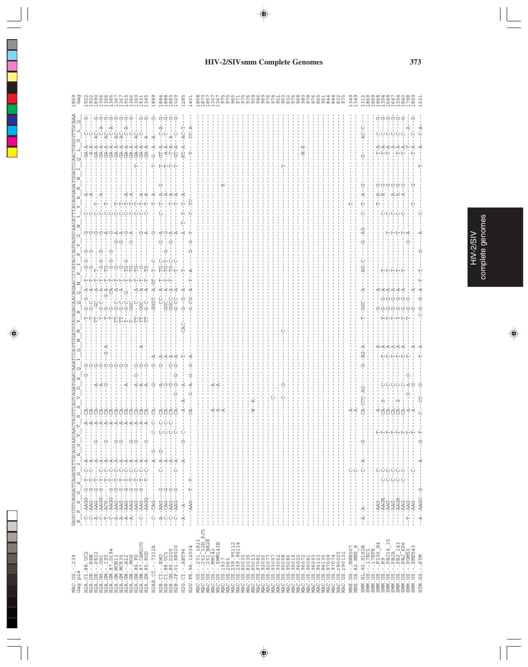| ř | aenomes<br>$\frac{D}{D}$<br>Š<br>ξ |
|---|------------------------------------|
|---|------------------------------------|

| NNO WWO DEN W<br>ゅうううううう<br>÷<br>めめ                                                                                                                                                                                                                                                                                                                                                                                                                                                                                                                                                                                                                                                                                                                                                                                                                             | $\infty$ $\infty$ $\infty$ $\sim$<br>$-40$<br>$\frac{8}{6}$<br>$\frac{28}{ }$<br>$\infty$ $\infty$ $\infty$ $\infty$<br>$\circ$<br>せせせせ                                                                                                                                                                                                                                                                                                                                                                                                                                                                                | 664<br>O<br>O<br>0000<br>$\infty$ $\infty$ $\infty$ $\sim$ $\sim$ $\sim$ $\sim$ $\sim$ $\sim$<br>0.000.0000000<br>_<br>_<br>_<br>$\sigma$                                                                                                                                                                                                                                                                                                                                                                                                                                                                                                                                                                                                                                                                                                                                                                                                                                                                                                                                                                                                                                                                                                                                                                                                                       | 134                                                                                      | 0.00401<br>もももももも                                                                                                                                                                                                                                                                                                                                                                                                                                                                       |
|-----------------------------------------------------------------------------------------------------------------------------------------------------------------------------------------------------------------------------------------------------------------------------------------------------------------------------------------------------------------------------------------------------------------------------------------------------------------------------------------------------------------------------------------------------------------------------------------------------------------------------------------------------------------------------------------------------------------------------------------------------------------------------------------------------------------------------------------------------------------|------------------------------------------------------------------------------------------------------------------------------------------------------------------------------------------------------------------------------------------------------------------------------------------------------------------------------------------------------------------------------------------------------------------------------------------------------------------------------------------------------------------------------------------------------------------------------------------------------------------------|-----------------------------------------------------------------------------------------------------------------------------------------------------------------------------------------------------------------------------------------------------------------------------------------------------------------------------------------------------------------------------------------------------------------------------------------------------------------------------------------------------------------------------------------------------------------------------------------------------------------------------------------------------------------------------------------------------------------------------------------------------------------------------------------------------------------------------------------------------------------------------------------------------------------------------------------------------------------------------------------------------------------------------------------------------------------------------------------------------------------------------------------------------------------------------------------------------------------------------------------------------------------------------------------------------------------------------------------------------------------|------------------------------------------------------------------------------------------|-----------------------------------------------------------------------------------------------------------------------------------------------------------------------------------------------------------------------------------------------------------------------------------------------------------------------------------------------------------------------------------------------------------------------------------------------------------------------------------------|
| ּוֹ וְהַלְּוֹתָּוֹ וְתִּוֹ וְוֹן וְ<br>הַחֲנִיהַ הַחֲנוֹתָ<br>TROCAGGAGENCEACHER N I Q I D'I D'ACTE<br>.                                                                                                                                                                                                                                                                                                                                                                                                                                                                                                                                                                                                                                                                                                                                                        | $\sim$ 1<br>AC-<br>0010<br>$-9T - A$<br>$-2A - A$<br>$-1T - A$<br>$-9T - A$<br>$RT - 1$<br>H HHHH                                                                                                                                                                                                                                                                                                                                                                                                                                                                                                                      |                                                                                                                                                                                                                                                                                                                                                                                                                                                                                                                                                                                                                                                                                                                                                                                                                                                                                                                                                                                                                                                                                                                                                                                                                                                                                                                                                                 |                                                                                          | $1 - 1 - 1 - 1 - 1$<br>К<br><b>UUUUU</b><br>U<br>A<br>HAAAAAHA<br>HHHHHHH                                                                                                                                                                                                                                                                                                                                                                                                               |
| $\begin{array}{c}\nA & A \\ A & B \\ B & C\n\end{array}$<br><b>B</b> + B + B B B B B B B<br>U U U U U U U U U U U U U                                                                                                                                                                                                                                                                                                                                                                                                                                                                                                                                                                                                                                                                                                                                           | AAAA<br>Ė<br>н                                                                                                                                                                                                                                                                                                                                                                                                                                                                                                                                                                                                         |                                                                                                                                                                                                                                                                                                                                                                                                                                                                                                                                                                                                                                                                                                                                                                                                                                                                                                                                                                                                                                                                                                                                                                                                                                                                                                                                                                 |                                                                                          | <b>ひひひひひひ</b><br>ARIARA<br><b>UUUUU</b><br>τ)                                                                                                                                                                                                                                                                                                                                                                                                                                           |
| COCCATACCATACCACCACCACCATACAT<br>I P I P V G I I<br>ひひひひみひみみひみ こうみ じ みじみみ<br>÷<br>-14<br>1 I I<br>.<br>$1 + 00 + 0$<br>한한 [번 ] 한<br>ひ<br>무 - 무<br>ט ו<br>$1 - 1 - 1$<br>טְטַטַטַטַטוּט טִ<br>קיקקק<br>יייייייייייי                                                                                                                                                                                                                                                                                                                                                                                                                                                                                                                                                                                                                                              | ひ<br>פיז<br>↻<br>UHU                                                                                                                                                                                                                                                                                                                                                                                                                                                                                                                                                                                                   |                                                                                                                                                                                                                                                                                                                                                                                                                                                                                                                                                                                                                                                                                                                                                                                                                                                                                                                                                                                                                                                                                                                                                                                                                                                                                                                                                                 |                                                                                          | エエエエム<br><b>PPPPP</b>                                                                                                                                                                                                                                                                                                                                                                                                                                                                   |
| 8888888888<br>$A \subseteq A$<br>ひ<br>ּף הַמְּמְּמְּמְמָ <sup>ֹ</sup> הַמָּמְיִ<br>aaa i iddaadada                                                                                                                                                                                                                                                                                                                                                                                                                                                                                                                                                                                                                                                                                                                                                              | FЕ<br>⊢<br>⋖<br>$A \land A$<br>ָט הַטְטָ<br>הַטְטֶטָ<br>הַטָּטָט<br>y                                                                                                                                                                                                                                                                                                                                                                                                                                                                                                                                                  |                                                                                                                                                                                                                                                                                                                                                                                                                                                                                                                                                                                                                                                                                                                                                                                                                                                                                                                                                                                                                                                                                                                                                                                                                                                                                                                                                                 |                                                                                          | みみみみみ<br><b>ひひひひひひ</b><br><b>ひひひひひひひ</b><br>$\mathbf{1}$<br>- 1<br>エスエエス                                                                                                                                                                                                                                                                                                                                                                                                                |
| CAGTAGAACAACAACHGATGTA<br>A<br>$\alpha$<br>$1 - 1$<br>$1 - 1 - 1$<br>ひ ひ ひ ひ ひ ひ ひ ひ ひ<br>じ じ じ<br>Ò<br>$\frac{1}{\sqrt{2}}$                                                                                                                                                                                                                                                                                                                                                                                                                                                                                                                                                                                                                                                                                                                                    | A<br>AAAA<br><b>UIUU</b><br>ひ<br>ひ                                                                                                                                                                                                                                                                                                                                                                                                                                                                                                                                                                                     |                                                                                                                                                                                                                                                                                                                                                                                                                                                                                                                                                                                                                                                                                                                                                                                                                                                                                                                                                                                                                                                                                                                                                                                                                                                                                                                                                                 |                                                                                          | AAAAA !<br>К<br><b>PPPPPP</b>                                                                                                                                                                                                                                                                                                                                                                                                                                                           |
| くくの<br>$A \land A$<br>55555555<br>みみみみみみみみみみみ C                                                                                                                                                                                                                                                                                                                                                                                                                                                                                                                                                                                                                                                                                                                                                                                                                 | τŋ<br>ন∷ো<br>てりてり<br>S<br>ひひひ                                                                                                                                                                                                                                                                                                                                                                                                                                                                                                                                                                                          | K,<br>K.<br>K R.                                                                                                                                                                                                                                                                                                                                                                                                                                                                                                                                                                                                                                                                                                                                                                                                                                                                                                                                                                                                                                                                                                                                                                                                                                                                                                                                                |                                                                                          | ひひひひひえ<br>ひ<br>C)<br>C)<br>U<br>FSSSSSF                                                                                                                                                                                                                                                                                                                                                                                                                                                 |
| $\frac{1}{2}$<br>$\sum_{i=1}^{n}$<br>$\frac{1}{2}$<br>$\frac{1}{2}$<br>$\overline{c}$<br>ロー<br>$\mathbf I$<br>$\,$<br>ひ<br>J.<br>$\mathbf{I}$<br>I.<br>$\,$ I<br>$\mathbf{I}$<br>$\mathbf{I}$<br>$\overline{\phantom{a}}$<br>л.<br>J.<br>٠<br>$\mathbf{I}$<br>$\,$ $\,$<br>f,<br>J.<br>Ť.<br>$\frac{1}{4}$<br>$\blacksquare$<br>$\frac{1}{4}$<br>÷<br>$\frac{1}{1}$<br>$\frac{1}{4}$<br>t<br>Í<br>f,<br>$\frac{1}{1}$<br>$\,$ I<br>$\mathbf{I}$<br>$\Delta$<br>$-4$<br>$A + A$<br>$- A$<br>$-4$<br>$-4$<br>$-44$<br>$-44$<br>$-4$<br>R<br>÷<br>÷<br>÷<br>$\frac{1}{2}$<br>U<br>U<br>ひひ<br>↻<br>U<br>υU<br>U<br>↻<br>U<br>÷<br>$\mathbf{I}$<br>÷<br>÷<br>$\pm$<br>÷<br>÷<br>÷<br>÷<br>÷<br>÷                                                                                                                                                                     | <b>UUUU</b><br>$\sum_{1}^{1}$<br>$-5 - 4 - 5 - 1$<br>$\overline{\phantom{a}}$<br>$A - G -$<br>$\mathbf{I}$<br>٠<br>٠<br>$\mathbf{I}$<br>$- - A - -$<br>$\,$ I<br>$\frac{1}{1}$<br>$\,$ I<br>$\overline{1}$<br>$-4$<br>$-1$<br>$- - A$<br>$\mathbf{I}$<br>J.<br>÷<br>$\frac{1}{1}$<br>ΥT<br>$\blacksquare$<br>L.<br>٠<br>$\overline{\phantom{a}}$<br>٠<br>٠<br>٠<br>$\mathbf{I}$                                                                                                                                                                                                                                        | ţ<br>$\begin{array}{c} \hline \end{array}$<br>Í<br>f,<br>Í<br>$\mathbf{I}$<br>t<br>ţ<br>Î<br>$\frac{1}{1}$<br>$\frac{1}{1}$<br>Í<br>$\overline{\phantom{a}}$<br>$\overline{\phantom{a}}$<br>Ţ<br>$\mathfrak l$<br>$\overline{\phantom{a}}$<br>J<br>J<br>$\frac{1}{2}$<br>$\frac{1}{1}$<br>1<br>J<br>$\overline{\phantom{a}}$<br>J,<br>$\mathbf{I}$<br>$\,$                                                                                                                                                                                                                                                                                                                                                                                                                                                                                                                                                                                                                                                                                                                                                                                                                                                                                                                                                                                                      | $\mathbf{I}$<br>-<br>$\overline{\phantom{a}}$<br>U<br>U<br>-<br>$\overline{\phantom{a}}$ | <b>PPPPPPPP</b><br>$\frac{1}{6}$<br>ウーー<br>ı<br>٠<br>$- - A - -$<br>$- A -$<br>t<br>I<br>$\,$<br>٠<br>J.<br>$\overline{\phantom{a}}$<br>$\mathbf{I}$<br>٠<br>J.<br>$\,$ I<br>J.<br>J.<br>٠<br>$\overline{\phantom{a}}$<br>٠<br>U<br>↻<br>U<br>U<br>U<br>U<br>U<br>U<br>÷<br>$\mathbf{I}$<br>$\frac{1}{1}$<br>ŧ<br>$\blacksquare$<br>÷<br>÷<br>٠                                                                                                                                         |
| $\begin{array}{cccccc} \texttt{GAGCCGTCAGGATCAGATATTGCAGGAA} \\ \texttt{E} & \texttt{P} & \texttt{S} & \texttt{G} & \texttt{D} & \texttt{I} & \texttt{A} & \texttt{G} \\ \end{array}$<br>H<br>F<br>부부<br>┢╒╒╒╒╒╒╒╌<br>FН<br>$\mathbf{I}$<br>-- AAGG--G<br>C<br><b>ひ ひ</b><br>ひ<br>ひひひひひ<br>ひ<br>Ť<br>÷<br>$\,$ I<br>÷<br>Ť<br>$\,$ 1<br>÷<br>$\blacksquare$<br>$\mathbf{1}$<br>- 11<br>J.<br>$\begin{array}{r} -A-AA\cup\{0\} \\ -C-AA\cup\{0\} \\ -A\cup\{0\} \\ -A\cup\{1\} \\ -A\cup\{2\} \\ -A\cup\{3\} \\ -A\cup\{4\} \\ -A\cup\{5\} \\ -A\cup\{6\} \\ -A\cup\{7\} \\ -A\cup\{8\} \\ -A\cup\{7\} \\ -A\cup\{8\} \end{array}$<br>$-AAGG$<br>$-$ -AAG<br>$ PAG$<br>$-{\rm A}{\rm A}{\rm G}$<br>$\mathbf{I}$<br>후인턴인<br>$\frac{1}{2}$<br>$\bigcup\limits_{i}$<br>$\frac{1}{1}$<br>$\mathbf{I}$<br>$\mathbf{I}$<br>$\overline{\phantom{a}}$<br>$\,$ $\,$<br>J. | $-1 - 1 - -1 - -$<br>$\mathbf{I}$<br>L.<br>$\mathbf{I}$<br>$\mathbf{I}$<br>$\blacksquare$<br>$\mathbf{I}$<br>$\mathbf{I}$<br>$\overline{1}$<br>$\mathbf{I}$<br>$\overline{\phantom{a}}$<br>$\mathsf I$<br>ひ<br>ひ<br>ひ<br>ひ<br>$\mathsf I$<br>Ħ<br>$\mathsf I$<br>$\mathsf I$<br>$\,$ 1<br>$\mathbf{I}$<br>$\mathbf{I}$<br>л<br>- 1<br>$-$ -AAG-<br>$-PAG -$<br>$-CAG-$<br>$-{\rm AAG}$<br>$-CAG$<br>$-$ AAG<br>$-4 - 2$<br>$\mathbf I$<br>$\bigcup\limits_{i}$<br>$\frac{1}{2}$<br>$\frac{1}{1}$<br>$-4$<br>$-4$<br>$\Gamma$<br>$\,$<br>$\blacksquare$<br>$\mathbb{I}$<br>$\mathbf{1}$<br>$\mathbf{I}$<br>$\mathbf{I}$ | $\frac{1}{4}$<br>$\frac{1}{1}$<br>$\mathbf{I}$<br>J,<br>$\overline{1}$<br>f,<br>$\begin{array}{c} \rule{0.2cm}{0.15mm} \rule{0.2cm}{0.15mm} \rule{0.2cm}{0.15mm} \rule{0.2cm}{0.15mm} \rule{0.2cm}{0.15mm} \rule{0.2cm}{0.15mm} \rule{0.2cm}{0.15mm} \rule{0.2cm}{0.15mm} \rule{0.2cm}{0.15mm} \rule{0.2cm}{0.15mm} \rule{0.2cm}{0.15mm} \rule{0.2cm}{0.15mm} \rule{0.2cm}{0.15mm} \rule{0.2cm}{0.15mm} \rule{0.2cm}{0.15mm} \rule{$<br>$\begin{array}{c} \begin{array}{c} \bullet \\ \bullet \\ \bullet \end{array} \end{array}$<br>$\frac{1}{1}$<br>$\begin{array}{c} \n\cdot & \cdot \\ \n\cdot & \cdot \\ \n\cdot & \cdot \n\end{array}$<br>$\frac{1}{4}$<br>$\frac{1}{1}$<br>$\frac{1}{4}$<br>$\frac{1}{1}$<br>$\frac{1}{1}$<br>$\frac{1}{1}$<br>$\frac{1}{1}$<br>$\frac{1}{1}$<br>$\frac{1}{1}$<br>ŧ<br>f,<br>$\frac{1}{1}$<br>t<br>J<br>J<br>I<br>ł<br>$\,$ I<br>$\overline{\phantom{a}}$<br>$\,$ I<br>I<br>J,<br>$\begin{array}{c} \hline \end{array}$<br>$\overline{\phantom{a}}$<br>í<br>$\overline{\phantom{a}}$<br>J.<br>÷<br>Î<br>I,<br>$\overline{1}$<br>j<br>$\,$ I<br>$\,$ $\,$<br>$\mathsf I$<br>$\mathsf I$<br>$\frac{1}{1}$<br>ı<br>٠<br>-1<br>J<br>$\,$<br>J<br>J<br>J<br>Ť<br>$\overline{\phantom{a}}$<br>J<br>J,<br>J<br>J<br>٠<br>$\overline{\phantom{a}}$<br>$\blacksquare$<br>$\mathbf{I}$<br>л<br>-1<br>٠<br>$\overline{\phantom{a}}$ | ٠<br>٠<br>$\mathsf I$<br>L.                                                              | J.<br>U<br>U<br>U<br>υU<br>п<br>$\frac{1}{4}$<br>$\mathbf{I}$<br>$\blacksquare$<br>1<br>٠<br>$\overline{\phantom{a}}$<br>$\mathbf{I}$<br>$-1 - 2 - 1$<br>J.<br>$\mathbf{I}$<br>$\mathbf{I}$<br>J.<br>٠<br>٠<br>$ AAGR$<br>$ AAG$ -<br>$-PAG$<br>$-2AGB$<br>--2AG---<br>--2AG---<br>--2AG---<br>$-RAG-$<br>$-$ -AAG<br>J.<br>$-A$ – $-A$<br>$\,$<br>t<br>Ť<br>$\frac{1}{4}$<br>÷<br>$\overline{\phantom{a}}$<br>부<br>$\mathbf{I}$<br>$\mathbf{I}$<br>$\overline{\phantom{0}}$<br>-<br>J. |
| $\begin{array}{l} \rm I2A,\,CL,\,88\,,\,UC2\\ \rm I2A,\,DB.-IBEN\\ \rm I2A,\,GB.-GBID\\ \rm I2A,\,GH.-GBID\\ \rm I2A,\,GH.-L,\,SH\\ \rm I2A,\,CH,-L,\,SH\\ \rm I2A,\,CH,\,CH,\,CH,\,SH\\ \rm I2A,\,CH,\,CH,\,CH,\,SH\\ \rm I2A,\,GH,\,CH,\,CH\\ \rm I2A,\,GH,\,CH,\,CH\\ \rm I2A,\,GH,\,CH,\,CH\\ \rm I2A,\,GH,\,CH,\,CH\\ \rm I2A,\,SH,\,CH,\,CH\\ \rm I2A,\,GH,\,CH,\,CH\\ \rm I2$<br>$\sigma$<br>$-0.235$<br>MAC.US.<br>Gag p24                                                                                                                                                                                                                                                                                                                                                                                                                              | $-17312A$<br>$\circ$<br>H2U. FR. 96.12034<br>H2B.CI.-.EHO<br>H2B.CI.88.UC1<br>H2B.CH.86.D205<br>H2B.JP.01.KR020<br>$-0.7BTT96$<br>H2AB.CI<br>H2G.CI                                                                                                                                                                                                                                                                                                                                                                                                                                                                    |                                                                                                                                                                                                                                                                                                                                                                                                                                                                                                                                                                                                                                                                                                                                                                                                                                                                                                                                                                                                                                                                                                                                                                                                                                                                                                                                                                 | $\Gamma$ $\infty$<br>MNE.US. - .MNE02<br>MNE.US. 82.MNE                                  | LN<br>$\begin{array}{l} \mathbf{SIMM}, \; \mathbf{SL}, \; \mathbf{92}, \; \mathbf{S1292B} \\ \mathbf{SIMM}, \; \mathbf{US}, \; -17\, \mathbf{BCT} \\ \mathbf{SIMM}, \; \mathbf{US}, \; -17\, \mathbf{B25} \\ \mathbf{SIMM}, \; \mathbf{US}, \; -18\, \mathbf{19} \\ \mathbf{SIMM}, \; \mathbf{US}, \; -18\, \mathbf{19} \\ \mathbf{SIMM}, \; \mathbf{US}, \; -18\, \mathbf{B11} \\ \mathbf{SIMM}, \; \mathbf{US}, \$<br>MIS.<br>$\overline{1}$<br>STM.US                                |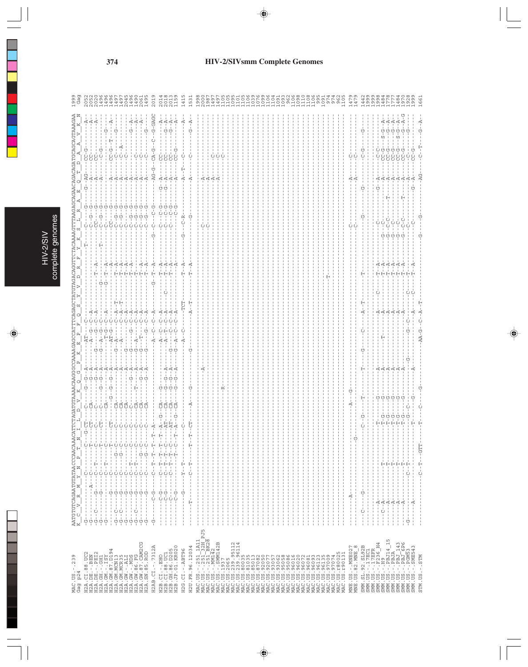| HHHHUH<br>AAAAOA<br>QQQQQ<br>404<br>$\frac{0}{20}$<br>$\circ$                                                                                                                                                                                                                                                                                                                                                                                                                                                                                                                                                                                                                                                                                                                                                                                                                                                                                                                                                                                                                                                                                               | 0010<br>201                                                                                                                                                                                                                       | 141<br>$\overline{5}3$                                                                                                                                       | 147<br>147<br>4000000                                                                                                                                                                                                                                                                                                                                                                                                                                                                                                                                                                                                                                                                                                                                                                                                                                                                                                                                                                                                                                                                                                                                                                                                                                                                                                                                                                                                                                                                                                                                                                                                                                                                                                                                                                                                                                                                                                                                                                                                                                                                                                                                                                                                                                                                                                                                                                                                                                                                                                                                                                                                                                                                                                                                                                                                                                                                                                                                                                                                                                                                                                                                                                                                                                                                                                          |                                 |
|-------------------------------------------------------------------------------------------------------------------------------------------------------------------------------------------------------------------------------------------------------------------------------------------------------------------------------------------------------------------------------------------------------------------------------------------------------------------------------------------------------------------------------------------------------------------------------------------------------------------------------------------------------------------------------------------------------------------------------------------------------------------------------------------------------------------------------------------------------------------------------------------------------------------------------------------------------------------------------------------------------------------------------------------------------------------------------------------------------------------------------------------------------------|-----------------------------------------------------------------------------------------------------------------------------------------------------------------------------------------------------------------------------------|--------------------------------------------------------------------------------------------------------------------------------------------------------------|--------------------------------------------------------------------------------------------------------------------------------------------------------------------------------------------------------------------------------------------------------------------------------------------------------------------------------------------------------------------------------------------------------------------------------------------------------------------------------------------------------------------------------------------------------------------------------------------------------------------------------------------------------------------------------------------------------------------------------------------------------------------------------------------------------------------------------------------------------------------------------------------------------------------------------------------------------------------------------------------------------------------------------------------------------------------------------------------------------------------------------------------------------------------------------------------------------------------------------------------------------------------------------------------------------------------------------------------------------------------------------------------------------------------------------------------------------------------------------------------------------------------------------------------------------------------------------------------------------------------------------------------------------------------------------------------------------------------------------------------------------------------------------------------------------------------------------------------------------------------------------------------------------------------------------------------------------------------------------------------------------------------------------------------------------------------------------------------------------------------------------------------------------------------------------------------------------------------------------------------------------------------------------------------------------------------------------------------------------------------------------------------------------------------------------------------------------------------------------------------------------------------------------------------------------------------------------------------------------------------------------------------------------------------------------------------------------------------------------------------------------------------------------------------------------------------------------------------------------------------------------------------------------------------------------------------------------------------------------------------------------------------------------------------------------------------------------------------------------------------------------------------------------------------------------------------------------------------------------------------------------------------------------------------------------------------------------|---------------------------------|
| ひ<br>ひ                                                                                                                                                                                                                                                                                                                                                                                                                                                                                                                                                                                                                                                                                                                                                                                                                                                                                                                                                                                                                                                                                                                                                      | $G-GAG$<br>AAAA<br>υυ                                                                                                                                                                                                             |                                                                                                                                                              | みみみみ<br>ひ ひ ひ ひ ひ<br>C)<br>C)                                                                                                                                                                                                                                                                                                                                                                                                                                                                                                                                                                                                                                                                                                                                                                                                                                                                                                                                                                                                                                                                                                                                                                                                                                                                                                                                                                                                                                                                                                                                                                                                                                                                                                                                                                                                                                                                                                                                                                                                                                                                                                                                                                                                                                                                                                                                                                                                                                                                                                                                                                                                                                                                                                                                                                                                                                                                                                                                                                                                                                                                                                                                                                                                                                                                                                  |                                 |
| $\frac{1}{6}$ $\frac{1}{1}$ $\frac{1}{1}$ $\frac{1}{1}$ $\frac{1}{1}$ $\frac{1}{1}$ $\frac{1}{1}$ $\frac{1}{1}$ $\frac{1}{1}$ $\frac{1}{1}$                                                                                                                                                                                                                                                                                                                                                                                                                                                                                                                                                                                                                                                                                                                                                                                                                                                                                                                                                                                                                 | Š<br>888                                                                                                                                                                                                                          |                                                                                                                                                              | ひひひひひひ<br><u> ? gggggg</u>                                                                                                                                                                                                                                                                                                                                                                                                                                                                                                                                                                                                                                                                                                                                                                                                                                                                                                                                                                                                                                                                                                                                                                                                                                                                                                                                                                                                                                                                                                                                                                                                                                                                                                                                                                                                                                                                                                                                                                                                                                                                                                                                                                                                                                                                                                                                                                                                                                                                                                                                                                                                                                                                                                                                                                                                                                                                                                                                                                                                                                                                                                                                                                                                                                                                                                     |                                 |
| <b>I A A A A A A A</b><br>$A \triangle A$                                                                                                                                                                                                                                                                                                                                                                                                                                                                                                                                                                                                                                                                                                                                                                                                                                                                                                                                                                                                                                                                                                                   | A A A                                                                                                                                                                                                                             |                                                                                                                                                              | <b>AAAAAA</b><br>A A A<br>≮ ⊄<br>ó                                                                                                                                                                                                                                                                                                                                                                                                                                                                                                                                                                                                                                                                                                                                                                                                                                                                                                                                                                                                                                                                                                                                                                                                                                                                                                                                                                                                                                                                                                                                                                                                                                                                                                                                                                                                                                                                                                                                                                                                                                                                                                                                                                                                                                                                                                                                                                                                                                                                                                                                                                                                                                                                                                                                                                                                                                                                                                                                                                                                                                                                                                                                                                                                                                                                                             | $\mathcal{A}$                   |
| ZUPTPAAGUDGOGOGAGAGAGAOGOGOGOGOGOGOGOGAGAAAGAA<br><b>ひ ひ ひ ひ ひ ひ ひ ひ ひ ひ ひ ひ ひ</b>                                                                                                                                                                                                                                                                                                                                                                                                                                                                                                                                                                                                                                                                                                                                                                                                                                                                                                                                                                                                                                                                          | ひ ひひひひ<br>UUUU<br>UUU                                                                                                                                                                                                             | q                                                                                                                                                            | $-100$<br>$\begin{array}{cccccc} 1 & 1 & 0 & 1 \\ 1 & 1 & 0 & 1 \\ 1 & 1 & 0 & 0 \end{array}$<br>υU<br>ひひひひひ                                                                                                                                                                                                                                                                                                                                                                                                                                                                                                                                                                                                                                                                                                                                                                                                                                                                                                                                                                                                                                                                                                                                                                                                                                                                                                                                                                                                                                                                                                                                                                                                                                                                                                                                                                                                                                                                                                                                                                                                                                                                                                                                                                                                                                                                                                                                                                                                                                                                                                                                                                                                                                                                                                                                                                                                                                                                                                                                                                                                                                                                                                                                                                                                                   |                                 |
| $\mathbb{Z} \times$<br>88888                                                                                                                                                                                                                                                                                                                                                                                                                                                                                                                                                                                                                                                                                                                                                                                                                                                                                                                                                                                                                                                                                                                                | $\mathcal{A}$<br>$A \land A$<br>⊢<br>H H                                                                                                                                                                                          |                                                                                                                                                              | みみみみみ<br>666666                                                                                                                                                                                                                                                                                                                                                                                                                                                                                                                                                                                                                                                                                                                                                                                                                                                                                                                                                                                                                                                                                                                                                                                                                                                                                                                                                                                                                                                                                                                                                                                                                                                                                                                                                                                                                                                                                                                                                                                                                                                                                                                                                                                                                                                                                                                                                                                                                                                                                                                                                                                                                                                                                                                                                                                                                                                                                                                                                                                                                                                                                                                                                                                                                                                                                                                |                                 |
| CAAAAGGCCATTTCAGAGCTAT<br>$\forall A \vdash A \vdash A \land A \land A \land A$<br>$\alpha$<br>吉吉<br>99999<br>ó<br>Ġ                                                                                                                                                                                                                                                                                                                                                                                                                                                                                                                                                                                                                                                                                                                                                                                                                                                                                                                                                                                                                                        | RARA<br>↻<br>ひひひひ<br>Ů<br>UU<br>4<br>$\overline{A}$ –                                                                                                                                                                             |                                                                                                                                                              | AAAAA                                                                                                                                                                                                                                                                                                                                                                                                                                                                                                                                                                                                                                                                                                                                                                                                                                                                                                                                                                                                                                                                                                                                                                                                                                                                                                                                                                                                                                                                                                                                                                                                                                                                                                                                                                                                                                                                                                                                                                                                                                                                                                                                                                                                                                                                                                                                                                                                                                                                                                                                                                                                                                                                                                                                                                                                                                                                                                                                                                                                                                                                                                                                                                                                                                                                                                                          |                                 |
| $-\vec{A}$<br>Ħ<br>99119199999<br><b>A A A A A A A A A A A A A</b><br>$\begin{bmatrix} 1 & 1 \\ 1 & 0 \\ 1 & 1 \end{bmatrix}$<br>444<br>ひひひひ<br>$\mathbf{1}=\mathbf{1}=\mathbf{1}$<br>ひ<br>េបប                                                                                                                                                                                                                                                                                                                                                                                                                                                                                                                                                                                                                                                                                                                                                                                                                                                                                                                                                              | $- A -$<br>$A \land A$<br><b>ひひひ</b>                                                                                                                                                                                              |                                                                                                                                                              | みみみみみ                                                                                                                                                                                                                                                                                                                                                                                                                                                                                                                                                                                                                                                                                                                                                                                                                                                                                                                                                                                                                                                                                                                                                                                                                                                                                                                                                                                                                                                                                                                                                                                                                                                                                                                                                                                                                                                                                                                                                                                                                                                                                                                                                                                                                                                                                                                                                                                                                                                                                                                                                                                                                                                                                                                                                                                                                                                                                                                                                                                                                                                                                                                                                                                                                                                                                                                          |                                 |
| ငှ<br>ひ<br><u>ปลี่ปปลี่   ลิลูลิๆ</u><br>합합요합 ! 합요요요요요요                                                                                                                                                                                                                                                                                                                                                                                                                                                                                                                                                                                                                                                                                                                                                                                                                                                                                                                                                                                                                                                                                                     | ひ ひ ひ                                                                                                                                                                                                                             |                                                                                                                                                              | めめめめめめ<br>ひひひひひ                                                                                                                                                                                                                                                                                                                                                                                                                                                                                                                                                                                                                                                                                                                                                                                                                                                                                                                                                                                                                                                                                                                                                                                                                                                                                                                                                                                                                                                                                                                                                                                                                                                                                                                                                                                                                                                                                                                                                                                                                                                                                                                                                                                                                                                                                                                                                                                                                                                                                                                                                                                                                                                                                                                                                                                                                                                                                                                                                                                                                                                                                                                                                                                                                                                                                                                |                                 |
| U.<br>J.<br>-1<br>л.<br>U<br> <br>$\begin{array}{c} \n\mathsf{H} & \mathsf{H} \\ \mathsf{H} & \mathsf{H} \\ \mathsf{H} & \mathsf{H} \\ \mathsf{H} & \mathsf{H} \\ \mathsf{H} & \mathsf{H} \\ \mathsf{H} & \mathsf{H} \\ \mathsf{H} & \mathsf{H} \\ \mathsf{H} & \mathsf{H} \\ \mathsf{H} & \mathsf{H} \\ \mathsf{H} & \mathsf{H} \\ \mathsf{H} & \mathsf{H} \\ \mathsf{H} & \mathsf{H} \\ \mathsf{H} & \mathsf{H} \\ \mathsf{H} & \mathsf{H} \\ \mathsf{H} & \mathsf{H} \\ \$<br>∪⊢<br>U<br>↻<br>U<br>↻<br>U<br>U<br>U<br>$\frac{1}{4}$<br>÷<br>÷<br>÷<br>÷<br>÷<br>÷<br>÷<br>ţ<br>$\,$ $\,$<br>$\,$<br>ウー<br>$\begin{array}{c}\n0 \\ -1\n\end{array}$<br>ひ<br>ひ<br>Ť<br>$\mathbf{I}$<br>$-1 - \frac{1}{2} - \frac{1}{2}$<br>$\mathbf{I}$<br>J<br>$\frac{1}{4}$<br>÷<br>$\frac{1}{4}$<br>$\frac{1}{4}$<br>$\mathbf{I}$<br>$\mathbf{I}$<br>$\mathbf{I}$<br>$\blacksquare$<br>$\frac{1}{2}$<br>ł<br>I,<br>۳<br>-<br>$\,$<br>$\frac{1}{\sqrt{2}}$<br>٠<br>$\frac{1}{4}$<br>$\frac{1}{4}$<br>$\frac{1}{1}$<br>$\frac{1}{4}$<br>$\frac{1}{4}$<br>÷<br>$\frac{1}{4}$<br>$\begin{array}{c} \hline \end{array}$<br>$\blacksquare$<br>U<br> <br>$\frac{1}{2}$<br>ひひひ | $\mathbb{H}$<br>н<br>U<br>U<br>U<br>$\frac{1}{4}$<br>f,<br>÷.<br>÷<br>÷<br>Н<br>н<br>Н<br>F<br>Е<br>Ĩ,<br>÷.<br>÷<br>$\frac{1}{4}$<br>f,<br>Н<br>÷.<br>÷.<br>۲<br>ا<br>ŧ<br>t<br>$\blacksquare$<br>Y<br>Y<br>↻<br>↻               | $\frac{1}{2}$<br>$\mathbf{I}$<br>$\mathbf{I}$<br>Ĵ<br>$\mathbf{I}$<br>÷<br>ا<br>۲<br>ا<br>$\sum_{i=1}^{n}$<br>$\frac{1}{2}$                                  | ī<br>$\overline{\phantom{a}}$<br>f,<br>$\frac{1}{1}$<br>$\mathbf{I}$<br>J.<br>$\frac{1}{1}$<br>٠<br>I<br>$\mathfrak l$<br>$\begin{array}{c} \begin{array}{c} \text{1} \\ \text{2} \\ \text{3} \\ \text{4} \end{array} \end{array}$<br>$\begin{array}{c} 1 \\ 1 \\ 1 \\ 1 \end{array}$<br>ţ<br>Ť<br>t<br>$\frac{1}{4}$<br>f,<br>J.<br>$\overline{\phantom{a}}$<br>$\mathbf{I}$<br>J.<br>$\mathbf{I}$<br>$\mathbf I$<br>$-1$<br>۲<br>-<br>부<br>۲<br>-<br>투<br>부<br>$\begin{array}{c} \rule{0.2cm}{0.15mm} \rule{0.2cm}{0.15mm} \rule{0.2cm}{0.15mm} \rule{0.2cm}{0.15mm} \rule{0.2cm}{0.15mm} \rule{0.2cm}{0.15mm} \rule{0.2cm}{0.15mm} \rule{0.2cm}{0.15mm} \rule{0.2cm}{0.15mm} \rule{0.2cm}{0.15mm} \rule{0.2cm}{0.15mm} \rule{0.2cm}{0.15mm} \rule{0.2cm}{0.15mm} \rule{0.2cm}{0.15mm} \rule{0.2cm}{0.15mm} \rule{$<br>$\frac{1}{1}$<br>Ť<br>$\overline{\phantom{a}}$<br>$\overline{\phantom{a}}$<br>$\mathbf{I}$<br>t<br>$\mathbf{I}$<br>$\frac{1}{\sqrt{2}}$                                                                                                                                                                                                                                                                                                                                                                                                                                                                                                                                                                                                                                                                                                                                                                                                                                                                                                                                                                                                                                                                                                                                                                                                                                                                                                                                                                                                                                                                                                                                                                                                                                                                                                                                                                                                                                                                                                                                                                                                                                                                                                                                                                                                                                                                                                                                                               | $-1175 - - - -$<br>$T - -D -$   |
| AATGTCHCAAATGTATAACCCAACAAA<br>K C V R M Y N P T N<br>$-A$ --<br>$\mathbf{I}$<br>- 11<br>$\mathbf{I}$<br>$\mathbf{I}$<br>$\mathsf I$<br>$\mathbf{I}$<br>$\mathbf{1}$<br>$\mathbb{I}$<br>Ť<br>$\frac{1}{4}$<br>$\mathsf I$<br>$\blacksquare$<br>$\,$ $\,$<br>ı<br>$\mathsf I$<br>↻<br>U<br>--<br>- 11<br>$\begin{bmatrix} 0 & 0 & 0 & 0 & 0 \\ 0 & 1 & 1 & 1 & 1 \\ 0 & 0 & 1 & 1 & 1 \end{bmatrix}$<br>יטרי<br>יויי<br>Ĵ,<br>-<br>$\mathbf{I}$<br>$\mathbb{I}$<br>$\mathbf I$<br>$\,$<br>$\mathsf I$<br>$\,$ I<br>$\mathfrak l$<br>J<br>$\mathbb{I}$<br>÷,<br>$\,$ I<br>$\mathbf{I}$<br>$\mathbf{I}$<br>$\frac{1}{4}$<br>$\blacksquare$<br>$\mathsf I$<br>$\mathbf{I}$<br>$\frac{1}{4}$<br>$\frac{1}{4}$<br>$\begin{array}{c} \hline \end{array}$<br>$\blacksquare$<br>J.<br>J.<br>$\mathbf{I}$<br>л<br>ن<br>ا<br>$\frac{0}{1}$<br>$\frac{0}{1}$<br>$\mathbf{I}$<br>٠<br>1<br>$\,$ I<br>$\,$ $\,$<br>$\blacksquare$<br>$\frac{1}{4}$<br>$\,$ $\,$<br>$\frac{1}{1}$<br>$\mathbf{1}$<br>؋؋؋؋<br>ゃゃゃ<br>စုံစုံစုံစုံ<br>$\frac{1}{\sqrt{2}}$<br>л.                                                                                                             | $1 - 1 - 1$<br>J.<br>٠<br>t<br><b>C-C-C</b><br>$- - - C - G$<br>-- 0--<br>U-J-<br>J.<br>$\frac{1}{2}$<br>L.<br>I.<br>l,<br>1<br>$\mathbf{I}$<br>ı<br>J.<br>$\mathbf{I}$<br>1<br>f,<br>ひ<br>$\mathbf{I}$<br>-<br>$\mathbf{I}$<br>٠ | $\mathbf{I}$<br>$\mathbf{I}$<br>$\mathbf{I}$<br>$\mathsf I$<br>$G - 6$<br>$\mathbf{I}$<br>$\mathbf{I}$<br>J.<br>$\mathsf I$<br>$\frac{1}{1}$<br>$\mathbf{I}$ | .<br>$\frac{1}{4}$<br>$\frac{1}{4}$<br>$\frac{1}{1}$<br>$\frac{1}{1}$<br>$\frac{1}{1}$<br>$\mathbf{I}$<br>$\overline{\phantom{a}}$<br>J<br>$\frac{1}{1}$<br>J.<br>J.<br>$\mathbf{I}$<br>$\mathbf{I}$<br>J.<br>$\mathbf{I}$<br>J.<br>٠<br>$\begin{array}{c} \n\cdot & \cdot \\ \n\cdot & \cdot \\ \n\cdot & \cdot \n\end{array}$<br>t<br>Ť<br>$\,$ $\,$<br>$\frac{1}{2}$<br>$\,$ I<br>$\sum_{1}^{1}$<br>$\,$<br>$\mathsf I$<br>$\begin{array}{c} \rule{0.2cm}{0.15mm} \rule{0.2cm}{0.15mm} \rule{0.2cm}{0.15mm} \rule{0.2cm}{0.15mm} \rule{0.2cm}{0.15mm} \rule{0.2cm}{0.15mm} \rule{0.2cm}{0.15mm} \rule{0.2cm}{0.15mm} \rule{0.2cm}{0.15mm} \rule{0.2cm}{0.15mm} \rule{0.2cm}{0.15mm} \rule{0.2cm}{0.15mm} \rule{0.2cm}{0.15mm} \rule{0.2cm}{0.15mm} \rule{0.2cm}{0.15mm} \rule{$<br>$\,$ I<br>$\frac{1}{4}$<br>$\begin{array}{c} \rule{0.2cm}{0.15mm} \rule{0.2cm}{0.15mm} \rule{0.2cm}{0.15mm} \rule{0.2cm}{0.15mm} \rule{0.2cm}{0.15mm} \rule{0.2cm}{0.15mm} \rule{0.2cm}{0.15mm} \rule{0.2cm}{0.15mm} \rule{0.2cm}{0.15mm} \rule{0.2cm}{0.15mm} \rule{0.2cm}{0.15mm} \rule{0.2cm}{0.15mm} \rule{0.2cm}{0.15mm} \rule{0.2cm}{0.15mm} \rule{0.2cm}{0.15mm} \rule{$<br>$-4 -$<br>ţ<br>ŧ<br>ł<br>$\mathbf{I}$<br>$\mathbf{I}$<br>$\mathbf{I}$<br>$\mathbf{I}$<br>$\mathbf{I}$<br>$\frac{1}{1}$<br>j<br>Ť<br>$\mathsf I$<br>$\blacksquare$<br>$\mathbf{I}$<br>$\mathbf{I}$<br>$\mathbf{I}$<br>$\mathbf{I}$<br>-<br>Ť<br>$\mathbf{I}$<br>$\mathsf I$<br>f,<br>$\mathbf I$<br>I<br>$-4$<br>$---A$<br>$-4$<br>$- - A$<br>$- - A$<br>$\mathbf{I}$<br>$\,$ I<br>J<br>$\,$<br>$\,$ $\,$<br>J.<br>ţ<br>$\mathbf{I}$<br>J.<br>$\frac{1}{1}$<br>$\mathbf{I}$<br>$\mathbf{I}$<br>J.<br>$\overline{\phantom{a}}$<br>1<br>$\frac{1}{1}$<br>$\frac{1}{1}$<br>$\frac{1}{2}$<br>f,<br>$\bar{1}$<br>$\overline{\phantom{a}}$<br>t<br>I,<br>$\mathfrak l$<br>I<br>$\mathbf{I}$<br>$\frac{1}{1}$<br>J<br>$\begin{array}{c} \rule{0.2cm}{0.15mm} \rule{0.2cm}{0.15mm} \rule{0.2cm}{0.15mm} \rule{0.2cm}{0.15mm} \rule{0.2cm}{0.15mm} \rule{0.2cm}{0.15mm} \rule{0.2cm}{0.15mm} \rule{0.2cm}{0.15mm} \rule{0.2cm}{0.15mm} \rule{0.2cm}{0.15mm} \rule{0.2cm}{0.15mm} \rule{0.2cm}{0.15mm} \rule{0.2cm}{0.15mm} \rule{0.2cm}{0.15mm} \rule{0.2cm}{0.15mm} \rule{$<br>$\mathbf{I}$<br>$\frac{1}{1}$<br>$\begin{array}{c} \rule{0.2cm}{0.15mm} \rule{0.2cm}{0.15mm} \rule{0.2cm}{0.15mm} \rule{0.2cm}{0.15mm} \rule{0.2cm}{0.15mm} \rule{0.2cm}{0.15mm} \rule{0.2cm}{0.15mm} \rule{0.2cm}{0.15mm} \rule{0.2cm}{0.15mm} \rule{0.2cm}{0.15mm} \rule{0.2cm}{0.15mm} \rule{0.2cm}{0.15mm} \rule{0.2cm}{0.15mm} \rule{0.2cm}{0.15mm} \rule{0.2cm}{0.15mm} \rule{$<br>$\mathsf I$<br>$\,$ l<br>$\,$ I<br>$\,$ $\,$<br>$\begin{array}{c} \rule{0.2cm}{0.15mm} \rule{0.2cm}{0.15mm} \rule{0.2cm}{0.15mm} \rule{0.2cm}{0.15mm} \rule{0.2cm}{0.15mm} \rule{0.2cm}{0.15mm} \rule{0.2cm}{0.15mm} \rule{0.2cm}{0.15mm} \rule{0.2cm}{0.15mm} \rule{0.2cm}{0.15mm} \rule{0.2cm}{0.15mm} \rule{0.2cm}{0.15mm} \rule{0.2cm}{0.15mm} \rule{0.2cm}{0.15mm} \rule{0.2cm}{0.15mm} \rule{$<br>t<br>$\frac{1}{1}$<br>$\frac{1}{4}$<br>$\,$<br>J,<br>$\,$<br>ı<br>Í<br>J<br>t<br>$\begin{array}{c} \rule{0.2cm}{0.15mm} \end{array}$<br>J<br>J.<br>J<br>ţ<br>÷<br>J.<br>Ů<br>$\mathbf{I}$<br>$\blacksquare$<br>$\blacksquare$<br>л<br>л<br>٠<br>$\blacksquare$<br>L.<br>-<br>٠ | J.<br>$-4 - -$<br>J.<br>J.      |
| $\begin{array}{l} \tt H2A\,, C1.8\,, C2\\ \tt H2A\,, DB\,--\,EBIN\\ \tt H2A\,, GR\,--\,HE1\\ \tt H2A\,, GR\,--\,GL\,--\,GL\,--\,GL\,--\,GL\,--\,GL\,--\,GL\,--\,GL\,--\,GL\,--\,GL\,--\,GL\,--\,GL\,--\,GL\,--\,GL\,--\,GL\,--\,GL\,--\,GL\,--\,GL\,--\,GL\,--\,GL\,--\,GL\,--\,GL\,--\,GL\,--\,GL\,--\,GL\,--\,GL\,--\,GL\$<br>$\sigma$<br>.23<br>$\mathbf{I}$<br>4<br>MAC.US.<br>Gag p24                                                                                                                                                                                                                                                                                                                                                                                                                                                                                                                                                                                                                                                                                                                                                                  | H2AB. CI.-.7312A<br>$\circ$<br>H2B.CI.-.BHO<br>H2B.CI.88.UC1<br>H2B.GH.86.D205<br>H2B.JP.01.KR020                                                                                                                                 | H2U.FR.96.12034<br>$-.ABT96$<br>$H2G.CL$ .                                                                                                                   | MAC.US. - .251 1A11<br>MAC.US. - .251 32H PJ5<br>MAC.US. - .251 BX28<br>MAC.US. - .MM142<br>LN<br>$\begin{smallmatrix} 165.011 & 0.011 & 0.011 & 0.011 & 0.011 & 0.011 & 0.011 & 0.011 & 0.011 & 0.011 & 0.011 & 0.011 & 0.011 & 0.011 & 0.011 & 0.011 & 0.011 & 0.011 & 0.011 & 0.011 & 0.011 & 0.011 & 0.011 & 0.011 & 0.011 & 0.011 & 0.011 & 0.011 & 0.011 & 0.011 & 0$<br>H4<br>BBJ14_15<br>BBJA<br>BBJ_143<br>BBJ_6P6<br>BOME543<br>SMM. SL. 92. SL92B<br>MNE.US. - .MNE027<br>MNE.US. 82.MNE_8<br>SMM.US. - .17EC1<br>SMM.US. - .17EC1<br>SMM.US. - .17EFR<br>SMM.US. - .H9<br>$\cdot$<br>$\cdot$<br>$\cdot$<br>$\cdot$<br>SMM.US.<br>SMM.US.<br>SMM.US.<br>SMM.US.<br>SMM.US.                                                                                                                                                                                                                                                                                                                                                                                                                                                                                                                                                                                                                                                                                                                                                                                                                                                                                                                                                                                                                                                                                                                                                                                                                                                                                                                                                                                                                                                                                                                                                                                                                                                                                                                                                                                                                                                                                                                                                                                                                                                                                                                                                                                                                                                                                                                                                                                                                                                                                                                                                                                                                                          | <b>STM</b><br>SMM.US.<br>STM.US |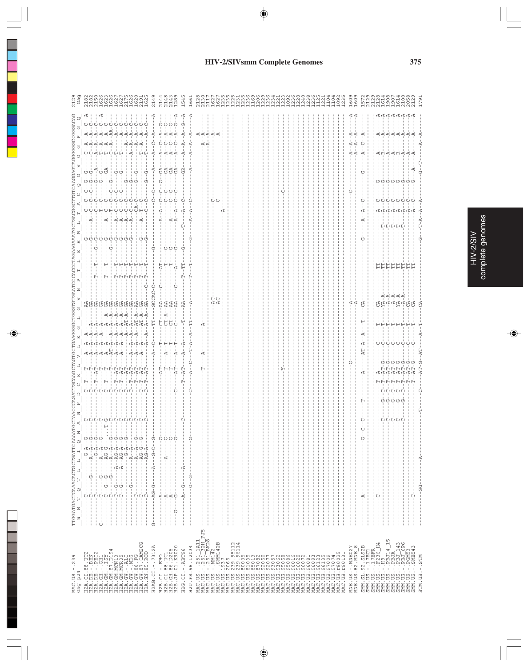| မ္တ<br>ě |
|----------|
|----------|

ő.

| 212                                                | U<br><b>UUUUUUUUUU</b><br>↻                                                                                                                                                                                                                                                                                                                  | 214                                                                                  | $\infty$<br>11100<br>めめめめ                                                                                                        | 54<br>ひ                                     | $\circ$<br>$\circ$                   | $101010 + 101001000000$<br><b>N</b> 6 8 6 8 6 70<br>HNNMMNMMMWONMMNNMMNMMNNNOOMM<br>HWWNNNNNHNNNNNNNONNNNNHNHHON                                                                                                                                                                                                                                                        |               | $\overline{\circ}$<br>$\circ$ | $\alpha$ on $\alpha$ $\alpha$<br>nundoodomn                                                                                                |   |                                              | $\infty$ r<br>みみみみみみみ                                   |    |            |
|----------------------------------------------------|----------------------------------------------------------------------------------------------------------------------------------------------------------------------------------------------------------------------------------------------------------------------------------------------------------------------------------------------|--------------------------------------------------------------------------------------|----------------------------------------------------------------------------------------------------------------------------------|---------------------------------------------|--------------------------------------|-------------------------------------------------------------------------------------------------------------------------------------------------------------------------------------------------------------------------------------------------------------------------------------------------------------------------------------------------------------------------|---------------|-------------------------------|--------------------------------------------------------------------------------------------------------------------------------------------|---|----------------------------------------------|---------------------------------------------------------|----|------------|
| URURUUDUUUUUUURHURU<br>てり                          | AAAAAAAAAA<br>К<br>みみみみみ<br>AAAA<br>1<br>÷<br>ひみててひてて<br>$\mathbb{R}$<br>нн<br>ቀቀፈዋՁ   ቀቀ<br>ひ<br>$\mathbf{1}$<br>ひ                                                                                                                                                                                                                          | A<br>U<br>Æ                                                                          | A A A<br>ひひひひ<br>AAAA<br>SSS<br>F                                                                                                | K.<br>뜡                                     | Æ                                    | RARA<br>$\triangle$ $\triangle$                                                                                                                                                                                                                                                                                                                                         |               | K,<br>К<br>К<br>К<br>K.       | К<br>U<br>$\mathcal{A}$                                                                                                                    |   |                                              | RAARAAA<br>みRAARAA                                      |    |            |
|                                                    | ひ じ ひ ひ じ<br>・・ひひひ<br>ひ<br>oo i i i ooo<br><b>UUUUUUU</b><br>$\cup$<br>ũ<br>ひトひひひ<br>↻⊢<br>◡<br>$\vdash$<br>К<br>K,<br>$A \nsubseteq A$<br>К                                                                                                                                                                                                 | U                                                                                    | ひ<br>UUUU<br><b>UU</b><br>υU<br>Æ<br>Æ<br>$\mathcal{A}$                                                                          |                                             |                                      | U                                                                                                                                                                                                                                                                                                                                                                       |               |                               | U<br>K.                                                                                                                                    |   |                                              | ひひひひひひひひ<br><b>UUUUUU</b><br>RARARAA<br><b>I FFFFFF</b> |    | U          |
| CCACCCTAGAAGAAATGCT<br>P T L E F M T               | せせせせせせせせ<br>ひ<br>- ひ ひ<br>$\sim$ 1<br>ひ<br>- 11<br><b>, HHHHHH</b><br>н<br>11111                                                                                                                                                                                                                                                             | ひ                                                                                    | - ២២២<br>보보던<br>K.                                                                                                               |                                             |                                      |                                                                                                                                                                                                                                                                                                                                                                         |               |                               |                                                                                                                                            |   |                                              |                                                         |    |            |
|                                                    | <b>H</b> LEEEEEEE<br>$\cup$<br><b>SSSSSSSS</b><br>GA <sub>3</sub><br>යි<br>$\begin{array}{c}\n -A \\  -A \\  -A\n \end{array}$                                                                                                                                                                                                               | U<br>GCCA<br>튭                                                                       | U<br><b>AAAA</b><br>$\frac{1}{2}$<br>5555                                                                                        | $\mathsf{H}$                                |                                      |                                                                                                                                                                                                                                                                                                                                                                         |               |                               | S                                                                                                                                          |   |                                              | <b>66666666</b>                                         |    |            |
|                                                    | ÷<br>A. A. A. A. A. A. A. A. A. A. A.<br>AAAAAAAA AAAA C TTTT<br>$AAAAAA$ $AA$                                                                                                                                                                                                                                                               | К                                                                                    | K.<br>К<br>났는 다 났                                                                                                                | K.                                          |                                      | К<br>⊢                                                                                                                                                                                                                                                                                                                                                                  |               |                               | К                                                                                                                                          |   |                                              | <u>UUUUUUU</u><br>せせせせせせ<br>i HHHHHHH<br>AAAAAAAA       |    |            |
|                                                    | UUUUUUUU<br>υU<br>UUUUUUUUUUU                                                                                                                                                                                                                                                                                                                |                                                                                      |                                                                                                                                  |                                             |                                      |                                                                                                                                                                                                                                                                                                                                                                         |               |                               |                                                                                                                                            |   |                                              | 8888888<br>ひひひひひ<br>ひひひひひ<br>ひひひひ                       |    |            |
|                                                    | $\frac{1}{\sqrt{2}}$<br><br>リー<br>リ<br>f,<br>$-1 - -1 - -1$<br>$---A---A$<br>$- -G - A$<br>$-1 - -2 - 4 - 8 - 6 - 6$<br>$-7 - A - AG - A$<br>$- -A - AG - A$<br>$- --AG - G$<br>$- -P - P - P$<br>$-1 - -1 - -1$<br>$-1 - -2 - 2$<br>$\mathbf{I}$<br>$\mathbf{I}$                                                                            | $C - C$<br>$C - C - C - C - C$                                                       | $\ddot{\phi}$ $\ddot{\phi}$ $\ddot{\phi}$<br>$\ddot{\phi}$<br>ł<br>ţ<br>$---A--$<br>$\frac{1}{1}$<br>$\mathbf I$<br>ł<br>ŧ<br>ł. | $\mathbf{I}$<br>$\mathbb{I}$<br>$\mathbf I$ | $\ddot{\circ}$<br>$\frac{1}{1}$<br>ŧ | $\mathbf{I}$<br>j.<br>ŧ                                                                                                                                                                                                                                                                                                                                                 |               |                               | $rac{1}{\sqrt{2}}$<br>1<br>J.<br>$\mathsf I$                                                                                               |   |                                              |                                                         |    | ٠          |
| TTGGATGACTCAAACACTGCTGATTCAAA<br>W M T Q T L L I Q | $\mathbf{I}$<br>$\mathbf I$<br>$\mathbf I$<br>$\mathbf{I}$<br>$\frac{1}{2}$<br>÷<br>$\frac{1}{2}$<br>$\frac{1}{2}$<br>$\frac{1}{1}$<br>ł<br>$\mathbf{I}$<br>$\mathbf I$<br>$\frac{1}{1}$<br>Î<br>$\sf I$<br>$\frac{1}{4}$<br>J.<br>f,<br>$\,$ I<br>-<br>1<br>$\mathsf I$<br>$\overline{C}$<br>$\mathsf I$<br>$\mathsf I$<br>$\mathbf I$<br>ı | $- -3G - G - -$<br>$\mathbf{I}$<br>ı<br>$\mathbf{I}$<br>$\mathbb{I}$<br>$\mathbf{I}$ | ţ<br>$\mathsf I$<br>$-9 - -$<br>$\frac{1}{1}$<br>$\frac{1}{4}$<br>$\mathbf{I}$<br>$\mathsf I$<br>$\mathbf{I}$                    | Ť<br>$\frac{1}{1}$                          | f,<br>j<br>ţ                         | $\mathbf{I}$<br>$\,$ $\,$<br>$\frac{1}{2}$<br>$\frac{1}{2}$<br>$\frac{1}{1}$<br>$\overline{\phantom{a}}$<br>$\,$ $\,$<br>$\frac{1}{1}$<br>÷.<br>$\frac{1}{1}$<br>$\frac{1}{1}$<br>$\overline{\phantom{a}}$<br>J.<br>٠<br>$\frac{1}{1}$<br>f,<br>$\mathbf{I}$<br>$\mathbf I$<br>I.<br>f,<br>$\blacksquare$<br>$\mathbf I$<br>$\mathbf I$<br>$\mathsf I$<br>$\mathfrak l$ | $\frac{1}{1}$ | $\frac{1}{1}$<br>f,           | -------<br>$\frac{1}{1}$<br>$\frac{1}{1}$<br>ı<br>$\mathsf I$<br>t<br>J.<br>$\,$ I<br>٠<br>1<br>$\mathsf I$<br>$\mathbf{I}$<br>$\mathbf I$ | ł | $\frac{1}{1}$<br>J<br>$\,$ I<br>$\mathbf{I}$ | 1                                                       | J, | $-1 - 1 -$ |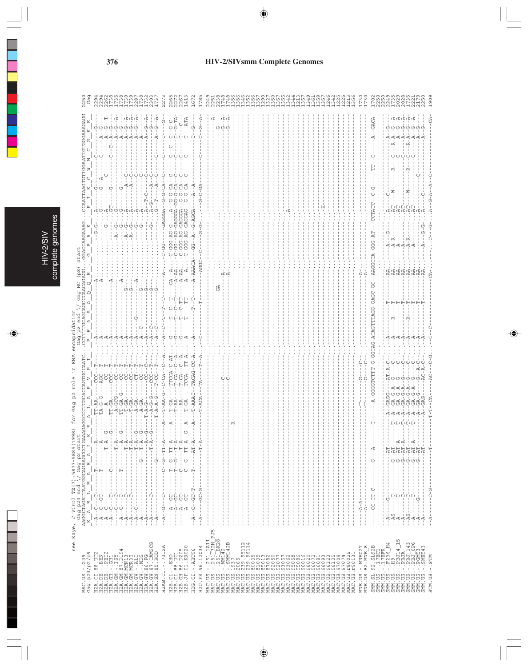see Kaye, J Virol 72(7):5877-5885(1998) for Gag p2 role in RNA encapsidation<br>Gag NC (p8) start

| MAC.US.-.239<br>Gag p24/p2/p9                                                                                                                                                                                                                                                                                                                                                                                           | SGAATTGUAAAAGG<br>$\mathbb{F}$<br>CAATTAAGT<br>$\circ$<br>O<br><i>ded plat</i> end <i>\/</i> ced planet<br>AAGGCTAGATTAATGGCAGAAGCCCTGF<br>_K_A_R_L_M_A_E_A_L_                                                                                                                                                                                                                                  |
|-------------------------------------------------------------------------------------------------------------------------------------------------------------------------------------------------------------------------------------------------------------------------------------------------------------------------------------------------------------------------------------------------------------------------|-------------------------------------------------------------------------------------------------------------------------------------------------------------------------------------------------------------------------------------------------------------------------------------------------------------------------------------------------------------------------------------------------|
|                                                                                                                                                                                                                                                                                                                                                                                                                         | -1. 1                                                                                                                                                                                                                                                                                                                                                                                           |
|                                                                                                                                                                                                                                                                                                                                                                                                                         | ひ                                                                                                                                                                                                                                                                                                                                                                                               |
|                                                                                                                                                                                                                                                                                                                                                                                                                         | <b>いじ</b><br>ひ<br>⊄ひ⊄ひ<br>K.<br>Ġ                                                                                                                                                                                                                                                                                                                                                               |
|                                                                                                                                                                                                                                                                                                                                                                                                                         | Ġ                                                                                                                                                                                                                                                                                                                                                                                               |
|                                                                                                                                                                                                                                                                                                                                                                                                                         |                                                                                                                                                                                                                                                                                                                                                                                                 |
|                                                                                                                                                                                                                                                                                                                                                                                                                         | ひ<br>ひひむむむ                                                                                                                                                                                                                                                                                                                                                                                      |
|                                                                                                                                                                                                                                                                                                                                                                                                                         | $\triangle$ $\triangle$<br>Æ                                                                                                                                                                                                                                                                                                                                                                    |
|                                                                                                                                                                                                                                                                                                                                                                                                                         | ч<br><b>ひ ひ</b><br>Ŕ,<br>てり                                                                                                                                                                                                                                                                                                                                                                     |
|                                                                                                                                                                                                                                                                                                                                                                                                                         | К,                                                                                                                                                                                                                                                                                                                                                                                              |
|                                                                                                                                                                                                                                                                                                                                                                                                                         | ď<br>↻<br>$A - G$<br>ひ                                                                                                                                                                                                                                                                                                                                                                          |
|                                                                                                                                                                                                                                                                                                                                                                                                                         | $\Delta$<br>Ο<br>4<br>Ĥ<br><b>ひぴ</b>                                                                                                                                                                                                                                                                                                                                                            |
| $\begin{array}{ll} \rm H2A,\,C1.\,88,\,UC2\\ \rm H2A,\,DB\,--\,EBIN\\ \rm H2A,\,CH\,--\,GL1\\ \rm H2A,\,CH\,--\,GL2\\ \rm H2A,\,CN\,--\,GL3\\ \rm H2A,\,CN\,--\,GL4\\ \rm H2A,\,CN\,--\,GL5\\ \rm H2A,\,GN\,--\,MC\\ \rm H2A,\,GN\,--\,MC\\ \rm H2A,\,GN\,--\,MD\\ \rm H2A,\,GN\,--\,MD\\ \rm H2A,\,GN\,--\,MC\\ \rm H2A,\,GN\,--\,MC\\ \rm H2A,\,GN\$                                                                  | $-4 - 4$<br>せせせせ<br>ΰò<br>$-2 - 3 - 4$<br>Ė<br>$\begin{array}{l} -\frac{1}{2}A-1C-1C-1-\frac{1}{2}C-1-\frac{1}{2}C-1-\frac{1}{2}C-1-\frac{1}{2}C-1-\frac{1}{2}C-1-\frac{1}{2}C-1-\frac{1}{2}C-1-\frac{1}{2}C-1-\frac{1}{2}C-1-\frac{1}{2}C-1-\frac{1}{2}C-1-\frac{1}{2}C-1-\frac{1}{2}C-1-\frac{1}{2}C-1-\frac{1}{2}C-1-\frac{1}{2}C-1-\frac{1}{2}C-1-\frac{1}{2}C-1-\frac{1}{2}C-1-\frac{1}{2$ |
|                                                                                                                                                                                                                                                                                                                                                                                                                         | à<br>Ą                                                                                                                                                                                                                                                                                                                                                                                          |
| $-.7312A$<br>H2AB.CI.                                                                                                                                                                                                                                                                                                                                                                                                   | 227<br>Ġ<br>U<br>F<br>ᄳ<br>$\mathfrak{r}$ :<br>C-CA<br>$T - PAA$                                                                                                                                                                                                                                                                                                                                |
|                                                                                                                                                                                                                                                                                                                                                                                                                         | 92<br>◡<br><b>TTCCP</b><br>ලි                                                                                                                                                                                                                                                                                                                                                                   |
|                                                                                                                                                                                                                                                                                                                                                                                                                         | -0-5-5<br>-0-5<br><b>UU</b><br>υU<br>$A - AA$<br>$-CA$                                                                                                                                                                                                                                                                                                                                          |
| H2B.CI.-.EHO<br>H2B.CI.88.UC1<br>H2B.GH.86.D205<br>H2B.JP.01.KR020                                                                                                                                                                                                                                                                                                                                                      | 226<br>141<br>$-2$<br>$-2$ $-2$<br>U<br>てり<br>$A - A$<br>$A - A$<br>đ                                                                                                                                                                                                                                                                                                                           |
|                                                                                                                                                                                                                                                                                                                                                                                                                         | O<br>ひ<br>έ<br>TCCA-<br>$-GA$                                                                                                                                                                                                                                                                                                                                                                   |
| H2G.CI. - . ABT96                                                                                                                                                                                                                                                                                                                                                                                                       | 5<br>TACAG<br>AAAC<br>$-AT - A$<br>$\,$                                                                                                                                                                                                                                                                                                                                                         |
| 6.12034<br>H2U. FR. 9                                                                                                                                                                                                                                                                                                                                                                                                   | ひ<br>Ò<br>U<br>AGGC<br>$T - A$                                                                                                                                                                                                                                                                                                                                                                  |
|                                                                                                                                                                                                                                                                                                                                                                                                                         |                                                                                                                                                                                                                                                                                                                                                                                                 |
| PJ5                                                                                                                                                                                                                                                                                                                                                                                                                     | ÷                                                                                                                                                                                                                                                                                                                                                                                               |
|                                                                                                                                                                                                                                                                                                                                                                                                                         | ÷                                                                                                                                                                                                                                                                                                                                                                                               |
|                                                                                                                                                                                                                                                                                                                                                                                                                         | 4<br>υ<br>$\mathbf{I}$                                                                                                                                                                                                                                                                                                                                                                          |
|                                                                                                                                                                                                                                                                                                                                                                                                                         | К<br>τı                                                                                                                                                                                                                                                                                                                                                                                         |
|                                                                                                                                                                                                                                                                                                                                                                                                                         |                                                                                                                                                                                                                                                                                                                                                                                                 |
|                                                                                                                                                                                                                                                                                                                                                                                                                         |                                                                                                                                                                                                                                                                                                                                                                                                 |
|                                                                                                                                                                                                                                                                                                                                                                                                                         |                                                                                                                                                                                                                                                                                                                                                                                                 |
|                                                                                                                                                                                                                                                                                                                                                                                                                         |                                                                                                                                                                                                                                                                                                                                                                                                 |
|                                                                                                                                                                                                                                                                                                                                                                                                                         |                                                                                                                                                                                                                                                                                                                                                                                                 |
|                                                                                                                                                                                                                                                                                                                                                                                                                         |                                                                                                                                                                                                                                                                                                                                                                                                 |
|                                                                                                                                                                                                                                                                                                                                                                                                                         |                                                                                                                                                                                                                                                                                                                                                                                                 |
|                                                                                                                                                                                                                                                                                                                                                                                                                         |                                                                                                                                                                                                                                                                                                                                                                                                 |
|                                                                                                                                                                                                                                                                                                                                                                                                                         |                                                                                                                                                                                                                                                                                                                                                                                                 |
|                                                                                                                                                                                                                                                                                                                                                                                                                         |                                                                                                                                                                                                                                                                                                                                                                                                 |
|                                                                                                                                                                                                                                                                                                                                                                                                                         |                                                                                                                                                                                                                                                                                                                                                                                                 |
|                                                                                                                                                                                                                                                                                                                                                                                                                         |                                                                                                                                                                                                                                                                                                                                                                                                 |
|                                                                                                                                                                                                                                                                                                                                                                                                                         |                                                                                                                                                                                                                                                                                                                                                                                                 |
|                                                                                                                                                                                                                                                                                                                                                                                                                         |                                                                                                                                                                                                                                                                                                                                                                                                 |
|                                                                                                                                                                                                                                                                                                                                                                                                                         |                                                                                                                                                                                                                                                                                                                                                                                                 |
|                                                                                                                                                                                                                                                                                                                                                                                                                         |                                                                                                                                                                                                                                                                                                                                                                                                 |
|                                                                                                                                                                                                                                                                                                                                                                                                                         | LO LO LO                                                                                                                                                                                                                                                                                                                                                                                        |
|                                                                                                                                                                                                                                                                                                                                                                                                                         |                                                                                                                                                                                                                                                                                                                                                                                                 |
|                                                                                                                                                                                                                                                                                                                                                                                                                         |                                                                                                                                                                                                                                                                                                                                                                                                 |
|                                                                                                                                                                                                                                                                                                                                                                                                                         |                                                                                                                                                                                                                                                                                                                                                                                                 |
|                                                                                                                                                                                                                                                                                                                                                                                                                         |                                                                                                                                                                                                                                                                                                                                                                                                 |
|                                                                                                                                                                                                                                                                                                                                                                                                                         |                                                                                                                                                                                                                                                                                                                                                                                                 |
|                                                                                                                                                                                                                                                                                                                                                                                                                         |                                                                                                                                                                                                                                                                                                                                                                                                 |
|                                                                                                                                                                                                                                                                                                                                                                                                                         | $QQ \rightarrow Q$                                                                                                                                                                                                                                                                                                                                                                              |
|                                                                                                                                                                                                                                                                                                                                                                                                                         |                                                                                                                                                                                                                                                                                                                                                                                                 |
| $\sim \infty$<br>MNE.US. - .MNE02<br>MNE.US. 82.MNE                                                                                                                                                                                                                                                                                                                                                                     | $\mathsf I$                                                                                                                                                                                                                                                                                                                                                                                     |
|                                                                                                                                                                                                                                                                                                                                                                                                                         | $\mathbf{L}$<br>$\mathbf{I}$<br>$\mathbf I$                                                                                                                                                                                                                                                                                                                                                     |
|                                                                                                                                                                                                                                                                                                                                                                                                                         | GACA<br>4<br>-AAGGG-AUUDOG-<br><b>CAGC</b><br>UUAHHHUAUA-UAUUU-<br>Ο<br>-GGGGTCTTT<br>÷                                                                                                                                                                                                                                                                                                         |
| $\begin{array}{l} \mathbf{SIMM}, \ \mathbf{51.92.51.92B} \\ \mathbf{SIMM}, \ \mathbf{US} : \ \cdot \ 1.7 \ \mathbf{EC1} \\ \mathbf{SIMM}, \ \mathbf{US} : \ \cdot \ 1.7 \ \mathbf{25.6} \\ \mathbf{SIMM}, \ \mathbf{US} : \ \cdot \ 1.7 \ \mathbf{25.76} \\ \mathbf{SIMM}, \ \mathbf{US} : \ \cdot \ 1.9 \\ \mathbf{SIMM}, \ \mathbf{US} : \ \cdot \ 1.9 \\ \mathbf{SIMM}, \ \mathbf{US} : \ \cdot \ 1.9 \ \mathbf{BJJ$ | O M M 4 M N N M N N N<br>D N N N D O D N N H<br>- 1<br>$\mathbb{I}$<br>$\frac{1}{4}$<br>$\mathbf{I}$<br>J<br>J.<br>f,                                                                                                                                                                                                                                                                           |
|                                                                                                                                                                                                                                                                                                                                                                                                                         | Ã<br>$\mathbf{I}$                                                                                                                                                                                                                                                                                                                                                                               |
|                                                                                                                                                                                                                                                                                                                                                                                                                         | ひひひひ<br>K.<br>$\alpha$<br>Ŕ<br>$A \land A$                                                                                                                                                                                                                                                                                                                                                      |
| LO                                                                                                                                                                                                                                                                                                                                                                                                                      | 4<br>ひひ                                                                                                                                                                                                                                                                                                                                                                                         |
|                                                                                                                                                                                                                                                                                                                                                                                                                         | $\rightarrow \sim \sim$<br>U<br>AA<br>$A \land A$                                                                                                                                                                                                                                                                                                                                               |
|                                                                                                                                                                                                                                                                                                                                                                                                                         | $\overline{A}$ $\overline{A}$<br>ĸ<br>U<br>AA<br>ά<br>$A \land A$<br>めめめめ<br>RARA<br>$GA - G - I$<br>$GA - G - I$<br>$GA - G - I$<br>$GA - G - I$<br>A                                                                                                                                                                                                                                          |
|                                                                                                                                                                                                                                                                                                                                                                                                                         | もももも<br>てり<br>$\dot{c}$<br>К<br><b>ひひひひひひ</b><br><u>             </u><br>Ť                                                                                                                                                                                                                                                                                                                      |
|                                                                                                                                                                                                                                                                                                                                                                                                                         | $\overline{A}$ $\overline{A}$<br>Ŕ,<br>てり<br>Ó<br>K.<br>$\blacksquare$<br>$\frac{1}{2}$                                                                                                                                                                                                                                                                                                         |
|                                                                                                                                                                                                                                                                                                                                                                                                                         | d<br>AC<br>$\overline{\phantom{a}}$<br>$\frac{1}{1}$<br>$\overline{\phantom{a}}$<br>$\mathbf{I}$                                                                                                                                                                                                                                                                                                |
| <b>STM</b><br>Ŗ<br>STM.US                                                                                                                                                                                                                                                                                                                                                                                               | 190<br>$\overline{\phantom{a}}$<br>J.<br>$C-C$<br>Ť<br>$\,$<br>$\,$<br>f,<br>$- - A$                                                                                                                                                                                                                                                                                                            |
|                                                                                                                                                                                                                                                                                                                                                                                                                         |                                                                                                                                                                                                                                                                                                                                                                                                 |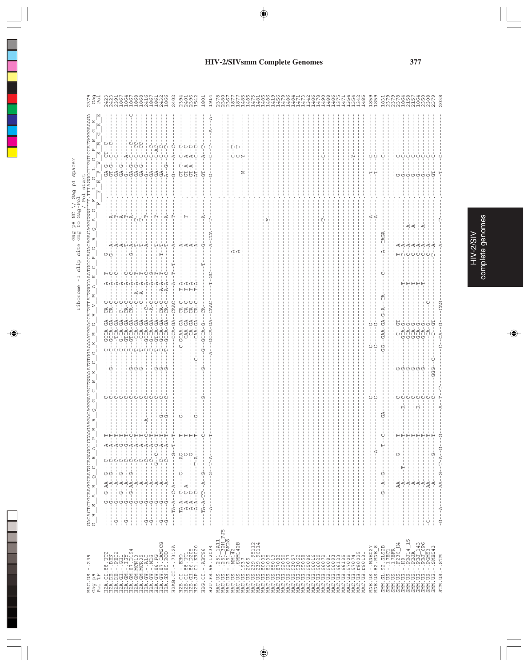| ٠,<br>Ē<br>黑<br>٠, |
|--------------------|
|--------------------|

<u>ထိ</u>

|                                                                          | 2379<br>Gaq<br>Pol                                                                                                                                                                                                       |                                                                                                                                                                                                                                                                                                                                                                                                                                                                                                                                                                                                                                                                                                                                                                                                       | 2402<br>2401<br>23942<br>1542<br>2394<br>1801                                                                                                                                                                                                                                                                | σ<br>৩<br>Ō<br>৩<br>$\infty$<br>$\circ$<br>$\infty$<br>O<br>w<br>1859<br>1859<br>780077<br>49<br>$440$<br>$700$<br>மம்<br>191<br>88878888157<br>444<br>4<br>487<br>47.<br>348<br>$\frac{3}{2}$<br>4                                                                                                                                                                                                                                                                                                                                                                                                                                                                                                                                                                                                                                                                                                                                                                                                                                                                                                                                                                                                                                                                                                                                                                                                                                                                            |
|--------------------------------------------------------------------------|--------------------------------------------------------------------------------------------------------------------------------------------------------------------------------------------------------------------------|-------------------------------------------------------------------------------------------------------------------------------------------------------------------------------------------------------------------------------------------------------------------------------------------------------------------------------------------------------------------------------------------------------------------------------------------------------------------------------------------------------------------------------------------------------------------------------------------------------------------------------------------------------------------------------------------------------------------------------------------------------------------------------------------------------|--------------------------------------------------------------------------------------------------------------------------------------------------------------------------------------------------------------------------------------------------------------------------------------------------------------|--------------------------------------------------------------------------------------------------------------------------------------------------------------------------------------------------------------------------------------------------------------------------------------------------------------------------------------------------------------------------------------------------------------------------------------------------------------------------------------------------------------------------------------------------------------------------------------------------------------------------------------------------------------------------------------------------------------------------------------------------------------------------------------------------------------------------------------------------------------------------------------------------------------------------------------------------------------------------------------------------------------------------------------------------------------------------------------------------------------------------------------------------------------------------------------------------------------------------------------------------------------------------------------------------------------------------------------------------------------------------------------------------------------------------------------------------------------------------------|
| spacer                                                                   | ol start<br>.TTTAGGCCTTGGTCCATGGGGAAAGA<br>⊭<br>ひ<br> ט<br>Z<br>∣≍<br>$\mathbf{\Omega}$<br>တြ<br>ひ<br>$\vert \mathbb{z} \vert$<br>⊐<br>$\mathsf{P}$<br>ひ<br>$\mathbb{H}^{\left \mathbb{R}^2\right }_{\mathbb{C}}$<br>ΙĿ, | ن<br>۱<br>U<br>U<br>$\Gamma$<br>U<br>U<br>Ο<br>$-AC$<br>UH<br>$\overline{\phantom{a}}$<br>$\,$ I<br>F)<br>C<br>K.<br>U<br>◡<br>C<br>$-54-5$<br>먼<br>-<br>$GA-G$<br>$-1 - 5$<br>ロー<br>$GA-G$<br>5<br>$\mathbb{E}$<br>S<br>EA<br>F<br>F<br>ひ                                                                                                                                                                                                                                                                                                                                                                                                                                                                                                                                                            | C<br>◡<br>◡<br>U<br>U<br>⊢<br>$\overline{\phantom{a}}$<br>U<br>К<br>◡<br>К<br>Ŗ<br>↻<br>K,<br>$G-T-A$<br>ن<br>ا<br>GT-C<br>AT<br>5<br>$\overline{A}$<br>Ġ                                                                                                                                                    | -A<br>Н<br>⊢<br>↻<br>U<br>U<br>O<br>U<br>Σ<br>Н<br>н<br>뒹<br>Ġ<br>せせせせせせ                                                                                                                                                                                                                                                                                                                                                                                                                                                                                                                                                                                                                                                                                                                                                                                                                                                                                                                                                                                                                                                                                                                                                                                                                                                                                                                                                                                                       |
| NC \/ Gag p1<br>Gag-Pol<br>p8 NC<br>to Gag<br>gag<br>Gag<br>site<br>slip | Po <sub>1</sub><br>ĮΕ,                                                                                                                                                                                                   | AHAHA<br>TTTTT<br>⊢<br>턱<br>Н<br>Е<br>К<br>K,<br>ΚH<br>RHH<br>К<br>FН<br>ဗှံ ဗှံ<br>ひ<br>탁                                                                                                                                                                                                                                                                                                                                                                                                                                                                                                                                                                                                                                                                                                            | $-1$<br>К<br>۳<br>ΑA<br>ひ<br>$\mathbb H$<br>К<br>K,<br>К<br>Е<br>Н                                                                                                                                                                                                                                           | К<br>К<br>F<br>$-4$<br>$-4$<br>$-4$<br>$A-CCR$<br>$  CAGA$<br><b>AAAAAA</b><br>K,<br>$\blacksquare$<br>$-4$<br>К<br>К<br>POOOOOP                                                                                                                                                                                                                                                                                                                                                                                                                                                                                                                                                                                                                                                                                                                                                                                                                                                                                                                                                                                                                                                                                                                                                                                                                                                                                                                                               |
| $\overline{a}$<br>ribosome                                               |                                                                                                                                                                                                                          | $\overline{\mathbb{H}}$ $\overline{\mathbb{U}}$<br>U<br>U<br>UHH<br>ひ<br>Н<br>υ<br>Н<br>К<br>К<br>К<br>К<br>К<br>К<br>K,<br>A<br>К<br>К<br>К<br>К<br>$- A -$<br>К<br>Ą<br>ن<br>۱<br>$CA-C$<br>U<br>U<br>U<br>U<br>C<br>C<br>$CA -$<br>$-45$<br>්<br>F<br>ΰ<br>U<br>Ŗ<br>$G - CA - GA -$<br>$-CA-GA-$<br>$-CCA-GA$<br>GCCA-GA<br>$-CTCA-GA--GTCA-GA--GR-$<br>GTCA-GA<br>GCCA-GA<br>F<br>$-TCA-GB$<br>යි<br>GCCA-<br>U<br>◡<br>$\mathbb H$<br>$\vdash$<br>U<br>$\mathbb H$<br>U<br>U<br>U<br>C<br>U                                                                                                                                                                                                                                                                                                     | U<br>$\overline{A}$<br>4<br>$\mathbb{T}$ - $\mathbb{A}$<br>$-4$<br>$\mathbb{T}$ - $\mathbb{A}$<br>$T - A$<br>$- A -$<br>$\mathbb{H}$<br>$CA-C$<br>CAAC-<br>$C-A-C$<br>U<br>CA-<br>$CA-C$<br>$CA-C$<br>$CA-$<br>CCA-GA<br>GCCA-GA<br>GCAA-GA<br>$CAA-GA$<br>$-CA-GA$<br>$-CAA - GA$<br>GCCA-G-<br>Ü<br>ひ<br>F | U<br>U<br>Н<br>н<br>н<br>н<br>Н<br>Н<br>$-CA$<br>$-CAPC$<br>-CAG<br>↻<br>$-GAA-GA-G-A$<br>GCCA-GA<br>50-<br>5<br>ė<br>U<br>U<br>$GCA-G$<br>$GCA-G$<br>$GCA-G$<br>ب<br>UA-C<br>ひ<br>$GCA-C$<br>$GCA -$<br>ΰ<br>ΰ<br>$-CA$<br>$-55-$<br>٢<br>U<br>К                                                                                                                                                                                                                                                                                                                                                                                                                                                                                                                                                                                                                                                                                                                                                                                                                                                                                                                                                                                                                                                                                                                                                                                                                              |
|                                                                          |                                                                                                                                                                                                                          | めめめ<br>ひ<br><b>ひ ひ</b><br>ひ<br>Ú<br>U<br>U<br>U<br>U<br>U<br>U<br>U<br>U<br>U<br>U<br>↻<br><b>ツウ</b><br>-A                                                                                                                                                                                                                                                                                                                                                                                                                                                                                                                                                                                                                                                                                            | U<br>ひ<br>C<br>ᄞ<br>ひ<br>Ο                                                                                                                                                                                                                                                                                   | <b>ひ ひ ひ ひ ひ ひ</b><br>ひひひ<br>U<br>C<br>U<br>↻<br>U<br>U<br>К<br>$\approx$<br>$\alpha$<br>S                                                                                                                                                                                                                                                                                                                                                                                                                                                                                                                                                                                                                                                                                                                                                                                                                                                                                                                                                                                                                                                                                                                                                                                                                                                                                                                                                                                     |
|                                                                          | GACACTCTGCAAGGCAATGCAGAGCCCC<br>G H S A R Q C R A P                                                                                                                                                                      | Ŧ<br>Ĩ.<br>Ĩ,<br>Ť<br>ŤΤ<br>Ħ<br>$\frac{1}{4}$<br>Ť<br>$\mathbf I$<br>$-2a - 7$<br>$\begin{array}{c}\n 1 & -1 & -1 & -1 \\  -1 & -1 & -1 & -1 \\  -1 & -1 & -1 & -1 \\  -1 & -1 & -1 & -1 \\  -1 & -1 & -1 & -1 \\  -1 & -1 & -1 & -1 \\  -1 & -1 & -1 & -1 \\  -1 & -1 & -1 & -1 \\  -1 & -1 & -1 & -1 \\  -1 & -1 & -1 & -1 \\  -1 & -1 & -1 & -1 \\  -1 & -1 & -1 & -1 \\  -1 & -1 & -1 & -1 \\  -1 & -1 & -1 & -1 \\  -1 & -1 & -1 & -1 \\  -1 & -1 & -1 & -1 \\  -1 & -1 & -1 & -1 \\  -1 & -1 & -1$<br>$\frac{1}{1}$<br>Ħ<br>$\frac{1}{4}$<br>$-1 - 1$<br>ł<br>$\frac{1}{4}$<br>$-1 - 5$<br>J<br>$\,$<br>$\begin{array}{c} 1 & 1 & 1 \\ 1 & 0 & 0 \\ 1 & 0 & 0 \end{array}$<br>$\overline{\phantom{a}}$<br>$\frac{1}{\sqrt{2}}$<br>$\Gamma = \Gamma$<br>$\mathbf{I}$<br>$\mathbb{I}=\mathbb{I}$ | Ĭ<br>$\blacksquare$<br>$- - \mathbf{C} - \mathbf{C}$<br>$\,$ $\,$<br>$- - -  T - A -$<br>$\frac{1}{4}$<br>Ĵ,<br>11<br>$\mathbf{I}$<br>÷<br>Ť.<br>やーー<br>$\mathbf{I}$<br>$\mathbf{I}$<br>$-4$<br>$---TTA - A - TT$<br>$\mathbf{I}$<br>$\mathsf I$<br>$\mathsf I$                                              | $\frac{1}{1}$<br>$\mathbf{I}$<br>$\frac{1}{1}$<br>---------<br>$\mathbf{I}$<br>٠<br>$\mathbf{I}$<br>$\mathbf{I}$<br>$- - A - -C - -T - A - C$<br>Ţ<br>$-1 - 5 - 1 - 1$<br>$- -G - \underline{T} - \underline{P} - -$<br>$\overset{-}{\circ}$<br>$\frac{1}{1}$<br>$\mathbf I$<br>$\mathbf I$<br>$\frac{1}{4}$<br>$\,$ I<br>$\mathbf{I}$<br>$\mathbf{I}$<br>$- - A A - -$<br>$\frac{1}{4}$<br>ł<br>$-4$<br>ł<br>$\frac{1}{2}$<br>ł<br>$\mathbb{I}$<br>ł<br>$\mathbf{I}$<br>$\mathbf{I}$<br>$\frac{1}{1}$<br>$\mathbf I$<br>$\,$ I<br>$\,$ l<br>$\mathbf I$<br>1<br>$- - A - -$<br>$\frac{1}{1}$<br>$\begin{array}{c} \n\cdot & \cdot & \cdot \\ \n\cdot & \cdot & \cdot \\ \n\cdot & \cdot & \cdot \n\end{array}$<br>t<br>×.<br>$\mathbf{I}$<br>$\mathbf{I}$<br>$\mathbf{I}$<br>$-4$<br>$\mathbf I$<br>$\frac{1}{1}$<br>ţ<br>ţ<br>ţ<br>j<br>$\frac{1}{2}$<br>$\frac{1}{2}$<br>$\frac{1}{2}$<br>$\frac{1}{4}$<br>$\frac{1}{1}$<br>$\frac{1}{4}$<br>$\frac{1}{4}$<br>$\,$ $\,$<br>$\frac{1}{1}$<br>Ť<br>$\,$ I<br>$\,$ I<br>$\,$<br>$\,$<br>$\mathbf{I}$<br>$\,$ I<br>$\,$ I<br>$\,$ I<br>$\,$<br>J.<br>$\blacksquare$<br>÷<br>$\mathbf{I}$<br>$\mathbf{I}$<br>J.<br>$\mathbf{I}$<br>J.<br>$\overline{\phantom{a}}$<br>J.<br>$\,$ I<br>ı<br>J.<br>1<br>$\mathbf{I}$<br>1<br>J.<br>$\,$ I<br>$\frac{1}{4}$<br>φ<br>-<br>1<br>٠<br>$\mathbf{I}$<br>$\mathbf{I}$<br>$\mathbf I$<br>$\mathbf{I}$<br>$\mathsf I$<br>$\mathsf I$<br>$\circlearrowright$<br>$\mathfrak l$<br>$\mathbf{I}$ |
|                                                                          | $\sigma$<br>23<br>$\cdot$<br>$\mathbf{I}$<br>MAC.US.<br>Gag p9<br>Pol TF                                                                                                                                                 | $\begin{array}{l} \rm I2A,\,CL,\,88,\,UC2\\ \rm I2A,\,DB.-IBEN\\ \rm I2A,\,BB.-GBI-1\\ \rm I2A,\,CH.-I-SY\\ \rm I2A,\,CH.-I-SY\\ \rm I2A,\,CH.-I-SY\\ \rm I2A,\,CH, 113\\ \rm I2A,\,CH, 123\\ \rm I2A,\,CH, 123\\ \rm I2A,\,CH, 123\\ \rm I2A,\,CH, 123\\ \rm I2A,\,CH, 123\\ \rm I2A,\,CH, 123\\ \rm I2A,\,CH, 123\\ \rm I2A,\,CH, 123\\ \rm I2A$                                                                                                                                                                                                                                                                                                                                                                                                                                                    | H2B.CI.-.BHO<br>H2B.CI.88.UC1<br>H2B.CH.86.D205<br>H2B.JP.01.KR020<br>$-.7312A$<br>$-.ABT96$<br>H2AB.CI.<br>H2G.CI.                                                                                                                                                                                          | ${}^{\circ}$<br>H2U. FR. 96.12034<br>Γ<br>$-$ . MNE02<br>MNE.US. - . MNE02<br>MNE.US. 82.MNE<br>.STM<br>STM.US                                                                                                                                                                                                                                                                                                                                                                                                                                                                                                                                                                                                                                                                                                                                                                                                                                                                                                                                                                                                                                                                                                                                                                                                                                                                                                                                                                 |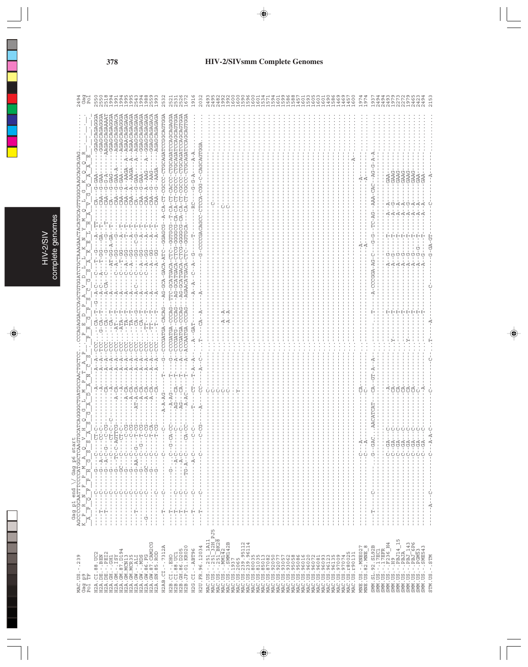| Gag<br>2494<br>Po <sub>1</sub>                                                                                                                                                                                                                                                                                                                                                                                                                                                                                                                                                                                                                                                                                                                                                                                                                                                                                                                                                                                                                                                                                                                                                       | 2532<br>2521<br>25225<br>2525<br>2527                                                                                                                                                       | 1916<br>2032                                                                                             | 2495<br>482<br>992                                                                                                                                                                                                 | $00000$<br>$00000$<br>600 |                                                                                                                                                                             | 469<br>$-469$<br>$-457$<br>1600                                                                                                                                                                                                                                                                                                                                                                                      | 974<br>974                                           | エムようのうろのちろうようとしらしていているとももらっともももうとうもんようとうようとうとうとうとう                                                                                                                     |                                                       |
|--------------------------------------------------------------------------------------------------------------------------------------------------------------------------------------------------------------------------------------------------------------------------------------------------------------------------------------------------------------------------------------------------------------------------------------------------------------------------------------------------------------------------------------------------------------------------------------------------------------------------------------------------------------------------------------------------------------------------------------------------------------------------------------------------------------------------------------------------------------------------------------------------------------------------------------------------------------------------------------------------------------------------------------------------------------------------------------------------------------------------------------------------------------------------------------|---------------------------------------------------------------------------------------------------------------------------------------------------------------------------------------------|----------------------------------------------------------------------------------------------------------|--------------------------------------------------------------------------------------------------------------------------------------------------------------------------------------------------------------------|---------------------------|-----------------------------------------------------------------------------------------------------------------------------------------------------------------------------|----------------------------------------------------------------------------------------------------------------------------------------------------------------------------------------------------------------------------------------------------------------------------------------------------------------------------------------------------------------------------------------------------------------------|------------------------------------------------------|------------------------------------------------------------------------------------------------------------------------------------------------------------------------|-------------------------------------------------------|
| GUUUAUAUUUU<br>AGAGCAGAGAGA<br>GGAGAGAGGG<br>AGAGCAGAGACZ<br>AGAGCAGAGGG<br>GGAGCAGAGACZ<br>-A--AGAACAGAGAGZ<br>-A--AGAGAGAGAG<br>GGAGCAGAGAGE<br>GGAGCAGAGAGE<br>$-AGAACORGAGAGAGG$<br>AAGAGCAGAAAA<br><b>COACACACAC</b>                                                                                                                                                                                                                                                                                                                                                                                                                                                                                                                                                                                                                                                                                                                                                                                                                                                                                                                                                            | AUUHUAUUAUUHAUAUUHU –<br>CTGCAGATCCAGCAGAGGA                                                                                                                                                |                                                                                                          |                                                                                                                                                                                                                    |                           |                                                                                                                                                                             |                                                                                                                                                                                                                                                                                                                                                                                                                      |                                                      |                                                                                                                                                                        |                                                       |
| $\alpha$<br>回<br>$-5 -$<br>$-4-$<br>O<br>К<br>AAGA<br>--AAGA<br>$-CAA - A$<br>$-$ AAG<br>O<br>$-AAG$<br>К                                                                                                                                                                                                                                                                                                                                                                                                                                                                                                                                                                                                                                                                                                                                                                                                                                                                                                                                                                                                                                                                            | AUUHUAUUAUUHAUAUUHU –<br>AGGHOACOACOLAGACOHO - UUUUO                                                                                                                                        | $-4 - A$                                                                                                 |                                                                                                                                                                                                                    |                           |                                                                                                                                                                             |                                                                                                                                                                                                                                                                                                                                                                                                                      | К<br>К                                               | AAA-CAC--AC-A-A<br>GAAG<br>GAAG<br><b>GAAG</b><br>GAA                                                                                                                  | <b>GAAG</b><br>GAAG<br>GAA<br>GAA                     |
| $- -A - PAGA$<br>$-$ GAA<br>$G - G A A$<br>$-GAA$<br>$-$ GAA<br>$-$ GAG<br>$-GAA$<br>$-5-5$<br>×<br>ť<br>$\circ$<br>ロー<br>$\overline{A}$<br>Ö<br>$\frac{1}{\sqrt{2}}$<br>ウーー<br>ن<br>ا<br>ಲ<br>ひ<br>К<br>ပု<br>Ü<br>U<br>CAA-<br>CAA.<br>CAA.<br>CAA<br>CAA<br>CAA<br>CAA<br>CAA<br>CAA<br>CAA<br>$CA -$<br>Ĥ<br>Ś<br>S<br>⊳<br>$\circ$<br>К                                                                                                                                                                                                                                                                                                                                                                                                                                                                                                                                                                                                                                                                                                                                                                                                                                         | RPORROPODDERPROPED-DDDPD-FD-KD-K-<br>CACCC<br>しししひ<br><b>COCC</b><br>CA-CT<br>$-CA-CT$                                                                                                      | 4505545547-5-555-4555-5555-55554555555-5<br>$-6 - 5 - 2 -$<br>-RC                                        | U<br>U<br>€                                                                                                                                                                                                        |                           |                                                                                                                                                                             |                                                                                                                                                                                                                                                                                                                                                                                                                      |                                                      | К<br>ひ<br>К<br>К<br>$\mathbf{I}$<br>₫<br>K,                                                                                                                            | ひ<br>A,<br>К<br>К<br>みみみみみみ                           |
| Σ<br>H<br>Ë<br>투<br>Н<br>Н<br>턱<br>F<br>≻<br>-A<br>무<br>$-4$<br>F<br>ひ<br>$\vec{A} =$<br>$\mathop{\mathsf{A}}\nolimits_{\mathsf{I}}\mathop{\mathsf{C}}\nolimits_{\mathsf{I}}$<br>Ŗ<br>Ŗ<br>Ą-<br>Z<br>回                                                                                                                                                                                                                                                                                                                                                                                                                                                                                                                                                                                                                                                                                                                                                                                                                                                                                                                                                                              | $-CCGGGC + CA - CA - CA - C1$<br>UU-KU-KU-UUUUU<br>$\vdash$<br>-GGAGCG<br>GGLGCG<br>GGTGCA                                                                                                  | Ĥ                                                                                                        |                                                                                                                                                                                                                    |                           |                                                                                                                                                                             |                                                                                                                                                                                                                                                                                                                                                                                                                      | К<br>К                                               | $-TC-AG$<br>$-5 - 0$<br>⊢<br>н<br>è<br>Ĥ                                                                                                                               | Ĥ<br>Ĥ<br>Ĥ<br>۳                                      |
| AT-GG-A-GA<br>×<br>ಀಁ<br>$\frac{1}{2}$<br><br>სე<br>!<br>Ġ<br>$-T-CG$<br>Ğ<br>9<br>9<br>⊭<br>9<br>99<br>99<br>U)<br>U<br>U)<br>U<br>크<br>H<br>E<br>$-A-$<br>A<br>К<br>Ą<br>К<br>Ą<br>Ą<br>К<br>$\overline{a}$<br>J,<br>$\mathbf{I}$<br>J.<br>ΙW.<br>U<br>К<br>U<br>U<br>U<br>↻<br>∪<br>U<br>↻<br>U<br>$\Box$<br>Ü                                                                                                                                                                                                                                                                                                                                                                                                                                                                                                                                                                                                                                                                                                                                                                                                                                                                    | AG-GCATGACA-CTCG-<br>-AG-GCATGACA-CTCG<br>-AGAACATGACA-CTC-<br>-AG-GA-GACA-ATC<br>-TTC-GCATGACA-CTC                                                                                         | ပ္ပံ<br>$-4$<br>ن                                                                                        |                                                                                                                                                                                                                    |                           |                                                                                                                                                                             |                                                                                                                                                                                                                                                                                                                                                                                                                      |                                                      | U<br>ひ<br>ひ<br>ひ<br>A-CCCGA-AG<br>К<br>K.<br>K,                                                                                                                        | ひ<br><b>ひ ひ ひ</b><br><b>ひ ウ</b><br>AAAA               |
| $C_A$<br>$-4$<br>⋗<br>Ć<br>U<br>$\mathbf{I}$<br>U<br>К<br>RARA<br>К<br>₫<br>К<br>K,<br>K.<br>К<br>4<br>ΙW.<br>υ<br>$\mathbf{\Omega}$<br>$\overline{P}$<br>Ė<br>부<br>۲<br>ا<br>υ<br>텃<br>e<br>$\Box$                                                                                                                                                                                                                                                                                                                                                                                                                                                                                                                                                                                                                                                                                                                                                                                                                                                                                                                                                                                  | - CCCAG                                                                                                                                                                                     | $\dot{A}$<br>$-A$ -<br>К                                                                                 | $-4$<br>К                                                                                                                                                                                                          |                           |                                                                                                                                                                             |                                                                                                                                                                                                                                                                                                                                                                                                                      |                                                      | ⊢<br>E<br>E<br>Н<br>E                                                                                                                                                  | е                                                     |
| U<br>Ś<br>S<br><b>ATA</b><br>TA.<br>TA<br>g<br>F<br>đ<br>E<br>$AT-$<br>÷<br>囸<br>ıα<br>$\mathbf{\Omega}$<br>۱۵۰<br>š<br>š<br>š<br>50<br>5C<br>U<br>U<br>š<br>U<br>U<br>U<br>U<br>š<br>g<br>y<br>g<br>Ū<br>U<br>↻<br>◡                                                                                                                                                                                                                                                                                                                                                                                                                                                                                                                                                                                                                                                                                                                                                                                                                                                                                                                                                                | CCCCATGA-CACAG<br>ACCAATGA-CCCAG<br>CCCCATGA-CCAG<br>CCCCATGA-CCCAG<br>CCCGATG-                                                                                                             | $-CA - -A$<br>$-GRT$ -<br>$\overline{A}$ .<br>Ė                                                          | К<br>К                                                                                                                                                                                                             |                           |                                                                                                                                                                             |                                                                                                                                                                                                                                                                                                                                                                                                                      |                                                      |                                                                                                                                                                        |                                                       |
| $\mathbf{\Omega}$<br>lω<br>$\begin{array}{c}\n - A \\  - A \\  - A\n \end{array}$<br>$-4$<br>$-4$<br>К<br>Ą<br>К<br>$-4$<br>Æ<br>K,<br>К<br>К<br>U<br>$A \land A$<br>Ą<br>Ą<br>Æ<br>K,<br>A<br>Ą<br>R<br>-A<br>K.<br>A<br>E<br>Þ<br>$\mathbf{\Omega}$                                                                                                                                                                                                                                                                                                                                                                                                                                                                                                                                                                                                                                                                                                                                                                                                                                                                                                                                | Ü<br>4<br>$\mathbb{A} \, \mathbb{A}$<br>ひ<br>Н<br>Н<br>FН<br>⊢                                                                                                                              | U<br>$-4$<br>$\overline{A}$<br>$T - A$                                                                   |                                                                                                                                                                                                                    |                           |                                                                                                                                                                             |                                                                                                                                                                                                                                                                                                                                                                                                                      |                                                      | $-1$<br>$\vec{A}$<br>5                                                                                                                                                 |                                                       |
| GCATCACOGCTGATUSSONTGL<br>$\overline{c}$<br>К<br>К<br>S<br>Ą<br>ි<br>К<br>$\mathfrak{S}$<br>E<br>$\mathfrak{S}$<br>g<br>G<br>F<br>Σ<br>$\Box$<br>$\overline{A}$<br>$\overline{A}$<br>$AT - A -$<br>$-4-$<br>ķ<br>К<br>К<br>H<br>₫<br>Ü<br>U                                                                                                                                                                                                                                                                                                                                                                                                                                                                                                                                                                                                                                                                                                                                                                                                                                                                                                                                          | $---CA$<br>$-CA$<br>$-4 - AC -$<br>$-A - AG$<br>$A - A - AG$<br>$-AC$<br>$-AC$                                                                                                              | 5<br>y<br>é<br>Д                                                                                         | U<br>O<br>↻<br>U<br>O                                                                                                                                                                                              |                           |                                                                                                                                                                             |                                                                                                                                                                                                                                                                                                                                                                                                                      | J<br>ರ                                               | $CA-$<br>$\overline{c}$<br>К<br>J<br>$\mathfrak{S}$<br>. AACATCAT                                                                                                      | ś<br>$\mathfrak{B}$                                   |
| O<br>C)<br>Ÿ<br>g<br>てり<br>y<br>Ġ<br>g<br>y<br>F<br>Ξ<br>U<br>◡<br>ု<br>י<br>י<br>ុ<br>¦<br>$\sqrt{2}$<br>$-5 - 7$<br>$-6 -$<br>$\overline{\phantom{a}}$<br>-<br>$\overset{\shortmid}{\circlearrowleft}$<br>÷<br> U)<br>$\mathbf{I}$<br>$\blacksquare$<br>- 11<br>$\blacksquare$<br><b>I</b><br>$\mathbf{I}$                                                                                                                                                                                                                                                                                                                                                                                                                                                                                                                                                                                                                                                                                                                                                                                                                                                                         | $A-CC$<br>g<br>U<br>O<br>↻<br>ひーけー<br>ု<br>$\mathbf{I}$<br>t<br>t                                                                                                                           | <b>C-CG</b><br>$\overline{C}$<br>ΰ                                                                       |                                                                                                                                                                                                                    |                           | $\mathbf{I}$<br>÷                                                                                                                                                           | $\blacksquare$                                                                                                                                                                                                                                                                                                                                                                                                       | $- -A -$<br>$-4$                                     | O<br>O<br>$-$ GAC<br>$-GB-$<br>$-6A-$<br>$-450 -$<br>$-$ GA $-$                                                                                                        | O<br>Ċ<br>$-6A -$<br>$-6A -$<br>$-GA$<br>K,           |
| $- - - 12C - C - AC$<br>$1 - 2 - 1$<br>$\frac{1}{2}$<br>$- - A - C$<br>$-4 - C$<br>U<br>$\frac{1}{\sqrt{2}}$<br>↻<br>$\frac{1}{\sqrt{2}}$<br>Ó<br>ī<br>$\frac{1}{1}$<br>$\vert \circ$<br>$\,$<br>I.<br>$\mathsf I$<br>$\leq$ <sup>1</sup><br>f,<br>÷<br>ţ<br>$\mathbf{I}$<br>$\mathbb{I}$<br>$\overline{\phantom{a}}$<br>Ú<br>÷.<br>E<br>ひ<br>$\frac{c}{1}$<br>$\frac{1}{\sqrt{2}}$<br>どー<br>ひ<br>ひ<br>$\frac{c}{1}$<br>$\frac{0}{1}$<br>ひ<br>먼<br>!<br>ひ<br>$\alpha$<br>J.<br>$\overline{\phantom{a}}$<br>$\mathbf{I}$<br>$ \Delta$<br>$\overline{\phantom{a}}$<br>$\frac{1}{1}$<br>$\,$ I<br>$\,$ l<br>$\mathbf{I}$<br>$\mathbf{L}$<br>$\mathbf{I}$                                                                                                                                                                                                                                                                                                                                                                                                                                                                                                                                | ↻<br>$- -T - T - T - T$<br>$C$<br>$\cdot$ $\frac{C}{A}$<br>$A-C$<br>ī<br>ť<br>Ť<br>$\,$ I<br>$\mathbf{I}$<br>ロー<br>$\mathsf I$<br>$\,$ I<br>$\mathbf{L}$<br>$\mathbf{I}$                    | $-4-7$<br>$\frac{1}{1}$<br>$\frac{1}{1}$<br>J.<br>٠<br>1                                                 | $\overline{\phantom{a}}$<br>٠<br>٠<br>٠                                                                                                                                                                            |                           | 1<br>J.<br>$\mathbf{I}$<br>f,<br>$\,$<br>$\,$                                                                                                                               |                                                                                                                                                                                                                                                                                                                                                                                                                      | $\cup$<br>↻                                          | ڣ<br>O<br>↻<br>◡<br>O<br>1<br>٠<br>$\cdot$                                                                                                                             | <b>UU</b><br>$\mathsf{C}$<br>↻<br>O                   |
| $\begin{array}{lllllll} \texttt{Gag} & \texttt{p1 end} \ \backslash / \ \texttt{Gag} & \texttt{p6 start} \\ \texttt{ACCCCGCAATTTCCCCATGGCTCAAGT} & & \texttt{X} & \texttt{P} & \texttt{M} & \texttt{A} & \texttt{Q} & \texttt{V} \\ \texttt{X} & \texttt{P} & \texttt{R} & \texttt{M} & \texttt{F} & \texttt{M} & \texttt{A} & \texttt{Q} & \texttt{V} \end{array}$<br>$\frac{1}{4}$<br>$\frac{1}{4}$<br>$\frac{1}{4}$<br>$\frac{1}{1}$<br>÷<br>$\frac{1}{1}$<br>$ \mathbb{E}$<br>$\blacksquare$<br>п<br>O<br>U<br>U<br>U<br>U<br>U<br>U<br>↻<br>U<br>U<br>U<br>U<br>t<br>$\mid$<br>$\mathbb{R}^2$<br>$\mathbf{I}$<br>$\mathbf{I}$<br>$\overline{1}$<br>J.<br>J.<br>J.<br>$\mathbf{I}$<br>$\overline{\phantom{a}}$<br>$\overline{\phantom{a}}$<br>1<br>٠<br>1<br>$\overline{\phantom{a}}$<br>I,<br>$\,$ I<br>$\mathsf{P}$<br>$\overline{\phantom{a}}$<br>$\mathbf I$<br>Ť<br>$-1$<br>F<br>-<br>$\overline{\phantom{a}}$<br>÷<br>J.<br>$\mathbf{I}$<br>$\mathbf{I}$<br>٠<br>٠<br>$\mathbf{I}$<br>л.<br>$\overline{\phantom{a}}$<br>٠<br>٠<br>$ \mathbf{r} $<br>f,<br>$\mathsf{I}$<br>$\,$ $\,$<br>$\mathbb{I}$<br>$\frac{1}{\sqrt{2}}$<br>f,<br>$\mathbb{I}$<br>$\,$ I<br>$\mathbf I$ | $\frac{1}{4}$<br>$\mathbf{I}$<br>υU<br>U<br>U<br>$\mathbf{I}$<br>$\mathbf{L}$<br>$\mathbf{I}$<br>-<br>J.<br>J.<br>$\,$ I<br>J,<br>$\frac{1}{2}$ .<br>$-1$<br>$\frac{1}{2}$<br>$\vdash$<br>÷ | $\cup$<br>U<br>$\mathbf{I}$<br>$\mathbf{I}$<br>٠<br>$\mathbf{I}$<br>$-1 - \frac{1}{2}$<br>$-\frac{1}{2}$ | $\mathbf{I}$<br>J.<br>J<br>ĵ<br>J.<br>J.<br>$\mathbf{I}$<br>t<br>$\overline{\phantom{a}}$<br>٠<br>٠<br>t<br>J.<br>J.<br>J<br>J,<br>٠<br>٠<br>п<br>J.<br>٠<br>f,<br>$\mathbf{I}$<br>$\mathbf I$<br>$\mathbf I$<br>J |                           | $\frac{1}{1}$<br>t<br>$\begin{array}{c} \hline \end{array}$<br>ı<br>$\mathbf I$<br>٠<br>$\overline{\phantom{a}}$<br>I<br>٠<br>I<br>Ţ<br>$\mathfrak l$<br>J.<br>$\mathbf{I}$ | $\,$<br>I,<br>J<br>I<br>J.                                                                                                                                                                                                                                                                                                                                                                                           |                                                      | $\mathbf{I}$<br>٠<br>l,<br>ن<br>۱<br>J,<br>J<br>t<br>٠<br>$-1$<br>J.<br>t<br>I<br>t<br>٠<br>1<br>$\mathbf{I}$<br>1<br>٠<br>f,<br>$\mathbf{I}$<br>$\mathfrak l$<br>$\,$ | $\vec{A}$<br>$\mathbf{I}$<br>$\overline{\phantom{a}}$ |
|                                                                                                                                                                                                                                                                                                                                                                                                                                                                                                                                                                                                                                                                                                                                                                                                                                                                                                                                                                                                                                                                                                                                                                                      |                                                                                                                                                                                             |                                                                                                          | PJ5                                                                                                                                                                                                                |                           |                                                                                                                                                                             |                                                                                                                                                                                                                                                                                                                                                                                                                      | $\infty$                                             | LN<br>$\overline{a}$<br>H4                                                                                                                                             | $\sim$                                                |
| $\begin{tabular}{ll} \bf 122A, \bf 12B, \bf 23B \\ \bf 12A, \bf 12B, \bf -1BEN \\ \bf 12A, \bf 12B, \bf -1BIS \\ \bf 12A, \bf 12B, \bf -1BIS \\ \bf 12A, \bf 12B, \bf 12B, \bf 12B \\ \bf 12A, \bf 12B, \bf 12B, \bf 12B, \bf 12B \\ \bf 12A, \bf 12B, \bf 12B, \bf 12B, \bf 12B, \bf 12B \\ \bf 12A, \bf 12B, \bf 12B, \$<br>G<br>.23<br>MAC.US.<br>Gag p9<br>Pol TF<br>Gaq<br>Pol                                                                                                                                                                                                                                                                                                                                                                                                                                                                                                                                                                                                                                                                                                                                                                                                  | $-.7312A$<br>H2B.CI.-.HHO<br>H2B.CI.88.UC1<br>H2B.GH.86.D205<br>H2B.JP.01.KR020<br>H2AB.CI.                                                                                                 | H2U.FR.96.12034<br>$-.ABT96$<br>H2G.CI.                                                                  | $\frac{3}{3} - 251$ $\frac{1211}{251}$ $\frac{1211}{271}$ $\frac{121}{271}$<br>MAC.US.<br>MAC.US.<br>MAC.US.                                                                                                       |                           |                                                                                                                                                                             | $\begin{small} \texttt{MRL} & \texttt{L1} & \texttt{L2} & \texttt{L3} & \texttt{L4} \\ \texttt{MRL} & \texttt{L2} & \texttt{MRL} & \texttt{L3} & \texttt{MRL} \\ \texttt{MRL} & \texttt{L3} & \texttt{M5} & \texttt{M5} & \texttt{M5} \\ \texttt{MRL} & \texttt{L4} & \texttt{L5} & \texttt{M5} & \texttt{M5} \\ \texttt{MRL} & \texttt{L5} & \texttt{L5} & \texttt{M5} & \texttt{M5} & \texttt{M5} \\ \texttt{MRL}$ | $-$ . MNE027<br>MNE.US. - . MNE02<br>MNE.US. 82. MNE | SMM. SL. 92. SL92B<br>SMM. US. - .17EC1<br>SMM. US. - .17EC1<br>SMM. US. - .F236_H4<br>SMM. US. - .H9<br>$\cdot$<br>SMM.US<br>SMM.US                                   | STM<br>$\cdot$<br>$\cdot$<br>ПS<br><b>NLES</b>        |

378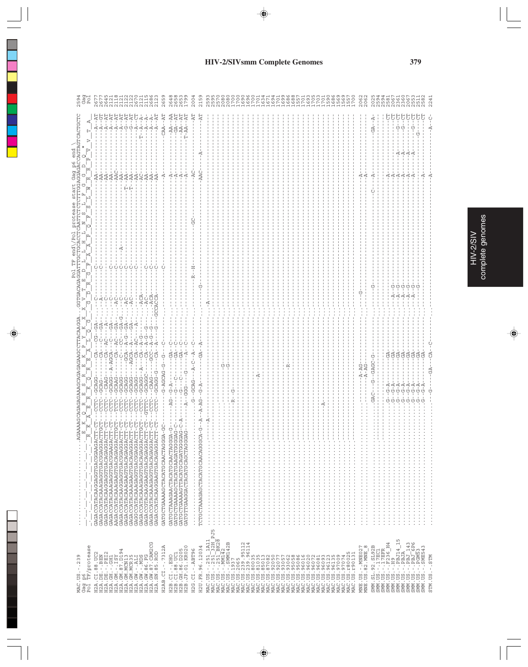| ž<br>ř<br>š<br>Ċ |
|------------------|
|------------------|

്റ്റ്

| 062<br>062<br>2004<br>ANNANNANNANNAN<br>Compannannannan<br>Compannannannan<br>$\begin{array}{c}\n 4000 \\  0000 \\  700 \\  0 \\  0\n\end{array}$<br>265<br>215<br>224<br><b>NNNNNNNNN</b><br>AT<br>AT<br>AT<br>RL.<br>$- A - A -$<br>$- A - - A -$<br>$- A - - A T$<br>$- - A T$<br>$-AT$<br>$-AT$<br>5<br>AТ<br>5<br>$-AT$<br>5<br>5<br>ā<br>$GA - -A$<br>$-4$<br>К<br>$-4$<br>Ŧ<br>$CAA-$<br>AA.<br>Ś<br>$T - PAA$<br>ひ<br>えええのの<br>A<br>$-AA$<br>ひ<br>К<br>K,<br>↻<br>Æ<br>Æ<br>$\mathbf{I}$<br>ひ<br>AAAA<br>AAC<br>AAC<br>Q<br>AA-<br>À<br>AA.<br>Ą<br>К<br>К<br>Æ<br>Æ<br>К<br>₫<br>€<br>ų,<br>К<br>$\mathcal{A} \mathcal{A}$<br>Æ<br>$\frac{1}{1}$<br>÷<br>н<br>e<br>Ü<br>U<br>U<br>ひひひ<br>U<br>U<br>Ξ<br>U<br>U<br>U<br>U<br>α<br>ひ<br><b>ひひひ</b><br>てり<br>てり<br>てり<br>てり<br>みみみみみ<br>CCACCA-<br>ACA<br>$\begin{array}{c}\nC \\ C \\ C\n\end{array}$<br>AC.<br>U<br>$\cup$<br>К<br>◡<br>ひ<br>$\mathbb{E}$<br><b>SSSS</b><br>$\overline{A}$<br>GA<br>じ じ じ<br>$-200 - 6$<br>$A - G$<br>$-AC -$<br>$A - 1$<br>$A - 1$<br>$-AC$<br>ပု<br>U<br>U<br>U<br>U<br>К<br>◡<br>◡<br>$CA -$<br>$-C-A$<br>$-AGCA-$<br>$CA-$<br>$-4-7-49C$<br>3444<br>$-4$<br>F<br>T<br>$\mathbb{S}$<br>S<br>$\mathfrak{F}$<br>S<br>E<br>F<br>돊<br>I<br>යි<br>- 0 - 0 0 0 0 0 -<br>Ġ<br>ひ<br>U<br>ひ<br>$-A$ -<br>ひ<br>$A - AG$<br>$A - AG$<br>ġ<br>G-AGCAG-<br>$- - A$<br><b>GCAGG-G-</b><br>Ģ<br>CAGGC<br>GCAGG<br>GCAGG<br>GCAGG<br>GCAGG<br>CAAG<br>GCAAG<br>GCAGG<br><b>GCAG</b><br>ל<br>לא לא לא לא<br>לא לא לא לא<br>К | GAGACCATACAAGGAGTGACGAAGAC                                                                                                                                                                              |
|--------------------------------------------------------------------------------------------------------------------------------------------------------------------------------------------------------------------------------------------------------------------------------------------------------------------------------------------------------------------------------------------------------------------------------------------------------------------------------------------------------------------------------------------------------------------------------------------------------------------------------------------------------------------------------------------------------------------------------------------------------------------------------------------------------------------------------------------------------------------------------------------------------------------------------------------------------------------------------------------------------------------------------------------------------------------------------------------------------------------------------------------------------------------------------------------------------------------------------------------------------------------------------------------------------------------------------------------------------------------------------------------------------------------------------------------------------------------------------------------------------|---------------------------------------------------------------------------------------------------------------------------------------------------------------------------------------------------------|
|                                                                                                                                                                                                                                                                                                                                                                                                                                                                                                                                                                                                                                                                                                                                                                                                                                                                                                                                                                                                                                                                                                                                                                                                                                                                                                                                                                                                                                                                                                        | GCAGG<br>CCTC.<br>CCTC.<br>TCTC<br>CCTC<br>5<br>GAGACCATACAAGHGACGAGAGAC<br>CAGACCATACAAGGEGACAGAGAGAG<br>CAGAGOOCACHOOAOAACATADOAOOAO<br>CACACACHORACAACHORACHORA<br>GAGACCATACAAGGAGGTGACGAGGAC       |
|                                                                                                                                                                                                                                                                                                                                                                                                                                                                                                                                                                                                                                                                                                                                                                                                                                                                                                                                                                                                                                                                                                                                                                                                                                                                                                                                                                                                                                                                                                        | <b>UUCACAG</b><br>CCHC<br>CCTC-<br>CHC<br>GAGACCATACAAAGAAGTGACAGAGGAC<br>GAGACCATACAAAGAGACAGAGAC<br>GAGGCCATACAAGAGTCACGAGGAC                                                                         |
|                                                                                                                                                                                                                                                                                                                                                                                                                                                                                                                                                                                                                                                                                                                                                                                                                                                                                                                                                                                                                                                                                                                                                                                                                                                                                                                                                                                                                                                                                                        | CHC<br>CCTC<br>◡<br>GAGACCATACAAGAGGTGACAGAGAC<br>GAGACCGTACAAGGAAGTGACAGAGGAC<br>GAGACCATACAAAGAGGTGACAGAGGAC<br>GAGACCATACAAGGAAGTGACAGAGGAC                                                          |
|                                                                                                                                                                                                                                                                                                                                                                                                                                                                                                                                                                                                                                                                                                                                                                                                                                                                                                                                                                                                                                                                                                                                                                                                                                                                                                                                                                                                                                                                                                        | GATGCTGAAAAGCTACATGCAACTAGG                                                                                                                                                                             |
|                                                                                                                                                                                                                                                                                                                                                                                                                                                                                                                                                                                                                                                                                                                                                                                                                                                                                                                                                                                                                                                                                                                                                                                                                                                                                                                                                                                                                                                                                                        | $G - A$<br>595-<br>ं<br>ひ<br>ረረ<br>U<br>しし<br>$\frac{c}{1}$<br>ಕ್ಕೆ<br>Ā,<br>GATGCTAAAGAACTACATGCAACTAGGG<br>GATGCTGAAAAGCTACATGAAGATGGG<br>GATGCTGAAAAGTTACATGCAGATGGG<br>GATGTTGAAGGACTACATGCAGCTAGGG |
|                                                                                                                                                                                                                                                                                                                                                                                                                                                                                                                                                                                                                                                                                                                                                                                                                                                                                                                                                                                                                                                                                                                                                                                                                                                                                                                                                                                                                                                                                                        | -GCAG<br>$-5-7$<br>ಀ಼<br>$-AG-$<br>$A - G$<br>*****************************<br>TCTGCTAAAGAGCTACAACAACAGGC                                                                                               |
|                                                                                                                                                                                                                                                                                                                                                                                                                                                                                                                                                                                                                                                                                                                                                                                                                                                                                                                                                                                                                                                                                                                                                                                                                                                                                                                                                                                                                                                                                                        |                                                                                                                                                                                                         |
|                                                                                                                                                                                                                                                                                                                                                                                                                                                                                                                                                                                                                                                                                                                                                                                                                                                                                                                                                                                                                                                                                                                                                                                                                                                                                                                                                                                                                                                                                                        |                                                                                                                                                                                                         |
|                                                                                                                                                                                                                                                                                                                                                                                                                                                                                                                                                                                                                                                                                                                                                                                                                                                                                                                                                                                                                                                                                                                                                                                                                                                                                                                                                                                                                                                                                                        | ᄲ                                                                                                                                                                                                       |
|                                                                                                                                                                                                                                                                                                                                                                                                                                                                                                                                                                                                                                                                                                                                                                                                                                                                                                                                                                                                                                                                                                                                                                                                                                                                                                                                                                                                                                                                                                        |                                                                                                                                                                                                         |
|                                                                                                                                                                                                                                                                                                                                                                                                                                                                                                                                                                                                                                                                                                                                                                                                                                                                                                                                                                                                                                                                                                                                                                                                                                                                                                                                                                                                                                                                                                        |                                                                                                                                                                                                         |
|                                                                                                                                                                                                                                                                                                                                                                                                                                                                                                                                                                                                                                                                                                                                                                                                                                                                                                                                                                                                                                                                                                                                                                                                                                                                                                                                                                                                                                                                                                        |                                                                                                                                                                                                         |
|                                                                                                                                                                                                                                                                                                                                                                                                                                                                                                                                                                                                                                                                                                                                                                                                                                                                                                                                                                                                                                                                                                                                                                                                                                                                                                                                                                                                                                                                                                        |                                                                                                                                                                                                         |
|                                                                                                                                                                                                                                                                                                                                                                                                                                                                                                                                                                                                                                                                                                                                                                                                                                                                                                                                                                                                                                                                                                                                                                                                                                                                                                                                                                                                                                                                                                        |                                                                                                                                                                                                         |
|                                                                                                                                                                                                                                                                                                                                                                                                                                                                                                                                                                                                                                                                                                                                                                                                                                                                                                                                                                                                                                                                                                                                                                                                                                                                                                                                                                                                                                                                                                        |                                                                                                                                                                                                         |
|                                                                                                                                                                                                                                                                                                                                                                                                                                                                                                                                                                                                                                                                                                                                                                                                                                                                                                                                                                                                                                                                                                                                                                                                                                                                                                                                                                                                                                                                                                        | .<br>$\frac{1}{2}$                                                                                                                                                                                      |
|                                                                                                                                                                                                                                                                                                                                                                                                                                                                                                                                                                                                                                                                                                                                                                                                                                                                                                                                                                                                                                                                                                                                                                                                                                                                                                                                                                                                                                                                                                        | $\overset{-}{\circ}$<br>GAC                                                                                                                                                                             |
|                                                                                                                                                                                                                                                                                                                                                                                                                                                                                                                                                                                                                                                                                                                                                                                                                                                                                                                                                                                                                                                                                                                                                                                                                                                                                                                                                                                                                                                                                                        | てり                                                                                                                                                                                                      |
|                                                                                                                                                                                                                                                                                                                                                                                                                                                                                                                                                                                                                                                                                                                                                                                                                                                                                                                                                                                                                                                                                                                                                                                                                                                                                                                                                                                                                                                                                                        | ひひひひ                                                                                                                                                                                                    |
|                                                                                                                                                                                                                                                                                                                                                                                                                                                                                                                                                                                                                                                                                                                                                                                                                                                                                                                                                                                                                                                                                                                                                                                                                                                                                                                                                                                                                                                                                                        | ひ                                                                                                                                                                                                       |
|                                                                                                                                                                                                                                                                                                                                                                                                                                                                                                                                                                                                                                                                                                                                                                                                                                                                                                                                                                                                                                                                                                                                                                                                                                                                                                                                                                                                                                                                                                        | ά                                                                                                                                                                                                       |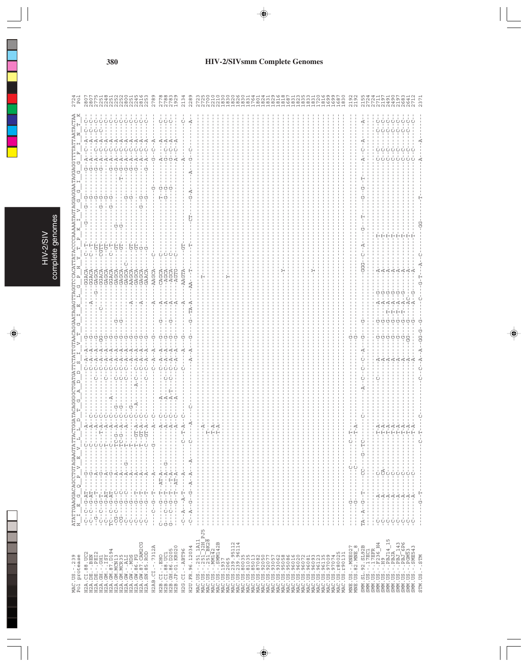|                                                                                                                                                                                                                             | GATGATT<br>ATATTGAAGGACAGCCTGTAGAAGTAT<br>H I E G Q P V E V<br>$\frac{1}{1}$           | TGTAACAG                                                                     |                                            |                                         | rh               |                                                                                          |
|-----------------------------------------------------------------------------------------------------------------------------------------------------------------------------------------------------------------------------|----------------------------------------------------------------------------------------|------------------------------------------------------------------------------|--------------------------------------------|-----------------------------------------|------------------|------------------------------------------------------------------------------------------|
|                                                                                                                                                                                                                             | UUUUUUUUUUU<br>みみみみみみみみ<br>-<br><b>UU</b><br>$\frac{1}{4}$<br>$\blacksquare$<br>٠<br>٠ | みみみみみみみみみみみみ<br><b>A A A A A A A A A A A A A</b><br><b>UUUUUUU</b><br>$\cup$ |                                            | U                                       | ひひひひひひ           | OUUUUUUUUUUU<br>ひひひひ<br><b>AAAAAAAAAAAA</b><br><b>A A A A A A A A A A A A</b><br>じ じ じ じ |
| $\mathbf I$<br>$\begin{array}{cccccccccc} . & . & . & . & . & . & . & . \\ . & . & . & . & . & . & . & . \\ . & . & . & . & . & . & . & . \\ . & . & . & . & . & . & . & . \\ . & . & . & . & . & . & . & . \\ \end{array}$ | $\circ$<br>Ĥ                                                                           | U                                                                            |                                            | 항<br>$\frac{1}{1}$ $\frac{1}{1}$        | ∣ い<br>てり        |                                                                                          |
| f,<br>t                                                                                                                                                                                                                     | ひ ひ ‐<br>ione<br>      <br>î.<br>J.                                                    | <b>1 0 0 0</b>                                                               | <b>ひひ</b>                                  | <b>GGACA</b><br>GAGCA                   | - 면<br>ひ         |                                                                                          |
| $-9 - -$<br>ŧ                                                                                                                                                                                                               | 166169<br>۳<br>-<br>$\mathbf{I}$                                                       |                                                                              |                                            | <b>GAGCA</b><br>GAGCA<br>GAGCA<br>GAGCA | てりてり             | <b>せせせせせせ</b>                                                                            |
| $\mathbf{I}$<br>÷,                                                                                                                                                                                                          | $\triangle$ $\triangle$<br>븅<br>F-<br>부<br>1                                           | υU<br>↻                                                                      |                                            |                                         | τŋ               |                                                                                          |
| ŧ<br>ŧ                                                                                                                                                                                                                      | O<br>U<br>Ť<br>$\frac{1}{1}$<br>$\frac{1}{1}$                                          | U                                                                            |                                            | GAACA                                   | てりてり             | ᄞ                                                                                        |
| $\mathbb{I}$<br>$\mathbf I$                                                                                                                                                                                                 | ひ<br>t<br>$\mathbf{I}$                                                                 | Ą<br>К                                                                       |                                            | ↻<br>AAGCA                              | ひ                | A<br>$\cup$<br>Ů                                                                         |
| $- -P - -C - -$<br>$- - A T - A - -$                                                                                                                                                                                        | $\triangle$ $\triangle$ $\triangle$<br>$\mathbf{I}$<br>j.<br>$\mathbb{I}$              | ひひひ                                                                          |                                            | CAGCA<br>-AGCA<br>-AGCA                 | <b>ひひひ</b><br>日じ |                                                                                          |
| $\mathfrak l$<br>H<br>÷,                                                                                                                                                                                                    | Н<br>AAAA<br><br>J.<br>î.<br>$\mathbf{I}$                                              | ひひひひ<br>AAAA<br>RARA<br>C                                                    | AAAA<br>ひ                                  | UUUU                                    |                  | $\tau$ )<br>AAAA<br>UUU<br>⊄ひひ⊄                                                          |
| $\frac{1}{1}$                                                                                                                                                                                                               |                                                                                        |                                                                              |                                            | 튦<br>AAGTP                              |                  |                                                                                          |
| $- - A -$                                                                                                                                                                                                                   | -                                                                                      | てり                                                                           | К<br>TA                                    |                                         |                  |                                                                                          |
| $\mathbf I$<br>$\frac{1}{4}$<br>$\,$ l                                                                                                                                                                                      | ٠                                                                                      |                                                                              |                                            |                                         |                  |                                                                                          |
|                                                                                                                                                                                                                             |                                                                                        |                                                                              |                                            |                                         |                  |                                                                                          |
|                                                                                                                                                                                                                             |                                                                                        |                                                                              |                                            |                                         |                  |                                                                                          |
|                                                                                                                                                                                                                             |                                                                                        |                                                                              |                                            |                                         |                  |                                                                                          |
|                                                                                                                                                                                                                             |                                                                                        |                                                                              |                                            |                                         |                  |                                                                                          |
|                                                                                                                                                                                                                             |                                                                                        |                                                                              |                                            |                                         |                  |                                                                                          |
|                                                                                                                                                                                                                             |                                                                                        |                                                                              |                                            |                                         |                  |                                                                                          |
|                                                                                                                                                                                                                             |                                                                                        |                                                                              |                                            |                                         |                  |                                                                                          |
|                                                                                                                                                                                                                             |                                                                                        |                                                                              |                                            |                                         |                  |                                                                                          |
| $\frac{1}{1}$                                                                                                                                                                                                               | $\frac{1}{1}$                                                                          |                                                                              |                                            |                                         |                  |                                                                                          |
|                                                                                                                                                                                                                             |                                                                                        |                                                                              |                                            |                                         |                  |                                                                                          |
|                                                                                                                                                                                                                             |                                                                                        |                                                                              |                                            |                                         |                  |                                                                                          |
|                                                                                                                                                                                                                             |                                                                                        |                                                                              |                                            |                                         |                  |                                                                                          |
|                                                                                                                                                                                                                             |                                                                                        |                                                                              |                                            |                                         |                  |                                                                                          |
|                                                                                                                                                                                                                             | J.                                                                                     |                                                                              |                                            |                                         |                  |                                                                                          |
|                                                                                                                                                                                                                             |                                                                                        |                                                                              |                                            |                                         |                  |                                                                                          |
|                                                                                                                                                                                                                             |                                                                                        |                                                                              |                                            |                                         |                  |                                                                                          |
|                                                                                                                                                                                                                             |                                                                                        |                                                                              |                                            |                                         |                  |                                                                                          |
|                                                                                                                                                                                                                             |                                                                                        |                                                                              |                                            |                                         |                  |                                                                                          |
| $\mathbf I$<br>$\,$ I<br>$-1$<br>$\frac{1}{4}$<br>ပုံ                                                                                                                                                                       | $\mathbf{I}$<br>$\mathbb{I}$<br>$\mathbf{I}$                                           |                                                                              |                                            |                                         |                  |                                                                                          |
| ı<br>$-10$<br>t                                                                                                                                                                                                             | $-5 - -5 - -10$<br>$\mathbf{I}$<br>J.                                                  |                                                                              |                                            | ひひひ                                     |                  | K,<br>Ο                                                                                  |
| $- -C - - -$                                                                                                                                                                                                                |                                                                                        |                                                                              |                                            |                                         |                  |                                                                                          |
|                                                                                                                                                                                                                             |                                                                                        |                                                                              |                                            |                                         |                  |                                                                                          |
| $\frac{1}{1}$<br>$\mathbf{I}$                                                                                                                                                                                               |                                                                                        |                                                                              |                                            |                                         |                  |                                                                                          |
|                                                                                                                                                                                                                             | みみみみみ                                                                                  | <b>ひひひひひひ</b><br>みみみみみみる                                                     | めめめめめめ<br>みみみみみみ<br><b>PPPP</b><br>ひひひひひひひ | AAAAAA                                  | 66666666         | συσούουο<br><b>UUUUUU</b><br><b>UUUUUUU</b><br><u> ひ ひ ひ ひ ひ ひ ひ</u>                     |
| $\,$ I<br>İ<br>-                                                                                                                                                                                                            | ٠                                                                                      |                                                                              |                                            |                                         |                  |                                                                                          |
| J,<br>J                                                                                                                                                                                                                     | J<br>J.                                                                                |                                                                              |                                            |                                         |                  |                                                                                          |
|                                                                                                                                                                                                                             |                                                                                        |                                                                              |                                            |                                         |                  |                                                                                          |
|                                                                                                                                                                                                                             |                                                                                        |                                                                              |                                            |                                         |                  |                                                                                          |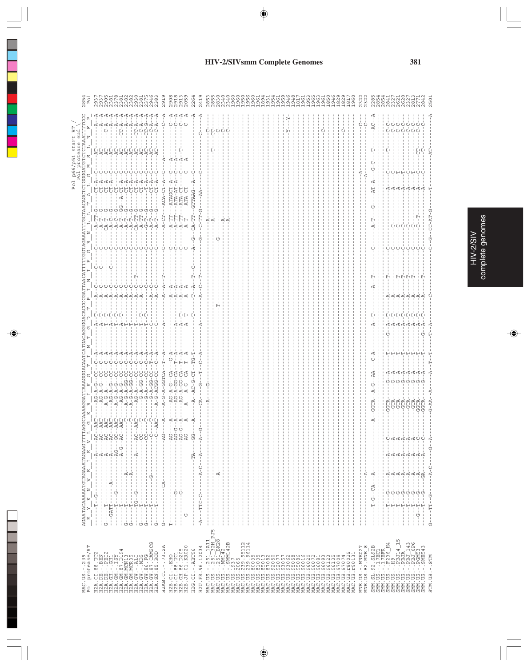| ¢<br>ć<br>Ę<br>¢<br><b>Service Service</b><br>ξ |
|-------------------------------------------------|
|-------------------------------------------------|

| ⊣<br>ru o<br>$\infty$ $\infty$<br>$\sim$                                                                                                                                                                                            |                                                                                                                                                                                                                                                                                                                                        | <b>QQQQQQQQQQQQQ</b>                                                                       |              |                                                  |                                                                                |                                                         |                                                     |   |                                                              |                                          |              |                                       |                                                                         |               | MARANOHNOW                                                                                                                                                                                                                                                                                                                                                                                    |                                                                                                                                                                                                                                                                                                                                                                                              | $\sim$  | $\overline{91}$                                                        |                                                             |                                 |                                                            | 0.710<br>$\begin{array}{c} \n 0 \\  0 \\  0 \\  0\n \end{array}$   |                                                                                | $\circ$<br>$\sim$<br>$\sim$                              | $\frac{1}{4}$<br>$\sim$            |   |                                                                  | LO.                                                     | O                                                   | $\circ$                                                                                                                                                                                                                                                                                                                                                                                           | $\circ$                             | $\circ$                 | $\circ$       |               |               |                                |                    | NNNNNHHHHHHHH                                                                                                                                                                                                                                                                                                                                                                                                                     | ₩             |                    |                    |               |  |  | 000c          | ㅋㅋㅋㅋㅋㅋㅋ |               | m in m                         | $\overline{ }$ |  |   | $\circ$ | w                     | ന                              |                                                                                                                                                                                                                                                                                                                                                            |                                                                                                                                                                                                                                                                                                                                                                       | C<br>.                                                                        | 320<br>$N$ $N$                       |                                                                              |   |                                               |                |     |                                                           |                                                                  |                     | $\circ$            |                             |                   |                                                  | <b>NNNNNNNNNN</b>                                                                                                                                                                                                                                                                                                                                                                                                                     | 50<br>$\sim$                                                                                                                                                                                                                                                                                                                                                                                     |  |
|-------------------------------------------------------------------------------------------------------------------------------------------------------------------------------------------------------------------------------------|----------------------------------------------------------------------------------------------------------------------------------------------------------------------------------------------------------------------------------------------------------------------------------------------------------------------------------------|--------------------------------------------------------------------------------------------|--------------|--------------------------------------------------|--------------------------------------------------------------------------------|---------------------------------------------------------|-----------------------------------------------------|---|--------------------------------------------------------------|------------------------------------------|--------------|---------------------------------------|-------------------------------------------------------------------------|---------------|-----------------------------------------------------------------------------------------------------------------------------------------------------------------------------------------------------------------------------------------------------------------------------------------------------------------------------------------------------------------------------------------------|----------------------------------------------------------------------------------------------------------------------------------------------------------------------------------------------------------------------------------------------------------------------------------------------------------------------------------------------------------------------------------------------|---------|------------------------------------------------------------------------|-------------------------------------------------------------|---------------------------------|------------------------------------------------------------|--------------------------------------------------------------------|--------------------------------------------------------------------------------|----------------------------------------------------------|------------------------------------|---|------------------------------------------------------------------|---------------------------------------------------------|-----------------------------------------------------|---------------------------------------------------------------------------------------------------------------------------------------------------------------------------------------------------------------------------------------------------------------------------------------------------------------------------------------------------------------------------------------------------|-------------------------------------|-------------------------|---------------|---------------|---------------|--------------------------------|--------------------|-----------------------------------------------------------------------------------------------------------------------------------------------------------------------------------------------------------------------------------------------------------------------------------------------------------------------------------------------------------------------------------------------------------------------------------|---------------|--------------------|--------------------|---------------|--|--|---------------|---------|---------------|--------------------------------|----------------|--|---|---------|-----------------------|--------------------------------|------------------------------------------------------------------------------------------------------------------------------------------------------------------------------------------------------------------------------------------------------------------------------------------------------------------------------------------------------------|-----------------------------------------------------------------------------------------------------------------------------------------------------------------------------------------------------------------------------------------------------------------------------------------------------------------------------------------------------------------------|-------------------------------------------------------------------------------|--------------------------------------|------------------------------------------------------------------------------|---|-----------------------------------------------|----------------|-----|-----------------------------------------------------------|------------------------------------------------------------------|---------------------|--------------------|-----------------------------|-------------------|--------------------------------------------------|---------------------------------------------------------------------------------------------------------------------------------------------------------------------------------------------------------------------------------------------------------------------------------------------------------------------------------------------------------------------------------------------------------------------------------------|--------------------------------------------------------------------------------------------------------------------------------------------------------------------------------------------------------------------------------------------------------------------------------------------------------------------------------------------------------------------------------------------------|--|
| CTAAATTTTCCC<br>L N F P<br>RT<br>end                                                                                                                                                                                                |                                                                                                                                                                                                                                                                                                                                        | RARARARARAR                                                                                |              |                                                  |                                                                                | Ť                                                       |                                                     |   |                                                              | ÷                                        |              |                                       | t                                                                       |               | t                                                                                                                                                                                                                                                                                                                                                                                             | J                                                                                                                                                                                                                                                                                                                                                                                            |         | К<br>U                                                                 |                                                             |                                 | J,                                                         | AAAA<br>÷<br>ひひひひ                                                  |                                                                                | К                                                        | O                                  |   | 무용무무                                                             |                                                         |                                                     |                                                                                                                                                                                                                                                                                                                                                                                                   | ◡                                   |                         |               |               |               |                                |                    |                                                                                                                                                                                                                                                                                                                                                                                                                                   |               |                    |                    |               |  |  |               |         |               |                                |                |  | O |         |                       |                                | ↻                                                                                                                                                                                                                                                                                                                                                          |                                                                                                                                                                                                                                                                                                                                                                       |                                                                               | U                                    | - 1<br>$\circlearrowright$                                                   |   | AC                                            |                |     |                                                           |                                                                  |                     |                    |                             | .                 |                                                  |                                                                                                                                                                                                                                                                                                                                                                                                                                       | К                                                                                                                                                                                                                                                                                                                                                                                                |  |
| start<br>$_{\rm g}^{\rm o}$<br><b>LQ</b>                                                                                                                                                                                            |                                                                                                                                                                                                                                                                                                                                        | FFFFFFFFFFFFFF                                                                             |              |                                                  |                                                                                |                                                         |                                                     |   |                                                              |                                          |              |                                       |                                                                         |               |                                                                                                                                                                                                                                                                                                                                                                                               |                                                                                                                                                                                                                                                                                                                                                                                              |         | К                                                                      |                                                             |                                 |                                                            | E<br>RARA                                                          |                                                                                |                                                          |                                    |   |                                                                  |                                                         |                                                     |                                                                                                                                                                                                                                                                                                                                                                                                   |                                     |                         |               |               |               |                                |                    |                                                                                                                                                                                                                                                                                                                                                                                                                                   |               |                    |                    |               |  |  |               |         |               |                                |                |  |   |         |                       |                                |                                                                                                                                                                                                                                                                                                                                                            |                                                                                                                                                                                                                                                                                                                                                                       |                                                                               |                                      |                                                                              |   | U                                             |                |     | ь                                                         |                                                                  |                     |                    |                             |                   | 5                                                | Ĥ                                                                                                                                                                                                                                                                                                                                                                                                                                     | ДT                                                                                                                                                                                                                                                                                                                                                                                               |  |
|                                                                                                                                                                                                                                     | U                                                                                                                                                                                                                                                                                                                                      | AAAA                                                                                       |              |                                                  | ひひひ<br>$\overset{-}{\textbf{E}}\overset{-}{\textbf{E}}\overset{-}{\textbf{E}}$ | ↻                                                       | 5                                                   |   | UUU<br>튕                                                     | 5                                        | ↻<br>튕       | $\frac{1}{\mathbf{U}}$                | $\mathbb H$                                                             |               | ひひひひ<br>Ü                                                                                                                                                                                                                                                                                                                                                                                     | Ė                                                                                                                                                                                                                                                                                                                                                                                            |         | U<br>К<br>Ė                                                            |                                                             | $\triangleleft$ $\triangleleft$ |                                                            | UUUU<br>텅                                                          |                                                                                | U<br>Æ                                                   | U<br>AA                            |   |                                                                  |                                                         |                                                     |                                                                                                                                                                                                                                                                                                                                                                                                   |                                     |                         |               |               |               |                                |                    |                                                                                                                                                                                                                                                                                                                                                                                                                                   |               |                    |                    |               |  |  |               |         |               |                                |                |  |   |         |                       |                                |                                                                                                                                                                                                                                                                                                                                                            |                                                                                                                                                                                                                                                                                                                                                                       |                                                                               | K,                                   | K,                                                                           |   | ひ<br>К<br>H<br>K,                             |                |     | U                                                         |                                                                  |                     | UHH                |                             | UH                | U                                                | U<br>みみみみみみみ                                                                                                                                                                                                                                                                                                                                                                                                                          | E                                                                                                                                                                                                                                                                                                                                                                                                |  |
|                                                                                                                                                                                                                                     | 둽                                                                                                                                                                                                                                                                                                                                      | ひひひひひひひひひひひひひ                                                                              |              |                                                  |                                                                                |                                                         | К<br>τŋ                                             |   |                                                              |                                          |              |                                       |                                                                         |               | AUA<br>AUA<br>AL                                                                                                                                                                                                                                                                                                                                                                              |                                                                                                                                                                                                                                                                                                                                                                                              |         | ACA.<br>5                                                              | ATAGCT<br>븝                                                 | Ę                               | ATA-AT                                                     | ATA-<br>净                                                          | <b>ATA</b><br>н                                                                | GTTAAG<br>튭                                              | 톱                                  |   | $\triangle$ $\triangle$                                          |                                                         | $\mathbf{I}$                                        |                                                                                                                                                                                                                                                                                                                                                                                                   | $\mathcal{A}$                       |                         |               |               |               |                                |                    |                                                                                                                                                                                                                                                                                                                                                                                                                                   |               |                    |                    |               |  |  |               |         |               |                                |                |  |   |         |                       |                                |                                                                                                                                                                                                                                                                                                                                                            |                                                                                                                                                                                                                                                                                                                                                                       |                                                                               |                                      |                                                                              |   | てり<br>$\mathsf{H}$                            |                |     |                                                           |                                                                  |                     |                    |                             |                   | ⊢                                                |                                                                                                                                                                                                                                                                                                                                                                                                                                       |                                                                                                                                                                                                                                                                                                                                                                                                  |  |
|                                                                                                                                                                                                                                     | U                                                                                                                                                                                                                                                                                                                                      |                                                                                            |              |                                                  |                                                                                |                                                         |                                                     |   |                                                              |                                          | $CA-TT$      |                                       |                                                                         |               | <b>UUUUUUUUUUU</b>                                                                                                                                                                                                                                                                                                                                                                            |                                                                                                                                                                                                                                                                                                                                                                                              |         | К<br>↻                                                                 | J.                                                          | K,                              | л<br>Æ                                                     | п<br>Ą<br>ひひひひ                                                     | Ą                                                                              | $\mathfrak{S}$<br>ひ<br>К                                 | U<br>てり                            |   |                                                                  |                                                         | ひ                                                   |                                                                                                                                                                                                                                                                                                                                                                                                   |                                     |                         |               |               |               |                                |                    |                                                                                                                                                                                                                                                                                                                                                                                                                                   |               |                    |                    |               |  |  |               |         |               |                                |                |  |   |         |                       |                                |                                                                                                                                                                                                                                                                                                                                                            |                                                                                                                                                                                                                                                                                                                                                                       |                                                                               |                                      |                                                                              |   | K,                                            |                |     |                                                           | ↻                                                                | U                   |                    |                             | ひひひ               | U                                                |                                                                                                                                                                                                                                                                                                                                                                                                                                       | CC-AT<br>ひ                                                                                                                                                                                                                                                                                                                                                                                       |  |
|                                                                                                                                                                                                                                     | ↻                                                                                                                                                                                                                                                                                                                                      | U                                                                                          |              |                                                  | U                                                                              |                                                         |                                                     |   |                                                              |                                          | н            |                                       |                                                                         |               |                                                                                                                                                                                                                                                                                                                                                                                               |                                                                                                                                                                                                                                                                                                                                                                                              |         |                                                                        |                                                             |                                 |                                                            |                                                                    |                                                                                | н                                                        | е                                  |   |                                                                  |                                                         |                                                     |                                                                                                                                                                                                                                                                                                                                                                                                   |                                     |                         |               |               |               |                                |                    |                                                                                                                                                                                                                                                                                                                                                                                                                                   |               |                    |                    |               |  |  |               |         |               |                                |                |  |   |         |                       |                                |                                                                                                                                                                                                                                                                                                                                                            |                                                                                                                                                                                                                                                                                                                                                                       |                                                                               |                                      |                                                                              |   |                                               |                |     | ⊢                                                         |                                                                  | ⊢                   | ⊢                  | Н                           | н                 |                                                  |                                                                                                                                                                                                                                                                                                                                                                                                                                       |                                                                                                                                                                                                                                                                                                                                                                                                  |  |
|                                                                                                                                                                                                                                     |                                                                                                                                                                                                                                                                                                                                        | ひひひひひ<br>RARARARA                                                                          |              |                                                  |                                                                                |                                                         | ↻                                                   | ↻ |                                                              | ↻                                        | U            | ↻                                     |                                                                         | U             | U<br>К                                                                                                                                                                                                                                                                                                                                                                                        | U<br>К                                                                                                                                                                                                                                                                                                                                                                                       |         | ₫<br>К                                                                 |                                                             | $A \nA$                         |                                                            | A A A                                                              | К                                                                              | К<br>$\mathbb{H}$                                        | U<br>К                             |   |                                                                  |                                                         | F                                                   |                                                                                                                                                                                                                                                                                                                                                                                                   |                                     |                         |               |               |               |                                |                    |                                                                                                                                                                                                                                                                                                                                                                                                                                   |               |                    |                    |               |  |  |               |         |               |                                |                |  |   |         |                       |                                |                                                                                                                                                                                                                                                                                                                                                            |                                                                                                                                                                                                                                                                                                                                                                       |                                                                               |                                      |                                                                              |   | К                                             |                |     |                                                           |                                                                  |                     |                    |                             |                   |                                                  | <b>AAAAAAA</b>                                                                                                                                                                                                                                                                                                                                                                                                                        | €                                                                                                                                                                                                                                                                                                                                                                                                |  |
| TTTAGGCAAAAGGATTAAAGGACAATCATGACAGGGGACACCCGATTAACATTTIGGTAAATTTIGCTAACACTCIGGATA POL DE STOCK.<br>1990 - Pol De Stock (1990) - Pol De Stock (1991) - Pol De Stock (1991) - Pol De Stock (1991) - Pol De Stock (<br>1990 - Pol De S | e<br>K,                                                                                                                                                                                                                                                                                                                                |                                                                                            |              |                                                  | <b>PPPP</b><br>RHRH                                                            |                                                         | н                                                   |   | К⊢⊢                                                          |                                          | $\mathsf{H}$ | e                                     | ⊢                                                                       |               | 日日のり                                                                                                                                                                                                                                                                                                                                                                                          |                                                                                                                                                                                                                                                                                                                                                                                              |         | К                                                                      |                                                             |                                 | ≮ ⊄                                                        | 텃                                                                  | н<br>A                                                                         |                                                          | ₫                                  |   |                                                                  |                                                         |                                                     |                                                                                                                                                                                                                                                                                                                                                                                                   |                                     |                         |               |               |               |                                |                    |                                                                                                                                                                                                                                                                                                                                                                                                                                   |               |                    |                    |               |  |  |               |         |               |                                |                |  |   |         |                       |                                |                                                                                                                                                                                                                                                                                                                                                            |                                                                                                                                                                                                                                                                                                                                                                       |                                                                               |                                      |                                                                              | E | К                                             |                |     | ひ                                                         |                                                                  |                     | 66666              |                             | F                 | н                                                | Н<br><b>A A A A A A A A</b><br>ひ                                                                                                                                                                                                                                                                                                                                                                                                      | К<br>E                                                                                                                                                                                                                                                                                                                                                                                           |  |
|                                                                                                                                                                                                                                     | ◡                                                                                                                                                                                                                                                                                                                                      | <b>A A A A A A A A A A A A</b><br>U                                                        |              |                                                  | ひひひ                                                                            |                                                         | ↻                                                   | ↻ |                                                              | ↻                                        | ↻            | ↻                                     |                                                                         | Ω⊢            |                                                                                                                                                                                                                                                                                                                                                                                               | ↻                                                                                                                                                                                                                                                                                                                                                                                            |         | К<br>Н                                                                 | Æ<br>ひ                                                      | н                               | К                                                          | К<br>$\vdash$                                                      | К                                                                              | н<br>FG                                                  | К<br>↻                             |   |                                                                  |                                                         |                                                     |                                                                                                                                                                                                                                                                                                                                                                                                   |                                     |                         |               |               |               |                                |                    |                                                                                                                                                                                                                                                                                                                                                                                                                                   |               |                    |                    |               |  |  |               |         |               |                                |                |  |   |         |                       |                                |                                                                                                                                                                                                                                                                                                                                                            |                                                                                                                                                                                                                                                                                                                                                                       |                                                                               |                                      |                                                                              |   | К<br>↻                                        |                |     |                                                           |                                                                  |                     |                    |                             | 666666            | H                                                | н                                                                                                                                                                                                                                                                                                                                                                                                                                     |                                                                                                                                                                                                                                                                                                                                                                                                  |  |
|                                                                                                                                                                                                                                     | 5C                                                                                                                                                                                                                                                                                                                                     | U<br>U                                                                                     |              | U                                                | U<br>U U                                                                       | U<br>U                                                  | y                                                   |   | g                                                            | g                                        | U            | 9<br>C                                |                                                                         |               | <b>UUU</b>                                                                                                                                                                                                                                                                                                                                                                                    |                                                                                                                                                                                                                                                                                                                                                                                              |         | GGTCA<br>Ŕ,                                                            | రే                                                          | ှစ် ဗွဲ<br>၁ ၁ ၁                | F                                                          | G<br>A A A                                                         | ්<br>ひ                                                                         | 5<br>$AC-G$                                              | н<br>ひ                             | ひ |                                                                  |                                                         |                                                     |                                                                                                                                                                                                                                                                                                                                                                                                   |                                     |                         |               |               |               |                                |                    |                                                                                                                                                                                                                                                                                                                                                                                                                                   |               |                    |                    |               |  |  |               |         |               |                                |                |  |   |         |                       |                                |                                                                                                                                                                                                                                                                                                                                                            |                                                                                                                                                                                                                                                                                                                                                                       |                                                                               |                                      |                                                                              |   | AA<br>ひ<br>К                                  |                |     |                                                           |                                                                  | $\blacksquare$      |                    |                             |                   |                                                  | みみみみみみみ<br><b>ひひひひひひひひ</b>                                                                                                                                                                                                                                                                                                                                                                                                            | К                                                                                                                                                                                                                                                                                                                                                                                                |  |
|                                                                                                                                                                                                                                     | AG-                                                                                                                                                                                                                                                                                                                                    |                                                                                            |              |                                                  |                                                                                |                                                         |                                                     | Н |                                                              |                                          |              |                                       |                                                                         |               | 9999<br>RRRR                                                                                                                                                                                                                                                                                                                                                                                  | $\mathbb{A}$                                                                                                                                                                                                                                                                                                                                                                                 |         | ပ္ပ်<br>Ч<br>К                                                         |                                                             |                                 |                                                            | RARA                                                               | A                                                                              | $-4$<br>Ą                                                | F                                  |   | К                                                                |                                                         |                                                     |                                                                                                                                                                                                                                                                                                                                                                                                   |                                     |                         |               |               |               |                                |                    |                                                                                                                                                                                                                                                                                                                                                                                                                                   |               |                    |                    |               |  |  |               |         |               |                                |                |  |   |         |                       |                                |                                                                                                                                                                                                                                                                                                                                                            |                                                                                                                                                                                                                                                                                                                                                                       |                                                                               |                                      |                                                                              |   | <b>GGTA</b>                                   |                |     |                                                           |                                                                  |                     |                    |                             |                   |                                                  |                                                                                                                                                                                                                                                                                                                                                                                                                                       | $G - PA$                                                                                                                                                                                                                                                                                                                                                                                         |  |
| $\overline{ }$                                                                                                                                                                                                                      | Õ,                                                                                                                                                                                                                                                                                                                                     | $1 - \frac{PAP}{PAP}$<br>$1 - \frac{PAP}{PAP}$ $1 - \frac{PAP}{PAP}$ $1 - \frac{PAP}{PAP}$ |              | $\mathbf{I}$                                     | COOCO                                                                          | ÷                                                       |                                                     |   | $\mathbf{L}$                                                 | $-14$                                    |              | л.<br>$\mathsf I$                     | л.<br>$\,$ I                                                            |               | - 1<br>00000<br>400    <br>         <br>J.                                                                                                                                                                                                                                                                                                                                                    | AA<br>J.                                                                                                                                                                                                                                                                                                                                                                                     | d<br>AG |                                                                        |                                                             |                                 | <b>ひ ひ</b><br>J,<br>ţ.                                     | <b>BRAC</b>                                                        | $\frac{1}{4}$                                                                  | 밁                                                        | ひ                                  |   |                                                                  |                                                         | $\overline{\phantom{a}}$                            |                                                                                                                                                                                                                                                                                                                                                                                                   |                                     |                         |               |               |               |                                |                    |                                                                                                                                                                                                                                                                                                                                                                                                                                   |               |                    |                    |               |  |  |               |         |               |                                |                |  |   |         |                       |                                |                                                                                                                                                                                                                                                                                                                                                            |                                                                                                                                                                                                                                                                                                                                                                       |                                                                               |                                      | $\frac{1}{4}$                                                                |   | $\mathbf{I}$                                  | $\overline{1}$ |     | $\frac{1}{1}$                                             | $\frac{1}{1}$                                                    | ÷,                  | 0 / ದ' ದ' ದ'<br>ł. | ď.<br>÷,                    | f,                |                                                  | $\mathsf I$<br>$\overline{\phantom{a}}$                                                                                                                                                                                                                                                                                                                                                                                               | $-9 - -1$                                                                                                                                                                                                                                                                                                                                                                                        |  |
| 回<br>$\mapsto$<br>囸                                                                                                                                                                                                                 | Ť.<br>$\mathbf{L}$                                                                                                                                                                                                                                                                                                                     | $\mathbf{I}$                                                                               | $\mathbf{1}$ | $\blacksquare$<br>$\blacksquare$<br>$\mathbf{I}$ | ÷.<br>$\mathbf{I}$<br>÷,                                                       | $- - P(G -$<br>$\mathbf{I}$<br>$\mathbf{I}$<br>J.<br>Ť. | $- -P - G - -$<br>$\mathbb{L}$<br>$\mathbf{I}$<br>٠ |   | $\mathbb{I}$<br>×.<br>$\mathbb{I}$<br>$\mathsf I$<br>$- - A$ | $\mathbf{I}$<br>$\mathbf{I}$<br>$- -A -$ | $- -A - -$   | $\mathbf{I}$<br>$\mathbb{I}$          | J.<br>$\mathsf I$<br>$\sf I$<br>J.<br>$\mathbf{I}$<br>$\mathsf I$<br>Ħ  |               | ٠<br>$\mathfrak l$<br>$\begin{array}{c} \rule{0.2cm}{0.15mm} \rule{0.2cm}{0.15mm} \rule{0.2cm}{0.15mm} \rule{0.2cm}{0.15mm} \rule{0.2cm}{0.15mm} \rule{0.2cm}{0.15mm} \rule{0.2cm}{0.15mm} \rule{0.2cm}{0.15mm} \rule{0.2cm}{0.15mm} \rule{0.2cm}{0.15mm} \rule{0.2cm}{0.15mm} \rule{0.2cm}{0.15mm} \rule{0.2cm}{0.15mm} \rule{0.2cm}{0.15mm} \rule{0.2cm}{0.15mm} \rule{$<br>÷,<br>$\,$ $\,$ | f,<br>$\begin{array}{c} \rule{0.2cm}{0.15mm} \rule{0.2cm}{0.15mm} \rule{0.2cm}{0.15mm} \rule{0.2cm}{0.15mm} \rule{0.2cm}{0.15mm} \rule{0.2cm}{0.15mm} \rule{0.2cm}{0.15mm} \rule{0.2cm}{0.15mm} \rule{0.2cm}{0.15mm} \rule{0.2cm}{0.15mm} \rule{0.2cm}{0.15mm} \rule{0.2cm}{0.15mm} \rule{0.2cm}{0.15mm} \rule{0.2cm}{0.15mm} \rule{0.2cm}{0.15mm} \rule{$<br>$\frac{1}{4}$<br>$\mathfrak l$ |         | $\frac{1}{1}$<br>$\frac{1}{1}$<br>$\,$ $\,$<br>$\,$ l<br>$\frac{1}{1}$ | J.<br>J.                                                    |                                 | $\mathbf{I}$<br>$\,$<br>$\frac{1}{4}$<br>$\mathbb{I}$<br>Ħ |                                                                    | $\mathsf I$<br>$\,$ $\,$<br>$\mathbf{I}$<br>$\mathbf{1}$<br>$\mathbf{I}$<br>÷, | $---T A -$<br>$\mathsf I$<br>$\mathsf I$<br>$\mathbb{I}$ | $---A---$<br>$-4-7$                |   | Ť.<br>$\mathbf{I}$<br>$\mathsf I$<br>Ħ                           | - 1<br>$\,$ I                                           | J.<br>$\frac{1}{1}$<br>$\frac{1}{4}$<br>$----9 - -$ |                                                                                                                                                                                                                                                                                                                                                                                                   | $\frac{1}{1}$                       | Ť                       |               |               |               |                                | Ì<br>$\frac{1}{1}$ |                                                                                                                                                                                                                                                                                                                                                                                                                                   |               |                    |                    |               |  |  |               |         |               |                                |                |  |   |         | $\frac{1}{2}$         |                                | .                                                                                                                                                                                                                                                                                                                                                          | $\frac{1}{1}$                                                                                                                                                                                                                                                                                                                                                         | $\frac{1}{1}$                                                                 |                                      | ł<br>$- -A - -$                                                              |   | ÷.<br>$\mathbf{I}$<br>$\mathsf I$<br>$-4 - 2$ |                |     | $\overline{\phantom{a}}$                                  | $\overline{\phantom{a}}$<br>$\mathbf{I}=\mathbf{I}=\mathbf{I}$ . | -                   |                    | л.<br>$\mathbf{I}$          | -<br>$\mathbb{I}$ | $- A - -$<br>$\mathbf{I}$<br>$\mathsf I$<br>$-4$ | $-A$<br>$\mathbf{I}$<br>$\mathbf{I}$<br>$-GB$ -                                                                                                                                                                                                                                                                                                                                                                                       | $\begin{array}{c} \rule{0.2cm}{0.15mm} \rule{0.2cm}{0.15mm} \rule{0.2cm}{0.15mm} \rule{0.2cm}{0.15mm} \rule{0.2cm}{0.15mm} \rule{0.2cm}{0.15mm} \rule{0.2cm}{0.15mm} \rule{0.2cm}{0.15mm} \rule{0.2cm}{0.15mm} \rule{0.2cm}{0.15mm} \rule{0.2cm}{0.15mm} \rule{0.2cm}{0.15mm} \rule{0.2cm}{0.15mm} \rule{0.2cm}{0.15mm} \rule{0.2cm}{0.15mm} \rule{$<br>$\mathbf{I}$<br>$\mathbf{I}$<br>$-4 - C$ |  |
| AGAATACAAAAATGTAGAAATAGAAGT<br>$\,>$<br>$\approx$<br>Κ<br>Σ                                                                                                                                                                         | $\mathbf{I}$<br>$\mathbf{I}$<br>$-9 - -$<br>۳<br>۱                                                                                                                                                                                                                                                                                     |                                                                                            |              | $\mathbf{I}$                                     | $- -A -$                                                                       | $\,$ $\,$                                               |                                                     |   |                                                              |                                          |              | $\mathbf{I}$<br>-<br>$\mathbf I$<br>Н | $\mathbf{I}$<br>$\sf I$<br>拼<br>Н                                       | $\frac{1}{1}$ | $\begin{array}{c}\n1 \\ 1 \\ 1 \\ 1\n\end{array}$<br>Н                                                                                                                                                                                                                                                                                                                                        | ł<br>F                                                                                                                                                                                                                                                                                                                                                                                       |         | $---CA$                                                                | J.                                                          | ł.                              | İ                                                          | İ                                                                  | $\,$ I<br>$\frac{1}{4}$                                                        | $\mathbf{I}$<br>J.<br>÷<br>$\mathsf I$                   | $\mathbf{I}$<br>÷.<br>$- - 7 - 12$ |   | $\mathbf{I}$<br>$\mathbf{I}$<br>$\mathbf{I}$<br>Ħ<br>$\mathsf I$ | - 11<br>-<br>$\blacksquare$                             | $\,$ l<br>$\frac{1}{4}$<br>$\mathbf{I}$             | $\frac{1}{4}$<br>I,<br>$\begin{array}{c} \rule{0.2cm}{0.15mm} \rule{0.2cm}{0.15mm} \rule{0.2cm}{0.15mm} \rule{0.2cm}{0.15mm} \rule{0.2cm}{0.15mm} \rule{0.2cm}{0.15mm} \rule{0.2cm}{0.15mm} \rule{0.2cm}{0.15mm} \rule{0.2cm}{0.15mm} \rule{0.2cm}{0.15mm} \rule{0.2cm}{0.15mm} \rule{0.2cm}{0.15mm} \rule{0.2cm}{0.15mm} \rule{0.2cm}{0.15mm} \rule{0.2cm}{0.15mm} \rule{$<br>ł<br>$\frac{1}{1}$ | t<br>$\frac{1}{1}$<br>$\frac{1}{1}$ | ÷<br>$\frac{1}{1}$      | $\frac{1}{1}$ | $\frac{1}{4}$ | $\frac{1}{4}$ | $\frac{1}{4}$<br>$\frac{1}{1}$ | 1<br>$\frac{1}{2}$ |                                                                                                                                                                                                                                                                                                                                                                                                                                   | $\frac{1}{4}$ | $\frac{1}{1}$<br>J | $\frac{1}{1}$<br>t | $\frac{1}{1}$ |  |  | $\frac{1}{1}$ |         | $\frac{1}{1}$ | $\frac{1}{2}$<br>$\frac{1}{1}$ |                |  | ł | ţ       | $\frac{1}{1}$<br>$\,$ | $\frac{1}{4}$<br>$\frac{1}{1}$ | $\frac{1}{1}$<br>f,                                                                                                                                                                                                                                                                                                                                        | t<br>f,<br>$\frac{1}{1}$                                                                                                                                                                                                                                                                                                                                              | J,                                                                            | $\mathbf{I}$<br>$\mathbf{I}$<br>1    | $\frac{1}{4}$<br>$\,$<br>$\,$<br>$\overline{1}$<br>j.<br>J.<br>$\frac{1}{1}$ |   | $-47 - 5 - 1 - 1 - 1$                         |                | - 1 | $\overline{\phantom{a}}$<br>$\mathbf{I}$<br>$\frac{1}{2}$ | $\overline{\phantom{a}}$<br>$\overline{\phantom{a}}$<br>$-1$     | $\mathbf{I}$<br>F-1 | н                  | п.<br>۳<br>۱                | -<br>۲<br>ا       | $-1$                                             | $\frac{c}{1}$<br>$\overline{\phantom{0}}$<br>$-1$                                                                                                                                                                                                                                                                                                                                                                                     | J.<br>$---TTT---G$                                                                                                                                                                                                                                                                                                                                                                               |  |
| 国                                                                                                                                                                                                                                   | $\mathbf I$<br>$\frac{1}{4}$<br>$\blacksquare$                                                                                                                                                                                                                                                                                         |                                                                                            |              | ひ                                                | $\mathbf{I}$                                                                   | п                                                       | л.                                                  | ひ |                                                              | ひ                                        |              | ÷<br>$\mathbf{I}$<br>$\mathsf I$      | $\frac{1}{4}$<br>$\overline{\phantom{a}}$<br>$\frac{1}{4}$<br><b>いい</b> |               | t<br>I,<br>$\begin{array}{c} \rule{0.2cm}{0.15mm} \rule{0.2cm}{0.15mm} \rule{0.2cm}{0.15mm} \rule{0.2cm}{0.15mm} \rule{0.2cm}{0.15mm} \rule{0.2cm}{0.15mm} \rule{0.2cm}{0.15mm} \rule{0.2cm}{0.15mm} \rule{0.2cm}{0.15mm} \rule{0.2cm}{0.15mm} \rule{0.2cm}{0.15mm} \rule{0.2cm}{0.15mm} \rule{0.2cm}{0.15mm} \rule{0.2cm}{0.15mm} \rule{0.2cm}{0.15mm} \rule{$                               | $\frac{1}{4}$<br>I<br>$\,$ I<br>ひ                                                                                                                                                                                                                                                                                                                                                            |         | $\mathbf{I}$<br>Ġ                                                      | 1<br>$\overline{\phantom{a}}$<br>$\overline{1}$<br>$\vdash$ |                                 | ł.<br>$\mathsf{I}$<br>$\,$<br>J.                           | Ť<br>$\overline{\phantom{a}}$<br>$\,$ $\,$<br>$\overline{1}$       | ÷,<br>$-\frac{c}{1}$                                                           | $\mathbf{I}$                                             | $\overline{A}$                     |   | $\frac{1}{1}$                                                    | $\mathbf{I}$<br>$\blacksquare$<br>$\blacksquare$<br>PJ5 | $\frac{1}{4}$<br>$\mathbf I$<br>$\,$ I              | I,                                                                                                                                                                                                                                                                                                                                                                                                | f,                                  | $\frac{1}{1}$<br>$\,$ I |               |               |               |                                | ٠                  |                                                                                                                                                                                                                                                                                                                                                                                                                                   |               | J                  | I                  |               |  |  |               |         |               |                                |                |  |   |         | I,                    | $\frac{1}{1}$                  | $\begin{array}{c} \rule{0.2cm}{0.15mm} \rule{0.2cm}{0.15mm} \rule{0.2cm}{0.15mm} \rule{0.2cm}{0.15mm} \rule{0.2cm}{0.15mm} \rule{0.2cm}{0.15mm} \rule{0.2cm}{0.15mm} \rule{0.2cm}{0.15mm} \rule{0.2cm}{0.15mm} \rule{0.2cm}{0.15mm} \rule{0.2cm}{0.15mm} \rule{0.2cm}{0.15mm} \rule{0.2cm}{0.15mm} \rule{0.2cm}{0.15mm} \rule{0.2cm}{0.15mm} \rule{$<br>J. | $\frac{1}{1}$<br>$\begin{array}{c} \rule{0.2cm}{0.15mm} \rule{0.2cm}{0.15mm} \rule{0.2cm}{0.15mm} \rule{0.2cm}{0.15mm} \rule{0.2cm}{0.15mm} \rule{0.2cm}{0.15mm} \rule{0.2cm}{0.15mm} \rule{0.2cm}{0.15mm} \rule{0.2cm}{0.15mm} \rule{0.2cm}{0.15mm} \rule{0.2cm}{0.15mm} \rule{0.2cm}{0.15mm} \rule{0.2cm}{0.15mm} \rule{0.2cm}{0.15mm} \rule{0.2cm}{0.15mm} \rule{$ | $\begin{array}{c} \rule{0.2cm}{0.15mm} \end{array}$<br>$\,$ I<br>$\mathbf{I}$ | ٠                                    | J.                                                                           |   |                                               |                |     |                                                           |                                                                  | Ţ<br>$\,$ I         | $\frac{1}{4}$      | $\mathsf I$<br>$\mathbf{I}$ | $\,$ I            | $-9 - -1$                                        |                                                                                                                                                                                                                                                                                                                                                                                                                                       | $\,$ I<br>ά                                                                                                                                                                                                                                                                                                                                                                                      |  |
| US.-.239<br>protease/RT                                                                                                                                                                                                             | $\begin{array}{l} \rm I2A,\,CL,\,88\,,\,UC2\\ \rm I2A,\,DB.-IBZ1\\ \rm I2A,\,GB.-GB1\\ \rm I2A,\,GH.-GB1\\ \rm I2A,\,GH.-L,\,SH\\ \rm I2A,\,GH, 1.15Y\\ \rm I2A,\,GH, 1.15Y\\ \rm I2A,\,GH, 1.001\\ \rm I2A,\,GH, 1.012\\ \rm I2A,\,GH, 1.023\\ \rm I2A,\,GH, 1.012\\ \rm I2A,\,GH, 1.012\\ \rm I2A,\,GH, 1.012\\ \rm I2A,\,GH, 1.012$ |                                                                                            |              |                                                  |                                                                                |                                                         |                                                     |   |                                                              |                                          |              |                                       |                                                                         |               |                                                                                                                                                                                                                                                                                                                                                                                               |                                                                                                                                                                                                                                                                                                                                                                                              |         | $-.7312A$                                                              |                                                             |                                 |                                                            |                                                                    |                                                                                |                                                          |                                    |   |                                                                  |                                                         |                                                     |                                                                                                                                                                                                                                                                                                                                                                                                   |                                     |                         |               |               |               |                                |                    | $\begin{small} \texttt{MEC} & \texttt{UB} & \texttt{1} & \texttt{1} & \texttt{1} & \texttt{1} & \texttt{1} & \texttt{1} & \texttt{1} & \texttt{1} & \texttt{1} & \texttt{1} & \texttt{1} & \texttt{1} & \texttt{1} & \texttt{1} & \texttt{1} & \texttt{1} & \texttt{1} & \texttt{1} & \texttt{1} & \texttt{1} & \texttt{1} & \texttt{1} & \texttt{1} & \texttt{1} & \texttt{1} & \texttt{1} & \texttt{1} & \texttt{1} & \texttt{$ |               |                    |                    |               |  |  |               |         |               |                                |                |  |   |         |                       |                                |                                                                                                                                                                                                                                                                                                                                                            |                                                                                                                                                                                                                                                                                                                                                                       |                                                                               |                                      |                                                                              |   |                                               |                |     |                                                           |                                                                  | LN,                 |                    |                             |                   |                                                  | $\begin{array}{l} \mathbf{SIM1}, \mathbf{S1}, \mathbf{92}, \mathbf{51292B} \\ \mathbf{SIM1}, \mathbf{US}, \cdots, \mathbf{177BCT} \\ \mathbf{SIM1}, \mathbf{US}, \cdots, \mathbf{177B1} \\ \mathbf{SIM2}, \mathbf{US}, \cdots, \mathbf{187} \\ \mathbf{SIM1}, \mathbf{US}, \cdots, \mathbf{187} \\ \mathbf{SIM2}, \mathbf{US}, \cdots, \mathbf{187} \\ \mathbf{SIM1}, \mathbf{US}, \cdots, \mathbf{187} \\ \mathbf{SIM2}, \mathbf{US$ | MIS.-                                                                                                                                                                                                                                                                                                                                                                                            |  |
| MAC.US.<br>Pol pro                                                                                                                                                                                                                  |                                                                                                                                                                                                                                                                                                                                        |                                                                                            |              |                                                  |                                                                                |                                                         |                                                     |   |                                                              |                                          |              |                                       |                                                                         |               |                                                                                                                                                                                                                                                                                                                                                                                               |                                                                                                                                                                                                                                                                                                                                                                                              |         | H2AB.CI                                                                |                                                             |                                 |                                                            | H2B.CI.-.HHO<br>H2B.CI.88.UC1<br>H2B.CH.86.D205<br>H2B.JP.01.KR020 |                                                                                | H2G.CI.-.ABT96                                           | H2U.FR.96.12034                    |   |                                                                  |                                                         |                                                     |                                                                                                                                                                                                                                                                                                                                                                                                   |                                     |                         |               |               |               |                                |                    |                                                                                                                                                                                                                                                                                                                                                                                                                                   |               |                    |                    |               |  |  |               |         |               |                                |                |  |   |         |                       |                                |                                                                                                                                                                                                                                                                                                                                                            |                                                                                                                                                                                                                                                                                                                                                                       |                                                                               | MNE.US. - MNE027<br>MNE.US. 82.MNE_8 |                                                                              |   |                                               |                |     |                                                           |                                                                  |                     |                    |                             |                   |                                                  |                                                                                                                                                                                                                                                                                                                                                                                                                                       | STM.US                                                                                                                                                                                                                                                                                                                                                                                           |  |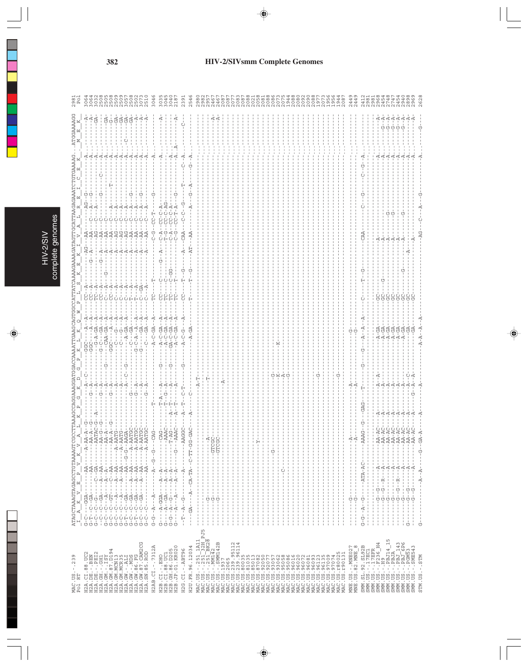|                                                                  |                                                                                                                                                                                                                                                                                                                                                                                                                              |                       |                   |                                                             |                                                                                               |                                                                   |                 |                                                                                                                                                                                                                                                                                                                                                                                             |                          |                                                                                                                       |  |  |  |  |  |  |  |                                                                                                                |                                  |                                                                                                               |              | てり てり てり                                                                                                       |                                                   |                                                                                  |                                                                                                             |                                                            |
|------------------------------------------------------------------|------------------------------------------------------------------------------------------------------------------------------------------------------------------------------------------------------------------------------------------------------------------------------------------------------------------------------------------------------------------------------------------------------------------------------|-----------------------|-------------------|-------------------------------------------------------------|-----------------------------------------------------------------------------------------------|-------------------------------------------------------------------|-----------------|---------------------------------------------------------------------------------------------------------------------------------------------------------------------------------------------------------------------------------------------------------------------------------------------------------------------------------------------------------------------------------------------|--------------------------|-----------------------------------------------------------------------------------------------------------------------|--|--|--|--|--|--|--|----------------------------------------------------------------------------------------------------------------|----------------------------------|---------------------------------------------------------------------------------------------------------------|--------------|----------------------------------------------------------------------------------------------------------------|---------------------------------------------------|----------------------------------------------------------------------------------|-------------------------------------------------------------------------------------------------------------|------------------------------------------------------------|
|                                                                  |                                                                                                                                                                                                                                                                                                                                                                                                                              |                       |                   |                                                             |                                                                                               |                                                                   |                 |                                                                                                                                                                                                                                                                                                                                                                                             |                          |                                                                                                                       |  |  |  |  |  |  |  |                                                                                                                |                                  |                                                                                                               |              |                                                                                                                |                                                   |                                                                                  |                                                                                                             |                                                            |
|                                                                  | C٦                                                                                                                                                                                                                                                                                                                                                                                                                           |                       |                   |                                                             |                                                                                               |                                                                   |                 |                                                                                                                                                                                                                                                                                                                                                                                             |                          |                                                                                                                       |  |  |  |  |  |  |  |                                                                                                                |                                  |                                                                                                               |              |                                                                                                                |                                                   |                                                                                  |                                                                                                             |                                                            |
|                                                                  | Ą<br>ひ                                                                                                                                                                                                                                                                                                                                                                                                                       | みみみみみみみ               |                   |                                                             |                                                                                               |                                                                   |                 |                                                                                                                                                                                                                                                                                                                                                                                             |                          |                                                                                                                       |  |  |  |  |  |  |  |                                                                                                                | CAA                              |                                                                                                               |              |                                                                                                                |                                                   |                                                                                  |                                                                                                             |                                                            |
|                                                                  | <b>AAAAAAAAAAA</b>                                                                                                                                                                                                                                                                                                                                                                                                           |                       |                   |                                                             | Ū                                                                                             |                                                                   |                 |                                                                                                                                                                                                                                                                                                                                                                                             |                          |                                                                                                                       |  |  |  |  |  |  |  |                                                                                                                |                                  |                                                                                                               |              | υU                                                                                                             |                                                   |                                                                                  |                                                                                                             |                                                            |
|                                                                  | AAAAAA<br>ិទី<br>$\frac{1}{6}$ $\frac{1}{6}$ $\frac{1}{10}$ $\frac{1}{10}$ $\frac{1}{10}$                                                                                                                                                                                                                                                                                                                                    | させい                   | සි<br>Ó<br>U<br>U |                                                             | A<br>A. A.<br>括                                                                               | Ġ<br>К                                                            |                 |                                                                                                                                                                                                                                                                                                                                                                                             |                          |                                                                                                                       |  |  |  |  |  |  |  |                                                                                                                |                                  |                                                                                                               |              | 333333<br>2355558<br>444444                                                                                    |                                                   |                                                                                  |                                                                                                             |                                                            |
|                                                                  | RR                                                                                                                                                                                                                                                                                                                                                                                                                           | ပ္ပံ့ပုံပုံ<br>ပ<br>Æ | $\tau$ h<br>R R   |                                                             |                                                                                               |                                                                   |                 |                                                                                                                                                                                                                                                                                                                                                                                             |                          |                                                                                                                       |  |  |  |  |  |  |  |                                                                                                                |                                  |                                                                                                               |              | みみみみみみみ                                                                                                        |                                                   |                                                                                  |                                                                                                             |                                                            |
|                                                                  | C٦                                                                                                                                                                                                                                                                                                                                                                                                                           | τŋ                    | ひ<br>てり<br>פיז    |                                                             |                                                                                               |                                                                   |                 |                                                                                                                                                                                                                                                                                                                                                                                             |                          |                                                                                                                       |  |  |  |  |  |  |  |                                                                                                                |                                  |                                                                                                               |              | RARRAR                                                                                                         |                                                   |                                                                                  |                                                                                                             |                                                            |
| $\geq$                                                           |                                                                                                                                                                                                                                                                                                                                                                                                                              |                       |                   | $\mathbf{1}$<br>$\frac{1}{2}$                               | $- - - - - - - -$<br>$\overline{\phantom{0}}$<br>Ħ<br>$\begin{array}{c} -1 \\ -1 \end{array}$ | $-----A$<br>$\mathbb{A}$ –                                        |                 |                                                                                                                                                                                                                                                                                                                                                                                             |                          | Ŷ.<br>$\mathbf{I}$<br>$\mathbf{I}$<br>$\,$                                                                            |  |  |  |  |  |  |  | $\frac{1}{1}$                                                                                                  | $- - - - A$<br>ł<br>$\mathbf{I}$ | J.<br>J.<br>$\mathbf{I}$<br>$\sf I$<br>$\mathbf{I}$<br>$\mathbf{I}$                                           |              | $\mathbf{I}$<br>$- -A - -$                                                                                     | $----P$                                           | $\mathsf I$                                                                      | $-7$<br>ţ<br>$\frac{1}{4}$<br>$\,$                                                                          | ゼーセー                                                       |
| ATAGCTAAAGTAGAGCCTGTAAAAGTC<br>I A K V E P V K V<br>$\mathbb{R}$ | $\frac{1}{4}$                                                                                                                                                                                                                                                                                                                                                                                                                |                       |                   | $- -A - -G$<br>$\mathbf{I}$<br>$A - -A - -$<br>Ť<br>ਾਂ<br>ਹ | י היה היה<br>היה היה ה                                                                        | Ť.<br>Ł<br>$-1 - \underline{T} - \underline{A} - \underline{G} -$ |                 | $\mathbf I$<br>$\mathsf I$<br>$\mathsf I$<br>$\,$ I<br>$\,$ I<br>$\,$ $\,$<br>$\,$ I                                                                                                                                                                                                                                                                                                        | $\mathbf I$              | $\mathbf{I}$<br>ţ<br>$\mathbb{I}$<br>$\mathsf{I}$<br>ţ<br>$\frac{1}{1}$<br>$\mathbf{I}$<br>$\mathbf I$<br>$\mathsf I$ |  |  |  |  |  |  |  | ii<br>Iil<br>$\frac{1}{2}$<br>$-9 - -$<br>$C - C$<br>ţ<br>$\overline{\phantom{a}}$<br>$\overline{\phantom{a}}$ |                                  | J.<br>$\mathsf I$<br>Ť<br>$\,$<br>$\begin{array}{c} 1 \\ 1 \\ 1 \\ 1 \end{array}$<br>I<br>$\,$<br>$\mathsf I$ | ÷<br>ł<br>Ť  | Ť<br>f,<br>$\frac{1}{4}$<br>$\begin{array}{c} \vspace{0.05in} \end{array}$<br>J.<br>Ĵ<br>$\mathsf I$<br>$\,$ l | ÷<br>$\frac{1}{1}$<br>$\mathbb{I}$<br>$\mathsf I$ | ÷<br>$\mathsf I$<br>$\mathbf{I}$<br>$\mathsf{I}$<br>$\frac{1}{6}$<br>$\mathsf I$ | $-1 - A - - -$<br>$- - A - - - -$<br>$\frac{1}{4}$<br>÷<br>ł<br>$\frac{1}{1}$<br>$\mathsf I$<br>$\mathbf I$ | А<br>$\frac{1}{4}$<br>$-4$<br>$\mathbf{I}$<br>$\mathbf{I}$ |
| C<br>.23<br>$\,$ $\,$                                            | $\begin{array}{l} \text{H2A.}\ \text{C1.8}\ \text{B.}\ \text{UC2}\\ \text{H2A.}\ \text{DB}\ \text{L}-1\ \text{BBN}\\ \text{H2A.}\ \text{GH}\ \text{H21}\\ \text{H2A.}\ \text{GH}\ \text{H22}\\ \text{H2A.}\ \text{GH}\ \text{H23}\\ \text{H2A.}\ \text{GW}\ \text{H23}\\ \text{H2A.}\ \text{GW}\ \text{MCM13}\\ \text{H2A.}\ \text{GW}\ \text{MCM13}\\ \text{H2A.}\ \text{GW}\ \text{H23}\\ \text{H2A.}\ \text{GW}\ \text{H$ |                       |                   | $-.7312A$                                                   | $\circ$<br>H2B.CI.-.EHO<br>H2B.CI.88.UC1<br>H2B.GH.86.D205<br>H2B.JP.01.KR020                 | H2G.CI. - . ABT96                                                 | H2U.FR.96.12034 | $\,$ I<br>${\footnotesize \begin{tabular}{ c c c c c c } \hline \texttt{MQ}, \texttt{U35}, \texttt{-251} & \texttt{AA11} & \texttt{0.56} & \texttt{0.57} & \texttt{0.51} & \texttt{0.51} & \texttt{0.57} & \texttt{0.58} & \texttt{0.57} & \texttt{0.57} & \texttt{0.57} & \texttt{0.57} & \texttt{0.57} & \texttt{0.57} & \texttt{0.57} & \texttt{0.57} & \texttt{0.57} & \texttt{0.57} &$ | $\overline{\phantom{a}}$ | $\mathbf{I}$                                                                                                          |  |  |  |  |  |  |  | MNE.US. - .MNE027<br>MNE.US. 82.MNE_8                                                                          |                                  | J.<br>$\mathbf{I}$                                                                                            | $\mathbf{I}$ | $\overline{\phantom{a}}$<br>J.<br>$\mathsf{L}\Omega$                                                           | $\mathbb{I}$                                      |                                                                                  | J.                                                                                                          | U<br><b>NLS</b><br>STM.US                                  |
| MAC.US.<br>Pol RT                                                |                                                                                                                                                                                                                                                                                                                                                                                                                              |                       |                   | H2AB.CI.                                                    |                                                                                               |                                                                   |                 |                                                                                                                                                                                                                                                                                                                                                                                             |                          |                                                                                                                       |  |  |  |  |  |  |  |                                                                                                                |                                  |                                                                                                               |              |                                                                                                                |                                                   |                                                                                  |                                                                                                             |                                                            |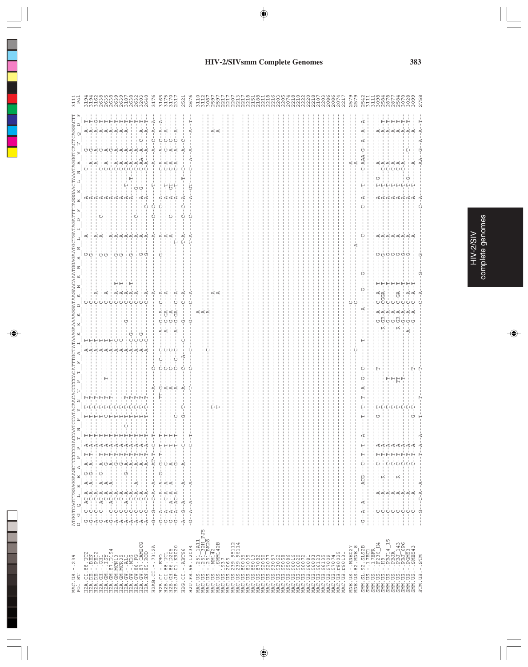| Í         |
|-----------|
|           |
| geno      |
|           |
|           |
|           |
|           |
|           |
|           |
|           |
| S<br>Solo |
|           |
|           |
|           |

go<br>ch

| $\sigma$<br>$\infty$<br>$\alpha$                                                                                                                                                                                                                                                                                                                                                                                                | AATCCATACACACCCCCCACATTICCTATAAAAAAGAAAGAACAAACGAATGCAGATICCTGATAGATTITAGGGAACTAAATAGGGTCACTCAGGA<br>N P Y M P T F F A I K K K N M K W R M L I D F R M I D F R M L I D F R N N R V<br>$\square$                                                                                                                                                                                                                   |                                             | $\Box$<br>回                       | 5                                                                                                                                                                                                | $\begin{array}{c}\n1.6 \\ -0.7 \\ -0.7\n\end{array}$         |
|---------------------------------------------------------------------------------------------------------------------------------------------------------------------------------------------------------------------------------------------------------------------------------------------------------------------------------------------------------------------------------------------------------------------------------|-------------------------------------------------------------------------------------------------------------------------------------------------------------------------------------------------------------------------------------------------------------------------------------------------------------------------------------------------------------------------------------------------------------------|---------------------------------------------|-----------------------------------|--------------------------------------------------------------------------------------------------------------------------------------------------------------------------------------------------|--------------------------------------------------------------|
| $\mathbf{I}$<br>- 1<br>$\begin{array}{l} \rm{H2A}, \rm{CL}, \rm{88}, \rm{UC2}\\ \rm{H2A}, \rm{DB}, \cdots \rm{B} \\ \rm{H2A}, \rm{CH}, \cdots \rm{H21}\\ \rm{H2A}, \rm{GH}, \cdots \rm{H21}\\ \rm{H2A}, \rm{GM}, \cdots \rm{H23}\\ \rm{H2A}, \rm{GM}, \rm{M} \\ \rm{H2A}, \rm{GM}, \rm{M} \\ \rm{H2A}, \rm{GM}, \rm{M} \\ \rm{H2A}, \rm{GM}, \cdots \rm{H25}\\ \rm{H2A}, \rm{GM}, \cdots \rm{H26}\\ \rm{H$                      |                                                                                                                                                                                                                                                                                                                                                                                                                   |                                             |                                   | п.                                                                                                                                                                                               |                                                              |
| - 1<br>$\overline{\phantom{a}}$                                                                                                                                                                                                                                                                                                                                                                                                 | U U U U U U U U U U U U U<br><b>HHHHHHUU</b><br><b>A A A A A A A A A A A A</b><br>н<br>666<br>╒╒╒╒╒╒╒╒╒╒╒╒╒<br>╿╹╹╹╹╹╹╹╹<br>ŔŔŔŔĿŔŔŔŔŔŔŔŔ<br>ŔŔŔŔĿĿĿĿĿĿĿĿĿĿ<br>GGAGAGAAAAAAA G                                                                                                                                                                                                                                    | $\triangle$ $\triangle$<br>לי לי לי לי<br>К | RARARARA                          | HHUHHHHHHHH<br><b>A A A A A A A A A</b><br>ひひえひえひえみみみみみみ<br>$\triangle$ $\triangle$                                                                                                              | G G G G G G G G G G G G G G G<br>mmmNNNNNMNNMMN              |
| $\overline{\phantom{a}}$                                                                                                                                                                                                                                                                                                                                                                                                        | н                                                                                                                                                                                                                                                                                                                                                                                                                 | A,                                          |                                   | $\overline{A}$                                                                                                                                                                                   |                                                              |
|                                                                                                                                                                                                                                                                                                                                                                                                                                 | 8888<br>1<br>UHHHHHH                                                                                                                                                                                                                                                                                                                                                                                              | េបប                                         |                                   |                                                                                                                                                                                                  |                                                              |
| - 1                                                                                                                                                                                                                                                                                                                                                                                                                             | J.                                                                                                                                                                                                                                                                                                                                                                                                                | FF                                          |                                   |                                                                                                                                                                                                  |                                                              |
|                                                                                                                                                                                                                                                                                                                                                                                                                                 | ひ<br>Н<br>н                                                                                                                                                                                                                                                                                                                                                                                                       | $\mathbf{I}$<br>е<br>$A \land A \land A$    | н                                 | н                                                                                                                                                                                                |                                                              |
|                                                                                                                                                                                                                                                                                                                                                                                                                                 | FЕ<br>н                                                                                                                                                                                                                                                                                                                                                                                                           |                                             | <b>ひひ</b><br>U                    |                                                                                                                                                                                                  |                                                              |
| - 1                                                                                                                                                                                                                                                                                                                                                                                                                             | ひ<br>៲បបបប<br>К<br>n mar                                                                                                                                                                                                                                                                                                                                                                                          | みみみみみみみ み みみみ<br>- (り - (り ひ<br>K,          | $\triangle$ $\triangle$<br>U      | $\mathcal{A}$<br>U<br>$\blacksquare$<br>$1 + 1 + 1 + 1$<br>$\color{red}{\mathbf{+}\,\mathbf{0}\,\mathbf{0}\,\mathbf{0}\,\mathbf{0}\,\mathbf{0}\,\mathbf{0}\,\mathbf{0}\,\mathbf{0}\,\mathbf{0}}$ |                                                              |
| К<br>$-17312i$                                                                                                                                                                                                                                                                                                                                                                                                                  | K.<br>부<br>U<br>Ť<br>$- - P T - L$<br>$\mathbf{I}$                                                                                                                                                                                                                                                                                                                                                                | K.                                          | Н<br>U<br>U                       | Ŕ.<br>Æ<br>U<br>K.<br>A                                                                                                                                                                          | 317                                                          |
|                                                                                                                                                                                                                                                                                                                                                                                                                                 | U<br>E<br>Н<br>÷<br>$\mathbf{I}$                                                                                                                                                                                                                                                                                                                                                                                  | てり                                          | Ü                                 |                                                                                                                                                                                                  |                                                              |
| - 1                                                                                                                                                                                                                                                                                                                                                                                                                             | ひ‐<br>$\triangle$ $\triangle$<br>÷<br>$\mathbf{I}$<br>$\blacksquare$                                                                                                                                                                                                                                                                                                                                              | $\triangle$ $\triangle$                     |                                   | ΚK<br>υU                                                                                                                                                                                         |                                                              |
| $\mathbf{I}$<br>H2B.CI.-.EHO<br>H2B.CI.88.UC1<br>H2B.GH.86.D205<br>H2B.JP.01.KR020                                                                                                                                                                                                                                                                                                                                              | U<br>7570<br><b>ひ ひ ひ ひ</b><br>A<br>ひひひひ<br>U<br>ひひひひ<br>ひみみみ<br>פפפפ<br>יליליל<br>FF<br>Ħ<br>$-1$<br>$-1$<br>$-1$<br>$-1$<br>$-1$<br>$-1$<br>$-1$<br>$-24 - 7$<br>$-4 - 7$<br>ひひひひ                                                                                                                                                                                                                               | $\mathsf{H}$<br>$\Delta$                    | 부당부<br>AAAA<br>U                  | К<br>U<br>U<br>くじくく<br>AAAA<br>ひひひひ                                                                                                                                                              | $m \omega \circ r$<br>11177<br>$M$ $M$ $M$ $N$               |
|                                                                                                                                                                                                                                                                                                                                                                                                                                 |                                                                                                                                                                                                                                                                                                                                                                                                                   |                                             |                                   |                                                                                                                                                                                                  |                                                              |
|                                                                                                                                                                                                                                                                                                                                                                                                                                 | U<br>てり<br>К<br>U<br>K,<br>$\frac{1}{4}$<br>$\cup$<br>÷<br>$A - -$<br>$\frac{1}{2}$<br>$\pm$<br>$\mathbf{A}^-$<br>Ŧ<br>$\mathbf{I}$<br>$- -A - -$<br>$A - G -$                                                                                                                                                                                                                                                    | Ŗ<br>Н<br>K.                                | Ą<br>U<br>υ                       | U                                                                                                                                                                                                | 52<br>$\sim$                                                 |
| H2U. FR. 96.12034                                                                                                                                                                                                                                                                                                                                                                                                               | U<br>てり<br>Ţ<br>$\cup$<br>÷<br> -<br> -<br> -<br> -<br> -<br> -<br>$-A---$<br>÷<br>$A - -A - -$<br>$-1$                                                                                                                                                                                                                                                                                                           | H<br>Æ                                      | 튱<br>К                            | Æ<br>U                                                                                                                                                                                           | r<br>$\circ$<br>$\sim$                                       |
|                                                                                                                                                                                                                                                                                                                                                                                                                                 | R<br>$\left\{ \begin{array}{c} 1 \\ 1 \end{array} \right\}$<br>$\mathbf{1}$<br>Ħ<br>Ħ<br>$\mathsf I$<br>$\mathbf{I}$                                                                                                                                                                                                                                                                                              |                                             |                                   |                                                                                                                                                                                                  |                                                              |
| $\overline{\phantom{0}}$<br>Ļ۵<br>Гď                                                                                                                                                                                                                                                                                                                                                                                            | $\blacksquare$                                                                                                                                                                                                                                                                                                                                                                                                    |                                             |                                   |                                                                                                                                                                                                  |                                                              |
|                                                                                                                                                                                                                                                                                                                                                                                                                                 | K,<br>$\frac{1}{4}$<br>$\,$ $\,$                                                                                                                                                                                                                                                                                                                                                                                  |                                             |                                   |                                                                                                                                                                                                  |                                                              |
|                                                                                                                                                                                                                                                                                                                                                                                                                                 | $\frac{1}{4}$<br>$\mathsf I$                                                                                                                                                                                                                                                                                                                                                                                      | ΚK                                          |                                   | К                                                                                                                                                                                                |                                                              |
|                                                                                                                                                                                                                                                                                                                                                                                                                                 | $\mathsf I$<br>$\,$ I                                                                                                                                                                                                                                                                                                                                                                                             |                                             |                                   | K.                                                                                                                                                                                               |                                                              |
|                                                                                                                                                                                                                                                                                                                                                                                                                                 | $\mathfrak l$<br>ı<br>$\mathbf{I}$                                                                                                                                                                                                                                                                                                                                                                                |                                             |                                   |                                                                                                                                                                                                  |                                                              |
| $\begin{small} \tt{MBC} & \tt U51\_1211 \atop \tt 1211\_3211 \atop \tt 2121\_3211 \atop \tt 2121\_3212 \atop \tt 2121\_3212 \atop \tt 2121\_3212 \atop \tt 2121\_3212 \atop \tt 2121\_3212 \atop \tt 2121\_3212 \atop \tt 2121\_3212 \atop \tt 2121\_3212 \atop \tt 2121\_3212 \atop \tt 2121\_3212 \atop \tt 2121\_3212 \atop$                                                                                                 | $\,$ I<br>$\overline{\phantom{a}}$<br>$\bar{1}$                                                                                                                                                                                                                                                                                                                                                                   |                                             |                                   |                                                                                                                                                                                                  | HHONDUNUUNUUHHUNUUUNOUUUUHUOOOU PU                           |
|                                                                                                                                                                                                                                                                                                                                                                                                                                 | $\frac{1}{1}$<br>$\overline{1}$<br>$\,$ I                                                                                                                                                                                                                                                                                                                                                                         |                                             |                                   |                                                                                                                                                                                                  | PPP mp co H co H co A co M co A co C co P w C c 4 p          |
|                                                                                                                                                                                                                                                                                                                                                                                                                                 |                                                                                                                                                                                                                                                                                                                                                                                                                   |                                             |                                   |                                                                                                                                                                                                  |                                                              |
|                                                                                                                                                                                                                                                                                                                                                                                                                                 |                                                                                                                                                                                                                                                                                                                                                                                                                   |                                             |                                   |                                                                                                                                                                                                  |                                                              |
|                                                                                                                                                                                                                                                                                                                                                                                                                                 |                                                                                                                                                                                                                                                                                                                                                                                                                   |                                             |                                   |                                                                                                                                                                                                  |                                                              |
|                                                                                                                                                                                                                                                                                                                                                                                                                                 |                                                                                                                                                                                                                                                                                                                                                                                                                   |                                             |                                   |                                                                                                                                                                                                  |                                                              |
|                                                                                                                                                                                                                                                                                                                                                                                                                                 | $\,$ I                                                                                                                                                                                                                                                                                                                                                                                                            |                                             |                                   |                                                                                                                                                                                                  |                                                              |
|                                                                                                                                                                                                                                                                                                                                                                                                                                 | l,                                                                                                                                                                                                                                                                                                                                                                                                                |                                             |                                   |                                                                                                                                                                                                  |                                                              |
|                                                                                                                                                                                                                                                                                                                                                                                                                                 | 1<br>$\,$ I<br>$\mathbf I$                                                                                                                                                                                                                                                                                                                                                                                        |                                             |                                   |                                                                                                                                                                                                  |                                                              |
|                                                                                                                                                                                                                                                                                                                                                                                                                                 | ţ<br>$\mathbf{I}$<br>$\,$ I                                                                                                                                                                                                                                                                                                                                                                                       |                                             |                                   |                                                                                                                                                                                                  |                                                              |
|                                                                                                                                                                                                                                                                                                                                                                                                                                 |                                                                                                                                                                                                                                                                                                                                                                                                                   |                                             |                                   |                                                                                                                                                                                                  |                                                              |
|                                                                                                                                                                                                                                                                                                                                                                                                                                 |                                                                                                                                                                                                                                                                                                                                                                                                                   |                                             |                                   |                                                                                                                                                                                                  |                                                              |
|                                                                                                                                                                                                                                                                                                                                                                                                                                 |                                                                                                                                                                                                                                                                                                                                                                                                                   |                                             |                                   |                                                                                                                                                                                                  |                                                              |
|                                                                                                                                                                                                                                                                                                                                                                                                                                 |                                                                                                                                                                                                                                                                                                                                                                                                                   |                                             |                                   |                                                                                                                                                                                                  |                                                              |
|                                                                                                                                                                                                                                                                                                                                                                                                                                 |                                                                                                                                                                                                                                                                                                                                                                                                                   |                                             |                                   |                                                                                                                                                                                                  |                                                              |
|                                                                                                                                                                                                                                                                                                                                                                                                                                 | f,                                                                                                                                                                                                                                                                                                                                                                                                                |                                             |                                   |                                                                                                                                                                                                  |                                                              |
|                                                                                                                                                                                                                                                                                                                                                                                                                                 | l,                                                                                                                                                                                                                                                                                                                                                                                                                |                                             |                                   |                                                                                                                                                                                                  |                                                              |
|                                                                                                                                                                                                                                                                                                                                                                                                                                 | $\frac{1}{1}$                                                                                                                                                                                                                                                                                                                                                                                                     |                                             |                                   |                                                                                                                                                                                                  |                                                              |
|                                                                                                                                                                                                                                                                                                                                                                                                                                 | $\frac{1}{1}$<br>$\,$ $\,$                                                                                                                                                                                                                                                                                                                                                                                        |                                             |                                   |                                                                                                                                                                                                  |                                                              |
|                                                                                                                                                                                                                                                                                                                                                                                                                                 | ł<br>$\,$ I<br>$\,$ I                                                                                                                                                                                                                                                                                                                                                                                             |                                             |                                   |                                                                                                                                                                                                  |                                                              |
|                                                                                                                                                                                                                                                                                                                                                                                                                                 | $\frac{1}{1}$<br>$\,$ I<br>1                                                                                                                                                                                                                                                                                                                                                                                      |                                             |                                   |                                                                                                                                                                                                  |                                                              |
|                                                                                                                                                                                                                                                                                                                                                                                                                                 | f,                                                                                                                                                                                                                                                                                                                                                                                                                |                                             |                                   |                                                                                                                                                                                                  |                                                              |
| $\overline{ }$                                                                                                                                                                                                                                                                                                                                                                                                                  | Ο<br>÷,                                                                                                                                                                                                                                                                                                                                                                                                           |                                             |                                   |                                                                                                                                                                                                  | თ თ<br>NU NHHQQCLQQQDOO<br>$N$ $N$                           |
| $\infty$                                                                                                                                                                                                                                                                                                                                                                                                                        | (7)                                                                                                                                                                                                                                                                                                                                                                                                               |                                             |                                   |                                                                                                                                                                                                  |                                                              |
|                                                                                                                                                                                                                                                                                                                                                                                                                                 | К<br>τŋ<br>$-4$<br>$-1$<br>$-$ – $\sim$ – $-$ – $-$<br>$-$ -ACG-<br>$G - -A - -A - - - -$                                                                                                                                                                                                                                                                                                                         | U<br>ひ                                      | Н<br>К                            | 4<br>К<br>ひ<br>$C-RA$                                                                                                                                                                            |                                                              |
|                                                                                                                                                                                                                                                                                                                                                                                                                                 | $\,$ I<br>$\mathbf{I}$<br>÷<br>$\mathbf{1}$<br>$\,$ I<br>$\,$<br>$\mathbf{I}$<br>$\frac{1}{4}$                                                                                                                                                                                                                                                                                                                    |                                             |                                   |                                                                                                                                                                                                  | $Q \vdash \neg \neg \neg \neg \neg \neg \neg \neg \neg \neg$ |
| $\begin{array}{l} \texttt{SMM}, \texttt{SL}, 92, \texttt{SLO2B} \\ \texttt{SMM}, \texttt{US}. - 17 \texttt{BCl} \\ \texttt{SMM}, \texttt{US}. - 17 \texttt{BCl} \\ \texttt{SMM}, \texttt{US}. - 18 \texttt{3} \texttt{6} \texttt{144} \\ \texttt{SMM}, \texttt{US}. - 19 \texttt{19} \texttt{7} \texttt{8} \texttt{8} \texttt{0} \texttt{0} \texttt{1} \texttt{1} \texttt{5} \texttt{8} \texttt{0} \texttt{0} \texttt{0} \text$ | $\mathbf{I}$<br>-<br>$\mathbf{I}$<br>I<br>$\blacksquare$                                                                                                                                                                                                                                                                                                                                                          |                                             |                                   |                                                                                                                                                                                                  |                                                              |
|                                                                                                                                                                                                                                                                                                                                                                                                                                 | τJ<br>н<br>Ť<br>÷,<br>$\begin{array}{c} \nabla & \cdot \\ \nabla & \cdot \end{array}$<br>$\mathbf{1}=\mathbf{1}$<br>$\mathbf{I}$<br>$\mathbb{L}$<br>Ħ<br>$\mathsf I$<br>$\frac{1}{4}$                                                                                                                                                                                                                             | Æ                                           |                                   | ひ                                                                                                                                                                                                |                                                              |
|                                                                                                                                                                                                                                                                                                                                                                                                                                 | $\mathbf{I}$<br>$\stackrel{\shortparallel }{ \mathbb{R} }$<br>$1 - 1 - 1$<br>÷<br>Ŕ<br>$\frac{1}{4}$                                                                                                                                                                                                                                                                                                              | GGA                                         | -11                               |                                                                                                                                                                                                  |                                                              |
| S                                                                                                                                                                                                                                                                                                                                                                                                                               | - 1<br><b>PPPP</b><br>$A \land A$<br>33<br>U<br>÷<br>$\begin{bmatrix} -1 & 0 & 0 \\ 0 & 0 & 0 \\ 0 & 0 & 0 \\ 0 & 0 & 0 \\ 0 & 0 & 0 \\ 0 & 0 & 0 \\ 0 & 0 & 0 \\ 0 & 0 & 0 \\ 0 & 0 & 0 \\ 0 & 0 & 0 \\ 0 & 0 & 0 \\ 0 & 0 & 0 \\ 0 & 0 & 0 \\ 0 & 0 & 0 & 0 \\ 0 & 0 & 0 & 0 \\ 0 & 0 & 0 & 0 \\ 0 & 0 & 0 & 0 & 0 \\ 0 & 0 & 0 & 0 & 0 \\ 0 & 0 & 0 & 0 & 0 \\ 0 & 0 & 0 & 0 & 0 & $<br>Ŧ<br>$\mathbf{I}$<br>÷ | <b>PPPPP</b>                                | $\blacksquare$                    | $1 - 1$                                                                                                                                                                                          |                                                              |
|                                                                                                                                                                                                                                                                                                                                                                                                                                 | 555<br>U<br>$\frac{1}{2}$<br>$\,$ $\,$<br>$\mathbf{I}$<br>$\frac{1}{4}$<br>÷<br>$\,$ $\,$<br>÷<br>$\blacksquare$                                                                                                                                                                                                                                                                                                  |                                             | $\overline{\phantom{a}}$          | $\blacksquare$<br>- 1                                                                                                                                                                            |                                                              |
|                                                                                                                                                                                                                                                                                                                                                                                                                                 | $\overline{R}$<br>К<br>÷<br>eeeee<br>Titit<br>↻<br>Ŕ<br>T-1<br>L<br>Ŧ<br>$\mathbf I$<br>$\mathbb{I}$<br>$\mathbf{I}$                                                                                                                                                                                                                                                                                              | GA                                          | $\mathbf{I}$                      | 88888<br>みみみみみ<br>$\mathbf{1}$                                                                                                                                                                   |                                                              |
|                                                                                                                                                                                                                                                                                                                                                                                                                                 | E<br>К<br>÷<br>↻<br>- 1<br>$\mathbf{I}$<br>$\mathbb{I}$<br>$\mathsf I$<br>÷                                                                                                                                                                                                                                                                                                                                       | <b>ひひひひひひひ</b><br>$\mathbb{H}$              | - 11                              | べんえんえん                                                                                                                                                                                           |                                                              |
|                                                                                                                                                                                                                                                                                                                                                                                                                                 | <b>UUUUUU</b><br>みみみみみみみ<br>.<br>$\triangle$ $\triangle$<br>÷<br>합<br><b>UU</b><br>$\mathbf{I}$<br>$\mathsf I$<br>$\mathbf{I}$<br>Ť.<br>$\mathsf I$<br>÷<br>$\mathsf I$<br>RARARA<br>÷<br>$\mathbf I$<br>J.<br>ひひひ                                                                                                                                                                                                | みみみみみみみ<br>$\vdash$<br>Ą                    | - 1<br><b>PPPPPPPP</b><br>RARARAA | $\overline{F}$<br>ひ                                                                                                                                                                              | NMMMNNNNMM                                                   |
|                                                                                                                                                                                                                                                                                                                                                                                                                                 | ÷<br>$\overline{\phantom{a}}$<br>j.<br>$\,$<br>ŧ<br>÷<br>$\mathbf I$<br>$\mathfrak l$<br>T.<br>$\mathbf{I}$                                                                                                                                                                                                                                                                                                       | К                                           |                                   |                                                                                                                                                                                                  |                                                              |
|                                                                                                                                                                                                                                                                                                                                                                                                                                 | $- - \lambda$<br>A<br>J,<br>턱<br>$\overline{\phantom{a}}$<br>$\overline{\phantom{a}}$<br>$\overline{\phantom{a}}$<br>$-4$<br>$- -C - A$<br>C                                                                                                                                                                                                                                                                      |                                             |                                   |                                                                                                                                                                                                  | L<br>$\sim$                                                  |
|                                                                                                                                                                                                                                                                                                                                                                                                                                 |                                                                                                                                                                                                                                                                                                                                                                                                                   |                                             |                                   |                                                                                                                                                                                                  |                                                              |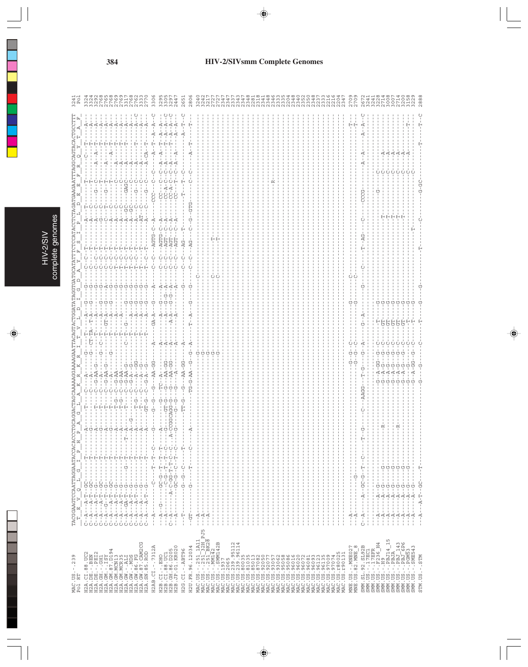| NΑ                                                                                            | OCCOCOCHOCOM<br>3327777737737<br>mmmNNNNNMNNNMN                                                                                                                                                                                                                                                                                                                                      | 330<br>N M<br>$m \, m \, m \, N$                                                                                                                                                                           | ${}^{\circ}$<br>26                                                 |                                                         |                                                                    | <b>NNNN</b><br>$N$ $N$ $N$                 | $\circ$                                                                                                                                                                                                                                                                                                                                                                                                    | 455433<br>mmmmmNmmmmmmNmmmmmNmNNNN<br>NNNN                                                                                                                                                                                                                                                                                                                                                             | $N$ $N$                                    | 0N<br>N P Q<br>$\circ$<br>$N \rightarrow N$<br>$\sim$ $\sim$<br>$M$ $M$ $m$<br>$\sim$                                                                                                                                                                                                                                                                                                                                                                          |                                                                                                                                                                                                                                                                                                                                                                                                                                           |
|-----------------------------------------------------------------------------------------------|--------------------------------------------------------------------------------------------------------------------------------------------------------------------------------------------------------------------------------------------------------------------------------------------------------------------------------------------------------------------------------------|------------------------------------------------------------------------------------------------------------------------------------------------------------------------------------------------------------|--------------------------------------------------------------------|---------------------------------------------------------|--------------------------------------------------------------------|--------------------------------------------|------------------------------------------------------------------------------------------------------------------------------------------------------------------------------------------------------------------------------------------------------------------------------------------------------------------------------------------------------------------------------------------------------------|--------------------------------------------------------------------------------------------------------------------------------------------------------------------------------------------------------------------------------------------------------------------------------------------------------------------------------------------------------------------------------------------------------|--------------------------------------------|----------------------------------------------------------------------------------------------------------------------------------------------------------------------------------------------------------------------------------------------------------------------------------------------------------------------------------------------------------------------------------------------------------------------------------------------------------------|-------------------------------------------------------------------------------------------------------------------------------------------------------------------------------------------------------------------------------------------------------------------------------------------------------------------------------------------------------------------------------------------------------------------------------------------|
| CAGTACKURITET                                                                                 |                                                                                                                                                                                                                                                                                                                                                                                      | τ)<br>$A \land A$                                                                                                                                                                                          |                                                                    |                                                         |                                                                    |                                            |                                                                                                                                                                                                                                                                                                                                                                                                            |                                                                                                                                                                                                                                                                                                                                                                                                        |                                            |                                                                                                                                                                                                                                                                                                                                                                                                                                                                |                                                                                                                                                                                                                                                                                                                                                                                                                                           |
|                                                                                               | 8888888<br>н<br>K.<br>К<br><b>- AAAAAA</b><br>K.                                                                                                                                                                                                                                                                                                                                     | RARA                                                                                                                                                                                                       |                                                                    |                                                         |                                                                    |                                            |                                                                                                                                                                                                                                                                                                                                                                                                            |                                                                                                                                                                                                                                                                                                                                                                                                        |                                            | K,<br>RARAA<br>K,                                                                                                                                                                                                                                                                                                                                                                                                                                              |                                                                                                                                                                                                                                                                                                                                                                                                                                           |
|                                                                                               | ひひひひ<br>н                                                                                                                                                                                                                                                                                                                                                                            | υU<br>υ<br>U                                                                                                                                                                                               |                                                                    |                                                         |                                                                    |                                            |                                                                                                                                                                                                                                                                                                                                                                                                            |                                                                                                                                                                                                                                                                                                                                                                                                        |                                            | <b>ひひひひひひひと</b>                                                                                                                                                                                                                                                                                                                                                                                                                                                |                                                                                                                                                                                                                                                                                                                                                                                                                                           |
| TCTCCATACCTCTAGATGAAGAATTTA<br>F S I P L D E E F                                              | $-GA$<br>$\frac{1}{\sqrt{2}}$<br>ひ<br>ひ<br>HUUUHUUUUUUU                                                                                                                                                                                                                                                                                                                              | $\mathbf{I}$<br>U<br>U<br>ġġġġ                                                                                                                                                                             |                                                                    |                                                         |                                                                    |                                            |                                                                                                                                                                                                                                                                                                                                                                                                            |                                                                                                                                                                                                                                                                                                                                                                                                        |                                            | UU<br>UU                                                                                                                                                                                                                                                                                                                                                                                                                                                       |                                                                                                                                                                                                                                                                                                                                                                                                                                           |
|                                                                                               | みみみひしみみみみみみみ                                                                                                                                                                                                                                                                                                                                                                         | Æ<br>RARA<br><br>O                                                                                                                                                                                         |                                                                    |                                                         |                                                                    |                                            |                                                                                                                                                                                                                                                                                                                                                                                                            |                                                                                                                                                                                                                                                                                                                                                                                                        |                                            | 6666                                                                                                                                                                                                                                                                                                                                                                                                                                                           |                                                                                                                                                                                                                                                                                                                                                                                                                                           |
|                                                                                               | (1(1)                                                                                                                                                                                                                                                                                                                                                                                | AGTG<br>AGT<br>AGT<br>ひひひひ<br>U                                                                                                                                                                            |                                                                    |                                                         |                                                                    |                                            |                                                                                                                                                                                                                                                                                                                                                                                                            |                                                                                                                                                                                                                                                                                                                                                                                                        |                                            |                                                                                                                                                                                                                                                                                                                                                                                                                                                                |                                                                                                                                                                                                                                                                                                                                                                                                                                           |
|                                                                                               |                                                                                                                                                                                                                                                                                                                                                                                      |                                                                                                                                                                                                            |                                                                    |                                                         |                                                                    |                                            |                                                                                                                                                                                                                                                                                                                                                                                                            |                                                                                                                                                                                                                                                                                                                                                                                                        |                                            |                                                                                                                                                                                                                                                                                                                                                                                                                                                                |                                                                                                                                                                                                                                                                                                                                                                                                                                           |
| CCTGGACTAGAAAAGGAAAGAATTACAGTACTGGATATAGGTGATGCATATT<br>P A G L A K R K R T T V L D I G D A Y | ひ ひ ひ ひ ひ む ひ ひ ひ ひ ひ ひ ひ<br>じ じ<br>せせせ<br>ひひひひひ                                                                                                                                                                                                                                                                                                                                     | K.<br>ΚK<br>K.<br>てり<br>せせせ<br>ひ                                                                                                                                                                           | てり                                                                 |                                                         |                                                                    |                                            |                                                                                                                                                                                                                                                                                                                                                                                                            |                                                                                                                                                                                                                                                                                                                                                                                                        | <b>いい</b>                                  | ひひひひひひひひ                                                                                                                                                                                                                                                                                                                                                                                                                                                       |                                                                                                                                                                                                                                                                                                                                                                                                                                           |
|                                                                                               | $T - A$<br>ひ                                                                                                                                                                                                                                                                                                                                                                         | AAAA<br>Ŕ,                                                                                                                                                                                                 |                                                                    |                                                         |                                                                    |                                            |                                                                                                                                                                                                                                                                                                                                                                                                            |                                                                                                                                                                                                                                                                                                                                                                                                        |                                            | Ŗ<br>555<br>튱<br>튱<br>てり                                                                                                                                                                                                                                                                                                                                                                                                                                       |                                                                                                                                                                                                                                                                                                                                                                                                                                           |
|                                                                                               | <b>6666666666</b><br>ひ                                                                                                                                                                                                                                                                                                                                                               | AAAA                                                                                                                                                                                                       | $\boldsymbol{\mathcal{A}}$<br>K.<br>ひ                              | ひひひひひ                                                   |                                                                    |                                            |                                                                                                                                                                                                                                                                                                                                                                                                            |                                                                                                                                                                                                                                                                                                                                                                                                        | U<br>U<br>ひ<br>ひ                           | К<br>ひひひひひひ<br>ひ                                                                                                                                                                                                                                                                                                                                                                                                                                               | T.                                                                                                                                                                                                                                                                                                                                                                                                                                        |
|                                                                                               | せせひひせ<br>daaadadad<br>4Ã                                                                                                                                                                                                                                                                                                                                                             | 3<br>9<br>ひ<br>A-A<br>AA                                                                                                                                                                                   |                                                                    |                                                         |                                                                    |                                            |                                                                                                                                                                                                                                                                                                                                                                                                            |                                                                                                                                                                                                                                                                                                                                                                                                        | <b>いい</b>                                  | ひひひひひひひひ<br>也<br>AAAAA                                                                                                                                                                                                                                                                                                                                                                                                                                         |                                                                                                                                                                                                                                                                                                                                                                                                                                           |
|                                                                                               | Ġ<br>1 9 9 9 9<br>てり<br>ひ<br>U<br>ひ<br>ひ<br>ひ<br>U                                                                                                                                                                                                                                                                                                                                   | 5999<br>ひ<br>ひひひひ                                                                                                                                                                                          | Ů<br>Ů<br>Ů                                                        |                                                         |                                                                    |                                            |                                                                                                                                                                                                                                                                                                                                                                                                            |                                                                                                                                                                                                                                                                                                                                                                                                        |                                            | ひ ひ ひ ひ ひ ひ ひ ひ                                                                                                                                                                                                                                                                                                                                                                                                                                                |                                                                                                                                                                                                                                                                                                                                                                                                                                           |
|                                                                                               |                                                                                                                                                                                                                                                                                                                                                                                      | GGCAGG<br>5                                                                                                                                                                                                |                                                                    |                                                         |                                                                    |                                            |                                                                                                                                                                                                                                                                                                                                                                                                            |                                                                                                                                                                                                                                                                                                                                                                                                        |                                            |                                                                                                                                                                                                                                                                                                                                                                                                                                                                |                                                                                                                                                                                                                                                                                                                                                                                                                                           |
|                                                                                               | ひんひんひんへんへんえん<br>ł<br>ł<br>÷<br>Ť<br>İ<br>j<br>j<br>÷<br>1<br>$\,$ $\,$<br>$\mathbf I$                                                                                                                                                                                                                                                                                                | ひ<br>ぱめひぴ<br>Æ<br>$\frac{1}{2}$                                                                                                                                                                            | ÷.<br>$\frac{1}{1}$                                                |                                                         |                                                                    |                                            |                                                                                                                                                                                                                                                                                                                                                                                                            |                                                                                                                                                                                                                                                                                                                                                                                                        |                                            | J.<br>J.                                                                                                                                                                                                                                                                                                                                                                                                                                                       | I,<br>$\,$ I                                                                                                                                                                                                                                                                                                                                                                                                                              |
|                                                                                               | Ì<br>$\frac{1}{4}$<br>$\overline{\phantom{a}}$<br>F-<br>éé<br>Ti<br>$\frac{1}{2}$<br>۲<br>-<br>۲<br>-<br>$L = -1$<br>$\overline{\phantom{a}}$<br>$\mathsf I$<br>$\frac{1}{4}$<br>$\blacksquare$<br>$\mathbf{I}$<br>$\mathbf{I}$<br>J.<br>$\overline{\phantom{a}}$<br>$\overline{\phantom{a}}$                                                                                        | $-1 - 1 - 1 - 1 - 1 - 1$<br>۲<br>ا                                                                                                                                                                         | J.<br>1<br>$-1$                                                    | $\mathbf{I}$<br>j<br>ţ                                  |                                                                    |                                            |                                                                                                                                                                                                                                                                                                                                                                                                            | $\frac{1}{1}$                                                                                                                                                                                                                                                                                                                                                                                          | ł                                          | I<br>$\,$<br>$\begin{array}{c} \hline \end{array}$<br>$\,$<br>÷<br>I<br>J.<br>1<br>$\,$<br>$\mathbf{I}$<br>$\mathbf{I}$<br>J.<br>J.<br>J.<br>٠<br>$\overline{\phantom{a}}$<br>ひ<br>ι<br>Ω<br>Τ<br>$\frac{1}{\sqrt{2}}$<br><b>ひ ひ</b><br>$\,$<br>$\blacksquare$<br>$\mathbf{I}$                                                                                                                                                                                 | $\begin{array}{c} \rule{0.2cm}{0.15mm} \rule{0.2cm}{0.15mm} \rule{0.2cm}{0.15mm} \rule{0.2cm}{0.15mm} \rule{0.2cm}{0.15mm} \rule{0.2cm}{0.15mm} \rule{0.2cm}{0.15mm} \rule{0.2cm}{0.15mm} \rule{0.2cm}{0.15mm} \rule{0.2cm}{0.15mm} \rule{0.2cm}{0.15mm} \rule{0.2cm}{0.15mm} \rule{0.2cm}{0.15mm} \rule{0.2cm}{0.15mm} \rule{0.2cm}{0.15mm} \rule{$<br>J.<br>J.<br>$\overline{\phantom{a}}$<br>I.<br>J.<br>F<br>$\overline{\phantom{a}}$ |
|                                                                                               | ł<br>ļ<br>$\begin{matrix} \vdots \ \vdots \ \vdots \end{matrix}$<br>$\frac{1}{4}$<br>$\frac{1}{\omega}$<br>$- - 55 - -$<br>÷<br>Ü<br>$-100$<br>$\frac{1}{\sqrt{2}}$<br>$-1$<br>$\frac{6}{1}$<br>$\frac{6}{1}$<br>$-6$                                                                                                                                                                | $-1 - 2 - C - 6 - T - T - C$<br>$\overline{C}$<br>J.<br>$\mathbf{I}$                                                                                                                                       | $-9 - -$<br>$\mathsf I$<br>$\mathsf I$                             | ł<br>$\frac{1}{1}$<br>$\mathbf{I}$<br>$\mathbf{I}$<br>Ħ |                                                                    |                                            |                                                                                                                                                                                                                                                                                                                                                                                                            | ţ<br>$\frac{1}{4}$                                                                                                                                                                                                                                                                                                                                                                                     | $\sum_{i=1}^{n}$<br>$\mathbb{I}$           | $-1 - 2 - 1 - 3 - 3 - 4 - 5 - 1$<br>$\frac{1}{4}$<br>J.<br>$\mathbf{I}$<br>t<br>$-1 - A - C$<br>$-1 - A - C$                                                                                                                                                                                                                                                                                                                                                   | Í<br>$- -P - T - - GC$                                                                                                                                                                                                                                                                                                                                                                                                                    |
| TACGGAAGTCCAATTAGGAATACCACA<br>T E V Q L G I P H                                              | $---A-T$<br>$- - A$                                                                                                                                                                                                                                                                                                                                                                  | $\mathsf I$<br>J<br>ŧ<br>$\overline{\phantom{a}}$<br>$\frac{1}{4}$<br>$-4$<br>$-4$<br>$-4$<br>$-4$                                                                                                         | $\mathbf{I}$<br>$\mathbf{I}$<br>$- -$ GT<br>÷<br>ا<br>$\mathbb{I}$ | $\mathsf I$<br>ŧ<br>$\frac{1}{4}$<br>$-24$<br>J.        | $\frac{1}{2}$<br>t<br>1<br>$\frac{1}{4}$<br>$\,$ I<br>$\mathbf{I}$ | $\begin{array}{c} \hline \end{array}$<br>t | $\frac{1}{1}$<br>$\frac{1}{4}$<br>$\begin{array}{c} \rule{0.2cm}{0.15mm} \rule{0.2cm}{0.15mm} \rule{0.2cm}{0.15mm} \rule{0.2cm}{0.15mm} \rule{0.2cm}{0.15mm} \rule{0.2cm}{0.15mm} \rule{0.2cm}{0.15mm} \rule{0.2cm}{0.15mm} \rule{0.2cm}{0.15mm} \rule{0.2cm}{0.15mm} \rule{0.2cm}{0.15mm} \rule{0.2cm}{0.15mm} \rule{0.2cm}{0.15mm} \rule{0.2cm}{0.15mm} \rule{0.2cm}{0.15mm} \rule{$<br>J<br>ı<br>$\,$ I | $\mathbf{I}$<br>$\,$<br>$\,$ I<br>ł                                                                                                                                                                                                                                                                                                                                                                    | J.<br>$\mathbf{I}$<br>$-4 - 7 - 1$<br>$-4$ | $\frac{1}{4}$<br>$\mathbf{I}$<br>$\overline{\phantom{a}}$<br>$\mathbf{L}$<br>$\blacksquare$<br>J.<br>t<br>Ť,<br>j<br>$\mathbf{I}$<br>$\frac{1}{1}$<br>$\frac{1}{1}$<br>÷,<br>J.<br>÷,<br>$- - A -$<br>$- - A$<br>$- - A$<br>$- - A$<br>$-4$<br>$- - A$<br>t                                                                                                                                                                                                    | $- - - - - - - -$<br>$\overline{A}$<br>$\frac{1}{1}$                                                                                                                                                                                                                                                                                                                                                                                      |
|                                                                                               | U<br><b>UUUUUU</b><br>↻<br>↻<br>↻<br>U<br>C<br>◡                                                                                                                                                                                                                                                                                                                                     | $\cup$<br>- 1<br>$\circ$                                                                                                                                                                                   |                                                                    | PJ5                                                     |                                                                    |                                            |                                                                                                                                                                                                                                                                                                                                                                                                            |                                                                                                                                                                                                                                                                                                                                                                                                        |                                            | $\cup$<br>LN,                                                                                                                                                                                                                                                                                                                                                                                                                                                  |                                                                                                                                                                                                                                                                                                                                                                                                                                           |
| $\sigma$                                                                                      | $\begin{array}{l} \rm{H2A}, \rm{CL}, \rm{88}, \rm{UC2}\\ \rm{H2A}, \rm{DB}, \cdots, \rm{BB1}\\ \rm{H2A}, \rm{GH}, \cdots, \rm{GH1}\\ \rm{H2A}, \rm{GH}, \cdots, \rm{SH1}\\ \rm{H2A}, \rm{GH}, \cdots, \rm{SH2}\\ \rm{H2A}, \rm{GH}, \rm{H2A}, \rm{SH23}\\ \rm{H2A}, \rm{GH}, \rm{H2A}, \rm{SH23}\\ \rm{H2A}, \rm{GH}, \cdots, \rm{H2B}\\ \rm{H2A}, \rm{GH}, \cdots, \rm{H2B}\\ \rm{$ | $-.7312A$<br>$\begin{array}{l} \rm H2B \cdot CL \cdot - \cdot \rm BHO \\ \rm H2B \cdot CL \cdot 88 \cdot UCL \\ \rm H2B \cdot GH \cdot 86 \cdot D205 \\ \rm H2B \cdot JE \cdot 01 \cdot KRO20 \end{array}$ | H2U.FR.96.12034<br>H2G.CI. - ABT96                                 |                                                         |                                                                    |                                            |                                                                                                                                                                                                                                                                                                                                                                                                            | $\begin{small} \texttt{MBC} & \texttt{US} & \texttt{--251} & \texttt{1411} \\ \texttt{MBC} & \texttt{.251} & \texttt{1828} \\ \texttt{MBC} & \texttt{.251} & \texttt{1828} \\ \texttt{MBC} & \texttt{.251} & \texttt{1828} \\ \texttt{MBC} & \texttt{.251} & \texttt{.252} \\ \texttt{MMC} & \texttt{.251} & \texttt{.253} \\ \texttt{MMC} & \texttt{.253} & \texttt{.253} \\ \texttt{MBC} & \texttt{$ | MNE.US. - .MNE027<br>MNE.US. 82.MNE_8      | $\begin{array}{l} \texttt{SMM}, \texttt{SL}, 92, \texttt{SLO2B} \\ \texttt{SMM}, \texttt{US} \cdot .17 \texttt{BCl} \\ \texttt{SMM}, \texttt{US} \cdot .17 \texttt{BCl} \\ \texttt{SMM}, \texttt{US} \cdot .19 \texttt{--} \\ \texttt{SMM}, \texttt{US} \cdot .19 \texttt{--} \\ \texttt{SMM}, \texttt{US} \cdot .19 \texttt{--} \\ \texttt{SMM}, \texttt{US} \cdot .19 \texttt{--} \\ \texttt{SMM}, \texttt{US} \cdot .19 \texttt{--} \\ \texttt{SMM}, \text$ | <b>NLS</b>                                                                                                                                                                                                                                                                                                                                                                                                                                |
| MAC.US.-.23<br>Pol RT                                                                         |                                                                                                                                                                                                                                                                                                                                                                                      | H2AB.CI                                                                                                                                                                                                    |                                                                    |                                                         |                                                                    |                                            |                                                                                                                                                                                                                                                                                                                                                                                                            |                                                                                                                                                                                                                                                                                                                                                                                                        |                                            |                                                                                                                                                                                                                                                                                                                                                                                                                                                                | STM.US                                                                                                                                                                                                                                                                                                                                                                                                                                    |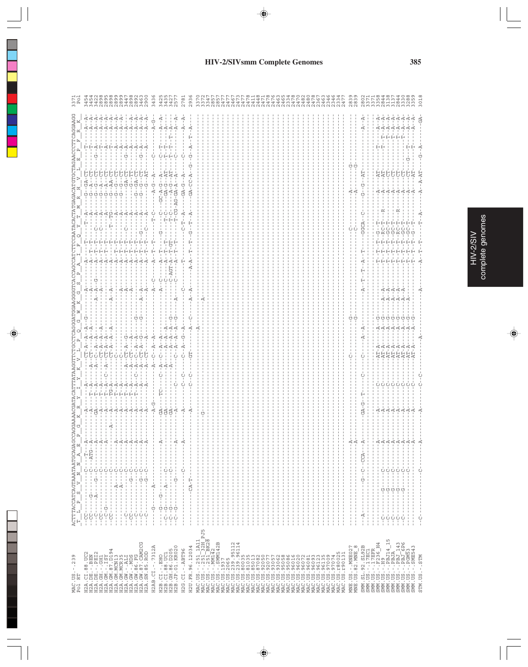| ĺ               |
|-----------------|
|                 |
|                 |
|                 |
| geno            |
|                 |
| ì               |
|                 |
|                 |
| i               |
|                 |
|                 |
| <b>Property</b> |
|                 |
|                 |
|                 |

ő,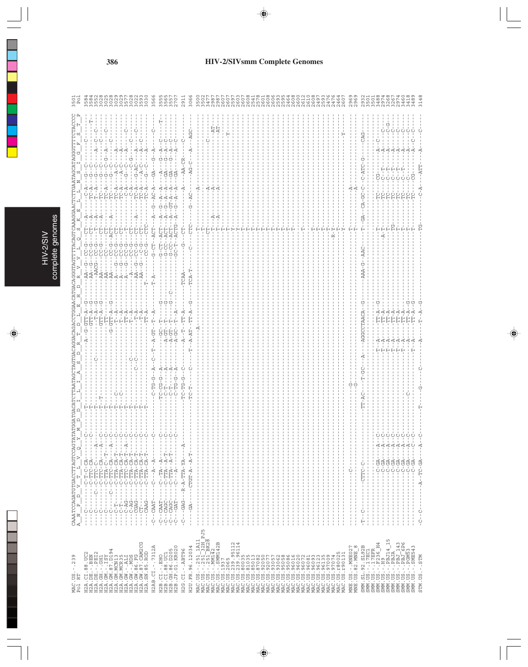| C<br>$-0.23$<br>$\ddot{\phantom{0}}$<br>MAC.US.<br>Pol RT                                                                                                                                                                                                                                                                        | $\begin{array}{cccccc} \mathtt{CAAATCCAGATGTCACCTTAGTCCAG1} \\ \mathtt{A} & \mathtt{N} & \mathtt{P} & \mathtt{D} & \mathtt{V} & \mathtt{T} & \mathtt{L} & \mathtt{V} & \mathtt{Q} \end{array}$                                                                                                                                                                                                                                                                                                                                                              |                                                               |                                                                         | COCARDORIALARDA E ARPERIA AGARA GARA CHE E E AGARA CHA CORO A CARA CARDO A CORO CORO A CORO A CORO A CHA E E E |                                           |                              |            |
|----------------------------------------------------------------------------------------------------------------------------------------------------------------------------------------------------------------------------------------------------------------------------------------------------------------------------------|-------------------------------------------------------------------------------------------------------------------------------------------------------------------------------------------------------------------------------------------------------------------------------------------------------------------------------------------------------------------------------------------------------------------------------------------------------------------------------------------------------------------------------------------------------------|---------------------------------------------------------------|-------------------------------------------------------------------------|----------------------------------------------------------------------------------------------------------------|-------------------------------------------|------------------------------|------------|
|                                                                                                                                                                                                                                                                                                                                  | $\frac{1}{2}$                                                                                                                                                                                                                                                                                                                                                                                                                                                                                                                                               |                                                               |                                                                         |                                                                                                                |                                           |                              |            |
|                                                                                                                                                                                                                                                                                                                                  |                                                                                                                                                                                                                                                                                                                                                                                                                                                                                                                                                             |                                                               |                                                                         |                                                                                                                |                                           |                              |            |
|                                                                                                                                                                                                                                                                                                                                  |                                                                                                                                                                                                                                                                                                                                                                                                                                                                                                                                                             |                                                               |                                                                         | ひ                                                                                                              |                                           |                              |            |
|                                                                                                                                                                                                                                                                                                                                  |                                                                                                                                                                                                                                                                                                                                                                                                                                                                                                                                                             |                                                               |                                                                         |                                                                                                                |                                           | あああ                          | ΰ          |
|                                                                                                                                                                                                                                                                                                                                  |                                                                                                                                                                                                                                                                                                                                                                                                                                                                                                                                                             |                                                               | ひ<br>GTT-A                                                              | ָט ט<br>ט ט                                                                                                    |                                           | Ü                            |            |
|                                                                                                                                                                                                                                                                                                                                  | ပု<br>U                                                                                                                                                                                                                                                                                                                                                                                                                                                                                                                                                     |                                                               |                                                                         |                                                                                                                |                                           |                              |            |
|                                                                                                                                                                                                                                                                                                                                  |                                                                                                                                                                                                                                                                                                                                                                                                                                                                                                                                                             |                                                               | $\mathbf{T}\mathbf{T}$ - $\mathbf{A}$                                   | ******                                                                                                         |                                           |                              | OOOOIAOOIA |
|                                                                                                                                                                                                                                                                                                                                  |                                                                                                                                                                                                                                                                                                                                                                                                                                                                                                                                                             |                                                               |                                                                         |                                                                                                                |                                           |                              |            |
|                                                                                                                                                                                                                                                                                                                                  |                                                                                                                                                                                                                                                                                                                                                                                                                                                                                                                                                             |                                                               |                                                                         | ひ                                                                                                              |                                           |                              |            |
| $\begin{array}{l} \rm H2A,\,C1.\,98\,,\,C12\\ \rm H2A,\,DB1.-\,EBIM\\ \rm H2A,\,GH.-\,B11-121\\ \rm H2A,\,GH.-\,H112\\ \rm H2A,\,GM~,,-\,I51\\ \rm H2A,\,GM~,,000\\ \rm H2A,\,GM~,000\\ \rm H2A,\,GM~,000\\ \rm H2A,\,GM~,,000\\ \rm H2A,\,GM~,,000\\ \rm H2A,\,GW,966\,,\,F_0\\ \rm H2A,\,GW,966\,,\,F_0\\ \rm H2A,\,G_0W,965\$ |                                                                                                                                                                                                                                                                                                                                                                                                                                                                                                                                                             |                                                               |                                                                         |                                                                                                                | A<br>U                                    |                              | ö          |
| H2AB. CI.-. 7312A                                                                                                                                                                                                                                                                                                                | $C = -A - -A -$<br>$\mathbf I$<br>$ CAAT$<br>ပုံ                                                                                                                                                                                                                                                                                                                                                                                                                                                                                                            |                                                               |                                                                         | もしゅ                                                                                                            | ų,<br>AC –                                | 돊                            |            |
|                                                                                                                                                                                                                                                                                                                                  | Ŧ<br>$\mathbb{I}$                                                                                                                                                                                                                                                                                                                                                                                                                                                                                                                                           |                                                               |                                                                         |                                                                                                                |                                           |                              |            |
| H2B.CI.-1EHO                                                                                                                                                                                                                                                                                                                     | $C-T-$<br>÷.<br>÷.<br>$\frac{1}{2}$                                                                                                                                                                                                                                                                                                                                                                                                                                                                                                                         | ₫                                                             | ひ<br>$A - GT$                                                           |                                                                                                                | ひ                                         |                              |            |
| H2B.CI.88.UC1<br>H2B.GH.86.D205<br>H2B.JP.01.KR020                                                                                                                                                                                                                                                                               | ÷<br>$\begin{aligned} -C & -C A A T & -\cdot \cdot -C - T A - A - \cdot \\ -C & -C A G C & -\cdot \cdot -C - T T A - A - T \\ -C & -C A G C & -\cdot \cdot -C - T T A - A - T \\ -C & -C A G C & -\cdot \cdot -C - T T A - A - \cdot \cdot -C - \cdot \\ -C & -C A T & -\cdot \cdot -C - A - \cdot \cdot -C - \cdot -C - \cdot \\ \end{aligned}$                                                                                                                                                                                                            | K,                                                            | ひ<br>5<br>'                                                             | 5-00<br>5-00                                                                                                   | $\ddot{A}$ – $\ddot{A}$<br>$\overline{5}$ | υ                            |            |
| $\circ$                                                                                                                                                                                                                                                                                                                          | $\blacksquare$                                                                                                                                                                                                                                                                                                                                                                                                                                                                                                                                              | К                                                             | ひゅー                                                                     |                                                                                                                |                                           | U                            |            |
| $-.ABT96$<br>$H2G$ . CI.                                                                                                                                                                                                                                                                                                         | $TC-TG$<br>$- - A$<br>$- - R - A - T T A - Y A - -$<br>$-040 - - -$<br>$\cup$                                                                                                                                                                                                                                                                                                                                                                                                                                                                               | U                                                             |                                                                         |                                                                                                                |                                           |                              |            |
| H2U.FR.96.12034                                                                                                                                                                                                                                                                                                                  | ÷<br>$-1 - 4 - 4 - 4 - 1010$<br>$\mathsf I$                                                                                                                                                                                                                                                                                                                                                                                                                                                                                                                 |                                                               |                                                                         |                                                                                                                | <b>AC</b>                                 |                              |            |
| $\begin{array}{l} \tt MAC.US.-251~1A11\\ \tt MAC.US.-251~32H P\\ \tt MAC.US.-251~BK2\overline{8}\\ \tt MAC.US.-1M142\\ \tt MAC.US.-1M142\\ \tt MAC.US-1M142\\ \end{array}$                                                                                                                                                       |                                                                                                                                                                                                                                                                                                                                                                                                                                                                                                                                                             |                                                               |                                                                         |                                                                                                                | К                                         |                              |            |
| PJ5                                                                                                                                                                                                                                                                                                                              |                                                                                                                                                                                                                                                                                                                                                                                                                                                                                                                                                             |                                                               |                                                                         |                                                                                                                |                                           |                              |            |
|                                                                                                                                                                                                                                                                                                                                  |                                                                                                                                                                                                                                                                                                                                                                                                                                                                                                                                                             |                                                               |                                                                         |                                                                                                                | $A \nA$                                   |                              | $-AT$      |
|                                                                                                                                                                                                                                                                                                                                  |                                                                                                                                                                                                                                                                                                                                                                                                                                                                                                                                                             |                                                               |                                                                         |                                                                                                                |                                           |                              | $-AT$      |
|                                                                                                                                                                                                                                                                                                                                  |                                                                                                                                                                                                                                                                                                                                                                                                                                                                                                                                                             |                                                               |                                                                         |                                                                                                                |                                           |                              |            |
|                                                                                                                                                                                                                                                                                                                                  |                                                                                                                                                                                                                                                                                                                                                                                                                                                                                                                                                             |                                                               |                                                                         |                                                                                                                |                                           |                              |            |
|                                                                                                                                                                                                                                                                                                                                  | j<br>J,                                                                                                                                                                                                                                                                                                                                                                                                                                                                                                                                                     |                                                               |                                                                         |                                                                                                                |                                           |                              |            |
|                                                                                                                                                                                                                                                                                                                                  |                                                                                                                                                                                                                                                                                                                                                                                                                                                                                                                                                             |                                                               |                                                                         |                                                                                                                |                                           |                              |            |
|                                                                                                                                                                                                                                                                                                                                  |                                                                                                                                                                                                                                                                                                                                                                                                                                                                                                                                                             |                                                               |                                                                         |                                                                                                                |                                           |                              |            |
|                                                                                                                                                                                                                                                                                                                                  | $\mathbf{I}$                                                                                                                                                                                                                                                                                                                                                                                                                                                                                                                                                |                                                               |                                                                         |                                                                                                                |                                           |                              |            |
|                                                                                                                                                                                                                                                                                                                                  | J.<br>J.                                                                                                                                                                                                                                                                                                                                                                                                                                                                                                                                                    |                                                               |                                                                         |                                                                                                                |                                           |                              |            |
|                                                                                                                                                                                                                                                                                                                                  | $\frac{1}{1}$                                                                                                                                                                                                                                                                                                                                                                                                                                                                                                                                               |                                                               |                                                                         |                                                                                                                |                                           |                              |            |
|                                                                                                                                                                                                                                                                                                                                  | $\frac{1}{4}$                                                                                                                                                                                                                                                                                                                                                                                                                                                                                                                                               |                                                               |                                                                         |                                                                                                                |                                           |                              |            |
|                                                                                                                                                                                                                                                                                                                                  | I<br>J.                                                                                                                                                                                                                                                                                                                                                                                                                                                                                                                                                     |                                                               |                                                                         |                                                                                                                |                                           |                              |            |
|                                                                                                                                                                                                                                                                                                                                  | $\frac{1}{1}$                                                                                                                                                                                                                                                                                                                                                                                                                                                                                                                                               |                                                               |                                                                         |                                                                                                                |                                           |                              |            |
|                                                                                                                                                                                                                                                                                                                                  |                                                                                                                                                                                                                                                                                                                                                                                                                                                                                                                                                             |                                                               |                                                                         |                                                                                                                |                                           |                              |            |
|                                                                                                                                                                                                                                                                                                                                  |                                                                                                                                                                                                                                                                                                                                                                                                                                                                                                                                                             |                                                               |                                                                         |                                                                                                                |                                           |                              |            |
|                                                                                                                                                                                                                                                                                                                                  |                                                                                                                                                                                                                                                                                                                                                                                                                                                                                                                                                             |                                                               |                                                                         |                                                                                                                |                                           |                              |            |
|                                                                                                                                                                                                                                                                                                                                  |                                                                                                                                                                                                                                                                                                                                                                                                                                                                                                                                                             |                                                               |                                                                         |                                                                                                                |                                           |                              |            |
|                                                                                                                                                                                                                                                                                                                                  |                                                                                                                                                                                                                                                                                                                                                                                                                                                                                                                                                             |                                                               |                                                                         |                                                                                                                |                                           |                              |            |
|                                                                                                                                                                                                                                                                                                                                  |                                                                                                                                                                                                                                                                                                                                                                                                                                                                                                                                                             |                                                               |                                                                         |                                                                                                                |                                           |                              |            |
|                                                                                                                                                                                                                                                                                                                                  |                                                                                                                                                                                                                                                                                                                                                                                                                                                                                                                                                             |                                                               |                                                                         |                                                                                                                |                                           |                              |            |
|                                                                                                                                                                                                                                                                                                                                  |                                                                                                                                                                                                                                                                                                                                                                                                                                                                                                                                                             |                                                               |                                                                         |                                                                                                                |                                           |                              |            |
|                                                                                                                                                                                                                                                                                                                                  |                                                                                                                                                                                                                                                                                                                                                                                                                                                                                                                                                             |                                                               |                                                                         |                                                                                                                |                                           |                              |            |
|                                                                                                                                                                                                                                                                                                                                  | $\begin{array}{c} \begin{array}{c} \text{1} \\ \text{2} \\ \text{3} \\ \text{4} \end{array} \end{array}$                                                                                                                                                                                                                                                                                                                                                                                                                                                    |                                                               |                                                                         | ı.                                                                                                             |                                           |                              |            |
|                                                                                                                                                                                                                                                                                                                                  | $\frac{1}{2}$<br>ł<br>$\begin{array}{c} 1 \\ 1 \\ 1 \end{array}$<br>$\frac{1}{1}$                                                                                                                                                                                                                                                                                                                                                                                                                                                                           |                                                               |                                                                         |                                                                                                                |                                           |                              |            |
|                                                                                                                                                                                                                                                                                                                                  |                                                                                                                                                                                                                                                                                                                                                                                                                                                                                                                                                             |                                                               |                                                                         |                                                                                                                |                                           |                              |            |
| $\sim \infty$<br>MNE.US. - .MNE02"<br>MNE.US. 82.MNE_!                                                                                                                                                                                                                                                                           | $\mathbf{I}$<br>$\,$ I<br>$\frac{1}{4}$<br>$\frac{1}{4}$<br>$- - - -$<br>$\mathsf I$<br>J,<br>$\frac{1}{1}$<br>ł<br>$\blacksquare$<br>$\mathbf{I}$<br>$\,$<br>$\frac{1}{4}$<br>$\frac{1}{1}$                                                                                                                                                                                                                                                                                                                                                                |                                                               |                                                                         |                                                                                                                |                                           |                              |            |
|                                                                                                                                                                                                                                                                                                                                  | J.<br>ı<br>ţ<br>$\vdash$                                                                                                                                                                                                                                                                                                                                                                                                                                                                                                                                    |                                                               |                                                                         |                                                                                                                | Ó<br>ပ္ပ                                  | -AT                          | CAG        |
| SMM, SL, 92, SL92B<br>SMM, US. - 17BC<br>SMM, US. - 17236<br>SMM, US. - 17236<br>SMM, US. - 17236<br>SMM, US. - 18236<br>SMM, US. - 1884<br>SMM, US. - 1884<br>SMM, US. - 189455<br>SMM, US. - 189455                                                                                                                            | $\mathbf{I}$<br>$\mathbf{I}$<br>Ŷ.<br>$\frac{1}{1}$                                                                                                                                                                                                                                                                                                                                                                                                                                                                                                         |                                                               |                                                                         |                                                                                                                |                                           |                              |            |
|                                                                                                                                                                                                                                                                                                                                  | $\frac{1}{2}$<br>1<br>$\mathsf I$<br>$\mathsf I$<br>ı<br>$\mathbf{I}$                                                                                                                                                                                                                                                                                                                                                                                                                                                                                       |                                                               |                                                                         |                                                                                                                |                                           |                              |            |
|                                                                                                                                                                                                                                                                                                                                  | I                                                                                                                                                                                                                                                                                                                                                                                                                                                                                                                                                           |                                                               |                                                                         |                                                                                                                |                                           |                              |            |
|                                                                                                                                                                                                                                                                                                                                  | $\frac{1}{1}$                                                                                                                                                                                                                                                                                                                                                                                                                                                                                                                                               |                                                               |                                                                         |                                                                                                                |                                           | ÷.                           |            |
|                                                                                                                                                                                                                                                                                                                                  |                                                                                                                                                                                                                                                                                                                                                                                                                                                                                                                                                             | $\begin{array}{c}\nA & A \\ A & B \\ A\n\end{array}$<br>22222 | - A<br>- F - A<br>- F - F - F - A<br>- F - F - F - A<br>- F - F - F - A |                                                                                                                |                                           | <b>AAAAA</b><br>666<br>ひひひひひ |            |
|                                                                                                                                                                                                                                                                                                                                  | $\mathbf{I}$<br>$\mathbf I$<br>$\,$<br>$\mathbf{I}$<br>1<br>1<br>$\mathbf{I}$<br>$\mathbf{I}$                                                                                                                                                                                                                                                                                                                                                                                                                                                               |                                                               |                                                                         |                                                                                                                |                                           |                              |            |
|                                                                                                                                                                                                                                                                                                                                  | $\,$ I<br>$\,$<br>$\mathbf{I}$                                                                                                                                                                                                                                                                                                                                                                                                                                                                                                                              |                                                               |                                                                         |                                                                                                                |                                           |                              |            |
| SMM.US.                                                                                                                                                                                                                                                                                                                          | $\mathop{\cup}\limits_{\mathop{\mathsf{I}}}$<br>t<br>$-C-C-A$<br>$-1 - C - GA$<br>$\overline{\phantom{a}}$<br>J.<br>J.<br>I,<br>$\begin{array}{c} \rule{0.2cm}{0.15mm} \rule{0.2cm}{0.15mm} \rule{0.2cm}{0.15mm} \rule{0.2cm}{0.15mm} \rule{0.2cm}{0.15mm} \rule{0.2cm}{0.15mm} \rule{0.2cm}{0.15mm} \rule{0.2cm}{0.15mm} \rule{0.2cm}{0.15mm} \rule{0.2cm}{0.15mm} \rule{0.2cm}{0.15mm} \rule{0.2cm}{0.15mm} \rule{0.2cm}{0.15mm} \rule{0.2cm}{0.15mm} \rule{0.2cm}{0.15mm} \rule{$<br>J.<br>$\mathbf{I}$<br>$\mathbf{I}$<br>$\frac{1}{4}$<br>J.<br>Ť<br>÷ |                                                               |                                                                         |                                                                                                                |                                           |                              |            |
| MLS.<br>STM.US                                                                                                                                                                                                                                                                                                                   | $-4$<br>$\mathbf{I}$<br>$-1 - 2 - 2C - GA$<br>$-1 - 1 - 1 - 1 - 1 - 1 - 1$                                                                                                                                                                                                                                                                                                                                                                                                                                                                                  |                                                               |                                                                         |                                                                                                                |                                           |                              |            |
|                                                                                                                                                                                                                                                                                                                                  |                                                                                                                                                                                                                                                                                                                                                                                                                                                                                                                                                             |                                                               |                                                                         |                                                                                                                |                                           |                              |            |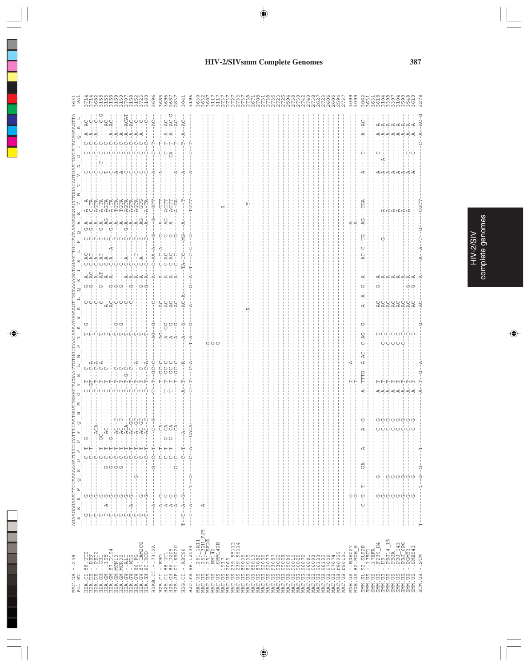| Í         |
|-----------|
|           |
| geno      |
|           |
|           |
|           |
|           |
|           |
|           |
|           |
| S<br>Solo |
|           |
|           |
|           |

ვ<br>ი

| G<br>.23<br>$\mathbf{I}$<br>MAC.US<br>Pol RT                                                                                                                                                                                                                                                                                                                                                                   | <b>FIAACGATGGEONACHE</b><br>ひ<br>Σ<br>з<br>$\circ$<br>AGAAGAGAARTCCAAAAGATCCCCCAI<br>E E K F Q K D P P                                                                                                                                                                                                                                                                                                                                                          | 6 0<br>P 0<br>CTGGACAGTGAATGATACAGAAGTT<br>O<br>z                                                                                                                                                                                                                                                                                                                                                           |  |
|----------------------------------------------------------------------------------------------------------------------------------------------------------------------------------------------------------------------------------------------------------------------------------------------------------------------------------------------------------------------------------------------------------------|-----------------------------------------------------------------------------------------------------------------------------------------------------------------------------------------------------------------------------------------------------------------------------------------------------------------------------------------------------------------------------------------------------------------------------------------------------------------|-------------------------------------------------------------------------------------------------------------------------------------------------------------------------------------------------------------------------------------------------------------------------------------------------------------------------------------------------------------------------------------------------------------|--|
|                                                                                                                                                                                                                                                                                                                                                                                                                |                                                                                                                                                                                                                                                                                                                                                                                                                                                                 |                                                                                                                                                                                                                                                                                                                                                                                                             |  |
|                                                                                                                                                                                                                                                                                                                                                                                                                | K,<br>Ġ<br>U<br>ひ<br>やーー<br>÷,<br>$\frac{1}{1}$<br>$\mathbf{I}$<br>$\mathbf{I}$<br>$\mathsf I$<br>$\frac{1}{4}$<br>じー                                                                                                                                                                                                                                                                                                                                           | $-4C$<br>↻<br>Ο<br>υ                                                                                                                                                                                                                                                                                                                                                                                        |  |
|                                                                                                                                                                                                                                                                                                                                                                                                                | ひ 」 ひ<br>i i<br>$\cup$<br><b>AAAAAA</b><br>ひ 」 ひ<br>ָּיִיְהָיֹוֹ עֲׂיָהָהָ<br>לְיִיִהְ<br>A A<br>ひひひひひ<br>ひ<br>÷<br>$\blacksquare$<br>부는<br>$\frac{1}{2}$<br>$\frac{1}{2}$<br>$\mathbf{I}$<br>- 11<br>$\mathbf{I}$<br>$\pm$ 1<br>$\frac{1}{2}$ , $\frac{1}{2}$<br>부<br>÷                                                                                                                                                                                        | $A \land A$<br>UUUHUKKUUU<br>C-TA<br>AGTA<br>A-TA<br>AGTA                                                                                                                                                                                                                                                                                                                                                   |  |
|                                                                                                                                                                                                                                                                                                                                                                                                                | $\blacksquare$<br>$\vdash$<br>$-9$<br>$\frac{1}{2}$<br>$\mathcal{A}$<br>$\frac{1}{4}$<br>F<br>F                                                                                                                                                                                                                                                                                                                                                                 | てり<br>U                                                                                                                                                                                                                                                                                                                                                                                                     |  |
|                                                                                                                                                                                                                                                                                                                                                                                                                | $\frac{1}{4}$<br>F<br>-<br>$\frac{1}{2}$                                                                                                                                                                                                                                                                                                                                                                                                                        |                                                                                                                                                                                                                                                                                                                                                                                                             |  |
|                                                                                                                                                                                                                                                                                                                                                                                                                | $\frac{1}{1}$<br>$\sim$ 1 $\sim$ 1<br>ו טטט<br>↻<br>$\frac{1}{2}$<br>÷.<br>W<br>부                                                                                                                                                                                                                                                                                                                                                                               | <b>AAAAAA</b>                                                                                                                                                                                                                                                                                                                                                                                               |  |
|                                                                                                                                                                                                                                                                                                                                                                                                                | -<br>$\mathbf{I}$<br>T<br>$\mathbf{L}$<br>$\frac{1}{4}$<br>$\frac{1}{2}$                                                                                                                                                                                                                                                                                                                                                                                        |                                                                                                                                                                                                                                                                                                                                                                                                             |  |
|                                                                                                                                                                                                                                                                                                                                                                                                                | ٠<br>$\blacksquare$<br>$1 + 0$<br>$\mathcal{A}$<br>ひじ<br>ひひひひ<br>666<br>$\bigcup_{i=1}^{n} C_i$<br>្នុក្នុង<br>$\begin{array}{c}\n0 \\ 1 \\ 1\n\end{array}$<br>Ħ<br>FFF<br>                                                                                                                                                                                                                                                                                     | A-TA<br>TGTA<br>TGTA<br>AGTA                                                                                                                                                                                                                                                                                                                                                                                |  |
|                                                                                                                                                                                                                                                                                                                                                                                                                | - 1<br>- 1<br>$\mathbf{I}$<br>$- A -$<br>∣ い<br>ひ<br>-<br>$C = -C$<br>$\frac{1}{1}$                                                                                                                                                                                                                                                                                                                                                                             | J.                                                                                                                                                                                                                                                                                                                                                                                                          |  |
|                                                                                                                                                                                                                                                                                                                                                                                                                | K,<br>$\overline{\phantom{a}}$<br>$\mathbf{I}$<br>$\frac{1}{1}$<br>U<br>Ť<br>부부<br>U<br>$\overline{\phantom{a}}$<br>$\frac{1}{1}$<br>ł<br>$- -A - C$<br>۲<br>İ                                                                                                                                                                                                                                                                                                  | $\overline{\phantom{a}}$<br><b>GTA</b>                                                                                                                                                                                                                                                                                                                                                                      |  |
|                                                                                                                                                                                                                                                                                                                                                                                                                | A,<br>$\blacksquare$<br>$\ddot{\circ}$<br>ł<br>↻<br>$\mathbf{I}$<br>$-1 - 6 - 1$<br>$\mathbf{I}$<br>$\frac{1}{4}$                                                                                                                                                                                                                                                                                                                                               |                                                                                                                                                                                                                                                                                                                                                                                                             |  |
| $\begin{array}{ll} \text{H2A.}\ (1.8\ \text{H2A.}\ \text{DE}, \, 1.8\ \text{H2A.}\ \text{DE}, \, -\text{BEN} \\ \text{H2A.}\ \text{DE}, \, -\text{BEN} \\ \text{H2A.}\ \text{GH}. \, -\text{GH} \\ \text{H2A.}\ \text{GH}. \, -\text{GH} \\ \text{H2A.}\ \text{GH}. \, -\text{GH} \\ \text{H2A.}\ \text{GH}. \, -\text{H2A} \\ \text{H2A.}\ \text{GH}. \, -\text{CH3} \\ \text{H2A.}\ \text{GH}. \, -\text{H2$ | AAAAAAAAAAA<br>UUUUHUUUUUUU<br>A<br><b>UUUUUUUUUUU</b><br>AAAA<br><b>いい</b><br><b>FFOROHFFFFFFFF</b><br>$\Delta$<br>υU<br>н<br>UUU<br>$AC - GC$<br>÷<br>f,<br>۲<br>۱<br>$\frac{1}{\sqrt{2}}$<br>UU<br>J.<br>J.<br>$\mathbf{I}$<br>٠<br>$\,$ 1<br>$\begin{array}{c} \dot{\circ} & \dot{\circ} \\ \dot{\circ} & \dot{\circ} \\ \dot{\circ} & \dot{\circ} \end{array}$<br>÷.<br>$\overline{\phantom{a}}$<br>$\frac{1}{4}$<br>J,<br>부부                              | $\begin{bmatrix} 2 & 1 & 1 & 1 \\ 1 & 1 & 1 & 1 \\ 2 & 1 & 1 & 1 \\ 3 & 4 & 1 & 1 \\ 4 & 1 & 1 & 1 \\ 5 & 1 & 1 & 1 \\ 6 & 1 & 1 & 1 \\ 7 & 1 & 1 & 1 \\ 8 & 1 & 1 & 1 \\ 1 & 1 & 1 & 1 \\ 1 & 1 & 1 & 1 \\ 1 & 1 & 1 & 1 \\ 1 & 1 & 1 & 1 \\ 1 & 1 & 1 & 1 \\ 1 & 1 & 1 & 1 \\ 1 & 1 & 1 & 1 \\ 1 & 1 & 1 & 1 \\ 1 & 1 & 1 & $<br><b>UUUUUUUUUUU</b><br><u>UUUUUUUUUUU</u><br>U U<br>AGTA<br>- GTG<br>A-TA |  |
|                                                                                                                                                                                                                                                                                                                                                                                                                |                                                                                                                                                                                                                                                                                                                                                                                                                                                                 |                                                                                                                                                                                                                                                                                                                                                                                                             |  |
| $-.7312A$<br>H2AB.CI.                                                                                                                                                                                                                                                                                                                                                                                          | ゼ<br>$-AA - A$<br>Ü<br>4<br>U<br>ひ<br>AG<br>U<br>.<br>ს<br>↻<br>U<br>ţ<br>$-1$<br>↻<br>$-9 - - -$<br>$\mathbf{I}$<br>$\mathfrak l$<br>L.<br>t<br>Ā,<br>t<br>L.<br>$\mathbf{I}$<br>$\mathsf I$                                                                                                                                                                                                                                                                   | $\frac{9}{6}$<br>AC-<br>н<br>◡<br>K)<br><b>GTT</b>                                                                                                                                                                                                                                                                                                                                                          |  |
| H2B.CI.-. EHO                                                                                                                                                                                                                                                                                                                                                                                                  | $\overline{A}$ $\overline{A}$ $\overline{A}$<br>A<br>U<br>$\circ$<br>U<br>AG.<br>υU<br>ł.<br>÷.<br>$\cup$<br>ł<br>1<br>÷.<br>ł                                                                                                                                                                                                                                                                                                                                  | மம<br>$\mathsf{H}$<br>◡<br>К<br>탑                                                                                                                                                                                                                                                                                                                                                                           |  |
|                                                                                                                                                                                                                                                                                                                                                                                                                | υU<br>$\mathsf I$<br>H<br>نې<br>۱<br>$\Gamma_{-+}$<br>↻<br>↻<br>$\overline{\phantom{a}}$<br>÷<br>$\blacksquare$<br>$\overline{\phantom{a}}$<br>$\mathsf I$                                                                                                                                                                                                                                                                                                      | $\triangle$ $\triangle$<br>ජි<br>◡                                                                                                                                                                                                                                                                                                                                                                          |  |
| $\circ$<br>H2B.CI.88.UC1<br>H2B.GH.86.D205<br>H2B.JP.01.KR020                                                                                                                                                                                                                                                                                                                                                  | ひひひひ<br>$-700$<br><b>UUU</b><br>AAAA<br>U<br>AAAA<br>いゅう<br>$A$ $A$<br>υU<br>ה ה ה ה<br>טטטט<br>FЕ<br>$-\frac{1}{2}$<br>$\,$<br>$\mathbf{I}$<br>۲<br>ا<br>$\frac{1}{1}$<br>Ü<br>$\,$ I<br>$-1$ - $-1$ - $-1$<br>$\mathsf I$<br>$\mathbf{I}$<br>-<br>$\mathbf{I}$<br>$\mathbf{I}$<br>Ť<br>$\mathsf I$<br>$\mathbf{I}$<br>$\frac{1}{4}$<br>$\frac{1}{4}$<br>$A = -G -$<br>$- - -A = -G - -$<br>$- - -A = -$<br>$-4 - 3 - 6$<br>j.<br>$\mathbf{I}$<br>$\mathbf{I}$ | $\begin{array}{c} 0.0000 \\ 0.00000 \end{array}$<br>$M$ $M$ $M$ $N$<br>$AC - C$<br>$AC - C$<br>$AC - C$<br>$\mathbf{I}$<br>666<br>К<br>AGTT<br>AGTT<br>A-GA                                                                                                                                                                                                                                                 |  |
|                                                                                                                                                                                                                                                                                                                                                                                                                | ひ<br>$\approx$<br>н<br>÷<br>-<br>$\mathbb H$                                                                                                                                                                                                                                                                                                                                                                                                                    | 304<br>$\mathbb{H}$                                                                                                                                                                                                                                                                                                                                                                                         |  |
| $-.ABT96$<br>H2G.CI.                                                                                                                                                                                                                                                                                                                                                                                           | K,<br>얒<br>š<br>FA<br>AC.<br>A,<br>$\frac{1}{4}$<br>$\cup$<br>$\mathsf I$<br>L.<br>$\mathbf{I}$<br>$\mathsf I$<br>$\mathbf{I}$<br>$\mathsf I$<br>÷<br>$A - G$<br>Ţ<br>$\frac{1}{\sqrt{2}}$                                                                                                                                                                                                                                                                      | AC<br>K,<br>K,                                                                                                                                                                                                                                                                                                                                                                                              |  |
| 4<br>H2U.FR.96.1203                                                                                                                                                                                                                                                                                                                                                                                            | C<br>U<br>U<br>Ą<br>Н<br>К<br>U<br>$- - - - - - - - -$<br>U<br>Ĭ<br>$\blacksquare$<br>$- -5 - -1 - - - - -$<br>$- - - - - - - - -$<br>$\frac{1}{2}$                                                                                                                                                                                                                                                                                                             | $\omega$<br>$\overline{31}$<br>TGTT                                                                                                                                                                                                                                                                                                                                                                         |  |
| $\begin{array}{l} \tt{MAC.US. - .251\_1A11} \\ \tt{MAC.US. - .251\_32H P} \\ \tt{MAC.US. - .251\_BK2\overline{8}} \\ \tt{MAC.US. - .MML42} \\ \tt{MAC.US. - .MML42} \end{array}$                                                                                                                                                                                                                               | $\frac{1}{4}$<br>×.<br>$\mathbf{I}$<br>$\mathbf{I}$<br>$\frac{1}{2}$<br>$\mathsf I$                                                                                                                                                                                                                                                                                                                                                                             |                                                                                                                                                                                                                                                                                                                                                                                                             |  |
| 高                                                                                                                                                                                                                                                                                                                                                                                                              | $\frac{1}{4}$<br>$\mathbb{I}=\mathbb{I}$<br>$\begin{array}{c}\n1 \\ 1 \\ 1 \\ 1\n\end{array}$<br>$\,$ $\,$<br>$\mathbf{I}$<br>LO.                                                                                                                                                                                                                                                                                                                               |                                                                                                                                                                                                                                                                                                                                                                                                             |  |
|                                                                                                                                                                                                                                                                                                                                                                                                                | $\mathbf{I}$<br>$\frac{1}{1}$<br>$\frac{1}{1}$<br>$\,$ $\,$<br>J.<br>J.<br>$\mathbf{I}$                                                                                                                                                                                                                                                                                                                                                                         |                                                                                                                                                                                                                                                                                                                                                                                                             |  |
|                                                                                                                                                                                                                                                                                                                                                                                                                | ひ ひ ひ<br>$\frac{1}{1}$<br>$\mathbf{I}$                                                                                                                                                                                                                                                                                                                                                                                                                          |                                                                                                                                                                                                                                                                                                                                                                                                             |  |
|                                                                                                                                                                                                                                                                                                                                                                                                                | $\mathbf I$                                                                                                                                                                                                                                                                                                                                                                                                                                                     |                                                                                                                                                                                                                                                                                                                                                                                                             |  |
|                                                                                                                                                                                                                                                                                                                                                                                                                | $\,$<br>$\frac{1}{4}$<br>$\mathbf I$                                                                                                                                                                                                                                                                                                                                                                                                                            |                                                                                                                                                                                                                                                                                                                                                                                                             |  |
|                                                                                                                                                                                                                                                                                                                                                                                                                | $\,$ I                                                                                                                                                                                                                                                                                                                                                                                                                                                          |                                                                                                                                                                                                                                                                                                                                                                                                             |  |
|                                                                                                                                                                                                                                                                                                                                                                                                                | $\bar{1}$                                                                                                                                                                                                                                                                                                                                                                                                                                                       |                                                                                                                                                                                                                                                                                                                                                                                                             |  |
|                                                                                                                                                                                                                                                                                                                                                                                                                |                                                                                                                                                                                                                                                                                                                                                                                                                                                                 |                                                                                                                                                                                                                                                                                                                                                                                                             |  |
|                                                                                                                                                                                                                                                                                                                                                                                                                |                                                                                                                                                                                                                                                                                                                                                                                                                                                                 |                                                                                                                                                                                                                                                                                                                                                                                                             |  |
|                                                                                                                                                                                                                                                                                                                                                                                                                |                                                                                                                                                                                                                                                                                                                                                                                                                                                                 |                                                                                                                                                                                                                                                                                                                                                                                                             |  |
|                                                                                                                                                                                                                                                                                                                                                                                                                |                                                                                                                                                                                                                                                                                                                                                                                                                                                                 |                                                                                                                                                                                                                                                                                                                                                                                                             |  |
|                                                                                                                                                                                                                                                                                                                                                                                                                | t                                                                                                                                                                                                                                                                                                                                                                                                                                                               |                                                                                                                                                                                                                                                                                                                                                                                                             |  |
|                                                                                                                                                                                                                                                                                                                                                                                                                | $\mathbf{I}$                                                                                                                                                                                                                                                                                                                                                                                                                                                    |                                                                                                                                                                                                                                                                                                                                                                                                             |  |
|                                                                                                                                                                                                                                                                                                                                                                                                                |                                                                                                                                                                                                                                                                                                                                                                                                                                                                 |                                                                                                                                                                                                                                                                                                                                                                                                             |  |
|                                                                                                                                                                                                                                                                                                                                                                                                                |                                                                                                                                                                                                                                                                                                                                                                                                                                                                 |                                                                                                                                                                                                                                                                                                                                                                                                             |  |
|                                                                                                                                                                                                                                                                                                                                                                                                                | $\mathbf{I}$                                                                                                                                                                                                                                                                                                                                                                                                                                                    |                                                                                                                                                                                                                                                                                                                                                                                                             |  |
|                                                                                                                                                                                                                                                                                                                                                                                                                |                                                                                                                                                                                                                                                                                                                                                                                                                                                                 |                                                                                                                                                                                                                                                                                                                                                                                                             |  |
|                                                                                                                                                                                                                                                                                                                                                                                                                |                                                                                                                                                                                                                                                                                                                                                                                                                                                                 |                                                                                                                                                                                                                                                                                                                                                                                                             |  |
|                                                                                                                                                                                                                                                                                                                                                                                                                | $\overline{\phantom{a}}$                                                                                                                                                                                                                                                                                                                                                                                                                                        |                                                                                                                                                                                                                                                                                                                                                                                                             |  |
|                                                                                                                                                                                                                                                                                                                                                                                                                |                                                                                                                                                                                                                                                                                                                                                                                                                                                                 | @101000004000000                                                                                                                                                                                                                                                                                                                                                                                            |  |
|                                                                                                                                                                                                                                                                                                                                                                                                                | ţ                                                                                                                                                                                                                                                                                                                                                                                                                                                               |                                                                                                                                                                                                                                                                                                                                                                                                             |  |
|                                                                                                                                                                                                                                                                                                                                                                                                                |                                                                                                                                                                                                                                                                                                                                                                                                                                                                 |                                                                                                                                                                                                                                                                                                                                                                                                             |  |
|                                                                                                                                                                                                                                                                                                                                                                                                                | I<br>$\mathbf{I}$                                                                                                                                                                                                                                                                                                                                                                                                                                               |                                                                                                                                                                                                                                                                                                                                                                                                             |  |
|                                                                                                                                                                                                                                                                                                                                                                                                                | J<br>$\mathbf{I}$                                                                                                                                                                                                                                                                                                                                                                                                                                               |                                                                                                                                                                                                                                                                                                                                                                                                             |  |
|                                                                                                                                                                                                                                                                                                                                                                                                                |                                                                                                                                                                                                                                                                                                                                                                                                                                                                 |                                                                                                                                                                                                                                                                                                                                                                                                             |  |
|                                                                                                                                                                                                                                                                                                                                                                                                                | $\frac{1}{4}$                                                                                                                                                                                                                                                                                                                                                                                                                                                   |                                                                                                                                                                                                                                                                                                                                                                                                             |  |
| ${\bf \ddot{R}}{\bf \ddot{R}}{\bf \ddot{R}}{\bf \ddot{R}}{\bf \ddot{R}}{\bf \ddot{R}}{\bf \ddot{R}}{\bf \ddot{R}}{\bf \ddot{R}}{\bf \ddot{R}}{\bf \ddot{R}}{\bf \ddot{R}}{\bf \ddot{R}}{\bf \ddot{R}}{\bf \ddot{R}}{\bf \ddot{R}}{\bf \ddot{R}}{\bf \ddot{R}}{\bf \ddot{R}}{\bf \ddot{R}}{\bf \ddot{R}}{\bf \ddot{R}}{\bf \ddot{R}}{\bf \ddot{R}}{\bf \ddot{R}}{\bf \ddot{R}}{\bf \ddot{R}}{\bf \dd$           | $\frac{1}{1}$<br>$\frac{1}{1}$                                                                                                                                                                                                                                                                                                                                                                                                                                  |                                                                                                                                                                                                                                                                                                                                                                                                             |  |
|                                                                                                                                                                                                                                                                                                                                                                                                                | $\frac{1}{4}$<br>I<br>$\mathbf{I}$                                                                                                                                                                                                                                                                                                                                                                                                                              |                                                                                                                                                                                                                                                                                                                                                                                                             |  |
|                                                                                                                                                                                                                                                                                                                                                                                                                |                                                                                                                                                                                                                                                                                                                                                                                                                                                                 |                                                                                                                                                                                                                                                                                                                                                                                                             |  |
| Γ<br>$-$ . MNE02<br>MNE.US.                                                                                                                                                                                                                                                                                                                                                                                    | $\frac{1}{1}$<br>f,<br>Ť<br>$\ddot{a}$<br>J.<br>f,<br>I<br>J.                                                                                                                                                                                                                                                                                                                                                                                                   |                                                                                                                                                                                                                                                                                                                                                                                                             |  |
| $_{\infty}$<br>MNE. US. 82. MNE                                                                                                                                                                                                                                                                                                                                                                                | К<br>$\frac{1}{1}$<br>$\frac{1}{\sqrt{2}}$                                                                                                                                                                                                                                                                                                                                                                                                                      | $\begin{smallmatrix} 0 & 0 \\ 0 & 0 \end{smallmatrix}$                                                                                                                                                                                                                                                                                                                                                      |  |
|                                                                                                                                                                                                                                                                                                                                                                                                                |                                                                                                                                                                                                                                                                                                                                                                                                                                                                 |                                                                                                                                                                                                                                                                                                                                                                                                             |  |
|                                                                                                                                                                                                                                                                                                                                                                                                                | AG.<br>Ë<br>U<br>AC<br>К<br>ひ<br>К<br>К<br>ひ<br>$C - AG$<br>AC.<br>Ą<br>TTTG-<br>К<br>τŋ<br>К<br>$-1$<br>$\ddot{\circ}$<br>ပုံ<br>$\,$ I<br>$\mathbf{I}$                                                                                                                                                                                                                                                                                                        | AC.<br>К<br>U<br>К<br>CGA                                                                                                                                                                                                                                                                                                                                                                                   |  |
| SMM. SL. 92. SL92B<br>SMM. US. - . 17EC1<br>SMM. US. - . 17EC1<br>SMM. US. - . F236_H4                                                                                                                                                                                                                                                                                                                         | $\frac{1}{1}$<br>f,<br>$\frac{1}{1}$<br>$\,$<br>$\,$<br>$\mathbf{I}$<br>J.<br>$\mathbf{I}$<br>$\mathbf{I}$<br>٠<br>I,<br>I,<br>$\mathbf{I}$                                                                                                                                                                                                                                                                                                                     |                                                                                                                                                                                                                                                                                                                                                                                                             |  |
|                                                                                                                                                                                                                                                                                                                                                                                                                | J.<br>$\overline{1}$<br>$\overline{\phantom{a}}$<br>I<br>1                                                                                                                                                                                                                                                                                                                                                                                                      |                                                                                                                                                                                                                                                                                                                                                                                                             |  |
|                                                                                                                                                                                                                                                                                                                                                                                                                | ひ<br>U<br><u> ひひひひひひひと</u><br>みみみみみみみ<br>לז לז לז לז לז לז לז<br>÷<br>$\mathbf{1}$<br>$\blacksquare$<br>ひ<br>İ<br>$\frac{1}{1}$<br>$-1$<br>ひ<br>$\frac{1}{1}$<br>Ì<br>ł<br>$\frac{1}{4}$<br>$\mathbf I$                                                                                                                                                                                                                                                         | $\infty$<br>mmmmm<br>↻<br>К<br>みみみみみみみ                                                                                                                                                                                                                                                                                                                                                                      |  |
| S                                                                                                                                                                                                                                                                                                                                                                                                              | $\overline{\phantom{a}}$<br>ひ<br>$\overline{\phantom{0}}$<br>$\mathbf{I}$                                                                                                                                                                                                                                                                                                                                                                                       |                                                                                                                                                                                                                                                                                                                                                                                                             |  |
|                                                                                                                                                                                                                                                                                                                                                                                                                | $\mathbf{I}$<br>UU<br>п.<br>$\overline{\phantom{a}}$<br><b>ツワ</b><br>٠<br>$\frac{1}{1}$<br>$\frac{c}{1}$<br>$\overline{\phantom{a}}$<br>$\,$ $\,$                                                                                                                                                                                                                                                                                                               | $\mathbf{I}$                                                                                                                                                                                                                                                                                                                                                                                                |  |
|                                                                                                                                                                                                                                                                                                                                                                                                                | O<br>88888<br>п<br>$\frac{1}{\sqrt{2}}$<br>ł<br>ローー<br>t<br>$\blacksquare$<br>$\mathbb{I}$                                                                                                                                                                                                                                                                                                                                                                      | J.                                                                                                                                                                                                                                                                                                                                                                                                          |  |
| SNM. US. - . 189<br>SNM. US. - . PBJ14_15<br>SNM. US. - . PBJ14_15<br>SNM. US. - . PBJ_6P6<br>SNM. US. - . PBJ_6P6                                                                                                                                                                                                                                                                                             | みみみみみ<br>RARAR<br>ひひひひひ<br>н<br>-<br>ひ<br>a<br>$\mathbf{I}$                                                                                                                                                                                                                                                                                                                                                                                                     |                                                                                                                                                                                                                                                                                                                                                                                                             |  |
| $\cdot$                                                                                                                                                                                                                                                                                                                                                                                                        | J.<br>-<br>٠<br>$\mathbf{I}$<br>$\blacksquare$<br>ひ<br>Ť,<br>L.<br>J.<br>-<br>$\mathbf{I}$                                                                                                                                                                                                                                                                                                                                                                      |                                                                                                                                                                                                                                                                                                                                                                                                             |  |
| $\infty$<br>PGM53<br>SME54<br>$\cdot$<br>SMM . US . -<br>SMM . US . -<br>SMM . US . -                                                                                                                                                                                                                                                                                                                          | みみみみみみみ<br>ŮÜ<br>J.<br>$\mathbf{I}$<br>$\blacksquare$<br><b>ひ ひ</b><br>-<br>$\blacksquare$<br>$\mathbf{I}$<br>ひ<br>T<br>$\blacksquare$<br>$\,$<br>$\mathbf{I}$<br>$\mathbf I$                                                                                                                                                                                                                                                                                   | みみみみみみみ<br>RARARAA<br>υU                                                                                                                                                                                                                                                                                                                                                                                    |  |
|                                                                                                                                                                                                                                                                                                                                                                                                                | $-\frac{1}{2}$                                                                                                                                                                                                                                                                                                                                                                                                                                                  |                                                                                                                                                                                                                                                                                                                                                                                                             |  |
| <b>NLS</b><br>STM.US                                                                                                                                                                                                                                                                                                                                                                                           | $-5-$<br>é<br>ا<br>ا<br>$\mathbf{I}$                                                                                                                                                                                                                                                                                                                                                                                                                            | 27<br>2C<br>군<br>이                                                                                                                                                                                                                                                                                                                                                                                          |  |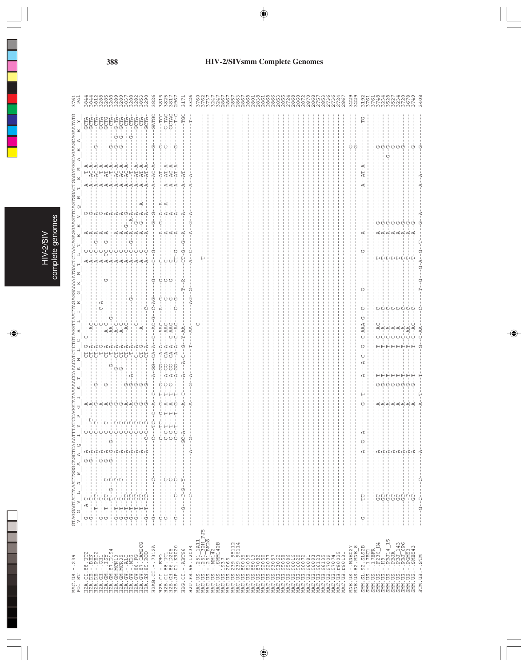|                                                  |                                                              |                                              | പ്രമേരമെന് രെമ്പ് ത                                                                                                                                                                                                                                                                                                                                                                                             |              |                    |                                                              |               |                        |     |               |               |                                  |                        | 382                                                                |                         |                                                      |                                              | $\infty$ $\infty$ $\infty$ $\infty$                                |                             |                                                                                |   |               |                                                   |               |   |                                                                                                          |                                                                                            |             |   |      |   |   |  |   |  |  |                                       |                                                                                                                                                                                                                                                                                                                                                                                                                                                                    |  |   |         |  |               | $\Gamma$ $\infty$ | $N$ $N$         |                                       |                                                    |                                   |                                                                                    |    |                                                                                          |                       |               |                           |                               |                                              |                   | 50 <sub>0</sub>                 |                                                                   |
|--------------------------------------------------|--------------------------------------------------------------|----------------------------------------------|-----------------------------------------------------------------------------------------------------------------------------------------------------------------------------------------------------------------------------------------------------------------------------------------------------------------------------------------------------------------------------------------------------------------|--------------|--------------------|--------------------------------------------------------------|---------------|------------------------|-----|---------------|---------------|----------------------------------|------------------------|--------------------------------------------------------------------|-------------------------|------------------------------------------------------|----------------------------------------------|--------------------------------------------------------------------|-----------------------------|--------------------------------------------------------------------------------|---|---------------|---------------------------------------------------|---------------|---|----------------------------------------------------------------------------------------------------------|--------------------------------------------------------------------------------------------|-------------|---|------|---|---|--|---|--|--|---------------------------------------|--------------------------------------------------------------------------------------------------------------------------------------------------------------------------------------------------------------------------------------------------------------------------------------------------------------------------------------------------------------------------------------------------------------------------------------------------------------------|--|---|---------|--|---------------|-------------------|-----------------|---------------------------------------|----------------------------------------------------|-----------------------------------|------------------------------------------------------------------------------------|----|------------------------------------------------------------------------------------------|-----------------------|---------------|---------------------------|-------------------------------|----------------------------------------------|-------------------|---------------------------------|-------------------------------------------------------------------|
|                                                  |                                                              |                                              |                                                                                                                                                                                                                                                                                                                                                                                                                 |              |                    |                                                              | <b>ひ ひ</b>    |                        | ∣ い |               |               |                                  |                        | GATG                                                               |                         |                                                      | G-TA<br>GCTA                                 |                                                                    |                             |                                                                                |   |               |                                                   |               |   |                                                                                                          |                                                                                            |             |   |      |   |   |  |   |  |  |                                       |                                                                                                                                                                                                                                                                                                                                                                                                                                                                    |  |   |         |  |               |                   |                 |                                       |                                                    |                                   |                                                                                    |    |                                                                                          |                       |               |                           |                               |                                              |                   |                                 |                                                                   |
|                                                  |                                                              |                                              |                                                                                                                                                                                                                                                                                                                                                                                                                 |              |                    | <b>ひひひ</b>                                                   |               |                        |     |               |               |                                  |                        |                                                                    |                         | ひ                                                    |                                              | U                                                                  |                             |                                                                                |   |               |                                                   |               |   |                                                                                                          |                                                                                            |             |   |      |   |   |  |   |  |  |                                       |                                                                                                                                                                                                                                                                                                                                                                                                                                                                    |  |   |         |  |               |                   |                 |                                       |                                                    |                                   |                                                                                    |    |                                                                                          |                       | τ٦            | ひひひひ                      |                               |                                              |                   |                                 |                                                                   |
|                                                  |                                                              |                                              |                                                                                                                                                                                                                                                                                                                                                                                                                 |              |                    | AAAAAAAAA                                                    |               |                        |     |               | AT.           | $\triangle$ $\triangle$<br>$AT-$ | К<br>$\mathtt{AT}^-$   | Æ<br>AC                                                            |                         |                                                      | ΑĄ<br>AT.                                    |                                                                    |                             |                                                                                |   |               |                                                   |               |   |                                                                                                          |                                                                                            |             |   |      |   |   |  |   |  |  |                                       |                                                                                                                                                                                                                                                                                                                                                                                                                                                                    |  |   |         |  |               |                   |                 |                                       |                                                    |                                   |                                                                                    |    |                                                                                          |                       |               |                           |                               |                                              |                   |                                 |                                                                   |
| $\circ$                                          |                                                              |                                              | ひえひえみみみひえみみ                                                                                                                                                                                                                                                                                                                                                                                                     |              |                    |                                                              |               |                        |     |               |               |                                  | К                      | ひ                                                                  |                         |                                                      |                                              | RARA                                                               |                             |                                                                                |   |               |                                                   |               |   |                                                                                                          |                                                                                            |             |   |      |   |   |  |   |  |  |                                       |                                                                                                                                                                                                                                                                                                                                                                                                                                                                    |  |   |         |  |               |                   |                 |                                       |                                                    |                                   |                                                                                    |    |                                                                                          |                       |               |                           |                               |                                              |                   |                                 |                                                                   |
| 回<br>$[1]$                                       |                                                              |                                              |                                                                                                                                                                                                                                                                                                                                                                                                                 |              |                    |                                                              |               |                        | ひ   |               |               | υ υ                              |                        | ひ                                                                  | ひ                       | ፋፈ ⊄                                                 |                                              |                                                                    |                             |                                                                                |   |               |                                                   |               |   |                                                                                                          |                                                                                            |             |   |      |   |   |  |   |  |  |                                       |                                                                                                                                                                                                                                                                                                                                                                                                                                                                    |  |   |         |  |               |                   |                 |                                       |                                                    |                                   |                                                                                    |    |                                                                                          |                       |               |                           |                               | みみみみみみ                                       |                   | ひひひひひひひひ                        |                                                                   |
| CONARARANTORCONGACAGAGOROPORANTORCORDANTATATAT   |                                                              |                                              |                                                                                                                                                                                                                                                                                                                                                                                                                 |              |                    | ◡                                                            | ◡             |                        |     |               | U             | O                                | O<br>K.                | てり<br>(7)                                                          | $\tau$ )                |                                                      |                                              | 5                                                                  | 5                           |                                                                                |   |               |                                                   |               |   |                                                                                                          |                                                                                            |             |   |      |   |   |  |   |  |  |                                       |                                                                                                                                                                                                                                                                                                                                                                                                                                                                    |  |   |         |  |               |                   |                 |                                       |                                                    |                                   |                                                                                    |    |                                                                                          |                       |               |                           |                               | <b>PPPPPPP</b>                               |                   |                                 |                                                                   |
| Σ                                                |                                                              |                                              |                                                                                                                                                                                                                                                                                                                                                                                                                 |              |                    |                                                              |               |                        |     |               |               |                                  |                        |                                                                    |                         | ひ ひ ひ                                                |                                              |                                                                    |                             |                                                                                |   |               |                                                   |               |   |                                                                                                          |                                                                                            |             |   |      |   |   |  |   |  |  |                                       |                                                                                                                                                                                                                                                                                                                                                                                                                                                                    |  |   |         |  |               |                   |                 |                                       |                                                    |                                   |                                                                                    |    |                                                                                          |                       |               |                           |                               |                                              |                   |                                 |                                                                   |
|                                                  |                                                              |                                              |                                                                                                                                                                                                                                                                                                                                                                                                                 |              |                    |                                                              |               |                        |     |               |               |                                  |                        | ΰ                                                                  |                         |                                                      |                                              | ひひひひ                                                               |                             |                                                                                |   |               |                                                   |               |   |                                                                                                          |                                                                                            |             |   |      |   |   |  |   |  |  |                                       |                                                                                                                                                                                                                                                                                                                                                                                                                                                                    |  |   |         |  |               |                   |                 |                                       |                                                    |                                   |                                                                                    |    |                                                                                          |                       |               |                           |                               | <u> ひ ひ ひ ひ ひ ひ ひ</u>                        |                   |                                 |                                                                   |
| CCAAACCTOHOHOHOHATTAA                            |                                                              |                                              |                                                                                                                                                                                                                                                                                                                                                                                                                 | O            | U                  | $\begin{array}{c}\n 1 \\  2 \\  4 \\  2 \\  3\n \end{array}$ | $\frac{0}{1}$ |                        | ◡   |               |               |                                  |                        |                                                                    |                         |                                                      |                                              |                                                                    |                             |                                                                                |   |               |                                                   |               |   |                                                                                                          |                                                                                            |             |   |      |   |   |  |   |  |  |                                       |                                                                                                                                                                                                                                                                                                                                                                                                                                                                    |  |   |         |  |               |                   |                 |                                       |                                                    |                                   |                                                                                    |    |                                                                                          |                       |               |                           | ○                             | 77777777                                     | U                 |                                 |                                                                   |
|                                                  |                                                              |                                              | Α Α                                                                                                                                                                                                                                                                                                                                                                                                             |              |                    | ひみみみみみみむ                                                     | $CT-$<br>υυ   | $\frac{1}{\mathbf{U}}$ |     | ÷             |               |                                  |                        | ģ                                                                  |                         |                                                      | $\mathcal{A} \mathcal{A}$<br>55<br>55        |                                                                    |                             |                                                                                |   |               |                                                   |               |   |                                                                                                          |                                                                                            |             |   |      |   |   |  |   |  |  |                                       |                                                                                                                                                                                                                                                                                                                                                                                                                                                                    |  |   |         |  |               |                   |                 |                                       |                                                    |                                   |                                                                                    |    |                                                                                          |                       |               |                           |                               |                                              |                   |                                 |                                                                   |
|                                                  |                                                              |                                              |                                                                                                                                                                                                                                                                                                                                                                                                                 |              | ひ                  |                                                              |               |                        |     | Æ             |               |                                  | ひ ひ ひ ひ ひ              |                                                                    | τŋ                      |                                                      | KL KL<br>てりてり                                |                                                                    | K.                          |                                                                                |   |               |                                                   |               |   |                                                                                                          |                                                                                            |             |   |      |   |   |  |   |  |  |                                       |                                                                                                                                                                                                                                                                                                                                                                                                                                                                    |  |   |         |  |               |                   |                 |                                       |                                                    |                                   |                                                                                    |    |                                                                                          |                       |               |                           |                               | 6666666                                      |                   | $\mathbf{H}$<br>ひ ひ ひ ひ ひ ひ ひ ひ |                                                                   |
| CCAGGTA                                          |                                                              |                                              | むえひええひひひええひひひ                                                                                                                                                                                                                                                                                                                                                                                                   |              |                    |                                                              |               |                        |     |               |               |                                  |                        |                                                                    |                         |                                                      |                                              |                                                                    |                             |                                                                                |   |               |                                                   |               |   |                                                                                                          |                                                                                            |             |   |      |   |   |  |   |  |  |                                       |                                                                                                                                                                                                                                                                                                                                                                                                                                                                    |  |   |         |  |               |                   |                 |                                       |                                                    |                                   |                                                                                    |    |                                                                                          |                       |               |                           |                               |                                              |                   | みみみみみみみ                         |                                                                   |
| $\circ$                                          | ÷                                                            | ÷                                            | $\frac{1}{4}$                                                                                                                                                                                                                                                                                                                                                                                                   | ÷            | ↻<br>$\frac{1}{4}$ | C                                                            | ひひひひ<br>ŧ     | $\frac{1}{4}$          | ÷   | ÷             |               | 小小                               | $\frac{1}{4}$          |                                                                    | Ī                       |                                                      | UU                                           |                                                                    | Ŏ<br> <br>                  |                                                                                |   | ÷             |                                                   |               |   |                                                                                                          |                                                                                            |             |   |      |   |   |  |   |  |  |                                       |                                                                                                                                                                                                                                                                                                                                                                                                                                                                    |  |   |         |  |               |                   |                 |                                       |                                                    | -                                 | -1                                                                                 | f, |                                                                                          | ÷.                    | ÷             | $\mathbf{I}$              | ÷,                            | $\mathbb{I}$                                 | J.<br>Ŷ.          | $\mathsf I$                     |                                                                   |
| Ą<br>$\Delta_i^t$<br>$\approx$                   | $-4$<br>$\frac{1}{\sqrt{2}}$<br>$\mathbf{I}$<br>$\mathbf{I}$ | Ť                                            | Ť                                                                                                                                                                                                                                                                                                                                                                                                               | $\mathbf{I}$ | $\mathbf{I}$       | $\mathbf{I}$<br>Ħ                                            | $\mathbf{I}$  | ÷<br>$\mathbf{I}$      | ł   | $\frac{1}{4}$ | $\frac{1}{1}$ | Ť                                | К<br>Ť<br>$\mathbf{I}$ |                                                                    | $\frac{1}{2}$           |                                                      |                                              |                                                                    |                             | $- - - - - - - - - - - - -$<br>$\begin{array}{c} 1 \\ 1 \\ 1 \\ 1 \end{array}$ | ł | $\frac{1}{4}$ |                                                   | $-1$          |   |                                                                                                          | $\begin{array}{c} \bullet & \bullet \\ \bullet & \bullet \\ \bullet & \bullet \end{array}$ |             |   |      |   |   |  |   |  |  |                                       |                                                                                                                                                                                                                                                                                                                                                                                                                                                                    |  |   |         |  |               |                   |                 |                                       |                                                    | $\mathbf{I}$                      | ٠                                                                                  | J  | $\begin{array}{cccc}\nA & A & A & A \\ 1 & 1 & 1 & 1 \\ 1 & 1 & 1 & 1\n\end{array}$<br>Î | $\mathbf{I}$<br>$\,$  |               |                           | J.<br>$\mathfrak l$           | A,<br>$\mathbf{I}$                           | $\mathbb{A}$<br>Ť | $\Delta$<br>$\mathbf{I}$        | A<br>$\overline{\phantom{a}}$<br>$\mathbf{I}$<br>$\,$ I<br>$\,$ I |
| GTAGGAGTATTAAATTGGCAGCTCAA<br>$\simeq$<br>$\Box$ | $\frac{1}{4}$                                                | $\mathbf{I}$<br>$\mathbf{I}$<br>$\mathbb{L}$ | $\mathbf{I}$<br>$\,$ $\,$                                                                                                                                                                                                                                                                                                                                                                                       | 44           |                    |                                                              |               | Ť                      |     |               |               |                                  | $\frac{1}{2}$          | $\frac{1}{4}$                                                      | $\mathbf{I}$<br>Ť       | $\mathsf I$<br>$\overline{1}$                        | $\mathbf I$<br>п<br>$\frac{1}{4}$            | ı<br>$-1 - 1 - 1 - 1$                                              | j<br>$X - -D - -D - - -D -$ |                                                                                |   |               | $\begin{array}{c}\n1 \\ 1 \\ 1 \\ 1\n\end{array}$ |               | . | $\begin{array}{c} \begin{array}{c} \text{1} \\ \text{2} \\ \text{3} \\ \text{4} \end{array} \end{array}$ |                                                                                            |             |   |      |   |   |  |   |  |  |                                       |                                                                                                                                                                                                                                                                                                                                                                                                                                                                    |  |   |         |  | $\frac{1}{1}$ |                   |                 | $\frac{1}{1}$                         | <b>ウー・ペー - - - - - - - - - - - - - - DL- - - -</b> | $\mathbf{I}$<br>J.<br>$\mathbf I$ | $\overline{\phantom{a}}$<br>- 1                                                    |    |                                                                                          | $\frac{1}{2}$<br>$-1$ | ł<br>$-90 -$  | ÷<br>$-6$                 | $\frac{1}{1}$<br>$- - 35 - -$ | ÷<br>$\begin{array}{c}\nC \\ C\n\end{array}$ | t<br>Ò            | $- - 55 - -$                    | $\frac{1}{2}$<br>$\,$<br>$\mathbf{I}$                             |
| $\triangleright$<br>U<br>$\geq$                  | $-4 - -9 - -9 -$                                             |                                              |                                                                                                                                                                                                                                                                                                                                                                                                                 |              |                    |                                                              |               |                        |     | $\frac{6}{1}$ |               |                                  |                        | 1<br>$\mathbb{I}$<br>J.<br>$\begin{array}{c} -1 \\ -1 \end{array}$ | $- - - - - - - - - - -$ | $\mathbf{I}$<br>$\overline{\phantom{a}}$<br>$-9 - -$ | $\frac{1}{1}$<br>Ť<br>$\,$ I<br>$\mathbf{I}$ | $-9 - -$                                                           | ł.                          | Ì<br>$\frac{1}{4}$                                                             | ÷ | $\frac{1}{4}$ | 1<br>$\mathbf{I}$<br>$\,$ l                       | $\frac{1}{1}$ |   | 1                                                                                                        | J<br>t<br>J.                                                                               | Ţ<br>$\,$ I | t | $\,$ | ı | J |  | 1 |  |  | $\begin{array}{c} \hline \end{array}$ | J                                                                                                                                                                                                                                                                                                                                                                                                                                                                  |  | ı | $\sf I$ |  | $\,$ I        | $\frac{1}{4}$     | I.<br>I<br>J.   | $\begin{array}{c} \hline \end{array}$ | $-9 - -$                                           | t<br>1                            | J.<br>ı<br>$\mathbf{I}$<br>$\sf I$<br>J.                                           |    |                                                                                          | J.<br>Ì<br>Ť.         | $\frac{1}{4}$ | $\,$ $\,$<br>$\mathbf{I}$ | ٠<br>$\mathfrak l$<br>f,      | п<br>$\mathbf{I}$<br>$\,$ I                  | J.<br>t<br>J.     | $\mathbf I$<br>J.               | $-1 - 5 - -1$<br>$\mathbf{I}$                                     |
|                                                  |                                                              |                                              |                                                                                                                                                                                                                                                                                                                                                                                                                 |              |                    |                                                              |               |                        |     |               |               |                                  |                        |                                                                    |                         |                                                      |                                              | $\circ$                                                            |                             |                                                                                |   | PJ5           |                                                   |               |   |                                                                                                          |                                                                                            |             |   |      |   |   |  |   |  |  |                                       |                                                                                                                                                                                                                                                                                                                                                                                                                                                                    |  |   |         |  |               |                   | ⊢               | ${}^{\infty}$                         |                                                    |                                   |                                                                                    |    |                                                                                          |                       | Б             |                           |                               |                                              |                   |                                 |                                                                   |
| $\sigma$<br>$-0.23$                              |                                                              |                                              | $\begin{array}{ll} \text{H2A, CL} & \text{18.1C2} \\ \text{H2A, DB} & \text{-} \text{BEN} \\ \text{H2A, DE} & \text{-} \text{BEN} \\ \text{H2A, GL} & \text{-} \text{H2A} \\ \text{H2A, GL} & \text{-} \text{IST} \\ \text{H2A, QN} & \text{-} \text{IST} \\ \text{H2A, QN} & \text{-} \text{IST} \\ \text{H2A, QN} & \text{M. MCM13} \\ \text{H2A, QN} & \text{M. MCM13} \\ \text{H2A, QN} & \text{-} \text{M$ |              |                    |                                                              |               |                        |     |               |               |                                  |                        | $-.7312A$<br>$\cdot$                                               |                         |                                                      |                                              | H2B.CI.-.BHO<br>H2B.CI.88.UC1<br>H2B.GH.86.D205<br>H2B.JP.01.KR020 | H2G.CI. - .ABT96            | H2U. FR. 96.12034                                                              |   |               |                                                   |               |   |                                                                                                          |                                                                                            |             |   |      |   |   |  |   |  |  |                                       | ${\small \begin{tabular}{l} \texttt{MBC} \\ \texttt{MBC} \\ \texttt{MBC} \\ \texttt{MBC} \\ \texttt{MBC} \\ \texttt{MBC} \\ \texttt{MBC} \\ \texttt{MBC} \\ \texttt{MBC} \\ \texttt{MBC} \\ \texttt{MBC} \\ \texttt{MBC} \\ \texttt{MBC} \\ \texttt{MBC} \\ \texttt{MBC} \\ \texttt{MBC} \\ \texttt{MBC} \\ \texttt{MBC} \\ \texttt{MBC} \\ \texttt{MBC} \\ \texttt{MBC} \\ \texttt{MBC} \\ \texttt{MBC} \\ \texttt{MBC} \\ \texttt{MBC} \\ \texttt{MBC} \\ \text$ |  |   |         |  |               |                   | MNE.US. - NNE02 | MNE. US. 82. MNE                      | SMM. SL. 92. SL92B                                 |                                   | SMM. US. - .17EC1<br>SMM. US. - .17EFR<br>SMM. US. - .17EFR<br>SMM. US. - .F236_H4 |    |                                                                                          |                       |               |                           |                               |                                              |                   |                                 | - STM<br>STM.US.                                                  |
| MAC.US.<br>Pol RT                                |                                                              |                                              |                                                                                                                                                                                                                                                                                                                                                                                                                 |              |                    |                                                              |               |                        |     |               |               |                                  |                        | H2AB.CI                                                            |                         |                                                      |                                              |                                                                    |                             |                                                                                |   |               |                                                   |               |   |                                                                                                          |                                                                                            |             |   |      |   |   |  |   |  |  |                                       |                                                                                                                                                                                                                                                                                                                                                                                                                                                                    |  |   |         |  |               |                   |                 |                                       |                                                    |                                   |                                                                                    |    |                                                                                          |                       |               |                           |                               |                                              |                   |                                 |                                                                   |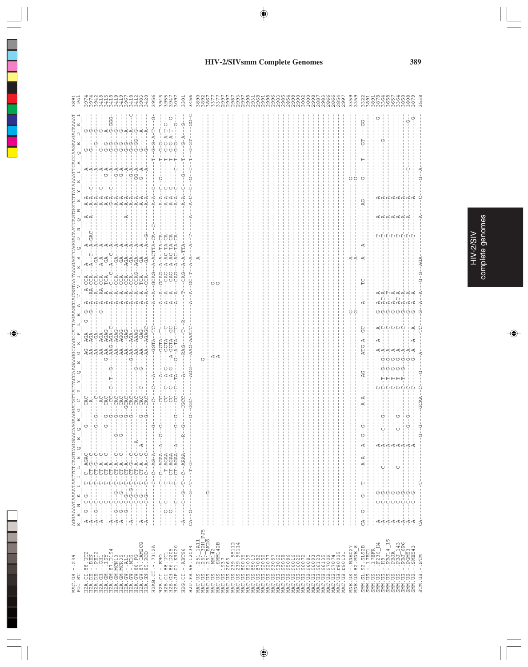| č<br>ţ<br>ģ<br>¢<br>r.<br>Ś |
|-----------------------------|
|-----------------------------|

8g

| G<br>.23<br>$\mathsf I$<br>$\bullet$<br>MAC.US.<br>Pol RT                                                                                                                                                                                                                                                                                                                                                                               | TTACCAAGGCAAGCCATTAGCGACGGTAATAAGAGTCAGATCATTGTTTATAATTTCACCAAGAGAAAAAA<br>· Y Q E G K P L E A T V I K S Q D N Q W S Y K I H Q E D K<br><b>GAAGGATGT</b><br>AGGAAAATAAATAATTCTCAGTCAGGAA<br>E E N K I I L S Q E                                                                                                                                                                                                                                                                                                                                                                                                  | on O<br>œÃ                                                                                |
|-----------------------------------------------------------------------------------------------------------------------------------------------------------------------------------------------------------------------------------------------------------------------------------------------------------------------------------------------------------------------------------------------------------------------------------------|------------------------------------------------------------------------------------------------------------------------------------------------------------------------------------------------------------------------------------------------------------------------------------------------------------------------------------------------------------------------------------------------------------------------------------------------------------------------------------------------------------------------------------------------------------------------------------------------------------------|-------------------------------------------------------------------------------------------|
|                                                                                                                                                                                                                                                                                                                                                                                                                                         |                                                                                                                                                                                                                                                                                                                                                                                                                                                                                                                                                                                                                  |                                                                                           |
|                                                                                                                                                                                                                                                                                                                                                                                                                                         | ひ<br>ひ<br>ひ<br>K,<br>U<br>GAC<br>÷<br>U<br>÷<br>AGA<br>ひ<br>К<br>٠<br>J.<br>$-$ -AGAC<br>$\frac{1}{2}$<br>Н<br>$\frac{1}{4}$<br>÷<br>$\frac{1}{2}$<br>÷,                                                                                                                                                                                                                                                                                                                                                                                                                                                         |                                                                                           |
|                                                                                                                                                                                                                                                                                                                                                                                                                                         | ひひひえひひひえむひ<br>ひ<br>CCA<br>AA<br>U<br>c٦<br>$\,$ I<br>$\frac{1}{1}$<br>÷<br>Ħ<br>$\frac{1}{2}$<br>$\frac{1}{1}$<br>$\begin{array}{c}\nA & A \\ A & B \\ A\n\end{array}$                                                                                                                                                                                                                                                                                                                                                                                                                                           |                                                                                           |
|                                                                                                                                                                                                                                                                                                                                                                                                                                         | U<br>↻<br>AA<br>$\blacksquare$<br>$\begin{array}{c}\nC \\ C \\ I\n\end{array}$<br>$\frac{1}{4}$<br>$\mathbf{I}$<br>◡<br>T.<br>$\overline{\phantom{a}}$<br>$\mathbf{1}$                                                                                                                                                                                                                                                                                                                                                                                                                                           |                                                                                           |
|                                                                                                                                                                                                                                                                                                                                                                                                                                         | - 695<br>$\sigma$<br>U<br>-<br>U<br>$\mathbb S$<br>÷.<br>AAG-<br>↻<br>$\blacksquare$<br>$\blacksquare$<br>$\mathbf{I}$<br>÷,<br>$\frac{1}{4}$<br>$\mathcal{A}$<br>↻<br>$\tilde{1}$<br>$\overline{\phantom{a}}$<br>$\overline{\phantom{a}}$<br>$\mathsf I$<br>$\mathbf{I}$                                                                                                                                                                                                                                                                                                                                        |                                                                                           |
|                                                                                                                                                                                                                                                                                                                                                                                                                                         | $\begin{bmatrix} 1 & 1 & 1 & 1 \\ 1 & 1 & 1 & 1 \\ 0 & 1 & 1 & 1 \\ 0 & 0 & 0 & 1 \end{bmatrix}$<br>$\overline{C}$ = $\overline{C}$<br>f,<br>Ť<br>Ħ<br>$\frac{1}{2}$<br>$\begin{array}{c}\nC \\ C \\ T\n\end{array}$<br>$A - 0$<br>$A - 1$<br>$A - 1$                                                                                                                                                                                                                                                                                                                                                            |                                                                                           |
|                                                                                                                                                                                                                                                                                                                                                                                                                                         | <b>AAA</b><br>F<br>÷<br>Ħ<br>$\frac{1}{2}$<br>ΰΰ<br>                                                                                                                                                                                                                                                                                                                                                                                                                                                                                                                                                             |                                                                                           |
|                                                                                                                                                                                                                                                                                                                                                                                                                                         | <b>ひひひひひひ</b><br>$\frac{1}{2}$ $\frac{1}{2}$ $\frac{1}{2}$ $\frac{1}{2}$ $\frac{1}{2}$ $\frac{1}{2}$ $\frac{1}{2}$ $\frac{1}{2}$ $\frac{1}{2}$<br>$-0.4$<br><b>SSS</b><br>ひ<br>0000000<br>GCA<br><b>ひひひひひひ</b><br>$\frac{1}{4}$<br>i o<br>Ll<br>÷,<br>$\overline{A}$<br>$\mathbf{I}$                                                                                                                                                                                                                                                                                                                             | mmmmmmmm                                                                                  |
|                                                                                                                                                                                                                                                                                                                                                                                                                                         | ひ<br>යි<br>CCA<br>てり<br>J,<br>÷<br>ひ<br>ひ<br>F<br>චී<br>j<br>$---A---$<br>ł<br>$\frac{1}{1}$<br>f,                                                                                                                                                                                                                                                                                                                                                                                                                                                                                                               |                                                                                           |
| $\begin{array}{ll} \text{H2A, CL, 88, UC2}\\ \text{H2A, DE} & - & \text{BEN} \\ \text{H2A, CH} & - & \text{IBL} \\ \text{H2A, CH} & - & \text{ISL} \\ \text{H2A, CH} & - & \text{ISL} \\ \text{H2A, CH} & - & \text{ISL} \\ \text{H2A, CH} & \text{MOM113}\\ \text{H2A, CH} & \text{MCM13} \\ \text{H2A, CH} & \text{MCM13} \\ \text{H2A, CH} & - & \text{MDS} \\ \text{H2A, CH} & \text{MMS} \\ \text{H2A, CH}$                        | $\triangle$ $\triangle$<br><b>ひひひひひひひひひひ</b><br>AAAAAAAAAA<br>てり<br>AAAAAAAAAAAA<br>---------------<br>AAAAddaAAAAA<br><b>A A A A A A A A A A A A A</b><br>S<br>TCA<br>AAAAAAAAA<br><b>A A A A A A A A A A A</b><br>ひ<br>Š<br>AA<br>てり<br>F<br><b>いい</b><br>$- -2 -$<br>$\begin{array}{c}\nC \\ C \\ I\n\end{array}$<br>$\frac{1}{4}$<br>$\mathbb{I}$<br>$\triangle$ $\triangle$                                                                                                                                                                                                                                 | 99994444944944999991110118244000000000                                                    |
|                                                                                                                                                                                                                                                                                                                                                                                                                                         | S<br>CCA<br>$-$ AGAG<br>ජි<br>1<br>$\blacksquare$<br>$\mathbf{I}$<br>$---A---C$<br>$\frac{1}{2}$<br>ŧ                                                                                                                                                                                                                                                                                                                                                                                                                                                                                                            |                                                                                           |
| $-.7312A$<br>H2AB.CI.                                                                                                                                                                                                                                                                                                                                                                                                                   | н<br>4<br>ά<br>ひ<br>Æ<br>k.<br>F<br>A-ACTTA-<br>GCAG<br>К<br>К<br>59<br>Ο<br>$- -C - -AC - A$<br>U<br>t<br>٠                                                                                                                                                                                                                                                                                                                                                                                                                                                                                                     | LO<br>$\sigma$                                                                            |
|                                                                                                                                                                                                                                                                                                                                                                                                                                         | ひ<br>てり<br>υ<br>CAG<br>(7)<br>Ť.<br>$- -C - RGAA - -A$<br>U<br>÷<br>$\mathbf{I}$                                                                                                                                                                                                                                                                                                                                                                                                                                                                                                                                 |                                                                                           |
|                                                                                                                                                                                                                                                                                                                                                                                                                                         | Ġ<br>К<br>ひ<br>てり<br>O<br>ි<br>CAG<br>τı<br>Ł,<br>59<br>5<br>U<br>↻<br>$\mathbf{I}$<br>U<br>÷<br>$\,$<br>$\mathbf{I}$<br>$\ddot{\circ}$ $\ddot{\circ}$ $\ddot{\circ}$ $\ddot{\circ}$ $\ddot{\circ}$ $\ddot{\circ}$ $\ddot{\circ}$ $\ddot{\circ}$ $\ddot{\circ}$ $\ddot{\circ}$ $\ddot{\circ}$ $\ddot{\circ}$ $\ddot{\circ}$ $\ddot{\circ}$ $\ddot{\circ}$ $\ddot{\circ}$ $\ddot{\circ}$ $\ddot{\circ}$ $\ddot{\circ}$ $\ddot{\circ}$ $\ddot{\circ}$ $\ddot{\circ}$ $\ddot{\circ}$ $\ddot{\circ}$ $\ddot{\$<br>$\mathsf I$                                                                                        |                                                                                           |
| $\circ$<br>H2B.CI.-.BHO<br>H2B.CI.88.UC1<br>H2B.GH.86.D205<br>H2B.JP.01.KR020                                                                                                                                                                                                                                                                                                                                                           | Ů<br>Ą<br>ひ<br>ひ<br>ひ<br>ひ<br>RARA<br>AAAA<br>J<br>$\begin{array}{r} -A - A - - T A - \\ -A - A C - T A - \\ -A - A C - T A - \\ -A - A C - T A - \\ \end{array}$<br>CAG<br>CAG<br>RARA<br>RRR<br>ŏ<br>GGTA<br>A-TA<br>$\overline{A}$<br>ひ<br>U<br>$-4A$<br>υU<br>U<br>U<br>$\overline{1}$<br>÷<br>$\mathbf{I}$<br>$- -CT - AGBA - A$<br>$-$ CT-AGAA-<br>U<br>н<br>$\frac{1}{4}$<br>÷<br>÷<br>$\frac{1}{2}$<br>÷<br>$\frac{1}{4}$<br>$\mathsf I$<br>$\,$ $\,$                                                                                                                                                    | 4549<br>0.0000                                                                            |
| H2G.CI. - . ABT96                                                                                                                                                                                                                                                                                                                                                                                                                       | Ġ<br>К<br>ά<br>К<br>TTA<br>$A - A -$<br>CAG<br>Н<br><b>RAG</b><br>Ŧ<br>$- -RRAA - -$<br>$\vdash$<br>$\frac{1}{4}$<br>$-1 - 1 - -$<br>ŧ<br>К<br>$\overline{\phantom{a}}$                                                                                                                                                                                                                                                                                                                                                                                                                                          | $\ddot{\circ}$<br>$\sim$                                                                  |
| H2U.FR.96.12034                                                                                                                                                                                                                                                                                                                                                                                                                         | 5<br>τŋ<br>е<br>U<br>٢ŋ<br>К<br>GC-T<br>К<br>AAATC<br>AAG.<br>AGG<br>ł<br>$\mathbb{I}$<br>$\mathbb{I}$<br>$-1 - 2 - 1 - 1 - 1 -$<br>Н<br>Ť<br>$-1$<br>İ<br>$\ddot{\theta}$<br>$\mathbb S$                                                                                                                                                                                                                                                                                                                                                                                                                        | LO<br>4                                                                                   |
|                                                                                                                                                                                                                                                                                                                                                                                                                                         |                                                                                                                                                                                                                                                                                                                                                                                                                                                                                                                                                                                                                  |                                                                                           |
| LN.<br>PJ.<br>$\begin{array}{l} \mathtt{MAC. US}:\quad -251\, \mathtt{1A11}\\ \mathtt{MAC. US}:\quad -251\, \overline{\phantom{0}}\, 22H\\ \mathtt{MAC. US}:\quad -251\, \overline{\phantom{0}}\, 22H\\ \mathtt{MAC. US}:\quad -251\, \overline{\phantom{0}}\, 22H\\ \mathtt{MAC. US}:\quad -\, \mathtt{MMA\,22}\\ \mathtt{MAC. US}:\quad -\, \mathtt{MMA\,22}\\ \mathtt{MAC. US}:\quad -\, \mathtt{SMM1\,42}\\ \mathtt{MAC}:\quad -\,$ | ζŋ<br>$\frac{1}{1}$<br>Ť.<br>$\frac{1}{1}$<br>$\mathbb{I}=\mathbb{I}$<br>j.<br>$\mathbb{L}$<br>$\mathbf{I}$<br>$\mathsf I$<br>$\begin{array}{c} 1 & 1 & 1 \\ 1 & 1 & 1 \\ 1 & 1 & 1 \\ 1 & 1 & 1 \\ 1 & 1 & 1 \\ 1 & 1 & 1 \\ 1 & 1 & 1 \\ 1 & 1 & 1 \\ 1 & 1 & 1 \\ 1 & 1 & 1 \\ 1 & 1 & 1 \\ 1 & 1 & 1 \\ 1 & 1 & 1 \\ 1 & 1 & 1 \\ 1 & 1 & 1 \\ 1 & 1 & 1 \\ 1 & 1 & 1 \\ 1 & 1 & 1 \\ 1 & 1 & 1 \\ 1 & 1 & 1 \\ 1 & 1 & 1 \\ 1 & 1 & 1 \\ 1 & 1 & 1 \\ 1 & 1 &$<br>$\,$ I<br>$\mathbf{I}$<br>л.<br>$\mathbb{L}$<br>$\mathsf I$<br>$\mathbb{I}$<br>$\blacksquare$<br>$\mathbb{L}$<br>$\overline{\phantom{a}}$ |                                                                                           |
|                                                                                                                                                                                                                                                                                                                                                                                                                                         | $\frac{1}{4}$<br>$\frac{1}{4}$<br>$\mathsf I$                                                                                                                                                                                                                                                                                                                                                                                                                                                                                                                                                                    |                                                                                           |
|                                                                                                                                                                                                                                                                                                                                                                                                                                         | פיז<br>ΚŔ<br>$\frac{1}{4}$<br>$\,$ I<br>$\frac{1}{1}$<br>I<br>J.<br>$\mathbf{I}$                                                                                                                                                                                                                                                                                                                                                                                                                                                                                                                                 |                                                                                           |
|                                                                                                                                                                                                                                                                                                                                                                                                                                         | τŋ<br>$\frac{1}{1}$<br>$\frac{1}{1}$<br>$\frac{1}{1}$                                                                                                                                                                                                                                                                                                                                                                                                                                                                                                                                                            |                                                                                           |
|                                                                                                                                                                                                                                                                                                                                                                                                                                         | $\mathbf{I}$<br>$\mathbb{I}$                                                                                                                                                                                                                                                                                                                                                                                                                                                                                                                                                                                     |                                                                                           |
|                                                                                                                                                                                                                                                                                                                                                                                                                                         | ł<br>İ<br>$\mathsf I$<br>J.<br>J.<br>$\overline{\phantom{a}}$<br>$\mathbf I$<br>$\,$ $\,$<br>$\mathsf I$                                                                                                                                                                                                                                                                                                                                                                                                                                                                                                         |                                                                                           |
|                                                                                                                                                                                                                                                                                                                                                                                                                                         | $\,$ I                                                                                                                                                                                                                                                                                                                                                                                                                                                                                                                                                                                                           |                                                                                           |
|                                                                                                                                                                                                                                                                                                                                                                                                                                         |                                                                                                                                                                                                                                                                                                                                                                                                                                                                                                                                                                                                                  |                                                                                           |
|                                                                                                                                                                                                                                                                                                                                                                                                                                         |                                                                                                                                                                                                                                                                                                                                                                                                                                                                                                                                                                                                                  |                                                                                           |
|                                                                                                                                                                                                                                                                                                                                                                                                                                         |                                                                                                                                                                                                                                                                                                                                                                                                                                                                                                                                                                                                                  |                                                                                           |
|                                                                                                                                                                                                                                                                                                                                                                                                                                         |                                                                                                                                                                                                                                                                                                                                                                                                                                                                                                                                                                                                                  | $\infty$                                                                                  |
|                                                                                                                                                                                                                                                                                                                                                                                                                                         |                                                                                                                                                                                                                                                                                                                                                                                                                                                                                                                                                                                                                  |                                                                                           |
|                                                                                                                                                                                                                                                                                                                                                                                                                                         |                                                                                                                                                                                                                                                                                                                                                                                                                                                                                                                                                                                                                  | നഗ                                                                                        |
|                                                                                                                                                                                                                                                                                                                                                                                                                                         | ٠<br>٠<br>J.                                                                                                                                                                                                                                                                                                                                                                                                                                                                                                                                                                                                     |                                                                                           |
|                                                                                                                                                                                                                                                                                                                                                                                                                                         | J.<br>$\mathbf{I}$                                                                                                                                                                                                                                                                                                                                                                                                                                                                                                                                                                                               |                                                                                           |
|                                                                                                                                                                                                                                                                                                                                                                                                                                         | $\,$                                                                                                                                                                                                                                                                                                                                                                                                                                                                                                                                                                                                             |                                                                                           |
|                                                                                                                                                                                                                                                                                                                                                                                                                                         |                                                                                                                                                                                                                                                                                                                                                                                                                                                                                                                                                                                                                  | $\infty$                                                                                  |
|                                                                                                                                                                                                                                                                                                                                                                                                                                         |                                                                                                                                                                                                                                                                                                                                                                                                                                                                                                                                                                                                                  | ◯                                                                                         |
|                                                                                                                                                                                                                                                                                                                                                                                                                                         |                                                                                                                                                                                                                                                                                                                                                                                                                                                                                                                                                                                                                  |                                                                                           |
|                                                                                                                                                                                                                                                                                                                                                                                                                                         |                                                                                                                                                                                                                                                                                                                                                                                                                                                                                                                                                                                                                  |                                                                                           |
|                                                                                                                                                                                                                                                                                                                                                                                                                                         | $\begin{array}{c} \begin{array}{c} \uparrow \\ \downarrow \\ \downarrow \\ \downarrow \end{array} & \begin{array}{c} \downarrow \\ \downarrow \\ \downarrow \\ \downarrow \end{array} \end{array}$                                                                                                                                                                                                                                                                                                                                                                                                               | $\infty$                                                                                  |
|                                                                                                                                                                                                                                                                                                                                                                                                                                         | ٠<br>I<br>$\mathbf{I}$<br>I.                                                                                                                                                                                                                                                                                                                                                                                                                                                                                                                                                                                     |                                                                                           |
|                                                                                                                                                                                                                                                                                                                                                                                                                                         | 1<br>$\mathbf I$                                                                                                                                                                                                                                                                                                                                                                                                                                                                                                                                                                                                 |                                                                                           |
|                                                                                                                                                                                                                                                                                                                                                                                                                                         | j<br>$\frac{1}{1}$                                                                                                                                                                                                                                                                                                                                                                                                                                                                                                                                                                                               |                                                                                           |
|                                                                                                                                                                                                                                                                                                                                                                                                                                         | $\frac{1}{1}$<br>$\,$<br>J.<br>$\,$ I                                                                                                                                                                                                                                                                                                                                                                                                                                                                                                                                                                            |                                                                                           |
|                                                                                                                                                                                                                                                                                                                                                                                                                                         | $\frac{1}{1}$<br>$\mathfrak l$                                                                                                                                                                                                                                                                                                                                                                                                                                                                                                                                                                                   |                                                                                           |
| L<br>.-. MNE02<br>MNE.US                                                                                                                                                                                                                                                                                                                                                                                                                | Æ<br>τŋ<br>J.                                                                                                                                                                                                                                                                                                                                                                                                                                                                                                                                                                                                    | மம<br>w w                                                                                 |
| ${}^{\circ}$<br>MNE. US. 82. MNE                                                                                                                                                                                                                                                                                                                                                                                                        | К<br>てり<br>$\mathbf{I}$                                                                                                                                                                                                                                                                                                                                                                                                                                                                                                                                                                                          |                                                                                           |
|                                                                                                                                                                                                                                                                                                                                                                                                                                         | 댕<br>U<br>5<br>К<br>К<br>8<br>5<br>К<br>$\frac{1}{4}$<br>$\mathbb{C}^1_1$<br>$\mathbf{I}$<br>$-4 - A - A -$<br>$\frac{1}{2}$<br>$-1$<br>$CA - -G - -$                                                                                                                                                                                                                                                                                                                                                                                                                                                            |                                                                                           |
|                                                                                                                                                                                                                                                                                                                                                                                                                                         | L.<br>$\blacksquare$<br>٠<br>J.<br>٠<br>L.<br>L.<br>٠<br>$\mathbf{I}$                                                                                                                                                                                                                                                                                                                                                                                                                                                                                                                                            |                                                                                           |
|                                                                                                                                                                                                                                                                                                                                                                                                                                         | 1<br>1                                                                                                                                                                                                                                                                                                                                                                                                                                                                                                                                                                                                           |                                                                                           |
|                                                                                                                                                                                                                                                                                                                                                                                                                                         | К<br>×.<br>$\mathbf{I}$<br>$\mathbf{I}$<br>Ţ<br>f,<br>$\mathbb{I}$<br>$\mathsf I$<br>$\mathsf{I}$<br>J.<br>I.<br>$\frac{1}{4}$<br>J.<br>$\frac{1}{1}$<br>$\mathbf{I}$<br>$\mathbf{I}$<br>$\,$<br>Ħ<br>ひ<br>$\frac{1}{\sqrt{2}}$<br>◡<br>÷<br>$\mathbb{L}$<br>$\mathbb{I}$<br>$\mathbf{I}$<br>$\mathbb{L}$<br>$\mathbf{I}$<br>$\mathbf{I}$                                                                                                                                                                                                                                                                        | $\infty$                                                                                  |
| LO                                                                                                                                                                                                                                                                                                                                                                                                                                      | $\overline{\phantom{a}}$<br>- 11<br>$\mathbf{I}$<br>$\blacksquare$<br>$\mathbf{I}$<br>$\mathbf{I}$<br>$\overline{1}$                                                                                                                                                                                                                                                                                                                                                                                                                                                                                             | $\infty$                                                                                  |
|                                                                                                                                                                                                                                                                                                                                                                                                                                         | $\overline{\phantom{0}}$<br>- 1<br>$\mathbf{I}$<br>$\begin{array}{c}\nA & A \\ A & B \\ A\n\end{array}$<br>$\mathbf{I}$<br>J.<br>$\mathbf{I}$<br>$\blacksquare$<br><b>UUU</b><br>$\mathbf{I}$<br>$\,$ $\,$<br>$\blacksquare$<br>$\overline{\phantom{a}}$<br>$\,$ $\,$                                                                                                                                                                                                                                                                                                                                            |                                                                                           |
|                                                                                                                                                                                                                                                                                                                                                                                                                                         | むひひひひひ<br><b>ひひひひひ</b><br>88888<br>п<br>$\mathbf{I}$<br>$-4$<br>J.<br>f,<br>$\bigcup_{i=1}^{n}$<br>$\mathcal{A}$<br>ָ<br>קיין יון<br>קיין<br>$\mathbf{L}$<br>t<br>J.<br>J.                                                                                                                                                                                                                                                                                                                                                                                                                                       |                                                                                           |
| $6P6$<br>$53$                                                                                                                                                                                                                                                                                                                                                                                                                           | みみみみみみ<br>ひひひひひひ<br>$\mathbf{I}$<br>$\mathbf{I}$<br>U<br>$\mathbf{I}$<br>$\mathbf{I}$                                                                                                                                                                                                                                                                                                                                                                                                                                                                                                                            |                                                                                           |
| $\begin{array}{l} \texttt{SMM}, \texttt{SL}, 92, \texttt{S1.92B} \\ \texttt{SMM}, \texttt{US} \cdot 17 \texttt{BC} \\ \texttt{SMM}, \texttt{US} \cdot 17 \texttt{Z3} \texttt{S} \\ \texttt{SMM}, \texttt{US} \cdot 18 \texttt{S} \cdot 144 \\ \texttt{SMM}, \texttt{US} \cdot 18 \texttt{S} \cdot 144 \\ \texttt{SMM}, \texttt{US} \cdot 19 \texttt{S} \cdot 144 \\ \texttt{SMM}, \texttt{US} \cdot 19 \texttt{S} \cdot 144 \\ \texttt$ | RARRARA<br>66666666<br>RAHARAA<br>$\begin{bmatrix} 1 & 0 & 1 & 1 & 0 & 1 & 1 & 1 \\ 0 & 0 & 0 & 0 & 0 & 0 & 0 \\ 0 & 0 & 0 & 0 & 0 & 0 & 0 \\ 0 & 0 & 0 & 0 & 0 & 0 & 0 \\ 0 & 0 & 0 & 0 & 0 & 0 & 0 \\ 0 & 0 & 0 & 0 & 0 & 0 & 0 \\ 0 & 0 & 0 & 0 & 0 & 0 & 0 \\ 0 & 0 & 0 & 0 & 0 & 0 & 0 \\ 0 & 0 & 0 & 0 & 0 & 0 & 0 \\ 0 & 0 & 0 & 0 & 0 & 0 & 0 \\ $<br>せせせせせせせ<br>みみみみみみみ<br>ひひひひひひひ<br>п.<br>-<br>$A \land A$<br>J.<br>٠<br>J.<br>J.<br>-<br>$\mathbf{I}$<br>- 1<br>ひ<br>ひ<br>$\frac{1}{4}$<br>$\cup$<br>↻<br>٠<br>٠<br>J.<br>J.<br>RRRRRRRR                                                             | NOONWUMWUON<br>$m$ $\infty$ $\infty$ $m$ $\infty$ $\infty$ $m$ $\infty$ $\infty$ $\infty$ |
|                                                                                                                                                                                                                                                                                                                                                                                                                                         | Е                                                                                                                                                                                                                                                                                                                                                                                                                                                                                                                                                                                                                |                                                                                           |
| <b>NLS</b><br>STM.US                                                                                                                                                                                                                                                                                                                                                                                                                    | đ                                                                                                                                                                                                                                                                                                                                                                                                                                                                                                                                                                                                                | 53                                                                                        |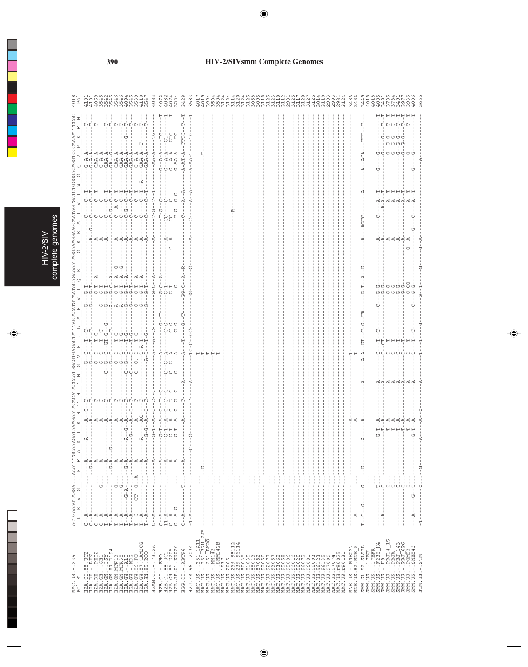| aenomes<br>ŗ |
|--------------|

| C<br>$-0.23$<br>$\cdot$<br>MAC.US.<br>Pol RT                                                                                                                                                                                                                                                                                                                                                                                      | ACTGAAAGTAGGAAAATTTGCAAI<br>L K V G . K F A F<br>$\overline{a}$                                                                                                                                                                                                                                                                                                                                                                                                                                                                                                                        |                                                  |                                                   |                                    |                                                                       |                                          |                    |
|-----------------------------------------------------------------------------------------------------------------------------------------------------------------------------------------------------------------------------------------------------------------------------------------------------------------------------------------------------------------------------------------------------------------------------------|----------------------------------------------------------------------------------------------------------------------------------------------------------------------------------------------------------------------------------------------------------------------------------------------------------------------------------------------------------------------------------------------------------------------------------------------------------------------------------------------------------------------------------------------------------------------------------------|--------------------------------------------------|---------------------------------------------------|------------------------------------|-----------------------------------------------------------------------|------------------------------------------|--------------------|
|                                                                                                                                                                                                                                                                                                                                                                                                                                   |                                                                                                                                                                                                                                                                                                                                                                                                                                                                                                                                                                                        |                                                  |                                                   |                                    |                                                                       |                                          |                    |
|                                                                                                                                                                                                                                                                                                                                                                                                                                   | $\frac{1}{1}$<br>$\mathbf I$<br>$-4$<br>$-4$                                                                                                                                                                                                                                                                                                                                                                                                                                                                                                                                           |                                                  | ひ ひ<br>υU                                         |                                    |                                                                       |                                          |                    |
|                                                                                                                                                                                                                                                                                                                                                                                                                                   | ÷<br>$ - - +$<br>$ - - - +$<br>$ - - +$<br>$ - +$<br>$ - +$<br>$\cdot$<br>$\cdot$<br>$\,$ l<br>f,<br>$\begin{array}{c} \rule{0.2cm}{0.15mm} \rule{0.2cm}{0.15mm} \rule{0.2cm}{0.15mm} \rule{0.2cm}{0.15mm} \rule{0.2cm}{0.15mm} \rule{0.2cm}{0.15mm} \rule{0.2cm}{0.15mm} \rule{0.2cm}{0.15mm} \rule{0.2cm}{0.15mm} \rule{0.2cm}{0.15mm} \rule{0.2cm}{0.15mm} \rule{0.2cm}{0.15mm} \rule{0.2cm}{0.15mm} \rule{0.2cm}{0.15mm} \rule{0.2cm}{0.15mm} \rule{$<br>上手<br>$\mathfrak l$<br>$-4$                                                                                               |                                                  | 부부부팅                                              |                                    | υU                                                                    | $A \land A$                              |                    |
|                                                                                                                                                                                                                                                                                                                                                                                                                                   | ÷,<br>$\frac{1}{2}$<br>$\frac{1}{\sqrt{2}}$<br>$\mathbf{I}$<br>$\,$ I<br>÷<br>$\mathbf I$                                                                                                                                                                                                                                                                                                                                                                                                                                                                                              |                                                  | ひ‐                                                |                                    | $1 \cdot 1 \cdot 1$                                                   |                                          |                    |
|                                                                                                                                                                                                                                                                                                                                                                                                                                   | $\mathbf{I}$<br><b>UUUUHHH</b>                                                                                                                                                                                                                                                                                                                                                                                                                                                                                                                                                         | $-1$ - $-1$                                      | ↻<br>UUUUUU                                       |                                    |                                                                       | べひべん                                     |                    |
|                                                                                                                                                                                                                                                                                                                                                                                                                                   | t                                                                                                                                                                                                                                                                                                                                                                                                                                                                                                                                                                                      |                                                  |                                                   |                                    |                                                                       |                                          |                    |
|                                                                                                                                                                                                                                                                                                                                                                                                                                   | $\frac{1}{1}$<br>$\frac{1}{1}$<br>FF                                                                                                                                                                                                                                                                                                                                                                                                                                                                                                                                                   | ひ                                                | ひ ひ ひ ひ ひ ひ ひ ひ ひ                                 | AAAA                               |                                                                       |                                          | $1010101010001010$ |
|                                                                                                                                                                                                                                                                                                                                                                                                                                   | $\frac{1}{4}$<br>$\mathbf{I}$<br>$\vdots$<br>$\,$<br>÷<br>$\mathbf I$<br>$\,$ $\,$<br>$\mathbf{I}$<br>$\,$ $\,$                                                                                                                                                                                                                                                                                                                                                                                                                                                                        | U                                                | 000                                               |                                    | $\overline{\phantom{a}}$                                              | ΚK                                       |                    |
|                                                                                                                                                                                                                                                                                                                                                                                                                                   | ţ<br>$-4$<br>$\ddot{A}$ -<br>$-1 - 9T - 9$                                                                                                                                                                                                                                                                                                                                                                                                                                                                                                                                             |                                                  | UUUU<br>ひ                                         | $\triangle$ $\triangle$            |                                                                       |                                          |                    |
| $\begin{tabular}{l} \bf 122A, CL & 88 \, , \tt UCC \\ \bf 12A, DB & - & BEN \\ \bf 12B, AB & - & BEN \\ \bf 12B, CH & - & CHL \\ \bf 12B, CH & - & CHL \\ \bf 12B, CH & - & CHL \\ \bf 12B, CH & - & CHL \\ \bf 12B, CH & - & CHL \\ \bf 12B, CH & - & CHL \\ \bf 12B, CH & - & CHL \\ \bf 12B, CH & - & CHL \\ \bf 12B, CH & - & CHL \\ \bf 12B, CH & - & CHL \\ \bf 12B, CH & - & C-L \\ \bf 12B, CH &$                         | ŧ<br>$-1 - 2 - 1 - 1$<br>$\frac{1}{2}$<br>$\mathbf{I}$<br>$\frac{1}{2}$<br>$\frac{1}{4}$<br>444<br><b>FFFF</b>                                                                                                                                                                                                                                                                                                                                                                                                                                                                         | U<br>- 1<br>ひ<br>$\mathfrak l$                   | - ひひえええひひひひひ<br><b>, PHPPPPP</b>                  | 55555<br>ひ ひ ひ ひ ひ ひ ひ ひ ひ ひ ひ ひ ひ | <b>HHH + HHHHHHHH</b><br>UUUUUUUUU H<br>UUUUUUUUUUU<br>AAAA AAAAAAA A | GAA-                                     | പ ഗ                |
| К<br>$-7312$<br>H2AB.CI                                                                                                                                                                                                                                                                                                                                                                                                           | $\mathbf{I}$<br>$\mathbf{I}$<br>$-4$<br>٠<br>÷<br>$\mathbf{I}$<br>$\mathbf{I}$<br>$\,$ I<br>К<br>Ť<br>U                                                                                                                                                                                                                                                                                                                                                                                                                                                                                | ↻<br>$\cup$                                      |                                                   | $\tau$                             | ひ<br>$\vdash$                                                         |                                          |                    |
|                                                                                                                                                                                                                                                                                                                                                                                                                                   | ţ<br>$-4$<br>$\mathbf{I}$<br>$\frac{1}{2}$<br>$\,$<br>Ť.                                                                                                                                                                                                                                                                                                                                                                                                                                                                                                                               |                                                  |                                                   |                                    | Ġ                                                                     |                                          |                    |
|                                                                                                                                                                                                                                                                                                                                                                                                                                   | $\frac{1}{1}$<br>$- - - A$<br>$\frac{1}{2}$<br>$\frac{1}{4}$<br>Ì<br>$\frac{C--A}{\Gamma T-A}$                                                                                                                                                                                                                                                                                                                                                                                                                                                                                         | $\mathbf{I}$                                     |                                                   | てりてり                               |                                                                       | 5<br>$\triangle$ $\triangle$             |                    |
| H2B.CI.-.BHO<br>H2B.CI.88.UC1<br>H2B.CH.86.D205<br>H2B.JP.01.KR020                                                                                                                                                                                                                                                                                                                                                                | $\frac{1}{1}$<br>$-4$<br>$\mathsf{I}$<br>$\frac{1}{2}$<br>$\frac{1}{1}$<br>$\frac{1}{1}$<br>$-4$<br>υÜ                                                                                                                                                                                                                                                                                                                                                                                                                                                                                 | ひひひひ<br>U<br>ひひひひ<br>$\mathbf{I}$<br>$\mathsf I$ | <b>じ じ じ じ</b><br>υύΰ<br>べくくく<br><b>いい</b><br>ÜÜÜ |                                    | <b>UUUU</b><br>$\mathbf{1}$<br>Ω⊢<br>ΚK                               | GTG<br>Ą<br>9999                         |                    |
| $\circ$                                                                                                                                                                                                                                                                                                                                                                                                                           | $- -A - -$<br>$\mathbb{I}$<br>$\frac{1}{2}$<br>Ť<br>$- -A - G$                                                                                                                                                                                                                                                                                                                                                                                                                                                                                                                         | Ŷ.                                               |                                                   |                                    | Ġ                                                                     | $-AA$                                    |                    |
| $-.ABT96$<br>H2G.CI.                                                                                                                                                                                                                                                                                                                                                                                                              | $-4$<br>$\frac{1}{2}$<br>$\begin{array}{cccccccccc} \mathbf{L} & & & & & \mathbf{L} & & & \mathbf{L} & & \mathbf{L} & & \mathbf{L} & \mathbf{L} & \mathbf{L} & \mathbf{L} & \mathbf{L} & \mathbf{L} & \mathbf{L} & \mathbf{L} & \mathbf{L} & \mathbf{L} & \mathbf{L} & \mathbf{L} & \mathbf{L} & \mathbf{L} & \mathbf{L} & \mathbf{L} & \mathbf{L} & \mathbf{L} & \mathbf{L} & \mathbf{L} & \mathbf{L} & \mathbf{L} & \mathbf{L} & \mathbf{L} & \mathbf{L} &$<br>$\mathbf{I}$<br>$-4 -$<br>$\cup$                                                                                      | ÷<br>$\frac{1}{2}$                               |                                                   |                                    |                                                                       | $A - A T$ -                              |                    |
| H2U. FR. 96.12034                                                                                                                                                                                                                                                                                                                                                                                                                 | $\begin{array}{c} \rule{0.2cm}{0.15mm} \rule{0.2cm}{0.15mm} \rule{0.2cm}{0.15mm} \rule{0.2cm}{0.15mm} \rule{0.2cm}{0.15mm} \rule{0.2cm}{0.15mm} \rule{0.2cm}{0.15mm} \rule{0.2cm}{0.15mm} \rule{0.2cm}{0.15mm} \rule{0.2cm}{0.15mm} \rule{0.2cm}{0.15mm} \rule{0.2cm}{0.15mm} \rule{0.2cm}{0.15mm} \rule{0.2cm}{0.15mm} \rule{0.2cm}{0.15mm} \rule{$<br>$\frac{1}{1}$<br>$\frac{1}{2}$<br>ţ<br>f,<br>$\mathsf I$<br>л.<br>$\mathbf{I}$<br>j<br>$T - A$                                                                                                                                 | ・・・・・・                                           |                                                   |                                    |                                                                       | $AA-$                                    |                    |
| $\begin{small} \mathtt{MEC} & \mathtt{UB} & \mathtt{1} & \mathtt{1} & \mathtt{1} & \mathtt{1} & \mathtt{1} & \mathtt{1} & \mathtt{1} & \mathtt{1} & \mathtt{1} & \mathtt{1} & \mathtt{1} & \mathtt{1} & \mathtt{1} & \mathtt{1} & \mathtt{1} & \mathtt{1} & \mathtt{1} & \mathtt{1} & \mathtt{1} & \mathtt{1} & \mathtt{1} & \mathtt{1} & \mathtt{1} & \mathtt{1} & \mathtt{1} & \mathtt{1} & \mathtt{1} & \mathtt{1} & \mathtt{$ |                                                                                                                                                                                                                                                                                                                                                                                                                                                                                                                                                                                        |                                                  |                                                   |                                    |                                                                       |                                          |                    |
| PJ5                                                                                                                                                                                                                                                                                                                                                                                                                               |                                                                                                                                                                                                                                                                                                                                                                                                                                                                                                                                                                                        |                                                  |                                                   |                                    |                                                                       |                                          |                    |
|                                                                                                                                                                                                                                                                                                                                                                                                                                   | J.<br>$\,$ $\,$<br>$\begin{array}{c} \rule{0.2cm}{0.15mm} \rule{0.2cm}{0.15mm} \rule{0.2cm}{0.15mm} \rule{0.2cm}{0.15mm} \rule{0.2cm}{0.15mm} \rule{0.2cm}{0.15mm} \rule{0.2cm}{0.15mm} \rule{0.2cm}{0.15mm} \rule{0.2cm}{0.15mm} \rule{0.2cm}{0.15mm} \rule{0.2cm}{0.15mm} \rule{0.2cm}{0.15mm} \rule{0.2cm}{0.15mm} \rule{0.2cm}{0.15mm} \rule{0.2cm}{0.15mm} \rule{$<br>$\begin{array}{c} 1 \\ 1 \\ 2 \\ 3 \end{array}$<br>Ť<br>$\frac{1}{1}$<br>$\,$ $\,$<br>$\frac{1}{1}$<br>$\frac{1}{4}$<br>$\frac{1}{1}$<br>ţ<br>$\frac{1}{1}$<br>$\mathbf{I}$<br>$\mathbf{I}$<br>$\mathbf{I}$ | $\,$ $\,$<br>$\,$ I                              |                                                   |                                    |                                                                       |                                          |                    |
|                                                                                                                                                                                                                                                                                                                                                                                                                                   | $\frac{1}{1}$<br>$\frac{1}{1}$<br>$\frac{1}{1}$<br>$\frac{1}{1}$<br>$\frac{1}{4}$<br>Ţ<br>Ť                                                                                                                                                                                                                                                                                                                                                                                                                                                                                            |                                                  |                                                   |                                    |                                                                       |                                          |                    |
|                                                                                                                                                                                                                                                                                                                                                                                                                                   | $\vdots$<br>$\frac{1}{1}$<br>f,                                                                                                                                                                                                                                                                                                                                                                                                                                                                                                                                                        |                                                  |                                                   |                                    |                                                                       |                                          |                    |
|                                                                                                                                                                                                                                                                                                                                                                                                                                   | $\frac{1}{1}$<br>$\mathbf{I}$                                                                                                                                                                                                                                                                                                                                                                                                                                                                                                                                                          |                                                  |                                                   |                                    |                                                                       |                                          |                    |
|                                                                                                                                                                                                                                                                                                                                                                                                                                   | $\begin{array}{c} \n\cdot & \cdot & \cdot \\ \n\cdot & \cdot & \cdot \\ \n\cdot & \cdot & \cdot \n\end{array}$<br>Ì<br>$\frac{1}{4}$                                                                                                                                                                                                                                                                                                                                                                                                                                                   |                                                  |                                                   |                                    |                                                                       |                                          |                    |
|                                                                                                                                                                                                                                                                                                                                                                                                                                   | I<br>$\frac{1}{1}$<br>1<br>п                                                                                                                                                                                                                                                                                                                                                                                                                                                                                                                                                           |                                                  |                                                   |                                    |                                                                       |                                          |                    |
|                                                                                                                                                                                                                                                                                                                                                                                                                                   |                                                                                                                                                                                                                                                                                                                                                                                                                                                                                                                                                                                        |                                                  |                                                   |                                    |                                                                       |                                          |                    |
|                                                                                                                                                                                                                                                                                                                                                                                                                                   | $\frac{1}{1}$<br>$\frac{1}{1}$<br>$\frac{1}{2}$ , $\frac{1}{2}$ , $\frac{1}{2}$ , $\frac{1}{2}$ , $\frac{1}{2}$ , $\frac{1}{2}$<br>$\frac{1}{1}$<br>$\frac{1}{4}$<br>$\mathbf{I}$                                                                                                                                                                                                                                                                                                                                                                                                      |                                                  |                                                   |                                    |                                                                       |                                          |                    |
|                                                                                                                                                                                                                                                                                                                                                                                                                                   | $\frac{1}{1}$<br>$\frac{1}{2}$<br>Ì<br>$\begin{array}{c} \rule{0.2cm}{0.15mm} \rule{0.2cm}{0.15mm} \rule{0.2cm}{0.15mm} \rule{0.2cm}{0.15mm} \rule{0.2cm}{0.15mm} \rule{0.2cm}{0.15mm} \rule{0.2cm}{0.15mm} \rule{0.2cm}{0.15mm} \rule{0.2cm}{0.15mm} \rule{0.2cm}{0.15mm} \rule{0.2cm}{0.15mm} \rule{0.2cm}{0.15mm} \rule{0.2cm}{0.15mm} \rule{0.2cm}{0.15mm} \rule{0.2cm}{0.15mm} \rule{$<br>٠                                                                                                                                                                                       |                                                  |                                                   |                                    |                                                                       |                                          |                    |
|                                                                                                                                                                                                                                                                                                                                                                                                                                   | ł<br>$\vdots$<br>$\mathbf{I}$                                                                                                                                                                                                                                                                                                                                                                                                                                                                                                                                                          |                                                  |                                                   |                                    |                                                                       |                                          |                    |
|                                                                                                                                                                                                                                                                                                                                                                                                                                   | $\begin{bmatrix} 1 \\ 1 \\ 1 \\ 1 \end{bmatrix}$<br>$\vdots$<br>Ť                                                                                                                                                                                                                                                                                                                                                                                                                                                                                                                      |                                                  |                                                   |                                    |                                                                       |                                          |                    |
|                                                                                                                                                                                                                                                                                                                                                                                                                                   | $\frac{1}{2}$<br>$\frac{1}{1}$<br>$\frac{1}{1}$<br>$\frac{1}{2}$<br>$\begin{bmatrix} 1 & 1 & 1 \\ 1 & 1 & 1 \\ 1 & 1 & 1 \\ 1 & 1 & 1 \\ 1 & 1 & 1 \\ 1 & 1 & 1 \\ 1 & 1 & 1 \\ 1 & 1 & 1 \\ 1 & 1 & 1 \\ 1 & 1 & 1 \\ 1 & 1 & 1 \\ 1 & 1 & 1 \\ 1 & 1 & 1 \\ 1 & 1 & 1 \\ 1 & 1 & 1 & 1 \\ 1 & 1 & 1 & 1 \\ 1 & 1 & 1 & 1 \\ 1 & 1 & 1 & 1 \\ 1 & 1 & 1 & 1 \\ 1 & 1 & 1 & 1 \\ 1 & 1 & 1 & 1 \\ 1 & $<br>I<br>$\mathbf{I}$<br>$\mathbf{I}$                                                                                                                                           |                                                  |                                                   |                                    |                                                                       |                                          |                    |
|                                                                                                                                                                                                                                                                                                                                                                                                                                   | $\vdots$                                                                                                                                                                                                                                                                                                                                                                                                                                                                                                                                                                               |                                                  |                                                   |                                    |                                                                       |                                          |                    |
|                                                                                                                                                                                                                                                                                                                                                                                                                                   |                                                                                                                                                                                                                                                                                                                                                                                                                                                                                                                                                                                        |                                                  |                                                   |                                    |                                                                       |                                          |                    |
|                                                                                                                                                                                                                                                                                                                                                                                                                                   | $\frac{1}{1}$<br>$\begin{aligned} \mathcal{L}_{\mathcal{A}}(\mathcal{A}) & = \mathcal{L}_{\mathcal{A}}(\mathcal{A}) + \mathcal{L}_{\mathcal{A}}(\mathcal{A}) + \mathcal{L}_{\mathcal{A}}(\mathcal{A}) + \mathcal{L}_{\mathcal{A}}(\mathcal{A}) + \mathcal{L}_{\mathcal{A}}(\mathcal{A}) + \mathcal{L}_{\mathcal{A}}(\mathcal{A}) + \mathcal{L}_{\mathcal{A}}(\mathcal{A}) + \mathcal{L}_{\mathcal{A}}(\mathcal{A}) + \mathcal{L}_{\mathcal{A}}(\mathcal{A}) + \mathcal{L}_{\mathcal{A}}(\mathcal{A}) + \mathcal{L$<br>$\overline{\phantom{a}}$                                         |                                                  |                                                   |                                    |                                                                       |                                          |                    |
|                                                                                                                                                                                                                                                                                                                                                                                                                                   | $\frac{1}{1}$<br>$\mathbf{I}$                                                                                                                                                                                                                                                                                                                                                                                                                                                                                                                                                          |                                                  |                                                   |                                    |                                                                       |                                          |                    |
|                                                                                                                                                                                                                                                                                                                                                                                                                                   | $\frac{1}{1}$<br>i<br>i<br>$\overline{\phantom{a}}$<br>$\mathbf{I}$                                                                                                                                                                                                                                                                                                                                                                                                                                                                                                                    |                                                  |                                                   |                                    |                                                                       |                                          |                    |
|                                                                                                                                                                                                                                                                                                                                                                                                                                   | $\frac{1}{2}$<br>$\frac{1}{1}$<br>i<br>F<br>ŧ<br>ł<br>-                                                                                                                                                                                                                                                                                                                                                                                                                                                                                                                                |                                                  |                                                   |                                    |                                                                       |                                          |                    |
|                                                                                                                                                                                                                                                                                                                                                                                                                                   | t                                                                                                                                                                                                                                                                                                                                                                                                                                                                                                                                                                                      |                                                  |                                                   |                                    |                                                                       |                                          |                    |
|                                                                                                                                                                                                                                                                                                                                                                                                                                   |                                                                                                                                                                                                                                                                                                                                                                                                                                                                                                                                                                                        |                                                  |                                                   |                                    |                                                                       |                                          |                    |
|                                                                                                                                                                                                                                                                                                                                                                                                                                   | $\frac{1}{1}$<br>$\frac{1}{1}$                                                                                                                                                                                                                                                                                                                                                                                                                                                                                                                                                         |                                                  |                                                   |                                    |                                                                       |                                          |                    |
|                                                                                                                                                                                                                                                                                                                                                                                                                                   | $\begin{array}{c} 1 \\ 1 \\ 1 \\ 1 \\ 1 \end{array}$<br>$\begin{bmatrix} 1 & 1 & 1 \\ 1 & 1 & 1 \\ 1 & 1 & 1 \end{bmatrix}$<br>$\frac{1}{1}$                                                                                                                                                                                                                                                                                                                                                                                                                                           |                                                  |                                                   |                                    |                                                                       |                                          |                    |
|                                                                                                                                                                                                                                                                                                                                                                                                                                   | $\frac{1}{1}$<br>j<br>ł                                                                                                                                                                                                                                                                                                                                                                                                                                                                                                                                                                |                                                  |                                                   |                                    |                                                                       |                                          |                    |
|                                                                                                                                                                                                                                                                                                                                                                                                                                   | ł.<br>$\,$<br>ţ.<br>f,<br>J<br>$\mathbf{I}$                                                                                                                                                                                                                                                                                                                                                                                                                                                                                                                                            | Æ                                                |                                                   |                                    |                                                                       |                                          |                    |
| $\sim \infty$<br>MNE.US. - .MNE02<br>MNE.US. 82.MNE                                                                                                                                                                                                                                                                                                                                                                               | $\overline{\phantom{a}}$<br>$- - A -$                                                                                                                                                                                                                                                                                                                                                                                                                                                                                                                                                  | Æ                                                |                                                   |                                    |                                                                       |                                          |                    |
|                                                                                                                                                                                                                                                                                                                                                                                                                                   |                                                                                                                                                                                                                                                                                                                                                                                                                                                                                                                                                                                        | Æ                                                | U)<br>5                                           |                                    | AGT                                                                   |                                          |                    |
|                                                                                                                                                                                                                                                                                                                                                                                                                                   | $\frac{1}{4}$<br>j<br>t<br>$\begin{array}{c} \n\mathbb{C}^3 & \mathbb{I} \\ \n\mathbb{I} & \mathbb{I} \\ \n\mathbb{I} & \mathbb{I} \end{array}$<br>$\,$<br>J.<br>$\,$ I<br>$\mathbf{I}$<br>J,<br>$\,$ I<br>J.                                                                                                                                                                                                                                                                                                                                                                          | J                                                |                                                   |                                    |                                                                       |                                          |                    |
|                                                                                                                                                                                                                                                                                                                                                                                                                                   | $\frac{1}{1}$<br>ı<br>ı<br>$\frac{1}{1}$<br>ı<br>ı<br>$\mathbf{I}$<br>$\mathbf{I}$<br>ł                                                                                                                                                                                                                                                                                                                                                                                                                                                                                                |                                                  |                                                   |                                    |                                                                       |                                          |                    |
|                                                                                                                                                                                                                                                                                                                                                                                                                                   | j,<br>J<br>ŧ<br>۲<br>ا<br>Ť<br>ţ<br>$\frac{1}{4}$<br>j<br>$- - A - -$<br>ł                                                                                                                                                                                                                                                                                                                                                                                                                                                                                                             |                                                  |                                                   |                                    | 4                                                                     |                                          |                    |
| 15                                                                                                                                                                                                                                                                                                                                                                                                                                | Ì<br>÷<br>$\frac{1}{4}$<br>$\,$ I<br>$\mathbf{I}$<br>$\mathbf{I}$                                                                                                                                                                                                                                                                                                                                                                                                                                                                                                                      |                                                  |                                                   |                                    |                                                                       |                                          |                    |
|                                                                                                                                                                                                                                                                                                                                                                                                                                   | $\frac{1}{2}$<br>U<br>$\frac{1}{4}$<br>I<br>$\frac{1}{4}$                                                                                                                                                                                                                                                                                                                                                                                                                                                                                                                              |                                                  |                                                   |                                    |                                                                       |                                          | $\infty$           |
| $\begin{array}{l} \mathbf{SIM1}, \mathbf{S1}, \mathbf{92}, \mathbf{S1292B} \\ \mathbf{SIM2}, \mathbf{US}, \mathbf{-177BC1} \\ \mathbf{SIM2}, \mathbf{US}, \mathbf{-1772C1} \\ \mathbf{SIM3}, \mathbf{US}, \mathbf{-17236} \\ \mathbf{SIM3}, \mathbf{US}, \mathbf{-18236} \\ \mathbf{SIM3}, \mathbf{US}, \mathbf{-18236} \\ \mathbf{SIM3}, \mathbf{US}, \mathbf{-18231} \\ \mathbf{SIM3}, \mathbf{US}, \mathbf{-18231} \\ \mathbf$ | $\,$<br>ţ<br>U<br>$\mathbb{I}$<br>$\blacksquare$<br>J.<br>ł                                                                                                                                                                                                                                                                                                                                                                                                                                                                                                                            | ええええええん<br>みみみみみみみ<br><b>PPPPPPPP</b>            | 부담부부부부부<br><u> ひ ひ ひ ひ ひ ひ ひ</u>                  | ウウウウウウ<br>ゅうううううう                  | <b>HHHHHHH</b><br>RAAAAAA<br>AAAAA                                    | ひひひひひ<br>ひひひひ<br>יז לז לז לז לז לז לז לז | 4                  |
|                                                                                                                                                                                                                                                                                                                                                                                                                                   | $\frac{1}{1}$<br>$\,$<br>1<br>I<br>$\mathbf{I}$<br>$\mathbf{I}$<br>$\vdots$<br>U<br>ι<br>Ο<br>$\,$ I<br>J.<br>٠<br>$\blacksquare$<br>$\blacksquare$<br>$\mathbf{I}$<br>$\overline{\phantom{a}}$                                                                                                                                                                                                                                                                                                                                                                                        |                                                  |                                                   |                                    |                                                                       |                                          |                    |
|                                                                                                                                                                                                                                                                                                                                                                                                                                   | $\frac{1}{1}$<br>I,<br>I<br>J.<br>$\frac{1}{4}$<br>I,<br>È<br>U<br>I<br>$-1 - 1 - 1 - 1 - 1$                                                                                                                                                                                                                                                                                                                                                                                                                                                                                           |                                                  |                                                   |                                    |                                                                       |                                          | $\overline{\circ}$ |
| <b>NLS</b><br>STM.US                                                                                                                                                                                                                                                                                                                                                                                                              | $\overline{\phantom{a}}$<br>$\,$ I<br>$-5-$<br>C<br>$\overline{\phantom{a}}$<br>$\frac{1}{1}$<br>$\mathsf{F}$                                                                                                                                                                                                                                                                                                                                                                                                                                                                          |                                                  |                                                   |                                    |                                                                       |                                          |                    |
|                                                                                                                                                                                                                                                                                                                                                                                                                                   |                                                                                                                                                                                                                                                                                                                                                                                                                                                                                                                                                                                        |                                                  |                                                   |                                    |                                                                       |                                          |                    |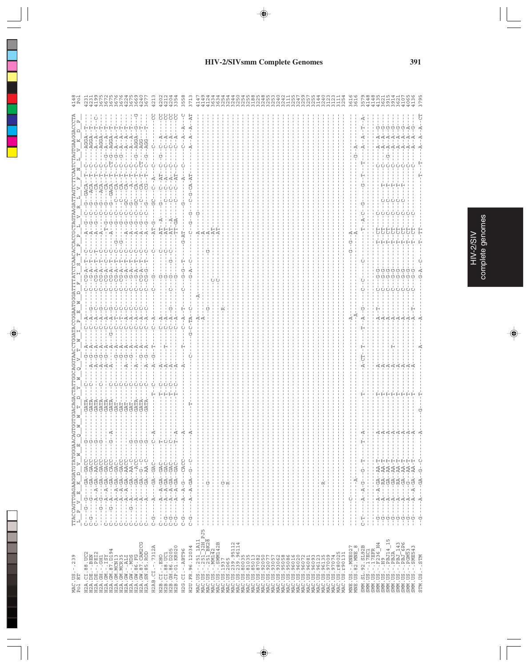| ׇ֘֝֬֝        |
|--------------|
|              |
| ĺ            |
|              |
| اي<br>آ<br>ກ |
| ï            |
|              |
|              |
|              |
| ֠            |
| i            |
|              |
|              |
|              |
|              |

ő.

| ρo                                                   | 119525664590                                                                                                                                                                                                                                                                                                                                                                                                                                                                                                                                                                                                  | $\overline{c}$                                                                 | O H O M<br>$N$ $N$ $N$ $m$<br><b>UUUU</b>                                                                                                                                                            | 55                           | 371                                         | 14<br>14                                                                                                                                                                                                                                           |                                                                                                                                                                                    | $\rightarrow$                                                                                            |                         |                                                             |  |               |               | $10.0010.0010.0001100.000104$                                                                | $\circ$ m                                              | LΟ<br>$\frac{1}{6}$                                                                                                                                                                                                                             | 0,00,00,00,01,00<br><b>ワムムミクリー このること</b>                                                                                                                                                                                                                                                                                                                                                                                                                                                                                                                                                                                       |
|------------------------------------------------------|---------------------------------------------------------------------------------------------------------------------------------------------------------------------------------------------------------------------------------------------------------------------------------------------------------------------------------------------------------------------------------------------------------------------------------------------------------------------------------------------------------------------------------------------------------------------------------------------------------------|--------------------------------------------------------------------------------|------------------------------------------------------------------------------------------------------------------------------------------------------------------------------------------------------|------------------------------|---------------------------------------------|----------------------------------------------------------------------------------------------------------------------------------------------------------------------------------------------------------------------------------------------------|------------------------------------------------------------------------------------------------------------------------------------------------------------------------------------|----------------------------------------------------------------------------------------------------------|-------------------------|-------------------------------------------------------------|--|---------------|---------------|----------------------------------------------------------------------------------------------|--------------------------------------------------------|-------------------------------------------------------------------------------------------------------------------------------------------------------------------------------------------------------------------------------------------------|--------------------------------------------------------------------------------------------------------------------------------------------------------------------------------------------------------------------------------------------------------------------------------------------------------------------------------------------------------------------------------------------------------------------------------------------------------------------------------------------------------------------------------------------------------------------------------------------------------------------------------|
|                                                      | <b>PPPPPP0PP</b><br>1888<br>AG<br>ひひひひ<br>ひ<br>ひ<br>የየየየየየβየየየየየየይ<br>U                                                                                                                                                                                                                                                                                                                                                                                                                                                                                                                                       |                                                                                | $A \land A \land A$<br>ひひひひ<br>ひ<br>UUUU                                                                                                                                                             | К<br>Æ<br>U<br>U             | К<br>K.<br>K.                               |                                                                                                                                                                                                                                                    |                                                                                                                                                                                    |                                                                                                          |                         |                                                             |  |               |               |                                                                                              |                                                        |                                                                                                                                                                                                                                                 | ひひひひひひぱひ<br>えええええええ<br>Æ<br>みみみみみみみ<br>ひ<br>п.<br>Н<br><b>ひひひひひひひ</b>                                                                                                                                                                                                                                                                                                                                                                                                                                                                                                                                                          |
|                                                      | <b>BBBBBBBBBB</b><br><b>PPPP</b><br><b>GEGEGEFEE</b><br>g<br>$-7 - 8$<br><b>UUUUUUUUUUUU</b><br>ひひひ‐ひひひひひひひひ                                                                                                                                                                                                                                                                                                                                                                                                                                                                                                  | ¥<br>U                                                                         | A<br>A<br>A<br>A<br>A<br>UUUU<br>UUU                                                                                                                                                                 |                              | ĀТ<br>Ś<br>Ġ<br>U<br>ひ<br>٢ŋ                | H,                                                                                                                                                                                                                                                 |                                                                                                                                                                                    |                                                                                                          |                         |                                                             |  |               |               |                                                                                              |                                                        |                                                                                                                                                                                                                                                 | <b>HHHHH</b><br>てり<br>ひひひひひ<br>U U U U U U U<br>K.<br>⊢                                                                                                                                                                                                                                                                                                                                                                                                                                                                                                                                                                        |
|                                                      | $\triangle \triangle \triangle$<br>$\overline{A}$<br><b>ひ ウ</b><br>ひトトト<br>$\mathbb H$<br>н<br>н<br>みみみみみみみみみみみは                                                                                                                                                                                                                                                                                                                                                                                                                                                                                              | RΙ<br>U<br>ひ                                                                   | <b>ATH</b><br>ATH<br>ひひひ<br>ひ<br>ひひひひ                                                                                                                                                                | τŋ<br>છં                     | U<br>Ġ                                      | RRRR                                                                                                                                                                                                                                               |                                                                                                                                                                                    |                                                                                                          |                         |                                                             |  |               |               |                                                                                              |                                                        |                                                                                                                                                                                                                                                 | 5555555<br>6666666<br>ひひひひひひひひ<br>ううううううう                                                                                                                                                                                                                                                                                                                                                                                                                                                                                                                                                                                      |
| CGGAATGGGA<br>P E W D                                | <b>UUUUUUUU</b><br>U<br><b>ひひ ひ ひ ひ ひ ひ ひ ひ ひ ひ</b><br><b>A A A A A A H H A A A A A A</b><br>U U U U U U U U U U U U U                                                                                                                                                                                                                                                                                                                                                                                                                                                                                        | Æ<br>U                                                                         | てり<br>RRR<br>ひひひひ                                                                                                                                                                                    | н                            | U<br>FA<br>Ů                                | ↻<br>てり<br>KL KL                                                                                                                                                                                                                                   | $\alpha$                                                                                                                                                                           |                                                                                                          |                         |                                                             |  |               |               |                                                                                              |                                                        |                                                                                                                                                                                                                                                 | τı<br><u> ひ ひ ひ ひ ひ ひ ひ</u><br>AAAAAAA                                                                                                                                                                                                                                                                                                                                                                                                                                                                                                                                                                                         |
| CTGGATACO<br>. W I E<br><b>CGCAGCHAC</b>             | <b>AAAAAAAAAAAA</b><br>ひひひひひ しひひひ<br>⊢ ひ ひ<br>みみみみ<br>К<br>A<br>K.                                                                                                                                                                                                                                                                                                                                                                                                                                                                                                                                            | е<br>ひ<br>Æ                                                                    | $A \land A$<br>К                                                                                                                                                                                     |                              |                                             |                                                                                                                                                                                                                                                    |                                                                                                                                                                                    |                                                                                                          |                         |                                                             |  |               |               |                                                                                              |                                                        |                                                                                                                                                                                                                                                 | 5<br>みみみみみみみ                                                                                                                                                                                                                                                                                                                                                                                                                                                                                                                                                                                                                   |
|                                                      |                                                                                                                                                                                                                                                                                                                                                                                                                                                                                                                                                                                                               |                                                                                | UUUU<br>88888                                                                                                                                                                                        |                              |                                             |                                                                                                                                                                                                                                                    |                                                                                                                                                                                    |                                                                                                          |                         |                                                             |  |               |               |                                                                                              |                                                        |                                                                                                                                                                                                                                                 | 6666666                                                                                                                                                                                                                                                                                                                                                                                                                                                                                                                                                                                                                        |
|                                                      | ÷<br>ငှံ ပုံ ပုံ<br>$\frac{1}{\sqrt{2}}$<br>$\dot{c}$<br>$\ddot{\phi}$ $\ddot{\phi}$ $\ddot{\phi}$ $\ddot{\phi}$<br>$\mathbf{I}$<br>$\mathfrak l$<br>$\blacksquare$<br>$\blacksquare$<br>$\mathbf{1}$<br>J.<br>J.<br>$\mathbf{I}$<br>计计算<br>- 11<br>$\blacksquare$<br>$\mathbf{r}$<br>$\mathbf{I}$<br>$\mathbf{I}$<br>$\blacksquare$<br>$\mathbf{I}$<br>$\mathbf{I}$<br>$\mathbf{I}$<br>$\mathbf{I}$<br>$\mathbf{I}$<br>$\,$<br>1                                                                                                                                                                             | U<br>л.<br>$\mathsf I$<br>$-045C -$                                            | ÷<br>÷<br>÷<br>$\mathbf{I}$<br>ĤÙ<br>TIT<br>е<br>$\mathbf{1}$<br>$\mathcal{A}$<br>$\mathbf{I}$<br>$1 - 1$<br>$\blacksquare$<br>÷.<br>$1 - 1$<br>$\mathbf{I}$<br>冒击                                   | $\mathbf{I}$<br>$- -$ CACC   | $\mathbb{I}$<br>$\mathbf{I}$<br>$-5 - -1 -$ | $\frac{1}{4}$<br>$\frac{1}{1}$<br>$\frac{1}{1}$<br>$\mathbf{I}$<br>$\mathsf I$<br>$\mathsf I$<br>$\,$ $\,$<br>$\,$<br>$\frac{1}{1}$<br>ţ.<br>$\begin{array}{c} 1 \\ 1 \\ 1 \end{array}$<br>$\mathbf I$<br>$\frac{1}{4}$<br>÷                       | ł<br>$\frac{1}{4}$                                                                                                                                                                 | Î<br>$\frac{1}{4}$<br>$\frac{1}{4}$                                                                      |                         |                                                             |  |               |               |                                                                                              |                                                        | $\mathbf{I}$<br>$\mathsf I$<br>٠<br>t<br>Î                                                                                                                                                                                                      | AAAAAAA<br>÷<br>L.<br>L.<br>Ļ<br>$\mathbf{I}$<br>$\mathbf{I}$<br>$\overline{\phantom{a}}$<br>1<br>I.<br>$\mathfrak l$<br>$\,$<br>$\,$<br>L.<br>$\mathbf{I}$<br>J.<br>٠<br>٠<br>۲<br>ا<br>$-AA-T$<br>$-AA-T$<br>$-AA-T$<br>$\ddot{\phi}$                                                                                                                                                                                                                                                                                                                                                                                        |
| TTACCAGTTGAGAAGGATGTATGGGAACA<br>L P V E K D V W E C | $\begin{aligned} \mathbf{G}^{(1)} &= -\mathbf{G}^{(1)} - \mathbf{G}^{(2)} - \mathbf{G}^{(3)} - \mathbf{G}^{(4)} + \mathbf{G}^{(5)}\mathbf{G}^{(5)} \\ \mathbf{G}^{(2)} &= -\mathbf{G}^{(2)} - \mathbf{G}^{(3)} - \mathbf{G}^{(3)}\mathbf{G}^{(5)} \\ \mathbf{G}^{(3)} &= -\mathbf{G}^{(3)} - \mathbf{G}^{(3)} + \mathbf{G}^{(3)}\mathbf{G}^{(5)} \\ \mathbf{G}^{(3)} &= -\mathbf{G}^{(3)} - \mathbf{G$<br>$\ddot{\phi}$<br>44<br>$\mathbf{I}$<br>$\,$ I<br>$\mathsf I$<br>$\,$ $\,$<br>÷<br>$\mathbf{I}$<br>$\,$ I<br>$\mathbf{I}$<br>$\blacksquare$<br>$\blacksquare$<br>$\mathbf{I}$<br>UUU<br>$\mathbf{I}$ | $- - GA$<br>$\mathsf I$<br>К<br>÷<br>$\mathbf{I}$<br>$\frac{1}{\sqrt{2}}$<br>U | $1 - 1$<br>$\blacksquare$<br>J.<br>ָהָסְׁסָׁ<br>הַחֲהַ                                                                                                                                               | $A - A - G -$<br>Ť<br>Ġ<br>U | $- -A - -A - GA$<br>ن<br>ن                  | ٠<br>$\mathbb{L}$<br>$\mathbb{I}$<br>$\frac{1}{4}$<br>$\mathbf{I}$<br>$\mathsf I$<br>$\mathbf{I}$<br>٠<br>$\mathbf I$<br>$\mathbf I$<br>$\,$ I<br>$\frac{1}{1}$<br>ł<br>$\,$ $\,$<br>L.<br>$\mathbf{I}$<br>$\overline{1}$<br>$\mathsf I$<br>$\,$ I | 甘<br>$-1 - 6$<br>$\begin{smallmatrix} 1 & 1 \\ 1 & 1 \end{smallmatrix}$<br>Ħ<br>$\mathbf{I}$<br>$\mathbf{I}$<br>$\frac{1}{4}$<br>J,<br>$\mathbf{1}$<br>$\mathsf I$<br>$\mathbf{I}$ | $\frac{1}{4}$<br>$\,$<br>$\,$ I<br>ł<br>ł<br>$\mathbf{I}$<br>$\mathbf{I}$<br>$\mathsf I$<br>$\mathbf{I}$ | 1<br>$\mathbf{I}$<br>I. | $\frac{1}{1}$<br>$\overline{\phantom{a}}$<br>$\overline{1}$ |  | $\frac{1}{1}$ | $\frac{1}{1}$ | -------------<br>$\mathbf{1}$<br>-<br>$\overline{\phantom{a}}$<br>$\mathsf I$<br>$\mathbf I$ | ł<br>$\,$ I<br>$\mathbf{u}$<br>J.<br>$\mathbf{I}$<br>1 | $\,$ $\,$<br>$- - A$<br>$\,$ $\,$<br>$\frac{1}{4}$<br>$\blacksquare$<br>$\,$<br>$\,$ I<br>$\overline{C}$ $\overline{C}$<br>$\,$ I<br>$\blacksquare$<br>$\,$ I<br>J.<br>٠<br>$\mathbf I$<br>$\overline{\phantom{a}}$<br>$\mathbf I$<br>$\,$ $\,$ | $- A - G A - - A A - T$<br>$-45A - 4A - T$<br>$-1 - 6A - 2A - T - 1$<br>$-1 - 6A - 2A - 1$<br>$\mathbf{I}$<br>$1 - A - GA - A - SA - I = RA - I$<br>$A - C$<br>ひ<br>Ť<br>$-4 - -$<br>44<br>$\mathbb{I}$<br>$\mathbb{I}$<br>$\,$ $\,$<br>$\mathfrak l$<br>$\overline{\phantom{a}}$<br>Ą<br>みみみみみ<br>К<br>T T T<br>Ŧ<br>÷<br>Ť<br>$\blacksquare$<br>$\overline{1}$<br>1<br>$\frac{1}{4}$<br>$\mathbf{I}$<br>$\blacksquare$<br>$\mathcal{A}$<br>$\mathsf I$<br>$\mathbf{I}$<br>$\mathbf{I}$<br>$\mathbf{I}$<br>$\mathbf{I}$<br>$\blacksquare$<br>-1<br>白し<br>υ υ<br><b>ひひひひ</b><br>ひ<br>$\frac{6}{1}$<br>ī.<br>Ť.<br>$\mathbf{L}$ |
| G<br>.23<br>$\mathsf I$<br>MAC.US.<br>Pol RT         | $\begin{array}{ll} \text{H2A, CL, 88, UC2} \\ \text{H2A, DE} & - \text{ HBN} \\ \text{H2A, CH} & - \text{ HBN} \\ \text{H2A, CH} & - \text{ CH} \\ \text{H2A, QN}, - \text{ LSY} \\ \text{H2A, QN, MOM13} \\ \text{H2A, QN, MOM13} \\ \text{H2A, QN, MOM13} \\ \text{H2A, QN, MOM13} \\ \text{H2A, QN, MOM2} \\ \text{H2A, QN, LOM2} \\ \text{H2A, QN, ROM2} \\ \text{H2A, QN, ROM2} \\ \$                                                                                                                                                                                                                    | Ą<br>$-.7312$<br>H2AB.CI.                                                      | $\circ$<br>$\begin{array}{l} \rm H2B \cdot CL \cdot - \cdot BHO \\ \rm H2B \cdot CL \cdot 88 \cdot UCL \\ \rm H2B \cdot GH \cdot 86 \cdot D205 \\ \rm H2B \cdot JE \cdot 01 \cdot KRO20 \end{array}$ | H2G.CI. - ABT96              | H2U. FR. 96.12034                           | PJ5<br>MAC.US. - .251_1A11<br>MAC.US. - .251_32H<br>MAC.US. - .251_BK28                                                                                                                                                                            | $\mathbf{\underline{m}}$                                                                                                                                                           | 5112<br>6114                                                                                             |                         |                                                             |  |               |               |                                                                                              |                                                        | MNE.US. - .MNE027<br>MNE.US. 82.MNE_8                                                                                                                                                                                                           | LN<br>$\begin{array}{l} \texttt{SMM}, \texttt{SL}, 92, \texttt{SLO2B} \\ \texttt{SMM}, \texttt{US}. - 17 \texttt{BC1} \\ \texttt{SMM}, \texttt{US}. - 17 \texttt{Z3} \texttt{S} \texttt{H4} \\ \texttt{SMM}, \texttt{US}. - 182 \texttt{S} \texttt{I} \texttt{H4} \\ \texttt{SMM}, \texttt{US}. - 183 \texttt{I} \texttt{I} \texttt{I} \texttt{I} \texttt{I} \\ \texttt{SMM}, \texttt{US}. - 18 \texttt{I} \texttt{I} \texttt{I} \$                                                                                                                                                                                            |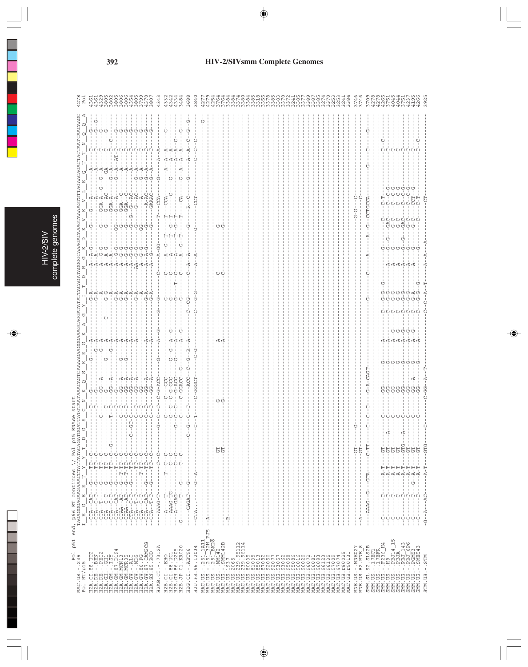continues \/ Pol p15 RNAse start  $\mathbb{R}^+$ p66 end. p51  $P<sub>O</sub>$ 

|                                                                                                                                                                                                                                                                |        | 6 U<br>m m m co co co co co m co r m co                                                                                                                                                                                                                                                                                                               | 4             | ooooowowr<br>mmmmm <del>d</del> mm |           |                   |         |               |                  | ₩                 | $\circ$ | 3            |          | 4<br>www<br>↵         | $\omega$<br>↵                                                       | $\infty$<br>4                | $\circ$          | ${}^{\circ}$      |             | $N$ $N$ |                             |   |                                                                                                                                                                                                                                                                                                                                                           | $0000 -$      |                  |               |           | $\infty$ $\infty$ $\infty$ $\rightarrow$ $\infty$ $\infty$ $\sim$ |               |  |  |  |  |  | 4878887 |  |  | 41 ∞<br>mmmmmmmmmmmmmmmmmmmmNmNN                                                                                                                                                                                                                                                                               | $\sim$ $\sim$                                                                                                         | $\circ$<br>$\overline{ }$<br>$\infty$                                                         | NANLOOLNH<br>4<br>₹                                                                                                                                                                                                                                                                                                                                                                                                                                                    |        | ∉ শ | ₩                                            |   | $4\omega$ | ₩                |              | $\mathbf{\sim}$ | Q                                                        |  |
|----------------------------------------------------------------------------------------------------------------------------------------------------------------------------------------------------------------------------------------------------------------|--------|-------------------------------------------------------------------------------------------------------------------------------------------------------------------------------------------------------------------------------------------------------------------------------------------------------------------------------------------------------|---------------|------------------------------------|-----------|-------------------|---------|---------------|------------------|-------------------|---------|--------------|----------|-----------------------|---------------------------------------------------------------------|------------------------------|------------------|-------------------|-------------|---------|-----------------------------|---|-----------------------------------------------------------------------------------------------------------------------------------------------------------------------------------------------------------------------------------------------------------------------------------------------------------------------------------------------------------|---------------|------------------|---------------|-----------|-------------------------------------------------------------------|---------------|--|--|--|--|--|---------|--|--|----------------------------------------------------------------------------------------------------------------------------------------------------------------------------------------------------------------------------------------------------------------------------------------------------------------|-----------------------------------------------------------------------------------------------------------------------|-----------------------------------------------------------------------------------------------|------------------------------------------------------------------------------------------------------------------------------------------------------------------------------------------------------------------------------------------------------------------------------------------------------------------------------------------------------------------------------------------------------------------------------------------------------------------------|--------|-----|----------------------------------------------|---|-----------|------------------|--------------|-----------------|----------------------------------------------------------|--|
| PACTAATCAACAAG<br>$\circ$                                                                                                                                                                                                                                      | てり     | ひ<br>てりてり                                                                                                                                                                                                                                                                                                                                             | てり            | U                                  | てりてり      |                   |         | てりてりてりてり      |                  | てり<br>τŋ          |         |              | てり       |                       |                                                                     | てり                           | (5)<br>T)        |                   |             |         |                             |   |                                                                                                                                                                                                                                                                                                                                                           |               |                  |               |           |                                                                   |               |  |  |  |  |  |         |  |  |                                                                                                                                                                                                                                                                                                                |                                                                                                                       |                                                                                               |                                                                                                                                                                                                                                                                                                                                                                                                                                                                        | U      |     |                                              | ↻ | ↻         | U                |              |                 |                                                          |  |
|                                                                                                                                                                                                                                                                |        | TRAGARARARAR                                                                                                                                                                                                                                                                                                                                          | てり<br>ひ       |                                    | <b>いい</b> | - 11              | GGA     |               |                  | ひひひひ              |         | c٦<br>CCA    | К<br>CCA | τŋ                    |                                                                     | K,<br>也<br>G<br>$\mathbf{I}$ | τŋ               |                   |             |         |                             |   |                                                                                                                                                                                                                                                                                                                                                           |               |                  |               |           |                                                                   |               |  |  |  |  |  |         |  |  |                                                                                                                                                                                                                                                                                                                | ひ<br>U                                                                                                                | CCLGCCA                                                                                       |                                                                                                                                                                                                                                                                                                                                                                                                                                                                        | 부      |     | ひ ひ ひ ひ ひ ひ<br>ひひひひ<br>부분 나는 남동부<br>ひひひひひひひひ |   |           | U                |              |                 |                                                          |  |
|                                                                                                                                                                                                                                                                | ひ<br>↻ |                                                                                                                                                                                                                                                                                                                                                       | <b>ひ ひ</b>    | п.<br>$\mathbf{I}$                 |           | $1 - 1 - 1$       |         | ひ             |                  | <u> 방안한한번방</u> 한한 |         | Н<br>9       | ひ        | <b>ひ ひ</b><br>нн      | 88888                                                               | ь<br>也                       |                  |                   |             |         |                             | ひ | ٢ŋ                                                                                                                                                                                                                                                                                                                                                        |               |                  |               |           |                                                                   |               |  |  |  |  |  |         |  |  |                                                                                                                                                                                                                                                                                                                |                                                                                                                       | C                                                                                             |                                                                                                                                                                                                                                                                                                                                                                                                                                                                        |        | Ġ   | <b>UUUU</b><br>ひ ひ ひ ひ ひ ひ ひ ひ               |   | ひ         |                  | υU           |                 |                                                          |  |
|                                                                                                                                                                                                                                                                |        | ええひええひひひひひひえひ<br>RRRRRRRRRRR<br>みみみGAAAAAAAAA                                                                                                                                                                                                                                                                                                         |               |                                    |           |                   |         |               |                  |                   |         | Ŕ,<br>O      |          |                       | A A A<br>ひひひひ<br>F                                                  |                              | $\tau$ 1         |                   |             |         |                             | υ | U                                                                                                                                                                                                                                                                                                                                                         |               |                  |               |           |                                                                   |               |  |  |  |  |  |         |  |  |                                                                                                                                                                                                                                                                                                                |                                                                                                                       |                                                                                               |                                                                                                                                                                                                                                                                                                                                                                                                                                                                        |        |     | みみみみみ<br>めめめめめめ                              |   |           |                  |              | ひ               |                                                          |  |
| GAAGGAAAGCAGGA                                                                                                                                                                                                                                                 |        | 55 5 555 5 5 55<br><b>A A A A A A A A A A</b>                                                                                                                                                                                                                                                                                                         |               |                                    |           |                   |         |               |                  | Æ                 |         | ひ<br>也<br>К  |          | 也<br>ΚK               | <b>ひひひひ</b>                                                         |                              |                  | U                 |             |         |                             | Æ | K,                                                                                                                                                                                                                                                                                                                                                        |               |                  |               |           |                                                                   |               |  |  |  |  |  |         |  |  |                                                                                                                                                                                                                                                                                                                |                                                                                                                       |                                                                                               |                                                                                                                                                                                                                                                                                                                                                                                                                                                                        |        |     | ひ ひ ひ ひ ひ ひ ひ ひ<br><b>ひひひひひひひ</b><br>みみみみみみ  |   |           | <b>ひ ひ ひ ひ ひ</b> |              | U               |                                                          |  |
|                                                                                                                                                                                                                                                                |        | ひひ‐                                                                                                                                                                                                                                                                                                                                                   | てり<br>К       | てり<br>К                            |           | <b>ひひ</b><br>4444 |         |               |                  | К                 |         | G-ACC        |          | てり<br><b>ひ ひ</b><br>ŏ |                                                                     |                              | $\propto$<br>ひ   | τŋ<br><b>CODG</b> |             |         |                             |   |                                                                                                                                                                                                                                                                                                                                                           |               |                  |               |           |                                                                   |               |  |  |  |  |  |         |  |  |                                                                                                                                                                                                                                                                                                                |                                                                                                                       | UACH                                                                                          |                                                                                                                                                                                                                                                                                                                                                                                                                                                                        |        |     | ひ ひ ひ ひ ひ ひ ひ                                |   |           |                  |              |                 |                                                          |  |
|                                                                                                                                                                                                                                                                | ↻      | てり<br>↻                                                                                                                                                                                                                                                                                                                                               | ζŋ<br>ひ<br>てり | ひ<br>Ū<br>UUUUU I                  | てり        | Š                 | てり<br>Ū | ひ<br>ひひひ<br>↻ | てり<br><b>UUU</b> | てり<br>Ū<br>U      | 9<br>9  | ΰ<br>U       | Ů        | じ じ<br>Ů<br>υU        | ٢ŋ                                                                  | GGAC<br>Ů                    |                  | Ů                 |             |         |                             |   |                                                                                                                                                                                                                                                                                                                                                           |               |                  |               |           |                                                                   |               |  |  |  |  |  |         |  |  |                                                                                                                                                                                                                                                                                                                |                                                                                                                       |                                                                                               |                                                                                                                                                                                                                                                                                                                                                                                                                                                                        | ც<br>ს | てり  |                                              |   |           | 8888             | てり           |                 |                                                          |  |
|                                                                                                                                                                                                                                                                |        |                                                                                                                                                                                                                                                                                                                                                       |               |                                    |           |                   |         |               |                  |                   |         |              |          |                       |                                                                     |                              |                  |                   | $\mathsf I$ | 吉吉      | $\mathbb{I}$<br>$\mathsf I$ |   | - 11<br>$\begin{array}{c} 1 & 1 \\ 1 & 1 \\ 1 & 1 \\ 1 & 1 \\ 1 & 1 \\ 1 & 1 \\ 1 & 1 \\ 1 & 1 \\ 1 & 1 \\ 1 & 1 \\ 1 & 1 \\ 1 & 1 \\ 1 & 1 \\ 1 & 1 \\ 1 & 1 \\ 1 & 1 \\ 1 & 1 \\ 1 & 1 \\ 1 & 1 \\ 1 & 1 \\ 1 & 1 \\ 1 & 1 \\ 1 & 1 \\ 1 & 1 \\ 1 & 1 \\ 1 & 1 \\ 1 & 1 \\ 1 & 1 \\ 1 & 1 \\ 1 & 1 \\ 1 & 1 \\ 1 & 1 \\ 1 & 1 \\ 1 & 1 \\ 1 & 1 \\ 1 &$ | $\frac{1}{4}$ | ÷<br>$\mathsf I$ | $\frac{1}{1}$ |           |                                                                   |               |  |  |  |  |  |         |  |  |                                                                                                                                                                                                                                                                                                                | $\mathbf{I}$<br>55<br>$\blacksquare$<br>$\mathbf{I}$<br>$\mathbf{I}$<br>$\mathbf{I}=\mathbf{I}$<br>$\mathbf{I}$<br>÷. | $\begin{array}{cccccc} \cdots & \cdots & \cdots & \cdots & \cdots \end{array}$<br>$\mathsf I$ | J.                                                                                                                                                                                                                                                                                                                                                                                                                                                                     |        |     |                                              |   |           |                  |              |                 | <b>GTG</b><br>$A - T$                                    |  |
| $\begin{array}{l} \mathtt{trA}\mathtt{GAGGGA}\mathtt{GAA}\mathtt{A}\mathtt{GCT}\mathtt{A}\mathtt{trH}\mathtt{H}\mathtt{A}\mathtt{C}\mathtt{A}\mathtt{G}\mathtt{F} \\ \mathtt{I} = \mathtt{E} \begin{array}{c} \mathtt{E} = \mathtt{E} \end{array} \end{array}$ |        |                                                                                                                                                                                                                                                                                                                                                       |               |                                    |           |                   |         |               |                  |                   |         | $---PAPAG-T$ |          | $\mathbf{I}$          | $\mathbf{I}$                                                        |                              |                  |                   |             |         |                             |   |                                                                                                                                                                                                                                                                                                                                                           |               | $\frac{1}{1}$    |               | $\,$ $\,$ | t                                                                 | $\frac{1}{1}$ |  |  |  |  |  |         |  |  |                                                                                                                                                                                                                                                                                                                | $\pm$ $\pm$<br>-14<br>$- A -$<br>$\overline{\phantom{a}}$                                                             |                                                                                               | J.                                                                                                                                                                                                                                                                                                                                                                                                                                                                     |        |     | ĦĦ                                           |   | J.        | $\frac{1}{4}$    | $\mathbf{L}$ |                 | $- - PC$<br>$-4$<br>$\mathbf{I}$<br>$\frac{1}{\sqrt{2}}$ |  |
| )<br>1<br>ł.<br>) თ<br>$\sim$                                                                                                                                                                                                                                  |        | $\begin{array}{l} \rm H2A,\,C1.\,68,\,UC2\\ \rm H2A,\,DE1--BEN\\ \rm H2A,\,CH--15\\ \rm H2A,\,CH--15\\ \rm H2A,\,CN,1--15\\ \rm H2A,\,CN,1--15\\ \rm H2A,\,CN,1--15\\ \rm H2A,\,CN,1--15\\ \rm H2A,\,CN,1--15\\ \rm H2A,\,GN,1--10\\ \rm H2A,\,GN,1--10\\ \rm H2A,\,GN,1--10\\ \rm H2A,\,GN,1--10\\ \rm H2A,\,GN,1--10\\ \rm H2A,\,GN,1--10\\ \rm H2$ |               |                                    |           |                   |         |               |                  |                   |         | $-.7312A$    |          |                       | H2B.CI.-. EHO<br>H2B.CI.88.UC1<br>H2B.GH.86.D205<br>H2B.JP.01.KR020 | $\circ$                      | H2G.CI. - .ABT96 | H2U.FR.96.12034   |             | PJ5     |                             |   |                                                                                                                                                                                                                                                                                                                                                           |               |                  |               |           |                                                                   |               |  |  |  |  |  |         |  |  | ${\small \begin{tabular}{l} \bf 195.1 & 1211 & 1311 & 1311 \\ \bf 231 & 3211 & 3212 \\ \bf 242 & 3211 & 3212 \\ \bf 251 & 3212 & 3212 \\ \bf 252 & 3212 & 3212 \\ \bf 253 & 3212 & 3212 \\ \bf 254 & 3212 & 3212 \\ \bf 255 & 3212 & 3212 \\ \bf 256 & 3212 & 3212 \\ \bf 257 & 3212 & 3212 \\ \bf 258 & 3212$ | $\sim \infty$<br>MNE.US. - .MNE02<br>MNE.US. 82.MNE_!                                                                 |                                                                                               | $\begin{array}{l} \texttt{SIMM}, \ \texttt{SL}, 92. \ \texttt{SLD2B} \\ \texttt{SIMM}, \ \texttt{US} \cdot \cdot \cdot \cdot \texttt{J} \ \texttt{TEC} \\ \texttt{SIMM}, \ \texttt{US} \cdot \cdot \cdot \cdot \texttt{J} \ \texttt{Z3E} \\ \texttt{SIMM}, \ \texttt{US} \cdot \cdot \cdot \texttt{IS} \ \texttt{J} \ \texttt{S} \\ \texttt{SIMM}, \ \texttt{US} \cdot \cdot \cdot \texttt{IB} \ \texttt{I} \ \texttt{J} \ \texttt{S} \\ \texttt{SIMM}, \ \texttt{US}$ |        |     | LN                                           |   |           |                  |              |                 | <b>STM</b>                                               |  |
| MAC.US.-.23<br>Pol RT/p15                                                                                                                                                                                                                                      |        |                                                                                                                                                                                                                                                                                                                                                       |               |                                    |           |                   |         |               |                  |                   |         | H2AB.CI.     |          |                       |                                                                     |                              |                  |                   |             |         |                             |   |                                                                                                                                                                                                                                                                                                                                                           |               |                  |               |           |                                                                   |               |  |  |  |  |  |         |  |  |                                                                                                                                                                                                                                                                                                                |                                                                                                                       |                                                                                               |                                                                                                                                                                                                                                                                                                                                                                                                                                                                        |        |     |                                              |   |           |                  |              |                 | STM.US                                                   |  |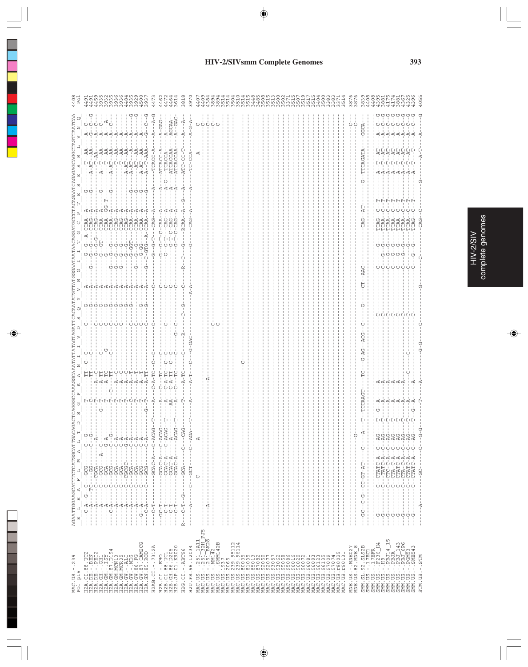| ļ                                                                                                                                    |
|--------------------------------------------------------------------------------------------------------------------------------------|
|                                                                                                                                      |
| ć<br>ກ                                                                                                                               |
|                                                                                                                                      |
| ļ                                                                                                                                    |
|                                                                                                                                      |
|                                                                                                                                      |
|                                                                                                                                      |
| ֧֖֖֖֖֖֧֧֖֧֖֧֧֖֧֧֧֧֧֧֪֧֧֧֧֧֧֧֧֧֧֧֧֧֧֧֧֧֧֚֚֚֚֚֚֚֚֚֚֚֚֚֚֚֚֚֡֬֓֓֬֝֬֝֬֝֬֝֬֝֬֓֬֝֬֝֬֝֬֝֬֝֬֝֬֝֬֝֬֝֬֬֝֬֬֝֬֝֬<br>֧֧֧֪֧֪֧֧֧֪֪֧֪֪֪֪֪֪֪֪֪֪֪֧֧֜֜֜֜ |
|                                                                                                                                      |
|                                                                                                                                      |
|                                                                                                                                      |
|                                                                                                                                      |

್ಲೇ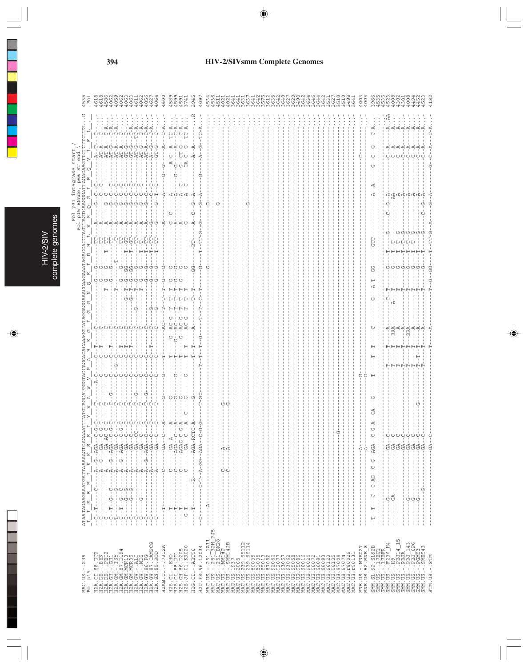| O<br>$\overline{\phantom{0}}$<br>$-1$ $\infty$ $\infty$ m<br>G<br>G<br>O<br>७ ⊣<br>U N U<br>v<br>O<br>$\circ$<br>$\circ$<br>$\circ$<br>$\circ$<br>L<br>$\circ$<br>O<br>O<br>0<br>Ο<br>4<br>₩<br>4                                                                                                                                                                                                                                                                                                                                                                                                                                                                                                                                                                                                                                                                                                                                                                                                                                                                                                                                                                                                                                                                                                                                                                                                                                                                                                                                                                                                                                                                                                                                                                                                                                                                                                              | $\circ$<br>8<br>$\sigma$<br>C<br>74<br>394<br>O<br>LN,<br>Б<br>w                                                                                                                                                                                                                                                                                                                                                                                                                                                                                                                                                                              | 409<br>O<br>ო ო<br>4<br>$\circ$<br>$\circ$<br>ጣ<br>$\infty$<br>$\sim$<br>ᡡ<br>$\circ$                                                                                                                                                                                                                                                                                                                                                                                                                                                                                                                                                                                                                                                                                                                                                                                                                                                                                                                                                                                                                                                                                                                                                                                                                                                                                                                                                                                                                                                                                                                                                                                                                                                                                                                                                                                                                                                                                                                                                                                                                                                                                                                                                        | O<br>$\infty$<br>$\sim$<br>$\circ$<br>$\circ$<br>$\circ$<br>O IN U<br>$\circ$<br>LC                                                                                                                                                                                                                                                                                                                                                                                                                                                                                                                                                                                                                                                                                                |
|----------------------------------------------------------------------------------------------------------------------------------------------------------------------------------------------------------------------------------------------------------------------------------------------------------------------------------------------------------------------------------------------------------------------------------------------------------------------------------------------------------------------------------------------------------------------------------------------------------------------------------------------------------------------------------------------------------------------------------------------------------------------------------------------------------------------------------------------------------------------------------------------------------------------------------------------------------------------------------------------------------------------------------------------------------------------------------------------------------------------------------------------------------------------------------------------------------------------------------------------------------------------------------------------------------------------------------------------------------------------------------------------------------------------------------------------------------------------------------------------------------------------------------------------------------------------------------------------------------------------------------------------------------------------------------------------------------------------------------------------------------------------------------------------------------------------------------------------------------------------------------------------------------------|-----------------------------------------------------------------------------------------------------------------------------------------------------------------------------------------------------------------------------------------------------------------------------------------------------------------------------------------------------------------------------------------------------------------------------------------------------------------------------------------------------------------------------------------------------------------------------------------------------------------------------------------------|----------------------------------------------------------------------------------------------------------------------------------------------------------------------------------------------------------------------------------------------------------------------------------------------------------------------------------------------------------------------------------------------------------------------------------------------------------------------------------------------------------------------------------------------------------------------------------------------------------------------------------------------------------------------------------------------------------------------------------------------------------------------------------------------------------------------------------------------------------------------------------------------------------------------------------------------------------------------------------------------------------------------------------------------------------------------------------------------------------------------------------------------------------------------------------------------------------------------------------------------------------------------------------------------------------------------------------------------------------------------------------------------------------------------------------------------------------------------------------------------------------------------------------------------------------------------------------------------------------------------------------------------------------------------------------------------------------------------------------------------------------------------------------------------------------------------------------------------------------------------------------------------------------------------------------------------------------------------------------------------------------------------------------------------------------------------------------------------------------------------------------------------------------------------------------------------------------------------------------------------|------------------------------------------------------------------------------------------------------------------------------------------------------------------------------------------------------------------------------------------------------------------------------------------------------------------------------------------------------------------------------------------------------------------------------------------------------------------------------------------------------------------------------------------------------------------------------------------------------------------------------------------------------------------------------------------------------------------------------------------------------------------------------------|
| GATTAGACAACAOTTECT<br>$\triangle$ $\triangle$<br>К<br>К<br>K.<br>U<br>$\cup$<br>U<br>U<br>U<br>U<br>四<br>AT-A<br>$\begin{array}{c} \text{A}\text{T}-\text{A} \\ \text{A}\text{T}-\text{G} \end{array}$<br>$AT - A$<br>$AT - A$<br>무<br>무<br>$AT-G$<br>무<br>$-40$<br>↻<br>ī,<br>⋥<br>star<br>end<br>5<br>5<br>K,<br>Ŗ<br>⊳<br>$\circ$                                                                                                                                                                                                                                                                                                                                                                                                                                                                                                                                                                                                                                                                                                                                                                                                                                                                                                                                                                                                                                                                                                                                                                                                                                                                                                                                                                                                                                                                                                                                                                           | Ą<br>К<br>K,<br>К<br>ΰ<br>ं<br>Ů<br>O<br>U<br>ひ<br>K.<br>Æ<br>↻<br>Æ<br>Æ<br>텅<br>-<br>Y<br>Ą<br>ပု<br>$\mathcal{E}$<br>ひ<br>ᄳ<br>ひ                                                                                                                                                                                                                                                                                                                                                                                                                                                                                                           | TC-<br>ပ<br>ひ<br>也<br>K,<br>U<br>τŋ                                                                                                                                                                                                                                                                                                                                                                                                                                                                                                                                                                                                                                                                                                                                                                                                                                                                                                                                                                                                                                                                                                                                                                                                                                                                                                                                                                                                                                                                                                                                                                                                                                                                                                                                                                                                                                                                                                                                                                                                                                                                                                                                                                                                          | К<br>Æ<br>Æ<br>えええええええ<br>ひひひひひ<br>U<br>T)                                                                                                                                                                                                                                                                                                                                                                                                                                                                                                                                                                                                                                                                                                                                         |
| ase<br>Gase<br>Sa<br>.<br>م<br>R<br>integr<br>U<br>υU<br><b>UUU</b><br>U<br>U<br>∪<br>∪<br>RNAse<br>↻<br>U<br>ひひひ<br>υ<br>O<br>◡<br>U<br>O<br>U<br>U<br>н<br>Ü<br>-<br>ひ<br><b>ひひひひひひひひ</b><br>ひ<br>ひ<br>2<br>$\circ$<br>p1<br>5oq<br>C)<br>ひひひひひ<br>ひ<br>K.<br>К<br>K.<br>⊄≮ひ<br>Pol<br>$\triangleright$                                                                                                                                                                                                                                                                                                                                                                                                                                                                                                                                                                                                                                                                                                                                                                                                                                                                                                                                                                                                                                                                                                                                                                                                                                                                                                                                                                                                                                                                                                                                                                                                      | ひ<br>ひ<br>U<br>U<br>$\Delta$<br>К<br>K.<br>K.<br>Æ<br>K.<br>ひ<br>↻<br>U<br>ひ<br>К<br>К<br>Æ<br>K.<br>U                                                                                                                                                                                                                                                                                                                                                                                                                                                                                                                                        | ひ<br>$-4$<br>К<br>К<br>Ġ<br>ひ<br>U<br>ひ                                                                                                                                                                                                                                                                                                                                                                                                                                                                                                                                                                                                                                                                                                                                                                                                                                                                                                                                                                                                                                                                                                                                                                                                                                                                                                                                                                                                                                                                                                                                                                                                                                                                                                                                                                                                                                                                                                                                                                                                                                                                                                                                                                                                      | $-4$<br>AA<br>К<br>K,<br>Æ<br>Æ<br>К<br>ᄲ<br>C                                                                                                                                                                                                                                                                                                                                                                                                                                                                                                                                                                                                                                                                                                                                     |
| Ë<br>텁<br>Ë<br>텁<br>통통<br>려격<br>E<br>튭<br>Ξ<br>Н<br>н<br>н<br>$\mathbb{H}$<br>8888<br>$\Box$<br><b>ひひひ</b><br>ひ<br>ひ<br>უ<br>ს<br>뮝<br>ひひひひひ<br>凹<br>めめめ<br>ひ<br>ひ<br>てりてりてり<br>てり<br>てり<br>てり<br>ひ<br>$\circ$<br>Н<br>⊢<br>н                                                                                                                                                                                                                                                                                                                                                                                                                                                                                                                                                                                                                                                                                                                                                                                                                                                                                                                                                                                                                                                                                                                                                                                                                                                                                                                                                                                                                                                                                                                                                                                                                                                                                  | 턶<br>ひ<br>ひ<br>망<br>U<br>てり<br>↻<br>↻<br>ひ<br>ひ<br>ひ<br>ひ                                                                                                                                                                                                                                                                                                                                                                                                                                                                                                                                                                                     | -TT-G<br>E<br>UU<br>てり<br><b>99-</b><br>τŋ<br>$- A - T$<br>Е                                                                                                                                                                                                                                                                                                                                                                                                                                                                                                                                                                                                                                                                                                                                                                                                                                                                                                                                                                                                                                                                                                                                                                                                                                                                                                                                                                                                                                                                                                                                                                                                                                                                                                                                                                                                                                                                                                                                                                                                                                                                                                                                                                                 | てり<br>ひ<br>ひ ひ ひ<br>τŋ<br>- 67<br>н<br>666<br>Е<br>E<br>Е<br>ひひひひひひ<br>τŋ<br>U.                                                                                                                                                                                                                                                                                                                                                                                                                                                                                                                                                                                                                                                                                                    |
| Z<br>٠<br>ひ<br>ひ<br>ひ<br>U<br>ひ<br>ひ<br>н<br>ひひひ<br>U<br>O<br>υo<br>O<br>◡<br>◡<br>↻<br>O<br>O<br>ひ<br>×<br>Н<br>EEE<br>Н<br>н<br>Е<br>Ξ<br>J<br>J.                                                                                                                                                                                                                                                                                                                                                                                                                                                                                                                                                                                                                                                                                                                                                                                                                                                                                                                                                                                                                                                                                                                                                                                                                                                                                                                                                                                                                                                                                                                                                                                                                                                                                                                                                            | н<br>E<br>ь<br>Е<br>н<br>⊢<br>U<br>也<br>$AC -$<br>Ő<br>AC<br>Q<br>↻<br>K,<br>Æ<br>ひ<br>ひ<br>ပု<br>$\mathbf{I}$<br>Н<br>н                                                                                                                                                                                                                                                                                                                                                                                                                                                                                                                      | U<br>ひ<br>U<br>ひ<br>Н                                                                                                                                                                                                                                                                                                                                                                                                                                                                                                                                                                                                                                                                                                                                                                                                                                                                                                                                                                                                                                                                                                                                                                                                                                                                                                                                                                                                                                                                                                                                                                                                                                                                                                                                                                                                                                                                                                                                                                                                                                                                                                                                                                                                                        | п<br>U<br>К<br>$-RRA$<br>$-4$<br>$--A$<br>К<br>К<br>K.<br>$\mathbf{I}$<br>$\,$ I<br>٠<br>HHH<br>Н<br>Н<br>е                                                                                                                                                                                                                                                                                                                                                                                                                                                                                                                                                                                                                                                                        |
| ↻<br>U<br>U<br>U<br>υU<br>U<br>U<br>U<br>↻<br>↻<br>A,<br>Ü<br>$\mathbf{\Omega}$<br>-<br>U<br>U<br>U<br>υU<br>↻<br>↻<br>↻<br>↻<br>ひひひひ<br>⊳<br>$\overline{A}$<br>Σ<br>$\frac{1}{\sqrt{2}}$<br>먼<br>먹<br>К<br>U<br>нн<br>н<br>н<br>666<br>⊢<br>۳                                                                                                                                                                                                                                                                                                                                                                                                                                                                                                                                                                                                                                                                                                                                                                                                                                                                                                                                                                                                                                                                                                                                                                                                                                                                                                                                                                                                                                                                                                                                                                                                                                                                 | ь<br>н<br>Н<br>E<br>E<br>е<br>てり<br>٢ŋ<br>٢ŋ<br>せせせせ<br>ひ<br>ひ                                                                                                                                                                                                                                                                                                                                                                                                                                                                                                                                                                                | E<br>てり<br>てり<br>g<br>ひ<br>$\mathbb H$<br>ひ<br>T.<br>F                                                                                                                                                                                                                                                                                                                                                                                                                                                                                                                                                                                                                                                                                                                                                                                                                                                                                                                                                                                                                                                                                                                                                                                                                                                                                                                                                                                                                                                                                                                                                                                                                                                                                                                                                                                                                                                                                                                                                                                                                                                                                                                                                                                       | 턱<br>$\blacksquare$<br>HHHH<br>⊢<br>н<br>$\vdash$                                                                                                                                                                                                                                                                                                                                                                                                                                                                                                                                                                                                                                                                                                                                  |
| ↻<br>ひひひひ<br>↻<br>U<br><b>ひひひひひひ</b><br>ひひひ<br>ပုံ<br>ひ<br>$\mathbf{I}$<br>-<br>Ů<br>囜<br>U<br>U<br>ひひひひ<br>$-4G - -1 - -1 - -1$<br>$-45BA - -1$<br>$-GA -$<br>-- ASSA -- -- - - - +<br>-- -- -- -- - - - - + +<br>$-45D -$<br>S<br>$\ltimes^!$<br>$\mathsf I$<br>ı<br>ŧ<br>٠<br>ŧ<br>$\mathbf{I}$<br>×<br>ŧ,<br>$\mathbf{I}$<br>K,<br>К<br>Ą<br>Ą<br>К                                                                                                                                                                                                                                                                                                                                                                                                                                                                                                                                                                                                                                                                                                                                                                                                                                                                                                                                                                                                                                                                                                                                                                                                                                                                                                                                                                                                                                                                                                                                                        | K.<br>К<br>K,<br>A<br>$RCTC - A$<br>К<br>$\sigma$<br>Ů<br>U<br>U<br>U<br>$-GA -$<br>$-6A-$<br>$\begin{array}{c} \rule{0.2cm}{0.15mm} \rule{0.2cm}{0.15mm} \rule{0.2cm}{0.15mm} \rule{0.2cm}{0.15mm} \rule{0.2cm}{0.15mm} \rule{0.2cm}{0.15mm} \rule{0.2cm}{0.15mm} \rule{0.2cm}{0.15mm} \rule{0.2cm}{0.15mm} \rule{0.2cm}{0.15mm} \rule{0.2cm}{0.15mm} \rule{0.2cm}{0.15mm} \rule{0.2cm}{0.15mm} \rule{0.2cm}{0.15mm} \rule{0.2cm}{0.15mm} \rule{$<br>$-$ -AGAG<br>$-$ GA $-$<br>$-AGA-$<br>$-$ -AGA<br>$\frac{1}{1}$<br>$\mathbf{I}$<br>J.<br>t<br>$\blacksquare$<br>J.<br>$\overline{\phantom{a}}$<br>$\mathbf{I}$<br>٠<br>٠<br>U<br>U<br>U | じーしー<br>$7 - 5 - 7$<br>U<br>A-GG--AGA-<br>$-4 - 2$<br>$- A -$<br>$-4$<br>$\frac{1}{1}$<br>$\frac{1}{1}$<br>-A<br>ŧ<br>$\overline{\phantom{a}}$<br>$\frac{1}{1}$<br>$\frac{1}{1}$<br>$\,$ I<br>J.<br>٠<br>$\overline{\phantom{a}}$<br>$\mathbf I$<br>$\frac{1}{1}$<br>$\begin{array}{c} \rule{0.2cm}{0.15mm} \rule{0.2cm}{0.15mm} \rule{0.2cm}{0.15mm} \rule{0.2cm}{0.15mm} \rule{0.2cm}{0.15mm} \rule{0.2cm}{0.15mm} \rule{0.2cm}{0.15mm} \rule{0.2cm}{0.15mm} \rule{0.2cm}{0.15mm} \rule{0.2cm}{0.15mm} \rule{0.2cm}{0.15mm} \rule{0.2cm}{0.15mm} \rule{0.2cm}{0.15mm} \rule{0.2cm}{0.15mm} \rule{0.2cm}{0.15mm} \rule{$<br>I<br>$\frac{1}{1}$<br>J.<br>$\,$ I<br>J.<br>$\mathbf{I}$<br>J.<br>I<br>$\blacksquare$<br>п.<br>٠<br>J.<br>t<br>1<br>$\overline{\phantom{a}}$<br>$\mathbf{I}$<br>٠<br>-<br>-<br>J.                                                                                                                                                                                                                                                                                                                                                                                                                                                                                                                                                                                                                                                                                                                                                                                                                                                                                                                                                                                                                                                                                                                                                                                                                                                                                                                                                                                                                               | ∪<br>O<br>O<br>$\frac{1}{3}$ $\frac{1}{3}$ $\frac{1}{3}$ $\frac{1}{3}$ $\frac{1}{3}$ $\frac{1}{3}$ $\frac{1}{3}$ $\frac{1}{3}$ $\frac{1}{3}$ $\frac{1}{3}$ $\frac{1}{3}$ $\frac{1}{3}$ $\frac{1}{3}$ $\frac{1}{3}$ $\frac{1}{3}$ $\frac{1}{3}$ $\frac{1}{3}$ $\frac{1}{3}$ $\frac{1}{3}$ $\frac{1}{3}$ $\frac{1}{3}$ $\frac{1}{3}$<br>$-GA -$<br>$G A -$<br>$-GA$<br>GA<br>$\mathbf{I}$<br>J.<br>$\mathsf I$<br>I,<br>$\mathbf I$<br>I<br>t<br>J<br>$\mathbf{I}$<br>J.<br>J.<br>$\overline{1}$<br>$\mathbf{I}$<br>$\,$<br>$\blacksquare$<br>$\overline{\phantom{a}}$<br>$\mathbf{I}$<br>٠<br>1<br>٠<br>J<br>$\,$ I<br>I                                                                                                                                                            |
| ATAATAGAAGAATGATTAAAAGTCA<br>$- - A$<br>$\mapsto$<br>Ť<br>$\frac{1}{4}$<br>Ť<br>Ť<br>Ť<br>÷<br>Ť<br>Ť<br>$\mathbf{I}$<br>$\mathbf{1}$<br>$\,$ I<br>$\mathsf I$<br>$\mathbb{N}$<br>$\mathbf{I}$<br>$\frac{1}{4}$<br>$\overline{1}$<br>$\frac{1}{1}$<br>÷<br>÷<br>÷<br>$\mathbf{I}$<br>J.<br>t<br>L.<br>$\mathbb{L}$<br>$\mathbf{I}$<br>J.<br>J.<br>$\mathbf{I}$<br>٠<br>$\frac{1}{2}$<br>- 이번 이번 번<br>- - - - - - - - -<br>$\mathfrak l$<br>$\Box$<br>$\begin{array}{c} \rule{0.2cm}{0.15mm} \rule{0.2cm}{0.15mm} \rule{0.2cm}{0.15mm} \rule{0.2cm}{0.15mm} \rule{0.2cm}{0.15mm} \rule{0.2cm}{0.15mm} \rule{0.2cm}{0.15mm} \rule{0.2cm}{0.15mm} \rule{0.2cm}{0.15mm} \rule{0.2cm}{0.15mm} \rule{0.2cm}{0.15mm} \rule{0.2cm}{0.15mm} \rule{0.2cm}{0.15mm} \rule{0.2cm}{0.15mm} \rule{0.2cm}{0.15mm} \rule{$<br>$\begin{array}{c} \rule{0.2cm}{0.15mm} \rule{0.2cm}{0.15mm} \rule{0.2cm}{0.15mm} \rule{0.2cm}{0.15mm} \rule{0.2cm}{0.15mm} \rule{0.2cm}{0.15mm} \rule{0.2cm}{0.15mm} \rule{0.2cm}{0.15mm} \rule{0.2cm}{0.15mm} \rule{0.2cm}{0.15mm} \rule{0.2cm}{0.15mm} \rule{0.2cm}{0.15mm} \rule{0.2cm}{0.15mm} \rule{0.2cm}{0.15mm} \rule{0.2cm}{0.15mm} \rule{$<br>÷<br>$\frac{1}{4}$<br>$\mathbf{I}$<br>$\,$ l<br>$\frac{1}{\sqrt{2}}$<br>$\frac{5}{1}$<br>$\frac{1}{2}$ , $\frac{1}{2}$ , $\frac{1}{2}$<br>$\mathbf{I}$<br>$\mathbf{I}$<br>$\mathbf{I}$<br>$\mathbf{I}$<br>-<br>$\begin{bmatrix} x \\ y \end{bmatrix}$<br>Ĵ<br>Ĵ<br>$\mathbf I$<br>$\,$ I<br>$\blacksquare$<br>1<br>$\frac{1}{2}$<br>$\,$ I<br>$\frac{1}{2}$<br>$\frac{1}{2}$<br>Ť<br>$\mathbf{I}$<br>Ħ<br>$\frac{1}{4}$<br>$\frac{1}{1}$<br>封<br>$\mathbf{I}$<br>$\mapsto$<br>÷<br>$\mathbf{I}$<br>÷<br>$\frac{1}{2}$<br>$\frac{1}{\sqrt{2}}$<br>$\frac{0}{1}$<br>$\frac{1}{2}$<br>$\frac{1}{2}$<br>$\frac{1}{2}$<br>$\frac{1}{2}$<br>$\frac{1}{2}$<br>υU<br>U<br>턱<br>$\mapsto$<br>$\,$ $\,$<br>$\frac{1}{4}$<br>J.<br>$\mathbf{I}$<br>- | $\frac{1}{2}$<br>$\frac{1}{2}$<br>$\frac{1}{1}$<br>$\frac{1}{1}$<br>$\frac{1}{4}$<br>t<br>$\mathsf I$<br>$- - R$<br>J.<br>J.<br>L.<br>$\mathbf{I}$<br>$\mathsf I$<br>$\mathbf{I}$<br>f,<br>$\mathfrak l$<br>Î<br>$\frac{1}{1}$<br>$\mathbf{I}$<br>1<br>f,<br>$\mathbf{I}$<br>$\mathbf{I}$<br>$\overline{\phantom{a}}$<br>1<br>Ť<br>턱<br>턱<br>H-<br>۲<br>İ<br>$-9 - -$<br>$\frac{1}{2}$<br>$\mathbf{I}$<br>J.<br>$\mathbf{I}$<br>$\mathbf{I}$                                                                                                                                                                                                  | KPK--P-D--PK-D--D----H--H-<br>$\frac{1}{2}$<br>$-1$<br>J<br>$\frac{1}{1}$<br>$-1$ - $C$ - $T$<br>ı<br>$\frac{1}{1}$<br>$\frac{1}{1}$<br>$\frac{1}{1}$<br>$\frac{1}{1}$<br>ţ<br>$\mathbf{I}$<br>$\mathbf{I}$<br>л.<br>$\mathbf{I}$<br>f,<br>I,<br>1<br>$\sf I$<br>İ<br>$\begin{array}{c} \rule{0.2cm}{0.15mm} \rule{0.2cm}{0.15mm} \rule{0.2cm}{0.15mm} \rule{0.2cm}{0.15mm} \rule{0.2cm}{0.15mm} \rule{0.2cm}{0.15mm} \rule{0.2cm}{0.15mm} \rule{0.2cm}{0.15mm} \rule{0.2cm}{0.15mm} \rule{0.2cm}{0.15mm} \rule{0.2cm}{0.15mm} \rule{0.2cm}{0.15mm} \rule{0.2cm}{0.15mm} \rule{0.2cm}{0.15mm} \rule{0.2cm}{0.15mm} \rule{$<br>$\begin{bmatrix} 1 \\ 1 \\ 1 \\ 1 \end{bmatrix}$<br>$\begin{bmatrix} 1 \\ 1 \\ 1 \\ 1 \end{bmatrix}$<br>I<br>$\frac{1}{1}$<br>$\frac{1}{1}$<br>$\mathbf{I}$<br>$\mathbf{I}$<br>ţ<br>$\frac{1}{1}$<br>$\,$ I<br>$\mathbf{I}$<br>$\frac{1}{1}$<br>$\mathbf{I}$<br>$\mathbf{I}$<br>٠<br>$\mathsf I$<br>$-4 - 2 - 1$<br>$\mathsf I$<br>$\begin{array}{c} \rule{0.2cm}{0.15mm} \rule{0.2cm}{0.15mm} \rule{0.2cm}{0.15mm} \rule{0.2cm}{0.15mm} \rule{0.2cm}{0.15mm} \rule{0.2cm}{0.15mm} \rule{0.2cm}{0.15mm} \rule{0.2cm}{0.15mm} \rule{0.2cm}{0.15mm} \rule{0.2cm}{0.15mm} \rule{0.2cm}{0.15mm} \rule{0.2cm}{0.15mm} \rule{0.2cm}{0.15mm} \rule{0.2cm}{0.15mm} \rule{0.2cm}{0.15mm} \rule{$<br>ı<br>$\frac{1}{1}$<br>$\blacksquare$<br>$\,$<br>$\frac{1}{1}$<br>$\frac{1}{1}$<br>Ť<br>$\frac{1}{1}$<br>$\frac{1}{1}$<br>Ť<br>$\frac{1}{1}$<br>$\mathbf{I}$<br>$\mathbf{I}$<br>$\mathbf{I}$<br>J,<br>J.<br>$\,$ I<br>$\frac{1}{1}$<br>$\frac{1}{1}$<br>$\mathbf{I}$<br>$\,$ I<br>$\overline{\phantom{a}}$<br>$\mathbf{I}$<br>I.<br>J.<br>f,<br>$\mathbf{I}$<br>$\overline{1}$<br>$\mathbf{I}$<br>$\bar{1}$<br>$\mathsf I$<br>I,<br>$\,$ I<br>t<br>1<br>1<br>ı<br>$\frac{1}{2}$<br>I<br>$\mathbf{I}$<br>I<br>$\begin{array}{c} \rule{0.2cm}{0.15mm} \rule{0.2cm}{0.15mm} \rule{0.2cm}{0.15mm} \rule{0.2cm}{0.15mm} \rule{0.2cm}{0.15mm} \rule{0.2cm}{0.15mm} \rule{0.2cm}{0.15mm} \rule{0.2cm}{0.15mm} \rule{0.2cm}{0.15mm} \rule{0.2cm}{0.15mm} \rule{0.2cm}{0.15mm} \rule{0.2cm}{0.15mm} \rule{0.2cm}{0.15mm} \rule{0.2cm}{0.15mm} \rule{0.2cm}{0.15mm} \rule{$<br>ı<br>J.<br>$\overline{\phantom{a}}$<br>J.<br>J. | $\frac{1}{1}$<br>L.<br>$\mathbf{I}$<br>$\frac{1}{1}$<br>J.<br>$\,$ I<br>$\sf I$<br>$\begin{array}{c} 1 \\ 1 \\ 1 \\ 1 \end{array}$<br>$\frac{1}{1}$<br>$\mathbf{I}$<br>$\frac{1}{1}$<br>$\frac{1}{4}$<br>I<br>I<br>$\frac{1}{1}$<br>J.<br>$\mathbf{I}$<br>л.<br>$\frac{1}{\sqrt{2}}$<br>$\,$ $\,$<br>$-GA--$<br>1<br>$\,$ I<br>$\overline{\phantom{a}}$<br>$\frac{1}{\sqrt{2}}$<br>Ġ<br>$\frac{1}{\sqrt{2}}$<br>I,<br>t<br>I<br>$\mathbf{I}$<br>$\,$<br>-<br>$\mathbf{I}$<br>٠<br>1<br>٠<br>$\overline{\phantom{a}}$<br>J.<br>$\,$ I<br>$\,$<br>$\mathbf{I}$<br>1<br>л<br>1<br>$\mathbf{I}$<br>ı<br>$\,$ I<br>$\,$<br>$\,$ I<br>$\begin{array}{c} \hline \end{array}$<br>$\mathbf{I}$<br>$\mathbf{I}$<br>$\mathbf{I}$<br>J.<br>$\mathbf{I}$<br>$\mathbf{I}$<br>$\blacksquare$<br>- |
| $\begin{array}{l} \rm{H2A}, \rm{CI}, \rm{88}, \rm{UC2}\\ \rm{H2A}, \rm{DB}, \cdots, \rm{BBN}\\ \rm{H2A}, \rm{GB}, \cdots, \rm{GB1}\\ \rm{H2A}, \rm{GH}, \cdots, \rm{I5N}\\ \rm{H2A}, \rm{GM}, \cdots, \rm{I5N}\\ \rm{H2A}, \rm{GM}, \rm{MOM113}\\ \rm{H2A}, \rm{GM}, \rm{MCM13}\\ \rm{H2A}, \rm{GM}, \rm{MCS15}\\ \rm{H2A}, \rm{GM}, \rm{H25}\\ \rm{H2A}, \rm{G}, \rm{G}, \rm$<br>$-0.239$<br>MAC.US.<br>Pol p15                                                                                                                                                                                                                                                                                                                                                                                                                                                                                                                                                                                                                                                                                                                                                                                                                                                                                                                                                                                                                                                                                                                                                                                                                                                                                                                                                                                                                                                                                               | $-.7312A$<br>H2B.CI.88.UC1<br>H2B.GH.86.D205<br>H2B.JP.01.KR020<br>H2G.CI. - . ABT96<br>$-1.500$<br>H2AB.CI.<br>H2B.CI                                                                                                                                                                                                                                                                                                                                                                                                                                                                                                                        | $\begin{small} \tt{MAC} & 181 - 1231 & 1241 & 1251 & 1251 & 1251 & 1251 & 1251 & 1251 & 1251 & 1251 & 1251 & 1251 & 1251 & 1251 & 1251 & 1251 & 1251 & 1251 & 1251 & 1251 & 1251 & 1251 & 1251 & 1251 & 1251 & 1251 & 1251 & 1251 & 1251 & 1251 & 1251 & 1251 & 1251 & 1251$<br>$-$ . MNE027<br>82. MNE 8<br>H2U.FR.96.12034<br>MNE.US. - .MNE02<br>MNE.US. 82.MNE                                                                                                                                                                                                                                                                                                                                                                                                                                                                                                                                                                                                                                                                                                                                                                                                                                                                                                                                                                                                                                                                                                                                                                                                                                                                                                                                                                                                                                                                                                                                                                                                                                                                                                                                                                                                                                                                           | LN,<br>$\begin{array}{l} \texttt{SMM}, \texttt{SL}, 22, 51.92B \\ \texttt{SMM}, \texttt{US} \cdot77 \texttt{EC} \\ \texttt{SMM}, \texttt{US} \cdot77 \texttt{EC} \\ \texttt{SMM}, \texttt{US} \cdot79 \texttt{S} \cdot \texttt{H4} \\ \texttt{SMM}, \texttt{US} \cdot79 \texttt{S} \cdot \texttt{H4} \\ \texttt{SMM}, \texttt{US} \cdot79 \texttt{B} \texttt{U4} \\ \texttt{SMM}, \texttt{US} \cdot79 \texttt{B} \texttt{U4} \\$<br><b>STM</b><br><b>TIS</b><br><b>NLS</b>                                                                                                                                                                                                                                                                                                         |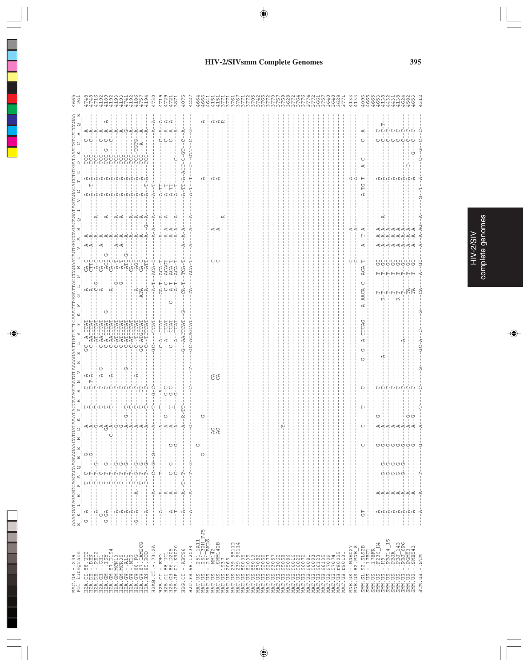| l      |
|--------|
|        |
| ے<br>C |
| ₫      |
| ż      |
| Ì      |
|        |
| ֠      |
|        |
| ţ      |
|        |
|        |
|        |

óč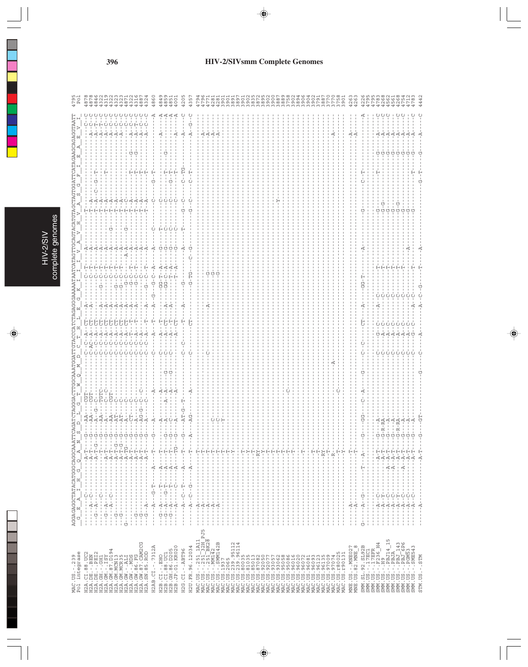| NNNNH∞N<br>MM∞MM∞M                                                                                                                                                                                                                                                                                                                                                                                                                                                                                                                                                                                                                                   |                                                                                                                                                                                                                                       |                                                                                                                                                                                                                                                                                                                                                                                                                                                                                                                                                                                                                                                                                                                                                                                                                                                                                                                    |                                                                                                                                                                                                                                                                                                                                                                                                                                            |
|------------------------------------------------------------------------------------------------------------------------------------------------------------------------------------------------------------------------------------------------------------------------------------------------------------------------------------------------------------------------------------------------------------------------------------------------------------------------------------------------------------------------------------------------------------------------------------------------------------------------------------------------------|---------------------------------------------------------------------------------------------------------------------------------------------------------------------------------------------------------------------------------------|--------------------------------------------------------------------------------------------------------------------------------------------------------------------------------------------------------------------------------------------------------------------------------------------------------------------------------------------------------------------------------------------------------------------------------------------------------------------------------------------------------------------------------------------------------------------------------------------------------------------------------------------------------------------------------------------------------------------------------------------------------------------------------------------------------------------------------------------------------------------------------------------------------------------|--------------------------------------------------------------------------------------------------------------------------------------------------------------------------------------------------------------------------------------------------------------------------------------------------------------------------------------------------------------------------------------------------------------------------------------------|
| ひひひひひ<br>UΗ<br>AAAA                                                                                                                                                                                                                                                                                                                                                                                                                                                                                                                                                                                                                                  |                                                                                                                                                                                                                                       | ひ<br>$A + 1$                                                                                                                                                                                                                                                                                                                                                                                                                                                                                                                                                                                                                                                                                                                                                                                                                                                                                                       | RRRRR                                                                                                                                                                                                                                                                                                                                                                                                                                      |
| めめ                                                                                                                                                                                                                                                                                                                                                                                                                                                                                                                                                                                                                                                   |                                                                                                                                                                                                                                       |                                                                                                                                                                                                                                                                                                                                                                                                                                                                                                                                                                                                                                                                                                                                                                                                                                                                                                                    | めめめめめめ<br>ľ٦                                                                                                                                                                                                                                                                                                                                                                                                                               |
| <b>HHHH</b>                                                                                                                                                                                                                                                                                                                                                                                                                                                                                                                                                                                                                                          |                                                                                                                                                                                                                                       |                                                                                                                                                                                                                                                                                                                                                                                                                                                                                                                                                                                                                                                                                                                                                                                                                                                                                                                    |                                                                                                                                                                                                                                                                                                                                                                                                                                            |
| AAAAAAUAAAA<br>8888888888                                                                                                                                                                                                                                                                                                                                                                                                                                                                                                                                                                                                                            | U UUUU                                                                                                                                                                                                                                |                                                                                                                                                                                                                                                                                                                                                                                                                                                                                                                                                                                                                                                                                                                                                                                                                                                                                                                    | ひ<br>せせせせせせせ                                                                                                                                                                                                                                                                                                                                                                                                                               |
| ひ                                                                                                                                                                                                                                                                                                                                                                                                                                                                                                                                                                                                                                                    | HUUU<br>U                                                                                                                                                                                                                             |                                                                                                                                                                                                                                                                                                                                                                                                                                                                                                                                                                                                                                                                                                                                                                                                                                                                                                                    |                                                                                                                                                                                                                                                                                                                                                                                                                                            |
| <i>AAAAAAAAAAA</i>                                                                                                                                                                                                                                                                                                                                                                                                                                                                                                                                                                                                                                   | ひひひひ<br>⋖                                                                                                                                                                                                                             |                                                                                                                                                                                                                                                                                                                                                                                                                                                                                                                                                                                                                                                                                                                                                                                                                                                                                                                    |                                                                                                                                                                                                                                                                                                                                                                                                                                            |
| <b>HHHHHHHH</b><br>UUUUUUUUU<br>ှုံ့မှုမှုမှ                                                                                                                                                                                                                                                                                                                                                                                                                                                                                                                                                                                                         | ó                                                                                                                                                                                                                                     | לז לז לז                                                                                                                                                                                                                                                                                                                                                                                                                                                                                                                                                                                                                                                                                                                                                                                                                                                                                                           |                                                                                                                                                                                                                                                                                                                                                                                                                                            |
| φ<br>ひ<br>I A A A A A A A<br>Æ                                                                                                                                                                                                                                                                                                                                                                                                                                                                                                                                                                                                                       |                                                                                                                                                                                                                                       |                                                                                                                                                                                                                                                                                                                                                                                                                                                                                                                                                                                                                                                                                                                                                                                                                                                                                                                    | U U U U U U                                                                                                                                                                                                                                                                                                                                                                                                                                |
|                                                                                                                                                                                                                                                                                                                                                                                                                                                                                                                                                                                                                                                      |                                                                                                                                                                                                                                       |                                                                                                                                                                                                                                                                                                                                                                                                                                                                                                                                                                                                                                                                                                                                                                                                                                                                                                                    | ひひひひひひ                                                                                                                                                                                                                                                                                                                                                                                                                                     |
| <b>AAAAAAHAAA</b><br>К<br>Æ<br><b>UUUUUUUUU</b><br>↻<br>Ų<br><b>UUUUUU</b>                                                                                                                                                                                                                                                                                                                                                                                                                                                                                                                                                                           | $\dot{\mathcal{A}}$<br>AAAA                                                                                                                                                                                                           |                                                                                                                                                                                                                                                                                                                                                                                                                                                                                                                                                                                                                                                                                                                                                                                                                                                                                                                    | AAAAA<br>Ů                                                                                                                                                                                                                                                                                                                                                                                                                                 |
|                                                                                                                                                                                                                                                                                                                                                                                                                                                                                                                                                                                                                                                      | רי ז<br>τŋ                                                                                                                                                                                                                            |                                                                                                                                                                                                                                                                                                                                                                                                                                                                                                                                                                                                                                                                                                                                                                                                                                                                                                                    |                                                                                                                                                                                                                                                                                                                                                                                                                                            |
| TGT-C-<br>U<br>15111<br>탕                                                                                                                                                                                                                                                                                                                                                                                                                                                                                                                                                                                                                            | К<br>$A$ $A$ $A$                                                                                                                                                                                                                      |                                                                                                                                                                                                                                                                                                                                                                                                                                                                                                                                                                                                                                                                                                                                                                                                                                                                                                                    |                                                                                                                                                                                                                                                                                                                                                                                                                                            |
| U<br>υU<br>AAR .<br>AAR .<br>A-<br>AA                                                                                                                                                                                                                                                                                                                                                                                                                                                                                                                                                                                                                |                                                                                                                                                                                                                                       |                                                                                                                                                                                                                                                                                                                                                                                                                                                                                                                                                                                                                                                                                                                                                                                                                                                                                                                    | RA<br>К<br>К                                                                                                                                                                                                                                                                                                                                                                                                                               |
| ひひひひひひひひひ                                                                                                                                                                                                                                                                                                                                                                                                                                                                                                                                                                                                                                            |                                                                                                                                                                                                                                       |                                                                                                                                                                                                                                                                                                                                                                                                                                                                                                                                                                                                                                                                                                                                                                                                                                                                                                                    |                                                                                                                                                                                                                                                                                                                                                                                                                                            |
| $\ddot{a}$<br>$\mathbf{I}$<br>- 1<br>$\mathbf{I}$<br>$\overline{\phantom{a}}$<br>$\mathbb{R}^2$<br>$- - A - T$<br>$\begin{array}{c}\n- -A - T \\ - -A - T\n\end{array}$<br>부<br>$\begin{array}{c}\n - -A - T \\  - -A - T\n\end{array}$<br>$-{\bf A}-{\bf T}$<br>$\alpha$<br>$\mathbf{I}$                                                                                                                                                                                                                                                                                                                                                            | $\mathbf{I}$<br>J.<br>÷<br>J.<br>Ċ.<br>$\mathbb H$<br>Н<br>۴<br>$\mathbb H$<br>ь<br>t<br>t<br>$\begin{array}{c} \rule{0.2cm}{0.15mm} \end{array}$<br>Ť<br>$\frac{1}{4}$<br>J<br>$\mathbf{I}$<br>$\mathbf{I}$<br>$\mathsf I$<br>$\,$ I | j<br>j<br>j<br>ł.<br>$\mathsf{I}$<br>$\,$ I<br>ł.<br>t<br>$\frac{1}{1}$<br>$Y - -$<br>$\frac{1}{4}$<br>$\blacksquare$<br>J.<br>$\mathbf{I}$<br>- 1<br>-<br>٠<br>٠<br>é<br>Н<br>Н<br>Н<br>-------RY<br>$\mathbb H$<br>Н<br>$-$ -RY<br>$X - -$<br>ь<br>ь<br>Н<br>F<br>F<br>Н<br>ь<br>⊢<br>Е<br>Ţ<br>ţ<br>$- R$<br>t<br>ţ<br>÷<br>t<br>Ť<br>$\mathbf{I}$<br>f,<br>$\,$<br>ł<br>t<br>$\frac{1}{1}$<br>ţ<br>$\frac{1}{1}$<br>$\frac{1}{4}$<br>t<br>Ť<br>1<br>I.<br>J.<br>$\mathbf{I}$<br>$\mathbf{I}$<br>$\mathbf{I}$<br>t<br>$\mathbf{I}$<br>1<br>$\mathfrak l$<br>ţ<br>$\frac{1}{4}$<br>$\frac{1}{1}$<br>$\mathsf I$<br>$\frac{1}{1}$<br>I,<br>$\frac{1}{1}$<br>$\mathbf I$<br>$\frac{1}{1}$<br>I,<br>$\mathbf{I}$<br>$\mathsf I$<br>f,<br>$\,$ $\,$<br>I.<br>$\mathsf I$<br>$\mathsf I$<br>$\sf I$<br>$\,$ I<br>$\mathsf I$<br>$\overline{1}$<br>$\mathbb{I}$<br>$\,$ I<br>$\,$ $\,$<br>$\mathfrak l$<br>$\mathbf I$ | -<br>1<br>$\vdash$<br>Н<br>$- -A - T$<br>$- -A - T$<br>$-4 - 2 - 2 - 1$<br>$- A - T$<br>Е<br>ij<br>$- -A - -A - T$<br>$- -A - -A - T$<br>$- -A - T$<br>÷<br>$\,$ I<br>$-4$<br>$-4$<br>К<br>$\mathbf{I}$<br>-<br>٠<br>$\,$ I<br>$\overline{\phantom{a}}$<br>$\mathbf I$                                                                                                                                                                     |
| AGGAGAGACTATACHOGGCAGCAAA<br>$\mathbf{I}$<br>J.<br>J.<br>$\mathbf{I}$<br>$\mathbf{I}$<br>$\frac{1}{4}$<br>$\mathbf{I}$<br>$\mathbf{I}$<br>$\mathbf{I}$<br>J.<br>ひ<br>Ť.<br>Ť<br>Ť<br>$\mathbb{L}$<br>Ť<br>$\mathbf{I}$<br>$\mathbf{I}$<br>$\mathbf{I}$<br>$\mathbf{I}$<br>$\mathbf{I}$<br>$\overline{\phantom{a}}$<br>$\mathbf{I}$<br>$\mathsf I$<br>$\mathbf{I}$<br>$\mathsf I$<br>J.<br>J.<br>$\mathbf{I}$<br>$\Xi$<br>÷<br>Î.<br>$\mathbf{I}$<br>$\mathbf{I}$<br>$\mathbf{I}$<br>$\mathbf{I}$<br>-<br>٠<br>$\mathbf{I}$<br>$\mathbf{I}$<br>$\mathbf I$<br>$\mathsf I$<br>$\mathsf I$<br>1<br>$\,$<br>$\mathsf I$<br>$\,$<br>$\mathsf I$<br>$\,$ I | К<br>Ą<br>К<br>$- - A$<br>К<br>Ť<br>Ť<br>$\mathbf{I}$<br>-<br>$\mathbf{I}$<br>J.<br>$\mathbf{I}$<br>$\mathbf{I}$<br>٠<br>-<br>1<br>U<br>Н                                                                                             | $- - P -$<br>J.<br>J.<br>J.<br>$\frac{1}{1}$<br>J.<br>$\frac{1}{1}$<br>$\begin{bmatrix} 1 \\ 1 \\ 1 \\ 1 \end{bmatrix}$<br>J.<br>I.<br>İ<br>$\mathbf{I}$<br>$\mathbf I$<br>Ì<br>$\frac{1}{1}$<br>$\mathbf{I}$<br>$\mathbf{I}$<br>I.<br>٠<br>t<br>ï<br>$\mathbf{I}$<br>٠<br>$\frac{1}{2}$<br>$\,$<br>$\begin{array}{c} \rule{0.2cm}{0.15mm} \rule{0.2cm}{0.15mm} \rule{0.2cm}{0.15mm} \rule{0.2cm}{0.15mm} \rule{0.2cm}{0.15mm} \rule{0.2cm}{0.15mm} \rule{0.2cm}{0.15mm} \rule{0.2cm}{0.15mm} \rule{0.2cm}{0.15mm} \rule{0.2cm}{0.15mm} \rule{0.2cm}{0.15mm} \rule{0.2cm}{0.15mm} \rule{0.2cm}{0.15mm} \rule{0.2cm}{0.15mm} \rule{0.2cm}{0.15mm} \rule{$                                                                                                                                                                                                                                                           | Ť<br>$\mathbf{I}$<br>$\mathbf{I}$<br>$\mathbf{I}$<br>t<br>$\,$ I<br>$\mathbf{I}$<br>$\mathbf{I}$<br>$\mathbf{I}$<br>٠<br>٠<br>٠<br>٠<br>t<br>t<br>$\frac{1}{1}$<br>$\overline{\phantom{a}}$<br>ï<br>٠<br>٠<br>$\mathbf{I}$<br>1<br>$\mathbf{I}$<br>$\,$ I<br>I,                                                                                                                                                                            |
| $\overline{\phantom{a}}$<br>$\,$<br>Ť<br>ł.<br>J,<br>Ť<br>$- -2 - -C - -$<br>J.<br>$\,$ I<br>$\,$ I<br>I.<br>$\overline{\phantom{a}}$<br>$\mathbf{I}$<br>$\mathbf{I}$<br>٠<br>$\frac{1}{2}$<br>$- -A - C$<br>$\frac{c}{1}$<br>$\mathsf I$<br>J.<br>J.<br>$\overline{A}$<br>$\,$ I<br>$\mathfrak l$<br>$-6 - -2 - -$<br>J.<br>$-6 - -A -$<br>I.<br>٠<br>п<br>$\mathbf{I}$<br>1<br>囸<br>$\frac{1}{1}$<br>$\,$<br>$\,$ I<br>J.<br>1<br>1                                                                                                                                                                                                                | $- -A - -C - T$<br>۳<br>-<br>Ĭ,<br>$\frac{1}{4}$<br>$\mathbf{I}$<br>U<br>1<br>$\frac{1}{1}$<br>$- -A - -$<br>$A - 1$<br>$-4$<br>÷                                                                                                     | $\frac{1}{1}$<br>$\frac{1}{1}$<br>$\frac{1}{4}$<br>$\frac{1}{1}$<br>J.<br>$\mathbf{I}$<br>$\,$<br>$\mathbf{I}$<br>$\overline{\phantom{a}}$<br>-<br>$\mathbf{I}$<br>O<br>$\mathbf I$<br>$\overline{1}$<br>$\mathbf{I}$<br>J.<br>f,<br>$\mathfrak l$<br>$\mathbf I$<br>$A - 1$<br>$\,$ I<br>$-A$ -<br>ı<br>$\,$<br>$\frac{1}{1}$<br>$\frac{1}{1}$<br>$\frac{1}{1}$<br>$\,$<br>$\,$ I<br>$- A -$<br>$\frac{1}{4}$<br>$\frac{1}{1}$<br>$- - P -$<br>$\mathbf{I}$<br>×<br>ţ<br>$\frac{1}{1}$<br>J.<br>$\ddot{A}$<br>$- - A$<br>٠<br>٠<br>f,<br>$\mathbf{I}$<br>f,                                                                                                                                                                                                                                                                                                                                                       | Ť<br>1<br>$\overline{\phantom{a}}$<br>J.<br>÷<br>$\,$ I<br>$\mathsf I$<br>$\frac{1}{4}$<br>$\frac{1}{4}$<br>f,<br>Ť<br>$\,$ I<br>$\mathbf{I}$<br>$\bar{1}$<br>$-4 - 4 - 6$<br>U<br>$\rightarrow$<br>$A - C$<br>$\cup$<br>$\cup$<br>U<br>U<br>≻<br>$-4 - 7$<br>$- - A - -$<br>$-A-1$<br>$A - 1$<br>$-1$<br>$- - A - -$<br>$- -A - -$<br>$-5 -$<br>${\bf A}$ –<br>J.<br>К<br>٠<br>J,<br>$\overline{\phantom{a}}$<br>$\frac{1}{1}$<br>-<br>f, |
| $\frac{1}{6}$<br>$\frac{1}{\sqrt{2}}$<br>U<br>$\frac{1}{\sqrt{2}}$<br>$\,$<br>J.<br>$\mathbf{I}$<br>٠<br><b>U</b><br>$\mathbf{I}$<br>٠<br>٠<br>ŧ<br>$\overline{\phantom{a}}$<br>1<br>$\mathsf I$<br>$\mathbf{I}$<br>$\mathsf I$<br>$\overline{1}$<br>J.<br>ひ<br>$\,$ I                                                                                                                                                                                                                                                                                                                                                                               | ひ<br>1<br>$\mathbf{I}$<br>1<br>t<br>$\mathbf{I}$<br>$\mathbf{I}$                                                                                                                                                                      | I.<br>J<br>$\frac{1}{1}$<br>Í<br>$\frac{1}{1}$<br>ı<br>$\sf I$<br>$\mathbf{I}$<br>J<br>I<br>$\frac{1}{1}$<br>$\frac{1}{1}$<br>$\mathbf{I}$<br>I.<br>J.<br>J.<br>$\mathbf{I}$<br>×.<br>J.<br>J.<br>$\overline{\phantom{a}}$<br>J.<br>$\mathbf{I}$<br>$\,$ I<br>$\mathbf{I}$<br>J.<br>J,<br>$\,$ I<br>J.<br>J.<br>٠<br>٠<br>$\mathbf{I}$<br>٠<br>1<br>٠<br>J.<br>1<br>٠<br>٠                                                                                                                                                                                                                                                                                                                                                                                                                                                                                                                                         | I<br>I,<br>J.<br>$\mathbf{I}$<br>$\mathbf{I}$<br>$\overline{\phantom{a}}$<br>$\mathbf{I}$<br>J.<br>J.<br>$\mathbf{I}$<br>J.<br>J.<br>$\,$ I<br>$\mathbf{I}$<br>$\,$ I<br>$\mathbf{I}$<br>٠<br>$\mathbf{I}$<br>٠<br>٠<br>٠<br>$\overline{\phantom{a}}$<br>٠<br>1<br>-<br>Ţ<br>$\overline{1}$<br>$\mathbf{I}$<br>ひ                                                                                                                           |
| $\omega$                                                                                                                                                                                                                                                                                                                                                                                                                                                                                                                                                                                                                                             | $-.7312A$<br>$\circ$                                                                                                                                                                                                                  | PJ5<br>. 251_1A11<br>. 251_32H_ F<br>. 251_BK28<br>. MM142                                                                                                                                                                                                                                                                                                                                                                                                                                                                                                                                                                                                                                                                                                                                                                                                                                                         | $\frac{15}{1}$<br>-- PBJ_143<br>-- PBJ_6P6<br>Γ<br>${}^{\infty}$<br>$\infty$                                                                                                                                                                                                                                                                                                                                                               |
| $\begin{array}{ll} \text{H2A}.\ \text{GH} & \text{H2B}.\ \text{GH} & \text{GH} \\ \text{H2A}.\ \text{GW},\ \text{GN},\ \text{GN},\ \text{GN},\ \text{GN},\ \text{GN},\ \text{GN},\ \text{GN},\ \text{GN},\ \text{GN},\ \text{GN},\ \text{GN},\ \text{GN},\ \text{GN},\ \text{GN},\ \text{GN},\ \text{GN},\ \text{GN},\ \text{GN},\ \text{GN},\ \text{GN},\ \text{GN},\ \text{GN},\ \text{GN},\ \text{G$<br>$\begin{array}{c} \tt H2A.\;CL.\;88.\;UC2\\ \tt H2A.\;DE.-. \;BEN\\ \tt H2A.\;DE.-. \;PE12\\ \tt H2A.\;DE-. \;PEL2\\ \end{array}$<br>:.US.-.239<br>. integrase                                                                            | H2B.CI.-.EHO<br>H2B.CI.88.UC1<br>H2B.GH.86.D205<br>H2B.JP.01.KR020<br>$-.ABT96$                                                                                                                                                       | 96.12034                                                                                                                                                                                                                                                                                                                                                                                                                                                                                                                                                                                                                                                                                                                                                                                                                                                                                                           | SMM. 51. 92. 5192B<br>SMM. US. - . 17 BC1<br>SMM. US. - . 17 23 6<br>SMM. US. - . 17 23 6<br>SMM. US. - . 19<br>SMM. US. - . BBJ14<br>SMM. US. - . BBJ14<br>SMM. US. - . PBJ143<br>MNE.US. - .MNE02<br>MNE.US. 82.MNE<br>- PGM53<br>- PGM53<br>- SME543<br><b>STM</b><br>$\cdot$<br>$\cdot$<br>$\cdot$<br><b>TIS</b>                                                                                                                       |
| MAC<br>Pol                                                                                                                                                                                                                                                                                                                                                                                                                                                                                                                                                                                                                                           | H2AB.CI<br>H2G.CI.                                                                                                                                                                                                                    | H2U.FR.<br>MAC.US.<br>MAC.US.<br>MAC.US.<br>MAC.US.<br>MAC.US.                                                                                                                                                                                                                                                                                                                                                                                                                                                                                                                                                                                                                                                                                                                                                                                                                                                     | SMM.US.<br>SMM.US.<br>SMM.US<br><b>STM</b>                                                                                                                                                                                                                                                                                                                                                                                                 |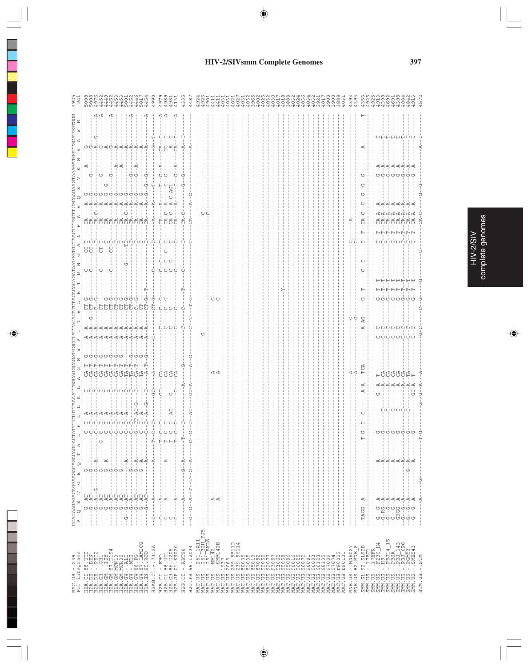|        | í     |
|--------|-------|
|        |       |
|        |       |
|        |       |
|        | gend  |
|        |       |
| Ì      |       |
|        | しし    |
| î<br>Ē |       |
|        |       |
|        | ٦     |
|        |       |
|        |       |
|        | $-60$ |
|        |       |
|        |       |
|        |       |
|        |       |

ő.

|                                                                          |                                                                                                                                                                                                                                                                                                                                     |                                                                                      |                                             |                                                                                                                                                                                                                                                   |                                     |                                                                      |                                 |                          |                                                |                                                  |                                                                | $\frac{9}{2}$                                          |                                                                                         |                                                                                                | 78800                                                                                                                                |                                                       | $\infty$                                                           |                                                    |                                                                                                    |                                                                                                        |                                                                                           |                                |                                                              |                                                       |                                                               |                                                  |                                                                        |               |   |    |                               |                              |                        |                    |        |    |   |        |         |                                                                                                                 |                                                                                                                                                                                                                                                                                                                                                                                                                         | ഠെത<br>$\circ$ $\circ$ |                                      | നെ<br>m <sub>m</sub>   |                      |                                                                                            |                                                                                                            |                         |                                                                                                                                                    |                                                                                                 |                                                                     |                                                                           |                                | naadoooooda<br>waadwoowaa                                                                                                                                        |                                               |  |
|--------------------------------------------------------------------------|-------------------------------------------------------------------------------------------------------------------------------------------------------------------------------------------------------------------------------------------------------------------------------------------------------------------------------------|--------------------------------------------------------------------------------------|---------------------------------------------|---------------------------------------------------------------------------------------------------------------------------------------------------------------------------------------------------------------------------------------------------|-------------------------------------|----------------------------------------------------------------------|---------------------------------|--------------------------|------------------------------------------------|--------------------------------------------------|----------------------------------------------------------------|--------------------------------------------------------|-----------------------------------------------------------------------------------------|------------------------------------------------------------------------------------------------|--------------------------------------------------------------------------------------------------------------------------------------|-------------------------------------------------------|--------------------------------------------------------------------|----------------------------------------------------|----------------------------------------------------------------------------------------------------|--------------------------------------------------------------------------------------------------------|-------------------------------------------------------------------------------------------|--------------------------------|--------------------------------------------------------------|-------------------------------------------------------|---------------------------------------------------------------|--------------------------------------------------|------------------------------------------------------------------------|---------------|---|----|-------------------------------|------------------------------|------------------------|--------------------|--------|----|---|--------|---------|-----------------------------------------------------------------------------------------------------------------|-------------------------------------------------------------------------------------------------------------------------------------------------------------------------------------------------------------------------------------------------------------------------------------------------------------------------------------------------------------------------------------------------------------------------|------------------------|--------------------------------------|------------------------|----------------------|--------------------------------------------------------------------------------------------|------------------------------------------------------------------------------------------------------------|-------------------------|----------------------------------------------------------------------------------------------------------------------------------------------------|-------------------------------------------------------------------------------------------------|---------------------------------------------------------------------|---------------------------------------------------------------------------|--------------------------------|------------------------------------------------------------------------------------------------------------------------------------------------------------------|-----------------------------------------------|--|
|                                                                          |                                                                                                                                                                                                                                                                                                                                     | ひ<br>ひみひみひみみみみみ                                                                      |                                             |                                                                                                                                                                                                                                                   |                                     |                                                                      |                                 |                          |                                                |                                                  |                                                                | Н                                                      |                                                                                         | (1(1)                                                                                          | U                                                                                                                                    |                                                       |                                                                    |                                                    |                                                                                                    |                                                                                                        |                                                                                           |                                |                                                              |                                                       |                                                               |                                                  |                                                                        |               |   |    |                               |                              |                        |                    |        |    |   |        |         |                                                                                                                 |                                                                                                                                                                                                                                                                                                                                                                                                                         |                        |                                      |                        |                      |                                                                                            |                                                                                                            |                         |                                                                                                                                                    |                                                                                                 |                                                                     |                                                                           |                                | ひPPPPPOO                                                                                                                                                         |                                               |  |
|                                                                          |                                                                                                                                                                                                                                                                                                                                     |                                                                                      | ט ויט                                       | ひ                                                                                                                                                                                                                                                 | $\cdots$                            | $\triangle$ $\triangle$<br>$\,$ I<br>$1 - 1 - 1$                     |                                 |                          | A,<br><b>ひ ひ</b><br>$\overline{\phantom{0}}$   | - い                                              | U                                                              |                                                        |                                                                                         | H(U)                                                                                           | Æ<br>↻                                                                                                                               |                                                       |                                                                    |                                                    |                                                                                                    |                                                                                                        |                                                                                           |                                |                                                              |                                                       |                                                               |                                                  |                                                                        |               |   |    |                               |                              |                        |                    |        |    |   |        |         |                                                                                                                 |                                                                                                                                                                                                                                                                                                                                                                                                                         |                        |                                      |                        |                      |                                                                                            |                                                                                                            |                         |                                                                                                                                                    |                                                                                                 |                                                                     |                                                                           |                                | みみみみみみみ<br>せせせせせせせ                                                                                                                                               |                                               |  |
|                                                                          |                                                                                                                                                                                                                                                                                                                                     | ひ ひ ひ ひ ひ ひ ひ ひ ひ ひ ひ ひ<br><b>A A A A A A A A A A A A</b><br>RRRRRRRRRRR             |                                             |                                                                                                                                                                                                                                                   |                                     |                                                                      |                                 |                          |                                                |                                                  |                                                                |                                                        |                                                                                         | SSS                                                                                            | ↻<br>RARA                                                                                                                            | ජි                                                    |                                                                    |                                                    |                                                                                                    |                                                                                                        |                                                                                           |                                |                                                              |                                                       |                                                               |                                                  |                                                                        |               |   |    |                               |                              |                        |                    |        |    |   |        |         |                                                                                                                 |                                                                                                                                                                                                                                                                                                                                                                                                                         |                        |                                      |                        |                      |                                                                                            |                                                                                                            |                         |                                                                                                                                                    |                                                                                                 |                                                                     |                                                                           |                                | AAAAAAA<br>みみみみみみみ<br>77777777<br>88888888                                                                                                                       |                                               |  |
|                                                                          |                                                                                                                                                                                                                                                                                                                                     | U<br>U                                                                               | υU<br>Ü                                     | $\overline{C}$                                                                                                                                                                                                                                    | Ü                                   |                                                                      | $\vdash$                        |                          |                                                | <b>UUUUUUUU</b>                                  |                                                                | $\tau$ )                                               |                                                                                         | ↻<br>ひひひ                                                                                       |                                                                                                                                      |                                                       |                                                                    |                                                    |                                                                                                    |                                                                                                        |                                                                                           |                                |                                                              |                                                       |                                                               |                                                  |                                                                        |               |   |    |                               |                              |                        |                    |        |    |   |        |         |                                                                                                                 |                                                                                                                                                                                                                                                                                                                                                                                                                         |                        |                                      |                        |                      |                                                                                            |                                                                                                            |                         |                                                                                                                                                    |                                                                                                 |                                                                     |                                                                           |                                | 66666666<br>ひひひひひひひ                                                                                                                                              |                                               |  |
|                                                                          | υU                                                                                                                                                                                                                                                                                                                                  | じ じ じ                                                                                | - 1 U                                       | $\cup$<br>せせせせせせせ                                                                                                                                                                                                                                 |                                     |                                                                      |                                 |                          |                                                |                                                  | ひ                                                              |                                                        |                                                                                         |                                                                                                | ( ) ( ) ( ) ( )                                                                                                                      |                                                       |                                                                    |                                                    |                                                                                                    |                                                                                                        |                                                                                           | ひ                              | てり                                                           |                                                       |                                                               |                                                  |                                                                        |               |   |    |                               |                              |                        |                    |        |    |   |        |         |                                                                                                                 |                                                                                                                                                                                                                                                                                                                                                                                                                         |                        |                                      |                        |                      |                                                                                            |                                                                                                            |                         |                                                                                                                                                    |                                                                                                 |                                                                     |                                                                           |                                | 66666666<br><b>66666666</b><br>せせせせせせせ                                                                                                                           |                                               |  |
|                                                                          |                                                                                                                                                                                                                                                                                                                                     | 5<br>U<br>ငှံ<br><b>A A A A A A A A A A A A</b><br><b>A A A A A A A A A A A A</b>    |                                             | 55555                                                                                                                                                                                                                                             |                                     |                                                                      |                                 |                          |                                                |                                                  |                                                                | 텅                                                      |                                                                                         |                                                                                                | <b>OUUU</b><br>ひひひひ                                                                                                                  |                                                       |                                                                    |                                                    |                                                                                                    |                                                                                                        |                                                                                           |                                |                                                              |                                                       |                                                               |                                                  |                                                                        |               |   |    |                               |                              |                        |                    |        |    |   |        |         |                                                                                                                 |                                                                                                                                                                                                                                                                                                                                                                                                                         |                        |                                      |                        |                      | K.                                                                                         |                                                                                                            |                         |                                                                                                                                                    |                                                                                                 |                                                                     |                                                                           |                                | <b>UUUUUUU</b><br><u>ひひひひひひひじ</u>                                                                                                                                |                                               |  |
|                                                                          |                                                                                                                                                                                                                                                                                                                                     | ひひひひひひひひひ つひひひ<br><u> 여</u> 부부부부부부부부<br>SSSSSSSSFFSE <sup>4</sup>                    |                                             |                                                                                                                                                                                                                                                   |                                     |                                                                      |                                 |                          |                                                |                                                  | τŋ                                                             | Æ                                                      |                                                                                         |                                                                                                |                                                                                                                                      |                                                       |                                                                    |                                                    |                                                                                                    |                                                                                                        |                                                                                           |                                |                                                              |                                                       |                                                               |                                                  |                                                                        |               |   |    |                               |                              |                        |                    |        |    |   |        |         |                                                                                                                 |                                                                                                                                                                                                                                                                                                                                                                                                                         |                        |                                      |                        |                      |                                                                                            |                                                                                                            |                         |                                                                                                                                                    |                                                                                                 | SSSSS                                                               |                                                                           |                                |                                                                                                                                                                  |                                               |  |
|                                                                          |                                                                                                                                                                                                                                                                                                                                     | U U U U U U U U U<br>みみみみみみみみ                                                        |                                             |                                                                                                                                                                                                                                                   |                                     |                                                                      |                                 |                          |                                                |                                                  |                                                                |                                                        |                                                                                         |                                                                                                |                                                                                                                                      |                                                       |                                                                    |                                                    |                                                                                                    |                                                                                                        |                                                                                           |                                |                                                              |                                                       |                                                               |                                                  |                                                                        |               |   |    |                               |                              |                        |                    |        |    |   |        |         |                                                                                                                 |                                                                                                                                                                                                                                                                                                                                                                                                                         |                        |                                      |                        |                      |                                                                                            |                                                                                                            |                         | RARAR                                                                                                                                              |                                                                                                 | <b>UUUUUU</b>                                                       |                                                                           |                                |                                                                                                                                                                  |                                               |  |
| $\mathbb{R}$<br>$\mathbb H$                                              | -                                                                                                                                                                                                                                                                                                                                   | ŧ<br>$\mathbf{I}$                                                                    | $-5 - 0$<br>$\frac{1}{1}$                   | Ť<br>$\mathbf{I}$                                                                                                                                                                                                                                 | $\,$<br>$\mathbf I$<br>$\mathbf{I}$ | $\frac{1}{1}$<br>$\mathsf I$<br>$\mathbf{I}$                         | $\frac{1}{1}$<br>$\,$ I<br>芑    | $\overline{\phantom{a}}$ | $\frac{1}{4}$<br>$\,$ l<br>÷,                  | J.<br>$\mathbf{I}$                               | $\mathbf{I}$                                                   | Н<br>Ŧ<br>$\mathbf{I}$<br>$\mathbf{I}$                 | J.<br>٠                                                                                 | $\blacksquare$<br>부부부<br>$\overline{\phantom{a}}$                                              | $\overline{1}$<br>J.<br>$\mathbf I$                                                                                                  | ÷<br>부<br>$\mathbf I$<br>$\mathbf{I}$<br>$\mathbf{I}$ | $-\frac{1}{2}$<br>$\mathbf{I}$                                     | $\bigcup\limits_{i}$<br>$\blacksquare$<br>٠        | $\mathbf{I}$<br>$\mathbf{I}$<br>٠                                                                  | $\mathbf{I}$                                                                                           |                                                                                           |                                |                                                              |                                                       |                                                               |                                                  |                                                                        |               |   |    |                               |                              |                        |                    |        |    |   |        |         |                                                                                                                 |                                                                                                                                                                                                                                                                                                                                                                                                                         |                        |                                      |                        |                      | $-1$<br>$\mathsf I$<br>$\mathsf I$<br>$\mathbf{I}$                                         | $\mathbf{I}$<br>J.<br>- 1                                                                                  | J.                      | $\blacksquare$<br>$\blacksquare$<br>$\mathsf I$                                                                                                    | $\mathsf I$<br>$\mathbf{I}$<br>Ĵ,<br>$\overline{\phantom{0}}$                                   | J.<br>٠                                                             | I,<br>J.<br>$\mathbf{I}$                                                  |                                | ٠<br>$\mathbf I$<br>$\mathsf I$<br>$\blacksquare$<br>-                                                                                                           | 루                                             |  |
| CCACAAGAGACAGAAGACACACAGCAC<br>$\circ$<br>$\mathbbm{R}$<br>U<br>$\vdash$ | $\frac{1}{1}$<br>$\frac{1}{\sqrt{2}}$<br>$\mathsf I$<br>$\,$ $\,$<br>J.                                                                                                                                                                                                                                                             | $\frac{1}{2}$<br>$\frac{1}{\sqrt{2}}$<br>$\frac{1}{\sqrt{2}}$<br>f,<br>f,<br>I,<br>J | $-\frac{c}{1}$<br>$\mathbf{I}$              | $\begin{array}{ccccccccccccc} . & . & . & . & . & . & . & . \\ . & . & . & . & . & . & . & . \\ . & . & . & . & . & . & . & . \\ . & . & . & . & . & . & . & . \end{array}$<br>$\begin{array}{c} 0 & 0 & 0 \\ 0 & 0 & 0 \\ 0 & 0 & 0 \end{array}$ | $\mathbf{I}$<br>$\,$                | ひ<br>Ť<br>$\mathbf{I}$<br>$\mathsf I$<br>$\mathbf{I}$<br>$\mathsf I$ | $\frac{1}{4}$<br>$\,$<br>$\,$ I | ÷<br>ひ                   | ひ<br>$\frac{1}{1}$<br>$\,$ l<br>$\blacksquare$ | $-7A$<br>$-7A$<br>ひ<br>$\frac{1}{1}$<br>J.<br>Ĵ. | $\mathbf{I}$                                                   | $---A-$<br>$\mathsf I$<br>$\mathbb{I}$<br>$\mathbb{L}$ | $\mathbf I$<br>$\mathbf{I}$<br>$\mathbf{I}$<br>٠<br>$\mathbf I$<br>$\,$<br>$\mathbf{I}$ | $-4$<br>$\mathbf{I}$<br>$\sf I$<br>$\mathbf{I}$<br>$\mathsf I$<br>$\mathbf{I}$<br>$\Gamma = 1$ | $\frac{1}{4}$<br>$\mathbf{I}$<br>$\frac{1}{1}$<br>$\overline{1}$<br>$\mathbf{I}$<br>$\begin{smallmatrix}1&&1\\1&&1\end{smallmatrix}$ | ÷<br>$\,$ I<br>$\,$                                   | $G - -A -$<br>Ť<br>$\frac{1}{4}$<br>$\mathbf{I}$                   | Ť                                                  | $\mathbf I$<br>$\mathbf I$<br>$\frac{1}{4}$<br>$\frac{1}{4}$<br>$\mathbf{I}$<br>$\frac{1}{1}$<br>Ť | $\frac{1}{1}$<br>$\,$ I<br>$\mathbf{I}$<br>$\mathbf{I}$<br>$\,$<br>ł                                   | ŧ<br>$\mathbf{I}$<br>$\,$ I<br>-<br>$\mathsf I$<br>$\,$ I<br>$\frac{1}{1}$<br>$\mathbf I$ | $\frac{1}{1}$<br>$\frac{1}{1}$ | $\mathsf I$<br>$\mathbf{I}$<br>$\mathbf I$                   | I.<br>$\frac{1}{1}$<br>I.<br>ţ                        | í<br>Í                                                        | $\begin{bmatrix} 1 \\ 1 \\ 1 \\ 1 \end{bmatrix}$ | $\begin{array}{c} 1 \\ 1 \\ 1 \end{array}$                             | $\frac{1}{2}$ |   |    |                               |                              |                        |                    |        |    |   |        | .       | $\begin{array}{c} \n 1 \\  1 \\  1\n \end{array}$                                                               |                                                                                                                                                                                                                                                                                                                                                                                                                         |                        |                                      |                        |                      | $\mathsf I$<br>$\mathsf I$<br>$\mathsf I$<br>$\frac{1}{1}$<br>$\mathsf I$<br>$\frac{1}{4}$ | $\blacksquare$<br>$\blacksquare$<br>$\frac{1}{1}$<br>J.<br>J<br>$\overline{\phantom{a}}$<br>$\blacksquare$ | $\mathbf{I}$<br>J.<br>ï | $- - A$<br>Ť<br>$\mathbf I$<br>$\,$ I<br>$\mathbf{I}$<br>$\mathbb{I}$<br>$\mathbb{I}$<br>Ĵ,                                                        | $- - A$<br>$\frac{1}{4}$<br>$\mathbf{I}$<br>$\overline{\phantom{0}}$<br>$\mathbf{1}=\mathbf{1}$ | $-4$<br>$\blacksquare$<br>$\blacksquare$                            | $-4$<br>I<br>J<br>J.<br>$\mathfrak l$<br>t<br>$\mathbf{I}$<br>$\mathsf I$ | $- - A$                        | $\mathbf I$<br>$\triangle$ $\triangle$<br>$-5 - -$<br>Ť<br>٠<br>f,<br>J.<br>J.<br>$\mathbf{I}$<br>$\mathbf{I}$<br>$\mathbf{I}$<br>$\blacksquare$<br>$\,$ I<br>J. | 후<br>$\overline{\phantom{a}}$<br>$\mathbf{I}$ |  |
| $\left\lbrack \mathbf{x}\right\rbrack$<br>$\alpha$<br>$\mathbf{\Delta}$  | $: -AT - -$<br>$\frac{1}{\sqrt{2}}$<br>$\mathsf I$<br>$\mathbf{I}$                                                                                                                                                                                                                                                                  | $\ddot{c}$<br>$\frac{1}{1}$                                                          | $- -\mathbf{A}\mathbf{T}$ - $-$<br>$-1 - 9$ |                                                                                                                                                                                                                                                   |                                     |                                                                      |                                 |                          | $- - A T - -$<br>$-1$                          | $- P A T$<br>$\ddot{a}$<br>t                     | $-AT -$<br>$\frac{1}{\sqrt{2}}$<br>$\mathsf I$<br>$\mathbf{I}$ | $A - -$<br>÷<br>J.<br>$\mathbf{I}$<br>$\frac{1}{2}$    | 1<br>1<br>$\mathbf{I}$                                                                  | $\,$ I<br>$\,$ I<br>$\overline{\phantom{a}}$<br>$\dot{\circ}$ $\dot{\circ}$ $\dot{\circ}$      | $\mathbf{I}$<br>f,                                                                                                                   | $\,$<br>$\frac{1}{4}$<br>$\frac{1}{1}$                | $\mathbb{A}$ –<br>÷<br>$\mathbf{I}$<br>$\blacksquare$<br>$\,$ $\,$ | $- -A - T$<br>$\frac{1}{\sqrt{2}}$<br>$\mathbf{I}$ | л.<br>J.<br>$\mathbf{I}$<br>$\,$<br>$\frac{1}{4}$<br>$\mathbf{I}$<br>$\,$ I<br>$\mathbf{I}$        | $\,$ I<br>$\frac{1}{4}$<br>Ť<br>$\sf I$<br>$\mathbf{I}$<br>$\,$ $\,$<br>$\overline{\phantom{a}}$<br>LN | $\mathbf{I}$<br>$\mathbf{I}$<br>J.<br>$\mathbf{I}$<br>1                                   | -------<br>$\mathbf I$         | $-4 - 2$<br>$\,$ I<br>$\,$<br>$\mathbf{I}$<br>$\blacksquare$ | ı<br>J.<br>l,<br>ı<br>ţ<br>$\mathbf I$<br>$\mathbf I$ | $\frac{1}{1}$<br>J,<br>t<br>J<br>j,<br>$\blacksquare$<br>$\,$ | $\,$ I<br>$\,$<br>ł<br>$\mathbf I$               | $\mathsf I$<br>$\overline{\phantom{a}}$<br>٠<br>$\mathsf{I}$<br>$\,$ I |               | ٠ | J. | $\frac{1}{1}$<br>$\mathbf{I}$ | $\frac{1}{1}$<br>$\mathbf I$ | $\mathbf{I}$<br>$\,$ I | $\frac{1}{2}$<br>٠ | 1<br>ı | J. | 1 | ţ<br>٠ | Î<br>J. | $\begin{array}{c} \hline \end{array}$<br>$\frac{1}{1}$<br>$\mathbf{I}$<br>$\,$ $\,$<br>$\overline{\phantom{a}}$ | $\blacksquare$                                                                                                                                                                                                                                                                                                                                                                                                          | $\mathbf{I}$           | $\frac{1}{1}$<br>$\frac{1}{1}$<br>f, | t,<br>1<br>ı<br>٠<br>٠ |                      | $-TAGG - -A - -$                                                                           | J.<br>J.<br>J.                                                                                             |                         | $-9 - -9 - -$<br>$-RG$<br>$\frac{1}{\sqrt{2}}$<br>$\frac{1}{\sqrt{2}}$                                                                             |                                                                                                 | $- A$<br>$- A$<br>$- A$<br>$\frac{1}{\sqrt{2}}$<br>ن<br>ا<br>တ် တုံ | $-1$<br>-GRGG                                                             | $-4$<br>$C_1$<br>$\ddot{\phi}$ | $-4 - 2$<br>$-4 - 2$<br>ပ်ပုံ<br>မိ<br>ပုံ ပုံ                                                                                                                   | $\mathbf{A}$<br>$\overline{\phantom{a}}$      |  |
| $\mathbb O$                                                              | $\begin{array}{l} \tt H2A.\,C1.\,8\,B.\,UC2\\ \tt H2A.\,DB1.-\,BB1\\ \tt H2A.\,DB1.-\,BB1\\ \tt H2A.\,GH.-\,GH1\\ \tt H2A.\,GH.-\,GH2\\ \tt H2A.\,GH, 1.53'\\ \tt H2A.\,GH, 1.54'\\ \tt H2A.\,GH, 1.63'\\ \tt H2A.\,GH, 1.63'\\ \tt H2A.\,GH, 1.63'\\ \tt H2A.\,GH, 1.64'\\ \tt H2A.\,GH, 1.65'\\ \tt H2A.\,GH, 1.67'\\ \tt H2A.\,$ |                                                                                      |                                             |                                                                                                                                                                                                                                                   |                                     |                                                                      |                                 |                          |                                                |                                                  |                                                                | H2AB.CI.-.7312A                                        |                                                                                         |                                                                                                | H2B.CI.-.BHO<br>H2B.CI.88.UC1<br>H2B.GH.86.D205<br>H2B.JP.01.KR020                                                                   |                                                       | H2G.CI. - ABT96                                                    | H2U.FR.96.12034                                    |                                                                                                    | 몹<br>MAC.US.-.251 1A11<br>MAC.US.-.251 32H P.<br>MAC.US.-.251 BX28<br>MAC.US.-.MM142                   |                                                                                           |                                |                                                              |                                                       |                                                               |                                                  |                                                                        |               |   |    |                               |                              |                        |                    |        |    |   |        |         |                                                                                                                 | $[\mathbf{H}\mathbf{B}(\mathbf{X},\mathbf{B}(\mathbf{X},\mathbf{B}(\mathbf{X},\mathbf{B},\mathbf{B}(\mathbf{X},\mathbf{B},\mathbf{B},\mathbf{B}(\mathbf{X},\mathbf{B},\mathbf{B},\mathbf{B},\mathbf{B},\mathbf{B},\mathbf{B},\mathbf{B},\mathbf{B},\mathbf{B},\mathbf{B},\mathbf{B},\mathbf{B},\mathbf{B},\mathbf{B},\mathbf{B},\mathbf{B},\mathbf{B},\mathbf{B},\mathbf{B},\mathbf{B},\mathbf{B},\mathbf{B},\mathbf{B$ |                        |                                      | .MNE027                | $\infty$<br>$2.$ MNE |                                                                                            |                                                                                                            |                         | $\rm{H}4$<br>SMM. SI. 92. SI92B<br>SMM. US. - . 17EC1<br>SMM. US. - . 17ER<br>SMM. US. - . F236 H4<br>SMM. US. - . PBJ14 1<br>SMM. US. - . PBJ14 1 | $\frac{15}{1}$                                                                                  |                                                                     |                                                                           |                                | SMM.US. - PBJ 143<br>SMM.US. - PBJ 6P6<br>SMM.US. - PGM53<br>SMM.US. - SMB543                                                                                    | <b>NLS</b>                                    |  |
| MAC.US.-.239<br>Pol integras                                             |                                                                                                                                                                                                                                                                                                                                     |                                                                                      |                                             |                                                                                                                                                                                                                                                   |                                     |                                                                      |                                 |                          |                                                |                                                  |                                                                |                                                        |                                                                                         |                                                                                                |                                                                                                                                      |                                                       |                                                                    |                                                    |                                                                                                    |                                                                                                        |                                                                                           |                                |                                                              |                                                       |                                                               |                                                  |                                                                        |               |   |    |                               |                              |                        |                    |        |    |   |        |         |                                                                                                                 |                                                                                                                                                                                                                                                                                                                                                                                                                         |                        |                                      | MNE. US.               | MNE.US.8             |                                                                                            |                                                                                                            |                         |                                                                                                                                                    |                                                                                                 |                                                                     |                                                                           |                                |                                                                                                                                                                  | STM.US                                        |  |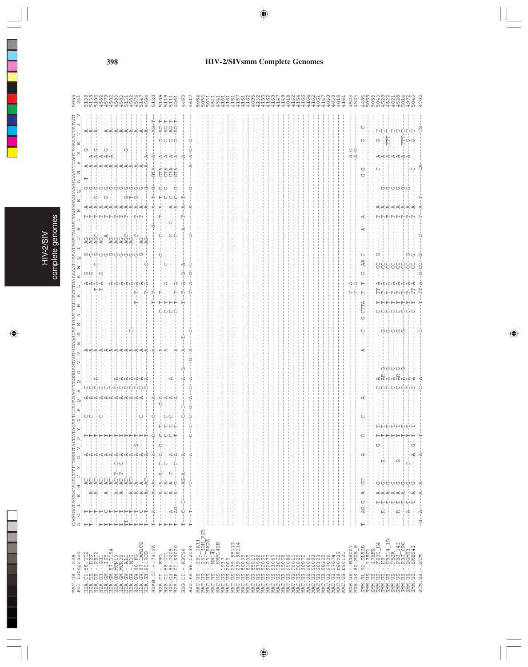|                                                 |                                   |                                                      |                                                                                                                                                                                                                                                                                                                                                                                     |                                       |                                              | $\infty$ $\infty$ $\infty$ $\sim$                                            |          |                                                   |                                        |                                                         |                                                                                                                              |                                               |                                        |                                                         | $\sim$                                                                                                                                                                                               |                                                                     |             |                                      |                                                               |                                                              |                                                                               | LO                                        | LO           |                    | w w           |                                               |                    | $\circ$ $\circ$ |                                          |  |   |         |                                                                                                                                                         |        |        |                                                                                                                |  |                      |                                |                                                                                                                                                                                                                                                                                                                                                                                                         | $\circ$     |                                             |                                                        | LO LO     |                    | 4<br>$\circ$                                                                    | $\circ$                                                                                                  |                                                                                                                                                                                                                                                                                                                                                                                             |                                          |                                                                                                                                | $0 m \omega \omega$                                 |                                                                                            | $\circ$                                                                        | ጣ                                                                                                                                                                         | $\circ$                                                                      |                                     |
|-------------------------------------------------|-----------------------------------|------------------------------------------------------|-------------------------------------------------------------------------------------------------------------------------------------------------------------------------------------------------------------------------------------------------------------------------------------------------------------------------------------------------------------------------------------|---------------------------------------|----------------------------------------------|------------------------------------------------------------------------------|----------|---------------------------------------------------|----------------------------------------|---------------------------------------------------------|------------------------------------------------------------------------------------------------------------------------------|-----------------------------------------------|----------------------------------------|---------------------------------------------------------|------------------------------------------------------------------------------------------------------------------------------------------------------------------------------------------------------|---------------------------------------------------------------------|-------------|--------------------------------------|---------------------------------------------------------------|--------------------------------------------------------------|-------------------------------------------------------------------------------|-------------------------------------------|--------------|--------------------|---------------|-----------------------------------------------|--------------------|-----------------|------------------------------------------|--|---|---------|---------------------------------------------------------------------------------------------------------------------------------------------------------|--------|--------|----------------------------------------------------------------------------------------------------------------|--|----------------------|--------------------------------|---------------------------------------------------------------------------------------------------------------------------------------------------------------------------------------------------------------------------------------------------------------------------------------------------------------------------------------------------------------------------------------------------------|-------------|---------------------------------------------|--------------------------------------------------------|-----------|--------------------|---------------------------------------------------------------------------------|----------------------------------------------------------------------------------------------------------|---------------------------------------------------------------------------------------------------------------------------------------------------------------------------------------------------------------------------------------------------------------------------------------------------------------------------------------------------------------------------------------------|------------------------------------------|--------------------------------------------------------------------------------------------------------------------------------|-----------------------------------------------------|--------------------------------------------------------------------------------------------|--------------------------------------------------------------------------------|---------------------------------------------------------------------------------------------------------------------------------------------------------------------------|------------------------------------------------------------------------------|-------------------------------------|
|                                                 |                                   |                                                      |                                                                                                                                                                                                                                                                                                                                                                                     |                                       |                                              |                                                                              |          |                                                   |                                        |                                                         |                                                                                                                              | AG-                                           |                                        |                                                         | ひひりひ                                                                                                                                                                                                 |                                                                     |             |                                      |                                                               |                                                              |                                                                               |                                           |              |                    |               |                                               |                    |                 |                                          |  |   |         |                                                                                                                                                         |        |        |                                                                                                                |  |                      |                                |                                                                                                                                                                                                                                                                                                                                                                                                         |             |                                             |                                                        |           |                    |                                                                                 |                                                                                                          |                                                                                                                                                                                                                                                                                                                                                                                             |                                          |                                                                                                                                |                                                     |                                                                                            | LL                                                                             | ひ                                                                                                                                                                         |                                                                              |                                     |
|                                                 |                                   |                                                      |                                                                                                                                                                                                                                                                                                                                                                                     | Ŗ<br>K.                               |                                              |                                                                              |          | A A A A                                           |                                        |                                                         | Ą                                                                                                                            | GTA                                           | GTA                                    |                                                         | $A \land A$<br><b>ETA</b><br>UUA                                                                                                                                                                     |                                                                     |             |                                      |                                                               |                                                              |                                                                               |                                           |              |                    |               |                                               |                    |                 |                                          |  |   |         |                                                                                                                                                         |        |        |                                                                                                                |  |                      |                                |                                                                                                                                                                                                                                                                                                                                                                                                         |             |                                             |                                                        |           |                    |                                                                                 |                                                                                                          |                                                                                                                                                                                                                                                                                                                                                                                             | $\triangle$ $\triangle$                  |                                                                                                                                | A A A                                               |                                                                                            |                                                                                | Æ                                                                                                                                                                         |                                                                              |                                     |
| CAAATAGATAGAATCGGGAACAAGCAAAT                   |                                   |                                                      | ひひひひひひひ                                                                                                                                                                                                                                                                                                                                                                             | ひ                                     |                                              | $\mathbb{R}$ $\mathbb{R}$                                                    |          | てり                                                | てり                                     | τŋ                                                      | てり                                                                                                                           |                                               |                                        | τη                                                      | U                                                                                                                                                                                                    |                                                                     |             |                                      |                                                               |                                                              |                                                                               |                                           |              |                    |               |                                               |                    |                 |                                          |  |   |         |                                                                                                                                                         |        |        |                                                                                                                |  |                      |                                |                                                                                                                                                                                                                                                                                                                                                                                                         |             |                                             |                                                        |           |                    |                                                                                 |                                                                                                          |                                                                                                                                                                                                                                                                                                                                                                                             |                                          |                                                                                                                                | <b>ひひひひひひ</b><br>AAAAAA                             |                                                                                            |                                                                                |                                                                                                                                                                           |                                                                              |                                     |
|                                                 |                                   |                                                      | 200<br>200<br>20                                                                                                                                                                                                                                                                                                                                                                    |                                       |                                              | 88550<br>88550                                                               |          |                                                   |                                        | $-6$                                                    |                                                                                                                              |                                               |                                        |                                                         |                                                                                                                                                                                                      |                                                                     |             |                                      |                                                               |                                                              |                                                                               |                                           |              |                    |               |                                               |                    |                 |                                          |  |   |         |                                                                                                                                                         |        |        |                                                                                                                |  |                      |                                |                                                                                                                                                                                                                                                                                                                                                                                                         |             |                                             |                                                        |           |                    |                                                                                 |                                                                                                          |                                                                                                                                                                                                                                                                                                                                                                                             |                                          |                                                                                                                                | 666666                                              |                                                                                            |                                                                                | ⊢                                                                                                                                                                         |                                                                              |                                     |
|                                                 |                                   | てり                                                   | じ じ<br>ひ<br>℧                                                                                                                                                                                                                                                                                                                                                                       |                                       | ひひひひひひ                                       |                                                                              |          |                                                   |                                        | ひ                                                       |                                                                                                                              |                                               |                                        |                                                         |                                                                                                                                                                                                      |                                                                     |             |                                      |                                                               |                                                              |                                                                               |                                           |              |                    |               |                                               |                    |                 |                                          |  |   |         |                                                                                                                                                         |        |        |                                                                                                                |  |                      |                                |                                                                                                                                                                                                                                                                                                                                                                                                         |             |                                             |                                                        |           | פי                 |                                                                                 |                                                                                                          |                                                                                                                                                                                                                                                                                                                                                                                             |                                          |                                                                                                                                | ggggg                                               |                                                                                            |                                                                                |                                                                                                                                                                           |                                                                              |                                     |
|                                                 |                                   |                                                      |                                                                                                                                                                                                                                                                                                                                                                                     |                                       |                                              | AAAA                                                                         |          |                                                   |                                        | K.                                                      |                                                                                                                              |                                               |                                        | O                                                       | υU                                                                                                                                                                                                   |                                                                     |             |                                      |                                                               |                                                              |                                                                               |                                           |              |                    |               |                                               |                    |                 |                                          |  |   |         |                                                                                                                                                         |        |        |                                                                                                                |  |                      |                                |                                                                                                                                                                                                                                                                                                                                                                                                         |             |                                             |                                                        |           | CTTA               |                                                                                 |                                                                                                          |                                                                                                                                                                                                                                                                                                                                                                                             |                                          |                                                                                                                                | AAAA<br>ひひひひひひ                                      |                                                                                            |                                                                                |                                                                                                                                                                           |                                                                              |                                     |
|                                                 |                                   | KL KL                                                |                                                                                                                                                                                                                                                                                                                                                                                     |                                       |                                              | KL KL                                                                        |          |                                                   |                                        |                                                         |                                                                                                                              |                                               |                                        |                                                         |                                                                                                                                                                                                      |                                                                     |             |                                      |                                                               |                                                              |                                                                               |                                           |              |                    |               |                                               |                    |                 |                                          |  |   |         |                                                                                                                                                         |        |        |                                                                                                                |  |                      |                                |                                                                                                                                                                                                                                                                                                                                                                                                         |             |                                             |                                                        |           |                    |                                                                                 |                                                                                                          |                                                                                                                                                                                                                                                                                                                                                                                             |                                          |                                                                                                                                | <b>ひひひひひ</b>                                        |                                                                                            |                                                                                |                                                                                                                                                                           |                                                                              |                                     |
| CACACACHOACHOACHOACHO                           |                                   |                                                      |                                                                                                                                                                                                                                                                                                                                                                                     |                                       |                                              |                                                                              |          | みみみみみ                                             |                                        |                                                         |                                                                                                                              |                                               | Æ                                      | K.                                                      |                                                                                                                                                                                                      |                                                                     |             |                                      |                                                               |                                                              |                                                                               |                                           |              |                    |               |                                               |                    |                 |                                          |  |   |         |                                                                                                                                                         |        |        |                                                                                                                |  |                      |                                |                                                                                                                                                                                                                                                                                                                                                                                                         |             |                                             |                                                        |           |                    |                                                                                 |                                                                                                          |                                                                                                                                                                                                                                                                                                                                                                                             | AR.                                      |                                                                                                                                | ひひひひひ<br>A-RA-<br>ひひひひひ                             |                                                                                            |                                                                                |                                                                                                                                                                           |                                                                              |                                     |
|                                                 |                                   |                                                      |                                                                                                                                                                                                                                                                                                                                                                                     |                                       | 88888                                        |                                                                              |          |                                                   |                                        |                                                         |                                                                                                                              |                                               |                                        |                                                         |                                                                                                                                                                                                      |                                                                     |             |                                      |                                                               |                                                              |                                                                               |                                           |              |                    |               |                                               |                    |                 |                                          |  |   |         |                                                                                                                                                         |        |        |                                                                                                                |  |                      |                                |                                                                                                                                                                                                                                                                                                                                                                                                         |             |                                             |                                                        |           |                    |                                                                                 |                                                                                                          | $\frac{1}{2}$                                                                                                                                                                                                                                                                                                                                                                               | ٠                                        |                                                                                                                                | <b>BBBBBB</b><br>888888                             |                                                                                            |                                                                                |                                                                                                                                                                           |                                                                              |                                     |
|                                                 | -<br>$-4$                         | $\,$ 1                                               | $\frac{1}{1}$<br>j<br>$\frac{1}{4}$                                                                                                                                                                                                                                                                                                                                                 | ŧ,<br>$- - A$<br>$- - A$<br>$\,$ $\,$ | ÷,<br>$-1$<br>$\mathbf{I}$<br>$- - A T - -$  | -----<br>$-2 - 2T - T - -C -$<br>- A - - AT - T - - C -                      | $- - -P$ | ŧ<br>$- - A$<br>$- - P A T - - - -$               | $\frac{1}{4}$<br>$- - A$<br>--- AT---- | $\begin{array}{c}\n0 \\ 1\n\end{array}$<br>$- - \Delta$ | $- -A - -$<br>$- -A - -$<br>$\,$<br>$A - - A T - - - -$                                                                      | ٠<br>$-4 -$<br>ı<br>$\mathbf{I}$              | $-9 - 4 - 6 -$<br>$- -A - -A - -A - C$ | $\mathbf{I}$<br>Ť<br>ن<br>۱<br>$\overline{\phantom{a}}$ | $- -A - -$<br>$- -A - -$<br>ن<br>با<br>$-$ – $\mathbf{P}$ – $-\mathbf{E}$ – $-$<br>J.<br>$-5 - 0 - 1$                                                                                                | -<br>$\mathsf I$<br>$-4$<br>1<br>$\,$ I<br>$-4-7-7-7-$              |             | ٠<br>$---A-$<br>---------            | -<br>Ì<br>Ť<br>$\frac{1}{2}$                                  |                                                              | $\frac{1}{1}$                                                                 |                                           |              |                    |               |                                               |                    |                 |                                          |  |   |         | $\begin{array}{c} \begin{array}{c} \bullet \\ \bullet \\ \bullet \end{array} \\ \begin{array}{c} \bullet \\ \bullet \\ \bullet \end{array} \end{array}$ |        | $-1$   | $\begin{array}{c} \n\cdot & \cdot & \cdot \\ \n\cdot & \cdot & \cdot \\ \n\cdot & \cdot & \cdot \n\end{array}$ |  |                      | $\frac{1}{1}$<br>$\frac{1}{2}$ | I,<br>--------------                                                                                                                                                                                                                                                                                                                                                                                    |             |                                             |                                                        | $\,$ I    | J.                 | $- -A - -$<br>J.<br>t<br>J.<br>$\mathbf{I}$<br>$\mathsf I$<br>$\mathbf{I}$<br>× | I.                                                                                                       | $\begin{array}{c} \rule{0.2cm}{0.15mm} \rule{0.2cm}{0.15mm} \rule{0.2cm}{0.15mm} \rule{0.2cm}{0.15mm} \rule{0.2cm}{0.15mm} \rule{0.2cm}{0.15mm} \rule{0.2cm}{0.15mm} \rule{0.2cm}{0.15mm} \rule{0.2cm}{0.15mm} \rule{0.2cm}{0.15mm} \rule{0.2cm}{0.15mm} \rule{0.2cm}{0.15mm} \rule{0.2cm}{0.15mm} \rule{0.2cm}{0.15mm} \rule{0.2cm}{0.15mm} \rule{$<br>t<br>$\mathbf{I}$<br>f,<br>J.<br>J. | J.<br>J.<br>$- - R - -$<br>t             | $\mathbf{I}$<br>$\,$ I<br>$\sf I$<br>$\mathbf{I}$<br>$\mathbf{I}$<br>1<br>$\overline{\phantom{a}}$<br>$\overline{\phantom{a}}$ | $\mathbf{I}$<br>J,<br>ひ                             | $\blacksquare$<br>$\,$ I<br>$\mathbf{1}$<br>$\frac{1}{x}$<br>$\mathbf I$<br>$\blacksquare$ | ひ ひ                                                                            | ٠<br>f,<br>ţ<br>$\frac{1}{\sqrt{2}}$<br>٠                                                                                                                                 | $-9 - 4 - 9 - 9$<br>٠                                                        | $\overline{\phantom{a}}$<br>$---A-$ |
| CAGGGATAGAGCACACCTTTGGGTAC<br>A G I E H T F G V | $\mathbf{I}$<br>Ĥ<br>$- - -$<br>Н | J.<br>$\mathbf{I}$<br>$\mathbf{I}$<br>۹t<br>  ا<br>⊢ | $\overline{\phantom{a}}$<br>f,<br>$\frac{1}{1}$<br>$\frac{1}{2}$<br>ь                                                                                                                                                                                                                                                                                                               | $- - -P - - P - - - - -$<br>Ť.<br>н   | $\mathbb{I}$<br>л.<br>÷<br>모두<br>-<br>-<br>н | $-4$<br>$\mathsf I$<br>$\frac{1}{1}$<br>e<br>¦¦L<br>ריים<br>שלובים<br>שלובים | Ť<br>÷   | $\mathsf I$<br>$\mathbf{I}$<br>$\mathfrak l$<br>÷ | $- - A$<br>÷<br>$\frac{1}{2}$<br>н     | $- - A$<br>$\mathbf{I}$<br>$\frac{1}{2}$<br>н           | Ť<br>$\mathbf{1}$<br>- 11<br>$\mathbf{I}$<br>$\blacksquare$<br>$\mathbf{I}$<br>Ω⊢<br>$\,$ 1<br>Ĭ,<br>$\frac{1}{4}$<br>н<br>⊢ | $A - -A - -$<br>Ť<br>×.<br>A<br>Î<br>$\vdash$ | $\mathbb{I}$<br>л.<br>ŧ<br>Н           | К<br>Ť<br>$\mathbf{I}$<br>$\mathbf{I}$<br>÷<br>۴        | $-4$<br>К<br>Ť<br>$2 - -A - - - -$<br>$2 - - -B - - - -$<br>H H                                                                                                                                      | L.<br>$\mathbf{I}$<br>$\frac{1}{2}$<br>$\frac{1}{2}$<br>$\mathbb H$ | $\mathbb H$ | J.<br>Ŷ.<br>$\mathbf{I}$<br>÷<br>サート | ţ<br>$\frac{1}{4}$<br>$\mathbf I$<br>$\,$<br>Ť<br>$\mathsf I$ | $\mathbf{I}$<br>$\mathbf{I}$<br>$\mathbf{I}$<br>$\mathbf{I}$ | $\frac{1}{4}$<br>$\frac{1}{1}$<br>$\,$ $\,$<br>$\frac{1}{4}$<br>$\frac{1}{4}$ | $\frac{1}{1}$<br>$\overline{\phantom{a}}$ | $\mathbf{I}$ | $\frac{1}{1}$<br>٠ | $\frac{1}{1}$ | $\overline{\phantom{a}}$<br>$\mathbf{I}$<br>I | J.<br>J<br>J<br>J. |                 | $-1$ $-1$ $-1$ $-1$ $-1$ $-1$ $-1$<br>J, |  | t | t<br>J. | $\mathbf{I}$<br>J<br>J.                                                                                                                                 | $\,$ I | .<br>t | $\frac{1}{1}$                                                                                                  |  | $\mathbf{I}$<br>$\,$ | $\frac{1}{2}$                  | $\frac{1}{1}$<br>t<br>$\mathfrak l$<br>$\begin{array}{c} \rule{0.2cm}{0.15mm} \rule{0.2cm}{0.15mm} \rule{0.2cm}{0.15mm} \rule{0.2cm}{0.15mm} \rule{0.2cm}{0.15mm} \rule{0.2cm}{0.15mm} \rule{0.2cm}{0.15mm} \rule{0.2cm}{0.15mm} \rule{0.2cm}{0.15mm} \rule{0.2cm}{0.15mm} \rule{0.2cm}{0.15mm} \rule{0.2cm}{0.15mm} \rule{0.2cm}{0.15mm} \rule{0.2cm}{0.15mm} \rule{0.2cm}{0.15mm} \rule{$<br>J,<br>J. | İ<br>$\,$ I | $\frac{1}{4}$<br>$\frac{1}{4}$<br>٠<br>$\,$ |                                                        |           | Н                  | $-4$ - $-4$<br>J.<br><b>0-04---</b>                                             |                                                                                                          | К<br>f,<br>f,<br>J.<br>$\begin{array}{c} \rule{0.2cm}{0.15mm} \rule{0.2cm}{0.15mm} \rule{0.2cm}{0.15mm} \rule{0.2cm}{0.15mm} \rule{0.2cm}{0.15mm} \rule{0.2cm}{0.15mm} \rule{0.2cm}{0.15mm} \rule{0.2cm}{0.15mm} \rule{0.2cm}{0.15mm} \rule{0.2cm}{0.15mm} \rule{0.2cm}{0.15mm} \rule{0.2cm}{0.15mm} \rule{0.2cm}{0.15mm} \rule{0.2cm}{0.15mm} \rule{0.2cm}{0.15mm} \rule{$<br>J.<br>٠      | υή<br>Οι<br>К<br>÷<br>FЕ<br>Ĩ,<br>$---R$ | $C - C$<br>К<br>÷<br>н<br>$\,$<br>$\mathbf{I}$<br>$\,$<br>$\mathsf I$<br>$\mathbf{I}$                                          | ÷<br>÷<br>$\vdash$<br>$\mathbf{I}$<br>$\frac{1}{4}$ | T<br>$\triangle$ $\triangle$<br>÷<br>е<br>$\,$<br>$\mathbf{I}$<br>$ -$ R<br>$\mathbf{I}$   | $\mathbf{I}$<br>$-4$<br>$\mathbb H$<br>$\overline{\phantom{a}}$<br>1<br>1<br>٠ | $\frac{1}{\sqrt{2}}$<br>1<br>н<br>t<br>$- - - A$                                                                                                                          | $-\frac{1}{2}$<br>$- - A$<br>н<br>÷<br>1<br>$\,$ I<br>$\,$ I<br>$\mathbf{I}$ | $- -A - -A$<br>$-6 - -A - -$        |
| .US.-.239<br>integrase<br>MAC.US.<br>Pol int    |                                   |                                                      | $\begin{array}{l} \rm{H2A}, \rm{CL}, \rm{88}, \rm{UC2}\\ \rm{H2A}, \rm{DB}, \cdots \rm{BBN}\\ \rm{H2A}, \rm{GH}, \cdots \rm{HH1}\\ \rm{H2A}, \rm{GH}, \cdots \rm{H31}\\ \rm{H2A}, \rm{OH}, \cdots \rm{H31}\\ \rm{H2A}, \rm{OH}, \rm{MNL13}\\ \rm{H2A}, \rm{OH}, \rm{MNL13}\\ \rm{H2A}, \rm{CH}, \rm{H23}\\ \rm{H2A}, \rm{CH}, \cdots \rm{H25}\\ \rm{H2A}, \rm{CH}, \rm{CH}, \rm{H2$ |                                       |                                              |                                                                              |          |                                                   |                                        |                                                         |                                                                                                                              | $-.7312A$<br>$\cdot$<br>H2AB.CI               |                                        |                                                         | $\circ$<br>$\begin{array}{l} \rm H2B \cdot CL \cdot - \cdot BHO \\ \rm H2B \cdot CH \cdot 88 \cdot UCL \\ \rm H2B \cdot GH \cdot 86 \cdot D205 \\ \rm H2B \cdot JP \cdot 01 \cdot KRO20 \end{array}$ | H2G.CI. - .ABT96                                                    |             | H2U.FR.96.12034                      |                                                               |                                                              |                                                                               |                                           |              |                    |               |                                               |                    |                 |                                          |  |   |         |                                                                                                                                                         |        |        |                                                                                                                |  |                      |                                |                                                                                                                                                                                                                                                                                                                                                                                                         |             |                                             | $\overline{ }$<br>MNE.US. - .MNE02<br>MNE.US. 82.MNE_! | $^\infty$ | SMM. SL. 92. SL92B |                                                                                 | SMM. US. - .17BC1<br>SMM. US. - .17BFR<br>SMM. US. - .F236 H4<br>SMM. US. - .H9<br>SMM. US. - .PBJ14 _15 |                                                                                                                                                                                                                                                                                                                                                                                             |                                          | S                                                                                                                              |                                                     |                                                                                            |                                                                                | US.-.PBJ14_15<br>US.-.PBJA<br>US.-.PBJ_143<br>US.-.PBJ_6P6<br>US.-.PGME3.<br>3 SMM : US : -<br>SMM : US : -<br>SMM : US : -<br>SMM : US : -<br>SMM : US : -<br>SMM : US : | $-$ . SME543                                                                 | MLS.<br>STM.US.                     |
|                                                 |                                   |                                                      |                                                                                                                                                                                                                                                                                                                                                                                     |                                       |                                              |                                                                              |          |                                                   |                                        |                                                         |                                                                                                                              |                                               |                                        |                                                         |                                                                                                                                                                                                      |                                                                     |             |                                      |                                                               |                                                              |                                                                               |                                           |              |                    |               |                                               |                    |                 |                                          |  |   |         |                                                                                                                                                         |        |        |                                                                                                                |  |                      |                                |                                                                                                                                                                                                                                                                                                                                                                                                         |             |                                             |                                                        |           |                    |                                                                                 |                                                                                                          |                                                                                                                                                                                                                                                                                                                                                                                             |                                          |                                                                                                                                |                                                     |                                                                                            |                                                                                |                                                                                                                                                                           |                                                                              |                                     |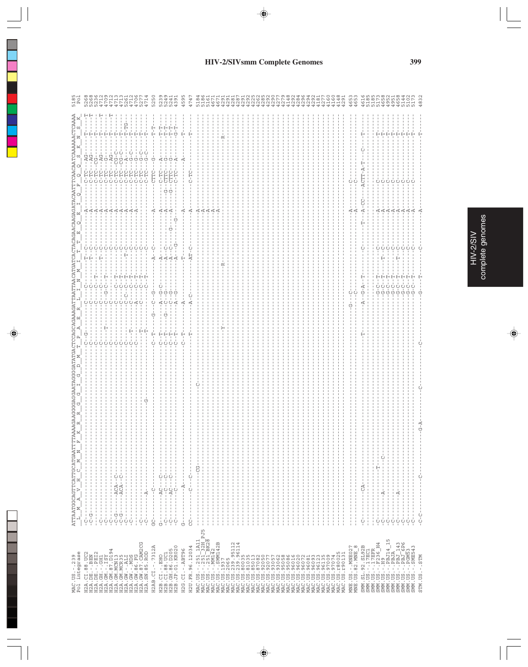| ÷<br>ַט<br>ļ |
|--------------|
|--------------|

<u>ვი</u>

| $\mathbf I$                                                                                                                                                                                                                                                                                                                                        | τŋ<br>τı           |                                             |                                                         |                            |                                               |                             |
|----------------------------------------------------------------------------------------------------------------------------------------------------------------------------------------------------------------------------------------------------------------------------------------------------------------------------------------------------|--------------------|---------------------------------------------|---------------------------------------------------------|----------------------------|-----------------------------------------------|-----------------------------|
| $\mathbf{I}$<br>$\frac{c}{1}$                                                                                                                                                                                                                                                                                                                      |                    |                                             | $\mathsf{H}$                                            |                            |                                               | FЕ                          |
| $\frac{1}{4}$<br>$\mathfrak l$<br>J.                                                                                                                                                                                                                                                                                                               | UUUUUUUUU          | 부<br><b>UUUUU</b><br>- 11<br>UUUUU          | <b>0000000000000</b>                                    | <b>A A A A A A A A A A</b> | $\blacksquare$<br>להמהמהמהמהמה?<br>הההההההההה |                             |
| $\mathbf{I}$<br>$\frac{1}{4}$                                                                                                                                                                                                                                                                                                                      |                    | 부부<br>$\mathbf{I}$                          |                                                         |                            |                                               | Н<br>⊢                      |
| $\frac{1}{1}$                                                                                                                                                                                                                                                                                                                                      | Н                  | $rac{1}{\sqrt{2}}$                          |                                                         |                            |                                               | $\mathsf{H}$                |
| ÷                                                                                                                                                                                                                                                                                                                                                  |                    | <b>UUUUU</b>                                |                                                         |                            |                                               | $\mathbb H$<br><b>PPPPP</b> |
| Ť<br>$\ddot{\phi}$ $\ddot{\phi}$                                                                                                                                                                                                                                                                                                                   |                    | $\mathbf{I}$                                |                                                         |                            | $\mathbf{I}$                                  |                             |
| j.                                                                                                                                                                                                                                                                                                                                                 |                    | - 11                                        |                                                         |                            | $\mathbf{1}$                                  |                             |
| J.<br>$\mathbf{I}$<br>ł.<br>ł<br>Ţ<br>J<br>÷                                                                                                                                                                                                                                                                                                       |                    | <b>HHHHHH</b><br>л.<br>U                    | Н                                                       |                            |                                               | $-TTG-$<br>J.               |
| ÷<br>$\,$ $\,$<br>$\mathbf{I}$<br>$\overline{\phantom{a}}$<br>$\frac{1}{4}$                                                                                                                                                                                                                                                                        | Н<br>$\mathbf{I}$  |                                             |                                                         |                            |                                               | $\mathbf{I}$                |
| $\mathbf{I}$<br>$\mathbf{I}$<br>$\frac{1}{4}$                                                                                                                                                                                                                                                                                                      | т.                 |                                             |                                                         | ₫                          |                                               | $\mathbf{I}$                |
| Ħ<br>$\frac{1}{4}$                                                                                                                                                                                                                                                                                                                                 |                    |                                             |                                                         |                            |                                               | FF                          |
| - 11<br>÷.                                                                                                                                                                                                                                                                                                                                         | FН                 | <b>UUUUUU</b>                               |                                                         |                            |                                               |                             |
| ł<br>$\frac{1}{1}$<br>$- - P -$<br>÷<br>$\frac{1}{4}$                                                                                                                                                                                                                                                                                              |                    | E                                           |                                                         |                            |                                               |                             |
| $\frac{1}{2}$<br>÷                                                                                                                                                                                                                                                                                                                                 | н<br>O             | ひ<br>U<br>ひ                                 | ↻<br>К                                                  |                            | ひ<br>CTTC                                     | Н                           |
| ł.                                                                                                                                                                                                                                                                                                                                                 |                    |                                             |                                                         |                            |                                               |                             |
| i<br>I<br>$\begin{array}{c} 1 & 1 & 1 \\ 1 & 1 & 1 \\ 0 & 1 & 1 \\ 1 & 1 & 1 \\ 1 & 1 & 1 \\ 1 & 1 & 1 \\ 1 & 1 & 1 \\ 1 & 1 & 1 \\ 1 & 1 & 1 \\ 1 & 1 & 1 \\ 1 & 1 & 1 \\ 1 & 1 & 1 \\ 1 & 1 & 1 \\ 1 & 1 & 1 \\ 1 & 1 & 1 \\ 1 & 1 & 1 \\ 1 & 1 & 1 & 1 \\ 1 & 1 & 1 & 1 \\ 1 & 1 & 1 & 1 \\ 1 & 1 & 1 & 1 \\ 1 & 1 & 1 & 1 \\ 1 & 1 & 1 &$<br>÷ | υ                  | U<br>ď                                      |                                                         | RR                         |                                               |                             |
| $\frac{1}{4}$                                                                                                                                                                                                                                                                                                                                      |                    | $\overline{\phantom{a}}$<br>ひ               |                                                         |                            |                                               | Н                           |
| $\mathsf I$<br>$\,$ I<br>÷                                                                                                                                                                                                                                                                                                                         |                    | $\mathbf{I}$                                | ひ<br>υU                                                 | K,                         | じ じ                                           |                             |
| ł<br>÷<br>÷÷                                                                                                                                                                                                                                                                                                                                       | <b>PPPP</b><br>ひひひ | 9999<br>UUK                                 | $\overline{\phantom{a}}$<br>ひ<br>$\blacksquare$<br>RARA | ひ                          | ぱりひぱ                                          | 부부부부<br>日ぴ                  |
| $\frac{1}{1}$                                                                                                                                                                                                                                                                                                                                      |                    |                                             |                                                         |                            |                                               |                             |
| $\frac{1}{1}$<br>$- - - - - - - -$<br>$\mathsf I$<br>$\mathbf{I}$<br>$\mathbb{L}$<br>$\begin{array}{c} -1 \\ -1 \\ 0 \end{array}$                                                                                                                                                                                                                  | н<br>τ.            | К                                           | $\mathbb{H}$                                            | K.                         | K.                                            | $\mathsf{H}$                |
|                                                                                                                                                                                                                                                                                                                                                    |                    |                                             |                                                         |                            |                                               |                             |
| $\mathsf I$<br>$\mathbf{I}$<br>÷.<br>J.<br>ġ                                                                                                                                                                                                                                                                                                       | ⊢                  | U<br>A                                      | U<br>ĀΤ                                                 | К                          | $C-T^2$                                       |                             |
|                                                                                                                                                                                                                                                                                                                                                    |                    |                                             |                                                         |                            |                                               |                             |
|                                                                                                                                                                                                                                                                                                                                                    |                    |                                             |                                                         | RRR                        |                                               |                             |
|                                                                                                                                                                                                                                                                                                                                                    |                    |                                             |                                                         |                            |                                               |                             |
|                                                                                                                                                                                                                                                                                                                                                    |                    |                                             |                                                         |                            |                                               |                             |
|                                                                                                                                                                                                                                                                                                                                                    |                    |                                             |                                                         |                            |                                               |                             |
|                                                                                                                                                                                                                                                                                                                                                    |                    |                                             |                                                         |                            |                                               |                             |
| $\frac{1}{1}$                                                                                                                                                                                                                                                                                                                                      |                    |                                             |                                                         | K.                         |                                               |                             |
| $\frac{1}{4}$                                                                                                                                                                                                                                                                                                                                      |                    | $\alpha$                                    |                                                         |                            |                                               | œ                           |
|                                                                                                                                                                                                                                                                                                                                                    |                    |                                             |                                                         |                            |                                               |                             |
| f,                                                                                                                                                                                                                                                                                                                                                 |                    |                                             |                                                         |                            |                                               |                             |
| $\overline{\phantom{a}}$                                                                                                                                                                                                                                                                                                                           |                    |                                             |                                                         |                            |                                               |                             |
|                                                                                                                                                                                                                                                                                                                                                    |                    |                                             |                                                         |                            |                                               |                             |
| $\mathbf{I}$<br>t                                                                                                                                                                                                                                                                                                                                  |                    |                                             |                                                         |                            |                                               |                             |
| $\frac{1}{1}$                                                                                                                                                                                                                                                                                                                                      |                    |                                             |                                                         |                            |                                               |                             |
|                                                                                                                                                                                                                                                                                                                                                    |                    |                                             |                                                         |                            |                                               |                             |
|                                                                                                                                                                                                                                                                                                                                                    |                    |                                             |                                                         |                            |                                               |                             |
| $\blacksquare$                                                                                                                                                                                                                                                                                                                                     |                    |                                             |                                                         |                            |                                               |                             |
| ٠                                                                                                                                                                                                                                                                                                                                                  |                    |                                             |                                                         |                            |                                               |                             |
|                                                                                                                                                                                                                                                                                                                                                    |                    |                                             |                                                         |                            |                                               |                             |
| $\mathbf{I}$                                                                                                                                                                                                                                                                                                                                       |                    |                                             |                                                         |                            |                                               |                             |
| $\mathbf{I}$                                                                                                                                                                                                                                                                                                                                       |                    |                                             |                                                         |                            |                                               |                             |
|                                                                                                                                                                                                                                                                                                                                                    |                    |                                             |                                                         |                            |                                               |                             |
|                                                                                                                                                                                                                                                                                                                                                    |                    |                                             |                                                         |                            |                                               |                             |
|                                                                                                                                                                                                                                                                                                                                                    |                    |                                             |                                                         |                            |                                               |                             |
| f,                                                                                                                                                                                                                                                                                                                                                 |                    |                                             |                                                         |                            |                                               |                             |
|                                                                                                                                                                                                                                                                                                                                                    |                    |                                             |                                                         |                            |                                               |                             |
|                                                                                                                                                                                                                                                                                                                                                    |                    |                                             |                                                         |                            |                                               |                             |
|                                                                                                                                                                                                                                                                                                                                                    |                    |                                             |                                                         |                            |                                               |                             |
|                                                                                                                                                                                                                                                                                                                                                    |                    |                                             |                                                         |                            |                                               |                             |
|                                                                                                                                                                                                                                                                                                                                                    |                    |                                             |                                                         |                            |                                               |                             |
|                                                                                                                                                                                                                                                                                                                                                    |                    |                                             |                                                         |                            |                                               |                             |
|                                                                                                                                                                                                                                                                                                                                                    |                    |                                             |                                                         |                            |                                               |                             |
|                                                                                                                                                                                                                                                                                                                                                    |                    |                                             |                                                         |                            |                                               |                             |
|                                                                                                                                                                                                                                                                                                                                                    |                    |                                             |                                                         |                            |                                               |                             |
|                                                                                                                                                                                                                                                                                                                                                    |                    |                                             |                                                         |                            |                                               |                             |
|                                                                                                                                                                                                                                                                                                                                                    |                    |                                             |                                                         |                            |                                               |                             |
|                                                                                                                                                                                                                                                                                                                                                    |                    |                                             |                                                         |                            |                                               |                             |
|                                                                                                                                                                                                                                                                                                                                                    |                    |                                             |                                                         |                            |                                               |                             |
|                                                                                                                                                                                                                                                                                                                                                    |                    |                                             |                                                         |                            |                                               |                             |
|                                                                                                                                                                                                                                                                                                                                                    |                    |                                             |                                                         |                            |                                               |                             |
| $\mathbf{I}$                                                                                                                                                                                                                                                                                                                                       |                    |                                             |                                                         |                            |                                               |                             |
| $\frac{1}{4}$                                                                                                                                                                                                                                                                                                                                      |                    |                                             |                                                         |                            |                                               |                             |
| $\mathbf{I}$                                                                                                                                                                                                                                                                                                                                       |                    |                                             |                                                         |                            |                                               |                             |
|                                                                                                                                                                                                                                                                                                                                                    |                    |                                             |                                                         |                            |                                               |                             |
| Î<br>$\,$ I<br>$\mathbf{I}$                                                                                                                                                                                                                                                                                                                        |                    |                                             |                                                         | K,                         |                                               |                             |
| $\frac{1}{2}$<br>$\overline{\phantom{a}}$                                                                                                                                                                                                                                                                                                          |                    |                                             |                                                         | K.                         | ↻                                             |                             |
|                                                                                                                                                                                                                                                                                                                                                    |                    |                                             |                                                         |                            |                                               |                             |
| - - - - - - - - - - dJ - - -<br>$\frac{1}{1}$<br>÷<br>U                                                                                                                                                                                                                                                                                            |                    | Н<br>К<br>ά<br>К                            | н<br>O                                                  | U<br>Ū<br>К                | υ<br>н<br>1<br>К<br>ACTT                      |                             |
|                                                                                                                                                                                                                                                                                                                                                    |                    |                                             |                                                         |                            |                                               |                             |
| ţ<br>Ť                                                                                                                                                                                                                                                                                                                                             |                    |                                             |                                                         |                            |                                               |                             |
| $\frac{1}{1}$<br>1<br>$\mathbf{I}$                                                                                                                                                                                                                                                                                                                 |                    |                                             |                                                         |                            |                                               |                             |
| $\frac{1}{1}$<br>f,<br>J.<br>٠<br>$\mathfrak l$<br>$\frac{1}{4}$<br>$\frac{1}{\sqrt{2}}$                                                                                                                                                                                                                                                           |                    |                                             |                                                         |                            |                                               | Н                           |
|                                                                                                                                                                                                                                                                                                                                                    |                    |                                             |                                                         |                            |                                               |                             |
| f,<br>$\frac{1}{4}$<br>$\frac{1}{\sqrt{2}}$                                                                                                                                                                                                                                                                                                        |                    |                                             | Н<br>٠                                                  |                            |                                               | н                           |
| $\frac{1}{1}$<br>$\mathsf I$<br>$\frac{1}{1}$<br>ပု                                                                                                                                                                                                                                                                                                |                    |                                             | п.                                                      |                            |                                               |                             |
| $\frac{1}{1}$<br>Y                                                                                                                                                                                                                                                                                                                                 |                    |                                             | - 11                                                    |                            |                                               | HHH                         |
|                                                                                                                                                                                                                                                                                                                                                    |                    |                                             |                                                         |                            |                                               |                             |
| $- - A - -$<br>$\blacksquare$<br>٠<br>- 11<br>$\bigcup\limits_{i}$                                                                                                                                                                                                                                                                                 |                    |                                             | Н                                                       |                            |                                               |                             |
|                                                                                                                                                                                                                                                                                                                                                    |                    | <b>BBBBBBB</b><br><b>UUUUUUU</b><br>ひひひひひひひ | UUUUUUUU                                                | <b>A A A A A A A</b>       | <b>UUUUUU</b>                                 |                             |
| -1<br>Y                                                                                                                                                                                                                                                                                                                                            |                    |                                             |                                                         |                            |                                               | Н                           |
| ł.<br>J.<br>ပု                                                                                                                                                                                                                                                                                                                                     |                    |                                             |                                                         |                            |                                               | н                           |
|                                                                                                                                                                                                                                                                                                                                                    |                    |                                             |                                                         |                            |                                               |                             |
| $\mathbf{1}$<br>ပု                                                                                                                                                                                                                                                                                                                                 |                    | $\mathbb{H}$                                |                                                         |                            |                                               |                             |
|                                                                                                                                                                                                                                                                                                                                                    |                    |                                             |                                                         |                            |                                               |                             |
| $-1 - 1 -$<br>しし                                                                                                                                                                                                                                                                                                                                   |                    |                                             |                                                         |                            |                                               |                             |
|                                                                                                                                                                                                                                                                                                                                                    |                    |                                             |                                                         |                            |                                               |                             |
|                                                                                                                                                                                                                                                                                                                                                    |                    |                                             |                                                         |                            |                                               |                             |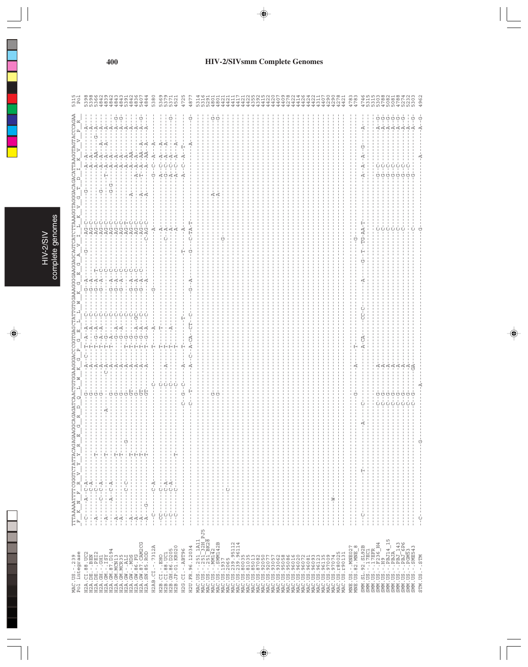| .US.-.239<br>integrase<br>MAC.US.<br>Pol int                                                                                                                                                                               | GGTAGTACCAGAA<br>Þ<br>TTTAAAATTTTCGGGTCTATTACAGZ<br>F K N F R V Y Y X R                                                                                                                                                                                                                                                                                                                                                                                                                                                                                                                                                                                                 |          |
|----------------------------------------------------------------------------------------------------------------------------------------------------------------------------------------------------------------------------|-------------------------------------------------------------------------------------------------------------------------------------------------------------------------------------------------------------------------------------------------------------------------------------------------------------------------------------------------------------------------------------------------------------------------------------------------------------------------------------------------------------------------------------------------------------------------------------------------------------------------------------------------------------------------|----------|
|                                                                                                                                                                                                                            | ひ<br>Σ<br>$\circ$<br>$\bigcirc$                                                                                                                                                                                                                                                                                                                                                                                                                                                                                                                                                                                                                                         |          |
|                                                                                                                                                                                                                            | U<br>ひ<br>$\overline{\phantom{a}}$<br>Ţ<br>$\mathsf I$<br>$\mathbf{I}$<br>- 1<br>L.<br>$\mathbf{I}$<br>$\mathbf{I}$<br>٠<br>$\overline{\phantom{a}}$<br>$\mathbf{I}$<br>Ť<br>$\,$ I<br>$\mathbf{I}$<br>ن<br>۱<br>$\,$ I                                                                                                                                                                                                                                                                                                                                                                                                                                                 |          |
|                                                                                                                                                                                                                            | <b>AAAAAAAAAAA</b><br>ひ<br>AAAAAAAAAA<br>AAAAAAAAAAA<br><b>UUUUUUUHUUU</b><br>88888888<br>НU<br>A A<br><b>ひひひ</b><br><b>UUUUUUU</b><br>$A \triangleleft A$<br><b>AAAAAAAAAA</b><br>めめめ<br>$\frac{1}{4}$<br>$\mathbf{1}$<br>÷,<br>$\,$ I<br>$\,$ I<br>$- -A - -$                                                                                                                                                                                                                                                                                                                                                                                                         |          |
|                                                                                                                                                                                                                            | ΚK<br>ひ<br>$\mathbf{I}$<br>$\overline{\phantom{a}}$<br>$\,$ I<br>$\mathbf{I}$<br>$\overline{\phantom{a}}$<br>$\,$ I                                                                                                                                                                                                                                                                                                                                                                                                                                                                                                                                                     |          |
|                                                                                                                                                                                                                            | $\mathsf{H}$<br>ひ<br>$\overset{1}{\circ}$<br>ひひひひひ<br>ひえひえひひひ<br>1<br>$\frac{1}{\sqrt{2}}$<br>$\mathbf{I}$<br>ŧ<br>$\mathbf{I}$<br>$\mathsf I$<br>ł.<br>$- -A - -C - A - -$<br>$\mathsf I$<br>$\mathsf I$<br>1<br>$\mathbf{I}$<br>1<br>1<br>f,<br>ı<br>$\,$ $\,$<br>$-4-$                                                                                                                                                                                                                                                                                                                                                                                               |          |
|                                                                                                                                                                                                                            | $A \land A$<br>ひひひ<br>$\blacksquare$<br>$\mathbf{I}$<br>Ŷ.<br>٠<br>$\mathbf{I}$<br>$\mathsf I$<br>$\mathsf I$<br>$\,$ I<br>$\mathbf{I}$<br>$\frac{1}{4}$<br>$\frac{1}{4}$                                                                                                                                                                                                                                                                                                                                                                                                                                                                                               |          |
|                                                                                                                                                                                                                            | υ υ<br>$\mathbb{A} \triangleleft$<br>$\,$ I<br>Ť<br>$\begin{array}{c} \rule{0.2cm}{0.15mm} \rule{0.2cm}{0.15mm} \rule{0.2cm}{0.15mm} \rule{0.2cm}{0.15mm} \rule{0.2cm}{0.15mm} \rule{0.2cm}{0.15mm} \rule{0.2cm}{0.15mm} \rule{0.2cm}{0.15mm} \rule{0.2cm}{0.15mm} \rule{0.2cm}{0.15mm} \rule{0.2cm}{0.15mm} \rule{0.2cm}{0.15mm} \rule{0.2cm}{0.15mm} \rule{0.2cm}{0.15mm} \rule{0.2cm}{0.15mm} \rule{$<br>J.<br>J.<br>ł<br>$\,$ l<br>$\mathbf{I}$<br>J.<br>f,<br>ţ<br>f,                                                                                                                                                                                              |          |
|                                                                                                                                                                                                                            | <b>  수수수수요우요</b><br>$-1$<br>féjé<br>Tili<br>J.<br>$\mathbf{I}$                                                                                                                                                                                                                                                                                                                                                                                                                                                                                                                                                                                                          |          |
|                                                                                                                                                                                                                            | U<br>$\tau$ 1<br>ひ<br>ひ<br>↻<br>ひ<br>ひ<br>$\frac{1}{1}$<br>÷<br>$\frac{1}{1}$<br>$\frac{1}{4}$                                                                                                                                                                                                                                                                                                                                                                                                                                                                                                                                                                          |          |
|                                                                                                                                                                                                                            | Æ<br>ុងអ្ន<br>ΚH<br>$\Delta$<br>$A \land A$<br>ひ<br>요 단<br>ひ<br>$\mathbf{I}$<br>÷<br>FFF<br>TTT<br>$\frac{1}{4}$                                                                                                                                                                                                                                                                                                                                                                                                                                                                                                                                                        |          |
|                                                                                                                                                                                                                            | AG.<br>ප්<br>К<br>$\overline{\phantom{a}}$<br>J.                                                                                                                                                                                                                                                                                                                                                                                                                                                                                                                                                                                                                        |          |
| H2AB. CI.-. 7312A                                                                                                                                                                                                          | Æ<br>Ā,<br>U<br>ひ<br>K,<br>O<br>I.<br>$\mathbb{I}$<br>î.<br>$\mathbf{I}$<br>$\frac{1}{1}$                                                                                                                                                                                                                                                                                                                                                                                                                                                                                                                                                                               |          |
| H2B.CI.-. EHO                                                                                                                                                                                                              | К<br>f,<br>ţ<br>Ĵ.<br>$\sum_{i=1}^{n}$                                                                                                                                                                                                                                                                                                                                                                                                                                                                                                                                                                                                                                  |          |
|                                                                                                                                                                                                                            | К                                                                                                                                                                                                                                                                                                                                                                                                                                                                                                                                                                                                                                                                       |          |
| H2B.CI.88.UC1<br>H2B.GH.86.D205<br>H2B.JP.01.KR020                                                                                                                                                                         | $A \triangle A$<br>$A \n  A$<br>AAAA<br>ひひひひ                                                                                                                                                                                                                                                                                                                                                                                                                                                                                                                                                                                                                            |          |
| $\circ$                                                                                                                                                                                                                    | $\cup$                                                                                                                                                                                                                                                                                                                                                                                                                                                                                                                                                                                                                                                                  |          |
| $-.ABT96$<br>$H2G$ . CI.                                                                                                                                                                                                   | K.<br>К<br>$\frac{1}{1}$<br>$\frac{1}{1}$<br>$\frac{1}{1}$<br>$\mathsf I$<br>$\mathsf I$<br>$\mathbf{I}$<br>Ť.<br>$\mathsf I$<br>$\mathsf I$<br>ŧ                                                                                                                                                                                                                                                                                                                                                                                                                                                                                                                       |          |
| H2U.FR.96.12034                                                                                                                                                                                                            | FA<br>I<br>Ŕ.<br>τ)<br>$\begin{array}{c} \begin{array}{c} \text{1} \\ \text{2} \\ \text{3} \\ \text{4} \end{array} \end{array}$<br>$\begin{array}{c} 1 \\ 1 \\ 1 \\ 1 \end{array}$<br>$\frac{1}{1}$<br>$\mathbf I$                                                                                                                                                                                                                                                                                                                                                                                                                                                      | $\infty$ |
|                                                                                                                                                                                                                            |                                                                                                                                                                                                                                                                                                                                                                                                                                                                                                                                                                                                                                                                         |          |
| PJ5<br>$\begin{array}{l} \tt MAC.US.-.251\_1A11 \\ \tt MAC.US.-.251\_22H_P \\ \tt MAC.US.-.251\_BK2\overline{8} \\ \tt MAC.US.-.MM1\overline{42} \\ \tt MAC.US.-.MM1\overline{42} \\ \tt MAC.US--.\\ \tt MMA2 \end{array}$ |                                                                                                                                                                                                                                                                                                                                                                                                                                                                                                                                                                                                                                                                         |          |
|                                                                                                                                                                                                                            |                                                                                                                                                                                                                                                                                                                                                                                                                                                                                                                                                                                                                                                                         |          |
|                                                                                                                                                                                                                            | ひ<br>t                                                                                                                                                                                                                                                                                                                                                                                                                                                                                                                                                                                                                                                                  | $\infty$ |
|                                                                                                                                                                                                                            | てり<br>$\frac{1}{1}$                                                                                                                                                                                                                                                                                                                                                                                                                                                                                                                                                                                                                                                     | $\infty$ |
|                                                                                                                                                                                                                            | ţ<br>$\frac{1}{1}$<br>f,<br>ı<br>$\frac{1}{4}$                                                                                                                                                                                                                                                                                                                                                                                                                                                                                                                                                                                                                          | ₩        |
|                                                                                                                                                                                                                            | $\frac{1}{4}$                                                                                                                                                                                                                                                                                                                                                                                                                                                                                                                                                                                                                                                           | ₩        |
|                                                                                                                                                                                                                            |                                                                                                                                                                                                                                                                                                                                                                                                                                                                                                                                                                                                                                                                         | 4        |
|                                                                                                                                                                                                                            |                                                                                                                                                                                                                                                                                                                                                                                                                                                                                                                                                                                                                                                                         | ₩        |
|                                                                                                                                                                                                                            | ł                                                                                                                                                                                                                                                                                                                                                                                                                                                                                                                                                                                                                                                                       |          |
|                                                                                                                                                                                                                            | $\mathbf{I}$                                                                                                                                                                                                                                                                                                                                                                                                                                                                                                                                                                                                                                                            | 4        |
|                                                                                                                                                                                                                            | $\begin{array}{c} \rule{0.2cm}{0.15mm} \rule{0.2cm}{0.15mm} \rule{0.2cm}{0.15mm} \rule{0.2cm}{0.15mm} \rule{0.2cm}{0.15mm} \rule{0.2cm}{0.15mm} \rule{0.2cm}{0.15mm} \rule{0.2cm}{0.15mm} \rule{0.2cm}{0.15mm} \rule{0.2cm}{0.15mm} \rule{0.2cm}{0.15mm} \rule{0.2cm}{0.15mm} \rule{0.2cm}{0.15mm} \rule{0.2cm}{0.15mm} \rule{0.2cm}{0.15mm} \rule{$<br>$\frac{1}{1}$<br>Ť                                                                                                                                                                                                                                                                                              |          |
|                                                                                                                                                                                                                            | $\mathbf{I}$                                                                                                                                                                                                                                                                                                                                                                                                                                                                                                                                                                                                                                                            |          |
|                                                                                                                                                                                                                            | $\mathbf{I}$                                                                                                                                                                                                                                                                                                                                                                                                                                                                                                                                                                                                                                                            |          |
|                                                                                                                                                                                                                            | $\frac{1}{1}$                                                                                                                                                                                                                                                                                                                                                                                                                                                                                                                                                                                                                                                           |          |
|                                                                                                                                                                                                                            |                                                                                                                                                                                                                                                                                                                                                                                                                                                                                                                                                                                                                                                                         |          |
|                                                                                                                                                                                                                            |                                                                                                                                                                                                                                                                                                                                                                                                                                                                                                                                                                                                                                                                         |          |
|                                                                                                                                                                                                                            | $\mathbf{I}$                                                                                                                                                                                                                                                                                                                                                                                                                                                                                                                                                                                                                                                            |          |
|                                                                                                                                                                                                                            | -1                                                                                                                                                                                                                                                                                                                                                                                                                                                                                                                                                                                                                                                                      |          |
|                                                                                                                                                                                                                            | J.                                                                                                                                                                                                                                                                                                                                                                                                                                                                                                                                                                                                                                                                      |          |
|                                                                                                                                                                                                                            | $\mathbf{I}$                                                                                                                                                                                                                                                                                                                                                                                                                                                                                                                                                                                                                                                            |          |
|                                                                                                                                                                                                                            | -                                                                                                                                                                                                                                                                                                                                                                                                                                                                                                                                                                                                                                                                       |          |
|                                                                                                                                                                                                                            | t                                                                                                                                                                                                                                                                                                                                                                                                                                                                                                                                                                                                                                                                       |          |
|                                                                                                                                                                                                                            | $\frac{1}{1}$                                                                                                                                                                                                                                                                                                                                                                                                                                                                                                                                                                                                                                                           |          |
|                                                                                                                                                                                                                            | $\begin{array}{c} \hline \end{array}$<br>$\mathbf{I}$<br>$\mathbf{I}$                                                                                                                                                                                                                                                                                                                                                                                                                                                                                                                                                                                                   |          |
|                                                                                                                                                                                                                            | $- - - - - - - - - - - -$<br>$\mathbf{I}$                                                                                                                                                                                                                                                                                                                                                                                                                                                                                                                                                                                                                               |          |
|                                                                                                                                                                                                                            | $\begin{array}{c} \begin{array}{c} \bullet \\ \bullet \\ \bullet \end{array} & \begin{array}{c} \bullet \\ \bullet \\ \bullet \end{array} & \begin{array}{c} \bullet \\ \bullet \\ \bullet \end{array} & \begin{array}{c} \bullet \\ \bullet \\ \bullet \end{array} & \begin{array}{c} \bullet \\ \bullet \\ \bullet \end{array} & \begin{array}{c} \bullet \\ \bullet \\ \bullet \end{array} & \begin{array}{c} \bullet \\ \bullet \\ \bullet \end{array} & \begin{array}{c} \bullet \\ \bullet \\ \bullet \end{array} & \begin{array}{c} \bullet \\ \bullet \\ \bullet \end{array} & \begin{array}{c} \bullet \\ \bullet \\ \bullet \end{array} & \begin{$<br>I<br>J. |          |
|                                                                                                                                                                                                                            | f,<br>$\frac{1}{1}$                                                                                                                                                                                                                                                                                                                                                                                                                                                                                                                                                                                                                                                     |          |
|                                                                                                                                                                                                                            |                                                                                                                                                                                                                                                                                                                                                                                                                                                                                                                                                                                                                                                                         |          |
| Γ<br>$-$ . MNE02<br>MIXH.US.82.MNE<br>MNE.US.82.MNE_<br>MNE.US.                                                                                                                                                            | f,                                                                                                                                                                                                                                                                                                                                                                                                                                                                                                                                                                                                                                                                      |          |
| $\infty$                                                                                                                                                                                                                   | $\,$<br>$\mathbf{I}$                                                                                                                                                                                                                                                                                                                                                                                                                                                                                                                                                                                                                                                    | 78       |
|                                                                                                                                                                                                                            | К<br>TG-AA<br>F<br>$- - - - - - - - - - - - -$                                                                                                                                                                                                                                                                                                                                                                                                                                                                                                                                                                                                                          | 4        |
|                                                                                                                                                                                                                            | $\frac{1}{2}$<br>$\frac{1}{1}$<br>$\frac{1}{2}$<br>$\frac{1}{1}$<br>ı<br>I<br>J.                                                                                                                                                                                                                                                                                                                                                                                                                                                                                                                                                                                        |          |
|                                                                                                                                                                                                                            | $\frac{1}{1}$<br>ł<br>$\mathsf I$<br>1<br>$\mathbf{I}$<br>$\mathbf{I}$<br>$\frac{1}{1}$                                                                                                                                                                                                                                                                                                                                                                                                                                                                                                                                                                                 |          |
|                                                                                                                                                                                                                            | めめめめめ<br>みみみみみみみ<br><b>UUUUUU</b><br>せせせせせせせ<br>AAAAAAA<br>ひひひひひひひひ<br>Ť<br>f,<br>$\blacksquare$<br>f,<br>$\mathbf{I}$                                                                                                                                                                                                                                                                                                                                                                                                                                                                                                                                                  | 0.000000 |
| $\frac{15}{1}$                                                                                                                                                                                                             | -1                                                                                                                                                                                                                                                                                                                                                                                                                                                                                                                                                                                                                                                                      |          |
|                                                                                                                                                                                                                            | J.                                                                                                                                                                                                                                                                                                                                                                                                                                                                                                                                                                                                                                                                      |          |
|                                                                                                                                                                                                                            | ひひひひ<br>$\,$ I                                                                                                                                                                                                                                                                                                                                                                                                                                                                                                                                                                                                                                                          |          |
|                                                                                                                                                                                                                            | ひ<br>-                                                                                                                                                                                                                                                                                                                                                                                                                                                                                                                                                                                                                                                                  | 7700     |
|                                                                                                                                                                                                                            | t<br>٠<br>I<br>$\frac{1}{1}$<br>J<br>$\frac{1}{4}$                                                                                                                                                                                                                                                                                                                                                                                                                                                                                                                                                                                                                      |          |
|                                                                                                                                                                                                                            | $\frac{1}{4}$<br>t                                                                                                                                                                                                                                                                                                                                                                                                                                                                                                                                                                                                                                                      |          |
| <b>NLS</b><br>STM.US                                                                                                                                                                                                       | $C_{1}$                                                                                                                                                                                                                                                                                                                                                                                                                                                                                                                                                                                                                                                                 | ρě       |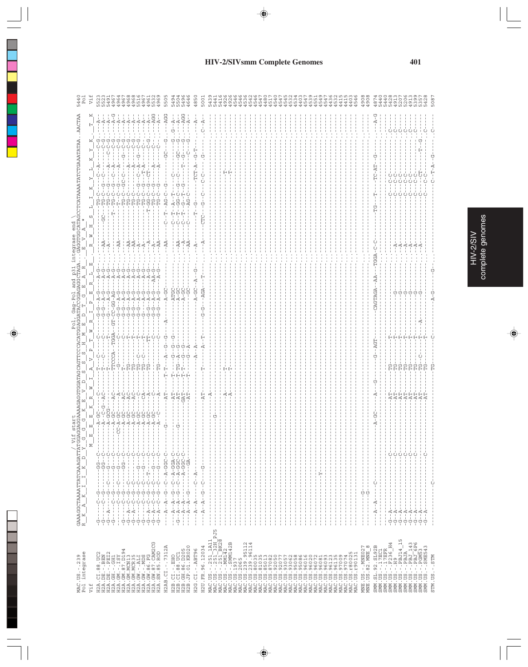| ì<br>ř<br><u>اق</u><br>j |
|--------------------------|
|--------------------------|

es

| 5440<br>$\overline{P}$                                                                                                                                                                                                                                                                                                                                                                                                               | Vif                      |                                                   | <u> ഗ ഗ ഗ</u>                                                                                           | $\overline{\phantom{a}}$     | 4<br>$\overline{\phantom{a}}$                                                 | $40000000$<br>$\overline{\phantom{a}}$ |                                                                                                 | 4 IU 4                                                |                                                                                 | ᆸ ♡ ♡<br>454                                                                                                                                                                                                                                                                                                                                                                   | 550                                                                              |                                                                    | ₩                                                      | ৩                                                                                  | 485                         | 500                                                                  | ጣ | 43<br>LO LO        | LΟ                                            | LΟ<br>₩ | O<br>4 | O<br>4 | O<br>4<br>₩ | $\circ$ $\circ$<br>$\overline{ }$ | ₩ | $\circ$ $\sim$<br>₩ | $\circ$ $\sim$<br>₩                          | ↵                                                     | 4                          | 4<br>4                                                                                                                                                                                                                                                                                                                                                                                                                                                                     | OPMN<br>4                                                                                                                                                                                                                                                                                                                                                                   | $\overline{ }$                      | せいし<br>↵                                       | 4<br>₩                                                                                                                                                                                                                                                                                                                                                                                                                | ₩                       | $O \vdash \neg \neg$<br>₩ | ₩                          | ↵      | 4<br>₩                                                                  | <b>GOLDLOW</b><br>₩                           | O<br>₩<br>₩                                                                                                                                                                                                                                                                                                                                                                                                                       | 4                                                                                                                                | $\infty$ $\infty$<br>$\frac{88}{99}$<br>₩                                                                  | 4<br>4                                                                                  | மம            | 00000R<br>LO                                                                           |                                                                                                                |     | ω m            |                           | 4554555                                                                                                              | ${}^{\circ}$<br>50 |
|--------------------------------------------------------------------------------------------------------------------------------------------------------------------------------------------------------------------------------------------------------------------------------------------------------------------------------------------------------------------------------------------------------------------------------------|--------------------------|---------------------------------------------------|---------------------------------------------------------------------------------------------------------|------------------------------|-------------------------------------------------------------------------------|----------------------------------------|-------------------------------------------------------------------------------------------------|-------------------------------------------------------|---------------------------------------------------------------------------------|--------------------------------------------------------------------------------------------------------------------------------------------------------------------------------------------------------------------------------------------------------------------------------------------------------------------------------------------------------------------------------|----------------------------------------------------------------------------------|--------------------------------------------------------------------|--------------------------------------------------------|------------------------------------------------------------------------------------|-----------------------------|----------------------------------------------------------------------|---|--------------------|-----------------------------------------------|---------|--------|--------|-------------|-----------------------------------|---|---------------------|----------------------------------------------|-------------------------------------------------------|----------------------------|----------------------------------------------------------------------------------------------------------------------------------------------------------------------------------------------------------------------------------------------------------------------------------------------------------------------------------------------------------------------------------------------------------------------------------------------------------------------------|-----------------------------------------------------------------------------------------------------------------------------------------------------------------------------------------------------------------------------------------------------------------------------------------------------------------------------------------------------------------------------|-------------------------------------|------------------------------------------------|-----------------------------------------------------------------------------------------------------------------------------------------------------------------------------------------------------------------------------------------------------------------------------------------------------------------------------------------------------------------------------------------------------------------------|-------------------------|---------------------------|----------------------------|--------|-------------------------------------------------------------------------|-----------------------------------------------|-----------------------------------------------------------------------------------------------------------------------------------------------------------------------------------------------------------------------------------------------------------------------------------------------------------------------------------------------------------------------------------------------------------------------------------|----------------------------------------------------------------------------------------------------------------------------------|------------------------------------------------------------------------------------------------------------|-----------------------------------------------------------------------------------------|---------------|----------------------------------------------------------------------------------------|----------------------------------------------------------------------------------------------------------------|-----|----------------|---------------------------|----------------------------------------------------------------------------------------------------------------------|--------------------|
|                                                                                                                                                                                                                                                                                                                                                                                                                                      | Н                        | $\mathbf{A}^-$                                    | $\rm A$<br>$\rm A$                                                                                      | $A - G$                      | $\stackrel{-}{\mathbb A}$<br>$\overline{A}$                                   | $\overline{A}$                         | $\stackrel{\scriptscriptstyle\mathsf{L}}{\scriptscriptstyle\mathsf{A}}$<br>$\frac{1}{\sqrt{2}}$ | $\stackrel{-}{\mathcal{A}}$                           | $\overline{A}$                                                                  | AGG<br>$\mathbf{A}$                                                                                                                                                                                                                                                                                                                                                            | AGG                                                                              | $\overline{5}$                                                     | $A - 7$<br>$A - 7$<br>$\mathbf{I}$                     | $\rm A$ –                                                                          | $\overline{A}$              | ₫<br>O                                                               |   |                    |                                               |         |        |        |             |                                   |   |                     |                                              |                                                       |                            |                                                                                                                                                                                                                                                                                                                                                                                                                                                                            |                                                                                                                                                                                                                                                                                                                                                                             |                                     |                                                |                                                                                                                                                                                                                                                                                                                                                                                                                       |                         |                           |                            |        |                                                                         |                                               |                                                                                                                                                                                                                                                                                                                                                                                                                                   |                                                                                                                                  |                                                                                                            | $- A - G$                                                                               |               | O                                                                                      | ↻                                                                                                              | ひひひ |                | U                         | τı                                                                                                                   |                    |
| integrase end \<br>GAGGTGGCATAGCCTCATAAAATATCTGAAATATAAAACTAA                                                                                                                                                                                                                                                                                                                                                                        | K<br>K                   | ひ<br>Ů                                            | ひ<br>U<br>$\cup$<br>$\frac{1}{1}$                                                                       | $\circ$                      | U<br>U<br>ပု                                                                  | <b>ひひひひひひひ</b><br>U                    | C<br>τ:<br>ပု                                                                                   | O                                                     | U                                                                               | 1<br>$\cup$<br>O                                                                                                                                                                                                                                                                                                                                                               | ひ<br>ပ္ပ                                                                         |                                                                    | υ υ<br>$\mathbf{I}$<br>$\blacksquare$<br>ن ن<br>ن      | ひ<br>ひ<br>$\mathbf{I}$<br>$\frac{1}{\sqrt{2}}$                                     | $\vdash$<br>ှ<br>ပု         | Ġ                                                                    |   |                    |                                               |         |        |        |             |                                   |   |                     |                                              |                                                       |                            |                                                                                                                                                                                                                                                                                                                                                                                                                                                                            |                                                                                                                                                                                                                                                                                                                                                                             |                                     |                                                |                                                                                                                                                                                                                                                                                                                                                                                                                       |                         |                           |                            |        |                                                                         |                                               |                                                                                                                                                                                                                                                                                                                                                                                                                                   |                                                                                                                                  |                                                                                                            | ပု                                                                                      |               |                                                                                        |                                                                                                                |     |                |                           |                                                                                                                      |                    |
|                                                                                                                                                                                                                                                                                                                                                                                                                                      | ᆸ<br>≻<br>×              | $\overline{A}$<br>l,<br>U                         | К<br>↻<br>ひ<br>ひ                                                                                        | A<br>U<br>ひ                  | R<br>$\mathbf{I}$<br>٠<br>U<br>¥<br>ひ                                         | A                                      | U<br>ひ                                                                                          | $A \land A$<br>턱<br>ひ                                 | п<br>5<br>ひ                                                                     | A<br>Æ<br>ひ<br>ひ                                                                                                                                                                                                                                                                                                                                                               | ひ                                                                                |                                                                    | υU<br>ひ                                                | Н<br>ひ                                                                             | $TCT - A$                   | U<br>U                                                               |   |                    |                                               | е       | ⊢      |        |             |                                   |   |                     |                                              |                                                       |                            |                                                                                                                                                                                                                                                                                                                                                                                                                                                                            |                                                                                                                                                                                                                                                                                                                                                                             |                                     |                                                |                                                                                                                                                                                                                                                                                                                                                                                                                       |                         |                           |                            |        |                                                                         |                                               |                                                                                                                                                                                                                                                                                                                                                                                                                                   |                                                                                                                                  |                                                                                                            | $-AT$<br>Ō<br>Н<br>1                                                                    |               | U<br>O                                                                                 | U<br>U<br>$\circ$<br>υ                                                                                         | U   | U<br><b>UU</b> | 5<br>U<br>ΰ               | U<br>Ü                                                                                                               | Ü                  |
|                                                                                                                                                                                                                                                                                                                                                                                                                                      | н<br>山                   | Ü<br>$\Gamma G^-$                                 | O<br>↻<br>tg-<br>ģ                                                                                      | ↻<br>-<br>É<br>Н             | $\frac{1}{\sqrt{2}}$<br>U<br>ģ                                                | U<br>PG.                               | ↻                                                                                               | υU<br>합법법                                             | υU<br>3<br>E                                                                    | U<br>r<br>C<br>rg<br>F                                                                                                                                                                                                                                                                                                                                                         | O<br>$AG -$                                                                      | Н                                                                  | 日口日<br>– −<br>ក្តី Ω −<br>ក្តី Ω Ω<br>$\vdash$         | ↻<br>$AC -$<br>н                                                                   | Ů<br>ь                      | U<br>Ġ                                                               |   |                    |                                               |         |        |        |             |                                   |   |                     |                                              |                                                       |                            |                                                                                                                                                                                                                                                                                                                                                                                                                                                                            |                                                                                                                                                                                                                                                                                                                                                                             |                                     |                                                |                                                                                                                                                                                                                                                                                                                                                                                                                       |                         |                           |                            |        |                                                                         |                                               |                                                                                                                                                                                                                                                                                                                                                                                                                                   |                                                                                                                                  |                                                                                                            | н<br>ن<br>F                                                                             |               | Ο                                                                                      |                                                                                                                |     | <b>ひひひひひひひ</b> |                           |                                                                                                                      |                    |
| ÷<br>К                                                                                                                                                                                                                                                                                                                                                                                                                               | C)<br>Ξ<br>Σ             |                                                   | -95-                                                                                                    | J.                           |                                                                               |                                        |                                                                                                 |                                                       |                                                                                 |                                                                                                                                                                                                                                                                                                                                                                                |                                                                                  |                                                                    | ひひひ                                                    | ٠<br>U                                                                             |                             | Ō<br>5                                                               |   |                    |                                               |         |        |        |             |                                   |   |                     |                                              |                                                       |                            |                                                                                                                                                                                                                                                                                                                                                                                                                                                                            |                                                                                                                                                                                                                                                                                                                                                                             |                                     |                                                |                                                                                                                                                                                                                                                                                                                                                                                                                       |                         |                           |                            |        |                                                                         |                                               |                                                                                                                                                                                                                                                                                                                                                                                                                                   |                                                                                                                                  |                                                                                                            |                                                                                         |               |                                                                                        |                                                                                                                |     |                |                           |                                                                                                                      |                    |
| 囯                                                                                                                                                                                                                                                                                                                                                                                                                                    | α<br>囸                   |                                                   | AA.<br>A,                                                                                               |                              | AA                                                                            | AA.                                    | AA.                                                                                             | $\overset{-}{\mathbb{A}}\overset{-}{\rightharpoonup}$ | $-4$                                                                            | $-AA$ –                                                                                                                                                                                                                                                                                                                                                                        | AA                                                                               |                                                                    | $AA - A$                                               | AA.                                                                                | Ŗ                           | К                                                                    |   |                    |                                               |         |        |        |             |                                   |   |                     |                                              |                                                       |                            |                                                                                                                                                                                                                                                                                                                                                                                                                                                                            |                                                                                                                                                                                                                                                                                                                                                                             |                                     |                                                |                                                                                                                                                                                                                                                                                                                                                                                                                       |                         |                           |                            |        |                                                                         |                                               |                                                                                                                                                                                                                                                                                                                                                                                                                                   |                                                                                                                                  |                                                                                                            | Ò<br>$-1 - 490 +$                                                                       |               |                                                                                        |                                                                                                                |     | みみみみみ          |                           |                                                                                                                      |                    |
|                                                                                                                                                                                                                                                                                                                                                                                                                                      | 占<br>α                   | ひ                                                 | -----------<br>AAAAAAAAA                                                                                | J.                           | п<br>٠                                                                        | ٠                                      |                                                                                                 |                                                       | $- A - C$                                                                       | ひひひひひひひひひひひ<br>$\overline{A}$                                                                                                                                                                                                                                                                                                                                                  |                                                                                  |                                                                    |                                                        |                                                                                    | К                           |                                                                      |   |                    |                                               |         |        |        |             |                                   |   |                     |                                              |                                                       |                            |                                                                                                                                                                                                                                                                                                                                                                                                                                                                            |                                                                                                                                                                                                                                                                                                                                                                             |                                     |                                                |                                                                                                                                                                                                                                                                                                                                                                                                                       |                         |                           |                            |        |                                                                         |                                               |                                                                                                                                                                                                                                                                                                                                                                                                                                   |                                                                                                                                  |                                                                                                            | $-AA$ -                                                                                 |               |                                                                                        |                                                                                                                |     |                |                           |                                                                                                                      |                    |
|                                                                                                                                                                                                                                                                                                                                                                                                                                      | 囸<br>$\mathsf{p}_4$<br>Н |                                                   |                                                                                                         |                              |                                                                               |                                        |                                                                                                 |                                                       |                                                                                 |                                                                                                                                                                                                                                                                                                                                                                                | $A-GC$                                                                           |                                                                    | ATGC<br>A-GC                                           | $A-GC$<br>U<br>U                                                                   | $A-GC$                      | $-AGA$<br>ひ<br>てり                                                    |   |                    |                                               |         |        |        |             |                                   |   |                     |                                              |                                                       |                            |                                                                                                                                                                                                                                                                                                                                                                                                                                                                            |                                                                                                                                                                                                                                                                                                                                                                             |                                     |                                                |                                                                                                                                                                                                                                                                                                                                                                                                                       |                         |                           |                            |        |                                                                         |                                               |                                                                                                                                                                                                                                                                                                                                                                                                                                   |                                                                                                                                  |                                                                                                            | CAGTAGA                                                                                 |               |                                                                                        |                                                                                                                |     | ひひひひひ          | てり                        |                                                                                                                      |                    |
|                                                                                                                                                                                                                                                                                                                                                                                                                                      | α<br>Σ<br>Н              | Ü                                                 | O<br>E                                                                                                  | 튱<br>٠<br>TGGA<br>U          | O                                                                             |                                        | $\mathsf{H}$<br>$\mathsf{H}$                                                                    | н                                                     | F                                                                               | υU                                                                                                                                                                                                                                                                                                                                                                             | てり                                                                               | ひ                                                                  |                                                        |                                                                                    |                             |                                                                      |   |                    |                                               |         |        |        |             |                                   |   |                     |                                              |                                                       |                            |                                                                                                                                                                                                                                                                                                                                                                                                                                                                            |                                                                                                                                                                                                                                                                                                                                                                             |                                     |                                                |                                                                                                                                                                                                                                                                                                                                                                                                                       |                         |                           |                            |        |                                                                         |                                               |                                                                                                                                                                                                                                                                                                                                                                                                                                   |                                                                                                                                  |                                                                                                            |                                                                                         |               |                                                                                        | е                                                                                                              | Н   | е              |                           |                                                                                                                      |                    |
| start<br>GaAGAGAAGAGTGGATAGCAGTTCCCACATGGGAGATACCGAGAGGCTAGA.<br>GaAGAGCTAGA V D S S S H M BAGGATACCGAGGCTAGA.                                                                                                                                                                                                                                                                                                                       | $\mathsf{p}_4$<br>⊳<br>К | U<br>$\mathbb H$                                  | ↻<br>$\overline{\phantom{a}}$<br>$\overline{\phantom{a}}$<br>$\mathbb H$<br>$\mathbb H$                 | Ţ<br>TTCCCA                  | $\overline{\phantom{a}}$<br>ΩÒ,<br>$\overline{\phantom{a}}$                   | tg-                                    | U<br>Ċ.<br>Ċ.                                                                                   | ↻<br>ΓĠ                                               | C<br>F                                                                          | ひ                                                                                                                                                                                                                                                                                                                                                                              | ひ<br>К                                                                           |                                                                    | <b>ひ ひ</b><br>$\frac{1}{4}$<br>いく<br>$-TG$             | ひ<br>К<br>$\mathbf{I}$<br>ţ<br>ひ<br>ひ                                              | К<br>Ą                      | К<br>E                                                               |   |                    |                                               | ⊢       | ⊢      |        |             |                                   |   |                     |                                              |                                                       |                            |                                                                                                                                                                                                                                                                                                                                                                                                                                                                            |                                                                                                                                                                                                                                                                                                                                                                             |                                     |                                                |                                                                                                                                                                                                                                                                                                                                                                                                                       |                         |                           |                            |        |                                                                         |                                               |                                                                                                                                                                                                                                                                                                                                                                                                                                   |                                                                                                                                  |                                                                                                            | $-AGT$<br>ひ                                                                             |               | ひ                                                                                      |                                                                                                                | 함함법 | Ġ              | Ġ<br>rg.                  | 입                                                                                                                    |                    |
|                                                                                                                                                                                                                                                                                                                                                                                                                                      | $\vdash$<br>Z            | $\cup$                                            |                                                                                                         |                              |                                                                               |                                        | $\cup$                                                                                          |                                                       |                                                                                 | Ą<br>U                                                                                                                                                                                                                                                                                                                                                                         | 턱                                                                                |                                                                    | HHH                                                    | 탁<br>е                                                                             |                             |                                                                      |   |                    |                                               |         | К      |        |             |                                   |   |                     |                                              |                                                       |                            |                                                                                                                                                                                                                                                                                                                                                                                                                                                                            |                                                                                                                                                                                                                                                                                                                                                                             |                                     |                                                |                                                                                                                                                                                                                                                                                                                                                                                                                       |                         |                           |                            |        |                                                                         |                                               |                                                                                                                                                                                                                                                                                                                                                                                                                                   |                                                                                                                                  |                                                                                                            | ᄞ<br>К                                                                                  |               |                                                                                        |                                                                                                                |     |                |                           |                                                                                                                      |                    |
|                                                                                                                                                                                                                                                                                                                                                                                                                                      | $\mathbbm{R}$<br>×<br>凹  | $\overline{5}$                                    | <b>AC</b><br>$\overline{\phantom{a}}$<br>ひ<br>$-50 -$<br>Ů                                              | AC.<br>J.<br>$-55$           | $-4C$<br>$-4C$<br>$-200 - 1$                                                  | $\blacksquare$                         | AC.<br>$\overset{\shortmid}{\mathrm{C}}$<br>ن<br>ט                                              | Ś<br>9<br>G                                           | $-\vec{A}$<br>- 0 0<br>- 0 0<br>- -                                             |                                                                                                                                                                                                                                                                                                                                                                                | Ę                                                                                | $\overline{AB}$                                                    | -AT<br>GAT                                             | RT                                                                                 |                             | Ę                                                                    | Ŗ |                    |                                               | К       |        |        |             |                                   |   |                     |                                              |                                                       |                            |                                                                                                                                                                                                                                                                                                                                                                                                                                                                            |                                                                                                                                                                                                                                                                                                                                                                             |                                     |                                                |                                                                                                                                                                                                                                                                                                                                                                                                                       |                         |                           |                            |        |                                                                         |                                               |                                                                                                                                                                                                                                                                                                                                                                                                                                   |                                                                                                                                  |                                                                                                            | ひりし                                                                                     |               | <b>RT</b>                                                                              | AT.<br>RТ                                                                                                      |     | <b>REER</b>    |                           | 턽                                                                                                                    |                    |
|                                                                                                                                                                                                                                                                                                                                                                                                                                      | 囯<br>囸<br>Σ              | Ą<br>٠                                            | К<br>K,                                                                                                 | Æ<br>U<br>$\mathfrak l$      | $\,$ I                                                                        | RARARAR<br>RARARAR                     |                                                                                                 |                                                       |                                                                                 | К                                                                                                                                                                                                                                                                                                                                                                              | てり                                                                               |                                                                    | ひ                                                      |                                                                                    |                             |                                                                      |   |                    |                                               |         |        |        |             |                                   |   |                     |                                              |                                                       |                            |                                                                                                                                                                                                                                                                                                                                                                                                                                                                            |                                                                                                                                                                                                                                                                                                                                                                             |                                     |                                                |                                                                                                                                                                                                                                                                                                                                                                                                                       |                         |                           |                            |        |                                                                         |                                               |                                                                                                                                                                                                                                                                                                                                                                                                                                   |                                                                                                                                  |                                                                                                            |                                                                                         |               |                                                                                        |                                                                                                                |     |                |                           |                                                                                                                      |                    |
|                                                                                                                                                                                                                                                                                                                                                                                                                                      |                          | J.<br>U<br>J,<br>ġ<br>ซี ซี<br>   <br>            | $\frac{1}{1}$<br>$\frac{1}{1}$<br>↻<br>C<br>ーー<br>Ť<br>$\frac{0}{1}$                                    | ÷<br>U<br>Ī<br>$\frac{c}{1}$ | $\frac{1}{4}$<br>$\frac{1}{4}$                                                | ł<br>÷                                 | $\frac{1}{4}$<br>÷<br>$\frac{1}{1}$<br>$\frac{1}{4}$<br>ひ                                       | ÷<br>÷<br>÷<br>ひ                                      | $\,$ I<br>$\mathbf{I}$<br>$\blacksquare$<br>$\mathbf{I}$<br>$\blacksquare$<br>J | $\blacksquare$<br>↻<br>U<br>$-1 - 5 - 1 - 1$                                                                                                                                                                                                                                                                                                                                   | U<br>$A - GGC -$                                                                 |                                                                    | - 1                                                    | F<br>٠                                                                             | ٠<br>J.                     | ひ                                                                    |   |                    |                                               |         |        |        |             |                                   |   |                     |                                              |                                                       | $\mathbf{I}$<br>٠<br>÷     | J.                                                                                                                                                                                                                                                                                                                                                                                                                                                                         |                                                                                                                                                                                                                                                                                                                                                                             |                                     |                                                |                                                                                                                                                                                                                                                                                                                                                                                                                       | $\mathbf{I}$            |                           |                            |        |                                                                         |                                               |                                                                                                                                                                                                                                                                                                                                                                                                                                   |                                                                                                                                  |                                                                                                            |                                                                                         | л             | $\mathbf{I}$<br>U                                                                      | $\mathbf{I}$<br>J.<br>U<br>U<br>t                                                                              | U   | J.<br>U<br>L.  | U                         | U                                                                                                                    |                    |
|                                                                                                                                                                                                                                                                                                                                                                                                                                      |                          | $\mathbf{I}$<br>$\mathbf{1}$<br>ひ                 | ı<br>$\frac{1}{2}$<br>ひ<br>ひ                                                                            | 444<br>↻                     | Ť.<br>U<br>ひ<br>ひ                                                             | $\frac{1}{4}$<br>U<br>÷<br>ひ           | Ť<br>$\blacksquare$<br>↻<br>U<br>÷<br>÷<br>ひ<br>ひ                                               | $\blacksquare$<br>$\,$ 1<br>↻<br>÷<br>ひ               | Ļ<br>U<br>$\mathbf{I}$<br>ひ                                                     | ↻<br>↻<br>÷<br>$\overline{\phantom{a}}$<br>ひ<br>ひ                                                                                                                                                                                                                                                                                                                              | ÷<br>U<br>-1<br>ひ                                                                | $\mathbf{I}$<br>ひ                                                  | υU<br>÷<br>ひ                                           | $\mathbf{I}$<br>٠<br>٠<br>ひ<br>1                                                   | $-A-$<br>U<br>÷             | $\frac{1}{1}$<br>$\begin{array}{c} 1 \\ 1 \\ 1 \end{array}$<br>ひ     | ٠ | I<br>J.<br>J.      |                                               |         |        |        |             |                                   |   |                     |                                              |                                                       |                            | f,<br>$\frac{1}{1}$                                                                                                                                                                                                                                                                                                                                                                                                                                                        |                                                                                                                                                                                                                                                                                                                                                                             |                                     | $\frac{1}{1}$                                  | $\frac{1}{2}$                                                                                                                                                                                                                                                                                                                                                                                                         |                         | $-1$ - $-1$               |                            |        | $\frac{1}{4}$<br>$\frac{1}{4}$                                          | Í<br>$\frac{1}{1}$                            | $\frac{1}{1}$                                                                                                                                                                                                                                                                                                                                                                                                                     | $\begin{array}{c} \begin{array}{c} \text{1} \\ \text{2} \\ \text{3} \\ \text{4} \end{array} \end{array}$<br>$\frac{1}{\sqrt{2}}$ | $\begin{array}{c} \begin{array}{c} \bullet \\ \bullet \\ \bullet \end{array} \end{array}$<br>$\frac{c}{1}$ | $- - - - - - - - - -$<br>Ť.                                                             | $\frac{1}{1}$ | $\begin{array}{c} \n\cdot & \cdot \\ \n\cdot & \cdot \\ \n\cdot & \cdot \n\end{array}$ | $\begin{array}{c} \n\cdot & \cdot & \cdot \\ \n\cdot & \cdot & \cdot \\ \n\cdot & \cdot & \cdot \n\end{array}$ |     | $\mathbf{I}$   |                           |                                                                                                                      | Ů                  |
| $\begin{array}{cccccc} \texttt{GAAAGGCTAAAATTATCAAAGATTATGGA} & \times & \texttt{if} & \texttt{X} & \texttt{I} & \texttt{X} & \texttt{I} & \texttt{I} & \texttt{I} & \texttt{I} & \texttt{I} & \texttt{I} & \texttt{I} & \texttt{I} & \texttt{I} & \texttt{I} & \texttt{I} & \texttt{I} & \texttt{I} & \texttt{I} & \texttt{I} & \texttt{I} & \texttt{I} & \texttt{I} & \texttt{I} & \texttt{I} & \texttt{I} & \texttt{I} & \texttt$ |                          | ÷<br>U<br>$\mathbb{I}$<br>L.<br>-<br>$\Gamma = 1$ | ÷<br>↻<br>$\blacksquare$<br>$\frac{1}{4}$<br>$\blacksquare$<br>$-4$<br>$\overline{\phantom{a}}$<br>ひひひひ | HHH<br>↻<br>Ħ<br>٠           | ↻<br>∪<br>-<br>٠<br>$\mathbb{I}=\mathbb{I}=\mathbb{I}$<br>$\mathbb{I}$<br>ט ו | U<br>÷<br>$-4$                         | ÷<br>÷<br>∪<br>C<br>$\frac{1}{4}$<br>$\frac{1}{4}$<br>$\mathbf{1}$<br>$\mathbf{L}$              | ÷<br>U<br>÷<br>- 11<br>- 11                           | ÷<br>U<br>Ť                                                                     | ÷<br>÷<br>U<br>U<br>Ť<br>$\frac{1}{4}$<br>$-24$<br>$-24$<br><b>ひひひひひひひ</b>                                                                                                                                                                                                                                                                                                     | Ť<br>K.<br>Ť<br>K.<br>$\overline{\phantom{a}}$<br>$\mathbf{I}$<br>$\blacksquare$ | $\frac{1}{1}$<br>Ŧ<br>$\mathbf{I}$<br>$\mathbb{I}$<br>$\mathbf{I}$ | ÷<br>$\mathbb{A} \, \mathbb{A}$<br>Ŧ<br>RR<br>$-5 - 7$ | $\frac{1}{4}$<br>$\mathbf{I}$<br>К<br>К<br>Ť<br>Ť<br>$-4$<br>$-1$<br>$\mathfrak l$ | ţ<br>Ą<br>$- - A - -$<br>J. | $\frac{1}{1}$<br>Ч<br>$-4 - i$<br>$\,$ I<br>$\overline{\phantom{a}}$ | 1 | J.<br>t<br>٠<br>J. | $\frac{1}{1}$<br>$\mathbf{I}$<br>$\mathbf{I}$ | t<br>J, | I      |        |             |                                   |   | J.                  | $\mathbf{I}$<br>$\mathbf{I}$<br>$\mathbf{I}$ | $\frac{1}{4}$<br>$\mathsf I$<br>1<br>٠<br>$\mathsf I$ | $\frac{1}{4}$<br>Ť<br>$\,$ | $\mathbf{I}$<br>$\mathsf I$<br>$\sf I$<br>$\frac{1}{1}$<br>$\mathsf I$<br>$\frac{1}{1}$<br>1<br>$\mathbf{I}$<br>$\begin{array}{c} \rule{0.2cm}{0.15mm} \rule{0.2cm}{0.15mm} \rule{0.2cm}{0.15mm} \rule{0.2cm}{0.15mm} \rule{0.2cm}{0.15mm} \rule{0.2cm}{0.15mm} \rule{0.2cm}{0.15mm} \rule{0.2cm}{0.15mm} \rule{0.2cm}{0.15mm} \rule{0.2cm}{0.15mm} \rule{0.2cm}{0.15mm} \rule{0.2cm}{0.15mm} \rule{0.2cm}{0.15mm} \rule{0.2cm}{0.15mm} \rule{0.2cm}{0.15mm} \rule{$<br>J. | $\frac{1}{1}$<br>$\begin{array}{c} \rule{0.2cm}{0.15mm} \rule{0.2cm}{0.15mm} \rule{0.2cm}{0.15mm} \rule{0.2cm}{0.15mm} \rule{0.2cm}{0.15mm} \rule{0.2cm}{0.15mm} \rule{0.2cm}{0.15mm} \rule{0.2cm}{0.15mm} \rule{0.2cm}{0.15mm} \rule{0.2cm}{0.15mm} \rule{0.2cm}{0.15mm} \rule{0.2cm}{0.15mm} \rule{0.2cm}{0.15mm} \rule{0.2cm}{0.15mm} \rule{0.2cm}{0.15mm} \rule{$<br>l, | $\frac{1}{4}$<br>j<br>$\frac{1}{1}$ | Ť<br>$\mathbf I$<br>$\,$<br>J.<br>$\mathbf{I}$ | $\begin{bmatrix} 1 & 0 & 0 \\ 0 & 1 & 0 \\ 0 & 0 & 0 \\ 0 & 0 & 0 \\ 0 & 0 & 0 \\ 0 & 0 & 0 \\ 0 & 0 & 0 \\ 0 & 0 & 0 & 0 \\ 0 & 0 & 0 & 0 \\ 0 & 0 & 0 & 0 \\ 0 & 0 & 0 & 0 & 0 \\ 0 & 0 & 0 & 0 & 0 \\ 0 & 0 & 0 & 0 & 0 \\ 0 & 0 & 0 & 0 & 0 & 0 \\ 0 & 0 & 0 & 0 & 0 & 0 \\ 0 & 0 & 0 & 0 & 0 & 0 & 0 \\ 0 & 0 & 0 & 0 & $<br>$\frac{1}{1}$<br>$\frac{1}{1}$<br>$\mathsf I$<br>J.<br>$\mathbf{I}$<br>$\mathbf{I}$ | $\frac{1}{1}$<br>$\,$ I | $\,$                      | $\frac{1}{4}$<br>$\,$ $\,$ | $\,$ I | $\frac{1}{4}$<br>÷<br>$\mathbf{I}$<br>J.<br>J.<br>$\,$ I<br>ı<br>$\,$ l | ł<br>I<br>J.<br>$\mathfrak l$<br>$\,$ I<br>J. | t<br>J.<br>J.                                                                                                                                                                                                                                                                                                                                                                                                                     | J.<br>$\mathbf{I}$                                                                                                               | $\mathfrak l$<br>t<br>$\mathbf{I}$<br>1                                                                    | ŧ<br>$\mathbf{I}$<br>$-4$<br>٠<br>J.<br>-A<br>1<br>$\sf I$<br>$\mathfrak l$<br>J.<br>J. | ٠<br>J.<br>٠  | $\mathbf{I}$<br>$\mathsf I$<br>К<br>יי יי<br>י<br>ひ                                    | $\mathbf{I}$<br>$\mathbf{I}$<br>$\mathbf{I}$<br>$\mathbf{I}$<br>K.<br>K.<br><b>ひ ひ</b>                         |     | -<br>L.        | ٠<br>$\blacksquare$<br>×. | $\begin{array}{ccccccccc}\nA & A & A & A & A \\ 1 & 1 & 1 & 1 & 1\n\end{array}$<br>ひひひひひ                             |                    |
|                                                                                                                                                                                                                                                                                                                                                                                                                                      |                          |                                                   |                                                                                                         |                              | $\mathbf{I}$                                                                  | $\mathbf{I}$                           |                                                                                                 |                                                       |                                                                                 |                                                                                                                                                                                                                                                                                                                                                                                |                                                                                  | т.                                                                 |                                                        |                                                                                    |                             |                                                                      |   | LN<br>더            |                                               |         |        |        |             |                                   |   |                     |                                              |                                                       |                            |                                                                                                                                                                                                                                                                                                                                                                                                                                                                            |                                                                                                                                                                                                                                                                                                                                                                             |                                     |                                                |                                                                                                                                                                                                                                                                                                                                                                                                                       |                         |                           |                            |        |                                                                         |                                               |                                                                                                                                                                                                                                                                                                                                                                                                                                   |                                                                                                                                  | $\sim \infty$                                                                                              |                                                                                         |               | H4                                                                                     | LN,<br>۳ļ                                                                                                      |     | $\mathbf{I}$   |                           |                                                                                                                      |                    |
| MAC.US.-.239<br>Pol integrase                                                                                                                                                                                                                                                                                                                                                                                                        |                          |                                                   |                                                                                                         |                              |                                                                               |                                        |                                                                                                 |                                                       |                                                                                 | $\begin{array}{l} \rm I2A,\,CL,\,88,\,UC2\\ \rm I2A,\,DB.-IBEN\\ \rm I2A,\,BB.\\ \rm I2A,\,CH.-I.SY\\ \rm I2A,\,CH.-I.SY\\ \rm I2A,\,CH.-I.SY\\ \rm I2A,\,CH.-I.SY\\ \rm I2A,\,CH,NOM11\\ \rm I2A,\,CH,NOM12\\ \rm I2A,\,CH,NOM12\\ \rm I2A,\,CH,-IMS\\ \rm I2A,\,CH,-IMS\\ \rm I2A,\,CH,-IMS\\ \rm I2A,\,CH,-IMS\\ \rm I2A,\,CH,NOM2\\ \rm I2A,\,CH,NOM2\\ \rm I2A,\,CH,NOM2$ | .7312A<br>$\mathbf{I}$<br>$\cdot$                                                |                                                                    |                                                        | H2B.CI.-.BHO<br>H2B.CI.88.UC1<br>H2B.CH.86.D205<br>H2B.JP.01.KR020                 | H2G.CI. - .ABT96            | H2U.FR.96.12034                                                      |   |                    |                                               |         |        |        |             |                                   |   |                     |                                              |                                                       |                            |                                                                                                                                                                                                                                                                                                                                                                                                                                                                            |                                                                                                                                                                                                                                                                                                                                                                             |                                     |                                                |                                                                                                                                                                                                                                                                                                                                                                                                                       |                         |                           |                            |        |                                                                         |                                               | $\begin{small} \texttt{MEC} & \texttt{UB} & \texttt{1} & \texttt{1} & \texttt{1} & \texttt{1} & \texttt{1} & \texttt{1} & \texttt{1} & \texttt{1} & \texttt{1} & \texttt{1} & \texttt{1} & \texttt{1} & \texttt{1} & \texttt{1} & \texttt{1} & \texttt{1} & \texttt{1} & \texttt{1} & \texttt{1} & \texttt{1} & \texttt{1} & \texttt{1} & \texttt{1} & \texttt{1} & \texttt{1} & \texttt{1} & \texttt{1} & \texttt{1} & \texttt{$ | .MNE02                                                                                                                           | MNE.US. - .MNE0:<br>MNE.US. 82.MNE                                                                         | SMM. SL. 92. SL92B<br>SMM. US. - . 17EC1<br>SMM. US. - . 17EFR<br>SMM. US. - . F236_H4  |               |                                                                                        | .PBJ14<br>$\ddot{H}$                                                                                           |     |                |                           | SNIM: US . - . pBJA<br>SNM: US . - . pBJ 143<br>SNM: US . - . PBJ 143<br>SNM: US . - . PGM53<br>SNM: US . - . SMB543 | <b>NLS</b><br>Ţ    |
|                                                                                                                                                                                                                                                                                                                                                                                                                                      | Vif                      |                                                   |                                                                                                         |                              |                                                                               |                                        |                                                                                                 |                                                       |                                                                                 |                                                                                                                                                                                                                                                                                                                                                                                | H2AB.CI                                                                          |                                                                    |                                                        |                                                                                    |                             |                                                                      |   |                    |                                               |         |        |        |             |                                   |   |                     |                                              |                                                       |                            |                                                                                                                                                                                                                                                                                                                                                                                                                                                                            |                                                                                                                                                                                                                                                                                                                                                                             |                                     |                                                |                                                                                                                                                                                                                                                                                                                                                                                                                       |                         |                           |                            |        |                                                                         |                                               |                                                                                                                                                                                                                                                                                                                                                                                                                                   |                                                                                                                                  |                                                                                                            |                                                                                         |               |                                                                                        | SMM.US.-.<br>SMM.US.--.                                                                                        |     |                |                           |                                                                                                                      | STM.US             |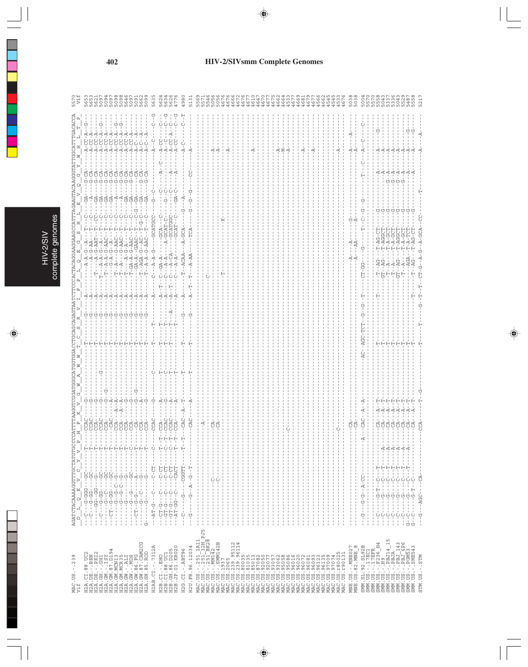|                                                                                                                                                                                                                                |                        | 6 6 6 6 0 0 0 0 0 0 0 0 0 0 0<br>N N U U Q Q Q Q Q Q Q Q Q O Q O<br>W W H L 4 L 8 8 6 0 L H U Q<br><u>IO IO IO IO IO IO IO IO IO IO IO IO IO</u>                                                                                                                                                                                                                                                             |                                      |                                                                                                                        |                |                       |   |                              |                                              |                                          |                                                                                                                         |                | 63                                         | <u> ഗ ഗ ഗ</u>                                                                                                                                                                                                                                                                                                                                                 |                                         |                                 | ₩                               | $\frac{8}{9}$                   |                       | 513                | w<br>ம் ம                                                                                                    |                                            | ₩                                                          |              |                          |           |    |                   |                             |                                           |         |  |  |  |  |        |  |  |                    |               |                   |           |   |         |                              |             | $\begin{smallmatrix} 0 & 3 \\ 0 & 0 \end{smallmatrix}$ |                                |                                                      |                                                                |              |                                          |                     |               |                            |              |                                                                            |             |                                     |                                               |                                                 |      |                                |
|--------------------------------------------------------------------------------------------------------------------------------------------------------------------------------------------------------------------------------|------------------------|--------------------------------------------------------------------------------------------------------------------------------------------------------------------------------------------------------------------------------------------------------------------------------------------------------------------------------------------------------------------------------------------------------------|--------------------------------------|------------------------------------------------------------------------------------------------------------------------|----------------|-----------------------|---|------------------------------|----------------------------------------------|------------------------------------------|-------------------------------------------------------------------------------------------------------------------------|----------------|--------------------------------------------|---------------------------------------------------------------------------------------------------------------------------------------------------------------------------------------------------------------------------------------------------------------------------------------------------------------------------------------------------------------|-----------------------------------------|---------------------------------|---------------------------------|---------------------------------|-----------------------|--------------------|--------------------------------------------------------------------------------------------------------------|--------------------------------------------|------------------------------------------------------------|--------------|--------------------------|-----------|----|-------------------|-----------------------------|-------------------------------------------|---------|--|--|--|--|--------|--|--|--------------------|---------------|-------------------|-----------|---|---------|------------------------------|-------------|--------------------------------------------------------|--------------------------------|------------------------------------------------------|----------------------------------------------------------------|--------------|------------------------------------------|---------------------|---------------|----------------------------|--------------|----------------------------------------------------------------------------|-------------|-------------------------------------|-----------------------------------------------|-------------------------------------------------|------|--------------------------------|
| TTAAGGTCGGGCAITGGGCACGGGCCCCCCCGGAATCTTCCCACTAGGGAAGGCGATTTAGAAGHGGGTATTGTGACACCACCACTTTGAGACACCACCACTTTGAGACACCACCACTTTGAGACACCACCACTTTGAGACACCACTTTGAGACACCACTTTGAGACACCACTTTGAGACACCACTTTGAGACACTTCGAGACACTTCGAGACACTTCGAGA | ひ<br>4                 |                                                                                                                                                                                                                                                                                                                                                                                                              | ひ<br>$\overset{+}{\circ}$            | AAAAAA<br>ָסְסְסְסְסְסְסְסְסְסְסְסְ<br>תַּתְתִּתְתִּתְתִּתְתָּת                                                        | έ              | めめ                    |   | งข่งข่                       |                                              | ÷                                        |                                                                                                                         |                | U<br>U<br>á                                | υύΰΰ<br>9<br>$\mathbf{A}^-$                                                                                                                                                                                                                                                                                                                                   | $-2 - -C$<br>$- A - CC$<br>$\mathbf{A}$ |                                 | U<br>K.                         | K.                              |                       |                    |                                                                                                              |                                            |                                                            |              |                          |           |    |                   |                             |                                           |         |  |  |  |  | Σ      |  |  |                    |               |                   |           |   |         |                              |             | К                                                      |                                |                                                      |                                                                |              | τŋ<br>Æ                                  | Æ                   |               | К                          |              |                                                                            |             |                                     | てり<br>AAAA                                    |                                                 |      |                                |
|                                                                                                                                                                                                                                | චී                     | 99999999999                                                                                                                                                                                                                                                                                                                                                                                                  |                                      | <b>QQQQQQQQ</b>                                                                                                        |                |                       |   |                              |                                              | $\mathbf{I}$                             | ggg<br>ΰΰ<br>GA<br>GA                                                                                                   |                |                                            | U<br>Æ<br>ひひひひ                                                                                                                                                                                                                                                                                                                                                |                                         | ΚK                              |                                 |                                 |                       |                    |                                                                                                              |                                            |                                                            |              |                          |           |    |                   |                             |                                           |         |  |  |  |  |        |  |  |                    |               |                   |           |   |         |                              |             |                                                        |                                |                                                      |                                                                |              |                                          |                     |               |                            |              | めめめめ                                                                       |             |                                     | AAAAAAA                                       |                                                 |      |                                |
|                                                                                                                                                                                                                                | යි<br>U                |                                                                                                                                                                                                                                                                                                                                                                                                              |                                      | 222244222<br><b>UUUUUUUUUU</b>                                                                                         |                |                       |   |                              |                                              | ひ                                        | ひ                                                                                                                       |                | ひ<br>GCATGCC                               |                                                                                                                                                                                                                                                                                                                                                               | ひ<br>GCAT-C-                            |                                 | යි                              |                                 |                       |                    |                                                                                                              |                                            |                                                            |              |                          |           |    |                   |                             |                                           |         |  |  |  |  |        |  |  |                    |               |                   |           |   |         |                              |             | C٦                                                     |                                | てり<br>U<br>⊢                                         |                                                                |              | 5                                        |                     |               |                            |              | ひひひひひひひ                                                                    |             |                                     |                                               |                                                 |      |                                |
|                                                                                                                                                                                                                                | K,<br>し - i<br>4<br>K. | K.                                                                                                                                                                                                                                                                                                                                                                                                           |                                      | בול להלט לה<br>המשפט לא המשפט<br>המשפט לא המשפט<br>בילי להלשי<br>$\begin{array}{c}\nA \\ A \\ A\n\end{array}$<br>みみひみみ |                |                       |   | $-4 - 2 - 1$<br>$-6 - 4 - 1$ |                                              | $-GBA$<br>$-4$                           | $-34 - 5$<br>$A - A - A - I$                                                                                            |                | ひ<br>$A - A$                               | GCA<br>$-B-A$<br>- A - A -<br>- A - CA<br>- A - A -                                                                                                                                                                                                                                                                                                           | á                                       |                                 | GCA.                            | <b>GCA</b><br><b>ACAA</b>       |                       | $A - A$            |                                                                                                              |                                            |                                                            |              |                          |           |    |                   |                             |                                           |         |  |  |  |  |        |  |  |                    |               |                   |           |   |         |                              |             | Æ                                                      | К                              |                                                      |                                                                |              | $-AG-$<br>ひ                              | ひ<br>$\overline{A}$ | $-AGGCI$      | К                          |              | $- A - G C T$<br>$- A - G C T$<br>$- A - G C T$<br>$\triangle$ $\triangle$ |             | К                                   |                                               |                                                 |      |                                |
|                                                                                                                                                                                                                                | Æ                      | <b>αααααααααα</b>                                                                                                                                                                                                                                                                                                                                                                                            |                                      | $\vdash$                                                                                                               | <b>1 HHH</b>   |                       |   |                              |                                              | S                                        | FЕ                                                                                                                      |                | U                                          | U                                                                                                                                                                                                                                                                                                                                                             | ↻<br>K.                                 | U<br>E<br>Æ                     |                                 |                                 |                       |                    |                                                                                                              |                                            |                                                            |              |                          |           |    |                   |                             |                                           |         |  |  |  |  |        |  |  |                    |               |                   |           |   |         |                              |             |                                                        |                                | ひりー<br>5                                             |                                                                |              | 부                                        | ÷<br>튱              |               |                            |              | 부부팅                                                                        |             |                                     |                                               |                                                 |      |                                |
|                                                                                                                                                                                                                                | ひ                      |                                                                                                                                                                                                                                                                                                                                                                                                              | <b>ひ ひ</b>                           | ひ                                                                                                                      | <b>ひ ひ ひ ひ</b> |                       |   | <b>----</b>                  | ひ                                            | <b>ひひ</b><br>$\mathbf{H}$                |                                                                                                                         |                | н                                          | н                                                                                                                                                                                                                                                                                                                                                             |                                         | 66 F                            |                                 | τŋ                              |                       |                    |                                                                                                              |                                            |                                                            |              |                          |           |    |                   |                             |                                           |         |  |  |  |  |        |  |  |                    |               |                   |           |   |         |                              |             |                                                        |                                | ף ק<br>TCT<br>AGC.                                   |                                                                |              |                                          |                     |               |                            |              |                                                                            |             |                                     |                                               |                                                 |      |                                |
|                                                                                                                                                                                                                                |                        |                                                                                                                                                                                                                                                                                                                                                                                                              |                                      |                                                                                                                        |                |                       |   |                              |                                              |                                          |                                                                                                                         |                |                                            | $\vdash$                                                                                                                                                                                                                                                                                                                                                      |                                         | UHH                             |                                 | E                               |                       |                    |                                                                                                              |                                            |                                                            |              |                          |           |    |                   |                             |                                           |         |  |  |  |  |        |  |  |                    |               |                   |           |   |         |                              |             |                                                        |                                | 2<br>S                                               |                                                                |              |                                          |                     |               |                            |              |                                                                            |             |                                     |                                               |                                                 |      |                                |
|                                                                                                                                                                                                                                | ひ<br>てり                |                                                                                                                                                                                                                                                                                                                                                                                                              |                                      | てり<br>ひひひえええひひひえひ                                                                                                      |                |                       |   |                              |                                              | ひ                                        |                                                                                                                         |                | てり                                         | Æ                                                                                                                                                                                                                                                                                                                                                             | ひく                                      |                                 | Æ                               |                                 |                       |                    |                                                                                                              |                                            |                                                            |              |                          |           |    |                   |                             |                                           |         |  |  |  |  |        |  |  |                    |               |                   |           |   |         |                              |             |                                                        |                                | К                                                    |                                                                |              |                                          |                     |               | н                          | $\mathsf{H}$ | н<br>みみみみみみ                                                                |             |                                     |                                               |                                                 |      |                                |
|                                                                                                                                                                                                                                |                        | Ħ                                                                                                                                                                                                                                                                                                                                                                                                            | HH                                   | 333333333                                                                                                              | н              | $GA -$<br>HHH         |   |                              | U                                            | $\mathbb H$                              | HH                                                                                                                      |                | - 11<br>U                                  | 부부부                                                                                                                                                                                                                                                                                                                                                           | U                                       | UH                              | CCA<br>Ţ                        | CAC<br>י<br>ד                   |                       | š                  |                                                                                                              |                                            |                                                            | G            | E                        |           |    |                   |                             |                                           |         |  |  |  |  |        |  |  |                    |               |                   |           |   |         |                              |             | б                                                      | S                              | CAC<br>$-4$                                          | $\mathbf{I}$<br>$\,$                                           |              | - 1                                      | - 1                 |               | $\mathbf{I}$               | $\mathbf{I}$ | SSSSSS                                                                     | $1 - 1 - 1$ |                                     |                                               |                                                 |      |                                |
|                                                                                                                                                                                                                                | $-1$<br>J.<br>1<br>٠   | ÷<br>$\mathbb{R}^n \times \mathbb{R}^n$<br>$\frac{1}{2}$ , $\frac{1}{2}$                                                                                                                                                                                                                                                                                                                                     | $\frac{1}{1}$<br>$\mathbf{I}$<br>- 1 | $\overline{\phantom{a}}$<br>---------<br>iii                                                                           | Ť.             | $\Gamma = \Gamma = 1$ | ÷ | ÷<br>- 11                    | Ť<br>$\mathbf{I}$<br>$\mathbb{I}$<br>$-95 -$ | ÷<br>$\mathbf{I}$<br>$\overline{1}$<br>Ť | ÷<br>- 11<br>$\Gamma = \Gamma = 1$<br>$\frac{1}{5}$ d d<br>ΤT<br>$\mathbf{1}$                                           |                | ÷<br>$\mathbf{I}$<br>$C-CT$<br>Ť           | ÷,<br>$\mathbf{I}$                                                                                                                                                                                                                                                                                                                                            | ÷<br>$\mathbf{I}$                       | $\frac{1}{1}$<br>$\blacksquare$ | $\frac{1}{4}$<br>$\blacksquare$ | $- -$ CGGTT                     | $- -3 - -2 - -6 - -1$ | $\mathbf{I}$<br>j. | $\mathbf{I}$<br>$\mathbf{I}$<br>$\frac{1}{1}$                                                                | $\frac{1}{4}$<br>$\blacksquare$            | $\overline{\phantom{a}}$<br>$\frac{1}{1}$<br>$\frac{1}{4}$ | ł            | $\frac{1}{4}$            |           |    |                   |                             |                                           |         |  |  |  |  |        |  |  |                    |               |                   |           |   |         |                              |             |                                                        | $\frac{1}{4}$<br>$\frac{1}{4}$ | J.<br>٠<br>$\mathsf I$<br>$\frac{1}{4}$<br>$\,$ $\,$ | $\blacksquare$<br>$\overline{\phantom{a}}$<br>$\blacksquare$   |              |                                          | $\mathbf{I}$        |               | $\frac{1}{1}$<br>1111      |              | $\mathbf{I}$                                                               | ı           | 1<br>$\sf I$<br>$\mathbf{I}$        | $\frac{1}{4}$<br>ééééé<br>1111111<br>$-1 - 1$ | U<br>Ť                                          |      | E                              |
| AGATCTACAAAAGGTTIGCTATGTGCCC $\frac{p}{p-1} - \frac{q}{q-1} - \frac{q}{q-1}$                                                                                                                                                   | ن<br>۱                 | $\begin{array}{c} 0 & 0 \\ 1 & 1 \end{array}$                                                                                                                                                                                                                                                                                                                                                                |                                      |                                                                                                                        |                |                       |   |                              |                                              | $\frac{1}{4}$<br>੍ਹਾਂ<br>$-10 - 10 - 6$  | $\mathbf{I}$<br>$-1$<br>$-1$<br>$-1$<br>$-1$<br>$-1$<br>$\begin{array}{c} 1 \\ 1 \\ 1 \\ 0 \end{array}$<br>$\mathbf{I}$ | $\blacksquare$ | $\frac{1}{4}$<br>$\frac{1}{1}$<br>$-7AT-G$ | $\begin{array}{r} -1 - 5 - 5 = 0 \\ -1 - 5 = 0 \\ -1 - 5 = 0 \\ -1 - 5 = 0 \\ -1 - 5 = 0 \\ -1 - 5 = 0 \\ -1 - 5 = 0 \\ -1 - 5 = 0 \\ -1 - 5 = 0 \\ -1 - 5 = 0 \\ -1 - 5 = 0 \\ -1 - 5 = 0 \\ -1 - 5 = 0 \\ -1 - 5 = 0 \\ -1 - 5 = 0 \\ -1 - 5 = 0 \\ -1 - 5 = 0 \\ -1 - 5 = 0 \\ -1 - 5 = 0 \\ -1 - 5 = 0 \\ -1 - 5 = 0 \\ -1 - 5 = 0 \\ -1 - 5 = 0 \\ -1 -$ |                                         | $\frac{1}{4}$                   | $\frac{1}{4}$                   | $-9 - -$<br>$\mathsf I$<br>$-1$ | $-1 - 5 - -$          |                    | $\mathbb{I}=\mathbb{I}$                                                                                      | $\blacksquare$<br>$\overline{\phantom{a}}$ | $\mathsf I$                                                | $\mathbb{I}$ | $\mathsf I$              | $\,$ $\,$ | J, | ı<br>$\mathbf{I}$ | $\mathbf{I}$<br>$\mathsf I$ | $\frac{1}{1}$<br>$\overline{\phantom{a}}$ | J.<br>٠ |  |  |  |  | $\,$ I |  |  | $\frac{1}{1}$<br>1 | $\frac{1}{1}$ | 1<br>$\mathbf{I}$ | $\,$ $\,$ | ٠ | ı<br>f, | $\frac{1}{1}$<br>$\mathsf I$ | $\mathbf I$ | ţ<br>$\,$<br>$\mathbf{I}$<br>٠<br>$\mathsf I$          |                                | $-10 - -10 - -10 - -10$<br>$\dot{c}$                 | п<br>J<br>$\overline{\phantom{a}}$<br>$\blacksquare$<br>$\,$ I | $\mathbf{I}$ | $G - T$<br>$\mathbf{I}$<br>$\frac{1}{1}$ | f,<br>$\frac{1}{4}$ | $\frac{1}{2}$ | Ħ<br>$\frac{1}{1}$         |              | $\mathbf{1}$                                                               | $\,$        | $\mathsf I$<br>$\mathbf{I}$<br>$\,$ | ٠<br>יט<br>יווי<br>$\mathbf{I}$<br>t<br>ひ     | $-5 - 5 - 1$<br>$\mathsf I$<br>$\mathsf I$<br>ひ |      | $\blacksquare$<br>$-AGC$<br>U. |
| G<br>.23<br>$\mathsf I$<br>$\bullet$<br>MAC.US.<br>Vif                                                                                                                                                                         |                        | $\begin{array}{l} \text{H2A, CL 18, UC} \\ \text{H2A, DB} \\ \text{H2A, L12} \\ \text{H2A, GL} \\ \text{H2A, GL} \\ \text{H2A, GL} \\ \text{H2A, CH} \\ \text{H2A, CM} \\ \text{H2A, CM} \\ \text{H2A, CM} \\ \text{H2A, CM} \\ \text{H2A, CM} \\ \text{H2A, GW} \\ \text{H2A, GW} \\ \text{H2A, GW} \\ \text{H2A, GW} \\ \text{H2A, GW} \\ \text{H2A, GW} \\ \text{H2A, GW} \\ \text{H2A, GW} \\ \text{H2A$ |                                      |                                                                                                                        |                |                       |   |                              |                                              |                                          |                                                                                                                         |                | $-.7312A$<br>H2AB.CI.                      | H2B.CI.-.EHO<br>H2B.CI.88.UC1<br>H2B.GH.86.D205<br>H2B.JP.01.KR020                                                                                                                                                                                                                                                                                            |                                         |                                 | $\circ$                         | $-.ABT96$<br>H2G.CI.            |                       | H2U. FR. 96.12034  | 3. -.251_1A11<br>3. -.251_32H_PJ5<br>3. -.251_BK28<br>3. -.MM142<br>MAC.US.<br>MAC.US.<br>MAC.US.<br>MAC.US. |                                            |                                                            |              | $\mathbf{\underline{m}}$ |           |    |                   |                             | 5112<br>6114                              |         |  |  |  |  |        |  |  |                    |               |                   |           |   |         |                              |             | MNE.US. - MNE027<br>MNE.US. 82.MNE_8                   |                                |                                                      |                                                                |              |                                          |                     |               | LO<br>$\frac{1}{\epsilon}$ |              |                                                                            |             |                                     |                                               |                                                 | STM. | <b>STM</b>                     |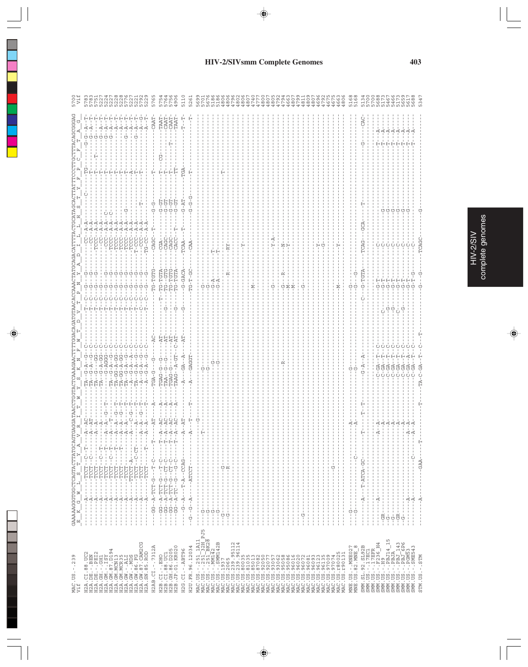| É<br>ĭ | denomes<br>ĭ<br>ì<br>Ĕ |
|--------|------------------------|
|--------|------------------------|

| $-0.239$<br>MAC.US.<br>Vif                                                                                                                                                                                                                                                                                                                                                                                                                     | GAAAAAGGGTGGCTCAGTACTTATGCAGT<br>E K G W L S T Y A V                                                                                                                                                                                                                                                                                                                       |         | UAOUPATAAQOQAOAAADDFAOAOOPFFFFFDAAQAAOEDAFDDFD                                                                                                                                                                                                                                                                                                                                                   |                                                                                                 |                                     |                                                |                              |
|------------------------------------------------------------------------------------------------------------------------------------------------------------------------------------------------------------------------------------------------------------------------------------------------------------------------------------------------------------------------------------------------------------------------------------------------|----------------------------------------------------------------------------------------------------------------------------------------------------------------------------------------------------------------------------------------------------------------------------------------------------------------------------------------------------------------------------|---------|--------------------------------------------------------------------------------------------------------------------------------------------------------------------------------------------------------------------------------------------------------------------------------------------------------------------------------------------------------------------------------------------------|-------------------------------------------------------------------------------------------------|-------------------------------------|------------------------------------------------|------------------------------|
|                                                                                                                                                                                                                                                                                                                                                                                                                                                |                                                                                                                                                                                                                                                                                                                                                                            |         |                                                                                                                                                                                                                                                                                                                                                                                                  |                                                                                                 |                                     |                                                |                              |
|                                                                                                                                                                                                                                                                                                                                                                                                                                                |                                                                                                                                                                                                                                                                                                                                                                            |         |                                                                                                                                                                                                                                                                                                                                                                                                  |                                                                                                 |                                     | К                                              |                              |
| $\begin{array}{l} \rm I2A,\,CL,\,88\,,\,UC2\\ \rm I2A,\,DB.-IBEN\\ \rm I2A,\,GB.-GBID\\ \rm I2A,\,GH.-GBID\\ \rm I2A,\,GH.-L,\,SS\\ \rm I2A,\,CH,-L,\,SS\\ \rm I2A,\,CH,\,CH,\,ST3\\ \rm I2A,\,CH,\,CH,\,ST3\\ \rm I2A,\,CH,\,CH,\,ST3\\ \rm I2A,\,GH,-L,\,HS\\ \rm I2A,\,GH,-L,\,HS\\ \rm I2A,\,GH,-L,\,HS\\ \rm I2A,\,SH,\,CH,\,CH,\,ST\\ \rm I2A,\,SH,\,CH,\,CH,\,ST\\ \rm I2$                                                              | $\begin{picture}(18,10) \put(0,0){\vector(1,0){100}} \put(10,0){\vector(1,0){100}} \put(10,0){\vector(1,0){100}} \put(10,0){\vector(1,0){100}} \put(10,0){\vector(1,0){100}} \put(10,0){\vector(1,0){100}} \put(10,0){\vector(1,0){100}} \put(10,0){\vector(1,0){100}} \put(10,0){\vector(1,0){100}} \put(10,0){\vector(1,0){100}} \put(10,0){\vector(1,0){100}} \$        |         | $\begin{array}{l} \vec{12} \\ \vec{13} \\ \vec{14} \\ \vec{15} \\ \vec{16} \\ \vec{17} \\ \vec{18} \\ \vec{19} \\ \vec{10} \\ \vec{10} \\ \vec{10} \\ \vec{10} \\ \vec{10} \\ \vec{10} \\ \vec{10} \\ \vec{10} \\ \vec{10} \\ \vec{10} \\ \vec{10} \\ \vec{10} \\ \vec{10} \\ \vec{10} \\ \vec{10} \\ \vec{10} \\ \vec{10} \\ \vec{10} \\ \vec{10} \\ \vec{10} \\ \vec{10} \\ \vec{10} \\ \vec{$ | ひひひ‐ひひひひひひひ<br><b>ひひひひひひひひひひひひ</b><br><u> ひひひひひひひひ</u><br>,,,,,,,,,,,,                          | 223322<br>2222222222222222222222222 | לַטְ פְּלִי פְּלִי פְּלִי פְּלִי<br>לְחִי<br>H |                              |
|                                                                                                                                                                                                                                                                                                                                                                                                                                                |                                                                                                                                                                                                                                                                                                                                                                            |         |                                                                                                                                                                                                                                                                                                                                                                                                  |                                                                                                 |                                     |                                                |                              |
|                                                                                                                                                                                                                                                                                                                                                                                                                                                |                                                                                                                                                                                                                                                                                                                                                                            |         |                                                                                                                                                                                                                                                                                                                                                                                                  |                                                                                                 |                                     |                                                |                              |
|                                                                                                                                                                                                                                                                                                                                                                                                                                                |                                                                                                                                                                                                                                                                                                                                                                            |         |                                                                                                                                                                                                                                                                                                                                                                                                  |                                                                                                 | υU                                  |                                                |                              |
|                                                                                                                                                                                                                                                                                                                                                                                                                                                |                                                                                                                                                                                                                                                                                                                                                                            |         |                                                                                                                                                                                                                                                                                                                                                                                                  |                                                                                                 |                                     |                                                |                              |
|                                                                                                                                                                                                                                                                                                                                                                                                                                                |                                                                                                                                                                                                                                                                                                                                                                            | ひ       |                                                                                                                                                                                                                                                                                                                                                                                                  |                                                                                                 |                                     |                                                |                              |
|                                                                                                                                                                                                                                                                                                                                                                                                                                                |                                                                                                                                                                                                                                                                                                                                                                            |         |                                                                                                                                                                                                                                                                                                                                                                                                  | <b>THE REPORT OF A 49 YEAR OLD</b>                                                              | ひ                                   | 3333                                           |                              |
|                                                                                                                                                                                                                                                                                                                                                                                                                                                |                                                                                                                                                                                                                                                                                                                                                                            | ひ       |                                                                                                                                                                                                                                                                                                                                                                                                  |                                                                                                 |                                     |                                                |                              |
|                                                                                                                                                                                                                                                                                                                                                                                                                                                |                                                                                                                                                                                                                                                                                                                                                                            |         |                                                                                                                                                                                                                                                                                                                                                                                                  |                                                                                                 |                                     | てり                                             |                              |
|                                                                                                                                                                                                                                                                                                                                                                                                                                                |                                                                                                                                                                                                                                                                                                                                                                            | 88888   |                                                                                                                                                                                                                                                                                                                                                                                                  | <b>ひ ひ</b>                                                                                      |                                     |                                                |                              |
|                                                                                                                                                                                                                                                                                                                                                                                                                                                |                                                                                                                                                                                                                                                                                                                                                                            |         |                                                                                                                                                                                                                                                                                                                                                                                                  |                                                                                                 |                                     |                                                |                              |
| $-.7312A$<br>H2AB.CI.                                                                                                                                                                                                                                                                                                                                                                                                                          | ÷<br>۲<br>-<br>$\mathsf I$<br>$-1 - 1 - -$<br>$-15DT - 6 - 6 - 6$                                                                                                                                                                                                                                                                                                          | Æ       |                                                                                                                                                                                                                                                                                                                                                                                                  |                                                                                                 | Ů                                   | CAAT                                           | 576                          |
|                                                                                                                                                                                                                                                                                                                                                                                                                                                |                                                                                                                                                                                                                                                                                                                                                                            |         |                                                                                                                                                                                                                                                                                                                                                                                                  |                                                                                                 |                                     |                                                |                              |
|                                                                                                                                                                                                                                                                                                                                                                                                                                                | ÷<br>J.<br>f,<br>---GG--A-TCT-G-<br>---GG--A-TCT-G-<br>---GG--A-TCT-G-                                                                                                                                                                                                                                                                                                     | ⊄ፋፋ     | $\begin{array}{r} - A T \\ - A T \\ - A T \\ - A T \end{array}$                                                                                                                                                                                                                                                                                                                                  |                                                                                                 | めめ                                  |                                                | <b>IN ON O</b><br><b>NNN</b> |
|                                                                                                                                                                                                                                                                                                                                                                                                                                                | ÷<br>$\mathbf{I}$                                                                                                                                                                                                                                                                                                                                                          |         |                                                                                                                                                                                                                                                                                                                                                                                                  |                                                                                                 | 명령<br>대학<br>CAG                     | <b>CAAT</b>                                    |                              |
|                                                                                                                                                                                                                                                                                                                                                                                                                                                | ÷<br>$\mathbf{I}$<br>$\mathsf I$                                                                                                                                                                                                                                                                                                                                           |         |                                                                                                                                                                                                                                                                                                                                                                                                  |                                                                                                 |                                     | <b>CAAT</b>                                    |                              |
| $\circ$<br>H2B.CI.-. EHO<br>H2B.CI.88.UC1<br>H2B.CH.86.D205<br>H2B.JP.01.KR020                                                                                                                                                                                                                                                                                                                                                                 | - 11<br>éééé<br>Tit<br>$\mathbf{I}$<br>$\mathbf{I}$<br>$- -5C - -4 - 5C - -6$<br>$\,$ I                                                                                                                                                                                                                                                                                    |         | - TGAG - G - - G - -<br>- TAA - - G - - G - -<br>- TGAG - G - - - - - - -<br>- TAAG - A - G T -                                                                                                                                                                                                                                                                                                  | $\begin{array}{ll} 1.01 & -0.01 \\ 0.01 & -0.01 \\ 0.01 & -0.01 \\ 0.01 & -0.01 \\ \end{array}$ | CACC                                | TAAT                                           | $\sigma$                     |
| H2G.CI. - . ABT96                                                                                                                                                                                                                                                                                                                                                                                                                              | $\mathsf I$<br>$\mathbf{I}$<br>-<br>0400--4-1-1-1-1-1-<br>$\,$ $\,$                                                                                                                                                                                                                                                                                                        |         | $\vec{AB}$<br>d.                                                                                                                                                                                                                                                                                                                                                                                 | GACA<br>$\overset{1}{\circ}$                                                                    | ά<br>TCAA                           |                                                | 511                          |
|                                                                                                                                                                                                                                                                                                                                                                                                                                                |                                                                                                                                                                                                                                                                                                                                                                            |         |                                                                                                                                                                                                                                                                                                                                                                                                  |                                                                                                 |                                     |                                                |                              |
| H2U. FR. 96.12034                                                                                                                                                                                                                                                                                                                                                                                                                              | $\,$ $\,$<br>$\mathbf{I}$<br>$\mathbf I$<br>$\blacksquare$                                                                                                                                                                                                                                                                                                                 |         | GAGGT                                                                                                                                                                                                                                                                                                                                                                                            | $T - GC$<br>ಕ                                                                                   |                                     |                                                | 526                          |
|                                                                                                                                                                                                                                                                                                                                                                                                                                                | $\mathsf I$<br>$\mathsf{I}$<br>×.                                                                                                                                                                                                                                                                                                                                          |         |                                                                                                                                                                                                                                                                                                                                                                                                  |                                                                                                 |                                     |                                                |                              |
| LN.<br>7d<br>$\begin{small} \texttt{MEC} & \texttt{US} & \texttt{1} & \texttt{1} & \texttt{1} & \texttt{1} & \texttt{1} & \texttt{1} & \texttt{1} & \texttt{1} & \texttt{1} & \texttt{1} & \texttt{1} & \texttt{1} & \texttt{1} & \texttt{1} & \texttt{1} & \texttt{1} & \texttt{1} & \texttt{1} & \texttt{1} & \texttt{1} & \texttt{1} & \texttt{1} & \texttt{1} & \texttt{1} & \texttt{1} & \texttt{1} & \texttt{1} & \texttt{1} & \texttt{$ | $-1$<br>$\,$ $\,$<br>$\overline{\phantom{a}}$                                                                                                                                                                                                                                                                                                                              |         | めめ                                                                                                                                                                                                                                                                                                                                                                                               | 9999                                                                                            |                                     |                                                |                              |
|                                                                                                                                                                                                                                                                                                                                                                                                                                                | $\mathbf{I}$                                                                                                                                                                                                                                                                                                                                                               |         |                                                                                                                                                                                                                                                                                                                                                                                                  |                                                                                                 |                                     |                                                |                              |
|                                                                                                                                                                                                                                                                                                                                                                                                                                                | $\blacksquare$<br>$\mathbf{I}$                                                                                                                                                                                                                                                                                                                                             |         | てり                                                                                                                                                                                                                                                                                                                                                                                               |                                                                                                 |                                     |                                                |                              |
|                                                                                                                                                                                                                                                                                                                                                                                                                                                |                                                                                                                                                                                                                                                                                                                                                                            |         |                                                                                                                                                                                                                                                                                                                                                                                                  | $\triangle$ $\triangle$                                                                         |                                     |                                                |                              |
|                                                                                                                                                                                                                                                                                                                                                                                                                                                | $\mathbb{I}$<br>$\mathbf{I}$                                                                                                                                                                                                                                                                                                                                               |         |                                                                                                                                                                                                                                                                                                                                                                                                  |                                                                                                 |                                     |                                                |                              |
|                                                                                                                                                                                                                                                                                                                                                                                                                                                | $\frac{1}{1}$<br>$\ddot{\circ}$ $\ddot{\circ}$                                                                                                                                                                                                                                                                                                                             |         |                                                                                                                                                                                                                                                                                                                                                                                                  |                                                                                                 |                                     |                                                |                              |
|                                                                                                                                                                                                                                                                                                                                                                                                                                                | $\frac{1}{4}$                                                                                                                                                                                                                                                                                                                                                              |         |                                                                                                                                                                                                                                                                                                                                                                                                  |                                                                                                 |                                     |                                                |                              |
|                                                                                                                                                                                                                                                                                                                                                                                                                                                | $\frac{1}{1}$<br>$\mathbf{I}$<br>$\mathbf I$<br>$\mathbf I$                                                                                                                                                                                                                                                                                                                |         |                                                                                                                                                                                                                                                                                                                                                                                                  |                                                                                                 |                                     |                                                |                              |
|                                                                                                                                                                                                                                                                                                                                                                                                                                                | $\frac{1}{1}$<br>$\begin{array}{c} \hline \end{array}$<br>$\frac{1}{1}$                                                                                                                                                                                                                                                                                                    |         |                                                                                                                                                                                                                                                                                                                                                                                                  |                                                                                                 |                                     |                                                |                              |
|                                                                                                                                                                                                                                                                                                                                                                                                                                                |                                                                                                                                                                                                                                                                                                                                                                            |         |                                                                                                                                                                                                                                                                                                                                                                                                  |                                                                                                 |                                     |                                                |                              |
|                                                                                                                                                                                                                                                                                                                                                                                                                                                |                                                                                                                                                                                                                                                                                                                                                                            |         |                                                                                                                                                                                                                                                                                                                                                                                                  |                                                                                                 |                                     |                                                |                              |
|                                                                                                                                                                                                                                                                                                                                                                                                                                                |                                                                                                                                                                                                                                                                                                                                                                            |         |                                                                                                                                                                                                                                                                                                                                                                                                  |                                                                                                 |                                     |                                                |                              |
|                                                                                                                                                                                                                                                                                                                                                                                                                                                |                                                                                                                                                                                                                                                                                                                                                                            |         |                                                                                                                                                                                                                                                                                                                                                                                                  |                                                                                                 |                                     |                                                |                              |
|                                                                                                                                                                                                                                                                                                                                                                                                                                                |                                                                                                                                                                                                                                                                                                                                                                            |         |                                                                                                                                                                                                                                                                                                                                                                                                  |                                                                                                 |                                     |                                                |                              |
|                                                                                                                                                                                                                                                                                                                                                                                                                                                |                                                                                                                                                                                                                                                                                                                                                                            |         |                                                                                                                                                                                                                                                                                                                                                                                                  |                                                                                                 |                                     |                                                |                              |
|                                                                                                                                                                                                                                                                                                                                                                                                                                                |                                                                                                                                                                                                                                                                                                                                                                            |         |                                                                                                                                                                                                                                                                                                                                                                                                  |                                                                                                 |                                     |                                                |                              |
|                                                                                                                                                                                                                                                                                                                                                                                                                                                |                                                                                                                                                                                                                                                                                                                                                                            |         |                                                                                                                                                                                                                                                                                                                                                                                                  |                                                                                                 |                                     |                                                |                              |
|                                                                                                                                                                                                                                                                                                                                                                                                                                                |                                                                                                                                                                                                                                                                                                                                                                            |         |                                                                                                                                                                                                                                                                                                                                                                                                  |                                                                                                 |                                     |                                                |                              |
|                                                                                                                                                                                                                                                                                                                                                                                                                                                |                                                                                                                                                                                                                                                                                                                                                                            |         |                                                                                                                                                                                                                                                                                                                                                                                                  |                                                                                                 |                                     |                                                |                              |
|                                                                                                                                                                                                                                                                                                                                                                                                                                                |                                                                                                                                                                                                                                                                                                                                                                            |         |                                                                                                                                                                                                                                                                                                                                                                                                  | $\approx$<br>ひと                                                                                 | $\geq$                              |                                                |                              |
|                                                                                                                                                                                                                                                                                                                                                                                                                                                | <b>++++++++++++++++++++++++++++</b>                                                                                                                                                                                                                                                                                                                                        |         |                                                                                                                                                                                                                                                                                                                                                                                                  |                                                                                                 |                                     |                                                |                              |
|                                                                                                                                                                                                                                                                                                                                                                                                                                                | $\mathsf I$<br>$\blacksquare$                                                                                                                                                                                                                                                                                                                                              |         |                                                                                                                                                                                                                                                                                                                                                                                                  |                                                                                                 |                                     |                                                |                              |
|                                                                                                                                                                                                                                                                                                                                                                                                                                                | $\,$ I                                                                                                                                                                                                                                                                                                                                                                     |         |                                                                                                                                                                                                                                                                                                                                                                                                  |                                                                                                 |                                     |                                                |                              |
|                                                                                                                                                                                                                                                                                                                                                                                                                                                |                                                                                                                                                                                                                                                                                                                                                                            |         |                                                                                                                                                                                                                                                                                                                                                                                                  |                                                                                                 |                                     |                                                |                              |
|                                                                                                                                                                                                                                                                                                                                                                                                                                                |                                                                                                                                                                                                                                                                                                                                                                            |         |                                                                                                                                                                                                                                                                                                                                                                                                  |                                                                                                 |                                     |                                                |                              |
|                                                                                                                                                                                                                                                                                                                                                                                                                                                | $\mathbf{I}$                                                                                                                                                                                                                                                                                                                                                               |         |                                                                                                                                                                                                                                                                                                                                                                                                  |                                                                                                 |                                     |                                                |                              |
|                                                                                                                                                                                                                                                                                                                                                                                                                                                |                                                                                                                                                                                                                                                                                                                                                                            |         |                                                                                                                                                                                                                                                                                                                                                                                                  |                                                                                                 |                                     |                                                |                              |
|                                                                                                                                                                                                                                                                                                                                                                                                                                                | $\mathsf I$                                                                                                                                                                                                                                                                                                                                                                |         |                                                                                                                                                                                                                                                                                                                                                                                                  |                                                                                                 |                                     |                                                |                              |
|                                                                                                                                                                                                                                                                                                                                                                                                                                                |                                                                                                                                                                                                                                                                                                                                                                            |         |                                                                                                                                                                                                                                                                                                                                                                                                  |                                                                                                 |                                     |                                                |                              |
|                                                                                                                                                                                                                                                                                                                                                                                                                                                | $\frac{1}{1}$<br>$\begin{array}{c} 1 \\ 1 \\ 1 \\ 1 \\ 1 \end{array}$                                                                                                                                                                                                                                                                                                      |         |                                                                                                                                                                                                                                                                                                                                                                                                  |                                                                                                 |                                     |                                                |                              |
|                                                                                                                                                                                                                                                                                                                                                                                                                                                |                                                                                                                                                                                                                                                                                                                                                                            |         |                                                                                                                                                                                                                                                                                                                                                                                                  |                                                                                                 |                                     |                                                |                              |
|                                                                                                                                                                                                                                                                                                                                                                                                                                                |                                                                                                                                                                                                                                                                                                                                                                            |         |                                                                                                                                                                                                                                                                                                                                                                                                  |                                                                                                 |                                     |                                                |                              |
|                                                                                                                                                                                                                                                                                                                                                                                                                                                | $\frac{1}{4}$<br>$\mathbf{I}$<br>$\mathsf I$<br>$\frac{1}{4}$                                                                                                                                                                                                                                                                                                              |         |                                                                                                                                                                                                                                                                                                                                                                                                  |                                                                                                 |                                     |                                                |                              |
|                                                                                                                                                                                                                                                                                                                                                                                                                                                | $\frac{1}{2}$<br>ţ                                                                                                                                                                                                                                                                                                                                                         |         |                                                                                                                                                                                                                                                                                                                                                                                                  |                                                                                                 |                                     |                                                |                              |
|                                                                                                                                                                                                                                                                                                                                                                                                                                                | J.<br>$\,$ I                                                                                                                                                                                                                                                                                                                                                               |         |                                                                                                                                                                                                                                                                                                                                                                                                  |                                                                                                 |                                     |                                                |                              |
| MNE.US. - MNE027<br>MNE.US. 82.MNE_8                                                                                                                                                                                                                                                                                                                                                                                                           | $\frac{1}{6}$                                                                                                                                                                                                                                                                                                                                                              |         |                                                                                                                                                                                                                                                                                                                                                                                                  |                                                                                                 |                                     |                                                | $rac{6}{16}$                 |
|                                                                                                                                                                                                                                                                                                                                                                                                                                                | Ť<br>$- - - -$<br>$\frac{1}{1}$<br>$\bar{1}$<br>$C - C$                                                                                                                                                                                                                                                                                                                    |         |                                                                                                                                                                                                                                                                                                                                                                                                  |                                                                                                 |                                     |                                                |                              |
|                                                                                                                                                                                                                                                                                                                                                                                                                                                | $\,$ I<br>$\mathbb{I}$<br>$\mathbf{I}$<br>$\mathsf{I}$                                                                                                                                                                                                                                                                                                                     |         |                                                                                                                                                                                                                                                                                                                                                                                                  | TGTA                                                                                            |                                     |                                                |                              |
|                                                                                                                                                                                                                                                                                                                                                                                                                                                | $\mathbf I$<br>$\mathbf{I}$<br>$\mathsf I$<br>f,<br>Ť<br>$\,$<br>$\mathbf{I}$<br>$\mathsf I$<br>J.<br>J.<br>$\mathbf I$<br>$\mathsf I$<br>$\blacksquare$<br>-<br>$\mathsf I$<br>$\mathsf I$                                                                                                                                                                                |         |                                                                                                                                                                                                                                                                                                                                                                                                  |                                                                                                 |                                     |                                                |                              |
| SMM.SL.92.SL92B<br>SMM.US.-.17EC1<br>SMM.US.-.17EFR                                                                                                                                                                                                                                                                                                                                                                                            | ł<br>$\frac{1}{1}$<br>$\overline{\phantom{a}}$                                                                                                                                                                                                                                                                                                                             |         |                                                                                                                                                                                                                                                                                                                                                                                                  |                                                                                                 |                                     |                                                | HLLOH44H000                  |
|                                                                                                                                                                                                                                                                                                                                                                                                                                                | $\frac{1}{1}$<br>J.<br>J.                                                                                                                                                                                                                                                                                                                                                  |         |                                                                                                                                                                                                                                                                                                                                                                                                  |                                                                                                 |                                     |                                                |                              |
| SMM: USC 12236-144<br>SMM: USC 189<br>SMM: USC BBLJ1<br>SMM: USC BBLJ1<br>SMM: USC PBLJ 143<br>SMM: USC SMES43<br>SMM: USC SMES43                                                                                                                                                                                                                                                                                                              | $- -A - -$<br>$\frac{1}{2}$<br>J.                                                                                                                                                                                                                                                                                                                                          | みみみみみみみ | ひひひひひひ<br>88888<br>לללללל<br>לשפט לא לא<br>ללללל                                                                                                                                                                                                                                                                                                                                                 | <u>ዋዋዋዋዋዋዋ</u>                                                                                  | ひひひひひ                               | 11111111                                       |                              |
|                                                                                                                                                                                                                                                                                                                                                                                                                                                | $\frac{1}{1}$<br>Ì<br>٠<br>J.<br>$-GR - -$                                                                                                                                                                                                                                                                                                                                 |         |                                                                                                                                                                                                                                                                                                                                                                                                  |                                                                                                 |                                     |                                                |                              |
| LN.<br>$\frac{4}{1}$                                                                                                                                                                                                                                                                                                                                                                                                                           | $\mathbf{I}$<br>$\blacksquare$<br>$\frac{1}{\sqrt{2}}$                                                                                                                                                                                                                                                                                                                     |         |                                                                                                                                                                                                                                                                                                                                                                                                  |                                                                                                 |                                     |                                                |                              |
|                                                                                                                                                                                                                                                                                                                                                                                                                                                | $\mathbf I$<br>$\begin{bmatrix} 1 & 1 & 1 \\ 1 & 1 & 1 \\ 1 & 1 & 1 \\ 1 & 1 & 1 \\ 1 & 1 & 1 \\ 1 & 1 & 1 \\ 1 & 1 & 1 \\ 1 & 1 & 1 \\ 1 & 1 & 1 \\ 1 & 1 & 1 \\ 1 & 1 & 1 \\ 1 & 1 & 1 \\ 1 & 1 & 1 \\ 1 & 1 & 1 \\ 1 & 1 & 1 & 1 \\ 1 & 1 & 1 & 1 \\ 1 & 1 & 1 & 1 \\ 1 & 1 & 1 & 1 \\ 1 & 1 & 1 & 1 \\ 1 & 1 & 1 & 1 \\ 1 & 1 & 1 & 1 \\ 1 & $<br>$\frac{1}{\sqrt{2}}$ |         |                                                                                                                                                                                                                                                                                                                                                                                                  |                                                                                                 |                                     |                                                |                              |
|                                                                                                                                                                                                                                                                                                                                                                                                                                                | $\frac{1}{1}$<br>$---GR - -$                                                                                                                                                                                                                                                                                                                                               |         |                                                                                                                                                                                                                                                                                                                                                                                                  | 88888<br>후후공                                                                                    |                                     |                                                |                              |
|                                                                                                                                                                                                                                                                                                                                                                                                                                                | $\frac{1}{\sqrt{2}}$                                                                                                                                                                                                                                                                                                                                                       |         |                                                                                                                                                                                                                                                                                                                                                                                                  |                                                                                                 |                                     |                                                |                              |
|                                                                                                                                                                                                                                                                                                                                                                                                                                                | $\mathbf I$<br>$\mathbf{I}$<br>J.<br>$\frac{1}{4}$<br>$- - A - -$                                                                                                                                                                                                                                                                                                          |         |                                                                                                                                                                                                                                                                                                                                                                                                  |                                                                                                 | ひひひひひひ                              | <b>PPPPPP</b>                                  |                              |
|                                                                                                                                                                                                                                                                                                                                                                                                                                                | $\frac{1}{4}$                                                                                                                                                                                                                                                                                                                                                              |         |                                                                                                                                                                                                                                                                                                                                                                                                  |                                                                                                 |                                     |                                                |                              |
|                                                                                                                                                                                                                                                                                                                                                                                                                                                | J.<br>$\mathbf{I}$<br>Ì<br>$-1$ $-1$ $-1$ $-1$ $-1$<br>t<br>$- -A - -$<br>J.<br>٠<br>$\,$                                                                                                                                                                                                                                                                                  |         |                                                                                                                                                                                                                                                                                                                                                                                                  |                                                                                                 |                                     |                                                |                              |
| STM<br>STM.US                                                                                                                                                                                                                                                                                                                                                                                                                                  | --GAA--------<br>$- A -$                                                                                                                                                                                                                                                                                                                                                   |         |                                                                                                                                                                                                                                                                                                                                                                                                  |                                                                                                 |                                     |                                                |                              |
|                                                                                                                                                                                                                                                                                                                                                                                                                                                |                                                                                                                                                                                                                                                                                                                                                                            |         |                                                                                                                                                                                                                                                                                                                                                                                                  |                                                                                                 |                                     |                                                |                              |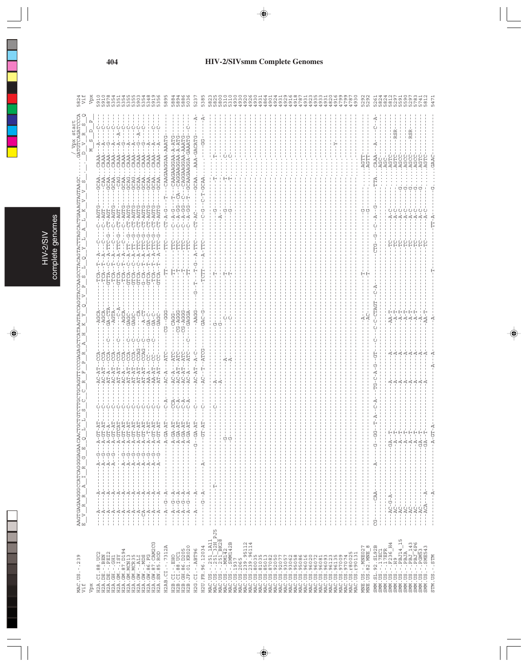| O                                                                                           |                             |                                                                                                                                                                                                                                 |                                                                                                                                                                           | m m w                                                    | ↵                                                             | $\infty$ on                                                                                                                                           |                                                                                                                                                                                                                                                                                                                                                                                                                                                                                                                                                                                                                                                                                                                                                                      | 589                                                                                                       |                                                                                                                                                                                                                                                                            |                                                          |                                                    | 523<br>4                                                                                                                                                                                                           | 538                                                                                                                                                                                                                                                                                                                                                                                                                                                                                                                                                                                                                                                                |                                                                                                                                                                                                                                                                                                                                                                                                                                                                              |                                                                                                                |                                                 |                                                                                                                                  |                                                                                       |                                                                       |                                                                                                                                                                                                                                                                                                                                                                            |                                                                        |          |                        | ጣ                   | O<br>$\infty$ |              |                                          | m m m |                                                     | $\circ$                                                                    | ৩<br>ጣ | ወ ኮ                                                                                                                                                                                                                                                                                                                                                                                         |                                                                                                                                                               |                                          |                                                                                          | $Q \cap Q \cap H$                                   |                                                                                                                                                                                                              |                                      |                                                                                       |                                                                                                   |                                     |                                                                                                                                                               |                                                                                                                    | 547                                                           |
|---------------------------------------------------------------------------------------------|-----------------------------|---------------------------------------------------------------------------------------------------------------------------------------------------------------------------------------------------------------------------------|---------------------------------------------------------------------------------------------------------------------------------------------------------------------------|----------------------------------------------------------|---------------------------------------------------------------|-------------------------------------------------------------------------------------------------------------------------------------------------------|----------------------------------------------------------------------------------------------------------------------------------------------------------------------------------------------------------------------------------------------------------------------------------------------------------------------------------------------------------------------------------------------------------------------------------------------------------------------------------------------------------------------------------------------------------------------------------------------------------------------------------------------------------------------------------------------------------------------------------------------------------------------|-----------------------------------------------------------------------------------------------------------|----------------------------------------------------------------------------------------------------------------------------------------------------------------------------------------------------------------------------------------------------------------------------|----------------------------------------------------------|----------------------------------------------------|--------------------------------------------------------------------------------------------------------------------------------------------------------------------------------------------------------------------|--------------------------------------------------------------------------------------------------------------------------------------------------------------------------------------------------------------------------------------------------------------------------------------------------------------------------------------------------------------------------------------------------------------------------------------------------------------------------------------------------------------------------------------------------------------------------------------------------------------------------------------------------------------------|------------------------------------------------------------------------------------------------------------------------------------------------------------------------------------------------------------------------------------------------------------------------------------------------------------------------------------------------------------------------------------------------------------------------------------------------------------------------------|----------------------------------------------------------------------------------------------------------------|-------------------------------------------------|----------------------------------------------------------------------------------------------------------------------------------|---------------------------------------------------------------------------------------|-----------------------------------------------------------------------|----------------------------------------------------------------------------------------------------------------------------------------------------------------------------------------------------------------------------------------------------------------------------------------------------------------------------------------------------------------------------|------------------------------------------------------------------------|----------|------------------------|---------------------|---------------|--------------|------------------------------------------|-------|-----------------------------------------------------|----------------------------------------------------------------------------|--------|---------------------------------------------------------------------------------------------------------------------------------------------------------------------------------------------------------------------------------------------------------------------------------------------------------------------------------------------------------------------------------------------|---------------------------------------------------------------------------------------------------------------------------------------------------------------|------------------------------------------|------------------------------------------------------------------------------------------|-----------------------------------------------------|--------------------------------------------------------------------------------------------------------------------------------------------------------------------------------------------------------------|--------------------------------------|---------------------------------------------------------------------------------------|---------------------------------------------------------------------------------------------------|-------------------------------------|---------------------------------------------------------------------------------------------------------------------------------------------------------------|--------------------------------------------------------------------------------------------------------------------|---------------------------------------------------------------|
| U<br>↻                                                                                      |                             | $- A -$                                                                                                                                                                                                                         | U                                                                                                                                                                         |                                                          |                                                               | К                                                                                                                                                     |                                                                                                                                                                                                                                                                                                                                                                                                                                                                                                                                                                                                                                                                                                                                                                      |                                                                                                           |                                                                                                                                                                                                                                                                            |                                                          | U                                                  |                                                                                                                                                                                                                    |                                                                                                                                                                                                                                                                                                                                                                                                                                                                                                                                                                                                                                                                    |                                                                                                                                                                                                                                                                                                                                                                                                                                                                              |                                                                                                                |                                                 |                                                                                                                                  |                                                                                       |                                                                       |                                                                                                                                                                                                                                                                                                                                                                            |                                                                        |          |                        |                     |               |              |                                          |       |                                                     |                                                                            |        |                                                                                                                                                                                                                                                                                                                                                                                             |                                                                                                                                                               |                                          |                                                                                          |                                                     |                                                                                                                                                                                                              |                                      |                                                                                       |                                                                                                   |                                     |                                                                                                                                                               |                                                                                                                    | GAAC                                                          |
| GCAA<br>-CAA                                                                                |                             |                                                                                                                                                                                                                                 |                                                                                                                                                                           |                                                          |                                                               | GCAA                                                                                                                                                  |                                                                                                                                                                                                                                                                                                                                                                                                                                                                                                                                                                                                                                                                                                                                                                      |                                                                                                           |                                                                                                                                                                                                                                                                            |                                                          |                                                    | GCAA.                                                                                                                                                                                                              | -GCAA                                                                                                                                                                                                                                                                                                                                                                                                                                                                                                                                                                                                                                                              |                                                                                                                                                                                                                                                                                                                                                                                                                                                                              |                                                                                                                |                                                 |                                                                                                                                  |                                                                                       |                                                                       |                                                                                                                                                                                                                                                                                                                                                                            |                                                                        |          |                        |                     |               |              |                                          |       |                                                     |                                                                            |        |                                                                                                                                                                                                                                                                                                                                                                                             |                                                                                                                                                               |                                          |                                                                                          |                                                     |                                                                                                                                                                                                              |                                      | ひ                                                                                     |                                                                                                   |                                     | C                                                                                                                                                             |                                                                                                                    |                                                               |
|                                                                                             |                             |                                                                                                                                                                                                                                 |                                                                                                                                                                           |                                                          |                                                               | $-AGTG$<br>5                                                                                                                                          |                                                                                                                                                                                                                                                                                                                                                                                                                                                                                                                                                                                                                                                                                                                                                                      | $CT - A - G$                                                                                              |                                                                                                                                                                                                                                                                            | ŏ                                                        |                                                    | $-AC$<br>5                                                                                                                                                                                                         | ؋<br>U                                                                                                                                                                                                                                                                                                                                                                                                                                                                                                                                                                                                                                                             | ひ                                                                                                                                                                                                                                                                                                                                                                                                                                                                            | K,                                                                                                             |                                                 |                                                                                                                                  |                                                                                       |                                                                       |                                                                                                                                                                                                                                                                                                                                                                            |                                                                        |          |                        |                     |               |              |                                          |       |                                                     |                                                                            |        |                                                                                                                                                                                                                                                                                                                                                                                             |                                                                                                                                                               | ひ                                        |                                                                                          |                                                     |                                                                                                                                                                                                              |                                      |                                                                                       |                                                                                                   |                                     |                                                                                                                                                               |                                                                                                                    | Ė                                                             |
|                                                                                             |                             | ပု<br>U                                                                                                                                                                                                                         | U                                                                                                                                                                         | ひ                                                        |                                                               | ٢<br><b>PHC</b>                                                                                                                                       |                                                                                                                                                                                                                                                                                                                                                                                                                                                                                                                                                                                                                                                                                                                                                                      | TTC                                                                                                       | TTC                                                                                                                                                                                                                                                                        | <b>PEC</b>                                               |                                                    | $A-TTC$                                                                                                                                                                                                            | $A-TTC$                                                                                                                                                                                                                                                                                                                                                                                                                                                                                                                                                                                                                                                            |                                                                                                                                                                                                                                                                                                                                                                                                                                                                              |                                                                                                                |                                                 |                                                                                                                                  |                                                                                       |                                                                       |                                                                                                                                                                                                                                                                                                                                                                            |                                                                        |          |                        |                     |               |              |                                          |       |                                                     |                                                                            |        |                                                                                                                                                                                                                                                                                                                                                                                             |                                                                                                                                                               |                                          |                                                                                          |                                                     |                                                                                                                                                                                                              | U                                    | U                                                                                     | U                                                                                                 |                                     | ↻                                                                                                                                                             |                                                                                                                    |                                                               |
| TCA<br>TCA                                                                                  |                             |                                                                                                                                                                                                                                 |                                                                                                                                                                           |                                                          |                                                               |                                                                                                                                                       |                                                                                                                                                                                                                                                                                                                                                                                                                                                                                                                                                                                                                                                                                                                                                                      |                                                                                                           |                                                                                                                                                                                                                                                                            |                                                          |                                                    | י<br>י                                                                                                                                                                                                             | TCTT                                                                                                                                                                                                                                                                                                                                                                                                                                                                                                                                                                                                                                                               |                                                                                                                                                                                                                                                                                                                                                                                                                                                                              |                                                                                                                |                                                 |                                                                                                                                  |                                                                                       |                                                                       |                                                                                                                                                                                                                                                                                                                                                                            |                                                                        |          |                        |                     |               |              |                                          |       |                                                     |                                                                            |        |                                                                                                                                                                                                                                                                                                                                                                                             |                                                                                                                                                               |                                          |                                                                                          |                                                     |                                                                                                                                                                                                              |                                      |                                                                                       |                                                                                                   |                                     |                                                                                                                                                               |                                                                                                                    |                                                               |
|                                                                                             |                             | $-5 - 7 -$                                                                                                                                                                                                                      | GAGC-                                                                                                                                                                     | <b>GAGC</b>                                              |                                                               | $G-A-C$                                                                                                                                               |                                                                                                                                                                                                                                                                                                                                                                                                                                                                                                                                                                                                                                                                                                                                                                      | UUU - - UU                                                                                                | CAGG-                                                                                                                                                                                                                                                                      | CG-AGGG                                                  | -GAGG                                              | -AAGG                                                                                                                                                                                                              | $-$ GAC $-$                                                                                                                                                                                                                                                                                                                                                                                                                                                                                                                                                                                                                                                        | Ġ                                                                                                                                                                                                                                                                                                                                                                                                                                                                            |                                                                                                                |                                                 |                                                                                                                                  |                                                                                       |                                                                       |                                                                                                                                                                                                                                                                                                                                                                            |                                                                        |          |                        |                     |               |              |                                          |       |                                                     |                                                                            |        |                                                                                                                                                                                                                                                                                                                                                                                             |                                                                                                                                                               |                                          |                                                                                          |                                                     |                                                                                                                                                                                                              |                                      |                                                                                       |                                                                                                   |                                     | К                                                                                                                                                             | F<br>AA                                                                                                            |                                                               |
| S                                                                                           | CCA                         | CCA                                                                                                                                                                                                                             | CCA                                                                                                                                                                       | CCA                                                      |                                                               | Ů                                                                                                                                                     |                                                                                                                                                                                                                                                                                                                                                                                                                                                                                                                                                                                                                                                                                                                                                                      | ATC                                                                                                       |                                                                                                                                                                                                                                                                            | $-AT$                                                    |                                                    | $A-C$                                                                                                                                                                                                              | $-ATC$                                                                                                                                                                                                                                                                                                                                                                                                                                                                                                                                                                                                                                                             |                                                                                                                                                                                                                                                                                                                                                                                                                                                                              |                                                                                                                |                                                 |                                                                                                                                  |                                                                                       |                                                                       |                                                                                                                                                                                                                                                                                                                                                                            |                                                                        |          |                        |                     |               |              |                                          |       |                                                     |                                                                            |        |                                                                                                                                                                                                                                                                                                                                                                                             |                                                                                                                                                               |                                          |                                                                                          |                                                     |                                                                                                                                                                                                              |                                      |                                                                                       |                                                                                                   |                                     |                                                                                                                                                               |                                                                                                                    |                                                               |
|                                                                                             | O                           | τ                                                                                                                                                                                                                               | U                                                                                                                                                                         | O                                                        |                                                               | ↻                                                                                                                                                     |                                                                                                                                                                                                                                                                                                                                                                                                                                                                                                                                                                                                                                                                                                                                                                      | $C - A$                                                                                                   | CCA                                                                                                                                                                                                                                                                        |                                                          |                                                    | U                                                                                                                                                                                                                  | O                                                                                                                                                                                                                                                                                                                                                                                                                                                                                                                                                                                                                                                                  | К                                                                                                                                                                                                                                                                                                                                                                                                                                                                            |                                                                                                                |                                                 |                                                                                                                                  |                                                                                       |                                                                       |                                                                                                                                                                                                                                                                                                                                                                            |                                                                        |          |                        |                     |               |              |                                          |       |                                                     |                                                                            |        |                                                                                                                                                                                                                                                                                                                                                                                             |                                                                                                                                                               |                                          |                                                                                          |                                                     |                                                                                                                                                                                                              |                                      |                                                                                       |                                                                                                   |                                     |                                                                                                                                                               |                                                                                                                    |                                                               |
| $\begin{array}{c} \text{G}\text{T} - \text{AT} \\ \text{G}\text{T} - \text{AT} \end{array}$ |                             | GTCAT                                                                                                                                                                                                                           |                                                                                                                                                                           | GT-AT                                                    |                                                               |                                                                                                                                                       |                                                                                                                                                                                                                                                                                                                                                                                                                                                                                                                                                                                                                                                                                                                                                                      | <b>TA-AT</b><br>$\prec$<br>÷                                                                              |                                                                                                                                                                                                                                                                            |                                                          |                                                    |                                                                                                                                                                                                                    | -AT<br>당<br>$\mathbf{I}$                                                                                                                                                                                                                                                                                                                                                                                                                                                                                                                                                                                                                                           | $\frac{1}{1}$<br>$\mathbf{I}$                                                                                                                                                                                                                                                                                                                                                                                                                                                |                                                                                                                |                                                 |                                                                                                                                  |                                                                                       |                                                                       |                                                                                                                                                                                                                                                                                                                                                                            |                                                                        |          |                        |                     |               |              |                                          |       |                                                     |                                                                            |        | Í                                                                                                                                                                                                                                                                                                                                                                                           | $\frac{1}{1}$<br>J,<br>J.                                                                                                                                     |                                          |                                                                                          | -                                                   |                                                                                                                                                                                                              |                                      |                                                                                       |                                                                                                   |                                     |                                                                                                                                                               | $-GB$ -                                                                                                            | $-4 - 2$                                                      |
| -<br>$\overline{\phantom{a}}$                                                               | J.<br>л.                    | ÷<br>$\mathbf{I}$<br>$\mathbf{I}$                                                                                                                                                                                               | $\mathbf{I}$                                                                                                                                                              | $\mathbf{I}$                                             | ٠                                                             | $\frac{1}{4}$                                                                                                                                         | $\mathbb{R}^n$<br>$\overline{\phantom{a}}$                                                                                                                                                                                                                                                                                                                                                                                                                                                                                                                                                                                                                                                                                                                           | $\blacksquare$<br>$\blacksquare$<br>$\overline{1}$                                                        | $\mathsf I$<br>$\mathbf{I}$<br>$\mathbf{I}$<br>$\mathbf{I}$<br>$\mathbf{I}$                                                                                                                                                                                                | $\blacksquare$<br>$\mathbf{I}$<br>÷<br>$\mathbf{I}$<br>÷ | $\mathcal{A}$<br>$\overline{1}$<br>÷.<br>- 1<br>÷, | ÷<br>$\mathbf I$<br>$\mathbf{I}$<br>$\mathbf{I}$                                                                                                                                                                   | ÷,<br>$- - - - A$                                                                                                                                                                                                                                                                                                                                                                                                                                                                                                                                                                                                                                                  | $\,$ $\,$<br>$\,$<br>Ħ<br>ł<br>$\frac{1}{4}$                                                                                                                                                                                                                                                                                                                                                                                                                                 | t<br>$\frac{1}{1}$<br>$\frac{1}{1}$                                                                            |                                                 |                                                                                                                                  | $\mathbf{I}$                                                                          |                                                                       | $\frac{1}{4}$                                                                                                                                                                                                                                                                                                                                                              | J,                                                                     |          |                        |                     |               |              |                                          |       |                                                     | $\frac{1}{4}$                                                              |        | $\frac{1}{1}$                                                                                                                                                                                                                                                                                                                                                                               |                                                                                                                                                               |                                          |                                                                                          | $\mathbf{I}$<br>$\mathbf{I}$<br>J.<br>٠             | $\mathbf{I}$<br>-                                                                                                                                                                                            |                                      |                                                                                       |                                                                                                   |                                     |                                                                                                                                                               |                                                                                                                    | $\mathfrak l$<br>$\mathfrak l$<br>$\mathbf{I}$                |
| ŦŦ                                                                                          |                             |                                                                                                                                                                                                                                 |                                                                                                                                                                           |                                                          |                                                               | $\mathbb{I}$                                                                                                                                          | $\mathbf{I}$                                                                                                                                                                                                                                                                                                                                                                                                                                                                                                                                                                                                                                                                                                                                                         | A<br>÷<br>$-\frac{5}{1}$<br>$\prec$<br>Ŧ                                                                  |                                                                                                                                                                                                                                                                            |                                                          |                                                    | $- -A - -$                                                                                                                                                                                                         | Ť<br>$\,$ I<br>$\mathbf{I}$                                                                                                                                                                                                                                                                                                                                                                                                                                                                                                                                                                                                                                        | $\,$ $\,$<br>$\begin{array}{c} \rule{0.2cm}{0.15mm} \rule{0.2cm}{0.15mm} \rule{0.2cm}{0.15mm} \rule{0.2cm}{0.15mm} \rule{0.2cm}{0.15mm} \rule{0.2cm}{0.15mm} \rule{0.2cm}{0.15mm} \rule{0.2cm}{0.15mm} \rule{0.2cm}{0.15mm} \rule{0.2cm}{0.15mm} \rule{0.2cm}{0.15mm} \rule{0.2cm}{0.15mm} \rule{0.2cm}{0.15mm} \rule{0.2cm}{0.15mm} \rule{0.2cm}{0.15mm} \rule{$<br>$\,$ I<br>$\,$ l<br>J.<br>J.<br>$\mathfrak l$<br>1<br>$\sf I$<br>$\,$ I<br>$\mathbf{I}$<br>$\mathbf{I}$ | $\mathbf{I}$<br>$\frac{1}{1}$<br>$\mathbf{I}$<br>J.<br>J.                                                      |                                                 | j.<br>$\mathbf{I}$<br>$\mathbf{I}$                                                                                               | $\mathbf{I}$<br>$\mathbf I$<br>$\mathbf{I}$<br>-<br>$\mathbf I$<br>$\mathbf{I}$<br>п. | $\frac{1}{1}$<br>$\,$ $\,$<br>$\frac{1}{1}$<br>$\,$ I<br>$\mathbf{I}$ | ł<br>$\begin{array}{c} \rule{0.2cm}{0.15mm} \rule{0.2cm}{0.15mm} \rule{0.2cm}{0.15mm} \rule{0.2cm}{0.15mm} \rule{0.2cm}{0.15mm} \rule{0.2cm}{0.15mm} \rule{0.2cm}{0.15mm} \rule{0.2cm}{0.15mm} \rule{0.2cm}{0.15mm} \rule{0.2cm}{0.15mm} \rule{0.2cm}{0.15mm} \rule{0.2cm}{0.15mm} \rule{0.2cm}{0.15mm} \rule{0.2cm}{0.15mm} \rule{0.2cm}{0.15mm} \rule{$<br>1<br>f,<br>J. | $\frac{1}{1}$<br>$\mathbf{I}$<br>$\bar{1}$<br>$\mathbf{I}$             | J.<br>J. |                        |                     | ٠             | İ<br>J.<br>t | $\frac{1}{1}$<br>1<br>$\mathbf{I}$<br>J. |       | $\frac{1}{4}$<br>$\overline{\phantom{a}}$<br>$\,$ I | $\frac{1}{4}$<br>$\mathsf I$<br>$\mathbf{I}$<br>-<br>$\mathsf I$<br>$\,$ I |        | $\frac{1}{1}$<br>f,<br>J<br>$\frac{1}{1}$<br>f,<br>J                                                                                                                                                                                                                                                                                                                                        | ţ<br>$\frac{1}{1}$<br>ı<br>1<br>J.<br>$\mathbf{I}$<br>f,<br>$\overline{\phantom{a}}$<br>J<br>J,<br>$\overline{\phantom{a}}$<br>$\mathbf{I}$<br>$\blacksquare$ | $\frac{1}{1}$<br>$\mathsf I$<br>J.<br>л. | $\mathsf I$<br>$\mathbf{I}$<br>$\mathbf{I}$<br>$\blacksquare$                            | $\mathbf{I}$<br>$\mathsf I$<br>$\blacksquare$<br>L. |                                                                                                                                                                                                              |                                      | $\mathbb{I}$<br>ł                                                                     | ł.<br>$\mathsf{L}$<br>Ť.                                                                          | ł                                   | $---AC$                                                                                                                                                       | $- - P -$<br>$\mathbf{I}$                                                                                          | $-4 -$<br>$\mathfrak l$                                       |
|                                                                                             | C-AT<br>C-AT<br>$\mathbf I$ | ↻<br>U<br>∢∢೮<br>CAAA<br>CAAA<br>CAAA<br>GCAA.<br>$-AGTC$<br>우<br><b>GTTA</b><br>$-TCA$<br>GA-CTA<br>$-ACITA$<br>U<br>CCA<br>$AT - A -$<br>$AC - AT$<br>GT-AT<br>$G-T-A$<br><b>ひ ひ ひ</b><br>ひ<br>上上士<br>$\mathsf I$<br>÷<br>上上上 | U<br>CAAA.<br>CAAA<br>GCAA<br>$-154 - 154$<br>$-154 - 154$<br>$-154 - 154$<br><b>GTCA</b><br>U<br>$AT - AT$ -<br>------<br>------<br>AAAA<br>mm<br>÷<br>$\Gamma = \Gamma$ | U<br>AGCA-<br>CCA.<br>τ<br>$GT - A T$<br>$1 - 1 - 1 - 1$ | ひ<br>$-2C - 2A - - -$<br>$AT - AT$<br>GT-AT<br>$\blacksquare$ | υU<br>$-4$<br>みえひええひ<br>- ייד - אפדי<br>- ייד - אפדי<br>- ייד - אפדי<br>- ייד - אפדי -<br>먹<br>U<br>$-10A$<br>CCAG-<br>υ<br>$CT - AT$<br>$\mathbf{I}$ | U<br>ひ<br>CT-AGTG<br>ゼ<br>$\begin{array}{cccccccc} \mathbf{A} & \mathbf{0} & \mathbf{0} & \mathbf{0} & \mathbf{0} & \mathbf{0} & \mathbf{0} & \mathbf{0} & \mathbf{0} & \mathbf{0} & \mathbf{0} & \mathbf{0} & \mathbf{0} & \mathbf{0} & \mathbf{0} & \mathbf{0} & \mathbf{0} & \mathbf{0} & \mathbf{0} & \mathbf{0} & \mathbf{0} & \mathbf{0} & \mathbf{0} & \mathbf{0} & \mathbf{0} & \mathbf{0} & \mathbf{0} & \mathbf{0} & \mathbf{0} & \mathbf{0} & \math$<br>$- A - C T$<br>ひひひひひ<br>CCAG<br>- AT-AT-<br>- AT-AT-<br>$AA - A$<br>υ<br>GT-AT<br>יירי היהודי<br>היהודי היהודי<br>Ť<br>$\mathcal{A}=\mathcal{A}=\mathcal{A}=\mathcal{A}=\mathcal{A}$<br>$\mathbf{1}$<br>$-1$<br>$\mathbf{1}=\mathbf{1}=\mathbf{1}=\mathbf{1}=\mathbf{1}=\mathbf{1}$<br>1111111111 | CAAA<br>CAAA<br>CAAA<br>CAAAAAA<br>GCAA<br>-AGTG<br>$G-A-C$<br>U<br>AA-AT<br>↻<br>U<br>ΤĹ,<br>Ŧ<br>$\,$ 1 | ununnunnununun<br>ปราหนักพันที่ยังพันที่<br>บันที่มีพันที่ยังพันที่ยั<br>υU<br>-CAAGAAGGAA-AAATG<br>ΑA<br>CAAA<br>GCAA<br>$CT-AGTG$<br>GTCA<br>GAGC<br>AT-AT<br>$AC - A$<br>ひ ひ ひ ひ ひ ひ ひ ひ<br><b>THILLI</b><br>RARARA<br>Ħ<br>Ħ<br><b>A A A A A A A A A A A A A</b><br>44 | CAAGAAGAA-A-ATG                                          | CAGGAAGGAA-A<br>$\mathcal{L}$<br><b>UU</b><br>Ħ    | GCAAGAAGGA-GAAATG<br>CAGGAAGGAA-AAAT<br>TTC<br>Ĕ<br>$-AT$<br>$AC - A -$<br>Q<br>$\mathbf{I}$<br>$\mathbf{I}$<br>$\mathbf{I}$<br>$\blacksquare$<br>÷<br>$\frac{1}{4}$<br>J,<br>ひひひひ<br>$\mathbf{I}$<br>- 11<br>- 11 | $\overset{\circ}{\phantom{00}}\overset{\circ}{\phantom{0}}\overset{\circ}{\phantom{0}}\overset{\circ}{\phantom{0}}\overset{\circ}{\phantom{0}}\overset{\circ}{\phantom{0}}\overset{\circ}{\phantom{0}}\overset{\circ}{\phantom{0}}\overset{\circ}{\phantom{0}}\overset{\circ}{\phantom{0}}\overset{\circ}{\phantom{0}}\overset{\circ}{\phantom{0}}\overset{\circ}{\phantom{0}}\phantom{0}$<br><b>AAA-GACATG</b><br>$-4-5$<br><b>UU</b><br>ゼ<br>$AC - AT$<br>$C - A$<br>$A$ $A$ $A$ $A$ $A$ $A$<br>$\begin{array}{c} \n\downarrow \\ \n\downarrow \\ \n\downarrow \n\end{array}$<br>$---A---$<br>$\begin{array}{cccc}\nA & A & A & A \\ 1 & 1 & 1 & 1\n\end{array}$ | F-D<br>Q<br>$G - -A - - - -$                                                                                                                                                                                                                                                                                                                                                                                                                                                 | $\mathbf{I}$<br>f,<br>$\overline{1}$<br>- 11<br>$\mathbf{I}$<br>$\mathbf{I}$<br>$\mathbf{I}$<br>$\blacksquare$ | てり<br>К<br>$\mathbf{I}$<br>İ<br>222222222222222 | O<br>ひ<br>U<br>К<br>$\mathbf{I}$<br>$\mathbf{I}$<br>$\frac{1}{2}$<br>$\mathsf I$<br>$\frac{1}{4}$<br>$\mathbf I$<br>$\mathbf{I}$ | ひ<br>U<br>K.<br>ł<br>ţ<br>$\mathbf{I}$<br>$\mathbf{I}$<br>п.<br>п.                    |                                                                       | $\frac{1}{4}$                                                                                                                                                                                                                                                                                                                                                              | I.<br>$\frac{1}{4}$<br>$\frac{1}{2}$<br>I,<br>$\frac{1}{1}$<br>t<br>J. |          | -<br>1<br>$\mathbf{I}$ | J.<br>$\frac{1}{1}$ |               |              | f,                                       |       | $\frac{1}{1}$<br>f,<br>J.                           | $\frac{1}{1}$<br>$\mathbf{I}$<br>$\mathbf{I}$<br>$\mathbf{I}$              |        | $\frac{1}{4}$<br>$\frac{1}{2}$<br>÷<br>$\begin{array}{c} \rule{0.2cm}{0.15mm} \rule{0.2cm}{0.15mm} \rule{0.2cm}{0.15mm} \rule{0.2cm}{0.15mm} \rule{0.2cm}{0.15mm} \rule{0.2cm}{0.15mm} \rule{0.2cm}{0.15mm} \rule{0.2cm}{0.15mm} \rule{0.2cm}{0.15mm} \rule{0.2cm}{0.15mm} \rule{0.2cm}{0.15mm} \rule{0.2cm}{0.15mm} \rule{0.2cm}{0.15mm} \rule{0.2cm}{0.15mm} \rule{0.2cm}{0.15mm} \rule{$ | f,<br>$\frac{1}{1}$<br>1<br>Ţ<br>I<br>$\frac{1}{4}$<br>$\begin{array}{c} \vspace{0.5mm} \rule{0.5mm}{0.5mm} \end{array}$<br>t<br>-1                           | t                                        | תחמממממממממממממה<br>ממממממממממממממה מממממממת החממית<br>החממממממממממממת המממממת החממית המ | 5293<br>ひ<br>÷ĭ.                                    | К<br>U<br>К<br>CAAA<br>AGC.<br>C<br>$-4$<br>U<br>ᄲ<br>-C-CHAGT<br>U<br>5<br>$A - C$<br>$\mathbf{I}$<br>U<br>C<br>F<br>99<br>ι<br>Ω<br>Τ<br>$- - - - A$<br>$\frac{1}{4}$<br>$- - - CAA$<br>$\frac{1}{4}$<br>ġ | AGC<br>iί<br>$\mathbb{I}=\mathbb{I}$ | AGTC<br>Æ<br>К<br>$-GA-$<br>$\,$ I<br>$\overline{\phantom{a}}$<br>$\frac{1}{4}$<br>-1 | ≃<br>ωj<br>α<br>AGTC<br>AGCC<br>U<br>U<br>$A-T$<br>Æ<br>К<br>$\mathsf{I}$<br>$- - AC$<br>$- - AC$ | AGCC<br>U<br>$A-T$<br>A<br>$- - AC$ | <b>RSR</b><br>AGCC<br>AGCC<br><b>ひ ひ ひ</b><br>U<br>U<br>U<br>U<br>$A - T$<br>$A - T$<br>$- - A -$<br>$- - - A$<br>Ŷ.<br>$\frac{1}{1}$<br>$- - AC$<br>$- - AC$ | G Q Q H O O O O O O <del>Q</del><br>Q O O O O Q U D O O O <del>Q</del><br>D D D D D D D D D D D<br>AGTC<br>$-45 -$ | $\overline{58}$<br>AGTC<br>みみみみみみ<br>RARAR<br>AAAA<br>$-ACA-$ |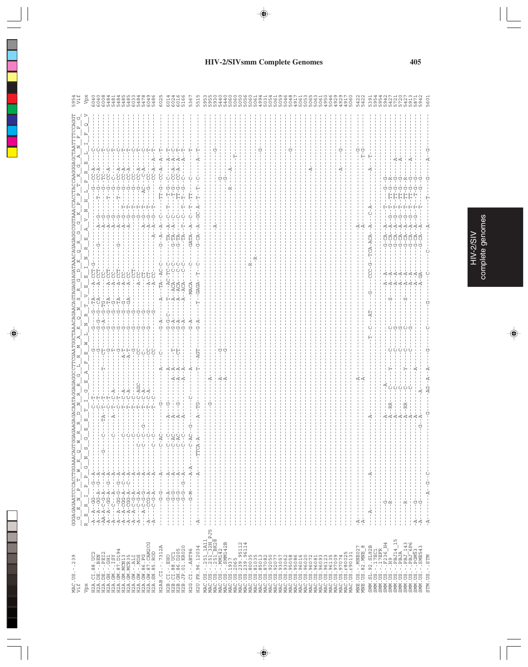| ig.<br>ë<br>9 |
|---------------|
|---------------|

 $\tilde{\mathbf{w}}$ 

| G<br>$-0.23$                                                                                                                                                                                                                                                                                                                                                                                                         |                                                                                                                                                                                                                                                                                                                                                                                                                                                                                                                                                                                      |                                                                                                                                                                                                                                  |
|----------------------------------------------------------------------------------------------------------------------------------------------------------------------------------------------------------------------------------------------------------------------------------------------------------------------------------------------------------------------------------------------------------------------|--------------------------------------------------------------------------------------------------------------------------------------------------------------------------------------------------------------------------------------------------------------------------------------------------------------------------------------------------------------------------------------------------------------------------------------------------------------------------------------------------------------------------------------------------------------------------------------|----------------------------------------------------------------------------------------------------------------------------------------------------------------------------------------------------------------------------------|
| MAC.US.<br>Vif                                                                                                                                                                                                                                                                                                                                                                                                       | $\frac{GGAGAGAATCCACCTGGAAACAGTGGF}{G-E} \frac{F}{M} \frac{W}{K} \frac{K}{Q} \frac{Q}{M}$                                                                                                                                                                                                                                                                                                                                                                                                                                                                                            | 595.<br>Vii                                                                                                                                                                                                                      |
| Vpx                                                                                                                                                                                                                                                                                                                                                                                                                  | ₽<br>$\circ$<br>四<br>É<br>凹<br>$\alpha$<br>$\mathbf{p}_i$<br>貢<br>冨<br>$\square$<br>$\triangleright$<br>К<br>凹<br>R<br>z<br>囯<br>凹<br>$\triangleright$<br>$\vdash$<br>R<br>$\square$<br>É<br>Σ<br>凹<br>叫<br>K.<br>$\mathbb{E}$<br>ひ<br>$\mathsf{F}$<br>U<br>$\Omega$<br>$\approx$<br><b>U</b><br>$\mathsf{p}_4$<br>$\mathbf{\Omega}$<br>$\mathrel{\mathop{\mapsto}\,}$<br>$\mathbbm{R}$<br>$\begin{bmatrix} x \end{bmatrix}$<br>α                                                                                                                                                    | vpx                                                                                                                                                                                                                              |
|                                                                                                                                                                                                                                                                                                                                                                                                                      | К<br>ΰ<br>Ū<br>ひ<br>CCT<br>K.<br>FA<br>ひ<br>ひひひひひひひひひひ<br>ひ<br>↻<br>$\mathbf{I}$<br>-<br>$-4$<br>ひ<br>÷                                                                                                                                                                                                                                                                                                                                                                                                                                                                              | 6040                                                                                                                                                                                                                             |
|                                                                                                                                                                                                                                                                                                                                                                                                                      | $\blacksquare$<br>U<br>ひ<br>ひ<br>е<br>ひ ひ ひ ひ ひ ひ ひ ひ<br>みみみみみみ<br>٢ŋ<br>5<br>5<br>Æ<br><b>SUSUEUS</b><br>ひ<br>ひぺー<br>ひ<br>5<br>HHHUH<br>υ<br>$\mathsf{H}$<br>Ť<br>÷<br>$-9 - -$<br>$\mathbf{I}$<br>ひ<br>Ť                                                                                                                                                                                                                                                                                                                                                                           |                                                                                                                                                                                                                                  |
|                                                                                                                                                                                                                                                                                                                                                                                                                      | $C - A$<br>U<br>н<br>U<br>$\frac{1}{1}$<br>$\frac{1}{1}$<br>수호수호호수<br>- 무료 도로 도로                                                                                                                                                                                                                                                                                                                                                                                                                                                                                                     |                                                                                                                                                                                                                                  |
|                                                                                                                                                                                                                                                                                                                                                                                                                      | ↻<br>ひ ひ ひ ひ ひ ひ ひ<br>$\mathbf{I}$<br>$\mathbf{I}$<br>להפר<br>ליולי<br>ליול<br>A,<br>÷<br>$\vdash$<br>ł<br>$\begin{array}{c} 1 \\ 1 \\ 1 \\ 1 \end{array}$                                                                                                                                                                                                                                                                                                                                                                                                                           |                                                                                                                                                                                                                                  |
|                                                                                                                                                                                                                                                                                                                                                                                                                      | U<br>$\begin{array}{c}\nA \\ C\nU\nU\n\end{array}$<br>U<br>н<br>$\mathbf{I}$<br>$\overline{1}$<br>$\overline{\phantom{a}}$<br>$\mathbf{I}$<br>$\mathbf{I}$                                                                                                                                                                                                                                                                                                                                                                                                                           |                                                                                                                                                                                                                                  |
|                                                                                                                                                                                                                                                                                                                                                                                                                      | U<br>U<br>$\triangle$ $\triangle$<br>÷<br>HH<br>ł<br>ł                                                                                                                                                                                                                                                                                                                                                                                                                                                                                                                               |                                                                                                                                                                                                                                  |
|                                                                                                                                                                                                                                                                                                                                                                                                                      | O<br>88888<br>٢<br>さささ<br>н<br>$\frac{1}{4}$<br>$-4$                                                                                                                                                                                                                                                                                                                                                                                                                                                                                                                                 |                                                                                                                                                                                                                                  |
|                                                                                                                                                                                                                                                                                                                                                                                                                      | $C - \overline{A}$<br>◡<br>ひ<br>U<br>Ч,<br>ひひひひひひひひひひ<br>y<br>$C - AG$<br>Н<br>$-4$<br>-111                                                                                                                                                                                                                                                                                                                                                                                                                                                                                          |                                                                                                                                                                                                                                  |
|                                                                                                                                                                                                                                                                                                                                                                                                                      | O<br>A<br>$\cup$<br>U<br>ひ<br>U<br>Ą<br>FН<br>ひ<br>ひ<br>К<br>Æ<br>5<br>5<br>Ą<br>τŋ<br>g<br>U<br>A<br>A<br>ΰ<br>Ü<br>$\mathbb H$<br>$\mathbb H$<br>$- - A$                                                                                                                                                                                                                                                                                                                                                                                                                           |                                                                                                                                                                                                                                  |
| $\begin{tabular}{ll} \bf 122A, CL & 88, UC2 \\ \bf 122A, DE & - BEIM \\ \bf 122A, GE & -1.081 \\ \bf 122A, GL & -1.512 \\ \bf 122A, CH & -1.151 \\ \bf 122A, CH & -1.152 \\ \bf 122A, CH & -1.152 \\ \bf 122A, CH & -1.152 \\ \bf 122A, CH & -1.152 \\ \bf 122A, CH & -1.152 \\ \bf 122A, CH & -1.152 \\ \bf 122A, CH & -1.152 \\ \bf 122A, CH & -$                                                                  | е<br>Ā,<br>К<br>ں<br>ט<br>ひ<br>К<br>Ŕ,<br>g<br>$\overline{\mathcal{A}}$<br>C<br>g<br>U<br>E<br>◡<br>$\begin{array}{c} \n\phi & \phi \\ \downarrow & \downarrow \\ \downarrow & \downarrow \\ \downarrow & \downarrow \\ \downarrow & \downarrow \\ \end{array}$<br>$\ddot{A}$ .<br>$\mathbf{I}$                                                                                                                                                                                                                                                                                      |                                                                                                                                                                                                                                  |
| $-.7312A$<br>H2AB.CI.                                                                                                                                                                                                                                                                                                                                                                                                | Н<br>К<br>К<br>U<br>U<br>$TT-G$<br>U<br>К<br>$\dot{A}$<br>Ú<br>$-AC$<br>$TA -$<br>K.<br>Ġ<br>也<br>$---C-AC$<br>$- -A -$<br>$\mathbf{I}$<br>$-10 - 0 - 1$<br>$\mathbf{I}$                                                                                                                                                                                                                                                                                                                                                                                                             | 602                                                                                                                                                                                                                              |
|                                                                                                                                                                                                                                                                                                                                                                                                                      | H<br>K.<br>O<br>ひ<br>$\mathsf{H}$<br>К<br>É<br>Ė<br>U<br>てり<br>$\mathbf{I}$                                                                                                                                                                                                                                                                                                                                                                                                                                                                                                          |                                                                                                                                                                                                                                  |
| H2B.CI.-.EHO<br>H2B.CI.88.UC1<br>H2B.CH.86.D205<br>H2B.JP.01.KR020                                                                                                                                                                                                                                                                                                                                                   | K,<br>К<br>U U<br>U<br>υυ<br>υU<br>К<br>Ę<br>ά<br>ひひひひ<br>$-4CA$<br>- ACA - -<br>ACA - -<br>$H \triangleleft A$<br>0AA<br>9999<br>╘<br>RRRA<br>A A A<br>$\mathbf{1}$<br>$- A -$<br>$- A -$<br>$\frac{1}{4}$ , $\frac{1}{4}$<br>$\mathbf{I}$<br>-<br>$\blacksquare$<br>$\blacksquare$                                                                                                                                                                                                                                                                                                 |                                                                                                                                                                                                                                  |
| $\circ$                                                                                                                                                                                                                                                                                                                                                                                                              | ひトト<br>Æ<br>Æ<br>К<br>O<br>C<br>Ė<br>E<br>⊢<br>U<br>τ.<br>Е<br>$G-TA$<br>EA<br>ひひひ<br><b>ACA</b><br>5<br>⊄ ⊄ ⊄<br>ひ<br>$\mathbb{I}$<br>$\mathbf{I}$<br>$\pm$ $\pm$<br>责责<br>$-4$<br>$\frac{1}{\sqrt{2}}$<br>$\frac{1}{4}$<br>$\mathbf I$<br>$\,$<br>$\overline{\phantom{a}}$<br>-<br>$\mathbf{1}$<br>$\mathbf{I}$<br>$\blacksquare$<br>$\mathbf{I}$                                                                                                                                                                                                                                  |                                                                                                                                                                                                                                  |
| H2G.CI.-.ABT96                                                                                                                                                                                                                                                                                                                                                                                                       | н<br>Ë<br>н<br>U<br>К<br>GATA-<br>U<br>MACA<br>$G - A$<br>К<br>$- - - - - 4$<br>$\mathbb{I}$<br>$- -A - A$<br>$\begin{array}{c} \rule{0.2cm}{0.15mm} \rule{0.2cm}{0.15mm} \rule{0.2cm}{0.15mm} \rule{0.2cm}{0.15mm} \rule{0.2cm}{0.15mm} \rule{0.2cm}{0.15mm} \rule{0.2cm}{0.15mm} \rule{0.2cm}{0.15mm} \rule{0.2cm}{0.15mm} \rule{0.2cm}{0.15mm} \rule{0.2cm}{0.15mm} \rule{0.2cm}{0.15mm} \rule{0.2cm}{0.15mm} \rule{0.2cm}{0.15mm} \rule{0.2cm}{0.15mm} \rule{$<br>$-1 - 1 - 1 - 1 - 1 - 1 - 1$<br>$\mathbf{1}$                                                                   | 536                                                                                                                                                                                                                              |
| H2U. FR. 96.12034                                                                                                                                                                                                                                                                                                                                                                                                    | Н<br>O<br>E<br>$\mathbb{H}$<br>-A<br>ن<br>ט<br>К<br>Ś<br>ά<br>U<br>-GAGA<br>Е<br>Ą<br>$\sigma$<br>AGT<br>$\vdash$<br>r<br>S<br>$-4 - TTCA - A$<br>$- -A - - -$<br>$\begin{array}{c} \rule{0.2cm}{0.15mm} \rule{0.2cm}{0.15mm} \rule{0.2cm}{0.15mm} \rule{0.2cm}{0.15mm} \rule{0.2cm}{0.15mm} \rule{0.2cm}{0.15mm} \rule{0.2cm}{0.15mm} \rule{0.2cm}{0.15mm} \rule{0.2cm}{0.15mm} \rule{0.2cm}{0.15mm} \rule{0.2cm}{0.15mm} \rule{0.2cm}{0.15mm} \rule{0.2cm}{0.15mm} \rule{0.2cm}{0.15mm} \rule{0.2cm}{0.15mm} \rule{$<br>$\pm$<br>Ť<br>Ť<br>$\mathbf{I}$<br>$A - -$<br>$\mathbf{I}$ | 51<br>$\mathsf{L}\Omega$                                                                                                                                                                                                         |
|                                                                                                                                                                                                                                                                                                                                                                                                                      | ά<br>$\mathbb{L}$<br>÷.                                                                                                                                                                                                                                                                                                                                                                                                                                                                                                                                                              |                                                                                                                                                                                                                                  |
| LN<br>$\begin{small} &\texttt{M2.C. U3.1--21.1}\\ \texttt{M3.C. U5.1--32H}\\ \texttt{M4.C. U5.1--32H}\\ \texttt{M5.C. U5.1--32H}\\ \texttt{M5.C. U5.1--32H}\\ \texttt{M6.C. U5.2--339.95}\\ \texttt{M6.C. U5.2--39.95}\\ \texttt{M6.C. U5.2--39.95}\\ \texttt{M6.C. U5.2--39.95}\\ \texttt{M6.C. U5.2--39.95}\\ \texttt{M6.C. U5.2--39.95}\\ \texttt{M6.C. U5.2--$                                                   | К<br>Ħ<br>ł<br>$\,$ $\,$<br>$\mathbf{I}$                                                                                                                                                                                                                                                                                                                                                                                                                                                                                                                                             | ה שהשימוש שהשימוש של השימוש של השימוש של השימוש של השימוש של השימוש של השימוש של השימוש של השימוש של השימוש של<br>השימוש של של של השימוש של השימוש של השימוש של השימוש של השימוש של השימוש של השימוש של השימוש של השימוש של השימ |
|                                                                                                                                                                                                                                                                                                                                                                                                                      | K.<br>Ť<br>ţ<br>$\frac{1}{4}$<br>$\mathbf I$<br>$\mathbf{I}$<br>$\mathbf{I}$<br>$\mathbf{I}$                                                                                                                                                                                                                                                                                                                                                                                                                                                                                         |                                                                                                                                                                                                                                  |
|                                                                                                                                                                                                                                                                                                                                                                                                                      | てり<br>ひ<br>$\frac{1}{4}$<br>$\frac{1}{1}$<br>$\frac{1}{2}$<br>$\frac{1}{2}$<br>$\frac{1}{1}$<br>$\mathsf I$                                                                                                                                                                                                                                                                                                                                                                                                                                                                          |                                                                                                                                                                                                                                  |
|                                                                                                                                                                                                                                                                                                                                                                                                                      | U<br>$\triangle$ $\triangle$<br>$\,$ I                                                                                                                                                                                                                                                                                                                                                                                                                                                                                                                                               |                                                                                                                                                                                                                                  |
|                                                                                                                                                                                                                                                                                                                                                                                                                      | $\alpha$<br>$\mathsf I$<br>-<br>$\mathsf I$                                                                                                                                                                                                                                                                                                                                                                                                                                                                                                                                          |                                                                                                                                                                                                                                  |
|                                                                                                                                                                                                                                                                                                                                                                                                                      | $\,$ I<br>$\,$ $\,$                                                                                                                                                                                                                                                                                                                                                                                                                                                                                                                                                                  |                                                                                                                                                                                                                                  |
|                                                                                                                                                                                                                                                                                                                                                                                                                      | I<br>1<br>1<br>1<br>$\mathbf{I}$<br>$\mathbf{I}$                                                                                                                                                                                                                                                                                                                                                                                                                                                                                                                                     |                                                                                                                                                                                                                                  |
|                                                                                                                                                                                                                                                                                                                                                                                                                      | $\frac{1}{1}$<br>1<br>$\mathbf{I}$                                                                                                                                                                                                                                                                                                                                                                                                                                                                                                                                                   |                                                                                                                                                                                                                                  |
|                                                                                                                                                                                                                                                                                                                                                                                                                      | $\frac{1}{1}$                                                                                                                                                                                                                                                                                                                                                                                                                                                                                                                                                                        |                                                                                                                                                                                                                                  |
|                                                                                                                                                                                                                                                                                                                                                                                                                      | $\mathbf{I}$                                                                                                                                                                                                                                                                                                                                                                                                                                                                                                                                                                         |                                                                                                                                                                                                                                  |
|                                                                                                                                                                                                                                                                                                                                                                                                                      |                                                                                                                                                                                                                                                                                                                                                                                                                                                                                                                                                                                      |                                                                                                                                                                                                                                  |
|                                                                                                                                                                                                                                                                                                                                                                                                                      | ŧ                                                                                                                                                                                                                                                                                                                                                                                                                                                                                                                                                                                    |                                                                                                                                                                                                                                  |
|                                                                                                                                                                                                                                                                                                                                                                                                                      | $\frac{1}{1}$                                                                                                                                                                                                                                                                                                                                                                                                                                                                                                                                                                        |                                                                                                                                                                                                                                  |
|                                                                                                                                                                                                                                                                                                                                                                                                                      |                                                                                                                                                                                                                                                                                                                                                                                                                                                                                                                                                                                      |                                                                                                                                                                                                                                  |
|                                                                                                                                                                                                                                                                                                                                                                                                                      |                                                                                                                                                                                                                                                                                                                                                                                                                                                                                                                                                                                      |                                                                                                                                                                                                                                  |
|                                                                                                                                                                                                                                                                                                                                                                                                                      | $\overline{1}$                                                                                                                                                                                                                                                                                                                                                                                                                                                                                                                                                                       |                                                                                                                                                                                                                                  |
|                                                                                                                                                                                                                                                                                                                                                                                                                      | $1 + 1 + 1 + 1 + 1 + 1 + 1 + 1$                                                                                                                                                                                                                                                                                                                                                                                                                                                                                                                                                      |                                                                                                                                                                                                                                  |
|                                                                                                                                                                                                                                                                                                                                                                                                                      |                                                                                                                                                                                                                                                                                                                                                                                                                                                                                                                                                                                      |                                                                                                                                                                                                                                  |
|                                                                                                                                                                                                                                                                                                                                                                                                                      |                                                                                                                                                                                                                                                                                                                                                                                                                                                                                                                                                                                      |                                                                                                                                                                                                                                  |
|                                                                                                                                                                                                                                                                                                                                                                                                                      |                                                                                                                                                                                                                                                                                                                                                                                                                                                                                                                                                                                      |                                                                                                                                                                                                                                  |
|                                                                                                                                                                                                                                                                                                                                                                                                                      |                                                                                                                                                                                                                                                                                                                                                                                                                                                                                                                                                                                      |                                                                                                                                                                                                                                  |
|                                                                                                                                                                                                                                                                                                                                                                                                                      |                                                                                                                                                                                                                                                                                                                                                                                                                                                                                                                                                                                      |                                                                                                                                                                                                                                  |
|                                                                                                                                                                                                                                                                                                                                                                                                                      |                                                                                                                                                                                                                                                                                                                                                                                                                                                                                                                                                                                      |                                                                                                                                                                                                                                  |
|                                                                                                                                                                                                                                                                                                                                                                                                                      | T.<br>$\blacksquare$                                                                                                                                                                                                                                                                                                                                                                                                                                                                                                                                                                 |                                                                                                                                                                                                                                  |
|                                                                                                                                                                                                                                                                                                                                                                                                                      | ţ<br>Ì<br>ł<br>$\mathbf{I}$                                                                                                                                                                                                                                                                                                                                                                                                                                                                                                                                                          |                                                                                                                                                                                                                                  |
|                                                                                                                                                                                                                                                                                                                                                                                                                      | $\frac{1}{1}$<br>$\frac{1}{4}$                                                                                                                                                                                                                                                                                                                                                                                                                                                                                                                                                       |                                                                                                                                                                                                                                  |
| MNE.US. - .MNE027<br>MNE.US. 82.MNE_8                                                                                                                                                                                                                                                                                                                                                                                | ひ<br>ᄲ<br>$\mathbb H$<br>К<br>К<br>К<br>K.<br>$\frac{1}{1}$<br>$- - - -$<br>$- - -$                                                                                                                                                                                                                                                                                                                                                                                                                                                                                                  | 5422                                                                                                                                                                                                                             |
|                                                                                                                                                                                                                                                                                                                                                                                                                      |                                                                                                                                                                                                                                                                                                                                                                                                                                                                                                                                                                                      |                                                                                                                                                                                                                                  |
|                                                                                                                                                                                                                                                                                                                                                                                                                      | K)<br>К<br>U<br>$\overline{A}$<br>TCA-ACA<br>ひ<br>g<br>↻<br>٢ŋ<br>$\frac{1}{1}$<br>ţ<br>-----<br>$\frac{1}{4}$<br>$\frac{1}{4}$<br>$- -A - -$<br>$\mathsf I$                                                                                                                                                                                                                                                                                                                                                                                                                         |                                                                                                                                                                                                                                  |
| $\begin{array}{l} \mathbf{SMM}, \; \mathbf{SL}, \; 92, \; \mathbf{S132B} \\ \mathbf{SMM}, \; \mathbf{US} \; . \; . \; 1.7 \; \text{RCE} \\ \mathbf{SMM}, \; \mathbf{US} \; . \; . \; \mathbf{IS256} \; \text{TA} \\ \mathbf{SMM}, \; \mathbf{US} \; . \; . \; \mathbf{IS256} \; \text{TA} \\ \mathbf{SMM}, \; \mathbf{US} \; . \; . \; \mathbf{IBJ} \; \text{TA} \\ \mathbf{SMM}, \; \mathbf{US} \; . \; . \; \math$ | j<br>$\frac{1}{1}$<br>$\frac{1}{1}$<br>$\frac{1}{1}$<br>$\mathsf I$<br>$\frac{1}{4}$<br>$\,$ I<br>$\,$<br>Ħ<br>$\mathbf{I}$<br>$\mathbf I$                                                                                                                                                                                                                                                                                                                                                                                                                                           |                                                                                                                                                                                                                                  |
|                                                                                                                                                                                                                                                                                                                                                                                                                      | К<br>$\,$ I<br>$\frac{1}{1}$<br>$\mathsf I$<br>$\mathbb{I}$<br>$\mathbf{I}$                                                                                                                                                                                                                                                                                                                                                                                                                                                                                                          |                                                                                                                                                                                                                                  |
|                                                                                                                                                                                                                                                                                                                                                                                                                      | RR.<br>$\frac{1}{4}$<br>$---R$<br>$\mathbf{I}$<br>$\mathbf{I}$                                                                                                                                                                                                                                                                                                                                                                                                                                                                                                                       |                                                                                                                                                                                                                                  |
| LO                                                                                                                                                                                                                                                                                                                                                                                                                   | K,<br>Æ<br>ひとののとの<br>- 11<br>- 1<br>ひ ひ ひ ひ ひ ひ ひ<br>EEEE<br>6666666<br><b>ひひひひひひ</b><br>$6888888$<br>$\mathbf{I}$<br>ひひひひひ<br>UUUU<br>$A \land A \land A$<br>$\overline{\phantom{a}}$<br>$\mathbf{I}$<br>$\mathbf{I}$<br>$\,$ I<br>$\mathbf{I}$<br>$\blacksquare$<br>$\mathbf{I}$<br>- 11                                                                                                                                                                                                                                                                                           |                                                                                                                                                                                                                                  |
|                                                                                                                                                                                                                                                                                                                                                                                                                      | $\mathbf{I}$<br>◡<br>떥<br>$- R$<br>J.<br>$\overline{\phantom{a}}$<br>$\mathsf I$<br>$\mathbf{I}$<br>$\overline{\phantom{a}}$                                                                                                                                                                                                                                                                                                                                                                                                                                                         |                                                                                                                                                                                                                                  |
|                                                                                                                                                                                                                                                                                                                                                                                                                      | К<br>텁<br>$\frac{1}{1}$<br>f,<br>$\,$<br>٠<br>J.<br>٠<br>J.                                                                                                                                                                                                                                                                                                                                                                                                                                                                                                                          |                                                                                                                                                                                                                                  |
|                                                                                                                                                                                                                                                                                                                                                                                                                      | ひ<br>みみみみみみみ<br><u>ዋዋዋዋዋዋዋዋ</u><br><b>ARRARAS</b><br>みみみみみみみ<br>Æ<br>ł.<br>$\frac{1}{\sqrt{2}}$<br>×.<br>٠<br>$\mathbf I$<br>$-1$                                                                                                                                                                                                                                                                                                                                                                                                                                                    |                                                                                                                                                                                                                                  |
| . SME543<br>$\cdot$<br>SMM.US                                                                                                                                                                                                                                                                                                                                                                                        | ජි<br>ひ<br>$\overline{\phantom{a}}$<br>Ą                                                                                                                                                                                                                                                                                                                                                                                                                                                                                                                                             |                                                                                                                                                                                                                                  |
| MIS.<br>$\mathbf{I}$<br>STM.US                                                                                                                                                                                                                                                                                                                                                                                       | Ą                                                                                                                                                                                                                                                                                                                                                                                                                                                                                                                                                                                    | $\circ$<br>56                                                                                                                                                                                                                    |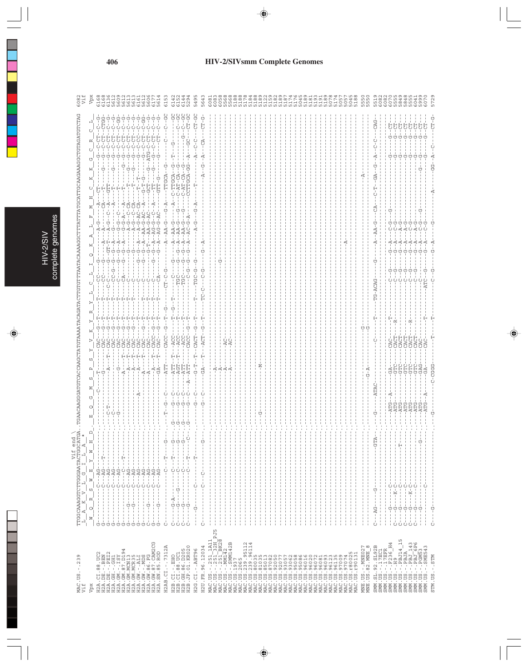| ጣ<br>MAC. US. - . 23<br>Vif                                                                                                                                                                                                                                                                                         | PGAACOGGARTGPCAACOGAACCAAGCTAAATGFAAAATGAGAGAGATAFPAARAAGGATTTTATTTATTTFATTTTATTGCAAGGAAGAAGGAAGGARGTGTAGATGTA<br>$\operatorname{\mathsf{K}}_i$<br>$\overline{a}$<br>$\mathbf{H}$<br>U<br>$\overline{a}$<br>$\triangleright$<br>×<br>Ч,<br>Ē,                                                                                        | 608<br>Ż,                                                                                                                                                                                                   |
|---------------------------------------------------------------------------------------------------------------------------------------------------------------------------------------------------------------------------------------------------------------------------------------------------------------------|--------------------------------------------------------------------------------------------------------------------------------------------------------------------------------------------------------------------------------------------------------------------------------------------------------------------------------------|-------------------------------------------------------------------------------------------------------------------------------------------------------------------------------------------------------------|
| $_{\rm Vpx}$                                                                                                                                                                                                                                                                                                        | ᆸ<br>O<br>$\rightarrow$<br>R<br>CO.<br>д<br>CO.<br>Σ<br>ひ<br>$\circ$<br><b>[x]</b><br>H<br>$\approx$<br>Υ<br>囸<br>$\geq$<br>S<br>$\mathbbm{R}$<br>$\circ$<br>$\geq$                                                                                                                                                                  | vpx<br>U<br>œ<br>ひ<br>×<br>⊻<br>U<br>Ξ<br>Σ<br>Ez.<br>⊻<br>$\circ$                                                                                                                                          |
|                                                                                                                                                                                                                                                                                                                     | U<br>н<br>U<br>Š<br>н<br>U<br>$\,$<br>$\mathbb{I}$<br>$\mathbf{I}$<br>$\mathbf{I}$<br>٠<br>J.<br>1<br>ひ                                                                                                                                                                                                                              | 우<br>5<br>U<br>てり                                                                                                                                                                                           |
|                                                                                                                                                                                                                                                                                                                     | Õ.<br>චී<br>ひ<br>$\mathbf{I}$<br>U<br>$\mathsf I$<br>$\mathbf{I}$<br>$\mathbf{I}$<br>$\mathbf{I}$<br>ΤŦ                                                                                                                                                                                                                              | 5<br>$\cup$<br>ひ                                                                                                                                                                                            |
|                                                                                                                                                                                                                                                                                                                     | <b>ひひひひひひ</b><br>U<br>ひ ひ ひ ひ ひ ひ ひ ひ<br>CAC<br>E<br>K,<br>$\mathbb H$<br>ひひひ<br>U<br>$\frac{1}{4}$<br>$\mathbf{I}$<br>$\mathbf{I}$<br>$\mathbf{I}$<br>ひ ひ ひ ひ ひ ひ ひ                                                                                                                                                                 | 5<br>7877<br>Y<br>↻<br><b>AHAAA</b>                                                                                                                                                                         |
|                                                                                                                                                                                                                                                                                                                     | ひ<br>-<br>U<br>U<br>$\mathbb{I}$<br>$\,$ I<br>$\mathbf{I}$<br>$\mathbf{I}$<br>$\mathbf{I}$<br>$\mathbf{I}$<br>$\mathbb{I}$<br>$\mathbf{I}$<br>÷<br>$\blacksquare$                                                                                                                                                                    | ロー                                                                                                                                                                                                          |
|                                                                                                                                                                                                                                                                                                                     | Æ<br>$\mathbf{I}$<br>$\frac{1}{2}$<br>$\mathbf{I}$<br>f,<br>$\,$                                                                                                                                                                                                                                                                     | ひ                                                                                                                                                                                                           |
|                                                                                                                                                                                                                                                                                                                     | ł<br>$\frac{c}{1}$<br>J.<br>Ť<br>$\ddot{\phi}$ $\ddot{\phi}$<br>$\,$<br>÷                                                                                                                                                                                                                                                            | エロひ<br>日日                                                                                                                                                                                                   |
|                                                                                                                                                                                                                                                                                                                     | $\frac{1}{1}$<br>$\,$ I<br>$1 - -24$<br>$-1 - -4$<br>$-1 - -1$<br>ن<br>۱<br>$\mathbf{I}$<br>$\,$<br>$\,$ $\,$                                                                                                                                                                                                                        |                                                                                                                                                                                                             |
| $\begin{array}{l} \tt H2A.\;C1.\;68.\;102\\ \tt H2A.\;DB1.-1\;BB1\\ \tt H2A.\;CB1.-1\;B11\\ \tt H2A.\;G11.-1\;G11\\ \tt H2A.\;GN.\;P1.-1\;G12\\ \tt H2A.\;GN.\;P1.-1\;G12\\ \tt H2A.\;GN.\;M00112\\ \tt H2A.\;GN.\;P2.\;GN\;P31\\ \tt H2A.\;GN\;P4.\;P5.\;P6\\ \tt H2A.\;GN.\;P6.\;P6.\;P7\\ \tt H2A.\;GN.\;B6.\;P$ | <b>ひひ</b><br>88888888888888<br><b>888888888888</b><br>ひ<br>ooooooo<br>SSSSSSS<br><b>PPPPP</b><br>$U \mid A A A \mid$<br>$\frac{1}{1}$<br>ţ<br>ı<br>J.<br>$---PAG---$<br>$\frac{1}{2}$<br>$\frac{1}{2}$<br>$\mathbb{L}$<br>J.<br>Ţ<br>1<br>$\mathbf{I}$<br>$\mathbb{I}$<br>$\mathbf{I}$<br>$\mathbf{I}$<br>I<br>$\mathsf I$<br>ひ<br>ひ | $\ddot{g}$ ဗုံ ဗုံ ဗွဲ ဗုံ ဗုံ ဗုံ ဗွဲ ဗုံ ဗုံ ဗုံ ဗု<br><u>PBPPPPPPPPPPPP</u><br>5555585<br><b>OUUUUUUUUU</b><br><u> ቀቀቀቀቀቀቀቀ</u> ቅ<br>ו טטו<br>11159119<br><b>תקליטיטלקלקלקל</b><br>$A$ $A$<br>ひゅうしゅうしゅうし |
|                                                                                                                                                                                                                                                                                                                     | $\mathbb{A}^{\scriptscriptstyle{-}}$<br>$\frac{1}{4}$<br>$\mathbf{I}$<br>$\frac{1}{1}$<br>$\sum_{1}^{1}$<br>$\frac{1}{1}$<br>↻                                                                                                                                                                                                       | 5                                                                                                                                                                                                           |
|                                                                                                                                                                                                                                                                                                                     | ひ<br>ひ<br>C<br>CACC<br>CACC<br>FF<br>$-AB$<br>Ť<br>$\mathbb{I}$<br>$\mathbf{I}$<br>ΥJ<br>$\mathbf{I}$<br>$\mathbf{I}$<br>$\mathsf I$<br>$\mathbf{1}$<br>ひ                                                                                                                                                                            | 5<br>$-4$                                                                                                                                                                                                   |
|                                                                                                                                                                                                                                                                                                                     | ひ<br>J.<br>$\blacksquare$<br>U<br>- 11<br>$\blacksquare$<br>$C - C$<br>- 1<br>ひ                                                                                                                                                                                                                                                      |                                                                                                                                                                                                             |
| $-.7312A$<br>H2AB.CI                                                                                                                                                                                                                                                                                                | てり<br>$\circlearrowright$<br>ひ<br>Н<br>ひ<br>CACC<br><b>ATT</b><br>$\mathbf{I}$<br>$-1$<br>$\Gamma$<br>↻                                                                                                                                                                                                                              | LN<br>5<br>8<br>5<br>U<br>↻<br><b>TTGCA</b><br>A<br>ひ<br>ひ<br>AA.<br>A                                                                                                                                      |
|                                                                                                                                                                                                                                                                                                                     | ひ<br>ひ<br>$\,$ I<br>٠<br>$- - - \Gamma$<br>$\mathbf{I}$<br>$\mathbf{I}$<br>U                                                                                                                                                                                                                                                         | Æ                                                                                                                                                                                                           |
|                                                                                                                                                                                                                                                                                                                     | <b>UUU</b><br>нн<br>ATT<br>AGT<br>ウーー<br>J.<br>1<br>Ĵ.<br>υU<br>$\frac{1}{4}$<br>$\blacksquare$<br>$-9 - -$<br>$-1$<br>$-1$<br>$-1$<br>$+1$<br>$+1$<br>$+1$<br>$\overline{1}$<br>↻                                                                                                                                                   | 454<br>Ū<br>υU<br><b>ひ ひ</b><br>$-TTGCA$<br>$-AT-TCA$<br><b>UUU</b><br><b>ひ ひ</b><br><b>ひ ひ ひ</b><br>AAA                                                                                                    |
| $\circ$<br>H2B.CI.-.BHO<br>H2B.CI.88.UC1<br>H2B.GH.86.D205<br>H2B.JP.01.KR020                                                                                                                                                                                                                                       | ひひひひ<br>ひ<br>U<br>Ě<br>Е<br>也<br>ATT<br>ATT<br>ひひひひ<br><b>ひひひひ</b><br>ひひひひ<br>$\frac{1}{1}$<br>Í<br>t<br>$\,$<br>$-1$<br>ł<br>◡<br>U<br>п<br>ł<br>J.<br>J.<br>ï<br>ŧ<br>$\mathbf I$<br>$\,$<br>$\frac{1}{4}$<br>t<br>$\frac{1}{\sqrt{2}}$<br>f,<br>J.<br>J.<br>U<br>↻                                                                | ጣ<br>$\sim$<br>ŏ<br>Ū<br>5<br>Ą<br>멍<br>U<br>↻<br>CTTGCA<br>$-AT$<br>Ū<br>К<br>ひ<br>Q<br>AAAA                                                                                                               |
|                                                                                                                                                                                                                                                                                                                     |                                                                                                                                                                                                                                                                                                                                      |                                                                                                                                                                                                             |
| H2G.CI. - ABT96                                                                                                                                                                                                                                                                                                     | ひ<br>ひ<br>TGC.<br>н<br>ひ<br>CACT<br>н<br>ローロ<br>↻<br>てり<br>J.<br>J<br>$-1$<br>J.<br>J.<br>$\mathbf{I}$<br>$\frac{1}{1}$<br>$\mathbf{I}$<br>f,<br>$\overset{-}{\circ}$<br>J.                                                                                                                                                          | 549<br>უ<br>სი<br>5<br>U<br>Æ<br>Æ<br>ひ<br>ひ<br>Æ                                                                                                                                                           |
| H2U.FR.96.12034                                                                                                                                                                                                                                                                                                     | ひ<br>O<br>O<br>P<br>ひ<br>ACT<br>සි<br>ひ<br>$\begin{array}{c} \n\downarrow \\ \n\downarrow \\ \n\end{array}$<br>$\begin{array}{c} \n\cdot & \cdot \\ \n\cdot & \cdot \\ \n\cdot & \cdot \n\end{array}$<br>U                                                                                                                           | 564<br>٣<br>5<br>ි<br>ų.<br>ひ<br>K.<br>К<br>ひ                                                                                                                                                               |
| ${\small \begin{tabular}{l} \bf 195.1 & 131.1 \\ \bf 211.1 & 182.1 \\ \bf 222.1 & 182.1 \\ \bf 233.1 & 182.1 \\ \bf 244.1 & 182.1 \\ \bf 255.1 & 182.1 \\ \bf 266.1 & 182.1 \\ \bf 276.1 & 182.1 \\ \bf 287.1 & 182.1 \\ \bf 298.1 & 182.1 \\ \bf 209.1 & 182.1 \\ \bf 2101.1 & 182.1 \\ \bf 221.1 & 182.1 \\ \$    | $\frac{1}{1}$<br>$\mathbf{I}$<br>1<br>I<br>$\frac{1}{1}$<br>i.<br>$\mathbf{I}$<br>$\frac{1}{1}$<br>ı<br>ŧ<br>$\mathsf I$<br>J.<br>J.                                                                                                                                                                                                 |                                                                                                                                                                                                             |
|                                                                                                                                                                                                                                                                                                                     | $\mathbf{I}$<br>ţ<br>t<br>f,<br>PJ5                                                                                                                                                                                                                                                                                                  |                                                                                                                                                                                                             |
|                                                                                                                                                                                                                                                                                                                     | AAAA                                                                                                                                                                                                                                                                                                                                 |                                                                                                                                                                                                             |
|                                                                                                                                                                                                                                                                                                                     | AC<br>AC<br>$\begin{array}{c} \begin{array}{c} \text{1} \\ \text{2} \\ \text{3} \\ \text{4} \end{array} \end{array}$<br>J.<br>J.                                                                                                                                                                                                     |                                                                                                                                                                                                             |
|                                                                                                                                                                                                                                                                                                                     | Ť<br>$\mathbf{I}$<br>$\sf I$<br>$\,$<br>$\mathbf{I}$                                                                                                                                                                                                                                                                                 |                                                                                                                                                                                                             |
|                                                                                                                                                                                                                                                                                                                     | $\frac{1}{1}$<br>$\mathbf{I}$<br>I<br>-                                                                                                                                                                                                                                                                                              |                                                                                                                                                                                                             |
|                                                                                                                                                                                                                                                                                                                     | .<br>J<br>t<br>J.                                                                                                                                                                                                                                                                                                                    |                                                                                                                                                                                                             |
|                                                                                                                                                                                                                                                                                                                     | $\frac{1}{1}$<br>$\mathbf I$<br>ı                                                                                                                                                                                                                                                                                                    |                                                                                                                                                                                                             |
|                                                                                                                                                                                                                                                                                                                     | $\,$<br>$\mathbf{I}$                                                                                                                                                                                                                                                                                                                 |                                                                                                                                                                                                             |
|                                                                                                                                                                                                                                                                                                                     | J<br>$\overline{\phantom{a}}$                                                                                                                                                                                                                                                                                                        |                                                                                                                                                                                                             |
|                                                                                                                                                                                                                                                                                                                     | $\,$ I                                                                                                                                                                                                                                                                                                                               |                                                                                                                                                                                                             |
|                                                                                                                                                                                                                                                                                                                     |                                                                                                                                                                                                                                                                                                                                      |                                                                                                                                                                                                             |
|                                                                                                                                                                                                                                                                                                                     | $\,$ I                                                                                                                                                                                                                                                                                                                               |                                                                                                                                                                                                             |
|                                                                                                                                                                                                                                                                                                                     | J                                                                                                                                                                                                                                                                                                                                    |                                                                                                                                                                                                             |
|                                                                                                                                                                                                                                                                                                                     | J                                                                                                                                                                                                                                                                                                                                    |                                                                                                                                                                                                             |
|                                                                                                                                                                                                                                                                                                                     | $\sf I$                                                                                                                                                                                                                                                                                                                              |                                                                                                                                                                                                             |
|                                                                                                                                                                                                                                                                                                                     | ı                                                                                                                                                                                                                                                                                                                                    |                                                                                                                                                                                                             |
|                                                                                                                                                                                                                                                                                                                     |                                                                                                                                                                                                                                                                                                                                      |                                                                                                                                                                                                             |
|                                                                                                                                                                                                                                                                                                                     | $\,$ I                                                                                                                                                                                                                                                                                                                               |                                                                                                                                                                                                             |
|                                                                                                                                                                                                                                                                                                                     | ٠                                                                                                                                                                                                                                                                                                                                    |                                                                                                                                                                                                             |
|                                                                                                                                                                                                                                                                                                                     | $\mathbf{I}$                                                                                                                                                                                                                                                                                                                         |                                                                                                                                                                                                             |
|                                                                                                                                                                                                                                                                                                                     | $\sf I$<br>$\mathbf{I}$                                                                                                                                                                                                                                                                                                              |                                                                                                                                                                                                             |
|                                                                                                                                                                                                                                                                                                                     |                                                                                                                                                                                                                                                                                                                                      |                                                                                                                                                                                                             |
|                                                                                                                                                                                                                                                                                                                     | .<br>$\frac{1}{4}$<br>t                                                                                                                                                                                                                                                                                                              |                                                                                                                                                                                                             |
|                                                                                                                                                                                                                                                                                                                     | $\frac{1}{1}$                                                                                                                                                                                                                                                                                                                        |                                                                                                                                                                                                             |
|                                                                                                                                                                                                                                                                                                                     | $\,$                                                                                                                                                                                                                                                                                                                                 |                                                                                                                                                                                                             |
|                                                                                                                                                                                                                                                                                                                     | $\overline{\phantom{a}}$                                                                                                                                                                                                                                                                                                             |                                                                                                                                                                                                             |
| $\sim \infty$<br>MNE. US. - . MNE02<br>MNE. US. 82. MNE                                                                                                                                                                                                                                                             | ひど<br>$\mathbf{I}$                                                                                                                                                                                                                                                                                                                   | m m<br>மம<br>ഗ ഗ                                                                                                                                                                                            |
|                                                                                                                                                                                                                                                                                                                     | $\overline{\phantom{a}}$<br>f,                                                                                                                                                                                                                                                                                                       |                                                                                                                                                                                                             |
|                                                                                                                                                                                                                                                                                                                     | てり<br><b>ACAG</b><br><b>ATA</b><br>$-97$<br>$-1$<br>$- - A G$<br>U                                                                                                                                                                                                                                                                   | CAG.<br>υ<br>K,<br>ひ<br>€<br>F<br>ひ<br>AA<br>К                                                                                                                                                              |
| SMM . SL . 92 . SL 92B<br>SMM . US . - . 17EC1<br>SMM . US . - . 17EFR<br>SMM . US . - . F236 _ H4                                                                                                                                                                                                                  | t<br>$\frac{1}{1}$<br>$\frac{1}{1}$<br>f,<br>f,<br>$\frac{1}{1}$<br>t<br>$\mathfrak l$<br>J,<br>J<br>t<br>J.<br>٠<br>t<br>٠<br>J.<br>J.<br>J.                                                                                                                                                                                        |                                                                                                                                                                                                             |
|                                                                                                                                                                                                                                                                                                                     | CAC<br>යි<br>Ť<br>$\frac{1}{\sqrt{2}}$<br>؋<br>$\mathbf{I}$                                                                                                                                                                                                                                                                          |                                                                                                                                                                                                             |
|                                                                                                                                                                                                                                                                                                                     | O<br>$\frac{1}{4}$<br>$-3-X-1$<br>$\frac{1}{4}$<br>ひ<br>$\mathbf{I}$<br>↻                                                                                                                                                                                                                                                            |                                                                                                                                                                                                             |
| LN,                                                                                                                                                                                                                                                                                                                 | $-\frac{1}{2}$<br>$\frac{1}{\sqrt{2}}$<br>ひ<br>U                                                                                                                                                                                                                                                                                     |                                                                                                                                                                                                             |
|                                                                                                                                                                                                                                                                                                                     | $\mathbf{I}$<br>ں<br>ا<br>٠<br>1<br>1<br>٠                                                                                                                                                                                                                                                                                           |                                                                                                                                                                                                             |
|                                                                                                                                                                                                                                                                                                                     | <b>ひ ひ ひ ひ ひ ひ</b><br><b>UUUUUU</b><br>OOOOOOO<br>FFFFFFF<br>AAAAAA<br>J.<br>J.<br>I,<br>ı<br>ı<br>t<br>J.<br>$\frac{1}{4}$<br>J<br>$\mathbf{I}$<br>$-1 - K - C$<br>$\frac{1}{\sqrt{2}}$<br>٠<br>$\mathfrak l$<br>Í<br>$\,$ I<br>ひひひ<br>J.<br>1<br>$\mathbf{I}$<br>$\mathfrak l$<br>t<br>I<br>$\blacksquare$<br>ひひひ                  | 55555555<br>ひ ひ ひ ひ ひ ひ ひ ひ<br>ひ ひ ひ ひ ひ ひ ひ<br>ひ ひ ひ ひ ひ ひ ひ ひ<br><b><i><u>UU</u>KRUKUU</i></b><br>みみみみみみみ<br>ひ ひ ひ ひ ひ ひ ひ ひ                                                                              |
|                                                                                                                                                                                                                                                                                                                     | りー<br>$\mathsf I$<br>$\sf I$<br>$\,$ I<br>$\,$ I<br>$\mathbf{I}$<br>$\mathsf I$<br>$\frac{1}{\sqrt{2}}$<br>$\overline{\phantom{a}}$<br>$\blacksquare$<br>$\mathbf{I}$                                                                                                                                                                |                                                                                                                                                                                                             |
|                                                                                                                                                                                                                                                                                                                     | てり<br>1<br>J<br>J,<br>ပုံ<br>J.<br>1<br>$\mathbf{I}$<br>t<br>1                                                                                                                                                                                                                                                                       | てり                                                                                                                                                                                                          |
| <b>NLS</b><br>STM.US                                                                                                                                                                                                                                                                                                | J.<br>¢<br>t<br>J.<br>J.<br>C                                                                                                                                                                                                                                                                                                        | 572                                                                                                                                                                                                         |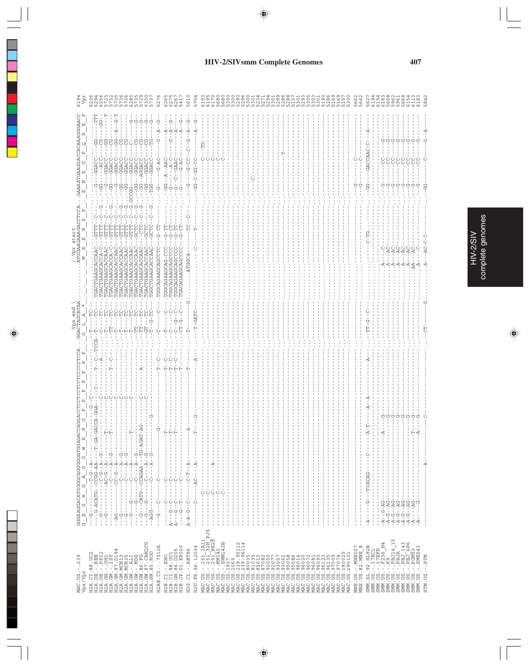| <u>ଡ</u><br>l<br>J<br>¢ |  |
|-------------------------|--|
|-------------------------|--|

Sč

| ጣ<br>23<br>$\cdot$<br>-<br>Vpx/Vpr<br>MAC.US                                                                                                                                                                                                                                                                                                                 | $\begin{array}{cccccc} \texttt{CCAGACGTCCTCCTCCTCCCCTCCC1CCA} \\ \texttt{P} & \texttt{G} & \texttt{P} & \texttt{P} & \texttt{P} & \texttt{P} \\ \texttt{P} & \texttt{G} & \texttt{P} & \texttt{P} & \texttt{P} & \texttt{P} \end{array}$<br>COAAGCACCOCCOCCOCCATGATGACC<br>$\simeq$<br>$\approx$<br><b>U</b><br>U<br>$\mathbb{C}^1_1$<br>U<br>Ξ<br>Ü<br>囟<br>ひ                                                                                                                     | TADDATDAGO.<br>LADDATDAGO.<br>4<br>占<br>ひ |                                                      | / Vpr start<br>ATGGAAGAAAGACCTCCA<br>M E E R R P P | GAAAATGAAGGACCACAAAGGGAACC<br>E N E G P Q R E P                                | 4194<br>Vpr                      |
|--------------------------------------------------------------------------------------------------------------------------------------------------------------------------------------------------------------------------------------------------------------------------------------------------------------------------------------------------------------|------------------------------------------------------------------------------------------------------------------------------------------------------------------------------------------------------------------------------------------------------------------------------------------------------------------------------------------------------------------------------------------------------------------------------------------------------------------------------------|-------------------------------------------|------------------------------------------------------|----------------------------------------------------|--------------------------------------------------------------------------------|----------------------------------|
|                                                                                                                                                                                                                                                                                                                                                              |                                                                                                                                                                                                                                                                                                                                                                                                                                                                                    |                                           |                                                      |                                                    |                                                                                |                                  |
| $\begin{array}{l} \rm{H2A}, \rm{CL}, 88, \rm{UC2}\\ \rm{H2A}, \rm{DE}, -1, \rm{EBI} \\ \rm{H2A}, \rm{CH}, -1, \rm{CH1}\\ \rm{H2A}, \rm{GH}, -1, \rm{SH2}\\ \rm{H2A}, \rm{CH}, -1, \rm{SH2}\\ \rm{H2A}, \rm{CH}, 1, \rm{H2I} \\ \rm{H2A}, \rm{CH}, 1, \rm{H2I} \\ \rm{H2A}, \rm{CH}, 1, \rm{H2I} \\ \rm{H2A}, \rm{CH}, -1, \rm{H2I} \\ \rm{H2A}, \rm{CH}, -1$ | U<br>◡<br>ひ<br>GACCA-GGA<br>$-6A$<br>$\vdash$<br>J.<br>ī.<br>J,<br>1<br>t<br>$-1 - 5 - 5 - 5$<br>G-ACATG--CCGG-AA<br>$\overline{\phantom{a}}$<br>J,<br>J<br>J.<br>$\frac{1}{\sqrt{2}}$<br>ł.<br>$\,$ I                                                                                                                                                                                                                                                                             | 입<br>↻<br>$-TCCA$<br>U<br>е               | CACCAAC<br>Ū<br>GAC                                  | O<br><b>GTTT</b>                                   | 텅<br>: ප<br>GGACC.                                                             | $\circ$                          |
|                                                                                                                                                                                                                                                                                                                                                              | U<br>$- -A - C$<br>ł.<br>$-5 - 0$<br>$\mathbf{I}$<br>$-1$                                                                                                                                                                                                                                                                                                                                                                                                                          | U<br>К                                    | TGACTGAAGCACCA                                       | τŋ<br>U<br><b>GTTT</b>                             | 9<br>9<br>$-AC$<br>$\frac{1}{2}$                                               |                                  |
|                                                                                                                                                                                                                                                                                                                                                              | ЕE<br>I.<br>$\mathsf{I}$<br>$-4$<br>부<br>$-AC$<br>J.<br>$\mathbf{I}$<br>$\mathsf I$<br>$\mathbf{I}$<br>$\mathbf{I}$<br>먹<br>$\mathbf{I}$                                                                                                                                                                                                                                                                                                                                           |                                           | TGACTGAAGCACCAAC                                     |                                                    | 5555<br>GGAC                                                                   |                                  |
|                                                                                                                                                                                                                                                                                                                                                              | $- -P - -C - - -$<br>$-1 - C -$<br>$\mathfrak l$<br>f,<br>$\mathbf I$<br>$\begin{array}{c} \rule{0.2cm}{0.15mm} \rule{0.2cm}{0.15mm} \rule{0.2cm}{0.15mm} \rule{0.2cm}{0.15mm} \rule{0.2cm}{0.15mm} \rule{0.2cm}{0.15mm} \rule{0.2cm}{0.15mm} \rule{0.2cm}{0.15mm} \rule{0.2cm}{0.15mm} \rule{0.2cm}{0.15mm} \rule{0.2cm}{0.15mm} \rule{0.2cm}{0.15mm} \rule{0.2cm}{0.15mm} \rule{0.2cm}{0.15mm} \rule{0.2cm}{0.15mm} \rule{$<br>$\blacksquare$<br>$\blacksquare$<br>$\frac{1}{4}$ | Ë<br>U<br>J.<br>⊢                         | TGACTGAAGCACCA-C                                     | ட ம<br>UUU<br>GTTTP.                               | J.<br>GGACC-<br>$\,$<br>$\overline{1}$                                         |                                  |
|                                                                                                                                                                                                                                                                                                                                                              | ÜÜÜÜ<br>ţ<br>÷<br>$-4$<br>-- 00 --<br>$\frac{1}{1}$<br>Ť<br>$\frac{1}{4}$<br>$-AG$                                                                                                                                                                                                                                                                                                                                                                                                 | $\mathsf{H}$                              | TGACTGAAGCACCAAC                                     | <b>GTTT</b>                                        | $-9 - 7$<br>$-4$<br>$\frac{1}{1}$<br>GGACC<br>Шĭ                               |                                  |
|                                                                                                                                                                                                                                                                                                                                                              | U<br>ł<br>ł<br>$\begin{array}{c}\n0 \\ -1\n\end{array}$<br>$-1 - 4 - 6$<br>$-4$<br>$\frac{1}{2}$<br>U<br>U<br>ł<br>$\frac{1}{4}$<br>$\mathbf{1}$<br>$\,$<br>÷<br>$\mathbf{1}$<br>$C - C$                                                                                                                                                                                                                                                                                           | $\mathbb H$                               | TGACTGAAGCACCAAC<br>TGACTGAAGCACCAAC                 | U<br><b>GTTT</b>                                   | てり<br>g<br>U<br>$\mathsf I$<br>J.<br>÷<br>GGACC<br>GGAC                        |                                  |
|                                                                                                                                                                                                                                                                                                                                                              | U<br>$\,$<br>$\mathbf{I}$<br>$\frac{1}{1}$<br>$\mathbf{I}$<br>$\blacksquare$<br>$\,$ I<br>ひ<br>$\frac{1}{4}$<br>$-1$                                                                                                                                                                                                                                                                                                                                                               |                                           |                                                      | U<br>てり                                            | $\mathbf{I}$<br>$\mathsf I$<br>÷.<br>$\blacksquare$<br>GGAC<br>÷<br><b>CGG</b> |                                  |
|                                                                                                                                                                                                                                                                                                                                                              | - 1<br>$-4-6$<br>$\mathbf{I}$<br>J<br>U<br>$\overline{\phantom{a}}$<br>ひ<br>$\frac{1}{1}$<br>I<br>$\overline{\phantom{a}}$                                                                                                                                                                                                                                                                                                                                                         |                                           | TGACTGAAGCACCAAC<br>TGACTGAAGCACCAAC                 | .<br>.<br>.<br><b>END</b><br>ENDO<br>ENDO          | <b>UU</b><br>ひ<br>υ<br>GGAC<br>$\,$ l<br>$\blacksquare$<br>9                   |                                  |
|                                                                                                                                                                                                                                                                                                                                                              | O<br>$-AC$<br>$-1TG - AGA$<br>--CATG--CCAGAA<br>$\frac{5}{1}$                                                                                                                                                                                                                                                                                                                                                                                                                      | Ō<br>K,                                   | Ų<br>TGACTGAAGCACCAA                                 | ひ<br>O<br>모<br>5                                   | $\frac{1}{\sqrt{2}}$<br>g<br>-AGGACC<br>99                                     |                                  |
|                                                                                                                                                                                                                                                                                                                                                              | U<br>$-4-7-9$<br>$\mathbf{I}$<br>U<br>-<br>-<br>ひ<br>$-\frac{c}{1}$                                                                                                                                                                                                                                                                                                                                                                                                                | $-5$<br>등                                 | TGACTGAAGCACCAAC                                     | GCTC                                               | ひ<br>5<br>GGACC<br>99                                                          |                                  |
|                                                                                                                                                                                                                                                                                                                                                              | ひ<br>٠<br>ひ<br>Ţ<br>$-4$<br>J.<br>U<br>$\mathbf{I}$<br>L.<br>٠<br>٠<br>J.<br>$-AGG$                                                                                                                                                                                                                                                                                                                                                                                                | $\cup$<br>5-5<br>٠                        | <b>UGGURAGENCERCIAL</b>                              | ひ<br>C<br>GCTC                                     | ひ<br>입<br><b>CGACC</b><br>J.<br><b>TGG</b>                                     |                                  |
| H2AB.CI.-.7312A                                                                                                                                                                                                                                                                                                                                              | -<br>U<br>÷<br>$\mathbf{I}$<br>$\blacksquare$<br>U<br>$\frac{1}{4}$<br>$\frac{1}{\sqrt{2}}$                                                                                                                                                                                                                                                                                                                                                                                        | U<br>$\cup$<br>O                          | TGGCAGAAGCAGCTC                                      | $G - CT$                                           | ひ<br>$-4$<br>੍ਹਾਂ<br>$-6-AC$<br>Ġ                                              | O<br>627                         |
|                                                                                                                                                                                                                                                                                                                                                              | $\overline{\phantom{a}}$<br>U<br>$\overline{\phantom{a}}$<br>$\mathbf{I}$<br>$\overline{\phantom{a}}$<br>$\,$ I<br>$\mathbf{I}$                                                                                                                                                                                                                                                                                                                                                    | U                                         | U<br>U<br>U                                          | 텁                                                  | $--AAC$<br>К<br>$\overline{\phantom{a}}$<br>99                                 |                                  |
| H2B.CI.-.BHO<br>H2B.CI.88.UC1<br>H2B.GH.86.D205<br>H2B.JP.01.KR020                                                                                                                                                                                                                                                                                           | I<br>$\frac{1}{1}$<br>U<br>J.<br>$\mathbf{I}$<br>υU<br>Ť                                                                                                                                                                                                                                                                                                                                                                                                                           | <br>日ひ<br>↻<br>٠<br>⊢                     | U<br>TGGCAGAAGCAG-CC<br>TGGCAGAAGCAGCC               | 5<br>မှ မှ မှ မှ                                   | ひ<br>AAAA<br>1<br>ひ<br>$A - C$<br>ひ                                            | m m r<br>60001<br>00004<br>00001 |
|                                                                                                                                                                                                                                                                                                                                                              | $\frac{1}{1}$<br>J.<br>ł<br>O<br>$\frac{1}{4}$<br>$\blacksquare$<br>$\mathbf{I}$<br>U<br>$\frac{1}{1}$<br>$A - -G$<br>$A - -G$                                                                                                                                                                                                                                                                                                                                                     | п.<br>ひ<br>٠<br>U<br>U<br>-1<br>е         | ğ<br>TGGCAGAAGCAGC                                   | ∪<br>Н                                             | $-$ GAAC<br>U<br>$\blacksquare$<br>ひ                                           |                                  |
| $\circ$                                                                                                                                                                                                                                                                                                                                                      | $\blacksquare$<br>U<br>$\mathbf{I}$<br>$\overline{\phantom{a}}$<br>÷<br>ひ<br>T<br>$\blacksquare$<br>$\mathbf{I}$<br>$\mathbf{I}$                                                                                                                                                                                                                                                                                                                                                   | ひ<br>튕                                    | U<br>GACAGAAGCAGC                                    | 5                                                  | ひ<br>$\ddot{c}$ - $\ddot{c}$<br>ひ                                              |                                  |
| $-.ABT96$<br>H2G.CI                                                                                                                                                                                                                                                                                                                                          | $-4 - -$<br>텃<br>U<br>٠<br>$\overline{\phantom{a}}$<br>٠<br>U<br>f,<br>$A - A - G$                                                                                                                                                                                                                                                                                                                                                                                                 | τŋ                                        | ATGGCA                                               | Ľ                                                  | ひ<br>$-4$<br>ひ<br>J.<br>U<br>ひしゅ<br>ロー                                         | O<br>561                         |
| .96.12034<br>H2U.FR                                                                                                                                                                                                                                                                                                                                          | $-AC---A$ -----<br>J.<br>٠<br>U<br>t<br>J.<br>٠<br>$\,$ I                                                                                                                                                                                                                                                                                                                                                                                                                          | $-GATC$<br>Н<br>K,                        |                                                      | Н                                                  | ひ<br>Ā,<br><b>C-00-0</b><br>.<br>ტ                                             | 575                              |
| MAC.US.                                                                                                                                                                                                                                                                                                                                                      | $\frac{1}{2}$<br>$\mathsf I$<br>$\frac{1}{\sqrt{2}}$<br>$\mathbf{I}$<br>$\mathbf{I}$<br>1                                                                                                                                                                                                                                                                                                                                                                                          |                                           |                                                      |                                                    | Ė<br>ï<br>Ú                                                                    |                                  |
| MAC.US.                                                                                                                                                                                                                                                                                                                                                      | ٠<br>Ť<br>$\frac{1}{2}$<br>Ť<br>٠                                                                                                                                                                                                                                                                                                                                                                                                                                                  |                                           |                                                      |                                                    | U                                                                              |                                  |
| $-251$ $1A11$<br>$-251$ $32H$ $PJS$<br>$-251$ $BK28$<br>MAC.US.                                                                                                                                                                                                                                                                                              | $---A---$<br>$\mathbb{I}$<br>Ť<br>$\frac{1}{2}$                                                                                                                                                                                                                                                                                                                                                                                                                                    |                                           |                                                      |                                                    | U                                                                              |                                  |
|                                                                                                                                                                                                                                                                                                                                                              | $\frac{1}{1}$<br>$\frac{1}{1}$<br>İ<br>$-1 - 0 - 1$<br>1<br>j<br>$\frac{1}{4}$                                                                                                                                                                                                                                                                                                                                                                                                     |                                           |                                                      |                                                    | Ü                                                                              |                                  |
|                                                                                                                                                                                                                                                                                                                                                              | f,<br>f,                                                                                                                                                                                                                                                                                                                                                                                                                                                                           |                                           |                                                      |                                                    | C                                                                              |                                  |
|                                                                                                                                                                                                                                                                                                                                                              | $\begin{array}{c} 1 \\ 1 \\ 2 \\ 3 \\ 4 \end{array}$<br>$\mathfrak l$<br>ı<br>J.<br>t<br>f,<br>J<br>Ť                                                                                                                                                                                                                                                                                                                                                                              |                                           |                                                      |                                                    |                                                                                |                                  |
|                                                                                                                                                                                                                                                                                                                                                              | $\frac{1}{1}$<br>í<br>$\frac{1}{4}$                                                                                                                                                                                                                                                                                                                                                                                                                                                |                                           |                                                      |                                                    |                                                                                |                                  |
|                                                                                                                                                                                                                                                                                                                                                              | $\frac{1}{1}$<br>$\mathbf{I}$                                                                                                                                                                                                                                                                                                                                                                                                                                                      |                                           |                                                      |                                                    |                                                                                |                                  |
|                                                                                                                                                                                                                                                                                                                                                              | j<br>$\mathbf{I}$                                                                                                                                                                                                                                                                                                                                                                                                                                                                  |                                           |                                                      |                                                    |                                                                                |                                  |
|                                                                                                                                                                                                                                                                                                                                                              | .<br>I<br>J.                                                                                                                                                                                                                                                                                                                                                                                                                                                                       |                                           |                                                      |                                                    |                                                                                |                                  |
|                                                                                                                                                                                                                                                                                                                                                              | $\blacksquare$                                                                                                                                                                                                                                                                                                                                                                                                                                                                     |                                           |                                                      |                                                    |                                                                                |                                  |
|                                                                                                                                                                                                                                                                                                                                                              |                                                                                                                                                                                                                                                                                                                                                                                                                                                                                    |                                           |                                                      |                                                    |                                                                                |                                  |
|                                                                                                                                                                                                                                                                                                                                                              | $\mathbf{I}$                                                                                                                                                                                                                                                                                                                                                                                                                                                                       |                                           |                                                      |                                                    |                                                                                |                                  |
|                                                                                                                                                                                                                                                                                                                                                              | $\mathbf{I}$                                                                                                                                                                                                                                                                                                                                                                                                                                                                       |                                           |                                                      |                                                    |                                                                                |                                  |
|                                                                                                                                                                                                                                                                                                                                                              | ł                                                                                                                                                                                                                                                                                                                                                                                                                                                                                  |                                           |                                                      |                                                    |                                                                                |                                  |
|                                                                                                                                                                                                                                                                                                                                                              |                                                                                                                                                                                                                                                                                                                                                                                                                                                                                    |                                           |                                                      |                                                    |                                                                                |                                  |
|                                                                                                                                                                                                                                                                                                                                                              |                                                                                                                                                                                                                                                                                                                                                                                                                                                                                    |                                           |                                                      |                                                    |                                                                                |                                  |
|                                                                                                                                                                                                                                                                                                                                                              |                                                                                                                                                                                                                                                                                                                                                                                                                                                                                    |                                           |                                                      |                                                    |                                                                                |                                  |
|                                                                                                                                                                                                                                                                                                                                                              |                                                                                                                                                                                                                                                                                                                                                                                                                                                                                    |                                           |                                                      |                                                    |                                                                                |                                  |
|                                                                                                                                                                                                                                                                                                                                                              |                                                                                                                                                                                                                                                                                                                                                                                                                                                                                    |                                           |                                                      |                                                    |                                                                                |                                  |
|                                                                                                                                                                                                                                                                                                                                                              |                                                                                                                                                                                                                                                                                                                                                                                                                                                                                    |                                           |                                                      |                                                    |                                                                                |                                  |
|                                                                                                                                                                                                                                                                                                                                                              | $\mathsf I$                                                                                                                                                                                                                                                                                                                                                                                                                                                                        |                                           |                                                      |                                                    |                                                                                |                                  |
|                                                                                                                                                                                                                                                                                                                                                              | İ                                                                                                                                                                                                                                                                                                                                                                                                                                                                                  |                                           |                                                      |                                                    |                                                                                |                                  |
|                                                                                                                                                                                                                                                                                                                                                              | Í                                                                                                                                                                                                                                                                                                                                                                                                                                                                                  |                                           |                                                      |                                                    |                                                                                |                                  |
|                                                                                                                                                                                                                                                                                                                                                              |                                                                                                                                                                                                                                                                                                                                                                                                                                                                                    |                                           |                                                      |                                                    |                                                                                |                                  |
|                                                                                                                                                                                                                                                                                                                                                              |                                                                                                                                                                                                                                                                                                                                                                                                                                                                                    |                                           |                                                      |                                                    |                                                                                |                                  |
|                                                                                                                                                                                                                                                                                                                                                              |                                                                                                                                                                                                                                                                                                                                                                                                                                                                                    |                                           |                                                      |                                                    |                                                                                |                                  |
|                                                                                                                                                                                                                                                                                                                                                              |                                                                                                                                                                                                                                                                                                                                                                                                                                                                                    |                                           |                                                      |                                                    |                                                                                |                                  |
|                                                                                                                                                                                                                                                                                                                                                              |                                                                                                                                                                                                                                                                                                                                                                                                                                                                                    |                                           |                                                      |                                                    |                                                                                |                                  |
| ∼<br>$-$ . MNE02<br>MNE.US                                                                                                                                                                                                                                                                                                                                   |                                                                                                                                                                                                                                                                                                                                                                                                                                                                                    |                                           |                                                      |                                                    | U<br>ひ                                                                         |                                  |
| $_{\infty}$<br>$.82.$ MNE<br>$\cdot$<br>MNE.US                                                                                                                                                                                                                                                                                                               | $\,$ I<br>1                                                                                                                                                                                                                                                                                                                                                                                                                                                                        |                                           |                                                      |                                                    | U<br>ひ                                                                         | $N$ $N$<br>5662<br>5662          |
|                                                                                                                                                                                                                                                                                                                                                              |                                                                                                                                                                                                                                                                                                                                                                                                                                                                                    |                                           |                                                      |                                                    |                                                                                |                                  |
| SMM. SL. 92. SL92B<br>SMM. US. - . 17BC1<br>SMM. US. - . 17BER<br>SMM. US. - . 178<br>SMM. US. - . 19236_H4<br>SMM. US. - . PBJ14_15                                                                                                                                                                                                                         | K,<br>К<br>I,<br>--V-----BRURDH----D-----K-<br>$\mathbf{I}$                                                                                                                                                                                                                                                                                                                                                                                                                        | ↻<br>٢<br>Ė<br>€                          | U                                                    | -TG                                                | $-4$<br>CACCAAC-C<br>r<br>C                                                    |                                  |
|                                                                                                                                                                                                                                                                                                                                                              | f,<br>f,<br>$\mathbf{I}$                                                                                                                                                                                                                                                                                                                                                                                                                                                           |                                           |                                                      |                                                    |                                                                                |                                  |
|                                                                                                                                                                                                                                                                                                                                                              | ₫                                                                                                                                                                                                                                                                                                                                                                                                                                                                                  |                                           | U                                                    |                                                    | てり<br>ÿ                                                                        |                                  |
| LN                                                                                                                                                                                                                                                                                                                                                           |                                                                                                                                                                                                                                                                                                                                                                                                                                                                                    |                                           | $\overline{A}$ –                                     |                                                    |                                                                                |                                  |
| -. PBJA<br>SMM.US.                                                                                                                                                                                                                                                                                                                                           | $--AG-$                                                                                                                                                                                                                                                                                                                                                                                                                                                                            |                                           | <b>OOOOOO</b><br>AAAAAA<br>$\stackrel{-}{\mathbb A}$ |                                                    | <b>せせせせせせ</b><br>ひ ひ ひ ひ ひ ひ ひ                                                 |                                  |
|                                                                                                                                                                                                                                                                                                                                                              |                                                                                                                                                                                                                                                                                                                                                                                                                                                                                    |                                           |                                                      |                                                    |                                                                                |                                  |
| SMM . US . -<br>SMM . US . -<br>SMM . US . -                                                                                                                                                                                                                                                                                                                 | I.<br>٠                                                                                                                                                                                                                                                                                                                                                                                                                                                                            |                                           | $\overrightarrow{A} - \overrightarrow{A}$            |                                                    |                                                                                |                                  |
| --.PBJ 143<br>--.PBJ 6P6<br>--.PGM53<br>--.SME543<br>SMM.US                                                                                                                                                                                                                                                                                                  | ひ ひ ひ ひ ひ ひ ひ ひ<br>I<br>J.<br>$\overline{\phantom{a}}$<br>t<br>ı<br>I.                                                                                                                                                                                                                                                                                                                                                                                                             |                                           | ↻                                                    |                                                    | ひ<br>ひ                                                                         |                                  |
|                                                                                                                                                                                                                                                                                                                                                              |                                                                                                                                                                                                                                                                                                                                                                                                                                                                                    |                                           |                                                      |                                                    |                                                                                |                                  |
| STM<br>STM.US                                                                                                                                                                                                                                                                                                                                                | К                                                                                                                                                                                                                                                                                                                                                                                                                                                                                  |                                           | Ç                                                    |                                                    | C                                                                              | 584                              |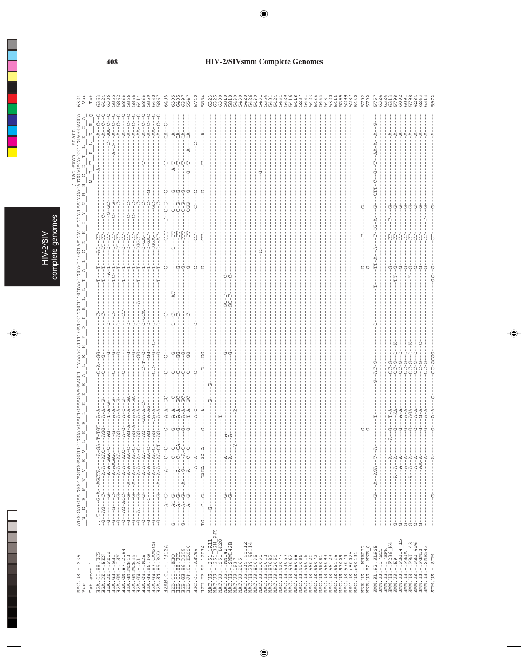| vpr<br>6324                                                                                                                                                                                                                      | Tat                                                                                       |                                                                                      |                                         |                                   |            |                         |                                  |                                            |                                                                                                                                                                                                                                                                                                                                                                                                                                                                    | 6406                                                             |                  | m m r                        |                                                                                 | 5740                                                    | 588               |                                                                                                                                                                                                                                                                                                                                                                                                                                        |     |                                                                                                             |         |   |                    |  |   |                                                               |              |               |               |        |  |  |  |  |  | $N$ $N$<br>5793                                                     | 4                                                                                                          |                                                                                                                          | 4000140                                                                                                                                                                                                                                                                                                                                                                                                                             |                             |                                            |                                      |        |                                                                | 597                                          |
|----------------------------------------------------------------------------------------------------------------------------------------------------------------------------------------------------------------------------------|-------------------------------------------------------------------------------------------|--------------------------------------------------------------------------------------|-----------------------------------------|-----------------------------------|------------|-------------------------|----------------------------------|--------------------------------------------|--------------------------------------------------------------------------------------------------------------------------------------------------------------------------------------------------------------------------------------------------------------------------------------------------------------------------------------------------------------------------------------------------------------------------------------------------------------------|------------------------------------------------------------------|------------------|------------------------------|---------------------------------------------------------------------------------|---------------------------------------------------------|-------------------|----------------------------------------------------------------------------------------------------------------------------------------------------------------------------------------------------------------------------------------------------------------------------------------------------------------------------------------------------------------------------------------------------------------------------------------|-----|-------------------------------------------------------------------------------------------------------------|---------|---|--------------------|--|---|---------------------------------------------------------------|--------------|---------------|---------------|--------|--|--|--|--|--|---------------------------------------------------------------------|------------------------------------------------------------------------------------------------------------|--------------------------------------------------------------------------------------------------------------------------|-------------------------------------------------------------------------------------------------------------------------------------------------------------------------------------------------------------------------------------------------------------------------------------------------------------------------------------------------------------------------------------------------------------------------------------|-----------------------------|--------------------------------------------|--------------------------------------|--------|----------------------------------------------------------------|----------------------------------------------|
|                                                                                                                                                                                                                                  | $\circ$<br>U<br>囸<br>U<br>$\mathbb{R}^2$<br>$-4$<br>卣<br>J.<br>$\mathsf{p}_4$<br>$\vdash$ | O<br>↻<br>К<br>U                                                                     | υ<br>U U<br>$AA -$<br>U<br>К            | U                                 | ひひひひひ<br>U | U<br>$A - 1$<br>$A - 1$ | ↻<br>U                           | υU<br>U<br>$-4 - -$<br>$-4 - -$<br>$-44 -$ | U<br>$-1$<br>$-\mathbf{A}$                                                                                                                                                                                                                                                                                                                                                                                                                                         | ひ<br>Ś                                                           | Н                | ASG<br>Н                     | $\mathfrak{S}$<br>$-4$<br>Н<br>н                                                | U                                                       | К                 |                                                                                                                                                                                                                                                                                                                                                                                                                                        |     |                                                                                                             |         |   |                    |  |   |                                                               |              |               |               |        |  |  |  |  |  |                                                                     | $\overset{-}{\circ}$<br>$\vec{A}$<br>$-AA - A$<br>$\mathbb H$<br>-                                         |                                                                                                                          |                                                                                                                                                                                                                                                                                                                                                                                                                                     |                             | みみみみみみみ                                    |                                      |        |                                                                |                                              |
| ATGGGATGARAGGGTAGTGGAAGAACTGAAAGAAGGCTTRAAACATTTGATCCTCGCTTGCTACTGGTAATCATATATAGACACGGGACCCTTGAGGGACA<br>_ W _ D _ E _ W _ V _ V _ E _ V _ L _ E _ E _ L _ K _ E _ E _ K _ H _ F _ D _ P _ E _ L _ L _ T _ A _ L _ G _ M _ H _ I | Ą<br>凹<br>Σ                                                                               | y<br>$\frac{c}{1}$<br>U                                                              | ↻<br>U                                  | Ÿ                                 | ↻<br>Ů     | ◡<br>O                  | ◡                                | $\frac{1}{\sqrt{2}}$                       | 학학량학                                                                                                                                                                                                                                                                                                                                                                                                                                                               | ひ<br>$\frac{1}{1}$<br>U                                          | К<br>U           | もりし                          | ひ<br>ひひひひ<br>CGG                                                                | ひ<br>Ú                                                  | ひ                 |                                                                                                                                                                                                                                                                                                                                                                                                                                        |     |                                                                                                             |         |   |                    |  | ひ |                                                               |              |               |               |        |  |  |  |  |  | ひ                                                                   | ؋<br>$-CTTT-C$<br>U<br>$-CC - A$                                                                           |                                                                                                                          | Н                                                                                                                                                                                                                                                                                                                                                                                                                                   |                             | ひ ひ ひ ひ ひ ひ                                |                                      |        | ひ<br>ひ<br>$\vdash$                                             |                                              |
|                                                                                                                                                                                                                                  | 5<br>$AC -$                                                                               |                                                                                      | פולילפילילה<br>פולילפילילה?<br>פולילפול |                                   |            |                         |                                  |                                            | $C - -2I$<br>CGGA-                                                                                                                                                                                                                                                                                                                                                                                                                                                 | <b>LLD-</b>                                                      | Ę<br>U           | FT-                          | E<br>턱                                                                          | 5                                                       | 5                 |                                                                                                                                                                                                                                                                                                                                                                                                                                        |     |                                                                                                             |         |   |                    |  |   |                                                               |              |               |               |        |  |  |  |  |  |                                                                     | 턱<br>$\vec{A}$                                                                                             |                                                                                                                          | 55555555                                                                                                                                                                                                                                                                                                                                                                                                                            |                             |                                            |                                      |        |                                                                |                                              |
|                                                                                                                                                                                                                                  | н<br>Н                                                                                    | $A - T$<br>۳<br>$\mathbf{I}$<br>$\overline{\phantom{0}}$<br>$\vdash$<br>$\mathbf{I}$ | 부<br>$\mathbb{F}^{\mathbb{C}}$          | 부<br>⊢<br>-<br>- 1<br>$\mathbb H$ | ⊢          | Н<br>⊢                  | е<br>$\mathbf{I}$<br>$\mathbb H$ | н                                          | н<br>е                                                                                                                                                                                                                                                                                                                                                                                                                                                             | ひ                                                                | RΙ               | ひ                            | ひ<br>ひ                                                                          | ひ                                                       | ひ                 |                                                                                                                                                                                                                                                                                                                                                                                                                                        |     | U                                                                                                           | ↻       |   |                    |  |   |                                                               |              |               |               |        |  |  |  |  |  | ひ<br>ひ                                                              | $\vec{A}$<br>-TT-<br>E                                                                                     |                                                                                                                          | ひ                                                                                                                                                                                                                                                                                                                                                                                                                                   | <b>いい</b><br>NH             | ひ                                          | U<br>Ϋ́-                             | ひ      | ひ<br>ひ                                                         | ど<br>ğ                                       |
|                                                                                                                                                                                                                                  |                                                                                           | 무무 !<br>O                                                                            | 무<br>$\mathbf{I}$                       | FD-<br>$\blacksquare$<br>U<br>- 1 |            |                         | $-4$<br>GCA<br>ひひひひ              | υU                                         | ◡                                                                                                                                                                                                                                                                                                                                                                                                                                                                  | U                                                                | Ó<br>◡           | Ó                            | ب                                                                               | U                                                       |                   |                                                                                                                                                                                                                                                                                                                                                                                                                                        |     | $G - T$                                                                                                     | $G - T$ |   |                    |  |   |                                                               |              |               |               |        |  |  |  |  |  |                                                                     |                                                                                                            |                                                                                                                          |                                                                                                                                                                                                                                                                                                                                                                                                                                     |                             |                                            |                                      |        |                                                                |                                              |
|                                                                                                                                                                                                                                  | ن<br>- - - -<br>$C - A$                                                                   | ひ<br>也<br>↻                                                                          | ゥ<br>U                                  | $\ddot{\phi}$<br>↻                | じ じ        |                         | ひ<br>ひ<br>ひ<br>텃<br>◡            | <u>ყ</u>                                   | U<br>ひ<br>ひ<br>5C                                                                                                                                                                                                                                                                                                                                                                                                                                                  | ひ<br>U                                                           | ひ                | 9Ó                           | ひ<br>9<br>9<br><b>UUUU</b>                                                      | U                                                       | 99<br>ပ်          |                                                                                                                                                                                                                                                                                                                                                                                                                                        |     | ひ                                                                                                           | ひ       |   |                    |  |   |                                                               |              |               |               |        |  |  |  |  |  |                                                                     | $-AC - G$                                                                                                  |                                                                                                                          | ဝ်ဝ်ဝ်ဝ်ဝ်<br>မိုင်္ဂိုင််ဝိုင်                                                                                                                                                                                                                                                                                                                                                                                                     | ×<br>$\mathbf{I}$<br>ΟU     |                                            | $ -K$<br>υU                          | U      | U<br>ひ<br>ひ<br>ಕ<br>U<br>U                                     | <b>PPD-22-22</b>                             |
|                                                                                                                                                                                                                                  |                                                                                           |                                                                                      |                                         |                                   |            |                         |                                  |                                            | $\begin{array}{l} A_1A_1=1\\ A_1A_2=0\\ \hline 1\cdot A_1A_2=0\\ \hline 1\cdot A_1A_2=0\\ \hline 1\cdot A_1A_2=A_2\\ \hline 1\cdot A_1A_2=A_2\\ \hline 1\cdot A_1A_2=A_2\\ \hline 1\cdot A_1A_2=A_2\\ \hline 1\cdot A_1A_2=A_2\\ \hline 1\cdot A_1A_2=A_2\\ \hline 1\cdot A_1A_2=A_2\\ \hline 1\cdot A_1A_2=A_2\\ \hline 1\cdot A_1A_2=A_2\\ \hline 1\cdot A_1$                                                                                                    | ن<br>ا<br>$A - A$                                                | $\frac{1}{2}$    |                              | ن<br>ا<br>$\begin{array}{c}\nA & A & A \\ 1 & 1 & 1\n\end{array}$<br>入入入工       | Ò<br>Ą                                                  | К                 |                                                                                                                                                                                                                                                                                                                                                                                                                                        |     |                                                                                                             |         | Ŗ |                    |  |   |                                                               |              |               |               |        |  |  |  |  |  |                                                                     | ť.<br>F                                                                                                    |                                                                                                                          | $-4$<br>⊢                                                                                                                                                                                                                                                                                                                                                                                                                           | KA<br>$\mathbf I$           |                                            |                                      |        | $-4$<br>4                                                      | $A - A$                                      |
|                                                                                                                                                                                                                                  | <b>LOID-1</b>                                                                             |                                                                                      |                                         |                                   |            |                         |                                  |                                            |                                                                                                                                                                                                                                                                                                                                                                                                                                                                    | ひ                                                                |                  |                              | ひひひひ                                                                            |                                                         | Ü                 |                                                                                                                                                                                                                                                                                                                                                                                                                                        |     |                                                                                                             | A       |   |                    |  |   |                                                               |              |               |               |        |  |  |  |  |  | ひ<br>ひ                                                              | J.                                                                                                         |                                                                                                                          | $- - A$<br>$\mathbf{I}$<br>$\mathbf I$                                                                                                                                                                                                                                                                                                                                                                                              | $\mathbf{I}$<br>$\mathsf I$ | ??????????<br>$\mathbf I$                  | $\,$ I                               | $\,$ I |                                                                |                                              |
|                                                                                                                                                                                                                                  |                                                                                           |                                                                                      |                                         |                                   |            |                         |                                  |                                            |                                                                                                                                                                                                                                                                                                                                                                                                                                                                    |                                                                  | $\mathbf{I}$     | t                            |                                                                                 | $- -A - -A - -$                                         |                   | Ħ                                                                                                                                                                                                                                                                                                                                                                                                                                      |     | $\begin{array}{c} \begin{array}{c} \text{1} \\ \text{2} \\ \text{3} \\ \text{4} \end{array} \\ \end{array}$ |         |   |                    |  |   |                                                               |              |               |               |        |  |  |  |  |  |                                                                     | $\mathbf I$<br>$\mathbf{I}$<br>$\mathbf{I}$<br>$\mathbf{I}$                                                | $\mathbb{L}$<br>$\mathbb{I}$<br>$\mathbb{L}$<br>$\mathbf{I}$<br>Ħ                                                        |                                                                                                                                                                                                                                                                                                                                                                                                                                     |                             |                                            |                                      |        | К<br>$A - A$<br>÷<br>Ť<br>Ť<br>$\mathbf{I}$                    | Ą<br>J.<br>$\mathsf{I}$<br>ŧ<br>$\mathbb{I}$ |
|                                                                                                                                                                                                                                  | $-4-4-4-4$                                                                                |                                                                                      |                                         |                                   |            |                         |                                  |                                            |                                                                                                                                                                                                                                                                                                                                                                                                                                                                    | $- -2 - -6 - - -$<br>$\mathsf I$<br>$\mathbf{I}$<br>$\mathsf{L}$ | $\mathsf I$<br>φ | $\mathbf{I}$<br>$\mathbb{L}$ | $---A-$<br>J.<br>$\frac{1}{\mathbf{C}}$<br>$\mathbf{I}$<br>î.                   | $\mathbf{I}$<br>Ť.<br>ŧ<br>$\mathbf{I}$<br>$\mathbf{I}$ |                   | $\mathbf{I}$                                                                                                                                                                                                                                                                                                                                                                                                                           |     | Ť                                                                                                           |         |   | J.<br>$\mathbf{I}$ |  |   | $\begin{array}{c} \rule{0.2cm}{0.15mm} \end{array}$<br>$\,$ I | $\mathbf{1}$ | $\frac{1}{1}$ | $\frac{1}{4}$ | $\,$ I |  |  |  |  |  |                                                                     | ŧ<br>ł<br>$\mathbf{I}$                                                                                     | $\begin{array}{c} \begin{array}{c} \text{1} \\ \text{2} \\ \text{3} \\ \text{4} \end{array} \end{array}$<br>$\mathbf{I}$ | $\begin{split} \mathbf{G} = \begin{bmatrix} \mathbf{G} & \mathbf{G} & \mathbf{G} & \mathbf{G} & \mathbf{G} & \mathbf{G} & \mathbf{G} & \mathbf{G} & \mathbf{G} & \mathbf{G} & \mathbf{G} & \mathbf{G} & \mathbf{G} & \mathbf{G} & \mathbf{G} & \mathbf{G} & \mathbf{G} & \mathbf{G} & \mathbf{G} & \mathbf{G} & \mathbf{G} & \mathbf{G} & \mathbf{G} & \mathbf{G} & \mathbf{G} & \mathbf{G} & \mathbf{G} & \mathbf{G} & \mathbf{G}$ |                             | ひひひひひひ                                     |                                      |        | $\frac{1}{1}$<br>ŧ<br>$\frac{1}{1}$<br>Ť<br>$\,$ I             | $\sigma$ <sup>-</sup>                        |
| MAC.US. - .239<br>$_{\rm VPT}$                                                                                                                                                                                                   | $\overline{\phantom{a}}$<br>exon<br>Tat                                                   |                                                                                      |                                         |                                   |            |                         |                                  |                                            | $\begin{array}{ll} \text{H2A.}\ \text{CL} & \text{88.}\ \text{UC2}\\ \text{H2A.}\ \text{DB1}\cdot\text{-}\text{BBI}\\ \text{H2A.}\ \text{dB1}\cdot\text{-}\text{H2I}\\ \text{H2A.}\ \text{GH}\cdot\text{-}\text{-}\text{LST}\\ \text{H2A.}\ \text{GH}\cdot\text{-}\text{-}\text{LST}\\ \text{H2A.}\ \text{GH}\cdot\text{-}\text{-}\text{LST}\\ \text{H2A.}\ \text{GH}\cdot\text{MOM13}\\ \text{H2A.}\ \text{GH}\cdot\text{-}\text{LST3}\\ \text{H2A.}\ \text{GH}\$ | $-.7312A$<br>$\cdot$<br>H2AB.CI                                  | H2B.CI.-. EHO    |                              | $\circ$<br>HZB.CI.88.UC1<br>HZB.CH.86.UC1<br>HZB.JP.01.KR020<br>HZB.JP.01.KR020 | H2G.CI. - . ABT96                                       | H2U. FR. 96.12034 | $\begin{small} \texttt{MEC} & \texttt{UB} & \texttt{1} & \texttt{1} & \texttt{1} & \texttt{1} & \texttt{1} & \texttt{1} & \texttt{1} \\ \texttt{MEC} & \texttt{UB} & \texttt{1} & \texttt{1} & \texttt{1} & \texttt{1} & \texttt{1} & \texttt{1} \\ \texttt{MEC} & \texttt{UB} & \texttt{1} & \texttt{1} & \texttt{1} & \texttt{1} & \texttt{1} \\ \texttt{MEC} & \texttt{UB} & \texttt{1} & \texttt{1} & \texttt{1} & \texttt{1} & \$ | PJ5 |                                                                                                             |         |   |                    |  |   |                                                               |              |               |               |        |  |  |  |  |  | $\sum_{i=1}^{\infty}$<br>$-$ . MNE02<br>MNE. US. 82. MNE<br>MNE.US. | SMM. SL. 92. SL92B<br>SMM. US. - .17BC1<br>SMM. US. - .17BER<br>SMM. US. - .F236_H4<br>SMM. US. - .F236_H4 |                                                                                                                          |                                                                                                                                                                                                                                                                                                                                                                                                                                     |                             | LN<br>$SMM. US. - . PBJ14_11SMM.US.-.PBJA$ | SMM.US.-.PBJ_143<br>SMM.US.-.PBJ_6P6 |        | SME543<br>PGM53<br>Ť<br>7<br>$\frac{1}{2}$<br>SMM.US.<br>SMM.U | <b>STM</b><br>STM.US                         |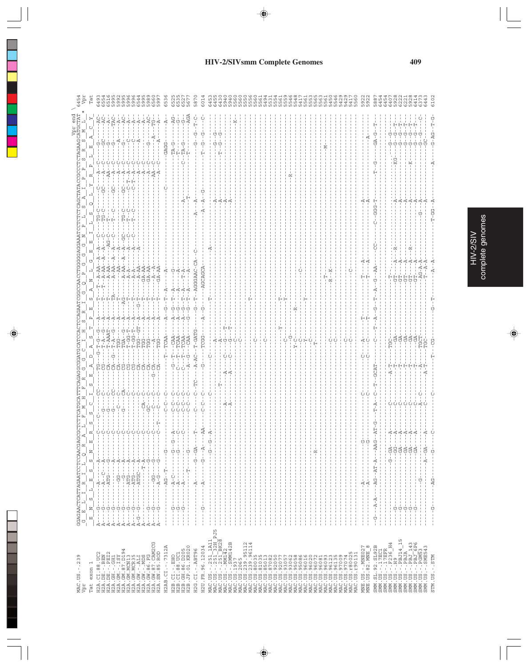| ž<br>မွ<br>ì |  |
|--------------|--|
|--------------|--|

<u>ვი</u>

| IAICONACONACHIO DO CONTRONACHIO DO DO PARANO A CONTRO DO PORTO DO PARANO DO ANO DA ADO PARO DO PARA DO PARANA E<br>$TA-G$<br>$TA-G$<br>GAGG-<br>R<br>E<br>д<br>C)<br>U<br>$\mathbf{\Omega}$<br>$\mathbf{a}$<br>K,<br>$\approx$<br>$\mathbf{a}$<br>부<br>투<br>≻<br>្ញុំ<br>ڹۣ<br>U<br>U<br>ט<br>-A<br>$A \land A$<br>F<br>К<br>К<br>$A \land A$<br>К<br>$\circ$<br>999<br>U<br>$T G - C$<br>U<br>C<br>₫<br>C)<br>t<br>÷<br>Ġ<br>ひ<br>E<br>E<br>U<br>ÿ<br>U<br>Y<br>U<br>U<br>ă<br>К<br>К<br>К<br>К<br>C<br>ĸ<br>К<br>К<br>К<br>œ<br>J.<br>К<br>K.<br>$-4$<br>$-4$<br>٢ŋ<br>A<br>Æ<br>K,<br>A<br>К<br>AGGGAAC-CA<br>$T = -$<br>-AG-A-2<br>$A - AA$<br>$A - A$<br>Ą<br>$A - A$<br>$A - A$<br>-AGCAGCA<br>$A - A^T$<br>ひ<br>- - K<br>$A - A$<br>$\overline{A}$ .<br>5<br>5<br>5<br>5<br>Z<br>ひ<br>O<br>$\mathbb{A}^-$<br>d<br>K.<br>Æ<br>К<br>Æ<br>Ο<br>S<br>凹<br>ひ<br>ᄲ<br>也<br>ひ<br>$\approx$<br>$\mathbf{\Omega}$<br>Æ<br>C)<br>$\mathbb H$<br>-GT<br>$\begin{array}{c}\n\downarrow \\ \downarrow \\ \downarrow\n\end{array}$<br>$-G-G-T$<br>ь<br>⊢<br>ó<br>ひ<br>ひ<br>-AAAT<br>T-GATG<br>Ξ<br>- 55 - 1<br>C)<br>TCGG<br>U<br>F<br>TCAA<br>-CAA<br>3<br>3<br>ひ<br>TGG<br>Ü<br>CO <sub>L</sub><br>₫<br>ひ<br>ひ<br>C<br>C<br>K,<br>К<br>Ü<br>Ü<br>ė<br>$\Box$<br>ひ<br>$\mathbb H$<br>$- A - AC$<br>U<br>U<br>U<br>$\tau$ 1<br>Ü<br>$-A$ -<br>Ś<br>К<br>PG.<br>๓<br>ි<br>S<br>g<br>ひ<br>50<br>ぴ<br>К<br>ජි<br>⊢<br>ь<br>ь<br>ፈ ፈ<br>凹<br>C)<br>C<br>S<br>U<br>U<br>U<br>U<br>К<br>К<br>υ<br>U<br>τ)<br>ひ<br>ひ<br>てり<br>U<br>τı<br>CŊ<br>m<br>₹<br>みみみみみ<br>O<br>◡<br>υU<br>≮U<br>◡<br>GGAGAACTCAATCAATCCTCCAACGAG<br>$-5 - 0 - 0 - 1$<br>凹<br>やーー<br>$-1 - 5 - 7$<br>じー<br>$-{\rm AAG}$<br>$\mathbf{p}$<br>$-GB$ -<br>$-GA-$<br>$-45$<br>İ<br>$\,$<br>$\overline{\phantom{a}}$<br>$-5 - 1$<br>$\,$<br>$\,$<br>ı<br>I<br>$\,$ $\,$<br>t<br>í<br>I.<br>$-45 - - - - -$<br>J.<br>$-45 -$<br>$-4 - -6A -$<br>$-5 - 1$<br>$-45 - - - - -$<br>-------<br>-- 0<br>--<br>$\,$<br>J.<br>$-1$ $-1$ $-1$ $-1$ $-1$ $-1$ $-1$<br>٠<br>J.<br>$\frac{1}{2}$<br>$\frac{1}{1}$<br>$\frac{1}{1}$<br>l,<br>1<br>٠<br>z<br>f,<br>$\mathbf{I}$<br>$\,$<br>J<br>$\,$<br>$\,$ I<br>$\circ$<br>ŧ<br>$\frac{1}{4}$<br>$- - A - -$<br>$- - A - -$<br>$\frac{1}{4}$<br>$\frac{1}{4}$<br>$\frac{1}{4}$<br>$\frac{1}{4}$<br>÷<br>$\frac{1}{4}$<br>J<br>$\,$<br>$\,$ I<br>$\,$ $\,$<br>$\mathbf{I}$<br>J.<br>$\mathbf{L}$<br>$-4G - 2G - 2T - A -$<br>C)<br>$-740$<br>$---DTTGC---A$<br>$\ddot{9}$ $\ddot{9}$<br>$\ddot{1}$<br>$---A$<br>$- - A T G - - - - A$<br>$- - A$<br>$-1 - T - A$<br>ウ<br>$\,$<br>J.<br>٠<br>п<br>٠<br>$\mathbf{I}$<br>٠<br>1<br>$\Box$<br>$\mathfrak l$<br>$-$ - $\Gamma$ - $-$<br>$\,$ I<br>$\overline{\phantom{a}}$<br>t<br>٠<br>C)<br>$-99 - -$<br>$-99 -$<br>$\frac{1}{2}$<br>-11<br>$\,$ I<br>Î<br>ŧ<br>$-5 - 7 - 9 - 9$<br>$- -2A - T$<br>t<br>Ť<br>$\sf I$<br>İ<br>$\frac{1}{4}$<br>t<br>t<br>J<br>-<br>$- -A - -C -$<br>$\mathbf{H}$<br>$- P T G -$<br>$-2-4-1$<br>$\frac{1}{1}$<br>J.<br>-<br>$\mathbf{I}$<br>-<br>$- -A - -$<br>$- - A - -$<br>$-A$ -<br>$-A$ -<br>$\frac{1}{2}$<br>$[ \underline{x} ]$<br>$\mathbb{I}$<br>$\blacksquare$<br>$- - P -$<br>$-4 - 7$<br>$\frac{1}{1}$<br>J.<br>$\mathbbm{R}$<br>$\mathbf{I}$<br>$\mathbf{I}$<br>$\frac{1}{1}$<br>٠<br>$\mathbf{I}$<br>J.<br>$\mathfrak l$<br>$\overline{a}$<br>$\begin{array}{c} \rule{0.2cm}{0.15mm} \rule{0.2cm}{0.15mm} \rule{0.2cm}{0.15mm} \rule{0.2cm}{0.15mm} \rule{0.2cm}{0.15mm} \rule{0.2cm}{0.15mm} \rule{0.2cm}{0.15mm} \rule{0.2cm}{0.15mm} \rule{0.2cm}{0.15mm} \rule{0.2cm}{0.15mm} \rule{0.2cm}{0.15mm} \rule{0.2cm}{0.15mm} \rule{0.2cm}{0.15mm} \rule{0.2cm}{0.15mm} \rule{0.2cm}{0.15mm} \rule{$<br>$\,$<br>$\,$ $\,$<br>$\frac{1}{2}$<br>$\frac{1}{1}$<br>$\mathbb H$<br>$\frac{1}{1}$<br>J.<br>J.<br>$\mathbf{I}$<br>ł.<br>$\frac{1}{4}$<br>$\frac{1}{4}$<br>$\,$<br>$\overline{\phantom{a}}$<br>J.<br>J.<br>J.<br>$\mathbf{I}$<br>$\begin{array}{c} \n 1 \\  1 \\  1\n \end{array}$<br>$\frac{1}{1}$<br>$\frac{1}{1}$<br>$\frac{1}{1}$<br>$\blacksquare$<br>٠<br>$\mathbf{I}$<br>$\mathbf{I}$<br>J.<br>$\mathbf{I}$<br>$\mathbf{I}$<br>$\,$ I<br>$\mathbf{I}$<br>J.<br>$\mathbf{I}$<br>$\mathbf{I}$<br>$\mathbf{I}$<br>J.<br>J.<br>٠<br>$\mathbf{I}$<br>$\blacksquare$<br>٠<br>٠<br>J.<br>$\mathbf{I}$<br>C)<br>$\mathbf{I}$<br>f,<br>$-4 - A - A$<br>f,<br>$\mathfrak l$<br>$\mathbf I$<br>$\blacksquare$<br>$\mathbf I$<br>٠<br>$\Box$<br>$\sf I$<br>$\,$ I<br>$\,$ $\,$<br>$\mathsf I$<br>$\mathsf I$<br>$\frac{1}{1}$<br>$\frac{1}{4}$<br>$\,$<br>Í<br>I.<br>I<br>J<br>$\mathbf{I}$<br>J.<br>J.<br>$\mathbf{I}$<br>J,<br>$\mathbf{I}$<br>٠<br>$\mathbf{I}$<br>$\square$<br>さー<br>$\frac{1}{\sqrt{2}}$<br>$\frac{1}{\sqrt{2}}$<br>$\overline{c}$<br>$\frac{c}{1}$<br>$\frac{1}{\sqrt{2}}$<br>$\frac{1}{\sqrt{2}}$<br>$\mathbf{I}$<br>$\mathbf{I}$<br>$\frac{1}{1}$<br>$\,$<br>ပု<br>먹<br>$\frac{1}{1}$<br>l,<br>J.<br>٠<br>٠<br>凹<br>f,<br>J<br>$\overline{1}$<br>$\mathfrak l$<br>j<br>$\mathbf I$<br>$\mathsf I$<br>$\,$<br>$\mathfrak l$<br>t<br>$\mathfrak l$<br>$\mathbf{I}$<br>ı<br>J,<br>٠<br>J<br>$\begin{bmatrix} x \end{bmatrix}$<br>J.<br>$\mathbf{I}$<br>I<br>÷<br>$\frac{1}{4}$<br>ひ<br>л<br><b>U</b><br>$\mathbf{I}$<br>٠<br>٠<br>-<br>٠<br>$\mathbf{I}$<br>$\mathbf{I}$<br>$\blacksquare$<br>$\mathbf{I}$<br>٠<br>J.<br>J.<br>MAC.US.-.251_1A11<br>MAC.US.-.251_32H_PJ5<br>MAC.US.-.251_BK28<br>S<br>$\begin{array}{l} \rm I2A,\,CL,\,88\,,\,UC2\\ \rm I2A,\,DB.-IBIN\\ \rm I2A,\,GB.-GBIN\\ \rm I2A,\,GH.-GBIN\\ \rm I2A,\,GH.-ISY\\ \rm I2A,\,GH, 1.15Y\\ \rm I2A,\,GH, 1.15Y\\ \rm I2A,\,GH, 1.15Y\\ \rm I2A,\,GH, 1.15Y\\ \rm I2A,\,GH, 1.15Y\\ \rm I2A,\,GH, 1.15Y\\ \rm I2A,\,GH, 1.15Y\\ \rm I2A,\,GH, 1.15Y\\ \rm I2A,\,GH, 1.15Y\\ \rm$<br>$\begin{small} \texttt{MRL} & \texttt{MRL} \\ \texttt{MRL} & \texttt{MRL} \\ \texttt{MRL} & \texttt{MRL} \\ \texttt{MRL} & \texttt{MRL} \\ \texttt{MRL} & \texttt{MRL} \\ \texttt{MRL} & \texttt{MRL} \\ \texttt{MRL} & \texttt{MRL} \\ \texttt{MRL} & \texttt{MRL} \\ \texttt{MRL} & \texttt{MRL} \\ \texttt{MRL} & \texttt{MRL} \\ \texttt{MRL} & \texttt{MRL} \\ \texttt{MRL} & \texttt{MRL} \\ \texttt{MRL} & \texttt{MRL} \\ \texttt{MRL}$<br>SMM. 51. 92. 51.92B<br>SMM. US. - 1.7BC1<br>SMM. US. - 1.7EPR<br>SMM. US. - 1.7236<br>SMM. US. - 1.8236<br>--.PBJ_143<br>--.PBJ_6P6<br>--.PGM53<br>--.SME543<br>H2AB. CI. - . 7312A<br>H2B.CI.-.HHO<br>H2B.CI.88.UC1<br>H2B.CH.86.D205<br>H2B.JP.01.KR020<br>H2U. FR. 96.12034<br>$\begin{array}{l} \texttt{MNE} \cdot \texttt{US} \cdot - \cdot \texttt{MNE} \texttt{027} \\ \texttt{MNE} \cdot \texttt{US} \cdot \texttt{82} \cdot \texttt{MNE} \underline{\hspace{1mm}} \texttt{8} \end{array}$<br>-.PBJA | 645<br>0<br>ypr<br>Σ<br>C) | Fa<br>U<br>К<br>囯 | 90<br>Ġ | ູບູ່ ປ | ഥ<br>$-A-$ | QCD<br>Ú | ഄ<br>U |  |  | 653 |  | - AGA | 587<br>ひ<br>Ġ     | 601<br>Ü<br>Ġ | 645<br>645 | ひ<br>ひ | U<br>Ġ |  |  |  | o mununununununununununununununu<br>4 שמחמחמחמת שמחמחמחמת שמחמחמת שמ<br>4 של שטמחמס שמחמחמת של שהם שטמש |  |  |  |  |  | 54 | 54 | O<br>$\frac{4}{5}$ | 592 | じームご | τη | ひ<br>てり | ひ<br>τŋ | ひ<br>Ġ | ひ<br>ひ<br>Ů<br>Ġ | ひ<br>ಕ | T-G<br>$G - AG$<br>9<br>G |
|--------------------------------------------------------------------------------------------------------------------------------------------------------------------------------------------------------------------------------------------------------------------------------------------------------------------------------------------------------------------------------------------------------------------------------------------------------------------------------------------------------------------------------------------------------------------------------------------------------------------------------------------------------------------------------------------------------------------------------------------------------------------------------------------------------------------------------------------------------------------------------------------------------------------------------------------------------------------------------------------------------------------------------------------------------------------------------------------------------------------------------------------------------------------------------------------------------------------------------------------------------------------------------------------------------------------------------------------------------------------------------------------------------------------------------------------------------------------------------------------------------------------------------------------------------------------------------------------------------------------------------------------------------------------------------------------------------------------------------------------------------------------------------------------------------------------------------------------------------------------------------------------------------------------------------------------------------------------------------------------------------------------------------------------------------------------------------------------------------------------------------------------------------------------------------------------------------------------------------------------------------------------------------------------------------------------------------------------------------------------------------------------------------------------------------------------------------------------------------------------------------------------------------------------------------------------------------------------------------------------------------------------------------------------------------------------------------------------------------------------------------------------------------------------------------------------------------------------------------------------------------------------------------------------------------------------------------------------------------------------------------------------------------------------------------------------------------------------------------------------------------------------------------------------------------------------------------------------------------------------------------------------------------------------------------------------------------------------------------------------------------------------------------------------------------------------------------------------------------------------------------------------------------------------------------------------------------------------------------------------------------------------------------------------------------------------------------------------------------------------------------------------------------------------------------------------------------------------------------------------------------------------------------------------------------------------------------------------------------------------------------------------------------------------------------------------------------------------------------------------------------------------------------------------------------------------------------------------------------------------------------------------------------------------------------------------------------------------------------------------------------------------------------------------------------------------------------------------------------------------------------------------------------------------------------------------------------------------------------------------------------------------------------------------------------------------------------------------------------------------------------------------------------------------------------------------------------------------------------------------------------------------------------------------------------------------------------------------------------------------------------------------------------------------------------------------------------------------------------------------------------------------------------------------------------------------------------------------------------------------------------------------------------------------------------------------------------------------------------------------------------------------------------------------------------------------------------------------------------------------------------------------------------------------------------------------------------------------------------------------------------------------------------------------------------------------------------------------------------------------------------------------------------------------------------------------------------------------------------------------------------------------------------------------------------------------------------------------------------------------------------------------------------------------------------------------------------------------------------------------------------------------------------------------------------------------------------------------------------------------------------------------------------------------------------------------------------------------------------------------------------------------------------------------------------------------------------------------------------------------------------------------------------------------------------------------------------------------------------------------------------------------------------------------------------------------------------------------------|----------------------------|-------------------|---------|--------|------------|----------|--------|--|--|-----|--|-------|-------------------|---------------|------------|--------|--------|--|--|--|---------------------------------------------------------------------------------------------------------|--|--|--|--|--|----|----|--------------------|-----|------|----|---------|---------|--------|------------------|--------|---------------------------|
|                                                                                                                                                                                                                                                                                                                                                                                                                                                                                                                                                                                                                                                                                                                                                                                                                                                                                                                                                                                                                                                                                                                                                                                                                                                                                                                                                                                                                                                                                                                                                                                                                                                                                                                                                                                                                                                                                                                                                                                                                                                                                                                                                                                                                                                                                                                                                                                                                                                                                                                                                                                                                                                                                                                                                                                                                                                                                                                                                                                                                                                                                                                                                                                                                                                                                                                                                                                                                                                                                                                                                                                                                                                                                                                                                                                                                                                                                                                                                                                                                                                                                                                                                                                                                                                                                                                                                                                                                                                                                                                                                                                                                                                                                                                                                                                                                                                                                                                                                                                                                                                                                                                                                                                                                                                                                                                                                                                                                                                                                                                                                                                                                                                                                                                                                                                                                                                                                                                                                                                                                                                                                                                                                                                                                                                                                                                                                                                                                                                                                                                                                                                                                                                                                                                          |                            |                   |         |        |            |          |        |  |  |     |  |       |                   |               |            |        |        |  |  |  |                                                                                                         |  |  |  |  |  |    |    |                    |     |      |    |         |         |        |                  |        |                           |
|                                                                                                                                                                                                                                                                                                                                                                                                                                                                                                                                                                                                                                                                                                                                                                                                                                                                                                                                                                                                                                                                                                                                                                                                                                                                                                                                                                                                                                                                                                                                                                                                                                                                                                                                                                                                                                                                                                                                                                                                                                                                                                                                                                                                                                                                                                                                                                                                                                                                                                                                                                                                                                                                                                                                                                                                                                                                                                                                                                                                                                                                                                                                                                                                                                                                                                                                                                                                                                                                                                                                                                                                                                                                                                                                                                                                                                                                                                                                                                                                                                                                                                                                                                                                                                                                                                                                                                                                                                                                                                                                                                                                                                                                                                                                                                                                                                                                                                                                                                                                                                                                                                                                                                                                                                                                                                                                                                                                                                                                                                                                                                                                                                                                                                                                                                                                                                                                                                                                                                                                                                                                                                                                                                                                                                                                                                                                                                                                                                                                                                                                                                                                                                                                                                                          |                            |                   |         |        |            |          |        |  |  |     |  |       |                   |               |            |        |        |  |  |  |                                                                                                         |  |  |  |  |  |    |    |                    |     |      |    |         |         |        |                  |        |                           |
|                                                                                                                                                                                                                                                                                                                                                                                                                                                                                                                                                                                                                                                                                                                                                                                                                                                                                                                                                                                                                                                                                                                                                                                                                                                                                                                                                                                                                                                                                                                                                                                                                                                                                                                                                                                                                                                                                                                                                                                                                                                                                                                                                                                                                                                                                                                                                                                                                                                                                                                                                                                                                                                                                                                                                                                                                                                                                                                                                                                                                                                                                                                                                                                                                                                                                                                                                                                                                                                                                                                                                                                                                                                                                                                                                                                                                                                                                                                                                                                                                                                                                                                                                                                                                                                                                                                                                                                                                                                                                                                                                                                                                                                                                                                                                                                                                                                                                                                                                                                                                                                                                                                                                                                                                                                                                                                                                                                                                                                                                                                                                                                                                                                                                                                                                                                                                                                                                                                                                                                                                                                                                                                                                                                                                                                                                                                                                                                                                                                                                                                                                                                                                                                                                                                          |                            |                   |         |        |            |          |        |  |  |     |  |       |                   |               |            |        |        |  |  |  |                                                                                                         |  |  |  |  |  |    |    |                    |     |      |    |         |         |        |                  |        |                           |
|                                                                                                                                                                                                                                                                                                                                                                                                                                                                                                                                                                                                                                                                                                                                                                                                                                                                                                                                                                                                                                                                                                                                                                                                                                                                                                                                                                                                                                                                                                                                                                                                                                                                                                                                                                                                                                                                                                                                                                                                                                                                                                                                                                                                                                                                                                                                                                                                                                                                                                                                                                                                                                                                                                                                                                                                                                                                                                                                                                                                                                                                                                                                                                                                                                                                                                                                                                                                                                                                                                                                                                                                                                                                                                                                                                                                                                                                                                                                                                                                                                                                                                                                                                                                                                                                                                                                                                                                                                                                                                                                                                                                                                                                                                                                                                                                                                                                                                                                                                                                                                                                                                                                                                                                                                                                                                                                                                                                                                                                                                                                                                                                                                                                                                                                                                                                                                                                                                                                                                                                                                                                                                                                                                                                                                                                                                                                                                                                                                                                                                                                                                                                                                                                                                                          |                            |                   |         |        |            |          |        |  |  |     |  |       |                   |               |            |        |        |  |  |  |                                                                                                         |  |  |  |  |  |    |    |                    |     |      |    |         |         |        |                  |        |                           |
|                                                                                                                                                                                                                                                                                                                                                                                                                                                                                                                                                                                                                                                                                                                                                                                                                                                                                                                                                                                                                                                                                                                                                                                                                                                                                                                                                                                                                                                                                                                                                                                                                                                                                                                                                                                                                                                                                                                                                                                                                                                                                                                                                                                                                                                                                                                                                                                                                                                                                                                                                                                                                                                                                                                                                                                                                                                                                                                                                                                                                                                                                                                                                                                                                                                                                                                                                                                                                                                                                                                                                                                                                                                                                                                                                                                                                                                                                                                                                                                                                                                                                                                                                                                                                                                                                                                                                                                                                                                                                                                                                                                                                                                                                                                                                                                                                                                                                                                                                                                                                                                                                                                                                                                                                                                                                                                                                                                                                                                                                                                                                                                                                                                                                                                                                                                                                                                                                                                                                                                                                                                                                                                                                                                                                                                                                                                                                                                                                                                                                                                                                                                                                                                                                                                          |                            |                   |         |        |            |          |        |  |  |     |  |       |                   |               |            |        |        |  |  |  |                                                                                                         |  |  |  |  |  |    |    |                    |     |      |    |         |         |        |                  |        |                           |
|                                                                                                                                                                                                                                                                                                                                                                                                                                                                                                                                                                                                                                                                                                                                                                                                                                                                                                                                                                                                                                                                                                                                                                                                                                                                                                                                                                                                                                                                                                                                                                                                                                                                                                                                                                                                                                                                                                                                                                                                                                                                                                                                                                                                                                                                                                                                                                                                                                                                                                                                                                                                                                                                                                                                                                                                                                                                                                                                                                                                                                                                                                                                                                                                                                                                                                                                                                                                                                                                                                                                                                                                                                                                                                                                                                                                                                                                                                                                                                                                                                                                                                                                                                                                                                                                                                                                                                                                                                                                                                                                                                                                                                                                                                                                                                                                                                                                                                                                                                                                                                                                                                                                                                                                                                                                                                                                                                                                                                                                                                                                                                                                                                                                                                                                                                                                                                                                                                                                                                                                                                                                                                                                                                                                                                                                                                                                                                                                                                                                                                                                                                                                                                                                                                                          |                            |                   |         |        |            |          |        |  |  |     |  |       |                   |               |            |        |        |  |  |  |                                                                                                         |  |  |  |  |  |    |    |                    |     |      |    |         |         |        |                  |        |                           |
|                                                                                                                                                                                                                                                                                                                                                                                                                                                                                                                                                                                                                                                                                                                                                                                                                                                                                                                                                                                                                                                                                                                                                                                                                                                                                                                                                                                                                                                                                                                                                                                                                                                                                                                                                                                                                                                                                                                                                                                                                                                                                                                                                                                                                                                                                                                                                                                                                                                                                                                                                                                                                                                                                                                                                                                                                                                                                                                                                                                                                                                                                                                                                                                                                                                                                                                                                                                                                                                                                                                                                                                                                                                                                                                                                                                                                                                                                                                                                                                                                                                                                                                                                                                                                                                                                                                                                                                                                                                                                                                                                                                                                                                                                                                                                                                                                                                                                                                                                                                                                                                                                                                                                                                                                                                                                                                                                                                                                                                                                                                                                                                                                                                                                                                                                                                                                                                                                                                                                                                                                                                                                                                                                                                                                                                                                                                                                                                                                                                                                                                                                                                                                                                                                                                          | MAC.US. - .239             |                   |         |        |            |          |        |  |  |     |  |       | H2G.CI. - . ABT96 |               |            |        |        |  |  |  |                                                                                                         |  |  |  |  |  |    |    |                    |     |      |    |         |         |        |                  |        |                           |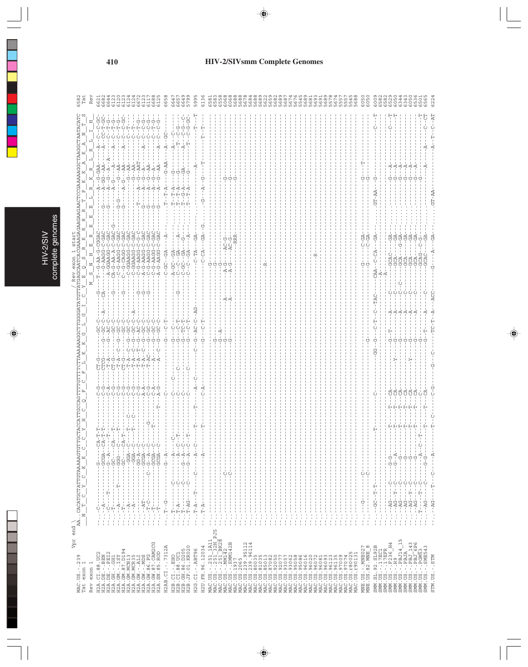| 58<br>Tai                                                                                                                                                                                                                                                                                                                                                                                                                                                                                                                                                                                                                                                                     | Re <sup>r</sup>                         |                        |                |            |                          |                                   |                             |                 |                |                             |                                           |                                                                                                                                                                                                                                                                                                                                                                                                                                                                                                                             |                                                      | 665              | 6665                                                                                                                                                                                                                                                                                                                                                                                                                                                                                                                                                                                                                                                                                                                                                                                                                    |                           | 79<br>64<br>$\circ$<br>5                    | ର<br>LO                                 | 613                                                        | <b>LO</b>         | 5<br>5<br>5<br>5                                                                                                                                                                                                                                                                                                                                      |    | w                   | O           | <u>ഗ</u> ഗ | LO |                |          |  | LO |   |        | <u> ഗ ഗ ഗ</u> | LO            |   | ഗ | LO | $\mathsf{L}\Omega$ |   |   |                                |   |          | 605<br>605                                                    |                                      |                                                                                             |                                      |                  |        |                                                                                                          |                                      |                                                  |                                     |                                                | 622                                            |
|-------------------------------------------------------------------------------------------------------------------------------------------------------------------------------------------------------------------------------------------------------------------------------------------------------------------------------------------------------------------------------------------------------------------------------------------------------------------------------------------------------------------------------------------------------------------------------------------------------------------------------------------------------------------------------|-----------------------------------------|------------------------|----------------|------------|--------------------------|-----------------------------------|-----------------------------|-----------------|----------------|-----------------------------|-------------------------------------------|-----------------------------------------------------------------------------------------------------------------------------------------------------------------------------------------------------------------------------------------------------------------------------------------------------------------------------------------------------------------------------------------------------------------------------------------------------------------------------------------------------------------------------|------------------------------------------------------|------------------|-------------------------------------------------------------------------------------------------------------------------------------------------------------------------------------------------------------------------------------------------------------------------------------------------------------------------------------------------------------------------------------------------------------------------------------------------------------------------------------------------------------------------------------------------------------------------------------------------------------------------------------------------------------------------------------------------------------------------------------------------------------------------------------------------------------------------|---------------------------|---------------------------------------------|-----------------------------------------|------------------------------------------------------------|-------------------|-------------------------------------------------------------------------------------------------------------------------------------------------------------------------------------------------------------------------------------------------------------------------------------------------------------------------------------------------------|----|---------------------|-------------|------------|----|----------------|----------|--|----|---|--------|---------------|---------------|---|---|----|--------------------|---|---|--------------------------------|---|----------|---------------------------------------------------------------|--------------------------------------|---------------------------------------------------------------------------------------------|--------------------------------------|------------------|--------|----------------------------------------------------------------------------------------------------------|--------------------------------------|--------------------------------------------------|-------------------------------------|------------------------------------------------|------------------------------------------------|
| GAAGAAGAACTCCGAAAAGCTAAGGCTAATACATC                                                                                                                                                                                                                                                                                                                                                                                                                                                                                                                                                                                                                                           | H                                       | 9<br>G<br>U<br>$\circ$ | υ<br>U         | ひ          | ひ<br>U<br>$\mathbf{A}^-$ | <b>CO</b><br>ひ<br>↻<br>◡<br>К     | ◡                           | O               | U              | U<br>$\mathbf{A}^-$         | $\mathbf{I}$<br>◡                         | မှ မှ မှ မှ မှ မှ<br>Ė<br>ó<br>$\frac{1}{\mathbf{C}}$<br>C<br>$- A -$                                                                                                                                                                                                                                                                                                                                                                                                                                                       | ひっ                                                   | $- A -$          | υU<br>$\overline{A}$                                                                                                                                                                                                                                                                                                                                                                                                                                                                                                                                                                                                                                                                                                                                                                                                    | $\frac{1}{\sqrt{2}}$<br>탁 | U<br>U-9-0<br>$\ddot{\phi}$<br>U<br>К       | Ĥ                                       | $\vdash$                                                   |                   |                                                                                                                                                                                                                                                                                                                                                       |    |                     |             |            |    |                |          |  |    |   |        |               |               |   |   |    |                    |   |   |                                |   |          |                                                               |                                      |                                                                                             |                                      |                  |        |                                                                                                          |                                      |                                                  |                                     |                                                |                                                |
|                                                                                                                                                                                                                                                                                                                                                                                                                                                                                                                                                                                                                                                                               |                                         | ひ                      |                |            |                          | $-5 - -5 -$                       | $-A-7-7$                    | ひ               | $-AA$<br>ひ     | ひ                           |                                           | $G - -AA$                                                                                                                                                                                                                                                                                                                                                                                                                                                                                                                   | $G - A$                                              |                  | も さ                                                                                                                                                                                                                                                                                                                                                                                                                                                                                                                                                                                                                                                                                                                                                                                                                     |                           | $\mathbb{G}_{\mathcal{A}}$<br>(5)<br>-      |                                         | ひ                                                          |                   |                                                                                                                                                                                                                                                                                                                                                       |    | ひ                   | υ υ         |            |    |                |          |  |    |   |        |               |               |   |   |    |                    |   |   |                                |   |          | てり<br>ひ                                                       |                                      | ひ                                                                                           |                                      | К                |        |                                                                                                          | みみみみみ<br>ももももももも                     |                                                  |                                     |                                                |                                                |
|                                                                                                                                                                                                                                                                                                                                                                                                                                                                                                                                                                                                                                                                               | α<br>囸<br>凹                             |                        | Ū<br>A<br>てりてり |            | $-2-6-$                  | $-2 - 5 -$<br>ひ<br>υυ             |                             |                 | 4              | Ą                           | $\stackrel{\text{I}}{\Delta}$             | 4<br>4<br>ああああ                                                                                                                                                                                                                                                                                                                                                                                                                                                                                                              | $T - A$<br>$\,$ I<br>Н                               |                  | $T - A$                                                                                                                                                                                                                                                                                                                                                                                                                                                                                                                                                                                                                                                                                                                                                                                                                 | $T - A$<br>ł              | $\begin{array}{c}\nG-A \\ T-A\n\end{array}$ |                                         |                                                            |                   |                                                                                                                                                                                                                                                                                                                                                       |    |                     |             |            |    |                |          |  |    |   |        |               |               |   |   |    |                    |   |   |                                |   |          |                                                               |                                      | $-AA$                                                                                       |                                      |                  |        |                                                                                                          |                                      |                                                  |                                     |                                                |                                                |
|                                                                                                                                                                                                                                                                                                                                                                                                                                                                                                                                                                                                                                                                               | 囯<br>囯                                  |                        |                |            |                          |                                   | GAC                         | <b>GAC</b>      |                | <b>GAC</b>                  | U<br>GAC                                  | GAC<br>CAC<br>G                                                                                                                                                                                                                                                                                                                                                                                                                                                                                                             |                                                      |                  |                                                                                                                                                                                                                                                                                                                                                                                                                                                                                                                                                                                                                                                                                                                                                                                                                         |                           |                                             |                                         |                                                            |                   |                                                                                                                                                                                                                                                                                                                                                       |    | $AC-G$              | Q           | RRR        |    |                |          |  |    |   |        |               |               |   |   |    |                    |   |   |                                |   |          | U                                                             |                                      | අ                                                                                           |                                      | €                |        | ပှံ                                                                                                      | $5555$                               | සි                                               | ပုံ                                 |                                                |                                                |
|                                                                                                                                                                                                                                                                                                                                                                                                                                                                                                                                                                                                                                                                               | Z<br>CΩ<br>Σ                            | ó                      |                | <b>G</b> O | $G-AA-AA$                | $-9999 - - - -$<br><b>C-G-AAG</b> | C-GGAAGG-                   | <b>-CGAAGG-</b> | $-9-29G-5-$    | $G-AAGG-$<br>$\overline{A}$ | $G-AGG-$<br>$\overline{\phantom{a}}$<br>U | -0-2AGG-0-0-0-2-<br>ΰ<br>$\overline{A}$                                                                                                                                                                                                                                                                                                                                                                                                                                                                                     | $-GB$<br>$C - G C -$                                 |                  | F<br>$-100 - 12$                                                                                                                                                                                                                                                                                                                                                                                                                                                                                                                                                                                                                                                                                                                                                                                                        | GA                        | GA<br>GA<br>$\frac{1}{C}$<br>$-50 -$        | C-TA                                    | $-CA$<br>U                                                 |                   | すっ                                                                                                                                                                                                                                                                                                                                                    | ひ  | ひ<br>$\overline{A}$ | ひ<br>Ŕ.     |            |    |                |          |  |    |   |        |               |               |   |   |    |                    |   |   |                                |   |          | ひ                                                             |                                      | $-5$<br>CAA.                                                                                |                                      | CCAC-            | GCA-   | $GCA -$<br>$GCA -$                                                                                       | $GCA-$                               |                                                  | じょこり                                |                                                |                                                |
|                                                                                                                                                                                                                                                                                                                                                                                                                                                                                                                                                                                                                                                                               |                                         | U                      |                |            | ひ                        |                                   |                             |                 | ひ              | ひ                           |                                           |                                                                                                                                                                                                                                                                                                                                                                                                                                                                                                                             |                                                      |                  |                                                                                                                                                                                                                                                                                                                                                                                                                                                                                                                                                                                                                                                                                                                                                                                                                         |                           |                                             |                                         |                                                            |                   |                                                                                                                                                                                                                                                                                                                                                       |    |                     |             |            |    |                |          |  |    |   |        |               |               |   |   |    |                    |   |   |                                |   |          |                                                               |                                      | TAC                                                                                         |                                      | U<br>K.          | U      |                                                                                                          | ひひひ<br>RARA                          |                                                  |                                     |                                                |                                                |
| $\begin{array}{l} \pi^2 \rightarrow \pi^2 \rightarrow \pi^2 \rightarrow \pi^2 \rightarrow \pi^2 \rightarrow \pi^2 \rightarrow \pi^2 \rightarrow \pi^2 \rightarrow \pi^2 \rightarrow \pi^2 \rightarrow \pi^2 \rightarrow \pi^2 \rightarrow \pi^2 \rightarrow \pi^2 \rightarrow \pi^2 \rightarrow \pi^2 \rightarrow \pi^2 \rightarrow \pi^2 \rightarrow \pi^2 \rightarrow \pi^2 \rightarrow \pi^2 \rightarrow \pi^2 \rightarrow \pi^2 \rightarrow \pi^2 \rightarrow \pi^2 \rightarrow \pi^2 \rightarrow \pi^2 \rightarrow \pi^2 \rightarrow \pi^2 \rightarrow \pi^2 \rightarrow \pi^2 \rightarrow \pi^2 \rightarrow \pi^2 \rightarrow \pi^2 \rightarrow \pi^2 \rightarrow \pi^$ |                                         |                        | ひひ             | Q          | y                        | ں<br>!<br>º.<br>ς<br>y<br>てり<br>U | U<br>U<br>U<br>U<br>てり<br>U | しょり<br>U        | $AC-C$<br>Н    | しっぴ<br>$\circ$              | $C-C$                                     | <b>ひひひひひひ</b><br>Ù,                                                                                                                                                                                                                                                                                                                                                                                                                                                                                                         | ひ                                                    | ローロ              | $\overline{O}$<br>ひひひ                                                                                                                                                                                                                                                                                                                                                                                                                                                                                                                                                                                                                                                                                                                                                                                                   | Н                         | н<br>е<br>U<br>↻<br>てり                      | U<br>$AC -$<br>C                        | Ů<br>$\tau$                                                |                   |                                                                                                                                                                                                                                                                                                                                                       | -A | ひひりひひ               |             |            |    |                |          |  |    |   |        |               |               |   |   |    |                    |   |   |                                |   |          |                                                               |                                      | Н<br>U<br>ひ                                                                                 |                                      | ⊢                |        |                                                                                                          | ひ ひ ひ ひ ひ ひ                          |                                                  | τŋ                                  |                                                |                                                |
|                                                                                                                                                                                                                                                                                                                                                                                                                                                                                                                                                                                                                                                                               |                                         | 먼                      | CTCG-<br>-T-A- |            | $CT - G$                 | $-4$<br>$\ddot{\Omega}$<br>턱<br>5 | $-4$                        | $-T - A$        | $\overline{A}$ | -A                          | $-AC$<br>Н                                | 4                                                                                                                                                                                                                                                                                                                                                                                                                                                                                                                           |                                                      |                  |                                                                                                                                                                                                                                                                                                                                                                                                                                                                                                                                                                                                                                                                                                                                                                                                                         |                           |                                             |                                         |                                                            |                   |                                                                                                                                                                                                                                                                                                                                                       |    |                     |             |            |    |                |          |  |    |   |        |               |               |   |   |    |                    |   |   |                                |   |          |                                                               |                                      | 9                                                                                           |                                      |                  |        |                                                                                                          |                                      |                                                  |                                     |                                                |                                                |
| റ                                                                                                                                                                                                                                                                                                                                                                                                                                                                                                                                                                                                                                                                             |                                         |                        |                |            |                          | ひ<br>ひ<br>U                       | ひ                           | ÜÜ              | <b>ひ ひ</b>     | Ą                           | ひ                                         | К<br>ひ<br>しょししょ                                                                                                                                                                                                                                                                                                                                                                                                                                                                                                             | U                                                    |                  | υU                                                                                                                                                                                                                                                                                                                                                                                                                                                                                                                                                                                                                                                                                                                                                                                                                      |                           | U                                           |                                         |                                                            |                   |                                                                                                                                                                                                                                                                                                                                                       |    |                     |             |            |    |                |          |  |    |   |        |               |               |   |   |    |                    |   |   |                                |   |          |                                                               |                                      |                                                                                             |                                      | J                | Ś<br>н | $\overline{c}$<br>$\overline{c}$                                                                         | $\mathfrak{S}$<br><b>PPPP</b>        | යි                                               |                                     |                                                |                                                |
|                                                                                                                                                                                                                                                                                                                                                                                                                                                                                                                                                                                                                                                                               |                                         |                        |                |            |                          |                                   |                             |                 |                |                             |                                           |                                                                                                                                                                                                                                                                                                                                                                                                                                                                                                                             |                                                      |                  |                                                                                                                                                                                                                                                                                                                                                                                                                                                                                                                                                                                                                                                                                                                                                                                                                         |                           |                                             | $A - C - C$                             |                                                            |                   |                                                                                                                                                                                                                                                                                                                                                       | Ħ  |                     |             |            |    |                |          |  |    |   |        |               |               |   |   |    |                    |   |   |                                |   |          |                                                               |                                      |                                                                                             |                                      |                  |        | $\mathbb{H}$<br>е                                                                                        | E<br>I,                              | ï                                                | ÷                                   | ÷                                              |                                                |
|                                                                                                                                                                                                                                                                                                                                                                                                                                                                                                                                                                                                                                                                               |                                         |                        |                |            |                          |                                   |                             |                 |                |                             |                                           |                                                                                                                                                                                                                                                                                                                                                                                                                                                                                                                             | $\overline{\phantom{a}}$                             | $G - A - -$<br>÷ | $\mathbf{I}$<br>$\mathbf{I}$<br>$\mathbf{I}$<br>$\frac{1}{4}$                                                                                                                                                                                                                                                                                                                                                                                                                                                                                                                                                                                                                                                                                                                                                           | $\blacksquare$<br>f,<br>j | $C_1$<br>$C - C$<br>Ť.<br>ţ                 | Ŧ<br>٠<br>$\mathsf{I}$<br>$\frac{1}{2}$ | $A -$<br>Ţ<br>ł<br>ł                                       | ł.<br>$\mathsf I$ | $\frac{1}{4}$<br>$\mathsf I$<br>$\mathsf I$<br>$\begin{array}{c} \begin{array}{c} \begin{array}{c} \begin{array}{c} \begin{array}{c} \end{array} \\ \begin{array}{c} \end{array} \\ \begin{array}{c} \end{array} \\ \begin{array}{c} \end{array} \\ \begin{array}{c} \end{array} \\ \begin{array}{c} \end{array} \end{array} \end{array} \end{array}$ | j. |                     |             |            |    |                |          |  |    |   |        |               |               |   |   |    |                    |   |   |                                |   |          | $\ddot{\phi}$ $\ddot{\phi}$<br>$\ddot{\phi}$<br>$\ddot{\phi}$ |                                      | $\mathbf{I}$<br>Ĵ                                                                           |                                      | $\frac{1}{4}$    |        | ł<br>ŧ<br>$-\frac{c}{1}$<br>$\frac{1}{\sqrt{2}}$<br>٠<br>$\frac{1}{1}$<br>$\mathbf{I}$<br>$\blacksquare$ | $\frac{0}{1}$<br>$\frac{1}{1}$<br>÷, | Ħ<br>$\ddot{\circ}$<br>J.<br>I.<br>$\frac{1}{4}$ | $---A---C$<br>J,<br>$\bar{1}$<br>J, | $\frac{1}{1}$<br>$-9 - 0 - 0$<br>$\frac{1}{1}$ |                                                |
| AACACATGCTATTGTAAAAGTGTTG<br>NTCYCYCKKCKCC                                                                                                                                                                                                                                                                                                                                                                                                                                                                                                                                                                                                                                    |                                         |                        |                |            |                          |                                   |                             |                 |                |                             |                                           | $\begin{aligned} &\vdots & \qquad \qquad \vdots & \qquad \qquad \vdots & \qquad \vdots & \qquad \vdots & \qquad \vdots & \qquad \vdots & \qquad \vdots & \qquad \vdots & \qquad \vdots & \qquad \vdots & \qquad \vdots & \qquad \vdots & \qquad \vdots & \qquad \vdots & \qquad \vdots & \qquad \vdots & \qquad \vdots & \qquad \vdots & \qquad \vdots & \qquad \vdots & \qquad \vdots & \qquad \vdots & \qquad \vdots & \qquad \vdots & \qquad \vdots & \qquad \vdots & \qquad \vdots & \qquad \vdots & \qquad \vdots & \$ | $\overline{\phantom{a}}$<br>÷.<br>$\therefore T - G$ |                  | $\begin{array}{c} 0 & 0 & 0 \\ 0 & 0 & 0 \\ 0 & 0 & 0 \\ 0 & 0 & 0 \\ 0 & 0 & 0 \\ 0 & 0 & 0 \\ 0 & 0 & 0 \\ 0 & 0 & 0 \\ 0 & 0 & 0 \\ 0 & 0 & 0 \\ 0 & 0 & 0 \\ 0 & 0 & 0 \\ 0 & 0 & 0 \\ 0 & 0 & 0 \\ 0 & 0 & 0 \\ 0 & 0 & 0 \\ 0 & 0 & 0 \\ 0 & 0 & 0 \\ 0 & 0 & 0 & 0 \\ 0 & 0 & 0 & 0 \\ 0 & 0 & 0 & 0 \\ 0 & 0 & 0 & 0 \\ 0 &$<br>$\begin{array}{ccccccccccccc} . & . & . & . & . & . & . & . \\ . & . & . & . & . & . & . & . \\ . & . & . & . & . & . & . & . \\ . & . & . & . & . & . & . & . \\ . & . & . & . & . & . & . & . \\ . & . & . & . & . & . & . & . \\ . & . & . & . & . & . & . & . \\ . & . & . & . & . & . & . & . \\ . & . & . & . & . & . & . & . \\ . & . & . & . & . & . & . & . \\ . & . & . & . & . & . & . & . \\ . & . & . & . & . & . & . & . \\ . & . & . & . & . & . & . & . \\ . &$ | W                         |                                             | $\,$<br>Ť<br>$T - A - -T$<br>þ          | ł<br>$\mathsf I$<br>$\mathsf I$<br>$T - A - -$<br>$\vdots$ | $\ddot{\cdot}$    | $\begin{smallmatrix} 1 & 1 & 1 & 1 \\ 1 & 1 & 1 & 1 \\ 1 & 1 & 1 & 1 \\ 1 & 1 & 1 & 1 \\ 1 & 1 & 1 & 1 \\ 1 & 1 & 1 & 1 \\ 1 & 1 & 1 & 1 \\ 1 & 1 & 1 & 1 \\ 1 & 1 & 1 & 1 \\ 1 & 1 & 1 & 1 \\ 1 & 1 & 1 & 1 \\ 1 & 1 & 1 & 1 \\ 1 & 1 & 1 & 1 \\ 1 & 1 & 1 & 1 \\ 1 & 1 & 1 & 1 \\ 1 & 1 & 1 & 1 \\ 1 & 1 & 1 & 1 & 1 \\ 1 & 1 & $<br>È              | Ì  | $\frac{1}{2}$<br>ţ. | ţ<br>Ť<br>ţ |            |    | $\ddot{\cdot}$ | $\vdots$ |  |    | Ì | ţ<br>Ì | þ             | $\frac{1}{2}$ | Ì | t | ţ  | ţ.                 | t | Ì | $\frac{1}{2}$<br>$\frac{1}{2}$ | ţ | $\vdots$ | $-9 - -$<br>$\frac{1}{4}$                                     | Ť<br>$\frac{1}{1}$<br>$\ddot{\cdot}$ | $-1 - T - T$<br>$\mathbf{L}$<br>$\mathbb{L}$<br>$\frac{1}{1}$<br>$-10$<br>$\mathbb{L}$<br>t |                                      |                  |        |                                                                                                          |                                      |                                                  |                                     |                                                | $\frac{1}{1}$<br>$- -P - - -$<br>$\mathfrak l$ |
| Vpr end \<br>$-239$                                                                                                                                                                                                                                                                                                                                                                                                                                                                                                                                                                                                                                                           |                                         |                        |                |            |                          |                                   |                             |                 |                |                             |                                           |                                                                                                                                                                                                                                                                                                                                                                                                                                                                                                                             | $-.7312A$                                            |                  |                                                                                                                                                                                                                                                                                                                                                                                                                                                                                                                                                                                                                                                                                                                                                                                                                         |                           |                                             |                                         | 96.12034                                                   |                   |                                                                                                                                                                                                                                                                                                                                                       |    |                     |             |            |    |                |          |  |    |   |        |               |               |   |   |    |                    |   |   |                                |   |          |                                                               |                                      |                                                                                             |                                      |                  |        | $\sqrt{2}$                                                                                               |                                      |                                                  |                                     |                                                | <b>STM</b>                                     |
| MAC.US.-.<br>Tat exon                                                                                                                                                                                                                                                                                                                                                                                                                                                                                                                                                                                                                                                         | $\overline{\phantom{0}}$<br>exon<br>Rev |                        |                |            |                          |                                   |                             |                 |                |                             |                                           | $\begin{array}{l} \rm H2A\cdot\rm CI\cdot 18\cdot\rm IC2\\ \rm H2A\cdot\rm DE\cdot 1-BR1\\ \rm H2A\cdot\rm GE\cdot 1-B1\\ \rm H2A\cdot\rm GL\cdot 1-B1\\ \rm H2A\cdot\rm GL\cdot 1-B2\\ \rm H2A\cdot\rm GL\cdot 1-B3\\ \rm H2A\cdot\rm GL\cdot 1-B4\\ \rm H2A\cdot\rm GL\cdot 1-B5\\ \rm H2A\cdot\rm GL\cdot 1-B4\\ \rm H2A\cdot\rm GL\cdot 1-B5\\ \rm H2A\cdot\rm GL\cdot 1-B5\\ \rm H2A\cdot\rm GL\cdot 1-B5\\ \rm H$                                                                                                     |                                                      | H2AB.CI.         | H2B.CI.-.EHO<br>H2B.CI.88.UC1<br>H2B.GH.86.D205<br>H2B.JP.01.KR020                                                                                                                                                                                                                                                                                                                                                                                                                                                                                                                                                                                                                                                                                                                                                      |                           |                                             | H2G.CI. - . ABT96                       | H2U.FR.                                                    |                   |                                                                                                                                                                                                                                                                                                                                                       |    |                     |             |            |    |                |          |  |    |   |        |               |               |   |   |    |                    |   |   |                                |   |          | MNE.US. - . MNE027<br>MNE.US. 82. MNE_8                       |                                      | SMM. SL. 92. SL92B                                                                          | SMM.US. - .17EC1<br>SMM.US. - .17EFR | SMM.US.-.F236_H4 |        |                                                                                                          |                                      |                                                  |                                     |                                                | STM.US                                         |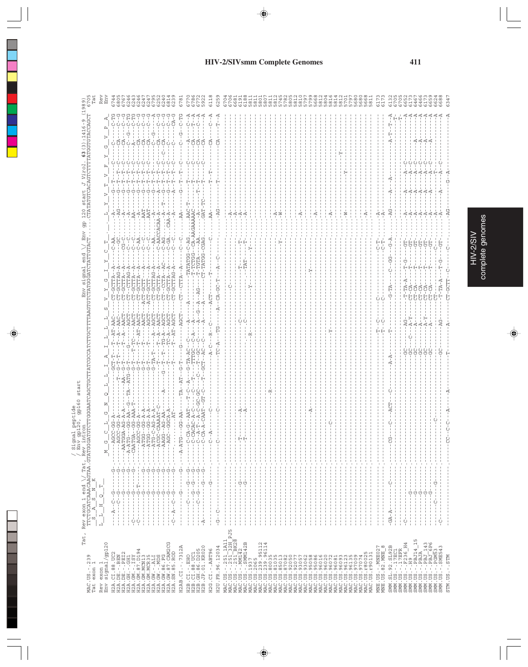les

| Rev<br>Env<br>്<br>のトロ<br>(198C)                                                                                                                                                                                                                                                                                                    | மங<br>Um<br>$Q \cap P$ in $Q$<br>A O O A A A A A A O MA A A<br>C O C A A A A A A O MA O M<br>C O C O O O O O O O O O O O O                                                                                                                                                                                                                                                                                                                                                                                  |                                                                                                                                                                                                                                                                                                                                                                                                                                                                                                                                                            | 678                                                                              | ৩<br>FREEZ<br>PERRO<br>PERRO                                                                                                                                                                                                                                              | 611                                                                                       | 625                                                                                                                                |                                                                                                                    |                              |                                                                                                                                                                                       |                                                                                                                                                  |                                                 |         | m                                                                                                                                                                                                                                                                                                                                            | N M | $\circ$                                                           | C | $\infty$<br>$\sim$                                                                                                                              | ৩<br>4                         | せいコレ | $\circ$                        | o                                                                                                                                                                                                                                                                                                                                                                                                             | 617                                                                                                                                                            |                                                            |                                                                                                                                                                                                                     |                                                                                                                                                                          |                                                                                                                                                                                                                                                              | <u>ഗ ന ത</u>                                                                   |                                                                                                 | 634                  |
|-------------------------------------------------------------------------------------------------------------------------------------------------------------------------------------------------------------------------------------------------------------------------------------------------------------------------------------|-------------------------------------------------------------------------------------------------------------------------------------------------------------------------------------------------------------------------------------------------------------------------------------------------------------------------------------------------------------------------------------------------------------------------------------------------------------------------------------------------------------|------------------------------------------------------------------------------------------------------------------------------------------------------------------------------------------------------------------------------------------------------------------------------------------------------------------------------------------------------------------------------------------------------------------------------------------------------------------------------------------------------------------------------------------------------------|----------------------------------------------------------------------------------|---------------------------------------------------------------------------------------------------------------------------------------------------------------------------------------------------------------------------------------------------------------------------|-------------------------------------------------------------------------------------------|------------------------------------------------------------------------------------------------------------------------------------|--------------------------------------------------------------------------------------------------------------------|------------------------------|---------------------------------------------------------------------------------------------------------------------------------------------------------------------------------------|--------------------------------------------------------------------------------------------------------------------------------------------------|-------------------------------------------------|---------|----------------------------------------------------------------------------------------------------------------------------------------------------------------------------------------------------------------------------------------------------------------------------------------------------------------------------------------------|-----|-------------------------------------------------------------------|---|-------------------------------------------------------------------------------------------------------------------------------------------------|--------------------------------|------|--------------------------------|---------------------------------------------------------------------------------------------------------------------------------------------------------------------------------------------------------------------------------------------------------------------------------------------------------------------------------------------------------------------------------------------------------------|----------------------------------------------------------------------------------------------------------------------------------------------------------------|------------------------------------------------------------|---------------------------------------------------------------------------------------------------------------------------------------------------------------------------------------------------------------------|--------------------------------------------------------------------------------------------------------------------------------------------------------------------------|--------------------------------------------------------------------------------------------------------------------------------------------------------------------------------------------------------------------------------------------------------------|--------------------------------------------------------------------------------|-------------------------------------------------------------------------------------------------|----------------------|
| 4<br>U<br>$\Omega$<br>⊳<br>Ü<br>Σ                                                                                                                                                                                                                                                                                                   | לקמקמקמה<br>המהלהי<br>$\ddot{\circ}$<br>5 SS<br><b>JASSSJSS</b>                                                                                                                                                                                                                                                                                                                                                                                                                                             | A<br>יליק<br>הקיק<br>ג<br>$\frac{1}{\sqrt{2}}$<br>$\cup$<br>$\circ$<br>↻                                                                                                                                                                                                                                                                                                                                                                                                                                                                                   | $C-TG$<br>ひ<br>U                                                                 | $A \nA$<br>A<br>٠<br>-1<br>UHU<br>FSSS                                                                                                                                                                                                                                    | Ą<br>U<br>F                                                                               | К<br>ජි                                                                                                                            |                                                                                                                    |                              |                                                                                                                                                                                       |                                                                                                                                                  |                                                 |         |                                                                                                                                                                                                                                                                                                                                              |     |                                                                   |   |                                                                                                                                                 |                                |      |                                |                                                                                                                                                                                                                                                                                                                                                                                                               |                                                                                                                                                                | $-1$<br>$A - T$                                            | $\mathbf{I}$<br>부<br>н                                                                                                                                                                                              | -A                                                                                                                                                                       | AAAA                                                                                                                                                                                                                                                         |                                                                                | みみみみみみ                                                                                          | K.                   |
| 120 start J Virol. 63(3):1416-9 (<br>CTATATGTCACAGTCTTTTATGGTGTACCAGCT<br>U<br>$\mathbb{E}$<br>⊳<br>$\mathbb H$<br>٢ŋ<br>⋗                                                                                                                                                                                                          | <b>ひひひひひひひ</b><br>н<br>÷<br>$\frac{1}{1}$<br>$\frac{1}{1}$<br>÷<br>÷<br>부<br>н<br>$\mathsf{I}$<br>÷<br>せせひひひひぱひひ<br>てりてり                                                                                                                                                                                                                                                                                                                                                                                    | ひひひひ<br>н<br>нн<br>÷<br>÷,<br>÷<br>$\frac{1}{1}$<br>÷<br>eeeeeeee<br>÷<br>÷<br>$\Delta$                                                                                                                                                                                                                                                                                                                                                                                                                                                                    | ↻<br>Н<br>$\mathbb{H}$<br>てり                                                     | ひひひひ<br><b>HHHH</b><br>е                                                                                                                                                                                                                                                  | $\vdash$                                                                                  |                                                                                                                                    |                                                                                                                    |                              |                                                                                                                                                                                       |                                                                                                                                                  |                                                 |         |                                                                                                                                                                                                                                                                                                                                              |     |                                                                   |   |                                                                                                                                                 |                                |      |                                |                                                                                                                                                                                                                                                                                                                                                                                                               |                                                                                                                                                                | $-4$<br>К                                                  |                                                                                                                                                                                                                     | ↻                                                                                                                                                                        | ひひひひひ<br>٠<br>$\overline{\phantom{a}}$<br>みみみみひ<br>$\,$ I<br>$\mathbf{I}$<br>-<br>п.<br>みみみみみ                                                                                                                                                                | $\blacksquare$                                                                 | C<br>Æ                                                                                          |                      |
| ↣<br>山<br>Æ<br>கி                                                                                                                                                                                                                                                                                                                   | <b>AG</b><br>$AA -$<br>$^{-A-}_{\rm{AAT}}$<br>AAT<br>$A -$                                                                                                                                                                                                                                                                                                                                                                                                                                                  | Н<br>RARA<br>$\mathbf{I}$                                                                                                                                                                                                                                                                                                                                                                                                                                                                                                                                  |                                                                                  | GAT-TC<br>AAC-T<br>AAAC                                                                                                                                                                                                                                                   | AA-                                                                                       | AG.                                                                                                                                |                                                                                                                    | べくくく                         |                                                                                                                                                                                       |                                                                                                                                                  |                                                 | K,<br>з |                                                                                                                                                                                                                                                                                                                                              |     |                                                                   |   |                                                                                                                                                 |                                |      |                                | K,                                                                                                                                                                                                                                                                                                                                                                                                            | K,<br>K.                                                                                                                                                       | AG                                                         |                                                                                                                                                                                                                     |                                                                                                                                                                          |                                                                                                                                                                                                                                                              |                                                                                | <b>AAAAAAA</b>                                                                                  |                      |
| Env<br><b>AA</b><br>$\mathbb H$<br>J<br>Ü<br>≻<br>Н<br>GCTTA<br>ひ<br>Σ<br>5<br>$\triangleright$                                                                                                                                                                                                                                     | U<br>Ò<br>g<br>ひひひひ<br>U<br>AAAA<br>К<br>CTTAG-<br>$\begin{array}{l} \texttt{-GCTTAG-1} \\ \texttt{-GCTTA-1} \\ \end{array}$<br>Ŧ<br>-GCTTA<br>뒹<br>5<br>5<br>5                                                                                                                                                                                                                                                                                                                                             | <br>Ο<br>$\begin{array}{l} -\text{CTT}A-\\ -\text{CTT}-G\text{CTT}A-\\ -\text{ACT}-G\text{CTT}-A-\\ -\text{CCT}-G\text{CTT}A-A-\\ -\text{CTT}-G\text{CTT}A-A-\\ -\text{CTT}-G\text{CTT}A-A-\\ -\text{CTT}-G\text{CTT}A-A-\\ -\text{CTT}-G\text{CTT}A-A-\\ -\text{CTT}-G\text{CTT}A-A-\\ -\text{CTT}-G\text{CTT}A-A-\\ -\text{CTT}-G\text{CTT}A-A-\\ -\text{CTT}-G\text{CTT}A-A-\\ -\text{CTT}-$                                                                                                                                                            | Ò<br>U<br>A,<br><b>CTTA</b><br>텅                                                 | $C_A - A$<br>$C_A - A$<br>$A$<br>$A$<br>$A$<br>$A$<br>CGAG.<br>J<br>-- T-TCTGG-<br>-- TATOT-T-<br>-- CT-TATGG-C<br>TATATGG<br>AG.<br>$-2i$<br>$-4i$<br>$-4i$                                                                                                              | U<br>$\mathbb H$<br>$-ACT$                                                                | €<br>К<br>H-UU-KU-                                                                                                                 | ↻                                                                                                                  |                              | е<br>≻<br>TAT<br>$\mathbf{I}$<br>≻                                                                                                                                                    |                                                                                                                                                  |                                                 |         |                                                                                                                                                                                                                                                                                                                                              |     |                                                                   |   |                                                                                                                                                 |                                |      |                                |                                                                                                                                                                                                                                                                                                                                                                                                               | $\begin{array}{c}\n\mathbf{F} \\ \mathbf{C} \\ \mathbf{U}\n\end{array}$<br>υU                                                                                  | $-G - A$<br>$\overline{\phantom{a}}$<br>99-<br>U<br>$G-TA$ |                                                                                                                                                                                                                     | 튱<br>$\overleftrightarrow{\mathbb{C}}$<br>우<br>н<br>⊢<br>$TA - A$<br>E                                                                                                   | 555<br>666                                                                                                                                                                                                                                                   | 5<br>CT-CA                                                                     | 5<br>U<br>ひ<br>$-TA - A$<br>н                                                                   | CT-GCTT              |
| ды в саралиторования и делосостраненного при вазановостительного ГК<br>В марки в село на селосостраненного при вазановенность под<br>CO.<br>占<br>Õ,<br>·AA<br>크<br>AT-<br>ᆸ<br>Н<br>К<br>Н<br>ひ<br>山                                                                                                                                | AGCT<br><b>AACT</b><br>AGCT<br>-AACT<br>-AACT<br>AACT<br>AAC.<br>ï<br>T<br>$-4 - 7$<br>$- - A T$<br>К<br>-TC<br>ပ္ပံ<br>н<br>н<br>턱<br>부부부부<br>н<br>н<br>투<br>ひ<br>ひ<br>ひ<br>ひ<br><b>ひ ひ ひ</b><br>ATG-<br>AA                                                                                                                                                                                                                                                                                                | $-46C$<br>$-AACT$<br>$\begin{array}{l} \mathbf{C}\mathbf{G}-\mathbf{A}-\mathbf{AGCT} \\ \mathbf{C}-\mathbf{A}-\mathbf{AGCT} \\ \mathbf{C}-\mathbf{A}-\mathbf{AGCT} \\ \mathbf{C}-\mathbf{AT}-\mathbf{AGCT} \end{array}$<br>$- - A$<br>$\mathbb H$<br>н<br>$-TR-1$<br>$\blacksquare$<br>66 6<br>ひ<br>ひ                                                                                                                                                                                                                                                      | AGCT<br>н<br>ひ                                                                   | $-4$<br>$\stackrel{1}{\circ}$<br>÷<br>$-744$<br>$\mathbf{I}$<br>$\mathbf{I}$<br>$-A$ -<br>$\,$ I<br>ひひ<br>U<br>÷<br>$\blacksquare$<br>$\blacksquare$<br>$\blacksquare$<br>$\blacksquare$<br>Ö<br>$\blacksquare$<br>Н<br>부<br>-1                                           | U<br>$\stackrel{\scriptscriptstyle\mathsf{L}}{\phantom{}_{\mathsf{K}}}$<br>٠<br>$A-C-$    | К<br>C<br>F<br>$TC - A$                                                                                                            |                                                                                                                    | ↻                            | U<br>$\mathbbmss{E}$                                                                                                                                                                  |                                                                                                                                                  |                                                 |         |                                                                                                                                                                                                                                                                                                                                              |     |                                                                   |   |                                                                                                                                                 |                                |      |                                |                                                                                                                                                                                                                                                                                                                                                                                                               | υU<br>-<br>$\mathsf{H}$<br>ь                                                                                                                                   | Н<br>К<br>$\overline{A}$ .                                 |                                                                                                                                                                                                                     | AG<br>-1<br>U<br>てり                                                                                                                                                      | $A = 1$<br>$A = 1$<br>$A = 1$<br>$A = 1$<br><b>UUUUU</b><br>ひひひ                                                                                                                                                                                              | U<br>ひ<br>ひ                                                                    | AG<br>Ū                                                                                         |                      |
| start<br>山<br>$\circ$<br>$^{60}$<br>Z<br>dB<br>B<br>peptide<br>ひ<br>$\frac{0}{2}$<br>g<br>U<br>e vua<br>Vi Env<br>$- - P G$<br>ひ<br>Σ<br>$\mathbf{1}$                                                                                                                                                                               | $-{\rm TA}$<br>ひ<br>GG-AAA-<br>$\ddot{A}$<br>$G-G - A - A$<br>$G-G-A-A$<br>$G - DA$<br>Ą.<br>$G-G-A$<br>ġ<br>-----<br>DDR-----<br>--CAATG<br>$- -A - ATC$<br>$\mathsf I$<br>$\mathsf I$<br>$\,$<br>$\blacksquare$<br>Ť<br>J.<br>$\mathbb{I}$<br>$\mathbf{I}$<br>-                                                                                                                                                                                                                                           | AAAA'<br>$AG - A$<br>ł<br>$\begin{array}{c} \rule{0.2cm}{0.15mm} \rule{0.2cm}{0.15mm} \rule{0.2cm}{0.15mm} \rule{0.2cm}{0.15mm} \rule{0.2cm}{0.15mm} \rule{0.2cm}{0.15mm} \rule{0.2cm}{0.15mm} \rule{0.2cm}{0.15mm} \rule{0.2cm}{0.15mm} \rule{0.2cm}{0.15mm} \rule{0.2cm}{0.15mm} \rule{0.2cm}{0.15mm} \rule{0.2cm}{0.15mm} \rule{0.2cm}{0.15mm} \rule{0.2cm}{0.15mm} \rule{$<br>$\,$ I<br>$\mathbf{1}$<br>$\overline{\phantom{a}}$<br>J.<br>$\mathbf{I}$<br>$\mathbf{I}$<br>$\mathbf{I}$<br>$\mathbf{I}$<br>$\mathbf{I}$<br>$\mathbf{I}$<br>$\mathbf{I}$ | $G - D$<br>$- -A - ATC$<br>$\mathbf{I}$                                          | U<br>$\circ$<br>U<br>U<br>Ā<br>ပု<br>ģ<br>ς<br>Ρ<br>CA-G--AAT-<br>CACAC-A-C-<br>-A-T--A-C-<br>CA-A-CAAT-<br>$-1 - 1 - 1$<br>$\mathbf{I}$<br>$\,$<br>$\sf I$<br>J.<br>J.<br>$\mathbf{I}$<br>$\mathbf{I}$<br>$\blacksquare$<br>$\mathbf{I}$<br>$\mathbf{I}$<br>$\mathbf{I}$ | U<br>$\mathbb{I}$<br>$\frac{1}{2}$                                                        | U<br>Ť<br>$\mathsf I$<br>$\mathbf{I}$                                                                                              | $\frac{1}{4}$<br>$\blacksquare$<br>$\frac{1}{4}$<br>$\mathbf{I}$<br>$\mathbf{I}$<br>$\mathbf{I}$<br>$\overline{1}$ | Æ<br>÷<br>+<br>$\frac{1}{4}$ | $-1$<br>$\frac{1}{4}$<br>ł<br>$\frac{1}{4}$                                                                                                                                           | $\frac{1}{1}$<br>t<br>$\begin{array}{c} 1 \\ 1 \\ 2 \\ 3 \\ 4 \end{array}$<br>$\frac{1}{4}$                                                      | $\frac{1}{1}$<br>$\frac{1}{2}$<br>$\frac{1}{1}$ |         | $\begin{bmatrix} 1 & 1 & 1 \\ 1 & 1 & 1 \\ 1 & 1 & 1 \\ 1 & 1 & 1 \\ 1 & 1 & 1 \\ 1 & 1 & 1 \\ 1 & 1 & 1 \\ 1 & 1 & 1 \\ 1 & 1 & 1 \\ 1 & 1 & 1 \\ 1 & 1 & 1 \\ 1 & 1 & 1 \\ 1 & 1 & 1 \\ 1 & 1 & 1 \\ 1 & 1 & 1 & 1 \\ 1 & 1 & 1 & 1 \\ 1 & 1 & 1 & 1 \\ 1 & 1 & 1 & 1 \\ 1 & 1 & 1 & 1 \\ 1 & 1 & 1 & 1 & 1 \\ 1 & 1 & 1 & 1 & $<br>÷<br>ţ |     | $\begin{bmatrix} 1 \\ 1 \\ 1 \\ 1 \end{bmatrix}$<br>$\frac{1}{2}$ |   | $\begin{array}{c} \begin{array}{c} \bullet \\ \bullet \\ \bullet \end{array} \\ \begin{array}{c} \bullet \\ \bullet \\ \end{array} \end{array}$ | $\frac{1}{2}$<br>$\frac{1}{1}$ |      | $\frac{1}{2}$<br>$\frac{1}{2}$ | $\frac{1}{2}$<br>$-1$<br>$\,$<br>$\frac{1}{1}$                                                                                                                                                                                                                                                                                                                                                                | Î<br>$\blacksquare$                                                                                                                                            | $-ACT$<br>U<br>UU-------                                   | $-1$<br>$\,$ I<br>$\mathbf{I}$<br>$\mathsf I$                                                                                                                                                                       | I                                                                                                                                                                        | $\,$<br>$\,$ $\,$                                                                                                                                                                                                                                            | $\mathbf{I}$<br>$\mathbb{I}$                                                   | $\mathbf{I}$<br>٠                                                                               | К<br>U<br>U          |
| $\begin{array}{lcl} {\rm Rev} & {\rm exon} & 1 & {\rm end} \ \bigvee {\rm \;rat} & {\rm \;star} & \ \bigvee {\rm \;Bnv} \\ {\rm TTCTCGATCAACAACAATCA} & {\rm \;GTATCACAATCA} \\ \hline -8 & {\rm \;A} & {\rm \;S} & {\rm \;N} & {\rm \;K} \end{array}$<br>п.<br>$\mathbb H$<br>$\mathbb{I}$<br>$\circ$<br>$\Xi$<br>$\Box$<br>$\Box$ | $\mathbf{L}$<br>$\mathcal{I}_\mathrm{c}$<br>ţ.<br>$\cdot$<br>$\cdot$<br>$\bullet$<br>$\begin{array}{c} 0 & 0 & 0 & 0 \\ 0 & 1 & 1 & 1 \\ 0 & 0 & 1 & 1 \end{array}$<br>-<br>÷<br>÷<br>$\mathbf{I}$<br>$\blacksquare$<br>$\mathbf{L}$<br>$\mathbf{I}$<br>$\mathbf{I}$<br>$\mathbf{I}$<br>$\mathbf{I}$<br>÷<br>ï<br>$\mathbb{L}$<br>$\mathbb{I}$<br>$\mathbf{I}$<br>11111<br>$\overline{\overline{\phantom{a}}}_{\!\!\!1}$<br>$\,$<br>$\overline{\phantom{0}}$<br>$\frac{1}{2}$ $\frac{1}{2}$<br>$\mathbf{I}$ | $\alpha$ , $\alpha$ , $\alpha$ , $\alpha$<br>$\cdot$<br><b>UUUUUUU</b><br>÷<br>44<br>÷<br>-1<br>$\frac{1}{4}$<br>- 11<br>$\blacksquare$<br>$\mathbf{I}$<br>$\overline{1}$<br>$\mathbf{I}$<br>$\mathbf{I}$<br>444<br>$\frac{1}{1}$<br>÷<br>÷<br>$\pm$ $\pm$                                                                                                                                                                                                                                                                                                 | $\cdot$<br>ひ<br>÷<br>ひ<br>Ť<br>ł.<br>$\mathsf I$<br>$\mathbf{I}$<br>$\mathbf{I}$ | ÷.<br>÷.<br>ł<br>ひひひひ<br>1111<br>$\blacksquare$                                                                                                                                                                                                                           | $\cdot$<br>$\frac{c}{1}$<br>-<br>$\mathbf I$<br>Ť<br>$\,$<br>$\mathbf{I}$<br>$\mathbf{I}$ | $\cdot$<br>$\,$ I<br>$\mathbf{I}$<br>$\mathbf{I}$<br>$\mathbf{I}$<br>$\mathsf I$<br>$\,$ I<br>$\frac{1}{4}$<br>$C - C - C - C - C$ | $\overline{1}$<br>ł<br>$\overline{1}$<br>٠<br>$\overline{\phantom{a}}$                                             | ţ<br>÷                       | l,<br>$\cdot$<br>$\frac{1}{4}$<br>$\frac{1}{1}$<br>÷<br>Ť<br>$\,$ l<br>$\mathbf{I}$<br>÷<br>$\begin{array}{c} \begin{array}{c} \bullet \\ \bullet \\ \bullet \end{array} \end{array}$ | Ŷ,<br>$\begin{array}{c} \n\cdot & \cdot & \cdot \\ \n\cdot & \cdot & \cdot \\ \n\cdot & \cdot & \cdot \n\end{array}$<br>f,<br>$\frac{1}{1}$<br>ł | ÷.<br>$\frac{1}{2}$<br>$\frac{1}{1}$<br>÷       |         |                                                                                                                                                                                                                                                                                                                                              | ÷   | ÷<br>Ť                                                            | ŧ | Ť<br>t                                                                                                                                          | ţ<br>$\overline{\phantom{a}}$  |      |                                | ÷                                                                                                                                                                                                                                                                                                                                                                                                             | ł<br>$\frac{1}{4}$<br>ł<br>-<br>$\,$ $\,$<br>$\frac{1}{4}$<br>$\mathbf{I}$<br>- 1                                                                              |                                                            | $\ddot{\phantom{0}}$<br>ł<br>$\frac{1}{1}$<br>ł<br>$\mathsf{I}$<br>$\mathbf{I}$<br>$\mathsf I$<br>$\,$<br>$\mathbf{I}$<br>$\mathbf{I}$<br>j.<br>Ĥ.<br>$\mathbf{I}$<br>$\frac{1}{1}$<br>$\mathbb{L}$<br>$\mathbf{I}$ | ţ<br>$\frac{1}{1}$<br>$\begin{array}{c} \n\cdot & \cdot & \cdot \\ \n\cdot & \cdot & \cdot \\ \n\cdot & \cdot & \cdot \n\end{array}$<br>J.<br>$\mathsf I$<br>÷<br>ł<br>- | $\frac{1}{1}$<br>$\mathbf{I}$<br>$\frac{1}{1}$<br>÷<br>$\begin{array}{cccccc} \phi & \phi & \phi & \phi \\ \cdot & \cdot & \cdot & \cdot \\ \cdot & \cdot & \cdot & \cdot \\ \cdot & \cdot & \cdot & \cdot \end{array}$<br>ł<br>$\mathbf{1}$<br>$\mathbf{I}$ | Ť<br>÷<br>÷<br>$C - C$<br>$\mathbf{I}$<br>$\mathbb{I}$<br>4444<br>$\mathbf{I}$ | $\frac{1}{4}$<br>$\overline{1}$<br>$\ddot{\circ}$<br>$-1$<br>þ<br>$\mathsf I$<br>$\overline{C}$ |                      |
| Tat,<br>$\frac{1}{\text{sigmoid}/\text{gpl20}}$<br>$\sigma$<br>$\sim$<br>$-\frac{2}{1}$<br>exon<br>MAC.US.<br>Env<br>Rev<br>Tat                                                                                                                                                                                                     | $\begin{array}{ll} \tt H2A.\;C1.\;B8.\;DC2\\ \tt H2A.\;DB1'.\;EBM\\ \tt H2A.\;GH1'.\;CH1'.\;CH1\\ \tt H2A.\;GH1'.\;CH2'.\;GM1'.\;T1.5Y\\ \tt H2A.\;GH1'.\;CM1.1234\\ \tt H2A.\;GH1'.\;CH31\\ \tt H2A.\;GH1'.\;CH31\\ \tt H2A.\;GH1'.\;CH31\\ \tt H2A.\;GH1'.\;TH1\\ \tt H2A.\;GH1'.\;CH31\\ \tt H2A.\;GH1'.\;GH2'.\;CH32\\ \tt H2A.\;$                                                                                                                                                                      |                                                                                                                                                                                                                                                                                                                                                                                                                                                                                                                                                            | $-.7312A$<br>H2AB.CI                                                             | $\circ$<br>H2B.CI.-.EHO<br>H2B.CI.88.UC1<br>H2B.GH.86.D205<br>H2B.JP.01.KR020                                                                                                                                                                                             | $-.ABT96$<br>H2G.CI.                                                                      | H2U.FR.96.12034                                                                                                                    |                                                                                                                    |                              |                                                                                                                                                                                       |                                                                                                                                                  |                                                 |         |                                                                                                                                                                                                                                                                                                                                              |     |                                                                   |   |                                                                                                                                                 |                                |      |                                | $\begin{smallmatrix} \mathtt{MAC} & \mathtt{195} & \mathtt{11} & \mathtt{11} & \mathtt{11} & \mathtt{12} & \mathtt{13} & \mathtt{14} & \mathtt{11} & \mathtt{15} & \mathtt{16} & \mathtt{17} & \mathtt{18} & \mathtt{18} & \mathtt{19} & \mathtt{19} & \mathtt{19} & \mathtt{19} & \mathtt{19} & \mathtt{19} & \mathtt{19} & \mathtt{19} & \mathtt{19} & \mathtt{19} & \mathtt{19} & \mathtt{19} & \mathtt{1$ | $\begin{array}{l} \tt{MME} \cdot \tt{US} \cdot - . \tt{MNE} \tt{027} \\ \tt{MME} \cdot \tt{US} \cdot 82 \cdot \tt{MNE} \underline{\hspace{1mm} 8} \end{array}$ |                                                            | SMM. SL. 92. SL92B<br>SMM. US. - . 17BC1<br>SMM. US. - . 17BER<br>SMM. US. - . F236_H4<br>SMM. US. - . H9                                                                                                           |                                                                                                                                                                          | S<br>$\cdot$<br>$\cdot$                                                                                                                                                                                                                                      | $\cdot$<br>$\cdot$                                                             | .SME543<br>SMM.US                                                                               | <b>NTS</b><br>STM.US |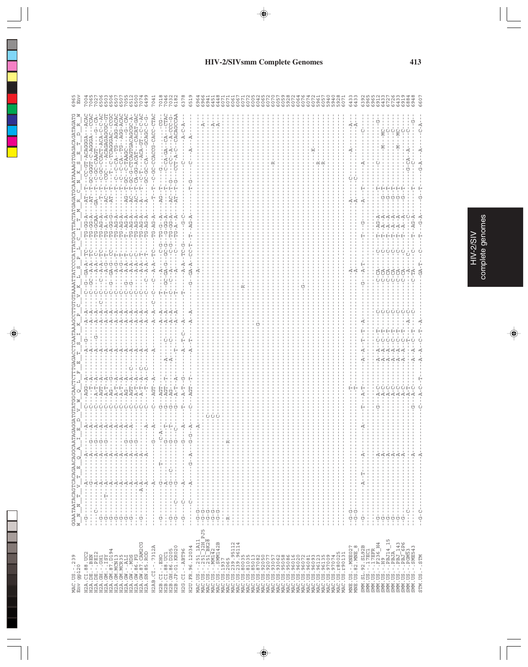| ಠಿ<br>⋍ |
|---------|
|---------|

ő.

| Env<br>96                                                                                                                                                                                                                                                                                                                                                                                                                                                                                                                                                                                                                                                                                                                                                                                                                                                                                                                                                                        | ৩<br>704<br>77750<br>637                                                                                                                                                                                                                                                                                                                                                                                                                                                                                                                  | $\infty$<br><b>QLOLOQMA</b><br>ഥ<br>₩<br>o<br>o<br>$\omega$ $\omega$<br>651<br>6 प<br>प                                                                                                                                                                                                                                                                                                                                                                                                                                                                                                                                                                                                                                                                                                                                                                                                                                                                                                                                                                                             | O<br>660                                                                                                                                                                                                                                                                                                                                                                                                                                                                                                                                                                                                                                   |
|----------------------------------------------------------------------------------------------------------------------------------------------------------------------------------------------------------------------------------------------------------------------------------------------------------------------------------------------------------------------------------------------------------------------------------------------------------------------------------------------------------------------------------------------------------------------------------------------------------------------------------------------------------------------------------------------------------------------------------------------------------------------------------------------------------------------------------------------------------------------------------------------------------------------------------------------------------------------------------|-------------------------------------------------------------------------------------------------------------------------------------------------------------------------------------------------------------------------------------------------------------------------------------------------------------------------------------------------------------------------------------------------------------------------------------------------------------------------------------------------------------------------------------------|-------------------------------------------------------------------------------------------------------------------------------------------------------------------------------------------------------------------------------------------------------------------------------------------------------------------------------------------------------------------------------------------------------------------------------------------------------------------------------------------------------------------------------------------------------------------------------------------------------------------------------------------------------------------------------------------------------------------------------------------------------------------------------------------------------------------------------------------------------------------------------------------------------------------------------------------------------------------------------------------------------------------------------------------------------------------------------------|--------------------------------------------------------------------------------------------------------------------------------------------------------------------------------------------------------------------------------------------------------------------------------------------------------------------------------------------------------------------------------------------------------------------------------------------------------------------------------------------------------------------------------------------------------------------------------------------------------------------------------------------|
| CAGATAGATG<br>CCA<br>$\begin{array}{l} \texttt{if} \texttt{-12} = \texttt{0} \texttt{1} \texttt{if} \texttt{if} \texttt{if} \texttt{if} \texttt{if} \texttt{if} \texttt{if} \texttt{if} \texttt{if} \texttt{if} \texttt{if} \texttt{if} \texttt{if} \texttt{if} \texttt{if} \texttt{if} \texttt{if} \texttt{if} \texttt{if} \texttt{if} \texttt{if} \texttt{if} \texttt{if} \texttt{if} \texttt{if} \texttt{if} \texttt{if} \texttt{if} \texttt{if} \texttt{if} \texttt{if} \$<br>GCAGC-<br>$-CC-CC-CA-$<br>5<br>U<br>z<br><b>PPPPPPP</b><br>н<br>$\,$ I<br>$\overline{\phantom{a}}$<br>$\mathbf{I}$<br>Q<br>QQ<br>QQ<br>$\mathbb{R}^{\mathbb{C}}$<br><b>FUL</b><br>AC<br>$A -$                                                                                                                                                                                                                                                                                                  | ひ<br>C-GC-CCACC-CACC-<br>Ū<br>-<br>Ÿ<br>E<br>$\epsilon$<br>U<br>CCT<br>ÜΪ<br>ľ٦<br><b>ひ ひ</b><br>Н<br>FЕ<br>AG<br>턱<br>AC<br>AT                                                                                                                                                                                                                                                                                                                                                                                                           | ↻<br>K.<br>O<br>U<br>ひ<br>ь<br>555<br>₫<br>К                                                                                                                                                                                                                                                                                                                                                                                                                                                                                                                                                                                                                                                                                                                                                                                                                                                                                                                                                                                                                                        | O<br>◡<br>-N-<br>н<br>н<br>- 1<br>$\blacksquare$<br><b>ひひひひひ</b>                                                                                                                                                                                                                                                                                                                                                                                                                                                                                                                                                                           |
| $\begin{array}{l} \text{TC-GC-A}\\ \text{TC-GCAA}\\ \text{TC-AC-A}\\ \text{TC-AC-A}\\ \text{TC-AC-A}\\ \text{TC-AC-A}\\ \text{TC-AC-A}\\ \text{TC-AC-A}\\ \text{TC-AC-A}\\ \text{TC-AC-A}\\ \text{TC-AC-A}\\ \text{TC-AC-A}\\ \text{TC-AC-A}\\ \text{TC-AC-A}\\ \text{TC-AC-A}\\ \text{TC-AC-A}\\ \text{TC-AC-A}\\ \text{TC-AC-A}\\ \text{TC-AC-A}\\ \text{TC-AC-A}\\ \text{TC-AC-A}\\ \text{TC-AC-A}\\ \text{TC-AC-A}\\ \text{TC-AC-A}\\ \text{TC-AC-A}\\ \text{TC-AC-A}\\ \text{TC-$<br>Æ<br>ġ<br>Ġ<br>GTGTAAAATTATCCATTATGCA<br>÷<br>P<br>Ō<br>$\mathbb H$<br>Н<br>↻<br>↻<br>Н<br>÷                                                                                                                                                                                                                                                                                                                                                                                           | К<br>RΑ<br>R<br>K.<br>↻<br>$TG - AG -$<br>$-50$<br>$\mathbf{I}$<br>CO-<br>ひ<br>$-5 - 7$<br>СÓ<br>Н<br>FG<br>υ υ<br>ひ<br>ה ה<br>המה<br>$\tilde{C}$<br>$-TC$<br>↻<br>$- -A - A$<br>ひ<br>K,<br>$\overline{A}$ –<br>$-54$<br>$\triangle$ $\triangle$                                                                                                                                                                                                                                                                                          | К<br>Ŕ<br>AG.<br>$GA - A$<br>$\mathbb{C}^1_1$                                                                                                                                                                                                                                                                                                                                                                                                                                                                                                                                                                                                                                                                                                                                                                                                                                                                                                                                                                                                                                       | みみみみみさん<br>$A + 1$<br>$A + 1$<br>AG.<br>Ą<br>HHHHH<br>E<br><b>ひひひひひひ</b><br><b>SESSSS</b>                                                                                                                                                                                                                                                                                                                                                                                                                                                                                                                                                  |
| $C_0$<br>$\frac{1}{2}$<br>$\frac{1}{\sqrt{2}}$<br>すっ<br>$\overline{0}$<br>ひ<br><b>OOOOOOO</b><br>U<br>U<br>O<br>O<br><b>A A A A A A A A A A</b><br>$\triangle$ $\triangle$<br><b>A A A A A A A A A A A A</b><br>てり<br>Ü<br>C)<br><b>A A A A A A A A A A</b><br>K,<br>К                                                                                                                                                                                                                                                                                                                                                                                                                                                                                                                                                                                                                                                                                                           | ġ<br>Ü<br>$\cup$<br>U<br>⊢<br>H<br>O<br>Н<br>U<br>К<br>$\triangle$ $\triangle$<br>K.<br>К<br>К<br>K.<br>U<br>↻<br>⊢<br>Ο<br>4                                                                                                                                                                                                                                                                                                                                                                                                             | U<br>К<br>⊢<br>τ<br>K.                                                                                                                                                                                                                                                                                                                                                                                                                                                                                                                                                                                                                                                                                                                                                                                                                                                                                                                                                                                                                                                              | <b>UUUU</b><br>$\cup$<br><b>UUUUUUU</b><br>FЕ<br>Н<br>ひひ<br>O<br>U<br>$A \land A$<br>К                                                                                                                                                                                                                                                                                                                                                                                                                                                                                                                                                     |
| CTTTGAGAC<br><b>[x]</b><br>U<br>↻<br>€<br>区<br>みみみみにみみみみ<br>К<br>ΚR<br>ת<br>הפרט - רפי הפר<br>הפרט - רפי הפר<br>$A - T$<br>부<br>AGG<br>$\circ$<br><b>UUUUUUUU</b><br>υU<br>↻                                                                                                                                                                                                                                                                                                                                                                                                                                                                                                                                                                                                                                                                                                                                                                                                     | К<br>Н<br>AGT<br>AGT<br>AGT<br>튱<br>$A-T$<br>AG.<br>$\overline{A}$<br>U<br><b>ひひひ</b><br>てり                                                                                                                                                                                                                                                                                                                                                                                                                                               | $\vdash$<br>AGT<br>$\Delta$<br>U<br>ひひと                                                                                                                                                                                                                                                                                                                                                                                                                                                                                                                                                                                                                                                                                                                                                                                                                                                                                                                                                                                                                                             | RARA<br>ひひひひひし<br>U<br>みみみみみみみ                                                                                                                                                                                                                                                                                                                                                                                                                                                                                                                                                                                                             |
| みみみみみみみみみ<br>GGAATAATACAGTCACAGAACAGGCAAT<br>W_N_N_T_V_T_E_Q_A_I<br>$-1$<br>$- -A - - - -$<br>4<br>Ŧ<br>Ť<br>$\mathbf{I}$<br>$\,$ $\,$<br>$\blacksquare$<br><b>ALLLLLL</b><br>$-1 - A - A$<br>$-1 - A$<br>$-4$<br>0444<br>$\begin{array}{c} 1 & 1 \\ 1 & 1 \\ 1 & 1 \\ 1 & 1 \\ 1 & 1 \\ 1 & 1 \\ 1 & 1 \\ 1 & 1 \\ 1 & 1 \\ 1 & 1 \\ 1 & 1 \\ 1 & 1 \\ 1 & 1 \\ 1 & 1 \\ 1 & 1 \\ 1 & 1 \\ 1 & 1 \\ 1 & 1 \\ 1 & 1 \\ 1 & 1 \\ 1 & 1 \\ 1 & 1 \\ 1 & 1 \\ 1 & 1 \\ 1 & 1 \\ 1 & 1 \\ 1 & 1 \\ 1 & 1 \\ 1 & 1 \\ 1 & 1 \\ 1 & 1 \\ 1 & 1 \\ 1 & 1 \\ 1 & 1 \\ 1 & 1 \\ 1 &$<br>$-1$<br>$-4$<br>$\mathbf I$<br>Ť.<br>ł<br>$\frac{1}{1}$<br>$1 - 1$<br>$\mathbf{L}$<br>$\mathbf{I}$                                                                                                                                                                                                                                                                                                | j.<br>ပုံ<br>$\mathbf{I}$<br>$-1$<br>ロー<br>ロー<br>ローー<br>ひ<br>$\mathbf{I}$<br>٠<br>$\mathsf I$<br>$-1$ $-1$ $-1$ $-1$ $-1$ $-1$ $-1$<br>$\mathbf{I}$<br>$\begin{aligned} G=-1&=-1&=-1\\ \end{aligned}$<br>$\mathbf{I}$<br>$\mathbb{L}$<br>$\blacksquare$<br>$\mathbf{I}$<br>$\frac{1}{1}$<br>$\mathbf{I}$<br>$\blacksquare$<br>$\frac{1}{1}$<br>$\blacksquare$<br>К<br>К<br>К<br>ひ<br>ひ<br>Ť<br>÷<br>$\frac{1}{4}$<br>t<br>$\overline{\phantom{a}}$<br>-<br>$\mathbf{I}$<br>$\frac{1}{1}$<br>$\frac{1}{1}$<br>$\mathbf{I}$<br>$\mathbf{I}$ | $\check{~}$<br>----------R--<br>$-9 - -4 - -4 - -9 - -$<br>$\mathbf{I}$<br>$\mathbf{I}$<br>$\blacksquare$<br>$\mathbf{I}$<br>Ť<br>÷<br>j.<br>J.<br>٠<br>$-4$<br>$- - A$<br>$-4$<br>J<br>$\frac{1}{1}$<br>ţ<br>- 11<br>Ŷ.<br>$\mathbf{I}$<br>J.<br>$\mathbf I$<br>$-$ – $-$ A – $-$ T – $\,$<br>$- - - - - - - -$<br>$\,$ I<br>Ť.<br>$\mathbf{I}$<br>-<br>$\frac{1}{4}$<br>$\mathbf I$<br>$\mathbf{I}$<br>$\mathbf{I}$                                                                                                                                                                                                                                                                                                                                                                                                                                                                                                                                                                                                                                                               | $\mathbf{I}$<br>ł.<br>$\mathbf{I}$<br>٠<br>$\mathbf{I}$<br>$\stackrel{\scriptscriptstyle\mathsf{L}}{\scriptscriptstyle\mathsf{A}}$<br>$\mathbf{I}$<br>-<br>٠<br>$\mathbb{A}$<br>$\Delta$<br>К<br>A<br>٠<br>$\,$ I<br>$\begin{array}{c} \rule{0.2cm}{0.15mm} \rule{0.2cm}{0.15mm} \rule{0.2cm}{0.15mm} \rule{0.2cm}{0.15mm} \rule{0.2cm}{0.15mm} \rule{0.2cm}{0.15mm} \rule{0.2cm}{0.15mm} \rule{0.2cm}{0.15mm} \rule{0.2cm}{0.15mm} \rule{0.2cm}{0.15mm} \rule{0.2cm}{0.15mm} \rule{0.2cm}{0.15mm} \rule{0.2cm}{0.15mm} \rule{0.2cm}{0.15mm} \rule{0.2cm}{0.15mm} \rule{$<br>$\,$ I<br>$\mathbf{I}$<br>L.<br>J.<br>$\mathbf{I}$<br>J.<br>٠ |
| $-\frac{1}{1}$<br>$\frac{1}{4}$<br>$\frac{1}{4}$<br>Ť.<br>$\begin{array}{c} 1 \\ 1 \\ 1 \\ 1 \end{array}$<br>$\mathbf{I}$<br>$\mathbb{I}$<br>$\mathbf{I}$<br>$\begin{array}{cccccccccc} 1 & 1 & 1 & 1 & 1 \\ & 1 & 1 & 1 & 1 & 1 \\ & 1 & 1 & 1 & 1 & 1 \\ & 1 & 1 & 1 & 1 & 1 \\ & 1 & 1 & 1 & 1 & 1 \\ & 1 & 1 & 1 & 1 & 1 \\ & 1 & 1 & 1 & 1 & 1 \\ \end{array}$<br>$\,$ $\,$<br>$\mathsf I$<br>$z_1^{\prime}$<br>$\mathsf{I}$<br>$\mathbb{I}$<br>$\begin{array}{c} \begin{array}{c} \bullet \\ \bullet \\ \bullet \end{array} \\ \begin{array}{c} \bullet \\ \bullet \\ \end{array} \end{array}$<br>$\Gamma = 1$<br>$\,$ $\,$<br>$\frac{1}{1}$<br>$\mathbf{I}$<br>Ħ<br>$\overline{\phantom{a}}$<br>$\frac{1}{2}$<br>$\blacksquare$<br>$z^{\prime}$<br>$\mathbf{I}$<br>$\,$ I<br>$\frac{1}{\sqrt{2}}$<br>$\frac{1}{2}$<br>$-10$<br>יט פֿי פֿ<br>יויי<br>$-\frac{c}{1}$<br>$\frac{1}{2}$<br>$\mathbb{I}$<br>$\mathbb{I}$<br>$\mathbf{I}$<br>$\overline{\phantom{a}}$<br>-<br>- | ÷,<br>$-1 - 1 - 1$<br>٠<br>$\overline{\phantom{a}}$<br>$\mathbf{I}$<br>$\mathbf{I}$<br>$\frac{1}{1}$<br>$\mathbf I$<br>$\frac{1}{4}$<br>$\frac{1}{4}$<br>$\frac{1}{4}$<br>$\mathsf I$<br>$\mathbf{I}$<br>J.<br>$\frac{1}{4}$<br>$\,$<br>$\frac{1}{\sqrt{2}}$<br>じー<br>ひ<br>ひ<br>$\mathbf{I}$<br>$\mathbf{1}$<br>$\frac{1}{1}$<br>$\mathbf{I}$<br>$\mathbf{I}$<br>$-.7312A$                                                                                                                                                                | ÷<br>$\mathbf{I}$<br>$\mathbf{I}$<br>Ü<br>$\mathbf I$<br>$\mathbf I$<br>$\mathbf I$<br>$\mathsf I$<br>$\mathbf{I}$<br>$\mathbf{I}$<br>$\frac{1}{1}$<br>÷,<br>$\frac{1}{1}$<br>J.<br>$\frac{1}{1}$<br>$\frac{1}{1}$<br>$\frac{1}{1}$<br>$\frac{1}{1}$<br>ł<br>$-5 - 5 -$<br>$\frac{1}{1}$<br>ł<br>ł<br>ł<br>$\frac{1}{1}$<br>ł<br>Ť<br>$\ddot{\phi}$<br>$-5-5$<br>せっ<br>ου<br>Αρ<br>$\frac{1}{1}$<br>I,<br>J.<br>٠<br>1<br>-<br>Ţ<br>Ţ<br>$\mathsf I$<br>$\mathfrak l$<br>$\mathsf I$<br>٠<br>٠<br>ひ<br>ひ<br>$- R$<br>$\begin{array}{c} \rule{0.2cm}{0.15mm} \rule{0.2cm}{0.15mm} \rule{0.2cm}{0.15mm} \rule{0.2cm}{0.15mm} \rule{0.2cm}{0.15mm} \rule{0.2cm}{0.15mm} \rule{0.2cm}{0.15mm} \rule{0.2cm}{0.15mm} \rule{0.2cm}{0.15mm} \rule{0.2cm}{0.15mm} \rule{0.2cm}{0.15mm} \rule{0.2cm}{0.15mm} \rule{0.2cm}{0.15mm} \rule{0.2cm}{0.15mm} \rule{0.2cm}{0.15mm} \rule{$<br>J<br>$\frac{1}{2}$<br>$\frac{c}{1}$<br>$\mathbf{I}$<br>$\overline{\phantom{a}}$<br>$\blacksquare$<br>$\blacksquare$<br>- 11<br>$\mathbf{I}$<br>$\mathbf{I}$<br>J.<br>$\mathbf{I}$<br>٠<br>$\mathbf{I}$ | İ<br>ن<br>ت<br>$\frac{1}{2}$<br>$\frac{1}{4}$<br>٠<br>$\frac{1}{\sqrt{2}}$<br>ロー<br>ローー<br>먹<br>$\blacksquare$<br>$\overline{\phantom{a}}$<br>L.<br>$\blacksquare$<br>LN.                                                                                                                                                                                                                                                                                                                                                                                                                                                                  |
| $\begin{array}{l} \rm{H2A}, \rm{CI}, 88 \cdot \rm{UC2}\\ \rm{H2A}, \rm{DB} \cdot - \rm{EBIN}\\ \rm{H2A}, \rm{GH} \cdot - \rm{GH1}\\ \rm{H2A}, \rm{GH} \cdot - \rm{IST2}\\ \rm{H2A}, \rm{GH} \cdot - \rm{IST2}\\ \rm{H2A}, \rm{GH} \cdot - \rm{IST2}\\ \rm{H2A}, \rm{GH} \cdot \rm{M} \cdot \rm{M} \cdot \rm{M} \cdot \rm{M} \cdot \rm{M} \cdot \rm{M} \cdot \rm{M} \cdot \rm{M} \cdot \rm{M} \cdot \rm{M}$<br>$\begin{array}{l} \text{min} \\ \text{in} \\ \text{approx} \\ \text{approx} \\ \text{min} \end{array}$                                                                                                                                                                                                                                                                                                                                                                                                                                                             | H2B.CI.-.HHO<br>H2B.CI.88.UC1<br>H2B.CH.86.D205<br>H2B.JP.01.KR020<br>$-.ABT96$<br>H2AB.CI.<br>H2G.CI                                                                                                                                                                                                                                                                                                                                                                                                                                     | $\begin{array}{l} \mathbf{SIMI}, \; \mathbf{S1}, \; \mathbf{92}, \; \mathbf{S1292B} \\ \mathbf{SIMI}, \; \mathbf{US} - 17\, \mathbf{B}\mathbf{C1} \\ \mathbf{SIMI}, \; \mathbf{US} - 17\, \mathbf{B}\mathbf{C1} \\ \mathbf{SIMI}, \; \mathbf{US} - 18\, \mathbf{75}\, \mathbf{S} - \mathbf{H4} \\ \mathbf{SIMI}, \; \mathbf{US} - 18\, \mathbf{9}\, \mathbf{C} \\ \mathbf{SIMI}, \; \mathbf{US} - 18\,$<br>H2U.FR.96.12034<br>MNE.US. - WNE027<br>MNE.US. 82.MNE 8<br>MNE. US. 82. MNE                                                                                                                                                                                                                                                                                                                                                                                                                                                                                                                                                                                              | <b>STM</b><br>SMM . US . -<br>SMM . US . -<br>SMM . US . -<br>STM.US                                                                                                                                                                                                                                                                                                                                                                                                                                                                                                                                                                       |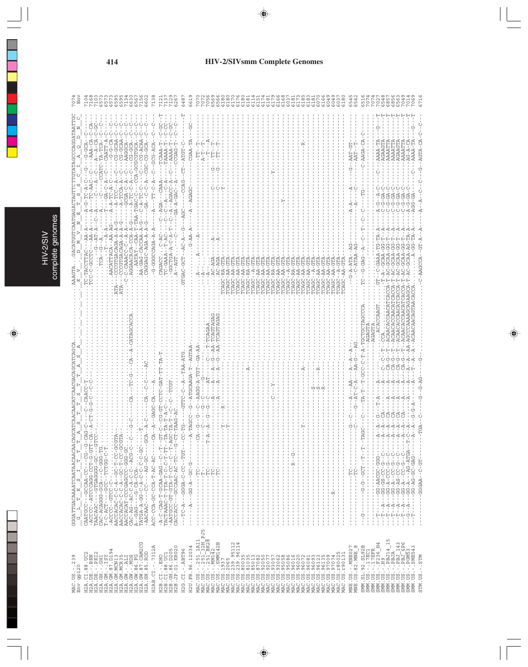HIV-2/SIV<br>complete genomes complete genomes HIV-2/SIV

| 95<br>င္ပ<br>O                                                                                                                                                                                                                                                                                                                                                                                                                                                                                                                                                                                                                                                                                                                                                     |                                                                                                                                                                                                                                   |                                                                                                                                                                                                                                                                                                                                                          |                                                                                                                                                                                                                                                                                                      |                                                                                                                                                                                                                                                                  |                                                                                                                                                                                                                                                                                                                                                                                                                                                                                                                                                       |
|--------------------------------------------------------------------------------------------------------------------------------------------------------------------------------------------------------------------------------------------------------------------------------------------------------------------------------------------------------------------------------------------------------------------------------------------------------------------------------------------------------------------------------------------------------------------------------------------------------------------------------------------------------------------------------------------------------------------------------------------------------------------|-----------------------------------------------------------------------------------------------------------------------------------------------------------------------------------------------------------------------------------|----------------------------------------------------------------------------------------------------------------------------------------------------------------------------------------------------------------------------------------------------------------------------------------------------------------------------------------------------------|------------------------------------------------------------------------------------------------------------------------------------------------------------------------------------------------------------------------------------------------------------------------------------------------------|------------------------------------------------------------------------------------------------------------------------------------------------------------------------------------------------------------------------------------------------------------------|-------------------------------------------------------------------------------------------------------------------------------------------------------------------------------------------------------------------------------------------------------------------------------------------------------------------------------------------------------------------------------------------------------------------------------------------------------------------------------------------------------------------------------------------------------|
| ∪<br>◡<br>ひーぴーぴー<br>$-00-$<br>CG-GCA<br>CAATT<br><b>AAGG</b><br>CH5C<br>ġ<br>9<br>じじじ<br>U<br>U<br>U<br>りーー<br>U<br>↻                                                                                                                                                                                                                                                                                                                                                                                                                                                                                                                                                                                                                                              | უ<br>ს<br><b>FOTA</b> .<br>5                                                                                                                                                                                                      | ひ<br>ᄲ                                                                                                                                                                                                                                                                                                                                                   |                                                                                                                                                                                                                                                                                                      |                                                                                                                                                                                                                                                                  | $-AGA-CA$<br>AAAA-TA<br>AAAATTA<br>AAAATTP<br>AGAAGTZ<br>AAAATT<br>AGAAG                                                                                                                                                                                                                                                                                                                                                                                                                                                                              |
| $A-C-A$<br>$-5 - 7$<br>$A - A - T C - A -$<br>$-AA$<br>$- A - TCCA -$<br>GCGA-C<br>$-A-TCC$<br>ATTAA<br>U<br>ပု<br>ひ                                                                                                                                                                                                                                                                                                                                                                                                                                                                                                                                                                                                                                               | 9<br>S                                                                                                                                                                                                                            |                                                                                                                                                                                                                                                                                                                                                          |                                                                                                                                                                                                                                                                                                      |                                                                                                                                                                                                                                                                  | d<br>GA-<br>Š<br>ά<br>৬                                                                                                                                                                                                                                                                                                                                                                                                                                                                                                                               |
| AACATTACA--AA-AG<br>GTGACAGA-A-A<br>AGGAACACA-CCA-A<br>A-GAG-CACCAA-A<br>CAGGAGC-AGA-A-A<br>- 4540000-<br>AATAT<br>-CAAA<br>ğ                                                                                                                                                                                                                                                                                                                                                                                                                                                                                                                                                                                                                                      | C-GAAA<br>CAGACC<br><b>CAC-DED</b><br>୍ତ<br>ଓ                                                                                                                                                                                     | AC-AGA<br>AC-AGA<br>GTA<br>$RA-$<br>$C - AA -$<br>$-AA$                                                                                                                                                                                                                                                                                                  | $AA -$<br>d.<br>₫<br>CAGC-<br>CAGC-<br>CAGC<br>CAGC.                                                                                                                                                                                                                                                 | CAGC-AA-<br>CAGC-AA-<br>$-AA$<br>CAGC-<br>U<br>CAGU                                                                                                                                                                                                              | - 55 - 455 - 74 -<br>.<br>სე<br>ს<br>ģ<br>$-AC-CCAA-$<br>GCAA-<br>$-AC-GCAA$<br>CACAA<br>ATAA<br>.<br>GAG<br>$A - A TA$<br>$rac{1}{\sqrt{2}}$<br>$-AC-$<br>ΰ                                                                                                                                                                                                                                                                                                                                                                                          |
|                                                                                                                                                                                                                                                                                                                                                                                                                                                                                                                                                                                                                                                                                                                                                                    |                                                                                                                                                                                                                                   | $-AA-TCAGT$                                                                                                                                                                                                                                                                                                                                              |                                                                                                                                                                                                                                                                                                      |                                                                                                                                                                                                                                                                  |                                                                                                                                                                                                                                                                                                                                                                                                                                                                                                                                                       |
|                                                                                                                                                                                                                                                                                                                                                                                                                                                                                                                                                                                                                                                                                                                                                                    |                                                                                                                                                                                                                                   | Ü<br>U<br>К<br>$- A - TGT$<br>К<br>AAGG                                                                                                                                                                                                                                                                                                                  |                                                                                                                                                                                                                                                                                                      |                                                                                                                                                                                                                                                                  | υ<br>d<br>CA-<br>d<br>CA-<br>J                                                                                                                                                                                                                                                                                                                                                                                                                                                                                                                        |
| じーー                                                                                                                                                                                                                                                                                                                                                                                                                                                                                                                                                                                                                                                                                                                                                                |                                                                                                                                                                                                                                   | פי<br>י<br>י                                                                                                                                                                                                                                                                                                                                             |                                                                                                                                                                                                                                                                                                      |                                                                                                                                                                                                                                                                  | -<br>- 1<br>$\mathbf{I}$<br>$\mathbf{I}$<br>$\mathbf{1}$<br>$\sim$<br>$\mathbb{I}$                                                                                                                                                                                                                                                                                                                                                                                                                                                                    |
| GGGATTGACAAAATCAATAACAACAAC<br>$-5 - 5 - 1$<br>H5---J5-555545H5--<br>CAC-CCAC-CCA-CCO-CCOCACCAC<br>$\begin{array}{ll} \texttt{T-}\texttt{C-ACT} & \texttt{+} & \texttt{+} & \texttt{+} \\ \texttt{T-}\texttt{C-ACT} & \texttt{+} & \texttt{+} & \texttt{+} & \texttt{+} \\ \texttt{+} & \texttt{ACCC} & \texttt{-} & \texttt{+} & \texttt{+} & \texttt{+} \\ \texttt{+} & \texttt{ACCC} & \texttt{-} & \texttt{+} & \texttt{+} & \texttt{+} \\ \texttt{+} & \texttt{ACCC} & \texttt{+} & \texttt{+} & \texttt{+} & \texttt{+} \\ \texttt{+}$<br>5-100-100-1000-1000-1000-1000<br>$\mathbb H$<br>$-100 - 04 - 04$<br>$\mathbf I$<br>ACC-CCA-GCA-T-AC-AC-<br>$\overline{\mathbb{H}}$<br>$\overline{\phantom{a}}$<br>$\mathbb{C}\Omega$<br>$- - 100 - 1$<br>$\bowtie$ | - A - C - CAG - T - GCAA-GAG - - C - - T - -<br>TACTAAAC - T - TTA - T - C - C - T - TT<br>- AATGCC - GT - GTA - T - CC - - C - - T - A<br>5-10H-DAC-DACUDO-<br>$-1501 - 20 - 5 - 5 - 150$<br>$\frac{1}{4}$<br>ひ‐ひひ‐‐ぱ‐ひひ‐‐‐ぱ‐‐‐‐ | ţ<br>$\frac{1}{1}$<br>$\frac{1}{1}$<br>$\frac{1}{1}$<br>$\mathsf I$<br>$\mathsf I$<br>$\sf I$<br>$\mathbf{I}$<br>t<br>f,<br>ł<br>$\begin{array}{c} \n\cdot & \cdot \\ \n\cdot & \cdot \\ \n\cdot & \cdot \n\end{array}$<br>$\,$ I<br>$- -10T - -$<br>$---TCT---$<br>$-$ - $-$ TC $-$ - $-$<br>$-1 - T - - -$<br>$\frac{1}{1}$<br>ţ<br>Ť<br>$\frac{1}{1}$ | $\frac{1}{2}$<br>$\frac{1}{4}$<br><b>+++++++++++++++++++</b><br>J<br>t<br>$\begin{array}{c} 1 \\ 1 \\ 1 \\ 1 \end{array}$<br>$\frac{1}{1}$<br>$\frac{1}{1}$<br>.                                                                                                                                     | - 0 - - 2 - - - - - - - - - - - - - - -<br>$-1$ $-1$ $-1$ $-1$ $-1$ $-1$ $-1$ $-1$<br>$\frac{1}{1}$<br>1<br>$\frac{1}{2}$<br>$\frac{1}{1}$<br>$\frac{1}{1}$<br>$\begin{bmatrix} 1 & 1 & 1 \\ 1 & 1 & 1 \\ 1 & 1 & 1 \end{bmatrix}$<br>$\frac{1}{1}$<br>$\,$ $\,$ | H--H--HUU--U-U--<br>Ť<br>-GG-AG-GC-GAG<br>$\overline{\phantom{a}}$<br>GGGAA--C-GT<br>$-1$ -DC $-$<br>$-10T - 1$<br>$\mathbf I$<br>$\mathbf I$<br>J.<br>I                                                                                                                                                                                                                                                                                                                                                                                              |
| CAATGCC--<br>TAACAGC--<br>-AACAAC--<br>$\Box$<br>$-ACCCC$<br><b>U</b>                                                                                                                                                                                                                                                                                                                                                                                                                                                                                                                                                                                                                                                                                              | CACCACC--<br>$- - \Gamma C - \Delta -$<br>$\circ$                                                                                                                                                                                 | ł<br>$\mathbf I$<br>J.<br>1<br>٠<br>J.<br>f,<br>ï                                                                                                                                                                                                                                                                                                        | $\frac{1}{1}$<br>J.<br>J                                                                                                                                                                                                                                                                             | $\frac{1}{1}$<br>$\frac{1}{1}$<br>$\frac{1}{1}$<br>$\,$ I<br>Γ                                                                                                                                                                                                   | $- - \mathbf{F} - \mathbf{F} - \mathbf{F} -$<br>J.<br>1<br>1<br>$\frac{1}{2}$<br>t<br>15<br>${}^{\infty}$<br>$\infty$                                                                                                                                                                                                                                                                                                                                                                                                                                 |
| $-.7312A$<br>H2A.CI.88.UC2<br>H2A.DE.-.BEN<br>H2A.DE.-.PEI2<br>H2A. GH. - . GH1<br>C<br>MAC.US.-.23<br>Env gp120<br>H2AB.CI.                                                                                                                                                                                                                                                                                                                                                                                                                                                                                                                                                                                                                                       | H2U. FR. 96.12034<br>H2B.CI.-. EHO<br>H2B.CI.88.UC1<br>H2B.GH.86.D205<br>H2B.JP.01.KR020<br>H2G.CI. - . ABT96                                                                                                                     | MAC.US.-.251_1A11<br>MAC.US.-.251_32H_PJ5<br>MAC.US.-.251_BK28<br>MAC.US.-.MM142<br>MAC.US.-.SMM142B                                                                                                                                                                                                                                                     | $\begin{smallmatrix} 12.1 & 9 & 37 \\ 12.1 & 9 & 37 \\ 12.2 & 12.3 & 5 \\ 12.2 & 12.3 & 5 \\ 12.2 & 12.3 & 5 \\ 12.2 & 12.3 & 5 \\ 12.2 & 12.3 & 5 \\ 12.2 & 12.3 & 5 \\ 12.2 & 12.3 & 5 \\ 12.2 & 12.3 & 5 \\ 12.2 & 12.3 & 5 \\ 12.2 & 12.3 & 5 \\ 12.2 & 12.3 & 5 \\ 12.2 & 12.3 & 5 \\ 12.2 & 1$ | MAC.US.97074<br>MAC.US.180025<br>MAC.US.190025                                                                                                                                                                                                                   | $\begin{array}{l} \mathbf{SIM}^1, \mathbf{SL}, 22, \, \mathbf{S1}, 22, \, \mathbf{S1}, 22, \, \mathbf{S2}, \, \mathbf{S3}, \, \mathbf{S1}, \, \mathbf{S1}, \, \mathbf{S2}, \, \mathbf{S1}, \, \mathbf{S1}, \, \mathbf{S2}, \, \mathbf{S3}, \, \mathbf{S3}, \, \mathbf{S1}, \, \mathbf{S3}, \, \mathbf{S1}, \, \mathbf{S2}, \, \mathbf{S3}, \, \mathbf{S3}, \, \mathbf{S3}, \, \mathbf{S1}, \, \mathbf$<br><b>MNE. US. - . MNE02</b><br>- PGM53<br>- SME543<br>- SME543<br>MNE.US.82.MNE<br><b>STM</b><br>Sn.<br>SMM.US<br><b>STM.US</b><br><b>SMM</b> |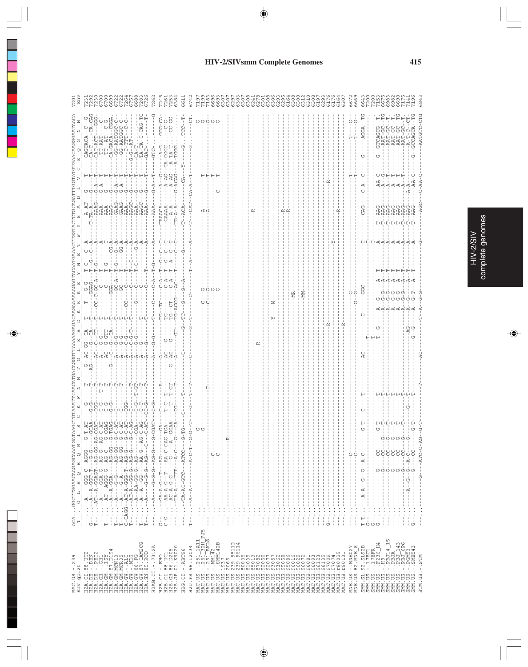| Ş |
|---|
|---|

 $\frac{20}{25}$ 

| 201<br>Env                                                                                                                                                                                                                                                                                                                                                                                                                                                                                                                                                           | 726<br>$\begin{array}{c} 77000 \\ 77000 \\ 77000 \\ 7700 \\ \end{array}$<br>661<br>674                                                                                                                                                                                                                                            | 667                                                                                                                                                                                                                                                                                                                                                                                                                                                                                                                                                                                                                                                                                                                                                                                                                                                                                                                                                                                                                                                                                                                                                                                                                                                                                                                                                                                                                                                                                                                                                                                                                                                                                                                                                                                                                                                                                                                                                                                                                                                                                                                                                                                                                                                                                                                                                                                                                                                                                                                                                                                                                                                                                                                                                                                                                                                                                                                                                                                                                                      | 684                                                                                                                                                                                                                   |
|----------------------------------------------------------------------------------------------------------------------------------------------------------------------------------------------------------------------------------------------------------------------------------------------------------------------------------------------------------------------------------------------------------------------------------------------------------------------------------------------------------------------------------------------------------------------|-----------------------------------------------------------------------------------------------------------------------------------------------------------------------------------------------------------------------------------------------------------------------------------------------------------------------------------|------------------------------------------------------------------------------------------------------------------------------------------------------------------------------------------------------------------------------------------------------------------------------------------------------------------------------------------------------------------------------------------------------------------------------------------------------------------------------------------------------------------------------------------------------------------------------------------------------------------------------------------------------------------------------------------------------------------------------------------------------------------------------------------------------------------------------------------------------------------------------------------------------------------------------------------------------------------------------------------------------------------------------------------------------------------------------------------------------------------------------------------------------------------------------------------------------------------------------------------------------------------------------------------------------------------------------------------------------------------------------------------------------------------------------------------------------------------------------------------------------------------------------------------------------------------------------------------------------------------------------------------------------------------------------------------------------------------------------------------------------------------------------------------------------------------------------------------------------------------------------------------------------------------------------------------------------------------------------------------------------------------------------------------------------------------------------------------------------------------------------------------------------------------------------------------------------------------------------------------------------------------------------------------------------------------------------------------------------------------------------------------------------------------------------------------------------------------------------------------------------------------------------------------------------------------------------------------------------------------------------------------------------------------------------------------------------------------------------------------------------------------------------------------------------------------------------------------------------------------------------------------------------------------------------------------------------------------------------------------------------------------------------------------|-----------------------------------------------------------------------------------------------------------------------------------------------------------------------------------------------------------------------|
| 9<br><b>CCC-</b><br>CAG-<br>J<br>$-TC - PAT$<br>$-TC - PAT$<br>$-000 - 22470$<br>$-000 - 22470$ $-000 - 22470$<br>$-CA-GACA$<br>CAC-AC"<br>TA-TA<br>CAGCI<br>$\frac{1}{\sqrt{2}}$<br>GAC<br>යි                                                                                                                                                                                                                                                                                                                                                                       | ↻<br>š<br>Ŭ<br>CHO.                                                                                                                                                                                                                                                                                                               | AGGA<br>CHCAGCG<br>ロー<br>먹<br>-<br><b>PAT</b><br><b>AAT</b><br><b>AAT</b><br>PAT<br>AAT<br>⊢                                                                                                                                                                                                                                                                                                                                                                                                                                                                                                                                                                                                                                                                                                                                                                                                                                                                                                                                                                                                                                                                                                                                                                                                                                                                                                                                                                                                                                                                                                                                                                                                                                                                                                                                                                                                                                                                                                                                                                                                                                                                                                                                                                                                                                                                                                                                                                                                                                                                                                                                                                                                                                                                                                                                                                                                                                                                                                                                             | GCCAGCA<br>AATGT                                                                                                                                                                                                      |
| $\triangleleft$ $\triangleleft$<br>$\triangle$ $\triangle$<br>ひ ひ ひ ひ ひ ひ ひ ひ ひ ひ ひ ひ ひ                                                                                                                                                                                                                                                                                                                                                                                                                                                                              | ි<br>$A - AG$<br>$\overline{A}$<br>Ġ<br>Ů                                                                                                                                                                                                                                                                                         | ひ<br>н<br>U<br>E<br>A A A                                                                                                                                                                                                                                                                                                                                                                                                                                                                                                                                                                                                                                                                                                                                                                                                                                                                                                                                                                                                                                                                                                                                                                                                                                                                                                                                                                                                                                                                                                                                                                                                                                                                                                                                                                                                                                                                                                                                                                                                                                                                                                                                                                                                                                                                                                                                                                                                                                                                                                                                                                                                                                                                                                                                                                                                                                                                                                                                                                                                                | 4                                                                                                                                                                                                                     |
| AAAG-<br>AAA---<br>GAAG<br>AAA-<br>GAAG<br>AAA<br><b>AAG</b><br>TA                                                                                                                                                                                                                                                                                                                                                                                                                                                                                                   | TAAACA<br>$A - A$<br>ACA<br>TG-                                                                                                                                                                                                                                                                                                   | CAT<br>AAG<br>CAG<br>AAG<br><b>AAG</b><br>AAG<br>AAG<br>AAG<br>К<br>α<br><b>PPPP</b><br>н                                                                                                                                                                                                                                                                                                                                                                                                                                                                                                                                                                                                                                                                                                                                                                                                                                                                                                                                                                                                                                                                                                                                                                                                                                                                                                                                                                                                                                                                                                                                                                                                                                                                                                                                                                                                                                                                                                                                                                                                                                                                                                                                                                                                                                                                                                                                                                                                                                                                                                                                                                                                                                                                                                                                                                                                                                                                                                                                                | н                                                                                                                                                                                                                     |
| Σ<br>⊄⊄⊄<br>ひみみみみみみみ<br>$1 - 55 - 7$<br>$1 - 55 - 7$<br>T,<br>$\overset{\shortmid }{\circ }$<br>$1 - 1$<br>U<br>ひ<br>ပုံ<br>ုံ ဗုံ<br>$\frac{1}{\sqrt{2}}$<br>$\mathbf{I}$<br>ပု<br>$\mathbf{1}$<br>$\overline{\phantom{0}}$<br>◡<br><b>HHHH</b><br>$CC-C-GC-A$<br>GGAG<br>$-0.04$<br>↻<br>U<br>O<br>$\mathbf{I}$<br>υ<br>٢<br>п.<br>Ū<br>н<br>$\vdash$<br>GS<br>5<br>$\mathbf{I}$<br>- 11<br><b>ひひ ひ ひ ひ ひ ひ ひ ひ ひ</b><br>ひ<br>ひ<br>$\mathbf{I}$<br>$\mathbf{I}$<br>$\mathbf{I}$<br>$\begin{array}{c} C & D \\ C & D \end{array}$<br>みみみみみみ<br>$\frac{1}{\sqrt{2}}$ | Ο<br>U<br>.<br>U U U U<br><b>ツワ</b><br>R<br>ひ<br>нн<br>$\mathbb{H}$<br>$C - A$<br>Æ<br>( )<br>ひえ<br>υ<br>텅<br>ု<br>입<br>5<br>ひ<br>C<br>ひ<br>Ą                                                                                                                                                                                     | ひんえんえんえ<br>6666666<br>みみみみみみみ<br>ひひひ<br>T.<br>ひひひひ<br>てり<br>ひ<br>MN<br>めめめめめめ<br>U<br>U<br>ר ז<br>AAAA<br>Æ<br>н                                                                                                                                                                                                                                                                                                                                                                                                                                                                                                                                                                                                                                                                                                                                                                                                                                                                                                                                                                                                                                                                                                                                                                                                                                                                                                                                                                                                                                                                                                                                                                                                                                                                                                                                                                                                                                                                                                                                                                                                                                                                                                                                                                                                                                                                                                                                                                                                                                                                                                                                                                                                                                                                                                                                                                                                                                                                                                                         | ь<br>Ů<br>てり<br>Æ                                                                                                                                                                                                     |
| н<br>н<br>텅<br>ひり<br><b>ひ ひ ひ</b><br>ひ<br>$\mathbf{1}=\mathbf{1}$<br>ひ<br>U<br>ひ<br>U<br>Ů<br>ひひひひひひ<br>U<br>Ο<br>Ο<br>$\frac{1}{100} - \frac{1}{100} - \frac{1}{100} - \frac{1}{100} - \frac{1}{100}$<br>$\ddot{\theta}$<br>$\ddot{\theta}$<br>$- - AGGG$<br><b>U</b><br>-000-<br>$\frac{1}{4}$<br>$-4$<br>$\ddot{\cdot}$<br>ACA.<br>$\mathbf{I}$<br>いっ<br><b>IBIBBOB</b><br>- H H                                                                                                                                                                                  | 텅<br>U<br>U<br>$\mathbf{I}$<br><b>ウ---ウ-ウ T - ウ-ウ-ウ-ワ---- ズ---・・・</b><br>$\frac{1}{\sqrt{2}}$<br>$\overline{\phantom{a}}$<br>$- - A T C C$<br>$\mathbf{I}$<br>$-TA - AC - GTC$<br>$\mathbf{I}$<br>ţ<br>$\vdots$<br>$\frac{1}{2}$<br>$\frac{1}{4}$<br>$\frac{1}{2}$ , $\frac{1}{2}$<br>$\mathsf I$<br>÷,<br>$\mathbf{I}$<br>U<br>ひ | $\vdash$<br>$H$ $F$<br>Н<br>$---R-$<br>$\mathbf{I}$<br>$\overline{\phantom{a}}$<br>$-\frac{c}{1}$<br>$C - -C$<br>စုံစုံစုံစုံ<br>၂၂၂၂<br>$\frac{1}{1}$<br>ł<br>$\frac{1}{1}$<br>$\frac{1}{4}$<br>$\frac{1}{4}$<br>ł.<br>I,<br>$\frac{1}{4}$<br>$\mathbf{I}$<br>$-$ – A – C – T<br>$\frac{1}{1}$<br>$\mathbf{I}$<br>J.<br>٠<br>$\overline{\phantom{a}}$<br>Ü<br>Ú<br>$\,$<br>$\mathbf{I}$<br>・リーー<br>U<br>$\mathsf I$<br>Ħ<br>$\frac{1}{2}$<br>$0 - - - - - - - - - - - - - - - - - - - - - - - - -$<br>$\frac{1}{2}$<br>$\frac{1}{2}$<br>$C - A - B - C - C - C - C - A - C$<br>Ū<br> <br>$\frac{5}{1}$<br>Ō<br> <br>$\frac{5}{1}$<br>$\frac{1}{1}$<br>ł<br>$\frac{1}{4}$<br>$\frac{1}{1}$<br>f,<br>J,<br>$\mathbf{I}$<br>$\mathbf{I}$<br>$\mathbf I$<br>$\mathbf{1}$<br>$\mathbf{1}$<br>$\mathbf{1}$<br>$\mathbf{I}$<br>$\mathbf{1}$<br>$\,$ $\,$<br>$\,$ I<br>$\mathbf I$<br>ţ<br>$\begin{array}{c} \rule{0.2cm}{0.15mm} \rule{0.2cm}{0.15mm} \rule{0.2cm}{0.15mm} \rule{0.2cm}{0.15mm} \rule{0.2cm}{0.15mm} \rule{0.2cm}{0.15mm} \rule{0.2cm}{0.15mm} \rule{0.2cm}{0.15mm} \rule{0.2cm}{0.15mm} \rule{0.2cm}{0.15mm} \rule{0.2cm}{0.15mm} \rule{0.2cm}{0.15mm} \rule{0.2cm}{0.15mm} \rule{0.2cm}{0.15mm} \rule{0.2cm}{0.15mm} \rule{$<br>÷<br>$rac{1}{2}$<br>J.<br>$\blacksquare$<br>$\begin{array}{c} \begin{array}{c} \begin{array}{c} \begin{array}{c} \end{array} \\ \begin{array}{c} \end{array} \\ \begin{array}{c} \end{array} \\ \begin{array}{c} \end{array} \end{array} \end{array} \end{array}$<br>ŧ<br>$\mathbf{I}$<br>J.<br>$\,$ $\,$<br>$\begin{array}{c} \rule{0.2cm}{0.15mm} \rule{0.2cm}{0.15mm} \rule{0.2cm}{0.15mm} \rule{0.2cm}{0.15mm} \rule{0.2cm}{0.15mm} \rule{0.2cm}{0.15mm} \rule{0.2cm}{0.15mm} \rule{0.2cm}{0.15mm} \rule{0.2cm}{0.15mm} \rule{0.2cm}{0.15mm} \rule{0.2cm}{0.15mm} \rule{0.2cm}{0.15mm} \rule{0.2cm}{0.15mm} \rule{0.2cm}{0.15mm} \rule{0.2cm}{0.15mm} \rule{$<br>J<br>$\,$ I<br>$\frac{1}{1}$<br>Ħ<br>$\frac{1}{4}$<br>Î<br>ł.<br>İ<br>ł<br>$\mathsf I$<br>$\mathbf{I}$<br>$\mathbf I$<br>$\mathbf I$<br>$\mathbf I$<br>$\sf I$<br>$\,$ I<br>$\frac{1}{2}$<br>$\frac{1}{2}$<br>$\frac{1}{2}$<br>$\frac{1}{2}$<br>$\overline{\phantom{a}}$<br>J,<br>$\cdot$<br>$\vdots$<br>$\vdots$<br>$\vdots$<br>$\vdots$<br>$\cdot$<br>$\cdot$<br>$\cdot$<br>$\bullet$<br>$\cdot$<br>$\bullet$<br>$\cdot$<br>$\vdots$<br>$\vdots$<br>$\vdots$<br>$\vdots$<br>$\vdots$<br>$\vdots$<br>111<br>111<br>$\ddot{\cdot}$<br>$\vdots$<br>$\vdots$<br>$\cdot$<br>$\vdots$<br>$\frac{1}{4}$<br>$\frac{1}{4}$<br>탈<br>$\frac{1}{4}$<br>$\frac{1}{4}$<br>$\frac{1}{4}$<br>$\frac{1}{4}$<br>$\frac{1}{4}$<br>$\frac{1}{4}$<br>$\frac{1}{4}$<br>$\frac{1}{4}$<br>Ť.<br>$\frac{1}{4}$<br>$\frac{1}{4}$<br>$\frac{1}{4}$<br>$\,$ I<br>$\frac{1}{4}$<br>÷<br>ł.<br>Ť<br>Ť<br>÷<br>÷<br>÷<br>Ť<br>÷<br>÷<br>$\mathbf{I}$<br>j.<br>÷.<br>$\mathbf{1}$<br>$\mathbf{I}$<br>$\mathbf{I}$<br>$\mathbb{I}$<br>$\mathbf{I}$<br>$\mathbf{I}$<br>$\overline{1}$<br>$\mathbf{I}$<br>ひ<br>$\mathbb H$<br>めめめ<br>$\mathbf{I}$<br>PJ5 | $-2ATC-CA-G$<br>п<br>п<br>- 1<br>ウーー<br>$-4-C$<br>$\,$<br>ひ<br><b>ひ ひ</b><br>$- -2 - -6 - -$<br>п<br>$\frac{1}{2}$<br>$\mathbf{I}$<br>$\,$<br>J.<br>$\ddot{\phantom{0}}$<br>$\vdots$<br>J.<br>$\mathbf{I}$<br>J.<br>ひ |
| $\begin{array}{l} \tt H2A.\,C1.\,8\,B.\,UC2\\ \tt H2A.\,DB1.-\,BB1\\ \tt H2A.\,DB1.-\,BB1\\ \tt H2A.\,GH.-\,GH1-\\ \tt H2A.\,GH.-\,GH2\\ \tt H2A.\,GH, 1.53'\\ \tt H2A.\,GH, 1.53'\\ \tt H2A.\,GH, 1.53'\\ \tt H2A.\,GH, 1.53'\\ \tt H2A.\,GH, 1.53'\\ \tt H2A.\,GH, 1.54'\\ \tt H2A.\,GH, 1.55'\\ \tt H2A.\,GH, 1.56'\\ \tt H2A.\$<br>$\sigma$<br>MAC.US.-.23<br>Env 9p120                                                                                                                                                                                          | H2AB. CI. - . 7312A<br>$\circ$<br>H2B.CI.-.BHO<br>H2B.CI.88.UC1<br>H2B.GH.86.D205<br>H2B.JP.01.KR020<br>$-.ABT96$<br>$H2G.CL$ .                                                                                                                                                                                                   | MAC.US. - .251_1A11<br>MAC.US. - .251_32H<br>MAC.US. - .251_BK28<br>LN<br>${\small \begin{smallmatrix} \texttt{195.1957} \texttt{195.1957} \texttt{195.1957} \texttt{195.1957} \texttt{195.1957} \texttt{195.1957} \texttt{195.1957} \texttt{195.1957} \texttt{195.1957} \texttt{195.1957} \texttt{195.1957} \texttt{195.1957} \texttt{195.1957} \texttt{195.1957} \texttt{195.1957} \texttt{195.1957} \texttt{$<br>H4<br>SMM. US. - . pBd14 -15<br>SMM. US. - . pBd14 -1<br>SMM. US. - . pBd1<br>SMM. US. - . pBd1<br>SMM. US. - . SME543<br>SMM. US. - . SME543<br>$\sim \infty$<br>SMM. SL. 92. SL92B<br>SMM. US. - . 17EC1<br>SMM. US. - . 17EC1<br>SMM. US. - . F236_H4<br>SMM. US. - . H9<br>H2U.FR.96.12034<br>MNE. US. - . MNE02<br>$-$ . MM142<br>MNE. US. 82. MNE<br>MAC.US.                                                                                                                                                                                                                                                                                                                                                                                                                                                                                                                                                                                                                                                                                                                                                                                                                                                                                                                                                                                                                                                                                                                                                                                                                                                                                                                                                                                                                                                                                                                                                                                                                                                                                                                                                                                                                                                                                                                                                                                                                                                                                                                                                                                                                                                   | MIS.<br>STM.US                                                                                                                                                                                                        |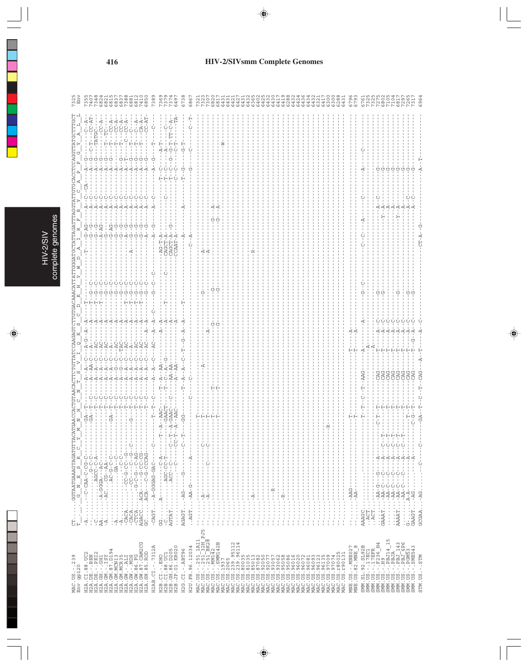| C<br>MAC.US.-.239<br>Env gp120                                                                                                                                                                                                                                                                                                                                                                                                  | TTGTGCA<br>TGTGACA<br>GGTAATGAAAGTAGATGTTA<br>X G N E S R C Y<br>$\ddot{\cdot}$<br>$\dot{E}$                                                                                                                                                                                                                                                                                                                                                                                                                                                                                                                                    |                                                                                           |
|---------------------------------------------------------------------------------------------------------------------------------------------------------------------------------------------------------------------------------------------------------------------------------------------------------------------------------------------------------------------------------------------------------------------------------|---------------------------------------------------------------------------------------------------------------------------------------------------------------------------------------------------------------------------------------------------------------------------------------------------------------------------------------------------------------------------------------------------------------------------------------------------------------------------------------------------------------------------------------------------------------------------------------------------------------------------------|-------------------------------------------------------------------------------------------|
|                                                                                                                                                                                                                                                                                                                                                                                                                                 |                                                                                                                                                                                                                                                                                                                                                                                                                                                                                                                                                                                                                                 |                                                                                           |
|                                                                                                                                                                                                                                                                                                                                                                                                                                 | ं<br>÷                                                                                                                                                                                                                                                                                                                                                                                                                                                                                                                                                                                                                          |                                                                                           |
|                                                                                                                                                                                                                                                                                                                                                                                                                                 | $T A - D$<br>$\begin{array}{l} \mathbf{T} = \mathbf{I} - \mathbf{C} \mathbf{C} \\ \mathbf{T} \mathbf{A} \mathbf{T} \mathbf{G} \mathbf{C} \\ \mathbf{T} \mathbf{A} \mathbf{T} \mathbf{G} \mathbf{T} \mathbf{C} \end{array}$<br>Æ<br>K.<br>ਨੂੰ ਹੋ ਹੋ ਹੋ<br>ਕੰਮ ਜ<br>HHH<br>υU<br>÷                                                                                                                                                                                                                                                                                                                                                |                                                                                           |
|                                                                                                                                                                                                                                                                                                                                                                                                                                 | O                                                                                                                                                                                                                                                                                                                                                                                                                                                                                                                                                                                                                               |                                                                                           |
| $\begin{array}{l} \rm H2A,\,C1.\,68\,,\,C12\\ \rm H2A,\,DE\,--\,EBIM\\ \rm H2A,\,GH\,--\,GHL\\ \rm H2A,\,GM\,--\,GHL\\ \rm H2A,\,GM\,--\,GHL\\ \rm H2A,\,GM\,.\,M\,M\,M\,M\,J\\ \rm H2A,\,GM\,.\,M\,M\,M\,J\\ \rm H2A,\,GM\,--\,M\,J\\ \rm H2A,\,GM\,--\,M\,J\\ \rm H2A,\,GM\,.\,68\,,\,68\,,\,68\,,\,69\,,$                                                                                                                    | <u>i</u> ggg<br>666<br>ゅゅゅゅゅゅ<br>RARAR<br><u>oooooooooo</u><br><b>A A A A A A A A A A A</b><br>せせせえせせせせえせせせ<br>UUUUUUUUUUU<br>ひひひひひひひひひひひ<br><b>ሊፈፈፈፈፈፈፈ</b><br>⊄⊄⊄ጣጣ⊄⊄⊄<br>UUUUUUU<br>$\begin{array}{cccccccccccc} \mathbf{A} & \cdots & \mathbf{A} & \mathbf{A} & \cdots & \mathbf{A} & \mathbf{A} & \mathbf{C} & \mathbf{C} & \mathbf{C} & \mathbf{C} & \mathbf{C} & \mathbf{C} & \mathbf{C} & \mathbf{C} & \mathbf{C} & \mathbf{C} & \mathbf{C} & \mathbf{C} & \mathbf{C} & \mathbf{C} & \mathbf{C} & \mathbf{C} & \mathbf{C} & \mathbf{C} & \mathbf{C} & \mathbf{C} & \mathbf{C} & \mathbf{C} & \mathbf{C} & \mathbf{C} &$ |                                                                                           |
|                                                                                                                                                                                                                                                                                                                                                                                                                                 | ÷<br>f,                                                                                                                                                                                                                                                                                                                                                                                                                                                                                                                                                                                                                         |                                                                                           |
|                                                                                                                                                                                                                                                                                                                                                                                                                                 | н                                                                                                                                                                                                                                                                                                                                                                                                                                                                                                                                                                                                                               |                                                                                           |
|                                                                                                                                                                                                                                                                                                                                                                                                                                 | $\triangle$ $\triangle$<br>$\frac{1}{2}$<br>めらめめめ<br>할아아아아아                                                                                                                                                                                                                                                                                                                                                                                                                                                                                                                                                                     |                                                                                           |
|                                                                                                                                                                                                                                                                                                                                                                                                                                 | KL KL<br><b>PPPP</b><br>$\mathbf{I}$<br>$\frac{1}{2}$                                                                                                                                                                                                                                                                                                                                                                                                                                                                                                                                                                           |                                                                                           |
|                                                                                                                                                                                                                                                                                                                                                                                                                                 | ЕE<br>J.<br>$\,$ $\,$                                                                                                                                                                                                                                                                                                                                                                                                                                                                                                                                                                                                           |                                                                                           |
|                                                                                                                                                                                                                                                                                                                                                                                                                                 | $\mathbb{L}$<br>$\frac{1}{4}$                                                                                                                                                                                                                                                                                                                                                                                                                                                                                                                                                                                                   |                                                                                           |
|                                                                                                                                                                                                                                                                                                                                                                                                                                 | てり<br>∪<br>てり<br>A,<br>K.<br>$\blacksquare$                                                                                                                                                                                                                                                                                                                                                                                                                                                                                                                                                                                     |                                                                                           |
| Ą<br>$-0.7312$<br>H2AB.CI.                                                                                                                                                                                                                                                                                                                                                                                                      | $\prec$<br>K.<br>U<br>$\,$ I<br>$\mathbf{I}$<br>-CAGT-A-GGGAG-GAC-                                                                                                                                                                                                                                                                                                                                                                                                                                                                                                                                                              |                                                                                           |
|                                                                                                                                                                                                                                                                                                                                                                                                                                 | Ā,<br>$\mathbf{I}$<br>1                                                                                                                                                                                                                                                                                                                                                                                                                                                                                                                                                                                                         |                                                                                           |
|                                                                                                                                                                                                                                                                                                                                                                                                                                 | KL KL<br>O<br>≮U<br>$\blacksquare$<br>U                                                                                                                                                                                                                                                                                                                                                                                                                                                                                                                                                                                         |                                                                                           |
|                                                                                                                                                                                                                                                                                                                                                                                                                                 | K,<br>U<br>븝<br>$\mathbb H$<br>Ů<br>Ġ<br>ひひひ<br>⊢⊢⊢<br>CAGC.<br>$A \land A$<br>£<br>÷<br>$\frac{1}{1}$                                                                                                                                                                                                                                                                                                                                                                                                                                                                                                                          |                                                                                           |
| $\circ$<br>H2B.CI.-.EHO<br>H2B.CI.88.UC1<br>H2B.GH.86.D205<br>H2B.JP.01.KR020                                                                                                                                                                                                                                                                                                                                                   | н<br>ं<br>U<br>U<br>CCAAT-<br>К<br>$-$ -CC $-$                                                                                                                                                                                                                                                                                                                                                                                                                                                                                                                                                                                  |                                                                                           |
| $-.ABT96$<br>H2G.CI.                                                                                                                                                                                                                                                                                                                                                                                                            | E<br>Ġ<br>てり<br>R.<br>K,<br>К<br>$\mathbf{I}$<br>$\cup$<br>$\,$ $\,$<br>$\mathbf{I}$<br>$\mathbf{I}$<br>$\mathsf I$<br>$\mathbf{I}$<br>-<br>$-1$<br>$\cdots$ -AG--<br>$\ddot{\phantom{1}}$<br>AGAGT                                                                                                                                                                                                                                                                                                                                                                                                                             | 673                                                                                       |
|                                                                                                                                                                                                                                                                                                                                                                                                                                 |                                                                                                                                                                                                                                                                                                                                                                                                                                                                                                                                                                                                                                 |                                                                                           |
| $\begin{small} \texttt{AD} & \texttt{J} & \texttt{B1} & \texttt{0} & \texttt{0} & \texttt{1} & \texttt{1} & \texttt{1} \\ \texttt{AC} & \texttt{UB} & - & \texttt{251} & \texttt{251} & \texttt{252} & \texttt{1} \\ \texttt{AC} & \texttt{UB} & - & \texttt{251} & \texttt{251} & \texttt{252} & \texttt{1} \\ \texttt{AC} & \texttt{UB} & - & \texttt{1} & \texttt{MM142} & \texttt{25} \\ \texttt{AC} & \texttt{UB} & - & \$ | U<br>C<br>٠<br>$\,$ I<br>$\cdots$ - AA - G - - - - - - - - - A - -<br>. AGT.                                                                                                                                                                                                                                                                                                                                                                                                                                                                                                                                                    | 686                                                                                       |
|                                                                                                                                                                                                                                                                                                                                                                                                                                 | ×.<br>$\mathbf I$                                                                                                                                                                                                                                                                                                                                                                                                                                                                                                                                                                                                               |                                                                                           |
|                                                                                                                                                                                                                                                                                                                                                                                                                                 | К<br>÷<br>$-1$                                                                                                                                                                                                                                                                                                                                                                                                                                                                                                                                                                                                                  | $\sim$ $\sim$<br>$M$ $M$ $M$ $\infty$ $M$                                                 |
|                                                                                                                                                                                                                                                                                                                                                                                                                                 | К<br>÷.<br>$-1$                                                                                                                                                                                                                                                                                                                                                                                                                                                                                                                                                                                                                 | CONTRANNAME CONTRATTE CATA<br>CONTRATTE CONTRATTE CONTRA<br>CONTRANDE CONTRANDE CONTRATTE |
|                                                                                                                                                                                                                                                                                                                                                                                                                                 | ひ<br>ひ<br>Н<br>J.<br>$\mathbf{I}$<br>$\mathsf I$<br>$\blacksquare$<br>$\mathsf I$<br>$\,$<br>$\frac{1}{4}$<br>$\mathsf I$<br>$\frac{1}{2}$<br>$\ddot{\phantom{0}}$                                                                                                                                                                                                                                                                                                                                                                                                                                                              |                                                                                           |
|                                                                                                                                                                                                                                                                                                                                                                                                                                 | $\triangle$ $\triangle$<br>じ じ<br>てり<br>てり<br>$\frac{1}{1}$<br>$\frac{1}{2}$                                                                                                                                                                                                                                                                                                                                                                                                                                                                                                                                                    |                                                                                           |
|                                                                                                                                                                                                                                                                                                                                                                                                                                 | $\begin{array}{c} \begin{array}{c} \text{1} \\ \text{2} \\ \text{3} \\ \text{4} \end{array} \end{array}$                                                                                                                                                                                                                                                                                                                                                                                                                                                                                                                        |                                                                                           |
|                                                                                                                                                                                                                                                                                                                                                                                                                                 | $\begin{array}{c} 1 \\ 1 \\ 1 \\ 1 \\ 1 \end{array}$<br>ţ<br>$\frac{1}{2}$                                                                                                                                                                                                                                                                                                                                                                                                                                                                                                                                                      |                                                                                           |
|                                                                                                                                                                                                                                                                                                                                                                                                                                 | $\vdots$                                                                                                                                                                                                                                                                                                                                                                                                                                                                                                                                                                                                                        |                                                                                           |
|                                                                                                                                                                                                                                                                                                                                                                                                                                 | ł<br>$\frac{1}{2}$                                                                                                                                                                                                                                                                                                                                                                                                                                                                                                                                                                                                              |                                                                                           |
|                                                                                                                                                                                                                                                                                                                                                                                                                                 | $\begin{array}{c} 1 \\ 1 \\ 1 \\ 1 \end{array}$<br>$\vdots$                                                                                                                                                                                                                                                                                                                                                                                                                                                                                                                                                                     |                                                                                           |
|                                                                                                                                                                                                                                                                                                                                                                                                                                 | $\vdots$                                                                                                                                                                                                                                                                                                                                                                                                                                                                                                                                                                                                                        |                                                                                           |
|                                                                                                                                                                                                                                                                                                                                                                                                                                 |                                                                                                                                                                                                                                                                                                                                                                                                                                                                                                                                                                                                                                 |                                                                                           |
|                                                                                                                                                                                                                                                                                                                                                                                                                                 | $\vdots$                                                                                                                                                                                                                                                                                                                                                                                                                                                                                                                                                                                                                        |                                                                                           |
|                                                                                                                                                                                                                                                                                                                                                                                                                                 | $\vdots$                                                                                                                                                                                                                                                                                                                                                                                                                                                                                                                                                                                                                        |                                                                                           |
|                                                                                                                                                                                                                                                                                                                                                                                                                                 | $\frac{1}{1}$<br>ţ<br>$\frac{1}{2}$                                                                                                                                                                                                                                                                                                                                                                                                                                                                                                                                                                                             |                                                                                           |
|                                                                                                                                                                                                                                                                                                                                                                                                                                 | $\begin{bmatrix} 1 & 0 & 0 & 0 \\ 0 & 1 & 0 & 0 \\ 0 & 0 & 0 & 0 \\ 0 & 0 & 0 & 0 \\ 0 & 0 & 0 & 0 \\ 0 & 0 & 0 & 0 \\ 0 & 0 & 0 & 0 & 0 \\ 0 & 0 & 0 & 0 & 0 \\ 0 & 0 & 0 & 0 & 0 \\ 0 & 0 & 0 & 0 & 0 & 0 \\ 0 & 0 & 0 & 0 & 0 & 0 \\ 0 & 0 & 0 & 0 & 0 & 0 & 0 \\ 0 & 0 & 0 & 0 & 0 & 0 & 0 \\ 0 & 0 & 0 & 0 & 0 & 0 & $<br>$\frac{1}{2}$                                                                                                                                                                                                                                                                                    |                                                                                           |
|                                                                                                                                                                                                                                                                                                                                                                                                                                 | $\frac{1}{2}$ = $\frac{1}{2}$ = $\frac{1}{2}$ = $\frac{1}{2}$ = $\frac{1}{2}$ = $\frac{1}{2}$ = $\frac{1}{2}$ = $\frac{1}{2}$ = $\frac{1}{2}$ = $\frac{1}{2}$ = $\frac{1}{2}$ = $\frac{1}{2}$ = $\frac{1}{2}$ = $\frac{1}{2}$ = $\frac{1}{2}$ = $\frac{1}{2}$ = $\frac{1}{2}$ = $\frac{1}{2}$ = $\frac{1$<br>Ì                                                                                                                                                                                                                                                                                                                  |                                                                                           |
|                                                                                                                                                                                                                                                                                                                                                                                                                                 | $\ldots$ --------<br>$\vdots$                                                                                                                                                                                                                                                                                                                                                                                                                                                                                                                                                                                                   | $\circ$                                                                                   |
|                                                                                                                                                                                                                                                                                                                                                                                                                                 |                                                                                                                                                                                                                                                                                                                                                                                                                                                                                                                                                                                                                                 |                                                                                           |
|                                                                                                                                                                                                                                                                                                                                                                                                                                 |                                                                                                                                                                                                                                                                                                                                                                                                                                                                                                                                                                                                                                 |                                                                                           |
|                                                                                                                                                                                                                                                                                                                                                                                                                                 | .<br>$\frac{1}{2}$                                                                                                                                                                                                                                                                                                                                                                                                                                                                                                                                                                                                              | $\infty$                                                                                  |
|                                                                                                                                                                                                                                                                                                                                                                                                                                 | Ì,<br>$\frac{1}{2}$                                                                                                                                                                                                                                                                                                                                                                                                                                                                                                                                                                                                             |                                                                                           |
|                                                                                                                                                                                                                                                                                                                                                                                                                                 | $\frac{1}{1}$<br>$\frac{1}{2}$<br>$\frac{1}{2}$                                                                                                                                                                                                                                                                                                                                                                                                                                                                                                                                                                                 |                                                                                           |
|                                                                                                                                                                                                                                                                                                                                                                                                                                 | $\blacksquare$<br>ł<br>$\frac{1}{4}$<br>$\vdots$                                                                                                                                                                                                                                                                                                                                                                                                                                                                                                                                                                                |                                                                                           |
|                                                                                                                                                                                                                                                                                                                                                                                                                                 | $\frac{1}{2}$<br>$\frac{1}{2}$                                                                                                                                                                                                                                                                                                                                                                                                                                                                                                                                                                                                  |                                                                                           |
|                                                                                                                                                                                                                                                                                                                                                                                                                                 | $\frac{1}{2}$ = $\frac{1}{2}$ = $\frac{1}{2}$ = $\frac{1}{2}$ = $\frac{1}{2}$ = $\frac{1}{2}$ = $\frac{1}{2}$ = $\frac{1}{2}$ = $\frac{1}{2}$ = $\frac{1}{2}$ = $\frac{1}{2}$ = $\frac{1}{2}$ = $\frac{1}{2}$ = $\frac{1}{2}$ = $\frac{1}{2}$ = $\frac{1}{2}$ = $\frac{1}{2}$ = $\frac{1}{2}$ = $\frac{1$<br>$\vdots$                                                                                                                                                                                                                                                                                                           |                                                                                           |
|                                                                                                                                                                                                                                                                                                                                                                                                                                 |                                                                                                                                                                                                                                                                                                                                                                                                                                                                                                                                                                                                                                 |                                                                                           |
|                                                                                                                                                                                                                                                                                                                                                                                                                                 | $\frac{1}{2}$<br>$\vdots$                                                                                                                                                                                                                                                                                                                                                                                                                                                                                                                                                                                                       | $M \cup M$                                                                                |
|                                                                                                                                                                                                                                                                                                                                                                                                                                 | $\vdots$                                                                                                                                                                                                                                                                                                                                                                                                                                                                                                                                                                                                                        |                                                                                           |
|                                                                                                                                                                                                                                                                                                                                                                                                                                 | $\vdots$                                                                                                                                                                                                                                                                                                                                                                                                                                                                                                                                                                                                                        |                                                                                           |
|                                                                                                                                                                                                                                                                                                                                                                                                                                 | $\vdots$                                                                                                                                                                                                                                                                                                                                                                                                                                                                                                                                                                                                                        | $\circ$                                                                                   |
|                                                                                                                                                                                                                                                                                                                                                                                                                                 | $\frac{1}{2}$                                                                                                                                                                                                                                                                                                                                                                                                                                                                                                                                                                                                                   | $\circ$                                                                                   |
|                                                                                                                                                                                                                                                                                                                                                                                                                                 | $\vdots$                                                                                                                                                                                                                                                                                                                                                                                                                                                                                                                                                                                                                        | $\infty$ m                                                                                |
|                                                                                                                                                                                                                                                                                                                                                                                                                                 | $\vdots$                                                                                                                                                                                                                                                                                                                                                                                                                                                                                                                                                                                                                        |                                                                                           |
|                                                                                                                                                                                                                                                                                                                                                                                                                                 |                                                                                                                                                                                                                                                                                                                                                                                                                                                                                                                                                                                                                                 |                                                                                           |
| MNE.US. - MNE027<br>MNE.US. 82.MNE_8                                                                                                                                                                                                                                                                                                                                                                                            | $-2AB -$<br>$\frac{1}{2}$                                                                                                                                                                                                                                                                                                                                                                                                                                                                                                                                                                                                       | 679<br>679                                                                                |
|                                                                                                                                                                                                                                                                                                                                                                                                                                 | $- - PAP - -$<br>$\begin{array}{c} 1 \\ 1 \\ 2 \\ 1 \end{array}$                                                                                                                                                                                                                                                                                                                                                                                                                                                                                                                                                                |                                                                                           |
|                                                                                                                                                                                                                                                                                                                                                                                                                                 | 1                                                                                                                                                                                                                                                                                                                                                                                                                                                                                                                                                                                                                               |                                                                                           |
|                                                                                                                                                                                                                                                                                                                                                                                                                                 |                                                                                                                                                                                                                                                                                                                                                                                                                                                                                                                                                                                                                                 | $\sim$                                                                                    |
| SMM.5L.92.5L923<br>SMM.US.-.17EC1<br>SMM.US.-.17EC1<br>SMM.US.-.F236_H4<br>SMM.US.-.H9                                                                                                                                                                                                                                                                                                                                          |                                                                                                                                                                                                                                                                                                                                                                                                                                                                                                                                                                                                                                 | 620                                                                                       |
|                                                                                                                                                                                                                                                                                                                                                                                                                                 |                                                                                                                                                                                                                                                                                                                                                                                                                                                                                                                                                                                                                                 |                                                                                           |
| H4<br>SMM. US.<br>SMM. US.<br>SMM. US.<br>SMM. US.<br>SMM. US.                                                                                                                                                                                                                                                                                                                                                                  | ひ ひ ひ ひ ひ<br>O<br>てりてり<br>ひひひひひひ<br><b>HHHH</b><br>Н<br>л<br>한후후후후<br>Ħ                                                                                                                                                                                                                                                                                                                                                                                                                                                                                                                                                         |                                                                                           |
|                                                                                                                                                                                                                                                                                                                                                                                                                                 | F-<br>п.<br>$\blacksquare$<br>↻<br>$\mathbf{1}$                                                                                                                                                                                                                                                                                                                                                                                                                                                                                                                                                                                 | $\circ$<br>50 <sub>0</sub>                                                                |
| LO<br>$\frac{4}{1}$                                                                                                                                                                                                                                                                                                                                                                                                             | $\blacksquare$                                                                                                                                                                                                                                                                                                                                                                                                                                                                                                                                                                                                                  | $\circ$                                                                                   |
|                                                                                                                                                                                                                                                                                                                                                                                                                                 | - 1<br>$\blacksquare$<br>$\mathbf{I}$                                                                                                                                                                                                                                                                                                                                                                                                                                                                                                                                                                                           | $\circ$                                                                                   |
|                                                                                                                                                                                                                                                                                                                                                                                                                                 | - 1<br>ひひひ<br>$\begin{array}{c}\n \\  \\ \vdots \\ \lambda A A B \vdots \\ \lambda A B B \vdots \\ \vdots \\ \lambda B C\n\end{array}$                                                                                                                                                                                                                                                                                                                                                                                                                                                                                          |                                                                                           |
| $6P6$<br>$53$<br>5.-.PBJ14-1<br>5.-.PBJA<br>5.-.PBJ-143<br>5.-.PBJ-6P6                                                                                                                                                                                                                                                                                                                                                          | τŋ<br>agagag<br>SSSSSS<br>U<br>U<br>$\cdots \cdots$                                                                                                                                                                                                                                                                                                                                                                                                                                                                                                                                                                             |                                                                                           |
| $\cdot$                                                                                                                                                                                                                                                                                                                                                                                                                         | O<br>τŋ<br>ひ                                                                                                                                                                                                                                                                                                                                                                                                                                                                                                                                                                                                                    |                                                                                           |
| $-$ . PGM53<br>-. SME543<br>$\cdot$<br>SMM.US.<br>SMM.US.<br>SMM.US.                                                                                                                                                                                                                                                                                                                                                            | .C<br>みみみみみみみ<br>AAAAAAA<br>J.<br>$\,$<br>1<br>$-4$<br>$\mathbf{I}$<br>$\mathbf{I}$<br>$\ldots A - A - \ldots$<br>G-AAGT.                                                                                                                                                                                                                                                                                                                                                                                                                                                                                                       | MMN@HH@NNM                                                                                |
|                                                                                                                                                                                                                                                                                                                                                                                                                                 |                                                                                                                                                                                                                                                                                                                                                                                                                                                                                                                                                                                                                                 |                                                                                           |
| STM<br>STM.US                                                                                                                                                                                                                                                                                                                                                                                                                   | $\overline{\phantom{a}}$<br>ن<br>۱<br>$\overline{\phantom{a}}$<br>$C_1$<br>$\overline{1}$<br>$-AG$ .<br>GCGAA                                                                                                                                                                                                                                                                                                                                                                                                                                                                                                                   | 596                                                                                       |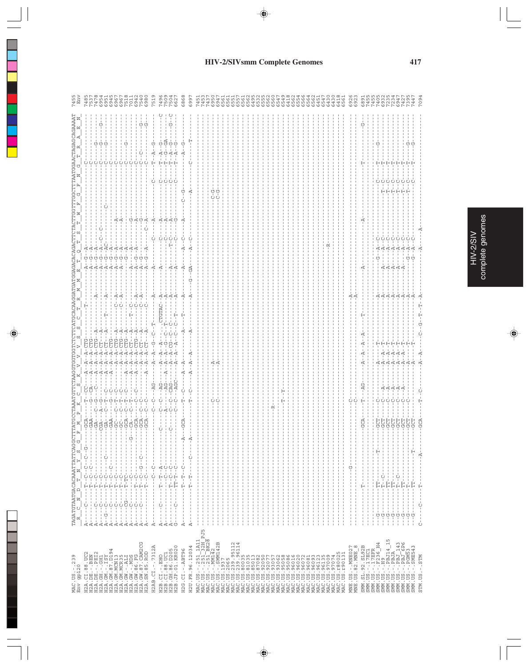| Ě<br>÷<br>Ď |
|-------------|
|             |
|             |
|             |
|             |
|             |

óč

| ۱                                                                                                                                                                                                 |                                                                                                                                                                                                     | ひ                                                                                                                                                                                                                  |                                                                | コロレレ<br>$Q Q Q Q Q Q Q Q Q P P$                                            |                                                                                                    |                                                                                                                                                                                                                                                                                                                                                                                                                     |                                                                                                         |                                                                                             |                                                                                          |                                                                     | 51                                                                         |                                                                             |                                                                                                                                                        | 40000                                                                                                                             |                                                                                                 | $\frac{6}{6}$                                                                                                   | თ<br>თ                                                                   |                                                                                                                                                                                                    | nnwnd connocownoc<br>4                                                                                                                                          |                                                                                                             | $\sigma$                                                            |        |                                                         |                                                                                                                                                                                                                                                                                                                                                                      |                                                                     |                                                                |                                                                                                                |    |   |              |             |              |                                 |               |              |               |               |               |   |                                  |                                                  |                                                                       | 44165666545616<br>45                                                | 92.5                                                                                    |               |                                                                                            |                                                                                                                      |                                                              |                                                                            | 50 <sub>0</sub>                                                  |                                               |                                                                        |                                           |                                                 |                                                                                                   | éo                                                                                           |  |
|---------------------------------------------------------------------------------------------------------------------------------------------------------------------------------------------------|-----------------------------------------------------------------------------------------------------------------------------------------------------------------------------------------------------|--------------------------------------------------------------------------------------------------------------------------------------------------------------------------------------------------------------------|----------------------------------------------------------------|----------------------------------------------------------------------------|----------------------------------------------------------------------------------------------------|---------------------------------------------------------------------------------------------------------------------------------------------------------------------------------------------------------------------------------------------------------------------------------------------------------------------------------------------------------------------------------------------------------------------|---------------------------------------------------------------------------------------------------------|---------------------------------------------------------------------------------------------|------------------------------------------------------------------------------------------|---------------------------------------------------------------------|----------------------------------------------------------------------------|-----------------------------------------------------------------------------|--------------------------------------------------------------------------------------------------------------------------------------------------------|-----------------------------------------------------------------------------------------------------------------------------------|-------------------------------------------------------------------------------------------------|-----------------------------------------------------------------------------------------------------------------|--------------------------------------------------------------------------|----------------------------------------------------------------------------------------------------------------------------------------------------------------------------------------------------|-----------------------------------------------------------------------------------------------------------------------------------------------------------------|-------------------------------------------------------------------------------------------------------------|---------------------------------------------------------------------|--------|---------------------------------------------------------|----------------------------------------------------------------------------------------------------------------------------------------------------------------------------------------------------------------------------------------------------------------------------------------------------------------------------------------------------------------------|---------------------------------------------------------------------|----------------------------------------------------------------|----------------------------------------------------------------------------------------------------------------|----|---|--------------|-------------|--------------|---------------------------------|---------------|--------------|---------------|---------------|---------------|---|----------------------------------|--------------------------------------------------|-----------------------------------------------------------------------|---------------------------------------------------------------------|-----------------------------------------------------------------------------------------|---------------|--------------------------------------------------------------------------------------------|----------------------------------------------------------------------------------------------------------------------|--------------------------------------------------------------|----------------------------------------------------------------------------|------------------------------------------------------------------|-----------------------------------------------|------------------------------------------------------------------------|-------------------------------------------|-------------------------------------------------|---------------------------------------------------------------------------------------------------|----------------------------------------------------------------------------------------------|--|
|                                                                                                                                                                                                   |                                                                                                                                                                                                     | ひ ひ                                                                                                                                                                                                                | U                                                              |                                                                            |                                                                                                    |                                                                                                                                                                                                                                                                                                                                                                                                                     |                                                                                                         |                                                                                             |                                                                                          |                                                                     |                                                                            | てり<br>K.                                                                    | び<br>ひ                                                                                                                                                 | <b>ひ ウ</b><br>K.<br>ひひひひ                                                                                                          |                                                                                                 | 也<br>ひ                                                                                                          |                                                                          |                                                                                                                                                                                                    |                                                                                                                                                                 |                                                                                                             | ひ                                                                   | U      |                                                         |                                                                                                                                                                                                                                                                                                                                                                      |                                                                     |                                                                |                                                                                                                |    |   |              |             |              |                                 |               |              |               |               |               |   |                                  |                                                  |                                                                       |                                                                     |                                                                                         |               |                                                                                            |                                                                                                                      |                                                              |                                                                            |                                                                  |                                               | <br>666666                                                             | ⊢                                         | てり                                              |                                                                                                   |                                                                                              |  |
|                                                                                                                                                                                                   | ひ                                                                                                                                                                                                   | みみみみみみみみ<br>せせせせせせせ                                                                                                                                                                                                |                                                                |                                                                            | E E                                                                                                | $\overline{\phantom{a}}$<br>ひ                                                                                                                                                                                                                                                                                                                                                                                       |                                                                                                         |                                                                                             | ひえひむ<br><b>ひ ひ</b>                                                                       | ◡<br>К<br>也                                                         | K.<br>T)                                                                   |                                                                             |                                                                                                                                                        | くくくひ<br>ひひひひ<br>$\mathbb{H}$                                                                                                      |                                                                                                 | υ                                                                                                               |                                                                          |                                                                                                                                                                                                    |                                                                                                                                                                 |                                                                                                             |                                                                     |        |                                                         |                                                                                                                                                                                                                                                                                                                                                                      |                                                                     |                                                                |                                                                                                                |    |   |              |             |              |                                 |               |              |               |               |               |   |                                  |                                                  |                                                                       |                                                                     |                                                                                         |               |                                                                                            |                                                                                                                      |                                                              | ひ                                                                          |                                                                  |                                               | AAAA<br>$\blacksquare$                                                 | J.                                        | - 1                                             | もひひひひひひ<br>$A \land A$<br><b>いい</b>                                                               |                                                                                              |  |
|                                                                                                                                                                                                   |                                                                                                                                                                                                     | <b>ፈፈፈፈፈፈ</b>                                                                                                                                                                                                      |                                                                |                                                                            | K,<br>U                                                                                            | U                                                                                                                                                                                                                                                                                                                                                                                                                   |                                                                                                         |                                                                                             | ፈፈፈፈ<br>ΚK<br>υU                                                                         |                                                                     | Æ                                                                          | К<br>CTGTAC                                                                 |                                                                                                                                                        | Æ<br>⊄ ⊄ ⊄                                                                                                                        | K.                                                                                              |                                                                                                                 |                                                                          |                                                                                                                                                                                                    |                                                                                                                                                                 |                                                                                                             |                                                                     |        |                                                         |                                                                                                                                                                                                                                                                                                                                                                      |                                                                     |                                                                |                                                                                                                |    |   |              |             |              |                                 |               |              |               |               |               |   |                                  |                                                  |                                                                       |                                                                     |                                                                                         |               |                                                                                            |                                                                                                                      |                                                              |                                                                            |                                                                  |                                               | RARA                                                                   |                                           |                                                 | みみみみみみみ                                                                                           |                                                                                              |  |
|                                                                                                                                                                                                   | <b>A A A A A A A A A A A</b><br>みみみみみ                                                                                                                                                               | RARARARARA                                                                                                                                                                                                         | $\triangle$ $\triangle$<br>5                                   | CTG.                                                                       |                                                                                                    | ë ë ë<br>UU                                                                                                                                                                                                                                                                                                                                                                                                         | $A \land A$                                                                                             |                                                                                             | RARAR<br>e<br>UU-                                                                        | K,                                                                  |                                                                            |                                                                             | ≮ ೮                                                                                                                                                    | υU<br>U U U<br>Ū<br>A A A<br>⊄ ⊄ ⊄                                                                                                | 투<br>K.                                                                                         |                                                                                                                 |                                                                          |                                                                                                                                                                                                    |                                                                                                                                                                 |                                                                                                             | Æ                                                                   | K.     |                                                         |                                                                                                                                                                                                                                                                                                                                                                      |                                                                     |                                                                |                                                                                                                |    |   |              |             |              |                                 |               |              |               |               |               |   |                                  |                                                  |                                                                       |                                                                     |                                                                                         |               | К<br>К                                                                                     |                                                                                                                      |                                                              |                                                                            |                                                                  |                                               | 55555<br>RARR                                                          |                                           |                                                 | ええええええん                                                                                           |                                                                                              |  |
|                                                                                                                                                                                                   | g<br>E<br>トロの                                                                                                                                                                                       | O<br>υ<br>К                                                                                                                                                                                                        | ◡                                                              | ίουνου<br>ひPひPPPP                                                          |                                                                                                    | ひひひ                                                                                                                                                                                                                                                                                                                                                                                                                 | O                                                                                                       | ◡                                                                                           | U O<br>↻                                                                                 | U                                                                   | U<br>U                                                                     | U<br>U                                                                      |                                                                                                                                                        | $-AG$<br>CAG<br>υ<br>ぱひぴ                                                                                                          | AGC<br>U                                                                                        | さじ                                                                                                              |                                                                          |                                                                                                                                                                                                    |                                                                                                                                                                 |                                                                                                             |                                                                     |        |                                                         |                                                                                                                                                                                                                                                                                                                                                                      |                                                                     |                                                                |                                                                                                                |    |   |              |             |              |                                 |               |              |               |               |               |   |                                  |                                                  |                                                                       |                                                                     |                                                                                         |               | <b>ZG</b><br>GCA                                                                           |                                                                                                                      |                                                              |                                                                            |                                                                  |                                               | RARA<br>ひひひ                                                            | U                                         |                                                 |                                                                                                   |                                                                                              |  |
| $\begin{array}{cccccc} \texttt{TAGATGTTATTGACACAAATTATTCTAGGCT}\\ \texttt{R} & \texttt{C} & \texttt{N} & \texttt{D} & \texttt{T} & \texttt{N} & \texttt{Y} & \texttt{S} & \texttt{G} \end{array}$ | ウーー<br>٠<br>$\frac{1}{2}$<br>÷<br>$\frac{1}{1}$<br>$\frac{1}{2}$<br>$\frac{1}{1}$<br>U<br>부                                                                                                         | $\mathbf{I}$<br>٠<br>$\mathfrak l$<br>$\,$ I<br>$\,$ I<br>٠<br>$\frac{1}{4}$<br>↻<br>U<br><b>TITTITI</b><br>부부<br>н<br>$\mathbf{I}$                                                                                | $\frac{1}{4}$<br>$\frac{1}{1}$<br>118<br>U<br>턱<br>$\mathsf I$ | ÷<br>Ü<br>Н<br>$\mathbf{I}$                                                | I<br>ı<br>$\frac{1}{1}$<br>$\frac{1}{2}$<br>$\frac{1}{4}$<br>Ú<br>Н<br>$\mathbf{I}$<br>$\mathsf I$ | t<br>I,<br>J<br>ı<br>Í<br>$\mathfrak l$<br>$\begin{bmatrix} 1 & 0 & 0 & 0 \\ 0 & 1 & 0 & 0 \\ 0 & 0 & 0 & 0 \\ 0 & 0 & 0 & 0 \\ 0 & 0 & 0 & 0 \\ 0 & 0 & 0 & 0 \\ 0 & 0 & 0 & 0 \\ 0 & 0 & 0 & 0 & 0 \\ 0 & 0 & 0 & 0 & 0 \\ 0 & 0 & 0 & 0 & 0 \\ 0 & 0 & 0 & 0 & 0 & 0 \\ 0 & 0 & 0 & 0 & 0 & 0 \\ 0 & 0 & 0 & 0 & 0 & 0 \\ 0 & 0 & 0 & 0 & 0 & 0 \\ 0 & 0 & 0 & 0 & $<br>$\,$<br>÷<br>Ü<br>Ü<br>ŤĔ<br>н<br>е<br>t | $- - - - - -$<br>ł,<br>$\,$ l<br>$\frac{1}{1}$<br>$\frac{1}{1}$<br>$\frac{1}{1}$<br>$\frac{1}{4}$<br>ł, | $\mathbf{I}$<br>÷<br>н                                                                      | $\blacksquare$<br>J<br>$-5 - -1 -$<br>Ú<br>$\frac{1}{4}$<br>$\vdash$<br>-<br>$\mathbf I$ | $\mathbf{I}$<br>$\overline{\phantom{a}}$<br>U<br>$\frac{1}{1}$<br>н | J.<br>J.<br>$\mathfrak l$<br>$\frac{1}{4}$<br>U<br>$\frac{1}{4}$<br>Ü<br>t | t<br>$\,$<br>÷.<br>$-1$                                                     | $\mathbf{I}$<br>$\overline{\phantom{a}}$<br>$-1 - 2 - 1$<br>U<br>$\frac{1}{1}$                                                                         | $\overline{\phantom{a}}$<br>$\sf I$<br>$\frac{1}{4}$<br>ı<br>$\sf I$<br>$\frac{1}{4}$<br>$\frac{0}{1}$<br>Ú<br>Ī<br>$\frac{1}{2}$ | t<br>ł<br>f,<br>$\,$<br>$\frac{1}{4}$<br>$\mathbf{L} - \mathbf{L} \mathbf{L} - \mathbf{L}$      | $- - \lambda$<br>$\frac{1}{4}$<br>j<br>Ť<br>$-1 - 1 - 1$<br>$-1$                                                | $- - A$<br>$\mathbf{I}$<br>$-1 - C - 1$<br>$\sim$ T $\sim$<br>Ĥ          | $\mathsf I$<br>$\mathsf I$<br>$\mathbf{I}$<br>$\mathbf{I}$<br>$\,$ I<br>$\mathsf I$<br>$\frac{1}{4}$<br>$\mathsf I$<br>$\mathbf{I}$<br>$\frac{1}{4}$<br>$\mathbf{I}$<br>$\mathsf I$<br>$\mathsf I$ | $\,$ I<br>$\mathbf{I}$<br>$\overline{\phantom{a}}$<br>$\mathbf{I}$<br>$\overline{\phantom{a}}$<br>$\frac{1}{4}$<br>$\frac{1}{2}$<br>$\,$ I<br>$\,$ $\,$<br>$\,$ | J.<br>J.<br>$\mathbf{I}$<br>$\frac{1}{1}$<br>$\frac{1}{1}$<br>$\frac{1}{1}$<br>$\mathbf{I}$<br>$\mathbf{I}$ | J.<br>$\,$ I<br>$\mathbf I$<br>$\,$<br>$\,$<br>$\mathbf{I}$<br>$\,$ |        | $\frac{1}{1}$<br>$\frac{1}{1}$<br>$\,$<br>$\frac{1}{1}$ |                                                                                                                                                                                                                                                                                                                                                                      |                                                                     |                                                                | $\begin{array}{c} \n\cdot & \cdot & \cdot \\ \n\cdot & \cdot & \cdot \\ \n\cdot & \cdot & \cdot \n\end{array}$ | .  | . |              |             |              |                                 |               |              |               | .             |               |   |                                  |                                                  | $\frac{1}{1}$<br>Ì<br>$\begin{array}{c} 1 \\ 1 \\ 1 \\ 1 \end{array}$ | $\overline{\phantom{a}}$<br>$\,$<br>$\,$ $\,$<br>$\frac{1}{1}$<br>Í | ţ.<br>$\mathbf{I}$<br>ł.<br>$-1$<br>$\,$<br>$\mathbf{I}$<br>$\mathbf{I}$<br>$\mathbf I$ |               | Ť<br>$\mathbf{I}$<br>$\mathsf I$<br>$\mathsf I$<br>f,<br>$\mathsf I$<br>$\mathbf{I}$<br>÷. | I<br>$\mathbf{I}$<br>$\mathfrak l$<br>ı<br>J.<br>٠<br>J.<br>$\,$<br>$\mathbf{I}$<br>$\mathbf{I}$<br>٠<br>$\mathbf I$ | $\frac{1}{1}$<br>$\mathbf{I}$<br>t<br>t<br>I<br>$\mathbf{I}$ | $-1 - 1 -$<br>$\frac{1}{4}$<br>$\mathbf I$<br>$\frac{1}{4}$<br>$-1$ TT $-$ | J.<br>$\blacksquare$<br>$-1$<br>$\mathsf I$                      | ŗт-<br>$\overline{\phantom{a}}$               | 1<br>J.<br>$-$ - $\Gamma\Gamma$ .<br>ı                                 | t<br>J,<br>$\mathbf{I}$<br>J.<br>・リー<br>턱 | J.<br>-<br>$-TT^{\dagger}$<br>$\mathbf{I}$<br>부 | I,<br>$-1$<br>J.<br>$\mathbf I$<br>×.<br>$\blacksquare$<br>٠<br>$-TT-$<br>$\mathsf I$             | $\frac{1}{1}$<br>$\overline{A}$<br>$\overline{\phantom{a}}$<br>$\overline{\phantom{a}}$<br>É |  |
|                                                                                                                                                                                                   | - 11<br>$\mathbf{I}$<br>$\mathbf{I}$<br>$\frac{1}{2}$<br>$\overline{1}$<br>$\overline{1}$<br>$\mathbf{1}$<br>1<br>$\,$ I<br>$\mathsf I$<br>- 11<br>$\mathbf{L}$<br><b>A A A A A A A A A A A A A</b> | $\overline{\phantom{a}}$<br>$\blacksquare$<br>$\overline{\phantom{a}}$<br>$\mathbf{I}$<br>U<br>U<br>÷,<br>$\mathbf{I}$<br>$\blacksquare$<br>$\,$ $\,$<br>$\overline{\phantom{a}}$<br>÷<br>$\,$ I<br>$\blacksquare$ | $\mathbf{I}$<br>U<br>$\frac{1}{4}$<br>$\frac{c}{1}$            | $\mathbf{L}$<br>$\mathbf{1}=\mathbf{1}$<br><b>UUU</b><br>÷<br>$\mathbf{L}$ | $\overline{\phantom{a}}$<br>- i<br>$\blacksquare$<br>$\,$ $\,$<br>$\mathbf{I}$<br>$\frac{1}{4}$    | $\mathbf{I}$<br>÷<br>ひ<br>$\frac{1}{2}$<br>÷<br>J,<br>J.<br>$\blacksquare$<br>- 1<br>$\mathbf{I}$                                                                                                                                                                                                                                                                                                                   | $\blacksquare$<br>$\mathbf{I}$<br>U<br>$\blacksquare$<br>$\blacksquare$<br>$\mathsf I$<br>$\,$ I        | $\mathbf{I}$<br>$\blacksquare$<br>$\mathbf{I}$<br>$\mathbf{I}$<br>-<br>$\mathbf{I}$<br>- 11 | - 1<br>$\mathbf{I}$<br>U U<br>$\,$ 1<br>- 1<br>$\,$ I<br>$\mathcal{A}$<br>- 1            | $\mathbf{I}$                                                        | $\mathbf{I}$<br>-<br>$\mathbf{I}$<br>$\blacksquare$<br>J.<br>Æ             | $\mathbf{I}$<br>$\mathbb{I}$<br>$\frac{1}{2}$<br>$\mathsf I$<br>$\mathsf I$ | $\blacksquare$<br>$\overline{\phantom{a}}$<br>п.<br>$\overline{\phantom{0}}$<br>$\overline{\phantom{a}}$<br>$\overline{\phantom{a}}$<br>$\blacksquare$ | J.<br>٠<br>$\,$ I<br>$\mathbf{I}$<br>1<br>$\sf I$<br>$\mathbf{I}$<br>くくべい                                                         | $\overline{\phantom{a}}$<br>$\mathbf{I}$<br>$\,$<br>$\frac{1}{1}$<br>$\,$ $\,$<br>$\frac{1}{4}$ | $\mathbf{I}$<br>$\mathsf{I}$<br>$\mathsf I$<br>$\sf I$<br>Ť<br>$\mathsf I$<br>$\mathsf I$<br>$\mathbf{I}$<br>A, | $\mathbf{I}$<br>$\mathbf{I}$<br>$\,$ I<br>$\mathbf{I}$<br>$\mathbb{R}^2$ | $\mathbf{I}$<br>$\mathbb{I}$<br>$\mathbf I$<br>$\mathsf I$<br>J.<br>٠<br>٠<br>$\mathsf I$<br>$\mathbf{I}$<br>-                                                                                     | $\frac{1}{4}$<br>$\mathsf I$<br>$\,$ $\,$<br>$\,$ I<br>$\overline{\phantom{a}}$<br>$\blacksquare$<br>PJ5                                                        | $\frac{1}{1}$<br>$\mathbf{I}$<br>$\frac{1}{1}$<br>J.                                                        | $\frac{1}{4}$<br>f,<br>I<br>J.                                      | $\,$ I | $\frac{1}{1}$<br>t<br>$\,$ I<br>$\mathbf{I}$            | Î<br>٠<br>$\begin{array}{c} \rule{0.2cm}{0.15mm} \rule{0.2cm}{0.15mm} \rule{0.2cm}{0.15mm} \rule{0.2cm}{0.15mm} \rule{0.2cm}{0.15mm} \rule{0.2cm}{0.15mm} \rule{0.2cm}{0.15mm} \rule{0.2cm}{0.15mm} \rule{0.2cm}{0.15mm} \rule{0.2cm}{0.15mm} \rule{0.2cm}{0.15mm} \rule{0.2cm}{0.15mm} \rule{0.2cm}{0.15mm} \rule{0.2cm}{0.15mm} \rule{0.2cm}{0.15mm} \rule{$<br>J. | $\frac{1}{1}$<br>$\overline{\phantom{a}}$<br>$\,$<br>$\blacksquare$ | $\frac{1}{1}$<br>$\overline{\phantom{a}}$<br>J<br>$\mathbf{I}$ |                                                                                                                | J. |   | $\mathbf{I}$ | Î<br>л<br>I | ŧ<br>1<br>л. | $\frac{1}{1}$<br>$\blacksquare$ | $\frac{1}{4}$ | $\mathbf{I}$ | $\frac{1}{1}$ | $\frac{1}{1}$ | $\frac{1}{1}$ | J | $\overline{\phantom{a}}$<br>$\,$ | $\overline{\phantom{a}}$<br>$\,$<br>$\mathbf{I}$ | ţ<br>$\mathbf{I}$                                                     | $\frac{1}{4}$<br>1<br>J.<br>$\blacksquare$<br>×                     | $\mathbf{I}$<br>$\mathbf{I}$<br>$\mathbf{I}$<br>I.<br>٠<br>٠                            |               | $\mathbf{I}$<br>$\mathsf I$<br>$\mathsf I$<br>J.<br>$\mathbf{I}$                           | $\overline{1}$<br>٠<br>J.<br>J.<br>٠<br>$\blacksquare$                                                               | J.<br>1<br>t<br>J.<br>J.                                     | $\mathbf{I}$<br>î.<br>$\mathbf I$<br>$\frac{1}{4}$<br>ပု                   | $\mathbf{I}$<br>$\mathbf{I}$<br>$\,$ I<br>t<br>a<br>$\mathbf{I}$ | - 1<br>$\frac{c}{1}$<br>$\blacksquare$<br>LN. | J.<br>٠<br>1<br>$\overline{\phantom{a}}$<br>יָט<br>י<br>$\blacksquare$ | J,<br>t<br>J.<br>$\frac{6}{1}$            | ם י<br>י<br>$\mathbf{I}$                        | J.<br>٠<br>٠<br>٠<br>L.<br>$\frac{1}{4}$<br>J.<br>$\dot{\vec{q}}$<br>$\mathbf{I}$<br>$\mathbf{I}$ | $\overline{\phantom{a}}$<br>ن<br>ٻ<br>$\overline{\phantom{a}}$<br>I<br>$\overline{1}$<br>Ü   |  |
| $\frac{131.239}{20}$<br>MAC.US<br>$_{\rm{Env}}$                                                                                                                                                   |                                                                                                                                                                                                     |                                                                                                                                                                                                                    |                                                                |                                                                            |                                                                                                    |                                                                                                                                                                                                                                                                                                                                                                                                                     |                                                                                                         |                                                                                             |                                                                                          |                                                                     | H2AB. CI. - . 7312A                                                        |                                                                             |                                                                                                                                                        | H2B.CI.-.BHO<br>H2B.CI.88.UC1<br>H2B.GH.86.D205<br>H2B.JP.01.KR020                                                                |                                                                                                 | $-.ABT96$<br>H2G.CI                                                                                             | H2U. FR. 96.12034                                                        | MAC.US                                                                                                                                                                                             | $3. - 251$ 1A11<br>$3. - 251$ 32H F<br>$3. - 251$ BK28<br>MAC.US                                                                                                | MAC.US                                                                                                      | $-$ . MM142<br>$\cdot$<br>MAC.US                                    |        |                                                         |                                                                                                                                                                                                                                                                                                                                                                      |                                                                     |                                                                |                                                                                                                |    |   |              |             |              |                                 |               |              |               |               |               |   |                                  |                                                  |                                                                       |                                                                     | $-1$ MNE027<br>82.MNE8<br>$\cdot$<br>MNE.US                                             | MNE.US.82.MNE |                                                                                            |                                                                                                                      |                                                              |                                                                            |                                                                  |                                               |                                                                        |                                           |                                                 | - PGM53<br>- SME543<br>- SME543<br>SMM.US.<br>SMM.US.                                             | <b>NLS</b><br>STM.US                                                                         |  |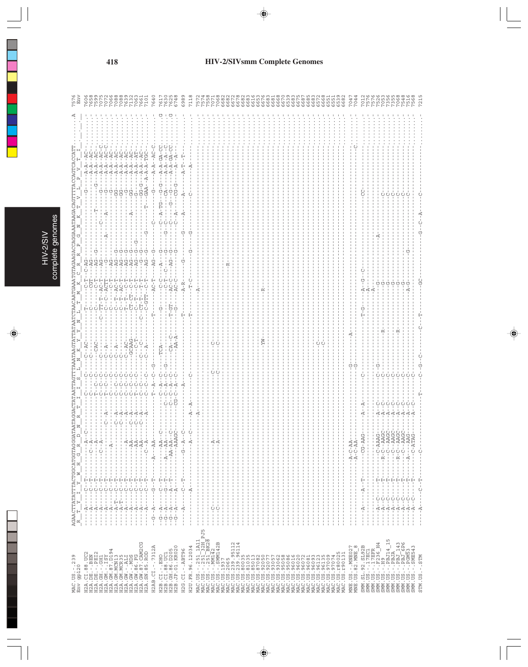|                                                  |                                                                |                                                      |                                                                                                                                                                                                                                                                                                                                                                                                                         |                                                                                                                                               |                                                                                                            |                                                                                                                                                              |                                   |                                               |                                                                       | 8o                 | 99                                                                 |                                                         |                                     |                               |                                                                     |                                                             |                                                        |                                                                                                                                                                                                                                                                                                                                                                                                                                |                                                                                                                                                                                                                                                                                                                                                                                                                                                                                                                                                                                                                                                                                                                                                    |                                                                       |                                                                              |                                                         |                                     |                                                                                                                                                                                                                                                                                                                                                                                              |                          |                                |                        |               |              |               |                                                                                                          |   |                     |   |               |               |   |   |                               | 880 |                        |   | 0 |               |                    |                                |    |   |                                                                                                                                             |                                                 |                                            |                                                                                     |                              |                                                 |                                                     |                                                                   |                                                               |                                                              |                                                    |                                                    |                                                                                                                                                                                                                                                                                                                                                                                                                                         |                                    |  |
|--------------------------------------------------|----------------------------------------------------------------|------------------------------------------------------|-------------------------------------------------------------------------------------------------------------------------------------------------------------------------------------------------------------------------------------------------------------------------------------------------------------------------------------------------------------------------------------------------------------------------|-----------------------------------------------------------------------------------------------------------------------------------------------|------------------------------------------------------------------------------------------------------------|--------------------------------------------------------------------------------------------------------------------------------------------------------------|-----------------------------------|-----------------------------------------------|-----------------------------------------------------------------------|--------------------|--------------------------------------------------------------------|---------------------------------------------------------|-------------------------------------|-------------------------------|---------------------------------------------------------------------|-------------------------------------------------------------|--------------------------------------------------------|--------------------------------------------------------------------------------------------------------------------------------------------------------------------------------------------------------------------------------------------------------------------------------------------------------------------------------------------------------------------------------------------------------------------------------|----------------------------------------------------------------------------------------------------------------------------------------------------------------------------------------------------------------------------------------------------------------------------------------------------------------------------------------------------------------------------------------------------------------------------------------------------------------------------------------------------------------------------------------------------------------------------------------------------------------------------------------------------------------------------------------------------------------------------------------------------|-----------------------------------------------------------------------|------------------------------------------------------------------------------|---------------------------------------------------------|-------------------------------------|----------------------------------------------------------------------------------------------------------------------------------------------------------------------------------------------------------------------------------------------------------------------------------------------------------------------------------------------------------------------------------------------|--------------------------|--------------------------------|------------------------|---------------|--------------|---------------|----------------------------------------------------------------------------------------------------------|---|---------------------|---|---------------|---------------|---|---|-------------------------------|-----|------------------------|---|---|---------------|--------------------|--------------------------------|----|---|---------------------------------------------------------------------------------------------------------------------------------------------|-------------------------------------------------|--------------------------------------------|-------------------------------------------------------------------------------------|------------------------------|-------------------------------------------------|-----------------------------------------------------|-------------------------------------------------------------------|---------------------------------------------------------------|--------------------------------------------------------------|----------------------------------------------------|----------------------------------------------------|-----------------------------------------------------------------------------------------------------------------------------------------------------------------------------------------------------------------------------------------------------------------------------------------------------------------------------------------------------------------------------------------------------------------------------------------|------------------------------------|--|
|                                                  |                                                                |                                                      |                                                                                                                                                                                                                                                                                                                                                                                                                         |                                                                                                                                               |                                                                                                            |                                                                                                                                                              |                                   |                                               |                                                                       |                    |                                                                    |                                                         |                                     |                               |                                                                     |                                                             |                                                        |                                                                                                                                                                                                                                                                                                                                                                                                                                |                                                                                                                                                                                                                                                                                                                                                                                                                                                                                                                                                                                                                                                                                                                                                    |                                                                       |                                                                              |                                                         |                                     |                                                                                                                                                                                                                                                                                                                                                                                              |                          |                                |                        |               |              |               |                                                                                                          |   |                     |   |               |               |   |   |                               |     |                        |   |   |               |                    |                                |    |   |                                                                                                                                             |                                                 |                                            |                                                                                     |                              |                                                 |                                                     |                                                                   |                                                               |                                                              |                                                    |                                                    |                                                                                                                                                                                                                                                                                                                                                                                                                                         |                                    |  |
|                                                  |                                                                |                                                      |                                                                                                                                                                                                                                                                                                                                                                                                                         |                                                                                                                                               | بأبابا بأبابا                                                                                              |                                                                                                                                                              |                                   |                                               |                                                                       |                    |                                                                    |                                                         |                                     |                               |                                                                     |                                                             |                                                        |                                                                                                                                                                                                                                                                                                                                                                                                                                |                                                                                                                                                                                                                                                                                                                                                                                                                                                                                                                                                                                                                                                                                                                                                    |                                                                       |                                                                              |                                                         |                                     |                                                                                                                                                                                                                                                                                                                                                                                              |                          |                                |                        |               |              |               |                                                                                                          |   |                     |   |               |               |   |   |                               |     |                        |   |   |               |                    |                                |    |   |                                                                                                                                             |                                                 |                                            |                                                                                     |                              |                                                 |                                                     |                                                                   |                                                               |                                                              |                                                    |                                                    |                                                                                                                                                                                                                                                                                                                                                                                                                                         |                                    |  |
|                                                  |                                                                |                                                      | $\overline{A}$                                                                                                                                                                                                                                                                                                                                                                                                          | К<br>$\overline{A}$                                                                                                                           | AAAAAA<br>AAAAAA<br>AAAAA                                                                                  |                                                                                                                                                              |                                   |                                               |                                                                       | K.                 | $A - A$<br>$\overline{A}$ .                                        | $A - A$                                                 | $\mathbf{A}^-$                      |                               |                                                                     |                                                             | ď                                                      |                                                                                                                                                                                                                                                                                                                                                                                                                                |                                                                                                                                                                                                                                                                                                                                                                                                                                                                                                                                                                                                                                                                                                                                                    |                                                                       |                                                                              |                                                         |                                     |                                                                                                                                                                                                                                                                                                                                                                                              |                          |                                |                        |               |              |               |                                                                                                          |   |                     |   |               |               |   |   |                               |     |                        |   |   |               |                    |                                |    |   |                                                                                                                                             |                                                 |                                            |                                                                                     |                              |                                                 |                                                     |                                                                   |                                                               |                                                              |                                                    |                                                    |                                                                                                                                                                                                                                                                                                                                                                                                                                         |                                    |  |
|                                                  |                                                                |                                                      | てり                                                                                                                                                                                                                                                                                                                                                                                                                      | 학학학행행                                                                                                                                         |                                                                                                            |                                                                                                                                                              |                                   | ָה ה<br>ה                                     |                                                                       | $G-G$              | GAA                                                                |                                                         | ひ<br>$\overset{c}{\circ}$<br>Ċ<br>H |                               | ひ<br>ひ                                                              | ひ                                                           |                                                        |                                                                                                                                                                                                                                                                                                                                                                                                                                |                                                                                                                                                                                                                                                                                                                                                                                                                                                                                                                                                                                                                                                                                                                                                    |                                                                       |                                                                              |                                                         |                                     |                                                                                                                                                                                                                                                                                                                                                                                              |                          |                                |                        |               |              |               |                                                                                                          |   |                     |   |               |               |   |   |                               |     |                        |   |   |               |                    |                                |    |   |                                                                                                                                             |                                                 |                                            |                                                                                     |                              |                                                 |                                                     | ひひ                                                                |                                                               | (1)                                                          |                                                    |                                                    |                                                                                                                                                                                                                                                                                                                                                                                                                                         |                                    |  |
|                                                  |                                                                |                                                      |                                                                                                                                                                                                                                                                                                                                                                                                                         |                                                                                                                                               |                                                                                                            |                                                                                                                                                              |                                   |                                               |                                                                       |                    | ь                                                                  |                                                         | $\overline{A}$<br>υU                |                               | ↻                                                                   | К<br>U                                                      |                                                        |                                                                                                                                                                                                                                                                                                                                                                                                                                |                                                                                                                                                                                                                                                                                                                                                                                                                                                                                                                                                                                                                                                                                                                                                    |                                                                       |                                                                              |                                                         |                                     |                                                                                                                                                                                                                                                                                                                                                                                              |                          |                                |                        |               |              |               |                                                                                                          |   |                     |   |               |               |   |   |                               |     |                        |   |   |               |                    |                                |    |   |                                                                                                                                             |                                                 |                                            |                                                                                     |                              |                                                 |                                                     |                                                                   |                                                               |                                                              |                                                    |                                                    |                                                                                                                                                                                                                                                                                                                                                                                                                                         |                                    |  |
|                                                  |                                                                |                                                      |                                                                                                                                                                                                                                                                                                                                                                                                                         |                                                                                                                                               |                                                                                                            |                                                                                                                                                              | ひひひひひ                             |                                               |                                                                       |                    | ひ<br>ひ                                                             | ひ                                                       |                                     | ひ                             |                                                                     |                                                             | てり                                                     |                                                                                                                                                                                                                                                                                                                                                                                                                                |                                                                                                                                                                                                                                                                                                                                                                                                                                                                                                                                                                                                                                                                                                                                                    |                                                                       |                                                                              |                                                         |                                     |                                                                                                                                                                                                                                                                                                                                                                                              |                          |                                |                        |               |              |               |                                                                                                          |   |                     |   |               |               |   |   |                               |     |                        |   |   |               |                    |                                |    |   |                                                                                                                                             |                                                 |                                            |                                                                                     |                              |                                                 |                                                     |                                                                   |                                                               |                                                              |                                                    |                                                    |                                                                                                                                                                                                                                                                                                                                                                                                                                         |                                    |  |
|                                                  |                                                                |                                                      | ă                                                                                                                                                                                                                                                                                                                                                                                                                       | AG                                                                                                                                            | <b>U U</b>                                                                                                 | ДĠ<br>А                                                                                                                                                      | AG                                | ă                                             |                                                                       |                    | ă                                                                  | AG                                                      |                                     |                               | 읞                                                                   |                                                             |                                                        |                                                                                                                                                                                                                                                                                                                                                                                                                                |                                                                                                                                                                                                                                                                                                                                                                                                                                                                                                                                                                                                                                                                                                                                                    |                                                                       |                                                                              |                                                         |                                     |                                                                                                                                                                                                                                                                                                                                                                                              |                          |                                |                        |               |              |               |                                                                                                          |   |                     |   |               |               |   |   |                               |     |                        |   |   |               |                    |                                |    |   |                                                                                                                                             |                                                 |                                            |                                                                                     |                              |                                                 |                                                     |                                                                   |                                                               |                                                              |                                                    |                                                    |                                                                                                                                                                                                                                                                                                                                                                                                                                         |                                    |  |
| AACAATGAATGTAGAAGAC                              |                                                                |                                                      |                                                                                                                                                                                                                                                                                                                                                                                                                         | U                                                                                                                                             |                                                                                                            | н                                                                                                                                                            | н                                 |                                               |                                                                       | 白白                 | EP-                                                                |                                                         |                                     |                               |                                                                     |                                                             |                                                        |                                                                                                                                                                                                                                                                                                                                                                                                                                |                                                                                                                                                                                                                                                                                                                                                                                                                                                                                                                                                                                                                                                                                                                                                    |                                                                       |                                                                              |                                                         |                                     |                                                                                                                                                                                                                                                                                                                                                                                              |                          |                                |                        |               |              |               |                                                                                                          |   |                     |   |               |               |   |   |                               |     |                        |   |   |               |                    |                                |    |   |                                                                                                                                             |                                                 |                                            | $A \land A$                                                                         |                              |                                                 | てりてり                                                | てり                                                                | てり                                                            | てり                                                           |                                                    |                                                    |                                                                                                                                                                                                                                                                                                                                                                                                                                         |                                    |  |
|                                                  |                                                                |                                                      |                                                                                                                                                                                                                                                                                                                                                                                                                         |                                                                                                                                               |                                                                                                            |                                                                                                                                                              |                                   |                                               |                                                                       |                    | 5<br>τı                                                            |                                                         |                                     |                               | 5                                                                   |                                                             |                                                        |                                                                                                                                                                                                                                                                                                                                                                                                                                |                                                                                                                                                                                                                                                                                                                                                                                                                                                                                                                                                                                                                                                                                                                                                    |                                                                       |                                                                              |                                                         |                                     |                                                                                                                                                                                                                                                                                                                                                                                              |                          |                                |                        |               |              |               |                                                                                                          |   |                     |   |               |               |   |   |                               |     |                        |   |   |               |                    |                                |    |   |                                                                                                                                             |                                                 |                                            |                                                                                     |                              |                                                 |                                                     |                                                                   |                                                               |                                                              |                                                    |                                                    |                                                                                                                                                                                                                                                                                                                                                                                                                                         |                                    |  |
|                                                  |                                                                |                                                      | F                                                                                                                                                                                                                                                                                                                                                                                                                       | -A                                                                                                                                            |                                                                                                            | $-4$                                                                                                                                                         |                                   | $-4$                                          |                                                                       |                    |                                                                    |                                                         |                                     |                               | F                                                                   |                                                             |                                                        |                                                                                                                                                                                                                                                                                                                                                                                                                                |                                                                                                                                                                                                                                                                                                                                                                                                                                                                                                                                                                                                                                                                                                                                                    |                                                                       |                                                                              |                                                         |                                     |                                                                                                                                                                                                                                                                                                                                                                                              |                          |                                |                        |               |              |               |                                                                                                          |   |                     |   |               |               |   |   |                               |     |                        |   |   |               |                    |                                |    |   |                                                                                                                                             |                                                 |                                            |                                                                                     |                              |                                                 |                                                     |                                                                   |                                                               |                                                              |                                                    |                                                    |                                                                                                                                                                                                                                                                                                                                                                                                                                         |                                    |  |
| CTATAATTAGTTTAAATAAGTA                           |                                                                | υ                                                    |                                                                                                                                                                                                                                                                                                                                                                                                                         | U                                                                                                                                             | ひひひひ                                                                                                       |                                                                                                                                                              |                                   | $\tau$ 1                                      |                                                                       |                    | υ<br>$\tau$ )                                                      |                                                         |                                     |                               |                                                                     |                                                             |                                                        |                                                                                                                                                                                                                                                                                                                                                                                                                                |                                                                                                                                                                                                                                                                                                                                                                                                                                                                                                                                                                                                                                                                                                                                                    |                                                                       |                                                                              |                                                         | C                                   |                                                                                                                                                                                                                                                                                                                                                                                              |                          |                                |                        |               |              |               |                                                                                                          |   |                     |   |               |               |   |   |                               |     |                        |   |   |               |                    |                                |    |   | ひ<br>τŋ                                                                                                                                     |                                                 |                                            |                                                                                     |                              |                                                 |                                                     |                                                                   |                                                               |                                                              |                                                    |                                                    |                                                                                                                                                                                                                                                                                                                                                                                                                                         |                                    |  |
| τn                                               |                                                                |                                                      |                                                                                                                                                                                                                                                                                                                                                                                                                         |                                                                                                                                               |                                                                                                            |                                                                                                                                                              |                                   |                                               |                                                                       |                    |                                                                    |                                                         |                                     |                               | U<br>$\mathcal{L}$                                                  |                                                             |                                                        |                                                                                                                                                                                                                                                                                                                                                                                                                                |                                                                                                                                                                                                                                                                                                                                                                                                                                                                                                                                                                                                                                                                                                                                                    |                                                                       |                                                                              |                                                         |                                     |                                                                                                                                                                                                                                                                                                                                                                                              |                          |                                |                        |               |              |               |                                                                                                          |   |                     |   |               |               |   |   |                               |     |                        |   |   |               |                    |                                |    |   |                                                                                                                                             |                                                 |                                            |                                                                                     |                              |                                                 |                                                     |                                                                   |                                                               |                                                              |                                                    |                                                    |                                                                                                                                                                                                                                                                                                                                                                                                                                         |                                    |  |
|                                                  |                                                                |                                                      |                                                                                                                                                                                                                                                                                                                                                                                                                         |                                                                                                                                               |                                                                                                            |                                                                                                                                                              | みみみみみ                             |                                               |                                                                       |                    |                                                                    |                                                         |                                     |                               | U                                                                   | g                                                           |                                                        |                                                                                                                                                                                                                                                                                                                                                                                                                                |                                                                                                                                                                                                                                                                                                                                                                                                                                                                                                                                                                                                                                                                                                                                                    |                                                                       |                                                                              |                                                         |                                     |                                                                                                                                                                                                                                                                                                                                                                                              |                          |                                |                        |               |              |               |                                                                                                          |   |                     |   |               |               |   |   |                               |     |                        |   |   |               |                    |                                |    |   |                                                                                                                                             |                                                 |                                            |                                                                                     |                              |                                                 | て)て)                                                | U                                                                 | U                                                             | U                                                            | ( )                                                |                                                    |                                                                                                                                                                                                                                                                                                                                                                                                                                         |                                    |  |
|                                                  |                                                                |                                                      | $\begin{array}{c} 1 & 1 & 1 \\ 1 & 1 & 1 \\ 1 & 1 & 1 \end{array}$                                                                                                                                                                                                                                                                                                                                                      | $\mathbf{I}$                                                                                                                                  |                                                                                                            |                                                                                                                                                              |                                   |                                               | U U                                                                   |                    |                                                                    |                                                         |                                     |                               |                                                                     |                                                             | $-4$                                                   | $- - A$                                                                                                                                                                                                                                                                                                                                                                                                                        | $\mathbf{I}$                                                                                                                                                                                                                                                                                                                                                                                                                                                                                                                                                                                                                                                                                                                                       | $\mathbf{I}$                                                          |                                                                              | $-1$                                                    | $-1$                                | J.                                                                                                                                                                                                                                                                                                                                                                                           |                          |                                |                        |               |              |               |                                                                                                          |   |                     |   |               |               |   |   |                               |     | $\mathbf{I}$           |   |   |               |                    |                                |    |   |                                                                                                                                             |                                                 |                                            | $\mathbb{R}^n$                                                                      |                              |                                                 |                                                     |                                                                   |                                                               |                                                              |                                                    |                                                    |                                                                                                                                                                                                                                                                                                                                                                                                                                         |                                    |  |
|                                                  | $\frac{1}{1}$<br>$\mathbf{I}$                                  | $\frac{1}{2}$<br>Ħ<br>$\mathbf{I}$                   | $\frac{1}{1}$<br>$\mathbf I$<br>$\mathsf I$<br>$\mathbb{I}$<br>î.                                                                                                                                                                                                                                                                                                                                                       | $\mathsf{I}$<br>$\frac{1}{2}$<br>$\blacksquare$<br>$\mathbf{I}$<br>$\mathsf I$<br>$\mathsf I$<br>$\mathbf{I}$<br>$\mathbf{I}$<br>$\mathbf{I}$ | $- - A -$<br>$\frac{1}{4}$<br>f,<br>$\,$ I<br>$\mathbf{I}$                                                 | $\cdots$<br>$\cdots$<br>$\cdots$<br>$\cdots$<br>$\cdots$<br>$\cdots$<br>$\cdots$<br>$\cdots$<br>$\cdots$<br>$\cdots$<br>$\cdots$<br>$\cdots$<br>$\sf I$<br>ŧ | $\mathsf I$<br>$\mathbf{I}$<br>Ŷ. | $\mathsf I$<br>$\blacksquare$<br>$\mathbf{I}$ | $\blacksquare$<br>$\blacksquare$                                      | $- - - - 2A$<br>J. | $-1 - 1 - -1$<br>$\mathbf{I}$<br>$\mathsf I$<br>L.<br>$\mathbf{I}$ |                                                         | $- - - - A$<br>Ì<br>t               | $- -A - - A$<br>$\frac{1}{1}$ | $- P A - P A$<br>$\,$ I<br>$\frac{1}{1}$                            | $---PA$<br>$\frac{1}{4}$<br>J.<br>$\,$<br>$\mathbf{I}$<br>÷ | U<br>$\mathbf{I}$<br>J.<br>$\mathsf I$<br>$\mathbf{I}$ | J.<br>$\mathbf{I}$<br>$\mathfrak l$<br>$\mathbf{I}$                                                                                                                                                                                                                                                                                                                                                                            | $\mathbf I$<br>$\begin{array}{c} \rule{0.2cm}{0.15mm} \rule{0.2cm}{0.15mm} \rule{0.2cm}{0.15mm} \rule{0.2cm}{0.15mm} \rule{0.2cm}{0.15mm} \rule{0.2cm}{0.15mm} \rule{0.2cm}{0.15mm} \rule{0.2cm}{0.15mm} \rule{0.2cm}{0.15mm} \rule{0.2cm}{0.15mm} \rule{0.2cm}{0.15mm} \rule{0.2cm}{0.15mm} \rule{0.2cm}{0.15mm} \rule{0.2cm}{0.15mm} \rule{0.2cm}{0.15mm} \rule{$<br>$\frac{1}{1}$<br>f,<br>$\begin{array}{c} \rule{0.2cm}{0.15mm} \rule{0.2cm}{0.15mm} \rule{0.2cm}{0.15mm} \rule{0.2cm}{0.15mm} \rule{0.2cm}{0.15mm} \rule{0.2cm}{0.15mm} \rule{0.2cm}{0.15mm} \rule{0.2cm}{0.15mm} \rule{0.2cm}{0.15mm} \rule{0.2cm}{0.15mm} \rule{0.2cm}{0.15mm} \rule{0.2cm}{0.15mm} \rule{0.2cm}{0.15mm} \rule{0.2cm}{0.15mm} \rule{0.2cm}{0.15mm} \rule{$ | $\mathbf{I}$<br>$\mathbf{I}$<br>$\overline{\phantom{a}}$<br>$\,$      | $\mathbf{I}$<br>1<br>$\frac{1}{1}$                                           | $\mathbf{I}$                                            | J.                                  | t<br>$\frac{1}{1}$<br>Ţ<br>$\frac{1}{1}$                                                                                                                                                                                                                                                                                                                                                     | $\mathbf{I}$             | $\frac{1}{4}$                  | $\mathbf{I}$           |               | $\mathbf{r}$ | $\frac{1}{2}$ |                                                                                                          | Ť | $\,$ $\,$<br>$\,$ I |   | $\frac{1}{2}$ |               | J | ı | $\,$ I                        |     |                        |   |   | $\frac{1}{4}$ | $\,$<br>J.         | $\,$ I                         |    |   | $- A - C - A A$<br>$\mathsf I$<br>$\mathbf{I}$                                                                                              | $- A - C - A A$<br>$\mathbf{I}$<br>$\mathbf{I}$ | $C - 2$<br>$\frac{1}{1}$<br>1<br>J.        | $\mathbb{I}$<br>$\mathbb{I}$<br>÷,<br>$\mathfrak l$<br>$\mathfrak l$<br>J.          |                              |                                                 | --------C-AA2<br>----------                         | $\frac{1}{2}$<br>$\mathbf{I}$<br>$\,$ I                           | $\frac{1}{2}$                                                 | $- - R - C$<br>$\blacksquare$                                | $\frac{1}{1}$<br>٠                                 | $-4 - 2$<br>ţ                                      | J.<br>L.                                                                                                                                                                                                                                                                                                                                                                                                                                | $\cup$<br>$\overline{\phantom{a}}$ |  |
|                                                  | 1<br>$\,$ I<br>$\blacksquare$<br>۲<br> -<br>U<br>$\frac{1}{4}$ | $\mathbf{I}$<br>$\frac{1}{4}$<br>υU<br>$\frac{1}{4}$ | ŦΕ<br>$\frac{1}{4}$                                                                                                                                                                                                                                                                                                                                                                                                     | $\mathbf{I}$<br>↻<br>$\frac{1}{4}$                                                                                                            | $\blacksquare$<br>Ħ<br>$\frac{1}{2}$ $\frac{1}{2}$ $\frac{1}{2}$ $\frac{1}{2}$ $\frac{1}{2}$ $\frac{1}{2}$ | $\frac{1}{4}$                                                                                                                                                | $\frac{1}{4}$                     | ł<br>$\frac{1}{4}$<br>↻<br>$\frac{1}{4}$<br>÷ | $\overline{\phantom{a}}$<br>$\mathbf{I}$<br>$\frac{1}{4}$<br>ひひひ<br>÷ |                    | $\frac{1}{4}$<br>↻<br>$\mathbf{I}$<br>$\overline{\phantom{a}}$     | $\mathsf I$<br>$\mathbf{I}$<br>$\frac{1}{2}$<br>ひ<br>÷. | $\frac{1}{4}$<br>Ħ                  | $\frac{1}{1}$                 | $\mathsf I$<br>$\mathbf{I}$<br>ÉÉE :<br>Jili<br>ひひええ                | $\mathbf I$<br>÷                                            | $\mathbf{I}$<br>$\,$ I<br>۲<br>ا<br>U<br>$\mathbf{I}$  | J.<br>$\blacksquare$<br>$\,$ $\,$<br>$\mathbf{A}^-$<br>$\frac{1}{4}$                                                                                                                                                                                                                                                                                                                                                           | $\frac{1}{2}$<br>$\mathsf I$<br>$\,$ I<br>$\frac{1}{4}$                                                                                                                                                                                                                                                                                                                                                                                                                                                                                                                                                                                                                                                                                            | $\frac{1}{1}$<br>$\frac{1}{1}$<br>$\bar{1}$<br>$\,$ I<br>$\mathbf{I}$ | J.<br>Î.                                                                     | $\mathsf I$<br>$\frac{1}{4}$                            | $\frac{1}{4}$                       |                                                                                                                                                                                                                                                                                                                                                                                              |                          |                                |                        |               |              |               |                                                                                                          |   |                     |   |               |               |   |   | $\frac{1}{1}$                 |     |                        |   |   |               | .                  |                                |    |   | $\mathbf{I}$<br>$\mathbf{I}$<br>$\overline{\phantom{a}}$<br>$\,$ I<br>$\frac{1}{4}$<br>$\overline{\phantom{a}}$<br>$\overline{\phantom{a}}$ | $\mathbf{I}$<br>$\,$ $\,$                       | 1<br>$- -A - -T$                           | J.<br>$\mathbf{I}$<br>$\mathbb{L}$<br>$\frac{1}{4}$<br>$\mathbf{I}$<br>$\mathbf{I}$ |                              | $\frac{1}{4}$<br>F-<br>$\,$ 1<br>$\overline{1}$ | $\frac{1}{4}$<br>۲<br>ا<br>$\,$<br>J.               | $\frac{1}{1}$<br>$\overline{a}$<br>$\mathbf{I}$<br>$\overline{1}$ | ÷<br>$\overline{\phantom{a}}$<br>$\mathbf{I}$<br>$\mathbf{I}$ | -<br>$\frac{1}{4}$<br>۳<br>-<br>$\mathbf{I}$<br>$\mathbf{I}$ | ٠<br>$\frac{1}{1}$<br>۲<br>ا<br>I.<br>$\mathbf{I}$ | Í<br>F--<br>$\frac{1}{1}$                          | $\mathbf{I}$<br>ł<br>부<br>I,<br>$\mathbf{I}$<br>$\mathbf{I}$                                                                                                                                                                                                                                                                                                                                                                            | ۴<br>ا<br>$\frac{1}{\sqrt{2}}$     |  |
| AGAACTTATATTTACTGGCATGGTAGG<br>R T Y I Y W H G R | $\frac{1}{4}$<br>$---A$                                        | ÷,                                                   | 青青                                                                                                                                                                                                                                                                                                                                                                                                                      | ÷                                                                                                                                             | j.                                                                                                         | 부                                                                                                                                                            | 부                                 | ÷                                             | ÷,                                                                    | $\frac{1}{4}$      | $\mathsf{I}$<br>÷<br>$\mathbb{I}$                                  | $\mathsf I$<br>$\mathbf{I}$<br>-<br>$\mathcal{A}$<br>Ť  | $\mathbb{L}$<br>吉吉<br>Ť             | $\,$ I<br>Ť                   | $\mathsf I$<br>$\mathbf{I}$<br>$\mathbf{I}$<br>A A A<br>ŦŦ<br>ゃゃゃゃ  | $\mathbf I$<br>$\mathbf{I}$<br>$\mathbf{I}$                 | $\mathbf{I}$<br>J.<br>A,<br>$\frac{1}{4}$<br>÷.        | $\begin{array}{c} \rule{0.2cm}{0.15mm} \rule{0.2cm}{0.15mm} \rule{0.2cm}{0.15mm} \rule{0.2cm}{0.15mm} \rule{0.2cm}{0.15mm} \rule{0.2cm}{0.15mm} \rule{0.2cm}{0.15mm} \rule{0.2cm}{0.15mm} \rule{0.2cm}{0.15mm} \rule{0.2cm}{0.15mm} \rule{0.2cm}{0.15mm} \rule{0.2cm}{0.15mm} \rule{0.2cm}{0.15mm} \rule{0.2cm}{0.15mm} \rule{0.2cm}{0.15mm} \rule{$<br>$\mathbf{I}$<br>$\mathbf{I}$<br>$\,$ I<br>$\mathsf I$<br>$\frac{1}{4}$ | $\mathbf{I}$<br>$\,$<br>$\frac{1}{4}$<br>$\mathbf{I}$                                                                                                                                                                                                                                                                                                                                                                                                                                                                                                                                                                                                                                                                                              | $\bar{1}$<br>$\,$ $\,$<br>$\frac{1}{1}$<br>$\mathbf{I}$<br>幇          | $\mathbf{I}$<br>$\mathsf I$<br>$\mathbf{I}$<br>$\mathbf{I}$<br>$\frac{1}{1}$ | $\mathsf I$<br>$\,$ I<br>$\frac{1}{4}$<br>$\frac{1}{1}$ | $\frac{1}{4}$<br>$\frac{1}{2}$<br>1 | $\begin{array}{c} \rule{0.2cm}{0.15mm} \rule{0.2cm}{0.15mm} \rule{0.2cm}{0.15mm} \rule{0.2cm}{0.15mm} \rule{0.2cm}{0.15mm} \rule{0.2cm}{0.15mm} \rule{0.2cm}{0.15mm} \rule{0.2cm}{0.15mm} \rule{0.2cm}{0.15mm} \rule{0.2cm}{0.15mm} \rule{0.2cm}{0.15mm} \rule{0.2cm}{0.15mm} \rule{0.2cm}{0.15mm} \rule{0.2cm}{0.15mm} \rule{0.2cm}{0.15mm} \rule{$<br>$\frac{1}{1}$<br>J,<br>$\frac{1}{1}$ | $\frac{1}{1}$<br>f,<br>٠ | $\frac{1}{1}$<br>$\frac{1}{2}$ | $\,$ $\,$<br>$\,$ $\,$ | $\frac{1}{1}$ | J.           |               | $\begin{array}{c} \begin{array}{c} \text{1} \\ \text{2} \\ \text{3} \\ \text{4} \end{array} \end{array}$ |   | $\frac{1}{1}$       | 1 | .<br>J.       | $\frac{1}{4}$ |   | . | $\frac{1}{1}$<br>$\mathbf{I}$ | J.  | ----------------<br>J. | ٠ |   | $\,$ $\,$     | $\frac{1}{1}$<br>٠ | $\frac{1}{1}$<br>$\frac{1}{1}$ | ÷, |   | $\mathbf I$<br>$\mathsf I$<br>$\mathbf{I}$<br>$\mathbf{I}$<br>1<br>$\mathsf I$<br>J.                                                        | $\overline{\phantom{a}}$                        | $\,$ $\,$<br>$\frac{1}{4}$<br>$- - A$<br>1 | J.<br>$\frac{1}{4}$<br>$\mathsf I$<br>$\mathbf{I}$<br>J.                            | $\mathbf{I}$<br>$\mathbf{I}$ | Ţ<br>$\mathbf{I}$                               | 요요요요요<br>그 모든 모든 모든<br>RARAA<br>Ţ<br>$\blacksquare$ | Ŧ<br>$\mathbf{I}$                                                 | Ŧ<br>$\mathbf{I}$                                             | Ŧ<br>-                                                       | Ŧ<br>-                                             | $\overline{1}$<br>U<br>Ť<br>К<br>Ţ<br>$\mathbf{I}$ | U<br>÷<br>$\prec$<br>Ŧ<br>$\mathbb{I}$                                                                                                                                                                                                                                                                                                                                                                                                  | A<br>٠                             |  |
| $\mathbbm{R}$                                    | $\mathbf{I}$                                                   |                                                      |                                                                                                                                                                                                                                                                                                                                                                                                                         |                                                                                                                                               |                                                                                                            |                                                                                                                                                              |                                   |                                               |                                                                       |                    |                                                                    | $\frac{1}{\sqrt{2}}$                                    |                                     |                               |                                                                     |                                                             | $\mathbf{I}$                                           | $\,$                                                                                                                                                                                                                                                                                                                                                                                                                           | $\mathsf I$                                                                                                                                                                                                                                                                                                                                                                                                                                                                                                                                                                                                                                                                                                                                        |                                                                       |                                                                              |                                                         |                                     | $\mathbf{I}$                                                                                                                                                                                                                                                                                                                                                                                 |                          |                                |                        |               |              |               |                                                                                                          |   |                     |   |               |               |   |   |                               |     |                        |   |   |               |                    |                                |    |   |                                                                                                                                             |                                                 |                                            |                                                                                     |                              |                                                 | $\mathbf I$                                         | $\mathbf{I}$<br>$\frac{5}{1}$                                     | $\mathsf I$                                                   | $\,$ I                                                       | $\,$ $\,$                                          | $\mathbf{I}$                                       | $\mathbf{I}$                                                                                                                                                                                                                                                                                                                                                                                                                            |                                    |  |
| C<br>23<br>$\cdot$ 0                             |                                                                |                                                      |                                                                                                                                                                                                                                                                                                                                                                                                                         |                                                                                                                                               |                                                                                                            |                                                                                                                                                              |                                   |                                               |                                                                       |                    |                                                                    | $-.7312A$                                               |                                     |                               |                                                                     | $\circ$                                                     | $-.ABT96$                                              | 4<br>6.1203                                                                                                                                                                                                                                                                                                                                                                                                                    |                                                                                                                                                                                                                                                                                                                                                                                                                                                                                                                                                                                                                                                                                                                                                    | $-251$ 1A11<br>$-251$ 32H PJ5<br>$-251$ BK28<br>$-251$ BK28           |                                                                              |                                                         |                                     |                                                                                                                                                                                                                                                                                                                                                                                              |                          |                                |                        |               |              |               |                                                                                                          |   |                     |   |               |               |   |   |                               |     |                        |   |   |               |                    |                                |    | D | $\infty$                                                                                                                                    |                                                 |                                            |                                                                                     |                              |                                                 |                                                     |                                                                   |                                                               |                                                              |                                                    |                                                    |                                                                                                                                                                                                                                                                                                                                                                                                                                         | <b>STM</b>                         |  |
| MAC.US.-.<br>Env gp120                           |                                                                |                                                      | $\begin{array}{ll} \text{H2A, CL} & \text{18.102} \\ \text{H2A, DB} & \text{--BEN} \\ \text{H2A, BL} & \text{18.1} \\ \text{H2A, CH} & \text{--H2} \\ \text{H2A, CH} & \text{-} \text{LST} \\ \text{H2A, CH} & \text{-} \text{LST} \\ \text{H2A, CH} & \text{-} \text{LST} \\ \text{H2A, CH} & \text{M. MCM11} \\ \text{H2A, CH} & \text{M. MCM12} \\ \text{H2A, CH} & \text{-} \text{LST} \\ \text{H2A, CH} & \text{-$ |                                                                                                                                               |                                                                                                            |                                                                                                                                                              |                                   |                                               |                                                                       |                    |                                                                    | H2AB.CI                                                 |                                     |                               | H2B.CI.-. EHO<br>H2B.CI.88.UC1<br>H2B.GH.86.D205<br>H2B.JP.01.KR020 |                                                             | H2G.CI.                                                | $\sigma$<br>H2U.FR.                                                                                                                                                                                                                                                                                                                                                                                                            |                                                                                                                                                                                                                                                                                                                                                                                                                                                                                                                                                                                                                                                                                                                                                    | MAC.US.<br>MAC.US.                                                    | MAC.US.                                                                      |                                                         |                                     |                                                                                                                                                                                                                                                                                                                                                                                              |                          |                                |                        |               |              |               |                                                                                                          |   |                     |   |               |               |   |   |                               |     |                        |   |   |               |                    |                                |    |   | $\begin{array}{l} \tt MME\,. \; \tt US\,. - \; \tt MMEO2\\ \tt MME\,. \; \tt US\,. \; 8\,2\,. \; \tt MME\\ \end{array}$                     |                                                 |                                            |                                                                                     |                              |                                                 |                                                     |                                                                   |                                                               |                                                              |                                                    |                                                    | $\begin{array}{l} \texttt{SMM}, \texttt{SL}, 92, \texttt{S1.92B} \\ \texttt{SMM}, \texttt{US}. - 17 \texttt{BCl} \\ \texttt{SMM}, \texttt{US}. - 17 \texttt{BCl} \\ \texttt{SMM}, \texttt{US}. - 18 \texttt{J} \\ \texttt{SMM}, \texttt{US}. - 18 \texttt{J} \\ \texttt{SMM}, \texttt{US}. - 18 \texttt{J} \\ \texttt{SMM}, \texttt{US}. - 18 \texttt{J} \\ \texttt{SMM}, \texttt{US}. - 18 \texttt{J} \\ \texttt{SMM}, \texttt{US}. -$ | STM.US                             |  |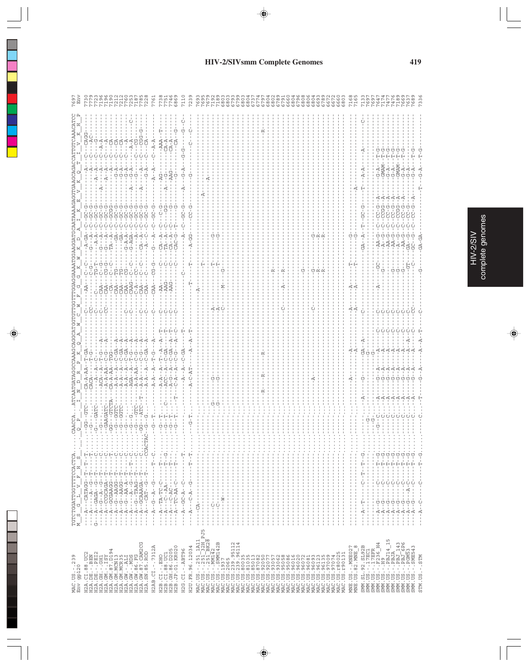| Ě<br>÷<br>Ď |
|-------------|
|             |
|             |
|             |
|             |
|             |

óč

|                                                                                                                                                                                                                                                                                                                                                                                                                                                                                                                        | 76<br>$\sim \infty$                                                                                                                                                                                          | $\sim$                                                                                                                                          | $\omega$ $\omega$                                                                                                                                                                                                                                                                                                                                                                                                                                                                                                                                    |                                                                                                                                                                                                                                                                                                                                                                                                         |                                      | $\circ$<br>$\sim$ $\sim$                                                                                                                                                                                                                                                                                                                                                                                                                                                                                                                                                                                                                                                                                                                                                                                                                                                                        |
|------------------------------------------------------------------------------------------------------------------------------------------------------------------------------------------------------------------------------------------------------------------------------------------------------------------------------------------------------------------------------------------------------------------------------------------------------------------------------------------------------------------------|--------------------------------------------------------------------------------------------------------------------------------------------------------------------------------------------------------------|-------------------------------------------------------------------------------------------------------------------------------------------------|------------------------------------------------------------------------------------------------------------------------------------------------------------------------------------------------------------------------------------------------------------------------------------------------------------------------------------------------------------------------------------------------------------------------------------------------------------------------------------------------------------------------------------------------------|---------------------------------------------------------------------------------------------------------------------------------------------------------------------------------------------------------------------------------------------------------------------------------------------------------------------------------------------------------------------------------------------------------|--------------------------------------|-------------------------------------------------------------------------------------------------------------------------------------------------------------------------------------------------------------------------------------------------------------------------------------------------------------------------------------------------------------------------------------------------------------------------------------------------------------------------------------------------------------------------------------------------------------------------------------------------------------------------------------------------------------------------------------------------------------------------------------------------------------------------------------------------------------------------------------------------------------------------------------------------|
| ひ<br>ğ<br><b>PAASSSAAG</b><br>ජි<br>$-A-i$<br>$1 \quad 1 \quad 1$<br>$\mathbf{1}$<br>U U U U U U U U U U<br>ひひひ<br>К<br>∣ ⊄<br>$\overline{1}$<br>HH<br>$\overline{\phantom{0}}$<br>К<br>Ą<br><b>000000000000</b><br>U<br>$\,$ 1<br>$\mathbf{I}$<br>. 남한한한 미미 보니<br>아이 : 아이 : 아이 : 아이<br>. 아이 : 아이 : 아이 : 아이<br>$\begin{array}{c} 1 & 0 \\ 0 & 1 \\ 0 & 1 \end{array}$<br>$\ddot{\phi}$<br>UUĀ<br>UÜUFF<br>ひひひひ                                                                                                         | U<br>C<br>P<br>P<br>A<br>A<br>ひどめ<br>ひ<br>てり<br>ಕ್ರ<br>U<br>UUUH<br>≮ປ<br>SÉS<br>$\stackrel{\shortparallel }{\circlearrowright}$<br>ひ<br>ひひひひ<br>Ů                                                           | τŋ<br>ひ<br>y                                                                                                                                    |                                                                                                                                                                                                                                                                                                                                                                                                                                                                                                                                                      |                                                                                                                                                                                                                                                                                                                                                                                                         | 79 DC DC                             | ひひひひ<br>ひ<br><b>HHHH</b><br>או בא<br>פולי אילי אילי<br>המולי אילי אילי<br>המולי אילי אילי<br>K.<br>AAAAA<br>פסמסמסמס<br>ק<br>לאָליליליליליל<br><u> ひ ひ ひ ひ ひ ひ ひ し</u><br>아아아아아<br>-<br>-<br>- 아이아아아<br>К<br><b>ひ ひ</b><br>€<br>უ<br>ს<br>당무<br>てりてり                                                                                                                                                                                                                                                                                                                                                                                                                                                                                                                                                                                                                                            |
| ggegg<br>CAA<br>C-A<br>CAA<br>CAA<br>CAA<br>◡<br>Ū<br>Ū<br>U<br>U<br>U<br>RR<br>I A A A A A A<br>ှုမှုဝှမ်းဝှုဝ်ဝှမ်းဝှုဝှ<br>၂ မှုမှုမိုမို့ရွှေမှုမှုမှုမှ<br>Ĝ<br>$\cup$<br>Ą<br>Ą<br>Ą<br>- 6AAGATC<br>-- 65- -- 650<br>-- 64- 6510<br>-- 64- 6610                                                                                                                                                                                                                                                                 | CAA<br>HHHU<br>ලි<br>Ů<br>HUUU<br>Ą<br>ひ                                                                                                                                                                     | ⊢                                                                                                                                               | $A \triangleleft C$<br>τŋ<br>てり                                                                                                                                                                                                                                                                                                                                                                                                                                                                                                                      |                                                                                                                                                                                                                                                                                                                                                                                                         |                                      | K,<br>υU<br>↻<br><u> ひひひひひひ</u><br>みみみみみみみ<br>めむ<br>RAARAAA<br>ひひひひひひひひ<br>RRRRRRA<br>ひ                                                                                                                                                                                                                                                                                                                                                                                                                                                                                                                                                                                                                                                                                                                                                                                                         |
| CCACTAC<br>TGTCTGGATTGGTTTCCACTCA<br>M S G L V F H S<br>◡<br>U<br>$\frac{1}{4}$<br>Ī.<br>Ť<br>Ť<br>Ť<br>ï<br>$\mathsf I$<br>۲<br>ا<br>J.<br>$\overline{\phantom{a}}$<br>Ť.<br>÷<br>÷<br>Ĵ<br>Ĵ<br>$\Gamma$ – $\Gamma$<br><b>COATAU---</b><br>$\circ$<br>$- - A$<br>$\mathbf{I}$<br>J.<br>$\mathbf{I}$<br>$\mathbf{I}$<br>$\mathbf{I}$<br>$\overline{\phantom{a}}$<br>Ů<br>$\mathbf{I}$<br>٠                                                                                                                            | $-$ - $-$ T $-$ - C $\ldots$<br>L.<br>$\mathbf{I}$<br>$\mathbf{I}$<br>$\mathbf{L}$<br>$-2 - -4 - -9 - -8 - -9 -$<br>$- -A - T - PA - C$<br>$- -2A - -C - AC - -$<br>$\overline{\phantom{a}}$<br>$\mathbf{I}$ | $-1-\Gamma$ .<br>$\cdots$ T $\cdots$<br>$\frac{1}{2}$<br>$\mathbb{I}$<br>$- -A - -C - A - -C - - -$<br>$-1 - 1 - 1 - 1 - 1 - 1$<br>$\mathbf{I}$ | $\frac{1}{1}$<br>$\frac{1}{1}$<br>t<br>Í<br>$\frac{1}{1}$<br>$\frac{1}{1}$<br>J,<br>f,<br>$\bar{1}$<br>$\begin{array}{c} \rule{0.2cm}{0.15mm} \rule{0.2cm}{0.15mm} \rule{0.2cm}{0.15mm} \rule{0.2cm}{0.15mm} \rule{0.2cm}{0.15mm} \rule{0.2cm}{0.15mm} \rule{0.2cm}{0.15mm} \rule{0.2cm}{0.15mm} \rule{0.2cm}{0.15mm} \rule{0.2cm}{0.15mm} \rule{0.2cm}{0.15mm} \rule{0.2cm}{0.15mm} \rule{0.2cm}{0.15mm} \rule{0.2cm}{0.15mm} \rule{0.2cm}{0.15mm} \rule{$<br>$\,$<br>$\mathsf I$<br>$\,$ I<br>J.<br>$\overline{\phantom{a}}$<br>$\mathbf{I}$<br>ŗυ | .<br>.<br>$\frac{1}{1}$<br>$\frac{1}{1}$<br>$\frac{1}{1}$<br>$\,$<br>I,<br>l,<br>$\,$ $\,$<br>$\,$                                                                                                                                                                                                                                                                                                      | $\frac{1}{1}$<br>Î<br>$\overline{1}$ | $-1 - C - 1 - 1 - 1 - 1 - 1$<br>ひ<br>ひ<br>ひ<br>ひ<br>ひ<br>ひ<br>ひ<br>ひ<br>U<br>$\frac{1}{1}$<br>HH<br>Ť<br>$\frac{1}{4}$<br>$\frac{1}{1}$<br>$\overline{1}$<br>ŧ<br>복<br>$\frac{1}{\sqrt{2}}$<br>⊢<br>н<br>$\vdash$<br>부<br>$\mathbf{1}$<br>$\mathbf{I}$<br>÷,<br>÷<br>$\mathbf{I}$<br>$\overline{\phantom{a}}$<br>$\mathfrak l$<br>$\mathbf{I}$<br>J.<br>j.<br>$\,$ I<br>J.<br>Ü<br>$\frac{1}{2}$<br>U<br>U<br>$\Gamma$<br>$\mathbf{I}$<br>$-4 - 7$<br>- 1<br>$\overline{\phantom{a}}$<br>ï<br>ł<br>$- - 2A - -T - - -$<br>$\mathsf I$<br>$\mathbf{I}$<br>$\mathbf{I}$<br>$\blacksquare$<br>$\frac{1}{1}$<br>J.<br>$\mathbf{I}$<br>J.<br>$\blacksquare$<br>$\overline{\phantom{a}}$<br>J.<br>ין יון יון<br>קיילויון<br>ひ<br>C<br>$\frac{1}{4}$<br>Ť<br>Ţ<br>$\mathbf{I}$<br>$- - A$<br>$- - A$<br>$\,$ I<br>$\mathbf{I}$<br>$\mathbf{I}$<br>J.<br>J.<br>$\mathbf{I}$<br>$\overline{\phantom{a}}$ |
| $\begin{array}{ll} \text{H2A}, \text{CL} & \text{188}, \text{UC2}\\ \text{H2A}, \text{DB}, \text{--} & \text{BBN}\\ \text{H2A}, \text{CH}, \text{--} & \text{--} & \text{--} & \text{--} \\ \text{H2A}, \text{GH}, \text{--} & \text{--} & \text{--} & \text{--} \\ \text{H2A}, \text{GH}, \text{--} & \text{--} & \text{--} & \text{--} \\ \text{H2A}, \text{GH}, \text{--} & \text{--} & \text{--} & \text{--} \\ \text{H2A}, \text{GH}, \text{HCM}, \$<br>239<br>$\cdot \circ$<br>- לטו. טא.<br>Env gp120<br>MAC.US | $-.7312A$<br>$\begin{array}{l} \rm H2B \cdot CL1 - \rm BHO \\ \rm H2B \cdot CL \cdot B8 \cdot UCL \\ \rm H2B \cdot GH \cdot 86 \cdot D205 \\ \rm H2B \cdot JP \cdot 01 \cdot KRO20 \end{array}$<br>H2AB.CI.  | H2U. FR. 96.12034<br>H2G.CI. - ABT96                                                                                                            | PJ                                                                                                                                                                                                                                                                                                                                                                                                                                                                                                                                                   | $\begin{small} \texttt{MBC} & \texttt{U51} & \texttt{1311} & \texttt{1311} \\ \texttt{MBC} & \texttt{131} & \texttt{131} & \texttt{131} \\ \texttt{MBC} & \texttt{131} & \texttt{131} & \texttt{131} \\ \texttt{MBC} & \texttt{131} & \texttt{131} & \texttt{131} \\ \texttt{MBC} & \texttt{131} & \texttt{131} & \texttt{131} \\ \texttt{MBC} & \texttt{131} & \texttt{131} & \texttt{131} \\ \texttt$ |                                      | LN<br>SMM: US : - . i5<br>SMM: US : - . pBJ14 - 15<br>SMM: US : - . pBJ14 - 15<br>SMM: US : - . pBJ<br>SMM: US : - . PBJ - 6P6<br>SMM: US : - . PGM53<br>SMM.SL.92.SL92B<br>SMM.US.-.17EC1<br>SMM.US.-.17EC1<br>SMM.US.-.F236_H4<br>$\overline{ }$<br>$\infty$<br>PGM53<br>SME543<br>MNE.US.-.MNE02<br>MNE.US.82.MNE<br>$2.$ MNE<br><b>STM</b><br>SMM . US . - . F<br>SMM . US . - . F<br>SMM . US . - . S<br>STM.US                                                                                                                                                                                                                                                                                                                                                                                                                                                                            |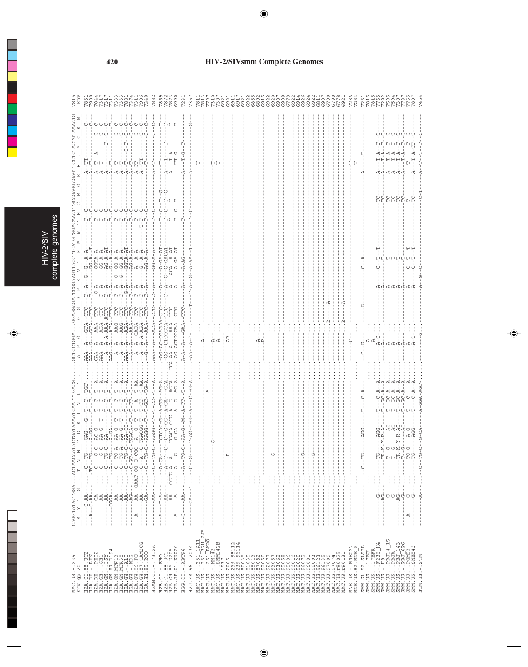| トトトトトトトト                                                                                                                                                                                                                                                                                                                                                                                                                                                                                                                 | $\frac{8}{8}$<br>000000                                                                                                                                                                   | 23<br>LO<br>$\sim$                               | MANUS MANUS HUNOOCNANUMUMO ON<br>MANUS MANUS HUNOOCNANUMUMO ON<br>$\sigma$<br>92<br>$\infty$ $\infty$ $\sim$                                                                                                                                                                                                                                                                                                                                                                                                                                                                                                                                                                                                                                                                                                                                                                                                                                                                                                                                                                                         | $\frac{8}{28}$                       |                                                                                                                                                   |                                                                                                                                                            |                                                                                             |
|--------------------------------------------------------------------------------------------------------------------------------------------------------------------------------------------------------------------------------------------------------------------------------------------------------------------------------------------------------------------------------------------------------------------------------------------------------------------------------------------------------------------------|-------------------------------------------------------------------------------------------------------------------------------------------------------------------------------------------|--------------------------------------------------|------------------------------------------------------------------------------------------------------------------------------------------------------------------------------------------------------------------------------------------------------------------------------------------------------------------------------------------------------------------------------------------------------------------------------------------------------------------------------------------------------------------------------------------------------------------------------------------------------------------------------------------------------------------------------------------------------------------------------------------------------------------------------------------------------------------------------------------------------------------------------------------------------------------------------------------------------------------------------------------------------------------------------------------------------------------------------------------------------|--------------------------------------|---------------------------------------------------------------------------------------------------------------------------------------------------|------------------------------------------------------------------------------------------------------------------------------------------------------------|---------------------------------------------------------------------------------------------|
| GGAAGTEALOTTOCACACAGAGAGAGAGAGAGAGASHOTTOTACTAAAAF<br>◡<br>υU<br>υU<br>◡<br>O<br>ь<br>J<br>ட்<br>666<br>브브브<br>Ĥ.<br>$\mathbf{I}$<br>п,<br>RRARRAR<br>ひ                                                                                                                                                                                                                                                                                                                                                                  | H<br>$\vdash$                                                                                                                                                                             |                                                  |                                                                                                                                                                                                                                                                                                                                                                                                                                                                                                                                                                                                                                                                                                                                                                                                                                                                                                                                                                                                                                                                                                      |                                      | ひひ<br>нн                                                                                                                                          | U<br>U<br>U<br>RRRRR<br>Ě<br>Ĥ<br>Н<br>Н<br>えええええ                                                                                                          |                                                                                             |
| $\alpha$<br>U<br>◡<br>ひひひ<br>O<br>O<br>υU                                                                                                                                                                                                                                                                                                                                                                                                                                                                                | ひ<br>H<br>τ.                                                                                                                                                                              |                                                  |                                                                                                                                                                                                                                                                                                                                                                                                                                                                                                                                                                                                                                                                                                                                                                                                                                                                                                                                                                                                                                                                                                      |                                      |                                                                                                                                                   | 222222                                                                                                                                                     |                                                                                             |
| $\begin{array}{ll} A G - A - A \\ A - - A - A \\ G - - A - A \\ \hline \end{array}$<br>ひ<br><b>ひ ひ</b><br>$\mathbf{I}$<br>$\blacksquare$                                                                                                                                                                                                                                                                                                                                                                                 | $GA - A$<br>$A-GA - A$<br>$G - A -$<br>ひ<br>$\overline{\phantom{a}}$<br>ΚK                                                                                                                |                                                  |                                                                                                                                                                                                                                                                                                                                                                                                                                                                                                                                                                                                                                                                                                                                                                                                                                                                                                                                                                                                                                                                                                      |                                      | нн                                                                                                                                                | н<br>н<br>н<br>みみみみみみ                                                                                                                                      |                                                                                             |
| <b>UURGRGAGES</b><br>$\ddot{\phi}$<br>てり<br>U<br>ひひひひ<br>υ<br>τŋ<br>C<br>U<br>U<br>U<br>$\begin{array}{l} \dot{3} & -600 - 07 \\ -1200 - 070 - 070 \\ -1200 - 070 \\ \dot{4} & -1200 - 070 \\ \dot{5} & -1200 - 070 \\ \dot{6} & -1200 - 070 \\ \dot{7} & -1200 - 070 \\ \dot{8} & -1200 - 070 \\ \dot{8} & -1200 - 070 \\ \dot{9} & -1200 - 070 \\ \dot{9} & -1200 - 070 \\ \dot{9} & -1200 - 070 \\ \dot{10} & -1200 - 070 \\$<br>GTA<br>CTCULOR<br>(5)<br>AAA<br>AAA<br>CAA<br>AAA<br>$-4A$<br>$-4$<br>$A-A$<br>A 4 0 | U<br>-CGAGAA<br>G-ACTCGCAZ<br>$AG-AC$<br>$\overline{A-A}$                                                                                                                                 |                                                  | AR.<br>К<br>A<br>K,<br>K.<br>$\mathbbmss{2}$                                                                                                                                                                                                                                                                                                                                                                                                                                                                                                                                                                                                                                                                                                                                                                                                                                                                                                                                                                                                                                                         |                                      | ひ                                                                                                                                                 |                                                                                                                                                            |                                                                                             |
| К<br>К<br>A,<br>К<br>К<br>AAATCAATTGAC<br>5                                                                                                                                                                                                                                                                                                                                                                                                                                                                              | <b>GTA</b><br>GTA                                                                                                                                                                         |                                                  |                                                                                                                                                                                                                                                                                                                                                                                                                                                                                                                                                                                                                                                                                                                                                                                                                                                                                                                                                                                                                                                                                                      |                                      | てーA<br>しし                                                                                                                                         | K.<br>К<br>$C - A$<br>$C - A$<br>A<br>$C - \overline{A}$<br>ΰ<br>U<br>ひ<br>ひ<br>ひ<br>ひ                                                                     |                                                                                             |
| $\begin{split} \mathbf{1}_{\{1,2,3\}} = \mathbf{1}_{\{1,3\}} = \mathbf{1}_{\{1,3\}} = \mathbf{1}_{\{1,3\}} = \mathbf{1}_{\{1,3\}} = \mathbf{1}_{\{1,3\}} = \mathbf{1}_{\{1,3\}} = \mathbf{1}_{\{1,3\}} = \mathbf{1}_{\{1,3\}} = \mathbf{1}_{\{1,3\}} = \mathbf{1}_{\{1,3\}} = \mathbf{1}_{\{1,3\}} = \mathbf{1}_{\{1,3\}} = \mathbf{1}_{\{1,3\}} = \mathbf{1}_{\{1,3\}} = \mathbf$                                                                                                                                       | 4--24----------------<br>- - A - - - T - A - - - - - - A - CA - - - - T C<br>- - - - - - - - A - - - - - A - - T - - C - C<br>- - - - - - - A A - - - GGTG - A - - A - - - - T C<br>U<br> | $-1$<br>- H - - - - + D - - U - - H - - - KU - - | ÷<br>- 0 - - - - - - - - - -<br>J.<br>Ħ<br>$\frac{1}{2}$<br>$\mathsf I$<br>$\frac{1}{1}$<br>$\frac{1}{1}$<br>$-1$ $-1$ $-1$ $-1$ $-1$ $-1$<br>$\frac{1}{1}$<br>$-1$ $-1$ $-1$ $-1$ $-1$<br>$\frac{1}{1}$<br>$\frac{1}{2}$<br>Î.<br>$\begin{array}{c} \vspace{0.05in} \end{array}$<br>$\frac{1}{4}$<br>$\mathbf{I}$<br>ı<br>$\blacksquare$<br>J.<br>$\sf I$<br>$\overline{\phantom{a}}$<br>I,<br>$\begin{bmatrix} 1 \\ 1 \\ 1 \\ 1 \end{bmatrix}$<br>$\begin{array}{c} \n\cdot & \cdot & \cdot \\ \n\cdot & \cdot & \cdot \\ \n\cdot & \cdot & \cdot \n\end{array}$<br>$\begin{array}{c} \n\cdot & \cdot & \cdot \\ \n\cdot & \cdot & \cdot \\ \n\cdot & \cdot & \cdot \n\end{array}$<br>$\begin{array}{c} 1 \\ 1 \\ 1 \\ 1 \end{array}$<br>$\begin{array}{c} 1 \\ 1 \\ 1 \\ 1 \end{array}$<br>$\frac{1}{1}$<br>$\frac{1}{1}$<br>$\frac{1}{2}$<br>$\frac{1}{1}$<br>$\frac{1}{1}$<br>$\frac{1}{2}$<br>ł,<br>$\begin{array}{c} \n\cdot & \cdot & \cdot \\ \n\cdot & \cdot & \cdot \\ \n\cdot & \cdot & \cdot \n\end{array}$<br>Ħ<br>$\mathsf I$<br>1<br>$\frac{1}{2}$<br>ţ<br>$\frac{1}{2}$<br>$\vdots$ | $\frac{1}{4}$<br>$\frac{1}{4}$       | AGG<br>R-A<br>÷<br>$\mathbf{I}$<br>$-5T - -1 - -1 - -1$<br>ł<br>$\mathbf{I}$<br>$-$ – $-$ – $-$ – $\Gamma$ –<br>$\mathbb{L}$<br>ł<br>$\mathbf{I}$ | - - - TR - K - Y -<br>- - - T - - T - - -<br>$1 - 1$<br><b>0-91-1-1</b><br>J.<br>f,                                                                        | -- 1-51-51-<br>$\mathbb{L}$<br>$\mathbf{I}$<br>$-17G$<br>$\mathbf{I}$<br>$\mathbf{I}$<br>٠. |
| CAGGTATACTGGAACTAACAATACT $\frac{R}{A}$                                                                                                                                                                                                                                                                                                                                                                                                                                                                                  | $---A---$<br>$- - A - -$<br>f,                                                                                                                                                            | $\mathbf{I}$<br>$\mathbf{1}$<br>$\mathbb{I}$     | $\frac{1}{2}$ , $\frac{1}{2}$ , $\frac{1}{2}$ , $\frac{1}{2}$ , $\frac{1}{2}$ , $\frac{1}{2}$ , $\frac{1}{2}$ , $\frac{1}{2}$ , $\frac{1}{2}$ , $\frac{1}{2}$<br>j.<br>i.<br>P<br>$\frac{1}{1}$<br>i<br>F<br>$\ddot{\cdot}$<br>$\begin{bmatrix} 1 \\ 1 \\ 1 \\ 1 \end{bmatrix}$<br>$-1$ $-1$ $-1$ $-1$ $-1$ $-1$ $-1$<br>$\frac{1}{2}$<br>$\begin{array}{c} \n\cdot & \cdot & \cdot \\ \n\cdot & \cdot & \cdot \\ \n\cdot & \cdot & \cdot \n\end{array}$<br>ţ<br>$\frac{1}{1}$<br>$\mathsf I$<br>$\,$ $\,$<br>$\mathsf I$<br>$\frac{1}{1}$<br>$\frac{1}{1}$<br>Î<br>$\frac{1}{1}$<br>$\frac{1}{1}$<br>$\frac{1}{1}$<br>$\frac{1}{4}$<br>$\frac{1}{1}$<br>$\frac{1}{1}$<br>$\frac{1}{1}$<br>J.<br>$\blacksquare$<br>J.<br>$\,$<br>Í<br>-<br>$\overline{\phantom{a}}$<br>f,<br>Ť<br>÷<br>l,<br>$\mathbf{I}$<br>$\mathsf I$<br>$\mathsf I$<br>$\overline{\phantom{a}}$<br>J.                                                                                                                                                                                                                            | $\frac{1}{4}$<br>$\frac{1}{1}$       | $\cdot$<br>$-1 - 1 - 1 - 1$<br>İ<br>$\frac{1}{1}$                                                                                                 | Ħ<br>$-AG$<br>$C - C$<br>$\frac{c}{1}$<br>י ט<br>דו<br>f,<br>$\frac{1}{1}$<br>$- - A - -$<br>$\frac{1}{2}$<br>÷<br>1<br>$\frac{1}{4}$<br>f,<br>$\mathsf I$ | $\frac{1}{4}$<br>C<br>t<br>J.<br>٠<br>$\mathbf I$                                           |
| $\begin{tabular}{l} \bf 122A, CL & 88 \, , \tt UCC \\ \bf 122A, DB & - & BEN \\ \bf 122A, DB & - & CH1 \\ \bf 122A, CH & - & CH1 \\ \bf 122A, CH & - & CH1 \\ \bf 122A, CH & - & CH2 \\ \bf 122A, CH & - & CH2 \\ \bf 122A, CH & - & CH2 \\ \bf 122A, CH & - & CH2 \\ \bf 122A, CH & - & CH2 \\ \bf 122A, CH & - & CH2 \\ \bf 122A, CH & - & CH2 \\ \bf 122A, CH & - & CH2 \\$<br>MAC.US.-.239<br>Env gp120                                                                                                              | H2AB.CI.-.7312A<br>$\circ$<br>H2B.CI.-. EHO<br>H2B.CI.88.UC1<br>H2B.CH.86.D205<br>H2B.JP.01.KR020                                                                                         | H2U.FR.96.12034<br>$-.ABT96$<br>H2G.CI.          | 3. - .251 1A11<br>3. - .251 32H PJ5<br>3. - .251 BK28<br>3. - .MM142<br>$\begin{small} \texttt{MBC: U35-1711} & \texttt{1.11} & \texttt{1.12} & \texttt{1.13} \\ \texttt{MBC: U35-1282} & \texttt{1.13} & \texttt{1.13} \\ \texttt{MBC: U35-1282} & \texttt{1.13} & \texttt{1.13} \\ \texttt{MBC: U35-1282} & \texttt{1.13} & \texttt{1.13} \\ \texttt{MBC: U35-1282} & \texttt{1.13} & \texttt{1.13} \\ \texttt{MBC: U35-1282} & \texttt$                                                                                                                                                                                                                                                                                                                                                                                                                                                                                                                                                                                                                                                           | MNE.US. - MNE027<br>MNE.US. 82.MNE_8 | SMM. 51. 92. 51.92B<br>SMM. US. - 1.7BC1<br>SMM. US. - 1.7236<br>SMM. US. - 17236 E44<br>SMM. US. - 189<br>SMM. US. - 1.8BJA                      | LO<br>-- PBJ 143<br>-- PBJ 6P6<br>٠.<br>$\cdot$<br>SMM.US.<br>SMM.US.<br>SMM.US                                                                            | $\sim$<br>PGM53<br>SME54<br><b>STM</b><br>$\cdot$<br>SMM.US.<br>SMM.US.<br>STM.US           |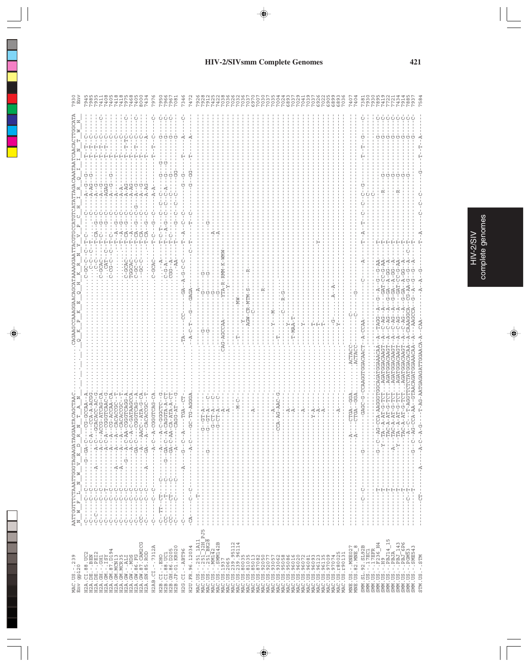| Š  |
|----|
| Ġ, |
|    |
| l  |
|    |
|    |
|    |
|    |
|    |
| l  |
| ļ  |
|    |
|    |
|    |
|    |
|    |

| $\frac{1}{2}$ and $\frac{1}{2}$ dent density density $\frac{1}{2}$ denotes $\frac{1}{2}$ denotes $\frac{1}{2}$ denotes $\frac{1}{2}$ denotes $\frac{1}{2}$ denotes $\frac{1}{2}$ denotes $\frac{1}{2}$ denotes $\frac{1}{2}$ denotes $\frac{1}{2}$ denotes $\frac{1}{2}$ deno                                                                                                                                                                                                                                                                                                                                                                                                                  | 9<br>En<br>CATCHTATATAGACAARTAATCAACACTTGGCAT<br>P C H I R Q I I N T W H<br>UQUAGGAAGGAAAGGAAUGGAAGGAAGUUGI<br>Ω<br>AATTGGTTTCTAAATTGGGTAGAAGATAG<br>M W F L M W V E D F                                                                                                                                          |  |
|------------------------------------------------------------------------------------------------------------------------------------------------------------------------------------------------------------------------------------------------------------------------------------------------------------------------------------------------------------------------------------------------------------------------------------------------------------------------------------------------------------------------------------------------------------------------------------------------------------------------------------------------------------------------------------------------|-------------------------------------------------------------------------------------------------------------------------------------------------------------------------------------------------------------------------------------------------------------------------------------------------------------------|--|
|                                                                                                                                                                                                                                                                                                                                                                                                                                                                                                                                                                                                                                                                                                | $\mathbf{z}_{\parallel}$                                                                                                                                                                                                                                                                                          |  |
| $\begin{array}{ll} \text{H2A, CL, 88, UC2}\\ \text{H2A, DE} & - & \text{BEN} \\ \text{H2A, CH} & - & \text{IBL} \\ \text{H2A, CH} & - & \text{ISL} \\ \text{H2A, CH} & - & \text{ISL} \\ \text{H2A, CH} & - & \text{ISL} \\ \text{H2A, CH} & \text{MOM113}\\ \text{H2A, CH} & \text{MCM13} \\ \text{H2A, CH} & \text{MCM13} \\ \text{H2A, CH} & - & \text{MDS} \\ \text{H2A, CH} & \text{MMS} \\ \text{H2A, CH}$                                                                                                                                                                                                                                                                               | רדרדרדרדרדרדר<br>שמחשקשל שלחשל שלחשל<br>שמחשכות השלחשל שלחש<br>שמחשכו שממחשמים של<br>שמחשמו שממש<br>ひ<br>ひ<br>$\frac{1}{\sqrt{2}}$<br>ひ<br>$-7$<br><b>CO</b> -<br>GCCAA<br>$C - C - C - C - C$<br>$\,$<br>$\frac{1}{2}$<br>$\overline{\phantom{a}}$<br>J.<br>J<br>-<br>$\mathbb{L}$<br>$\bigcup\limits_{i}$<br>ပု |  |
|                                                                                                                                                                                                                                                                                                                                                                                                                                                                                                                                                                                                                                                                                                | CACAC<br>Ħ<br>υU<br>$\frac{1}{4}$<br>$\frac{1}{4}$<br>$\frac{1}{2}$<br>U                                                                                                                                                                                                                                          |  |
|                                                                                                                                                                                                                                                                                                                                                                                                                                                                                                                                                                                                                                                                                                | ひ<br>К<br>τŋ<br>↻<br>$-GCA$<br>$\mathbf{I}$<br>$\frac{1}{1}$<br>$\mathbf{I}$                                                                                                                                                                                                                                      |  |
|                                                                                                                                                                                                                                                                                                                                                                                                                                                                                                                                                                                                                                                                                                | 也<br>$A - G$<br>AGAG<br>ပု<br>$C - C - C$<br>CAT<br>CG-ACCAA-CA<br>- URAUHOU                                                                                                                                                                                                                                      |  |
|                                                                                                                                                                                                                                                                                                                                                                                                                                                                                                                                                                                                                                                                                                | Ą<br>↻<br>CACACC                                                                                                                                                                                                                                                                                                  |  |
|                                                                                                                                                                                                                                                                                                                                                                                                                                                                                                                                                                                                                                                                                                | $A - A$<br>τŋ<br>CACACC<br>--------<br>甘甘甘<br>후후후후후후후후                                                                                                                                                                                                                                                            |  |
|                                                                                                                                                                                                                                                                                                                                                                                                                                                                                                                                                                                                                                                                                                | 也<br>$A - A$<br>↻<br>-CA<br>$-GCA$<br>TGGCA<br>-GATAAGCCA<br>CGGGLOPG-<br>$\mathbb{I}$                                                                                                                                                                                                                            |  |
|                                                                                                                                                                                                                                                                                                                                                                                                                                                                                                                                                                                                                                                                                                | 턱<br>К<br>ロー<br>U<br>℧<br>$-C$ A<br>しりし<br>CGGGTCAG<br>Ť<br>$\frac{1}{2}$                                                                                                                                                                                                                                         |  |
|                                                                                                                                                                                                                                                                                                                                                                                                                                                                                                                                                                                                                                                                                                | A<br>EA-<br>$- - A TA$<br>:----------<br>:----------<br>÷<br>$\frac{1}{2}$<br>$\frac{1}{4}$<br>Ü<br>$\frac{5}{1}$                                                                                                                                                                                                 |  |
|                                                                                                                                                                                                                                                                                                                                                                                                                                                                                                                                                                                                                                                                                                | $A - A$<br>↻<br>CACACCGC<br>$\frac{1}{2}$<br>$\frac{1}{4}$                                                                                                                                                                                                                                                        |  |
| $-.7312A$<br>H2AB.CI.                                                                                                                                                                                                                                                                                                                                                                                                                                                                                                                                                                                                                                                                          | $\overline{9}$<br>$\overline{A}$ .<br>$C - GCA$<br>CGGGTCAG<br>ı<br>$\mathbf{I}$<br>$\frac{1}{1}$<br>$\frac{1}{4}$<br>$\frac{1}{2}$<br>$\frac{1}{1}$<br>ı<br>f,<br>U                                                                                                                                              |  |
| H2B.CI.-.BHO<br>H2B.CI.88.UC1<br>H2B.GH.86.D205<br>H2B.JP.01.KR020                                                                                                                                                                                                                                                                                                                                                                                                                                                                                                                                                                                                                             | U<br>$\blacksquare$<br>$---A-$<br>$\frac{1}{4}$<br>Ì                                                                                                                                                                                                                                                              |  |
|                                                                                                                                                                                                                                                                                                                                                                                                                                                                                                                                                                                                                                                                                                | ᄞ<br>ひ<br>$-4$<br>υU<br>U<br>ט<br>$-5-7$<br>CAGGTA-                                                                                                                                                                                                                                                               |  |
|                                                                                                                                                                                                                                                                                                                                                                                                                                                                                                                                                                                                                                                                                                | ひ<br>U<br>-- 555<br>CA-ATA<br>후후후후                                                                                                                                                                                                                                                                                |  |
| $\circ$                                                                                                                                                                                                                                                                                                                                                                                                                                                                                                                                                                                                                                                                                        | ပ္ပ<br>U<br>CAGG-AT<br>$--- A -$<br>$\frac{1}{4}$<br>$\frac{1}{4}$                                                                                                                                                                                                                                                |  |
| $-.ABT96$<br>H2G.CI.                                                                                                                                                                                                                                                                                                                                                                                                                                                                                                                                                                                                                                                                           | 734<br>ひ<br>ひ<br>$\frac{1}{1}$<br>$\mathbf{I}$<br>$-5 - 0$<br>$---A---$<br>ŧ<br>$\mathbf{1}$<br>÷<br>÷.<br>$\mathsf{I}$<br>$\mathsf I$<br>$\blacksquare$<br>$\mathbf{I}$<br>$\blacksquare$<br>$\frac{1}{2}$                                                                                                       |  |
| H2U. FR. 96.12034                                                                                                                                                                                                                                                                                                                                                                                                                                                                                                                                                                                                                                                                              | '47.<br>멍<br>U<br>GAGA<br>ロし<br>45554-51-0<br>ł<br>ŧ<br>$- - - - - - - - - - - - - - -$<br>$-CA$ -                                                                                                                                                                                                                |  |
|                                                                                                                                                                                                                                                                                                                                                                                                                                                                                                                                                                                                                                                                                                | 20<br>$\mathfrak l$                                                                                                                                                                                                                                                                                               |  |
| LN.                                                                                                                                                                                                                                                                                                                                                                                                                                                                                                                                                                                                                                                                                            | $\infty$<br>ひ<br>ひ<br>ひ<br>5<br>$\frac{1}{4}$<br>$\,$ I                                                                                                                                                                                                                                                           |  |
|                                                                                                                                                                                                                                                                                                                                                                                                                                                                                                                                                                                                                                                                                                | Ō<br>ひ<br>U<br>븅<br>ゃっ<br>$\mathsf I$                                                                                                                                                                                                                                                                             |  |
|                                                                                                                                                                                                                                                                                                                                                                                                                                                                                                                                                                                                                                                                                                | К<br>ひ<br>ပ္ပဂ<br>ł<br>ł<br>$\mathsf I$<br>$\mathbf{1}$                                                                                                                                                                                                                                                           |  |
|                                                                                                                                                                                                                                                                                                                                                                                                                                                                                                                                                                                                                                                                                                | ᄞ<br>U)<br>5-CE<br>5-CE<br>j<br>$\blacksquare$                                                                                                                                                                                                                                                                    |  |
|                                                                                                                                                                                                                                                                                                                                                                                                                                                                                                                                                                                                                                                                                                | YTA-R-RMM-<br>-AGCCAA<br>$\frac{1}{1}$<br>$\mathbf{I}$                                                                                                                                                                                                                                                            |  |
|                                                                                                                                                                                                                                                                                                                                                                                                                                                                                                                                                                                                                                                                                                | $\frac{1}{1}$<br>$\mathbf{I}$                                                                                                                                                                                                                                                                                     |  |
|                                                                                                                                                                                                                                                                                                                                                                                                                                                                                                                                                                                                                                                                                                |                                                                                                                                                                                                                                                                                                                   |  |
|                                                                                                                                                                                                                                                                                                                                                                                                                                                                                                                                                                                                                                                                                                | Ξ<br>٠                                                                                                                                                                                                                                                                                                            |  |
|                                                                                                                                                                                                                                                                                                                                                                                                                                                                                                                                                                                                                                                                                                | LΩ<br>J,                                                                                                                                                                                                                                                                                                          |  |
|                                                                                                                                                                                                                                                                                                                                                                                                                                                                                                                                                                                                                                                                                                | C)<br>GW-CR-MTM-<br>J.<br>$\mathbf{I}$                                                                                                                                                                                                                                                                            |  |
|                                                                                                                                                                                                                                                                                                                                                                                                                                                                                                                                                                                                                                                                                                | $\circ$<br>$\sigma$<br>$\circ$                                                                                                                                                                                                                                                                                    |  |
|                                                                                                                                                                                                                                                                                                                                                                                                                                                                                                                                                                                                                                                                                                | $\circ$                                                                                                                                                                                                                                                                                                           |  |
|                                                                                                                                                                                                                                                                                                                                                                                                                                                                                                                                                                                                                                                                                                | $\circ$                                                                                                                                                                                                                                                                                                           |  |
|                                                                                                                                                                                                                                                                                                                                                                                                                                                                                                                                                                                                                                                                                                | ოოო<br>$\circ$<br>Σ<br>$\frac{1}{1}$<br>$\mathfrak l$                                                                                                                                                                                                                                                             |  |
|                                                                                                                                                                                                                                                                                                                                                                                                                                                                                                                                                                                                                                                                                                | CCA-AG-AAC-G                                                                                                                                                                                                                                                                                                      |  |
|                                                                                                                                                                                                                                                                                                                                                                                                                                                                                                                                                                                                                                                                                                | U                                                                                                                                                                                                                                                                                                                 |  |
|                                                                                                                                                                                                                                                                                                                                                                                                                                                                                                                                                                                                                                                                                                | 0.00000                                                                                                                                                                                                                                                                                                           |  |
|                                                                                                                                                                                                                                                                                                                                                                                                                                                                                                                                                                                                                                                                                                | 텃<br>$T-MAA$                                                                                                                                                                                                                                                                                                      |  |
|                                                                                                                                                                                                                                                                                                                                                                                                                                                                                                                                                                                                                                                                                                |                                                                                                                                                                                                                                                                                                                   |  |
|                                                                                                                                                                                                                                                                                                                                                                                                                                                                                                                                                                                                                                                                                                | $\mathbf I$                                                                                                                                                                                                                                                                                                       |  |
|                                                                                                                                                                                                                                                                                                                                                                                                                                                                                                                                                                                                                                                                                                |                                                                                                                                                                                                                                                                                                                   |  |
|                                                                                                                                                                                                                                                                                                                                                                                                                                                                                                                                                                                                                                                                                                | $\circ$                                                                                                                                                                                                                                                                                                           |  |
|                                                                                                                                                                                                                                                                                                                                                                                                                                                                                                                                                                                                                                                                                                |                                                                                                                                                                                                                                                                                                                   |  |
|                                                                                                                                                                                                                                                                                                                                                                                                                                                                                                                                                                                                                                                                                                |                                                                                                                                                                                                                                                                                                                   |  |
|                                                                                                                                                                                                                                                                                                                                                                                                                                                                                                                                                                                                                                                                                                | durudo via<br>ひ<br>$\mathbf I$                                                                                                                                                                                                                                                                                    |  |
|                                                                                                                                                                                                                                                                                                                                                                                                                                                                                                                                                                                                                                                                                                |                                                                                                                                                                                                                                                                                                                   |  |
| $\begin{small} &\texttt{M2:13}\ \texttt{M3:13}\ \texttt{M4:25}\ \texttt{M5:13}\ \texttt{M5:13}\ \texttt{M6:19}\ \texttt{M8:13}\ \texttt{M9:14}\ \texttt{M1:25}\ \texttt{M1:25}\ \texttt{M1:25}\ \texttt{M1:25}\ \texttt{M1:25}\ \texttt{M1:25}\ \texttt{M1:25}\ \texttt{M1:25}\ \texttt{M1:25}\ \texttt{M1:25}\ \texttt{M1:25}\ \texttt{M1:25}\ \texttt{M1:25}\ \texttt{$                                                                                                                                                                                                                                                                                                                      |                                                                                                                                                                                                                                                                                                                   |  |
|                                                                                                                                                                                                                                                                                                                                                                                                                                                                                                                                                                                                                                                                                                | 40<br>GGA<br>CTGA<br>ŧ                                                                                                                                                                                                                                                                                            |  |
| $\frac{\texttt{MNE}}{\texttt{MNE}}\cdot\texttt{US}\cdot\texttt{82}\cdot\texttt{MNE}\underline{\texttt{S}}$                                                                                                                                                                                                                                                                                                                                                                                                                                                                                                                                                                                     | $\frac{6}{4}$<br>CTGA--<br>Ħ<br>$\frac{1}{4}$                                                                                                                                                                                                                                                                     |  |
|                                                                                                                                                                                                                                                                                                                                                                                                                                                                                                                                                                                                                                                                                                |                                                                                                                                                                                                                                                                                                                   |  |
|                                                                                                                                                                                                                                                                                                                                                                                                                                                                                                                                                                                                                                                                                                | τı<br>◡<br>ά<br>$\mathbf{I}$<br>$\mathbf{I}$<br>$\blacksquare$<br>$\frac{1}{2}$<br>$\frac{1}{4}$                                                                                                                                                                                                                  |  |
| SMM. SL. 92. SL92B<br>SMM. US. - .17BC1<br>SMM. US. - .17BCR<br>SMM. US. - .F236_H4<br>SMM. US. - .H9                                                                                                                                                                                                                                                                                                                                                                                                                                                                                                                                                                                          | O<br>$\frac{1}{4}$<br>ı<br>t<br>$\frac{1}{4}$<br>$-1$<br>$-1$<br>$-1$<br>$-1$<br>$-1$<br>$-1$<br>$-1$<br>$-1$<br>$-1$<br>$-1$<br>$-1$<br>$-1$<br>$-1$<br>$\mathfrak l$                                                                                                                                            |  |
|                                                                                                                                                                                                                                                                                                                                                                                                                                                                                                                                                                                                                                                                                                | $\frac{1}{1}$<br>$\mathbf{I}$<br>1                                                                                                                                                                                                                                                                                |  |
|                                                                                                                                                                                                                                                                                                                                                                                                                                                                                                                                                                                                                                                                                                | ന<br>פיז<br>AA<br>AA<br><b>CC-G-</b><br>ප්<br>ひ<br>TAGG<br>$C - AG$<br>К<br>Ą<br>-AAGGUGG-<br>$-1$ - $-1$ - $-1$<br>$-1 - X - -$<br>$\frac{1}{4}$<br>ţ<br>$\frac{1}{1}$<br>$\mathbf I$                                                                                                                            |  |
| LO.<br>$\overline{a}$                                                                                                                                                                                                                                                                                                                                                                                                                                                                                                                                                                                                                                                                          | ζŋ<br>ひ<br>ن<br>ب<br>$-0A\Gamma$<br>S<br>К<br>К<br>$A - AT -$<br>$A - AT$ -<br>AC-<br>$\,$ I<br>$\frac{1}{4}$<br>$\frac{1}{4}$<br>$\sf I$<br>$\frac{1}{4}$<br>$\mathsf I$<br>$\mathbf I$                                                                                                                          |  |
| $3. - PBJ14$<br>$3. - PBJA$                                                                                                                                                                                                                                                                                                                                                                                                                                                                                                                                                                                                                                                                    | U<br>U U U<br>ひ<br>$\mathbb H$<br>$-1 - A$<br>Ġ<br>U<br>К<br>К<br>-GA<br>ひ<br>К<br>$C-AG-$<br>GATG<br>$A - AT$ -<br>d<br>AC -<br>$\frac{1}{1}$<br>ļ<br>$- - P -$<br>$\blacksquare$<br>1<br>$\mathsf I$                                                                                                            |  |
|                                                                                                                                                                                                                                                                                                                                                                                                                                                                                                                                                                                                                                                                                                | U<br>ひ<br>ĸ<br>Н<br>$C - C - D - D$<br>U<br>-GAT-<br>÷<br>$-1$ – $-1$ – $\sim$<br>$\mathsf{I}$<br>$\,$<br>$\mathbb{I}$<br>î.<br>J.<br>$\,$<br>$\mathbf{I}$<br>f,<br>I<br>$\,$<br>J.<br>$\mathsf I$                                                                                                                |  |
|                                                                                                                                                                                                                                                                                                                                                                                                                                                                                                                                                                                                                                                                                                | U<br>てり<br>ひ<br>どー<br>K,<br>$-GA$<br>ひ<br>$C-AG$<br>$C-AG$<br>부                                                                                                                                                                                                                                                   |  |
| 3. - PBJ 143<br>3. - PBJ 6P6<br>3. - PGM53<br>3. - SME543<br>$\begin{array}{ll} \begin{array}{ll} \dots & \dots & \dots \\ \dots & \dots & \dots \\ \dots & \dots & \dots \\ \dots & \dots & \dots \\ \dots & \dots & \dots \\ \dots & \dots & \dots \\ \dots & \dots & \dots \\ \dots & \dots & \dots \\ \dots & \dots & \dots \\ \dots & \dots & \dots \\ \dots & \dots & \dots \\ \dots & \dots & \dots \\ \dots & \dots & \dots \\ \dots & \dots & \dots \\ \dots & \dots & \dots \\ \dots & \dots & \dots \\ \dots & \dots & \dots \\ \dots & \dots & \dots \\ \dots & \dots & \dots \\ \dots & \dots & \dots \\ \dots & \dots & \dots \\ \dots & \dots & \dots \\ \dots & \dots & \dots$ | сп<br>C٦<br>$G-AA$<br>Ū<br>- 11<br>부<br>$\mathbf{I}$<br>$\frac{1}{\sqrt{2}}$<br>$\mathfrak l$<br>$\blacksquare$<br>-<br>$\blacksquare$                                                                                                                                                                            |  |
|                                                                                                                                                                                                                                                                                                                                                                                                                                                                                                                                                                                                                                                                                                | $-1 - 0 - 0 - 1$<br>$\overline{\phantom{a}}$<br>J.<br>텃<br>$\,$<br>$\overline{\phantom{a}}$<br>J.                                                                                                                                                                                                                 |  |
| MIS.<br>$\mathbf{I}$<br>STM.US                                                                                                                                                                                                                                                                                                                                                                                                                                                                                                                                                                                                                                                                 | - AG-AATGAGAGATHEAN<br>$-2 - A - C -$<br>$\mathbf{I}$<br>$- - A -$<br>FD-                                                                                                                                                                                                                                         |  |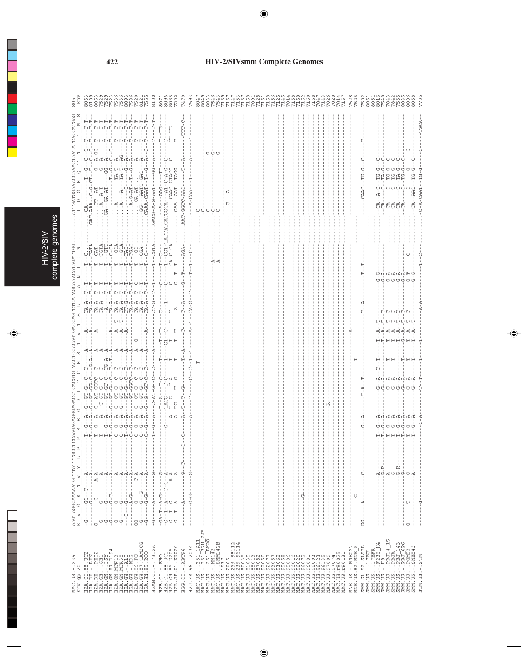| $805$ Env                                                                                                                                                                                                                                                                                                                                                                                                                                                                                                                                                                                                                                                                     | 7470<br>8100<br>00000<br>$\infty$ $\infty$ $\infty$                                                                                                                                                                                                                                                                                                                                                                                                                                                                           | 55111111011111<br>445545559255502<br>63977878181805<br>168<br>158<br>59<br>$\overline{0}$<br>1010<br>1442<br>0010<br>പ ന                                                                                                                                                                                                                                                                                                                                                                                                                                                                                                                                                                                                                                                                                                                                                                                                                                                                                                                                                                                                                                                                                                                                                                                                                                                | NOOON@@NOOO<br>000H4440WOO<br>000H4440WOO<br>525<br>770                                                                                                                                                                                                                                                                                                                                                                                                                                                                                                                                                                                                                                                                                                                                                                                                                                                                                          |
|-------------------------------------------------------------------------------------------------------------------------------------------------------------------------------------------------------------------------------------------------------------------------------------------------------------------------------------------------------------------------------------------------------------------------------------------------------------------------------------------------------------------------------------------------------------------------------------------------------------------------------------------------------------------------------|-------------------------------------------------------------------------------------------------------------------------------------------------------------------------------------------------------------------------------------------------------------------------------------------------------------------------------------------------------------------------------------------------------------------------------------------------------------------------------------------------------------------------------|-------------------------------------------------------------------------------------------------------------------------------------------------------------------------------------------------------------------------------------------------------------------------------------------------------------------------------------------------------------------------------------------------------------------------------------------------------------------------------------------------------------------------------------------------------------------------------------------------------------------------------------------------------------------------------------------------------------------------------------------------------------------------------------------------------------------------------------------------------------------------------------------------------------------------------------------------------------------------------------------------------------------------------------------------------------------------------------------------------------------------------------------------------------------------------------------------------------------------------------------------------------------------------------------------------------------------------------------------------------------------|--------------------------------------------------------------------------------------------------------------------------------------------------------------------------------------------------------------------------------------------------------------------------------------------------------------------------------------------------------------------------------------------------------------------------------------------------------------------------------------------------------------------------------------------------------------------------------------------------------------------------------------------------------------------------------------------------------------------------------------------------------------------------------------------------------------------------------------------------------------------------------------------------------------------------------------------------|
| TTGATGGAAACCAAACTAATATCACCATGAG<br>I D G N O T N I M S<br>S<br>부부부<br>부<br>ပုံပုံ<br>$\frac{1}{\sqrt{2}}$<br>dadudadada<br>U<br>ල්<br>ひ<br>ひ<br>ひトトウ<br>ᄞ<br>-<br><b>TA</b><br>$\frac{1}{1}$<br>-GA<br>$-1 - 0$<br>$-GG--AAT\\ 2AAA-CAAT$<br>$GA - A$                                                                                                                                                                                                                                                                                                                                                                                                                         | $TT-TG$<br>◡<br>∪<br>К<br>C-A-G<br>GTACC<br>$-$ CAAC<br>GGTC-AAC<br>$G - A - G - AAT$<br>CAA--AAT<br>ATGGCA-                                                                                                                                                                                                                                                                                                                                                                                                                  | ひ<br>$A-CAA$<br><b>UUUUU</b>                                                                                                                                                                                                                                                                                                                                                                                                                                                                                                                                                                                                                                                                                                                                                                                                                                                                                                                                                                                                                                                                                                                                                                                                                                                                                                                                            | <b>UUUUU</b><br>U<br>ひ<br><b>ひ ウ</b><br>ひ<br>TA<br>입<br>TA<br>ひひひひひ<br>$-AAC$<br>CAAC<br>U<br>CAAT<br>$\mathbf{I}$<br><b>SSSSS</b>                                                                                                                                                                                                                                                                                                                                                                                                                                                                                                                                                                                                                                                                                                                                                                                                               |
| CGAC<br>$\frac{1}{2}$<br>9<br>G<br>$\overline{\phantom{a}}$<br>HHH<br>FЕ<br>н<br>8888888888<br>ול הלללטלל<br>לאפללפוללללל<br>הללל                                                                                                                                                                                                                                                                                                                                                                                                                                                                                                                                             | CGTA<br>CGT<br>AGA<br>υ<br>U<br>$\overline{C}$ A-<br>╘                                                                                                                                                                                                                                                                                                                                                                                                                                                                        | K,                                                                                                                                                                                                                                                                                                                                                                                                                                                                                                                                                                                                                                                                                                                                                                                                                                                                                                                                                                                                                                                                                                                                                                                                                                                                                                                                                                      | c<br>Carraren<br>Condo<br><b>OUUUUU</b>                                                                                                                                                                                                                                                                                                                                                                                                                                                                                                                                                                                                                                                                                                                                                                                                                                                                                                          |
| AAGAGAGGGGAGACCTCCACTCCACCCACTGGACCACTCCCATAGCAAACATCTCTCCATAGATTGTCATCACACTCCACTGGACACTCCACTGGACACTCCATAGACACTCCATAGACACTCCATAGACACTCCACTGGACACTCCATAGACACTCCATAGACACTCCATAGACACTCCATAGACACTCCATAGACACTCCATAGACACTCCATAGACAC<br>부부는<br>A A A<br>A A<br>ひ<br>$\overline{\phantom{0}}$<br>$\overline{\phantom{a}}$<br><b>A A A A A A A A A A A</b><br>$\mathbf{1}$<br>$\mathbb{R}$ + +<br>$G - T$<br>ó<br>◡<br>ひひひ<br>59<br>븅<br>ひ<br>ひ                                                                                                                                                                                                                                        | 5<br>6666                                                                                                                                                                                                                                                                                                                                                                                                                                                                                                                     |                                                                                                                                                                                                                                                                                                                                                                                                                                                                                                                                                                                                                                                                                                                                                                                                                                                                                                                                                                                                                                                                                                                                                                                                                                                                                                                                                                         | HHH<br><b>PPPP</b><br>AAAAAAA<br><b>FFFFQFF</b><br>нн<br>н<br>нн<br>みみみみみみみ<br>ひひひひひひひひ                                                                                                                                                                                                                                                                                                                                                                                                                                                                                                                                                                                                                                                                                                                                                                                                                                                          |
| 5<br>통통통통<br>븅<br>븅<br>불을을<br>튭<br>ひ<br><b>いい</b><br><b>いい</b><br>ひ<br>ひ<br>ひ<br>К<br>К<br><b>ひ ひ ひ</b><br><b>ひひひひひひひ</b><br>ひ ひ<br>HHHHHUUHUUUU<br>$\frac{1}{4}$<br>ţ<br>$\mathbf{I}$<br>$\,$<br>$\frac{1}{1}$<br>Ť<br>Ť<br>$\mathsf I$<br>J.<br>$\mathbf{I}$<br>$\Gamma = \Gamma$<br>$\blacksquare$                                                                                                                                                                                                                                                                                                                                                                         | TAC<br>$\mathbb H$<br>К<br>К<br>К<br>ひ<br>ひ<br>Ť<br>$\frac{1}{4}$                                                                                                                                                                                                                                                                                                                                                                                                                                                             | $\frac{1}{1}$<br>$\mathbf{I}$<br>$\frac{1}{1}$<br>J.<br>$\mathbb{I}$<br>$\overline{\phantom{a}}$<br>t<br>J.<br>$\,$ $\,$<br>J.                                                                                                                                                                                                                                                                                                                                                                                                                                                                                                                                                                                                                                                                                                                                                                                                                                                                                                                                                                                                                                                                                                                                                                                                                                          | えんみみみみみ<br>ひひひひひひひひ<br><b>BBBBBBBBB</b><br>J.                                                                                                                                                                                                                                                                                                                                                                                                                                                                                                                                                                                                                                                                                                                                                                                                                                                                                                    |
| AAGTAGGCAAAARGTTTATTTGCCTCC<br>K V G K N V Y L P P<br>ŧ<br>Ì<br>芑<br>$\blacksquare$<br>$\mathbf{L}$<br>$\mathbf{I}$<br>÷,<br>$- - A - - -$<br>$\frac{1}{1}$<br>÷,<br>$\mathbb{I}$<br>1<br>$\mathbf I$<br>$-4$<br>$-4$<br>$- -C - A$<br>$- - \underline{\Gamma} - - \underline{\Gamma} - -$<br>$\mathbf{L}$<br>ţ<br>f,<br>$-1 - 5 - 1$<br>$\begin{array}{c}\n\downarrow \\ \downarrow \\ \downarrow\n\end{array}$<br>$\frac{1}{4}$<br>ţ<br>$-1 - 25$<br>$\frac{1}{4}$<br>$\frac{1}{4}$<br>$\mathbf{I}$<br>ပုံ ပုံ<br>a<br><b>ひ ひ</b><br>ပုံ<br>$\ddot{\phi}$ $\ddot{\phi}$<br>$\mathbf{I}$<br>$\,$ l<br>$\stackrel{\shortparallel }{\circ }$<br>$\mathbf{I}$<br>$\blacksquare$ | $\begin{array}{c} \begin{array}{c} \begin{array}{c} \begin{array}{c} \end{array} \\ \begin{array}{c} \end{array} \\ \begin{array}{c} \end{array} \\ \begin{array}{c} \end{array} \\ \begin{array}{c} \end{array} \end{array} \end{array}$<br>$\frac{1}{4}$<br>$\mathbf{I}$<br>$\mathbf{I}$<br>ひ<br>$-14$<br>$- - A$<br>f,<br>$\,$ I<br>ł<br>J.<br>J.<br>J.<br>Ť.<br>J.<br>f,<br>$-5 - A - C -$<br>$\mathbf{I}$<br>$- - A - -$<br>$- - A - -$<br>$- - A - -$<br>J.<br>$-GA-T$<br>J.<br>$\frac{1}{1}$<br>٠<br>ひ<br>$\mathbf{I}$ | $\begin{array}{c} \n\cdot & \cdot & \cdot \\ \n\cdot & \cdot & \cdot \\ \n\cdot & \cdot & \cdot \n\end{array}$<br>$- - - - - - - - - -$<br>.<br>ł<br>$\frac{1}{1}$<br>Ť<br>$\,$<br>$\begin{array}{c} \begin{array}{c} \begin{array}{c} \begin{array}{c} \begin{array}{c} \end{array} \\ \end{array} \\ \begin{array}{c} \end{array} \\ \begin{array}{c} \end{array} \\ \end{array} \end{array} \end{array} \end{array}$<br>$\begin{array}{c} \n\cdot & \cdot & \cdot \\ \n\cdot & \cdot & \cdot \\ \n\cdot & \cdot & \cdot \n\end{array}$<br>ţ<br>თ – ე<br>ს<br>ţ<br>$\frac{1}{1}$<br>$\frac{1}{1}$<br>$\,$<br>ł<br>$\frac{1}{1}$<br>$\frac{1}{4}$<br>$\frac{1}{1}$<br>$\frac{1}{4}$<br>$\frac{1}{1}$<br>$\frac{1}{1}$<br>$\frac{1}{2}$<br>$\frac{1}{1}$<br>ł<br>I<br>$\mathbf{I}$<br>$\mathbf{1}$<br>$\overline{\phantom{a}}$<br>$\mathsf I$<br>$\mathsf{I}$<br>$\frac{1}{1}$<br>$\mathbb{I}$<br>$\,$ l<br>$\mathbf{I}$<br>J.<br>$\,$<br>$\,$ I<br>J<br>$\mathbb{I}$<br>J.<br>$\,$<br>J,<br>$\frac{1}{4}$<br>J.<br>٠<br>J.<br>٠<br>J<br>1<br>٠<br>$\frac{1}{1}$<br>ŧ<br>٠<br>$\mathsf I$<br>$\mathsf I$<br>$\mathbf{I}$<br>$\mathbf I$<br>J.<br>$\mathbf{I}$<br>Ţ<br>f,<br>$\mathbf I$<br>$\mathfrak l$<br>$\mathbf I$<br>$\mathbf I$<br>$\mathsf I$<br>$\mathsf I$<br>I,<br>J.<br>$\,$ I<br>$\,$ I<br>$\,$ I<br>1<br>$\,$<br>$\,$ $\,$<br>$\mathbf I$<br>$\,$ I<br>LŊ | $- -B - - - -$<br>$\rm G-R$ –<br>j.<br>$\frac{1}{1}$<br>-<br>1<br>٠<br>$\overline{\phantom{a}}$<br>1<br>÷<br>- 1<br>$\mathbf I$<br>R Q<br>$\frac{1}{2}$<br>ひ<br>ひ<br>Ą<br>f,<br>1<br>J.<br>$\mathsf I$<br>J.<br>$\mathsf I$<br>$\,$<br>$\,$<br>ł.<br>$\frac{1}{4}$<br>İ<br>$\mathbf{I}$<br>$\mathbf{I}$<br>$\blacksquare$<br>$\overline{\phantom{a}}$<br>J.<br>$\mathbf{I}$<br>J.<br>$\mathsf I$<br>J.<br>J.<br>$\mathbf{I}$<br>٠<br>$-1$<br>$\mathbf{I}$<br>$\mathbf I$<br>ł<br>$- - A - -$<br>$\frac{1}{1}$<br>ţ<br>$\frac{1}{1}$<br>$\frac{1}{1}$<br>$\frac{1}{1}$<br>$-1$<br>$\frac{1}{1}$<br>$\frac{1}{4}$<br>$\,$ I<br>$\frac{1}{4}$<br>$-5$<br>f,<br>1<br>I,<br>ţ<br>t<br>$\mathbf{I}$<br>J.<br>$\frac{1}{1}$<br>$\overline{\phantom{a}}$<br>$\,$ I<br>J,<br>$\,$<br>J.<br>J.<br>$\blacksquare$<br>٠<br>$-10$<br>٠<br>1<br>٠<br>Ţ<br>J.<br>t<br>$\mathbf I$<br>$\mathsf I$<br>$\overline{\phantom{a}}$<br>J,<br>J.<br>$\,$<br>$\,$ I<br>ひ |
| $\begin{array}{l} \tt H2A.\ C1.\ 88.\ \tt UC2\\ \tt H2A.\ bB\cdot--\ \tt BEN\\ \tt H2A.\ dB\cdot--\ \tt H2D\\ \tt H2A.\ GL1~~\tt CH\\ \tt H2A.\ (8N\cdot--\ \tt CH\\ \tt H2A.\ (8N\cdot--\ \tt CH\\ \tt H2A.\ (8N\cdot--\ \tt CH\\ \tt H2A.\ (8N\cdot--\ \tt CH)\\ \tt H2A.\ (8N\cdot--\ \tt CH)\\ \tt H2A.\ (8N\cdot--\ \tt CH)\\ \tt H2A.\ (8N\cdot--\ \tt CH)\\ \tt H2A.\ (8N\cdot--\ \tt CH)\\ \tt H2$<br>G<br>MAC.US.-.23<br>Env gp120                                                                                                                                                                                                                                   | H2AB.CI.-.7312A<br>$\circ$<br>H2B.CI.-.EHO<br>H2B.CI.88.UC1<br>H2B.GH.86.D205<br>H2B.JP.01.KR020<br>H2G.CI. - . ABT96                                                                                                                                                                                                                                                                                                                                                                                                         | 3. - .251_1A11<br>3. - .251_32H_PJ5<br>3. - .251_BK28<br>3. - .MM142<br>H2U.FR.96.12034<br>MAC.US.<br>MAC.US.<br>MAC.US.<br>MAC.US                                                                                                                                                                                                                                                                                                                                                                                                                                                                                                                                                                                                                                                                                                                                                                                                                                                                                                                                                                                                                                                                                                                                                                                                                                      | LO<br>a,<br>$\sim$<br>$-6P6$<br>SMM. 5L. 92. SL92B<br>SMM. US. - . 17BC1<br>SMM. US. - . 17BER<br>SMM. US. - . F236_H4<br>SMM. US. - . H9<br>.-. MNE027<br>$\infty$<br>3.-.PBJ_143<br>3.-.PBJ_6P6<br>- PGM53<br>- SME543<br>- SME543<br>$1. - PBJ14$<br>$- PBJ14$<br>MNE. US. 82. MNE<br>STM<br>$\cdot$<br>$\cdot$<br>MNE.US<br>SMM.US<br>SMM.US.<br>SMM.US.<br>SMM.US<br>SMM . US .<br>SMM . US .<br>STM.US                                                                                                                                                                                                                                                                                                                                                                                                                                                                                                                                     |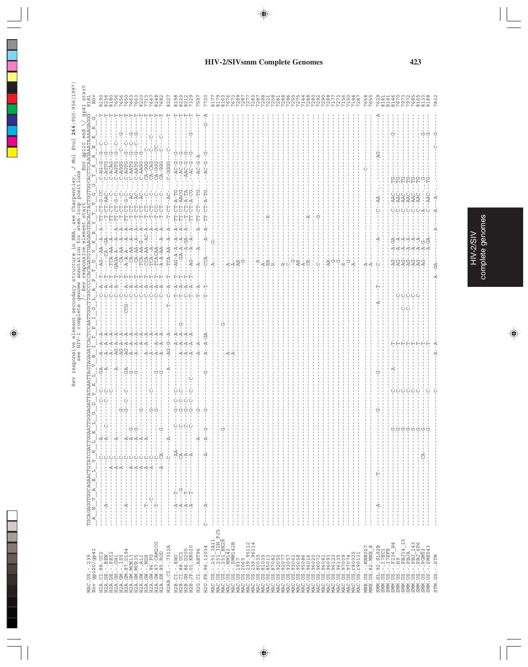8

|                                            | ൯<br>$\frac{41}{818}$                                                                                                                                                                                                                                                                                                                                                                                                                       |                                                        | owowwommom                                                                                                                                                                                                                                                                                                                                                                                                           |                                           |                  |                                 |                                                                |                                                         | 822                    |                                                                                 | $\sigma$                                                                               | 759                                                                                                                         | 772                                                                                                                                                                                                                                                                                                                                                                             | 817                                                                                         | 8156           |                   |  |                   | $\infty$                                | $\rightarrow \infty$ |                         | 1865480000P |                        |   |                   |               |   |                                |    |                               | 0 |                                                                                                                                                                                                                                                               | 765                                            | C                                                                                                            | $\rightarrow$ $\rightarrow$ $\rightarrow$                                                                                      | $\circ$                           |                                   |                                                               |                                              |                                                    | $\frac{3}{8}$     |
|--------------------------------------------|---------------------------------------------------------------------------------------------------------------------------------------------------------------------------------------------------------------------------------------------------------------------------------------------------------------------------------------------------------------------------------------------------------------------------------------------|--------------------------------------------------------|----------------------------------------------------------------------------------------------------------------------------------------------------------------------------------------------------------------------------------------------------------------------------------------------------------------------------------------------------------------------------------------------------------------------|-------------------------------------------|------------------|---------------------------------|----------------------------------------------------------------|---------------------------------------------------------|------------------------|---------------------------------------------------------------------------------|----------------------------------------------------------------------------------------|-----------------------------------------------------------------------------------------------------------------------------|---------------------------------------------------------------------------------------------------------------------------------------------------------------------------------------------------------------------------------------------------------------------------------------------------------------------------------------------------------------------------------|---------------------------------------------------------------------------------------------|----------------|-------------------|--|-------------------|-----------------------------------------|----------------------|-------------------------|-------------|------------------------|---|-------------------|---------------|---|--------------------------------|----|-------------------------------|---|---------------------------------------------------------------------------------------------------------------------------------------------------------------------------------------------------------------------------------------------------------------|------------------------------------------------|--------------------------------------------------------------------------------------------------------------|--------------------------------------------------------------------------------------------------------------------------------|-----------------------------------|-----------------------------------|---------------------------------------------------------------|----------------------------------------------|----------------------------------------------------|-------------------|
| 266:950-956(199<br>Evo <sub>1</sub><br>Nol | $\frac{\text{end}}{\text{MAMGAGGG}}$<br>оÃ<br>$\begin{array}{c} \mathrm{G}\mathrm{D}12\mathrm{C}\\ \mathrm{G}\mathrm{A}\mathrm{A}\mathrm{A}\\ \mathrm{R} \end{array}$<br>CAAL<br>S<br>à                                                                                                                                                                                                                                                     | ΟÖ.<br>$\blacksquare$<br>$\overline{\phantom{a}}$      | Ó<br>- 1<br>$\overline{\phantom{a}}$<br>မှ မှ မှ မှ                                                                                                                                                                                                                                                                                                                                                                  | ひ<br>- 1<br>וֹ מְּפְ <sup>וֹ</sup> שָׁ מְ | <b>いい</b><br>UÚÚ | U                               | U                                                              |                                                         |                        | ひ<br>ひ                                                                          | Н<br>ひ<br>ひ<br>↻<br>- 1<br>Ġ<br>ひ                                                      | $-5 - 5$                                                                                                                    | ひ<br>ひ<br>Ġ                                                                                                                                                                                                                                                                                                                                                                     |                                                                                             |                |                   |  |                   |                                         |                      |                         |             |                        |   |                   |               |   |                                |    |                               |   |                                                                                                                                                                                                                                                               |                                                |                                                                                                              | てり                                                                                                                             |                                   |                                   |                                                               |                                              | ひ<br>٢ŋ                                            |                   |
| ら                                          | $\begin{array}{c} \mathbb{E} \ \mathbb{E} \ \mathbb{E} \ \mathbb{E} \ \mathbb{E} \ \mathbb{E} \ \mathbb{E} \ \mathbb{E} \ \mathbb{E} \ \mathbb{E} \ \mathbb{E} \ \mathbb{E} \ \mathbb{E} \ \mathbb{E} \ \mathbb{E} \ \mathbb{E} \ \mathbb{E} \ \mathbb{E} \ \mathbb{E} \ \mathbb{E} \ \mathbb{E} \ \mathbb{E} \ \mathbb{E} \ \mathbb{E} \ \mathbb{E} \ \mathbb{E} \ \mathbb{E} \ \mathbb{E} \ \mathbb{E} \ \mathbb{E} \ \mathbb$<br>ua<br>U | C<br>C<br>C<br>C<br>C<br>ĀĀ<br>튕                       | $[0.118, 0.048] \setlength{\unitlength}{0.033} \begin{picture}(1,0) \put(0,0.05) {\line(0,0){1.01}} \put(1,0.05) {\line(0,0){1.01}} \put(1,0.05) {\line(0,0){1.01}} \put(1,0.05) {\line(0,0){1.01}} \put(1,0.05) {\line(0,0){1.01}} \put(1,0.05) {\line(0,0){1.01}} \put(1,0.05) {\line(0,0){1.01}} \put(1,0.05) {\line(0,0){1.01}} \put(1,0.0$<br>QUUUQQQQUUU<br>무<br>$\mathbf{I}$<br><b>も</b><br>븅<br>FEEF<br>TEET | ්<br>$\blacksquare$<br>5<br>5<br>E        | 5<br>5<br>⊢<br>ь | 5<br>5<br>Н<br>н                | CA-GGG-<br>CA-CAG-<br>CA-GGG-<br>U<br>н                        | $\cup$<br>€<br>е                                        | 0000-0<br>U<br>5<br>Н  | ひしこ<br>ひし<br>$-4A$<br>$-4A$<br>U<br>פי<br>ř<br>$-AACC$<br>К<br>5<br>5<br>텁<br>톱 | ਹੁੰ<br>ਹੁ<br>$-4$<br>$-$ A $-$ TA<br>ひりし<br>К<br>t-<br>5<br>텁<br>е                     | $-AC-$<br>5<br>Ė                                                                                                            | AC.<br>$- A - T G$<br>ť<br>텁                                                                                                                                                                                                                                                                                                                                                    |                                                                                             |                |                   |  |                   |                                         | ≃                    |                         |             |                        |   |                   |               | U |                                |    |                               |   |                                                                                                                                                                                                                                                               |                                                | $-AA$<br>U                                                                                                   |                                                                                                                                | Ē<br>÷                            | Ē<br>$\frac{1}{1}$                | Ē<br>Ě<br>÷<br>÷                                              | <b>ひひひひひひ</b><br>÷<br>ひひひひひひ                 | AAC<br>U                                           |                   |
|                                            | O<br>CAC.<br>$\mathbf{p}$                                                                                                                                                                                                                                                                                                                                                                                                                   | $-4$<br>$\overline{A}$<br>$-6A$<br>AA-<br>$-AG$        | $\begin{array}{r} -1 - \text{TCA} - \hat{A} + \\ - \text{C} \hat{A} \, \text{G} \hat{A} - \hat{A} - \\ - \text{C} \hat{A} \, \text{G} \hat{A} - \hat{A} - \\ - \text{C} \hat{A} - \hat{A} \hat{A} - \hat{A} - \\ - \text{C} \hat{A} - \hat{A} \hat{A} - \hat{A} - \\ - \text{C} \hat{A} - \hat{A} - \hat{A} - \\ - \text{C} \hat{A} - \hat{A} \hat{A} - \hat{A} - \\ - \text{C} \hat{A} - \hat{A} \hat$              | RARR                                      |                  | Æ<br>Æ<br>$-CCA-AA$             | Æ<br>Æ<br>$-TCA - A$<br>$-TCACAA$<br>$- A - A - AAB$           | K.<br>$-4$<br>н                                         | K.<br>ά<br>TCA-AA<br>н | Æ<br>K.<br>Ŕ,<br>K,<br>$AG - A - A$<br>K,<br>$-GB-$<br>н<br>H                   | K,<br>$\mathfrak{F}$<br>К<br>К<br>К<br>$AG-$<br>е<br>е                                 | K.<br>К<br>$\overline{A}$                                                                                                   | K.<br>K,<br>CCA                                                                                                                                                                                                                                                                                                                                                                 | K.                                                                                          |                |                   |  |                   | $\approx$                               | A-<br>RR-            |                         | œυ          | ひ                      | Æ | Æ                 | E             | O | AR.                            | τŋ | てり<br>≃                       | ひ | K.                                                                                                                                                                                                                                                            | K.<br>K.                                       | K.<br>U                                                                                                      | $\mathbb{E}$                                                                                                                   |                                   |                                   | $A$ $A$ $A$ $A$ $A$<br>ਹੋ ਹੋ ਹੋ ਹੋ ਹੋ ਹੋ<br>ਕੇ ਕੇ ਕੇ ਕੇ ਕੇ ਕੇ | $-4$<br>みみみみみみ                               | 3<br>ひ<br>$\triangleleft$<br>임                     |                   |
| $\frac{1}{2}$                              | Ū≮<br>TL C<br>TL C<br>T C                                                                                                                                                                                                                                                                                                                                                                                                                   | U<br>К                                                 | <b>UUUUUU</b><br>RARARA<br>ť<br>÷,                                                                                                                                                                                                                                                                                                                                                                                   | Ū<br>÷<br>÷                               | U<br>÷<br>ť      | $\cup$<br>U<br>К<br>К<br>ť<br>÷ | A<br>A<br>٠<br>÷,                                              | $\cup$<br>A<br>$\frac{1}{1}$<br>$\triangle$ $\triangle$ | K,<br>U<br>К<br>ひ      | ΚK<br>τŋ<br>К<br>R                                                              | K.<br>A<br>U<br>A<br>К<br>AAAA                                                         | К<br>К                                                                                                                      | $A-GA$                                                                                                                                                                                                                                                                                                                                                                          |                                                                                             |                |                   |  |                   |                                         |                      |                         |             |                        |   |                   |               |   |                                |    |                               |   |                                                                                                                                                                                                                                                               |                                                | K.                                                                                                           |                                                                                                                                |                                   | U                                 | ひひひひひ<br>U                                                    |                                              |                                                    |                   |
| responsi<br>I see<br>Rev                   | TTATAAATTAGTAGAGATCACTCCAA<br>'Y K L V E I T P                                                                                                                                                                                                                                                                                                                                                                                              | $G - A$<br>ひひひ<br>U                                    | К                                                                                                                                                                                                                                                                                                                                                                                                                    | U<br>U                                    | ∯ ∂ ∂            |                                 | ÷<br>AAAA<br>ひ                                                 | H<br>ひ                                                  | $AG-$                  | ÷<br>↻<br>U                                                                     | ÷<br>÷<br>A A<br>U<br>C                                                                | Ą                                                                                                                           | К                                                                                                                                                                                                                                                                                                                                                                               |                                                                                             |                | К<br>К            |  |                   |                                         |                      |                         |             |                        |   |                   |               |   |                                |    |                               |   |                                                                                                                                                                                                                                                               |                                                |                                                                                                              |                                                                                                                                |                                   | υ                                 | υU                                                            |                                              |                                                    |                   |
|                                            | GGGAGA                                                                                                                                                                                                                                                                                                                                                                                                                                      | $\mathbf{I}$<br>$-4$<br>$\mathbf{I}$<br>$\blacksquare$ | ÷<br>÷,<br>$- - - A$<br>$\mathbf{I}$<br>$\mathbf I$<br>- 11                                                                                                                                                                                                                                                                                                                                                          | <b>ひ ひ</b>                                |                  | פיז                             | てり<br>てり<br>$\begin{array}{c} 11.76 \\ 11.71 \end{array}$<br>Ħ |                                                         |                        | İ<br>$\frac{1}{1}$<br>$- - A A - - -$<br>$\mathsf{I}$                           | ひひひひ<br>(1)<br>$\frac{1}{1}$<br>İ<br>$\frac{1}{4}$<br>$\mathbf{I}$<br>$-4 - -$<br>$\,$ | ひ<br>$- - A - -$<br>$\mathsf I$<br>$\mathsf{I}$<br>$\mathsf I$<br>$\overline{1}$<br>$\mathbf{I}$                            | てり<br>$-4 - 4 - 1 - 4 - 5$                                                                                                                                                                                                                                                                                                                                                      |                                                                                             |                |                   |  |                   | $\frac{1}{1}$                           | $\frac{1}{1}$        | ł                       |             |                        |   |                   |               |   |                                |    |                               |   |                                                                                                                                                                                                                                                               | $\mathbf{I}$                                   |                                                                                                              | ローー                                                                                                                            | ウー                                | ι<br>Ω<br>Τ                       | $\frac{c}{1}$<br>$\frac{c}{1}$                                | 먹<br>$\mathbf{I}$                            | 먹<br>ひ<br>$\mathbf{I}$<br>$\frac{1}{1}$<br>$---CA$ |                   |
|                                            |                                                                                                                                                                                                                                                                                                                                                                                                                                             |                                                        |                                                                                                                                                                                                                                                                                                                                                                                                                      |                                           |                  |                                 |                                                                |                                                         |                        | $\mathsf I$<br>ł.<br>ł.<br>$\mathbf{L}$<br>$\mathbf{I}$<br>÷,<br>$\frac{1}{4}$  | $\mathbf I$<br>$\mathbf{I}$<br>÷,<br>Ť.<br>Ħ<br>ł<br>ţ                                 | $\mathbf{I}$<br>$\mathbf{I}$<br>$\mathbf{I}$<br>$\mathsf I$<br>$\mathbf{I}$<br>$\mathbf{I}$<br>$\mathbf{I}$<br>$\mathbf{I}$ | $\frac{1}{1}$<br>$\begin{bmatrix} 1 & 1 & 1 \\ 1 & 1 & 1 \\ 1 & 1 & 1 \\ 1 & 1 & 1 \\ 1 & 1 & 1 \\ 1 & 1 & 1 \\ 1 & 1 & 1 \\ 1 & 1 & 1 \\ 1 & 1 & 1 \\ 1 & 1 & 1 \\ 1 & 1 & 1 \\ 1 & 1 & 1 \\ 1 & 1 & 1 \\ 1 & 1 & 1 \\ 1 & 1 & 1 & 1 \\ 1 & 1 & 1 & 1 \\ 1 & 1 & 1 & 1 \\ 1 & 1 & 1 & 1 \\ 1 & 1 & 1 & 1 \\ 1 & 1 & 1 & 1 \\ 1 & 1 & 1 & 1 \\ 1 & $<br>$-4 - 2$<br>÷<br>$\cup$ | J.<br>J.<br>٠                                                                               | $\blacksquare$ | ÷<br>$\mathbf{I}$ |  | ÷<br>$\mathbf{I}$ | $\frac{1}{1}$<br>I<br>÷<br>$\mathbf{I}$ | t                    | ţ<br>t<br>$\frac{1}{1}$ | <br>t       | <br>t<br>$\frac{1}{1}$ |   | I<br>$\mathbf{I}$ | $\frac{1}{1}$ |   | $\frac{1}{1}$<br>$\frac{1}{4}$ | ÷  | $\frac{1}{4}$<br>$\mathbf{I}$ |   | $\begin{array}{c} \begin{array}{c} \begin{array}{c} \begin{array}{c} \begin{array}{c} \end{array} \\ \end{array} \\ \begin{array}{c} \end{array} \\ \begin{array}{c} \end{array} \end{array} \end{array} \end{array}$<br>j<br>$\frac{1}{4}$<br>$\blacksquare$ | $\frac{1}{1}$<br>$\frac{1}{1}$<br>$\mathbf{I}$ | $---A---$<br>$\frac{1}{1}$<br>I<br>J.<br>٠                                                                   | $\frac{1}{1}$<br>$\frac{1}{1}$<br>$\frac{1}{1}$<br>$\frac{1}{1}$<br>$\frac{1}{1}$<br>$\,$<br>$\mathbf{I}$<br>$\mathbf{I}$<br>٠ | $\frac{1}{1}$<br>$-1$<br>J.<br>J. | $\mathbf{I}$                      | $\mathbf{I}$<br>$\mathbf{I}$                                  | $\mathbf{I}$                                 | $\frac{1}{1}$                                      |                   |
|                                            | .US.-.239<br>gp120/gp41<br>239<br>MAC.US.<br>Env gp1                                                                                                                                                                                                                                                                                                                                                                                        |                                                        | $\begin{array}{l} \rm{H2A}, \rm{CL}, \rm{88}, \rm{UC2}\\ \rm{H2A}, \rm{DB}, \cdots, \rm{BBM}\\ \rm{H2A}, \rm{GB}, \cdots, \rm{GBM}\\ \rm{H2A}, \rm{GH}, \cdots, \rm{SH}\\ \rm{H2A}, \rm{GW}, \cdots, \rm{HSM}\\ \rm{H2A}, \rm{GW}, \rm{WCM13}\\ \rm{H2A}, \rm{GW}, \rm{WCM13}\\ \rm{H2A}, \rm{GW}, \rm{WCM23}\\ \rm{H2A}, \rm{GW}, \cdots, \rm{H2M}\\ \rm{H2A}, \rm{GW}, \rm{G}, \rm$                                |                                           |                  |                                 |                                                                |                                                         | $-.7312A$<br>H2AB.CI.  | H2B.CI.-RHO                                                                     | H2B.CI.88.UC1<br>H2B.GH.86.D205<br>H2B.JP.01.KR020                                     | H2G.CI. - ABT96                                                                                                             | H2U.FR.96.12034                                                                                                                                                                                                                                                                                                                                                                 | MAC.US. - 251 1A11<br>MAC.US. - 251 32H PJ5 -<br>MAC.US. - 251 32H PJ5 -<br>MAC.US. - MM142 |                |                   |  |                   |                                         |                      |                         |             |                        |   |                   |               |   |                                |    |                               |   |                                                                                                                                                                                                                                                               | MNE.US. - .MNE027<br>MNE.US. 82.MNE_8          | SMM .SL . 92 . SL92B<br>SMM .US . - .17BC1<br>SMM .US . - .17BC1<br>SMM .US . - .F236 _H4<br>SMM .US . - .H9 |                                                                                                                                |                                   | LN<br>۲i<br>$-$ .PBJ14<br>SMM.US. | -. PBJA<br>SMM.US.<br>SMM.US.                                 | $-193$ $-143$<br>$-143$<br>$-696$<br>SMM.US. | $-$ . SME543<br>$-10005$<br>SMM.US.<br>SMM.US.     | MLS .-<br>STM.US. |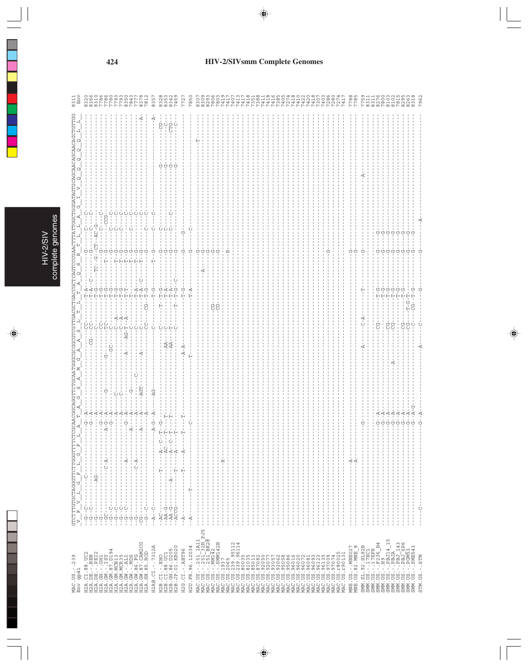| $\frac{1}{1}$<br>$\mathsf I$                                | GTCTTTGTGCTAGGGTTCTTGGGTTTT<br>V F V L G F L G F                                                                                                                                                                                                                                                                                                                                 |                      |                                                                                                                             |                          |                      |                        |                | 8311<br>Env                                  |
|-------------------------------------------------------------|----------------------------------------------------------------------------------------------------------------------------------------------------------------------------------------------------------------------------------------------------------------------------------------------------------------------------------------------------------------------------------|----------------------|-----------------------------------------------------------------------------------------------------------------------------|--------------------------|----------------------|------------------------|----------------|----------------------------------------------|
| $-1 - 1 - 1$<br>$\mathbf{I}$<br>$\mathbf{I}$<br>$\mathsf I$ | K,<br>Ġ<br>ひ<br>1<br>$\mathbf{I}$<br>Ť.<br>$\mathbf{I}$<br>$\mathbf I$<br>$\mathsf I$<br>$\mathbf{I}$<br>î.                                                                                                                                                                                                                                                                      | ن<br>و               | y<br>9<br>C                                                                                                                 |                          | ひ<br>ひ               | U<br>U<br>◡<br>U       |                |                                              |
| $---AG-$                                                    | $\frac{1}{4}$<br>$\mathsf I$<br>$\mathbb{I}$                                                                                                                                                                                                                                                                                                                                     |                      |                                                                                                                             |                          | $-AC$<br>5<br>-<br>ひ | ひ<br>$\blacksquare$    |                |                                              |
| $\mathbf{I}$                                                | どじじ<br>Ť<br>$\mathbf{I}$<br>$\,$ I<br>$\frac{1}{4}$<br>$\frac{1}{1}$<br>$\frac{1}{1}$                                                                                                                                                                                                                                                                                            |                      |                                                                                                                             | 적 위 위 위 위                | ひ                    | $\sum_{i=1}^{n}$<br>ပု |                |                                              |
|                                                             | $\overline{\phantom{a}}$<br>$\mathbf I$                                                                                                                                                                                                                                                                                                                                          | ひ                    | $\begin{array}{c}\n\stackrel{1}{\bigcirc}\stackrel{1}{\bigcirc}\stackrel{1}{\bigcirc}\n\stackrel{1}{\bigcirc}\n\end{array}$ | Н                        | <b>ひ ひ</b>           | Ċ<br>C                 |                |                                              |
|                                                             | $\begin{array}{c}\n 1 & 1 \\  1 & 1 \\  1 & 1\n \end{array}$<br>f,<br>f,<br>Ħ<br>$\frac{1}{1}$<br>ł                                                                                                                                                                                                                                                                              | CO-                  |                                                                                                                             | ಲ                        | てり                   | U<br>ひひひ               |                |                                              |
|                                                             | $\mathbf{I}$<br>$\mathbf{I}$<br>$\frac{1}{4}$<br>Ì<br>$\frac{1}{1}$<br>ł                                                                                                                                                                                                                                                                                                         |                      |                                                                                                                             |                          |                      |                        |                |                                              |
|                                                             | ひ<br>$\,$ I<br>J.<br>-----------                                                                                                                                                                                                                                                                                                                                                 | $-AG-$<br>К          | $-2 - 2$<br>$-1 - 1 - 2$                                                                                                    | စ္မ                      | てりてり                 | ひひひ                    |                |                                              |
|                                                             | ט<br>К<br>$\sf I$<br>$\mathbf{I}$<br>$\mathsf I$<br>$\mathbf{I}$                                                                                                                                                                                                                                                                                                                 |                      |                                                                                                                             |                          | τŋ                   | ↻                      |                |                                              |
|                                                             | ţ                                                                                                                                                                                                                                                                                                                                                                                | К                    | $\cup$<br>U                                                                                                                 | К                        | てり<br>ひ              | U<br>∪                 |                |                                              |
|                                                             | AGT<br>$A \nA$<br>К<br>$\mathbf{I}$<br>$\mathsf I$<br>$\mathbf{I}$                                                                                                                                                                                                                                                                                                               |                      | Н<br>g<br>Ü                                                                                                                 | $-40$                    | ひ                    | U                      |                |                                              |
|                                                             | AG.<br>$A - C$<br>J.<br>٠<br>t<br>ţ                                                                                                                                                                                                                                                                                                                                              |                      | $\cup$                                                                                                                      | ပု                       | てり                   |                        |                | 835                                          |
|                                                             | (5)<br>U<br>I<br>---------<br>f,                                                                                                                                                                                                                                                                                                                                                 |                      | $\mathbb H$<br>н                                                                                                            | ပု                       | てり                   |                        |                |                                              |
|                                                             | $\frac{1}{1}$<br>H<br>$\overline{\phantom{a}}$                                                                                                                                                                                                                                                                                                                                   | AA                   | UUH                                                                                                                         | К                        | ↻                    | .<br>U U U             |                |                                              |
|                                                             | $-4 - 4 - C$<br>$- - P -$<br>$\blacksquare$<br>$-1$<br>$- - A - -$<br>$\mathbf{I}$<br>$\mathbf{I}$<br>$\frac{1}{1}$                                                                                                                                                                                                                                                              |                      | н<br>Н                                                                                                                      | U<br>$\vec{A}$ $\vec{C}$ | てり<br>てり             |                        | <b>ひ ひ ひ ひ</b> | 88887<br>88887<br>စ်ပုံစံပုံ<br>မိုးပုံစံပုံ |
|                                                             | ×.                                                                                                                                                                                                                                                                                                                                                                               |                      |                                                                                                                             |                          |                      |                        |                |                                              |
|                                                             | $\mathbf{I}$<br>4<br>J.<br>J.<br>$\frac{1}{2}$<br>J.<br>J.<br>$\mathsf I$                                                                                                                                                                                                                                                                                                        | K,<br>$\overline{A}$ | Н                                                                                                                           | ひ                        | てり                   |                        |                |                                              |
|                                                             | -----------                                                                                                                                                                                                                                                                                                                                                                      |                      |                                                                                                                             | К                        | てり                   |                        |                | 785                                          |
|                                                             | $\frac{1}{1}$<br>f,<br>$\begin{array}{c} \rule{0.2cm}{0.15mm} \rule{0.2cm}{0.15mm} \rule{0.2cm}{0.15mm} \rule{0.2cm}{0.15mm} \rule{0.2cm}{0.15mm} \rule{0.2cm}{0.15mm} \rule{0.2cm}{0.15mm} \rule{0.2cm}{0.15mm} \rule{0.2cm}{0.15mm} \rule{0.2cm}{0.15mm} \rule{0.2cm}{0.15mm} \rule{0.2cm}{0.15mm} \rule{0.2cm}{0.15mm} \rule{0.2cm}{0.15mm} \rule{0.2cm}{0.15mm} \rule{$<br>. |                      |                                                                                                                             |                          | てりてり                 |                        |                |                                              |
| $\frac{1}{4}$                                               | ÷                                                                                                                                                                                                                                                                                                                                                                                |                      |                                                                                                                             |                          |                      |                        |                |                                              |
|                                                             | $\mathbf{I}$<br>$\frac{1}{2}$                                                                                                                                                                                                                                                                                                                                                    |                      |                                                                                                                             |                          | てりてり                 |                        |                |                                              |
|                                                             | J.<br>J.                                                                                                                                                                                                                                                                                                                                                                         |                      | 50                                                                                                                          |                          |                      |                        |                |                                              |
|                                                             | $\frac{1}{1}$<br>Ţ                                                                                                                                                                                                                                                                                                                                                               |                      | g                                                                                                                           |                          | てり                   |                        |                |                                              |
|                                                             | t                                                                                                                                                                                                                                                                                                                                                                                |                      |                                                                                                                             |                          | $\alpha$             |                        |                |                                              |
|                                                             |                                                                                                                                                                                                                                                                                                                                                                                  |                      |                                                                                                                             |                          |                      |                        |                |                                              |
|                                                             |                                                                                                                                                                                                                                                                                                                                                                                  |                      |                                                                                                                             |                          |                      |                        |                |                                              |
|                                                             |                                                                                                                                                                                                                                                                                                                                                                                  |                      |                                                                                                                             |                          |                      |                        |                |                                              |
|                                                             |                                                                                                                                                                                                                                                                                                                                                                                  |                      |                                                                                                                             |                          |                      |                        |                |                                              |
|                                                             |                                                                                                                                                                                                                                                                                                                                                                                  |                      |                                                                                                                             |                          |                      |                        |                |                                              |
|                                                             |                                                                                                                                                                                                                                                                                                                                                                                  |                      |                                                                                                                             |                          |                      |                        |                |                                              |
|                                                             |                                                                                                                                                                                                                                                                                                                                                                                  |                      |                                                                                                                             |                          |                      |                        |                |                                              |
|                                                             |                                                                                                                                                                                                                                                                                                                                                                                  |                      |                                                                                                                             |                          |                      |                        |                |                                              |
|                                                             |                                                                                                                                                                                                                                                                                                                                                                                  |                      |                                                                                                                             |                          |                      |                        |                |                                              |
|                                                             | <b>+++++++++++++++++++++</b>                                                                                                                                                                                                                                                                                                                                                     |                      |                                                                                                                             |                          |                      |                        |                |                                              |
|                                                             |                                                                                                                                                                                                                                                                                                                                                                                  |                      |                                                                                                                             |                          |                      |                        |                |                                              |
|                                                             |                                                                                                                                                                                                                                                                                                                                                                                  |                      |                                                                                                                             |                          |                      |                        |                |                                              |
|                                                             |                                                                                                                                                                                                                                                                                                                                                                                  |                      |                                                                                                                             |                          |                      |                        |                |                                              |
|                                                             |                                                                                                                                                                                                                                                                                                                                                                                  |                      |                                                                                                                             |                          |                      |                        |                |                                              |
|                                                             |                                                                                                                                                                                                                                                                                                                                                                                  |                      |                                                                                                                             |                          |                      |                        |                |                                              |
|                                                             |                                                                                                                                                                                                                                                                                                                                                                                  |                      |                                                                                                                             |                          |                      |                        |                |                                              |
|                                                             |                                                                                                                                                                                                                                                                                                                                                                                  |                      |                                                                                                                             |                          |                      |                        |                |                                              |
|                                                             | $\frac{1}{1}$<br>$\frac{1}{1}$<br>$-1$ $-1$ $-1$ $-1$ $-1$ $-1$ $-1$                                                                                                                                                                                                                                                                                                             |                      |                                                                                                                             |                          |                      |                        |                |                                              |
|                                                             | $\mathbf I$                                                                                                                                                                                                                                                                                                                                                                      |                      |                                                                                                                             |                          | てり                   |                        |                |                                              |
|                                                             | $\overline{\phantom{a}}$<br>$\,$ I                                                                                                                                                                                                                                                                                                                                               |                      |                                                                                                                             |                          | てり                   |                        |                |                                              |
|                                                             | 1<br>$\sf I$<br>I<br>$\frac{1}{1}$<br>$\frac{1}{1}$                                                                                                                                                                                                                                                                                                                              |                      | ∱<br>⊦<br>U                                                                                                                 |                          | てり                   |                        |                |                                              |
|                                                             | J,                                                                                                                                                                                                                                                                                                                                                                               |                      |                                                                                                                             |                          |                      |                        |                |                                              |
|                                                             | $\frac{1}{1}$<br>$\frac{1}{1}$                                                                                                                                                                                                                                                                                                                                                   |                      |                                                                                                                             |                          |                      |                        |                |                                              |
|                                                             |                                                                                                                                                                                                                                                                                                                                                                                  |                      | y                                                                                                                           | ひひひひひ                    |                      |                        |                |                                              |
|                                                             |                                                                                                                                                                                                                                                                                                                                                                                  |                      | ġ                                                                                                                           |                          |                      |                        |                |                                              |
|                                                             |                                                                                                                                                                                                                                                                                                                                                                                  |                      | Н<br>U                                                                                                                      |                          |                      |                        |                |                                              |
|                                                             | みみみみみみみ<br>ひひひひひひひひ                                                                                                                                                                                                                                                                                                                                                              |                      |                                                                                                                             |                          | ひ ひ ひ ひ ひ ひ ひ ひ      | ひひひひひひひひ               |                |                                              |
|                                                             |                                                                                                                                                                                                                                                                                                                                                                                  |                      | н<br>59                                                                                                                     | ひ                        |                      |                        |                |                                              |
| I                                                           | I,<br>Ï<br>Î<br>Î                                                                                                                                                                                                                                                                                                                                                                |                      | н<br>F<br>$\frac{1}{2} - \frac{1}{2}$<br>y<br>U                                                                             | ひ                        |                      |                        |                |                                              |
|                                                             |                                                                                                                                                                                                                                                                                                                                                                                  |                      |                                                                                                                             |                          |                      |                        |                |                                              |
|                                                             |                                                                                                                                                                                                                                                                                                                                                                                  |                      |                                                                                                                             |                          |                      |                        |                | 796                                          |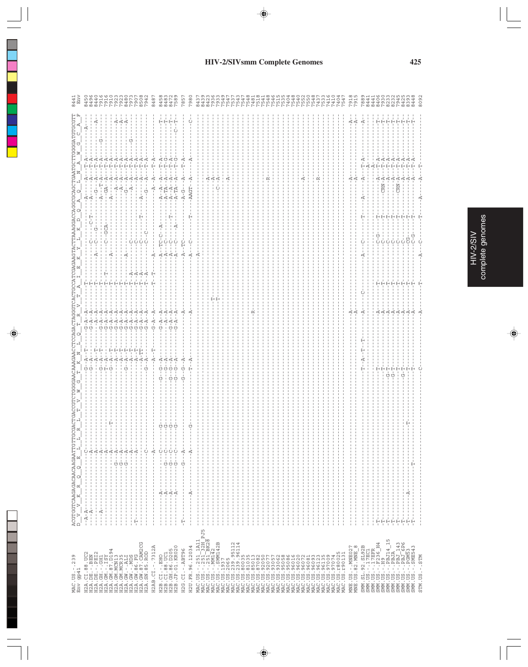| မ္တ<br>ž |
|----------|
|----------|

Sč

| MAC.US.-.239<br>Env gp41                                                                                                                                                                                                                                                                                                                                                                                       | ACGTGGTCAAGAGACAACAAGAATTGTTC<br>D___V ___V ___ K __ R __ Q __ Q __ E __ L __ L                                                                                                                                                                                                                                                                                                                                                                                                                                                    |                                |                                  |                                   |                           | <b>UCCATCHY</b><br>CGACTEGACCOTCTIGGGGAACAAAACCTCCAGACTAGGGTCCAGAACTAGACTAAAGGACCAGGCGAGCTGAATCCTTG<br>R L T V W G T K N L Q T R V T A L E K Y L K D Q A Q L N A W |                                                                                                                                                                                                                           |
|----------------------------------------------------------------------------------------------------------------------------------------------------------------------------------------------------------------------------------------------------------------------------------------------------------------------------------------------------------------------------------------------------------------|------------------------------------------------------------------------------------------------------------------------------------------------------------------------------------------------------------------------------------------------------------------------------------------------------------------------------------------------------------------------------------------------------------------------------------------------------------------------------------------------------------------------------------|--------------------------------|----------------------------------|-----------------------------------|---------------------------|--------------------------------------------------------------------------------------------------------------------------------------------------------------------|---------------------------------------------------------------------------------------------------------------------------------------------------------------------------------------------------------------------------|
|                                                                                                                                                                                                                                                                                                                                                                                                                |                                                                                                                                                                                                                                                                                                                                                                                                                                                                                                                                    |                                |                                  |                                   |                           |                                                                                                                                                                    | Ė                                                                                                                                                                                                                         |
| $\begin{array}{ll} \text{H2A.}\ (1.8\ \text{H2A.}\ \text{DE}, \, 1.8\ \text{H2A.}\ \text{DE}, \, -\text{BEN} \\ \text{H2A.}\ \text{DE}, \, -\text{BEN} \\ \text{H2A.}\ \text{GH}. \, -\text{GH} \\ \text{H2A.}\ \text{GH}. \, -\text{GH} \\ \text{H2A.}\ \text{GH}. \, -\text{GH} \\ \text{H2A.}\ \text{GH}. \, -\text{H2A} \\ \text{H2A.}\ \text{GH}. \, -\text{CH3} \\ \text{H2A.}\ \text{GH}. \, -\text{H2$ | $\mathbf{I}$<br>$\frac{1}{1}$<br>$\mathbf{I}$<br>٠<br>$\mathsf I$<br>$\mathsf I$<br>$\mathsf I$<br>$\mathbb{L}$<br>ł.<br>$\mathbf{I}$<br>$- -A - A - - -$                                                                                                                                                                                                                                                                                                                                                                          | н<br><b>AAAAAAAAAAA</b><br>ひ   | <b>AAAAAAAAAAAA</b>              |                                   | Н<br>- 1<br>U             | RAAAAAAAAAA<br>AAAAAAAAAAAAAA<br>Heeeeeeeee<br><b>A A A A A A A A A A A A A</b>                                                                                    | て8人とOCCCOOOOOOOP ももしていているともしろしろしろしろしろしろしろしろしろしろしろしろしろしろしろしろしろろろろろ                                                                                                                                                         |
|                                                                                                                                                                                                                                                                                                                                                                                                                | ÷<br>$\mathbf{I}$<br>$-24$<br>$\mathbf{I}$<br>- 11<br>$\mathbb{L}$<br>$\mathbf{1}$<br>$\mathbb{I}$<br>$\mathbf{I}$<br>$\mathbf{I}$<br>$\mathbf{1}$<br>$\mathbf{I}$<br>$\mathbb{I}$<br>- 11<br>$\mathbf{I}$<br>$\mathbf{I}$<br>$\mathbf{I}$<br>$- -A - -$<br>$\blacksquare$<br>٠<br>٠<br>$\mathbf{I}$                                                                                                                                                                                                                               | <b>1 HH 1 HHHH</b><br>- 1<br>ひ | <b>A A A A A A A A A A A A A</b> | $-\overline{A}$<br><b>HHHHH</b>   | ひ<br>υU                   | $\mathbb{R}^+$                                                                                                                                                     |                                                                                                                                                                                                                           |
|                                                                                                                                                                                                                                                                                                                                                                                                                | $\blacksquare$<br>$\overline{\phantom{a}}$<br>$\frac{1}{4}$<br>$\frac{1}{4}$<br>$- - A - -$<br>$\blacksquare$                                                                                                                                                                                                                                                                                                                                                                                                                      | $\mathbf{I}$<br>$\blacksquare$ |                                  |                                   |                           | てり<br>$\overline{5}$<br>$\mathbb{R}^2$                                                                                                                             |                                                                                                                                                                                                                           |
|                                                                                                                                                                                                                                                                                                                                                                                                                | $\mathbf{I}$<br>$-4$<br>$\frac{1}{1}$<br>$\frac{1}{1}$<br>ŧ<br>Ţ<br>$\frac{1}{1}$<br>I.<br>$\mathbf{I}$<br>J.                                                                                                                                                                                                                                                                                                                                                                                                                      | -<br>Ť<br>↑ ♡ ⊢ ♡              |                                  | $\frac{1}{1}$<br>н<br>$\mathsf I$ | $-$ GCA<br>$\cup$         | $\overline{G}$                                                                                                                                                     |                                                                                                                                                                                                                           |
|                                                                                                                                                                                                                                                                                                                                                                                                                | ÷<br>$- - A$<br>$\blacksquare$<br>$\frac{1}{1}$<br>$\mathbf{I}$                                                                                                                                                                                                                                                                                                                                                                                                                                                                    | $\mathbf{I}$                   |                                  |                                   |                           | $\mathbf{I}$<br>$\overline{A}$                                                                                                                                     |                                                                                                                                                                                                                           |
|                                                                                                                                                                                                                                                                                                                                                                                                                | $\frac{1}{1}$<br>$\mathbf{I}$<br>$-4$<br>$- - A$<br>$\frac{1}{\sqrt{2}}$<br>$\ddot{\circ}$<br>$\mathsf I$<br>$\mathbf{I}$<br>Í<br>$\begin{array}{c} \begin{array}{c} \bullet \\ \bullet \\ \bullet \end{array} \end{array}$<br>ţ<br>$\frac{1}{1}$<br>$\frac{1}{4}$<br>$\mathsf I$<br>j<br>$\sf I$<br>$\mathbf{I}$<br>$\blacksquare$                                                                                                                                                                                                | $\mathbf{I}$<br>$\mathbf{I}$   |                                  |                                   |                           | $\mathsf{I}$<br>$\mathbf{I}$                                                                                                                                       |                                                                                                                                                                                                                           |
|                                                                                                                                                                                                                                                                                                                                                                                                                | ţ<br>$- - A$<br>$\frac{1}{2}$<br>ł<br>$\begin{array}{c} 1 \\ 1 \\ 1 \\ 1 \end{array}$<br>$\frac{1}{2}$                                                                                                                                                                                                                                                                                                                                                                                                                             | $\mathbf{I}$<br>ひ              |                                  |                                   | 4                         | -<br>1.44141<br>$\pm$                                                                                                                                              |                                                                                                                                                                                                                           |
|                                                                                                                                                                                                                                                                                                                                                                                                                | Ą<br>$\overline{\phantom{a}}$<br>$\mathbf{I}$<br>$\frac{1}{1}$<br>$\frac{1}{1}$<br>$\,$ I<br>$\overline{\phantom{a}}$<br>$\overline{\phantom{a}}$<br>$\overline{\phantom{a}}$                                                                                                                                                                                                                                                                                                                                                      |                                |                                  |                                   |                           | ひ                                                                                                                                                                  |                                                                                                                                                                                                                           |
|                                                                                                                                                                                                                                                                                                                                                                                                                | $\mathbb{R}^4$<br>÷<br>ï<br>$\frac{1}{1}$<br>$\frac{1}{1}$<br>j<br>F                                                                                                                                                                                                                                                                                                                                                                                                                                                               |                                |                                  |                                   |                           |                                                                                                                                                                    |                                                                                                                                                                                                                           |
|                                                                                                                                                                                                                                                                                                                                                                                                                | ٠<br>$\mathbf{I}$<br>-<br>$\,$ 1<br>$\blacksquare$<br>$\mathbf{I}$<br>٠                                                                                                                                                                                                                                                                                                                                                                                                                                                            | ひ                              |                                  | AAAA<br>$\,$ 1<br><b>BBBBBBB</b>  | н<br>- i O<br><b>UUUU</b> | $\stackrel{\scriptscriptstyle\mathsf{I}}{\scriptscriptstyle\mathsf{O}}$<br>$\mathbb{R}^+$                                                                          |                                                                                                                                                                                                                           |
|                                                                                                                                                                                                                                                                                                                                                                                                                | U                                                                                                                                                                                                                                                                                                                                                                                                                                                                                                                                  |                                |                                  |                                   |                           |                                                                                                                                                                    |                                                                                                                                                                                                                           |
| $-.7312A$<br>H2AB.CI.                                                                                                                                                                                                                                                                                                                                                                                          | Ā,<br>÷<br>J.<br>ı                                                                                                                                                                                                                                                                                                                                                                                                                                                                                                                 | A                              | $\Delta$<br>$\mathbb{R}$<br>ó    | е                                 | 4                         | $\approx$<br>É<br>K.<br>К                                                                                                                                          | 848                                                                                                                                                                                                                       |
| H2B.CI.-.EHO                                                                                                                                                                                                                                                                                                                                                                                                   | ↻<br>$\mathbf{L}$<br>$\mathbf{I}$<br>Ť<br>$\mathbf I$<br>ţ.<br>$\mathsf{I}$<br>×.                                                                                                                                                                                                                                                                                                                                                                                                                                                  | ט                              |                                  |                                   | -A<br>U                   | RΚ                                                                                                                                                                 |                                                                                                                                                                                                                           |
|                                                                                                                                                                                                                                                                                                                                                                                                                | ↻<br>U<br>$\mathbf{I}$<br>- 1<br>$\mathsf I$<br>$\frac{1}{\sqrt{2}}$<br>$\mathsf I$<br>L.<br>÷,<br>$-4$<br>$\mathsf I$<br>I.<br>$\mathsf I$<br>$\mathsf I$<br>$\blacksquare$                                                                                                                                                                                                                                                                                                                                                       | $\mathbf{I}$                   |                                  |                                   |                           | K,                                                                                                                                                                 |                                                                                                                                                                                                                           |
| H2B.CI.88.UC1<br>H2B.GH.86.D205<br>H2B.JP.01.KR020                                                                                                                                                                                                                                                                                                                                                             | ひひひひ<br>$\overline{\phantom{a}}$<br>Ü<br>$\,$ $\,$<br>t<br>ပ္ပံ ပုံ<br>Í<br>$\mathbf I$<br>$\overline{\phantom{a}}$<br>$\mathbf I$<br>$\begin{array}{c} \rule{0.2cm}{0.15mm} \rule{0.2cm}{0.15mm} \rule{0.2cm}{0.15mm} \rule{0.2cm}{0.15mm} \rule{0.2cm}{0.15mm} \rule{0.2cm}{0.15mm} \rule{0.2cm}{0.15mm} \rule{0.2cm}{0.15mm} \rule{0.2cm}{0.15mm} \rule{0.2cm}{0.15mm} \rule{0.2cm}{0.15mm} \rule{0.2cm}{0.15mm} \rule{0.2cm}{0.15mm} \rule{0.2cm}{0.15mm} \rule{0.2cm}{0.15mm} \rule{$<br>$\frac{1}{1}$<br>ţ<br>$\blacksquare$ | AAAA<br>J.<br>ひひひひ<br>ひ ひ      | AAAA<br>AAAA<br>ਾਂ ਹਾ            |                                   | Ą<br>ひひひひ<br>A A A        | U<br>$Q \nabla Q$<br><b>BBBB</b>                                                                                                                                   | 8<br>4445<br>8<br>8<br>8<br>8<br>8<br>8<br>8<br>8<br>FЕ                                                                                                                                                                   |
| $-.ABT96$<br>H2G.CI                                                                                                                                                                                                                                                                                                                                                                                            | $- - A -$<br>$\overset{-}{\circlearrowright}$<br>Ť.<br>Ì<br>Ť<br>$\overline{\phantom{a}}$<br>J.<br>ï<br>Ĵ<br>$\vdash$<br>-                                                                                                                                                                                                                                                                                                                                                                                                         | К<br>ひ<br>てり                   | A,                               |                                   | P<br>Ą                    | К<br>$\stackrel{\text{i}}{\mathbb{H}}$<br>K.<br>$A-G-$                                                                                                             | LO<br>$\overline{78}$                                                                                                                                                                                                     |
| H2U.FR.96.12034                                                                                                                                                                                                                                                                                                                                                                                                | $A -$<br>Ţ<br>$\mathbf{I}$<br>$- - A - -$<br>$\mathbf{I}$<br>$\mathbf{I}$<br>J.<br>$\mathbf{I}$<br>п.                                                                                                                                                                                                                                                                                                                                                                                                                              |                                |                                  |                                   | ◡<br>ď                    | <b>AAGT</b>                                                                                                                                                        | $\overline{98}$                                                                                                                                                                                                           |
|                                                                                                                                                                                                                                                                                                                                                                                                                |                                                                                                                                                                                                                                                                                                                                                                                                                                                                                                                                    |                                |                                  |                                   |                           |                                                                                                                                                                    |                                                                                                                                                                                                                           |
| MAC.US. - .251 1A11<br>MAC.US. - .251 22H PJ5<br>MAC.US. - .251 PK28<br>MAC.US. - .MM142                                                                                                                                                                                                                                                                                                                       | ï<br>$\frac{1}{1}$<br>$\mathsf I$<br>t<br>Ĥ.<br>ł<br>$\frac{1}{1}$<br>f,<br>$\frac{1}{2}$<br>$\,$<br>$\frac{1}{1}$<br>$\mathbf{I}$<br>$\overline{\phantom{a}}$<br>$\mathbf{I}$<br>$\overline{\phantom{a}}$                                                                                                                                                                                                                                                                                                                         |                                |                                  |                                   |                           |                                                                                                                                                                    | ה המשפח הביר ברב ברב הביר ברב ברב ברב ברב ברב ברב<br>לא אסטרט המשפח המשפח המשפח המשפח המשפח המשפח המשפח המשפח המשפח המשפח המשפח המשפח המשפח המשפח המשפח המשפח המשפח<br>המשפח המשפח המשפח המשפח המשפח המשפח המשפח המשפח המ |
|                                                                                                                                                                                                                                                                                                                                                                                                                | $\frac{1}{1}$<br>$\,$ $\,$<br>$\frac{1}{1}$<br>$\mathbf{I}$                                                                                                                                                                                                                                                                                                                                                                                                                                                                        |                                |                                  |                                   |                           | Æ                                                                                                                                                                  |                                                                                                                                                                                                                           |
|                                                                                                                                                                                                                                                                                                                                                                                                                | $\frac{1}{1}$                                                                                                                                                                                                                                                                                                                                                                                                                                                                                                                      |                                |                                  |                                   |                           | K.                                                                                                                                                                 | w                                                                                                                                                                                                                         |
|                                                                                                                                                                                                                                                                                                                                                                                                                | $\frac{1}{1}$                                                                                                                                                                                                                                                                                                                                                                                                                                                                                                                      |                                |                                  |                                   |                           | К<br>U                                                                                                                                                             | $m \circ r$                                                                                                                                                                                                               |
|                                                                                                                                                                                                                                                                                                                                                                                                                |                                                                                                                                                                                                                                                                                                                                                                                                                                                                                                                                    |                                |                                  |                                   |                           |                                                                                                                                                                    |                                                                                                                                                                                                                           |
|                                                                                                                                                                                                                                                                                                                                                                                                                | ٠<br>٠                                                                                                                                                                                                                                                                                                                                                                                                                                                                                                                             |                                |                                  |                                   |                           |                                                                                                                                                                    |                                                                                                                                                                                                                           |
|                                                                                                                                                                                                                                                                                                                                                                                                                | $\mathbf{I}$                                                                                                                                                                                                                                                                                                                                                                                                                                                                                                                       |                                |                                  |                                   |                           |                                                                                                                                                                    |                                                                                                                                                                                                                           |
|                                                                                                                                                                                                                                                                                                                                                                                                                | $\mathbf{I}$                                                                                                                                                                                                                                                                                                                                                                                                                                                                                                                       |                                |                                  |                                   |                           |                                                                                                                                                                    |                                                                                                                                                                                                                           |
|                                                                                                                                                                                                                                                                                                                                                                                                                | $-1$ + $-1$ + $-1$ + $-1$<br>$\frac{1}{1}$<br>J                                                                                                                                                                                                                                                                                                                                                                                                                                                                                    |                                |                                  |                                   |                           |                                                                                                                                                                    |                                                                                                                                                                                                                           |
|                                                                                                                                                                                                                                                                                                                                                                                                                |                                                                                                                                                                                                                                                                                                                                                                                                                                                                                                                                    |                                |                                  |                                   |                           |                                                                                                                                                                    |                                                                                                                                                                                                                           |
|                                                                                                                                                                                                                                                                                                                                                                                                                |                                                                                                                                                                                                                                                                                                                                                                                                                                                                                                                                    |                                |                                  |                                   |                           |                                                                                                                                                                    |                                                                                                                                                                                                                           |
|                                                                                                                                                                                                                                                                                                                                                                                                                | $\frac{1}{1}$                                                                                                                                                                                                                                                                                                                                                                                                                                                                                                                      |                                |                                  |                                   |                           |                                                                                                                                                                    |                                                                                                                                                                                                                           |
|                                                                                                                                                                                                                                                                                                                                                                                                                |                                                                                                                                                                                                                                                                                                                                                                                                                                                                                                                                    |                                |                                  |                                   |                           |                                                                                                                                                                    |                                                                                                                                                                                                                           |
|                                                                                                                                                                                                                                                                                                                                                                                                                | $\frac{1}{2}$                                                                                                                                                                                                                                                                                                                                                                                                                                                                                                                      |                                |                                  |                                   |                           |                                                                                                                                                                    |                                                                                                                                                                                                                           |
|                                                                                                                                                                                                                                                                                                                                                                                                                |                                                                                                                                                                                                                                                                                                                                                                                                                                                                                                                                    |                                |                                  |                                   |                           |                                                                                                                                                                    |                                                                                                                                                                                                                           |
|                                                                                                                                                                                                                                                                                                                                                                                                                | $\frac{1}{1}$<br>$\begin{array}{c} \rule{0.2cm}{0.15mm} \rule{0.2cm}{0.15mm} \rule{0.2cm}{0.15mm} \rule{0.2cm}{0.15mm} \rule{0.2cm}{0.15mm} \rule{0.2cm}{0.15mm} \rule{0.2cm}{0.15mm} \rule{0.2cm}{0.15mm} \rule{0.2cm}{0.15mm} \rule{0.2cm}{0.15mm} \rule{0.2cm}{0.15mm} \rule{0.2cm}{0.15mm} \rule{0.2cm}{0.15mm} \rule{0.2cm}{0.15mm} \rule{0.2cm}{0.15mm} \rule{$                                                                                                                                                              |                                |                                  |                                   |                           |                                                                                                                                                                    | NANA CONOGRANDON NO C                                                                                                                                                                                                     |
|                                                                                                                                                                                                                                                                                                                                                                                                                | J<br>$\overline{\phantom{a}}$                                                                                                                                                                                                                                                                                                                                                                                                                                                                                                      |                                |                                  |                                   |                           |                                                                                                                                                                    |                                                                                                                                                                                                                           |
|                                                                                                                                                                                                                                                                                                                                                                                                                | $\frac{1}{1}$<br>$\blacksquare$                                                                                                                                                                                                                                                                                                                                                                                                                                                                                                    |                                |                                  |                                   |                           |                                                                                                                                                                    |                                                                                                                                                                                                                           |
|                                                                                                                                                                                                                                                                                                                                                                                                                | $\begin{array}{c} \n\cdot & \cdot & \cdot \\ \n\cdot & \cdot & \cdot \\ \n\cdot & \cdot & \cdot \n\end{array}$<br>$\frac{1}{1}$<br>I,<br>$\blacksquare$                                                                                                                                                                                                                                                                                                                                                                            |                                |                                  |                                   |                           |                                                                                                                                                                    |                                                                                                                                                                                                                           |
|                                                                                                                                                                                                                                                                                                                                                                                                                |                                                                                                                                                                                                                                                                                                                                                                                                                                                                                                                                    |                                |                                  |                                   |                           |                                                                                                                                                                    |                                                                                                                                                                                                                           |
|                                                                                                                                                                                                                                                                                                                                                                                                                |                                                                                                                                                                                                                                                                                                                                                                                                                                                                                                                                    |                                |                                  |                                   |                           |                                                                                                                                                                    |                                                                                                                                                                                                                           |
|                                                                                                                                                                                                                                                                                                                                                                                                                |                                                                                                                                                                                                                                                                                                                                                                                                                                                                                                                                    |                                |                                  |                                   |                           |                                                                                                                                                                    |                                                                                                                                                                                                                           |
|                                                                                                                                                                                                                                                                                                                                                                                                                | $\frac{1}{1}$<br>$\frac{1}{1}$                                                                                                                                                                                                                                                                                                                                                                                                                                                                                                     |                                |                                  |                                   |                           |                                                                                                                                                                    |                                                                                                                                                                                                                           |
|                                                                                                                                                                                                                                                                                                                                                                                                                |                                                                                                                                                                                                                                                                                                                                                                                                                                                                                                                                    |                                |                                  |                                   |                           |                                                                                                                                                                    |                                                                                                                                                                                                                           |
|                                                                                                                                                                                                                                                                                                                                                                                                                | $\overline{\phantom{a}}$                                                                                                                                                                                                                                                                                                                                                                                                                                                                                                           |                                |                                  |                                   |                           |                                                                                                                                                                    |                                                                                                                                                                                                                           |
|                                                                                                                                                                                                                                                                                                                                                                                                                | $\begin{bmatrix} 1 & 1 & 1 \\ 1 & 1 & 1 \\ 1 & 1 & 1 \\ 1 & 1 & 1 \\ 1 & 1 & 1 \\ 1 & 1 & 1 \\ 1 & 1 & 1 \\ 1 & 1 & 1 \\ 1 & 1 & 1 \\ 1 & 1 & 1 \\ 1 & 1 & 1 \\ 1 & 1 & 1 \\ 1 & 1 & 1 \\ 1 & 1 & 1 \\ 1 & 1 & 1 & 1 \\ 1 & 1 & 1 & 1 \\ 1 & 1 & 1 & 1 \\ 1 & 1 & 1 & 1 \\ 1 & 1 & 1 & 1 \\ 1 & 1 & 1 & 1 & 1 \\ 1 & 1 & 1 & 1 & $<br>$\mathsf I$                                                                                                                                                                                  |                                |                                  |                                   |                           |                                                                                                                                                                    |                                                                                                                                                                                                                           |
|                                                                                                                                                                                                                                                                                                                                                                                                                | j,                                                                                                                                                                                                                                                                                                                                                                                                                                                                                                                                 |                                |                                  |                                   |                           |                                                                                                                                                                    |                                                                                                                                                                                                                           |
| 3.-.MNE027<br>3.82.MNE 8<br>SΩ.<br><b>MNE</b>                                                                                                                                                                                                                                                                                                                                                                  | Î                                                                                                                                                                                                                                                                                                                                                                                                                                                                                                                                  |                                |                                  |                                   |                           |                                                                                                                                                                    | $-100$                                                                                                                                                                                                                    |
| MNE. US. 82. MNE                                                                                                                                                                                                                                                                                                                                                                                               |                                                                                                                                                                                                                                                                                                                                                                                                                                                                                                                                    |                                | К                                |                                   |                           |                                                                                                                                                                    | M                                                                                                                                                                                                                         |
|                                                                                                                                                                                                                                                                                                                                                                                                                | $-1$ $-1$ $-1$ $-1$ $-1$ $-1$<br>$\mathbf{I}$                                                                                                                                                                                                                                                                                                                                                                                                                                                                                      |                                | К                                |                                   |                           | $-4$                                                                                                                                                               | K.                                                                                                                                                                                                                        |
| $\begin{array}{l} \mathbf{SMM}, \; \mathbf{15.1}, \; \mathbf{92.1}, \; \mathbf{51.92.92B} \\ \mathbf{SMM}, \; \mathbf{153.1}, \; \mathbf{17.202.1} \\ \mathbf{SMM}, \; \mathbf{153.1}, \; \mathbf{17.203.6} \\ \mathbf{SMM}, \; \mathbf{153.1}, \; \mathbf{17.23.6} \\ \mathbf{SMM}, \; \mathbf{153.1}, \; \mathbf{17.23.6} \\ \mathbf{SMM}, \; \mathbf{153.1}, \; \mathbf{17.2$                               | $\mathbf I$                                                                                                                                                                                                                                                                                                                                                                                                                                                                                                                        |                                |                                  |                                   |                           |                                                                                                                                                                    |                                                                                                                                                                                                                           |
|                                                                                                                                                                                                                                                                                                                                                                                                                | $\frac{1}{1}$<br>$\frac{1}{2}$<br>$\frac{1}{1}$<br>$\mathsf I$                                                                                                                                                                                                                                                                                                                                                                                                                                                                     |                                |                                  |                                   |                           |                                                                                                                                                                    |                                                                                                                                                                                                                           |
| H4                                                                                                                                                                                                                                                                                                                                                                                                             | $\frac{1}{1}$<br>$-1 - 1 - 1 -$                                                                                                                                                                                                                                                                                                                                                                                                                                                                                                    |                                | みみみみみみみ                          | <b>HHHHH</b>                      | 88888888<br>ひ<br>ももももももも  | ו וללללללללל<br>- יוני ויוני ויוני ו<br>みみみみみ                                                                                                                      | O<br>66666                                                                                                                                                                                                                |
|                                                                                                                                                                                                                                                                                                                                                                                                                | $\frac{1}{1}$<br>f,<br>$\frac{1}{1}$<br>ţ<br>Ť<br>텃                                                                                                                                                                                                                                                                                                                                                                                                                                                                                |                                |                                  |                                   |                           | <b>CRN</b>                                                                                                                                                         |                                                                                                                                                                                                                           |
| S<br>3. - PBJ14_15<br>3. - PBJA<br>3. - PBJ 143<br>3. - PGM53<br>3. - PGM53                                                                                                                                                                                                                                                                                                                                    | j<br>÷<br>텃<br>부                                                                                                                                                                                                                                                                                                                                                                                                                                                                                                                   | 88888<br>ပ် ပ                  |                                  |                                   |                           |                                                                                                                                                                    | $O$ M N IN                                                                                                                                                                                                                |
|                                                                                                                                                                                                                                                                                                                                                                                                                | Ĵ<br>투                                                                                                                                                                                                                                                                                                                                                                                                                                                                                                                             |                                |                                  |                                   |                           | $CRN-$                                                                                                                                                             |                                                                                                                                                                                                                           |
|                                                                                                                                                                                                                                                                                                                                                                                                                | 1<br>턱                                                                                                                                                                                                                                                                                                                                                                                                                                                                                                                             | てり                             |                                  |                                   |                           |                                                                                                                                                                    |                                                                                                                                                                                                                           |
|                                                                                                                                                                                                                                                                                                                                                                                                                | $-4-$<br>t<br>부                                                                                                                                                                                                                                                                                                                                                                                                                                                                                                                    |                                |                                  | ۳                                 |                           | Æ                                                                                                                                                                  |                                                                                                                                                                                                                           |
| . SME543<br>SMM.US.                                                                                                                                                                                                                                                                                                                                                                                            | ÷<br>Н                                                                                                                                                                                                                                                                                                                                                                                                                                                                                                                             |                                |                                  |                                   | ひ<br>Ü                    | K.                                                                                                                                                                 |                                                                                                                                                                                                                           |
| NTS.<br>STM.US                                                                                                                                                                                                                                                                                                                                                                                                 |                                                                                                                                                                                                                                                                                                                                                                                                                                                                                                                                    |                                |                                  |                                   |                           |                                                                                                                                                                    | $\sigma$<br>$\frac{0}{8}$                                                                                                                                                                                                 |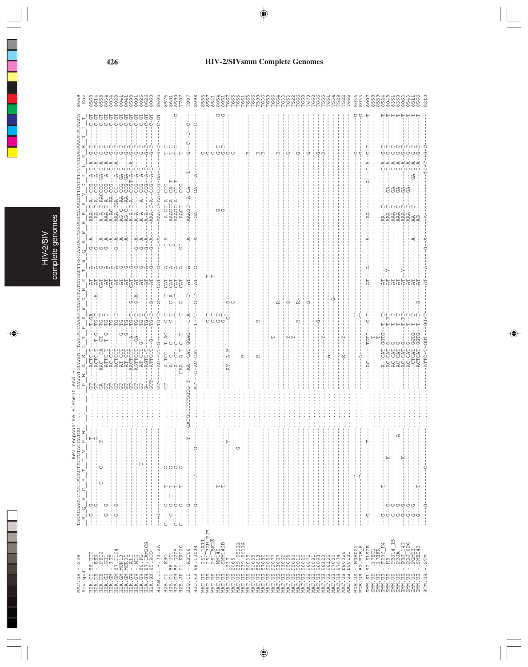|                                                                                                                                                                                                                                                                                                                                                                                                                                                                      |                                                                                                                                                                                                                                                                                                                                                                                                                                                                                   | end                                                                                                                  |                                                        |                                                                                                         |                                                                           |
|----------------------------------------------------------------------------------------------------------------------------------------------------------------------------------------------------------------------------------------------------------------------------------------------------------------------------------------------------------------------------------------------------------------------------------------------------------------------|-----------------------------------------------------------------------------------------------------------------------------------------------------------------------------------------------------------------------------------------------------------------------------------------------------------------------------------------------------------------------------------------------------------------------------------------------------------------------------------|----------------------------------------------------------------------------------------------------------------------|--------------------------------------------------------|---------------------------------------------------------------------------------------------------------|---------------------------------------------------------------------------|
| G<br>.23<br>$\frac{1}{2}$<br>Env gp41<br><b>IAC.US</b>                                                                                                                                                                                                                                                                                                                                                                                                               | TAGACAAGTCTGCCACACTACTGTACCA<br>TAGACAAGTCTGCCACACTACTGTACCA<br>P R Q V C H T T V P<br>$\vdash$<br>$\circ$                                                                                                                                                                                                                                                                                                                                                                        | 凹<br>$\square$<br>Z<br>$\geq$<br>$\mathbf{\Omega}$<br>$\mathbb H$<br>CO<br>К<br>z                                    | $\approx$<br>凹<br>Z<br>囸<br>$\circ$<br>$\approx$<br>F- | $\simeq$<br>凹<br>凹<br>ᆞ<br>国<br>$\Box$                                                                  | 559<br>Env                                                                |
|                                                                                                                                                                                                                                                                                                                                                                                                                                                                      | 투<br>$\mathbf{I}$<br>1<br>J.<br>$\mathsf I$<br>$\mathsf I$<br>$\mathbf I$<br>$\mathbf{I}$<br>$\mathbf{I}$<br>$\mathbf{I}$<br>ტ – - ე –<br>$\mathsf I$                                                                                                                                                                                                                                                                                                                             | $-AT -$<br>$-GB$<br>Н<br>ACTC-<br>5                                                                                  | К<br>ひ<br>К                                            | 텅<br>Ó<br>U<br>U<br>U<br>$P$ $A$ $ C$ $ A$                                                              |                                                                           |
| $\begin{array}{l} \text{L2A}, \text{CL}, \text{88}, \text{UC2}\\ \text{L2A}, \text{DB}, \text{-} \text{EBIM}\\ \text{L2B}, \text{CB}, \text{-} \text{EBIM}\\ \text{L2A}, \text{CH}, \text{-} \text{LST}\\ \text{L2A}, \text{CH}, \text{-} \text{LST}\\ \text{L2A}, \text{CH}, \text{-} \text{LST}\\ \text{L2B}, \text{CH}, \text{ICMI} \\ \text{L2B}, \text{CH}, \text{ICMI} \\ \text{L2B}, \text{CH}, \text{-} \text{ML} \\ \text{L2B}, \text{CH}, \text{-} \text{$ | $\begin{array}{c} 1 & 0 \\ 0 & -1 \\ 0 & 1 \end{array}$<br>÷<br>I.<br>$\mathsf I$<br>$\mathbf{I}$<br>$\mathbf{I}$<br>$\mathbf I$<br>ţ<br>f,<br>t<br>I.<br>$\,$<br>$\frac{1}{4}$<br>$-1 - 1$<br>I.                                                                                                                                                                                                                                                                                 | $\begin{bmatrix} 1 & 1 \\ 1 & 1 \\ 1 & 1 \end{bmatrix}$<br>$\overline{A}$<br>U<br>PG-DP<br>J.<br>$T - G$<br>۳<br>ACT | ひ                                                      | 5<br>U<br><u>ひひひひひひひ</u><br>ひ ひ ひ<br>$\overline{A}$ –                                                   | FORDOOOODOOOOOO<br>CHRWWAA400UUA<br>CHRWWAA6HWA                           |
|                                                                                                                                                                                                                                                                                                                                                                                                                                                                      | $\frac{1}{4}$<br>$\bar{1}$<br>Ħ<br>$-\frac{c}{1}$<br>$\,$ $\,$<br>$\,$<br>$\mathbf{I}$<br>$\overline{\phantom{a}}$<br>$\mathbf{I}$                                                                                                                                                                                                                                                                                                                                                | Y<br>$\overline{\phantom{a}}$<br>5<br>$-CA$<br>AAC.                                                                  | 444444<br>ひ<br>みひみみみひひ                                 | 5<br>U<br>U                                                                                             |                                                                           |
|                                                                                                                                                                                                                                                                                                                                                                                                                                                                      | $\mathbf{I}$<br>$\mathbf{I}$<br>$\,$ I<br>ł<br>$\mathbf{I}$<br>$\mathbf{I}$<br>$\mathsf I$<br>Ť<br>$\mathbf I$<br>$\mathsf I$<br>Ť<br>ł.<br>$\mathbf I$<br>$\mathsf I$<br>$\,$ I<br>$\frac{1}{4}$<br>J.<br>$\mathbf I$<br>$\blacksquare$<br>$\dot{q}$<br>-                                                                                                                                                                                                                        | $\mathbb{A}^{\mathbb{T}}$<br>ひ<br>ひ<br>н<br>$\,$ I<br>무<br>÷<br>$AC-C$                                               | ひ                                                      | 5<br>رج<br>U<br>ひひひひ<br>Ŕ,<br>$\mathbf{I}$<br>Ċ<br>C<br>C<br>$P$ $A$ $A$ $ C$ $ A$                      |                                                                           |
|                                                                                                                                                                                                                                                                                                                                                                                                                                                                      | $\mathbf{I}$<br>$\,$ l<br>$\frac{1}{4}$<br>$\mathsf I$<br>$\overline{\phantom{a}}$<br>$\mathbf{I}$<br>$\sf I$<br>$\frac{1}{4}$<br>$\mathsf I$<br>$\blacksquare$<br>$\frac{1}{4}$<br>$-\frac{6}{1}$<br>$\dot{q}$<br>$\,$ $\,$                                                                                                                                                                                                                                                      | U<br>U<br>$\mathbf{I}$<br>ACTC                                                                                       | ひ                                                      | 5<br>$\begin{array}{l} \text{A-AC--AA-CCG}\\ \text{AAA-CGA--CC--} \end{array}$                          |                                                                           |
|                                                                                                                                                                                                                                                                                                                                                                                                                                                                      | J.<br>$\frac{1}{1}$<br>$\frac{1}{1}$<br>$\frac{1}{1}$<br>ţ<br>J.<br>٠<br>I,                                                                                                                                                                                                                                                                                                                                                                                                       | $CAT - TAT - TAT - TAT - T$<br>ひ<br>ひ<br>$-AT - CCT$<br>$-AT - CCT$                                                  |                                                        | 5<br>τı<br>AAA - CGA - - CC - - - A - C<br>AG - C - - AA - CCG - GA - C<br>AG - C - - AA - CCG - GA - C |                                                                           |
|                                                                                                                                                                                                                                                                                                                                                                                                                                                                      | f,<br>$\frac{1}{1}$<br>ţ<br>f,<br>$\frac{1}{4}$<br>f,<br>$\frac{1}{1}$<br>$\mathbf{I}$                                                                                                                                                                                                                                                                                                                                                                                            | AT<br>ひ<br>$\frac{1}{\sqrt{2}}$                                                                                      |                                                        | 5<br>O<br>U<br>ひ                                                                                        |                                                                           |
|                                                                                                                                                                                                                                                                                                                                                                                                                                                                      | $\,$ I                                                                                                                                                                                                                                                                                                                                                                                                                                                                            | CAT<br>ひ<br>무먼<br>AACTCC.                                                                                            | ひ                                                      | 5<br>↻<br>ひ<br>$\mathbb{A}_-$<br>CCGT-A-C                                                               |                                                                           |
|                                                                                                                                                                                                                                                                                                                                                                                                                                                                      | $\mathbf{I}$<br>$\overline{\phantom{a}}$<br>$\frac{1}{2}$<br>$\mathsf I$<br>$\mathbf{I}$<br>$\frac{1}{4}$<br>$\mathbf{I}$<br>$\mathsf I$                                                                                                                                                                                                                                                                                                                                          | RT.<br>$-4$<br>ひ<br>$T - 5T$<br>$T - 5T$<br>AGTTCCT                                                                  | $\triangle$ $\triangle$<br>$\,$ I<br>ひ<br><b>ひ ひ</b>   | 5<br>Ó<br>↻<br>ひ<br><b>UUU</b><br>$-4$<br>ن<br>ט                                                        |                                                                           |
|                                                                                                                                                                                                                                                                                                                                                                                                                                                                      | $\mathbf{I}$<br>J.<br>J.<br>$\mathsf I$<br>$\mathbf{I}$<br>$\mathbf{I}$<br>$\frac{1}{1}$<br>Ţ<br>$\frac{1}{1}$<br>$\mathbf{I}$<br>$\mathbf{I}$<br>$\frac{1}{1}$<br>÷<br>$\frac{1}{4}$<br>$\frac{1}{1}$<br>1<br>$\mathbf I$<br>$\mathbf I$                                                                                                                                                                                                                                         | AT.<br>TG-T<br>AT-CCI<br>AGTC-                                                                                       | $A - A$<br>$\mathsf I$<br>ひ<br>ひ<br>К                  | 5<br>5<br>Ü<br>U<br>↻<br>U<br>ひ<br>ひ<br>$-4$<br>Ċ<br>C<br>C<br>せひひ                                      |                                                                           |
|                                                                                                                                                                                                                                                                                                                                                                                                                                                                      | $\mathbf{I}$<br>j<br>$\begin{array}{c} 1 \\ 1 \\ 1 \\ 1 \end{array}$<br>$\frac{1}{1}$<br>$\overline{\phantom{a}}$<br>J.<br>$\frac{1}{4}$<br>J.<br>$\frac{1}{1}$<br>J.<br>$\frac{1}{1}$<br>٠<br>$\mathsf I$<br>$\,$ $\,$                                                                                                                                                                                                                                                           | AТ<br>ひ<br>U<br>U<br>ひ<br>ATTCC1                                                                                     | AAA.<br>$-4$<br>ひ<br>ひ                                 | 5<br>U<br>ひ<br>U<br><b>CCC</b><br>$-$ C – A                                                             |                                                                           |
| H2AB. CI. - . 7312A                                                                                                                                                                                                                                                                                                                                                                                                                                                  | 먹                                                                                                                                                                                                                                                                                                                                                                                                                                                                                 | CAT<br>ひ<br>٣<br>Ġ<br>먹<br>$AC - CT$<br>5                                                                            | К<br>ΰ<br>ひ                                            | 5<br>U<br>ひ<br>U<br>$-6A$<br>ĊC.<br>AAA-C-AA                                                            | $\overline{6}$<br>$\infty$                                                |
|                                                                                                                                                                                                                                                                                                                                                                                                                                                                      |                                                                                                                                                                                                                                                                                                                                                                                                                                                                                   |                                                                                                                      |                                                        |                                                                                                         |                                                                           |
|                                                                                                                                                                                                                                                                                                                                                                                                                                                                      | $\,$ l<br>$\mathbf{I}$<br>$\,$ l<br>ပုံ ပုံ<br>1<br>$\mathbf I$<br>부분<br>Ť<br>п.<br>ひ<br>$-5 - 9 - 9$<br>T<br>$\blacksquare$<br>$\overline{\phantom{a}}$<br>↻                                                                                                                                                                                                                                                                                                                     | CAT<br>CAT<br>ΗR<br>ά<br>U<br>U<br>ひ<br>$-AG$<br>Н<br>O<br>$A - TCC$<br>U<br>-                                       | К<br>ひひひ<br>K.<br>К                                    | ↻<br>↻<br>⊢<br>$A-GC - A$<br>AAAGCGA                                                                    | 509<br>509<br>$\infty$ $\infty$ $\infty$                                  |
|                                                                                                                                                                                                                                                                                                                                                                                                                                                                      | J.<br>J<br>$\frac{1}{4}$<br>f,<br>$\frac{1}{4}$<br>$\dot{\phi}$<br>J.<br>t<br>H-<br>Ť<br>$\frac{c}{1}$<br>J.<br>J<br>U                                                                                                                                                                                                                                                                                                                                                            | CAT<br>Н<br>1<br>⊢<br>◡<br>Ω.<br>J,<br>$\triangleleft$ $\triangleleft$                                               | К                                                      | C<br>⊢<br>AAAGC-A                                                                                       | $\bar{\sigma}$<br>$\circ$                                                 |
| H2B.CI.-.HHO<br>H2B.CI.88.UC1<br>H2B.CH.86.D205<br>H2B.JP.01.KR020                                                                                                                                                                                                                                                                                                                                                                                                   | t<br>$\frac{1}{\sqrt{2}}$<br>F<br>--<br>$\frac{1}{1}$<br>$\frac{c}{1}$<br>$\,$ $\,$<br>$\mathbf{I}$<br>↻                                                                                                                                                                                                                                                                                                                                                                          | CAT<br>U<br>◡<br>턱<br>U<br>$-A-T$<br>$\frac{1}{1}$<br>CAA                                                            | -AACC<br>U<br>Ū<br>К                                   |                                                                                                         | 770'                                                                      |
| H2G.CI.-.ABT96                                                                                                                                                                                                                                                                                                                                                                                                                                                       | H-DHUDHHUUUDHAU<br>л.<br>$\blacksquare$<br>$\mathbf{I}$<br>$\frac{1}{\sqrt{2}}$<br>$\mathbf{I}$                                                                                                                                                                                                                                                                                                                                                                                   | $-AT -$<br>H<br>Ą<br>Ü<br>-CAT-GGAG<br>$-AA-$                                                                        | AAAGC<br>К<br>К                                        | U<br>C.<br>↻<br>ť.<br>G<br>$\dot{A}$                                                                    | 798                                                                       |
| H2U. FR. 96.12034                                                                                                                                                                                                                                                                                                                                                                                                                                                    | $\sigma_{-}^{+}$<br>$\mathbf I$<br>$\mathbf{I}$<br>$\mathbf{I}$<br>J.<br>÷<br> <br>$\mathbf{I}$<br>î.<br>$\mathbf{I}$<br>$\,$<br>Ť<br>$\frac{1}{\sqrt{2}}$<br>٠<br>$\mathbf I$                                                                                                                                                                                                                                                                                                    | $-AT -$<br>Ą<br>ά<br>Н<br>$C - AC - CAT$<br>$\mathbb A\mathbb T$                                                     | S<br>К<br>ひ                                            | C<br>К<br>$\mathbb{S}$                                                                                  | 809                                                                       |
|                                                                                                                                                                                                                                                                                                                                                                                                                                                                      |                                                                                                                                                                                                                                                                                                                                                                                                                                                                                   |                                                                                                                      |                                                        |                                                                                                         |                                                                           |
| 3.-.251_1A11<br>3.-.251_32H_PJ5<br>3.-.251_BK28<br>MAC.US.<br>MAC.US.<br>MAC.US.                                                                                                                                                                                                                                                                                                                                                                                     | J.<br>$\,$<br>$\mathbf{I}$<br>$\sf I$<br>$\mathbf{I}$<br>J.<br>$\mathbf{I}$<br>п<br>$\frac{1}{4}$<br>$\frac{1}{1}$<br>I<br>f,<br>$\,$<br>$\,$ I<br>f,<br>$\mathbf{I}$<br>$\frac{1}{1}$<br>$\mathbf{I}$<br>$\,$<br>1<br>$\mathsf I$<br>$\,$                                                                                                                                                                                                                                        | Н<br>U<br>ひ                                                                                                          |                                                        |                                                                                                         | மம<br><u>ທີ່ທີ່</u><br>$\infty$ $\infty$                                  |
|                                                                                                                                                                                                                                                                                                                                                                                                                                                                      | $\mathbf{I}$<br>$\mathbf I$<br>$\,$ I<br>$\frac{1}{4}$<br>ţ<br>Ť<br>Ì<br>$\frac{1}{4}$<br>$\mathbf I$<br>$\mathbf{I}$<br>$\mathbf{I}$<br>$\frac{1}{4}$<br>J.<br>$\mathbf I$                                                                                                                                                                                                                                                                                                       | ひ                                                                                                                    |                                                        | てり                                                                                                      | ₩                                                                         |
|                                                                                                                                                                                                                                                                                                                                                                                                                                                                      | $\mathbf I$<br>$\blacksquare$<br>$\mathsf I$<br>$\frac{1}{2}$<br>$\mathbf{I}$<br>$\mathbf{I}$<br>$\mathbf{I}$                                                                                                                                                                                                                                                                                                                                                                     | 부<br>ひ                                                                                                               |                                                        | U<br>τŋ                                                                                                 | $\circ$                                                                   |
|                                                                                                                                                                                                                                                                                                                                                                                                                                                                      | - 1<br>$\overline{\phantom{a}}$<br>$\begin{array}{c} \rule{0.2cm}{0.15mm} \rule{0.2cm}{0.15mm} \rule{0.2cm}{0.15mm} \rule{0.2cm}{0.15mm} \rule{0.2cm}{0.15mm} \rule{0.2cm}{0.15mm} \rule{0.2cm}{0.15mm} \rule{0.2cm}{0.15mm} \rule{0.2cm}{0.15mm} \rule{0.2cm}{0.15mm} \rule{0.2cm}{0.15mm} \rule{0.2cm}{0.15mm} \rule{0.2cm}{0.15mm} \rule{0.2cm}{0.15mm} \rule{0.2cm}{0.15mm} \rule{$<br>$\frac{1}{4}$<br>$\,$<br>$\frac{1}{2}$<br>j<br>--------<br>f,<br>$\frac{1}{4}$<br>$\,$ | 5<br>ひ                                                                                                               |                                                        | C<br><b>ひ ひ</b><br>τ٢                                                                                   | மம<br>$\infty$                                                            |
|                                                                                                                                                                                                                                                                                                                                                                                                                                                                      | $-X - - - - - - -$<br>$\frac{1}{1}$<br>$\frac{1}{1}$<br>$\frac{1}{1}$<br>Î                                                                                                                                                                                                                                                                                                                                                                                                        | ひ<br>Ġ<br>$- A - M$<br>RY                                                                                            |                                                        | ひ                                                                                                       |                                                                           |
|                                                                                                                                                                                                                                                                                                                                                                                                                                                                      | $\mathbf{I}$<br>$\,$ I<br>$\,$<br>$\mathbf{I}$<br>$\frac{1}{1}$<br>$\frac{1}{1}$<br>$\frac{1}{1}$<br>$\frac{1}{1}$                                                                                                                                                                                                                                                                                                                                                                | ひ                                                                                                                    |                                                        | ℧                                                                                                       |                                                                           |
|                                                                                                                                                                                                                                                                                                                                                                                                                                                                      | $-5 - 1$<br>$\frac{1}{1}$                                                                                                                                                                                                                                                                                                                                                                                                                                                         |                                                                                                                      |                                                        |                                                                                                         |                                                                           |
|                                                                                                                                                                                                                                                                                                                                                                                                                                                                      | ٠<br>٠<br>1<br>٠<br>1<br>$\mathbf I$                                                                                                                                                                                                                                                                                                                                                                                                                                              | R                                                                                                                    |                                                        |                                                                                                         |                                                                           |
|                                                                                                                                                                                                                                                                                                                                                                                                                                                                      | J.<br>1                                                                                                                                                                                                                                                                                                                                                                                                                                                                           |                                                                                                                      |                                                        |                                                                                                         |                                                                           |
|                                                                                                                                                                                                                                                                                                                                                                                                                                                                      | $\mathbf{I}$<br>t<br>Í<br>t<br>.<br>ı<br>$\frac{1}{1}$<br>$\,$<br>$\frac{1}{1}$<br>٠<br>J                                                                                                                                                                                                                                                                                                                                                                                         | $\alpha$                                                                                                             |                                                        | œ                                                                                                       |                                                                           |
|                                                                                                                                                                                                                                                                                                                                                                                                                                                                      | $\mathbf{I}$<br>$\,$ I                                                                                                                                                                                                                                                                                                                                                                                                                                                            |                                                                                                                      |                                                        |                                                                                                         |                                                                           |
|                                                                                                                                                                                                                                                                                                                                                                                                                                                                      | $\frac{1}{1}$<br>I                                                                                                                                                                                                                                                                                                                                                                                                                                                                |                                                                                                                      |                                                        |                                                                                                         |                                                                           |
|                                                                                                                                                                                                                                                                                                                                                                                                                                                                      | J,                                                                                                                                                                                                                                                                                                                                                                                                                                                                                |                                                                                                                      |                                                        |                                                                                                         |                                                                           |
|                                                                                                                                                                                                                                                                                                                                                                                                                                                                      | $\frac{1}{1}$                                                                                                                                                                                                                                                                                                                                                                                                                                                                     |                                                                                                                      |                                                        |                                                                                                         |                                                                           |
|                                                                                                                                                                                                                                                                                                                                                                                                                                                                      |                                                                                                                                                                                                                                                                                                                                                                                                                                                                                   |                                                                                                                      |                                                        |                                                                                                         |                                                                           |
|                                                                                                                                                                                                                                                                                                                                                                                                                                                                      | $\mathbf{I}$<br>٠<br>٠                                                                                                                                                                                                                                                                                                                                                                                                                                                            | ひ                                                                                                                    |                                                        |                                                                                                         |                                                                           |
|                                                                                                                                                                                                                                                                                                                                                                                                                                                                      | J.<br>$\frac{1}{1}$<br>$\mathbf{I}$<br>٠<br>$\overline{\phantom{a}}$                                                                                                                                                                                                                                                                                                                                                                                                              | œ<br>α                                                                                                               |                                                        |                                                                                                         |                                                                           |
|                                                                                                                                                                                                                                                                                                                                                                                                                                                                      | $\frac{1}{1}$<br>J.                                                                                                                                                                                                                                                                                                                                                                                                                                                               |                                                                                                                      |                                                        |                                                                                                         |                                                                           |
|                                                                                                                                                                                                                                                                                                                                                                                                                                                                      | $\overline{\phantom{a}}$                                                                                                                                                                                                                                                                                                                                                                                                                                                          |                                                                                                                      |                                                        |                                                                                                         |                                                                           |
|                                                                                                                                                                                                                                                                                                                                                                                                                                                                      | İ<br>$\begin{array}{c} \rule{0.2cm}{0.15mm} \rule{0.2cm}{0.15mm} \rule{0.2cm}{0.15mm} \rule{0.2cm}{0.15mm} \rule{0.2cm}{0.15mm} \rule{0.2cm}{0.15mm} \rule{0.2cm}{0.15mm} \rule{0.2cm}{0.15mm} \rule{0.2cm}{0.15mm} \rule{0.2cm}{0.15mm} \rule{0.2cm}{0.15mm} \rule{0.2cm}{0.15mm} \rule{0.2cm}{0.15mm} \rule{0.2cm}{0.15mm} \rule{0.2cm}{0.15mm} \rule{$<br>I,                                                                                                                   |                                                                                                                      |                                                        |                                                                                                         |                                                                           |
|                                                                                                                                                                                                                                                                                                                                                                                                                                                                      | J<br>J.                                                                                                                                                                                                                                                                                                                                                                                                                                                                           | ひ                                                                                                                    |                                                        |                                                                                                         |                                                                           |
|                                                                                                                                                                                                                                                                                                                                                                                                                                                                      | $\frac{1}{1}$                                                                                                                                                                                                                                                                                                                                                                                                                                                                     |                                                                                                                      |                                                        |                                                                                                         |                                                                           |
|                                                                                                                                                                                                                                                                                                                                                                                                                                                                      |                                                                                                                                                                                                                                                                                                                                                                                                                                                                                   |                                                                                                                      |                                                        |                                                                                                         | 6651486665                                                                |
|                                                                                                                                                                                                                                                                                                                                                                                                                                                                      | ÷<br>I<br>I.<br>$\frac{1}{1}$<br>$\frac{1}{1}$<br>Ť<br>$\frac{1}{1}$                                                                                                                                                                                                                                                                                                                                                                                                              |                                                                                                                      |                                                        |                                                                                                         |                                                                           |
|                                                                                                                                                                                                                                                                                                                                                                                                                                                                      | $\mathbf{I}$<br>Ť<br>$\mathbf I$<br>$\frac{1}{1}$<br>$\frac{1}{4}$<br>$\frac{1}{1}$<br>f,                                                                                                                                                                                                                                                                                                                                                                                         | $\approx$                                                                                                            |                                                        |                                                                                                         |                                                                           |
|                                                                                                                                                                                                                                                                                                                                                                                                                                                                      | $\blacksquare$<br>$\blacksquare$<br>$\frac{1}{1}$<br>$\mathbf{I}$                                                                                                                                                                                                                                                                                                                                                                                                                 |                                                                                                                      |                                                        |                                                                                                         |                                                                           |
| $\frac{\text{MNE}}{\text{MNE}}\cdot\text{US}\cdot\text{S2}\cdot\text{MNE}\cdot\text{S}$                                                                                                                                                                                                                                                                                                                                                                              | $\mathbf{I}$<br>턱<br>$\mathbf{I}$                                                                                                                                                                                                                                                                                                                                                                                                                                                 |                                                                                                                      |                                                        | ζŋ                                                                                                      | 03.                                                                       |
|                                                                                                                                                                                                                                                                                                                                                                                                                                                                      | $\overline{\phantom{a}}$<br>$\mathbf{I}$<br>$-$ - T $-$ - $  \,$<br>$\frac{1}{4}$<br>$\mathbf{I}$<br>$\overline{\phantom{a}}$<br>п<br>$\overline{\phantom{a}}$                                                                                                                                                                                                                                                                                                                    |                                                                                                                      |                                                        |                                                                                                         | $\infty$                                                                  |
| SMM. SL. 92. SL92B<br>SMM. US. - .17EC1<br>SMM. US. - .17EPR<br>SMM. US. - .F236_H4<br>SMM. US. - .H9                                                                                                                                                                                                                                                                                                                                                                | $\blacksquare$<br>$\frac{1}{1}$<br>J.<br>J.<br>f,<br>$\mathbf I$<br>J.<br>J.<br>$\frac{1}{\sqrt{2}}$                                                                                                                                                                                                                                                                                                                                                                              | U<br>ひ<br>TGTC<br>Õ.<br>K,                                                                                           | Ã                                                      | U<br>ひ<br>$-4$<br>U<br>K,                                                                               | $\infty$                                                                  |
|                                                                                                                                                                                                                                                                                                                                                                                                                                                                      | $\mathbf{I}$<br>-<br>$\mathsf I$<br>J.<br>$\mathbf{I}$<br>$\mathbf{I}$<br>-<br>$\,$ I                                                                                                                                                                                                                                                                                                                                                                                             |                                                                                                                      |                                                        |                                                                                                         |                                                                           |
| H4                                                                                                                                                                                                                                                                                                                                                                                                                                                                   | $\mathbf{I}$<br>٠<br>$-1$ - $T$ - $-$<br>$\mathbf{I}$<br>J.                                                                                                                                                                                                                                                                                                                                                                                                                       | e<br>じけい<br>ŏ<br>'<br>CAT                                                                                            | AA                                                     | ひ                                                                                                       |                                                                           |
|                                                                                                                                                                                                                                                                                                                                                                                                                                                                      | I.<br>-------<br>$\,$ I<br>ローー<br>י י י י                                                                                                                                                                                                                                                                                                                                                                                                                                         | AT.<br>$-RC$<br>ပု                                                                                                   | AAA<br>⋗                                               | ひひひひ<br>ひ                                                                                               |                                                                           |
| LO<br>$\frac{1}{4}$<br>SMM.US                                                                                                                                                                                                                                                                                                                                                                                                                                        | J.<br>J.<br>ï<br>J.<br>ロー                                                                                                                                                                                                                                                                                                                                                                                                                                                         | AT<br>U<br>ь<br>ಲ                                                                                                    | AAA                                                    | ひ                                                                                                       |                                                                           |
| SMM.US                                                                                                                                                                                                                                                                                                                                                                                                                                                               | Ť<br>$\,$<br>J.<br>J.<br>$\overline{1}$<br>$\overline{\phantom{a}}$<br>$\frac{c}{1}$<br>$\frac{c}{1}$<br>$\mathbf{I}$                                                                                                                                                                                                                                                                                                                                                             | Y<br>무                                                                                                               | AAA.                                                   | ひ                                                                                                       |                                                                           |
| $\omega$<br>; - : PBJ14_1<br>3: - : PBJA<br>3: - : PBJ_143<br>3: - : PBJ_6P6<br>SMM. US.<br>SMM. US.<br>SMM. US.                                                                                                                                                                                                                                                                                                                                                     | Ĵ.<br>$  K$<br>-<br>$\frac{1}{\sqrt{2}}$<br>- 11<br>ウ ウ                                                                                                                                                                                                                                                                                                                                                                                                                           | -RC<br>U<br>-AC-CAT-<br>-AC-CAT-<br>-AC-CAT-<br>-AC-CAT-                                                             | AAA                                                    | υU<br><b>ひ ひ</b><br>OOOOOOO<br>Taqaada<br><b>SSSSS</b><br>ひひひひひひ                                        |                                                                           |
|                                                                                                                                                                                                                                                                                                                                                                                                                                                                      | I<br>J.<br>$\blacksquare$<br>J.<br>1<br>f,<br>I<br>J.<br>$\frac{1}{\sqrt{2}}$<br>$\,$ $\,$                                                                                                                                                                                                                                                                                                                                                                                        | ℧                                                                                                                    | AAA                                                    |                                                                                                         |                                                                           |
| .SME543<br>- PGM53<br>$\cdot$<br>SMM.US                                                                                                                                                                                                                                                                                                                                                                                                                              | J<br>J.<br>t<br>t<br>J.<br>$\mathfrak l$<br>J.<br>$-1$<br>ო<br> <br> <br>$\frac{1}{\sqrt{2}}$<br>먹                                                                                                                                                                                                                                                                                                                                                                                | じけじ<br>CTCAI<br><b>CTCA</b>                                                                                          |                                                        | U<br>ひ<br>C<br>돊                                                                                        | O N N N O W W O N N N<br>O N N V 4 N N A 4 H N<br>O N N V 4 N N O W W H N |
| ×                                                                                                                                                                                                                                                                                                                                                                                                                                                                    |                                                                                                                                                                                                                                                                                                                                                                                                                                                                                   |                                                                                                                      |                                                        |                                                                                                         |                                                                           |
| STM<br><b>STM</b>                                                                                                                                                                                                                                                                                                                                                                                                                                                    |                                                                                                                                                                                                                                                                                                                                                                                                                                                                                   |                                                                                                                      |                                                        |                                                                                                         |                                                                           |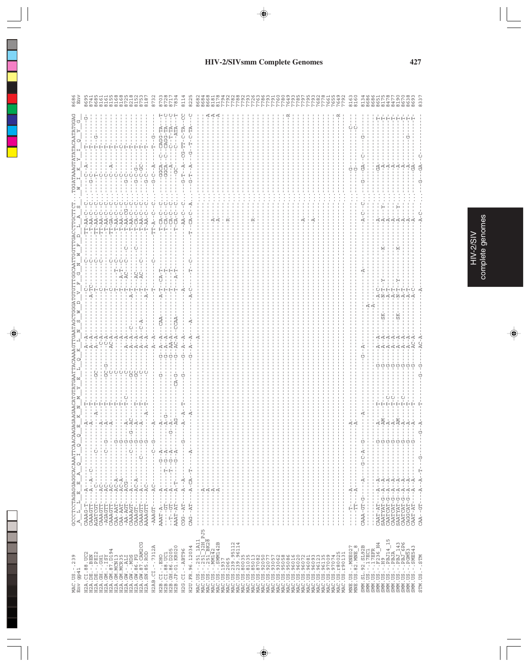|  | í<br>ర్<br>⋍<br>2 |
|--|-------------------|
|--|-------------------|

| MAC.US.-.239<br>Env 9p41                                                                                                                                                                                                                                                                                                                                                     | GCCCTCCTAGAGGAGCACAAATTCAACA<br>A L L E E A Q I Q (<br>$\Box$                                                                                                                                                                                                                                                                                                                                                                                   |                              | AGAGAACAACATGTATGAATTACAAAGTTGAATAGGAATGTGT<br>CO.<br>z                                                                                                                                                                                                                                                                                                                                                                                                                                                   | s                                                                                   | LUHHUUHHUUKUHHHUUHH           | TGGATAAAGTATATACAATATGGAG<br>$\circ$ | 868<br>En                                                                                                                                                                                                                                                                                                                 |
|------------------------------------------------------------------------------------------------------------------------------------------------------------------------------------------------------------------------------------------------------------------------------------------------------------------------------------------------------------------------------|-------------------------------------------------------------------------------------------------------------------------------------------------------------------------------------------------------------------------------------------------------------------------------------------------------------------------------------------------------------------------------------------------------------------------------------------------|------------------------------|-----------------------------------------------------------------------------------------------------------------------------------------------------------------------------------------------------------------------------------------------------------------------------------------------------------------------------------------------------------------------------------------------------------------------------------------------------------------------------------------------------------|-------------------------------------------------------------------------------------|-------------------------------|--------------------------------------|---------------------------------------------------------------------------------------------------------------------------------------------------------------------------------------------------------------------------------------------------------------------------------------------------------------------------|
|                                                                                                                                                                                                                                                                                                                                                                              | J.<br>л<br>$\frac{1}{1}$<br>CAAAG-T                                                                                                                                                                                                                                                                                                                                                                                                             |                              |                                                                                                                                                                                                                                                                                                                                                                                                                                                                                                           |                                                                                     |                               |                                      |                                                                                                                                                                                                                                                                                                                           |
|                                                                                                                                                                                                                                                                                                                                                                              | ٠<br>$- - A - -$<br>CAAAGTT                                                                                                                                                                                                                                                                                                                                                                                                                     | К                            | К                                                                                                                                                                                                                                                                                                                                                                                                                                                                                                         | н                                                                                   |                               | U<br>ひ                               |                                                                                                                                                                                                                                                                                                                           |
| $\begin{array}{l} \rm I2A,\,CL,\,88\,,\,UC2\\ \rm I2A,\,DB--IBEN\\ \rm I2A,\,GB--IBIZ\\ \rm I2A,\,GH--GB1\\ \rm I2A,\,CH.--ISX\\ \rm I2A,\,CH.--ISX\\ \rm I2A,\,CH.~ICX\\ \rm I2A,\,CH.~ICX\\ \rm I2A,\,CH.~ICX\\ \rm I2A,\,CH.~ICX\\ \rm I2A,\,CH.~ICX\\ \rm I2A,\,CH.~ICX\\ \rm I2A,\,CH.~ICX\\ \rm I2A,\,CH.~ICX\\ \rm I2A,\,CH.~ICX\\ \rm I2A,\,CH.~ICX\\ \rm$           | $\begin{split} \frac{1}{2} \frac{1}{2} \frac{1}{2} \frac{1}{2} \frac{1}{2} \frac{1}{2} \frac{1}{2} \frac{1}{2} \frac{1}{2} \frac{1}{2} \frac{1}{2} \frac{1}{2} \frac{1}{2} \frac{1}{2} \frac{1}{2} \frac{1}{2} \frac{1}{2} \frac{1}{2} \frac{1}{2} \frac{1}{2} \frac{1}{2} \frac{1}{2} \frac{1}{2} \frac{1}{2} \frac{1}{2} \frac{1}{2} \frac{1}{2} \frac{1}{2} \frac{1}{2} \frac{1}{2} \frac{1}{$<br>AGATCGT                                    | E                            | $\triangle$                                                                                                                                                                                                                                                                                                                                                                                                                                                                                               | U                                                                                   |                               | U<br>$\vdash$                        |                                                                                                                                                                                                                                                                                                                           |
|                                                                                                                                                                                                                                                                                                                                                                              |                                                                                                                                                                                                                                                                                                                                                                                                                                                 |                              | U                                                                                                                                                                                                                                                                                                                                                                                                                                                                                                         |                                                                                     | $-AA$                         |                                      |                                                                                                                                                                                                                                                                                                                           |
|                                                                                                                                                                                                                                                                                                                                                                              |                                                                                                                                                                                                                                                                                                                                                                                                                                                 |                              | U                                                                                                                                                                                                                                                                                                                                                                                                                                                                                                         |                                                                                     | ◡<br>$-AA$<br>н               |                                      |                                                                                                                                                                                                                                                                                                                           |
|                                                                                                                                                                                                                                                                                                                                                                              | CAAAGTT-<br>-AGAAGTT-<br>CAAAGTT-                                                                                                                                                                                                                                                                                                                                                                                                               |                              | AC                                                                                                                                                                                                                                                                                                                                                                                                                                                                                                        | Ο                                                                                   | ↻<br>$-6A$                    | $-4$<br>U                            |                                                                                                                                                                                                                                                                                                                           |
|                                                                                                                                                                                                                                                                                                                                                                              | CAA-AAT                                                                                                                                                                                                                                                                                                                                                                                                                                         |                              | K.                                                                                                                                                                                                                                                                                                                                                                                                                                                                                                        | U<br>부                                                                              | ∪<br>$-AA$<br>н               | U                                    |                                                                                                                                                                                                                                                                                                                           |
|                                                                                                                                                                                                                                                                                                                                                                              | CAA-AAT-<br>-AA-AGT-<br>CAAAAGT-                                                                                                                                                                                                                                                                                                                                                                                                                |                              | A                                                                                                                                                                                                                                                                                                                                                                                                                                                                                                         | $AC-$                                                                               | ↻<br>AA.<br>н                 | <b>UUU</b>                           |                                                                                                                                                                                                                                                                                                                           |
|                                                                                                                                                                                                                                                                                                                                                                              |                                                                                                                                                                                                                                                                                                                                                                                                                                                 |                              | υU                                                                                                                                                                                                                                                                                                                                                                                                                                                                                                        | FЕ                                                                                  | Ū<br>AA<br>н                  | ひ                                    |                                                                                                                                                                                                                                                                                                                           |
|                                                                                                                                                                                                                                                                                                                                                                              |                                                                                                                                                                                                                                                                                                                                                                                                                                                 |                              | O                                                                                                                                                                                                                                                                                                                                                                                                                                                                                                         |                                                                                     | ↻<br>AA<br>н                  |                                      |                                                                                                                                                                                                                                                                                                                           |
|                                                                                                                                                                                                                                                                                                                                                                              | CAAAGT                                                                                                                                                                                                                                                                                                                                                                                                                                          | Е<br>J.                      |                                                                                                                                                                                                                                                                                                                                                                                                                                                                                                           | U<br>Q.<br>⊢                                                                        | $-CA$<br>н                    | ロー<br>$\cup$<br>ά                    |                                                                                                                                                                                                                                                                                                                           |
|                                                                                                                                                                                                                                                                                                                                                                              | CAAAGTT                                                                                                                                                                                                                                                                                                                                                                                                                                         |                              | $C - A$<br>AAAA                                                                                                                                                                                                                                                                                                                                                                                                                                                                                           | AC<br>Н                                                                             | $-AA$<br>н                    | ပု<br>$\cup$                         |                                                                                                                                                                                                                                                                                                                           |
|                                                                                                                                                                                                                                                                                                                                                                              | <b>AAAAGTT</b>                                                                                                                                                                                                                                                                                                                                                                                                                                  |                              |                                                                                                                                                                                                                                                                                                                                                                                                                                                                                                           | н<br>Ŕ,                                                                             | $-AA$                         | U<br>ひ                               |                                                                                                                                                                                                                                                                                                                           |
| $-.7312A$<br>H2AB.CI.                                                                                                                                                                                                                                                                                                                                                        | $\frac{1}{\sqrt{2}}$<br>U<br>÷<br>÷<br>-AAAGT-                                                                                                                                                                                                                                                                                                                                                                                                  |                              |                                                                                                                                                                                                                                                                                                                                                                                                                                                                                                           |                                                                                     | $-4$                          | ひ                                    | 73<br>$\infty$                                                                                                                                                                                                                                                                                                            |
|                                                                                                                                                                                                                                                                                                                                                                              | AAAT-A                                                                                                                                                                                                                                                                                                                                                                                                                                          |                              |                                                                                                                                                                                                                                                                                                                                                                                                                                                                                                           | н                                                                                   | $\mathrel{\mathop{\boxplus}}$ |                                      |                                                                                                                                                                                                                                                                                                                           |
| H2B.CI.-. EHO<br>H2B.CI.88.UC1<br>H2B.CH.86.D205<br>H2B.JP.01.KR020                                                                                                                                                                                                                                                                                                          | ליטרים<br>קרוביו                                                                                                                                                                                                                                                                                                                                                                                                                                | ひ                            | К<br>ひ<br>ひ                                                                                                                                                                                                                                                                                                                                                                                                                                                                                               | ន់<br>⊢<br>Ā.                                                                       | CÃ<br>н                       | CAGG<br>↻<br>GGCA                    | $\infty$<br>$\begin{array}{c} 0.01 \\ 0.01 \\ 0.01 \\ 0.00 \\ 0.01 \\ 0.01 \\ 0.01 \\ 0.01 \\ 0.01 \\ 0.01 \\ 0.01 \\ 0.01 \\ 0.01 \\ 0.01 \\ 0.01 \\ 0.01 \\ 0.01 \\ 0.01 \\ 0.01 \\ 0.01 \\ 0.01 \\ 0.01 \\ 0.01 \\ 0.01 \\ 0.01 \\ 0.01 \\ 0.01 \\ 0.01 \\ 0.01 \\ 0.01 \\ 0.01 \\ 0.01 \\ 0.01 \\ 0.01 \\ 0.01 \\ 0.$ |
|                                                                                                                                                                                                                                                                                                                                                                              | $-150 - 150 - 150$                                                                                                                                                                                                                                                                                                                                                                                                                              | ΑA                           | Ą<br>Ů                                                                                                                                                                                                                                                                                                                                                                                                                                                                                                    | н                                                                                   | භී                            |                                      |                                                                                                                                                                                                                                                                                                                           |
| $\circ$                                                                                                                                                                                                                                                                                                                                                                      | AAAT-AT                                                                                                                                                                                                                                                                                                                                                                                                                                         | ÷                            | CCAA<br>К<br>$AC -$<br>ಕ<br>Ü<br>Š                                                                                                                                                                                                                                                                                                                                                                                                                                                                        | $A-T$<br>Н                                                                          | ↻<br>$\overline{c}$           | $-ATA$<br>9<br>C                     |                                                                                                                                                                                                                                                                                                                           |
| H2G.CI. - . ABT96                                                                                                                                                                                                                                                                                                                                                            | $- -A - -A - -$<br>$\mathbf{I}$<br>÷.<br>$CGG--AT$                                                                                                                                                                                                                                                                                                                                                                                              |                              | Ч,<br>Ġ                                                                                                                                                                                                                                                                                                                                                                                                                                                                                                   |                                                                                     |                               | E<br>ġ<br>$\mathbb H$<br>ಀೢಁ         | 811                                                                                                                                                                                                                                                                                                                       |
|                                                                                                                                                                                                                                                                                                                                                                              |                                                                                                                                                                                                                                                                                                                                                                                                                                                 | $-9 - -$                     |                                                                                                                                                                                                                                                                                                                                                                                                                                                                                                           |                                                                                     |                               |                                      |                                                                                                                                                                                                                                                                                                                           |
| H2U. FR. 96.12034                                                                                                                                                                                                                                                                                                                                                            | $CAG - -AT - -$                                                                                                                                                                                                                                                                                                                                                                                                                                 |                              | К<br>К<br>Ġ                                                                                                                                                                                                                                                                                                                                                                                                                                                                                               | U                                                                                   | రే                            | $\dot{\circ}$<br>턱<br>也<br>F<br>ပ္ပံ | 822                                                                                                                                                                                                                                                                                                                       |
|                                                                                                                                                                                                                                                                                                                                                                              | J.                                                                                                                                                                                                                                                                                                                                                                                                                                              |                              |                                                                                                                                                                                                                                                                                                                                                                                                                                                                                                           |                                                                                     |                               |                                      |                                                                                                                                                                                                                                                                                                                           |
| LN.<br>$\begin{small} &\texttt{M2.C. U3.1--21.1}\\ \texttt{M3.C. U5.1--32H}\\ \texttt{M4.C. U5.1--32H}\\ \texttt{M5.C. U5.1--32H}\\ \texttt{M5.C. U5.1--32H}\\ \texttt{M6.C. U5.2--32H}\\ \texttt{M7.C. U5.2--32H}\\ \texttt{M8.C. U5.2--32H}\\ \texttt{M9.C. U5.2--32H}\\ \texttt{M9.C. U5.2--32H}\\ \texttt{M9.C. U5.2--32H}\\ \texttt{M9.C. U5.2--32H}\\ \texttt{M9.C. U$ | $\mathbf I$                                                                                                                                                                                                                                                                                                                                                                                                                                     |                              |                                                                                                                                                                                                                                                                                                                                                                                                                                                                                                           |                                                                                     |                               |                                      | ששששה שלא היו ליידור ליידור שלא היו ליידור שלא היו ליידור שלא היו ליידור שלא היו ליידור ליידור ליידור ליידור ל<br>שמש היו ליידור ליידור ליידור ליידור ליידור ליידור ליידור ליידור ליידור ליידור ליידור ליידור ליידור ליידור לייד<br>$\infty$ $\infty$                                                                     |
|                                                                                                                                                                                                                                                                                                                                                                              |                                                                                                                                                                                                                                                                                                                                                                                                                                                 |                              |                                                                                                                                                                                                                                                                                                                                                                                                                                                                                                           |                                                                                     |                               |                                      |                                                                                                                                                                                                                                                                                                                           |
|                                                                                                                                                                                                                                                                                                                                                                              |                                                                                                                                                                                                                                                                                                                                                                                                                                                 |                              |                                                                                                                                                                                                                                                                                                                                                                                                                                                                                                           |                                                                                     |                               |                                      |                                                                                                                                                                                                                                                                                                                           |
|                                                                                                                                                                                                                                                                                                                                                                              |                                                                                                                                                                                                                                                                                                                                                                                                                                                 |                              |                                                                                                                                                                                                                                                                                                                                                                                                                                                                                                           |                                                                                     |                               |                                      | $\infty$ $\infty$ $\infty$ $\sim$                                                                                                                                                                                                                                                                                         |
|                                                                                                                                                                                                                                                                                                                                                                              |                                                                                                                                                                                                                                                                                                                                                                                                                                                 |                              |                                                                                                                                                                                                                                                                                                                                                                                                                                                                                                           |                                                                                     |                               |                                      |                                                                                                                                                                                                                                                                                                                           |
|                                                                                                                                                                                                                                                                                                                                                                              |                                                                                                                                                                                                                                                                                                                                                                                                                                                 |                              |                                                                                                                                                                                                                                                                                                                                                                                                                                                                                                           |                                                                                     |                               |                                      |                                                                                                                                                                                                                                                                                                                           |
|                                                                                                                                                                                                                                                                                                                                                                              |                                                                                                                                                                                                                                                                                                                                                                                                                                                 |                              |                                                                                                                                                                                                                                                                                                                                                                                                                                                                                                           |                                                                                     |                               |                                      |                                                                                                                                                                                                                                                                                                                           |
|                                                                                                                                                                                                                                                                                                                                                                              |                                                                                                                                                                                                                                                                                                                                                                                                                                                 |                              |                                                                                                                                                                                                                                                                                                                                                                                                                                                                                                           |                                                                                     |                               |                                      |                                                                                                                                                                                                                                                                                                                           |
|                                                                                                                                                                                                                                                                                                                                                                              | $\mathbf{I}$                                                                                                                                                                                                                                                                                                                                                                                                                                    |                              |                                                                                                                                                                                                                                                                                                                                                                                                                                                                                                           |                                                                                     |                               |                                      |                                                                                                                                                                                                                                                                                                                           |
|                                                                                                                                                                                                                                                                                                                                                                              | $\mathbf{I}$                                                                                                                                                                                                                                                                                                                                                                                                                                    |                              |                                                                                                                                                                                                                                                                                                                                                                                                                                                                                                           |                                                                                     |                               |                                      |                                                                                                                                                                                                                                                                                                                           |
|                                                                                                                                                                                                                                                                                                                                                                              |                                                                                                                                                                                                                                                                                                                                                                                                                                                 |                              |                                                                                                                                                                                                                                                                                                                                                                                                                                                                                                           |                                                                                     |                               |                                      |                                                                                                                                                                                                                                                                                                                           |
|                                                                                                                                                                                                                                                                                                                                                                              | $\mathbf I$                                                                                                                                                                                                                                                                                                                                                                                                                                     |                              |                                                                                                                                                                                                                                                                                                                                                                                                                                                                                                           |                                                                                     |                               |                                      |                                                                                                                                                                                                                                                                                                                           |
|                                                                                                                                                                                                                                                                                                                                                                              | $\mathbf I$                                                                                                                                                                                                                                                                                                                                                                                                                                     |                              |                                                                                                                                                                                                                                                                                                                                                                                                                                                                                                           |                                                                                     |                               |                                      |                                                                                                                                                                                                                                                                                                                           |
|                                                                                                                                                                                                                                                                                                                                                                              |                                                                                                                                                                                                                                                                                                                                                                                                                                                 |                              |                                                                                                                                                                                                                                                                                                                                                                                                                                                                                                           |                                                                                     |                               |                                      |                                                                                                                                                                                                                                                                                                                           |
|                                                                                                                                                                                                                                                                                                                                                                              |                                                                                                                                                                                                                                                                                                                                                                                                                                                 |                              |                                                                                                                                                                                                                                                                                                                                                                                                                                                                                                           |                                                                                     |                               |                                      |                                                                                                                                                                                                                                                                                                                           |
|                                                                                                                                                                                                                                                                                                                                                                              |                                                                                                                                                                                                                                                                                                                                                                                                                                                 |                              |                                                                                                                                                                                                                                                                                                                                                                                                                                                                                                           |                                                                                     |                               |                                      |                                                                                                                                                                                                                                                                                                                           |
|                                                                                                                                                                                                                                                                                                                                                                              |                                                                                                                                                                                                                                                                                                                                                                                                                                                 |                              |                                                                                                                                                                                                                                                                                                                                                                                                                                                                                                           |                                                                                     |                               |                                      |                                                                                                                                                                                                                                                                                                                           |
|                                                                                                                                                                                                                                                                                                                                                                              |                                                                                                                                                                                                                                                                                                                                                                                                                                                 |                              |                                                                                                                                                                                                                                                                                                                                                                                                                                                                                                           |                                                                                     |                               |                                      |                                                                                                                                                                                                                                                                                                                           |
|                                                                                                                                                                                                                                                                                                                                                                              |                                                                                                                                                                                                                                                                                                                                                                                                                                                 |                              |                                                                                                                                                                                                                                                                                                                                                                                                                                                                                                           |                                                                                     |                               |                                      |                                                                                                                                                                                                                                                                                                                           |
|                                                                                                                                                                                                                                                                                                                                                                              |                                                                                                                                                                                                                                                                                                                                                                                                                                                 |                              |                                                                                                                                                                                                                                                                                                                                                                                                                                                                                                           |                                                                                     |                               |                                      |                                                                                                                                                                                                                                                                                                                           |
|                                                                                                                                                                                                                                                                                                                                                                              |                                                                                                                                                                                                                                                                                                                                                                                                                                                 |                              |                                                                                                                                                                                                                                                                                                                                                                                                                                                                                                           |                                                                                     |                               |                                      |                                                                                                                                                                                                                                                                                                                           |
|                                                                                                                                                                                                                                                                                                                                                                              |                                                                                                                                                                                                                                                                                                                                                                                                                                                 |                              |                                                                                                                                                                                                                                                                                                                                                                                                                                                                                                           |                                                                                     |                               |                                      |                                                                                                                                                                                                                                                                                                                           |
|                                                                                                                                                                                                                                                                                                                                                                              |                                                                                                                                                                                                                                                                                                                                                                                                                                                 |                              |                                                                                                                                                                                                                                                                                                                                                                                                                                                                                                           |                                                                                     |                               |                                      |                                                                                                                                                                                                                                                                                                                           |
|                                                                                                                                                                                                                                                                                                                                                                              |                                                                                                                                                                                                                                                                                                                                                                                                                                                 |                              |                                                                                                                                                                                                                                                                                                                                                                                                                                                                                                           |                                                                                     |                               |                                      |                                                                                                                                                                                                                                                                                                                           |
|                                                                                                                                                                                                                                                                                                                                                                              |                                                                                                                                                                                                                                                                                                                                                                                                                                                 |                              |                                                                                                                                                                                                                                                                                                                                                                                                                                                                                                           |                                                                                     |                               |                                      |                                                                                                                                                                                                                                                                                                                           |
|                                                                                                                                                                                                                                                                                                                                                                              |                                                                                                                                                                                                                                                                                                                                                                                                                                                 |                              |                                                                                                                                                                                                                                                                                                                                                                                                                                                                                                           |                                                                                     |                               |                                      |                                                                                                                                                                                                                                                                                                                           |
|                                                                                                                                                                                                                                                                                                                                                                              |                                                                                                                                                                                                                                                                                                                                                                                                                                                 |                              |                                                                                                                                                                                                                                                                                                                                                                                                                                                                                                           |                                                                                     |                               |                                      |                                                                                                                                                                                                                                                                                                                           |
|                                                                                                                                                                                                                                                                                                                                                                              |                                                                                                                                                                                                                                                                                                                                                                                                                                                 |                              |                                                                                                                                                                                                                                                                                                                                                                                                                                                                                                           |                                                                                     |                               |                                      |                                                                                                                                                                                                                                                                                                                           |
|                                                                                                                                                                                                                                                                                                                                                                              |                                                                                                                                                                                                                                                                                                                                                                                                                                                 |                              |                                                                                                                                                                                                                                                                                                                                                                                                                                                                                                           |                                                                                     |                               |                                      |                                                                                                                                                                                                                                                                                                                           |
|                                                                                                                                                                                                                                                                                                                                                                              |                                                                                                                                                                                                                                                                                                                                                                                                                                                 |                              |                                                                                                                                                                                                                                                                                                                                                                                                                                                                                                           |                                                                                     |                               |                                      |                                                                                                                                                                                                                                                                                                                           |
|                                                                                                                                                                                                                                                                                                                                                                              |                                                                                                                                                                                                                                                                                                                                                                                                                                                 |                              |                                                                                                                                                                                                                                                                                                                                                                                                                                                                                                           |                                                                                     |                               |                                      |                                                                                                                                                                                                                                                                                                                           |
|                                                                                                                                                                                                                                                                                                                                                                              |                                                                                                                                                                                                                                                                                                                                                                                                                                                 |                              |                                                                                                                                                                                                                                                                                                                                                                                                                                                                                                           |                                                                                     |                               |                                      |                                                                                                                                                                                                                                                                                                                           |
|                                                                                                                                                                                                                                                                                                                                                                              | $\mathbb{I}$                                                                                                                                                                                                                                                                                                                                                                                                                                    |                              |                                                                                                                                                                                                                                                                                                                                                                                                                                                                                                           |                                                                                     |                               |                                      |                                                                                                                                                                                                                                                                                                                           |
| MNE.US. - .MNE027<br>MNE.US. 82.MNE_8                                                                                                                                                                                                                                                                                                                                        | Ħ<br>Ħ<br>$- - \frac{\Gamma}{1} - \frac{1}{1} - \frac{1}{1} - \frac{1}{1} - \frac{1}{1} - \frac{1}{1} - \frac{1}{1} - \frac{1}{1} - \frac{1}{1} - \frac{1}{1} - \frac{1}{1} - \frac{1}{1} - \frac{1}{1} - \frac{1}{1} - \frac{1}{1} - \frac{1}{1} - \frac{1}{1} - \frac{1}{1} - \frac{1}{1} - \frac{1}{1} - \frac{1}{1} - \frac{1}{1} - \frac{1}{1} - \frac{1}{1} - \frac{1}{1} - \frac{1}{1} - \frac{1}{1} - \frac$<br>$\mathbb{I}=\mathbb{I}$ |                              |                                                                                                                                                                                                                                                                                                                                                                                                                                                                                                           |                                                                                     |                               | τη                                   | 16<br>ന ന                                                                                                                                                                                                                                                                                                                 |
|                                                                                                                                                                                                                                                                                                                                                                              | $\,$ $\,$                                                                                                                                                                                                                                                                                                                                                                                                                                       |                              |                                                                                                                                                                                                                                                                                                                                                                                                                                                                                                           |                                                                                     |                               |                                      |                                                                                                                                                                                                                                                                                                                           |
|                                                                                                                                                                                                                                                                                                                                                                              | $\ddot{\theta}$<br>$-10-0-1$<br>$\frac{1}{4}$<br>$\mathbf{I}$<br>$\mathbf{I}$<br>CAAA-GT-G                                                                                                                                                                                                                                                                                                                                                      |                              |                                                                                                                                                                                                                                                                                                                                                                                                                                                                                                           |                                                                                     |                               | සි                                   |                                                                                                                                                                                                                                                                                                                           |
| SMM. SL. 92. SL92B<br>SMM. US. - 17BC1<br>SMM. US. - 17BER<br>SMM. US. - 17236 144<br>SMM. US. - 18BJ14 15<br>SMM. US. - 18BJ14 15                                                                                                                                                                                                                                           | $\mathfrak l$<br>Ť.<br>$\,$<br>÷<br>$\frac{1}{4}$<br>$-1$<br>$\mathbf{I}$<br>$\mathbf{I}$<br>$\blacksquare$<br>٠                                                                                                                                                                                                                                                                                                                                |                              |                                                                                                                                                                                                                                                                                                                                                                                                                                                                                                           |                                                                                     |                               |                                      | LΟ                                                                                                                                                                                                                                                                                                                        |
|                                                                                                                                                                                                                                                                                                                                                                              | $\mathbf{L}$<br>$\mathbf{I}$                                                                                                                                                                                                                                                                                                                                                                                                                    |                              |                                                                                                                                                                                                                                                                                                                                                                                                                                                                                                           |                                                                                     |                               |                                      | LΟ                                                                                                                                                                                                                                                                                                                        |
|                                                                                                                                                                                                                                                                                                                                                                              |                                                                                                                                                                                                                                                                                                                                                                                                                                                 |                              |                                                                                                                                                                                                                                                                                                                                                                                                                                                                                                           |                                                                                     |                               |                                      |                                                                                                                                                                                                                                                                                                                           |
|                                                                                                                                                                                                                                                                                                                                                                              | $\mathbf{L}$<br>$\mathbf{1}$<br>CAAT-AT                                                                                                                                                                                                                                                                                                                                                                                                         |                              |                                                                                                                                                                                                                                                                                                                                                                                                                                                                                                           |                                                                                     |                               | $\mathfrak{F}$                       |                                                                                                                                                                                                                                                                                                                           |
|                                                                                                                                                                                                                                                                                                                                                                              |                                                                                                                                                                                                                                                                                                                                                                                                                                                 |                              | 5K                                                                                                                                                                                                                                                                                                                                                                                                                                                                                                        | ×                                                                                   | ≻                             |                                      |                                                                                                                                                                                                                                                                                                                           |
| LO.                                                                                                                                                                                                                                                                                                                                                                          | $\mathbf{I}$                                                                                                                                                                                                                                                                                                                                                                                                                                    | υU                           |                                                                                                                                                                                                                                                                                                                                                                                                                                                                                                           |                                                                                     |                               |                                      | $-1100F$                                                                                                                                                                                                                                                                                                                  |
|                                                                                                                                                                                                                                                                                                                                                                              | SAATYAT-G-<br>CAATYAT-G-<br>CAATCAT-G-<br>SAATYAT-G-                                                                                                                                                                                                                                                                                                                                                                                            | 666                          |                                                                                                                                                                                                                                                                                                                                                                                                                                                                                                           | ひひけいけい                                                                              | みみみみ                          |                                      |                                                                                                                                                                                                                                                                                                                           |
| SMM.US                                                                                                                                                                                                                                                                                                                                                                       | $\mathbf I$                                                                                                                                                                                                                                                                                                                                                                                                                                     |                              | 5K                                                                                                                                                                                                                                                                                                                                                                                                                                                                                                        | ×                                                                                   | Y-                            |                                      |                                                                                                                                                                                                                                                                                                                           |
| SMM.US                                                                                                                                                                                                                                                                                                                                                                       | 무<br>CAATCAT                                                                                                                                                                                                                                                                                                                                                                                                                                    | U<br>$\mathsf{H}$<br>ANAANAA | みみみみみみ<br>$\begin{array}{cccccccccc} . & . & . & . & . & . & . & . \\ . & . & . & . & . & . & . & . \\ . & . & . & . & . & . & . & . \\ . & . & . & . & . & . & . & . \\ . & . & . & . & . & . & . & . \\ . & . & . & . & . & . & . & . \\ . & . & . & . & . & . & . & . \\ . & . & . & . & . & . & . & . \\ . & . & . & . & . & . & . & . \\ . & . & . & . & . & . & . & . \\ . & . & . & . & . & . & . & . \\ . & . & . & . & . & . & . & . \\ . & . & . & . & . & . & . & . \\ . & .$<br>ひ ひ ひ ひ ひ ひ ひ | $\begin{array}{c} - & - & - & - \\ - & - & - \\ - & - & - \\ - & - & - \end{array}$ |                               | みみみみみ                                |                                                                                                                                                                                                                                                                                                                           |
| SMM.US                                                                                                                                                                                                                                                                                                                                                                       | - 11<br>$\mathbf{I}$<br>$\mathbf{I}$<br>÷<br>먹                                                                                                                                                                                                                                                                                                                                                                                                  |                              |                                                                                                                                                                                                                                                                                                                                                                                                                                                                                                           |                                                                                     |                               |                                      |                                                                                                                                                                                                                                                                                                                           |
| 3. - PBJ 143<br>3. - PBJ 6P6<br>3. - PGM53<br>3. - SME543<br>SMM.US                                                                                                                                                                                                                                                                                                          | $\overline{\phantom{a}}$<br>$\mathbf{I}$<br>$\frac{1}{4}$<br>÷.<br>CAGGCAT-<br>CAAT-AT-                                                                                                                                                                                                                                                                                                                                                         |                              |                                                                                                                                                                                                                                                                                                                                                                                                                                                                                                           |                                                                                     |                               |                                      |                                                                                                                                                                                                                                                                                                                           |
| $MLS$ .<br>STM.US                                                                                                                                                                                                                                                                                                                                                            | $\ddot{\circ}$<br>$\frac{1}{2}$<br>$- -A - -A$<br>$CAA - GT - -$                                                                                                                                                                                                                                                                                                                                                                                |                              |                                                                                                                                                                                                                                                                                                                                                                                                                                                                                                           |                                                                                     |                               |                                      |                                                                                                                                                                                                                                                                                                                           |
|                                                                                                                                                                                                                                                                                                                                                                              |                                                                                                                                                                                                                                                                                                                                                                                                                                                 |                              |                                                                                                                                                                                                                                                                                                                                                                                                                                                                                                           |                                                                                     |                               |                                      |                                                                                                                                                                                                                                                                                                                           |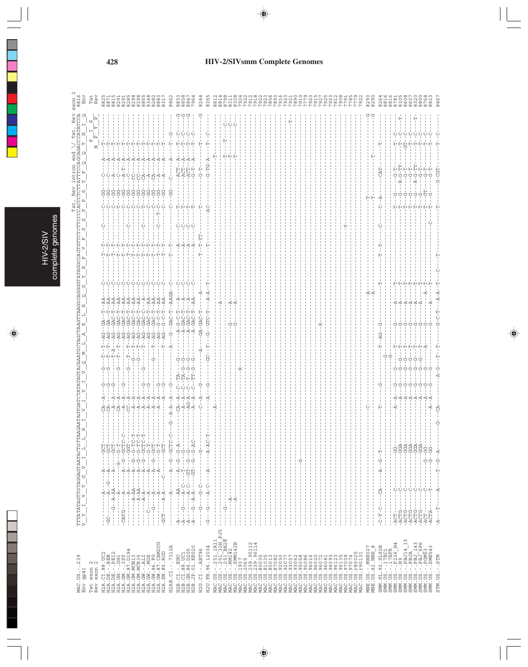| <b>Env</b><br>৩<br>exon<br>881                      | Tat<br>Rev                                                                   |         |                               |                                            |                                                               |   |                         |                   |                                               |                   | nd muddio com comune                  |                    |          |                                  |                                                                                                                                                                                                                                                                                                                                                                                    | 886                |          |    | $\infty$                                | 88899<br>$\overline{\infty}$ $\overline{\infty}$ $\overline{\infty}$ $\overline{\infty}$ $\overline{\infty}$            |         | 824                                         | w<br>$\frac{3}{8}$        | $\infty$                                                                                                                                                                                                                                                                                                                                                                                                                               | $\infty$ | $\infty$ |                               |    |  |  |  |  |  |  | O |  |  |  |  |  |  | <u>а ариалияный мамериканский инский инский</u><br>процессии найм пользовор и прополаго про |   | $\circ$<br>829                       |                 |                   |   |   |               |        |   |          |                         |                                  |                                                                                                                                                                                                                                                                                                                                                                                                                                    |                               | 846                                           |
|-----------------------------------------------------|------------------------------------------------------------------------------|---------|-------------------------------|--------------------------------------------|---------------------------------------------------------------|---|-------------------------|-------------------|-----------------------------------------------|-------------------|---------------------------------------|--------------------|----------|----------------------------------|------------------------------------------------------------------------------------------------------------------------------------------------------------------------------------------------------------------------------------------------------------------------------------------------------------------------------------------------------------------------------------|--------------------|----------|----|-----------------------------------------|-------------------------------------------------------------------------------------------------------------------------|---------|---------------------------------------------|---------------------------|----------------------------------------------------------------------------------------------------------------------------------------------------------------------------------------------------------------------------------------------------------------------------------------------------------------------------------------------------------------------------------------------------------------------------------------|----------|----------|-------------------------------|----|--|--|--|--|--|--|---|--|--|--|--|--|--|---------------------------------------------------------------------------------------------|---|--------------------------------------|-----------------|-------------------|---|---|---------------|--------|---|----------|-------------------------|----------------------------------|------------------------------------------------------------------------------------------------------------------------------------------------------------------------------------------------------------------------------------------------------------------------------------------------------------------------------------------------------------------------------------------------------------------------------------|-------------------------------|-----------------------------------------------|
| $\circ$<br>ි                                        | l٩<br>$\mathbb{O} \mathbb{O}$<br>▷<br>н<br>ıμ<br>$\mathsf{p}_4$<br>$\square$ | ⊢       |                               | 88888                                      |                                                               |   |                         |                   | ь                                             | ⊢                 |                                       |                    |          |                                  |                                                                                                                                                                                                                                                                                                                                                                                    |                    | ↻        |    | ↻                                       | ↻<br>Н                                                                                                                  | €<br>⊢  | ᄲ                                           | н                         |                                                                                                                                                                                                                                                                                                                                                                                                                                        |          | U        | н                             |    |  |  |  |  |  |  |   |  |  |  |  |  |  |                                                                                             |   |                                      |                 |                   |   |   | ٣             | U<br>븅 | ⊢ | ひひひ<br>۳ | ᄇ                       | U                                | U<br>е                                                                                                                                                                                                                                                                                                                                                                                                                             |                               |                                               |
|                                                     |                                                                              |         |                               | 444444<br>$\blacksquare$<br>ひひむ<br>99      |                                                               | 부 |                         |                   |                                               |                   | A<br>Seg<br>333333                    | К<br>$-4$<br>99    | 99       | 뮝                                | A A<br>G A                                                                                                                                                                                                                                                                                                                                                                         | $\mathbf{I}$<br>U  | ÷<br>ACT | ΑA | $\frac{1}{4}$<br>5<br>Ą                 | $\approx$<br>÷,<br>ACT                                                                                                  | U       | ローロ                                         | К<br>$G-TG-$              | 텃                                                                                                                                                                                                                                                                                                                                                                                                                                      |          | 부        |                               |    |  |  |  |  |  |  |   |  |  |  |  |  |  |                                                                                             |   | ь                                    | <b>CAT</b><br>Ą |                   |   | φ | 7.Ι. - 1<br>ά | ь      | н | Ë<br>ĸ   | ۳<br><u>ტ ტ ტ ტ ტ წ</u> | ╘<br>9999999                     | е<br>T.                                                                                                                                                                                                                                                                                                                                                                                                                            |                               | <b>CGI</b><br>ά                               |
|                                                     |                                                                              | ↻       |                               | ⊢<br>$\,$ I                                | $\,$ I                                                        |   | U<br>는는<br>$\mathbf{I}$ | U<br>$\mathbf{1}$ | $\blacksquare$                                | υ<br>$\mathbf{I}$ | $\mathbb H$<br>U<br>⊢<br>$\mathbf{1}$ | ۳<br>$\frac{1}{1}$ |          | Á<br>$\mathbf{I}$<br>U<br>н<br>÷ | е                                                                                                                                                                                                                                                                                                                                                                                  | U                  | Н        | н  | K,                                      | е<br>ひひひひ<br>$\mathbf{I}$<br>ΚK                                                                                         | Н       | ь<br>₿                                      |                           |                                                                                                                                                                                                                                                                                                                                                                                                                                        |          |          |                               |    |  |  |  |  |  |  |   |  |  |  |  |  |  |                                                                                             |   |                                      | U               |                   |   |   | н             |        |   | 88888    |                         | н                                | E                                                                                                                                                                                                                                                                                                                                                                                                                                  |                               |                                               |
|                                                     |                                                                              |         |                               |                                            |                                                               |   |                         |                   |                                               |                   | 8888888888                            |                    | ÷<br>۳   | н                                | н                                                                                                                                                                                                                                                                                                                                                                                  | E<br>↻             |          |    |                                         | ひひひひ                                                                                                                    |         |                                             |                           |                                                                                                                                                                                                                                                                                                                                                                                                                                        |          |          |                               |    |  |  |  |  |  |  |   |  |  |  |  |  |  |                                                                                             | К | К                                    |                 |                   |   |   |               |        |   |          |                         |                                  |                                                                                                                                                                                                                                                                                                                                                                                                                                    |                               |                                               |
|                                                     |                                                                              |         | සි                            | ਹੁ<br>F<br>ዕዕዕ<br>ፈፈፈ                      | Ō.<br>F<br>ă                                                  |   | ÜÜ<br>GA<br>AG<br>AG    | F                 | Ú.<br>E<br>얹                                  | Ú.<br>යි<br>ă     | Ō.<br>යි<br>ă                         | Ō.<br>යි<br>얹      | GAC<br>Q | Ů                                | ά                                                                                                                                                                                                                                                                                                                                                                                  | AAGA<br>GAC-T<br>ひ | $C - C$  |    | Ü,<br>$\mathfrak{F}$                    | A<br>Ó<br>$-6A$                                                                                                         | GAC.    | $-GAC$                                      | $\overline{A}$ .<br>GTC-T |                                                                                                                                                                                                                                                                                                                                                                                                                                        | K,       |          | $\mathbb{A} \mathbb{A}$<br>てり | てり |  |  |  |  |  |  |   |  |  |  |  |  |  |                                                                                             |   |                                      | ひ               | ĀG                |   |   |               |        |   |          | AAAAA                   | ひ ひ ひ ひ ひ ひ ひ ひ                  |                                                                                                                                                                                                                                                                                                                                                                                                                                    |                               |                                               |
|                                                     |                                                                              | нн<br>ひ | $\overline{\phantom{0}}$<br>ひ | $-4$<br>666<br>$\,$ I<br>٠<br><b>ひ ひ ひ</b> | н<br>$\mathbf{I}$<br>부<br>$\blacksquare$<br>ひ<br>$\mathbf{I}$ | ひ | -                       | Н<br>л.<br>부<br>ひ | $\mathbf{I}$<br>ひ<br>$\overline{\phantom{a}}$ | ひ                 | ひ<br>ゃっ                               |                    | ひ        | ひ                                | ひ                                                                                                                                                                                                                                                                                                                                                                                  | ひ                  | FA<br>U  | Ť  | $T^A - G$<br>$T^- - G$<br>$\frac{1}{1}$ | <b>ひ ひ ひ ひ</b><br>÷<br>O                                                                                                | Ė<br>U  | K.<br>ひ                                     | y                         |                                                                                                                                                                                                                                                                                                                                                                                                                                        |          |          |                               |    |  |  |  |  |  |  |   |  |  |  |  |  |  |                                                                                             |   |                                      | てり              | ひ                 | ᄳ |   |               |        |   |          | ひひひひひ                   | ひ ひ ひ ひ ひ ひ ひ<br>ひ ひ ひ ひ ひ ひ ひ ひ |                                                                                                                                                                                                                                                                                                                                                                                                                                    |                               | ᄲ                                             |
|                                                     |                                                                              | K.      |                               | К<br>К                                     | ජි                                                            |   | A                       | g                 | К                                             |                   |                                       |                    |          |                                  |                                                                                                                                                                                                                                                                                                                                                                                    | K,                 |          |    | Æ<br>$\overline{A} -$                   | К                                                                                                                       | К       | K.<br>↻                                     |                           |                                                                                                                                                                                                                                                                                                                                                                                                                                        |          |          |                               |    |  |  |  |  |  |  |   |  |  |  |  |  |  |                                                                                             |   |                                      |                 |                   |   |   |               |        |   |          | <b>AAAAAA</b>           |                                  |                                                                                                                                                                                                                                                                                                                                                                                                                                    |                               |                                               |
|                                                     |                                                                              |         |                               |                                            |                                                               |   |                         |                   |                                               |                   |                                       |                    |          |                                  |                                                                                                                                                                                                                                                                                                                                                                                    |                    |          |    |                                         |                                                                                                                         |         |                                             |                           |                                                                                                                                                                                                                                                                                                                                                                                                                                        |          |          |                               |    |  |  |  |  |  |  |   |  |  |  |  |  |  |                                                                                             |   |                                      |                 | ÷<br>$\mathbb{L}$ |   |   |               |        |   |          | $-GGA -$                | $-100 -$                         | $-99 - -9 -$<br>$\mathbf{I}$<br>$\mathbf{I}$                                                                                                                                                                                                                                                                                                                                                                                       |                               | $-4 - 1 - 1 - -1 - 2$                         |
| TTTATATAGTTGTAGGAGTAATACTGTT<br>V Y I V V G V I L L |                                                                              |         |                               |                                            |                                                               |   |                         |                   |                                               |                   |                                       |                    |          |                                  |                                                                                                                                                                                                                                                                                                                                                                                    |                    |          |    |                                         | $\begin{array}{c} -A--------+A--\\ -A----------A--C--\\ -A------------\\ -A------------\\ -A------------\\ \end{array}$ |         | $-1 - -1 -$<br>$-1$<br>$-1$<br>$-1$<br>$-1$ | $-5 - - - - - - - -$      |                                                                                                                                                                                                                                                                                                                                                                                                                                        |          |          |                               |    |  |  |  |  |  |  |   |  |  |  |  |  |  |                                                                                             |   | $\mathbf{I}$                         |                 |                   |   |   |               |        |   |          |                         |                                  | - 11<br>$\mathbf{I}$                                                                                                                                                                                                                                                                                                                                                                                                               | $\overline{A}$<br>$- A - - I$ | $\mathbf{I}$<br>$\mathbf{I}$<br>$\frac{1}{1}$ |
| $\sigma$<br>$\infty$                                | $\sim$ $\sim$                                                                |         |                               |                                            |                                                               |   |                         |                   |                                               |                   |                                       |                    |          |                                  | $\begin{array}{l} \rm{H2A}, \rm{CL}, \rm{88}, \rm{UC2}\\ \rm{H2A}, \rm{DB}, \cdots \rm{B}, \rm{H21}\\ \rm{H2A}, \rm{GH}, \cdots \rm{H21}\\ \rm{H2A}, \rm{GH}, \cdots \rm{H21}\\ \rm{H2A}, \rm{GM}, \cdots \rm{H23}\\ \rm{H2A}, \rm{GH}, \rm{MML13}\\ \rm{H2A}, \rm{GH}, \rm{MML13}\\ \rm{H2A}, \rm{GH}, \rm{H23}\\ \rm{H2A}, \rm{GH}, \cdots \rm{H25}\\ \rm{H2A}, \rm{GH}, \cdots$ | $-7312A$           |          |    |                                         | H2B.CI.-. EHO<br>H2B.CI.88.UC1<br>H2B.GH.86.D205<br>H2B.JP.01.KR020                                                     | $\circ$ | $-.ABT96$                                   | H2U. FR. 96.12034         | $\begin{smallmatrix} \mathtt{MAC} & \mathtt{US} & \mathtt{1} & \mathtt{1} & \mathtt{1} & \mathtt{1} & \mathtt{1} & \mathtt{1} & \mathtt{1} & \mathtt{1} & \mathtt{1} & \mathtt{1} & \mathtt{1} & \mathtt{1} & \mathtt{1} & \mathtt{1} & \mathtt{1} & \mathtt{1} & \mathtt{1} & \mathtt{1} & \mathtt{1} & \mathtt{1} & \mathtt{1} & \mathtt{1} & \mathtt{1} & \mathtt{1} & \mathtt{1} & \mathtt{1} & \mathtt{1} & \mathtt{1} & \mathtt$ | PJ5      |          |                               |    |  |  |  |  |  |  |   |  |  |  |  |  |  |                                                                                             |   | MNE.US. - MNE027<br>MNE.US. 82.MNE_8 |                 |                   |   |   |               | S      |   |          |                         |                                  | $\begin{array}{l} \mathbf{SMM}, \mathbf{SL}, 22, \mathbf{S}1292\mathbf{B}\\ \mathbf{SMM}, \mathbf{US}, -1.7\mathbf{EC1}\\ \mathbf{SMM}, \mathbf{US}, -1.7\mathbf{EC1}\\ \mathbf{SMM}, \mathbf{US}, -1.7\mathbf{SO}, \mathbf{H4}\\ \mathbf{SMM}, \mathbf{US}, -1.82, \mathbf{S}, \mathbf{H4}\\ \mathbf{SMM}, \mathbf{US}, -1.9\mathbf{B} \mathbf{U}, \mathbf{1} \\ \mathbf{SMM}, \mathbf{US}, -1.7\mathbf{B} \mathbf{U}, \mathbf{1$ | STM                           |                                               |
| rus : US . - . 23<br>Env gp41                       | exon<br>exon<br>Rev<br>Tat                                                   |         |                               |                                            |                                                               |   |                         |                   |                                               |                   |                                       |                    |          |                                  |                                                                                                                                                                                                                                                                                                                                                                                    | H2AB.CI            |          |    |                                         |                                                                                                                         |         | $H2G$ . $CL$ .                              |                           |                                                                                                                                                                                                                                                                                                                                                                                                                                        |          |          |                               |    |  |  |  |  |  |  |   |  |  |  |  |  |  |                                                                                             |   |                                      |                 |                   |   |   |               |        |   |          |                         |                                  |                                                                                                                                                                                                                                                                                                                                                                                                                                    | STM.US                        |                                               |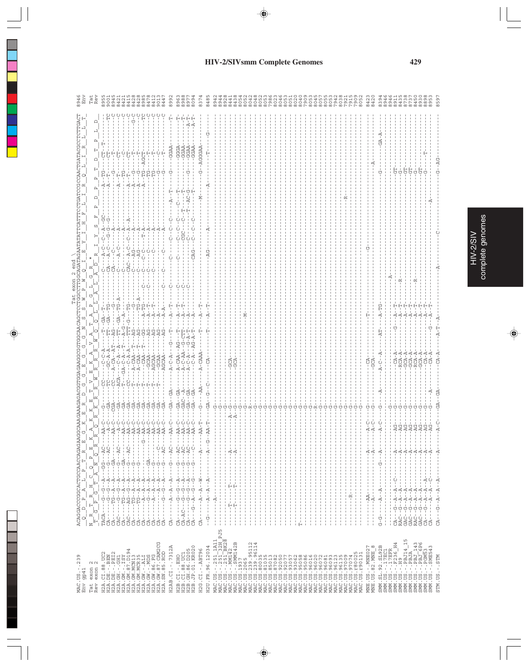| denomes<br>Ç<br>piera<br>5 |  |
|----------------------------|--|
|----------------------------|--|

| 8946<br>BP8                                                                                                                                                                                                                                                                                                                                                                                                                           | Tat<br>Rev                                             |                                                                                                    |                                                                                                                                                                                                                                                                                                                                                                                                  |        |                             |                                                                                                                                                                                                                                        |                         |                                 |                                                                                        |                                                                                                                                                                                                                                                                                                                                                                                                     |                                      |                                  | 899                                                                                                        |                                                                        |                                                             |                                                                                                                                                              | 837                                                | 848                                 |                                                                                                                                                             |                                                                                                               |                                        |                                                                                                                                                                                                                                                                                                                                                                                                                                                                                                            |                                                                 |                                              |                                   |               |        |                                     |    |   |    |                                                                                                                                                                                                                                                                                                                                                                           |                |  |   |               |                                                                    |                     |                               |              |              | 842<br>842                                                                                                                                                                                                                                                                                                                                                                                                                               |                                                 | $\begin{array}{l} \mathfrak{O} \overset{\rightarrow}{\mathfrak{A}} \overset{\rightarrow}{\mathfrak{A}} \overset{\rightarrow}{\mathfrak{A}} \overset{\rightarrow}{\mathfrak{A}} \overset{\rightarrow}{\mathfrak{A}} \overset{\rightarrow}{\mathfrak{A}} \overset{\rightarrow}{\mathfrak{A}} \overset{\rightarrow}{\mathfrak{A}} \overset{\rightarrow}{\mathfrak{A}} \overset{\rightarrow}{\mathfrak{A}} \overset{\rightarrow}{\mathfrak{A}} \overset{\rightarrow}{\mathfrak{A}} \overset{\rightarrow}{\mathfrak{A}} \overset{\rightarrow}{\mathfrak{A}} \overset{\rightarrow}{\mathfrak{A}} \overset{\rightarrow}{\mathfrak{$ |                                    |                                         |                                                                                                                            |                                                                                                                                                                                                                                                                                                                                 |                                                                                                      |                                                                                                                               | 859                                                                          |
|---------------------------------------------------------------------------------------------------------------------------------------------------------------------------------------------------------------------------------------------------------------------------------------------------------------------------------------------------------------------------------------------------------------------------------------|--------------------------------------------------------|----------------------------------------------------------------------------------------------------|--------------------------------------------------------------------------------------------------------------------------------------------------------------------------------------------------------------------------------------------------------------------------------------------------------------------------------------------------------------------------------------------------|--------|-----------------------------|----------------------------------------------------------------------------------------------------------------------------------------------------------------------------------------------------------------------------------------|-------------------------|---------------------------------|----------------------------------------------------------------------------------------|-----------------------------------------------------------------------------------------------------------------------------------------------------------------------------------------------------------------------------------------------------------------------------------------------------------------------------------------------------------------------------------------------------|--------------------------------------|----------------------------------|------------------------------------------------------------------------------------------------------------|------------------------------------------------------------------------|-------------------------------------------------------------|--------------------------------------------------------------------------------------------------------------------------------------------------------------|----------------------------------------------------|-------------------------------------|-------------------------------------------------------------------------------------------------------------------------------------------------------------|---------------------------------------------------------------------------------------------------------------|----------------------------------------|------------------------------------------------------------------------------------------------------------------------------------------------------------------------------------------------------------------------------------------------------------------------------------------------------------------------------------------------------------------------------------------------------------------------------------------------------------------------------------------------------------|-----------------------------------------------------------------|----------------------------------------------|-----------------------------------|---------------|--------|-------------------------------------|----|---|----|---------------------------------------------------------------------------------------------------------------------------------------------------------------------------------------------------------------------------------------------------------------------------------------------------------------------------------------------------------------------------|----------------|--|---|---------------|--------------------------------------------------------------------|---------------------|-------------------------------|--------------|--------------|------------------------------------------------------------------------------------------------------------------------------------------------------------------------------------------------------------------------------------------------------------------------------------------------------------------------------------------------------------------------------------------------------------------------------------------|-------------------------------------------------|------------------------------------------------------------------------------------------------------------------------------------------------------------------------------------------------------------------------------------------------------------------------------------------------------------------------------------------------------------------------------------------------------------------------------------------------------------------------------------------------------------------------------------------------------------------------------------------------------------------------------|------------------------------------|-----------------------------------------|----------------------------------------------------------------------------------------------------------------------------|---------------------------------------------------------------------------------------------------------------------------------------------------------------------------------------------------------------------------------------------------------------------------------------------------------------------------------|------------------------------------------------------------------------------------------------------|-------------------------------------------------------------------------------------------------------------------------------|------------------------------------------------------------------------------|
| AGAATATATAT TOAT COCOOODE E E TERTE ANGATAG<br>$\overline{a}$<br>⋥<br>α<br>$\circ$                                                                                                                                                                                                                                                                                                                                                    |                                                        | $\Box$<br>д<br>н<br>$\Box$<br>Н<br>$\mathbf{p}$<br>$\mathbf{p}$<br>≏<br>$\Omega$<br>$\mathbb{L}_1$ | P.<br>K,<br>ں<br>ט                                                                                                                                                                                                                                                                                                                                                                               | ひ      | $\vdash$<br>K,              | É<br>A                                                                                                                                                                                                                                 | ά<br>ひ<br>КK            | ひ                               | AGCT<br>FG<br>입<br>К                                                                   | 憤                                                                                                                                                                                                                                                                                                                                                                                                   | ひ                                    | ひ                                | GGAA<br>τŋ<br>Æ                                                                                            | GGGA                                                                   | $A-T$<br>GGAA<br>GGAA<br>C٦<br>$-AC - G$<br>н               | $A-T$<br>GGAA<br>ь                                                                                                                                           | AGGGAA<br>τ٦<br>Σ                                  | c                                   |                                                                                                                                                             |                                                                                                               |                                        |                                                                                                                                                                                                                                                                                                                                                                                                                                                                                                            |                                                                 |                                              |                                   |               |        |                                     |    |   |    |                                                                                                                                                                                                                                                                                                                                                                           |                |  |   |               |                                                                    |                     |                               |              |              |                                                                                                                                                                                                                                                                                                                                                                                                                                          |                                                 | GA-A<br>ひ                                                                                                                                                                                                                                                                                                                                                                                                                                                                                                                                                                                                                    | 5                                  | Ġ                                       |                                                                                                                            | いじじ                                                                                                                                                                                                                                                                                                                             | 5                                                                                                    |                                                                                                                               |                                                                              |
| g<br>GCAGAT<br>O<br>д                                                                                                                                                                                                                                                                                                                                                                                                                 | ひ<br>ひ                                                 | C)<br>$\Box$<br>IK.<br>니<br>K                                                                      | τ:                                                                                                                                                                                                                                                                                                                                                                                               | gg     | ( )                         | К<br>A<br>$A-C$<br>i C<br>U C                                                                                                                                                                                                          | К<br>AG<br>( )          | ZG<br>$\tau$ )                  | K,<br>$\frac{1}{1}$<br>U<br>τ                                                          |                                                                                                                                                                                                                                                                                                                                                                                                     |                                      | Ο                                | U<br>↻<br>Ο                                                                                                | ΰ<br>U                                                                 | UU<br>UU<br>Ú<br>U U U                                      | ↻<br>Ü<br>CAG                                                                                                                                                |                                                    | <b>CA</b>                           |                                                                                                                                                             |                                                                                                               |                                        |                                                                                                                                                                                                                                                                                                                                                                                                                                                                                                            |                                                                 |                                              |                                   |               |        |                                     |    |   |    |                                                                                                                                                                                                                                                                                                                                                                           |                |  |   |               |                                                                    |                     |                               |              |              |                                                                                                                                                                                                                                                                                                                                                                                                                                          |                                                 |                                                                                                                                                                                                                                                                                                                                                                                                                                                                                                                                                                                                                              |                                    | œ                                       |                                                                                                                            | œ                                                                                                                                                                                                                                                                                                                               |                                                                                                      |                                                                                                                               |                                                                              |
| $\begin{array}{ll} \frac{1}{2} \frac{1}{2} \frac{1}{2} \frac{1}{2} \frac{1}{2} \frac{1}{2} \frac{1}{2} \frac{1}{2} \frac{1}{2} \frac{1}{2} \frac{1}{2} \frac{1}{2} \frac{1}{2} \frac{1}{2} \frac{1}{2} \frac{1}{2} \frac{1}{2} \frac{1}{2} \frac{1}{2} \frac{1}{2} \frac{1}{2} \frac{1}{2} \frac{1}{2} \frac{1}{2} \frac{1}{2} \frac{1}{2} \frac{1}{2} \frac{1}{2} \frac{1}{2} \frac{1}{2} \frac{$<br>Σ<br>C <sub>0</sub><br>CO.<br>z | $\Omega$<br>E<br>₫<br>ь                                | lO<br>Ю<br>k<br>ıκ<br>ıα                                                                           |                                                                                                                                                                                                                                                                                                                                                                                                  | Q<br>S | $F - D$<br>$-6A$<br>Ŗ.<br>U | <b>PG</b><br>Ą.<br>무<br>$A-G-$<br>TTT<br>$- A - A$<br>$-4$<br>U                                                                                                                                                                        | ひ<br>AG<br>Н<br>$A-CAA$ | $A - D T$<br>먼.<br>Н<br>$A-CAA$ | Ë<br>Н<br>Ą<br>K,<br>უ<br>ს<br>읹<br>$-CAA$<br><b>GCAA</b>                              | ⊢<br>ÅG<br>-AGCAA                                                                                                                                                                                                                                                                                                                                                                                   | $\mathbb{A} \mathbb{A}$<br>ă<br>GCAA | $A - A$<br>ă<br>AGCAA            | ⊢<br>4<br>ひ<br>$C - A$<br>$\overline{A}$                                                                   | Н<br>К<br>AG.<br>CAA                                                   | F<br>K,<br>Æ<br>5<br>К<br>Ġ<br>Ο<br>$-AA$<br>$-4$<br>U<br>U | K.<br>$-AG - A$<br>$C - A -$                                                                                                                                 | ⊢<br>К<br>⊢<br>CAAA                                | К<br>ි                              |                                                                                                                                                             |                                                                                                               |                                        | GCA<br>GCA                                                                                                                                                                                                                                                                                                                                                                                                                                                                                                 |                                                                 | Σ                                            |                                   |               |        |                                     |    |   |    |                                                                                                                                                                                                                                                                                                                                                                           |                |  |   |               |                                                                    |                     |                               |              |              |                                                                                                                                                                                                                                                                                                                                                                                                                                          | CA<br>C                                         | $-A-TG$<br>Ę<br>$A - C - - A$                                                                                                                                                                                                                                                                                                                                                                                                                                                                                                                                                                                                | н<br>К<br>$CA - A$                 | н<br>$RCA - A$                          |                                                                                                                            |                                                                                                                                                                                                                                                                                                                                 | <b>PPPPP</b><br>AAAAA<br>$\begin{array}{c} GCA-A \\ GCA-A \\ RCA-A \\ GCA-A \\ GCA-A \\ \end{array}$ | T.<br>К<br>$\overline{c}$                                                                                                     | $CA$ -                                                                       |
| ひ<br>$\Box$<br>叱<br>囸<br>ひ                                                                                                                                                                                                                                                                                                                                                                                                            | 回<br>$\triangleright$<br>Н<br>囸<br>K<br>×<br>К         | $\alpha$<br>∣≈<br>lα<br>lα<br>lO                                                                   | C                                                                                                                                                                                                                                                                                                                                                                                                |        | $-GA-C$<br>F                | ن أ<br>යි<br>F                                                                                                                                                                                                                         | සි                      | F                               |                                                                                        | F                                                                                                                                                                                                                                                                                                                                                                                                   |                                      |                                  | $-6A$<br>돊<br>$AA -$                                                                                       | K.<br>ĜА<br>痣<br>U<br>$AA-$                                            | K.<br>Æ<br>Ą.<br>$-6A$<br>GAC.<br>F<br>◡<br>◡<br>AA<br>AA   | $-6A$<br>돊<br>$AA -$                                                                                                                                         | K.<br>$-AA$<br>AA                                  | Ġ                                   |                                                                                                                                                             |                                                                                                               |                                        |                                                                                                                                                                                                                                                                                                                                                                                                                                                                                                            |                                                                 |                                              |                                   |               |        |                                     |    |   |    |                                                                                                                                                                                                                                                                                                                                                                           |                |  |   |               |                                                                    |                     |                               |              |              | K,                                                                                                                                                                                                                                                                                                                                                                                                                                       | U<br>К                                          | $\cup$<br>$\mathbb{A}^-$                                                                                                                                                                                                                                                                                                                                                                                                                                                                                                                                                                                                     | <b>AG</b>                          |                                         | ף ק<br>٢Π                                                                                                                  | rŋ                                                                                                                                                                                                                                                                                                                              | ת ז                                                                                                  | C                                                                                                                             |                                                                              |
| ACAGGACCCGCACTGCCAACCAGAGAA<br>Q D P A L P T R E<br>$\alpha$<br>$\mathbb{R}^d$                                                                                                                                                                                                                                                                                                                                                        | ×<br>回<br>$\mathsf{p}_4$<br>$\circ$<br>$\cup$<br>$\Xi$ | Ιc<br>lо<br>k<br>k<br>ŀ                                                                            | $-4$                                                                                                                                                                                                                                                                                                                                                                                             |        |                             | $-1$ - $-$ - $-$ - $-$ - $-$ - $-$ - $-$ - $-$ - $-$ - $-$ - $-$ - $-$ - $-$ - $-$ - $-$ - $-$ - $-$ - $-$ - $-$ - $-$ - $-$ - $-$ - $-$ - $-$ - $-$ - $-$ - $-$ - $-$ - $-$ - $-$ - $-$ - $-$ - $-$ - $-$ - $-$ - $-$ - $-$<br>÷<br>÷ |                         | Ħ                               | $C - C$<br>$\mathsf{I}$<br>$\mathbf{I}$<br>$\ddot{\mathcal{L}}$<br>Æ<br>$-4$<br>÷<br>R | J.<br>Ť.<br>J.<br>$\begin{array}{c} \rule{0.2cm}{0.15mm} \rule{0.2cm}{0.15mm} \rule{0.2cm}{0.15mm} \rule{0.2cm}{0.15mm} \rule{0.2cm}{0.15mm} \rule{0.2cm}{0.15mm} \rule{0.2cm}{0.15mm} \rule{0.2cm}{0.15mm} \rule{0.2cm}{0.15mm} \rule{0.2cm}{0.15mm} \rule{0.2cm}{0.15mm} \rule{0.2cm}{0.15mm} \rule{0.2cm}{0.15mm} \rule{0.2cm}{0.15mm} \rule{0.2cm}{0.15mm} \rule{$<br>÷.<br>ひ<br>٠<br>$-4$<br>A | ÷<br>$-1 - 2$<br>ひ<br>$-4$<br>К      | $\mathbf{I}$<br>ಀ<br>К<br>÷<br>ひ | $- - \text{AC}$<br>$\stackrel{\scriptscriptstyle\mathsf{L}}{\scriptscriptstyle\mathsf{O}}$<br>4<br>÷,<br>К | $- -1BC -$<br>$\stackrel{\shortparallel }{\circ }$<br>t<br>٠<br>Æ<br>÷ | ÷<br>÷<br>$\overset{.}{\mathbf{c}}$<br>φ<br>ı<br>I<br>$-4$  | $\mathbf{I}$<br>$-200 - 100 - 100$<br>ά<br>$\,$ I<br>$-1 - 0$                                                                                                | $\overline{\phantom{a}}$<br>$-4 - -$<br>$- -A - W$ | $A - G -$<br>Ť<br>$\,$ $\,$<br>J.   | $\mathbf{I}$<br>$\mathbf{1}$<br>$\mathsf I$<br>$\overline{1}$<br>$\mathbf{I}$<br>$\mathsf I$<br>$\mathbf{I}$<br>$\mathbf{I}$<br>$\mathsf I$<br>$\mathbf{I}$ | ÷<br>$\mathsf I$<br>$\overline{\phantom{a}}$<br>$\mathbf{I}$<br>$\mathbf{I}$<br>$\frac{1}{1}$<br>Ħ<br>$\sf I$ | Ĵ<br>٠<br>$\mathbf{u}$<br>J.<br>Ť<br>ł | $- -A - -$<br>$- -A - -$<br>$\frac{1}{4}$<br>$\begin{array}{c} \begin{array}{c} \begin{array}{c} \begin{array}{c} \begin{array}{c} \end{array}\\ \end{array} \end{array} \end{array} \end{array} \end{array}$                                                                                                                                                                                                                                                                                              | $\overline{\phantom{a}}$<br>1<br>$\frac{1}{1}$<br>$\frac{1}{4}$ | $\mathbf{I}$<br>٠                            |                                   |               | $\,$ I |                                     |    |   |    |                                                                                                                                                                                                                                                                                                                                                                           |                |  |   |               |                                                                    |                     | $\frac{1}{4}$<br>$\mathbf{1}$ |              |              | л.<br>К<br>Ť                                                                                                                                                                                                                                                                                                                                                                                                                             | $\mathbf{I}$<br>Ą<br>$\,$ $\,$<br>$\frac{1}{4}$ | л.<br>п.<br>Ą<br>Ť<br>ロー<br>÷.                                                                                                                                                                                                                                                                                                                                                                                                                                                                                                                                                                                               | К<br>$\frac{1}{2}$<br>К            | $\mathbf{I}$<br>$\triangle$ $\triangle$ | $\mathbf{I}$<br>-<br>$\frac{1}{4}$<br>$\frac{1}{4}$<br>$\mathbb{I}$<br>$\mathbf{I}$<br>$\blacksquare$<br>$\mathbf I$<br>A, | $\mathbf{I}$<br>$\mathbf{I}$<br>$\mathbf{I}$<br>$\mathbf{I}$<br>$\mathbf{1}$<br>К                                                                                                                                                                                                                                               | $\mathbf{I}$<br>$\overline{1}$<br>$\mathbf{I}$<br>К                                                  | $\mathbf{I}$<br>$\blacksquare$<br>$A$ 44444<br>$\mathbf{I}$<br>J.<br>٠<br>$\,$ I<br>$\frac{1}{4}$<br>$-4 - 7$<br>$-A--C$<br>К | A<br>$-4$<br>$\overline{A}$                                                  |
|                                                                                                                                                                                                                                                                                                                                                                                                                                       | $\mathbbm{R}$<br>$\mathbb H$<br>$\approx$<br>$\approx$ | lФ<br>l۵,<br> ഗ<br>$\mathbf{F}$                                                                    | $-1$<br>$-1$<br>$-1$<br>$-1$<br>$-1$<br>$-1$<br>$-1$<br>$-1$<br>$-1$<br>$-1$<br>$-1$<br>$-1$<br>$-1$<br>$-1$<br>$-1$<br>$-1$<br>$-1$<br>$-1$<br>$-1$<br>$-1$<br>$-1$<br>$-1$<br>$-1$<br>$-1$<br>$-1$<br>$-1$<br>$-1$<br>$-1$<br>$-1$<br>$-1$<br>$-1$<br>$-1$<br>$-1$<br>$-1$<br>$-1$<br>$-1$<br>$-1$<br><br>$TACA -$                                                                             |        |                             |                                                                                                                                                                                                                                        |                         |                                 | Ť<br>Ť                                                                                 | ÷<br>$-4$<br>t                                                                                                                                                                                                                                                                                                                                                                                      | ÷<br>÷<br>$\mathbf{I}$               | ÷<br>$C - C$                     | ÷,<br>К<br>Ť<br>J.<br>$\overline{c}$                                                                       | ひ<br>Ť                                                                 | ო<br> <br>                                                  | ליט ליט ליט<br>המודר המודר ה<br>$-4$<br>$-1$<br>$\begin{bmatrix} -1 & -1 & -1 \\ -1 & -1 & -1 \\ -1 & -1 & -1 \\ -1 & -1 & -1 \\ -1 & -1 & -1 \end{bmatrix}$ | К<br>Ť<br>$CA - -$                                 | ı<br>I<br>$\mathbf{I}$<br>$\dot{c}$ | $- -A - -$<br>$\mathbf{I}$<br>$\,$<br>$\mathsf I$<br>$\overline{1}$<br>$\mathbf I$                                                                          | Ħ<br>$\mathbf{I}$<br>$\mathbf{I}$<br>$\overline{\phantom{a}}$                                                 | $\,$ I<br>$\mathbf{I}$<br>٠            | $\begin{split} \mathbb{L} \leftarrow & \mathbb{L} \left( \mathbb{L} \right) = \mathbb{L} \left( \mathbb{L} \right) = \mathbb{L} \left( \mathbb{L} \right) = \mathbb{L} \left( \mathbb{L} \right) = \mathbb{L} \left( \mathbb{L} \right) = \mathbb{L} \left( \mathbb{L} \right) = \mathbb{L} \left( \mathbb{L} \right) = \mathbb{L} \left( \mathbb{L} \right) = \mathbb{L} \left( \mathbb{L} \right) = \mathbb{L} \left( \mathbb{L} \right) = \mathbb{L} \left( \mathbb{L}$<br>$\mathbf{I}$<br>$\mathbf{I}$ | $\frac{1}{1}$<br>ı<br>$\frac{1}{2}$<br>$\mathbf{I}$             | $\frac{1}{1}$<br>$\,$<br>$\frac{1}{4}$<br>J. | $\frac{1}{1}$<br>t<br>$\mathbf I$ | $\frac{1}{1}$ | ٠      | $\frac{1}{2}$<br>$\frac{1}{1}$<br>ı | J. | ı | I, | $\begin{array}{c} \rule{0.2cm}{0.15mm} \rule{0.2cm}{0.15mm} \rule{0.2cm}{0.15mm} \rule{0.2cm}{0.15mm} \rule{0.2cm}{0.15mm} \rule{0.2cm}{0.15mm} \rule{0.2cm}{0.15mm} \rule{0.2cm}{0.15mm} \rule{0.2cm}{0.15mm} \rule{0.2cm}{0.15mm} \rule{0.2cm}{0.15mm} \rule{0.2cm}{0.15mm} \rule{0.2cm}{0.15mm} \rule{0.2cm}{0.15mm} \rule{0.2cm}{0.15mm} \rule{$<br>٠<br>$\mathbf{I}$ | $\,$<br>÷<br>н |  | Ì | $\frac{1}{1}$ | $\begin{array}{c}\n1 \\ 1 \\ 1 \\ 1\n\end{array}$<br>$\frac{1}{1}$ | î.<br>$\frac{1}{1}$ | $---R--$                      | $\mathbf{I}$ | $\mathbf{I}$ | $-AA-$                                                                                                                                                                                                                                                                                                                                                                                                                                   | $\mathbf{A}$<br>$\,$ I                          | $- -A - -A - -$<br>-<br>$\blacksquare$<br>$\mathbf I$<br>$\frac{1}{4}$<br>しょう                                                                                                                                                                                                                                                                                                                                                                                                                                                                                                                                                | ÷<br>К<br>Ť<br>ひ<br>$\overline{c}$ | ÷,<br>÷<br>÷<br>ひ<br>U<br>$\frac{1}{1}$ | ÷,<br>Ť<br>÷<br>U<br>$\mathbf{I}$<br>Ť,<br>$\mathbf{I}$                                                                    | ÷<br>÷<br>ひ                                                                                                                                                                                                                                                                                                                     | ÷<br>RARAR<br>÷<br>ひ                                                                                 | Ť<br>÷,<br>Ą<br>÷<br>÷<br>ひ<br>ddddddi<br>2552555                                                                             | $\mathbf{I}$<br>A<br>$\overline{\phantom{a}}$<br>$\mathbf{I}$<br>먹<br>$CA -$ |
| ጣ<br>.23<br>$\mathfrak l$<br>Env gp41<br>MAC.US.                                                                                                                                                                                                                                                                                                                                                                                      | $\sim$ $\sim$<br>exon<br>at.                           | exon<br>Rev                                                                                        | $\begin{array}{l} \rm{H2A}, \rm{CI}. \ 68 \cdot \rm{UC2} \\ \rm{H2A}, \rm{DB} \cdot - \rm{EBI} \\ \rm{H2A}, \rm{OB} \cdot - \rm{IST1} \\ \rm{H2A}, \rm{GH} \cdot - \rm{IST2} \\ \rm{H2A}, \rm{OH} \cdot - \rm{IST2} \\ \rm{H2A}, \rm{OH} \cdot \rm{M} \cdot \rm{M} \\ \rm{H2A}, \rm{OH} \cdot \rm{M} \cdot \rm{M} \\ \rm{H2A}, \rm{OH} \cdot \rm{M} \cdot \rm{M} \\ \rm{H2A}, \rm{OH} \cdot \rm$ |        |                             |                                                                                                                                                                                                                                        |                         |                                 |                                                                                        |                                                                                                                                                                                                                                                                                                                                                                                                     |                                      |                                  | H2AB.CI.-.7312A                                                                                            | H2B.CI.-.EHO                                                           |                                                             | H2B.CI.88.UC1<br>H2B.GH.86.D205<br>H2B.JP.01.KR020                                                                                                           | H2G.CI.-.ABT96                                     |                                     |                                                                                                                                                             |                                                                                                               |                                        |                                                                                                                                                                                                                                                                                                                                                                                                                                                                                                            |                                                                 |                                              |                                   |               |        |                                     |    |   |    |                                                                                                                                                                                                                                                                                                                                                                           |                |  |   |               |                                                                    |                     |                               |              |              | $\begin{small} &\mathbf{21} & \mathbf{12} & \mathbf{13} & \mathbf{14} & \mathbf{15} & \mathbf{15} & \mathbf{16} & \mathbf{17} & \mathbf{17} & \mathbf{18} & \mathbf{19} & \mathbf{19} & \mathbf{19} & \mathbf{19} & \mathbf{19} & \mathbf{19} & \mathbf{19} & \mathbf{19} & \mathbf{19} & \mathbf{19} & \mathbf{19} & \mathbf{19} & \mathbf{19} & \mathbf{19} & \mathbf{19} & \mathbf{19} & \mathbf{19$<br>$\mathrel{\varsubset} \varpi$ | ANE. US. 82. MNE                                | SMM .SL .92 .SL92B<br>SMM .US . - .17EC1<br>SMM .US . - .17EC1<br>SMM .US . - .F236 H4<br>SMM .US . - .H9                                                                                                                                                                                                                                                                                                                                                                                                                                                                                                                    |                                    |                                         | $-.PBC14 - 15$<br>- PBJA                                                                                                   | $\begin{bmatrix} 1 & 1 & 1 & 1 \\ 1 & 1 & 1 & 1 \\ 1 & 1 & 1 & 1 \\ 1 & 1 & 1 & 1 \\ 1 & 1 & 1 & 1 \\ 1 & 1 & 1 & 1 \\ 1 & 1 & 1 & 1 \\ 1 & 1 & 1 & 1 \\ 1 & 1 & 1 & 1 \\ 1 & 1 & 1 & 1 \\ 1 & 1 & 1 & 1 \\ 1 & 1 & 1 & 1 \\ 1 & 1 & 1 & 1 \\ 1 & 1 & 1 & 1 \\ 1 & 1 & 1 & 1 \\ 1 & 1 & 1 & 1 \\ 1 & 1 & 1 & 1 \\ 1 & 1 & 1 & $ | $-18J 143$<br>$-18J 6P6$                                                                             | $\infty$<br>PGM53<br>SME543<br>SMM.US.<br>SMM.US.                                                                             | STM<br>STM.US                                                                |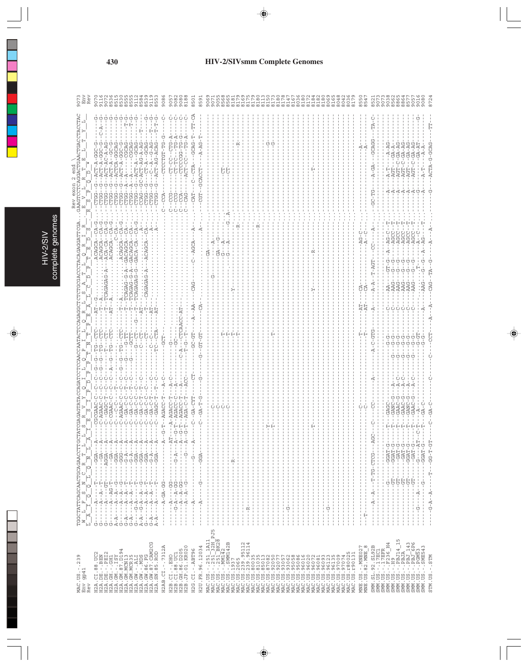| n w w w q w q w q<br>q w m w q w q w q w<br>ŌР<br>$\circ$<br>īη<br>$\infty$<br>${}^{\circ}$<br>$\infty$ $\infty$ $\infty$<br>${}^{\circ}$<br>Н<br>Н<br>$\overline{A}$<br>U<br>-ACTCA-GGCA<br>GCA<br>ACT-A--GCA<br>$ACT - A - - GC$<br>ACT-A-GGC<br>$CT-AG-A$<br>$ACT - AC - A$<br>$\,$ I<br>てり<br>ひ<br><b>ひ ひ</b><br>ひ<br>てり<br>Æ<br>也<br>Æ<br>↻<br>じじけい<br>CTGG<br>じじけい<br>CTGC<br>CTGG |                                                                                                                                                              | $\sigma$ $\infty$<br>$\infty$<br>탁<br>Н<br>⊢<br>$-ACT-AG-ACA$<br>$-4$<br>$\ddot{A}$<br>פי<br>CTGG                                      | $\frac{8}{2}$<br>$\sigma$<br>也<br>CLCCLCLL             | $\frac{8}{3}$<br>$\frac{8}{1}$<br>g<br>$\circ$<br>ത<br>$\sigma$<br>Ą<br>ひしり<br>$-TG-$<br>CTCCCGG-T<br>ACT-CC-<br>CT-CC<br>CT-T                                                                                         | 50<br>59<br>Ė<br>GCAG-T<br>$A - AG -$<br>CTA<br>GCACCT-<br><b>590</b><br>EAT                                  | ိ                                                                                                                                                            | ৩<br>5<br>5                                                                                                                                                                                                                                                                                                                                                                                                                                                  | $\infty$ $\sim$                                                                              | ۱ ص<br>ന                                                                                         | $^\infty$<br>m      | ru L<br>ひ     | $^\infty$<br>ひ                                                        |                                                                                                         |   | $^\infty$                                             | ိ                  |                                                                                                                                                                                                                                                                                                                                                | Lή<br>К                                                                  | TA<br>-GCAGG<br>-GA<br>$-TC$                                                                                                                                                                                                                                                                                                                                                                    | m<br>AGT<br>К                                                                                           | $\infty$<br>$\infty$<br>AGT-C-GA-A                        | $\infty$<br>LN,<br>$-6A - A$<br>$-6A - A$<br>$AGT -$<br>AGT<br>AAAA                                                                | ö<br>$\circ$<br>AGT-C-GA-A<br>υ                                          | $\frac{8}{3}$<br>턱                                | GCA<br>ACTA    |
|------------------------------------------------------------------------------------------------------------------------------------------------------------------------------------------------------------------------------------------------------------------------------------------------------------------------------------------------------------------------------------------|--------------------------------------------------------------------------------------------------------------------------------------------------------------|----------------------------------------------------------------------------------------------------------------------------------------|--------------------------------------------------------|------------------------------------------------------------------------------------------------------------------------------------------------------------------------------------------------------------------------|---------------------------------------------------------------------------------------------------------------|--------------------------------------------------------------------------------------------------------------------------------------------------------------|--------------------------------------------------------------------------------------------------------------------------------------------------------------------------------------------------------------------------------------------------------------------------------------------------------------------------------------------------------------------------------------------------------------------------------------------------------------|----------------------------------------------------------------------------------------------|--------------------------------------------------------------------------------------------------|---------------------|---------------|-----------------------------------------------------------------------|---------------------------------------------------------------------------------------------------------|---|-------------------------------------------------------|--------------------|------------------------------------------------------------------------------------------------------------------------------------------------------------------------------------------------------------------------------------------------------------------------------------------------------------------------------------------------|--------------------------------------------------------------------------|-------------------------------------------------------------------------------------------------------------------------------------------------------------------------------------------------------------------------------------------------------------------------------------------------------------------------------------------------------------------------------------------------|---------------------------------------------------------------------------------------------------------|-----------------------------------------------------------|------------------------------------------------------------------------------------------------------------------------------------|--------------------------------------------------------------------------|---------------------------------------------------|----------------|
| 凹<br>$\circ$<br>۱۵<br>C <sub>0</sub>                                                                                                                                                                                                                                                                                                                                                     | $CA-G$<br>ひ<br>ᄳ<br>ひ<br>$CA-G$<br>$\overline{c}$<br>ΰ<br>ACAGCA<br>ACAGCA<br>ACAGCA<br><b>GCA</b><br>ACAGCA<br>$-$ CA<br>Š<br><b>ACA</b><br>-TCAGAGA        | Ś<br>ACAGCA<br>ACAGCA<br>ACAG<br>ACA<br>TCAGA<br>TCAGA<br>$-TCAGA$                                                                     |                                                        |                                                                                                                                                                                                                        |                                                                                                               | 3                                                                                                                                                            | Ą<br>К<br>$G\Delta$<br>υ ή                                                                                                                                                                                                                                                                                                                                                                                                                                   | α                                                                                            |                                                                                                  |                     |               |                                                                       |                                                                                                         |   |                                                       |                    |                                                                                                                                                                                                                                                                                                                                                | U<br>U<br>$AG-$<br>J<br>I                                                | y<br>$-AGT$<br>$\mathbb H$<br>$A - A$                                                                                                                                                                                                                                                                                                                                                           | AGC<br>$G-T-G$<br>ひ<br>ひ<br>AAG.                                                                        | AGCC<br>ひ<br>↻<br>AAG.                                    | AGCC<br>U<br>UU<br>ひ<br>ひ<br>↻<br>U<br>AAG.<br><b>AAG</b>                                                                          | <b>CO</b><br>↻<br>AAG.                                                   | Ġ                                                 |                |
| $\circ$<br>$\mathbf{\Omega}$<br>z<br>ρ<br>$\circ$                                                                                                                                                                                                                                                                                                                                        | $-4$<br>ひ<br>$-4$<br>CH C<br>$\vdots$ C<br>ġ<br>Ο<br>ひ<br>ひ<br>てり<br>c٠.<br>℧                                                                                | 턴<br>- -<br>۲<br>با<br><u>등</u><br>O<br>번<br>ひ<br>ひ                                                                                    | 50<br>0                                                | --CTCAA<br>$T - G - -T$<br>ပ္ပ<br>τŋ<br>$-1$<br>Ü                                                                                                                                                                      | せっしゅ<br>-GL-GL<br>τ٦                                                                                          |                                                                                                                                                              | н                                                                                                                                                                                                                                                                                                                                                                                                                                                            | е                                                                                            |                                                                                                  |                     |               |                                                                       |                                                                                                         |   |                                                       |                    |                                                                                                                                                                                                                                                                                                                                                | AT<br>AT.<br>$\vdash$<br>$\vdash$                                        | К<br>$-GTG$<br>Ÿ                                                                                                                                                                                                                                                                                                                                                                                | ひ<br>υ<br>ひ                                                                                             | U<br>ひ<br>ささ                                              | ◡<br>ひ<br>じし<br>é<br>ひひひひひ                                                                                                         | رج<br>ひ<br>ó<br>Ġ                                                        | Ġ                                                 |                |
| ≏<br>O<br> U)<br>凹<br>CΩ                                                                                                                                                                                                                                                                                                                                                                 | К<br>-AGAAC<br>CGAAC<br><b>GAG</b><br>CGCGAA<br>-AGAA<br>$-1$<br>$- - AGGA - -P$<br>$-1$<br>$- - 99A - -1$<br>T                                              | ↻<br>U<br><b>USAGU</b><br>$GA -$<br>$\overline{d}$<br>$- - GGA - - P$<br>$- - GGA - - P$<br>$-6GA - -A$<br>$-4 - -A$<br>$-6GA - -A$    | ↻<br>AGACC<br>$\mathbf{I}$<br>$\blacksquare$<br>$\,$ I | ACC<br>◡<br>$-1$<br>$- - A$<br>$-4$<br>Ţ<br>$\begin{array}{c}\n1 \\ 0 \\ 1\n\end{array}$<br>J.<br>$\frac{1}{1}$<br>$\overline{\phantom{a}}$                                                                            | ε<br>$GA-T-G$<br>TYD-A5<br>-A                                                                                 | $\frac{1}{1}$                                                                                                                                                | $\frac{1}{1}$<br>$\frac{1}{1}$<br>J.<br>$\mathbf{I}$<br>f,                                                                                                                                                                                                                                                                                                                                                                                                   |                                                                                              | $\frac{1}{4}$                                                                                    |                     |               | ÷.                                                                    |                                                                                                         |   |                                                       |                    | ï<br>$\overline{\phantom{a}}$                                                                                                                                                                                                                                                                                                                  | J.<br>t                                                                  | Ū<br>$-1$                                                                                                                                                                                                                                                                                                                                                                                       | GAG<br>Ř<br>--GGAT-G                                                                                    | C<br>GAAC<br>$- - -$ GGAT-G-                              | U<br>4<br>ひ<br>GAAC<br>GANC<br>$- - -$ GAT-G-<br>$-160AT - G$                                                                      | <b>GAAC</b><br>$-9 - TRB - -$<br>$-G$ ---- $-2$                          | $-GGAT-G$                                         | 즑              |
| $\frac{W}{L} \frac{L}{\Delta} \frac{1}{-\overline{1}} \frac{S}{\overline{Q}} \frac{M}{\overline{Q}} \frac{C}{\overline{Q}} \frac{R}{\overline{Q}} \frac{T}{\overline{Q}} \frac{L}{\overline{Q}}$<br>$\mathbf{z}^{\mathbf{H}^{\mathbf{d}}}$<br>$\overline{C}$<br>$\mathbb{E}\left[\mathbb{H}\right]$                                                                                      | $-450 - -$<br>$- - - - - - - - - -$<br>$-45 -$<br>$\mathbf{I}$<br>$\frac{1}{1}$<br>$\mathfrak l$<br>$\mathsf I$<br>$\mathbf{I}$<br>٠<br>$\mathbf{I}$<br>$\,$ | $\frac{1}{4}$<br>÷<br>$\,$<br>$\mathbf{I}$<br>$\mathsf I$<br>İ<br>Ť<br>$\blacksquare$<br>$\mathbf{I}$<br>$\overline{\phantom{a}}$<br>п | $-10 - 10 - 10 - 1$<br>$\mathbf{I}$                    | $-6 - A -$<br>ţ<br>$\mathbf{1}$<br>$\mathsf I$<br>$\mathbf{I}$<br>$\mathbf{I}$<br>$\,$<br>$\mathbf I$<br>$\mathsf I$<br>л<br>î.<br>$\mathbf{I}$<br>$\mathbf I$<br>1<br>$\mathfrak l$<br>$\overline{\phantom{a}}$<br>J. | $-AGBA$ -<br>$-9 - -$<br>$-3 - - - - - - - -$<br>Ť<br>$- -2 -$<br>÷<br>$\mathbf{I}$<br>$\mathbf{I}$<br>$\,$ I | $\begin{array}{c} \begin{array}{c} \text{1} \\ \text{2} \\ \text{3} \\ \text{4} \end{array} \end{array}$<br>$\mathbf{I}$<br>$\mathbf{I}$<br>$\mathbf I$<br>1 | $\,$<br>f,<br>t<br>$\,$ I<br>Ţ<br>$\frac{1}{1}$<br>ł<br>$\mathsf I$<br>ŧ<br>$\begin{array}{c} \rule{0.2cm}{0.15mm} \rule{0.2cm}{0.15mm} \rule{0.2cm}{0.15mm} \rule{0.2cm}{0.15mm} \rule{0.2cm}{0.15mm} \rule{0.2cm}{0.15mm} \rule{0.2cm}{0.15mm} \rule{0.2cm}{0.15mm} \rule{0.2cm}{0.15mm} \rule{0.2cm}{0.15mm} \rule{0.2cm}{0.15mm} \rule{0.2cm}{0.15mm} \rule{0.2cm}{0.15mm} \rule{0.2cm}{0.15mm} \rule{0.2cm}{0.15mm} \rule{$<br>Ť.<br>t<br>$\mathfrak l$ | $\frac{1}{1}$<br>$\frac{1}{4}$<br>$\frac{1}{1}$<br>$\frac{1}{4}$<br>$\overline{\phantom{a}}$ | $\frac{1}{4}$<br>Ť<br>$\,$ $\,$<br>$\mathbf{I}$<br>$\frac{1}{4}$<br>$-R$<br>$\blacksquare$<br>J. | $\frac{1}{1}$<br>J. | $\frac{1}{1}$ | $\frac{1}{1}$<br>ł<br>$\frac{1}{4}$<br>$\frac{1}{1}$<br>$\frac{1}{4}$ | $\frac{1}{2}$<br>$\begin{array}{c} 1 \\ 1 \\ 2 \\ 3 \\ 4 \end{array}$<br>$\frac{1}{1}$<br>$\frac{1}{1}$ | t | $\begin{array}{c} \hline \end{array}$<br>$\mathbf{I}$ | $\frac{1}{1}$<br>t | İ<br>$\frac{1}{2}$<br>$\frac{1}{1}$<br>f,<br>$\,$<br>$\frac{1}{1}$<br>$\,$<br>$\,$ l<br>Ť<br>$\overline{\phantom{a}}$<br>$\mathbf{I}$<br>$\mathbf{I}$<br>$\,$<br>ı<br>$\,$<br>$\frac{1}{1}$<br>$\,$ I<br>$\mathbf{I}$<br>$\blacksquare$<br>٠                                                                                                   | J<br>Í<br>t<br>Í<br>J.<br>$\,$<br>$\frac{1}{4}$<br>ı<br>J.<br>J.<br>$-1$ | $\mathbf{I}$<br>$\overline{\phantom{a}}$<br>ţ<br>$\mathbf{I}$<br>$\frac{1}{1}$<br>$\frac{1}{1}$<br>í<br>t<br>p                                                                                                                                                                                                                                                                                  | $\frac{1}{1}$<br>$-1$<br>$\frac{1}{1}$<br>$\frac{1}{4}$<br>$\,$ I<br>$\frac{1}{4}$<br>$\mathbf{I}$<br>٠ | $- - 9T - - -$<br>$\frac{1}{4}$<br>f,<br>İ<br>$\mathbf I$ | I<br>$\frac{1}{1}$<br>$\frac{1}{4}$<br>$-155 - 1$<br>Ţ<br>$\mathbf{I}$<br>$\frac{1}{1}$<br>Ť<br>ţ<br>Ť<br>$\overline{\phantom{a}}$ | $\mathbf{I}$<br>t<br>$- -$ GT<br>J.<br>J<br>1<br>$\mathbf{I}$<br>t<br>J. | $\frac{1}{2}$<br>$\mathsf I$<br>$\mathsf I$<br>J. | J.             |
| ጣ<br>MAC.US.-.23<br>Env gp41<br>Rev                                                                                                                                                                                                                                                                                                                                                      |                                                                                                                                                              |                                                                                                                                        | .7312A<br>H2AB.CI                                      | $\circ$<br>H2B.CI.-. EHO<br>H2B.CI.88.UC1<br>H2B.GH.86.D205<br>H2B.JP.01.KR020                                                                                                                                         | H2U.FR.96.12034<br>H2G.CI. - . ABT96                                                                          | PJ5<br>MAC.US.-.251 1A11<br>MAC.US.-.251 32H P<br>MAC.US.-.251 BX28<br>MAC.US.-.MM142                                                                        |                                                                                                                                                                                                                                                                                                                                                                                                                                                              |                                                                                              |                                                                                                  |                     |               |                                                                       |                                                                                                         |   |                                                       |                    | ${\bf \ddot{H} \ddot{H} \ddot{H} \ddot{H} \ddot{H} \ddot{H} \ddot{H} \ddot{H} \ddot{H} \ddot{H} \ddot{H} \ddot{H} \ddot{H} \ddot{H} \ddot{H} \ddot{H} \ddot{H} \ddot{H} \ddot{H} \ddot{H} \ddot{H} \ddot{H} \ddot{H} \ddot{H} \ddot{H} \ddot{H} \ddot{H} \ddot{H} \ddot{H} \ddot{H} \ddot{H} \ddot{H} \ddot{H} \ddot{H} \ddot{H} \ddot{H} \dd$ | Γ<br>$_{\infty}$<br>MNE. US. - . MNE02<br>2. MNE<br>MNE.US.8             | $\begin{array}{l} \texttt{SIMM} \,,\, \texttt{SL}, \, 92 \,,\, \texttt{SL}{}229 \\ \texttt{SIMM} \,,\, \texttt{US} \,-\, .\, .\, .\, 17 \, \texttt{ECL} \\ \texttt{SIMM} \,,\, \texttt{US} \,-\, .\, .\, .\, 17 \, \texttt{EFR} \\ \texttt{SIMM} \,,\, \texttt{US} \,-\, .\, \, .\, \texttt{BS} \, 0 \, \underline{\phantom{0}} \, \texttt{H4} \\ \texttt{SIMM} \,,\, \texttt{US} \,-\, .\, \,$ |                                                                                                         | S                                                         | SMM.US.-.PBJ_143<br>SMM.US.-.PBJ_6P6<br>SMM. US. - . PBJA                                                                          | SMM.US.                                                                  | $-$ . PGM53<br>-. SME543<br>SMM.US.               | MIS.<br>STM.US |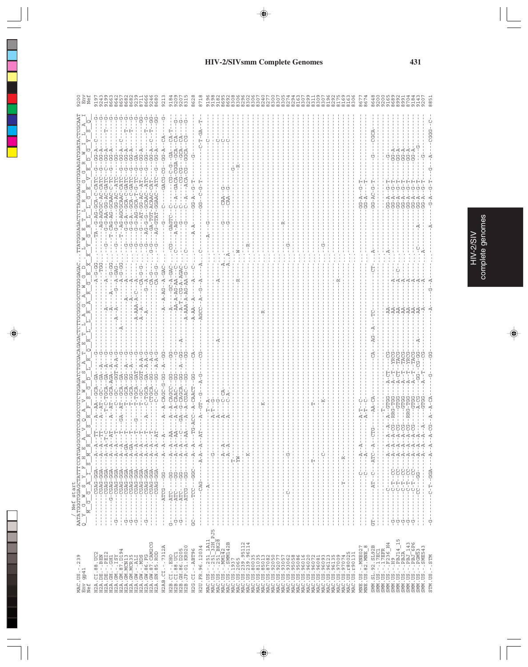စ္တ

| MAC.US.-.239<br>Env gp41                                                                                                                                                                                                                                                                                                                                                                                                                       | z<br>H<br>К<br>ひ<br>4<br>囯<br>CΩ<br>$\circ$<br>$\alpha$ Arracorocaccorrupcoarcaccorradoccorradoccorradoccorradoccorradoccorradoccorradoccorradoccorradoccorradoccorradoccorradoccorradoccorradoccorradoccorradoccorradoccorradoccorradoccorradoccorradoccorradoccorradoccorradocc                                                                            | <b>LARGOODLADADOROGAGOOROGAGOADDADDOROGOODLAD</b><br>Σ<br>α<br>ひ<br>ひ<br>н<br>囸                                                                                                                                                                                                   | 9200<br>Env                          |
|------------------------------------------------------------------------------------------------------------------------------------------------------------------------------------------------------------------------------------------------------------------------------------------------------------------------------------------------------------------------------------------------------------------------------------------------|--------------------------------------------------------------------------------------------------------------------------------------------------------------------------------------------------------------------------------------------------------------------------------------------------------------------------------------------------------------|-----------------------------------------------------------------------------------------------------------------------------------------------------------------------------------------------------------------------------------------------------------------------------------|--------------------------------------|
| Nef                                                                                                                                                                                                                                                                                                                                                                                                                                            | 回<br>lα<br>₫<br>ıα<br>lα<br>10<br>ıα<br>lα<br>lco                                                                                                                                                                                                                                                                                                            | lon<br>l۲ŋ                                                                                                                                                                                                                                                                        | Ne:                                  |
|                                                                                                                                                                                                                                                                                                                                                                                                                                                | FA<br>უ<br>ი<br>Ω<br>$\overline{A}$<br>↻<br>$\mathbf{I}$<br>$\mathsf I$                                                                                                                                                                                                                                                                                      | ひ<br>8<br>てり<br>CAT<br><b>GCA</b>                                                                                                                                                                                                                                                 |                                      |
| $\begin{array}{l} \rm I2A,\,CL,\,88\,,\,UC2\\ \rm I2A,\,DB.-IBR1\\ \rm I2A,\,CB+.-GB1\\ \rm I2A,\,CH-.-IS1\\ \rm I2A,\,CH-.-IS2\\ \rm I2A,\,CH, 1-S2\\ \rm I2A,\,CH, 1-S2\\ \rm I2A,\,CH, 1-S2\\ \rm I2A,\,CH, 1-S2\\ \rm I2A,\,CH, 1-S2\\ \rm I2A,\,CH, 1-S2\\ \rm I2A,\,CH, 1-S2\\ \rm I2A,\,CH, 1-S2\\ \rm I2A,\,CH, 1-S2\\ \rm I2A,\,CH, 2-S2\\ \rm$                                                                                       | ひ<br>- TGG<br>R.<br>ひ<br>ひ<br>К<br>Ŕ<br>F<br>E<br>$-TCGCA$<br>$\begin{split} \mathcal{L}^{(1)}_{\text{1}}&=\begin{pmatrix} 0.046-9604-+A^2-4^2-1\\ 0.046-9604-+A^2-4^2-1\\ 0.046-9604-+A^2-1\\ 0.046-9604-+A^2-1\\ 0.046-9604-+A^2-1\\ 0.046-9604-+A^2-1\\ 0.046-9604-+A^2-1\\ 0.046-9604-+A^2-1\\ 0.046-9604-+A^2-1\\ 0.0$<br>$\mathbf{I}$<br>$\frac{1}{1}$ | $AC - A$<br>ר ז<br><b>GAT</b><br>$-AA$<br>Ü<br>Ü                                                                                                                                                                                                                                  |                                      |
|                                                                                                                                                                                                                                                                                                                                                                                                                                                | <b>99</b><br>Ο<br>$-4$<br>ひ<br>К<br>$-9CA - AGA$<br>$-AT$<br>$- A -$<br>$\mathbf{I}$                                                                                                                                                                                                                                                                         | てり<br>$G - D$<br>(5)<br>턱<br>-T-CAG-AG-ACAA                                                                                                                                                                                                                                       |                                      |
|                                                                                                                                                                                                                                                                                                                                                                                                                                                | ひ<br>$A-GAG$<br>먹<br>$- A$<br>a<br>GGT-A-A<br>U<br>$\mathbf{I}$                                                                                                                                                                                                                                                                                              | 8<br>$-AT$<br>ひりー<br>ن<br>--<br>Ο                                                                                                                                                                                                                                                 |                                      |
|                                                                                                                                                                                                                                                                                                                                                                                                                                                | Ĥ<br>UU-U-U<br>K,<br>ひ<br>đ<br>$-ACA$<br>$-AT$<br>턱<br>Ś<br>$\mathbf{I}$                                                                                                                                                                                                                                                                                     | $GG - A$<br>٢ŋ<br>-AG-AGCGCAAC-CATC                                                                                                                                                                                                                                               |                                      |
|                                                                                                                                                                                                                                                                                                                                                                                                                                                | ひ<br>ひ<br>Æ<br>ゥ<br>ပု<br>$-4.$<br>$\overline{A}$<br>ჭ<br>$-$ GCA $-$<br>$-450-$<br>턱<br>$\frac{1}{4}$                                                                                                                                                                                                                                                       | ⊢<br>ь<br>$G - D$<br>てり<br>ひ<br>ULKU-U-KUU--K-U-U<br><b>LAS-1</b><br>$-450-$<br>$G-G-A$                                                                                                                                                                                           |                                      |
|                                                                                                                                                                                                                                                                                                                                                                                                                                                | ひ<br>Æ<br>$\frac{1}{\sqrt{2}}$<br>$A - A A A -$<br>ಲ<br>$-TCGCA$<br>н<br>н                                                                                                                                                                                                                                                                                   | යි<br>↻<br>$\frac{c}{1}$<br>$-AG-GCA-T$<br>むし                                                                                                                                                                                                                                     |                                      |
|                                                                                                                                                                                                                                                                                                                                                                                                                                                | ひ<br>Ò<br>$\overline{C}$<br>F<br>٢٢<br>$- A - A$<br>5<br>ロー<br>투<br>E                                                                                                                                                                                                                                                                                        | $G-G-A$<br>ひ<br>$-74T - G$<br>ပ္ပ်                                                                                                                                                                                                                                                |                                      |
|                                                                                                                                                                                                                                                                                                                                                                                                                                                | ひ<br>Ą<br>٢<br>$-4-6$<br>Ā-<br>U<br>$\,$ $\,$<br>$\dot{5}$                                                                                                                                                                                                                                                                                                   | Н<br>也<br>$- - GCAA$<br>$P-G-G-G$                                                                                                                                                                                                                                                 |                                      |
|                                                                                                                                                                                                                                                                                                                                                                                                                                                | ひ<br>C٦<br>ひ<br>$\overline{\text{CA}}$<br>Ĕ<br>-<br>$\mathbf{I}$<br>$\mathsf I$<br>$1 - 1$                                                                                                                                                                                                                                                                   | Н<br>U<br>$\tilde{A}$<br>ပု<br>$\begin{array}{ll} -\texttt{G}\texttt{A}-\texttt{T}\texttt{G}\texttt{T}-\texttt{AC}\texttt{A}\texttt{C}\texttt{C} \\ \texttt{A}\texttt{G}-\texttt{G}\texttt{T}\texttt{A}\texttt{T}-\texttt{G}\texttt{G}\texttt{A}\texttt{A}\texttt{C} \end{array}$ |                                      |
|                                                                                                                                                                                                                                                                                                                                                                                                                                                | ひ<br>じし<br>CA<br>$A - A - G$<br>$\blacksquare$<br>$\mathsf I$                                                                                                                                                                                                                                                                                                | ひ                                                                                                                                                                                                                                                                                 |                                      |
| $-.7312A$<br>H2AB.CI.                                                                                                                                                                                                                                                                                                                                                                                                                          | $-A-CAC$<br>$A - AG$<br>К<br><u>ვე</u><br>$\overline{A}$ –<br>$A-CAGC-$<br>$\overline{\phantom{a}}$<br>$-25 - -125C - -125 -$<br>$\mathbf{I}$<br>$\mathbf{I}$                                                                                                                                                                                                | ි<br>$G - A$<br>ġ<br>GACG-<br>O                                                                                                                                                                                                                                                   | 921                                  |
|                                                                                                                                                                                                                                                                                                                                                                                                                                                | ġ<br>$A-GAC$<br>しじ<br>댕<br>U<br>ť<br>ı<br>$\mathbf{I}$<br>Ů                                                                                                                                                                                                                                                                                                  | 텃<br>Ś<br>S<br>しし<br>ģ<br>CAGTC                                                                                                                                                                                                                                                   |                                      |
|                                                                                                                                                                                                                                                                                                                                                                                                                                                | ပု<br>AA-A-AG-AA<br>ಲ<br>-CAAC<br>Ţ<br>$\mathbf{I}$<br>$\mathbf I$<br>$\frac{1}{2}$ $\frac{1}{2}$                                                                                                                                                                                                                                                            | ↻<br>٠<br>$\mathbf{I}$<br>S<br>$-GCA$<br>CGGA.<br>GACA-<br>$-4$<br>υU<br>$A - AG$                                                                                                                                                                                                 |                                      |
| H2B.CI.-.BHO<br>H2B.CI.88.UC1<br>H2B.GH.86.D205<br>H2B.JP.01.KR020                                                                                                                                                                                                                                                                                                                                                                             | $-AGAC$<br>A-AAA-A-AG-AA-G-C<br>$-CC - A$<br>텃<br>К<br>9<br>멍<br>U<br>Ą<br>Ū<br>G-CAO-D<br>$A-CGAC$<br>$\frac{1}{1}$<br>J.<br>t<br>$\,$ I<br>$\mathbf{I}$                                                                                                                                                                                                    | ひ<br>↻<br>g<br>g<br>$-999 -$<br>$-GCA$<br>Ġ<br>ġ<br>Ū<br>S.<br>$-ACA$<br>U<br>◡<br>ひ<br>ひ                                                                                                                                                                                         | 831                                  |
|                                                                                                                                                                                                                                                                                                                                                                                                                                                | К<br>ť<br>$\mathsf I$                                                                                                                                                                                                                                                                                                                                        | $-4$                                                                                                                                                                                                                                                                              |                                      |
| $-.ABT96$<br>$H2G$ . $CL$ .                                                                                                                                                                                                                                                                                                                                                                                                                    | C<br>К<br>К<br>$A-AA$<br>F<br>$- A - C A A C T$<br>$-AC$<br>$- -A - -A$<br>Ť<br>$- - 2C - - - - 3CC$<br>$\mathsf I$<br>$\frac{1}{1}$<br>$G-C -$                                                                                                                                                                                                              | ب<br>ローロ<br>$G-G - A$<br>$A - A$                                                                                                                                                                                                                                                  | 862                                  |
| H2U.FR.96.12034                                                                                                                                                                                                                                                                                                                                                                                                                                | Ą<br>U<br>$-4$<br>AGCC-<br>g<br>ပု<br>-GL<br>Ą<br>$- -A - A - -A - -$<br>$\frac{1}{4}$<br>$---CAG-$<br>$\overline{\phantom{a}}$                                                                                                                                                                                                                              | $T - GA$<br>ಕ<br>ローロ<br>Ó<br>ဗွံ                                                                                                                                                                                                                                                  | 871                                  |
|                                                                                                                                                                                                                                                                                                                                                                                                                                                | $-4$<br>$\mathbf{I}$                                                                                                                                                                                                                                                                                                                                         | U<br>ひ                                                                                                                                                                                                                                                                            |                                      |
| ŗΩ<br>Гď                                                                                                                                                                                                                                                                                                                                                                                                                                       | ひ<br>н<br>$1 - 1$                                                                                                                                                                                                                                                                                                                                            |                                                                                                                                                                                                                                                                                   |                                      |
|                                                                                                                                                                                                                                                                                                                                                                                                                                                | ひ<br>$\frac{1}{2}$<br>$\blacksquare$                                                                                                                                                                                                                                                                                                                         | U                                                                                                                                                                                                                                                                                 |                                      |
|                                                                                                                                                                                                                                                                                                                                                                                                                                                | К<br>$-CA$<br>Ů<br>$A + I$<br>$\blacksquare$<br>$\frac{1}{2}$<br>$\blacksquare$                                                                                                                                                                                                                                                                              | U<br>ひ<br>$\,$ I<br>CAA<br>ひ                                                                                                                                                                                                                                                      |                                      |
|                                                                                                                                                                                                                                                                                                                                                                                                                                                | К<br>Ŗ<br>Ü<br>$\frac{1}{2}$<br>$\blacksquare$                                                                                                                                                                                                                                                                                                               | U<br>CAA<br>U                                                                                                                                                                                                                                                                     |                                      |
|                                                                                                                                                                                                                                                                                                                                                                                                                                                | $\frac{1}{1}$                                                                                                                                                                                                                                                                                                                                                | ℭ                                                                                                                                                                                                                                                                                 |                                      |
|                                                                                                                                                                                                                                                                                                                                                                                                                                                |                                                                                                                                                                                                                                                                                                                                                              |                                                                                                                                                                                                                                                                                   |                                      |
|                                                                                                                                                                                                                                                                                                                                                                                                                                                | $\,$<br>$\mathbf{I}$                                                                                                                                                                                                                                                                                                                                         |                                                                                                                                                                                                                                                                                   |                                      |
|                                                                                                                                                                                                                                                                                                                                                                                                                                                |                                                                                                                                                                                                                                                                                                                                                              |                                                                                                                                                                                                                                                                                   |                                      |
|                                                                                                                                                                                                                                                                                                                                                                                                                                                |                                                                                                                                                                                                                                                                                                                                                              |                                                                                                                                                                                                                                                                                   |                                      |
|                                                                                                                                                                                                                                                                                                                                                                                                                                                |                                                                                                                                                                                                                                                                                                                                                              |                                                                                                                                                                                                                                                                                   |                                      |
|                                                                                                                                                                                                                                                                                                                                                                                                                                                |                                                                                                                                                                                                                                                                                                                                                              |                                                                                                                                                                                                                                                                                   |                                      |
|                                                                                                                                                                                                                                                                                                                                                                                                                                                |                                                                                                                                                                                                                                                                                                                                                              |                                                                                                                                                                                                                                                                                   |                                      |
|                                                                                                                                                                                                                                                                                                                                                                                                                                                |                                                                                                                                                                                                                                                                                                                                                              |                                                                                                                                                                                                                                                                                   |                                      |
|                                                                                                                                                                                                                                                                                                                                                                                                                                                |                                                                                                                                                                                                                                                                                                                                                              |                                                                                                                                                                                                                                                                                   |                                      |
|                                                                                                                                                                                                                                                                                                                                                                                                                                                | İ<br>$\frac{1}{1}$<br>ţ<br>f,                                                                                                                                                                                                                                                                                                                                |                                                                                                                                                                                                                                                                                   |                                      |
|                                                                                                                                                                                                                                                                                                                                                                                                                                                | $- - - - - - - - - - - - - -$<br>ţ                                                                                                                                                                                                                                                                                                                           |                                                                                                                                                                                                                                                                                   |                                      |
|                                                                                                                                                                                                                                                                                                                                                                                                                                                | $\frac{1}{1}$                                                                                                                                                                                                                                                                                                                                                |                                                                                                                                                                                                                                                                                   |                                      |
|                                                                                                                                                                                                                                                                                                                                                                                                                                                | ł                                                                                                                                                                                                                                                                                                                                                            |                                                                                                                                                                                                                                                                                   |                                      |
|                                                                                                                                                                                                                                                                                                                                                                                                                                                | $\frac{1}{2}$                                                                                                                                                                                                                                                                                                                                                |                                                                                                                                                                                                                                                                                   |                                      |
|                                                                                                                                                                                                                                                                                                                                                                                                                                                | $\frac{1}{1}$                                                                                                                                                                                                                                                                                                                                                |                                                                                                                                                                                                                                                                                   |                                      |
|                                                                                                                                                                                                                                                                                                                                                                                                                                                |                                                                                                                                                                                                                                                                                                                                                              |                                                                                                                                                                                                                                                                                   |                                      |
|                                                                                                                                                                                                                                                                                                                                                                                                                                                |                                                                                                                                                                                                                                                                                                                                                              |                                                                                                                                                                                                                                                                                   |                                      |
|                                                                                                                                                                                                                                                                                                                                                                                                                                                |                                                                                                                                                                                                                                                                                                                                                              |                                                                                                                                                                                                                                                                                   |                                      |
|                                                                                                                                                                                                                                                                                                                                                                                                                                                | $\frac{1}{2}$                                                                                                                                                                                                                                                                                                                                                |                                                                                                                                                                                                                                                                                   |                                      |
|                                                                                                                                                                                                                                                                                                                                                                                                                                                |                                                                                                                                                                                                                                                                                                                                                              |                                                                                                                                                                                                                                                                                   |                                      |
|                                                                                                                                                                                                                                                                                                                                                                                                                                                |                                                                                                                                                                                                                                                                                                                                                              |                                                                                                                                                                                                                                                                                   |                                      |
|                                                                                                                                                                                                                                                                                                                                                                                                                                                | $\frac{1}{1}$<br>İ<br>$\mathbf{I}$                                                                                                                                                                                                                                                                                                                           |                                                                                                                                                                                                                                                                                   |                                      |
| $\begin{smallmatrix} \mathtt{M2.C} & \mathtt{13.1} & \mathtt{14.1} \\ \mathtt{M3.C} & \mathtt{13.1} & \mathtt{23.1} \\ \mathtt{M4.C} & \mathtt{13.1} & \mathtt{3.21} \\ \mathtt{M5.C} & \mathtt{13.1} & \mathtt{3.22} \\ \mathtt{M5.C} & \mathtt{13.1} & \mathtt{3.23} \\ \mathtt{M6.C} & \mathtt{13.2} & \mathtt{3.33} \\ \mathtt{M6.C} & \mathtt{13.2} & \mathtt{3.33} \\ \mathtt{M6.C} & \mat$                                              |                                                                                                                                                                                                                                                                                                                                                              |                                                                                                                                                                                                                                                                                   | 8162                                 |
|                                                                                                                                                                                                                                                                                                                                                                                                                                                | U<br>$\mathbf I$<br>$-1 - -1 - -1 - -1 -$<br>$\frac{1}{4}$<br>$\mathbf{I}$                                                                                                                                                                                                                                                                                   | Ü<br>4<br>59                                                                                                                                                                                                                                                                      |                                      |
| MNE.US. - MNE027<br>MNE.US. 82.MNE_8                                                                                                                                                                                                                                                                                                                                                                                                           | ◡<br>$A-T$<br>$\mathbf{1}$<br>$\mathsf I$<br>$- -A - -$<br>J.<br>j.<br>$\frac{0}{1}$<br>$\mathbf{I}$<br>$\mathbf{I}$<br>$\mathbf{I}$<br>$\mathsf I$<br>$\mathsf I$<br>$\mathsf I$<br>$\mathbf{I}$                                                                                                                                                            | ⊢<br>К<br>.<br>ტ                                                                                                                                                                                                                                                                  | 867 <sup>-</sup><br>867 <sup>-</sup> |
|                                                                                                                                                                                                                                                                                                                                                                                                                                                |                                                                                                                                                                                                                                                                                                                                                              |                                                                                                                                                                                                                                                                                   |                                      |
|                                                                                                                                                                                                                                                                                                                                                                                                                                                | 5<br>-TC<br>A<br>I<br>$-AG-$<br>I<br>$-AA-CA$<br>$G T - -$                                                                                                                                                                                                                                                                                                   | $-CGCA$<br>ب<br>e<br>ά<br>$G - 4C$                                                                                                                                                                                                                                                |                                      |
|                                                                                                                                                                                                                                                                                                                                                                                                                                                | $\mathbf{I}$<br>$\mathbf{1}=\mathbf{1}=\mathbf{1}$<br>- 11<br>Ì<br>$\mathbf{I}$<br>$\,$ I<br>$\mathbf{I}$<br>- 11                                                                                                                                                                                                                                            |                                                                                                                                                                                                                                                                                   |                                      |
|                                                                                                                                                                                                                                                                                                                                                                                                                                                | Ã<br>g<br>₹<br><b>0010--</b><br>$\mathbf I$                                                                                                                                                                                                                                                                                                                  | ひ<br>К<br>・ウロ                                                                                                                                                                                                                                                                     |                                      |
|                                                                                                                                                                                                                                                                                                                                                                                                                                                | Ã<br>YRCG<br>RRG-T<br>Ţ<br>÷,<br>$\frac{1}{2}$                                                                                                                                                                                                                                                                                                               | $G-G-A$<br>н<br>ひ<br>К<br>.<br>ყ<br>ს                                                                                                                                                                                                                                             | ന                                    |
| S                                                                                                                                                                                                                                                                                                                                                                                                                                              | TACG<br>-CT<br>ひけい<br>ひ<br>÷,                                                                                                                                                                                                                                                                                                                                | $G-G - A$                                                                                                                                                                                                                                                                         |                                      |
|                                                                                                                                                                                                                                                                                                                                                                                                                                                | A A A<br>TACG<br>A A<br>τŋ<br>÷,<br>$\frac{1}{1}$                                                                                                                                                                                                                                                                                                            | 5555<br>υ υ                                                                                                                                                                                                                                                                       |                                      |
|                                                                                                                                                                                                                                                                                                                                                                                                                                                | <b>YRCG</b><br>$-RRG-T$<br>ť                                                                                                                                                                                                                                                                                                                                 | ひ                                                                                                                                                                                                                                                                                 |                                      |
|                                                                                                                                                                                                                                                                                                                                                                                                                                                | <b>AAAAA</b><br>TACG<br>K,<br>ť<br>$\frac{1}{2}$<br>$\mathfrak l$<br>J,                                                                                                                                                                                                                                                                                      | ひ                                                                                                                                                                                                                                                                                 |                                      |
| $\begin{array}{l} \mathbf{SIM}^1,\ \mathbf{S1},\ \mathbf{32},\ \mathbf{S1292B} \\ \mathbf{SIM}^1,\ \mathbf{US}\cdot\cdot\cdot\mathbf{17BCl} \\ \mathbf{SIM}^1,\ \mathbf{US}\cdot\cdot\cdot\mathbf{1725} \\ \mathbf{SIM}^1,\ \mathbf{US}\cdot\cdot\cdot\mathbf{18} \\ \mathbf{SIM}^1,\ \mathbf{US}\cdot\cdot\cdot\mathbf{18} \\ \mathbf{SIM}^1,\ \mathbf{US}\cdot\cdot\cdot\mathbf{18} \\ \mathbf{SIM}^1,\ \mathbf{US}\cdot\cdot\cdot\mathbf{1$ | Æ<br><b>99-92</b><br>9<br>ť<br>$-1$<br>$\mathsf I$<br>$\mathsf I$<br>$\,$ I<br>$\mathbf{I}$                                                                                                                                                                                                                                                                  | $G-G-A$                                                                                                                                                                                                                                                                           |                                      |
|                                                                                                                                                                                                                                                                                                                                                                                                                                                | Æ<br>K,<br>Ŏ<br>U<br>U<br>ť<br>$- A - - A$<br>J.<br>J.<br>J.<br>$\mathsf I$<br>л<br>1<br>$\blacksquare$                                                                                                                                                                                                                                                      | К<br>.<br>ტ<br>ტ                                                                                                                                                                                                                                                                  | $\circ$<br>$\mathsf{\sim}$           |
| -.STM<br>STM.US                                                                                                                                                                                                                                                                                                                                                                                                                                | $-1 - 1 - 1 - -1 - -1 - -1$<br>J.<br>٠<br>ප්                                                                                                                                                                                                                                                                                                                 | <b>COUND</b><br>ó                                                                                                                                                                                                                                                                 | LN,<br>$\frac{\infty}{\infty}$       |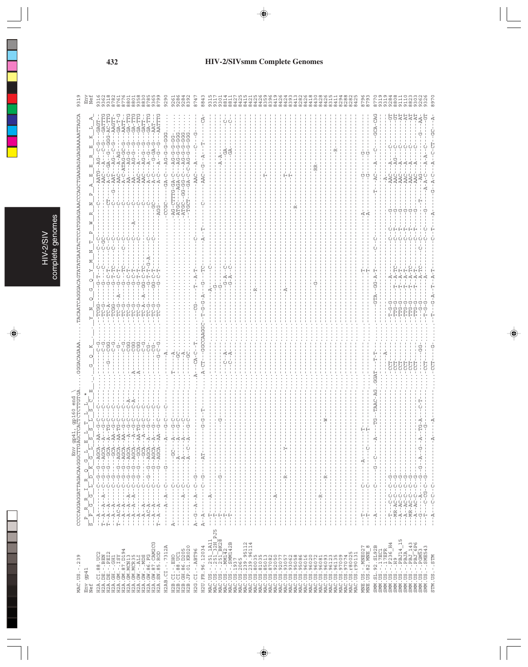| 931                                 | Env<br>Nef                                                                                                                                                                                                             |                                                                                                                |                                                                                                                                                                                                                                                                                                                                                                                                                                                                                                                                                                                                                                                                                                                                                                                                                                                                                                                                                                              |                                                         |                                                                             |                                                       |        |              |           |           |                                          |                              |                                             |                    |                                                                                                                                                                                                                                                                                                                                                                                      |                                                   | 929                                                                                                                    |                                                                                                                                                 |                                                                                                                    |                                                                                                                 |                                                                                | 874'                                                                                                              | 84<br>$\infty$                                                                                                                                                                            |                                                                                                                                                    |                                                                                                                                              |                    |                                                                                                                                                                                                                                                                                                                                                                                                                                                              |                                     |   |              |                                                                         |                                              |                                                                                                                                                                                                                                                                                                                                                                                             |                                                                                                                                                                                                                                                                                                                                                                                            |                                                                                             |                            |               |                  |                                   |                                                                    |                               |                                                    |                                                            |                    |                                |        |                                                    |                                                                     |                                                                                   |                                                                             |   |                                                                                        |                                                                                                                                                        |                                                                                     | 2つよれーてころにころららいようというのり8つこよよら2つこれにしてもられているところにころうこともられているというとうことからころはようとうこうからころからからころからのというからでもないことからな                                                                                                                                                                                                                                                                                                                              |                     | ഗ സ<br>79<br>$\infty$ $\infty$                                                                                                                                                                                     |                                                                                                                                                                                                                                                                                                        |              |   |                                             |        |                                 |                                 |   |                                                |                                                                       |                                                                       | D O O A 4 0 H O M M N V O<br>D H H 0 O H H N O V N<br>D H H 0 O H H 0 M N M                                                                                                                                                                                                                  | 97                                     |
|-------------------------------------|------------------------------------------------------------------------------------------------------------------------------------------------------------------------------------------------------------------------|----------------------------------------------------------------------------------------------------------------|------------------------------------------------------------------------------------------------------------------------------------------------------------------------------------------------------------------------------------------------------------------------------------------------------------------------------------------------------------------------------------------------------------------------------------------------------------------------------------------------------------------------------------------------------------------------------------------------------------------------------------------------------------------------------------------------------------------------------------------------------------------------------------------------------------------------------------------------------------------------------------------------------------------------------------------------------------------------------|---------------------------------------------------------|-----------------------------------------------------------------------------|-------------------------------------------------------|--------|--------------|-----------|-----------|------------------------------------------|------------------------------|---------------------------------------------|--------------------|--------------------------------------------------------------------------------------------------------------------------------------------------------------------------------------------------------------------------------------------------------------------------------------------------------------------------------------------------------------------------------------|---------------------------------------------------|------------------------------------------------------------------------------------------------------------------------|-------------------------------------------------------------------------------------------------------------------------------------------------|--------------------------------------------------------------------------------------------------------------------|-----------------------------------------------------------------------------------------------------------------|--------------------------------------------------------------------------------|-------------------------------------------------------------------------------------------------------------------|-------------------------------------------------------------------------------------------------------------------------------------------------------------------------------------------|----------------------------------------------------------------------------------------------------------------------------------------------------|----------------------------------------------------------------------------------------------------------------------------------------------|--------------------|--------------------------------------------------------------------------------------------------------------------------------------------------------------------------------------------------------------------------------------------------------------------------------------------------------------------------------------------------------------------------------------------------------------------------------------------------------------|-------------------------------------|---|--------------|-------------------------------------------------------------------------|----------------------------------------------|---------------------------------------------------------------------------------------------------------------------------------------------------------------------------------------------------------------------------------------------------------------------------------------------------------------------------------------------------------------------------------------------|--------------------------------------------------------------------------------------------------------------------------------------------------------------------------------------------------------------------------------------------------------------------------------------------------------------------------------------------------------------------------------------------|---------------------------------------------------------------------------------------------|----------------------------|---------------|------------------|-----------------------------------|--------------------------------------------------------------------|-------------------------------|----------------------------------------------------|------------------------------------------------------------|--------------------|--------------------------------|--------|----------------------------------------------------|---------------------------------------------------------------------|-----------------------------------------------------------------------------------|-----------------------------------------------------------------------------|---|----------------------------------------------------------------------------------------|--------------------------------------------------------------------------------------------------------------------------------------------------------|-------------------------------------------------------------------------------------|-----------------------------------------------------------------------------------------------------------------------------------------------------------------------------------------------------------------------------------------------------------------------------------------------------------------------------------------------------------------------------------------------------------------------------------|---------------------|--------------------------------------------------------------------------------------------------------------------------------------------------------------------------------------------------------------------|--------------------------------------------------------------------------------------------------------------------------------------------------------------------------------------------------------------------------------------------------------------------------------------------------------|--------------|---|---------------------------------------------|--------|---------------------------------|---------------------------------|---|------------------------------------------------|-----------------------------------------------------------------------|-----------------------------------------------------------------------|----------------------------------------------------------------------------------------------------------------------------------------------------------------------------------------------------------------------------------------------------------------------------------------------|----------------------------------------|
|                                     | 口<br>≃<br>囯<br>回<br>A,<br>$\mathsf{p}_4$<br>$\square$<br>q<br>Σ                                                                                                                                                        | <b>GAGT</b><br>U<br>U                                                                                          | めめほ<br>◡<br>$\begin{array}{l} \mathbf{AB} \mathbf{B} = -\mathbf{A}\mathbf{G} = -\mathbf{G} \\ \mathbf{A}\mathbf{A} = -\mathbf{A} \\ \mathbf{A}\mathbf{A} = -\mathbf{A}\mathbf{G} = -\mathbf{G} \\ \mathbf{A}\mathbf{A} = -\mathbf{A}\mathbf{G} = -\mathbf{G} \\ \mathbf{A}\mathbf{A} = -\mathbf{A}\mathbf{A} \\ \mathbf{A}\mathbf{A} = -\mathbf{A}\mathbf{A} \\ \mathbf{A}\mathbf{A} = -\mathbf{A}\mathbf{A} \\ \mathbf{A}\mathbf{A} = -\mathbf{A$                                                                                                                                                                                                                                                                                                                                                                                                                                                                                                                           | ġ<br>$\,$ $\,$<br>ت                                     | ひ<br>$\overline{C}$<br>ひ<br>$\blacksquare$<br>↻                             | U                                                     | Ů      |              |           | ↻         |                                          |                              | <b>ひひひひひひ</b>                               | ↻                  | υυ<br>$-5 - -5 - -6 - -6 - 12$<br>$-6 - 6 - -6 - 12$<br>$-6 - 6 - -6 - 12$<br>ひ                                                                                                                                                                                                                                                                                                      | 9                                                 | <b>ეეთ-ს</b><br>ひ<br>$AG-1$<br>U<br>GA<br>CCGC                                                                         | ம் ம்<br>$\overset{\text{A}}{\overset{\text{C}}{\mathsf{A}}}{}^-\overset{\text{C}}{\phantom{+}}{}$<br>U<br>$GA-$<br>CTTTG<br>$AG-$              | EÃ<br>TGC                                                                                                          | どり<br>ひ<br>ひひひひ<br>ά<br>$\triangle$ $\triangle$<br><b>U</b> -99-<br>ن<br>ون<br>$\overline{\phantom{a}}$<br>ATGC | ひ<br>ά<br>U                                                                    | U<br>AAC                                                                                                          | ひ<br>AAC.                                                                                                                                                                                 |                                                                                                                                                    |                                                                                                                                              | К                  | υU<br>F                                                                                                                                                                                                                                                                                                                                                                                                                                                      | S                                   |   |              |                                                                         |                                              |                                                                                                                                                                                                                                                                                                                                                                                             |                                                                                                                                                                                                                                                                                                                                                                                            |                                                                                             |                            |               |                  |                                   |                                                                    |                               |                                                    |                                                            |                    |                                | ά      |                                                    |                                                                     |                                                                                   | ≃                                                                           |   |                                                                                        |                                                                                                                                                        |                                                                                     |                                                                                                                                                                                                                                                                                                                                                                                                                                   | τŋ                  | τŋ<br>ひ<br>K.                                                                                                                                                                                                      | UAU-KUU<br>U<br>K,<br>AC.                                                                                                                                                                                                                                                                              |              |   | 5<br>◡                                      | U      | 5<br>Ġ                          | AТ                              |   | ひひひひ<br>00000<br><b>AAAAA</b>                  | AT<br>AT<br>AT<br>ようさんひん<br>めめめめめめ                                    | $-AA$<br>τ٠                                                           | 5                                                                                                                                                                                                                                                                                            | ں<br>ت                                 |
|                                     | $\mathbf{\Omega}$<br>$\mathbb H$<br>$\square$<br>Σ<br>$\circ$<br>ひ<br>$\circ$<br>Z                                                                                                                                     | $\,$ I<br>$\cup$<br><b>TCGG</b>                                                                                | UUUUUU<br>ひ<br>↻<br><b>ひひひひひひひひひ</b><br>לאָפּלַט לאָפּלַט<br>לאָפּלַט לאָפּלַט לאָפּלַט<br>לאָפּלַט לאָפּלַט לאָפּל                                                                                                                                                                                                                                                                                                                                                                                                                                                                                                                                                                                                                                                                                                                                                                                                                                                          | $\blacksquare$<br>UUU<br><b><i><u>OHOIOOHOH</u></i></b> | $\mathbf{I}$                                                                | Ą                                                     | ∪      |              | U         | U         | U                                        |                              | းဗွံ ဗှံ $\frac{1}{2}$                      | U                  | €<br>U<br>9<br>G                                                                                                                                                                                                                                                                                                                                                                     | τŋ                                                |                                                                                                                        |                                                                                                                                                 |                                                                                                                    |                                                                                                                 |                                                                                |                                                                                                                   | F<br>ᄳ<br>К<br>ひ<br>Ò                                                                                                                                                                     | ↻                                                                                                                                                  | ひ                                                                                                                                            | τŋ                 | υU<br>٠<br>$-4$<br>ဗှံ ဗှံ                                                                                                                                                                                                                                                                                                                                                                                                                                   |                                     |   |              |                                                                         |                                              |                                                                                                                                                                                                                                                                                                                                                                                             |                                                                                                                                                                                                                                                                                                                                                                                            |                                                                                             |                            |               |                  |                                   |                                                                    |                               |                                                    |                                                            |                    |                                |        |                                                    |                                                                     |                                                                                   |                                                                             |   |                                                                                        |                                                                                                                                                        |                                                                                     |                                                                                                                                                                                                                                                                                                                                                                                                                                   |                     |                                                                                                                                                                                                                    | H<br>d<br>ġ<br>GTA                                                                                                                                                                                                                                                                                     |              |   | U<br>ひ                                      |        |                                 |                                 |   | HHHHH                                          | しせせせせい<br>ひひひひひひ<br>ב - - - - - -<br>דדדדדד<br>אאאאא<br>ひ ひ ひ ひ ひ ひ ひ |                                                                       | ひ<br>무                                                                                                                                                                                                                                                                                       |                                        |
| GGGACAGAAA                          | $\alpha$<br>ひ                                                                                                                                                                                                          |                                                                                                                | <b>baad</b><br>DOOD                                                                                                                                                                                                                                                                                                                                                                                                                                                                                                                                                                                                                                                                                                                                                                                                                                                                                                                                                          | ひ                                                       |                                                                             |                                                       |        |              |           |           |                                          |                              |                                             | $\frac{1}{2}$<br>Ū | ட ம<br>ÜΟ                                                                                                                                                                                                                                                                                                                                                                            | Ó                                                 | К                                                                                                                      | $-4$<br>$-4$                                                                                                                                    |                                                                                                                    | KU                                                                                                              | ŭ                                                                              | U<br>S                                                                                                            | GGCCA<br>5                                                                                                                                                                                |                                                                                                                                                    |                                                                                                                                              |                    | $-4$<br>υU                                                                                                                                                                                                                                                                                                                                                                                                                                                   |                                     |   |              |                                                                         |                                              |                                                                                                                                                                                                                                                                                                                                                                                             |                                                                                                                                                                                                                                                                                                                                                                                            |                                                                                             |                            |               |                  |                                   |                                                                    |                               |                                                    |                                                            |                    |                                |        |                                                    |                                                                     |                                                                                   |                                                                             |   |                                                                                        |                                                                                                                                                        |                                                                                     |                                                                                                                                                                                                                                                                                                                                                                                                                                   |                     |                                                                                                                                                                                                                    |                                                                                                                                                                                                                                                                                                        |              | Æ | 텅                                           |        | 5                               | 팅                               | 5 |                                                |                                                                       |                                                                       |                                                                                                                                                                                                                                                                                              |                                        |
|                                     | 囸<br>ΙU<br>급<br> ທ<br>山<br>lω<br>ျပာ<br>凹<br>니<br>中<br>lФ<br>U<br>$\alpha^{ \kappa}$<br>∣≏<br>$\mathbbm{R}$<br>$\left\vert \square\right\vert$<br>$\vdash$<br>cل<br>$\square$<br>lФ<br>α<br>ıμ<br>$\mathsf{p}_4$<br>ΙM | К<br>$-1$<br>$-AGCA$<br>$\frac{1}{\sqrt{2}}$<br>Ö<br>U<br>$\mathbf{I}$<br>$\mathbf{I}$<br>$\,$ I<br>$-4$<br>п. | <b>UUUUUUU</b><br>O O O O O O O O O O O O<br>$\begin{array}{l} \mathbf{3} \vdots \quad \mathbf{1} \mathbf{1} \mathbf{2} \mathbf{3} \mathbf{4} \mathbf{5} \mathbf{6} \mathbf{7} \mathbf{7} \mathbf{8} \mathbf{8} \mathbf{7} \mathbf{8} \mathbf{8} \mathbf{9} \mathbf{1} \mathbf{1} \mathbf{1} \mathbf{1} \mathbf{1} \mathbf{1} \mathbf{1} \mathbf{1} \mathbf{1} \mathbf{1} \mathbf{1} \mathbf{1} \mathbf{1} \mathbf{1} \mathbf{1} \mathbf{1} \mathbf{1} \mathbf{1} \mathbf{$<br>↻<br>$\mathbf{I}$<br>A<br>$\mathbf{I}$<br>$\mathbf{I}$<br>$\begin{array}{lll} \mathbf{1} & -\mathbf{A} & -\mathbf{A} \\ \mathbf{2} & -\mathbf{A} & -\mathbf{A} \\ \mathbf{3} & -\mathbf{A} & -\mathbf{A} \\ \mathbf{4} & -\mathbf{A} & -\mathbf{A} \\ \mathbf{5} & -\mathbf{A} & -\mathbf{A} \\ \mathbf{6} & -\mathbf{A} & -\mathbf{A} \\ \mathbf{7} & -\mathbf{A} & -\mathbf{A} \\ \mathbf{8} & -\mathbf{A} & -\mathbf{A} \\ \mathbf{9} & -\mathbf{A} & -\mathbf{A} \\ \mathbf{1$<br>$- - A$ | U<br>ŦΤ<br>÷<br>FЕ                                      | <b>ひひひひひひ</b><br>4월<br>U<br>$\mathbf{I}$<br>÷Î.<br>$\overline{\phantom{a}}$ | U<br>$\frac{1}{4}$<br>$\frac{1}{1}$<br>$\overline{H}$ | U<br>÷ | $-44$<br>TH. | U<br>$-4$ | U<br>$-4$ | e<br>U<br>$\frac{1}{4}$<br>$\frac{1}{1}$ | л.<br>$\mathbf{I}$<br>U<br>÷ | ひひひ<br>ひひひ<br>$\circ$<br>Ħ<br>$\frac{1}{4}$ | $\sf I$            | ↻<br>U<br>$\frac{1}{4}$<br>$\begin{array}{c} \rule{0.2cm}{0.15mm} \rule{0.2cm}{0.15mm} \rule{0.2cm}{0.15mm} \rule{0.2cm}{0.15mm} \rule{0.2cm}{0.15mm} \rule{0.2cm}{0.15mm} \rule{0.2cm}{0.15mm} \rule{0.2cm}{0.15mm} \rule{0.2cm}{0.15mm} \rule{0.2cm}{0.15mm} \rule{0.2cm}{0.15mm} \rule{0.2cm}{0.15mm} \rule{0.2cm}{0.15mm} \rule{0.2cm}{0.15mm} \rule{0.2cm}{0.15mm} \rule{$<br>÷ | U<br>◡<br>ひ<br>$\frac{1}{2}$<br>÷<br>$\mathbb{H}$ | ひ<br>- - A<br>$\frac{1}{1}$<br>$\frac{1}{\sqrt{2}}$<br>$\,$ I<br>C<br>$- - A$<br>К<br>Ţ<br>$\mathbf{I}$<br>$\mathsf I$ | <b>ひ ひ</b><br>$- - A$<br>$-55$<br>ł.<br>$\mathsf I$<br>U<br>Ť.<br>$\mathbf{I}$<br>$\mathbb{I}$<br>п<br>$\mathsf I$<br>$\stackrel{-}{\mathbb A}$ | ◡<br>$\mathbb{I}$<br>$\mathsf I$<br>Ħ<br>$\,$<br>$\mathbf{I}$<br>٠<br>$\mathbb{L}$<br>$\mathbb{L}$<br>$\mathbf{I}$ | $-1 - A$<br>Ť<br>÷<br>44<br>$\mathbf{I}$                                                                        | U<br>$-4$<br>$\frac{1}{2}$<br>$\mathbf{1}$<br>- 1<br>$\mathbf{1}$<br>- 11      | ÷<br>$\blacksquare$<br>לי<br>י<br>U<br>ŧ<br>К<br>Ť<br>Ą<br>$\mathbf{r}$<br>$\frac{1}{\sqrt{2}}$<br>$\mathbb{A}^-$ | ᄳ<br>ひ<br>$-RT -$<br>$\mathbf{I}$<br>$\blacksquare$<br>$\frac{1}{2}$<br>U<br>$\mathbf{I}$<br>$\mathbf{I}$<br>$\mathbf{I}$<br>$\mathbf{I}$<br>$\blacksquare$<br>$\blacksquare$<br>$A - -A$ | 甘<br>$\mathbf{I}$<br>$\mathbf{I}$<br>$\blacksquare$<br>$\mathbf{I}$<br>$\mathbf{I}$<br>$\mathbb{I}$<br>$-4$<br>$\mathbb{I}$<br>$\frac{1}{4}$<br>부부 | $\mathbf I$<br>$\mathbf{1}$<br>$\mathbf{I}$<br>$\mathbf{I}$<br>$\mathbf{I}$<br>٠<br>$\mathbf{I}$<br>$\frac{1}{1}$<br>$\,$ I<br>$\frac{1}{4}$ | $\frac{1}{4}$<br>부 | $\frac{1}{1}$<br>$\frac{1}{1}$<br>$\mathbf{I}$<br>$\mathbf{I}$<br>$\mathbf{I}$<br>$\begin{array}{c} \rule{0.2cm}{0.15mm} \rule{0.2cm}{0.15mm} \rule{0.2cm}{0.15mm} \rule{0.2cm}{0.15mm} \rule{0.2cm}{0.15mm} \rule{0.2cm}{0.15mm} \rule{0.2cm}{0.15mm} \rule{0.2cm}{0.15mm} \rule{0.2cm}{0.15mm} \rule{0.2cm}{0.15mm} \rule{0.2cm}{0.15mm} \rule{0.2cm}{0.15mm} \rule{0.2cm}{0.15mm} \rule{0.2cm}{0.15mm} \rule{0.2cm}{0.15mm} \rule{$<br>$\mathbf{I}$<br>부부 | $\frac{1}{1}$<br>f,<br>$\mathbf{L}$ | ł | $\mathbf{I}$ | J.<br>$\frac{1}{1}$<br>$\mathbf{I}$<br>٠<br>$\mathbb{I}$<br>$\mathsf I$ | $\frac{1}{1}$<br>$\,$ I<br>1<br>$\mathbf{I}$ | $\frac{1}{1}$<br>$\begin{array}{c} \rule{0.2cm}{0.15mm} \rule{0.2cm}{0.15mm} \rule{0.2cm}{0.15mm} \rule{0.2cm}{0.15mm} \rule{0.2cm}{0.15mm} \rule{0.2cm}{0.15mm} \rule{0.2cm}{0.15mm} \rule{0.2cm}{0.15mm} \rule{0.2cm}{0.15mm} \rule{0.2cm}{0.15mm} \rule{0.2cm}{0.15mm} \rule{0.2cm}{0.15mm} \rule{0.2cm}{0.15mm} \rule{0.2cm}{0.15mm} \rule{0.2cm}{0.15mm} \rule{$<br>$\mathfrak l$<br>÷ | $\frac{1}{1}$<br>$\begin{array}{c} \rule{0.2cm}{0.15mm} \rule{0.2cm}{0.15mm} \rule{0.2cm}{0.15mm} \rule{0.2cm}{0.15mm} \rule{0.2cm}{0.15mm} \rule{0.2cm}{0.15mm} \rule{0.2cm}{0.15mm} \rule{0.2cm}{0.15mm} \rule{0.2cm}{0.15mm} \rule{0.2cm}{0.15mm} \rule{0.2cm}{0.15mm} \rule{0.2cm}{0.15mm} \rule{0.2cm}{0.15mm} \rule{0.2cm}{0.15mm} \rule{0.2cm}{0.15mm} \rule{$<br>J.<br>$\mathbf I$ | $\frac{1}{4}$<br>$\frac{1}{1}$<br>ł<br>$\overline{\phantom{a}}$<br>$\overline{\phantom{a}}$ | ŧ<br>$\,$ I<br>$\mathsf I$ | $\frac{1}{1}$ | ţ<br>$\mathbf I$ | $\mathbf{I}$<br>1<br>$\mathbf{I}$ | $-7 -$<br>$\frac{1}{4}$<br>$- -R - - -$<br>÷<br>J.<br>$\mathbf{I}$ | 1<br>J.<br>J,<br>$\mathbf{I}$ | $\,$ I<br>$\frac{1}{1}$<br>$\frac{1}{1}$<br>$\,$ I | $\frac{1}{1}$<br>$\frac{1}{1}$<br>$\overline{\phantom{a}}$ | ţ<br>$\frac{1}{1}$ | $\frac{1}{1}$<br>$\frac{1}{1}$ | ţ<br>ţ | $\frac{1}{4}$<br>$\mathsf I$<br>$---R-$<br>J.<br>1 | $- - - - - - - - - - - - - -$<br>$\mathbf{I}$<br>$\frac{1}{4}$<br>Ť | $\,$ l<br>1<br>$\,$ I<br>Ť.<br>$\frac{1}{1}$<br>I.<br>I<br>$\mathbf{I}$<br>$\,$ I | I<br>$\frac{1}{1}$<br>$\frac{1}{1}$<br>$\frac{1}{1}$<br>$\frac{1}{1}$<br>f, | J | ł.<br>$\frac{1}{1}$<br>$\mathsf I$<br>$\mathsf I$<br>$\frac{1}{1}$<br>1<br>$\mathsf I$ | $\mathbf{I}$<br>$\frac{1}{4}$<br>J.<br>$\,$<br>$\frac{1}{1}$<br>$\frac{1}{2}$<br>$\frac{1}{1}$<br>J.<br>ł<br>$\frac{1}{4}$<br>٠<br>$\mathsf I$<br>$\,$ | Ť<br>$\mathbf{I}$<br>$\,$<br>f,<br>t<br>$\frac{1}{1}$<br>$\mathsf I$<br>$\mathbf I$ |                                                                                                                                                                                                                                                                                                                                                                                                                                   | U<br>$\blacksquare$ | $\blacksquare$<br>U<br>$\,$ $\,$<br>$\mathbf{I}$<br>$-4 - 2$<br>ı<br>I.<br>$\blacksquare$<br>$\mathbf I$<br>1<br>- 1<br>$\,$ I<br>U<br>$\overline{1}$<br>-<br>$\overline{1}$<br>-<br>$\,$ I<br>$\frac{1}{4}$<br>부부 | TAAC-AG<br>$-1$<br>t<br>ပုံ<br>ローー<br>$\,$ $\,$<br>U<br>$\frac{1}{4}$<br>$\sf I$<br>$\,$<br>$\mathbf{I}$<br>$-1 - 4 - 1$<br>$\mathsf I$                                                                                                                                                                | J.<br>٠<br>٠ |   | $\mathbf{I}$<br>؋<br>↻<br>$-1 - 1 - 1$<br>턱 | ◡<br>÷ | ٠<br>さー<br>÷<br>$--M$ R $-AC-C$ | $\mathsf I$<br>ن<br>ا<br>U<br>÷ | ↻ | J.<br>٠<br>J.<br>٠<br>٠<br>ပုံ ပုံ<br>   <br>U | I,<br>٠<br>1<br>نې<br>۱<br>U<br>444                                   | 4--5--4--5--5<br>$\overline{\phantom{a}}$<br>$\overline{\phantom{a}}$ | J.<br>$rac{1}{\sqrt{2}}$<br>U-50-U---                                                                                                                                                                                                                                                        | J.<br>U<br>l,<br>U-D-1<br>$- A -$<br>J |
| C<br>.23<br>$\frac{1}{2}$<br>MAC.US | 9P41<br>Env<br>Nef                                                                                                                                                                                                     |                                                                                                                | $\begin{array}{l} \rm{H2A}, \rm{CI}.88 \, , \rm{UC2} \\ \rm{H2A}, \rm{DB} \, - \, 1 \, \rm{BBI} \\ \rm{H2A}, \rm{GB} \, - \, 1 \, \rm{SBI} \\ \rm{H2A}, \rm{GH} \, - \, 1 \, \rm{SH} \\ \rm{H2A}, \, \rm{OH}, \, - \, 1 \, \rm{SH} \\ \rm{H2A}, \, \rm{OH}, \, \rm{MOM113} \\ \rm{H2A}, \, \rm{OH}, \, \rm{MOM13} \\ \rm{H2A}, \, \rm{OH}, \, \rm{MCM13} \\ \$                                                                                                                                                                                                                                                                                                                                                                                                                                                                                                                                                                                                               |                                                         |                                                                             |                                                       |        |              |           |           |                                          |                              |                                             |                    |                                                                                                                                                                                                                                                                                                                                                                                      |                                                   | $-.7312A$<br>H2AB.CI                                                                                                   |                                                                                                                                                 |                                                                                                                    |                                                                                                                 | $\circ$<br>H2B.CI.-. EHO<br>H2B.CI.88.UC1<br>H2B.GH.86.D205<br>H2B.JP.01.KR020 | $-.ABT96$<br>H2G.CI.                                                                                              | 4<br>H2U. FR. 96.1203                                                                                                                                                                     |                                                                                                                                                    | PJ5                                                                                                                                          |                    |                                                                                                                                                                                                                                                                                                                                                                                                                                                              |                                     |   |              |                                                                         |                                              |                                                                                                                                                                                                                                                                                                                                                                                             |                                                                                                                                                                                                                                                                                                                                                                                            |                                                                                             |                            |               |                  |                                   |                                                                    |                               |                                                    |                                                            |                    |                                |        |                                                    |                                                                     |                                                                                   |                                                                             |   |                                                                                        |                                                                                                                                                        |                                                                                     | $\begin{small} \texttt{MEC} & \texttt{US} & \texttt{1} & \texttt{1} & \texttt{1} & \texttt{1} & \texttt{1} & \texttt{1} & \texttt{1} & \texttt{1} & \texttt{1} & \texttt{1} & \texttt{1} & \texttt{1} & \texttt{1} & \texttt{1} & \texttt{1} & \texttt{1} & \texttt{1} & \texttt{1} & \texttt{1} & \texttt{1} & \texttt{1} & \texttt{1} & \texttt{1} & \texttt{1} & \texttt{1} & \texttt{1} & \texttt{1} & \texttt{1} & \texttt{$ |                     | $3. - NME027$<br>$3.82. MNE_8$<br>MNE.US.<br>MNE.US.                                                                                                                                                               | $\begin{array}{ll} 32.3192 \\ 3.1.17 \\ 2.17 \\ 3.1.17 \\ 3.17 \\ 3.17 \\ 3.17 \\ 3.17 \\ 3.0 \\ 4.19 \\ 5.14 \\ 6.11 \\ 7.19 \\ 8.14 \\ 9.19 \\ 10.14 \\ 11.19 \\ 12.18 \\ 13.19 \\ 14.19 \\ 15.19 \\ 16.19 \\ 17.19 \\ 18.19 \\ 19.19 \\ 13.19 \\ 14.19 \\ 15.19 \\ 16.19 \\ 17.19 \\ 18.19 \\ 19.1$ |              |   | H4                                          |        |                                 | LO<br>$\frac{1}{4}$             |   |                                                | $\sim$<br>; PBJ14_1<br>; PBJA<br>; PBJ_143<br>; PBJ_6P6               | $ PGN5$                                                               | 3<br>54<br>.SME!<br>$\begin{tabular}{c} 25.585 & 25.185 & 25.185 & 25.185 \\ 25.185 & 25.185 & 25.185 & 25.185 \\ 25.185 & 25.185 & 25.185 & 25.185 \\ 25.185 & 25.185 & 25.185 & 25.185 \\ 25.185 & 25.185 & 25.185 & 25.185 \\ 25.185 & 25.185 & 25.185 & 25.185 \\ 25.185 & 25.185 & 25.$ | <b>NLS</b><br><b>TIS</b><br>STM.       |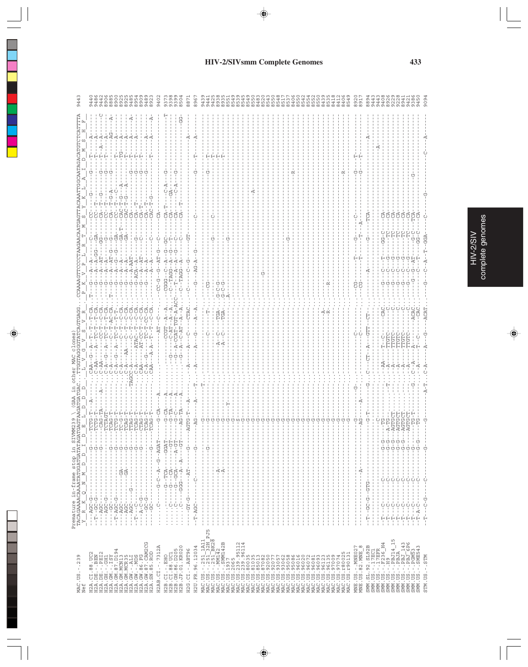| ĭ | es<br>aenom<br>Š<br>⋍<br>i<br>▖ |
|---|---------------------------------|
|---|---------------------------------|

| G<br>$\infty$<br>$\ddot{a}$<br>$\mathbf{I}$<br>SΩ.<br>MAC.<br>Nef                                                                                                                                                                                                                                                                                                                                                                       | Premature in-frame stop in SIV<br>TACAGAAACAAAATATGGATGATATAGF<br>_Y_R_R_Q_M_M_D_D_I_I                          |                               |                 |             |                                 |                 |                                      |                          |          |        |                                           |
|-----------------------------------------------------------------------------------------------------------------------------------------------------------------------------------------------------------------------------------------------------------------------------------------------------------------------------------------------------------------------------------------------------------------------------------------|-----------------------------------------------------------------------------------------------------------------|-------------------------------|-----------------|-------------|---------------------------------|-----------------|--------------------------------------|--------------------------|----------|--------|-------------------------------------------|
|                                                                                                                                                                                                                                                                                                                                                                                                                                         |                                                                                                                 |                               |                 |             |                                 |                 |                                      |                          |          | ᄑ<br>Σ |                                           |
| $\begin{array}{l} \rm I2A,\,CL,\,88\,,\,UC2\\ \rm I2A,\,DB.-IBEN\\ \rm I2A,\,GB.-GBI\\ \rm I2A,\,CH.-GB\\ \rm I2A,\,CH.-LSS\\ \rm I2A,\,CH.-LSS\\ \rm I2A,\,CH,\,CH,\,IC3\\ \rm I2A,\,CH,\,IC3\\ \rm I2A,\,CH,\,IC3\\ \rm I2A,\,CH,\,IC3\\ \rm I2A,\,CH,\,IC4\\ \rm I2A,\,CH,\,IC4\\ \rm I2A,\,CH,\,IC4\\ \rm I2A,\,CH,\,IC4\\ \rm I2A,\,CH,\,IC4\\ \rm I2A,\,CH,\,IC4\\ \rm$                                                           |                                                                                                                 |                               |                 |             |                                 |                 | <b>ှ</b> မှုမှုမှန်မှုမှု<br>ひ       |                          |          |        |                                           |
|                                                                                                                                                                                                                                                                                                                                                                                                                                         |                                                                                                                 |                               |                 | AA.<br>O    |                                 | I               | 50-<br>ひ ひ ひ ひ ひ ひ ひ ひ ひ             | ජි<br>g                  | ь<br>변   |        |                                           |
|                                                                                                                                                                                                                                                                                                                                                                                                                                         |                                                                                                                 | $\mathbf{I}$                  |                 |             | 부<br>Ü                          | GES             |                                      |                          | Н<br>ひひひ |        |                                           |
|                                                                                                                                                                                                                                                                                                                                                                                                                                         |                                                                                                                 | ÷                             |                 |             | $\vec{A}$<br>부                  |                 |                                      | н<br>f,<br>U S           | $G - A$  |        | <b>www.php</b>                            |
|                                                                                                                                                                                                                                                                                                                                                                                                                                         |                                                                                                                 | ÷                             |                 |             | ÷<br>ロし<br>$\frac{1}{\sqrt{2}}$ | $\mathsf{H}$    | υv                                   | Н<br>J.<br>g             | 白白       |        |                                           |
|                                                                                                                                                                                                                                                                                                                                                                                                                                         |                                                                                                                 | ÷.                            |                 |             | 부                               | U               |                                      | 먹<br>$CAC -$             |          |        |                                           |
|                                                                                                                                                                                                                                                                                                                                                                                                                                         |                                                                                                                 | ÷.                            |                 |             | 부<br>$-AA$                      | <u>Lagaa</u>    |                                      | ひ<br>Ü                   | HHH      |        |                                           |
|                                                                                                                                                                                                                                                                                                                                                                                                                                         |                                                                                                                 | ÷                             |                 |             | HH                              |                 |                                      |                          |          |        |                                           |
|                                                                                                                                                                                                                                                                                                                                                                                                                                         |                                                                                                                 | ÷<br>÷.                       |                 |             | 부                               | F               | Ů<br>U                               | $\overline{\phantom{a}}$ | てりてりてり   |        |                                           |
|                                                                                                                                                                                                                                                                                                                                                                                                                                         |                                                                                                                 |                               |                 | CAA.        | ひ                               | F               | К                                    | ī.                       |          |        |                                           |
|                                                                                                                                                                                                                                                                                                                                                                                                                                         |                                                                                                                 | $\mathbf{I}$                  |                 | $C - A$     | $- A - A$                       | ů               | U                                    | CAC-                     |          |        |                                           |
|                                                                                                                                                                                                                                                                                                                                                                                                                                         |                                                                                                                 |                               |                 |             |                                 |                 |                                      |                          |          |        |                                           |
| $-.7312A$<br>H2AB.CI.                                                                                                                                                                                                                                                                                                                                                                                                                   |                                                                                                                 |                               |                 |             |                                 |                 | U<br>H<br>ひ<br>じしひ                   | S                        |          |        | 940:                                      |
| H2B.CI.-.BHO<br>H2B.CI.88.UC1<br>H2B.GH.86.D205<br>H2B.JP.01.KR020                                                                                                                                                                                                                                                                                                                                                                      |                                                                                                                 | ÷                             |                 |             | ERT<br>USI                      |                 | Ο⊣<br>$\circ$                        | ⊢<br>$5555$              | ↻        |        |                                           |
|                                                                                                                                                                                                                                                                                                                                                                                                                                         |                                                                                                                 | ÷                             |                 |             | $-CCAT$<br>(7)<br>К<br>υ υ      |                 | ↻<br>てり<br>-TAGG<br>$\mathbb H$<br>U |                          |          |        |                                           |
|                                                                                                                                                                                                                                                                                                                                                                                                                                         |                                                                                                                 | ÷<br>÷.                       |                 |             | $C - P T$<br>÷<br>U             |                 | $-TAG$<br>U                          |                          |          |        |                                           |
|                                                                                                                                                                                                                                                                                                                                                                                                                                         |                                                                                                                 |                               |                 |             |                                 |                 |                                      |                          |          |        |                                           |
| H2G.CI.-.ABT96                                                                                                                                                                                                                                                                                                                                                                                                                          |                                                                                                                 | $\mathbf{I}$                  | Æ<br><b>GTG</b> |             | U<br>К                          | CTAC            | U<br>T)                              |                          |          |        | $\infty$                                  |
| H2U. FR. 96.12034                                                                                                                                                                                                                                                                                                                                                                                                                       | 土田                                                                                                              | - 11                          |                 |             | ひ<br>К                          |                 | AG                                   |                          |          |        | 96                                        |
|                                                                                                                                                                                                                                                                                                                                                                                                                                         |                                                                                                                 |                               |                 |             |                                 |                 |                                      |                          |          |        | 4                                         |
| Ļ٢<br>$\begin{small} &\texttt{M2:1} & \texttt{1}} & \texttt{1}} & \texttt{1} & \texttt{211} & \texttt{1}} \\ \texttt{M2:1} & \texttt{1} & \texttt{2} & \texttt{21} & \texttt{21} \\ \texttt{M3:1} & \texttt{1} & \texttt{21} & \texttt{21} \\ \texttt{M4:2} & \texttt{1} & \texttt{21} & \texttt{22} \\ \texttt{M5:1} & \texttt{1} & \texttt{21} & \texttt{22} \\ \texttt{M6:1} & \texttt{1} & \texttt{21} & \texttt$                   |                                                                                                                 | $\overline{1}$                |                 |             |                                 | 텃               | Ū                                    |                          | Н        |        |                                           |
|                                                                                                                                                                                                                                                                                                                                                                                                                                         |                                                                                                                 |                               |                 |             |                                 |                 |                                      |                          | н        |        |                                           |
|                                                                                                                                                                                                                                                                                                                                                                                                                                         |                                                                                                                 |                               |                 |             | υU<br>ΑA                        | ししょ<br>TGA.     | <b>ひ ひ</b><br>ਹੋ ਹ                   |                          | FЕ       |        |                                           |
|                                                                                                                                                                                                                                                                                                                                                                                                                                         |                                                                                                                 |                               |                 |             |                                 | TGA             |                                      |                          |          |        |                                           |
|                                                                                                                                                                                                                                                                                                                                                                                                                                         |                                                                                                                 |                               |                 |             |                                 |                 |                                      |                          |          |        |                                           |
|                                                                                                                                                                                                                                                                                                                                                                                                                                         |                                                                                                                 |                               |                 |             |                                 |                 |                                      |                          |          |        |                                           |
|                                                                                                                                                                                                                                                                                                                                                                                                                                         |                                                                                                                 |                               |                 |             |                                 |                 |                                      |                          |          |        |                                           |
|                                                                                                                                                                                                                                                                                                                                                                                                                                         |                                                                                                                 |                               |                 |             |                                 |                 |                                      |                          |          |        |                                           |
|                                                                                                                                                                                                                                                                                                                                                                                                                                         |                                                                                                                 |                               |                 |             |                                 |                 |                                      |                          |          |        |                                           |
|                                                                                                                                                                                                                                                                                                                                                                                                                                         |                                                                                                                 |                               |                 |             |                                 |                 |                                      |                          |          |        |                                           |
|                                                                                                                                                                                                                                                                                                                                                                                                                                         |                                                                                                                 |                               |                 |             |                                 |                 |                                      |                          |          |        |                                           |
|                                                                                                                                                                                                                                                                                                                                                                                                                                         |                                                                                                                 |                               |                 |             |                                 |                 |                                      |                          |          |        |                                           |
|                                                                                                                                                                                                                                                                                                                                                                                                                                         |                                                                                                                 |                               |                 |             |                                 |                 |                                      |                          |          |        |                                           |
|                                                                                                                                                                                                                                                                                                                                                                                                                                         |                                                                                                                 |                               |                 |             |                                 |                 |                                      |                          |          |        |                                           |
|                                                                                                                                                                                                                                                                                                                                                                                                                                         |                                                                                                                 |                               |                 |             |                                 |                 |                                      |                          |          |        |                                           |
|                                                                                                                                                                                                                                                                                                                                                                                                                                         |                                                                                                                 |                               |                 |             |                                 |                 |                                      |                          |          |        |                                           |
|                                                                                                                                                                                                                                                                                                                                                                                                                                         |                                                                                                                 |                               |                 |             |                                 |                 |                                      |                          |          |        |                                           |
|                                                                                                                                                                                                                                                                                                                                                                                                                                         |                                                                                                                 |                               |                 |             |                                 |                 |                                      |                          |          |        |                                           |
|                                                                                                                                                                                                                                                                                                                                                                                                                                         |                                                                                                                 |                               |                 |             |                                 |                 |                                      |                          |          |        |                                           |
|                                                                                                                                                                                                                                                                                                                                                                                                                                         |                                                                                                                 |                               |                 |             |                                 |                 |                                      |                          |          |        |                                           |
|                                                                                                                                                                                                                                                                                                                                                                                                                                         |                                                                                                                 |                               |                 |             |                                 |                 |                                      |                          |          |        |                                           |
|                                                                                                                                                                                                                                                                                                                                                                                                                                         |                                                                                                                 |                               |                 |             |                                 |                 |                                      |                          |          |        |                                           |
|                                                                                                                                                                                                                                                                                                                                                                                                                                         |                                                                                                                 |                               |                 |             |                                 | К               |                                      |                          |          |        |                                           |
|                                                                                                                                                                                                                                                                                                                                                                                                                                         |                                                                                                                 |                               |                 |             |                                 | $\mathbbmss{E}$ |                                      |                          |          |        |                                           |
|                                                                                                                                                                                                                                                                                                                                                                                                                                         |                                                                                                                 |                               |                 |             |                                 |                 |                                      |                          |          |        |                                           |
|                                                                                                                                                                                                                                                                                                                                                                                                                                         |                                                                                                                 |                               |                 |             |                                 |                 |                                      |                          |          |        |                                           |
|                                                                                                                                                                                                                                                                                                                                                                                                                                         |                                                                                                                 |                               |                 |             |                                 |                 |                                      |                          |          |        |                                           |
|                                                                                                                                                                                                                                                                                                                                                                                                                                         |                                                                                                                 |                               |                 |             |                                 |                 |                                      |                          |          |        |                                           |
| $-$ . MNE027<br>82. MNE 8<br>$\begin{array}{l} \texttt{MNE} \cdot \texttt{US} \cdot - \cdot \texttt{MNE} \, \texttt{02} \\ \texttt{MNE} \cdot \texttt{US} \cdot \texttt{82} \cdot \texttt{MNE} \end{array}$                                                                                                                                                                                                                             | Ħ<br>Ť<br>$\,$ I<br>$\mathbf{I}$                                                                                |                               |                 |             |                                 |                 | てり<br>ひ                              |                          | ひ        |        | $\sim$ $\rightarrow$<br>$\sigma$ $\sigma$ |
|                                                                                                                                                                                                                                                                                                                                                                                                                                         | $\mathbf{I}$<br>$\mathbf{I}$                                                                                    |                               |                 |             |                                 |                 |                                      |                          | U        |        |                                           |
|                                                                                                                                                                                                                                                                                                                                                                                                                                         |                                                                                                                 | ţ                             |                 |             | <b>TIP</b><br>d<br>5            |                 | ひ                                    | TCA                      |          |        |                                           |
|                                                                                                                                                                                                                                                                                                                                                                                                                                         |                                                                                                                 |                               |                 |             |                                 |                 |                                      |                          |          |        |                                           |
|                                                                                                                                                                                                                                                                                                                                                                                                                                         |                                                                                                                 |                               |                 |             |                                 |                 |                                      |                          |          |        |                                           |
|                                                                                                                                                                                                                                                                                                                                                                                                                                         |                                                                                                                 |                               |                 | AA          |                                 | Š               | 日ひひの                                 | ひーウ                      |          |        |                                           |
|                                                                                                                                                                                                                                                                                                                                                                                                                                         |                                                                                                                 |                               |                 |             | TTGT                            |                 |                                      | -TC                      |          |        |                                           |
| S                                                                                                                                                                                                                                                                                                                                                                                                                                       |                                                                                                                 |                               |                 | $A \land A$ | TTGT                            |                 |                                      | 부부                       |          |        |                                           |
|                                                                                                                                                                                                                                                                                                                                                                                                                                         |                                                                                                                 | ÷                             |                 | К           | 5<br>TUCT                       |                 | ひ                                    | ひひひ<br>부                 |          |        |                                           |
|                                                                                                                                                                                                                                                                                                                                                                                                                                         |                                                                                                                 | п.                            |                 | A           | TTGT                            |                 | ひひひひひひ<br>ひ ひ ひ ひ ひ ひ                | <b>SSSSSSS</b>           |          |        |                                           |
|                                                                                                                                                                                                                                                                                                                                                                                                                                         |                                                                                                                 | п.                            |                 |             | d                               |                 | $-9-$                                | ∪                        |          |        |                                           |
| $\begin{array}{l} \mathbf{SIM}^1,\ \mathbf{S1},\ \mathbf{32},\ \mathbf{S1292B}\\ \mathbf{SIM}^1,\ \mathbf{US}\cdot\cdot\cdot\mathbf{17BCl}^1\\ \mathbf{SIM}^1,\ \mathbf{US}\cdot\cdot\cdot\mathbf{1725}\oplus\ \mathbf{Id}\\ \mathbf{SIM}^1,\ \mathbf{US}\cdot\cdot\cdot\mathbf{18} & -\\ \mathbf{SIM}^1,\ \mathbf{US}\cdot\cdot\cdot\mathbf{18} & -\\ \mathbf{SIM}^1,\ \mathbf{US}\cdot\cdot\cdot\mathbf{18} & -\\ \mathbf{SIM}^1,\ \$ |                                                                                                                 |                               |                 |             |                                 |                 |                                      |                          |          |        |                                           |
| - STM<br>STM.US                                                                                                                                                                                                                                                                                                                                                                                                                         | $\frac{1}{4}$<br>$\mathsf I$<br>$\frac{1}{1}$<br>C<br>Ī<br>$\mathbf{I}$<br>$\blacksquare$<br>$-1 - 1 - 1 - 1 -$ | Ů<br>п<br>$\mathbf I$<br>$\,$ |                 |             |                                 | rad             |                                      |                          |          |        | G<br>$\frac{0}{2}$                        |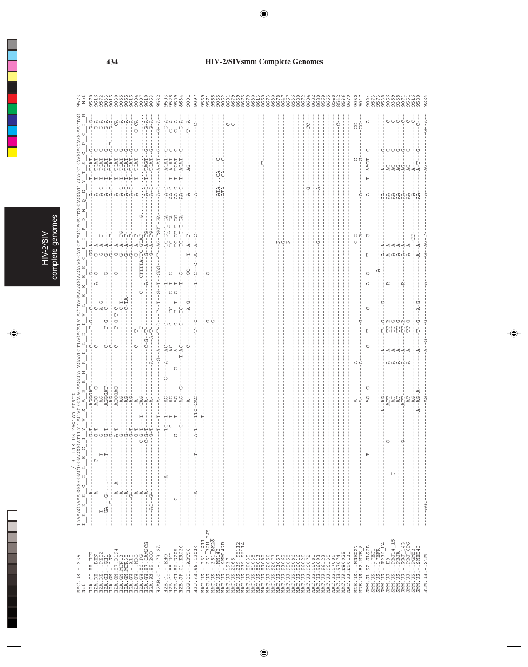| á<br>ß            |
|-------------------|
| Ş                 |
| <b>PLAIR</b><br>ה |
|                   |
|                   |

| G<br>.23<br>$\,$ $\,$<br>MAC.US.<br>Nef                                                                                                                                                                                                                                                                                                                                                                      | $\begin{array}{l} \texttt{ITAAAGAAAGGGGGAC}^\prime\prime\texttt{S}^{-1}\texttt{ LTR}\\ \texttt{IT\_K\_E\_K\_G\_G\_L\_E\_G\_} \\ \texttt{I\_E\_K\_G\_G\_L\_E\_G\_} \end{array}$                                                                                                                                                                                           |    |        |                               |                           | TAGAAAAGAAGAAGGCAT | ひ       |                  | CAGGACCAGGAATT<br>ひ |              |
|--------------------------------------------------------------------------------------------------------------------------------------------------------------------------------------------------------------------------------------------------------------------------------------------------------------------------------------------------------------------------------------------------------------|--------------------------------------------------------------------------------------------------------------------------------------------------------------------------------------------------------------------------------------------------------------------------------------------------------------------------------------------------------------------------|----|--------|-------------------------------|---------------------------|--------------------|---------|------------------|---------------------|--------------|
|                                                                                                                                                                                                                                                                                                                                                                                                              | J.<br>$\mathsf I$<br>÷,<br>$\mathbf I$<br>ł.<br>$\frac{1}{1}$<br>$\mathsf{I}$<br>$\mathbf{I}$                                                                                                                                                                                                                                                                            |    |        | O                             |                           | υ                  | ġ       |                  | Ġ                   |              |
| $\begin{array}{l} \rm{H2A}, \rm{CI}.88\ \rm{1022}\\ \rm{H2A}, \rm{DE}--BEN\\ \rm{H2A}, \rm{GH}--CH1\\ \rm{H2A}, \rm{GH}--CH1\\ \rm{H2A}, \rm{GH}--CH1\\ \rm{H2A}, \rm{GH}--CH1\\ \rm{H2A}, \rm{GH}--CH2\\ \rm{H2A}, \rm{GH}--CH2\\ \rm{H2A}, \rm{GH}--CH2\\ \rm{H2A}, \rm{GH}--CH2\\ \rm{H2A}, \rm{GH}--CH2\\ \rm{H2A}, \rm{GH}--CH2\\ \rm{H$                                                                | $\begin{split} \mathbb{E}[\mathbf{1}^{(1)}_{11} & \mathbf{1}^{(2)}_{12} & \mathbf{1}^{(3)}_{13} & \mathbf{1}^{(3)}_{13} & \mathbf{1}^{(3)}_{13} & \mathbf{1}^{(3)}_{13} & \mathbf{1}^{(3)}_{13} & \mathbf{1}^{(3)}_{13} & \mathbf{1}^{(3)}_{13} & \mathbf{1}^{(3)}_{13} & \mathbf{1}^{(3)}_{13} & \mathbf{1}^{(3)}_{13} & \mathbf{1}^{(3)}_{13} & \mathbf{1}^{(3)}_{13}$ |    |        |                               |                           | ゼ                  |         |                  | ひ                   |              |
|                                                                                                                                                                                                                                                                                                                                                                                                              |                                                                                                                                                                                                                                                                                                                                                                          |    |        |                               | ぴ<br>К                    |                    |         | U                | ひ                   | LO           |
|                                                                                                                                                                                                                                                                                                                                                                                                              |                                                                                                                                                                                                                                                                                                                                                                          |    | AGGGAT |                               | C<br>$\frac{1}{\sqrt{2}}$ | U                  |         |                  |                     | Ö            |
|                                                                                                                                                                                                                                                                                                                                                                                                              |                                                                                                                                                                                                                                                                                                                                                                          |    | ġ      |                               |                           |                    |         | ု                | $-5 - A$<br>ひ       | ö            |
|                                                                                                                                                                                                                                                                                                                                                                                                              |                                                                                                                                                                                                                                                                                                                                                                          |    | AGGGA  |                               | 텃<br>ن<br>⊢               |                    |         | TCAT             |                     |              |
|                                                                                                                                                                                                                                                                                                                                                                                                              |                                                                                                                                                                                                                                                                                                                                                                          |    |        |                               |                           |                    |         | TCAT<br>ပ္       | ひ                   | 0000         |
|                                                                                                                                                                                                                                                                                                                                                                                                              |                                                                                                                                                                                                                                                                                                                                                                          |    |        |                               |                           |                    |         | U                | てり                  |              |
|                                                                                                                                                                                                                                                                                                                                                                                                              |                                                                                                                                                                                                                                                                                                                                                                          |    |        |                               |                           |                    |         | U                | てり                  |              |
|                                                                                                                                                                                                                                                                                                                                                                                                              |                                                                                                                                                                                                                                                                                                                                                                          |    |        |                               |                           |                    |         | TCAT             | ರೆ-೮<br>ひ           | 908          |
|                                                                                                                                                                                                                                                                                                                                                                                                              |                                                                                                                                                                                                                                                                                                                                                                          |    |        |                               |                           | CTTTTACT           |         |                  |                     | S            |
|                                                                                                                                                                                                                                                                                                                                                                                                              |                                                                                                                                                                                                                                                                                                                                                                          |    |        |                               |                           |                    |         | TAGT             | ひ                   | O            |
|                                                                                                                                                                                                                                                                                                                                                                                                              |                                                                                                                                                                                                                                                                                                                                                                          |    |        |                               |                           |                    |         | TCAI<br>C        | ပုံ                 | $\circ$      |
|                                                                                                                                                                                                                                                                                                                                                                                                              |                                                                                                                                                                                                                                                                                                                                                                          |    |        |                               |                           |                    |         |                  |                     |              |
| H2AB. CI. - . 7312A                                                                                                                                                                                                                                                                                                                                                                                          | ÷<br>$\frac{1}{1}$<br>$\frac{1}{4}$                                                                                                                                                                                                                                                                                                                                      |    |        |                               |                           |                    | AG-TGGT | $A - AT$         | $\frac{1}{6}$       | m            |
|                                                                                                                                                                                                                                                                                                                                                                                                              |                                                                                                                                                                                                                                                                                                                                                                          |    |        |                               |                           |                    |         |                  |                     |              |
| H2B.CI.-.BHO<br>H2B.CI.88.UC1<br>H2B.CH.86.D205<br>H2B.JP.01.KR020                                                                                                                                                                                                                                                                                                                                           | ----------<br>$\,$<br>Ħ                                                                                                                                                                                                                                                                                                                                                  |    |        |                               |                           |                    | 입       | ACAI             | ဗံ                  |              |
|                                                                                                                                                                                                                                                                                                                                                                                                              | $\mathbf{I}$                                                                                                                                                                                                                                                                                                                                                             |    |        |                               |                           | ℧                  |         |                  |                     |              |
|                                                                                                                                                                                                                                                                                                                                                                                                              | $\frac{1}{4}$<br>$\begin{array}{c} \begin{array}{c} \begin{array}{c} \begin{array}{c} \begin{array}{c} \end{array} \\ \end{array} \\ \begin{array}{c} \end{array} \\ \begin{array}{c} \end{array} \\ \end{array} \end{array} \end{array}$<br>$\mathsf I$<br>$\mathsf I$                                                                                                  |    |        |                               |                           |                    |         | н<br>U           |                     |              |
|                                                                                                                                                                                                                                                                                                                                                                                                              | $\mathbf{I}$<br>$\,$ $\,$<br>$\frac{1}{4}$<br>$\frac{1}{1}$<br>J.<br>I<br>$\overline{\phantom{0}}$                                                                                                                                                                                                                                                                       |    |        |                               |                           |                    |         | <b>ACAT</b><br>E | ပ္ပ်                |              |
| $-.ABT96$<br>H2G.CI.                                                                                                                                                                                                                                                                                                                                                                                         | $\frac{1}{1}$                                                                                                                                                                                                                                                                                                                                                            |    |        |                               |                           |                    |         |                  |                     |              |
|                                                                                                                                                                                                                                                                                                                                                                                                              | Î<br>$\frac{1}{1}$<br>$\mathbf{I}$<br>ţ<br>ţ<br>Ť                                                                                                                                                                                                                                                                                                                        |    |        |                               |                           |                    |         |                  |                     |              |
| H2U.FR.96.12034                                                                                                                                                                                                                                                                                                                                                                                              | ----------                                                                                                                                                                                                                                                                                                                                                               |    | CAG    |                               |                           | ٢ŋ                 | U<br>К  |                  |                     |              |
|                                                                                                                                                                                                                                                                                                                                                                                                              | ţ<br>$\frac{1}{4}$<br>$\frac{1}{1}$<br>$\,$ I<br>Ť                                                                                                                                                                                                                                                                                                                       |    |        |                               |                           |                    |         |                  |                     |              |
|                                                                                                                                                                                                                                                                                                                                                                                                              | $\begin{array}{c} \begin{array}{c} \begin{array}{c} \begin{array}{c} \begin{array}{c} \end{array} \\ \end{array} \\ \begin{array}{c} \end{array} \\ \begin{array}{c} \end{array} \\ \end{array} \end{array} \end{array} \end{array}$                                                                                                                                     |    |        |                               |                           |                    |         |                  |                     |              |
|                                                                                                                                                                                                                                                                                                                                                                                                              | $\blacksquare$<br>$\mathsf I$<br>$\,$ I<br>$\mathbf{I}$<br>$\,$ I<br>$\blacksquare$<br>$\mathsf I$<br>$\,$ I<br>ı<br>$\mathbf{I}$                                                                                                                                                                                                                                        |    |        |                               |                           |                    |         |                  |                     |              |
|                                                                                                                                                                                                                                                                                                                                                                                                              |                                                                                                                                                                                                                                                                                                                                                                          |    |        |                               |                           |                    |         |                  |                     |              |
|                                                                                                                                                                                                                                                                                                                                                                                                              |                                                                                                                                                                                                                                                                                                                                                                          |    |        |                               |                           |                    |         | ATA              |                     |              |
|                                                                                                                                                                                                                                                                                                                                                                                                              |                                                                                                                                                                                                                                                                                                                                                                          |    |        |                               |                           |                    |         | ATA              |                     |              |
|                                                                                                                                                                                                                                                                                                                                                                                                              |                                                                                                                                                                                                                                                                                                                                                                          |    |        |                               |                           |                    |         |                  |                     |              |
|                                                                                                                                                                                                                                                                                                                                                                                                              |                                                                                                                                                                                                                                                                                                                                                                          |    |        |                               |                           |                    |         |                  |                     |              |
|                                                                                                                                                                                                                                                                                                                                                                                                              |                                                                                                                                                                                                                                                                                                                                                                          |    |        |                               |                           |                    |         |                  |                     |              |
|                                                                                                                                                                                                                                                                                                                                                                                                              |                                                                                                                                                                                                                                                                                                                                                                          |    |        |                               |                           |                    |         |                  |                     |              |
|                                                                                                                                                                                                                                                                                                                                                                                                              |                                                                                                                                                                                                                                                                                                                                                                          |    |        |                               |                           |                    |         |                  |                     |              |
|                                                                                                                                                                                                                                                                                                                                                                                                              |                                                                                                                                                                                                                                                                                                                                                                          |    |        |                               |                           |                    |         |                  |                     |              |
|                                                                                                                                                                                                                                                                                                                                                                                                              |                                                                                                                                                                                                                                                                                                                                                                          |    |        |                               |                           |                    |         |                  |                     |              |
|                                                                                                                                                                                                                                                                                                                                                                                                              |                                                                                                                                                                                                                                                                                                                                                                          |    |        |                               |                           |                    |         |                  |                     |              |
|                                                                                                                                                                                                                                                                                                                                                                                                              |                                                                                                                                                                                                                                                                                                                                                                          |    |        |                               |                           |                    |         |                  |                     |              |
|                                                                                                                                                                                                                                                                                                                                                                                                              |                                                                                                                                                                                                                                                                                                                                                                          |    |        |                               |                           |                    |         |                  |                     |              |
|                                                                                                                                                                                                                                                                                                                                                                                                              |                                                                                                                                                                                                                                                                                                                                                                          |    |        |                               |                           |                    |         |                  |                     |              |
|                                                                                                                                                                                                                                                                                                                                                                                                              |                                                                                                                                                                                                                                                                                                                                                                          |    |        |                               |                           |                    |         |                  |                     |              |
|                                                                                                                                                                                                                                                                                                                                                                                                              |                                                                                                                                                                                                                                                                                                                                                                          |    |        |                               |                           |                    |         |                  |                     |              |
|                                                                                                                                                                                                                                                                                                                                                                                                              |                                                                                                                                                                                                                                                                                                                                                                          |    |        |                               |                           |                    |         |                  |                     |              |
|                                                                                                                                                                                                                                                                                                                                                                                                              |                                                                                                                                                                                                                                                                                                                                                                          |    |        |                               |                           |                    |         |                  |                     |              |
|                                                                                                                                                                                                                                                                                                                                                                                                              |                                                                                                                                                                                                                                                                                                                                                                          |    |        |                               |                           |                    |         |                  |                     |              |
|                                                                                                                                                                                                                                                                                                                                                                                                              |                                                                                                                                                                                                                                                                                                                                                                          |    |        |                               |                           |                    |         |                  |                     |              |
|                                                                                                                                                                                                                                                                                                                                                                                                              |                                                                                                                                                                                                                                                                                                                                                                          |    |        |                               |                           |                    |         |                  |                     |              |
|                                                                                                                                                                                                                                                                                                                                                                                                              |                                                                                                                                                                                                                                                                                                                                                                          |    |        |                               |                           |                    |         |                  |                     |              |
|                                                                                                                                                                                                                                                                                                                                                                                                              |                                                                                                                                                                                                                                                                                                                                                                          |    |        |                               |                           |                    |         |                  |                     |              |
|                                                                                                                                                                                                                                                                                                                                                                                                              |                                                                                                                                                                                                                                                                                                                                                                          |    |        |                               |                           |                    |         |                  |                     |              |
|                                                                                                                                                                                                                                                                                                                                                                                                              |                                                                                                                                                                                                                                                                                                                                                                          |    |        |                               |                           |                    |         |                  |                     |              |
|                                                                                                                                                                                                                                                                                                                                                                                                              |                                                                                                                                                                                                                                                                                                                                                                          |    |        |                               |                           |                    |         |                  |                     |              |
|                                                                                                                                                                                                                                                                                                                                                                                                              |                                                                                                                                                                                                                                                                                                                                                                          |    |        |                               |                           |                    |         |                  |                     |              |
|                                                                                                                                                                                                                                                                                                                                                                                                              |                                                                                                                                                                                                                                                                                                                                                                          |    |        |                               |                           |                    |         |                  |                     |              |
|                                                                                                                                                                                                                                                                                                                                                                                                              |                                                                                                                                                                                                                                                                                                                                                                          |    |        |                               |                           |                    |         |                  |                     |              |
|                                                                                                                                                                                                                                                                                                                                                                                                              |                                                                                                                                                                                                                                                                                                                                                                          |    |        |                               |                           |                    |         |                  |                     |              |
|                                                                                                                                                                                                                                                                                                                                                                                                              |                                                                                                                                                                                                                                                                                                                                                                          |    |        |                               |                           |                    |         |                  |                     |              |
|                                                                                                                                                                                                                                                                                                                                                                                                              |                                                                                                                                                                                                                                                                                                                                                                          |    |        |                               |                           |                    |         |                  |                     |              |
| $\begin{array}{l} \mathtt{M2.C.L31\_1211} \phantom{0} \mathtt{M3.C.L31\_1211} \phantom{0} \mathtt{M4.C.L31\_211} \phantom{0} \mathtt{M5.C.L31\_211} \phantom{0} \mathtt{M5.C.L31\_211} \phantom{0} \mathtt{M5.C.L31\_211} \phantom{0} \mathtt{M5.C.L31\_211} \phantom{0} \mathtt{M5.C.L31\_211} \phantom{0} \mathtt{M5.C.L31\_211} \phantom{0} \mathtt{M5.C.L31\_211} \phantom{0} \$                         |                                                                                                                                                                                                                                                                                                                                                                          |    |        |                               |                           |                    |         |                  |                     |              |
|                                                                                                                                                                                                                                                                                                                                                                                                              |                                                                                                                                                                                                                                                                                                                                                                          |    |        |                               |                           |                    |         |                  |                     |              |
| Ļ<br>$\begin{array}{lll} \texttt{MME} \cdot \texttt{US} \cdot - \cdot \texttt{MMEO2} \\ \texttt{MME} \cdot \texttt{US} \cdot 82 \cdot \texttt{MME} \end{array}$                                                                                                                                                                                                                                              |                                                                                                                                                                                                                                                                                                                                                                          |    |        |                               |                           |                    | ↻       |                  |                     |              |
| $\infty$                                                                                                                                                                                                                                                                                                                                                                                                     |                                                                                                                                                                                                                                                                                                                                                                          |    |        |                               |                           |                    |         |                  |                     |              |
|                                                                                                                                                                                                                                                                                                                                                                                                              |                                                                                                                                                                                                                                                                                                                                                                          |    |        |                               |                           |                    |         |                  |                     |              |
|                                                                                                                                                                                                                                                                                                                                                                                                              |                                                                                                                                                                                                                                                                                                                                                                          |    | ġ      |                               |                           |                    |         | <b>AAGT</b>      |                     |              |
|                                                                                                                                                                                                                                                                                                                                                                                                              |                                                                                                                                                                                                                                                                                                                                                                          |    |        |                               |                           |                    |         |                  |                     |              |
|                                                                                                                                                                                                                                                                                                                                                                                                              | f,                                                                                                                                                                                                                                                                                                                                                                       |    |        |                               |                           |                    |         |                  |                     |              |
|                                                                                                                                                                                                                                                                                                                                                                                                              | $\frac{1}{4}$                                                                                                                                                                                                                                                                                                                                                            |    |        |                               | C٦                        |                    |         |                  |                     | $m \circ m$  |
|                                                                                                                                                                                                                                                                                                                                                                                                              | $\,$ I<br>$\frac{1}{4}$<br>$\mathbf{I}$<br>$\begin{array}{c} \rule{0.2cm}{0.15mm} \end{array}$<br>$\overline{\phantom{a}}$                                                                                                                                                                                                                                               | Ť  |        | Æ                             | q<br>-<br>C               |                    |         |                  | τ٦                  |              |
|                                                                                                                                                                                                                                                                                                                                                                                                              | j<br>$\frac{1}{1}$<br>$\frac{1}{4}$                                                                                                                                                                                                                                                                                                                                      |    |        | K,<br>d d                     | υ<br>ι<br>Η               |                    |         |                  | ひ                   |              |
|                                                                                                                                                                                                                                                                                                                                                                                                              | f,                                                                                                                                                                                                                                                                                                                                                                       | J, |        | К                             | $TC-G$                    |                    |         | ಕ್ತಿ             | てり                  | $\infty$     |
|                                                                                                                                                                                                                                                                                                                                                                                                              | $\,$ l<br>$\frac{1}{2}$<br>$\frac{1}{4}$                                                                                                                                                                                                                                                                                                                                 |    |        | R                             | ģ                         |                    |         |                  |                     |              |
|                                                                                                                                                                                                                                                                                                                                                                                                              | $\,$ I<br>- 1                                                                                                                                                                                                                                                                                                                                                            |    |        | $\overline{A} + \overline{A}$ | mじ                        |                    |         |                  |                     |              |
|                                                                                                                                                                                                                                                                                                                                                                                                              | - 1                                                                                                                                                                                                                                                                                                                                                                      |    |        |                               |                           |                    |         |                  |                     |              |
| $\begin{array}{l} \texttt{SMM}, \texttt{151}, \texttt{92}, \texttt{5192B} \\ \texttt{SMM}, \texttt{193} - 17 \texttt{BC1} \\ \texttt{SMM}, \texttt{193} - 17 \texttt{BC1} \\ \texttt{SMM}, \texttt{193} - 17 \texttt{23} \texttt{6} \\ \texttt{SMM}, \texttt{193} - 18 \texttt{3} \\ \texttt{SMM}, \texttt{193} - 18 \texttt{3} \\ \texttt{SMM}, \texttt{193} - 18 \texttt{3} \\ \texttt{SMM}, \texttt{193}$ |                                                                                                                                                                                                                                                                                                                                                                          |    |        |                               |                           |                    |         |                  |                     | $O$ IN IN IN |
|                                                                                                                                                                                                                                                                                                                                                                                                              |                                                                                                                                                                                                                                                                                                                                                                          |    |        |                               |                           |                    |         |                  |                     |              |
| MLS <sup>.</sup><br>Ō,<br>Ę<br>S <sub>TM</sub>                                                                                                                                                                                                                                                                                                                                                               | $-ACC$                                                                                                                                                                                                                                                                                                                                                                   |    |        |                               |                           |                    |         |                  |                     |              |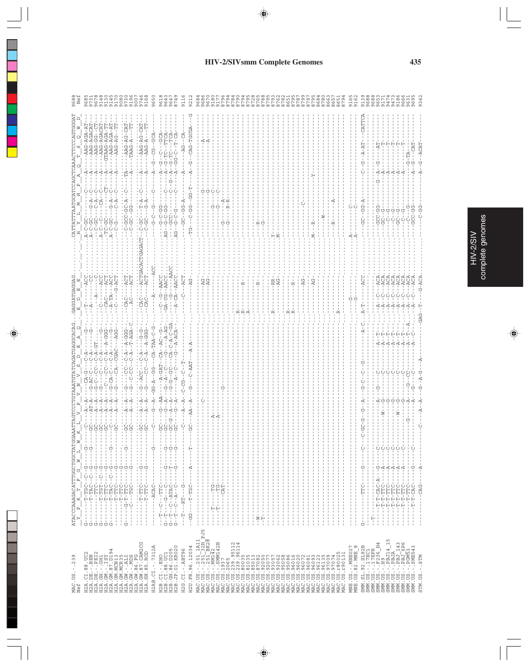| ≽<br>Ŕ<br>č<br>Ċ |
|------------------|
|------------------|

<u>ვი</u>

| $-0.239$<br>٠.<br>. US<br>MAC.<br>Nef                                                                                                                                                                                                                                                                                                                                                                                                  | <b>UTTPARTGCACCTCAAAACTE</b><br>GAGGATGAGGA<br>CAGATGAGCACAC<br>ATACCCAAAGACATTTGGCTGGCTATGGZ<br>Y P K T F G W L W                                                                                                                                                                                                                                                                                                                                                                                                                                                                                                                                                                                                                                                           | CCAGTGGGA<br>$\circ$                            | 600                                                                                                                                                                                                                                                                                                                                                                                                                                                                                                                                                         |
|----------------------------------------------------------------------------------------------------------------------------------------------------------------------------------------------------------------------------------------------------------------------------------------------------------------------------------------------------------------------------------------------------------------------------------------|------------------------------------------------------------------------------------------------------------------------------------------------------------------------------------------------------------------------------------------------------------------------------------------------------------------------------------------------------------------------------------------------------------------------------------------------------------------------------------------------------------------------------------------------------------------------------------------------------------------------------------------------------------------------------------------------------------------------------------------------------------------------------|-------------------------------------------------|-------------------------------------------------------------------------------------------------------------------------------------------------------------------------------------------------------------------------------------------------------------------------------------------------------------------------------------------------------------------------------------------------------------------------------------------------------------------------------------------------------------------------------------------------------------|
|                                                                                                                                                                                                                                                                                                                                                                                                                                        | $\,$ $\,$                                                                                                                                                                                                                                                                                                                                                                                                                                                                                                                                                                                                                                                                                                                                                                    | К<br>AGA-<br>AAG-                               | LO                                                                                                                                                                                                                                                                                                                                                                                                                                                                                                                                                          |
|                                                                                                                                                                                                                                                                                                                                                                                                                                        | ひひひ<br>$G - A$<br>$C - A$<br>$\mathbb{I}$<br>A<br>U<br>$\frac{1}{2}$<br>$\frac{1}{4}$                                                                                                                                                                                                                                                                                                                                                                                                                                                                                                                                                                                                                                                                                        | <b>GACA</b><br>AAG-                             |                                                                                                                                                                                                                                                                                                                                                                                                                                                                                                                                                             |
|                                                                                                                                                                                                                                                                                                                                                                                                                                        | $-CA$<br>$A \land A$<br>$\frac{1}{4}$                                                                                                                                                                                                                                                                                                                                                                                                                                                                                                                                                                                                                                                                                                                                        | ----AAG-AGACAT<br>CTAAG-AGA-TT                  |                                                                                                                                                                                                                                                                                                                                                                                                                                                                                                                                                             |
|                                                                                                                                                                                                                                                                                                                                                                                                                                        | U<br>U<br>$-6-4$<br>ΰ<br>$-ACT$<br>$-ACC$<br>$CAC --$<br>$A-TA --$<br>ひひひひ<br>RARAR<br>÷<br>事件<br>せせせせせせ                                                                                                                                                                                                                                                                                                                                                                                                                                                                                                                                                                                                                                                                     | AAG-AGA-A<br>みみみみみみ                             |                                                                                                                                                                                                                                                                                                                                                                                                                                                                                                                                                             |
|                                                                                                                                                                                                                                                                                                                                                                                                                                        | U<br>$G - ACT$<br>Ť<br>ΰ<br>$-205 - 1$<br>CGAC-<br>g<br>КК<br>$\mathbf{I}$                                                                                                                                                                                                                                                                                                                                                                                                                                                                                                                                                                                                                                                                                                   | AAG-AG                                          |                                                                                                                                                                                                                                                                                                                                                                                                                                                                                                                                                             |
|                                                                                                                                                                                                                                                                                                                                                                                                                                        | $\cdot$ O<br>$-55 - 25 - 25 - 7$<br>:1<br>Π<br>$\mathbf{I}$<br>$\cdot$ 0 0<br>: 5<br>$-1 - 2 - 3GG -$<br>$\begin{array}{c}\n\cdot A \\ \cdot C - A\n\end{array}$<br>÷Ι<br>: UU<br>ΦĪ<br>$\frac{1}{1}$ $\frac{1}{1}$<br>・ひ ひ<br>. ⊲C<br>$\cdot \leq \leq$<br>$\begin{small} \begin{smallmatrix} . & . & . & . & . \\ . & . & . & . \\ . & . & . & . \\ . & . & . & . \\ . & . & . & . \\ . & . & . & . \\ . & . & . & . \\ . & . & . & . \\ . & . & . & . \\ . & . & . & . \\ . & . & . & . \\ . & . & . & . \\ . & . & . & . \\ . & . & . & . \\ . & . & . & . \\ . & . & . & . \\ . & . & . & . \\ . & . & . & . \\ . & . & . & . \\ . & . & . & . \\ . & . & . & . \\ . & . & . & . \\ . & . & . & . \\ . & . & . & . \\ . & . & . & . \\ . & . & . & .$<br>$\overline{0}$ | CAT<br>- - AAG-AG-<br>- - AAG-AG-<br>- - TAAG-A | $\rightarrow \infty \otimes \circ \circ \circ \circ \circ \circ \circ$                                                                                                                                                                                                                                                                                                                                                                                                                                                                                      |
|                                                                                                                                                                                                                                                                                                                                                                                                                                        | K.<br>-1                                                                                                                                                                                                                                                                                                                                                                                                                                                                                                                                                                                                                                                                                                                                                                     |                                                 |                                                                                                                                                                                                                                                                                                                                                                                                                                                                                                                                                             |
| $\begin{tabular}{l} \bf 123A, \bf 13C, \bf 23R, \bf 13R, \bf 13R, \bf 13R, \bf 13R, \bf 13R, \bf 13R, \bf 13R, \bf 13R, \bf 13R, \bf 13R, \bf 13R, \bf 13R, \bf 13R, \bf 13R, \bf 13R, \bf 13R, \bf 13R, \bf 13R, \bf 13R, \bf 13R, \bf 13R, \bf 13R, \bf 13R, \bf 13R, \bf 13R, \bf 13R, \bf 13R, \$                                                                                                                                  | : д<br>:특<br>ひ<br>$\leftarrow$ 1<br>U<br>$\cdot$ 0 0<br>٠Ο<br>$\tau$ )<br>$\cdot$ O<br>$- A - - A - G G$<br>$: \tilde{A}$<br>$\cdot$ U<br>: A⊂<br>:<br>・い<br>ひ<br>1ء ∙<br>$\cdot \triangleleft$<br>$\cdot$ ט<br>ひ<br>÷Τ<br>$\blacksquare$<br>Ħ<br>$\sim$ $\pm$                                                                                                                                                                                                                                                                                                                                                                                                                                                                                                               | AAG-A<br>AAG.                                   |                                                                                                                                                                                                                                                                                                                                                                                                                                                                                                                                                             |
| $-.7312A$<br>H2AB.CI.                                                                                                                                                                                                                                                                                                                                                                                                                  | ひ<br>しょ<br>$CA-TAA-C$<br>$G - A$<br>K.<br>てり<br>$\mathbf{I}$<br>$-1 - - - - -$<br>$\frac{1}{4}$<br>$-$ -ACAC<br>t                                                                                                                                                                                                                                                                                                                                                                                                                                                                                                                                                                                                                                                            |                                                 | 965                                                                                                                                                                                                                                                                                                                                                                                                                                                                                                                                                         |
|                                                                                                                                                                                                                                                                                                                                                                                                                                        | 망<br>U<br>$\begin{array}{c}\n\stackrel{.}{\circ} & \stackrel{.}{\circ} \\ \stackrel{.}{\circ} & \stackrel{.}{\circ} \\ \vdots & \vdots\n\end{array}$<br>じ じ<br>$\sim$ 1.1<br>AG<br>g<br>$\frac{1}{1}$<br>ひ<br>ひ<br>ပု<br>ᄳ<br>Ś<br>↻<br>ひ<br>К<br>ひ<br>ひ<br>事件<br>Н<br>Ŧ                                                                                                                                                                                                                                                                                                                                                                                                                                                                                                     | U<br>$G-TC$<br>てり                               |                                                                                                                                                                                                                                                                                                                                                                                                                                                                                                                                                             |
| H2B.CI.-.BHO<br>H2B.CI.88.UC1<br>H2B.GH.86.D205<br>H2B.JP.01.KR020                                                                                                                                                                                                                                                                                                                                                                     | ひ<br>τı<br>$-1 - 3 - 5 - 6$<br>AG.<br>$A - CA - AACC$<br>Ü<br>먼<br>Ġ<br>K,<br>К<br>К<br>也<br>$\begin{array}{cccc} . & . & . & . \\ . & . & . & . \\ . & . & . & . \end{array}$<br>÷,<br>$\begin{array}{cc} 1 & 1 & 1 \\ 1 & 1 & 1 \end{array}$<br>$\begin{array}{l} \mathbb{P}^{1} - \mathbb{C}^{1} - \mathbb{P}^{1} \mathbb{T}^{0} \mathbb{C}^{1} - \mathbb{P}^{1} \\ \mathbb{P}^{1} - \mathbb{P}^{1} - \mathbb{G}^{2} - \mathbb{P}^{2} \mathbb{P}^{2} \mathbb{P}^{1} \\ \mathbb{P}^{1} - \mathbb{P}^{1} - \mathbb{C}^{2} - \mathbb{P}^{2} \mathbb{P}^{2} \mathbb{P}^{2} \mathbb{C}^{1} - \mathbb{P}^{1} \\ \mathbb{P}^{1} - \mathbb{C}^{1} - \$<br>۳<br>-<br>부부<br>めめめ                                                                                                     | $G - T - T - C$<br>$G-TC$<br>K,                 | 00007<br>00007<br>00000                                                                                                                                                                                                                                                                                                                                                                                                                                                                                                                                     |
| H2G.CI. - . ABT96                                                                                                                                                                                                                                                                                                                                                                                                                      | ーしじ<br>$-ACT$<br>К<br>$\mathbf{I}$<br>$\mathsf I$<br>$\,$ $\,$<br>$\mathbf{I}$<br>$\mathbf{I}$<br>Ť.                                                                                                                                                                                                                                                                                                                                                                                                                                                                                                                                                                                                                                                                         | $-AG$                                           | 911                                                                                                                                                                                                                                                                                                                                                                                                                                                                                                                                                         |
| H2U.FR.96.12034                                                                                                                                                                                                                                                                                                                                                                                                                        | ь<br>_<br>ტ<br>9<br>9<br>$\overline{C}$<br>ġ<br>AG.<br>K,<br>$C-AA$ T<br>Æ<br>ï<br>$\frac{1}{2} - \frac{1}{2} - \frac{1}{2}$<br>$---A---$<br>$-100T - T - - - - - - - -$                                                                                                                                                                                                                                                                                                                                                                                                                                                                                                                                                                                                     | $-$ CAG $-$ TGCGA<br>ひ                          | 921                                                                                                                                                                                                                                                                                                                                                                                                                                                                                                                                                         |
|                                                                                                                                                                                                                                                                                                                                                                                                                                        | $\mathbb{R}^n$                                                                                                                                                                                                                                                                                                                                                                                                                                                                                                                                                                                                                                                                                                                                                               |                                                 |                                                                                                                                                                                                                                                                                                                                                                                                                                                                                                                                                             |
|                                                                                                                                                                                                                                                                                                                                                                                                                                        | ひ<br>ひ<br>Ŕ,<br>$\overline{\phantom{a}}$                                                                                                                                                                                                                                                                                                                                                                                                                                                                                                                                                                                                                                                                                                                                     |                                                 | 00000                                                                                                                                                                                                                                                                                                                                                                                                                                                                                                                                                       |
|                                                                                                                                                                                                                                                                                                                                                                                                                                        | ひひ<br>てり<br>- 1                                                                                                                                                                                                                                                                                                                                                                                                                                                                                                                                                                                                                                                                                                                                                              |                                                 |                                                                                                                                                                                                                                                                                                                                                                                                                                                                                                                                                             |
|                                                                                                                                                                                                                                                                                                                                                                                                                                        | U<br>てり<br>$\overline{\phantom{a}}$                                                                                                                                                                                                                                                                                                                                                                                                                                                                                                                                                                                                                                                                                                                                          |                                                 |                                                                                                                                                                                                                                                                                                                                                                                                                                                                                                                                                             |
|                                                                                                                                                                                                                                                                                                                                                                                                                                        | $- A$<br>$R - R$<br>ひ                                                                                                                                                                                                                                                                                                                                                                                                                                                                                                                                                                                                                                                                                                                                                        |                                                 |                                                                                                                                                                                                                                                                                                                                                                                                                                                                                                                                                             |
|                                                                                                                                                                                                                                                                                                                                                                                                                                        | ひ                                                                                                                                                                                                                                                                                                                                                                                                                                                                                                                                                                                                                                                                                                                                                                            |                                                 |                                                                                                                                                                                                                                                                                                                                                                                                                                                                                                                                                             |
|                                                                                                                                                                                                                                                                                                                                                                                                                                        |                                                                                                                                                                                                                                                                                                                                                                                                                                                                                                                                                                                                                                                                                                                                                                              |                                                 |                                                                                                                                                                                                                                                                                                                                                                                                                                                                                                                                                             |
|                                                                                                                                                                                                                                                                                                                                                                                                                                        | $\approx$                                                                                                                                                                                                                                                                                                                                                                                                                                                                                                                                                                                                                                                                                                                                                                    |                                                 |                                                                                                                                                                                                                                                                                                                                                                                                                                                                                                                                                             |
|                                                                                                                                                                                                                                                                                                                                                                                                                                        |                                                                                                                                                                                                                                                                                                                                                                                                                                                                                                                                                                                                                                                                                                                                                                              |                                                 |                                                                                                                                                                                                                                                                                                                                                                                                                                                                                                                                                             |
|                                                                                                                                                                                                                                                                                                                                                                                                                                        | $\approx$                                                                                                                                                                                                                                                                                                                                                                                                                                                                                                                                                                                                                                                                                                                                                                    |                                                 |                                                                                                                                                                                                                                                                                                                                                                                                                                                                                                                                                             |
|                                                                                                                                                                                                                                                                                                                                                                                                                                        | A O                                                                                                                                                                                                                                                                                                                                                                                                                                                                                                                                                                                                                                                                                                                                                                          |                                                 |                                                                                                                                                                                                                                                                                                                                                                                                                                                                                                                                                             |
|                                                                                                                                                                                                                                                                                                                                                                                                                                        |                                                                                                                                                                                                                                                                                                                                                                                                                                                                                                                                                                                                                                                                                                                                                                              |                                                 | 10001001000N                                                                                                                                                                                                                                                                                                                                                                                                                                                                                                                                                |
|                                                                                                                                                                                                                                                                                                                                                                                                                                        | RR <sub>3</sub><br>$\frac{1}{1}$<br>L.                                                                                                                                                                                                                                                                                                                                                                                                                                                                                                                                                                                                                                                                                                                                       |                                                 |                                                                                                                                                                                                                                                                                                                                                                                                                                                                                                                                                             |
|                                                                                                                                                                                                                                                                                                                                                                                                                                        | $\frac{1}{4}$<br>$\frac{1}{1}$<br>$\mathbf I$<br>$\mathfrak l$<br>ı<br>$\mathbf{I}$<br>J.                                                                                                                                                                                                                                                                                                                                                                                                                                                                                                                                                                                                                                                                                    |                                                 |                                                                                                                                                                                                                                                                                                                                                                                                                                                                                                                                                             |
|                                                                                                                                                                                                                                                                                                                                                                                                                                        | J                                                                                                                                                                                                                                                                                                                                                                                                                                                                                                                                                                                                                                                                                                                                                                            |                                                 |                                                                                                                                                                                                                                                                                                                                                                                                                                                                                                                                                             |
|                                                                                                                                                                                                                                                                                                                                                                                                                                        | α                                                                                                                                                                                                                                                                                                                                                                                                                                                                                                                                                                                                                                                                                                                                                                            |                                                 | ഗ പ                                                                                                                                                                                                                                                                                                                                                                                                                                                                                                                                                         |
|                                                                                                                                                                                                                                                                                                                                                                                                                                        |                                                                                                                                                                                                                                                                                                                                                                                                                                                                                                                                                                                                                                                                                                                                                                              |                                                 |                                                                                                                                                                                                                                                                                                                                                                                                                                                                                                                                                             |
|                                                                                                                                                                                                                                                                                                                                                                                                                                        | AG<br>- 11                                                                                                                                                                                                                                                                                                                                                                                                                                                                                                                                                                                                                                                                                                                                                                   |                                                 |                                                                                                                                                                                                                                                                                                                                                                                                                                                                                                                                                             |
|                                                                                                                                                                                                                                                                                                                                                                                                                                        | (5)                                                                                                                                                                                                                                                                                                                                                                                                                                                                                                                                                                                                                                                                                                                                                                          |                                                 |                                                                                                                                                                                                                                                                                                                                                                                                                                                                                                                                                             |
|                                                                                                                                                                                                                                                                                                                                                                                                                                        |                                                                                                                                                                                                                                                                                                                                                                                                                                                                                                                                                                                                                                                                                                                                                                              |                                                 |                                                                                                                                                                                                                                                                                                                                                                                                                                                                                                                                                             |
|                                                                                                                                                                                                                                                                                                                                                                                                                                        |                                                                                                                                                                                                                                                                                                                                                                                                                                                                                                                                                                                                                                                                                                                                                                              |                                                 |                                                                                                                                                                                                                                                                                                                                                                                                                                                                                                                                                             |
|                                                                                                                                                                                                                                                                                                                                                                                                                                        | R                                                                                                                                                                                                                                                                                                                                                                                                                                                                                                                                                                                                                                                                                                                                                                            |                                                 |                                                                                                                                                                                                                                                                                                                                                                                                                                                                                                                                                             |
|                                                                                                                                                                                                                                                                                                                                                                                                                                        | $\begin{bmatrix} 1 & 0 & 0 \\ 0 & 1 & 0 \\ 0 & 0 & 0 \\ 0 & 0 & 0 \\ 0 & 0 & 0 \\ 0 & 0 & 0 \\ 0 & 0 & 0 \\ 0 & 0 & 0 \\ 0 & 0 & 0 & 0 \\ 0 & 0 & 0 & 0 \\ 0 & 0 & 0 & 0 \\ 0 & 0 & 0 & 0 \\ 0 & 0 & 0 & 0 & 0 \\ 0 & 0 & 0 & 0 & 0 \\ 0 & 0 & 0 & 0 & 0 \\ 0 & 0 & 0 & 0 & 0 & 0 \\ 0 & 0 & 0 & 0 & 0 & 0 \\ 0 & 0 & 0 & 0 & $<br>ł                                                                                                                                                                                                                                                                                                                                                                                                                                         |                                                 | $\begin{smallmatrix} \begin{array}{l} \kappa \\ \kappa \\ \kappa \\ \kappa \end{array} & \begin{array}{l} \kappa \\ \kappa \\ \kappa \end{array} & \begin{array}{l} \kappa \\ \kappa \\ \kappa \end{array} & \begin{array}{l} \kappa \\ \kappa \\ \kappa \end{array} & \begin{array}{l} \kappa \\ \kappa \\ \kappa \end{array} & \begin{array}{l} \kappa \\ \kappa \\ \kappa \end{array} & \begin{array}{l} \kappa \\ \kappa \\ \kappa \end{array} & \begin{array}{l} \kappa \\ \kappa \\ \kappa \end{array} & \begin{array}{l} \kappa \\ \kappa \\ \kappa$ |
|                                                                                                                                                                                                                                                                                                                                                                                                                                        |                                                                                                                                                                                                                                                                                                                                                                                                                                                                                                                                                                                                                                                                                                                                                                              |                                                 |                                                                                                                                                                                                                                                                                                                                                                                                                                                                                                                                                             |
| MNE.US. - .MNE027<br>MNE.US. 82.MNE_8                                                                                                                                                                                                                                                                                                                                                                                                  | ◡<br>O<br>f,<br>$\overline{\phantom{a}}$<br>$\overline{\phantom{a}}$<br>$\mathsf I$<br>$\mathbf{I}$<br>$\overline{\phantom{a}}$                                                                                                                                                                                                                                                                                                                                                                                                                                                                                                                                                                                                                                              |                                                 | 9162                                                                                                                                                                                                                                                                                                                                                                                                                                                                                                                                                        |
|                                                                                                                                                                                                                                                                                                                                                                                                                                        | ġ<br>U<br>U<br>℧<br>ひ<br>K,<br>ζŋ<br>ŧ<br>$\frac{1}{1}$<br>t<br>Ġ<br>--<br>$-1 - 2T T C - -$<br>$\sf I$<br>$\frac{1}{1}$<br>$\frac{1}{4}$<br>Ů                                                                                                                                                                                                                                                                                                                                                                                                                                                                                                                                                                                                                               | CATT<br>- AT<br>ひ                               |                                                                                                                                                                                                                                                                                                                                                                                                                                                                                                                                                             |
|                                                                                                                                                                                                                                                                                                                                                                                                                                        | $\,$ I<br>$\mathbf{I}$<br>$\mathbf{I}$<br>t<br>j<br>÷<br>$\mathbf{I}$                                                                                                                                                                                                                                                                                                                                                                                                                                                                                                                                                                                                                                                                                                        |                                                 |                                                                                                                                                                                                                                                                                                                                                                                                                                                                                                                                                             |
|                                                                                                                                                                                                                                                                                                                                                                                                                                        | ひ<br>$\blacksquare$<br>$\mathbb{I}$<br>÷<br>$\,$ I<br>$\mathbf{I}$                                                                                                                                                                                                                                                                                                                                                                                                                                                                                                                                                                                                                                                                                                           |                                                 | $\infty$ m                                                                                                                                                                                                                                                                                                                                                                                                                                                                                                                                                  |
|                                                                                                                                                                                                                                                                                                                                                                                                                                        | ACA<br>ACA<br>1<br>∩C (*)<br>з<br>٠<br>$\mathbb{I}$<br>Ħ<br>÷<br>$\frac{1}{4}$                                                                                                                                                                                                                                                                                                                                                                                                                                                                                                                                                                                                                                                                                               |                                                 |                                                                                                                                                                                                                                                                                                                                                                                                                                                                                                                                                             |
| LN.                                                                                                                                                                                                                                                                                                                                                                                                                                    | ACA<br>$\overline{\phantom{a}}$<br>てり<br>$\overline{\phantom{a}}$<br>$\mathbf{I}$<br>÷<br>÷,<br>$\,$<br>$\mathbf{I}$                                                                                                                                                                                                                                                                                                                                                                                                                                                                                                                                                                                                                                                         |                                                 |                                                                                                                                                                                                                                                                                                                                                                                                                                                                                                                                                             |
|                                                                                                                                                                                                                                                                                                                                                                                                                                        | $\mathbf{I}$<br>てり<br>Ο<br>$\,$ $\,$<br>후후후후후후<br>$\mathsf I$<br>$\mathbf{I}$<br>$\frac{1}{4}$<br>÷<br>$\,$ 1<br>$\blacksquare$<br>$\frac{1}{1}$<br>- 11<br>$\mathbf{I}$<br>$\overline{1}$                                                                                                                                                                                                                                                                                                                                                                                                                                                                                                                                                                                   | RARA                                            |                                                                                                                                                                                                                                                                                                                                                                                                                                                                                                                                                             |
|                                                                                                                                                                                                                                                                                                                                                                                                                                        | לי היה היה<br>ליידי ליידי<br>ליידי ליידי<br>ליידי ליידי<br>ひひひひひひ<br>RARAA<br><b>PPPPPPP</b><br>てり<br>$\frac{1}{4}$<br>$\blacksquare$<br>$\mathbf{I}$<br>$\overline{\phantom{0}}$<br>$\overline{\phantom{0}}$                                                                                                                                                                                                                                                                                                                                                                                                                                                                                                                                                                |                                                 |                                                                                                                                                                                                                                                                                                                                                                                                                                                                                                                                                             |
| $\begin{array}{l} \mathbf{SIM1}, \mathbf{S1}, \mathbf{92}, \mathbf{S1292B} \\ \mathbf{SIM1}, \mathbf{US}, \cdots, \mathbf{177BCl} \\ \mathbf{SIM1}, \mathbf{US}, \cdots, \mathbf{177B} \\ \mathbf{SIM1}, \mathbf{US}, \cdots, \mathbf{187} \\ \mathbf{SIM1}, \mathbf{US}, \cdots, \mathbf{187} \\ \mathbf{SIM1}, \mathbf{US}, \cdots, \mathbf{187} \\ \mathbf{SIM1}, \mathbf{US}, \cdots, \mathbf{187} \\ \mathbf{SIM1}, \mathbf{US},$ | <b>95-202</b><br>U<br>みみみみみみみ<br>U<br>ひ<br>ひ<br>Æ<br>٠<br>J,<br>U<br>-<br>٠<br>$\mathbf{I}$<br>t<br>J.<br>$\frac{c}{1}$<br>×.<br>J.<br>- TTC-<br>- CAC-<br>$T-T$<br>t<br>I,<br>$\mathbf{I}$<br>J.                                                                                                                                                                                                                                                                                                                                                                                                                                                                                                                                                                            | CAI<br>ひ<br>К                                   |                                                                                                                                                                                                                                                                                                                                                                                                                                                                                                                                                             |
| - STM<br>STM.US                                                                                                                                                                                                                                                                                                                                                                                                                        | Y<br>$---A-$<br>CAG-                                                                                                                                                                                                                                                                                                                                                                                                                                                                                                                                                                                                                                                                                                                                                         | ACA                                             |                                                                                                                                                                                                                                                                                                                                                                                                                                                                                                                                                             |
|                                                                                                                                                                                                                                                                                                                                                                                                                                        |                                                                                                                                                                                                                                                                                                                                                                                                                                                                                                                                                                                                                                                                                                                                                                              |                                                 |                                                                                                                                                                                                                                                                                                                                                                                                                                                                                                                                                             |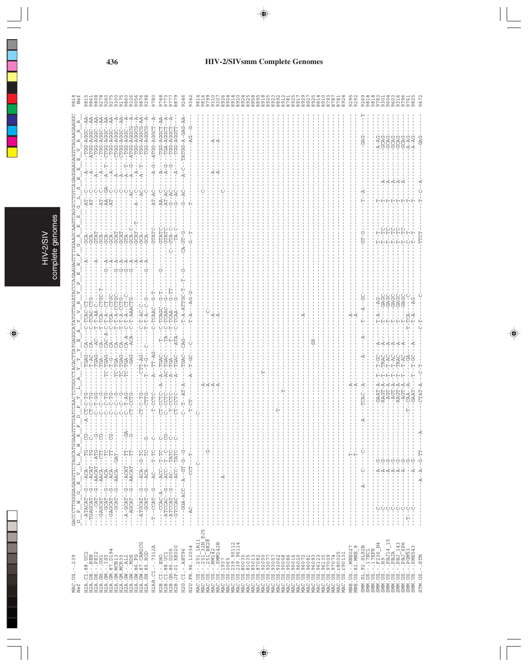| ner<br>Nei                                                                                                   |                       |                                   |                                                               |                             |                                                                           |            |                                                                                                                                                                                                                                                                                                                                   | 9780                        |                            |                                                                                                     |                                                                                                                                                                                                                                                                                                                                                                   | 924                         | 934                                                                | $\overline{\phantom{a}}$                                                                                   | $\infty$ $\infty$ $\sim$                   |                                                                                                                                                                                                                                                                                                                                                                                        |                                       |                                              |               |                                               |                              |                       |               |  |  | ⊣ ഥ∩          |                                | 0000000000000000000000000000000000 |    |  | CHONNHONNHOMHONNHONHONNHOMAN<br>CHONNHONNHOMHONNHONHONNHOMANN<br>CHONNHONNHOMHONNHONHONNHOMANN | $\infty$ $\infty$ | 552<br>$\frac{28}{92}$ |                                  | 0.77000007<br>CHH COOOH O CA<br>COCOH COOH CO<br>COCOH COOD COOD                                                                           |                                                                                                 |                       |                                                                                                         |                                    |                                                                               |                                                                    |                                                               |                                                         | 947                  |
|--------------------------------------------------------------------------------------------------------------|-----------------------|-----------------------------------|---------------------------------------------------------------|-----------------------------|---------------------------------------------------------------------------|------------|-----------------------------------------------------------------------------------------------------------------------------------------------------------------------------------------------------------------------------------------------------------------------------------------------------------------------------------|-----------------------------|----------------------------|-----------------------------------------------------------------------------------------------------|-------------------------------------------------------------------------------------------------------------------------------------------------------------------------------------------------------------------------------------------------------------------------------------------------------------------------------------------------------------------|-----------------------------|--------------------------------------------------------------------|------------------------------------------------------------------------------------------------------------|--------------------------------------------|----------------------------------------------------------------------------------------------------------------------------------------------------------------------------------------------------------------------------------------------------------------------------------------------------------------------------------------------------------------------------------------|---------------------------------------|----------------------------------------------|---------------|-----------------------------------------------|------------------------------|-----------------------|---------------|--|--|---------------|--------------------------------|------------------------------------|----|--|------------------------------------------------------------------------------------------------|-------------------|------------------------|----------------------------------|--------------------------------------------------------------------------------------------------------------------------------------------|-------------------------------------------------------------------------------------------------|-----------------------|---------------------------------------------------------------------------------------------------------|------------------------------------|-------------------------------------------------------------------------------|--------------------------------------------------------------------|---------------------------------------------------------------|---------------------------------------------------------|----------------------|
|                                                                                                              |                       | <b>CG-AGGC</b><br><b>UUU-70U</b>  | -TGG-AGGC<br>-CLGG-PGC-                                       | AA<br>CTG-AGHU              | --AA<br>CTGG-AGGC<br>TGG-AGGC                                             | ATGG-AGGCG | TGG-AGGCG<br>GG-AGGCG<br>UUUU-AG-DU<br>н                                                                                                                                                                                                                                                                                          | ATGG-AGGCT                  | $-AA$<br>TGG-AGGCT         | $-1035-766-1-1001-$<br>ひ                                                                            | TGG-AGGTT                                                                                                                                                                                                                                                                                                                                                         | TATG-A-GAG-AA               |                                                                    |                                                                                                            |                                            | К                                                                                                                                                                                                                                                                                                                                                                                      | К                                     |                                              |               |                                               |                              |                       |               |  |  |               |                                |                                    |    |  |                                                                                                |                   |                        |                                  | GAG                                                                                                                                        |                                                                                                 |                       | A-AG-<br>GCAG-<br>GCAG-                                                                                 |                                    | GCAG                                                                          |                                                                    | GCAG<br>A-AG                                                  | $A - AG$                                                |                      |
|                                                                                                              | К<br>AT<br>ĀΤ         | ひひひひ<br>ĀТ                        | -A<br>යි<br>AA<br>AT                                          |                             | UUUU                                                                      | U          | υu<br>↻                                                                                                                                                                                                                                                                                                                           | $A-G$<br>Õ,<br>$AT-$        | Æ<br>AH.                   | $A-G$<br>UUU<br>ひ                                                                                   | K.<br>ひ                                                                                                                                                                                                                                                                                                                                                           | U<br>ひ                      |                                                                    |                                                                                                            |                                            | Æ                                                                                                                                                                                                                                                                                                                                                                                      | К                                     | C                                            |               |                                               |                              |                       |               |  |  |               |                                |                                    |    |  |                                                                                                |                   |                        |                                  |                                                                                                                                            |                                                                                                 |                       | HHH                                                                                                     |                                    | $\mathbb{H}$                                                                  | みみみみみ                                                              | H H                                                           |                                                         |                      |
|                                                                                                              | GCA<br>ලී             | <b>GTA</b><br>ర్రే                | gg<br>GCA                                                     | <b>GCAT</b>                 | GCAT                                                                      | ccA        | <b>HCAT</b><br>ජි<br>ල්                                                                                                                                                                                                                                                                                                           | GTATC                       | <b>GTATC</b>               | GTATC<br>GTA-<br>U                                                                                  | Ę                                                                                                                                                                                                                                                                                                                                                                 | <b>D-150-</b><br>ි          |                                                                    |                                                                                                            |                                            |                                                                                                                                                                                                                                                                                                                                                                                        |                                       |                                              |               |                                               |                              |                       |               |  |  |               |                                |                                    |    |  |                                                                                                |                   |                        |                                  | ひ<br>5                                                                                                                                     |                                                                                                 |                       |                                                                                                         | H H H                              | <b>DDDD</b><br>$\mathbb{H}$                                                   |                                                                    | HHH<br>Ω⊢                                                     |                                                         |                      |
|                                                                                                              | シー                    | Æ<br>Ĕ<br>↻                       | τŋ<br>CTGC<br>٠                                               | ひ<br>-CCLC                  | RARARAA<br>ひ<br>ひ<br><b>PHDD-</b>                                         | C          | K.<br>ひ                                                                                                                                                                                                                                                                                                                           |                             | C٦                         | Ę<br>ひ                                                                                              |                                                                                                                                                                                                                                                                                                                                                                   | $T - A - A T T G C$         |                                                                    |                                                                                                            | ◡                                          |                                                                                                                                                                                                                                                                                                                                                                                        |                                       |                                              |               |                                               |                              |                       |               |  |  |               |                                |                                    |    |  |                                                                                                |                   |                        |                                  | ひゅー<br>$-4$                                                                                                                                |                                                                                                 |                       | GAGC<br>GAGC                                                                                            |                                    | <b>GAG</b>                                                                    | Ŭ<br>GA                                                            |                                                               |                                                         |                      |
|                                                                                                              |                       | $-AA-$<br>J<br>.AC                | $-T - A$<br>$-TCA$<br>U<br>U<br>$CAC - A$<br>Ś<br>TGAG<br>τ-G | $\mathbb{H}$<br>d<br>CA-    | C-TGAG                                                                    |            |                                                                                                                                                                                                                                                                                                                                   | C-TCAAC<br>TT-AC            | TCAGC<br>T)<br><b>TGAC</b> | TCAA<br>$\stackrel{\leftarrow}{\nabla}_{\!\! -\! \! -} \stackrel{\leftarrow}{\nabla}$<br>TGA<br>TGA | C-TCAA<br>$-ATA$<br>TGA                                                                                                                                                                                                                                                                                                                                           | CAG<br>TGAC                 |                                                                    |                                                                                                            |                                            | К                                                                                                                                                                                                                                                                                                                                                                                      |                                       |                                              |               |                                               |                              |                       |               |  |  |               |                                |                                    | 5R |  |                                                                                                |                   | К                      |                                  | $\mathbb H$<br>К<br>К                                                                                                                      |                                                                                                 | Ŗ                     | TRAC-<br>T-AC-<br>T-AC-                                                                                 | $\vdash$                           | $\frac{1}{4}$<br>Н<br>$\vdash$                                                | よみみみみ<br>TRAC                                                      | TCA<br>н                                                      |                                                         |                      |
|                                                                                                              | 5                     | 566                               | ή<br>O<br>O<br>UUUU                                           | TC-TGA<br>ပု                | ラし<br>ပု<br>ひひP<br>$\tau$ )                                               | 5<br>∪     | U                                                                                                                                                                                                                                                                                                                                 | К<br>CUN                    | $AC -$<br>K,<br>CCTC<br>5  | K,<br>-CCLC<br>CCTC<br>턱<br>έ                                                                       | -CCL<br>5                                                                                                                                                                                                                                                                                                                                                         | Ė<br>U                      | 5                                                                  |                                                                                                            | Æ                                          | $A \nA$                                                                                                                                                                                                                                                                                                                                                                                |                                       |                                              |               |                                               |                              |                       |               |  |  |               |                                |                                    |    |  |                                                                                                |                   | К                      | ₫                                | К<br>CAC                                                                                                                                   |                                                                                                 |                       | $\begin{array}{lll} \texttt{GAAT-A} \\ \texttt{RAGT-A} \\ \texttt{-AGT-A} \end{array} \label{eq:GAT-A}$ |                                    | $-AGT - A$<br>RAGT-A                                                          |                                                                    | - AGT-<br>CAA---1                                             | TAAT                                                    | TAT                  |
| $\geq$<br>$\prec$<br>$\Box$                                                                                  | ひ<br>י<br>י<br>י<br>י | ⊢ ひ ひ<br>U<br> <br>$\blacksquare$ | ひ<br>$\mathbb{I}$                                             | ု                           | :පි<br>÷                                                                  |            | $\vdots$<br>$-1$                                                                                                                                                                                                                                                                                                                  | $-1 - PC - 1 - TC - 1C - 1$ |                            |                                                                                                     | $---ACC---TATTC$                                                                                                                                                                                                                                                                                                                                                  | D--D-ID--K--                | $- - 2C1 - - 12C1 - -$                                             | ł                                                                                                          | $\,$                                       | $-5$<br>$\begin{array}{c} \rule{0.2cm}{0.15mm} \rule{0.2cm}{0.15mm} \rule{0.2cm}{0.15mm} \rule{0.2cm}{0.15mm} \rule{0.2cm}{0.15mm} \rule{0.2cm}{0.15mm} \rule{0.2cm}{0.15mm} \rule{0.2cm}{0.15mm} \rule{0.2cm}{0.15mm} \rule{0.2cm}{0.15mm} \rule{0.2cm}{0.15mm} \rule{0.2cm}{0.15mm} \rule{0.2cm}{0.15mm} \rule{0.2cm}{0.15mm} \rule{0.2cm}{0.15mm} \rule{$<br>$\,$ I<br>$\mathbf{I}$ | $\mathbf{I}$<br>1<br>٠<br>$\mathsf I$ | $\frac{1}{1}$<br>t<br>j<br>$\frac{1}{4}$     | $\frac{1}{1}$ |                                               |                              |                       |               |  |  |               |                                |                                    |    |  |                                                                                                |                   | ÷,<br>$\ddot{r}$       | $-\frac{1}{2}$<br>$\blacksquare$ | $-1 - 1$                                                                                                                                   | ٠<br>t<br>J.<br>J.                                                                              | $\frac{1}{4}$         | -<br>$\mathbf{I}$                                                                                       | $\,$ I<br>$\overline{\phantom{a}}$ | $\frac{1}{1}$<br>ウーー<br>$C - C$                                               | ţ<br>$\mathbf{I}$<br>-<br>$-4-0$                                   | I,<br>1<br>$C - C$                                            | $\,$ I<br>f,<br>$-4 - -6 -$                             | $-1 - 2 - -6 - 1$    |
| <b>GACCLIPOGGAGAGCOODTLOUDAD</b><br>$\triangleright$<br>凹<br>ひ<br>$\approx$<br>$\mathsf{\Delta}_i$<br>$\Box$ | -- ATACAT<br>-TGAGCAT | --GAGCAT                          | -GAGCAT<br>$\mathbf{I}$                                       | $\mathbf{I}$<br>$\mathsf I$ | - A-GCAT--G---ACAT---TT<br>TT-AGCAT--G---ACAT---TT<br>$-1 - A - GCAT - G$ |            | $- -C - -C - -C - - -$<br>$- - GCAT$<br>$\overline{1}$                                                                                                                                                                                                                                                                            | $-T$ -THOCAT--G-            | $-$ - CCAC-A- $-$          |                                                                                                     | $-CTCCAC$<br>$\begin{array}{c} \rule{0.2cm}{0.15mm} \rule{0.2cm}{0.15mm} \rule{0.2cm}{0.15mm} \rule{0.2cm}{0.15mm} \rule{0.2cm}{0.15mm} \rule{0.2cm}{0.15mm} \rule{0.2cm}{0.15mm} \rule{0.2cm}{0.15mm} \rule{0.2cm}{0.15mm} \rule{0.2cm}{0.15mm} \rule{0.2cm}{0.15mm} \rule{0.2cm}{0.15mm} \rule{0.2cm}{0.15mm} \rule{0.2cm}{0.15mm} \rule{0.2cm}{0.15mm} \rule{$ | $---GGA-ACC$<br>$\mathsf I$ | $\,$ I<br>$\frac{1}{4}$<br>$\mathsf I$<br>ţ<br>$- -AC -$<br>$\,$ I | $\frac{1}{4}$<br>$\mathbf{I}$                                                                              | $\overline{\phantom{a}}$<br>$\,$ I<br>$\,$ | $\frac{1}{1}$<br>t<br>J,                                                                                                                                                                                                                                                                                                                                                               | $\mathbf{I}$<br>$\mathsf I$           | - - 4 - - - - - - - - - - -<br>$\frac{1}{4}$ | $\frac{1}{1}$ | $\frac{1}{1}$<br>$\frac{1}{1}$<br>$\mathbf I$ | $\frac{1}{2}$<br>$\mathbf I$ | $\frac{1}{1}$<br>$\,$ | $\mathfrak l$ |  |  | $\mathfrak l$ | $\frac{1}{1}$<br>$\frac{1}{1}$ | ٠                                  |    |  |                                                                                                |                   | $\frac{1}{1}$          | $\,$ I                           | - - U - - - - - K - - - - - - - - - - -                                                                                                    | J.<br>Ţ<br>İ<br>$\frac{1}{1}$<br>$\mathsf I$<br>$\frac{1}{1}$<br>$\frac{1}{1}$<br>$\frac{1}{1}$ | j<br>Ť<br>$\mathsf I$ | ÷<br>↻<br>$\frac{1}{4}$                                                                                 | j<br>U<br>$\frac{1}{4}$            | $-4$<br>$-4$<br>$\frac{1}{1}$<br>j<br>U<br>U<br>$\frac{1}{1}$<br>$\mathbf{I}$ | $\mathbf{I}$<br>ł<br>$\mathbf{I}$<br>j.<br>U<br>$\frac{1}{4}$<br>÷ | ٠<br>J.<br>J.<br>f,<br>÷<br>$\frac{1}{2}$<br>턱                | I,<br>ı<br>J.<br>t<br>Ï<br>$\frac{1}{4}$<br>U<br>Ť<br>I | $-4$<br>$\mathbf{I}$ |
| G<br>.23<br>$\sf I$<br>$\cdot$<br>MAC.US<br>Nef                                                              |                       |                                   |                                                               |                             |                                                                           |            | $\begin{array}{l} \rm H2A,\,C1.\,98\,,\,C12\\ \rm H2A,\,DB1.-\,EBIM\\ \rm H2A,\,GH.-\,B11-21\\ \rm H2A,\,GH.-\,B11-32\\ \rm H2A,\,GM,1,-\,B11\\ \rm H2A,\,GM,~\,M\\ \rm H2A,\,GM,~\,M\\ \rm H2A,\,GM,~\,M\\ \rm H2A,\,GM,~\,M\\ \rm H2A,\,GM,~\,M\\ \rm H2A,\,GM,~\,M\\ \rm H2A,\,CH,~\,M\\ \rm H2A,\,CH,~\,M\\ \rm H2A,\,CH,~\,$ | H2AB.CI.-.7312A             |                            | H2B.CI.-.EHO<br>H2B.CI.88.UC1<br>H2B.GH.86.D205<br>H2B.JP.01.KR020                                  | $\circ$                                                                                                                                                                                                                                                                                                                                                           | H2G.CI. - . ABT96           | H2U. FR. 96.12034                                                  | $3. - 251$ 1A11<br>$3. - 251$ 32H F<br>$3. - 251$ BK28<br>$3. - 251$ BK28<br>MAC.US.<br>MAC.US.<br>MAC.US. | $7\frac{8}{10}$ PJ5                        | MAC.US.                                                                                                                                                                                                                                                                                                                                                                                |                                       |                                              |               |                                               |                              |                       |               |  |  |               |                                |                                    |    |  |                                                                                                |                   | .-. MNE027<br>MNE.US   | $\infty$<br>MNE. US. 82. MNE     | SMM. SI., 92. SI.928<br>SMM. US. - . 17 BC1<br>SMM. US. - . 17 BC1<br>SMM. US. - . 17 36<br>SMM. US. - . B2114_15<br>SMM. US. - . BB114_15 |                                                                                                 |                       |                                                                                                         | LO                                 | .-. PBJA<br>SMM.US                                                            | SMM.US                                                             | 3.-.PBJ_143<br>3.-.PBJ_6P6<br>3.-.PGM53<br>SMM.US.<br>SMM.US. | S<br>.SME54<br>$\cdot$<br>SMM.US                        | <b>MLS</b><br>STM.US |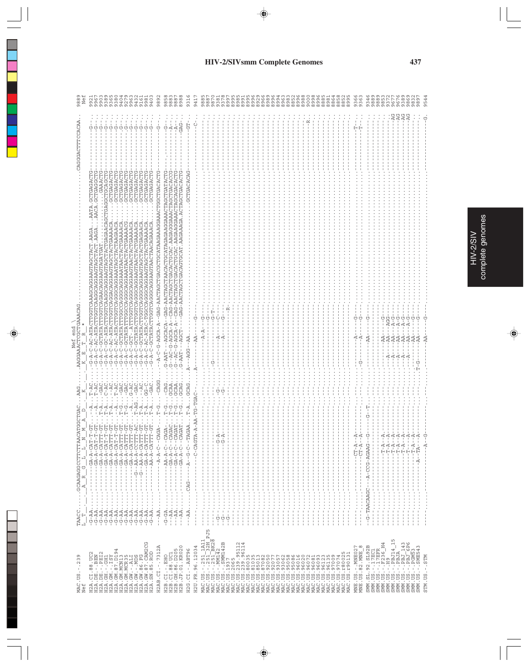| ι<br>$\epsilon$ | aenomes<br>≡<br>È |
|-----------------|-------------------|
|-----------------|-------------------|

| $389NeE$<br>999999949944994<br>9999999950944994<br>999999995094999<br>892<br>$\sigma$<br>ጣ<br>のの<br>00000000000<br>$\sigma$                                                                                                                                                                                                                                                                                                                                                                                                                                                                                                                                                                                                                                                                                                                                                                                                                                                                                                                                                                                                                                                                                                                                                                                                                                                                                                                                                                                                                                                                                                                                                                                                                                      | φ<br>931<br>941<br>O<br>$\sigma$ $\sigma$ $\infty$                                                                                                                                                                                                                                                                                                                                                                                                                                                                                                                                                                                                                                                                        | $\begin{array}{l} \hbox{\LARGE In} \; \mathbb{C} \; \cap \; \mathbb{C} \; \mathbb{C} \; \mathbb{C} \; \mathbb{C} \; \mathbb{C} \; \mathbb{C} \; \mathbb{C} \; \mathbb{C} \; \mathbb{C} \; \mathbb{C} \; \mathbb{C} \; \mathbb{C} \; \mathbb{C} \; \mathbb{C} \; \mathbb{C} \; \mathbb{C} \; \mathbb{C} \; \mathbb{C} \; \mathbb{C} \; \mathbb{C} \; \mathbb{C} \; \mathbb{C} \; \mathbb{C} \; \mathbb{C} \$<br>366<br>363<br>544<br>ጣ<br>$\sigma$<br>$\sigma$<br>$\circledcirc$ $\circledcirc$ $\circledcirc$<br>${}^{\infty}$<br>$\infty$ $\infty$ $\infty$<br>$\infty$ $\infty$<br>C<br>$\sigma$<br>0000000000<br>C<br>$\sigma$<br>$\sigma$                                                                                                                                                                                                                                                                                                                                                       |
|------------------------------------------------------------------------------------------------------------------------------------------------------------------------------------------------------------------------------------------------------------------------------------------------------------------------------------------------------------------------------------------------------------------------------------------------------------------------------------------------------------------------------------------------------------------------------------------------------------------------------------------------------------------------------------------------------------------------------------------------------------------------------------------------------------------------------------------------------------------------------------------------------------------------------------------------------------------------------------------------------------------------------------------------------------------------------------------------------------------------------------------------------------------------------------------------------------------------------------------------------------------------------------------------------------------------------------------------------------------------------------------------------------------------------------------------------------------------------------------------------------------------------------------------------------------------------------------------------------------------------------------------------------------------------------------------------------------------------------------------------------------|---------------------------------------------------------------------------------------------------------------------------------------------------------------------------------------------------------------------------------------------------------------------------------------------------------------------------------------------------------------------------------------------------------------------------------------------------------------------------------------------------------------------------------------------------------------------------------------------------------------------------------------------------------------------------------------------------------------------------|-----------------------------------------------------------------------------------------------------------------------------------------------------------------------------------------------------------------------------------------------------------------------------------------------------------------------------------------------------------------------------------------------------------------------------------------------------------------------------------------------------------------------------------------------------------------------------------------------------------------------------------------------------------------------------------------------------------------------------------------------------------------------------------------------------------------------------------------------------------------------------------------------------------------------------------------------------------------------------------------------------|
| CAGGGACTTCCACAA<br>ひ<br>ひ<br>ひ<br>ひ<br>ひ<br>ひ<br>ひ<br>ひ<br>ひ<br>ひ<br>ひ<br>ひ<br>ひ<br>ひ<br>-c<br>DHOTAIRITET CARACACARGAAG TARING TO ASSESSED TO ARACTIC CARACTO<br>AATA.GCTGAGACTG<br>ひ<br>GCTGAGACTG<br>GCTGAGACTG<br>GCTGAGACTG<br>. GCTGAGACTG-<br>- GCTGAGACTG-<br>- CCTGAGACTG-<br>ULUKUKULUUULUKKKUUKKKUKKLKUULUUUKULUUKLUKK-UKU-<br>GCTGAGACTG<br>GCTGAGACTG<br>GCTGAGACTG<br>AACA.GCTGAGGCT<br>C-AC-ATACTTGGTCAGGACGAAGTAGCTACTGAAAACA<br>C-AC-ATACTTGGTCAGGGGGAAATAGCTACTAGAAACA<br>-GCTATATTTGGCCAGGGAARATAACTACTGAAAACA<br>-GCTATATTTGGCCAGGCAGAAATAACTACTGAAAACG<br>-GCT-.ATTTGGTCAGGGAAGTAACTACTGAAAACA<br>- GUTATAT TOGOGOGOGAGARATAGTE CITA CERAAACA<br>- A C - ATAC - TGGOGOGGAGARATAGCITA CERAAACA<br>GORRARDEO GEORGEO AGODO CODO COLO DE LO GEORGEO -<br>GO ARGAN ARED ARED ARGO AND DONULO DE LO ALANGAN DE LA<br>-AC-ATACTTGGTCAAGGAAGTAGCTACT.AAGA.<br>AAGA.<br>-AC-ATACTTGGTCAAAGGAAGTAGTACT<br>Nef end \<br>AAGGAAACTCGCTGAAACAG<br>K E T R *<br>$- A - C - C - B G C A - A -$<br>U<br>U<br>U<br>U<br>U<br>U<br>U<br>$-4-$<br>U<br>↻<br>U<br>$- A -$<br>$G - A -$<br>$\begin{array}{c}\nG-A \\ \hline\n\end{array}$<br>Æ<br>ಕ<br>ひ<br>ひ<br>ひ<br>CAGG<br>$-1-AC$ .<br>$T-AC$ .<br>$-$ GAC.<br>GAC<br>$G - AC$<br>$C-AC$ .<br>$-GAC$<br>$-AC$<br><b>U</b><br>UU<br>$-GAC$<br>$T - AC$<br>$-GAC$<br>$-AC$<br><b>AAG</b><br>×<br>2<br> - 244400444<br> - 244400444<br>CATGGCTGAC<br>$-4$<br>$-4$<br>$\frac{1}{\sqrt{2}}$<br>$-4$<br>≏<br>Н<br>К<br>당<br>- 대<br>59-<br>당<br>- GT<br>AC<br>59-<br>5<br>텅<br>5<br>-<br>1<br>Σ<br>AGA.<br>$---GA - A - CATTTT$<br>$-1 - 2 - 4 - 1$<br>---------GA-A-CATT<br>TIXD-K-GA-A-CATT<br>GCAAGAGGCCTTCTTAA<br>. A R G L L N<br>$-AA - A - CATT$<br>$-6A - A - CAT$<br>$---GA - A - CAT$<br>$-6A - A - CAT$ | GAG.<br>5<br>€<br>К<br>К<br>ひ<br>- - AC-G-AGCA-A--CAG-AACTAGCTGACACTGCAC.AAGAAGGAAACTAGCAGACACCG<br>- -AC-G-AGCA-A--CAG-AACTAGCTGACACTGCAC.AAGAAGGAAACTAGCAGACACTG<br>UPCACACHOURHOK · KOARGARGE · HAUUPCOKOHOURHOKHOAO-<br>UPAG-AACTAAGUAGUAGAGAGAUAUDEUG<br>GCTGACACAG<br>Ů<br>$-ACACAA$<br>$- - A G C T$<br>$-AA$<br>$-AA$<br>$-AGG-$<br>$G - AAT -$<br>$-124 - 50 - 0$<br>$-24 - 10 - 0$<br>$\overline{A}$<br>$-4$<br>GCAA.<br>GCAA.<br>$-CAG$<br>GCAG<br><b>GCAG</b><br>$\Gamma$ – $\Delta$<br>$\frac{1}{\sqrt{2}}$<br>ס ט<br>F<br>F-G<br>$-GA - A - C - CAGAT$<br>AGAC.<br>AGAT<br><b>AGAA</b><br>AGA-<br>$\frac{1}{2}$<br>다<br>-<br>U<br> <br>$-1 - 2 - 5 - 4 - 1$<br>$---AA-AA-C$<br>$-4-4-4-4-$<br>$-GA - A - C$ | AG<br>AG<br>Q<br>AG<br>ن<br>$\approx$<br>$\mathbf{I}$<br>⊢<br>턱<br>$\frac{1}{x}$<br>$\blacksquare$<br>다<br>5<br>Ġ<br>$\begin{array}{c}\nG - G \\ G + G\n\end{array}$<br>$A - G$<br>Ġ<br>Ů<br>Ů<br>ひ<br>Ů<br>AGG-<br>$A - C$<br>Ů<br>ひ<br>ひ<br>てり<br>U<br>$-4$<br>К<br>К<br>AA.<br>AA<br>AA<br>AA<br>R<br>К<br>К<br>AA<br>AA<br>AA<br>AA<br>AA<br>AA<br>44444<br>ひ<br>ひ<br>ᄳ<br><b>ひ ウ</b><br>ಲ<br>ひ<br>4<br>-A<br>ď<br>К<br>$A \land A$<br>Æ<br>- - - T - A - - Z<br>- - - T - A - - Z<br>- - - T - A - - Z<br>- - - T - A - - Z<br>- - - T - A - - Z<br>$\frac{1}{\sqrt{2}}$<br>$-4 -$<br>$-CT - A$<br>$-CT - A$<br>$-T - A$<br>$\frac{1}{1}$<br>$\,$ I<br>$---A---TA$<br>$\frac{1}{1}$<br>÷<br>$\frac{1}{1}$<br>ţ<br>-<br>$\begin{array}{c} \begin{array}{c} \bullet \\ \bullet \\ \bullet \end{array} \end{array}$<br>$\frac{1}{1}$<br>$\mathbf{I}$<br>J.<br>$\frac{1}{1}$<br>$\frac{1}{1}$<br>Î<br>J,                                                                                           |
| f,<br>J<br>ı<br>٠<br>٠<br>ļ<br>f,<br>$\mathbf I$<br>$\frac{1}{1}$<br>$\mathbb{I}$<br>$\frac{1}{1}$<br>$\frac{1}{4}$                                                                                                                                                                                                                                                                                                                                                                                                                                                                                                                                                                                                                                                                                                                                                                                                                                                                                                                                                                                                                                                                                                                                                                                                                                                                                                                                                                                                                                                                                                                                                                                                                                              | Î<br>$\cdot$ .CAG--<br>$\mathbf{I}$<br>$\frac{1}{1}$<br>$\mathsf I$<br>$\frac{1}{1}$<br>J.<br>$\,$ I<br>t                                                                                                                                                                                                                                                                                                                                                                                                                                                                                                                                                                                                                 | $-1$ + $-1$ + $-1$ + $-1$ + $-1$<br>$\frac{1}{1}$<br>Ţ<br>$\frac{1}{2}$<br>$\begin{array}{c} \n\cdot & \cdot & \cdot \\ \n\cdot & \cdot & \cdot \\ \n\cdot & \cdot & \cdot \n\end{array}$<br>$\frac{1}{1}$<br>$\frac{1}{2}$<br>$\frac{1}{2}$<br>$\frac{1}{2}$<br>$\frac{1}{2}$<br>$\frac{1}{1}$<br>j<br>$\frac{1}{2}$<br>$\begin{array}{c} 1 \\ 1 \\ 1 \end{array}$<br>$\frac{1}{1}$<br>$\frac{1}{1}$<br>ł<br>$\begin{array}{c} \hline \end{array}$<br>$\ddot{\cdot}$                                                                                                                                                                                                                                                                                                                                                                                                                                                                                                                               |
| $\cdot$<br>$\cdot$<br>$G-AA$ .<br>$-AA$ .<br>$-6 - 34.$<br>$-6 - 34.$<br>ׇ֛֛֛֛֦֦֦֦֧֦֦֦֦֘֘֡֬֬֡֡֬֡֬֡֡֡֡֬֡֡֬֬׆֧ׅ֧֧֓֬֓֓<br>׆֧֧֧֧׆֥׆֥׆֥׆֖֛֖֛֛֛֛֛֛֛׆֛׆֛֛׆֛֛<br>׆֖֖֖֖֖֛֚֚֚֬֬֬֬֬׆֛֛׆֖֛֛֛֛֛֛֛֛֛<br>TAACC<br>Н<br>$\overline{a}$                                                                                                                                                                                                                                                                                                                                                                                                                                                                                                                                                                                                                                                                                                                                                                                                                                                                                                                                                                                                                                                                                                                                                                                                                                                                                                                                                                                                                                                                                                                                           | $- P A$<br>$-4A$ .<br>$-G-GA$ .<br>$\cdot$<br>$---AA$ .<br>ţ                                                                                                                                                                                                                                                                                                                                                                                                                                                                                                                                                                                                                                                              | $\frac{1}{2}$<br>$\vdots$<br>$\frac{1}{2}$<br>$\frac{1}{2}$<br>$\frac{1}{2}$<br>$\frac{1}{2}$<br>$\frac{1}{2}$<br>$\begin{array}{c} \vdots \\ \vdots \\ \vdots \\ \vdots \end{array}$<br>$\frac{1}{2}$<br>$\frac{1}{2}$<br>$\vdots$<br>$\vdots$<br>$\frac{1}{2}$<br>$\frac{1}{2}$<br>$\frac{1}{2}$<br>$\vdots$<br>$\begin{array}{c} 1 \\ 1 \\ 1 \\ 1 \\ 1 \end{array}$<br>$\begin{array}{c} 1 \\ 1 \\ 1 \\ 1 \end{array}$<br>$\frac{1}{2}$<br>$\vdots$<br>$\frac{1}{4}$<br>$\frac{1}{1}$<br>$\frac{1}{1}$<br>$\frac{1}{1}$<br>$\frac{1}{1}$<br>$\frac{1}{4}$<br>t<br>÷<br>÷,<br>ŧ<br>÷<br>÷<br>ï<br>ï<br>$\mathbf I$<br>$\frac{1}{1}$<br>$\mathbf{I}$<br>$\mathsf I$<br>$\,$ I<br>$\frac{1}{4}$<br>$\mathbf{I}$<br>1<br>$\mathbf{I}$<br>$\mathbf{I}$<br>J.<br>J.<br>$\mathbf{I}$<br>J.<br>I,<br>J.<br>$\mathbf{I}$<br>$\mathbf{I}$<br>$\frac{1}{\sqrt{2}}$<br>f,<br>$\frac{c}{1}$<br>$\frac{1}{\sqrt{2}}$<br>$\mathsf I$<br>$\mathfrak l$<br>J<br>$\,$ I<br>$\,$ I<br>$\overline{\phantom{a}}$<br>٠ |
| $\begin{array}{l} \rm I2A,\,CL,\,88\,,\,UC2\\ \rm I2A,\,DB.-IBEN\\ \rm I2A,\,GB.-GBI\\ \rm I2A,\,GH.-GBI\\ \rm I2A,\,GH.-LSS\\ \rm I2A,\,GH, 1.15Y\\ \rm I2A,\,GH, 1.15Y\\ \rm I2A,\,GH, 1.15Y\\ \rm I2A,\,GH, 1.15Y\\ \rm I2A,\,GH, 1.15Y\\ \rm I2A,\,GH, 1.15Y\\ \rm I2A,\,GH, 1.15Y\\ \rm I2A,\,GH, 1.15Y\\ \rm I2A,\,GH, 1.15Y\\ \rm$<br>$-.7312A$<br>Ō<br>$-0.23$<br>H2AB.CI.<br>SΩ.<br>MAC.<br>Nef                                                                                                                                                                                                                                                                                                                                                                                                                                                                                                                                                                                                                                                                                                                                                                                                                                                                                                                                                                                                                                                                                                                                                                                                                                                                                                                                                         | H2B.CI.-.BHO<br>H2B.CI.88.UC1<br>H2B.CH.86.D205<br>H2B.JP.01.KR020<br>H2U.FR.96.12034<br>H2G.CI.-.ABT96                                                                                                                                                                                                                                                                                                                                                                                                                                                                                                                                                                                                                   | 15<br>$\begin{array}{l} \mathbf{SMM}, \mathbf{SL}, 92, \mathbf{S}192\mathbf{B}\\ \mathbf{SMM}, \mathbf{US}, \cdots, \mathbf{17}\mathbf{EC}\\ \mathbf{SMM}, \mathbf{US}, \cdots, \mathbf{17}\mathbf{Z}3\mathbf{6} \\ \mathbf{SMM}, \mathbf{US}, \cdots, \mathbf{18} \\ \mathbf{SMM}, \mathbf{US}, \cdots, \mathbf{19} \\ \mathbf{SMM}, \mathbf{US}, \cdots, \mathbf{19} \\ \mathbf{SMM}, \mathbf{US}, \cdots, \mathbf{BBJM}, \mathbf{1.5} \\ \mathbf{SMM},$<br>$\infty$<br>.MNE027<br>.SME543<br>MNE. US. 82. MNE<br>MIS.<br>$MNE. US. -$<br>٠<br>STM.US<br>SMM.US                                                                                                                                                                                                                                                                                                                                                                                                                                   |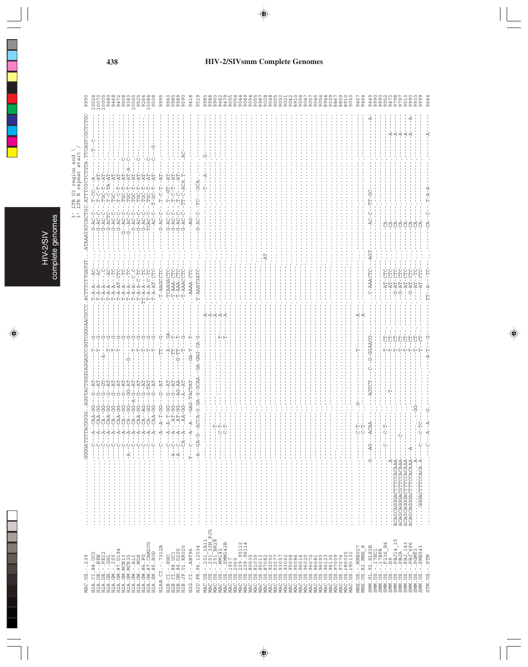|                                                                                                                                                     | 9990<br>111<br>0000446<br>000000<br>1000000<br>4000000<br>$\begin{array}{c} 0 & 0 & 0 & 0 & 0 & 0 \\ 0 & 0 & 0 & 0 & 0 & 0 \\ 0 & 0 & 0 & 0 & 0 & 0 \\ 0 & 0 & 0 & 0 & 0 & 0 \\ 0 & 0 & 0 & 0 & 0 & 0 \\ 0 & 0 & 0 & 0 & 0 & 0 \\ 0 & 0 & 0 & 0 & 0 & 0 \\ 0 & 0 & 0 & 0 & 0 & 0 \\ 0 & 0 & 0 & 0 & 0 & 0 \\ 0 & 0 & 0 & 0 & 0 & 0 \\ 0 & 0 & 0 & 0 & 0 & 0 \\ 0 & 0 & 0 & 0 & 0 &$<br>$\overline{ }$                                                                                                                                                                                                                                                                                                                                                                                                                                                           | 999<br>$\sigma$                                                      | O LO 60<br>00 60<br>00 60<br>9090<br>941<br>C<br>$\sigma$                                                                                                                         | 951                                    | 988<br>988<br>ᡡ                                                                                                                              | w<br>$\frac{48}{3}$<br>$\sigma$<br>4       | ഗ<br>m<br>$\circ$<br>$\circ$ | $\overline{0}$<br>04 | 00000<br>00000<br>0000 | 048 | 04<br>$\overline{\phantom{0}}$<br>$\sigma$ | 04.0 | 50<br>$\overline{0}4$ | 944<br>039<br>05 | $, 0.010$<br>$, 0.010$<br>$, 0.000$<br>$, 0.000$ | 46<br>ጣ<br>$\sigma$                                                | 449<br>$\sigma$<br>$\sigma$                                                                                | OONM 8 NOOM<br>TOON NOOM<br>OONM 8 NOOM<br>$\sigma$ , $\sigma$ , $\sigma$ | $\sigma$<br>C                                                | თ თ                                                                    | $\sigma$                               | 964                                |
|-----------------------------------------------------------------------------------------------------------------------------------------------------|-----------------------------------------------------------------------------------------------------------------------------------------------------------------------------------------------------------------------------------------------------------------------------------------------------------------------------------------------------------------------------------------------------------------------------------------------------------------------------------------------------------------------------------------------------------------------------------------------------------------------------------------------------------------------------------------------------------------------------------------------------------------------------------------------------------------------------------------------------------------|----------------------------------------------------------------------|-----------------------------------------------------------------------------------------------------------------------------------------------------------------------------------|----------------------------------------|----------------------------------------------------------------------------------------------------------------------------------------------|--------------------------------------------|------------------------------|----------------------|------------------------|-----|--------------------------------------------|------|-----------------------|------------------|--------------------------------------------------|--------------------------------------------------------------------|------------------------------------------------------------------------------------------------------------|---------------------------------------------------------------------------|--------------------------------------------------------------|------------------------------------------------------------------------|----------------------------------------|------------------------------------|
| COLOLOCHO KOLH : KHOLOULUUOLH KI : OULOKOLKHARKH K :<br>start<br>end<br>region<br>repeat<br>S<br>$\approx$<br>LTR<br>LTR<br>$\frac{1}{2}$<br>$\sim$ | U<br>ै<br>U<br>i<br>U<br>◡<br>$-RT - A$<br>÷<br>$-7A$<br>$- - A T$<br>$- - A T$<br>$- - A T$<br>$- - A T$<br>$T - C - TA - AT$<br>$-4$<br>$-4$<br>$-4$<br>$-4$<br>Ţ<br>$\begin{array}{c}\n\text{F}-\text{C}-\text{F} \\ \text{F}-\text{C}-\text{F}\n\end{array}$<br>ローワー<br>TGC-T<br>T-JDT<br><b>H-25-</b><br>$TGC -$<br>TGC-T<br>TGC-T<br>툿<br>툿<br>U<br>U<br>U<br><b>COL</b><br><b>COL</b><br>ں<br>!<br>P<br>ں<br>!<br>º.<br>$-54-54-5-$<br>Y<br>Y<br>$G - P - C - C$<br>$G - AC$<br>$G - AC$<br>$G - AC$<br>$G - AC$<br>TCAC<br>$-AC$<br>$G - AC$                                                                                                                                                                                                                                                                                                            | $- - A T$<br>$-AT$<br>$T - C - T$<br>$-10-$<br>C<br>じょーひ<br>$G - AC$ | $-4T$<br>$- - A T$<br>$-ACA$ . T<br>$-5 - 5$<br>$\overline{C}$<br>$\overline{C}$<br>$\vdash$<br>$\mathbb H$<br>U<br>C<br>ں<br>!<br>$G - AC -$<br>$-AC-$<br>$-AC$<br>$G - AC$<br>ひ | $-GCA$<br>-TC<br>$G - AC - C$          | $-4$<br>$\vdash$                                                                                                                             |                                            |                              |                      |                        |     |                                            |      |                       |                  |                                                  |                                                                    | UU<br>1<br>Ë<br>$\frac{1}{1}$<br>AC                                                                        | К<br>F<br>5                                                               | К<br>К<br>S<br>రే                                            | K,<br>К<br>$\overline{c}$<br>$\mathfrak{B}$                            | S<br>ි                                 | đ                                  |
|                                                                                                                                                     | $C - C$<br>$\dot{\circ}$<br>$- A - A T - C T C$<br>$\cup$<br>$-10$<br>$-AC$<br>U<br>$-TC$<br>- 1<br>- 1<br>- 1<br>- 1<br>- 1<br>$- A - A T - C T C$<br>ř<br>$\ddot{c}$<br>$\begin{array}{c} \mathbf{T}-\mathbf{A}-\mathbf{A}\\ \mathbf{T}-\mathbf{A}-\mathbf{A}\\ \mathbf{T}-\mathbf{A}-\mathbf{A}-\mathbf{A} \end{array}$<br>$- A - A$<br>$-A - A$<br>$\mathbb H$<br>$\vdash$<br>е                                                                                                                                                                                                                                                                                                                                                                                                                                                                             | T-AAGCCTC<br>TCAAGACTC                                               | $T - A A A - C T C$<br>T-AAACCTC<br>-AAAA-CTC<br>T-AAA-CTC                                                                                                                        | T-AAATGATC                             | ひひひひ                                                                                                                                         | A                                          |                              |                      |                        |     |                                            |      |                       |                  |                                                  | К<br>K,                                                            | $-AGI$<br>-AAACTC                                                                                          | CTC<br>CFC<br>U<br>$-AT$ -<br>$-AT$ -                                     | 다<br>다<br>CHC<br>$G - AT$ <sup>-1</sup><br>$G-AT$            | CTC.<br>CHO<br>$G - P \Gamma$<br>$- - A T$                             | $-AT - CTC$<br>$-TC$<br>$-AT$          | L<br>F<br>$TT--A$                  |
|                                                                                                                                                     | HULYULLULLLUY,UUUUUYYUUUULUUUUUVYUUYUUUULUYLUY , UUUUUYLL<br><b>ひひひ</b><br>ひ<br><b>いい</b><br>ひ<br>ひ<br>ひ<br>ひ<br>ひ<br>ひ<br>ひ<br>턱<br>부부<br>۳<br>-<br>부<br>ь<br>н<br>부<br>부<br>북<br>$- A -$<br>J.<br>ャ                                                                                                                                                                                                                                                                                                                                                                                                                                                                                                                                                                                                                                                           | 3<br>ひ<br>$-4$<br>FT-                                                | ひ<br>$\vdash$<br>Н<br>$G-TT$ .<br>$-GA-T$<br>$-TT$<br>턱                                                                                                                           | ひ<br>$-GA-GAG-CA$                      |                                                                                                                                              | ь                                          |                              |                      |                        |     |                                            |      |                       |                  |                                                  |                                                                    | -GGAACG<br>ひ<br>O                                                                                          | 5                                                                         | 5<br>5<br>⊢<br>⊢                                             | 튕<br>5<br>⊢<br>⊢                                                       | 5<br>5<br>⊢<br>⊢                       | $A - T$                            |
|                                                                                                                                                     | $-2AT$<br>$-2AT$<br>남 : 31년<br>- 14년 - 4년<br>- 14년 - 14년<br>- 14년 - 14년<br>ĀТ<br>$-TAT$<br>$-AT$<br>$\mathbb{A}\mathbb{T}$<br>$-AT$<br>$-AT$<br>ひ<br>먹.<br>ಲ<br>ひ<br>てり<br>ひ<br>$G - A$<br>ł.<br>CAA-GG<br>CAA-GG<br>$-0$<br>9<br>$-4G$<br>CAA-GG<br>9<br>ひ<br>÷<br>$CAA$ -<br>$\overline{c}$<br>$\dot{\mathcal{L}}$<br>S<br>S<br>F<br><b>AAAAAAAAAA</b><br>К<br>Ť<br>l.<br>÷<br>÷                                                                                                                                                                                                                                                                                                                                                                                                                                                                              | $-AT$<br>$-AT$<br>ひ<br>ひ<br>50-<br>$A-T-GG$<br>$A-T$<br>К<br>К       | $-AG-AA$<br>$-GAG-TACTTAT$<br>$-AT$<br>$-AT$<br>Ŗ<br>ಲ್ಲ<br>$. A - GG$<br>.AT-GG<br>.AT-GG<br>I.<br>$- - A -$<br>К<br>$\vec{A}$<br>К<br>Ą<br>÷                                    | ARUU-U-AU.U-U-U-U                      |                                                                                                                                              | н<br>日し<br>부                               |                              |                      |                        |     |                                            |      |                       |                  |                                                  | けっ<br>부<br>€                                                       | <b>AGTCT</b><br>-ACAA                                                                                      | 텃<br>U                                                                    |                                                              |                                                                        | ピーリ                                    |                                    |
|                                                                                                                                                     | GGGGATG<br>ï<br>$\mathbf{I}$<br>$\mathbf{I}$<br>$\blacksquare$<br>$\blacksquare$<br>$-1$<br>$-1$<br>$\frac{1}{1}$<br>$\frac{1}{2}$<br>$- - -$<br>$\frac{1}{1}$<br>U<br>U<br>$\frac{1}{2}$<br>ុ<br> <br>י<br>י<br>U<br>$\tilde{+}$<br>$\,$ l<br>$\frac{1}{1}$<br>$\mathbf{I}$<br>$\mathbf{I}$<br>J.<br>I.<br>$\frac{1}{2}$<br>.<br>Ì<br>$\vdots$<br>$\vdots$<br>$\bullet$<br>$\vdots$<br>$\vdots$<br>$\vdots$<br>.<br>.<br>.<br>.<br>$\frac{1}{2}$ , $\frac{1}{2}$ , $\frac{1}{2}$ , $\frac{1}{2}$ , $\frac{1}{2}$ , $\frac{1}{2}$ , $\frac{1}{2}$ , $\frac{1}{2}$ , $\frac{1}{2}$ , $\frac{1}{2}$ , $\frac{1}{2}$ , $\frac{1}{2}$ , $\frac{1}{2}$ , $\frac{1}{2}$ , $\frac{1}{2}$ , $\frac{1}{2}$ , $\frac{1}{2}$ , $\frac{1}{2}$ , $\frac{1$<br>$\frac{1}{2}$<br>$\begin{array}{c} \vdots \\ \vdots \\ \vdots \end{array}$<br>$\vdots$<br>$\vdots$<br>$\vdots$ | $\mathbf{I}$<br>U<br>U<br>Ť<br>J,<br>$\vdots$<br>$\vdots$            | $-4-1$<br>$\mathbf{I}$<br>$\therefore T = -C$<br>.<br>$\frac{1}{2}$                                                                                                               | $-45 - -4 - -54$<br>.<br>$\frac{1}{2}$ |                                                                                                                                              |                                            |                              |                      |                        |     |                                            |      |                       |                  |                                                  | İ<br>$\frac{1}{4}$<br>$\vdots$<br>$\vdots$                         |                                                                                                            | ÷.<br>$\frac{1}{1}$<br>$\frac{1}{4}$<br>Ť.<br>$\,$ I<br>ŧ                 | ł<br>j<br>ACAGCAGGGACTTTCCACAAA---<br>ACAGCAGGACGTCCACAAA--- | ACAGCAGGACTTCCACAAA---A-<br>ACAGCAGGACTTCCACAAA-                       | $\mathbf{I}$                           | $\overline{\phantom{a}}$<br>ن<br>۱ |
|                                                                                                                                                     | $\cdot$<br>$\begin{small} 12231, 1232 & 12331 & 12331 & 12331 & 12331 & 12331 & 12331 & 12331 & 12331 & 12331 & 12331 & 12331 & 12331 & 12331 & 12331 & 12331 & 12331 & 12331 & 12331 & 12331 & 12331 & 12331 & 12331 & 12331 & 12331 & 12331 & 12331 & 12331 & 12331 & 12331$<br>.88.02<br>.239<br>MAC.US<br>H <sub>2</sub> A.CI                                                                                                                                                                                                                                                                                                                                                                                                                                                                                                                               | $-.7312A$<br>H2AB.CI.                                                | $\circ$<br>H2B.CI.-. EHO<br>H2B.CI.88.UC1<br>H2B.GH.86.D205<br>H2B.JP.01.KR020<br>$-.ABT96$<br>H2G.CI.                                                                            | H2U. FR. 96.12034                      | PJ5<br>$\frac{3}{3} - 251 \overline{1321}$<br>$\frac{3}{3} - 251 \overline{1321}$<br>$\frac{1}{3} - 251 \overline{1328}$<br>MAC.US<br>MAC.US | $-$ . MM142<br>$\cdot$<br>MAC.US<br>MAC.US |                              |                      |                        |     |                                            |      |                       |                  |                                                  | ${}^{\circ}$<br>$-$ . MNE027<br>MNE.US.82.MNE<br>$\cdot$<br>MNE.US | SMM. SL. 92. SL92B<br>SMM. US. - .17BC1<br>SMM. US. - .17BER<br>SMM. US. - .F236_H4<br>SMM. US. - .F236_H4 |                                                                           | 5<br>H<br>$-1004$<br>$-$ . PBJA<br>٠.                        | -.PBJ_143<br>-.PBJ_6P6<br>-.PGM53<br>l,<br>$\cdot$<br>SMM.US<br>SMM.US | .SME543<br>$\cdot$<br>SMM.US<br>SMM.US | .STM<br>STM.US                     |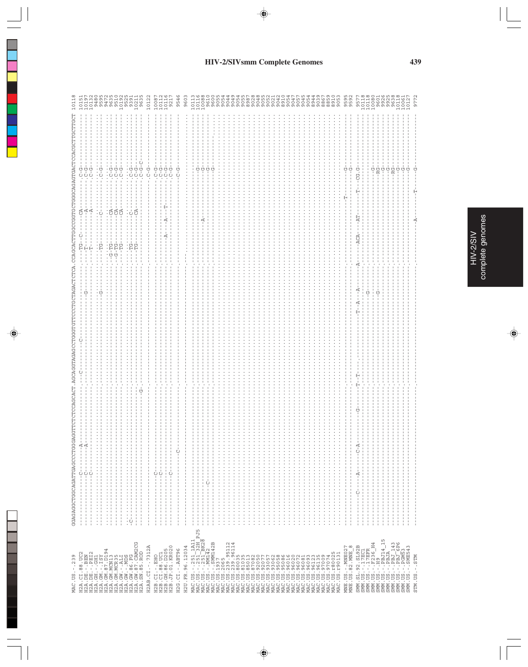| ι<br>$\epsilon$ | aenomes<br>≡<br>È |
|-----------------|-------------------|
|-----------------|-------------------|

| $-239$<br>MAC.US                                                                                                                                                                                                                                                                                                                                                                                                                                        | FDPEFDPEFDPACOFD4PHP4P4DPCDPEPPHPBODDPDFFD4DP4DD:4DFDFD4P4FDPFDDDFFPFPDPFDDD4P4P4FDP4DP4;<br>LUKUURUULULULLUUKUUULUUUUKULLKUKUUULUUUKUKUU                                                                 |                                                                    | $^\infty$<br>1011                                                                                            |
|---------------------------------------------------------------------------------------------------------------------------------------------------------------------------------------------------------------------------------------------------------------------------------------------------------------------------------------------------------------------------------------------------------------------------------------------------------|-----------------------------------------------------------------------------------------------------------------------------------------------------------------------------------------------------------|--------------------------------------------------------------------|--------------------------------------------------------------------------------------------------------------|
|                                                                                                                                                                                                                                                                                                                                                                                                                                                         | U<br>$-4 - 1$<br>$\mathsf I$<br>ł<br>$\begin{array}{c} 1 & 1 \\ 0 & 0 \\ 1 & 1 \end{array}$<br>$\frac{1}{4}$<br>$\mathsf{I}$<br>$\frac{1}{1}$<br>$\mathsf I$<br>ł.<br>$\mathbf{I}$<br>$\mathbb{I}$        | E<br>↻<br>Ë                                                        |                                                                                                              |
|                                                                                                                                                                                                                                                                                                                                                                                                                                                         | Н<br>C٦<br>$\,$ I<br>$\mathbf{I}$<br>$\mathbf{I}$<br>$\mathbf{I}$<br>$\mathbf{I}$                                                                                                                         | <b>ひ ひ ひ</b><br><b>UUU</b><br>$-4$                                 |                                                                                                              |
|                                                                                                                                                                                                                                                                                                                                                                                                                                                         | f,<br>$\mathbf I$<br>$\,$ l<br>$\overline{\phantom{a}}$<br>$\overline{\phantom{a}}$<br>$\overline{\phantom{a}}$<br>$\frac{1}{4}$<br>$\mathbf{I}$<br>$\mathbf{I}$<br>$\,$ $\,$<br>$\,$ l<br>$\blacksquare$ | $\mathbb H$                                                        |                                                                                                              |
|                                                                                                                                                                                                                                                                                                                                                                                                                                                         |                                                                                                                                                                                                           | ㆍ ញ<br>$\cdot$ U<br>ن .<br>$\vdots$                                |                                                                                                              |
|                                                                                                                                                                                                                                                                                                                                                                                                                                                         |                                                                                                                                                                                                           |                                                                    |                                                                                                              |
|                                                                                                                                                                                                                                                                                                                                                                                                                                                         | $\frac{1}{1}$<br>$\frac{1}{1}$<br>$\frac{1}{1}$<br>$\frac{1}{1}$<br>$\frac{1}{1}$<br>$\frac{1}{1}$<br>$\frac{1}{1}$                                                                                       | $\cdot$ U U                                                        |                                                                                                              |
|                                                                                                                                                                                                                                                                                                                                                                                                                                                         | ţ                                                                                                                                                                                                         | $\cdot$ ט ט ט<br>:555                                              |                                                                                                              |
|                                                                                                                                                                                                                                                                                                                                                                                                                                                         | $\blacksquare$                                                                                                                                                                                            | U<br>$-TC$                                                         |                                                                                                              |
|                                                                                                                                                                                                                                                                                                                                                                                                                                                         |                                                                                                                                                                                                           | $\cdot$ U<br>$\cdot$ U<br>: ମୁ                                     |                                                                                                              |
|                                                                                                                                                                                                                                                                                                                                                                                                                                                         | $\frac{1}{4}$<br>$-1$ + $-1$ + $-1$ + $-1$ + $-1$<br>$\overline{1}$<br>$\,$ $\,$<br>$\mathbf{I}$                                                                                                          | ・ひ ひ ひ<br>U<br>F<br>입                                              |                                                                                                              |
| $\begin{array}{l} \rm I2A,\,CL,\,88,\,UC2\\ \rm I2A,\,DE.-IBEN\\ \rm I2A,\,CH.-GBI-1\\ \rm I2A,\,CH.-15Y\\ \rm I2A,\,CH.-15Y\\ \rm I2A,\,CH.-15Y\\ \rm I2A,\,CH., 15Y\\ \rm I2A,\,CH, 15Y\\ \rm I2A,\,CH, 15Y\\ \rm I2A,\,CH, 15Y\\ \rm I2A,\,CH, 15Y\\ \rm I2A,\,CH, 15Y\\ \rm I2A,\,CH, 15Y\\ \rm I2A,\,CH, 15Y\\ \rm I2A,\,CH, 15Y\\ \rm I2A$                                                                                                        | U<br>$\mathbf{u}$<br>$\frac{1}{4}$                                                                                                                                                                        | U<br>U                                                             | רובו<br>המשפט של המשפט של המשפט של המשפט<br>המשפט המשפט של המשפט<br>האוסט משפט משפט הוא<br>האוסט משפט משפט ה |
| $-.7312A$<br>H2AB.CI.                                                                                                                                                                                                                                                                                                                                                                                                                                   |                                                                                                                                                                                                           | ひ<br>U                                                             | $\sim$<br>10122                                                                                              |
|                                                                                                                                                                                                                                                                                                                                                                                                                                                         | $- - - - - - - - - - - - -$                                                                                                                                                                               |                                                                    |                                                                                                              |
|                                                                                                                                                                                                                                                                                                                                                                                                                                                         | f,<br>Ť<br>$- - \frac{1}{\sqrt{2}}$                                                                                                                                                                       |                                                                    |                                                                                                              |
| H2B.CI.-.BHO<br>H2B.CI.88.UC1<br>H2B.GH.86.D205<br>H2B.JP.01.KR020                                                                                                                                                                                                                                                                                                                                                                                      | $\,$<br>$\frac{1}{1}$                                                                                                                                                                                     | やややや<br>UUUU<br>۴<br>К<br>Ŗ                                        | 10087<br>101116<br>10116<br>9217                                                                             |
| H2G.CI. - . ABT96                                                                                                                                                                                                                                                                                                                                                                                                                                       | $\frac{1}{4}$<br>$\frac{1}{1}$                                                                                                                                                                            | ಲ<br>U                                                             | 9546                                                                                                         |
| H2U.FR.96.12034                                                                                                                                                                                                                                                                                                                                                                                                                                         |                                                                                                                                                                                                           |                                                                    | 9603                                                                                                         |
|                                                                                                                                                                                                                                                                                                                                                                                                                                                         |                                                                                                                                                                                                           |                                                                    |                                                                                                              |
|                                                                                                                                                                                                                                                                                                                                                                                                                                                         | ţ<br>$\frac{1}{1}$<br>$\mathfrak l$                                                                                                                                                                       |                                                                    |                                                                                                              |
|                                                                                                                                                                                                                                                                                                                                                                                                                                                         |                                                                                                                                                                                                           | К                                                                  |                                                                                                              |
| $\begin{smallmatrix} \mathtt{M}\mathtt{R}\mathtt{C}, \mathtt{U}\mathtt{S}^{-1} & \mathtt{1}\mathtt{A}\mathtt{1} & \mathtt{1}\mathtt{A}\mathtt{1} & \mathtt{1}\mathtt{B}\mathtt{1} & \mathtt{1}\mathtt{B}\mathtt{1} & \mathtt{1}\mathtt{B}\mathtt{1} & \mathtt{1}\mathtt{B}\mathtt{1} & \mathtt{1}\mathtt{B}\mathtt{1} & \mathtt{1}\mathtt{B}\mathtt{1} & \mathtt{1}\mathtt{B}\mathtt{1} & \mathtt{1}\mathtt{B}\mathtt{1} & \mathtt{1}\mathtt{B}\mathtt$ | $\frac{1}{1}$<br>$\,$ $\,$<br>$\mathbf{I}$                                                                                                                                                                | <b>ひひひひ</b>                                                        |                                                                                                              |
|                                                                                                                                                                                                                                                                                                                                                                                                                                                         | $\frac{1}{1}$                                                                                                                                                                                             |                                                                    |                                                                                                              |
|                                                                                                                                                                                                                                                                                                                                                                                                                                                         |                                                                                                                                                                                                           |                                                                    |                                                                                                              |
|                                                                                                                                                                                                                                                                                                                                                                                                                                                         |                                                                                                                                                                                                           |                                                                    |                                                                                                              |
|                                                                                                                                                                                                                                                                                                                                                                                                                                                         |                                                                                                                                                                                                           |                                                                    |                                                                                                              |
|                                                                                                                                                                                                                                                                                                                                                                                                                                                         |                                                                                                                                                                                                           |                                                                    |                                                                                                              |
|                                                                                                                                                                                                                                                                                                                                                                                                                                                         |                                                                                                                                                                                                           |                                                                    |                                                                                                              |
|                                                                                                                                                                                                                                                                                                                                                                                                                                                         |                                                                                                                                                                                                           |                                                                    |                                                                                                              |
|                                                                                                                                                                                                                                                                                                                                                                                                                                                         |                                                                                                                                                                                                           |                                                                    |                                                                                                              |
|                                                                                                                                                                                                                                                                                                                                                                                                                                                         |                                                                                                                                                                                                           |                                                                    |                                                                                                              |
|                                                                                                                                                                                                                                                                                                                                                                                                                                                         |                                                                                                                                                                                                           |                                                                    |                                                                                                              |
|                                                                                                                                                                                                                                                                                                                                                                                                                                                         |                                                                                                                                                                                                           |                                                                    |                                                                                                              |
|                                                                                                                                                                                                                                                                                                                                                                                                                                                         |                                                                                                                                                                                                           |                                                                    |                                                                                                              |
|                                                                                                                                                                                                                                                                                                                                                                                                                                                         |                                                                                                                                                                                                           |                                                                    |                                                                                                              |
|                                                                                                                                                                                                                                                                                                                                                                                                                                                         |                                                                                                                                                                                                           |                                                                    |                                                                                                              |
|                                                                                                                                                                                                                                                                                                                                                                                                                                                         |                                                                                                                                                                                                           |                                                                    |                                                                                                              |
|                                                                                                                                                                                                                                                                                                                                                                                                                                                         |                                                                                                                                                                                                           |                                                                    |                                                                                                              |
|                                                                                                                                                                                                                                                                                                                                                                                                                                                         |                                                                                                                                                                                                           |                                                                    |                                                                                                              |
|                                                                                                                                                                                                                                                                                                                                                                                                                                                         |                                                                                                                                                                                                           |                                                                    |                                                                                                              |
|                                                                                                                                                                                                                                                                                                                                                                                                                                                         |                                                                                                                                                                                                           |                                                                    |                                                                                                              |
|                                                                                                                                                                                                                                                                                                                                                                                                                                                         |                                                                                                                                                                                                           |                                                                    |                                                                                                              |
|                                                                                                                                                                                                                                                                                                                                                                                                                                                         |                                                                                                                                                                                                           |                                                                    |                                                                                                              |
|                                                                                                                                                                                                                                                                                                                                                                                                                                                         |                                                                                                                                                                                                           |                                                                    |                                                                                                              |
|                                                                                                                                                                                                                                                                                                                                                                                                                                                         |                                                                                                                                                                                                           |                                                                    |                                                                                                              |
| $\Gamma$ $\infty$<br>MNE.US. - .MNE02<br>MNE.US. 82.MNE                                                                                                                                                                                                                                                                                                                                                                                                 |                                                                                                                                                                                                           | てりてり                                                               | 1595<br>1592<br>ጣ ጣ                                                                                          |
|                                                                                                                                                                                                                                                                                                                                                                                                                                                         |                                                                                                                                                                                                           |                                                                    |                                                                                                              |
|                                                                                                                                                                                                                                                                                                                                                                                                                                                         | К<br>К<br>$\overline{\phantom{a}}$<br>К<br>E<br>ь<br>Е<br>$-C - A$<br>$-4 - 2$<br>j<br>$\frac{1}{1}$<br>$\,$<br>$\blacksquare$                                                                            | ್<br>5<br>$\overline{\phantom{a}}$<br>н<br><b>AT</b><br><b>ACA</b> |                                                                                                              |
|                                                                                                                                                                                                                                                                                                                                                                                                                                                         | J.                                                                                                                                                                                                        |                                                                    |                                                                                                              |
|                                                                                                                                                                                                                                                                                                                                                                                                                                                         | C٦                                                                                                                                                                                                        |                                                                    |                                                                                                              |
|                                                                                                                                                                                                                                                                                                                                                                                                                                                         | ひ                                                                                                                                                                                                         |                                                                    |                                                                                                              |
| LN,                                                                                                                                                                                                                                                                                                                                                                                                                                                     |                                                                                                                                                                                                           |                                                                    |                                                                                                              |
|                                                                                                                                                                                                                                                                                                                                                                                                                                                         |                                                                                                                                                                                                           |                                                                    |                                                                                                              |
|                                                                                                                                                                                                                                                                                                                                                                                                                                                         | $\overline{\phantom{a}}$                                                                                                                                                                                  |                                                                    |                                                                                                              |
|                                                                                                                                                                                                                                                                                                                                                                                                                                                         |                                                                                                                                                                                                           |                                                                    |                                                                                                              |
| $\begin{array}{l} \mathbf{SIM}^1, \mathbf{SL}, 22, \mathbf{S}1292\mathbf{B}\\ \mathbf{SIM}^1, \mathbf{US}^2, -17\mathbf{EC1}\\ \mathbf{SIM}^1, \mathbf{US}^2, -17\mathbf{EC1}\\ \mathbf{SIM}^1, \mathbf{US}^2, -182\mathbf{S}^2\mathbf{H}^4\\ \mathbf{SIM}^1, \mathbf{US}^2, -182\mathbf{S}^2\mathbf{H}^4\\ \mathbf{SIM}^1, \mathbf{US}^2, -18\mathbf{B1}\mathbf{J}^4, -1$                                                                              |                                                                                                                                                                                                           | 한 앉아 한 앉아 아 아                                                      |                                                                                                              |
|                                                                                                                                                                                                                                                                                                                                                                                                                                                         |                                                                                                                                                                                                           |                                                                    |                                                                                                              |
| MLS.-<br>STM.US.                                                                                                                                                                                                                                                                                                                                                                                                                                        |                                                                                                                                                                                                           | τŋ                                                                 | 9772                                                                                                         |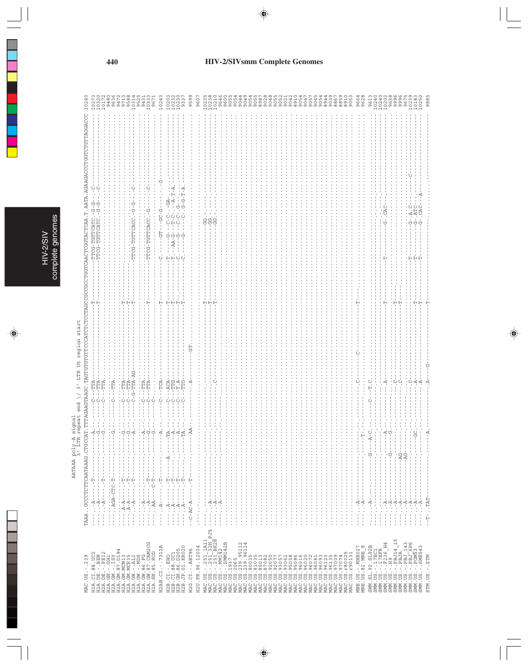AATAAA poly-A signal<br>3' LTR repeat end \/ 3' LTR U5 region start

| 10240                                                                                                                                                                                                                          |                                                                                                                                                                                                                                                                                                                                                               |                                                                                     |                |                                                                                                                                                                                                                                                                                                                                                                                                                                                                                                                                          |     |                          |          |                 |                                                                                                     | .0243<br>$\overline{\phantom{0}}$    | $\overline{\phantom{0}}$                                                        | $\overline{a}$                                                                       | 020207<br>020207<br>0009                                           | 9599                                          | 9607                                                                                                                                                                                                                                                                                                                                                                                                                                                     | $\mathbf{\mathbf{r}}$ | $-1$     |                                                                                     |  |  |  |  |  |  |  |  |  |  | 9664<br>9628                                                                                               |                                                   |                                                                                        |                          |                                                                          |                                                                                                                           |                   |                                                                     |                                                               |                       |                | 885<br>Ō                    |
|--------------------------------------------------------------------------------------------------------------------------------------------------------------------------------------------------------------------------------|---------------------------------------------------------------------------------------------------------------------------------------------------------------------------------------------------------------------------------------------------------------------------------------------------------------------------------------------------------------|-------------------------------------------------------------------------------------|----------------|------------------------------------------------------------------------------------------------------------------------------------------------------------------------------------------------------------------------------------------------------------------------------------------------------------------------------------------------------------------------------------------------------------------------------------------------------------------------------------------------------------------------------------------|-----|--------------------------|----------|-----------------|-----------------------------------------------------------------------------------------------------|--------------------------------------|---------------------------------------------------------------------------------|--------------------------------------------------------------------------------------|--------------------------------------------------------------------|-----------------------------------------------|----------------------------------------------------------------------------------------------------------------------------------------------------------------------------------------------------------------------------------------------------------------------------------------------------------------------------------------------------------------------------------------------------------------------------------------------------------|-----------------------|----------|-------------------------------------------------------------------------------------|--|--|--|--|--|--|--|--|--|--|------------------------------------------------------------------------------------------------------------|---------------------------------------------------|----------------------------------------------------------------------------------------|--------------------------|--------------------------------------------------------------------------|---------------------------------------------------------------------------------------------------------------------------|-------------------|---------------------------------------------------------------------|---------------------------------------------------------------|-----------------------|----------------|-----------------------------|
| UUQQUALLULULULULULUQRUQQQQGALLE                                                                                                                                                                                                |                                                                                                                                                                                                                                                                                                                                                               |                                                                                     |                |                                                                                                                                                                                                                                                                                                                                                                                                                                                                                                                                          |     |                          |          |                 |                                                                                                     |                                      |                                                                                 |                                                                                      |                                                                    |                                               |                                                                                                                                                                                                                                                                                                                                                                                                                                                          |                       |          |                                                                                     |  |  |  |  |  |  |  |  |  |  |                                                                                                            |                                                   |                                                                                        |                          |                                                                          |                                                                                                                           |                   |                                                                     |                                                               |                       |                |                             |
|                                                                                                                                                                                                                                | U<br><b>ひ ひ</b><br>Ů                                                                                                                                                                                                                                                                                                                                          | C<br>TGTTCAT                                                                        |                |                                                                                                                                                                                                                                                                                                                                                                                                                                                                                                                                          |     | U<br>TGTTCAC             |          | <b>TGTTCACC</b> | ת י                                                                                                 | Ö<br>UU<br>U<br>5                    | $- -A - T$<br>$-1$<br>ပု<br>$\frac{1}{\sqrt{2}}$<br>O<br>$\mathsf{H}$<br>ひ      | $-4$<br>$-5 -$<br>Ĵ.<br>$\Gamma$<br>$\cup$                                           | $G-G-T-A$<br>U                                                     |                                               |                                                                                                                                                                                                                                                                                                                                                                                                                                                          | 99                    | 99<br>99 |                                                                                     |  |  |  |  |  |  |  |  |  |  |                                                                                                            |                                                   |                                                                                        |                          | CAC<br>ひ                                                                 |                                                                                                                           |                   |                                                                     | $\begin{array}{c}\n 2 - A \\  \vdots \\  - BTC\n \end{array}$ | じ じ じ                 |                |                             |
|                                                                                                                                                                                                                                | TTCG-TGTTCATC                                                                                                                                                                                                                                                                                                                                                 | <b>TTCG</b>                                                                         |                |                                                                                                                                                                                                                                                                                                                                                                                                                                                                                                                                          |     | <b>TTCG</b>              |          | $\circ$         | ひ                                                                                                   | O                                    | Н<br>н                                                                          | U                                                                                    | €                                                                  |                                               |                                                                                                                                                                                                                                                                                                                                                                                                                                                          |                       |          |                                                                                     |  |  |  |  |  |  |  |  |  |  |                                                                                                            |                                                   |                                                                                        |                          |                                                                          |                                                                                                                           |                   |                                                                     | н                                                             | н                     | Е              |                             |
| AN THE INVESTMENT CONTROLLER THE STANDED OF STANDING THAT IS A STAND TO THE THE THE STAND TO THE THE THE STAND TO THE STAND TO THE STAND TO THE STAND TO THE STAND TO THE THE THE STAND TO THE STAND TO THE STAND TO THE STAND | E                                                                                                                                                                                                                                                                                                                                                             | Е                                                                                   |                |                                                                                                                                                                                                                                                                                                                                                                                                                                                                                                                                          | ⊢   | Е                        |          |                 |                                                                                                     |                                      | е<br>н                                                                          | F                                                                                    | E                                                                  | 5                                             |                                                                                                                                                                                                                                                                                                                                                                                                                                                          |                       |          |                                                                                     |  |  |  |  |  |  |  |  |  |  |                                                                                                            |                                                   |                                                                                        |                          | ь                                                                        |                                                                                                                           | ۰E                |                                                                     |                                                               | н                     | Е              |                             |
|                                                                                                                                                                                                                                | TTA<br>U                                                                                                                                                                                                                                                                                                                                                      | TTA<br>TTA<br>U<br>↻                                                                | .<br>TTA<br>↻  | .<br>TTA<br>U                                                                                                                                                                                                                                                                                                                                                                                                                                                                                                                            | TTA | じ<br>TTA-A<br>ပ္ပံ<br>υU | .<br>TTA | U<br>◡          | TTA<br>$\ddot{\phantom{0}}$<br>O                                                                    | TCA<br>Ο                             | TTG.<br><b>ACA</b><br>↻<br>↻                                                    | ↻                                                                                    | T.A<br>U                                                           | К                                             |                                                                                                                                                                                                                                                                                                                                                                                                                                                          |                       |          |                                                                                     |  |  |  |  |  |  |  |  |  |  |                                                                                                            |                                                   | ೆ.<br>н<br>U                                                                           |                          | ⋖                                                                        |                                                                                                                           |                   | U                                                                   | ◡                                                             | Æ                     | К              |                             |
| GCCCLLCAALAALAALOOOO                                                                                                                                                                                                           | $\begin{array}{c}\n\bigtriangleup \\ \hline\n\end{array}$<br>÷<br>Ė,<br>$\frac{1}{4}$                                                                                                                                                                                                                                                                         | Ö<br>$\mathbb{L}^{1+\frac{m}{2}+\frac{m}{2}}$<br>J.<br>$\mathbf{I}$<br>$\mathbf{I}$ | $: \mathbb{C}$ | $\begin{minipage}{0.9\textwidth} \begin{minipage}{0.9\textwidth} \begin{itemize} \color{blue}{\textbf{0.9\textwidth} \begin{itemize} \color{blue}{\textbf{0.9\textwidth} \begin{itemize} \color{blue}{\textbf{0.9\textwidth} \begin{itemize} \color{blue}{\textbf{0.9\textwidth} \begin{itemize} \color{blue}{\textbf{0.9\textwidth} \begin{itemize} \color{blue}{\textbf{0.9\textwidth} \begin{itemize} \color{blue}{\textbf{0.9\textwidth} \begin{itemize} \color{blue}{\textbf{0.9\textwidth} \begin{itemize} \color{blue}{\textbf{0$ |     | ・ひひべ                     | .        | Ę               | $: \mathbb{A} \cup \mathbb{C}$<br>$\frac{1}{4}$<br>$- - \mathbf{T} - \mathbf{D} - -$<br>$\mathbf I$ | $-4$<br>è<br>t<br>Ė,<br>$\mathbf{I}$ | TA<br>$-4$ .<br>$-1 - \frac{1}{2} - \frac{1}{2} - \frac{1}{2}$<br>$\frac{1}{4}$ | $- A$<br>TA<br>$\frac{1}{1}$<br>$\frac{1}{1}$<br>Ĵ<br>$\frac{1}{2}$<br>$\frac{1}{2}$ | $\frac{1}{1}$<br>$\frac{1}{2}$                                     | $-AA$<br>$-1 - 1 - \frac{1}{2} - \frac{1}{2}$ |                                                                                                                                                                                                                                                                                                                                                                                                                                                          |                       |          |                                                                                     |  |  |  |  |  |  |  |  |  |  | ţ                                                                                                          | Н<br>$\,$                                         | $\overline{C}$<br>$-1$<br>$-5 - 7 - 1$<br>ř                                            | ļ.<br>$\mathsf I$        | I<br>ţ.<br>J.<br>$\mathbf{I}$<br>$\mathbf I$<br>ı<br>Î                   | $\begin{array}{c}\n\bigtriangleup \\ \bigtriangleup \\ \bigtriangleup\n\end{array}$<br>$\dot{q}$<br>$\,$<br>$\frac{1}{1}$ |                   | 1                                                                   | $- -5G - -$<br>ļ.                                             | 90                    |                |                             |
| TAAA                                                                                                                                                                                                                           | $\mathsf{I}$                                                                                                                                                                                                                                                                                                                                                  | $\,$<br>$-1. -A--$<br>J.                                                            |                |                                                                                                                                                                                                                                                                                                                                                                                                                                                                                                                                          |     |                          |          |                 | f,                                                                                                  | f,<br>$-1.4 - 1$                     | $\mathbf I$                                                                     |                                                                                      |                                                                    | $-C-AC-AC-$                                   | $\begin{aligned} \frac{1}{2} \left( \frac{1}{2} \left( \frac{1}{2} \right) + \frac{1}{2} \left( \frac{1}{2} \right) + \frac{1}{2} \left( \frac{1}{2} \right) + \frac{1}{2} \left( \frac{1}{2} \right) + \frac{1}{2} \left( \frac{1}{2} \right) \right) \\ \frac{1}{2} \left( \frac{1}{2} \left( \frac{1}{2} \right) + \frac{1}{2} \left( \frac{1}{2} \right) + \frac{1}{2} \left( \frac{1}{2} \right) + \frac{1}{2} \left( \frac{1}{2} \right) + \frac{$ |                       |          | $- - - - - - - - - - -$                                                             |  |  |  |  |  |  |  |  |  |  | $\cdots$ - A - -<br>$\mathbf{I}$                                                                           | $- - - - - - - - - -$<br>$\overline{\phantom{a}}$ | $\cdots$ $\cdots$ $\cdots$ $\cdots$                                                    | $\mathbf{I}$<br>$\vdots$ | f,<br>$\,$<br>$\blacksquare$<br>$\vdots$<br>$\mathbf I$<br>$\mathfrak l$ | $\overline{\phantom{a}}$                                                                                                  | $\mathbf I$<br>LO | 1                                                                   | $-4 - 4 - 1$<br>$\cdots - A -$<br>t<br>$\mathfrak l$          | $\cdots$ - A - -<br>٠ | $\cdots - A -$ | $\ldots$ TAT<br>$-1$ – $\,$ |
| $-0.239$<br>$\cdot$<br>MAC.US                                                                                                                                                                                                  | $\begin{array}{l} \rm H2A,\,C1.\,68.\,UC2\\ \rm H2A,\,DE1--EBIM\\ \rm H2A,\,GL1--GE1\\ \rm H2A,\,GL1--GE1\\ \rm H2A,\,GW,1--GE1\\ \rm H2A,\,GW,1--GE2\\ \rm H2A,\,GW,700,111\\ \rm H2A,\,GW,1--GE1\\ \rm H2A,\,GW,1--EG1\\ \rm H2A,\,GW,1--EG1\\ \rm H2A,\,GW,1--EG1\\ \rm H2A,\,GW,1--EG1\\ \rm H2A,\,GW,1--EG1\\ \rm H2A,\,GW,1--EG1\\ \rm H2A,\,GW,1--EG1$ |                                                                                     |                |                                                                                                                                                                                                                                                                                                                                                                                                                                                                                                                                          |     |                          |          |                 |                                                                                                     | H2AB.CI.-.7312A                      |                                                                                 |                                                                                      | H2B.CI.-.EHO<br>H2B.CI.88.UC1<br>H2B.GH.86.D205<br>H2B.JP.01.KR020 | H2G.CI. - ABT96                               | H2U.FR.96.12034                                                                                                                                                                                                                                                                                                                                                                                                                                          |                       |          | MAC.US.-.251 1A11<br>MAC.US.-.251 32H PJ5<br>MAC.US.-.251 32H PJ5<br>MAC.US.-.MM142 |  |  |  |  |  |  |  |  |  |  | $\frac{\texttt{MNE}}{\texttt{MNE}}\cdot\texttt{US}\cdot\texttt{82}\cdot\texttt{MNE}\underline{\texttt{S}}$ |                                                   | SMM.5L.92.5L92B<br>SMM.US.-.17BC1<br>SMM.US.-.17BER<br>SMM.US.-.F236_H4<br>SMM.US.-.E9 |                          |                                                                          |                                                                                                                           | SMM.US            | 3. - PBJ14 15<br>3. - PBJA<br>3. - PBJ 143<br>3. - PBJ 66<br>SMM.US | STAT. US .<br>SMM . US .<br>SMM . US .                        |                       | SMM.US         | MIS.<br>STM.US              |